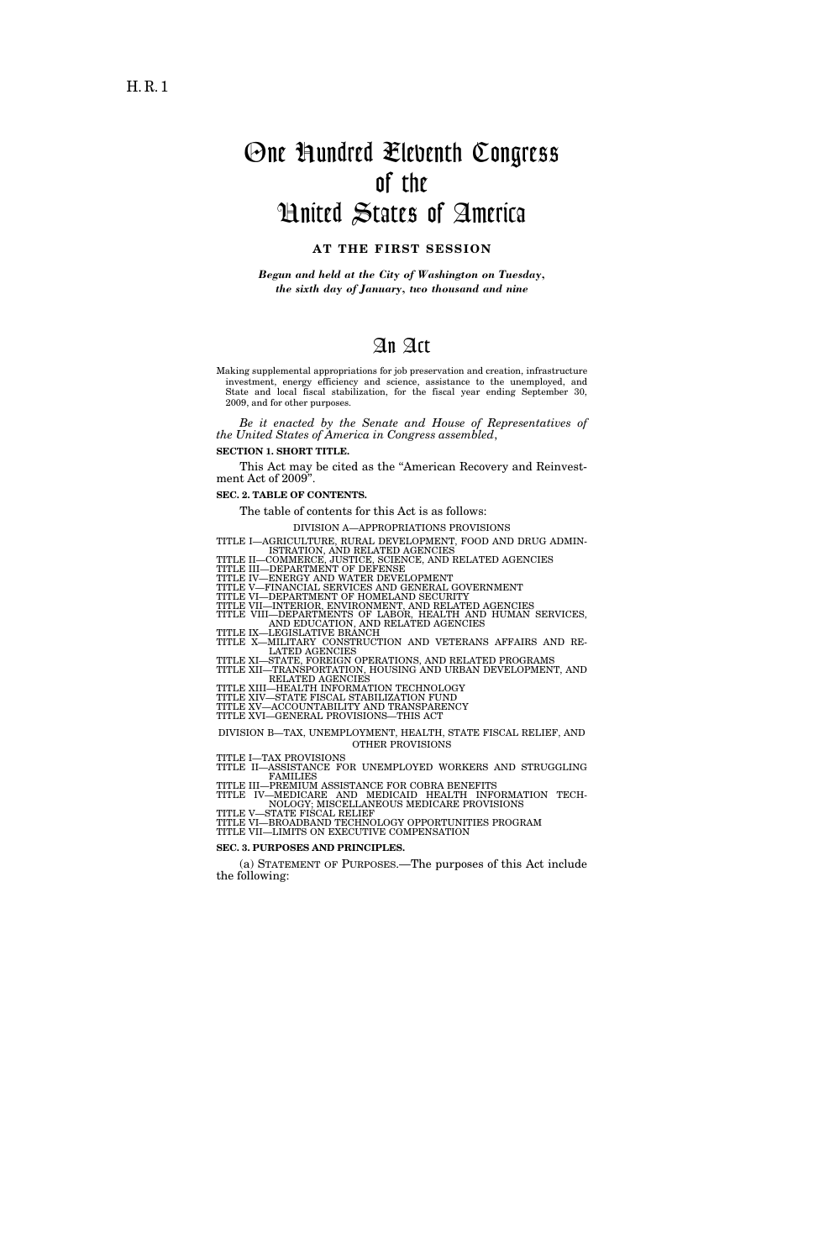# One Hundred Eleventh Congress of the United States of America

### **AT THE FIRST SESSION**

*Begun and held at the City of Washington on Tuesday, the sixth day of January, two thousand and nine* 

## An Act

Making supplemental appropriations for job preservation and creation, infrastructure investment, energy efficiency and science, assistance to the unemployed, and State and local fiscal stabilization, for the fiscal year ending September 30, 2009, and for other purposes.

*Be it enacted by the Senate and House of Representatives of the United States of America in Congress assembled*,

**SECTION 1. SHORT TITLE.** 

This Act may be cited as the ''American Recovery and Reinvestment Act of 2009''.

**SEC. 2. TABLE OF CONTENTS.** 

The table of contents for this Act is as follows:

DIVISION A—APPROPRIATIONS PROVISIONS

TITLE I—AGRICULTURE, RURAL DEVELOPMENT, FOOD AND DRUG ADMIN-

ISTRATION, AND RELATED AGENCIES<br>TITLE II—OMMERCE, JUSTICE, SCIENCE, AND RELATED AGENCIES<br>TITLE III—DEPARTMENT OF DEFENSE<br>TITLE IV—ENERGY AND WATER DEVELOPMENT<br>TITLE V—FINANCIAL SERVICES AND GENERAL GOVERNMENT<br>TITLE VII—INT

AND EDUCATION, AND RELATED AGENCIES<br>TITLE IX—LEGISLATIVE BRANCH<br>TITLE X—MILITARY CONSTRUCTION AND VETERANS AFFAIRS AND RE-

LATED AGENCIES TITLE XI—STATE, FOREIGN OPERATIONS, AND RELATED PROGRAMS TITLE XII—TRANSPORTATION, HOUSING AND URBAN DEVELOPMENT, AND RELATED AGENCIES<br>TITLE XIII—HEALTH INFORMATION TECHNOLOGY

TITLE XIV—STATE FISCAL STABILIZATION FUND TITLE XV—ACCOUNTABILITY AND TRANSPARENCY

TITLE XVI—GENERAL PROVISIONS—THIS ACT

DIVISION B—TAX, UNEMPLOYMENT, HEALTH, STATE FISCAL RELIEF, AND OTHER PROVISIONS

TITLE I—TAX PROVISIONS TITLE II—ASSISTANCE FOR UNEMPLOYED WORKERS AND STRUGGLING FAMILIES

TITLE III—PREMIUM ASSISTANCE FOR COBRA BENEFITS TITLE IV—MEDICARE AND MEDICAID HEALTH INFORMATION TECH-NOLOGY; MISCELLANEOUS MEDICARE PROVISIONS<br>TITLE V—STATE FISCAL RELIEF<br>TITLE VI—BROADBAND TECHNOLOGY OPPORTUNITIES PROGRAM

TITLE VII—LIMITS ON EXECUTIVE COMPENSATION

**SEC. 3. PURPOSES AND PRINCIPLES.** 

(a) STATEMENT OF PURPOSES.—The purposes of this Act include the following: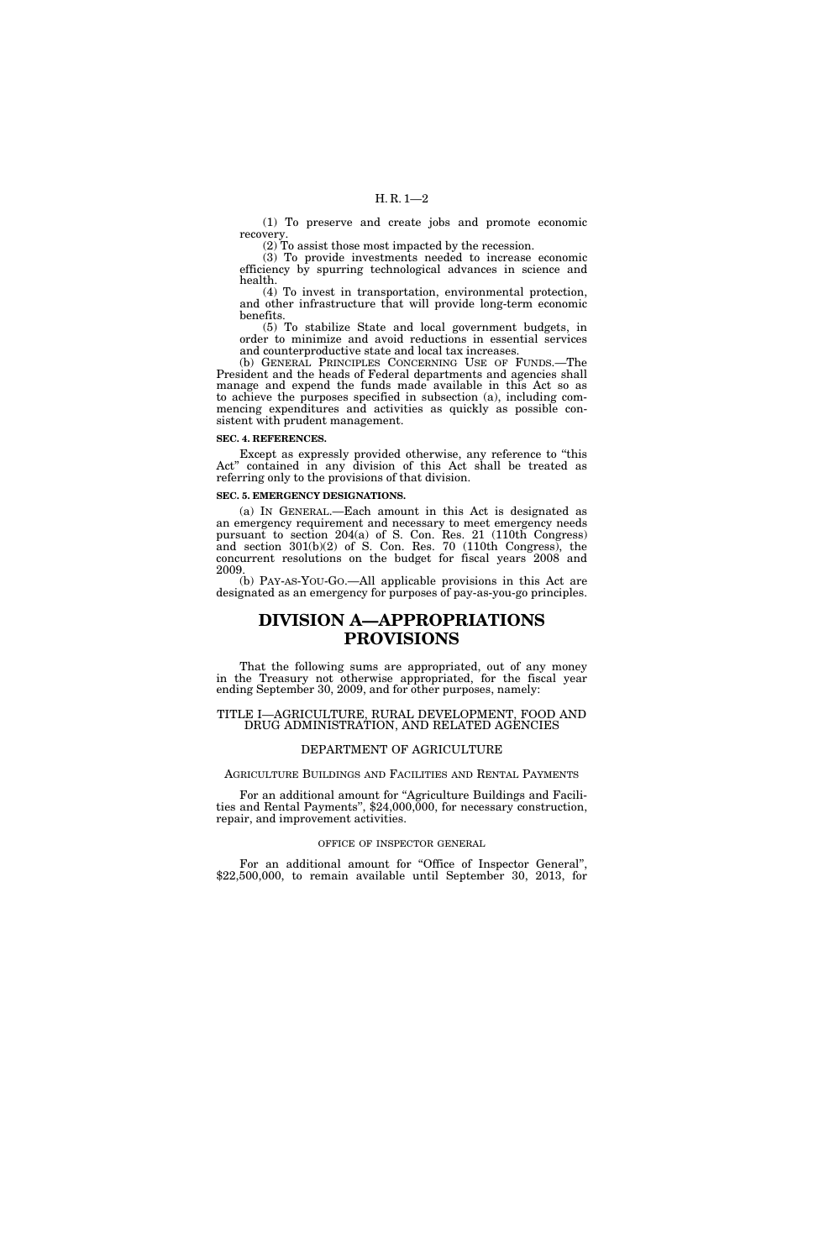(1) To preserve and create jobs and promote economic recovery.

(2) To assist those most impacted by the recession.

(3) To provide investments needed to increase economic efficiency by spurring technological advances in science and health.

(4) To invest in transportation, environmental protection, and other infrastructure that will provide long-term economic benefits.

(5) To stabilize State and local government budgets, in order to minimize and avoid reductions in essential services and counterproductive state and local tax increases.

(b) GENERAL PRINCIPLES CONCERNING USE OF FUNDS.—The President and the heads of Federal departments and agencies shall manage and expend the funds made available in this Act so as to achieve the purposes specified in subsection (a), including commencing expenditures and activities as quickly as possible consistent with prudent management.

#### **SEC. 4. REFERENCES.**

Except as expressly provided otherwise, any reference to ''this Act'' contained in any division of this Act shall be treated as referring only to the provisions of that division.

#### **SEC. 5. EMERGENCY DESIGNATIONS.**

(a) IN GENERAL.—Each amount in this Act is designated as an emergency requirement and necessary to meet emergency needs pursuant to section 204(a) of S. Con. Res. 21 (110th Congress) and section 301(b)(2) of S. Con. Res. 70 (110th Congress), the concurrent resolutions on the budget for fiscal years 2008 and 2009.

(b) PAY-AS-YOU-GO.—All applicable provisions in this Act are designated as an emergency for purposes of pay-as-you-go principles.

### **DIVISION A—APPROPRIATIONS PROVISIONS**

That the following sums are appropriated, out of any money in the Treasury not otherwise appropriated, for the fiscal year ending September 30, 2009, and for other purposes, namely:

#### TITLE I—AGRICULTURE, RURAL DEVELOPMENT, FOOD AND DRUG ADMINISTRATION, AND RELATED AGENCIES

#### DEPARTMENT OF AGRICULTURE

#### AGRICULTURE BUILDINGS AND FACILITIES AND RENTAL PAYMENTS

For an additional amount for ''Agriculture Buildings and Facilities and Rental Payments'', \$24,000,000, for necessary construction, repair, and improvement activities.

#### OFFICE OF INSPECTOR GENERAL

For an additional amount for "Office of Inspector General", \$22,500,000, to remain available until September 30, 2013, for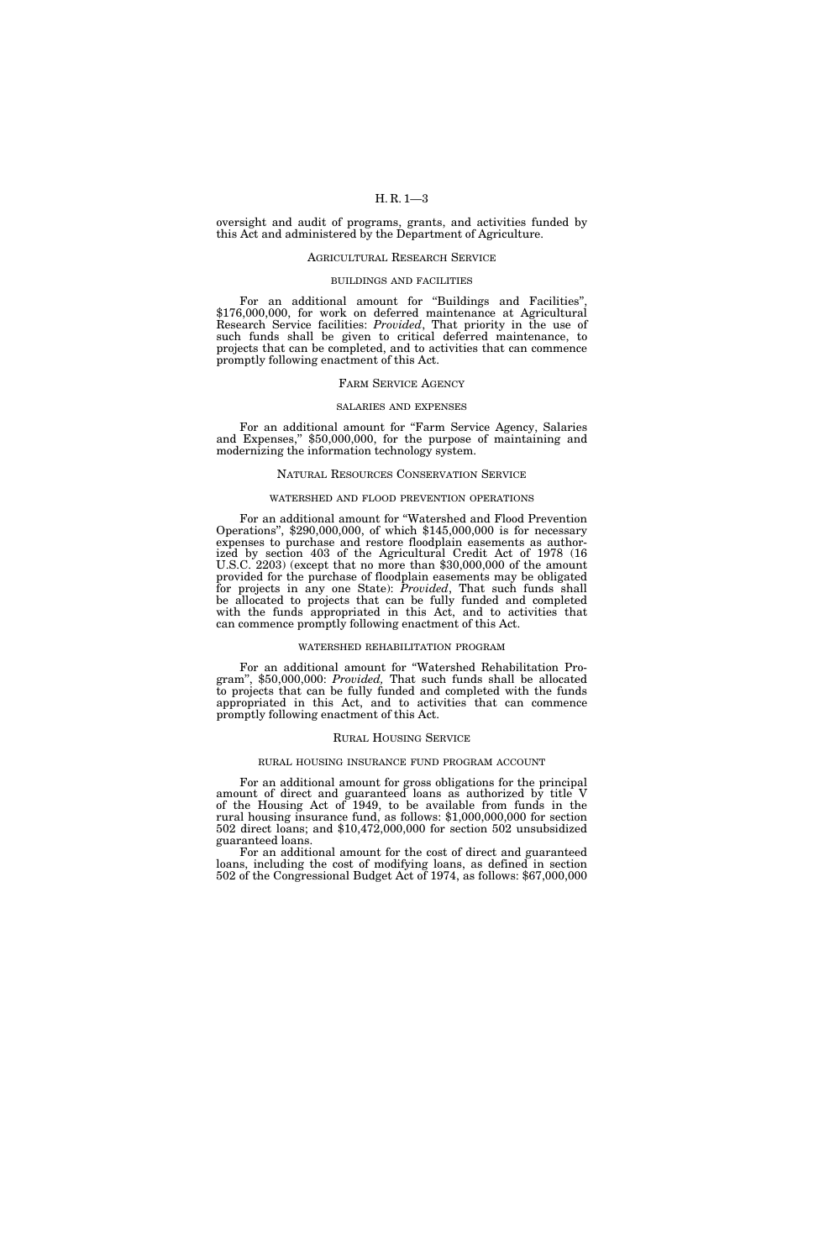oversight and audit of programs, grants, and activities funded by this Act and administered by the Department of Agriculture.

#### AGRICULTURAL RESEARCH SERVICE

#### BUILDINGS AND FACILITIES

For an additional amount for "Buildings and Facilities" \$176,000,000, for work on deferred maintenance at Agricultural Research Service facilities: *Provided*, That priority in the use of such funds shall be given to critical deferred maintenance, to projects that can be completed, and to activities that can commence promptly following enactment of this Act.

#### FARM SERVICE AGENCY

#### SALARIES AND EXPENSES

For an additional amount for "Farm Service Agency, Salaries and Expenses,'' \$50,000,000, for the purpose of maintaining and modernizing the information technology system.

#### NATURAL RESOURCES CONSERVATION SERVICE

#### WATERSHED AND FLOOD PREVENTION OPERATIONS

For an additional amount for ''Watershed and Flood Prevention Operations'', \$290,000,000, of which \$145,000,000 is for necessary expenses to purchase and restore floodplain easements as authorized by section 403 of the Agricultural Credit Act of 1978 (16 U.S.C. 2203) (except that no more than \$30,000,000 of the amount provided for the purchase of floodplain easements may be obligated for projects in any one State): *Provided*, That such funds shall be allocated to projects that can be fully funded and completed with the funds appropriated in this Act, and to activities that can commence promptly following enactment of this Act.

#### WATERSHED REHABILITATION PROGRAM

For an additional amount for ''Watershed Rehabilitation Program'', \$50,000,000: *Provided,* That such funds shall be allocated to projects that can be fully funded and completed with the funds appropriated in this Act, and to activities that can commence promptly following enactment of this Act.

#### RURAL HOUSING SERVICE

#### RURAL HOUSING INSURANCE FUND PROGRAM ACCOUNT

For an additional amount for gross obligations for the principal amount of direct and guaranteed loans as authorized by title V of the Housing Act of 1949, to be available from funds in the rural housing insurance fund, as follows: \$1,000,000,000 for section 502 direct loans; and \$10,472,000,000 for section 502 unsubsidized guaranteed loans.

For an additional amount for the cost of direct and guaranteed loans, including the cost of modifying loans, as defined in section 502 of the Congressional Budget Act of 1974, as follows: \$67,000,000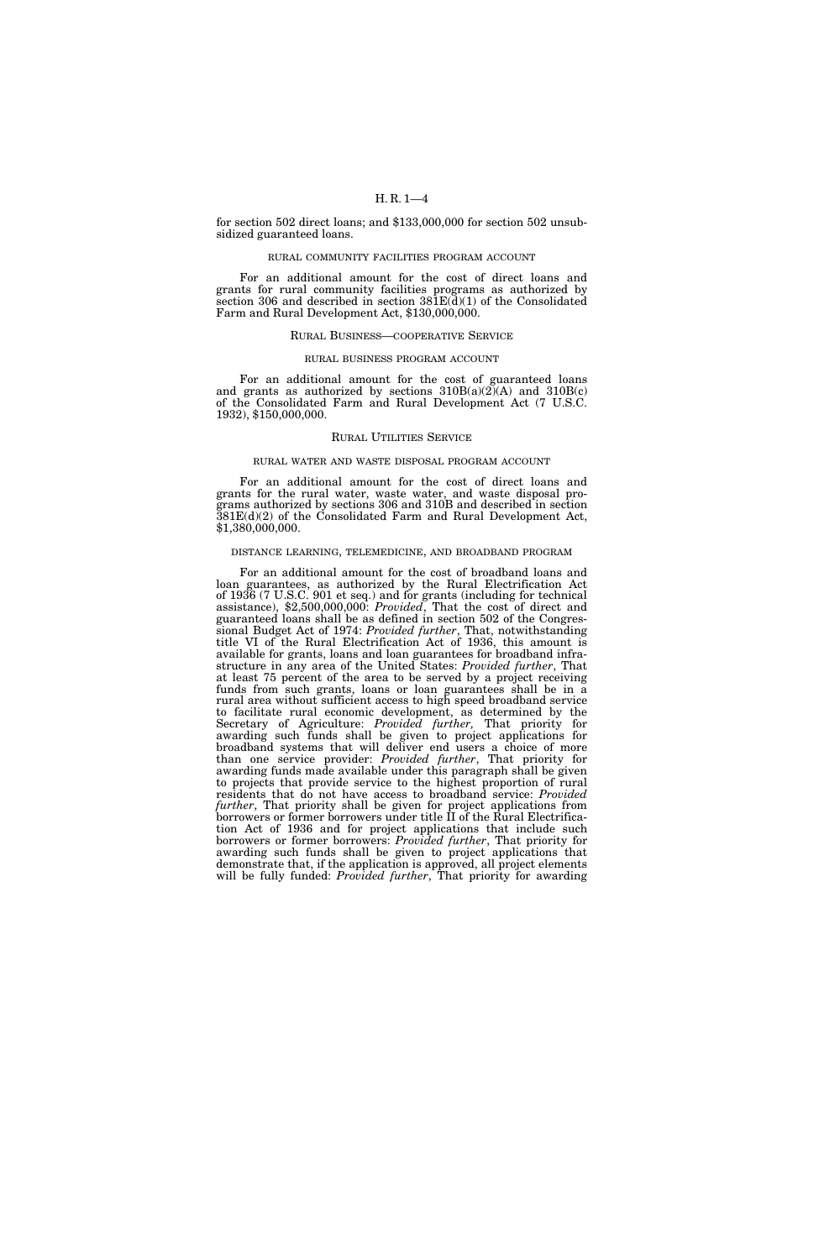for section 502 direct loans; and \$133,000,000 for section 502 unsubsidized guaranteed loans.

#### RURAL COMMUNITY FACILITIES PROGRAM ACCOUNT

For an additional amount for the cost of direct loans and grants for rural community facilities programs as authorized by section 306 and described in section  $381E(d)(1)$  of the Consolidated Farm and Rural Development Act, \$130,000,000.

#### RURAL BUSINESS—COOPERATIVE SERVICE

#### RURAL BUSINESS PROGRAM ACCOUNT

For an additional amount for the cost of guaranteed loans and grants as authorized by sections  $310B(a)(2)(A)$  and  $310B(c)$ of the Consolidated Farm and Rural Development Act (7 U.S.C. 1932), \$150,000,000.

#### RURAL UTILITIES SERVICE

#### RURAL WATER AND WASTE DISPOSAL PROGRAM ACCOUNT

For an additional amount for the cost of direct loans and grants for the rural water, waste water, and waste disposal programs authorized by sections 306 and 310B and described in section 381E(d)(2) of the Consolidated Farm and Rural Development Act, \$1,380,000,000.

#### DISTANCE LEARNING, TELEMEDICINE, AND BROADBAND PROGRAM

For an additional amount for the cost of broadband loans and loan guarantees, as authorized by the Rural Electrification Act of 1936 (7 U.S.C. 901 et seq.) and for grants (including for technical assistance), \$2,500,000,000: *Provided*, That the cost of direct and guaranteed loans shall be as defined in section 502 of the Congressional Budget Act of 1974: *Provided further*, That, notwithstanding title VI of the Rural Electrification Act of 1936, this amount is available for grants, loans and loan guarantees for broadband infrastructure in any area of the United States: *Provided further*, That at least 75 percent of the area to be served by a project receiving funds from such grants, loans or loan guarantees shall be in a rural area without sufficient access to high speed broadband service to facilitate rural economic development, as determined by the Secretary of Agriculture: *Provided further,* That priority for awarding such funds shall be given to project applications for broadband systems that will deliver end users a choice of more than one service provider: *Provided further*, That priority for awarding funds made available under this paragraph shall be given to projects that provide service to the highest proportion of rural residents that do not have access to broadband service: *Provided further*, That priority shall be given for project applications from borrowers or former borrowers under title II of the Rural Electrification Act of 1936 and for project applications that include such borrowers or former borrowers: *Provided further*, That priority for awarding such funds shall be given to project applications that demonstrate that, if the application is approved, all project elements will be fully funded: *Provided further*, That priority for awarding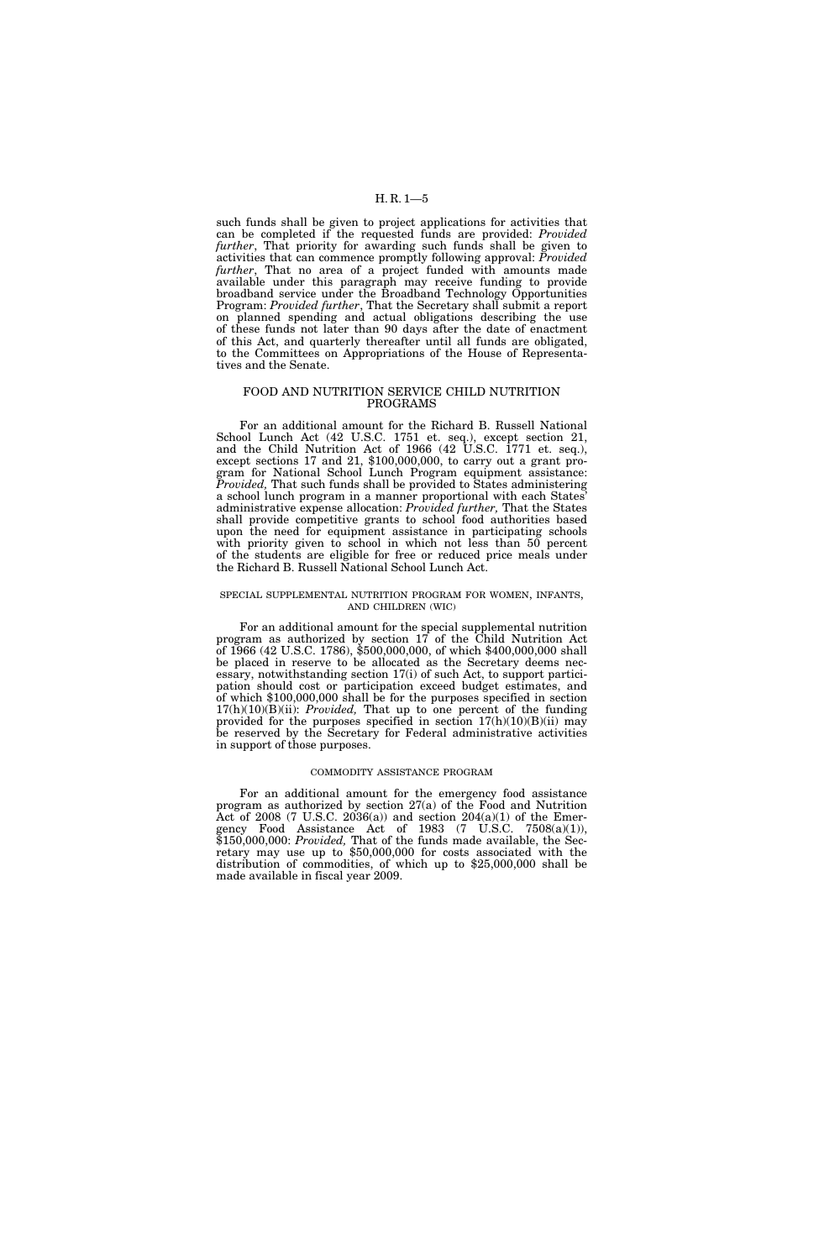such funds shall be given to project applications for activities that can be completed if the requested funds are provided: *Provided further*, That priority for awarding such funds shall be given to activities that can commence promptly following approval: *Provided further*, That no area of a project funded with amounts made available under this paragraph may receive funding to provide broadband service under the Broadband Technology Opportunities Program: *Provided further*, That the Secretary shall submit a report on planned spending and actual obligations describing the use of these funds not later than 90 days after the date of enactment of this Act, and quarterly thereafter until all funds are obligated, to the Committees on Appropriations of the House of Representatives and the Senate.

#### FOOD AND NUTRITION SERVICE CHILD NUTRITION PROGRAMS

For an additional amount for the Richard B. Russell National School Lunch Act (42 U.S.C. 1751 et. seq.), except section 21, and the Child Nutrition Act of 1966 (42 U.S.C. 1771 et. seq.), except sections 17 and 21, \$100,000,000, to carry out a grant program for National School Lunch Program equipment assistance: *Provided,* That such funds shall be provided to States administering a school lunch program in a manner proportional with each States' administrative expense allocation: *Provided further,* That the States shall provide competitive grants to school food authorities based upon the need for equipment assistance in participating schools with priority given to school in which not less than 50 percent of the students are eligible for free or reduced price meals under the Richard B. Russell National School Lunch Act.

#### SPECIAL SUPPLEMENTAL NUTRITION PROGRAM FOR WOMEN, INFANTS, AND CHILDREN (WIC)

For an additional amount for the special supplemental nutrition program as authorized by section 17 of the Child Nutrition Act of 1966 (42 U.S.C. 1786), \$500,000,000, of which \$400,000,000 shall be placed in reserve to be allocated as the Secretary deems necessary, notwithstanding section 17(i) of such Act, to support participation should cost or participation exceed budget estimates, and of which \$100,000,000 shall be for the purposes specified in section 17(h)(10)(B)(ii): *Provided,* That up to one percent of the funding provided for the purposes specified in section 17(h)(10)(B)(ii) may be reserved by the Secretary for Federal administrative activities in support of those purposes.

#### COMMODITY ASSISTANCE PROGRAM

For an additional amount for the emergency food assistance program as authorized by section 27(a) of the Food and Nutrition Act of 2008 (7 U.S.C. 2036(a)) and section  $204(a)(1)$  of the Emergency Food Assistance Act of 1983 (7 U.S.C. 7508(a)(1)), \$150,000,000: *Provided,* That of the funds made available, the Secretary may use up to \$50,000,000 for costs associated with the distribution of commodities, of which up to \$25,000,000 shall be made available in fiscal year 2009.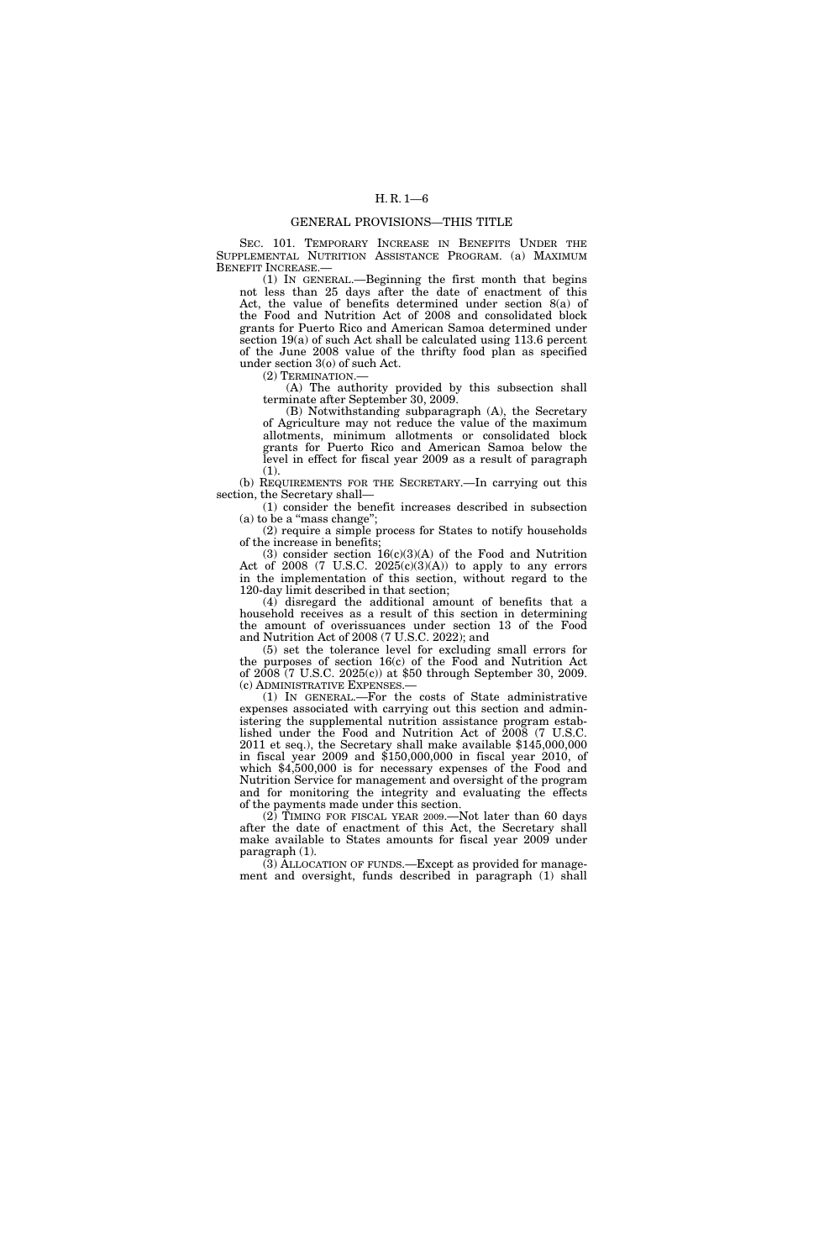#### GENERAL PROVISIONS—THIS TITLE

SEC. 101. TEMPORARY INCREASE IN BENEFITS UNDER THE SUPPLEMENTAL NUTRITION ASSISTANCE PROGRAM. (a) MAXIMUM BENEFIT INCREASE.-

(1) IN GENERAL.—Beginning the first month that begins not less than 25 days after the date of enactment of this Act, the value of benefits determined under section 8(a) of the Food and Nutrition Act of 2008 and consolidated block grants for Puerto Rico and American Samoa determined under section 19(a) of such Act shall be calculated using 113.6 percent of the June 2008 value of the thrifty food plan as specified under section 3(o) of such Act.

(2) TERMINATION.—

(A) The authority provided by this subsection shall terminate after September 30, 2009.

(B) Notwithstanding subparagraph (A), the Secretary of Agriculture may not reduce the value of the maximum allotments, minimum allotments or consolidated block grants for Puerto Rico and American Samoa below the level in effect for fiscal year 2009 as a result of paragraph (1).

(b) REQUIREMENTS FOR THE SECRETARY.—In carrying out this section, the Secretary shall—

(1) consider the benefit increases described in subsection (a) to be a "mass change";

(2) require a simple process for States to notify households of the increase in benefits;

(3) consider section  $16(c)(3)(A)$  of the Food and Nutrition Act of 2008 (7 U.S.C.  $2025(c)(3)(A)$ ) to apply to any errors in the implementation of this section, without regard to the 120-day limit described in that section;

(4) disregard the additional amount of benefits that a household receives as a result of this section in determining the amount of overissuances under section 13 of the Food and Nutrition Act of 2008 (7 U.S.C. 2022); and

(5) set the tolerance level for excluding small errors for the purposes of section 16(c) of the Food and Nutrition Act of 2008 (7 U.S.C. 2025(c)) at \$50 through September 30, 2009. (c) ADMINISTRATIVE EXPENSES.—

(1) IN GENERAL.—For the costs of State administrative expenses associated with carrying out this section and administering the supplemental nutrition assistance program established under the Food and Nutrition Act of 2008 (7 U.S.C. 2011 et seq.), the Secretary shall make available \$145,000,000 in fiscal year 2009 and \$150,000,000 in fiscal year 2010, of which \$4,500,000 is for necessary expenses of the Food and Nutrition Service for management and oversight of the program and for monitoring the integrity and evaluating the effects of the payments made under this section.

 $(2)$  TIMING FOR FISCAL YEAR 2009.—Not later than 60 days after the date of enactment of this Act, the Secretary shall make available to States amounts for fiscal year 2009 under paragraph (1).

(3) ALLOCATION OF FUNDS.—Except as provided for management and oversight, funds described in paragraph (1) shall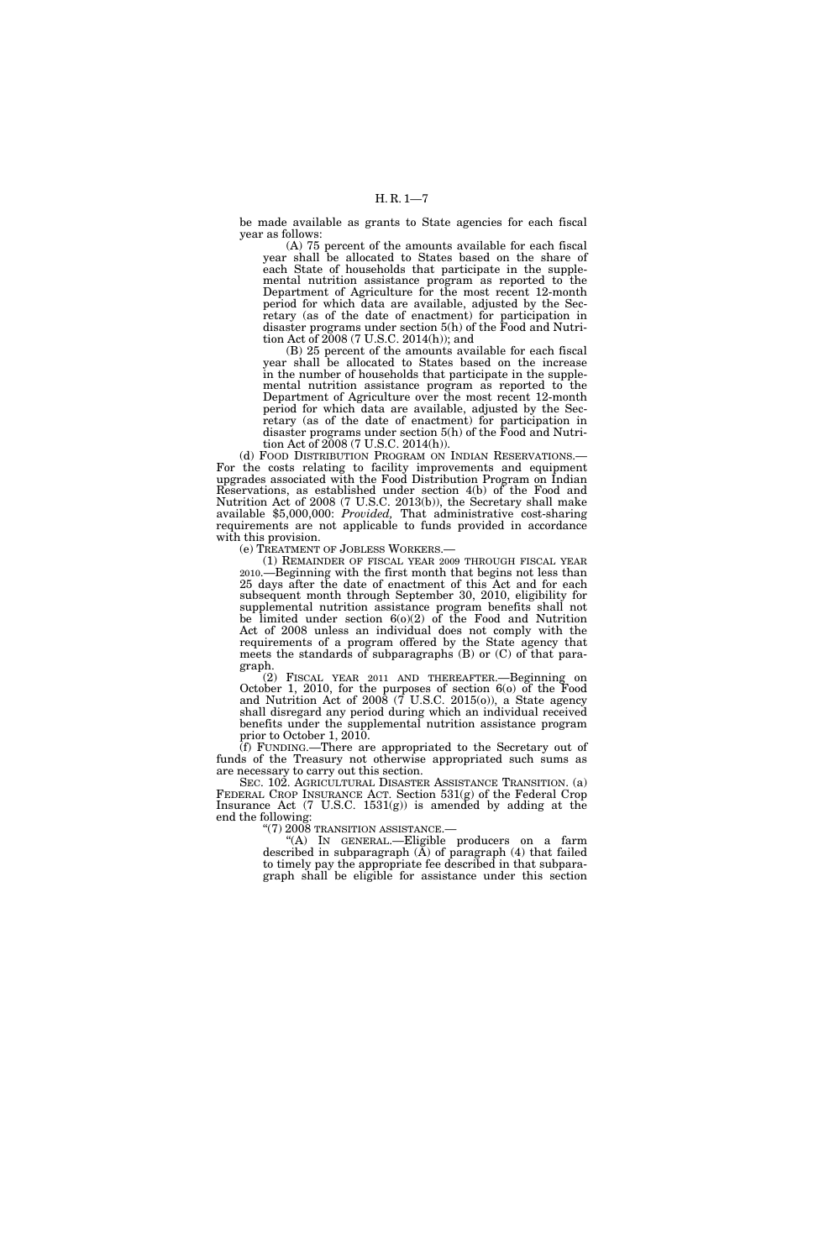be made available as grants to State agencies for each fiscal year as follows:

(A) 75 percent of the amounts available for each fiscal year shall be allocated to States based on the share of each State of households that participate in the supplemental nutrition assistance program as reported to the Department of Agriculture for the most recent 12-month period for which data are available, adjusted by the Secretary (as of the date of enactment) for participation in disaster programs under section 5(h) of the Food and Nutrition Act of 2008 (7 U.S.C. 2014(h)); and

(B) 25 percent of the amounts available for each fiscal year shall be allocated to States based on the increase in the number of households that participate in the supplemental nutrition assistance program as reported to the Department of Agriculture over the most recent 12-month period for which data are available, adjusted by the Secretary (as of the date of enactment) for participation in disaster programs under section 5(h) of the Food and Nutrition Act of 2008 (7 U.S.C. 2014(h)).

(d) FOOD DISTRIBUTION PROGRAM ON INDIAN RESERVATIONS.— For the costs relating to facility improvements and equipment upgrades associated with the Food Distribution Program on Indian Reservations, as established under section 4(b) of the Food and Nutrition Act of 2008 (7 U.S.C. 2013(b)), the Secretary shall make available \$5,000,000: *Provided,* That administrative cost-sharing requirements are not applicable to funds provided in accordance with this provision.

(e) TREATMENT OF JOBLESS WORKERS.—

(1) REMAINDER OF FISCAL YEAR 2009 THROUGH FISCAL YEAR 2010.—Beginning with the first month that begins not less than 25 days after the date of enactment of this Act and for each subsequent month through September 30, 2010, eligibility for supplemental nutrition assistance program benefits shall not be limited under section  $6(0)(2)$  of the Food and Nutrition Act of 2008 unless an individual does not comply with the requirements of a program offered by the State agency that meets the standards of subparagraphs (B) or (C) of that paragraph.

(2) FISCAL YEAR 2011 AND THEREAFTER.—Beginning on October 1, 2010, for the purposes of section 6(o) of the Food and Nutrition Act of  $2008$  ( $\overline{7}$  U.S.C. 2015(o)), a State agency shall disregard any period during which an individual received benefits under the supplemental nutrition assistance program prior to October 1, 2010.

(f) FUNDING.—There are appropriated to the Secretary out of funds of the Treasury not otherwise appropriated such sums as are necessary to carry out this section.

SEC. 102. AGRICULTURAL DISASTER ASSISTANCE TRANSITION. (a) FEDERAL CROP INSURANCE ACT. Section 531(g) of the Federal Crop Insurance Act (7 U.S.C. 1531(g)) is amended by adding at the end the following:

''(7) 2008 TRANSITION ASSISTANCE.—

''(A) IN GENERAL.—Eligible producers on a farm described in subparagraph  $(A)$  of paragraph  $(4)$  that failed to timely pay the appropriate fee described in that subparagraph shall be eligible for assistance under this section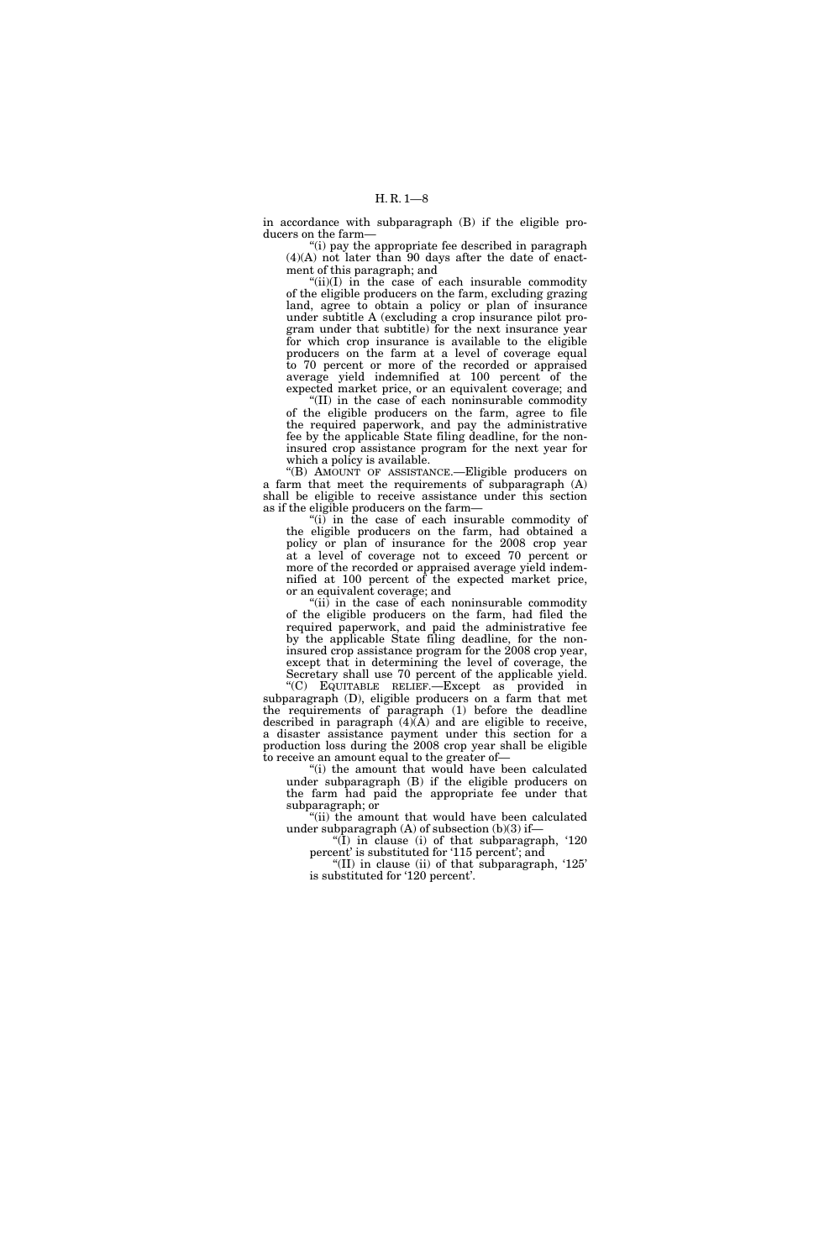in accordance with subparagraph (B) if the eligible producers on the farm—

"(i) pay the appropriate fee described in paragraph (4)(A) not later than 90 days after the date of enactment of this paragraph; and

 $(ii)(I)$  in the case of each insurable commodity of the eligible producers on the farm, excluding grazing land, agree to obtain a policy or plan of insurance under subtitle A (excluding a crop insurance pilot program under that subtitle) for the next insurance year for which crop insurance is available to the eligible producers on the farm at a level of coverage equal to 70 percent or more of the recorded or appraised average yield indemnified at 100 percent of the expected market price, or an equivalent coverage; and

 $^{\circ}$ (II) in the case of each noninsurable commodity of the eligible producers on the farm, agree to file the required paperwork, and pay the administrative fee by the applicable State filing deadline, for the noninsured crop assistance program for the next year for which a policy is available.

''(B) AMOUNT OF ASSISTANCE.—Eligible producers on a farm that meet the requirements of subparagraph (A) shall be eligible to receive assistance under this section as if the eligible producers on the farm—

''(i) in the case of each insurable commodity of the eligible producers on the farm, had obtained a policy or plan of insurance for the 2008 crop year at a level of coverage not to exceed 70 percent or more of the recorded or appraised average yield indemnified at 100 percent of the expected market price, or an equivalent coverage; and

" $(ii)$  in the case of each noninsurable commodity of the eligible producers on the farm, had filed the required paperwork, and paid the administrative fee by the applicable State filing deadline, for the noninsured crop assistance program for the 2008 crop year, except that in determining the level of coverage, the Secretary shall use 70 percent of the applicable yield.

''(C) EQUITABLE RELIEF.—Except as provided in subparagraph (D), eligible producers on a farm that met the requirements of paragraph (1) before the deadline described in paragraph  $(4)$  $(A)$  and are eligible to receive, a disaster assistance payment under this section for a production loss during the 2008 crop year shall be eligible to receive an amount equal to the greater of—

"(i) the amount that would have been calculated under subparagraph (B) if the eligible producers on the farm had paid the appropriate fee under that subparagraph; or

"(ii) the amount that would have been calculated under subparagraph  $(A)$  of subsection  $(b)(3)$  if-

''(I) in clause (i) of that subparagraph, '120 percent' is substituted for '115 percent'; and

"(II) in clause (ii) of that subparagraph,  $125$ " is substituted for '120 percent'.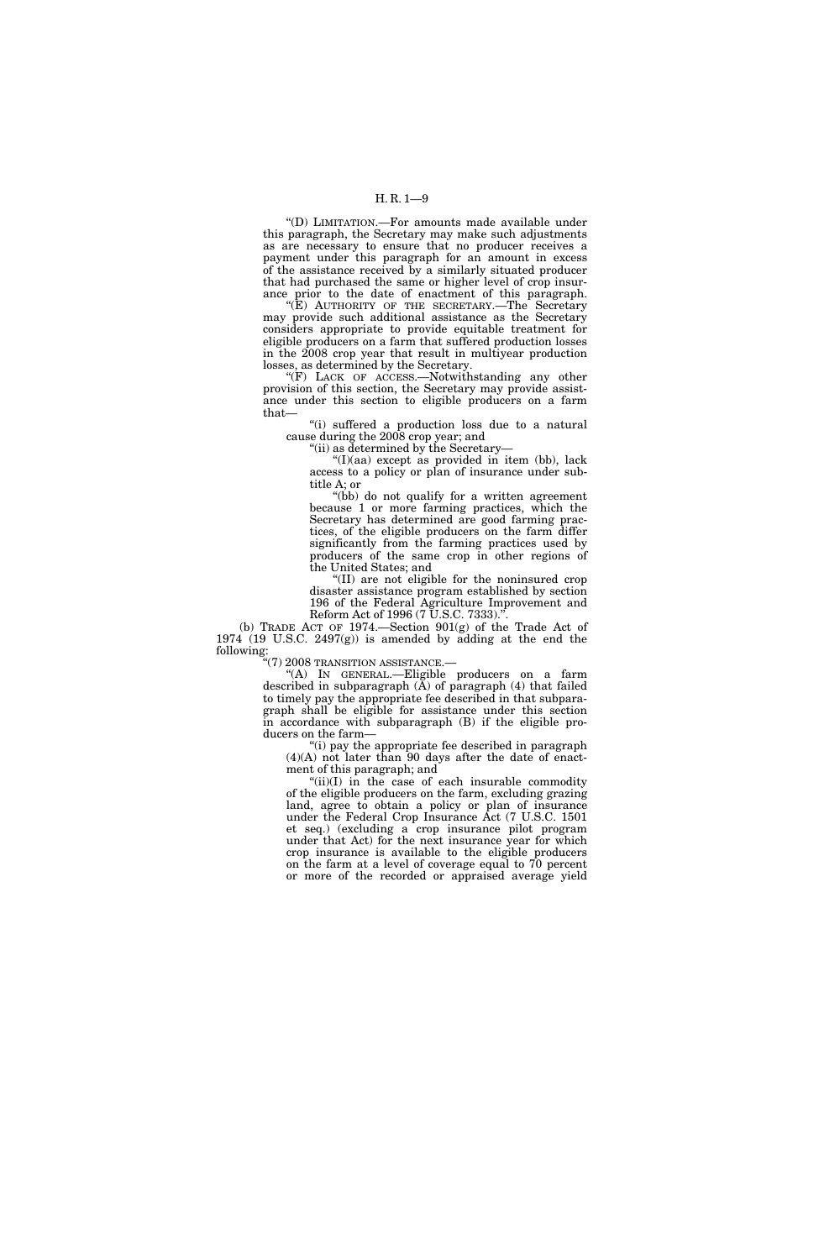''(D) LIMITATION.—For amounts made available under this paragraph, the Secretary may make such adjustments as are necessary to ensure that no producer receives a payment under this paragraph for an amount in excess of the assistance received by a similarly situated producer that had purchased the same or higher level of crop insurance prior to the date of enactment of this paragraph.

"(E) AUTHORITY OF THE SECRETARY.—The Secretary may provide such additional assistance as the Secretary considers appropriate to provide equitable treatment for eligible producers on a farm that suffered production losses in the 2008 crop year that result in multiyear production losses, as determined by the Secretary.

"(F) LACK OF ACCESS.—Notwithstanding any other provision of this section, the Secretary may provide assistance under this section to eligible producers on a farm that—

"(i) suffered a production loss due to a natural cause during the 2008 crop year; and

''(ii) as determined by the Secretary—

''(I)(aa) except as provided in item (bb), lack access to a policy or plan of insurance under subtitle A; or

(bb) do not qualify for a written agreement because 1 or more farming practices, which the Secretary has determined are good farming practices, of the eligible producers on the farm differ significantly from the farming practices used by producers of the same crop in other regions of the United States; and

''(II) are not eligible for the noninsured crop disaster assistance program established by section 196 of the Federal Agriculture Improvement and Reform Act of 1996 (7 U.S.C. 7333).'

(b) TRADE ACT OF 1974.—Section 901(g) of the Trade Act of 1974 (19 U.S.C. 2497(g)) is amended by adding at the end the following:

''(7) 2008 TRANSITION ASSISTANCE.—

''(A) IN GENERAL.—Eligible producers on a farm described in subparagraph  $(A)$  of paragraph  $(4)$  that failed to timely pay the appropriate fee described in that subparagraph shall be eligible for assistance under this section in accordance with subparagraph (B) if the eligible producers on the farm—

''(i) pay the appropriate fee described in paragraph (4)(A) not later than 90 days after the date of enactment of this paragraph; and

"(ii)(I) in the case of each insurable commodity of the eligible producers on the farm, excluding grazing land, agree to obtain a policy or plan of insurance under the Federal Crop Insurance Act (7 U.S.C. 1501 et seq.) (excluding a crop insurance pilot program under that Act) for the next insurance year for which crop insurance is available to the eligible producers on the farm at a level of coverage equal to 70 percent or more of the recorded or appraised average yield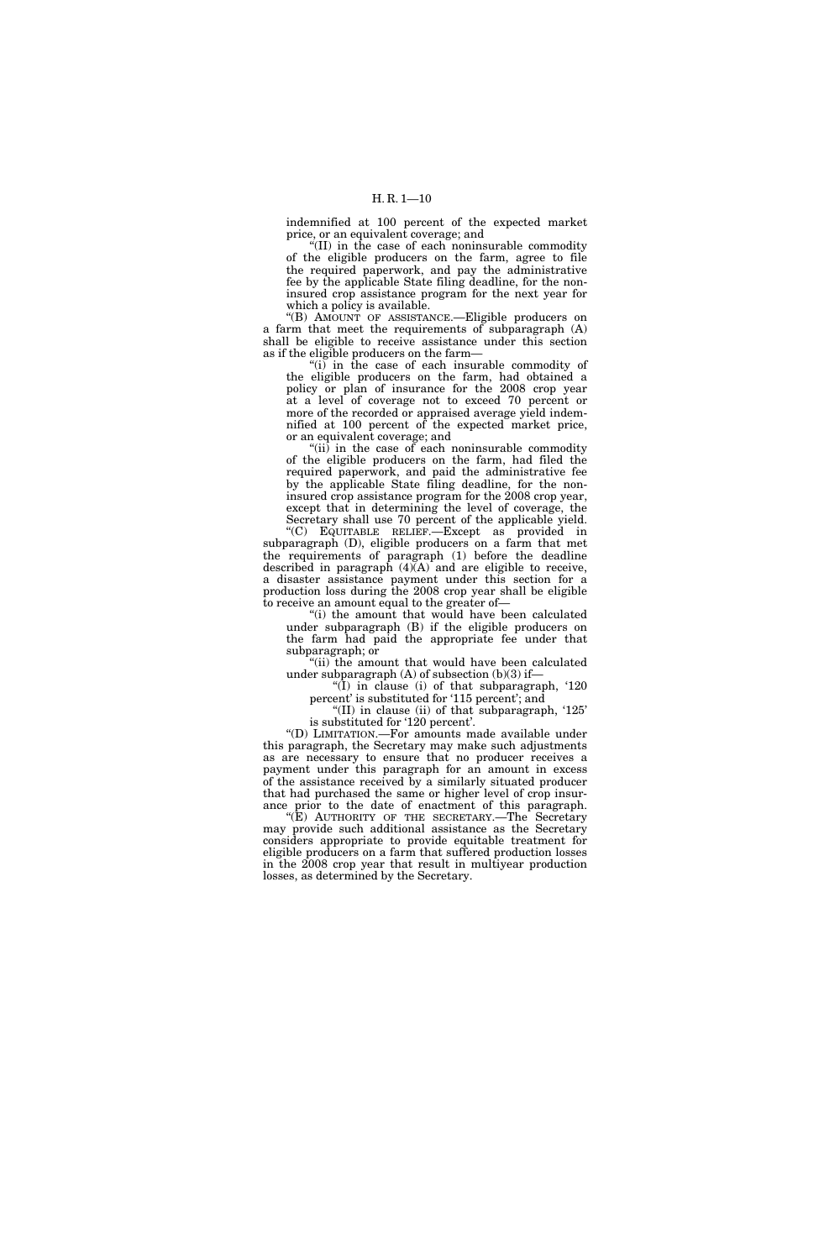indemnified at 100 percent of the expected market price, or an equivalent coverage; and

''(II) in the case of each noninsurable commodity of the eligible producers on the farm, agree to file the required paperwork, and pay the administrative fee by the applicable State filing deadline, for the noninsured crop assistance program for the next year for which a policy is available.

''(B) AMOUNT OF ASSISTANCE.—Eligible producers on a farm that meet the requirements of subparagraph (A) shall be eligible to receive assistance under this section as if the eligible producers on the farm—

 $(i)$  in the case of each insurable commodity of the eligible producers on the farm, had obtained a policy or plan of insurance for the 2008 crop year at a level of coverage not to exceed 70 percent or more of the recorded or appraised average yield indemnified at 100 percent of the expected market price, or an equivalent coverage; and

" $(ii)$  in the case of each noninsurable commodity of the eligible producers on the farm, had filed the required paperwork, and paid the administrative fee by the applicable State filing deadline, for the noninsured crop assistance program for the 2008 crop year, except that in determining the level of coverage, the Secretary shall use 70 percent of the applicable yield.

''(C) EQUITABLE RELIEF.—Except as provided in subparagraph (D), eligible producers on a farm that met the requirements of paragraph (1) before the deadline described in paragraph  $(4)$  $(A)$  and are eligible to receive, a disaster assistance payment under this section for a production loss during the 2008 crop year shall be eligible to receive an amount equal to the greater of—

"(i) the amount that would have been calculated under subparagraph (B) if the eligible producers on the farm had paid the appropriate fee under that subparagraph; or

''(ii) the amount that would have been calculated under subparagraph  $(A)$  of subsection  $(b)(3)$  if-

" $(I)$  in clause (i) of that subparagraph, '120 percent' is substituted for '115 percent'; and

"(II) in clause (ii) of that subparagraph,  $125$ " is substituted for '120 percent'.

''(D) LIMITATION.—For amounts made available under this paragraph, the Secretary may make such adjustments as are necessary to ensure that no producer receives a payment under this paragraph for an amount in excess of the assistance received by a similarly situated producer that had purchased the same or higher level of crop insurance prior to the date of enactment of this paragraph.

''(E) AUTHORITY OF THE SECRETARY.—The Secretary may provide such additional assistance as the Secretary considers appropriate to provide equitable treatment for eligible producers on a farm that suffered production losses in the 2008 crop year that result in multiyear production losses, as determined by the Secretary.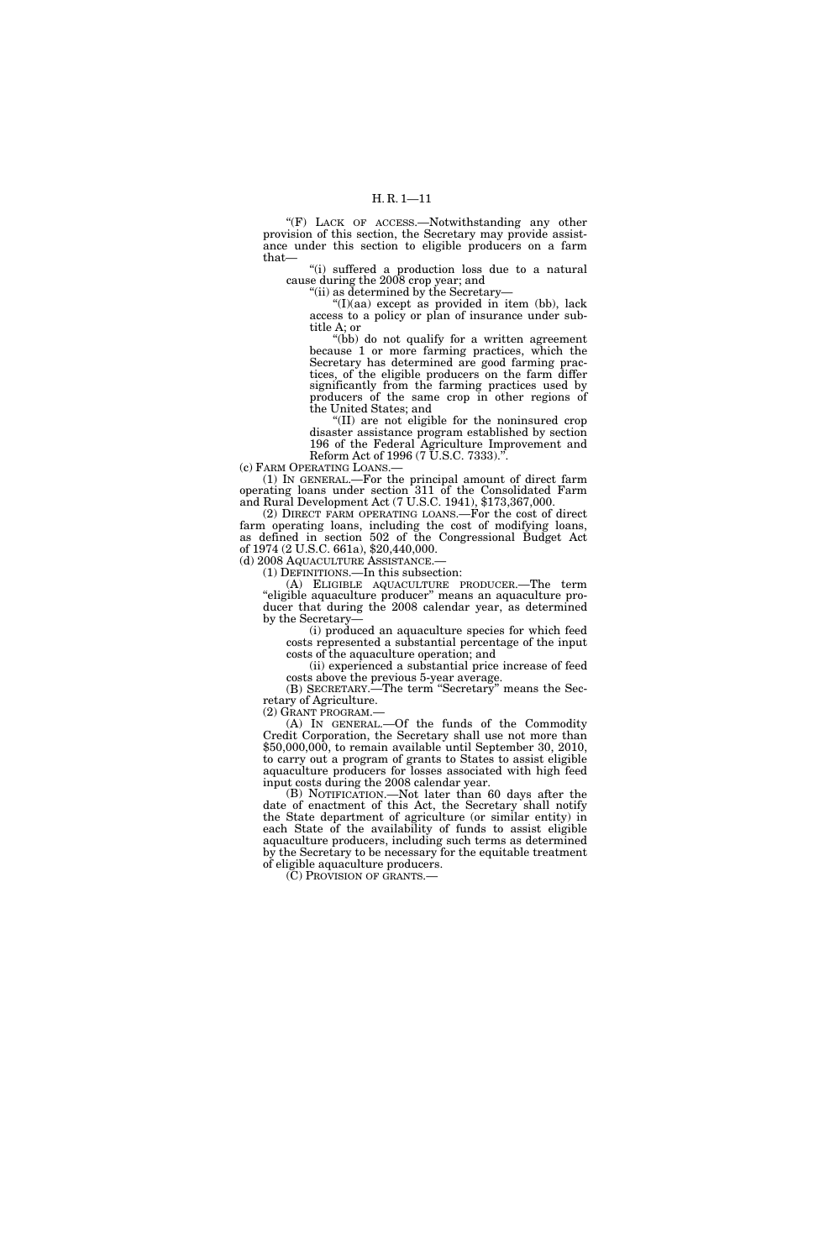"(F) LACK OF ACCESS.—Notwithstanding any other provision of this section, the Secretary may provide assistance under this section to eligible producers on a farm that—

''(i) suffered a production loss due to a natural cause during the 2008 crop year; and

''(ii) as determined by the Secretary—

 $\frac{f''(I)(aa)}{A'}$  except as provided in item (bb), lack access to a policy or plan of insurance under subtitle A; or

''(bb) do not qualify for a written agreement because 1 or more farming practices, which the Secretary has determined are good farming practices, of the eligible producers on the farm differ significantly from the farming practices used by producers of the same crop in other regions of the United States; and

''(II) are not eligible for the noninsured crop disaster assistance program established by section 196 of the Federal Agriculture Improvement and Reform Act of 1996 (7 U.S.C. 7333).".

(c) FARM OPERATING LOANS.—

(1) IN GENERAL.—For the principal amount of direct farm operating loans under section 311 of the Consolidated Farm and Rural Development Act (7 U.S.C. 1941), \$173,367,000.

(2) DIRECT FARM OPERATING LOANS.—For the cost of direct farm operating loans, including the cost of modifying loans, as defined in section 502 of the Congressional Budget Act of 1974 (2 U.S.C. 661a), \$20,440,000.<br>(d) 2008 AQUACULTURE ASSISTANCE.

 $(1)$  DEFINITIONS.—In this subsection:

(A) ELIGIBLE AQUACULTURE PRODUCER.—The term ''eligible aquaculture producer'' means an aquaculture producer that during the 2008 calendar year, as determined by the Secretary—

(i) produced an aquaculture species for which feed costs represented a substantial percentage of the input costs of the aquaculture operation; and

(ii) experienced a substantial price increase of feed costs above the previous 5-year average.

(B) SECRETARY.—The term ''Secretary'' means the Secretary of Agriculture.

(2) GRANT PROGRAM.—

(A) IN GENERAL.—Of the funds of the Commodity Credit Corporation, the Secretary shall use not more than \$50,000,000, to remain available until September 30, 2010, to carry out a program of grants to States to assist eligible aquaculture producers for losses associated with high feed input costs during the 2008 calendar year.

(B) NOTIFICATION.—Not later than 60 days after the date of enactment of this Act, the Secretary shall notify the State department of agriculture (or similar entity) in each State of the availability of funds to assist eligible aquaculture producers, including such terms as determined by the Secretary to be necessary for the equitable treatment of eligible aquaculture producers.

(C) PROVISION OF GRANTS.—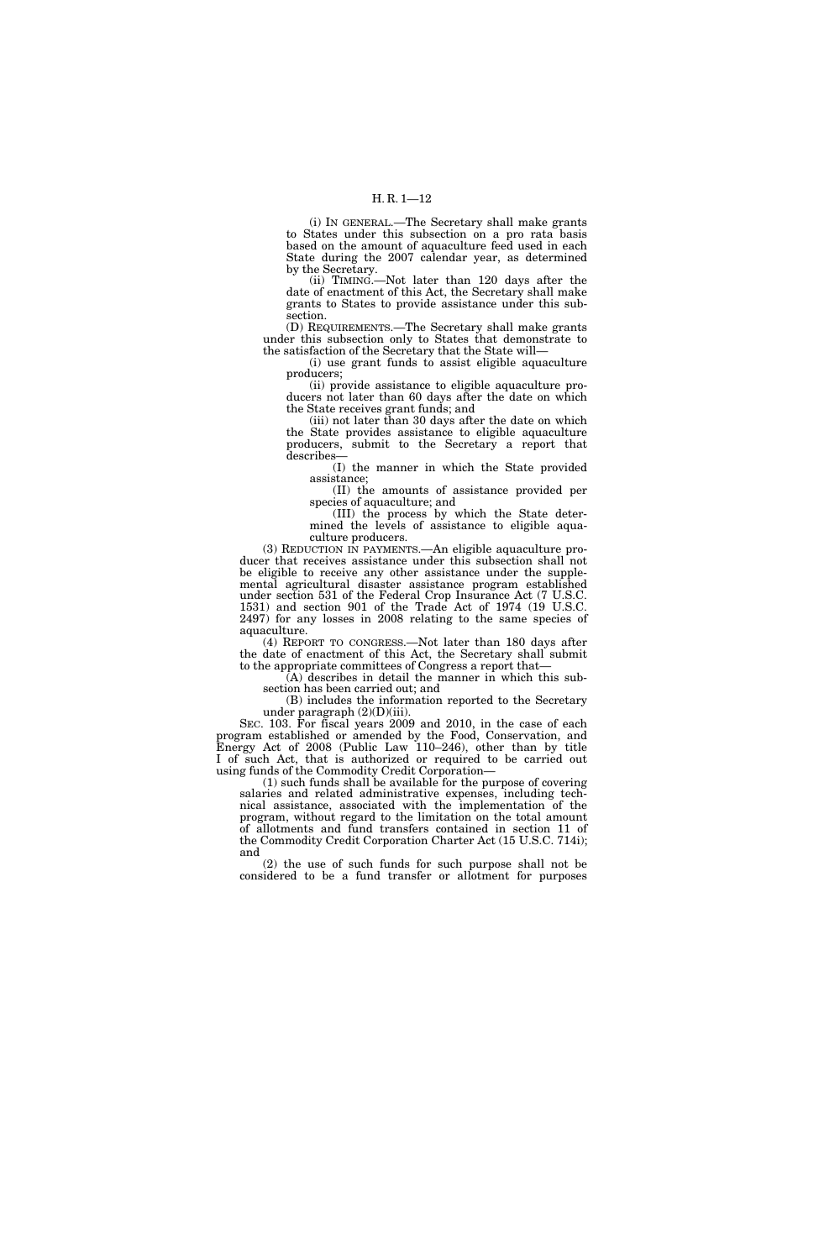(i) IN GENERAL.—The Secretary shall make grants to States under this subsection on a pro rata basis based on the amount of aquaculture feed used in each State during the 2007 calendar year, as determined by the Secretary.

(ii) TIMING.—Not later than 120 days after the date of enactment of this Act, the Secretary shall make grants to States to provide assistance under this subsection.

(D) REQUIREMENTS.—The Secretary shall make grants under this subsection only to States that demonstrate to the satisfaction of the Secretary that the State will—

(i) use grant funds to assist eligible aquaculture producers;

(ii) provide assistance to eligible aquaculture producers not later than 60 days after the date on which the State receives grant funds; and

(iii) not later than 30 days after the date on which the State provides assistance to eligible aquaculture producers, submit to the Secretary a report that describes—

(I) the manner in which the State provided assistance;

(II) the amounts of assistance provided per species of aquaculture; and

(III) the process by which the State determined the levels of assistance to eligible aquaculture producers.

(3) REDUCTION IN PAYMENTS.—An eligible aquaculture producer that receives assistance under this subsection shall not be eligible to receive any other assistance under the supplemental agricultural disaster assistance program established under section 531 of the Federal Crop Insurance Act (7 U.S.C. 1531) and section 901 of the Trade Act of 1974 (19 U.S.C. 2497) for any losses in 2008 relating to the same species of aquaculture.

(4) REPORT TO CONGRESS.—Not later than 180 days after the date of enactment of this Act, the Secretary shall submit to the appropriate committees of Congress a report that—

(A) describes in detail the manner in which this subsection has been carried out; and

(B) includes the information reported to the Secretary under paragraph (2)(D)(iii).

SEC. 103. For fiscal years 2009 and 2010, in the case of each program established or amended by the Food, Conservation, and Energy Act of 2008 (Public Law 110–246), other than by title I of such Act, that is authorized or required to be carried out using funds of the Commodity Credit Corporation—

(1) such funds shall be available for the purpose of covering salaries and related administrative expenses, including technical assistance, associated with the implementation of the program, without regard to the limitation on the total amount of allotments and fund transfers contained in section 11 of the Commodity Credit Corporation Charter Act (15 U.S.C. 714i); and

(2) the use of such funds for such purpose shall not be considered to be a fund transfer or allotment for purposes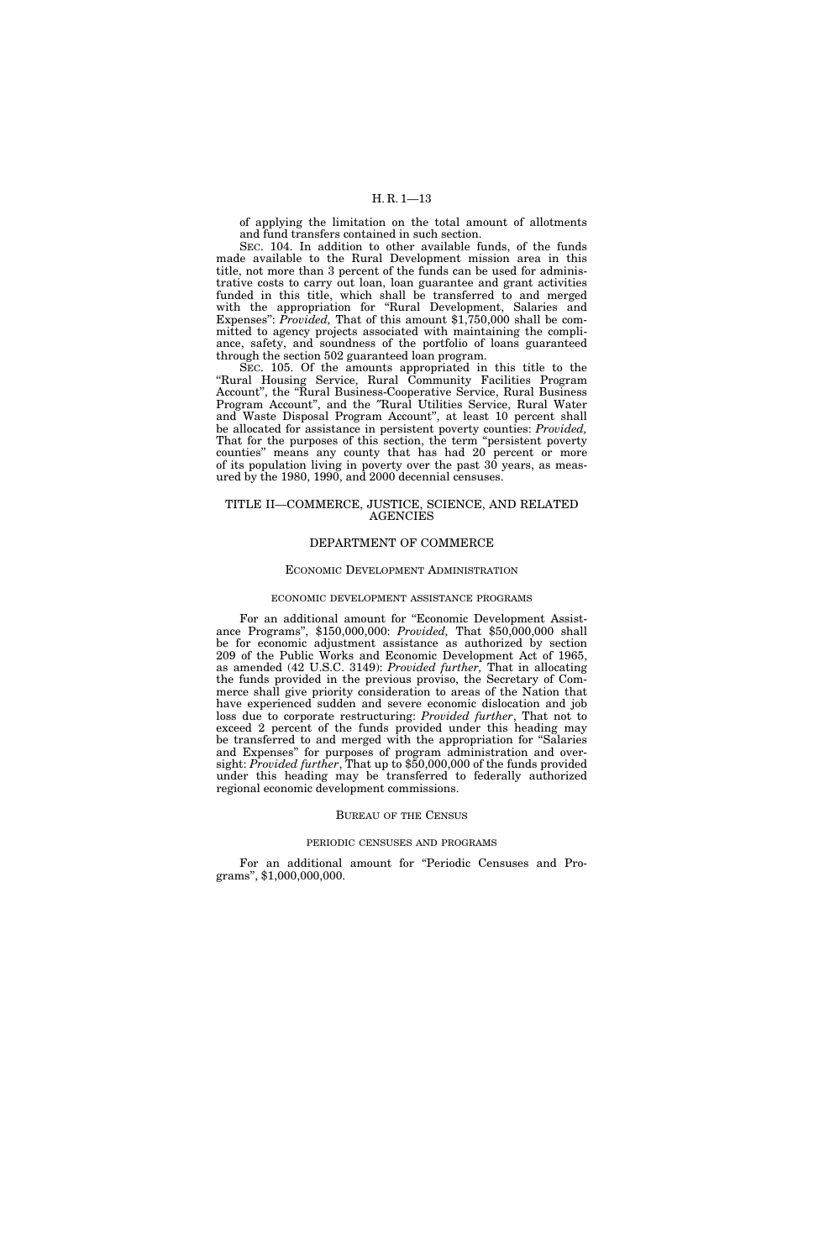of applying the limitation on the total amount of allotments and fund transfers contained in such section.

SEC. 104. In addition to other available funds, of the funds made available to the Rural Development mission area in this title, not more than 3 percent of the funds can be used for administrative costs to carry out loan, loan guarantee and grant activities funded in this title, which shall be transferred to and merged with the appropriation for ''Rural Development, Salaries and Expenses'': *Provided,* That of this amount \$1,750,000 shall be committed to agency projects associated with maintaining the compliance, safety, and soundness of the portfolio of loans guaranteed through the section 502 guaranteed loan program.

SEC. 105. Of the amounts appropriated in this title to the ''Rural Housing Service, Rural Community Facilities Program Account'', the ''Rural Business-Cooperative Service, Rural Business Program Account'', and the ″Rural Utilities Service, Rural Water and Waste Disposal Program Account'', at least 10 percent shall be allocated for assistance in persistent poverty counties: *Provided,*  That for the purposes of this section, the term ''persistent poverty counties'' means any county that has had 20 percent or more of its population living in poverty over the past  $30$  years, as measured by the 1980, 1990, and 2000 decennial censuses.

#### TITLE II—COMMERCE, JUSTICE, SCIENCE, AND RELATED AGENCIES

#### DEPARTMENT OF COMMERCE

#### ECONOMIC DEVELOPMENT ADMINISTRATION

#### ECONOMIC DEVELOPMENT ASSISTANCE PROGRAMS

For an additional amount for "Economic Development Assistance Programs'', \$150,000,000: *Provided,* That \$50,000,000 shall be for economic adjustment assistance as authorized by section 209 of the Public Works and Economic Development Act of 1965, as amended (42 U.S.C. 3149): *Provided further,* That in allocating the funds provided in the previous proviso, the Secretary of Commerce shall give priority consideration to areas of the Nation that have experienced sudden and severe economic dislocation and job loss due to corporate restructuring: *Provided further*, That not to exceed 2 percent of the funds provided under this heading may be transferred to and merged with the appropriation for ''Salaries and Expenses'' for purposes of program administration and oversight: *Provided further*, That up to \$50,000,000 of the funds provided under this heading may be transferred to federally authorized regional economic development commissions.

#### BUREAU OF THE CENSUS

#### PERIODIC CENSUSES AND PROGRAMS

For an additional amount for "Periodic Censuses and Programs'', \$1,000,000,000.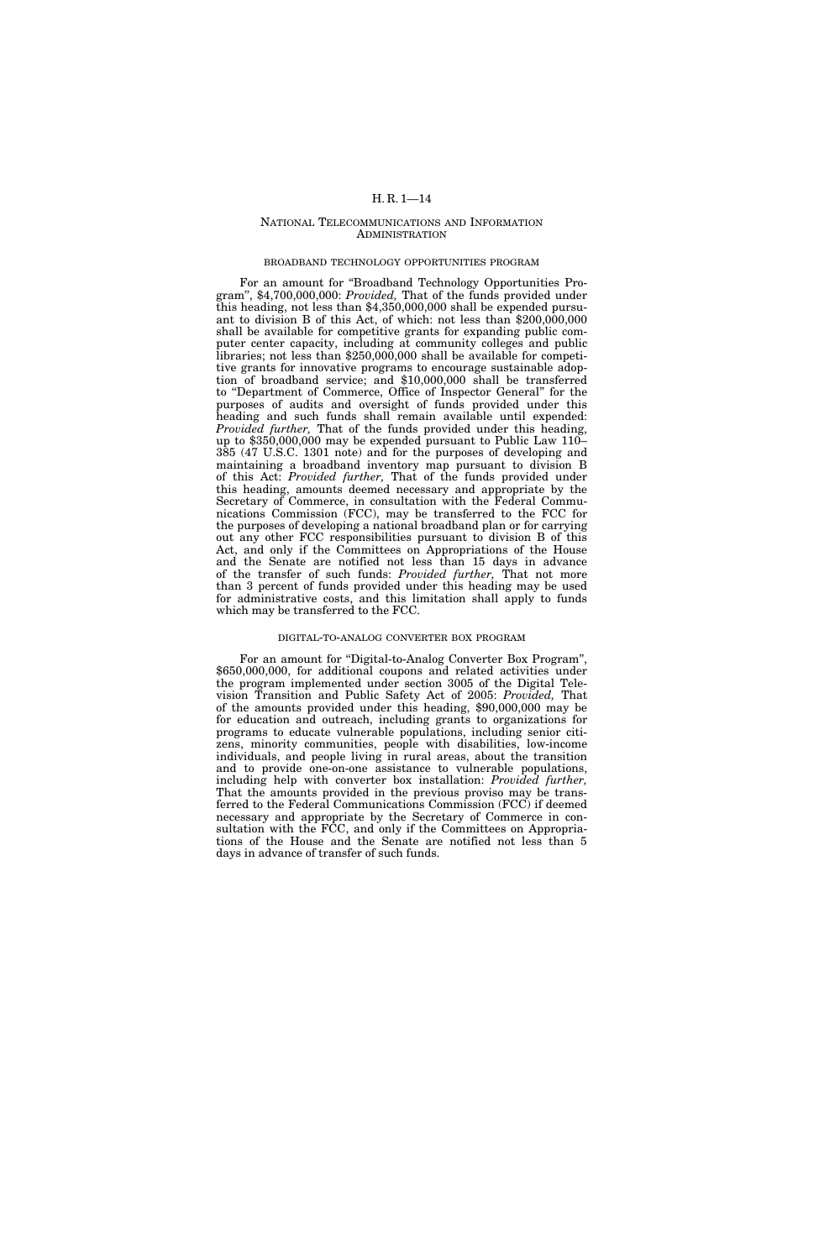#### NATIONAL TELECOMMUNICATIONS AND INFORMATION ADMINISTRATION

#### BROADBAND TECHNOLOGY OPPORTUNITIES PROGRAM

For an amount for "Broadband Technology Opportunities Program'', \$4,700,000,000: *Provided,* That of the funds provided under this heading, not less than \$4,350,000,000 shall be expended pursuant to division B of this Act, of which: not less than \$200,000,000 shall be available for competitive grants for expanding public computer center capacity, including at community colleges and public libraries; not less than \$250,000,000 shall be available for competitive grants for innovative programs to encourage sustainable adoption of broadband service; and \$10,000,000 shall be transferred to "Department of Commerce, Office of Inspector General" for the purposes of audits and oversight of funds provided under this heading and such funds shall remain available until expended: *Provided further,* That of the funds provided under this heading, up to \$350,000,000 may be expended pursuant to Public Law 110– 385 (47 U.S.C. 1301 note) and for the purposes of developing and maintaining a broadband inventory map pursuant to division B of this Act: *Provided further,* That of the funds provided under this heading, amounts deemed necessary and appropriate by the Secretary of Commerce, in consultation with the Federal Communications Commission (FCC), may be transferred to the FCC for the purposes of developing a national broadband plan or for carrying out any other FCC responsibilities pursuant to division B of this Act, and only if the Committees on Appropriations of the House and the Senate are notified not less than 15 days in advance of the transfer of such funds: *Provided further,* That not more than 3 percent of funds provided under this heading may be used for administrative costs, and this limitation shall apply to funds which may be transferred to the FCC.

#### DIGITAL-TO-ANALOG CONVERTER BOX PROGRAM

For an amount for "Digital-to-Analog Converter Box Program", \$650,000,000, for additional coupons and related activities under the program implemented under section 3005 of the Digital Television Transition and Public Safety Act of 2005: *Provided,* That of the amounts provided under this heading, \$90,000,000 may be for education and outreach, including grants to organizations for programs to educate vulnerable populations, including senior citizens, minority communities, people with disabilities, low-income individuals, and people living in rural areas, about the transition and to provide one-on-one assistance to vulnerable populations, including help with converter box installation: *Provided further,*  That the amounts provided in the previous proviso may be transferred to the Federal Communications Commission (FCC) if deemed necessary and appropriate by the Secretary of Commerce in consultation with the FCC, and only if the Committees on Appropriations of the House and the Senate are notified not less than 5 days in advance of transfer of such funds.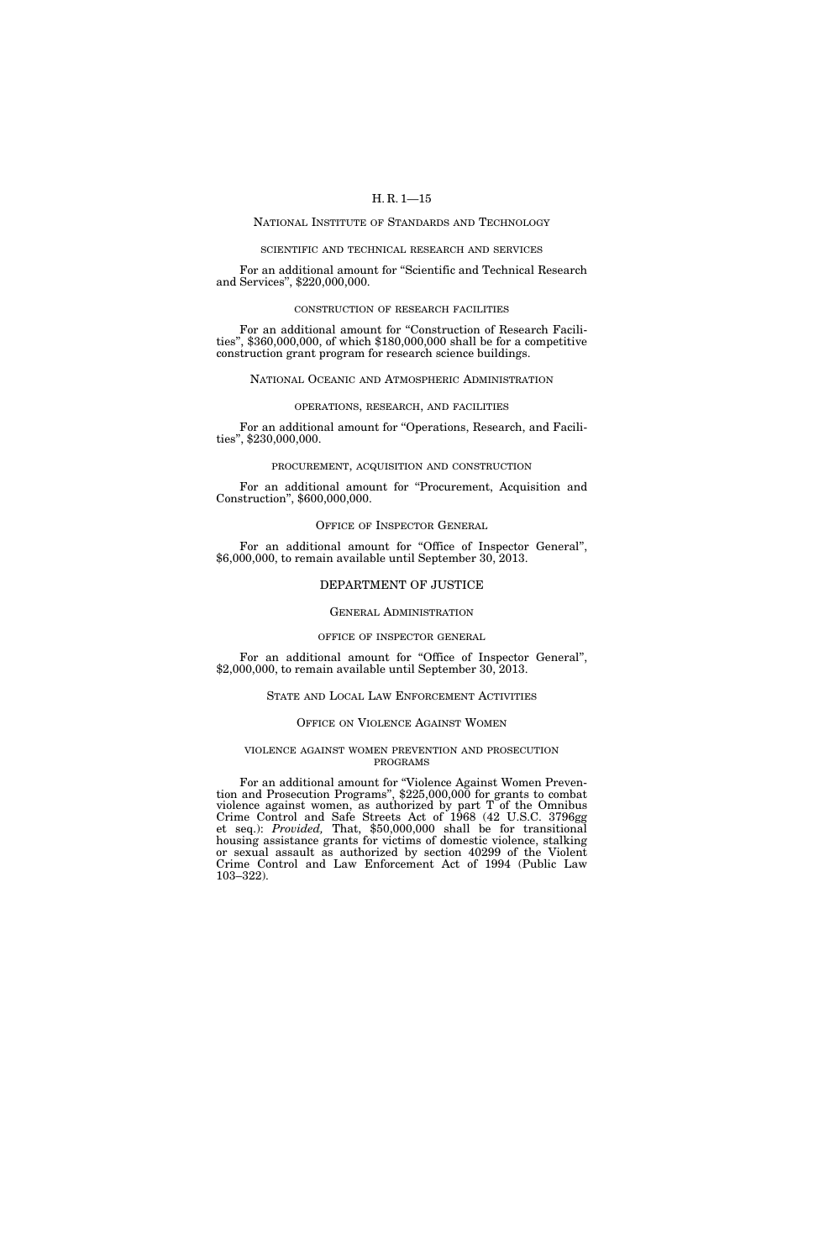#### NATIONAL INSTITUTE OF STANDARDS AND TECHNOLOGY

#### SCIENTIFIC AND TECHNICAL RESEARCH AND SERVICES

For an additional amount for ''Scientific and Technical Research and Services'', \$220,000,000.

#### CONSTRUCTION OF RESEARCH FACILITIES

For an additional amount for "Construction of Research Facilities'', \$360,000,000, of which \$180,000,000 shall be for a competitive construction grant program for research science buildings.

#### NATIONAL OCEANIC AND ATMOSPHERIC ADMINISTRATION

#### OPERATIONS, RESEARCH, AND FACILITIES

For an additional amount for ''Operations, Research, and Facilities'', \$230,000,000.

#### PROCUREMENT, ACQUISITION AND CONSTRUCTION

For an additional amount for "Procurement, Acquisition and Construction'', \$600,000,000.

#### OFFICE OF INSPECTOR GENERAL

For an additional amount for "Office of Inspector General", \$6,000,000, to remain available until September 30, 2013.

#### DEPARTMENT OF JUSTICE

#### GENERAL ADMINISTRATION

#### OFFICE OF INSPECTOR GENERAL

For an additional amount for ''Office of Inspector General'', \$2,000,000, to remain available until September 30, 2013.

#### STATE AND LOCAL LAW ENFORCEMENT ACTIVITIES

#### OFFICE ON VIOLENCE AGAINST WOMEN

#### VIOLENCE AGAINST WOMEN PREVENTION AND PROSECUTION PROGRAMS

For an additional amount for "Violence Against Women Prevention and Prosecution Programs", \$225,000,000 for grants to combat violence against women, as authorized by part T of the Omnibus Crime Control and Safe Streets Act of 1968 (42 U.S.C. 3796gg et seq.): *Provided,* That, \$50,000,000 shall be for transitional housing assistance grants for victims of domestic violence, stalking or sexual assault as authorized by section 40299 of the Violent Crime Control and Law Enforcement Act of 1994 (Public Law 103–322).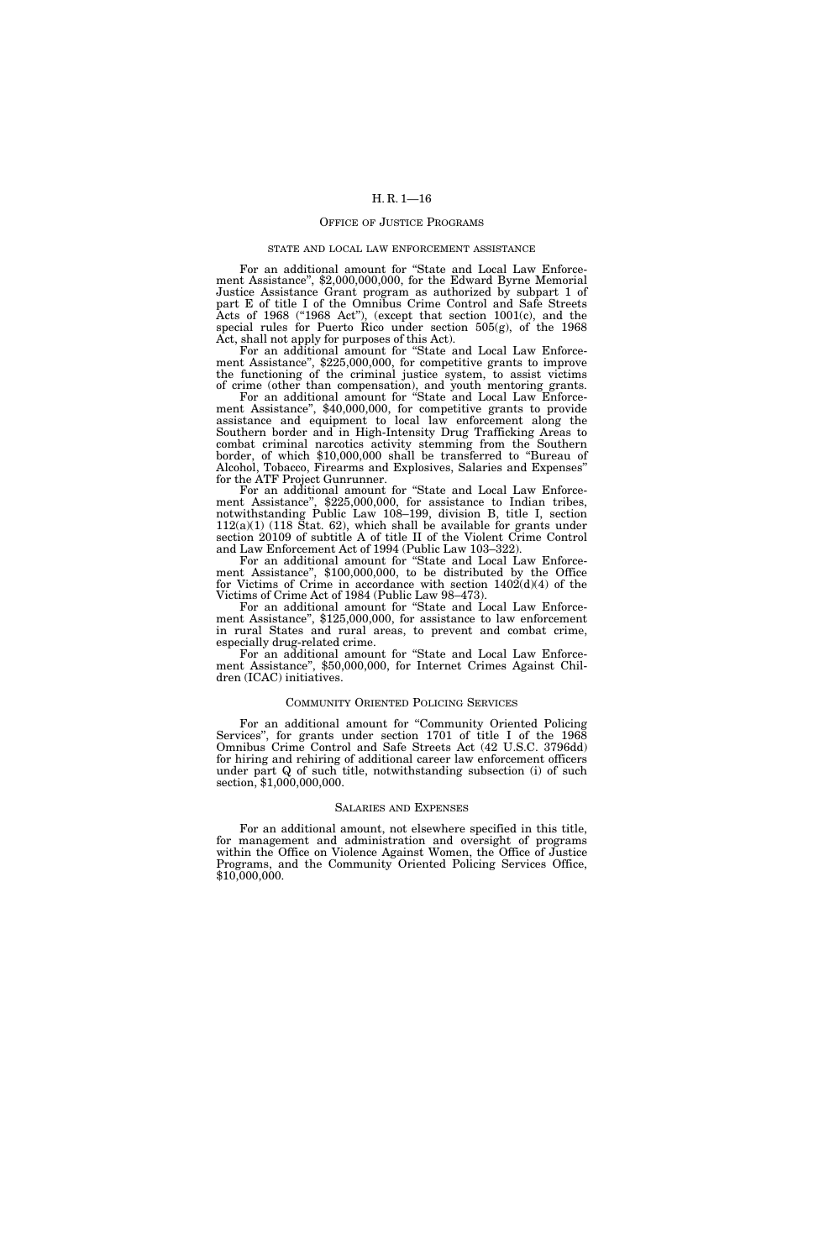#### OFFICE OF JUSTICE PROGRAMS

#### STATE AND LOCAL LAW ENFORCEMENT ASSISTANCE

For an additional amount for "State and Local Law Enforcement Assistance'', \$2,000,000,000, for the Edward Byrne Memorial Justice Assistance Grant program as authorized by subpart 1 of part E of title I of the Omnibus Crime Control and Safe Streets Acts of 1968 ("1968 Act"), (except that section 1001(c), and the special rules for Puerto Rico under section  $505(g)$ , of the 1968 Act, shall not apply for purposes of this Act).

For an additional amount for ''State and Local Law Enforcement Assistance'', \$225,000,000, for competitive grants to improve the functioning of the criminal justice system, to assist victims of crime (other than compensation), and youth mentoring grants.

For an additional amount for ''State and Local Law Enforcement Assistance'', \$40,000,000, for competitive grants to provide assistance and equipment to local law enforcement along the Southern border and in High-Intensity Drug Trafficking Areas to combat criminal narcotics activity stemming from the Southern border, of which \$10,000,000 shall be transferred to ''Bureau of Alcohol, Tobacco, Firearms and Explosives, Salaries and Expenses'' for the ATF Project Gunrunner.

For an additional amount for "State and Local Law Enforcement Assistance'', \$225,000,000, for assistance to Indian tribes, notwithstanding Public Law 108–199, division B, title I, section  $112(a)(1)$  (118 Stat. 62), which shall be available for grants under section 20109 of subtitle A of title II of the Violent Crime Control and Law Enforcement Act of 1994 (Public Law 103–322).

For an additional amount for "State and Local Law Enforcement Assistance'', \$100,000,000, to be distributed by the Office for Victims of Crime in accordance with section  $1402(d)(4)$  of the Victims of Crime Act of 1984 (Public Law 98–473).

For an additional amount for "State and Local Law Enforcement Assistance'', \$125,000,000, for assistance to law enforcement in rural States and rural areas, to prevent and combat crime, especially drug-related crime.

For an additional amount for ''State and Local Law Enforcement Assistance'', \$50,000,000, for Internet Crimes Against Children (ICAC) initiatives.

#### COMMUNITY ORIENTED POLICING SERVICES

For an additional amount for "Community Oriented Policing Services'', for grants under section 1701 of title I of the 1968 Omnibus Crime Control and Safe Streets Act (42 U.S.C. 3796dd) for hiring and rehiring of additional career law enforcement officers under part Q of such title, notwithstanding subsection (i) of such section, \$1,000,000,000.

#### SALARIES AND EXPENSES

For an additional amount, not elsewhere specified in this title, for management and administration and oversight of programs within the Office on Violence Against Women, the Office of Justice Programs, and the Community Oriented Policing Services Office, \$10,000,000.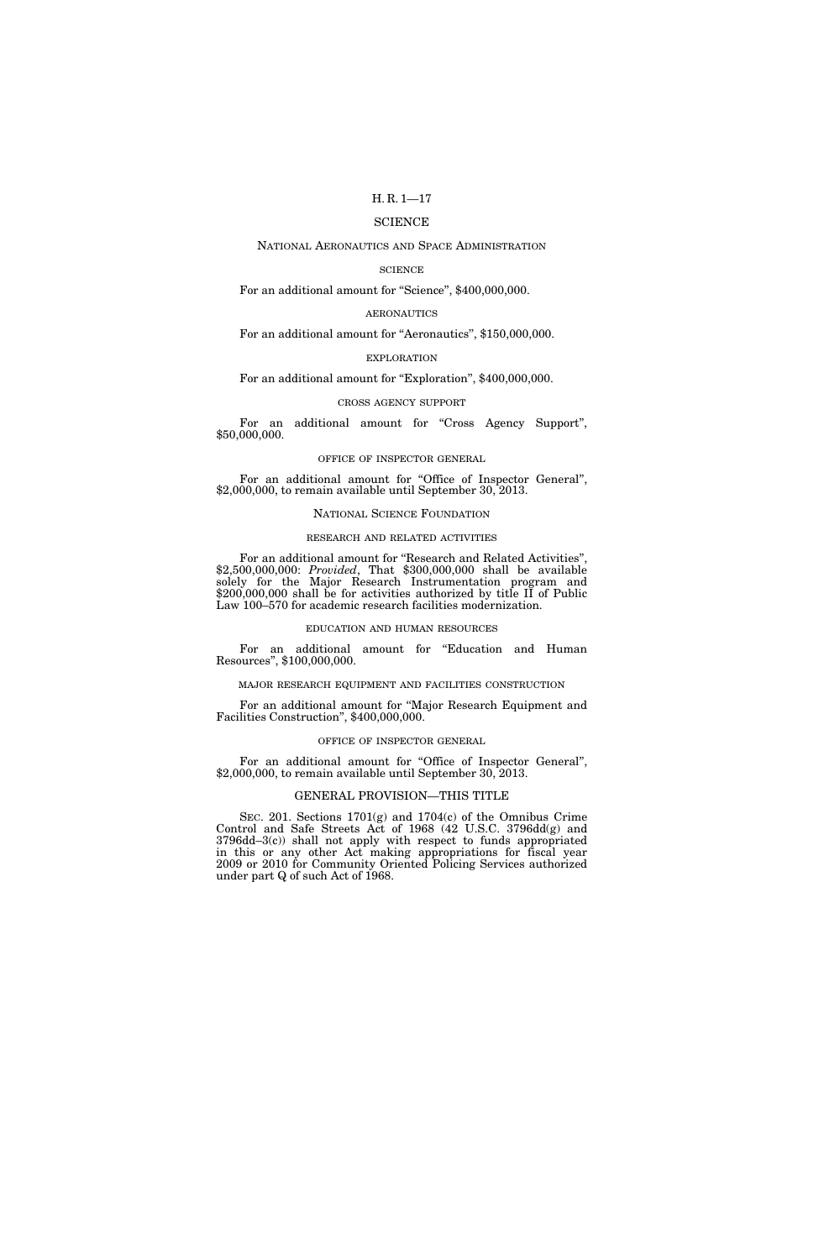#### SCIENCE

#### NATIONAL AERONAUTICS AND SPACE ADMINISTRATION

#### **SCIENCE**

For an additional amount for "Science", \$400,000,000.

#### AERONAUTICS

### For an additional amount for "Aeronautics", \$150,000,000.

#### EXPLORATION

### For an additional amount for "Exploration", \$400,000,000.

#### CROSS AGENCY SUPPORT

For an additional amount for "Cross Agency Support", \$50,000,000.

#### OFFICE OF INSPECTOR GENERAL

For an additional amount for "Office of Inspector General", \$2,000,000, to remain available until September 30, 2013.

#### NATIONAL SCIENCE FOUNDATION

#### RESEARCH AND RELATED ACTIVITIES

For an additional amount for ''Research and Related Activities'', \$2,500,000,000: *Provided*, That \$300,000,000 shall be available solely for the Major Research Instrumentation program and \$200,000,000 shall be for activities authorized by title II of Public Law 100–570 for academic research facilities modernization.

#### EDUCATION AND HUMAN RESOURCES

For an additional amount for "Education and Human Resources'', \$100,000,000.

#### MAJOR RESEARCH EQUIPMENT AND FACILITIES CONSTRUCTION

For an additional amount for ''Major Research Equipment and Facilities Construction'', \$400,000,000.

#### OFFICE OF INSPECTOR GENERAL

For an additional amount for "Office of Inspector General", \$2,000,000, to remain available until September 30, 2013.

#### GENERAL PROVISION—THIS TITLE

SEC. 201. Sections 1701(g) and 1704(c) of the Omnibus Crime Control and Safe Streets Act of 1968 (42 U.S.C. 3796dd(g) and 3796dd–3(c)) shall not apply with respect to funds appropriated in this or any other Act making appropriations for fiscal year 2009 or 2010 for Community Oriented Policing Services authorized under part Q of such Act of 1968.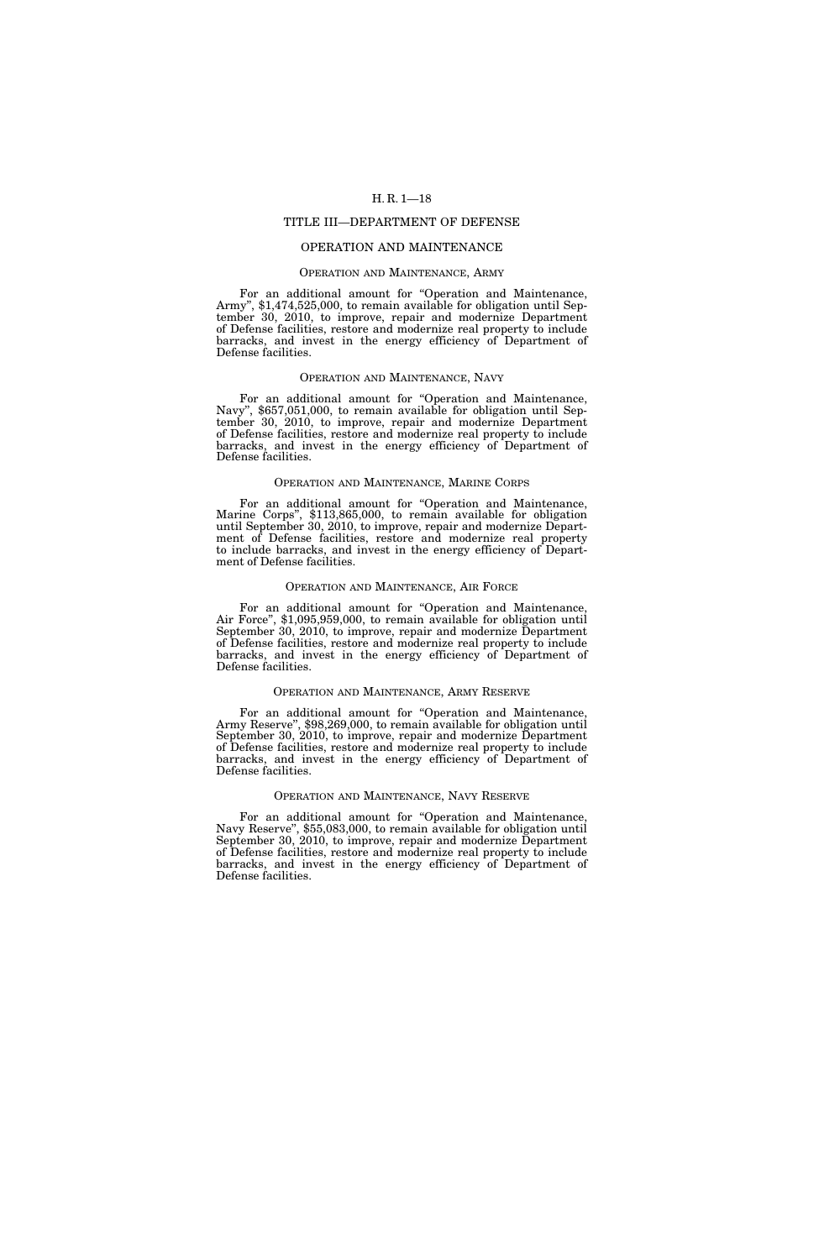#### TITLE III—DEPARTMENT OF DEFENSE

#### OPERATION AND MAINTENANCE

#### OPERATION AND MAINTENANCE, ARMY

For an additional amount for "Operation and Maintenance, Army", \$1,474,525,000, to remain available for obligation until September 30, 2010, to improve, repair and modernize Department of Defense facilities, restore and modernize real property to include barracks, and invest in the energy efficiency of Department of Defense facilities.

#### OPERATION AND MAINTENANCE, NAVY

For an additional amount for "Operation and Maintenance, Navy", \$657,051,000, to remain available for obligation until September 30, 2010, to improve, repair and modernize Department of Defense facilities, restore and modernize real property to include barracks, and invest in the energy efficiency of Department of Defense facilities.

#### OPERATION AND MAINTENANCE, MARINE CORPS

For an additional amount for "Operation and Maintenance, Marine Corps'', \$113,865,000, to remain available for obligation until September 30, 2010, to improve, repair and modernize Department of Defense facilities, restore and modernize real property to include barracks, and invest in the energy efficiency of Department of Defense facilities.

#### OPERATION AND MAINTENANCE, AIR FORCE

For an additional amount for ''Operation and Maintenance, Air Force'', \$1,095,959,000, to remain available for obligation until September 30, 2010, to improve, repair and modernize Department of Defense facilities, restore and modernize real property to include barracks, and invest in the energy efficiency of Department of Defense facilities.

#### OPERATION AND MAINTENANCE, ARMY RESERVE

For an additional amount for ''Operation and Maintenance, Army Reserve'', \$98,269,000, to remain available for obligation until September 30, 2010, to improve, repair and modernize Department of Defense facilities, restore and modernize real property to include barracks, and invest in the energy efficiency of Department of Defense facilities.

#### OPERATION AND MAINTENANCE, NAVY RESERVE

For an additional amount for ''Operation and Maintenance, Navy Reserve'', \$55,083,000, to remain available for obligation until September 30, 2010, to improve, repair and modernize Department of Defense facilities, restore and modernize real property to include barracks, and invest in the energy efficiency of Department of Defense facilities.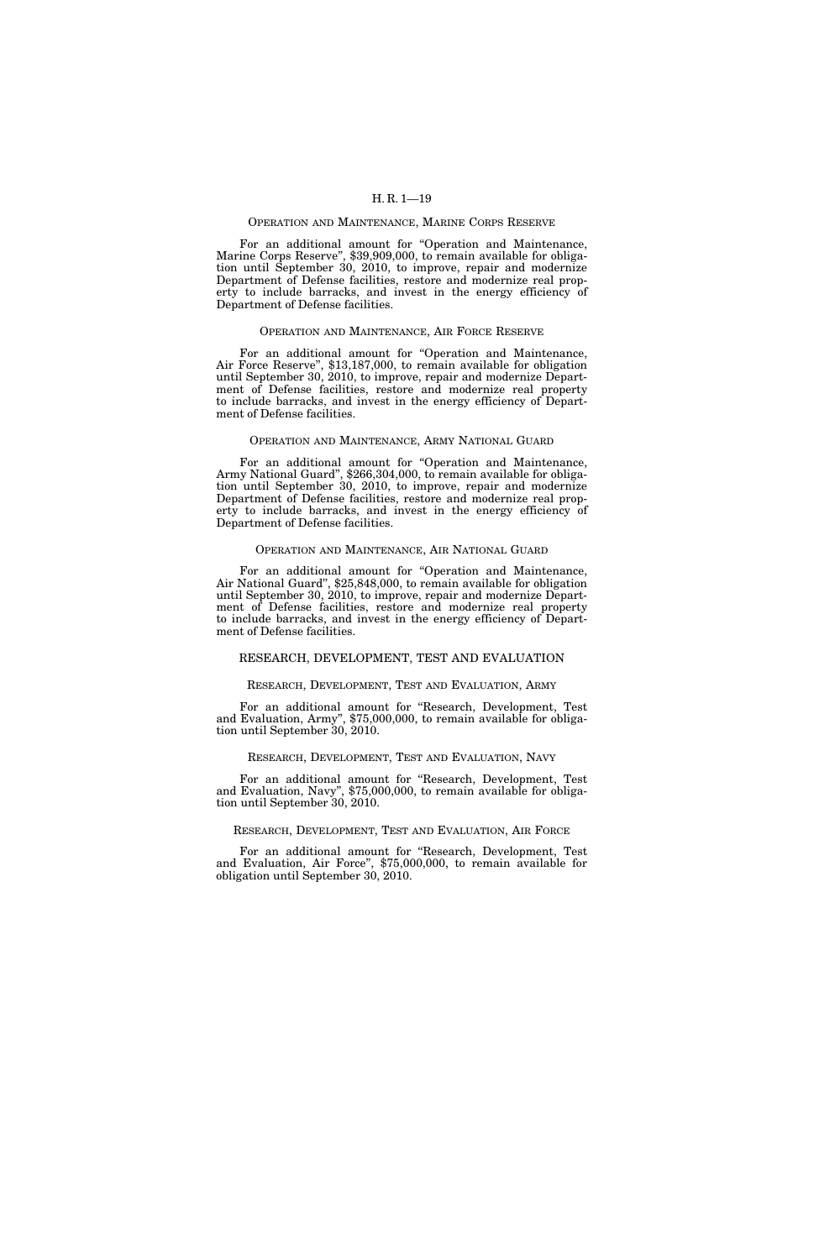#### OPERATION AND MAINTENANCE, MARINE CORPS RESERVE

For an additional amount for "Operation and Maintenance, Marine Corps Reserve", \$39,909,000, to remain available for obligation until September 30, 2010, to improve, repair and modernize Department of Defense facilities, restore and modernize real property to include barracks, and invest in the energy efficiency of Department of Defense facilities.

#### OPERATION AND MAINTENANCE, AIR FORCE RESERVE

For an additional amount for "Operation and Maintenance, Air Force Reserve", \$13,187,000, to remain available for obligation until September 30, 2010, to improve, repair and modernize Department of Defense facilities, restore and modernize real property to include barracks, and invest in the energy efficiency of Department of Defense facilities.

#### OPERATION AND MAINTENANCE, ARMY NATIONAL GUARD

For an additional amount for ''Operation and Maintenance, Army National Guard'', \$266,304,000, to remain available for obligation until September 30, 2010, to improve, repair and modernize Department of Defense facilities, restore and modernize real property to include barracks, and invest in the energy efficiency of Department of Defense facilities.

#### OPERATION AND MAINTENANCE, AIR NATIONAL GUARD

For an additional amount for "Operation and Maintenance, Air National Guard'', \$25,848,000, to remain available for obligation until September 30, 2010, to improve, repair and modernize Department of Defense facilities, restore and modernize real property to include barracks, and invest in the energy efficiency of Department of Defense facilities.

#### RESEARCH, DEVELOPMENT, TEST AND EVALUATION

#### RESEARCH, DEVELOPMENT, TEST AND EVALUATION, ARMY

For an additional amount for ''Research, Development, Test and Evaluation, Army'', \$75,000,000, to remain available for obligation until September 30, 2010.

#### RESEARCH, DEVELOPMENT, TEST AND EVALUATION, NAVY

For an additional amount for ''Research, Development, Test and Evaluation, Navy'', \$75,000,000, to remain available for obligation until September 30, 2010.

#### RESEARCH, DEVELOPMENT, TEST AND EVALUATION, AIR FORCE

For an additional amount for ''Research, Development, Test and Evaluation, Air Force'', \$75,000,000, to remain available for obligation until September 30, 2010.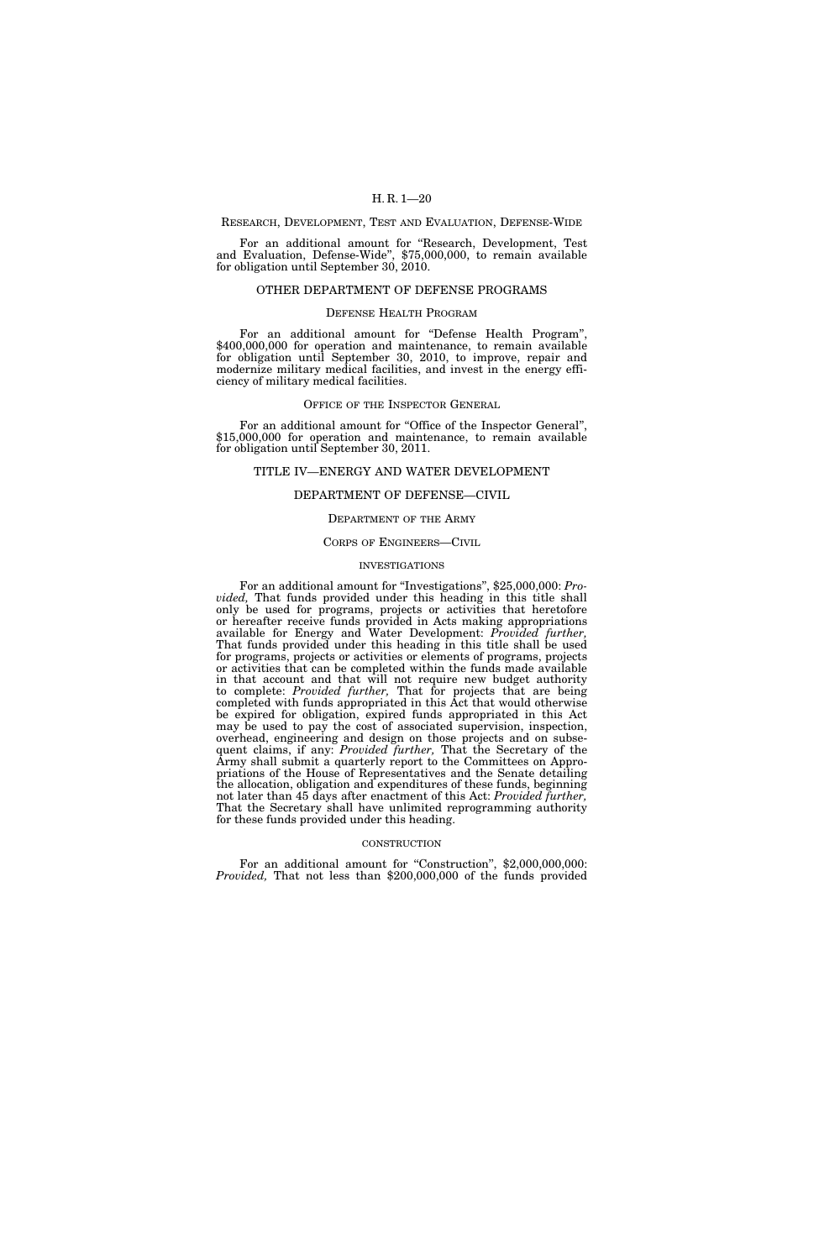#### RESEARCH, DEVELOPMENT, TEST AND EVALUATION, DEFENSE-WIDE

For an additional amount for ''Research, Development, Test and Evaluation, Defense-Wide'', \$75,000,000, to remain available for obligation until September 30, 2010.

#### OTHER DEPARTMENT OF DEFENSE PROGRAMS

#### DEFENSE HEALTH PROGRAM

For an additional amount for "Defense Health Program", \$400,000,000 for operation and maintenance, to remain available for obligation until September 30, 2010, to improve, repair and modernize military medical facilities, and invest in the energy efficiency of military medical facilities.

#### OFFICE OF THE INSPECTOR GENERAL

For an additional amount for "Office of the Inspector General", \$15,000,000 for operation and maintenance, to remain available for obligation until September 30, 2011.

#### TITLE IV—ENERGY AND WATER DEVELOPMENT

#### DEPARTMENT OF DEFENSE—CIVIL

#### DEPARTMENT OF THE ARMY

#### CORPS OF ENGINEERS—CIVIL

#### INVESTIGATIONS

For an additional amount for ''Investigations'', \$25,000,000: *Provided,* That funds provided under this heading in this title shall only be used for programs, projects or activities that heretofore or hereafter receive funds provided in Acts making appropriations available for Energy and Water Development: *Provided further,*  That funds provided under this heading in this title shall be used for programs, projects or activities or elements of programs, projects or activities that can be completed within the funds made available in that account and that will not require new budget authority to complete: *Provided further,* That for projects that are being completed with funds appropriated in this Act that would otherwise be expired for obligation, expired funds appropriated in this Act may be used to pay the cost of associated supervision, inspection, overhead, engineering and design on those projects and on subsequent claims, if any: *Provided further,* That the Secretary of the Army shall submit a quarterly report to the Committees on Appropriations of the House of Representatives and the Senate detailing the allocation, obligation and expenditures of these funds, beginning not later than 45 days after enactment of this Act: *Provided further,*  That the Secretary shall have unlimited reprogramming authority for these funds provided under this heading.

#### **CONSTRUCTION**

For an additional amount for "Construction", \$2,000,000,000: *Provided,* That not less than \$200,000,000 of the funds provided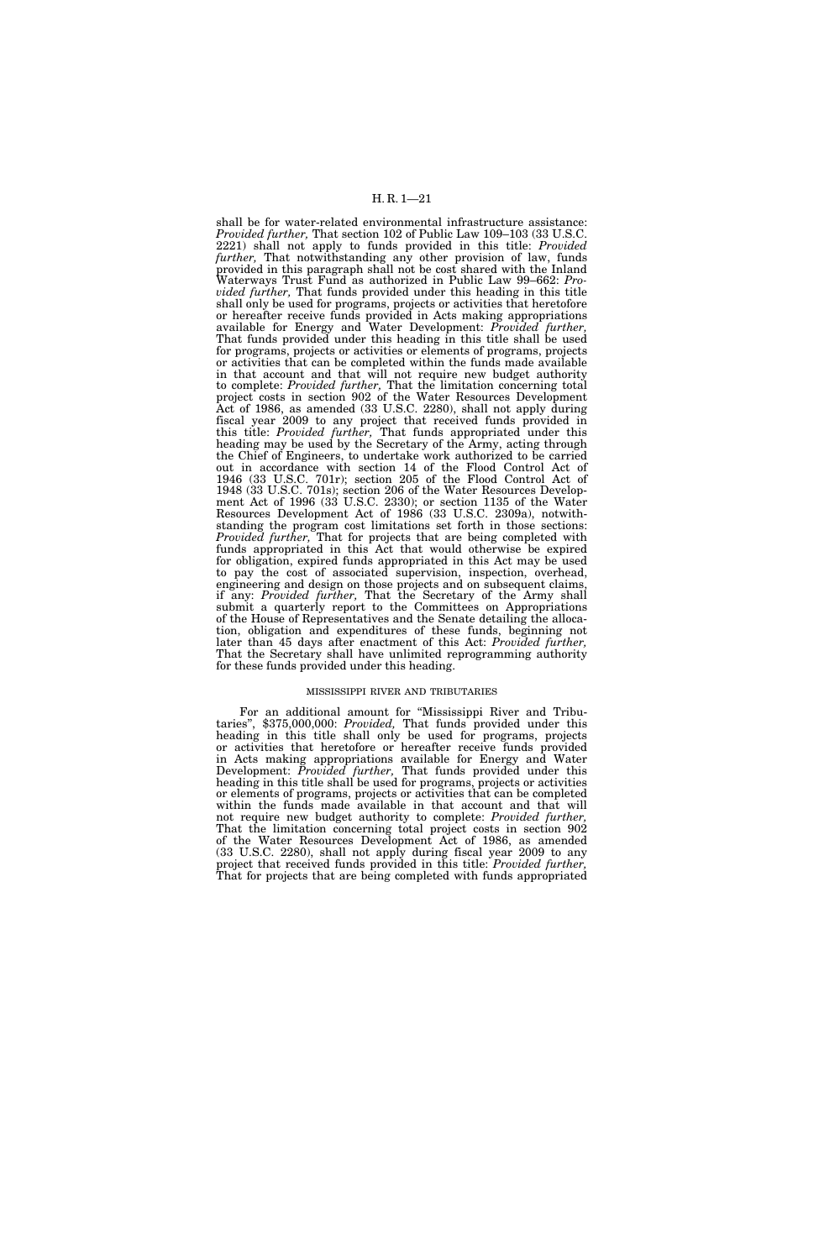shall be for water-related environmental infrastructure assistance: *Provided further,* That section 102 of Public Law 109–103 (33 U.S.C. 2221) shall not apply to funds provided in this title: *Provided further,* That notwithstanding any other provision of law, funds provided in this paragraph shall not be cost shared with the Inland Waterways Trust Fund as authorized in Public Law 99–662: *Provided further,* That funds provided under this heading in this title shall only be used for programs, projects or activities that heretofore or hereafter receive funds provided in Acts making appropriations available for Energy and Water Development: *Provided further,*  That funds provided under this heading in this title shall be used for programs, projects or activities or elements of programs, projects or activities that can be completed within the funds made available in that account and that will not require new budget authority to complete: *Provided further,* That the limitation concerning total project costs in section 902 of the Water Resources Development Act of 1986, as amended (33 U.S.C. 2280), shall not apply during fiscal year 2009 to any project that received funds provided in this title: *Provided further,* That funds appropriated under this heading may be used by the Secretary of the Army, acting through the Chief of Engineers, to undertake work authorized to be carried out in accordance with section 14 of the Flood Control Act of 1946 (33 U.S.C. 701r); section 205 of the Flood Control Act of 1948 (33 U.S.C. 701s); section 206 of the Water Resources Development Act of 1996 (33 U.S.C. 2330); or section 1135 of the Water Resources Development Act of 1986 (33 U.S.C. 2309a), notwithstanding the program cost limitations set forth in those sections: *Provided further,* That for projects that are being completed with funds appropriated in this Act that would otherwise be expired for obligation, expired funds appropriated in this Act may be used to pay the cost of associated supervision, inspection, overhead, engineering and design on those projects and on subsequent claims, if any: *Provided further,* That the Secretary of the Army shall submit a quarterly report to the Committees on Appropriations of the House of Representatives and the Senate detailing the allocation, obligation and expenditures of these funds, beginning not later than 45 days after enactment of this Act: *Provided further,*  That the Secretary shall have unlimited reprogramming authority for these funds provided under this heading.

#### MISSISSIPPI RIVER AND TRIBUTARIES

For an additional amount for ''Mississippi River and Tributaries'', \$375,000,000: *Provided,* That funds provided under this heading in this title shall only be used for programs, projects or activities that heretofore or hereafter receive funds provided in Acts making appropriations available for Energy and Water Development: *Provided further,* That funds provided under this heading in this title shall be used for programs, projects or activities or elements of programs, projects or activities that can be completed within the funds made available in that account and that will not require new budget authority to complete: *Provided further,*  That the limitation concerning total project costs in section 902 of the Water Resources Development Act of 1986, as amended (33 U.S.C. 2280), shall not apply during fiscal year 2009 to any project that received funds provided in this title: *Provided further,*  That for projects that are being completed with funds appropriated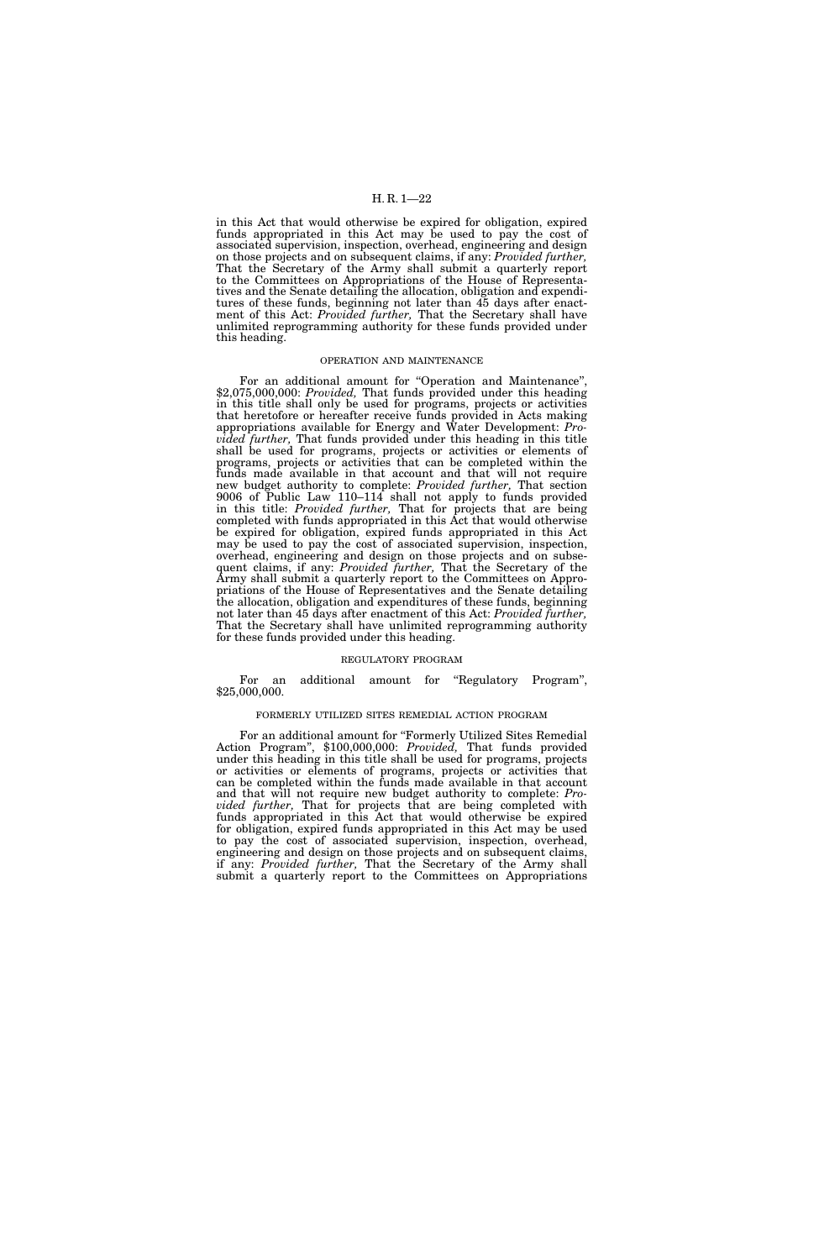in this Act that would otherwise be expired for obligation, expired funds appropriated in this Act may be used to pay the cost of associated supervision, inspection, overhead, engineering and design on those projects and on subsequent claims, if any: *Provided further,*  That the Secretary of the Army shall submit a quarterly report to the Committees on Appropriations of the House of Representatives and the Senate detailing the allocation, obligation and expenditures of these funds, beginning not later than 45 days after enactment of this Act: *Provided further,* That the Secretary shall have unlimited reprogramming authority for these funds provided under this heading.

#### OPERATION AND MAINTENANCE

For an additional amount for ''Operation and Maintenance'', \$2,075,000,000: *Provided,* That funds provided under this heading in this title shall only be used for programs, projects or activities that heretofore or hereafter receive funds provided in Acts making appropriations available for Energy and Water Development: *Provided further,* That funds provided under this heading in this title shall be used for programs, projects or activities or elements of programs, projects or activities that can be completed within the funds made available in that account and that will not require new budget authority to complete: *Provided further,* That section 9006 of Public Law 110–114 shall not apply to funds provided in this title: *Provided further,* That for projects that are being completed with funds appropriated in this Act that would otherwise be expired for obligation, expired funds appropriated in this Act may be used to pay the cost of associated supervision, inspection, overhead, engineering and design on those projects and on subsequent claims, if any: *Provided further,* That the Secretary of the Army shall submit a quarterly report to the Committees on Appropriations of the House of Representatives and the Senate detailing the allocation, obligation and expenditures of these funds, beginning not later than 45 days after enactment of this Act: *Provided further,*  That the Secretary shall have unlimited reprogramming authority for these funds provided under this heading.

#### REGULATORY PROGRAM

For an additional amount for "Regulatory Program", \$25,000,000.

#### FORMERLY UTILIZED SITES REMEDIAL ACTION PROGRAM

For an additional amount for ''Formerly Utilized Sites Remedial Action Program'', \$100,000,000: *Provided,* That funds provided under this heading in this title shall be used for programs, projects or activities or elements of programs, projects or activities that can be completed within the funds made available in that account and that will not require new budget authority to complete: *Provided further,* That for projects that are being completed with funds appropriated in this Act that would otherwise be expired for obligation, expired funds appropriated in this Act may be used to pay the cost of associated supervision, inspection, overhead, engineering and design on those projects and on subsequent claims, if any: *Provided further,* That the Secretary of the Army shall submit a quarterly report to the Committees on Appropriations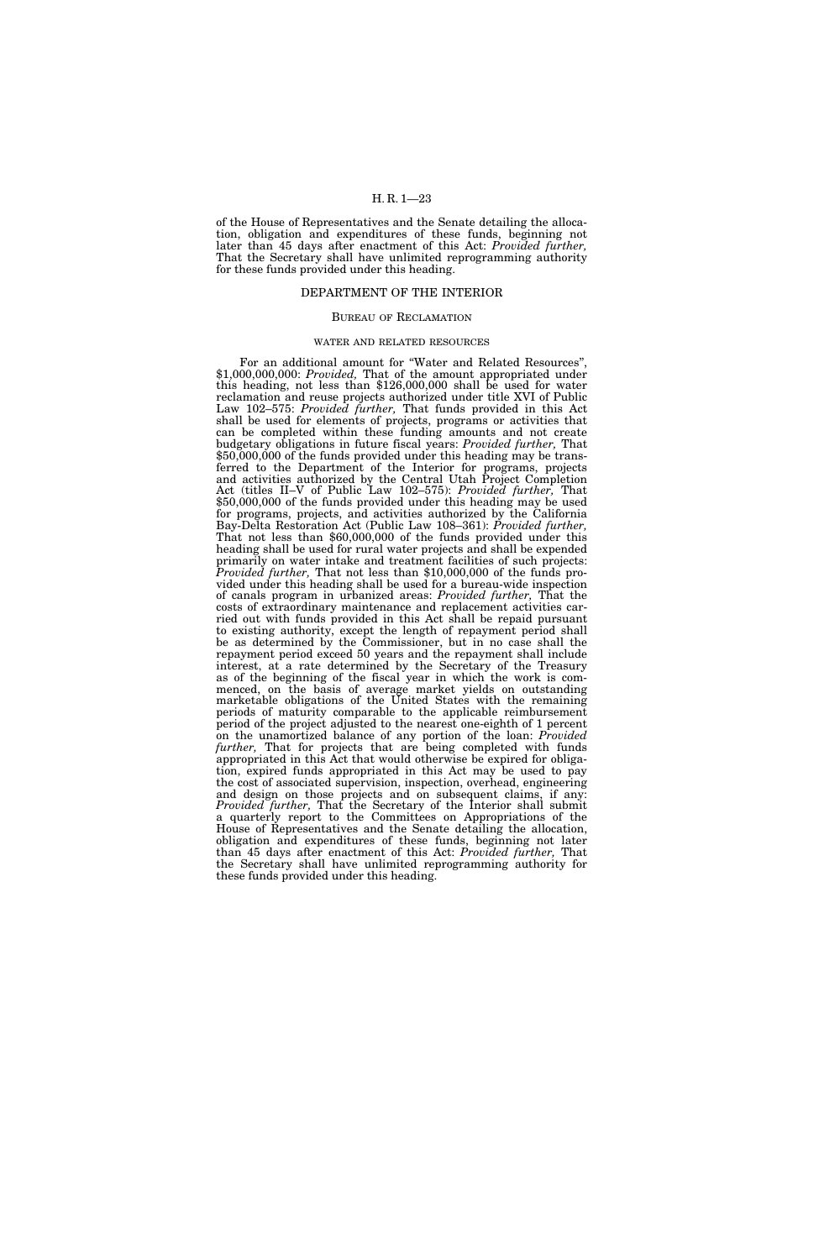of the House of Representatives and the Senate detailing the allocation, obligation and expenditures of these funds, beginning not later than 45 days after enactment of this Act: *Provided further,*  That the Secretary shall have unlimited reprogramming authority for these funds provided under this heading.

#### DEPARTMENT OF THE INTERIOR

#### BUREAU OF RECLAMATION

#### WATER AND RELATED RESOURCES

For an additional amount for "Water and Related Resources" \$1,000,000,000: *Provided,* That of the amount appropriated under this heading, not less than \$126,000,000 shall be used for water reclamation and reuse projects authorized under title XVI of Public Law 102–575: *Provided further,* That funds provided in this Act shall be used for elements of projects, programs or activities that can be completed within these funding amounts and not create budgetary obligations in future fiscal years: *Provided further,* That \$50,000,000 of the funds provided under this heading may be transferred to the Department of the Interior for programs, projects and activities authorized by the Central Utah Project Completion Act (titles II–V of Public Law 102–575): *Provided further,* That \$50,000,000 of the funds provided under this heading may be used for programs, projects, and activities authorized by the California<br>Bay-Delta Restoration Act (Public Law 108–361): Provided further, That not less than \$60,000,000 of the funds provided under this heading shall be used for rural water projects and shall be expended primarily on water intake and treatment facilities of such projects: *Provided further,* That not less than \$10,000,000 of the funds provided under this heading shall be used for a bureau-wide inspection of canals program in urbanized areas: *Provided further,* That the costs of extraordinary maintenance and replacement activities carried out with funds provided in this Act shall be repaid pursuant to existing authority, except the length of repayment period shall be as determined by the Commissioner, but in no case shall the repayment period exceed 50 years and the repayment shall include interest, at a rate determined by the Secretary of the Treasury as of the beginning of the fiscal year in which the work is commenced, on the basis of average market yields on outstanding marketable obligations of the United States with the remaining periods of maturity comparable to the applicable reimbursement period of the project adjusted to the nearest one-eighth of 1 percent on the unamortized balance of any portion of the loan: *Provided further,* That for projects that are being completed with funds appropriated in this Act that would otherwise be expired for obligation, expired funds appropriated in this Act may be used to pay the cost of associated supervision, inspection, overhead, engineering and design on those projects and on subsequent claims, if any: *Provided further,* That the Secretary of the Interior shall submit a quarterly report to the Committees on Appropriations of the House of Representatives and the Senate detailing the allocation, obligation and expenditures of these funds, beginning not later than 45 days after enactment of this Act: *Provided further,* That the Secretary shall have unlimited reprogramming authority for these funds provided under this heading.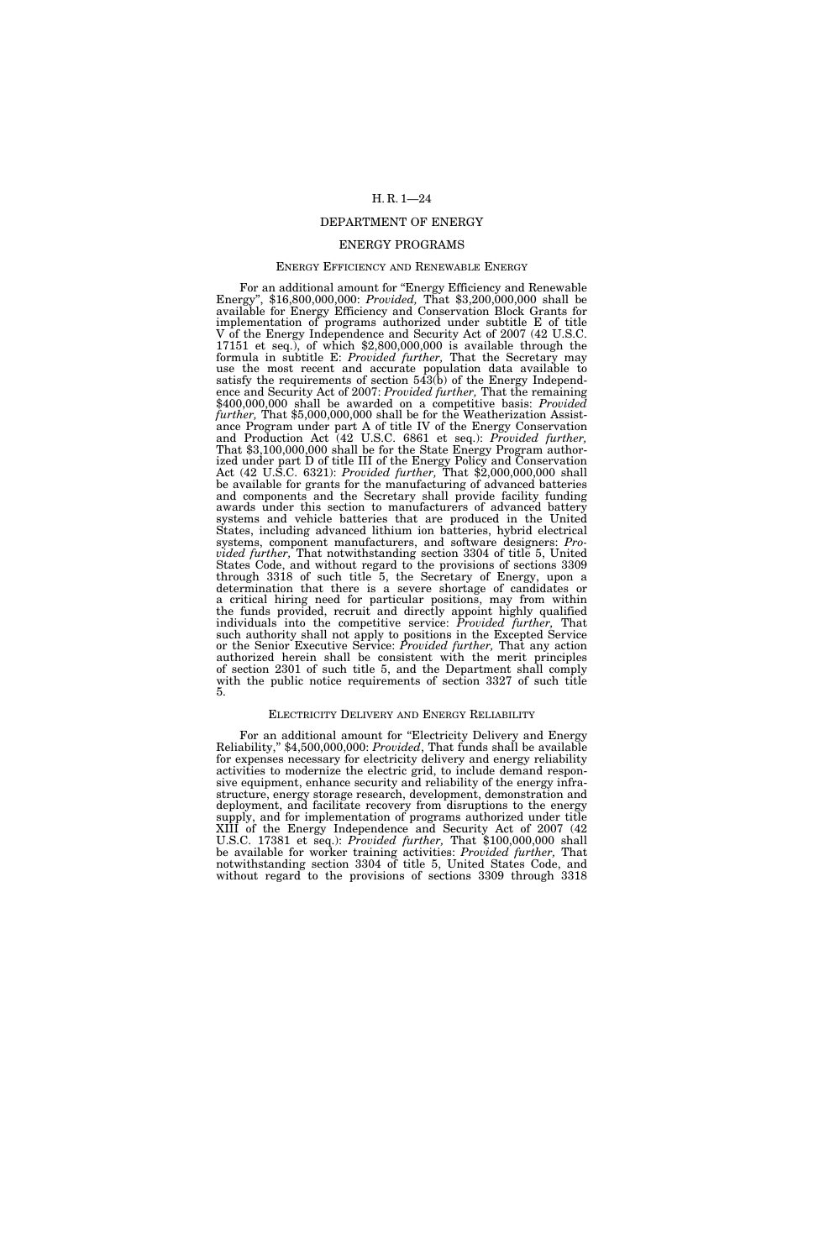#### DEPARTMENT OF ENERGY

#### ENERGY PROGRAMS

#### ENERGY EFFICIENCY AND RENEWABLE ENERGY

For an additional amount for ''Energy Efficiency and Renewable Energy'', \$16,800,000,000: *Provided,* That \$3,200,000,000 shall be available for Energy Efficiency and Conservation Block Grants for implementation of programs authorized under subtitle E of title V of the Energy Independence and Security Act of 2007 (42 U.S.C. 17151 et seq.), of which \$2,800,000,000 is available through the formula in subtitle E: *Provided further,* That the Secretary may use the most recent and accurate population data available to satisfy the requirements of section 543(b) of the Energy Independence and Security Act of 2007: *Provided further,* That the remaining \$400,000,000 shall be awarded on a competitive basis: *Provided further,* That \$5,000,000,000 shall be for the Weatherization Assistance Program under part A of title IV of the Energy Conservation<br>and Production Act (42 U.S.C. 6861 et seq.): Provided further, That \$3,100,000,000 shall be for the State Energy Program authorized under part D of title III of the Energy Policy and Conservation Act (42 U.S.C. 6321): *Provided further,* That \$2,000,000,000 shall be available for grants for the manufacturing of advanced batteries and components and the Secretary shall provide facility funding awards under this section to manufacturers of advanced battery systems and vehicle batteries that are produced in the United States, including advanced lithium ion batteries, hybrid electrical systems, component manufacturers, and software designers: *Provided further,* That notwithstanding section 3304 of title 5, United States Code, and without regard to the provisions of sections 3309 through 3318 of such title 5, the Secretary of Energy, upon a determination that there is a severe shortage of candidates or a critical hiring need for particular positions, may from within the funds provided, recruit and directly appoint highly qualified individuals into the competitive service: *Provided further,* That such authority shall not apply to positions in the Excepted Service or the Senior Executive Service: *Provided further,* That any action authorized herein shall be consistent with the merit principles of section 2301 of such title 5, and the Department shall comply with the public notice requirements of section 3327 of such title 5.

#### ELECTRICITY DELIVERY AND ENERGY RELIABILITY

For an additional amount for ''Electricity Delivery and Energy Reliability,'' \$4,500,000,000: *Provided*, That funds shall be available for expenses necessary for electricity delivery and energy reliability activities to modernize the electric grid, to include demand responsive equipment, enhance security and reliability of the energy infrastructure, energy storage research, development, demonstration and deployment, and facilitate recovery from disruptions to the energy supply, and for implementation of programs authorized under title XIII of the Energy Independence and Security Act of 2007 (42 U.S.C. 17381 et seq.): *Provided further,* That \$100,000,000 shall be available for worker training activities: *Provided further,* That notwithstanding section 3304 of title 5, United States Code, and without regard to the provisions of sections 3309 through 3318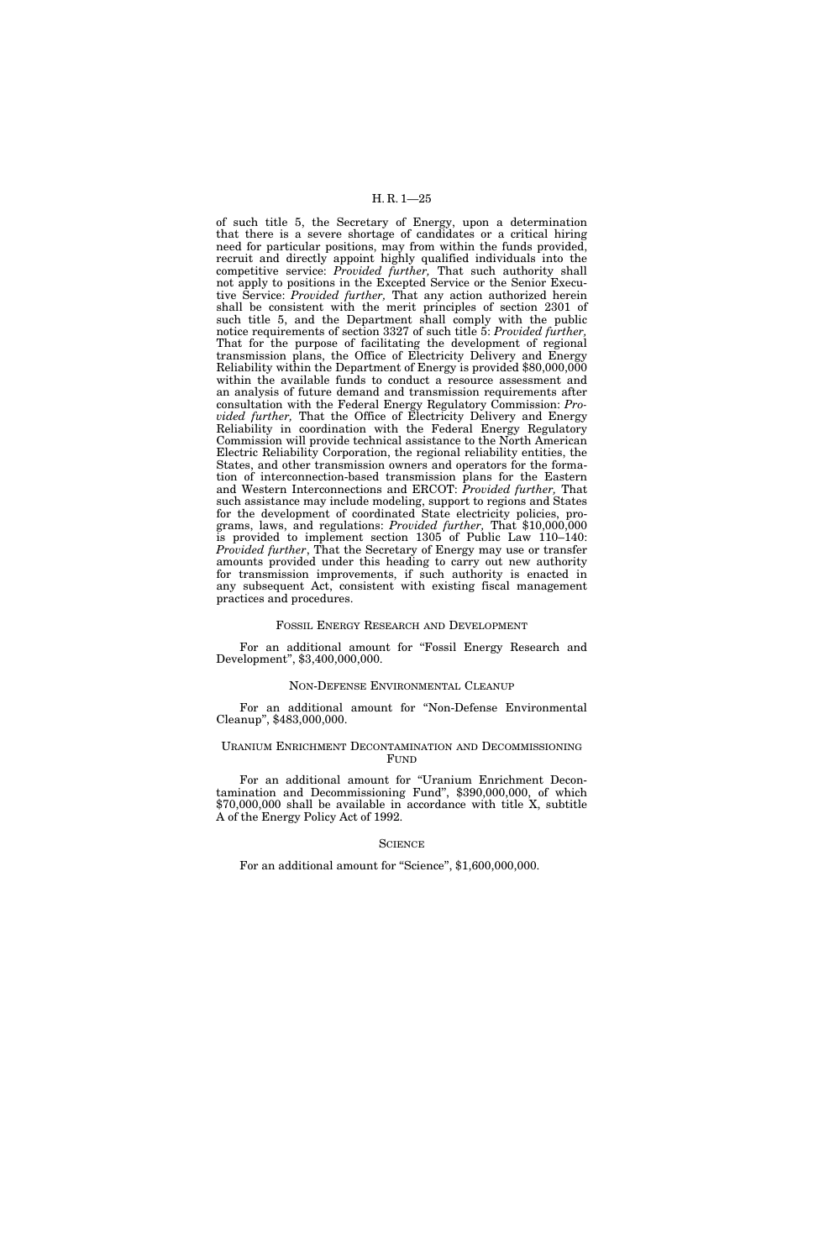of such title 5, the Secretary of Energy, upon a determination that there is a severe shortage of candidates or a critical hiring need for particular positions, may from within the funds provided, recruit and directly appoint highly qualified individuals into the competitive service: *Provided further,* That such authority shall not apply to positions in the Excepted Service or the Senior Executive Service: *Provided further,* That any action authorized herein shall be consistent with the merit principles of section 2301 of such title 5, and the Department shall comply with the public notice requirements of section 3327 of such title 5: *Provided further,*  That for the purpose of facilitating the development of regional transmission plans, the Office of Electricity Delivery and Energy Reliability within the Department of Energy is provided \$80,000,000 within the available funds to conduct a resource assessment and an analysis of future demand and transmission requirements after consultation with the Federal Energy Regulatory Commission: *Provided further,* That the Office of Electricity Delivery and Energy Reliability in coordination with the Federal Energy Regulatory Commission will provide technical assistance to the North American Electric Reliability Corporation, the regional reliability entities, the States, and other transmission owners and operators for the formation of interconnection-based transmission plans for the Eastern and Western Interconnections and ERCOT: *Provided further,* That such assistance may include modeling, support to regions and States for the development of coordinated State electricity policies, programs, laws, and regulations: *Provided further,* That \$10,000,000 is provided to implement section 1305 of Public Law 110–140: *Provided further*, That the Secretary of Energy may use or transfer amounts provided under this heading to carry out new authority for transmission improvements, if such authority is enacted in any subsequent Act, consistent with existing fiscal management practices and procedures.

#### FOSSIL ENERGY RESEARCH AND DEVELOPMENT

For an additional amount for "Fossil Energy Research and Development'', \$3,400,000,000.

#### NON-DEFENSE ENVIRONMENTAL CLEANUP

For an additional amount for ''Non-Defense Environmental Cleanup'', \$483,000,000.

#### URANIUM ENRICHMENT DECONTAMINATION AND DECOMMISSIONING FUND

For an additional amount for "Uranium Enrichment Decontamination and Decommissioning Fund'', \$390,000,000, of which \$70,000,000 shall be available in accordance with title X, subtitle A of the Energy Policy Act of 1992.

#### **SCIENCE**

For an additional amount for "Science", \$1,600,000,000.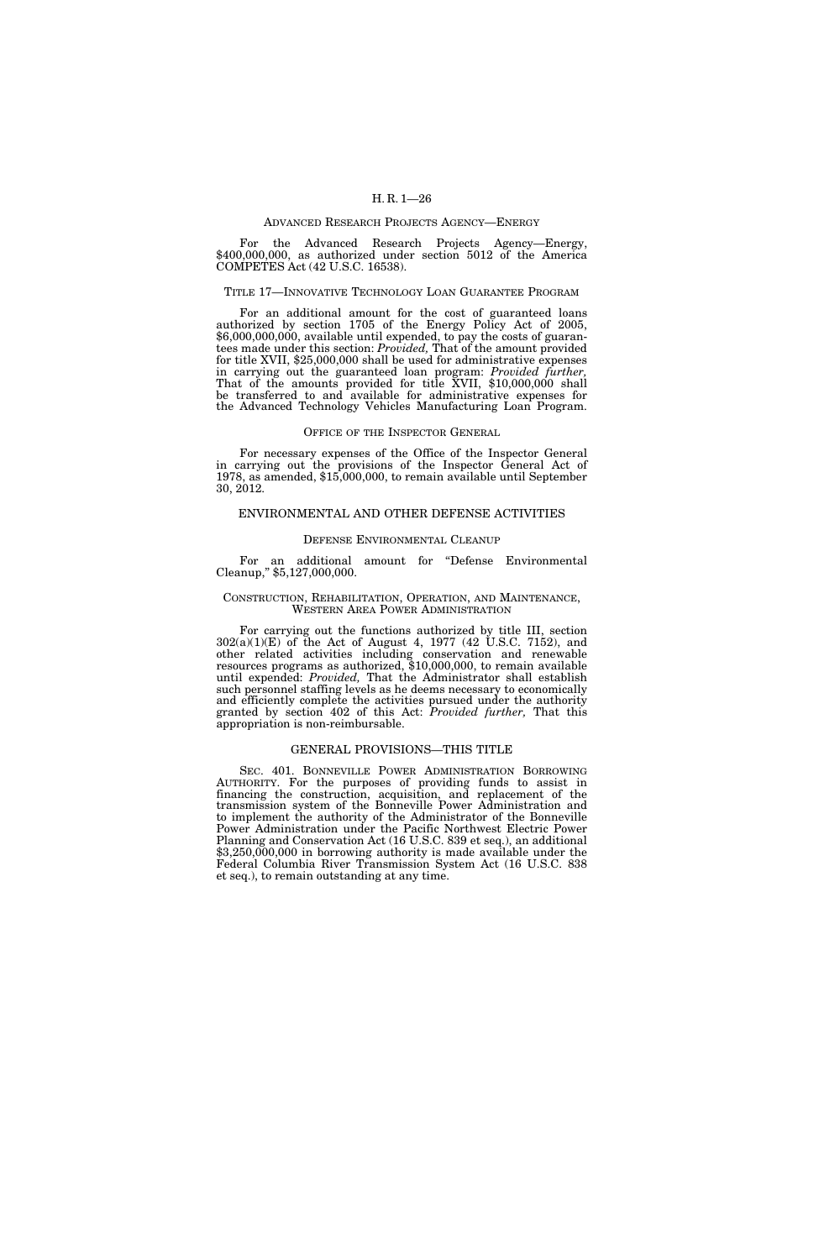#### ADVANCED RESEARCH PROJECTS AGENCY—ENERGY

For the Advanced Research Projects Agency—Energy, \$400,000,000, as authorized under section 5012 of the America COMPETES Act (42 U.S.C. 16538).

#### TITLE 17—INNOVATIVE TECHNOLOGY LOAN GUARANTEE PROGRAM

For an additional amount for the cost of guaranteed loans authorized by section 1705 of the Energy Policy Act of 2005, \$6,000,000,000, available until expended, to pay the costs of guarantees made under this section: *Provided,* That of the amount provided for title XVII, \$25,000,000 shall be used for administrative expenses in carrying out the guaranteed loan program: *Provided further,*  That of the amounts provided for title XVII, \$10,000,000 shall be transferred to and available for administrative expenses for the Advanced Technology Vehicles Manufacturing Loan Program.

#### OFFICE OF THE INSPECTOR GENERAL

For necessary expenses of the Office of the Inspector General in carrying out the provisions of the Inspector General Act of 1978, as amended, \$15,000,000, to remain available until September 30, 2012.

#### ENVIRONMENTAL AND OTHER DEFENSE ACTIVITIES

#### DEFENSE ENVIRONMENTAL CLEANUP

For an additional amount for ''Defense Environmental Cleanup,'' \$5,127,000,000.

#### CONSTRUCTION, REHABILITATION, OPERATION, AND MAINTENANCE, WESTERN AREA POWER ADMINISTRATION

For carrying out the functions authorized by title III, section 302(a)(1)(E) of the Act of August 4, 1977 (42 U.S.C. 7152), and other related activities including conservation and renewable resources programs as authorized, \$10,000,000, to remain available until expended: *Provided,* That the Administrator shall establish such personnel staffing levels as he deems necessary to economically and efficiently complete the activities pursued under the authority granted by section 402 of this Act: *Provided further,* That this appropriation is non-reimbursable.

#### GENERAL PROVISIONS—THIS TITLE

SEC. 401. BONNEVILLE POWER ADMINISTRATION BORROWING AUTHORITY. For the purposes of providing funds to assist in financing the construction, acquisition, and replacement of the transmission system of the Bonneville Power Administration and to implement the authority of the Administrator of the Bonneville Power Administration under the Pacific Northwest Electric Power Planning and Conservation Act (16 U.S.C. 839 et seq.), an additional \$3,250,000,000 in borrowing authority is made available under the Federal Columbia River Transmission System Act (16 U.S.C. 838 et seq.), to remain outstanding at any time.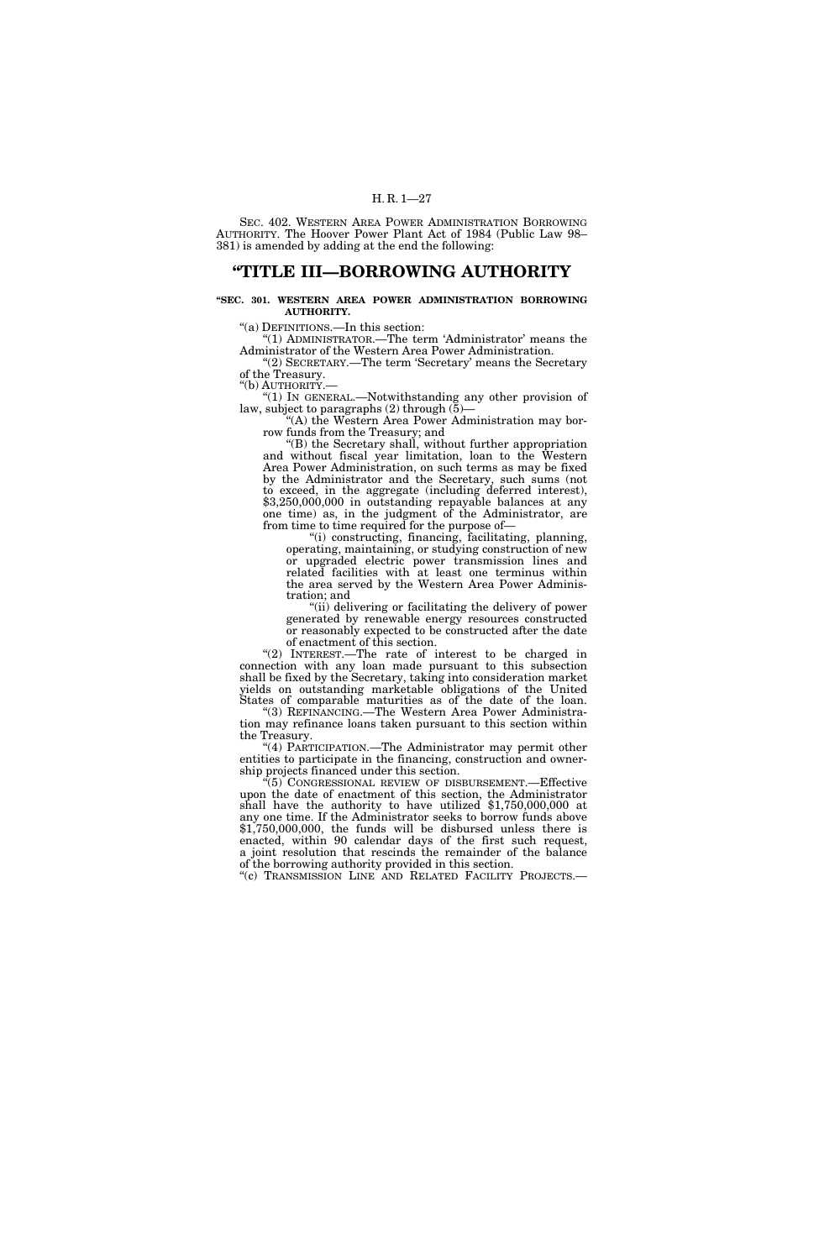SEC. 402. WESTERN AREA POWER ADMINISTRATION BORROWING AUTHORITY. The Hoover Power Plant Act of 1984 (Public Law 98– 381) is amended by adding at the end the following:

### **''TITLE III—BORROWING AUTHORITY**

#### **''SEC. 301. WESTERN AREA POWER ADMINISTRATION BORROWING AUTHORITY.**

''(a) DEFINITIONS.—In this section:

"(1) ADMINISTRATOR.—The term 'Administrator' means the Administrator of the Western Area Power Administration.

''(2) SECRETARY.—The term 'Secretary' means the Secretary of the Treasury. ''(b) AUTHORITY.—

''(1) IN GENERAL.—Notwithstanding any other provision of law, subject to paragraphs  $(2)$  through  $(5)$ —

''(A) the Western Area Power Administration may borrow funds from the Treasury; and

''(B) the Secretary shall, without further appropriation and without fiscal year limitation, loan to the Western Area Power Administration, on such terms as may be fixed by the Administrator and the Secretary, such sums (not to exceed, in the aggregate (including deferred interest), \$3,250,000,000 in outstanding repayable balances at any one time) as, in the judgment of the Administrator, are from time to time required for the purpose of—

''(i) constructing, financing, facilitating, planning, operating, maintaining, or studying construction of new or upgraded electric power transmission lines and related facilities with at least one terminus within the area served by the Western Area Power Administration; and

''(ii) delivering or facilitating the delivery of power generated by renewable energy resources constructed or reasonably expected to be constructed after the date of enactment of this section.

''(2) INTEREST.—The rate of interest to be charged in connection with any loan made pursuant to this subsection shall be fixed by the Secretary, taking into consideration market yields on outstanding marketable obligations of the United States of comparable maturities as of the date of the loan.

''(3) REFINANCING.—The Western Area Power Administration may refinance loans taken pursuant to this section within the Treasury.

''(4) PARTICIPATION.—The Administrator may permit other entities to participate in the financing, construction and ownership projects financed under this section.

''(5) CONGRESSIONAL REVIEW OF DISBURSEMENT.—Effective upon the date of enactment of this section, the Administrator shall have the authority to have utilized \$1,750,000,000 at any one time. If the Administrator seeks to borrow funds above \$1,750,000,000, the funds will be disbursed unless there is enacted, within 90 calendar days of the first such request, a joint resolution that rescinds the remainder of the balance of the borrowing authority provided in this section.

"(c) TRANSMISSION LINE AND RELATED FACILITY PROJECTS.-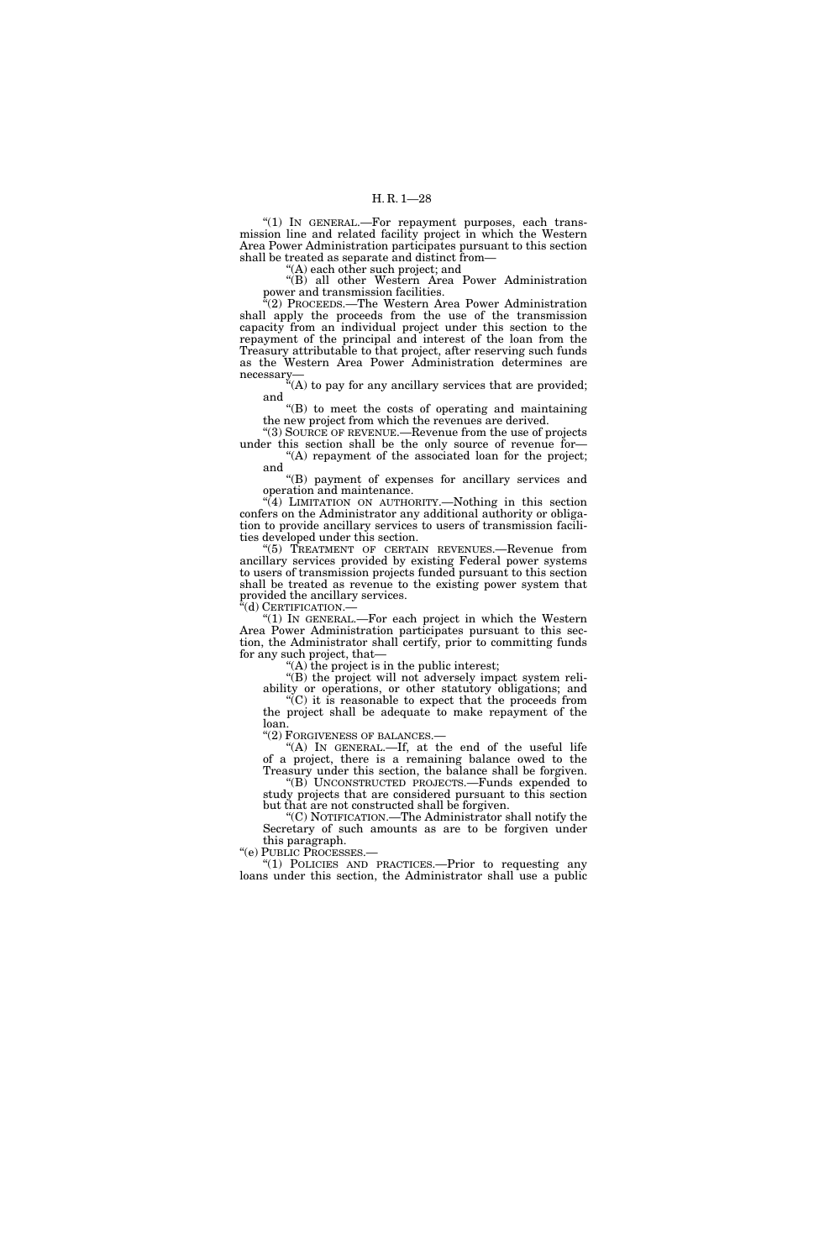"(1) IN GENERAL.-For repayment purposes, each transmission line and related facility project in which the Western Area Power Administration participates pursuant to this section shall be treated as separate and distinct from—

''(A) each other such project; and

''(B) all other Western Area Power Administration power and transmission facilities.

''(2) PROCEEDS.—The Western Area Power Administration shall apply the proceeds from the use of the transmission capacity from an individual project under this section to the repayment of the principal and interest of the loan from the Treasury attributable to that project, after reserving such funds as the Western Area Power Administration determines are necessary—

''(A) to pay for any ancillary services that are provided; and

''(B) to meet the costs of operating and maintaining the new project from which the revenues are derived.

''(3) SOURCE OF REVENUE.—Revenue from the use of projects under this section shall be the only source of revenue for— ''(A) repayment of the associated loan for the project;

and ''(B) payment of expenses for ancillary services and

operation and maintenance. ''(4) LIMITATION ON AUTHORITY.—Nothing in this section confers on the Administrator any additional authority or obligation to provide ancillary services to users of transmission facili-

ties developed under this section. ''(5) TREATMENT OF CERTAIN REVENUES.—Revenue from ancillary services provided by existing Federal power systems to users of transmission projects funded pursuant to this section shall be treated as revenue to the existing power system that provided the ancillary services.<br>"(d) CERTIFICATION.—

" $(1)$  In GENERAL.—For each project in which the Western Area Power Administration participates pursuant to this section, the Administrator shall certify, prior to committing funds for any such project, that—

 $(A)$  the project is in the public interest;

''(B) the project will not adversely impact system reliability or operations, or other statutory obligations; and

 $\mathcal{C}(C)$  it is reasonable to expect that the proceeds from the project shall be adequate to make repayment of the loan.

''(2) FORGIVENESS OF BALANCES.—

"(A) IN GENERAL.—If, at the end of the useful life of a project, there is a remaining balance owed to the Treasury under this section, the balance shall be forgiven.

''(B) UNCONSTRUCTED PROJECTS.—Funds expended to study projects that are considered pursuant to this section but that are not constructed shall be forgiven.

''(C) NOTIFICATION.—The Administrator shall notify the Secretary of such amounts as are to be forgiven under this paragraph.<br>"(e) PUBLIC PROCESSES.-

"(1) POLICIES AND PRACTICES.— Prior to requesting any loans under this section, the Administrator shall use a public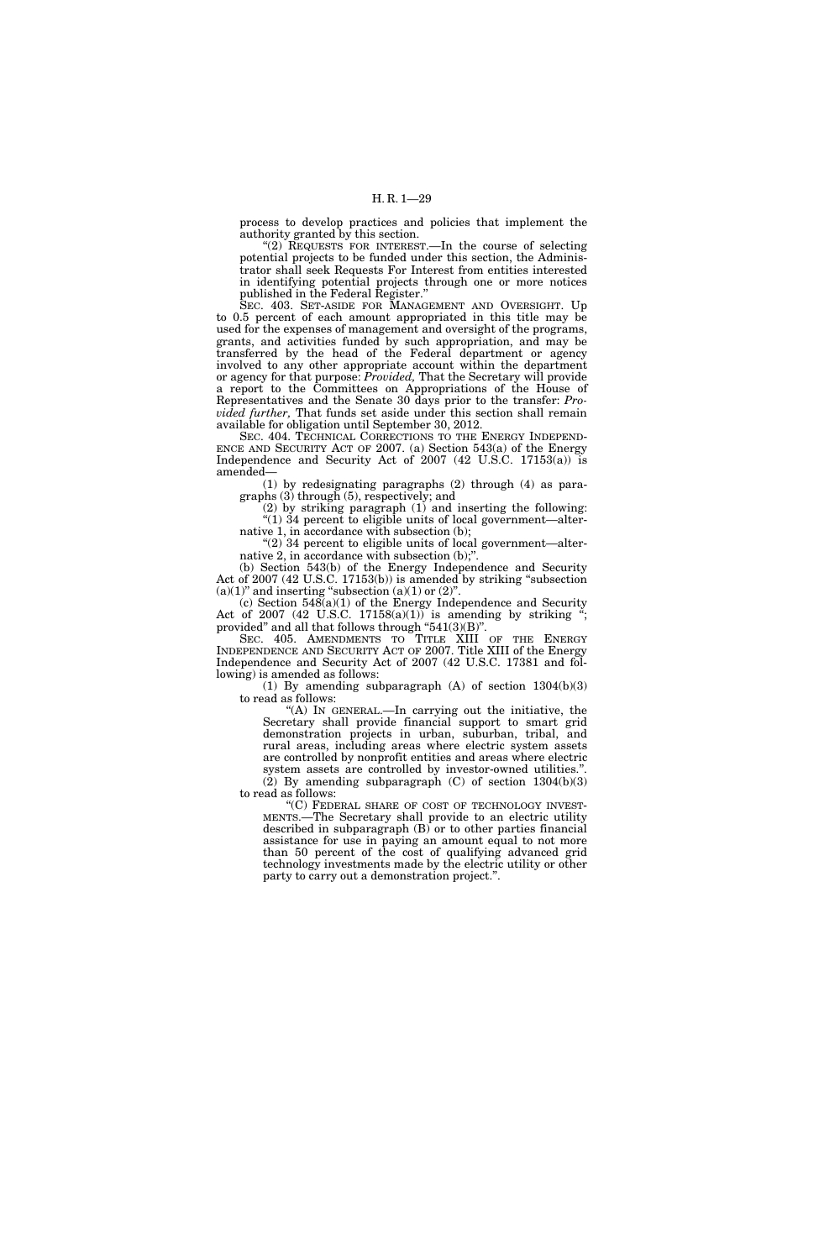process to develop practices and policies that implement the authority granted by this section.

''(2) REQUESTS FOR INTEREST.—In the course of selecting potential projects to be funded under this section, the Administrator shall seek Requests For Interest from entities interested in identifying potential projects through one or more notices published in the Federal Register.''

SEC. 403. SET-ASIDE FOR MANAGEMENT AND OVERSIGHT. Up to 0.5 percent of each amount appropriated in this title may be used for the expenses of management and oversight of the programs, grants, and activities funded by such appropriation, and may be transferred by the head of the Federal department or agency involved to any other appropriate account within the department or agency for that purpose: *Provided,* That the Secretary will provide a report to the Committees on Appropriations of the House of Representatives and the Senate 30 days prior to the transfer: *Provided further,* That funds set aside under this section shall remain available for obligation until September 30, 2012.

SEC. 404. TECHNICAL CORRECTIONS TO THE ENERGY INDEPEND-ENCE AND SECURITY ACT OF 2007. (a) Section 543(a) of the Energy Independence and Security Act of 2007 (42 U.S.C. 17153(a)) is amended—

(1) by redesignating paragraphs (2) through (4) as paragraphs (3) through (5), respectively; and

(2) by striking paragraph (1) and inserting the following: " $(1)$  34 percent to eligible units of local government—alternative 1, in accordance with subsection (b);

"(2)  $34$  percent to eligible units of local government—alternative 2, in accordance with subsection (b);"

(b) Section 543(b) of the Energy Independence and Security Act of 2007 (42 U.S.C. 17153(b)) is amended by striking ''subsection  $(a)(1)$ " and inserting "subsection  $(a)(1)$  or  $(2)$ ".

 $(c)$  Section  $548(a)(1)$  of the Energy Independence and Security Act of 2007 (42 U.S.C.  $17158(a)(1)$ ) is amending by striking "; provided" and all that follows through "541(3)(B)".

SEC. 405. AMENDMENTS TO TITLE XIII OF THE ENERGY INDEPENDENCE AND SECURITY ACT OF 2007. Title XIII of the Energy Independence and Security Act of 2007 (42 U.S.C. 17381 and following) is amended as follows:

(1) By amending subparagraph (A) of section 1304(b)(3) to read as follows:

''(A) IN GENERAL.—In carrying out the initiative, the Secretary shall provide financial support to smart grid demonstration projects in urban, suburban, tribal, and rural areas, including areas where electric system assets are controlled by nonprofit entities and areas where electric system assets are controlled by investor-owned utilities.'

(2) By amending subparagraph (C) of section 1304(b)(3) to read as follows:

"(C) FEDERAL SHARE OF COST OF TECHNOLOGY INVEST-MENTS.—The Secretary shall provide to an electric utility described in subparagraph (B) or to other parties financial assistance for use in paying an amount equal to not more than 50 percent of the cost of qualifying advanced grid technology investments made by the electric utility or other party to carry out a demonstration project.''.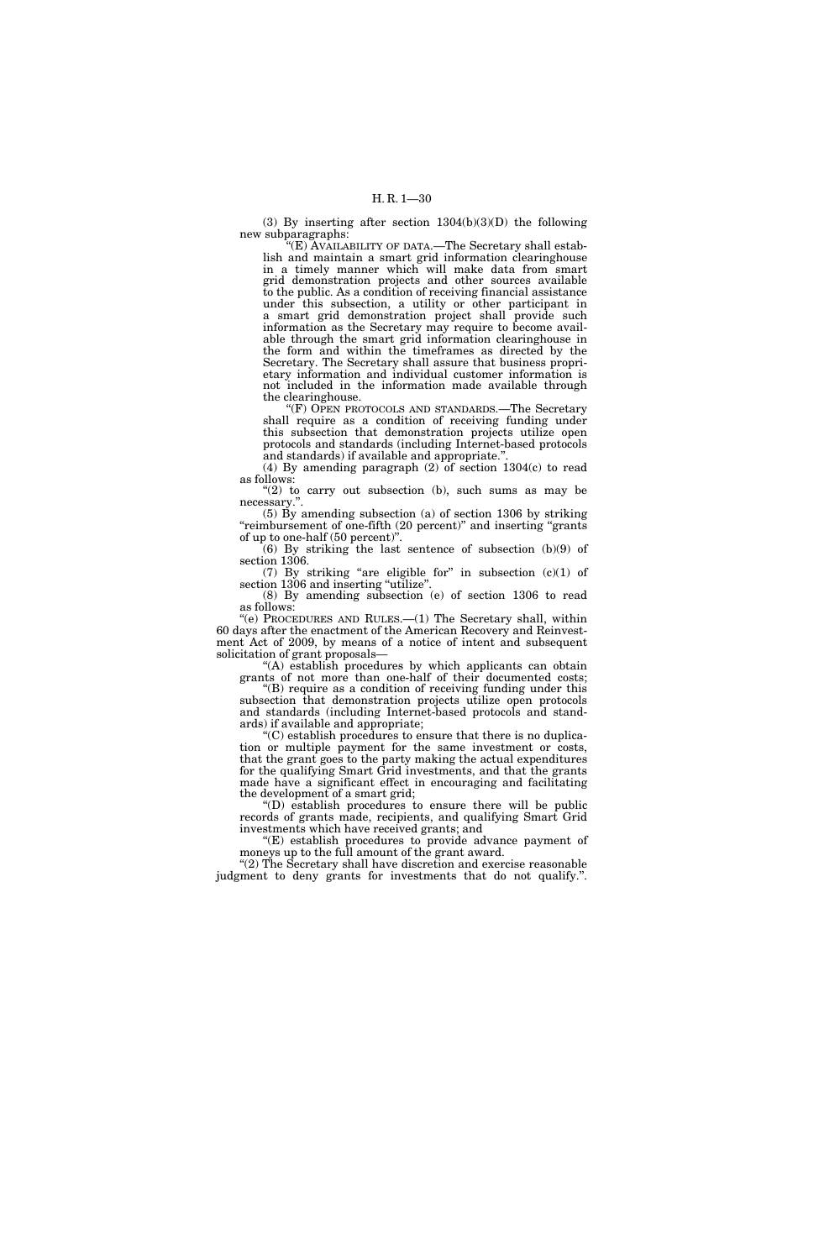(3) By inserting after section 1304(b)(3)(D) the following new subparagraphs:

 $(E)$  AVAILABILITY OF DATA.—The Secretary shall establish and maintain a smart grid information clearinghouse in a timely manner which will make data from smart grid demonstration projects and other sources available to the public. As a condition of receiving financial assistance under this subsection, a utility or other participant in a smart grid demonstration project shall provide such information as the Secretary may require to become available through the smart grid information clearinghouse in the form and within the timeframes as directed by the Secretary. The Secretary shall assure that business proprietary information and individual customer information is not included in the information made available through the clearinghouse.

''(F) OPEN PROTOCOLS AND STANDARDS.—The Secretary shall require as a condition of receiving funding under this subsection that demonstration projects utilize open protocols and standards (including Internet-based protocols and standards) if available and appropriate."

(4) By amending paragraph  $(2)$  of section 1304 $(c)$  to read as follows:

" $(2)$  to carry out subsection  $(b)$ , such sums as may be necessary.'

(5) By amending subsection (a) of section 1306 by striking "reimbursement of one-fifth (20 percent)" and inserting "grants of up to one-half (50 percent)''.

 $(6)$  By striking the last sentence of subsection  $(b)(9)$  of section 1306.

(7) By striking "are eligible for" in subsection  $(c)(1)$  of section 1306 and inserting "utilize". (8) By amending subsection (e) of section 1306 to read

as follows:

''(e) PROCEDURES AND RULES.—(1) The Secretary shall, within 60 days after the enactment of the American Recovery and Reinvestment Act of 2009, by means of a notice of intent and subsequent solicitation of grant proposals—

''(A) establish procedures by which applicants can obtain grants of not more than one-half of their documented costs;

''(B) require as a condition of receiving funding under this subsection that demonstration projects utilize open protocols and standards (including Internet-based protocols and standards) if available and appropriate;

''(C) establish procedures to ensure that there is no duplication or multiple payment for the same investment or costs, that the grant goes to the party making the actual expenditures for the qualifying Smart Grid investments, and that the grants made have a significant effect in encouraging and facilitating the development of a smart grid;

''(D) establish procedures to ensure there will be public records of grants made, recipients, and qualifying Smart Grid investments which have received grants; and

''(E) establish procedures to provide advance payment of moneys up to the full amount of the grant award.

"(2) The Secretary shall have discretion and exercise reasonable judgment to deny grants for investments that do not qualify.''.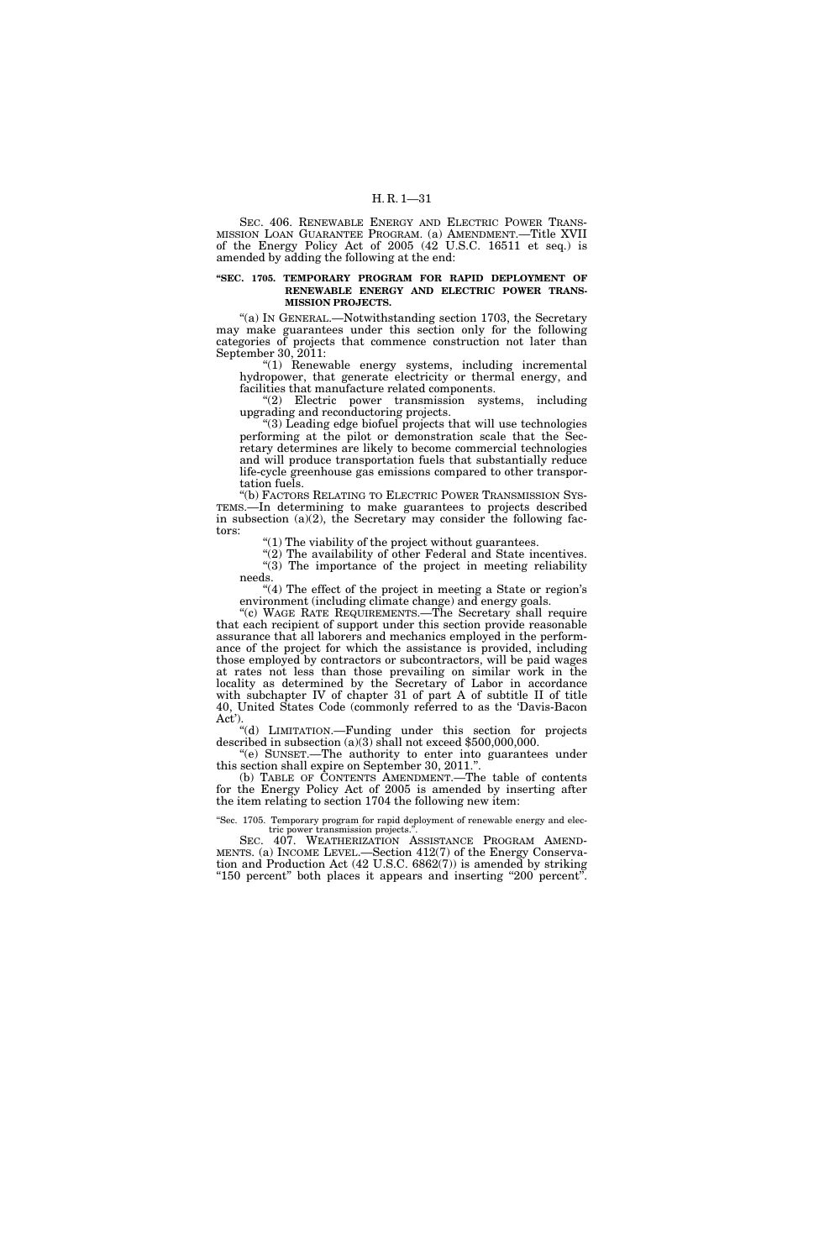SEC. 406. RENEWABLE ENERGY AND ELECTRIC POWER TRANS-MISSION LOAN GUARANTEE PROGRAM. (a) AMENDMENT.—Title XVII of the Energy Policy Act of 2005 (42 U.S.C. 16511 et seq.) is amended by adding the following at the end:

#### **''SEC. 1705. TEMPORARY PROGRAM FOR RAPID DEPLOYMENT OF RENEWABLE ENERGY AND ELECTRIC POWER TRANS-MISSION PROJECTS.**

''(a) IN GENERAL.—Notwithstanding section 1703, the Secretary may make guarantees under this section only for the following categories of projects that commence construction not later than September 30, 2011:

''(1) Renewable energy systems, including incremental hydropower, that generate electricity or thermal energy, and facilities that manufacture related components.

"(2) Electric power transmission systems, including upgrading and reconductoring projects.

''(3) Leading edge biofuel projects that will use technologies performing at the pilot or demonstration scale that the Secretary determines are likely to become commercial technologies and will produce transportation fuels that substantially reduce life-cycle greenhouse gas emissions compared to other transportation fuels.

''(b) FACTORS RELATING TO ELECTRIC POWER TRANSMISSION SYS-TEMS.—In determining to make guarantees to projects described in subsection (a)(2), the Secretary may consider the following factors:

''(1) The viability of the project without guarantees.

 $''(2)$  The availability of other Federal and State incentives.  $\sqrt[4]{(3)}$  The importance of the project in meeting reliability needs.

"(4) The effect of the project in meeting a State or region's environment (including climate change) and energy goals.

"(c) WAGE RATE REQUIREMENTS.—The Secretary shall require that each recipient of support under this section provide reasonable assurance that all laborers and mechanics employed in the performance of the project for which the assistance is provided, including those employed by contractors or subcontractors, will be paid wages at rates not less than those prevailing on similar work in the locality as determined by the Secretary of Labor in accordance with subchapter IV of chapter 31 of part A of subtitle II of title 40, United States Code (commonly referred to as the 'Davis-Bacon Act').

''(d) LIMITATION.—Funding under this section for projects described in subsection (a)(3) shall not exceed \$500,000,000. ''(e) SUNSET.—The authority to enter into guarantees under

this section shall expire on September 30, 2011.''. (b) TABLE OF CONTENTS AMENDMENT.—The table of contents

for the Energy Policy Act of 2005 is amended by inserting after the item relating to section 1704 the following new item:

''Sec. 1705. Temporary program for rapid deployment of renewable energy and electric power transmission projects.''.

SEC. 407. WEATHERIZATION ASSISTANCE PROGRAM AMEND-MENTS. (a) INCOME LEVEL.—Section 412(7) of the Energy Conservation and Production Act (42 U.S.C. 6862(7)) is amended by striking "150 percent" both places it appears and inserting "200 percent".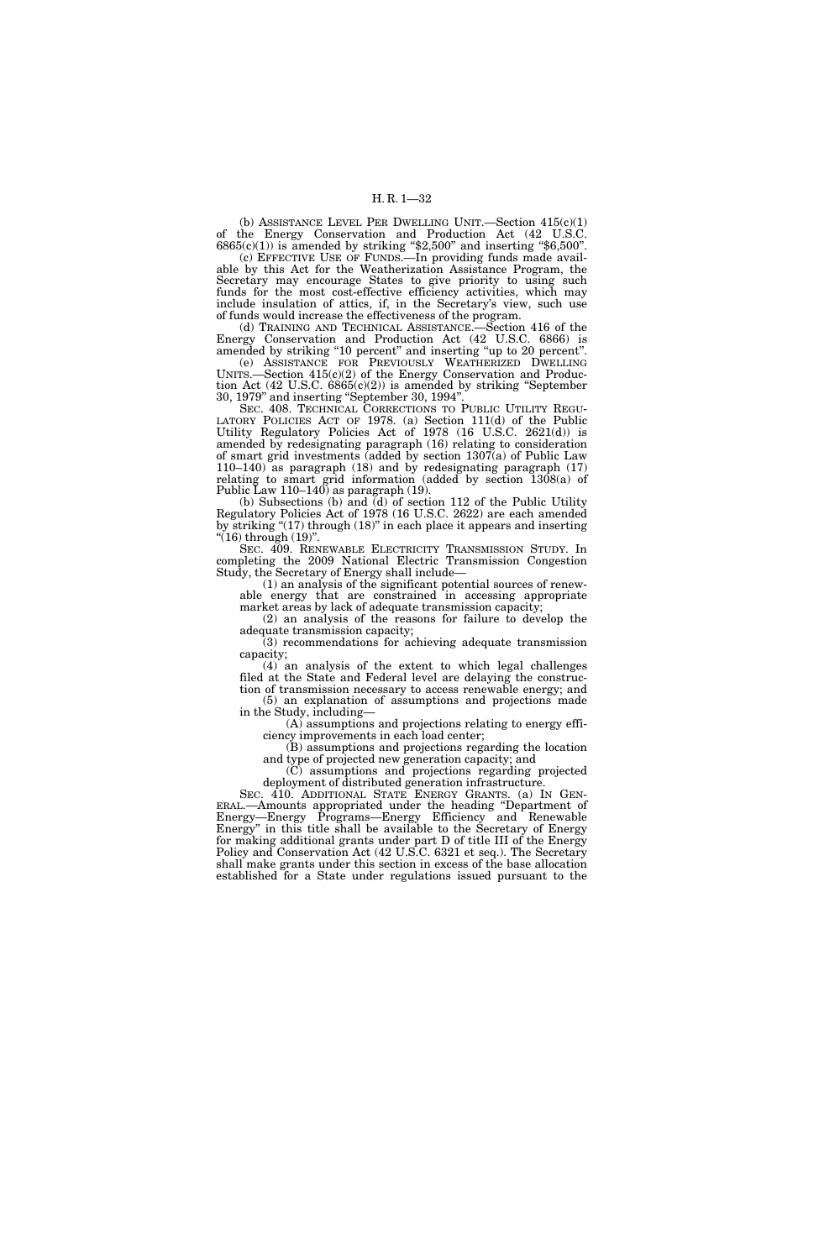(b) ASSISTANCE LEVEL PER DWELLING UNIT.—Section  $415(c)(1)$ of the Energy Conservation and Production Act (42 U.S.C.  $6865(c)(1)$ ) is amended by striking "\$2,500" and inserting "\$6,500".

(c) EFFECTIVE USE OF FUNDS.—In providing funds made available by this Act for the Weatherization Assistance Program, the Secretary may encourage States to give priority to using such funds for the most cost-effective efficiency activities, which may include insulation of attics, if, in the Secretary's view, such use of funds would increase the effectiveness of the program.

(d) TRAINING AND TECHNICAL ASSISTANCE.—Section 416 of the Energy Conservation and Production Act (42 U.S.C. 6866) is amended by striking "10 percent" and inserting "up to 20 percent".

(e) ASSISTANCE FOR PREVIOUSLY WEATHERIZED DWELLING UNITS.—Section  $415(c)(2)$  of the Energy Conservation and Production Act (42 U.S.C. 6865(c)(2)) is amended by striking ''September 30, 1979'' and inserting ''September 30, 1994''.

SEC. 408. TECHNICAL CORRECTIONS TO PUBLIC UTILITY REGU-LATORY POLICIES ACT OF 1978. (a) Section 111(d) of the Public Utility Regulatory Policies Act of 1978 (16 U.S.C. 2621(d)) is amended by redesignating paragraph (16) relating to consideration of smart grid investments (added by section 1307(a) of Public Law 110–140) as paragraph (18) and by redesignating paragraph (17) relating to smart grid information (added by section 1308(a) of Public Law 110–140) as paragraph (19).

(b) Subsections (b) and (d) of section 112 of the Public Utility Regulatory Policies Act of 1978 (16 U.S.C. 2622) are each amended by striking  $(17)$  through  $(18)$ " in each place it appears and inserting "(16) through  $(19)$ ".

SEC. 409. RENEWABLE ELECTRICITY TRANSMISSION STUDY. In completing the 2009 National Electric Transmission Congestion Study, the Secretary of Energy shall include—

(1) an analysis of the significant potential sources of renewable energy that are constrained in accessing appropriate market areas by lack of adequate transmission capacity;

(2) an analysis of the reasons for failure to develop the adequate transmission capacity;

(3) recommendations for achieving adequate transmission capacity;

(4) an analysis of the extent to which legal challenges filed at the State and Federal level are delaying the construction of transmission necessary to access renewable energy; and (5) an explanation of assumptions and projections made

in the Study, including— (A) assumptions and projections relating to energy efficiency improvements in each load center;

(B) assumptions and projections regarding the location and type of projected new generation capacity; and

(C) assumptions and projections regarding projected

deployment of distributed generation infrastructure.<br>SEC. 410. ADDITIONAL STATE ENERGY GRANTS. (a) IN GEN-SEC. 410. ADDITIONAL STATE ENERGY GRANTS. (a) IN GEN- ERAL.—Amounts appropriated under the heading ''Department of Energy—Energy Programs—Energy Efficiency and Renewable Energy'' in this title shall be available to the Secretary of Energy for making additional grants under part D of title III of the Energy Policy and Conservation Act (42 U.S.C. 6321 et seq.). The Secretary shall make grants under this section in excess of the base allocation established for a State under regulations issued pursuant to the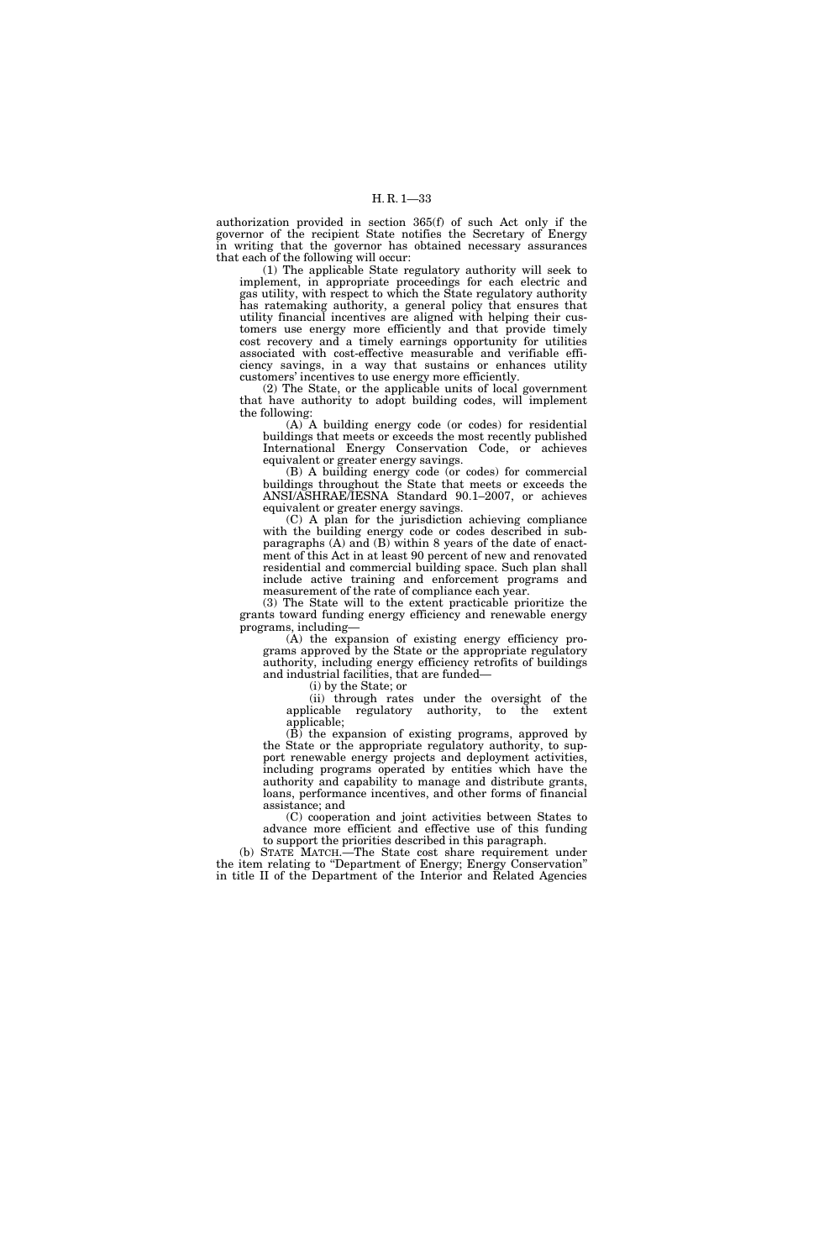authorization provided in section 365(f) of such Act only if the governor of the recipient State notifies the Secretary of Energy in writing that the governor has obtained necessary assurances that each of the following will occur:

(1) The applicable State regulatory authority will seek to implement, in appropriate proceedings for each electric and gas utility, with respect to which the State regulatory authority has ratemaking authority, a general policy that ensures that utility financial incentives are aligned with helping their customers use energy more efficiently and that provide timely cost recovery and a timely earnings opportunity for utilities associated with cost-effective measurable and verifiable efficiency savings, in a way that sustains or enhances utility customers' incentives to use energy more efficiently.

(2) The State, or the applicable units of local government that have authority to adopt building codes, will implement the following:

(A) A building energy code (or codes) for residential buildings that meets or exceeds the most recently published International Energy Conservation Code, or achieves equivalent or greater energy savings.

(B) A building energy code (or codes) for commercial buildings throughout the State that meets or exceeds the ANSI/ASHRAE/IESNA Standard 90.1–2007, or achieves equivalent or greater energy savings.

(C) A plan for the jurisdiction achieving compliance with the building energy code or codes described in subparagraphs (A) and (B) within 8 years of the date of enactment of this Act in at least 90 percent of new and renovated residential and commercial building space. Such plan shall include active training and enforcement programs and measurement of the rate of compliance each year.

(3) The State will to the extent practicable prioritize the grants toward funding energy efficiency and renewable energy programs, including—

(A) the expansion of existing energy efficiency programs approved by the State or the appropriate regulatory authority, including energy efficiency retrofits of buildings and industrial facilities, that are funded—

(i) by the State; or

(ii) through rates under the oversight of the applicable regulatory authority, to the extent applicable;

 $(\overline{B})$  the expansion of existing programs, approved by the State or the appropriate regulatory authority, to support renewable energy projects and deployment activities, including programs operated by entities which have the authority and capability to manage and distribute grants, loans, performance incentives, and other forms of financial assistance; and

(C) cooperation and joint activities between States to advance more efficient and effective use of this funding to support the priorities described in this paragraph.

(b) STATE MATCH.—The State cost share requirement under the item relating to "Department of Energy; Energy Conservation" in title II of the Department of the Interior and Related Agencies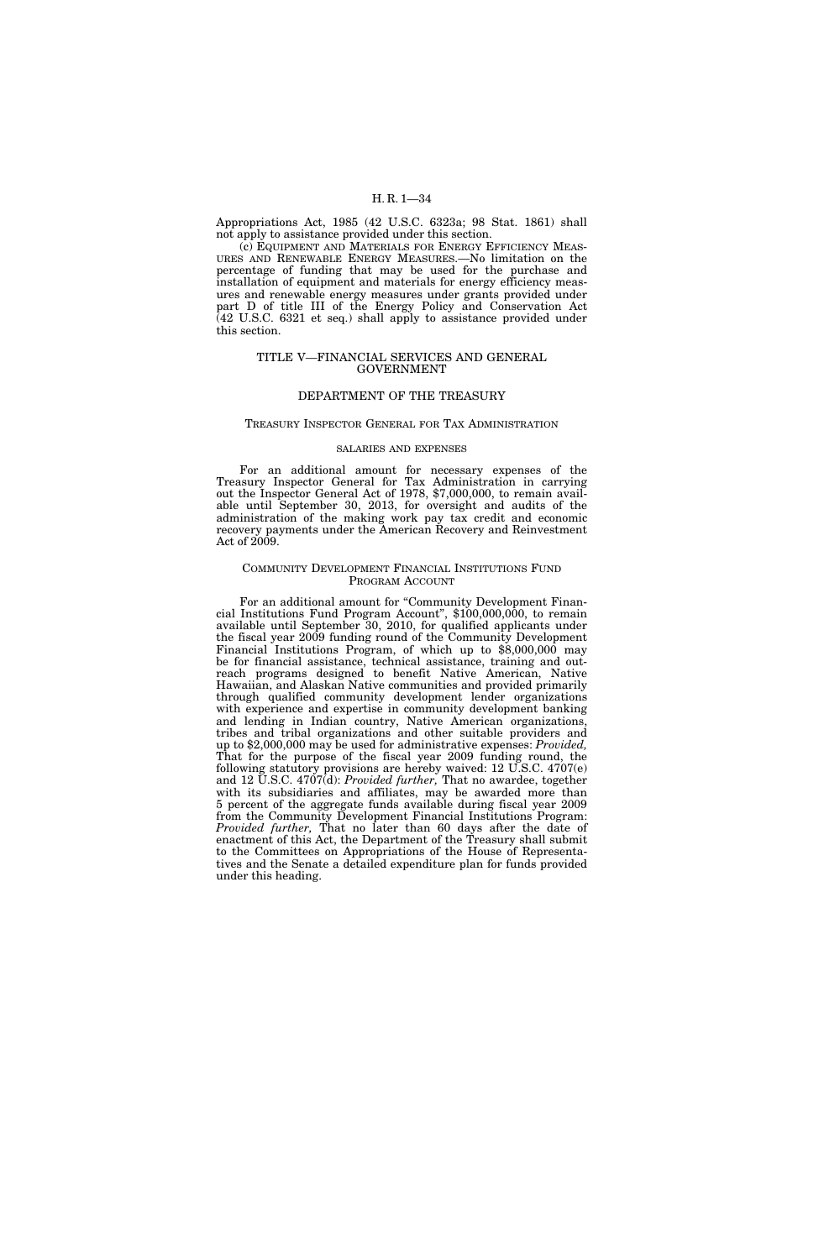Appropriations Act, 1985 (42 U.S.C. 6323a; 98 Stat. 1861) shall not apply to assistance provided under this section.

(c) EQUIPMENT AND MATERIALS FOR ENERGY EFFICIENCY MEAS-URES AND RENEWABLE ENERGY MEASURES.—No limitation on the percentage of funding that may be used for the purchase and installation of equipment and materials for energy efficiency measures and renewable energy measures under grants provided under part D of title III of the Energy Policy and Conservation Act (42 U.S.C. 6321 et seq.) shall apply to assistance provided under this section.

#### TITLE V—FINANCIAL SERVICES AND GENERAL GOVERNMENT

#### DEPARTMENT OF THE TREASURY

#### TREASURY INSPECTOR GENERAL FOR TAX ADMINISTRATION

#### SALARIES AND EXPENSES

For an additional amount for necessary expenses of the Treasury Inspector General for Tax Administration in carrying out the Inspector General Act of 1978, \$7,000,000, to remain available until September 30, 2013, for oversight and audits of the administration of the making work pay tax credit and economic recovery payments under the American Recovery and Reinvestment Act of 2009.

#### COMMUNITY DEVELOPMENT FINANCIAL INSTITUTIONS FUND PROGRAM ACCOUNT

For an additional amount for "Community Development Financial Institutions Fund Program Account'', \$100,000,000, to remain available until September 30, 2010, for qualified applicants under the fiscal year 2009 funding round of the Community Development Financial Institutions Program, of which up to \$8,000,000 may be for financial assistance, technical assistance, training and outreach programs designed to benefit Native American, Native Hawaiian, and Alaskan Native communities and provided primarily through qualified community development lender organizations with experience and expertise in community development banking and lending in Indian country, Native American organizations, tribes and tribal organizations and other suitable providers and up to \$2,000,000 may be used for administrative expenses: *Provided,*  That for the purpose of the fiscal year 2009 funding round, the following statutory provisions are hereby waived: 12 U.S.C. 4707(e) and 12 U.S.C. 4707(d): *Provided further,* That no awardee, together with its subsidiaries and affiliates, may be awarded more than 5 percent of the aggregate funds available during fiscal year 2009 from the Community Development Financial Institutions Program: *Provided further,* That no later than 60 days after the date of enactment of this Act, the Department of the Treasury shall submit to the Committees on Appropriations of the House of Representatives and the Senate a detailed expenditure plan for funds provided under this heading.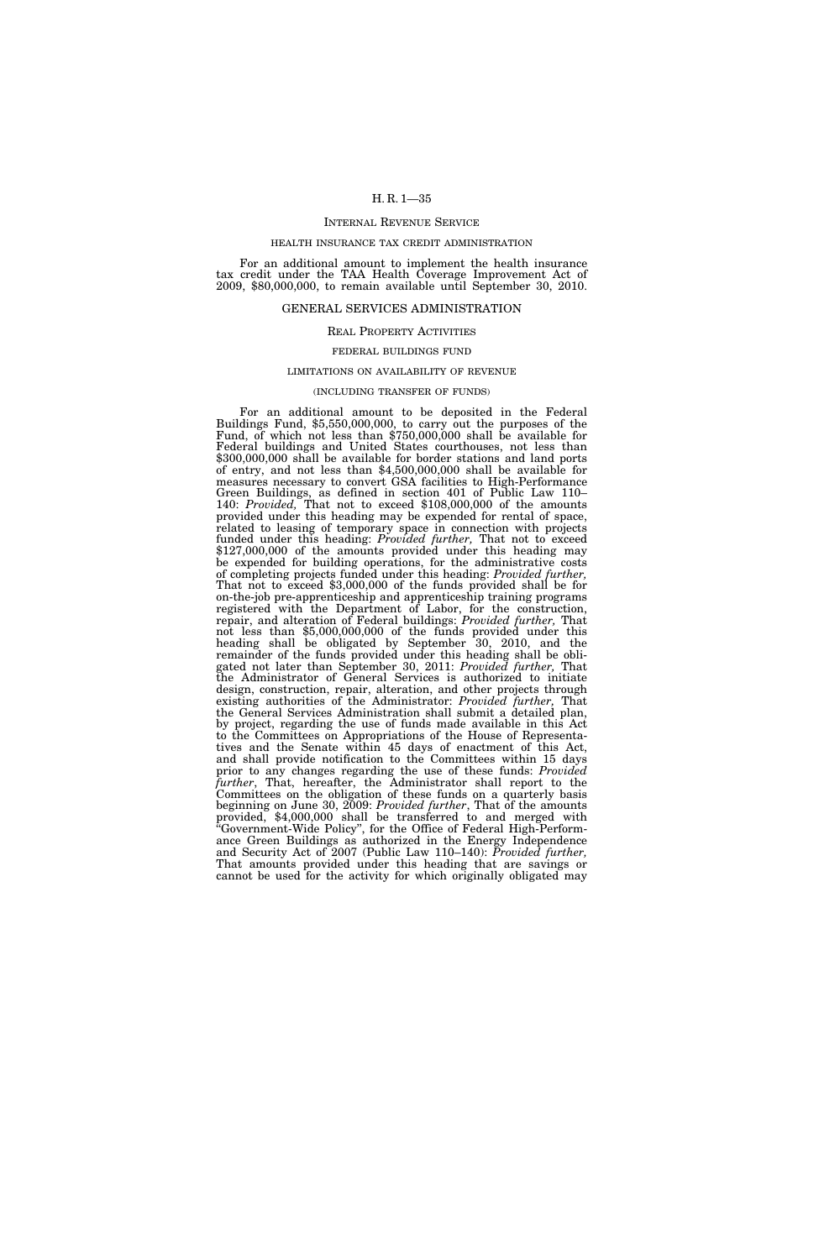#### INTERNAL REVENUE SERVICE

#### HEALTH INSURANCE TAX CREDIT ADMINISTRATION

For an additional amount to implement the health insurance tax credit under the TAA Health Coverage Improvement Act of 2009, \$80,000,000, to remain available until September 30, 2010.

#### GENERAL SERVICES ADMINISTRATION

#### REAL PROPERTY ACTIVITIES

#### FEDERAL BUILDINGS FUND

#### LIMITATIONS ON AVAILABILITY OF REVENUE

#### (INCLUDING TRANSFER OF FUNDS)

For an additional amount to be deposited in the Federal Buildings Fund, \$5,550,000,000, to carry out the purposes of the Fund, of which not less than \$750,000,000 shall be available for Federal buildings and United States courthouses, not less than \$300,000,000 shall be available for border stations and land ports of entry, and not less than \$4,500,000,000 shall be available for measures necessary to convert GSA facilities to High-Performance Green Buildings, as defined in section 401 of Public Law 110– 140: *Provided,* That not to exceed \$108,000,000 of the amounts provided under this heading may be expended for rental of space, related to leasing of temporary space in connection with projects funded under this heading: *Provided further,* That not to exceed \$127,000,000 of the amounts provided under this heading may be expended for building operations, for the administrative costs of completing projects funded under this heading: *Provided further*, of completing projects funded under this heading: *Provided further,* That not to exceed \$3,000,000 of the funds provided shall be for on-the-job pre-apprenticeship and apprenticeship training programs registered with the Department of Labor, for the construction, repair, and alteration of Federal buildings: *Provided further,* That not less than \$5,000,000,000 of the funds provided under this heading shall be obligated by September 30, 2010, and the remainder of the funds provided under this heading shall be obligated not later than September 30, 2011: *Provided further,* That the Administrator of General Services is authorized to initiate design, construction, repair, alteration, and other projects through existing authorities of the Administrator: *Provided further,* That the General Services Administration shall submit a detailed plan, by project, regarding the use of funds made available in this Act to the Committees on Appropriations of the House of Representatives and the Senate within 45 days of enactment of this Act, and shall provide notification to the Committees within 15 days prior to any changes regarding the use of these funds: *Provided further*, That, hereafter, the Administrator shall report to the Committees on the obligation of these funds on a quarterly basis beginning on June 30, 2009: *Provided further*, That of the amounts provided, \$4,000,000 shall be transferred to and merged with ''Government-Wide Policy'', for the Office of Federal High-Performance Green Buildings as authorized in the Energy Independence and Security Act of 2007 (Public Law 110–140): *Provided further,*  That amounts provided under this heading that are savings or cannot be used for the activity for which originally obligated may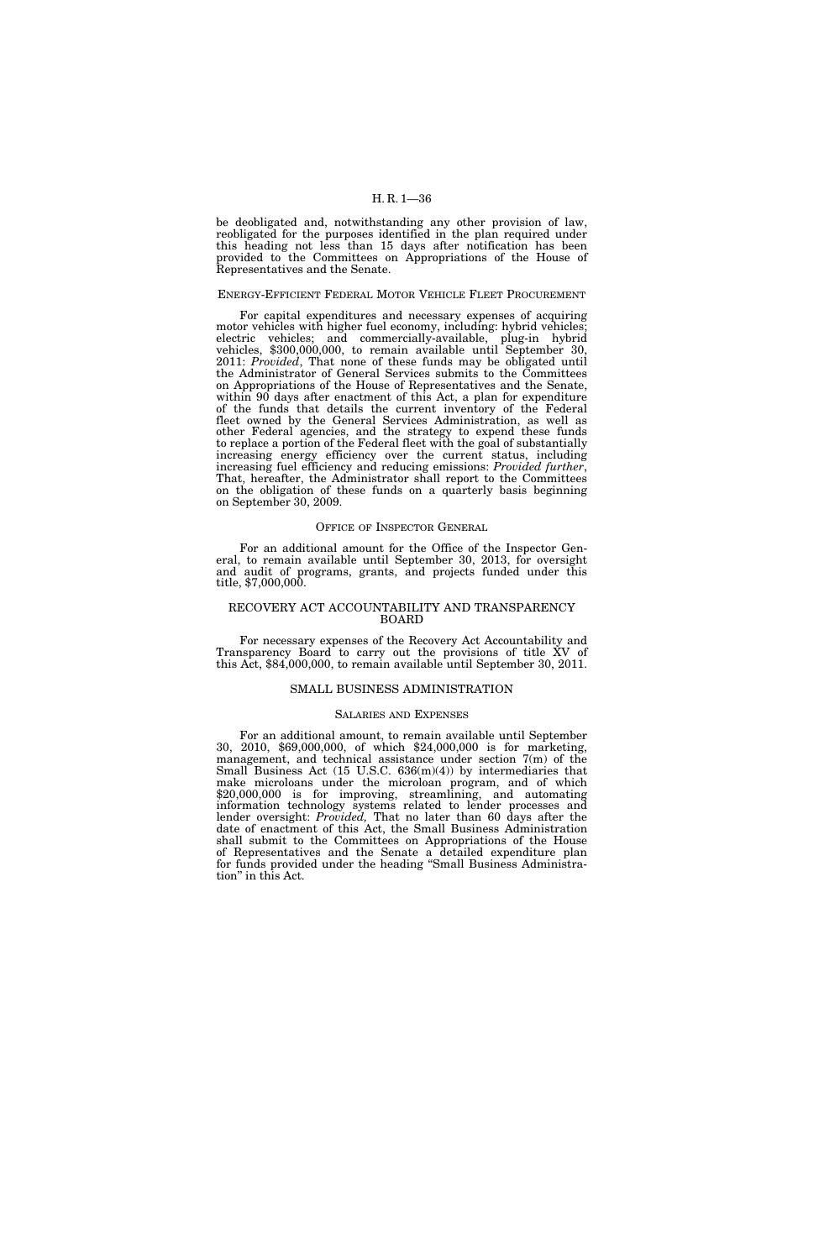be deobligated and, notwithstanding any other provision of law, reobligated for the purposes identified in the plan required under this heading not less than 15 days after notification has been provided to the Committees on Appropriations of the House of Representatives and the Senate.

#### ENERGY-EFFICIENT FEDERAL MOTOR VEHICLE FLEET PROCUREMENT

For capital expenditures and necessary expenses of acquiring motor vehicles with higher fuel economy, including: hybrid vehicles; electric vehicles; and commercially-available, plug-in hybrid vehicles, \$300,000,000, to remain available until September 30, 2011: *Provided*, That none of these funds may be obligated until the Administrator of General Services submits to the Committees on Appropriations of the House of Representatives and the Senate, within 90 days after enactment of this Act, a plan for expenditure of the funds that details the current inventory of the Federal fleet owned by the General Services Administration, as well as other Federal agencies, and the strategy to expend these funds to replace a portion of the Federal fleet with the goal of substantially increasing energy efficiency over the current status, including increasing fuel efficiency and reducing emissions: *Provided further*, That, hereafter, the Administrator shall report to the Committees on the obligation of these funds on a quarterly basis beginning on September 30, 2009.

#### OFFICE OF INSPECTOR GENERAL

For an additional amount for the Office of the Inspector General, to remain available until September 30, 2013, for oversight and audit of programs, grants, and projects funded under this title, \$7,000,000.

#### RECOVERY ACT ACCOUNTABILITY AND TRANSPARENCY BOARD

For necessary expenses of the Recovery Act Accountability and Transparency Board to carry out the provisions of title XV of this Act, \$84,000,000, to remain available until September 30, 2011.

#### SMALL BUSINESS ADMINISTRATION

#### SALARIES AND EXPENSES

For an additional amount, to remain available until September 30, 2010, \$69,000,000, of which \$24,000,000 is for marketing, management, and technical assistance under section 7(m) of the Small Business Act (15 U.S.C. 636(m)(4)) by intermediaries that make microloans under the microloan program, and of which \$20,000,000 is for improving, streamlining, and automating information technology systems related to lender processes and lender oversight: *Provided,* That no later than 60 days after the date of enactment of this Act, the Small Business Administration shall submit to the Committees on Appropriations of the House of Representatives and the Senate a detailed expenditure plan for funds provided under the heading ''Small Business Administration'' in this Act.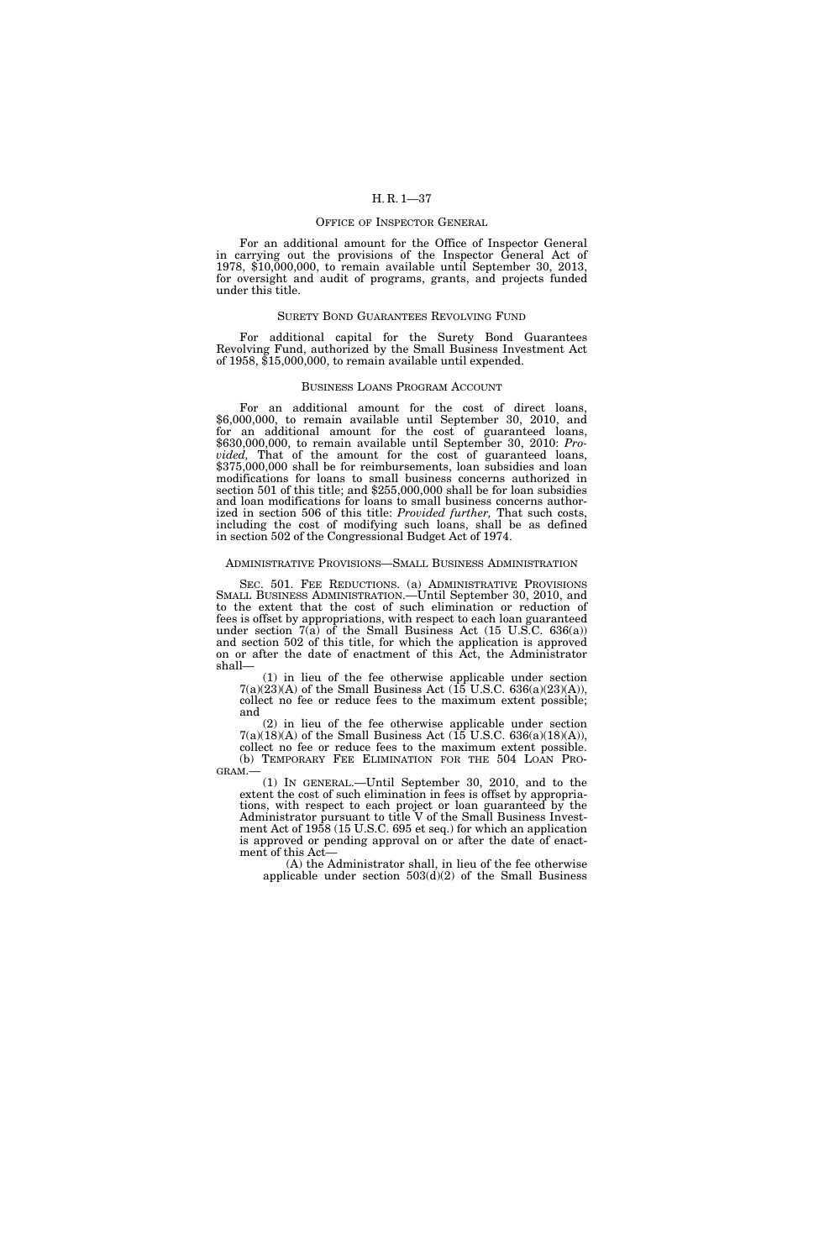### OFFICE OF INSPECTOR GENERAL

For an additional amount for the Office of Inspector General in carrying out the provisions of the Inspector General Act of 1978, \$10,000,000, to remain available until September 30, 2013, for oversight and audit of programs, grants, and projects funded under this title.

## SURETY BOND GUARANTEES REVOLVING FUND

For additional capital for the Surety Bond Guarantees Revolving Fund, authorized by the Small Business Investment Act of 1958, \$15,000,000, to remain available until expended.

### BUSINESS LOANS PROGRAM ACCOUNT

For an additional amount for the cost of direct loans, \$6,000,000, to remain available until September 30, 2010, and for an additional amount for the cost of guaranteed loans, \$630,000,000, to remain available until September 30, 2010: *Provided,* That of the amount for the cost of guaranteed loans, \$375,000,000 shall be for reimbursements, loan subsidies and loan modifications for loans to small business concerns authorized in section 501 of this title; and \$255,000,000 shall be for loan subsidies and loan modifications for loans to small business concerns authorized in section 506 of this title: *Provided further,* That such costs, including the cost of modifying such loans, shall be as defined in section 502 of the Congressional Budget Act of 1974.

## ADMINISTRATIVE PROVISIONS—SMALL BUSINESS ADMINISTRATION

SEC. 501. FEE REDUCTIONS. (a) ADMINISTRATIVE PROVISIONS SMALL BUSINESS ADMINISTRATION.—Until September 30, 2010, and to the extent that the cost of such elimination or reduction of fees is offset by appropriations, with respect to each loan guaranteed under section  $7(a)$  of the Small Business Act (15 U.S.C. 636(a)) and section 502 of this title, for which the application is approved on or after the date of enactment of this Act, the Administrator shall—

(1) in lieu of the fee otherwise applicable under section  $7(a)(23)(A)$  of the Small Business Act (15 U.S.C. 636(a)(23)(A)), collect no fee or reduce fees to the maximum extent possible; and

(2) in lieu of the fee otherwise applicable under section  $7(a)(18)(A)$  of the Small Business Act (15 U.S.C. 636(a)(18)(A)), collect no fee or reduce fees to the maximum extent possible.<br>(b) TEMPORARY FEE ELIMINATION FOR THE 504 LOAN PRO-

 $GRAM. —$ <br>(1) IN GENERAL.—Until September 30, 2010, and to the extent the cost of such elimination in fees is offset by appropriations, with respect to each project or loan guaranteed by the Administrator pursuant to title V of the Small Business Investment Act of 1958 (15 U.S.C. 695 et seq.) for which an application is approved or pending approval on or after the date of enactment of this Act—

(A) the Administrator shall, in lieu of the fee otherwise applicable under section  $503(d)(2)$  of the Small Business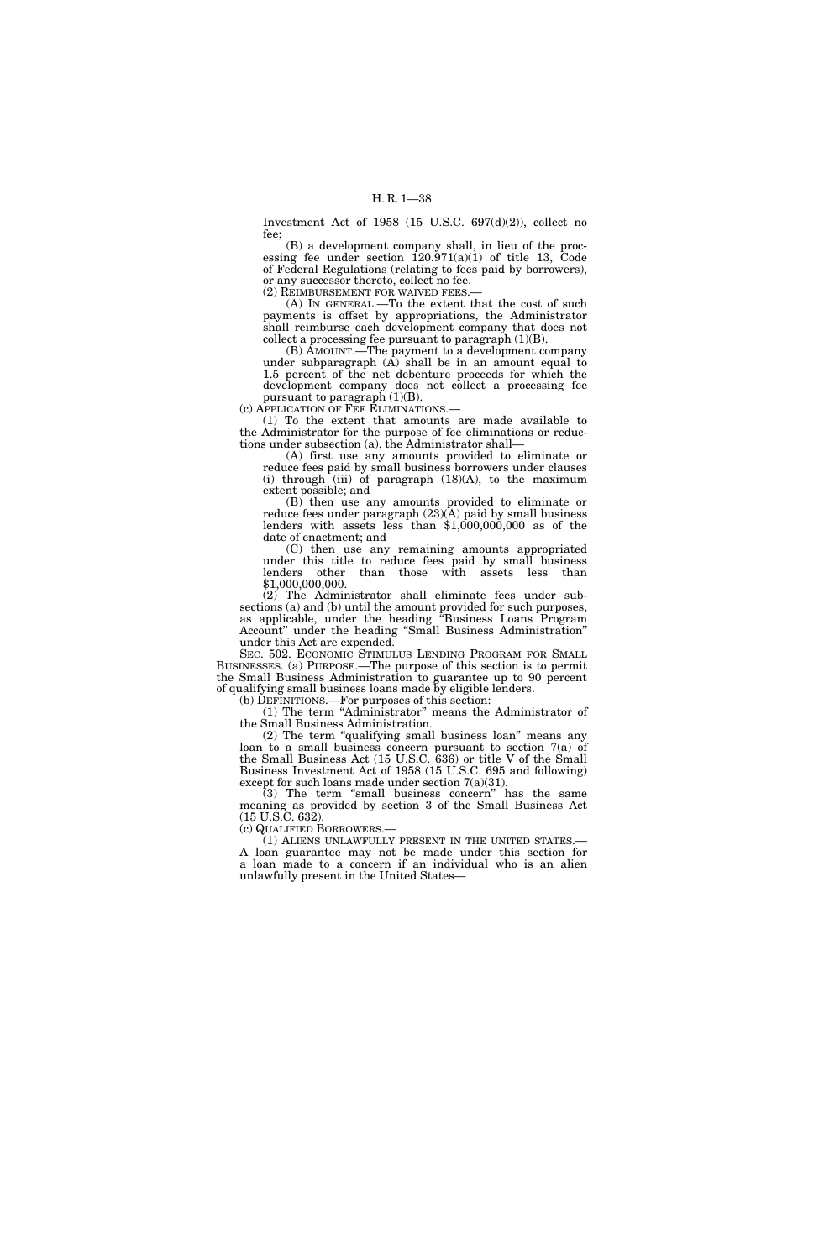Investment Act of 1958 (15 U.S.C. 697(d)(2)), collect no fee;

(B) a development company shall, in lieu of the processing fee under section  $120.971(a)(1)$  of title 13, Code of Federal Regulations (relating to fees paid by borrowers), or any successor thereto, collect no fee.

(2) REIMBURSEMENT FOR WAIVED FEES.— (A) IN GENERAL.—To the extent that the cost of such payments is offset by appropriations, the Administrator shall reimburse each development company that does not

collect a processing fee pursuant to paragraph  $(1)(B)$ . (B) AMOUNT.—The payment to a development company under subparagraph (A) shall be in an amount equal to 1.5 percent of the net debenture proceeds for which the development company does not collect a processing fee

pursuant to paragraph  $(1)(B)$ . (c) APPLICATION OF FEE ELIMINATIONS.—

(1) To the extent that amounts are made available to the Administrator for the purpose of fee eliminations or reductions under subsection (a), the Administrator shall—

(A) first use any amounts provided to eliminate or reduce fees paid by small business borrowers under clauses (i) through  $(iii)$  of paragraph  $(18)(A)$ , to the maximum extent possible; and

(B) then use any amounts provided to eliminate or reduce fees under paragraph (23)(A) paid by small business lenders with assets less than \$1,000,000,000 as of the date of enactment; and

(C) then use any remaining amounts appropriated under this title to reduce fees paid by small business lenders other than those with assets less than \$1,000,000,000.

(2) The Administrator shall eliminate fees under subsections (a) and (b) until the amount provided for such purposes, as applicable, under the heading ''Business Loans Program Account'' under the heading ''Small Business Administration'' under this Act are expended.

SEC. 502. ECONOMIC STIMULUS LENDING PROGRAM FOR SMALL BUSINESSES. (a) PURPOSE.—The purpose of this section is to permit the Small Business Administration to guarantee up to 90 percent of qualifying small business loans made by eligible lenders.

(b) DEFINITIONS.—For purposes of this section:

(1) The term ''Administrator'' means the Administrator of the Small Business Administration.

(2) The term ''qualifying small business loan'' means any loan to a small business concern pursuant to section 7(a) of the Small Business Act (15 U.S.C. 636) or title V of the Small Business Investment Act of 1958 (15 U.S.C. 695 and following) except for such loans made under section 7(a)(31).

 $(3)$  The term "small business concern" has the same meaning as provided by section 3 of the Small Business Act (15 U.S.C. 632).

(c) QUALIFIED BORROWERS.—<br>(1) ALIENS UNLAWFULLY PRESENT IN THE UNITED STATES.— A loan guarantee may not be made under this section for a loan made to a concern if an individual who is an alien unlawfully present in the United States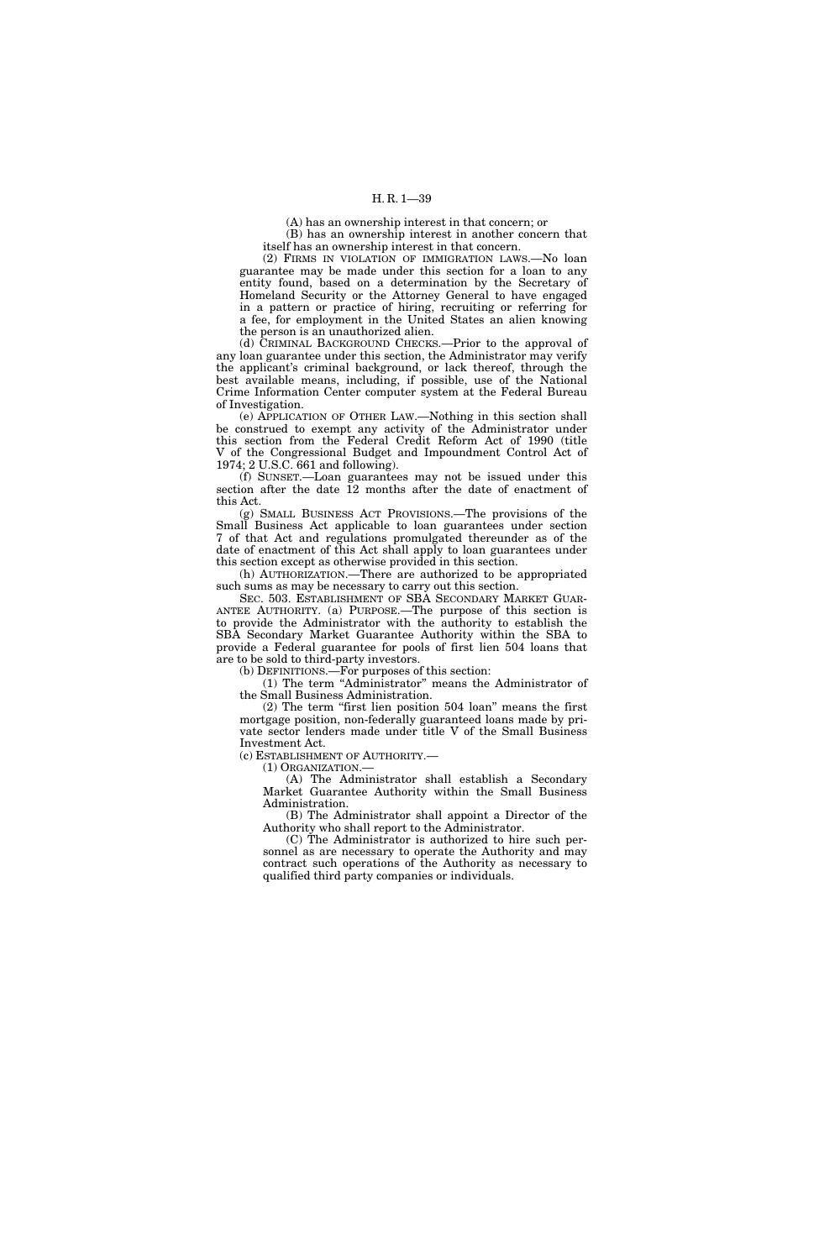(A) has an ownership interest in that concern; or

(B) has an ownership interest in another concern that itself has an ownership interest in that concern.

(2) FIRMS IN VIOLATION OF IMMIGRATION LAWS.—No loan guarantee may be made under this section for a loan to any entity found, based on a determination by the Secretary of Homeland Security or the Attorney General to have engaged in a pattern or practice of hiring, recruiting or referring for a fee, for employment in the United States an alien knowing the person is an unauthorized alien.

(d) CRIMINAL BACKGROUND CHECKS.—Prior to the approval of any loan guarantee under this section, the Administrator may verify the applicant's criminal background, or lack thereof, through the best available means, including, if possible, use of the National Crime Information Center computer system at the Federal Bureau of Investigation.

(e) APPLICATION OF OTHER LAW.—Nothing in this section shall be construed to exempt any activity of the Administrator under this section from the Federal Credit Reform Act of 1990 (title V of the Congressional Budget and Impoundment Control Act of 1974; 2 U.S.C. 661 and following).

(f) SUNSET.—Loan guarantees may not be issued under this section after the date 12 months after the date of enactment of this Act.

(g) SMALL BUSINESS ACT PROVISIONS.—The provisions of the Small Business Act applicable to loan guarantees under section 7 of that Act and regulations promulgated thereunder as of the date of enactment of this Act shall apply to loan guarantees under this section except as otherwise provided in this section.

(h) AUTHORIZATION.—There are authorized to be appropriated such sums as may be necessary to carry out this section.

SEC. 503. ESTABLISHMENT OF SBA SECONDARY MARKET GUAR-ANTEE AUTHORITY. (a) PURPOSE.—The purpose of this section is to provide the Administrator with the authority to establish the SBA Secondary Market Guarantee Authority within the SBA to provide a Federal guarantee for pools of first lien 504 loans that are to be sold to third-party investors.

(b) DEFINITIONS.—For purposes of this section:

(1) The term ''Administrator'' means the Administrator of the Small Business Administration.

(2) The term ''first lien position 504 loan'' means the first mortgage position, non-federally guaranteed loans made by private sector lenders made under title V of the Small Business Investment Act.

(c) ESTABLISHMENT OF AUTHORITY.—

(1) ORGANIZATION.—

(A) The Administrator shall establish a Secondary Market Guarantee Authority within the Small Business Administration.

(B) The Administrator shall appoint a Director of the Authority who shall report to the Administrator.

(C) The Administrator is authorized to hire such personnel as are necessary to operate the Authority and may contract such operations of the Authority as necessary to qualified third party companies or individuals.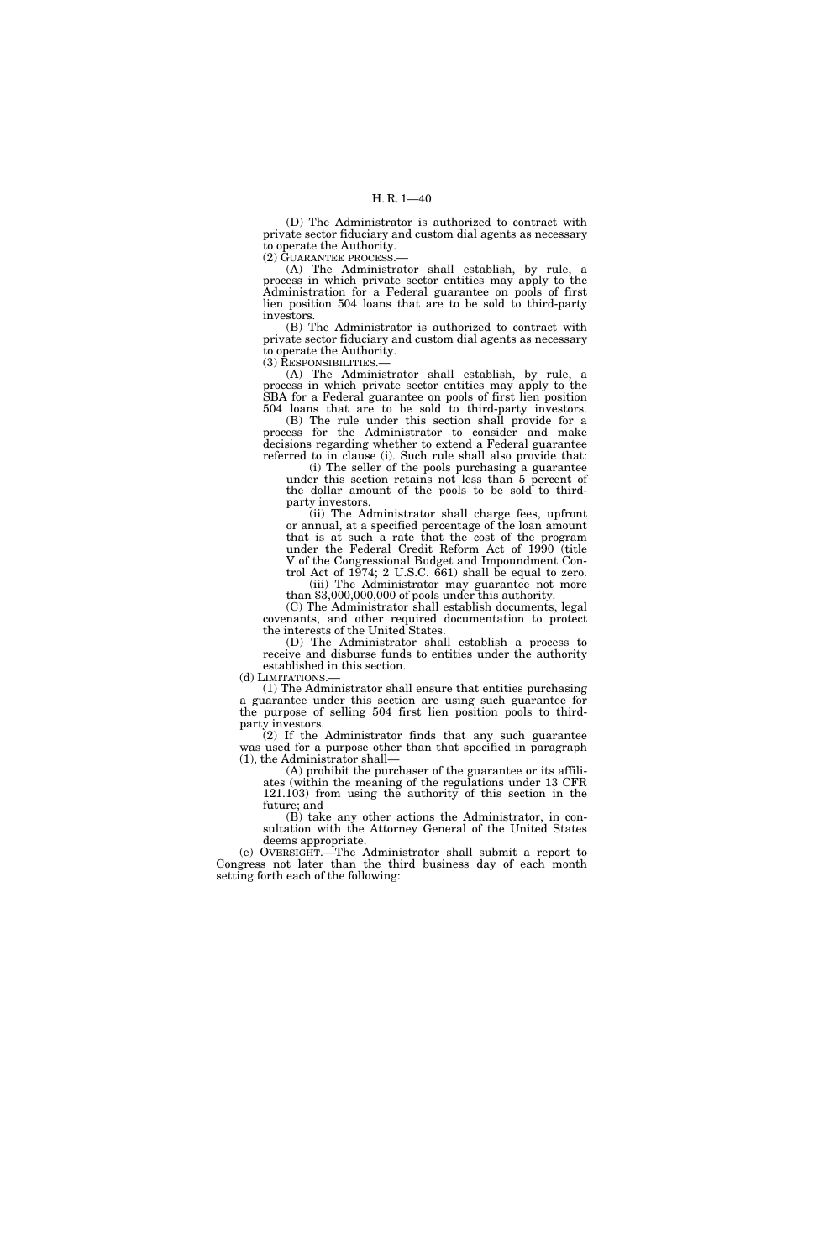(D) The Administrator is authorized to contract with private sector fiduciary and custom dial agents as necessary to operate the Authority.

(2) GUARANTEE PROCESS.—

(A) The Administrator shall establish, by rule, a process in which private sector entities may apply to the Administration for a Federal guarantee on pools of first lien position 504 loans that are to be sold to third-party investors.

(B) The Administrator is authorized to contract with private sector fiduciary and custom dial agents as necessary to operate the Authority.

(3) RESPONSIBILITIES.—

(A) The Administrator shall establish, by rule, a process in which private sector entities may apply to the SBA for a Federal guarantee on pools of first lien position 504 loans that are to be sold to third-party investors.

(B) The rule under this section shall provide for a process for the Administrator to consider and make decisions regarding whether to extend a Federal guarantee referred to in clause (i). Such rule shall also provide that:

(i) The seller of the pools purchasing a guarantee under this section retains not less than 5 percent of the dollar amount of the pools to be sold to thirdparty investors.

(ii) The Administrator shall charge fees, upfront or annual, at a specified percentage of the loan amount that is at such a rate that the cost of the program under the Federal Credit Reform Act of 1990 (title V of the Congressional Budget and Impoundment Control Act of 1974; 2 U.S.C. 661) shall be equal to zero.

(iii) The Administrator may guarantee not more than \$3,000,000,000 of pools under this authority.

(C) The Administrator shall establish documents, legal covenants, and other required documentation to protect the interests of the United States.

(D) The Administrator shall establish a process to receive and disburse funds to entities under the authority established in this section.

(d) LIMITATIONS.—

(1) The Administrator shall ensure that entities purchasing a guarantee under this section are using such guarantee for the purpose of selling 504 first lien position pools to thirdparty investors.

(2) If the Administrator finds that any such guarantee was used for a purpose other than that specified in paragraph (1), the Administrator shall—

(A) prohibit the purchaser of the guarantee or its affiliates (within the meaning of the regulations under 13 CFR 121.103) from using the authority of this section in the future; and

(B) take any other actions the Administrator, in consultation with the Attorney General of the United States deems appropriate.

(e) OVERSIGHT.—The Administrator shall submit a report to Congress not later than the third business day of each month setting forth each of the following: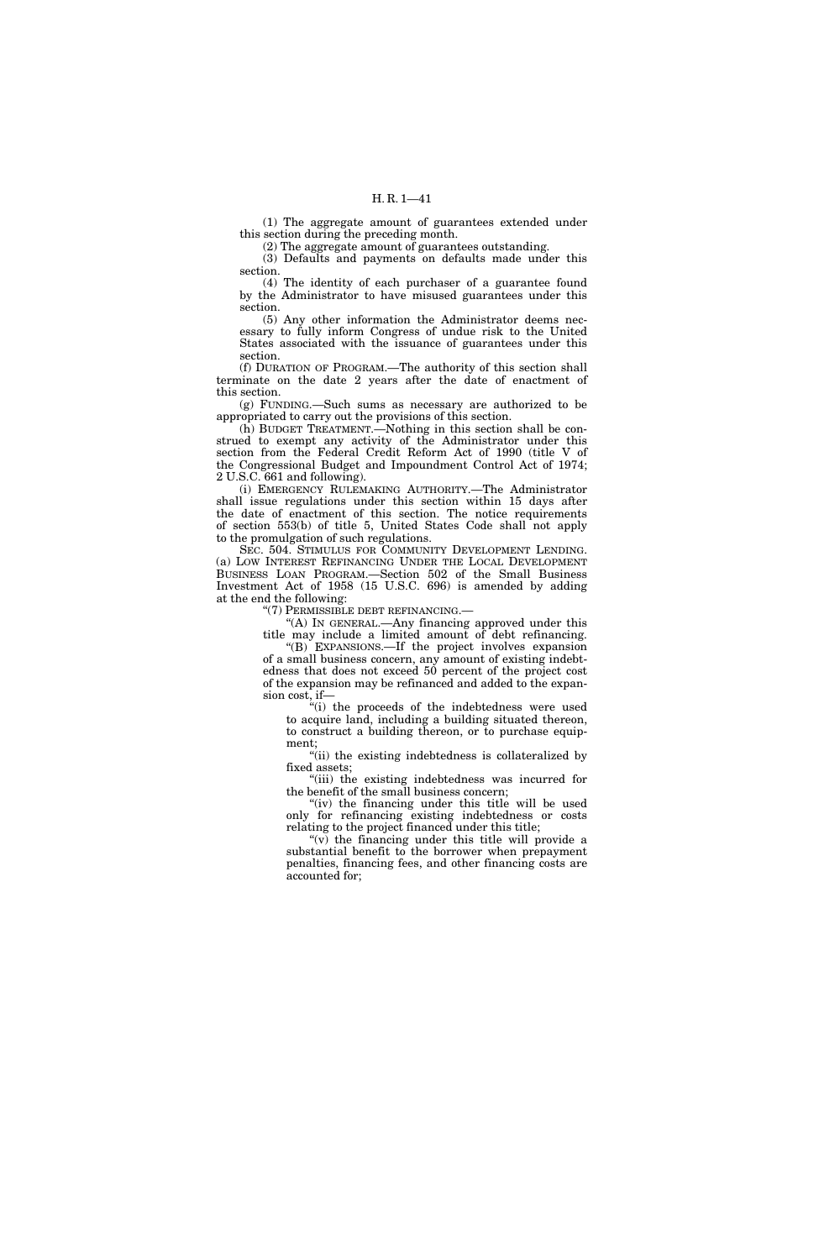(1) The aggregate amount of guarantees extended under this section during the preceding month.

(2) The aggregate amount of guarantees outstanding.

(3) Defaults and payments on defaults made under this section.

(4) The identity of each purchaser of a guarantee found by the Administrator to have misused guarantees under this section.

(5) Any other information the Administrator deems necessary to fully inform Congress of undue risk to the United States associated with the issuance of guarantees under this section.

(f) DURATION OF PROGRAM.—The authority of this section shall terminate on the date 2 years after the date of enactment of this section.

(g) FUNDING.—Such sums as necessary are authorized to be appropriated to carry out the provisions of this section.

(h) BUDGET TREATMENT.—Nothing in this section shall be construed to exempt any activity of the Administrator under this section from the Federal Credit Reform Act of 1990 (title V of the Congressional Budget and Impoundment Control Act of 1974; 2 U.S.C. 661 and following).

(i) EMERGENCY RULEMAKING AUTHORITY.—The Administrator shall issue regulations under this section within 15 days after the date of enactment of this section. The notice requirements of section 553(b) of title 5, United States Code shall not apply to the promulgation of such regulations.

SEC. 504. STIMULUS FOR COMMUNITY DEVELOPMENT LENDING. (a) LOW INTEREST REFINANCING UNDER THE LOCAL DEVELOPMENT BUSINESS LOAN PROGRAM.—Section 502 of the Small Business Investment Act of 1958 (15 U.S.C. 696) is amended by adding at the end the following:

''(7) PERMISSIBLE DEBT REFINANCING.—

''(A) IN GENERAL.—Any financing approved under this title may include a limited amount of debt refinancing.

''(B) EXPANSIONS.—If the project involves expansion of a small business concern, any amount of existing indebtedness that does not exceed 50 percent of the project cost of the expansion may be refinanced and added to the expansion cost, if—

''(i) the proceeds of the indebtedness were used to acquire land, including a building situated thereon, to construct a building thereon, or to purchase equipment;

''(ii) the existing indebtedness is collateralized by fixed assets;

''(iii) the existing indebtedness was incurred for the benefit of the small business concern;

"(iv) the financing under this title will be used only for refinancing existing indebtedness or costs relating to the project financed under this title;

" $(v)$  the financing under this title will provide a substantial benefit to the borrower when prepayment penalties, financing fees, and other financing costs are accounted for;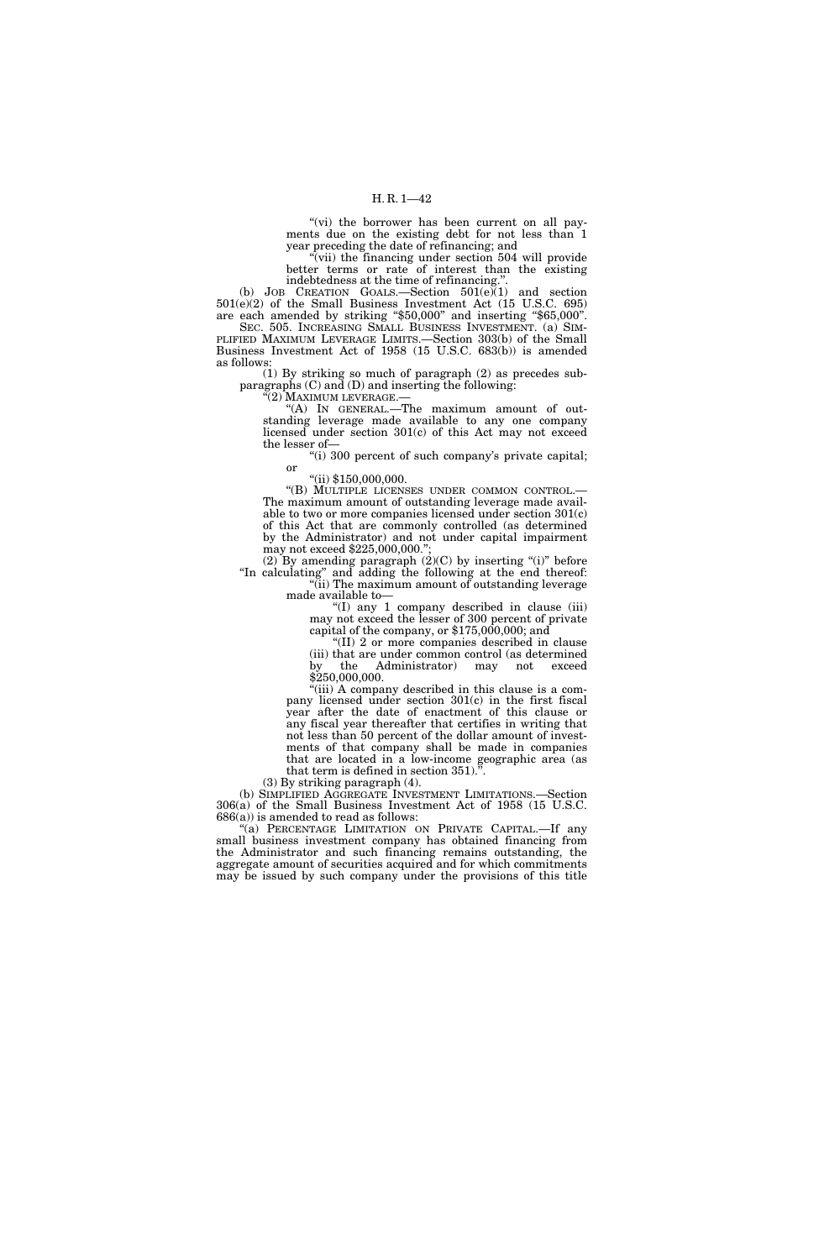"(vi) the borrower has been current on all payments due on the existing debt for not less than 1 year preceding the date of refinancing; and

'(vii) the financing under section 504 will provide better terms or rate of interest than the existing indebtedness at the time of refinancing.''.

(b) JOB CREATION GOALS.—Section  $501(e)(1)$  and section 501(e)(2) of the Small Business Investment Act (15 U.S.C. 695) are each amended by striking ''\$50,000'' and inserting ''\$65,000''. SEC. 505. INCREASING SMALL BUSINESS INVESTMENT. (a) SIM- PLIFIED MAXIMUM LEVERAGE LIMITS.—Section 303(b) of the Small Business Investment Act of 1958 (15 U.S.C. 683(b)) is amended as follows:

(1) By striking so much of paragraph (2) as precedes subparagraphs (C) and (D) and inserting the following:

''(2) MAXIMUM LEVERAGE.—

''(A) IN GENERAL.—The maximum amount of outstanding leverage made available to any one company licensed under section 301(c) of this Act may not exceed the lesser of—

"(i) 300 percent of such company's private capital; or

''(ii) \$150,000,000.

''(B) MULTIPLE LICENSES UNDER COMMON CONTROL.— The maximum amount of outstanding leverage made available to two or more companies licensed under section 301(c) of this Act that are commonly controlled (as determined by the Administrator) and not under capital impairment may not exceed \$225,000,000.'';

(2) By amending paragraph  $(2)(C)$  by inserting "(i)" before ''In calculating'' and adding the following at the end thereof: ''(ii) The maximum amount of outstanding leverage

made available to—

''(I) any 1 company described in clause (iii) may not exceed the lesser of 300 percent of private capital of the company, or \$175,000,000; and

''(II) 2 or more companies described in clause (iii) that are under common control (as determined by the Administrator) may not exceed \$250,000,000.

"(iii) A company described in this clause is a company licensed under section 301(c) in the first fiscal year after the date of enactment of this clause or any fiscal year thereafter that certifies in writing that not less than 50 percent of the dollar amount of investments of that company shall be made in companies that are located in a low-income geographic area (as that term is defined in section  $351$ .

(3) By striking paragraph (4).

(b) SIMPLIFIED AGGREGATE INVESTMENT LIMITATIONS.—Section 306(a) of the Small Business Investment Act of 1958 (15 U.S.C.  $686(a)$  is amended to read as follows:

"(a) PERCENTAGE LIMITATION ON PRIVATE CAPITAL.—If any small business investment company has obtained financing from the Administrator and such financing remains outstanding, the aggregate amount of securities acquired and for which commitments may be issued by such company under the provisions of this title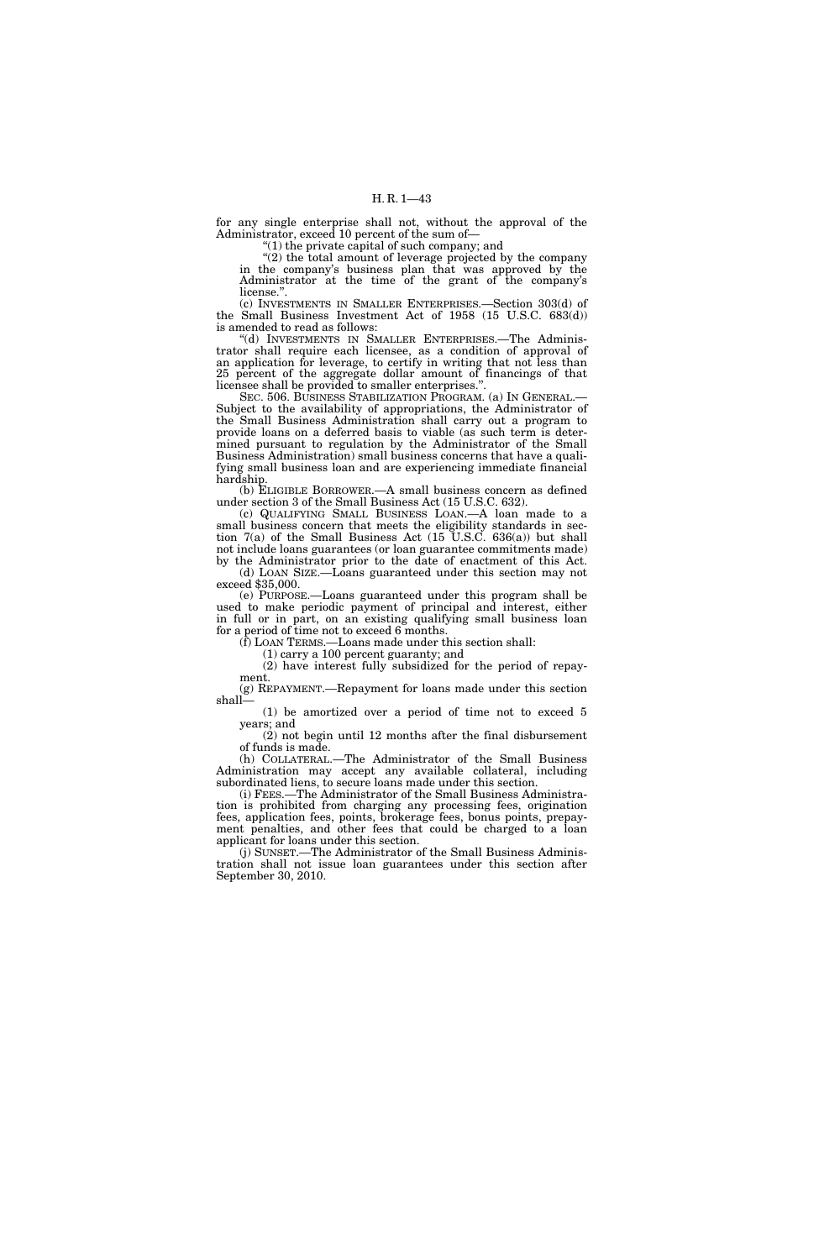for any single enterprise shall not, without the approval of the Administrator, exceed 10 percent of the sum of—

 $(1)$  the private capital of such company; and

 $\hat{C}(2)$  the total amount of leverage projected by the company in the company's business plan that was approved by the Administrator at the time of the grant of the company's license.''.

(c) INVESTMENTS IN SMALLER ENTERPRISES.—Section 303(d) of the Small Business Investment Act of 1958 (15 U.S.C. 683(d)) is amended to read as follows:

''(d) INVESTMENTS IN SMALLER ENTERPRISES.—The Administrator shall require each licensee, as a condition of approval of an application for leverage, to certify in writing that not less than 25 percent of the aggregate dollar amount of financings of that licensee shall be provided to smaller enterprises.''.

SEC. 506. BUSINESS STABILIZATION PROGRAM. (a) IN GENERAL.— Subject to the availability of appropriations, the Administrator of the Small Business Administration shall carry out a program to provide loans on a deferred basis to viable (as such term is determined pursuant to regulation by the Administrator of the Small Business Administration) small business concerns that have a qualifying small business loan and are experiencing immediate financial hardship.

(b) ELIGIBLE BORROWER.—A small business concern as defined under section 3 of the Small Business Act (15 U.S.C. 632).

(c) QUALIFYING SMALL BUSINESS LOAN.—A loan made to a small business concern that meets the eligibility standards in section 7(a) of the Small Business Act (15 U.S.C. 636(a)) but shall not include loans guarantees (or loan guarantee commitments made) by the Administrator prior to the date of enactment of this Act.

(d) LOAN SIZE.—Loans guaranteed under this section may not exceed \$35,000.

(e) PURPOSE.—Loans guaranteed under this program shall be used to make periodic payment of principal and interest, either in full or in part, on an existing qualifying small business loan for a period of time not to exceed 6 months.

(f) LOAN TERMS.—Loans made under this section shall:

(1) carry a 100 percent guaranty; and

(2) have interest fully subsidized for the period of repayment.

(g) REPAYMENT.—Repayment for loans made under this section shall—

(1) be amortized over a period of time not to exceed 5 years; and

(2) not begin until 12 months after the final disbursement of funds is made.

(h) COLLATERAL.—The Administrator of the Small Business Administration may accept any available collateral, including subordinated liens, to secure loans made under this section.

(i) FEES.—The Administrator of the Small Business Administration is prohibited from charging any processing fees, origination fees, application fees, points, brokerage fees, bonus points, prepayment penalties, and other fees that could be charged to a loan applicant for loans under this section.

(j) SUNSET.—The Administrator of the Small Business Administration shall not issue loan guarantees under this section after September 30, 2010.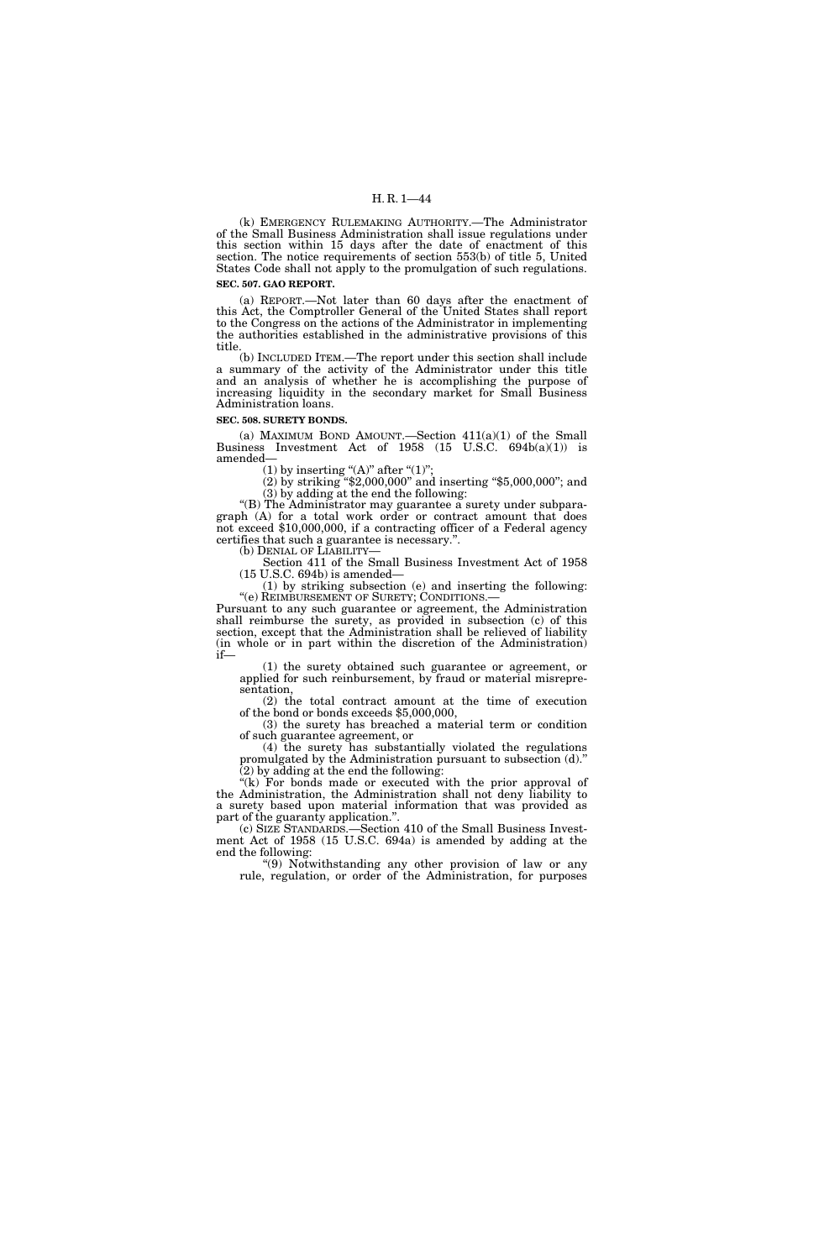(k) EMERGENCY RULEMAKING AUTHORITY.—The Administrator of the Small Business Administration shall issue regulations under this section within 15 days after the date of enactment of this section. The notice requirements of section 553(b) of title 5, United States Code shall not apply to the promulgation of such regulations. **SEC. 507. GAO REPORT.** 

(a) REPORT.—Not later than 60 days after the enactment of this Act, the Comptroller General of the United States shall report to the Congress on the actions of the Administrator in implementing the authorities established in the administrative provisions of this title.

(b) INCLUDED ITEM.—The report under this section shall include a summary of the activity of the Administrator under this title and an analysis of whether he is accomplishing the purpose of increasing liquidity in the secondary market for Small Business Administration loans.

**SEC. 508. SURETY BONDS.** 

(a) MAXIMUM BOND AMOUNT.—Section  $411(a)(1)$  of the Small Business Investment Act of 1958 (15 U.S.C. 694b(a)(1)) is amended—

(1) by inserting " $(A)$ " after " $(1)$ ";

(2) by striking ''\$2,000,000'' and inserting ''\$5,000,000''; and (3) by adding at the end the following:

''(B) The Administrator may guarantee a surety under subparagraph (A) for a total work order or contract amount that does not exceed \$10,000,000, if a contracting officer of a Federal agency certifies that such a guarantee is necessary.''.

(b) DENIAL OF LIABILITY—<br>Section 411 of the Small Business Investment Act of 1958 (15 U.S.C. 694b) is amended—

(1) by striking subsection (e) and inserting the following:

Pursuant to any such guarantee or agreement, the Administration shall reimburse the surety, as provided in subsection (c) of this section, except that the Administration shall be relieved of liability (in whole or in part within the discretion of the Administration) if—

(1) the surety obtained such guarantee or agreement, or applied for such reinbursement, by fraud or material misrepresentation,

(2) the total contract amount at the time of execution of the bond or bonds exceeds \$5,000,000,

(3) the surety has breached a material term or condition of such guarantee agreement, or

(4) the surety has substantially violated the regulations promulgated by the Administration pursuant to subsection (d).''  $(2)$  by adding at the end the following:

"(k) For bonds made or executed with the prior approval of the Administration, the Administration shall not deny liability to a surety based upon material information that was provided as part of the guaranty application.''.

(c) SIZE STANDARDS.—Section 410 of the Small Business Investment Act of 1958 (15 U.S.C. 694a) is amended by adding at the end the following:

''(9) Notwithstanding any other provision of law or any rule, regulation, or order of the Administration, for purposes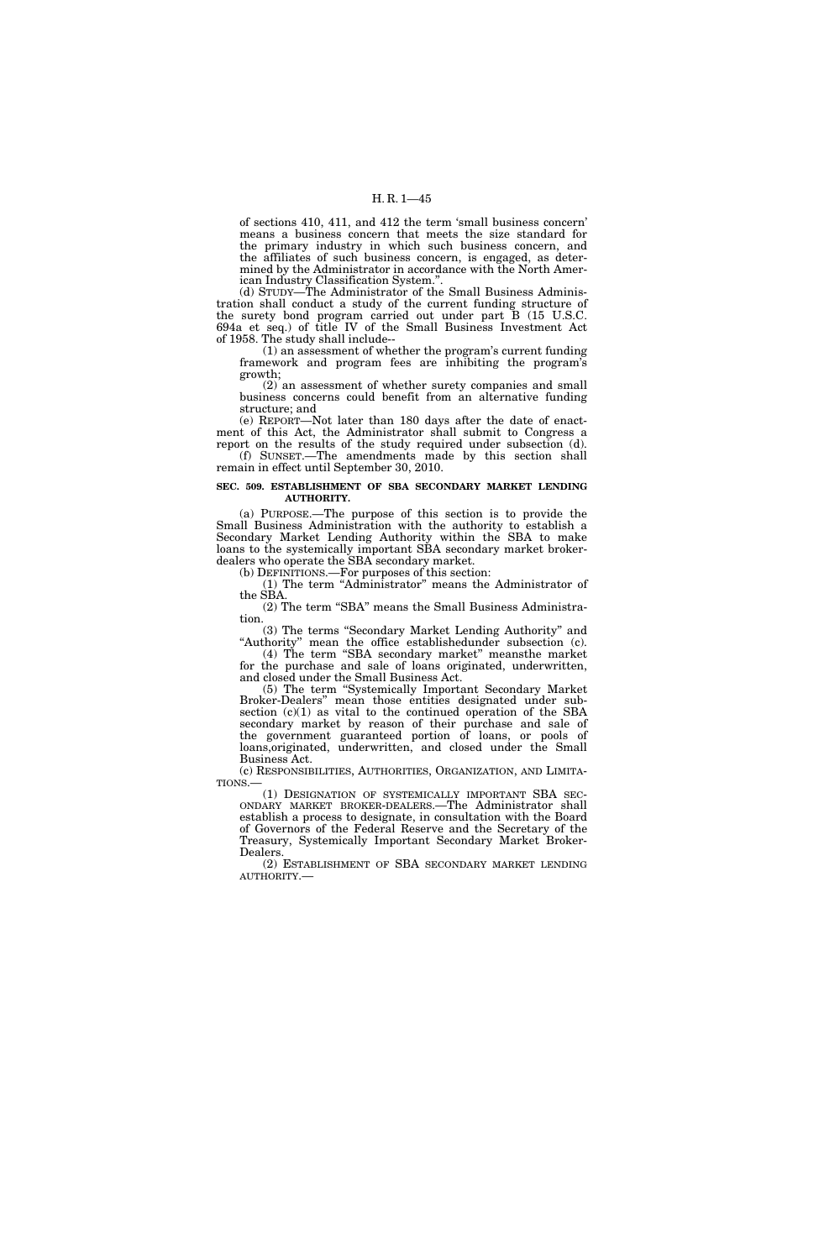of sections 410, 411, and 412 the term 'small business concern' means a business concern that meets the size standard for the primary industry in which such business concern, and the affiliates of such business concern, is engaged, as determined by the Administrator in accordance with the North American Industry Classification System.''.

(d) STUDY—The Administrator of the Small Business Administration shall conduct a study of the current funding structure of the surety bond program carried out under part B (15 U.S.C. 694a et seq.) of title IV of the Small Business Investment Act of 1958. The study shall include--

(1) an assessment of whether the program's current funding framework and program fees are inhibiting the program's growth;

(2) an assessment of whether surety companies and small business concerns could benefit from an alternative funding structure; and

(e) REPORT—Not later than 180 days after the date of enactment of this Act, the Administrator shall submit to Congress a report on the results of the study required under subsection (d).

(f) SUNSET.—The amendments made by this section shall remain in effect until September 30, 2010.

## **SEC. 509. ESTABLISHMENT OF SBA SECONDARY MARKET LENDING AUTHORITY.**

(a) PURPOSE.—The purpose of this section is to provide the Small Business Administration with the authority to establish a Secondary Market Lending Authority within the SBA to make loans to the systemically important SBA secondary market brokerdealers who operate the SBA secondary market.

(b) DEFINITIONS.—For purposes of this section:

(1) The term ''Administrator'' means the Administrator of the SBA.

(2) The term ''SBA'' means the Small Business Administration.

(3) The terms ''Secondary Market Lending Authority'' and "Authority" mean the office establishedunder subsection (c).

(4) The term ''SBA secondary market'' meansthe market for the purchase and sale of loans originated, underwritten, and closed under the Small Business Act.

(5) The term ''Systemically Important Secondary Market Broker-Dealers'' mean those entities designated under subsection  $(c)(1)$  as vital to the continued operation of the SBA secondary market by reason of their purchase and sale of the government guaranteed portion of loans, or pools of loans,originated, underwritten, and closed under the Small Business Act.<br>(c) RESPONSIBILITIES, AUTHORITIES, ORGANIZATION, AND LIMITA-

TIONS.—<br>(1) DESIGNATION OF SYSTEMICALLY IMPORTANT SBA SEC-<br>ONDARY MARKET BROKER-DEALERS.—The Administrator shall establish a process to designate, in consultation with the Board of Governors of the Federal Reserve and the Secretary of the Treasury, Systemically Important Secondary Market Broker-Dealers.

(2) ESTABLISHMENT OF SBA SECONDARY MARKET LENDING AUTHORITY.—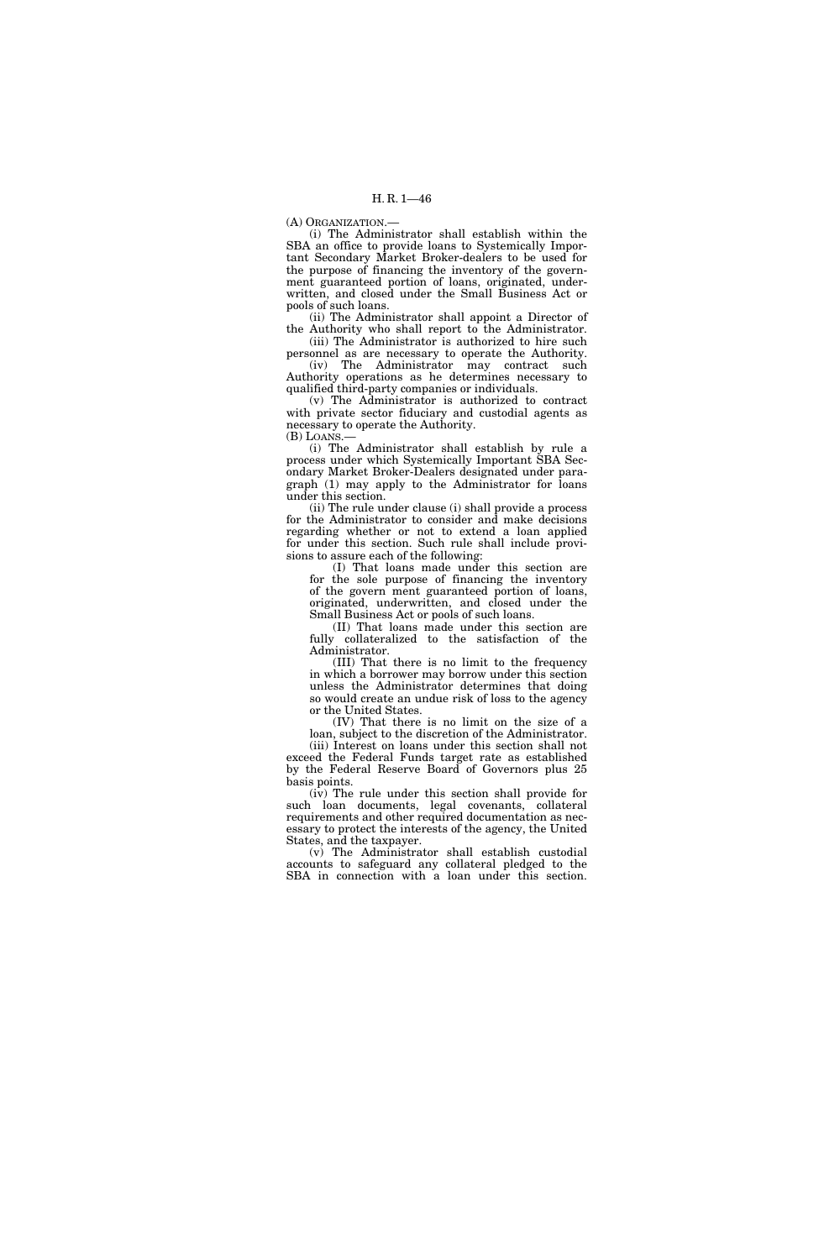(A) ORGANIZATION.—

(i) The Administrator shall establish within the SBA an office to provide loans to Systemically Important Secondary Market Broker-dealers to be used for the purpose of financing the inventory of the government guaranteed portion of loans, originated, underwritten, and closed under the Small Business Act or pools of such loans.

(ii) The Administrator shall appoint a Director of the Authority who shall report to the Administrator.

(iii) The Administrator is authorized to hire such personnel as are necessary to operate the Authority. (iv) The Administrator may contract such Authority operations as he determines necessary to

qualified third-party companies or individuals. (v) The Administrator is authorized to contract with private sector fiduciary and custodial agents as necessary to operate the Authority.

(B) LOANS.—

(i) The Administrator shall establish by rule a process under which Systemically Important SBA Secondary Market Broker-Dealers designated under paragraph (1) may apply to the Administrator for loans under this section.

(ii) The rule under clause (i) shall provide a process for the Administrator to consider and make decisions regarding whether or not to extend a loan applied for under this section. Such rule shall include provisions to assure each of the following:

(I) That loans made under this section are for the sole purpose of financing the inventory of the govern ment guaranteed portion of loans, originated, underwritten, and closed under the Small Business Act or pools of such loans.

(II) That loans made under this section are fully collateralized to the satisfaction of the Administrator.

(III) That there is no limit to the frequency in which a borrower may borrow under this section unless the Administrator determines that doing so would create an undue risk of loss to the agency or the United States.

(IV) That there is no limit on the size of a loan, subject to the discretion of the Administrator.

(iii) Interest on loans under this section shall not exceed the Federal Funds target rate as established by the Federal Reserve Board of Governors plus 25 basis points.

(iv) The rule under this section shall provide for such loan documents, legal covenants, collateral requirements and other required documentation as necessary to protect the interests of the agency, the United States, and the taxpayer.

(v) The Administrator shall establish custodial accounts to safeguard any collateral pledged to the SBA in connection with a loan under this section.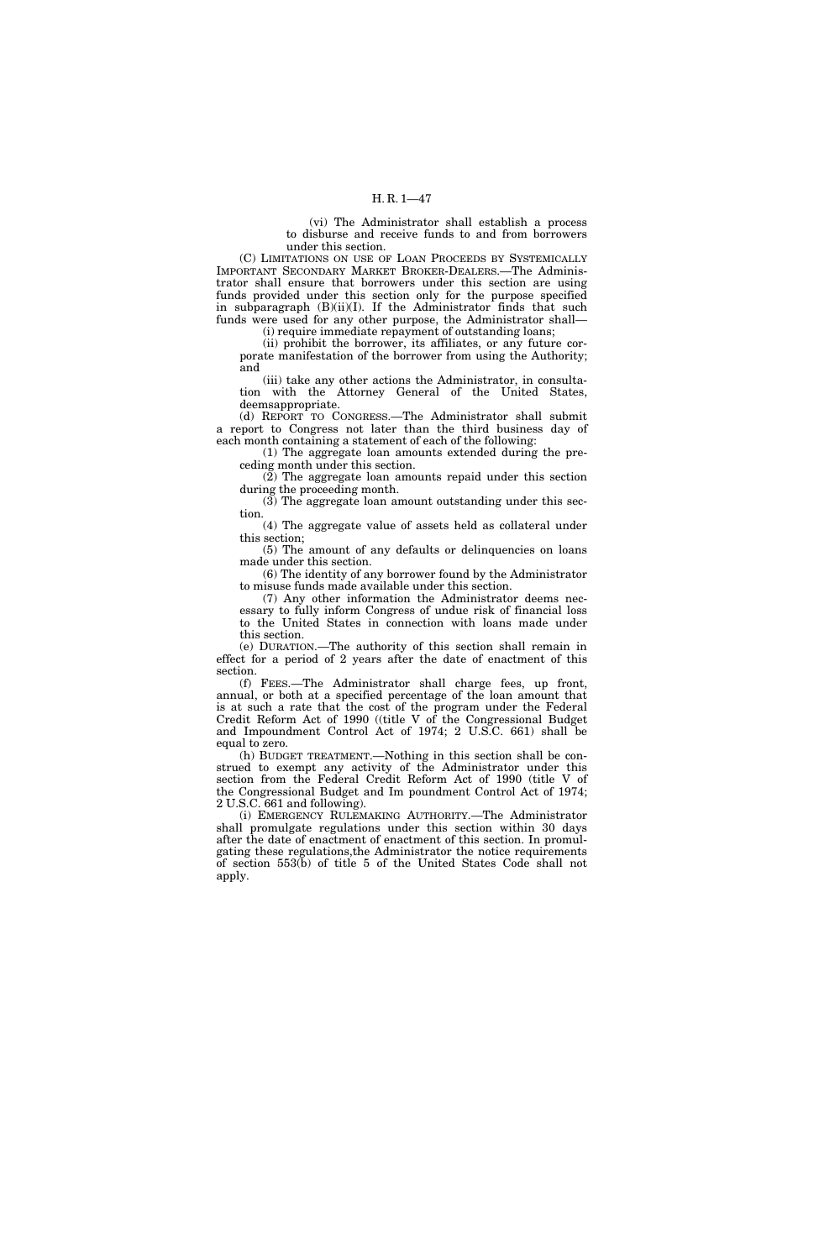(vi) The Administrator shall establish a process to disburse and receive funds to and from borrowers under this section.

(C) LIMITATIONS ON USE OF LOAN PROCEEDS BY SYSTEMICALLY IMPORTANT SECONDARY MARKET BROKER-DEALERS.—The Administrator shall ensure that borrowers under this section are using funds provided under this section only for the purpose specified in subparagraph (B)(ii)(I). If the Administrator finds that such funds were used for any other purpose, the Administrator shall—

(i) require immediate repayment of outstanding loans;

(ii) prohibit the borrower, its affiliates, or any future corporate manifestation of the borrower from using the Authority; and

(iii) take any other actions the Administrator, in consultation with the Attorney General of the United States, deemsappropriate.

(d) REPORT TO CONGRESS.—The Administrator shall submit a report to Congress not later than the third business day of each month containing a statement of each of the following:

(1) The aggregate loan amounts extended during the preceding month under this section.

 $(2)$  The aggregate loan amounts repaid under this section during the proceeding month.

(3) The aggregate loan amount outstanding under this section.

(4) The aggregate value of assets held as collateral under this section;

(5) The amount of any defaults or delinquencies on loans made under this section.

(6) The identity of any borrower found by the Administrator to misuse funds made available under this section.

(7) Any other information the Administrator deems necessary to fully inform Congress of undue risk of financial loss to the United States in connection with loans made under this section.

(e) DURATION.—The authority of this section shall remain in effect for a period of 2 years after the date of enactment of this section.

(f) FEES.—The Administrator shall charge fees, up front, annual, or both at a specified percentage of the loan amount that is at such a rate that the cost of the program under the Federal Credit Reform Act of 1990 ((title V of the Congressional Budget and Impoundment Control Act of 1974; 2 U.S.C. 661) shall be equal to zero.

(h) BUDGET TREATMENT.—Nothing in this section shall be construed to exempt any activity of the Administrator under this section from the Federal Credit Reform Act of 1990 (title V of the Congressional Budget and Im poundment Control Act of 1974; 2 U.S.C. 661 and following).

(i) EMERGENCY RULEMAKING AUTHORITY.—The Administrator shall promulgate regulations under this section within 30 days after the date of enactment of enactment of this section. In promulgating these regulations,the Administrator the notice requirements of section 553(b) of title 5 of the United States Code shall not apply.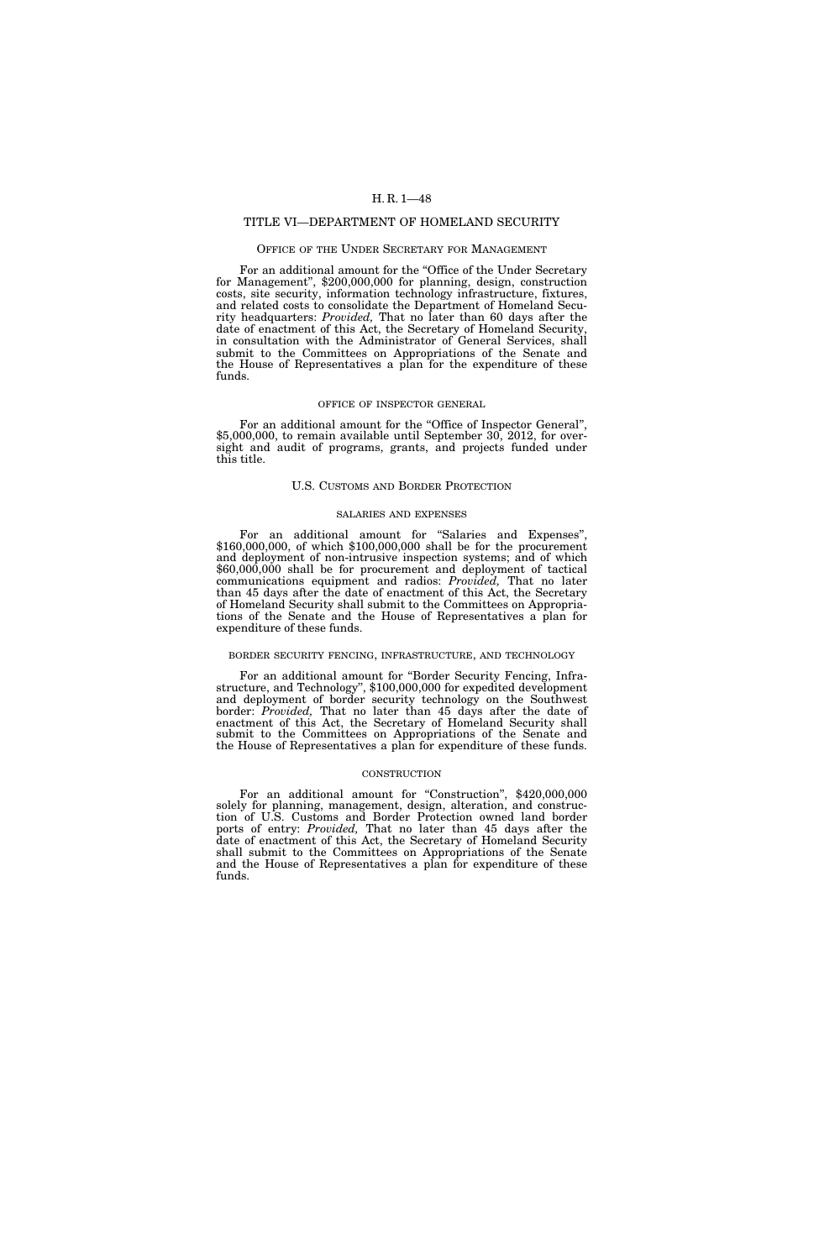# TITLE VI—DEPARTMENT OF HOMELAND SECURITY

## OFFICE OF THE UNDER SECRETARY FOR MANAGEMENT

For an additional amount for the "Office of the Under Secretary for Management'', \$200,000,000 for planning, design, construction costs, site security, information technology infrastructure, fixtures, and related costs to consolidate the Department of Homeland Security headquarters: *Provided,* That no later than 60 days after the date of enactment of this Act, the Secretary of Homeland Security, in consultation with the Administrator of General Services, shall submit to the Committees on Appropriations of the Senate and the House of Representatives a plan for the expenditure of these funds.

### OFFICE OF INSPECTOR GENERAL

For an additional amount for the "Office of Inspector General", \$5,000,000, to remain available until September 30, 2012, for oversight and audit of programs, grants, and projects funded under this title.

#### U.S. CUSTOMS AND BORDER PROTECTION

### SALARIES AND EXPENSES

For an additional amount for "Salaries and Expenses", \$160,000,000, of which \$100,000,000 shall be for the procurement and deployment of non-intrusive inspection systems; and of which \$60,000,000 shall be for procurement and deployment of tactical communications equipment and radios: *Provided,* That no later than 45 days after the date of enactment of this Act, the Secretary of Homeland Security shall submit to the Committees on Appropriations of the Senate and the House of Representatives a plan for expenditure of these funds.

## BORDER SECURITY FENCING, INFRASTRUCTURE, AND TECHNOLOGY

For an additional amount for "Border Security Fencing, Infrastructure, and Technology'', \$100,000,000 for expedited development and deployment of border security technology on the Southwest border: *Provided,* That no later than 45 days after the date of enactment of this Act, the Secretary of Homeland Security shall submit to the Committees on Appropriations of the Senate and the House of Representatives a plan for expenditure of these funds.

## CONSTRUCTION

For an additional amount for "Construction", \$420,000,000 solely for planning, management, design, alteration, and construction of U.S. Customs and Border Protection owned land border ports of entry: *Provided,* That no later than 45 days after the date of enactment of this Act, the Secretary of Homeland Security shall submit to the Committees on Appropriations of the Senate and the House of Representatives a plan for expenditure of these funds.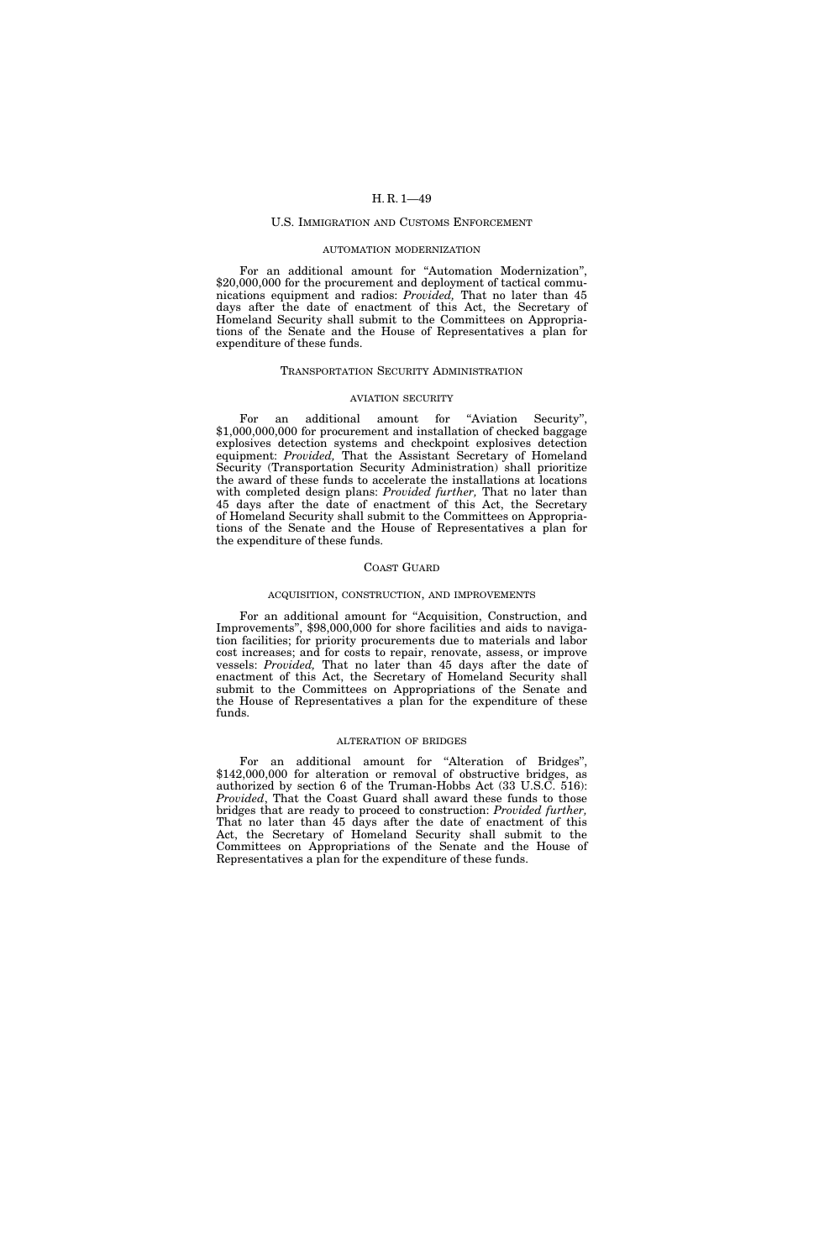### U.S. IMMIGRATION AND CUSTOMS ENFORCEMENT

## AUTOMATION MODERNIZATION

For an additional amount for ''Automation Modernization'', \$20,000,000 for the procurement and deployment of tactical communications equipment and radios: *Provided,* That no later than 45 days after the date of enactment of this Act, the Secretary of Homeland Security shall submit to the Committees on Appropriations of the Senate and the House of Representatives a plan for expenditure of these funds.

### TRANSPORTATION SECURITY ADMINISTRATION

#### AVIATION SECURITY

For an additional amount for "Aviation Security", \$1,000,000,000 for procurement and installation of checked baggage explosives detection systems and checkpoint explosives detection equipment: *Provided,* That the Assistant Secretary of Homeland Security (Transportation Security Administration) shall prioritize the award of these funds to accelerate the installations at locations with completed design plans: *Provided further,* That no later than 45 days after the date of enactment of this Act, the Secretary of Homeland Security shall submit to the Committees on Appropriations of the Senate and the House of Representatives a plan for the expenditure of these funds.

## COAST GUARD

### ACQUISITION, CONSTRUCTION, AND IMPROVEMENTS

For an additional amount for ''Acquisition, Construction, and Improvements'', \$98,000,000 for shore facilities and aids to navigation facilities; for priority procurements due to materials and labor cost increases; and for costs to repair, renovate, assess, or improve vessels: *Provided,* That no later than 45 days after the date of enactment of this Act, the Secretary of Homeland Security shall submit to the Committees on Appropriations of the Senate and the House of Representatives a plan for the expenditure of these funds.

### ALTERATION OF BRIDGES

For an additional amount for ''Alteration of Bridges'', \$142,000,000 for alteration or removal of obstructive bridges, as authorized by section 6 of the Truman-Hobbs Act (33 U.S.C. 516): *Provided*, That the Coast Guard shall award these funds to those bridges that are ready to proceed to construction: *Provided further,*  That no later than 45 days after the date of enactment of this Act, the Secretary of Homeland Security shall submit to the Committees on Appropriations of the Senate and the House of Representatives a plan for the expenditure of these funds.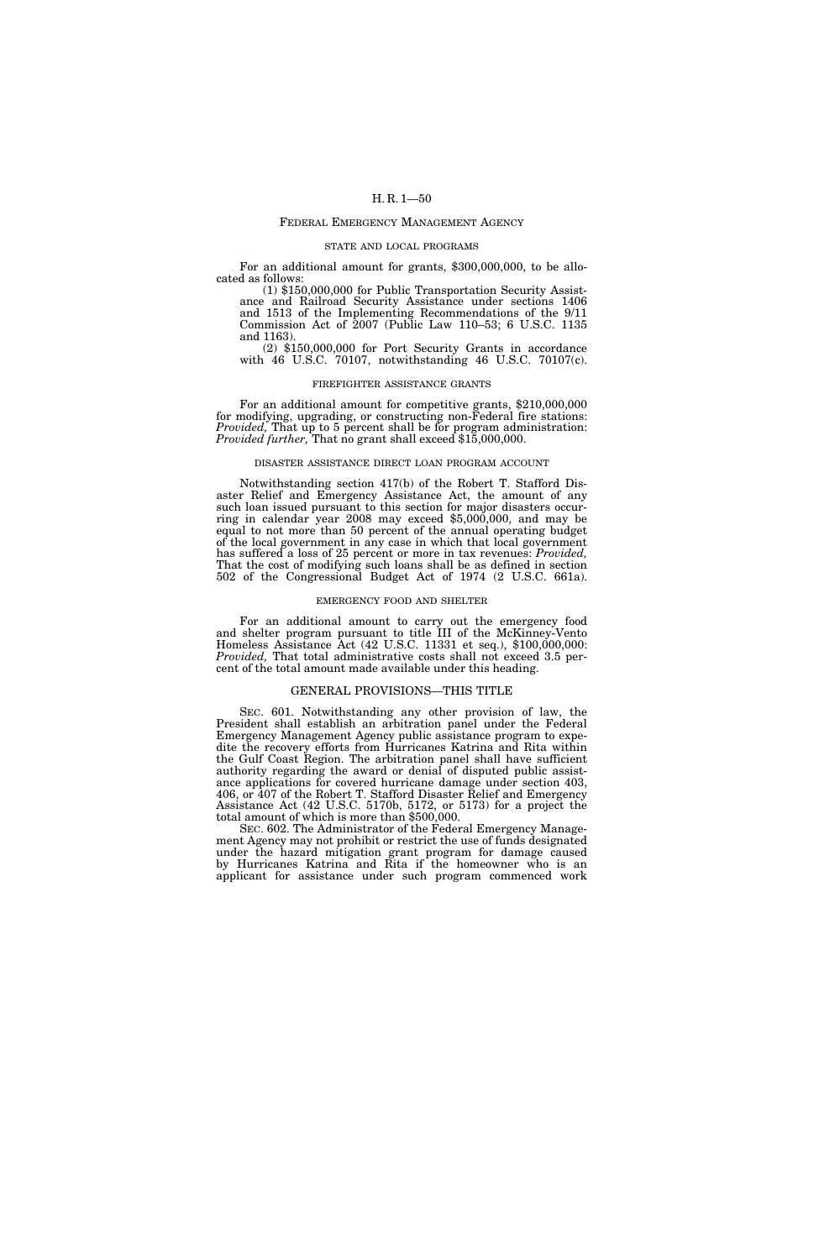### FEDERAL EMERGENCY MANAGEMENT AGENCY

## STATE AND LOCAL PROGRAMS

For an additional amount for grants, \$300,000,000, to be allocated as follows:

(1) \$150,000,000 for Public Transportation Security Assistance and Railroad Security Assistance under sections 1406 and 1513 of the Implementing Recommendations of the 9/11 Commission Act of 2007 (Public Law 110–53; 6 U.S.C. 1135 and 1163).

(2) \$150,000,000 for Port Security Grants in accordance with 46 U.S.C. 70107, notwithstanding 46 U.S.C. 70107(c).

#### FIREFIGHTER ASSISTANCE GRANTS

For an additional amount for competitive grants, \$210,000,000 for modifying, upgrading, or constructing non-Federal fire stations: *Provided,* That up to 5 percent shall be for program administration: *Provided further,* That no grant shall exceed \$15,000,000.

#### DISASTER ASSISTANCE DIRECT LOAN PROGRAM ACCOUNT

Notwithstanding section 417(b) of the Robert T. Stafford Disaster Relief and Emergency Assistance Act, the amount of any such loan issued pursuant to this section for major disasters occurring in calendar year 2008 may exceed \$5,000,000, and may be equal to not more than 50 percent of the annual operating budget of the local government in any case in which that local government has suffered a loss of 25 percent or more in tax revenues: *Provided,*  That the cost of modifying such loans shall be as defined in section 502 of the Congressional Budget Act of 1974 (2 U.S.C. 661a).

### EMERGENCY FOOD AND SHELTER

For an additional amount to carry out the emergency food and shelter program pursuant to title III of the McKinney-Vento Homeless Assistance Act (42 U.S.C. 11331 et seq.), \$100,000,000: *Provided,* That total administrative costs shall not exceed 3.5 percent of the total amount made available under this heading.

### GENERAL PROVISIONS—THIS TITLE

SEC. 601. Notwithstanding any other provision of law, the President shall establish an arbitration panel under the Federal Emergency Management Agency public assistance program to expedite the recovery efforts from Hurricanes Katrina and Rita within the Gulf Coast Region. The arbitration panel shall have sufficient authority regarding the award or denial of disputed public assistance applications for covered hurricane damage under section 403, 406, or 407 of the Robert T. Stafford Disaster Relief and Emergency Assistance Act (42 U.S.C. 5170b, 5172, or 5173) for a project the total amount of which is more than \$500,000.

SEC. 602. The Administrator of the Federal Emergency Management Agency may not prohibit or restrict the use of funds designated under the hazard mitigation grant program for damage caused by Hurricanes Katrina and Rita if the homeowner who is an applicant for assistance under such program commenced work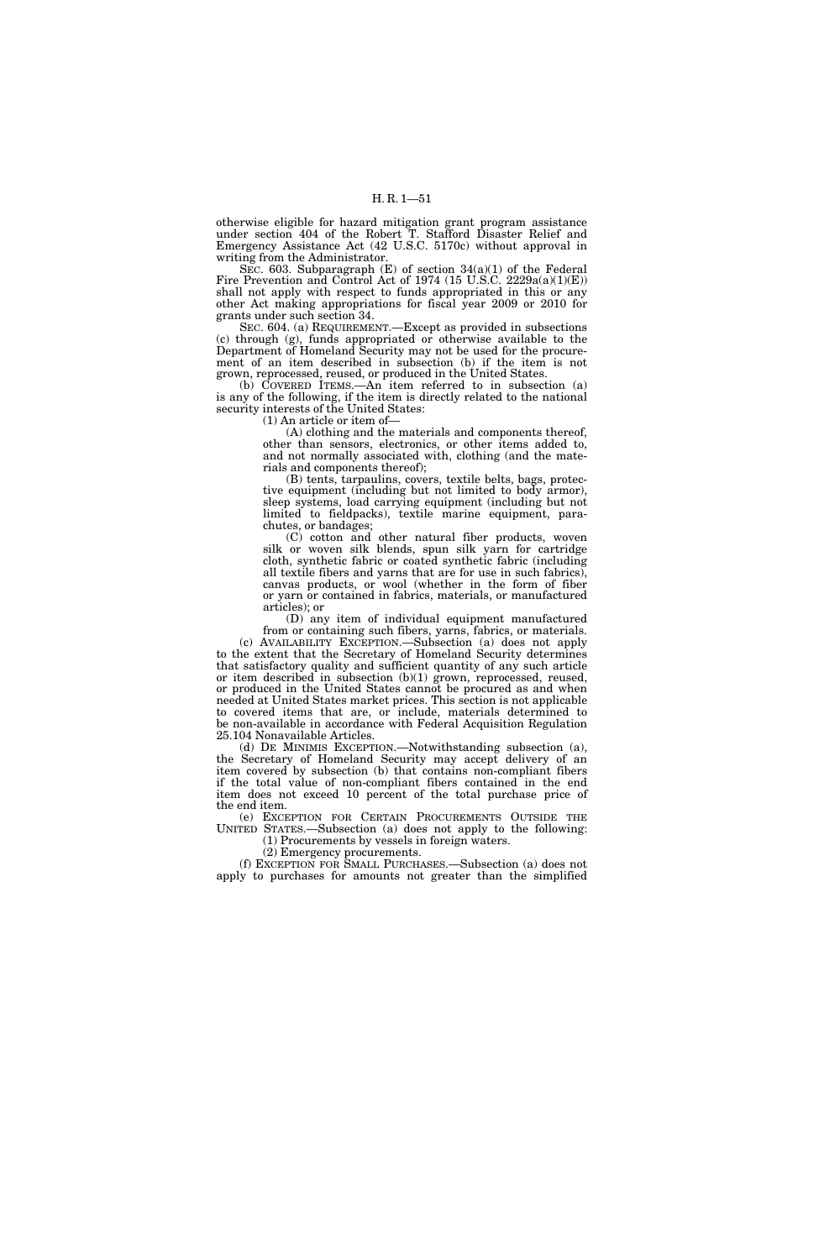otherwise eligible for hazard mitigation grant program assistance under section 404 of the Robert T. Stafford Disaster Relief and Emergency Assistance Act (42 U.S.C. 5170c) without approval in writing from the Administrator.

SEC. 603. Subparagraph  $(E)$  of section 34(a)(1) of the Federal Fire Prevention and Control Act of 1974 (15 U.S.C. 2229a(a)(1)(E)) shall not apply with respect to funds appropriated in this or any other Act making appropriations for fiscal year 2009 or 2010 for grants under such section 34.

SEC. 604. (a) REQUIREMENT.—Except as provided in subsections (c) through (g), funds appropriated or otherwise available to the Department of Homeland Security may not be used for the procurement of an item described in subsection (b) if the item is not grown, reprocessed, reused, or produced in the United States.

(b) COVERED ITEMS.—An item referred to in subsection (a) is any of the following, if the item is directly related to the national security interests of the United States:

(1) An article or item of—

(A) clothing and the materials and components thereof, other than sensors, electronics, or other items added to, and not normally associated with, clothing (and the materials and components thereof);

(B) tents, tarpaulins, covers, textile belts, bags, protective equipment (including but not limited to body armor), sleep systems, load carrying equipment (including but not limited to fieldpacks), textile marine equipment, parachutes, or bandages;

(C) cotton and other natural fiber products, woven silk or woven silk blends, spun silk yarn for cartridge cloth, synthetic fabric or coated synthetic fabric (including all textile fibers and yarns that are for use in such fabrics), canvas products, or wool (whether in the form of fiber or yarn or contained in fabrics, materials, or manufactured articles); or

(D) any item of individual equipment manufactured from or containing such fibers, yarns, fabrics, or materials.

(c) AVAILABILITY EXCEPTION.—Subsection (a) does not apply to the extent that the Secretary of Homeland Security determines that satisfactory quality and sufficient quantity of any such article or item described in subsection (b)(1) grown, reprocessed, reused, or produced in the United States cannot be procured as and when needed at United States market prices. This section is not applicable to covered items that are, or include, materials determined to be non-available in accordance with Federal Acquisition Regulation 25.104 Nonavailable Articles.

(d) DE MINIMIS EXCEPTION.—Notwithstanding subsection (a), the Secretary of Homeland Security may accept delivery of an item covered by subsection (b) that contains non-compliant fibers if the total value of non-compliant fibers contained in the end item does not exceed 10 percent of the total purchase price of the end item.

(e) EXCEPTION FOR CERTAIN PROCUREMENTS OUTSIDE THE UNITED STATES.—Subsection (a) does not apply to the following: (1) Procurements by vessels in foreign waters.

(2) Emergency procurements.

(f) EXCEPTION FOR SMALL PURCHASES.—Subsection (a) does not apply to purchases for amounts not greater than the simplified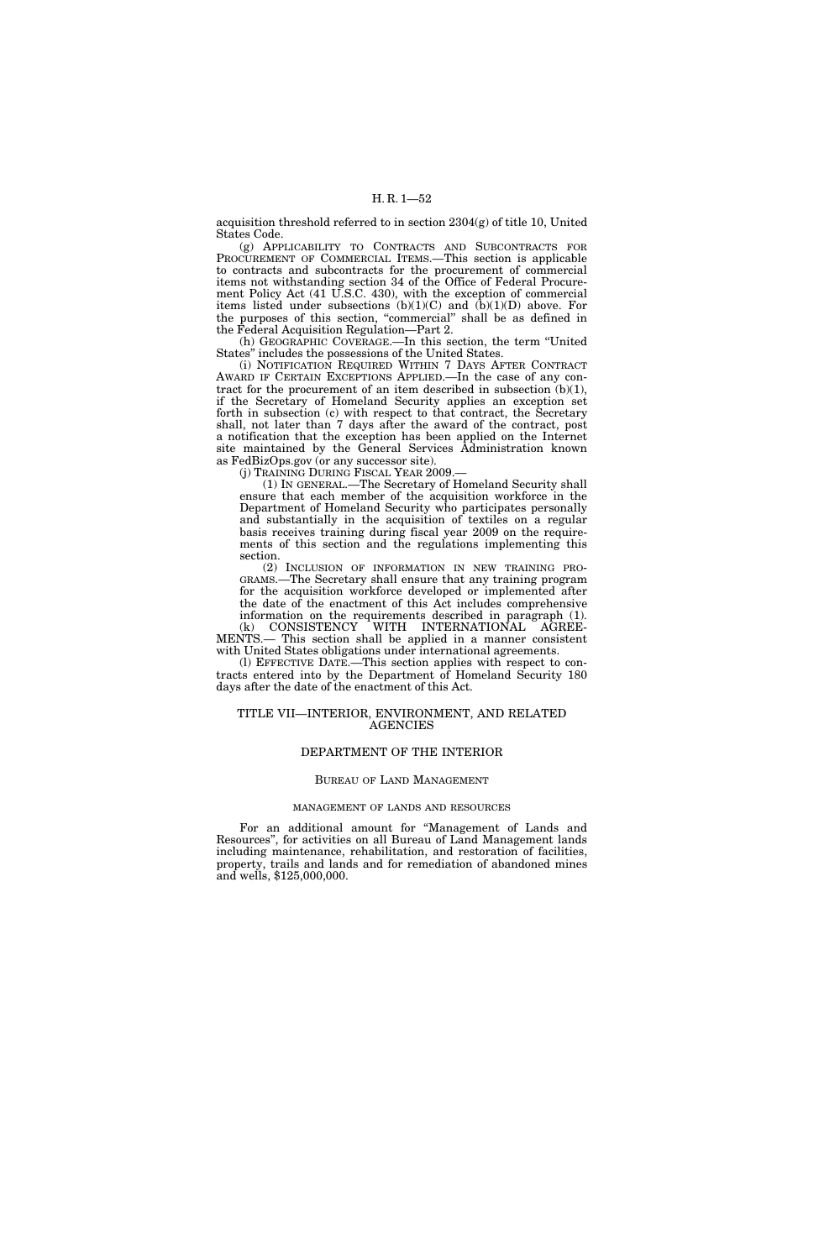acquisition threshold referred to in section 2304(g) of title 10, United States Code.

(g) APPLICABILITY TO CONTRACTS AND SUBCONTRACTS FOR PROCUREMENT OF COMMERCIAL ITEMS.—This section is applicable to contracts and subcontracts for the procurement of commercial items not withstanding section 34 of the Office of Federal Procurement Policy Act (41 U.S.C. 430), with the exception of commercial items listed under subsections (b)(1)(C) and (b)(1)(D) above. For the purposes of this section, ''commercial'' shall be as defined in the Federal Acquisition Regulation—Part 2.

(h) GEOGRAPHIC COVERAGE.—In this section, the term ''United States'' includes the possessions of the United States.

(i) NOTIFICATION REQUIRED WITHIN 7 DAYS AFTER CONTRACT AWARD IF CERTAIN EXCEPTIONS APPLIED.—In the case of any contract for the procurement of an item described in subsection (b)(1), if the Secretary of Homeland Security applies an exception set forth in subsection (c) with respect to that contract, the Secretary shall, not later than 7 days after the award of the contract, post a notification that the exception has been applied on the Internet site maintained by the General Services Administration known as FedBizOps.gov (or any successor site).

(j) TRAINING DURING FISCAL YEAR 2009.

(1) IN GENERAL.—The Secretary of Homeland Security shall ensure that each member of the acquisition workforce in the Department of Homeland Security who participates personally and substantially in the acquisition of textiles on a regular basis receives training during fiscal year 2009 on the requirements of this section and the regulations implementing this section.

(2) INCLUSION OF INFORMATION IN NEW TRAINING PRO-GRAMS.—The Secretary shall ensure that any training program for the acquisition workforce developed or implemented after the date of the enactment of this Act includes comprehensive information on the requirements described in paragraph (1). (k) CONSISTENCY WITH INTERNATIONAL AGREE-

MENTS.— This section shall be applied in a manner consistent with United States obligations under international agreements.

(l) EFFECTIVE DATE.—This section applies with respect to contracts entered into by the Department of Homeland Security 180 days after the date of the enactment of this Act.

# TITLE VII—INTERIOR, ENVIRONMENT, AND RELATED AGENCIES

# DEPARTMENT OF THE INTERIOR

## BUREAU OF LAND MANAGEMENT

#### MANAGEMENT OF LANDS AND RESOURCES

For an additional amount for ''Management of Lands and Resources'', for activities on all Bureau of Land Management lands including maintenance, rehabilitation, and restoration of facilities, property, trails and lands and for remediation of abandoned mines and wells, \$125,000,000.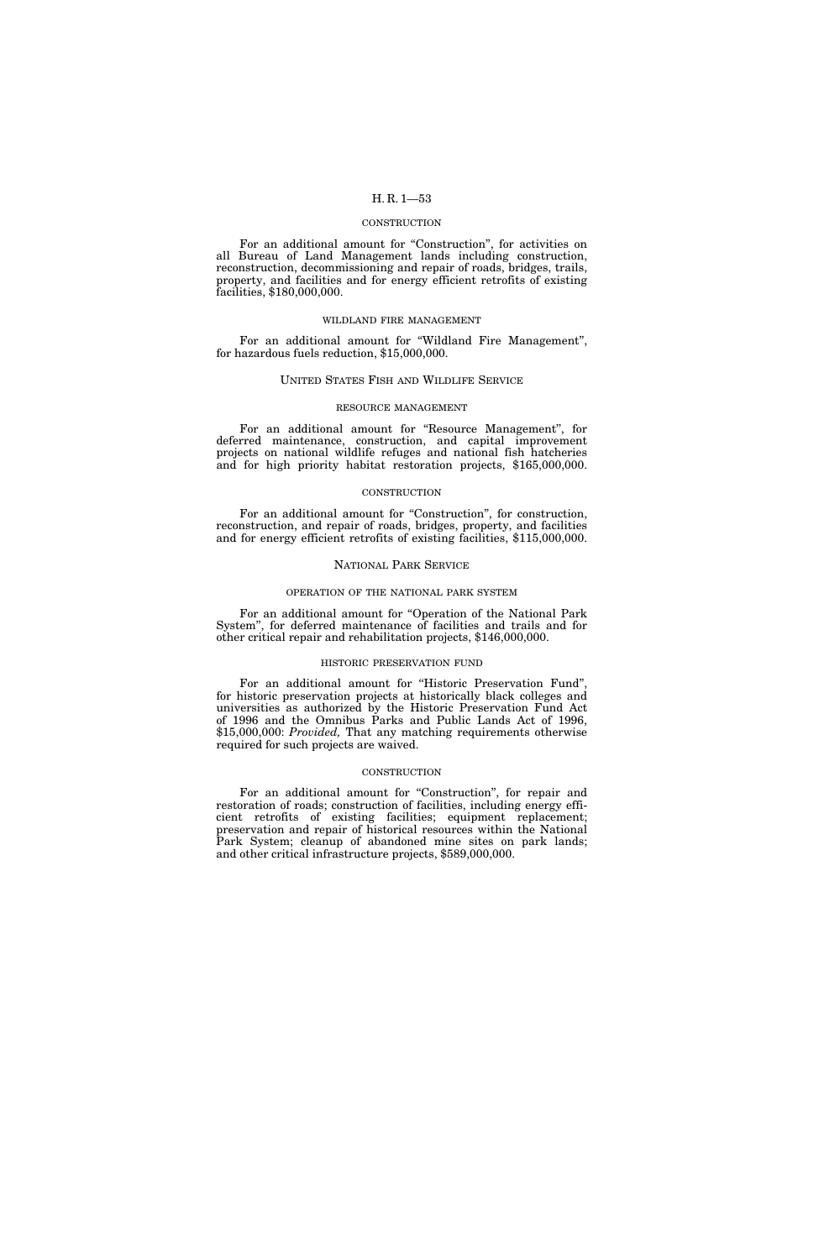## CONSTRUCTION

For an additional amount for "Construction", for activities on all Bureau of Land Management lands including construction, reconstruction, decommissioning and repair of roads, bridges, trails, property, and facilities and for energy efficient retrofits of existing facilities, \$180,000,000.

### WILDLAND FIRE MANAGEMENT

For an additional amount for ''Wildland Fire Management'', for hazardous fuels reduction, \$15,000,000.

### UNITED STATES FISH AND WILDLIFE SERVICE

## RESOURCE MANAGEMENT

For an additional amount for "Resource Management", for deferred maintenance, construction, and capital improvement projects on national wildlife refuges and national fish hatcheries and for high priority habitat restoration projects, \$165,000,000.

#### **CONSTRUCTION**

For an additional amount for "Construction", for construction, reconstruction, and repair of roads, bridges, property, and facilities and for energy efficient retrofits of existing facilities, \$115,000,000.

## NATIONAL PARK SERVICE

#### OPERATION OF THE NATIONAL PARK SYSTEM

For an additional amount for ''Operation of the National Park System'', for deferred maintenance of facilities and trails and for other critical repair and rehabilitation projects, \$146,000,000.

### HISTORIC PRESERVATION FUND

For an additional amount for "Historic Preservation Fund", for historic preservation projects at historically black colleges and universities as authorized by the Historic Preservation Fund Act of 1996 and the Omnibus Parks and Public Lands Act of 1996, \$15,000,000: *Provided,* That any matching requirements otherwise required for such projects are waived.

### **CONSTRUCTION**

For an additional amount for "Construction", for repair and restoration of roads; construction of facilities, including energy efficient retrofits of existing facilities; equipment replacement; preservation and repair of historical resources within the National Park System; cleanup of abandoned mine sites on park lands; and other critical infrastructure projects, \$589,000,000.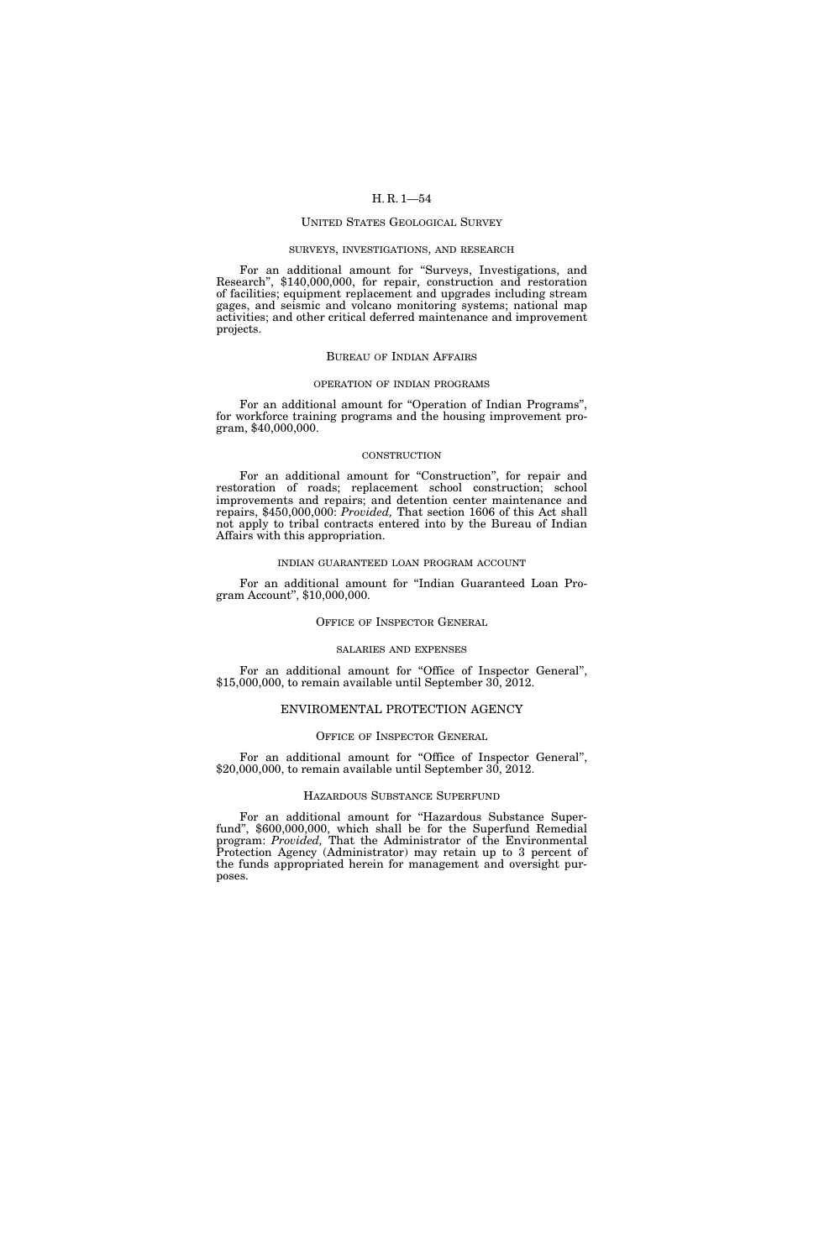## UNITED STATES GEOLOGICAL SURVEY

## SURVEYS, INVESTIGATIONS, AND RESEARCH

For an additional amount for ''Surveys, Investigations, and Research'', \$140,000,000, for repair, construction and restoration of facilities; equipment replacement and upgrades including stream gages, and seismic and volcano monitoring systems; national map activities; and other critical deferred maintenance and improvement projects.

### BUREAU OF INDIAN AFFAIRS

## OPERATION OF INDIAN PROGRAMS

For an additional amount for "Operation of Indian Programs", for workforce training programs and the housing improvement program, \$40,000,000.

#### **CONSTRUCTION**

For an additional amount for "Construction", for repair and restoration of roads; replacement school construction; school improvements and repairs; and detention center maintenance and repairs, \$450,000,000: *Provided,* That section 1606 of this Act shall not apply to tribal contracts entered into by the Bureau of Indian Affairs with this appropriation.

### INDIAN GUARANTEED LOAN PROGRAM ACCOUNT

For an additional amount for ''Indian Guaranteed Loan Program Account'', \$10,000,000.

## OFFICE OF INSPECTOR GENERAL

## SALARIES AND EXPENSES

For an additional amount for ''Office of Inspector General'', \$15,000,000, to remain available until September 30, 2012.

## ENVIROMENTAL PROTECTION AGENCY

## OFFICE OF INSPECTOR GENERAL

For an additional amount for "Office of Inspector General", \$20,000,000, to remain available until September 30, 2012.

### HAZARDOUS SUBSTANCE SUPERFUND

For an additional amount for "Hazardous Substance Superfund'', \$600,000,000, which shall be for the Superfund Remedial program: *Provided,* That the Administrator of the Environmental Protection Agency (Administrator) may retain up to 3 percent of the funds appropriated herein for management and oversight purposes.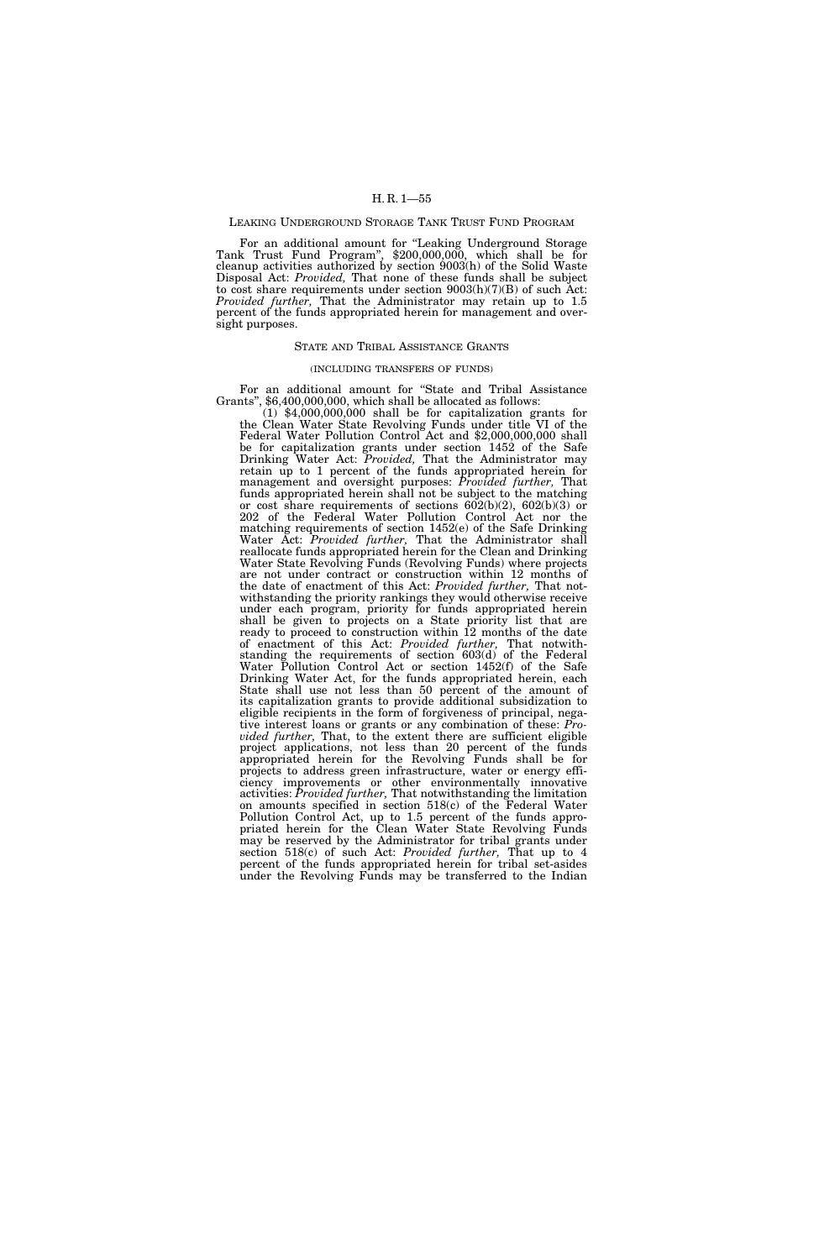## LEAKING UNDERGROUND STORAGE TANK TRUST FUND PROGRAM

For an additional amount for ''Leaking Underground Storage Tank Trust Fund Program'', \$200,000,000, which shall be for cleanup activities authorized by section 9003(h) of the Solid Waste Disposal Act: *Provided,* That none of these funds shall be subject to cost share requirements under section 9003(h)(7)(B) of such Act: *Provided further,* That the Administrator may retain up to 1.5 percent of the funds appropriated herein for management and oversight purposes.

## STATE AND TRIBAL ASSISTANCE GRANTS

### (INCLUDING TRANSFERS OF FUNDS)

For an additional amount for ''State and Tribal Assistance Grants'', \$6,400,000,000, which shall be allocated as follows:

(1) \$4,000,000,000 shall be for capitalization grants for the Clean Water State Revolving Funds under title VI of the Federal Water Pollution Control Act and \$2,000,000,000 shall be for capitalization grants under section 1452 of the Safe Drinking Water Act: *Provided,* That the Administrator may retain up to 1 percent of the funds appropriated herein for management and oversight purposes: *Provided further,* That funds appropriated herein shall not be subject to the matching or cost share requirements of sections 602(b)(2), 602(b)(3) or 202 of the Federal Water Pollution Control Act nor the matching requirements of section 1452(e) of the Safe Drinking Water Act: *Provided further,* That the Administrator shall reallocate funds appropriated herein for the Clean and Drinking Water State Revolving Funds (Revolving Funds) where projects are not under contract or construction within 12 months of the date of enactment of this Act: *Provided further,* That notwithstanding the priority rankings they would otherwise receive under each program, priority for funds appropriated herein shall be given to projects on a State priority list that are ready to proceed to construction within 12 months of the date of enactment of this Act: *Provided further,* That notwithstanding the requirements of section 603(d) of the Federal Water Pollution Control Act or section 1452(f) of the Safe Drinking Water Act, for the funds appropriated herein, each State shall use not less than 50 percent of the amount of its capitalization grants to provide additional subsidization to eligible recipients in the form of forgiveness of principal, negative interest loans or grants or any combination of these: *Provided further,* That, to the extent there are sufficient eligible project applications, not less than 20 percent of the funds appropriated herein for the Revolving Funds shall be for projects to address green infrastructure, water or energy efficiency improvements or other environmentally innovative activities: *Provided further,* That notwithstanding the limitation on amounts specified in section 518(c) of the Federal Water Pollution Control Act, up to 1.5 percent of the funds appropriated herein for the Clean Water State Revolving Funds may be reserved by the Administrator for tribal grants under section 518(c) of such Act: *Provided further,* That up to 4 percent of the funds appropriated herein for tribal set-asides under the Revolving Funds may be transferred to the Indian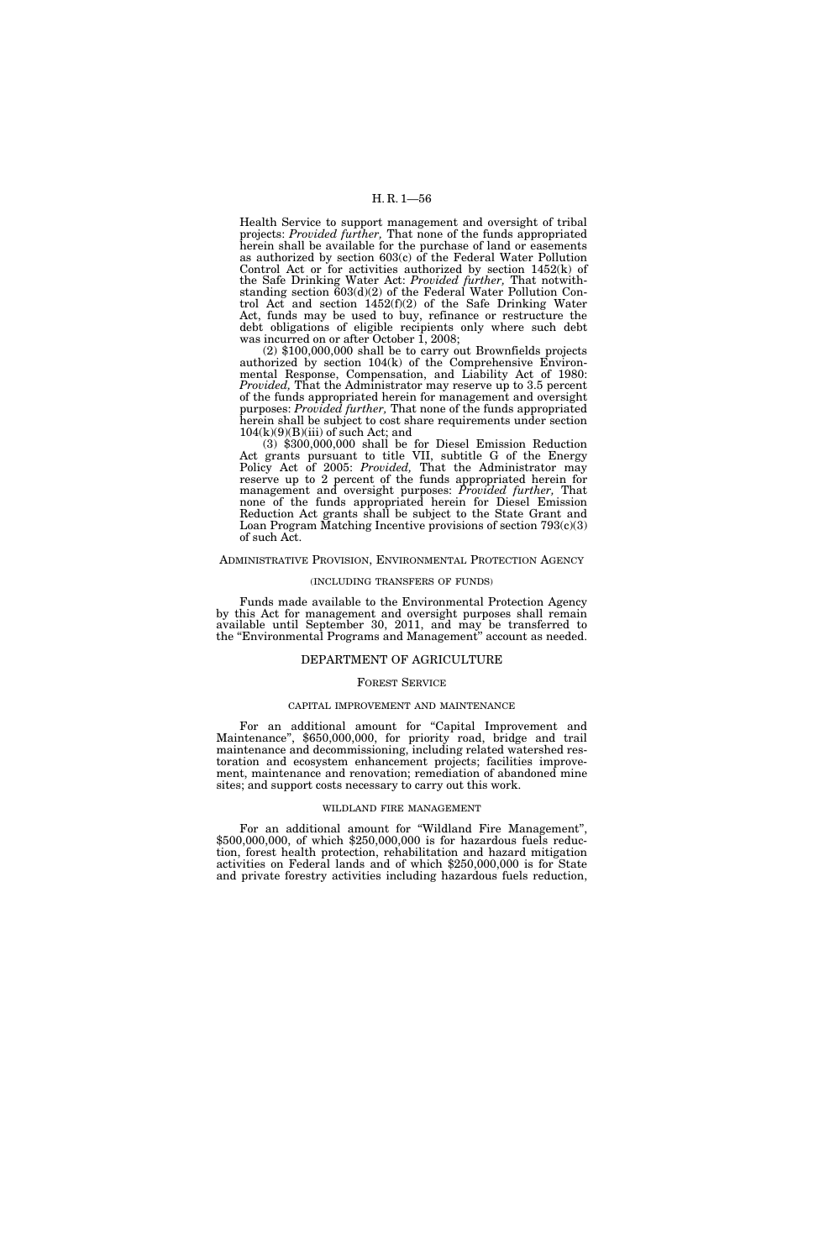Health Service to support management and oversight of tribal projects: *Provided further,* That none of the funds appropriated herein shall be available for the purchase of land or easements as authorized by section 603(c) of the Federal Water Pollution Control Act or for activities authorized by section 1452(k) of the Safe Drinking Water Act: *Provided further,* That notwithstanding section 603(d)(2) of the Federal Water Pollution Control Act and section 1452(f)(2) of the Safe Drinking Water Act, funds may be used to buy, refinance or restructure the debt obligations of eligible recipients only where such debt was incurred on or after October 1, 2008;

(2) \$100,000,000 shall be to carry out Brownfields projects authorized by section 104(k) of the Comprehensive Environmental Response, Compensation, and Liability Act of 1980: *Provided*, That the Administrator may reserve up to 3.5 percent of the funds appropriated herein for management and oversight purposes: *Provided further,* That none of the funds appropriated herein shall be subject to cost share requirements under section  $104(k)(9)(B)(iii)$  of such Act; and

(3) \$300,000,000 shall be for Diesel Emission Reduction Act grants pursuant to title VII, subtitle G of the Energy Policy Act of 2005: *Provided,* That the Administrator may reserve up to 2 percent of the funds appropriated herein for management and oversight purposes: *Provided further,* That none of the funds appropriated herein for Diesel Emission Reduction Act grants shall be subject to the State Grant and Loan Program Matching Incentive provisions of section 793(c)(3) of such Act.

## ADMINISTRATIVE PROVISION, ENVIRONMENTAL PROTECTION AGENCY

## (INCLUDING TRANSFERS OF FUNDS)

Funds made available to the Environmental Protection Agency by this Act for management and oversight purposes shall remain available until September 30, 2011, and may be transferred to the ''Environmental Programs and Management'' account as needed.

# DEPARTMENT OF AGRICULTURE

# FOREST SERVICE

## CAPITAL IMPROVEMENT AND MAINTENANCE

For an additional amount for "Capital Improvement and Maintenance", \$650,000,000, for priority road, bridge and trail maintenance and decommissioning, including related watershed restoration and ecosystem enhancement projects; facilities improvement, maintenance and renovation; remediation of abandoned mine sites; and support costs necessary to carry out this work.

## WILDLAND FIRE MANAGEMENT

For an additional amount for "Wildland Fire Management", \$500,000,000, of which \$250,000,000 is for hazardous fuels reduction, forest health protection, rehabilitation and hazard mitigation activities on Federal lands and of which \$250,000,000 is for State and private forestry activities including hazardous fuels reduction,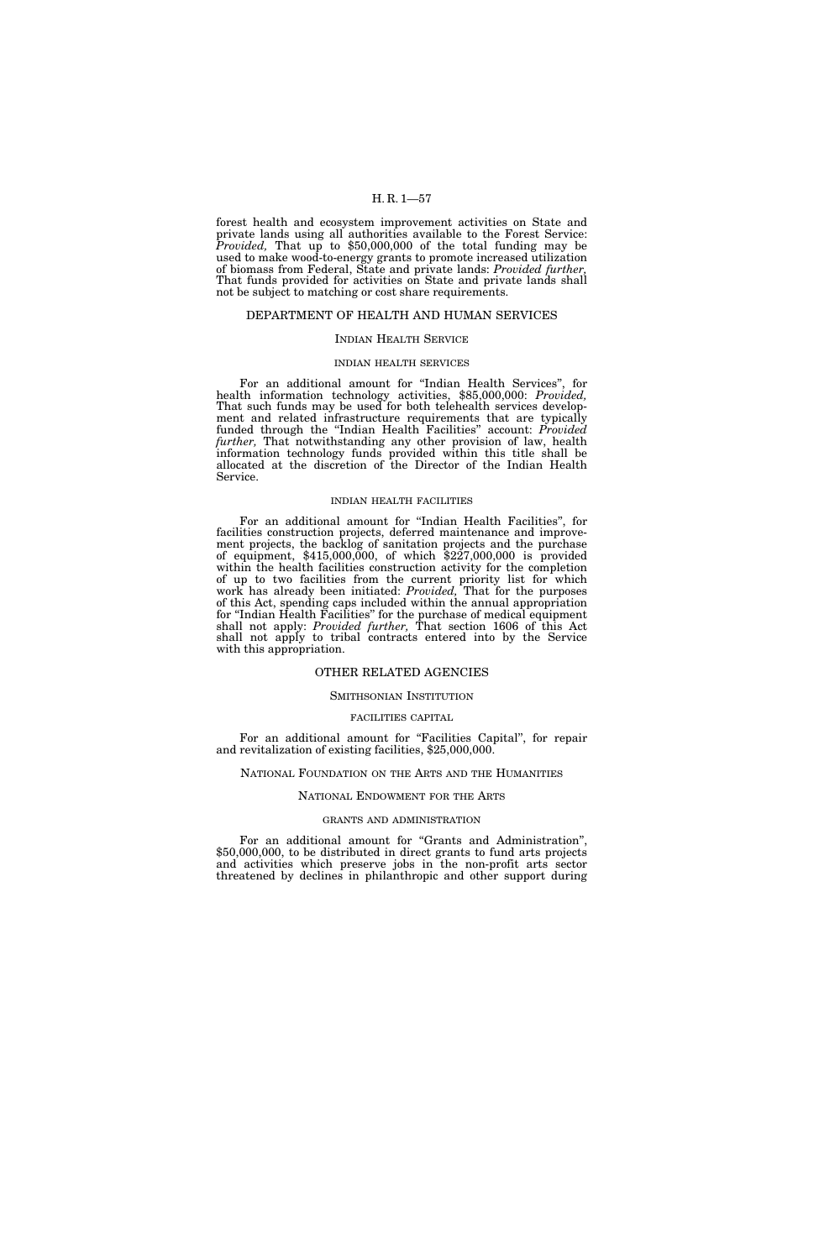forest health and ecosystem improvement activities on State and private lands using all authorities available to the Forest Service: *Provided,* That up to \$50,000,000 of the total funding may be used to make wood-to-energy grants to promote increased utilization of biomass from Federal, State and private lands: *Provided further,*  That funds provided for activities on State and private lands shall not be subject to matching or cost share requirements.

# DEPARTMENT OF HEALTH AND HUMAN SERVICES

# INDIAN HEALTH SERVICE

## INDIAN HEALTH SERVICES

For an additional amount for ''Indian Health Services'', for health information technology activities, \$85,000,000: *Provided,*  That such funds may be used for both telehealth services development and related infrastructure requirements that are typically funded through the ''Indian Health Facilities'' account: *Provided further,* That notwithstanding any other provision of law, health information technology funds provided within this title shall be allocated at the discretion of the Director of the Indian Health Service.

## INDIAN HEALTH FACILITIES

For an additional amount for ''Indian Health Facilities'', for facilities construction projects, deferred maintenance and improvement projects, the backlog of sanitation projects and the purchase of equipment,  $$415,000,000$ , of which  $$227,000,000$  is provided within the health facilities construction activity for the completion of up to two facilities from the current priority list for which work has already been initiated: *Provided,* That for the purposes of this Act, spending caps included within the annual appropriation for ''Indian Health Facilities'' for the purchase of medical equipment shall not apply: *Provided further,* That section 1606 of this Act shall not apply to tribal contracts entered into by the Service with this appropriation.

### OTHER RELATED AGENCIES

## SMITHSONIAN INSTITUTION

### FACILITIES CAPITAL

For an additional amount for "Facilities Capital", for repair and revitalization of existing facilities, \$25,000,000.

## NATIONAL FOUNDATION ON THE ARTS AND THE HUMANITIES

### NATIONAL ENDOWMENT FOR THE ARTS

### GRANTS AND ADMINISTRATION

For an additional amount for "Grants and Administration", \$50,000,000, to be distributed in direct grants to fund arts projects and activities which preserve jobs in the non-profit arts sector threatened by declines in philanthropic and other support during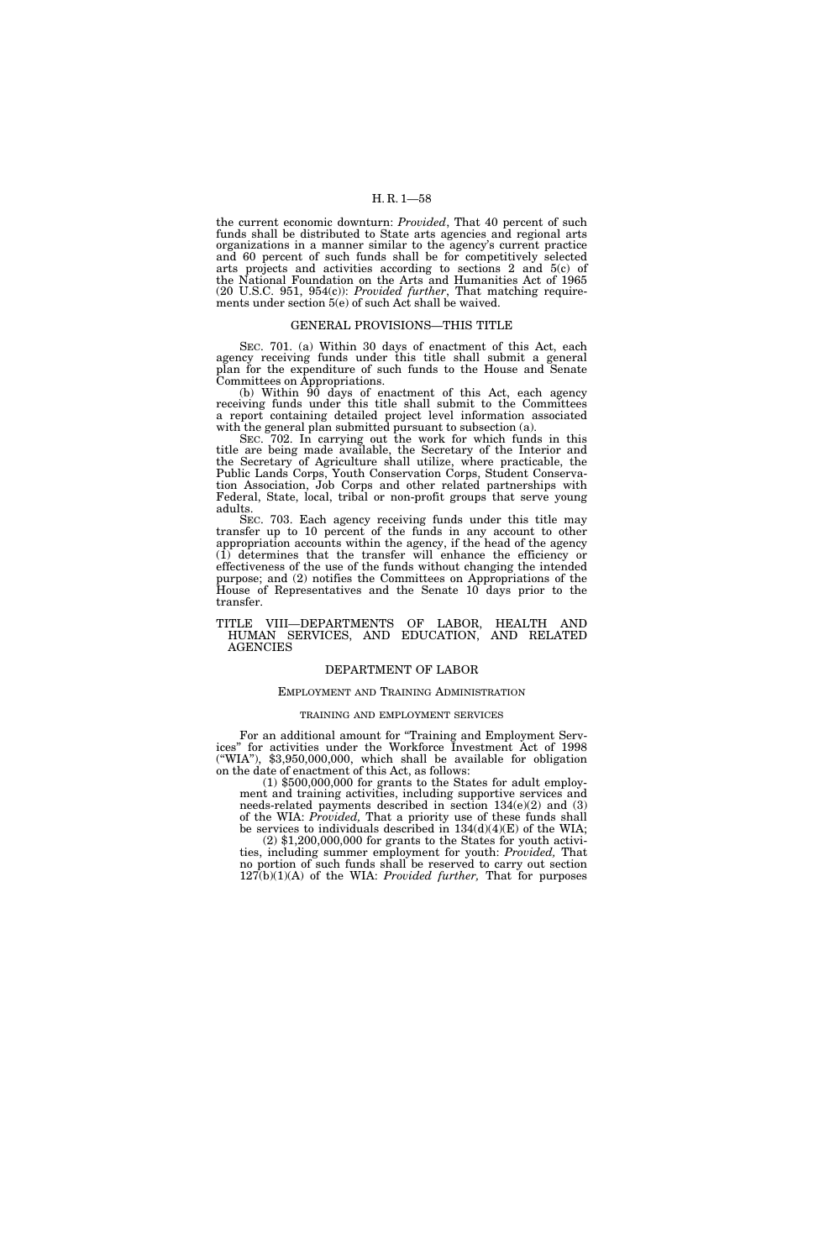the current economic downturn: *Provided*, That 40 percent of such funds shall be distributed to State arts agencies and regional arts organizations in a manner similar to the agency's current practice and 60 percent of such funds shall be for competitively selected arts projects and activities according to sections 2 and 5(c) of the National Foundation on the Arts and Humanities Act of 1965 (20 U.S.C. 951, 954(c)): *Provided further*, That matching requirements under section 5(e) of such Act shall be waived.

## GENERAL PROVISIONS—THIS TITLE

SEC. 701. (a) Within 30 days of enactment of this Act, each agency receiving funds under this title shall submit a general plan for the expenditure of such funds to the House and Senate Committees on Appropriations.

(b) Within 90 days of enactment of this Act, each agency receiving funds under this title shall submit to the Committees a report containing detailed project level information associated with the general plan submitted pursuant to subsection (a).

SEC. 702. In carrying out the work for which funds in this title are being made available, the Secretary of the Interior and the Secretary of Agriculture shall utilize, where practicable, the Public Lands Corps, Youth Conservation Corps, Student Conservation Association, Job Corps and other related partnerships with Federal, State, local, tribal or non-profit groups that serve young adults.

SEC. 703. Each agency receiving funds under this title may transfer up to 10 percent of the funds in any account to other appropriation accounts within the agency, if the head of the agency (1) determines that the transfer will enhance the efficiency or effectiveness of the use of the funds without changing the intended purpose; and (2) notifies the Committees on Appropriations of the House of Representatives and the Senate 10 days prior to the transfer.

### TITLE VIII—DEPARTMENTS OF LABOR, HEALTH AND HUMAN SERVICES, AND EDUCATION, AND RELATED AGENCIES

# DEPARTMENT OF LABOR

# EMPLOYMENT AND TRAINING ADMINISTRATION

# TRAINING AND EMPLOYMENT SERVICES

For an additional amount for "Training and Employment Services'' for activities under the Workforce Investment Act of 1998 (''WIA''), \$3,950,000,000, which shall be available for obligation on the date of enactment of this Act, as follows:

(1) \$500,000,000 for grants to the States for adult employment and training activities, including supportive services and needs-related payments described in section 134(e)(2) and (3) of the WIA: *Provided,* That a priority use of these funds shall be services to individuals described in  $134(d)(4)(E)$  of the WIA; (2) \$1,200,000,000 for grants to the States for youth activi-

ties, including summer employment for youth: *Provided,* That no portion of such funds shall be reserved to carry out section 127(b)(1)(A) of the WIA: *Provided further,* That for purposes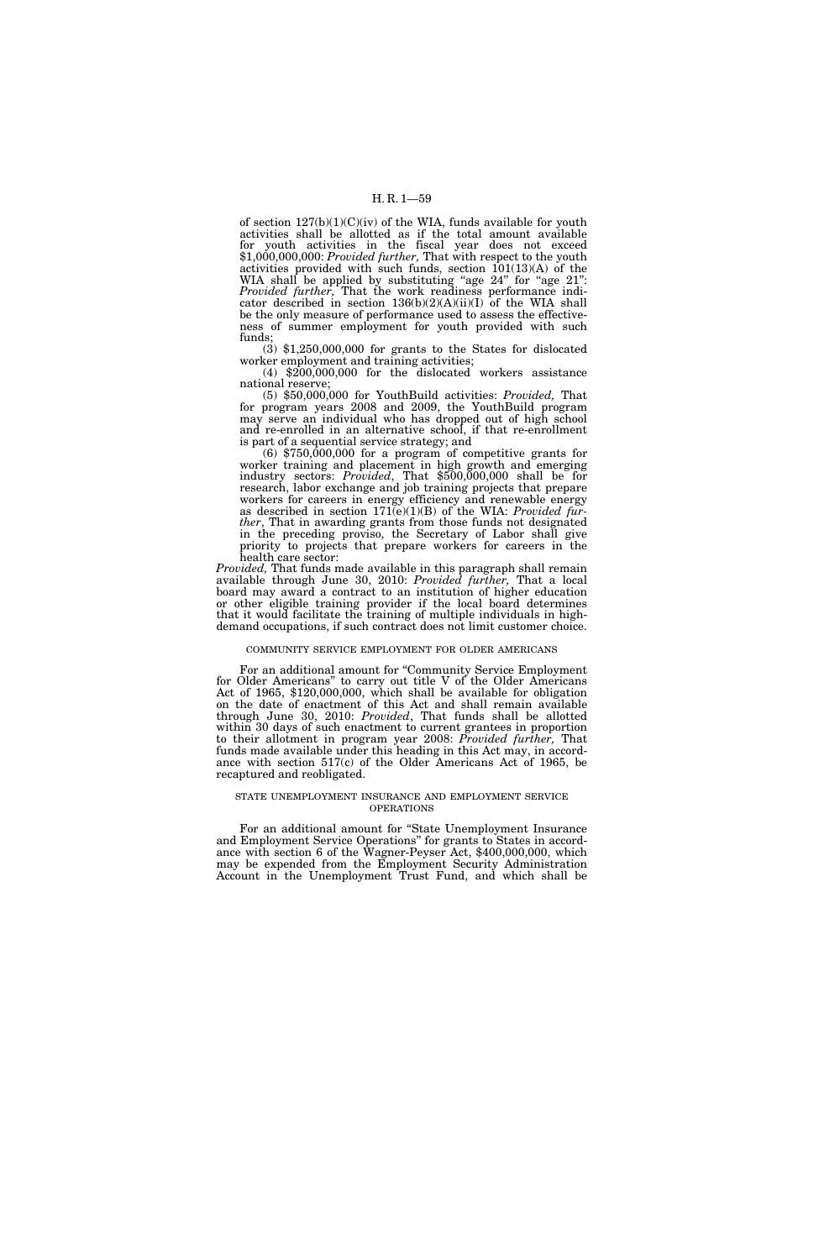of section  $127(b)(1)(C)(iv)$  of the WIA, funds available for youth activities shall be allotted as if the total amount available for youth activities in the fiscal year does not exceed \$1,000,000,000: *Provided further,* That with respect to the youth activities provided with such funds, section  $101(13)(A)$  of the WIA shall be applied by substituting "age 24" for "age 21": *Provided further,* That the work readiness performance indicator described in section  $136(b)(2)(A)(ii)(I)$  of the WIA shall be the only measure of performance used to assess the effectiveness of summer employment for youth provided with such

funds;<br>
(3) \$1,250,000,000 for grants to the States for dislocated<br>
worker employment and training activities;

 $(4)$  \$200,000,000 for the dislocated workers assistance national reserve;

national reserve; (5) \$50,000,000 for YouthBuild activities: *Provided,* That for program years 2008 and 2009, the YouthBuild program may serve an individual who has dropped out of high school and re-enrolled in an alternative school, if that re-enrollment is part of a sequential service strategy; and

 $(6)$  \$750,000,000 for a program of competitive grants for worker training and placement in high growth and emerging industry sectors: *Provided*, That \$500,000,000 shall be for research, labor exchange and job training projects that prepare workers for careers in energy efficiency and renewable energy as described in section 171(e)(1)(B) of the WIA: *Provided further*, That in awarding grants from those funds not designated in the preceding proviso, the Secretary of Labor shall give priority to projects that prepare workers for careers in the health care sector:

*Provided,* That funds made available in this paragraph shall remain available through June 30, 2010: *Provided further,* That a local board may award a contract to an institution of higher education or other eligible training provider if the local board determines that it would facilitate the training of multiple individuals in highdemand occupations, if such contract does not limit customer choice.

## COMMUNITY SERVICE EMPLOYMENT FOR OLDER AMERICANS

For an additional amount for "Community Service Employment for Older Americans'' to carry out title V of the Older Americans Act of 1965, \$120,000,000, which shall be available for obligation on the date of enactment of this Act and shall remain available through June 30, 2010: *Provided*, That funds shall be allotted within 30 days of such enactment to current grantees in proportion to their allotment in program year 2008: *Provided further,* That funds made available under this heading in this Act may, in accordance with section 517(c) of the Older Americans Act of 1965, be recaptured and reobligated.

### STATE UNEMPLOYMENT INSURANCE AND EMPLOYMENT SERVICE OPERATIONS

For an additional amount for "State Unemployment Insurance and Employment Service Operations'' for grants to States in accordance with section 6 of the Wagner-Peyser Act, \$400,000,000, which may be expended from the Employment Security Administration Account in the Unemployment Trust Fund, and which shall be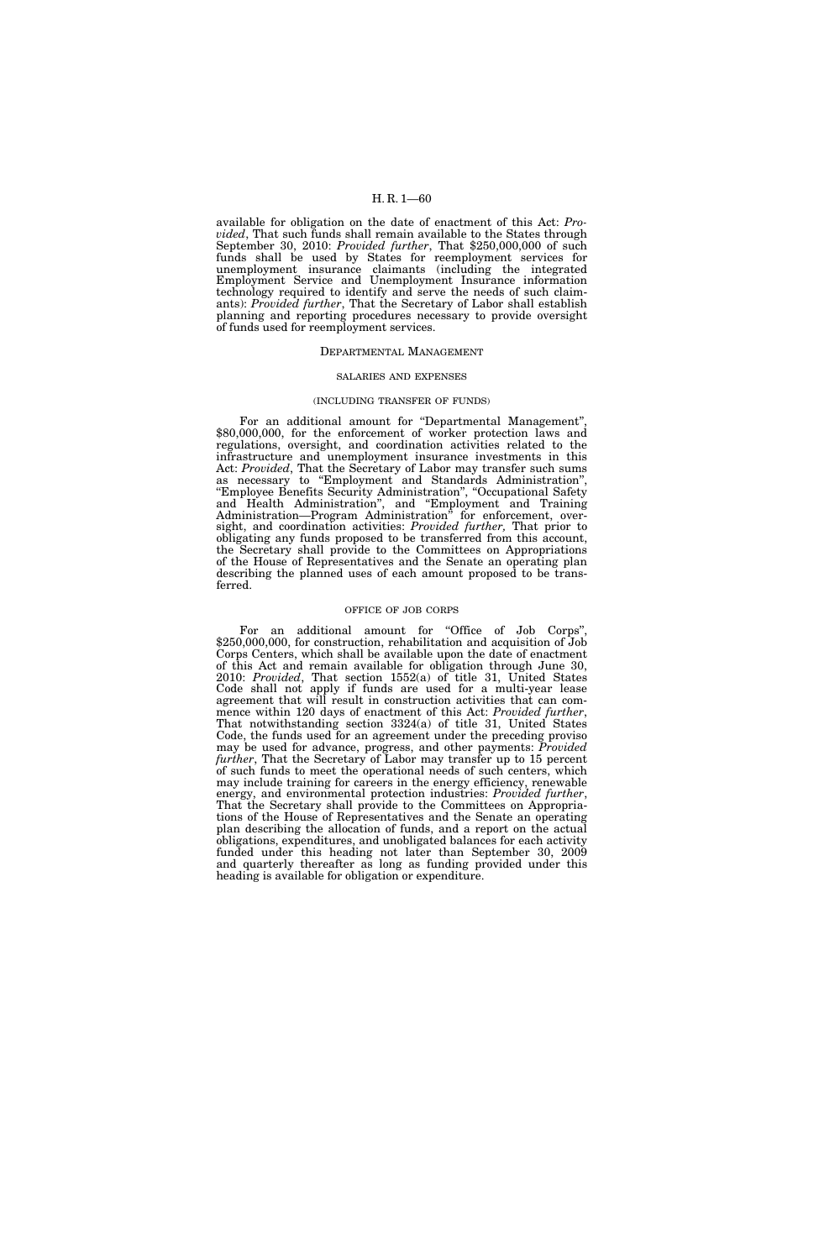available for obligation on the date of enactment of this Act: *Provided*, That such funds shall remain available to the States through September 30, 2010: *Provided further*, That \$250,000,000 of such funds shall be used by States for reemployment services for unemployment insurance claimants (including the integrated Employment Service and Unemployment Insurance information technology required to identify and serve the needs of such claimants): *Provided further*, That the Secretary of Labor shall establish planning and reporting procedures necessary to provide oversight of funds used for reemployment services.

## DEPARTMENTAL MANAGEMENT

## SALARIES AND EXPENSES

### (INCLUDING TRANSFER OF FUNDS)

For an additional amount for "Departmental Management", \$80,000,000, for the enforcement of worker protection laws and regulations, oversight, and coordination activities related to the infrastructure and unemployment insurance investments in this Act: *Provided*, That the Secretary of Labor may transfer such sums as necessary to "Employment and Standards Administration", ''Employee Benefits Security Administration'', ''Occupational Safety and Health Administration'', and ''Employment and Training Administration—Program Administration<sup>"</sup> for enforcement, oversight, and coordination activities: *Provided further,* That prior to obligating any funds proposed to be transferred from this account, the Secretary shall provide to the Committees on Appropriations of the House of Representatives and the Senate an operating plan describing the planned uses of each amount proposed to be transferred.

### OFFICE OF JOB CORPS

For an additional amount for "Office of Job Corps", \$250,000,000, for construction, rehabilitation and acquisition of Job Corps Centers, which shall be available upon the date of enactment of this Act and remain available for obligation through June 30, 2010: *Provided*, That section 1552(a) of title 31, United States Code shall not apply if funds are used for a multi-year lease agreement that will result in construction activities that can com-<br>mence within 120 days of enactment of this Act: *Provided further*, That notwithstanding section 3324(a) of title 31, United States Code, the funds used for an agreement under the preceding proviso may be used for advance, progress, and other payments: *Provided further*, That the Secretary of Labor may transfer up to 15 percent of such funds to meet the operational needs of such centers, which may include training for careers in the energy efficiency, renewable energy, and environmental protection industries: *Provided further*, That the Secretary shall provide to the Committees on Appropriations of the House of Representatives and the Senate an operating plan describing the allocation of funds, and a report on the actual obligations, expenditures, and unobligated balances for each activity funded under this heading not later than September 30, 2009 and quarterly thereafter as long as funding provided under this heading is available for obligation or expenditure.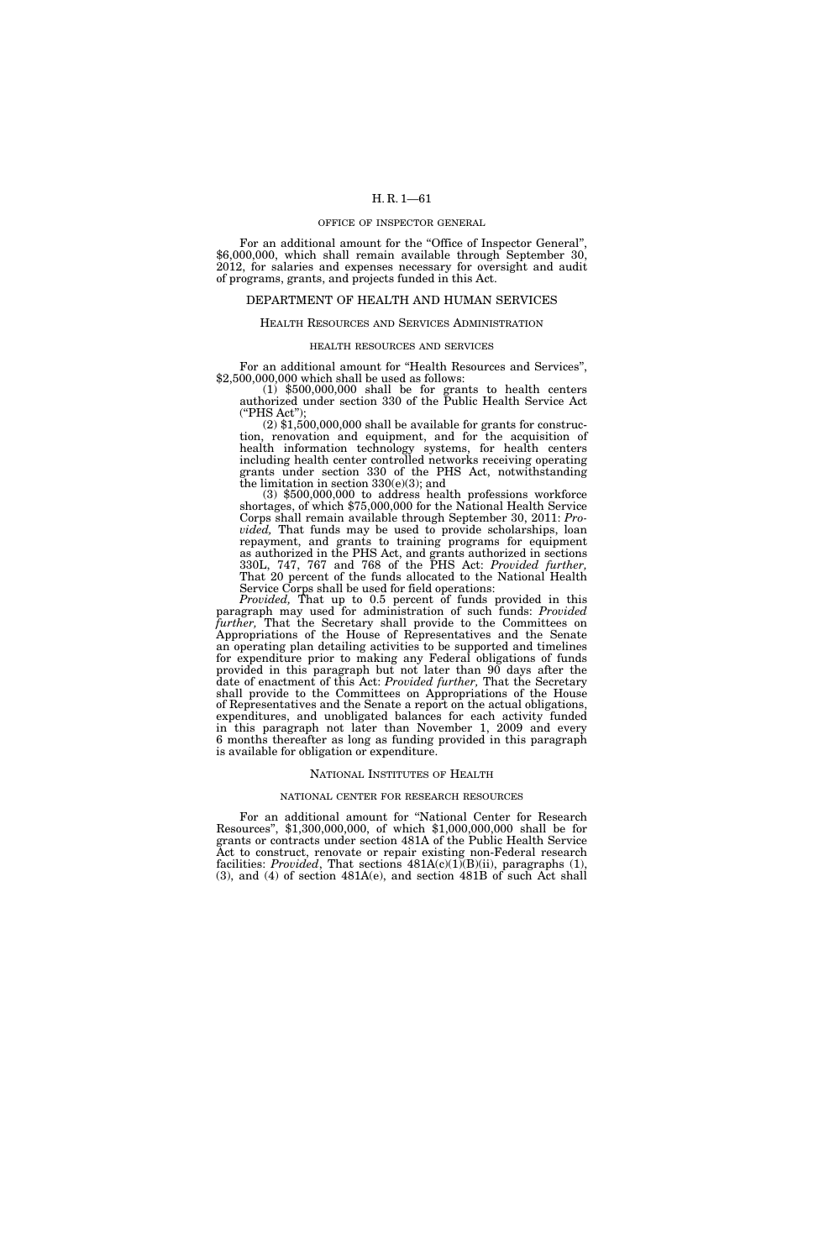#### OFFICE OF INSPECTOR GENERAL

For an additional amount for the "Office of Inspector General", \$6,000,000, which shall remain available through September 30, 2012, for salaries and expenses necessary for oversight and audit of programs, grants, and projects funded in this Act.

## DEPARTMENT OF HEALTH AND HUMAN SERVICES

## HEALTH RESOURCES AND SERVICES ADMINISTRATION

#### HEALTH RESOURCES AND SERVICES

For an additional amount for "Health Resources and Services", \$2,500,000,000 which shall be used as follows:

(1) \$500,000,000 shall be for grants to health centers authorized under section 330 of the Public Health Service Act (''PHS Act'');

 $(2)$  \$1,500,000,000 shall be available for grants for construction, renovation and equipment, and for the acquisition of health information technology systems, for health centers including health center controlled networks receiving operating grants under section 330 of the PHS Act, notwithstanding the limitation in section  $330(e)(3)$ ; and<br>(3) \$500,000,000 to address health professions workforce

shortages, of which \$75,000,000 for the National Health Service Corps shall remain available through September 30, 2011: *Provided,* That funds may be used to provide scholarships, loan repayment, and grants to training programs for equipment as authorized in the PHS Act, and grants authorized in sections 330L, 747, 767 and 768 of the PHS Act: *Provided further,*  That 20 percent of the funds allocated to the National Health Service Corps shall be used for field operations:

*Provided,* That up to 0.5 percent of funds provided in this paragraph may used for administration of such funds: *Provided further,* That the Secretary shall provide to the Committees on Appropriations of the House of Representatives and the Senate an operating plan detailing activities to be supported and timelines for expenditure prior to making any Federal obligations of funds provided in this paragraph but not later than 90 days after the date of enactment of this Act: *Provided further,* That the Secretary shall provide to the Committees on Appropriations of the House of Representatives and the Senate a report on the actual obligations, expenditures, and unobligated balances for each activity funded in this paragraph not later than November 1, 2009 and every 6 months thereafter as long as funding provided in this paragraph is available for obligation or expenditure.

#### NATIONAL INSTITUTES OF HEALTH

#### NATIONAL CENTER FOR RESEARCH RESOURCES

For an additional amount for "National Center for Research Resources'', \$1,300,000,000, of which \$1,000,000,000 shall be for grants or contracts under section 481A of the Public Health Service Act to construct, renovate or repair existing non-Federal research facilities: *Provided*, That sections  $481A(c)(1)$ <sup>(B)</sup>(ii), paragraphs (1), (3), and (4) of section 481A(e), and section 481B of such Act shall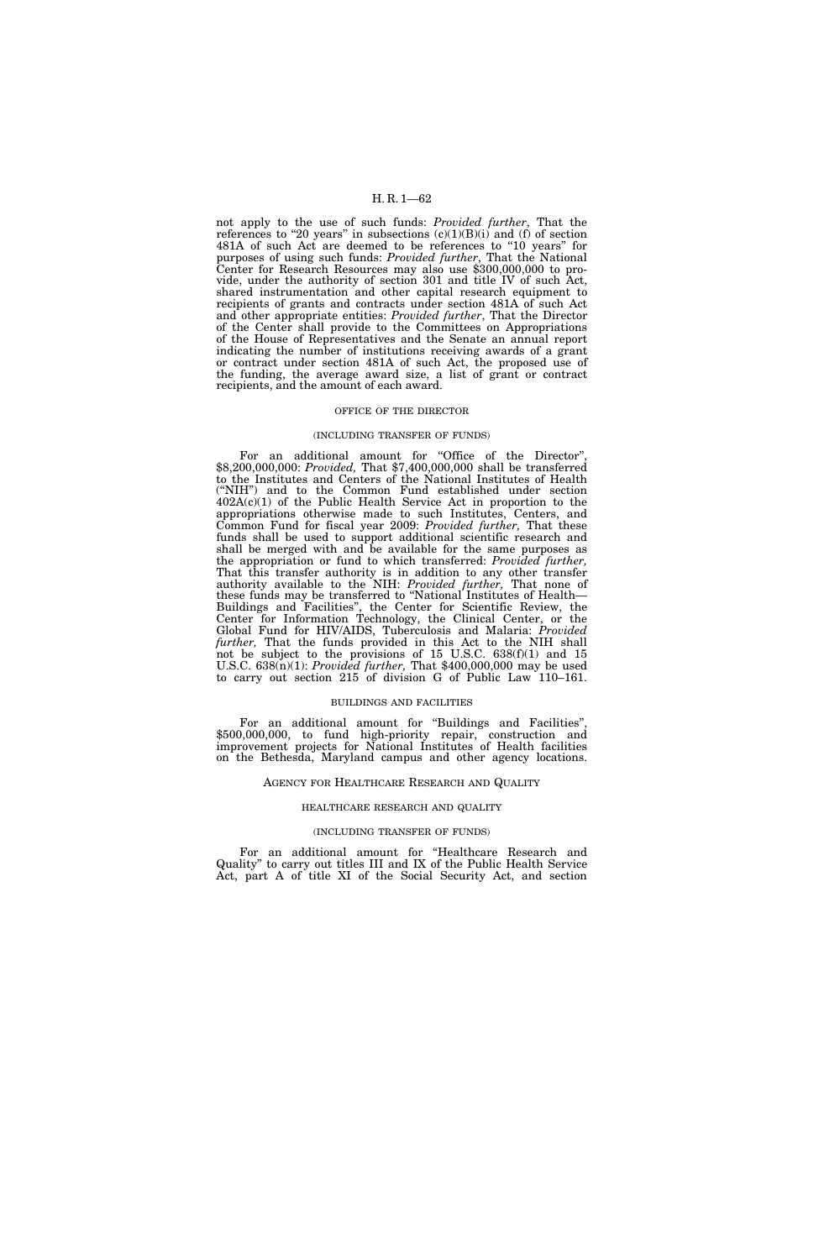not apply to the use of such funds: *Provided further*, That the references to "20 years" in subsections  $(c)(1)(B)(i)$  and  $(f)$  of section 481A of such Act are deemed to be references to ''10 years'' for purposes of using such funds: *Provided further*, That the National Center for Research Resources may also use \$300,000,000 to provide, under the authority of section 301 and title IV of such Act, shared instrumentation and other capital research equipment to recipients of grants and contracts under section 481A of such Act and other appropriate entities: *Provided further*, That the Director of the Center shall provide to the Committees on Appropriations of the House of Representatives and the Senate an annual report indicating the number of institutions receiving awards of a grant or contract under section 481A of such Act, the proposed use of the funding, the average award size, a list of grant or contract recipients, and the amount of each award.

### OFFICE OF THE DIRECTOR

### (INCLUDING TRANSFER OF FUNDS)

For an additional amount for "Office of the Director", \$8,200,000,000: *Provided,* That \$7,400,000,000 shall be transferred to the Institutes and Centers of the National Institutes of Health (''NIH'') and to the Common Fund established under section 402A(c)(1) of the Public Health Service Act in proportion to the appropriations otherwise made to such Institutes, Centers, and Common Fund for fiscal year 2009: *Provided further,* That these funds shall be used to support additional scientific research and shall be merged with and be available for the same purposes as the appropriation or fund to which transferred: *Provided further,*  That this transfer authority is in addition to any other transfer authority available to the NIH: *Provided further,* That none of these funds may be transferred to ''National Institutes of Health— Buildings and Facilities'', the Center for Scientific Review, the Center for Information Technology, the Clinical Center, or the Global Fund for HIV/AIDS, Tuberculosis and Malaria: *Provided further,* That the funds provided in this Act to the NIH shall not be subject to the provisions of 15 U.S.C. 638(f)(1) and 15 U.S.C. 638(n)(1): *Provided further,* That \$400,000,000 may be used to carry out section 215 of division G of Public Law 110–161.

### BUILDINGS AND FACILITIES

For an additional amount for ''Buildings and Facilities'', \$500,000,000, to fund high-priority repair, construction and improvement projects for National Institutes of Health facilities on the Bethesda, Maryland campus and other agency locations.

### AGENCY FOR HEALTHCARE RESEARCH AND QUALITY

### HEALTHCARE RESEARCH AND QUALITY

## (INCLUDING TRANSFER OF FUNDS)

For an additional amount for ''Healthcare Research and Quality'' to carry out titles III and IX of the Public Health Service Act, part A of title XI of the Social Security Act, and section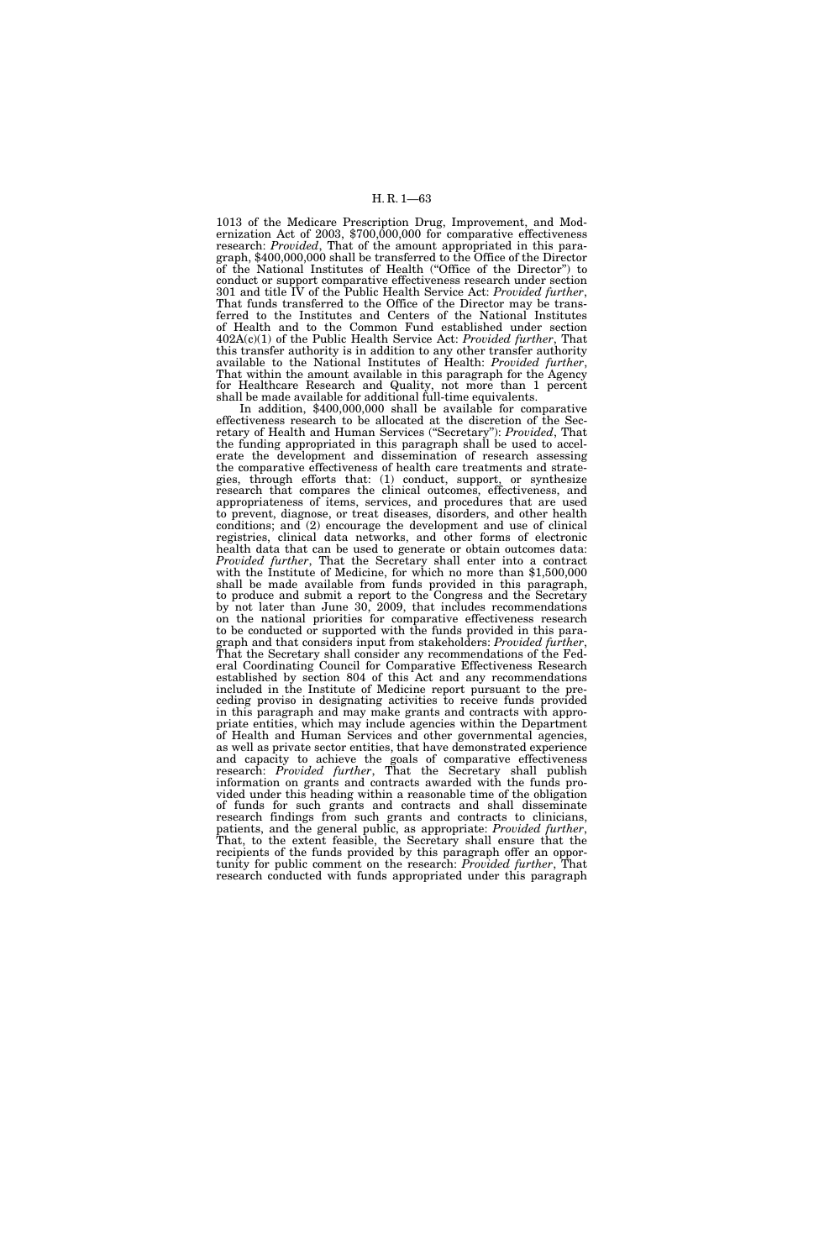1013 of the Medicare Prescription Drug, Improvement, and Modernization Act of 2003, \$700,000,000 for comparative effectiveness research: *Provided*, That of the amount appropriated in this paragraph, \$400,000,000 shall be transferred to the Office of the Director of the National Institutes of Health (''Office of the Director'') to conduct or support comparative effectiveness research under section 301 and title IV of the Public Health Service Act: *Provided further*, That funds transferred to the Office of the Director may be transferred to the Institutes and Centers of the National Institutes of Health and to the Common Fund established under section 402A(c)(1) of the Public Health Service Act: *Provided further*, That this transfer authority is in addition to any other transfer authority available to the National Institutes of Health: *Provided further*, That within the amount available in this paragraph for the Agency for Healthcare Research and Quality, not more than 1 percent shall be made available for additional full-time equivalents.

In addition, \$400,000,000 shall be available for comparative effectiveness research to be allocated at the discretion of the Secretary of Health and Human Services (''Secretary''): *Provided*, That the funding appropriated in this paragraph shall be used to accelerate the development and dissemination of research assessing the comparative effectiveness of health care treatments and strategies, through efforts that: (1) conduct, support, or synthesize research that compares the clinical outcomes, effectiveness, and appropriateness of items, services, and procedures that are used to prevent, diagnose, or treat diseases, disorders, and other health conditions; and (2) encourage the development and use of clinical registries, clinical data networks, and other forms of electronic health data that can be used to generate or obtain outcomes data: *Provided further*, That the Secretary shall enter into a contract with the Institute of Medicine, for which no more than \$1,500,000 shall be made available from funds provided in this paragraph, to produce and submit a report to the Congress and the Secretary by not later than June 30, 2009, that includes recommendations on the national priorities for comparative effectiveness research to be conducted or supported with the funds provided in this paragraph and that considers input from stakeholders: *Provided further*, That the Secretary shall consider any recommendations of the Federal Coordinating Council for Comparative Effectiveness Research established by section 804 of this Act and any recommendations included in the Institute of Medicine report pursuant to the preceding proviso in designating activities to receive funds provided in this paragraph and may make grants and contracts with appropriate entities, which may include agencies within the Department of Health and Human Services and other governmental agencies, as well as private sector entities, that have demonstrated experience and capacity to achieve the goals of comparative effectiveness research: *Provided further*, That the Secretary shall publish information on grants and contracts awarded with the funds provided under this heading within a reasonable time of the obligation of funds for such grants and contracts and shall disseminate research findings from such grants and contracts to clinicians, patients, and the general public, as appropriate: *Provided further*, That, to the extent feasible, the Secretary shall ensure that the recipients of the funds provided by this paragraph offer an opportunity for public comment on the research: *Provided further*, That research conducted with funds appropriated under this paragraph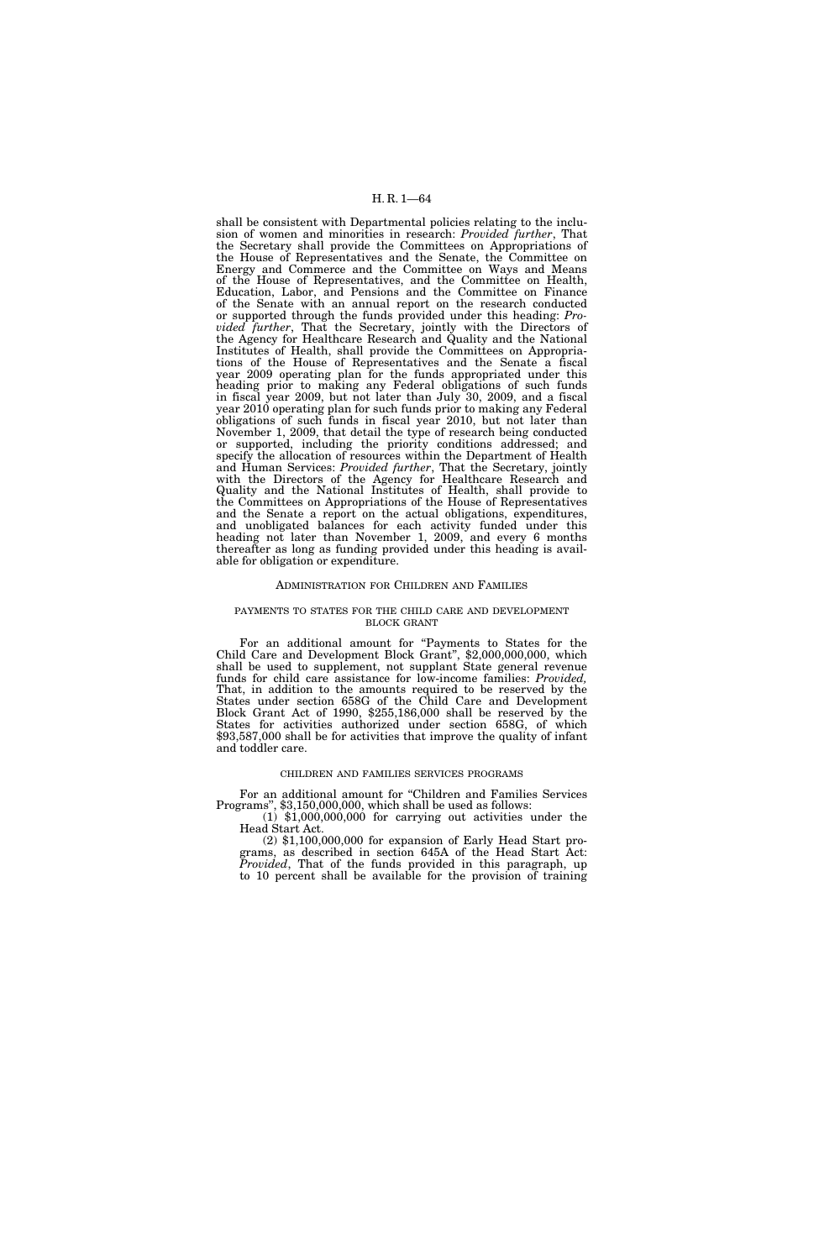shall be consistent with Departmental policies relating to the inclusion of women and minorities in research: *Provided further*, That the Secretary shall provide the Committees on Appropriations of the House of Representatives and the Senate, the Committee on Energy and Commerce and the Committee on Ways and Means of the House of Representatives, and the Committee on Health, Education, Labor, and Pensions and the Committee on Finance of the Senate with an annual report on the research conducted or supported through the funds provided under this heading: *Provided further*, That the Secretary, jointly with the Directors of the Agency for Healthcare Research and Quality and the National Institutes of Health, shall provide the Committees on Appropriations of the House of Representatives and the Senate a fiscal year 2009 operating plan for the funds appropriated under this heading prior to making any Federal obligations of such funds in fiscal year 2009, but not later than July 30, 2009, and a fiscal year 2010 operating plan for such funds prior to making any Federal obligations of such funds in fiscal year 2010, but not later than November 1, 2009, that detail the type of research being conducted or supported, including the priority conditions addressed; and specify the allocation of resources within the Department of Health and Human Services: *Provided further*, That the Secretary, jointly with the Directors of the Agency for Healthcare Research and Quality and the National Institutes of Health, shall provide to the Committees on Appropriations of the House of Representatives and the Senate a report on the actual obligations, expenditures, and unobligated balances for each activity funded under this heading not later than November 1, 2009, and every 6 months thereafter as long as funding provided under this heading is available for obligation or expenditure.

### ADMINISTRATION FOR CHILDREN AND FAMILIES

## PAYMENTS TO STATES FOR THE CHILD CARE AND DEVELOPMENT BLOCK GRANT

For an additional amount for "Payments to States for the Child Care and Development Block Grant", \$2,000,000,000, which shall be used to supplement, not supplant State general revenue funds for child care assistance for low-income families: *Provided,*  That, in addition to the amounts required to be reserved by the States under section 658G of the Child Care and Development Block Grant Act of 1990, \$255,186,000 shall be reserved by the States for activities authorized under section 658G, of which \$93,587,000 shall be for activities that improve the quality of infant and toddler care.

## CHILDREN AND FAMILIES SERVICES PROGRAMS

For an additional amount for "Children and Families Services Programs", \$3,150,000,000, which shall be used as follows:

(1) \$1,000,000,000 for carrying out activities under the Head Start Act.

(2) \$1,100,000,000 for expansion of Early Head Start programs, as described in section 645A of the Head Start Act: *Provided*, That of the funds provided in this paragraph, up to 10 percent shall be available for the provision of training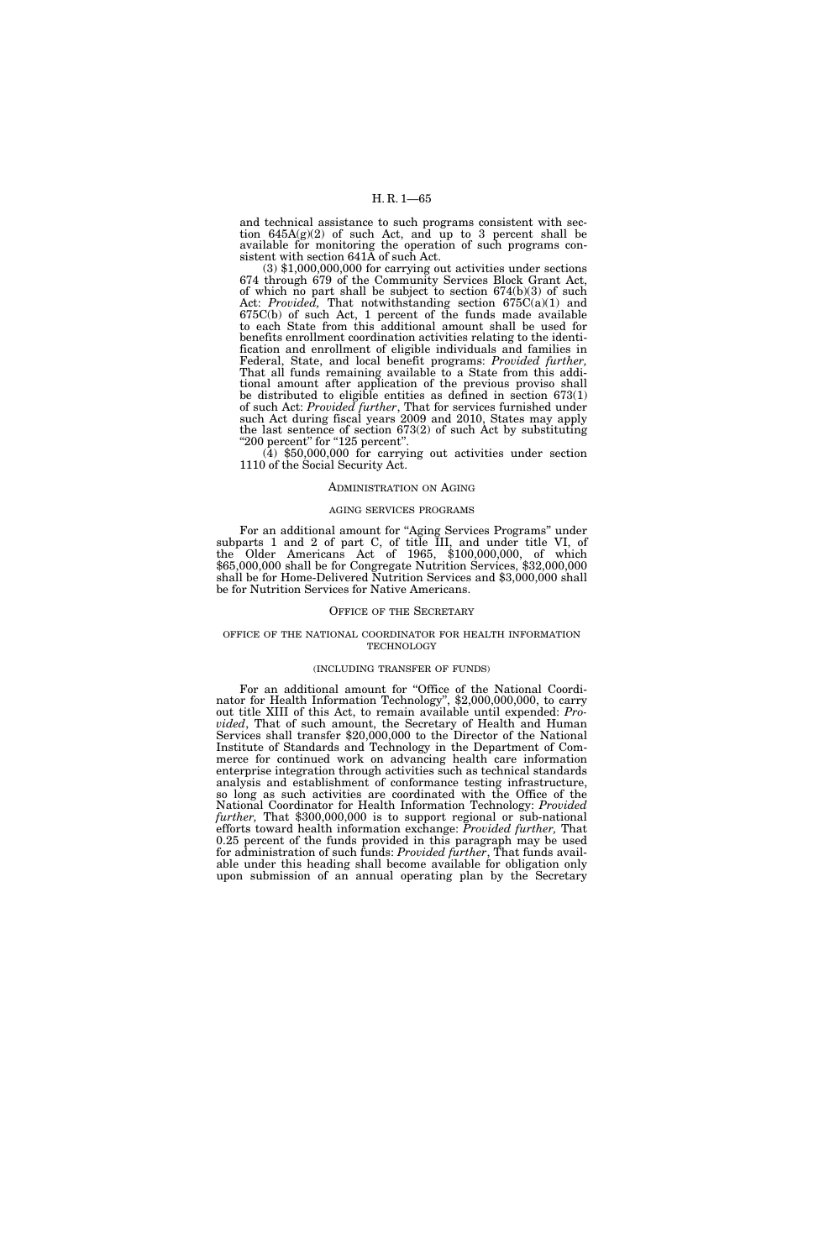and technical assistance to such programs consistent with section  $645A(g)(2)$  of such Act, and up to 3 percent shall be available for monitoring the operation of such programs consistent with section 641A of such Act.

(3) \$1,000,000,000 for carrying out activities under sections 674 through 679 of the Community Services Block Grant Act, of which no part shall be subject to section 674(b)(3) of such Act: *Provided,* That notwithstanding section 675C(a)(1) and 675C(b) of such Act, 1 percent of the funds made available to each State from this additional amount shall be used for benefits enrollment coordination activities relating to the identification and enrollment of eligible individuals and families in Federal, State, and local benefit programs: *Provided further,*  That all funds remaining available to a State from this additional amount after application of the previous proviso shall be distributed to eligible entities as defined in section 673(1) of such Act: *Provided further*, That for services furnished under such Act during fiscal years 2009 and 2010, States may apply the last sentence of section 673(2) of such Act by substituting

''200 percent'' for ''125 percent''. (4) \$50,000,000 for carrying out activities under section 1110 of the Social Security Act.

### ADMINISTRATION ON AGING

#### AGING SERVICES PROGRAMS

For an additional amount for "Aging Services Programs" under subparts 1 and 2 of part C, of title III, and under title VI, of the Older Americans Act of 1965, \$100,000,000, of which \$65,000,000 shall be for Congregate Nutrition Services, \$32,000,000 shall be for Home-Delivered Nutrition Services and \$3,000,000 shall be for Nutrition Services for Native Americans.

### OFFICE OF THE SECRETARY

### OFFICE OF THE NATIONAL COORDINATOR FOR HEALTH INFORMATION **TECHNOLOGY**

# (INCLUDING TRANSFER OF FUNDS)

For an additional amount for "Office of the National Coordinator for Health Information Technology", \$2,000,000,000, to carry out title XIII of this Act, to remain available until expended: *Provided*, That of such amount, the Secretary of Health and Human Services shall transfer \$20,000,000 to the Director of the National Institute of Standards and Technology in the Department of Commerce for continued work on advancing health care information enterprise integration through activities such as technical standards analysis and establishment of conformance testing infrastructure, so long as such activities are coordinated with the Office of the National Coordinator for Health Information Technology: *Provided further,* That \$300,000,000 is to support regional or sub-national efforts toward health information exchange: *Provided further,* That 0.25 percent of the funds provided in this paragraph may be used for administration of such funds: *Provided further*, That funds available under this heading shall become available for obligation only upon submission of an annual operating plan by the Secretary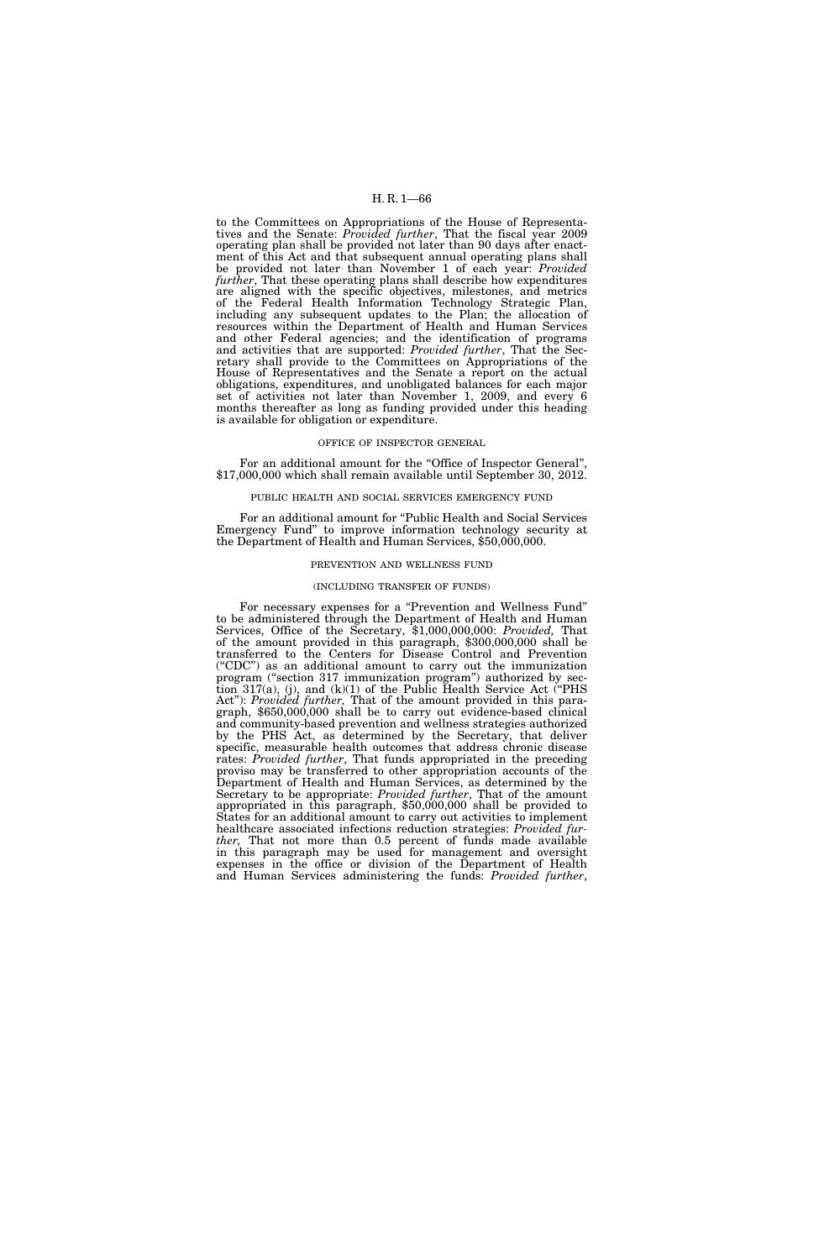to the Committees on Appropriations of the House of Representatives and the Senate: *Provided further*, That the fiscal year 2009 operating plan shall be provided not later than 90 days after enactment of this Act and that subsequent annual operating plans shall be provided not later than November 1 of each year: *Provided further*, That these operating plans shall describe how expenditures are aligned with the specific objectives, milestones, and metrics of the Federal Health Information Technology Strategic Plan, including any subsequent updates to the Plan; the allocation of resources within the Department of Health and Human Services and other Federal agencies; and the identification of programs and activities that are supported: *Provided further*, That the Secretary shall provide to the Committees on Appropriations of the House of Representatives and the Senate a report on the actual obligations, expenditures, and unobligated balances for each major set of activities not later than November 1, 2009, and every 6 months thereafter as long as funding provided under this heading is available for obligation or expenditure.

## OFFICE OF INSPECTOR GENERAL

For an additional amount for the "Office of Inspector General" \$17,000,000 which shall remain available until September 30, 2012.

# PUBLIC HEALTH AND SOCIAL SERVICES EMERGENCY FUND

For an additional amount for "Public Health and Social Services" Emergency Fund'' to improve information technology security at the Department of Health and Human Services, \$50,000,000.

# PREVENTION AND WELLNESS FUND

#### (INCLUDING TRANSFER OF FUNDS)

For necessary expenses for a "Prevention and Wellness Fund" to be administered through the Department of Health and Human Services, Office of the Secretary, \$1,000,000,000: *Provided,* That of the amount provided in this paragraph, \$300,000,000 shall be transferred to the Centers for Disease Control and Prevention (''CDC'') as an additional amount to carry out the immunization program (''section 317 immunization program'') authorized by section 317(a), (j), and  $(k)(1)$  of the Public Health Service Act ("PHS Act''): *Provided further,* That of the amount provided in this paragraph, \$650,000,000 shall be to carry out evidence-based clinical and community-based prevention and wellness strategies authorized by the PHS Act, as determined by the Secretary, that deliver specific, measurable health outcomes that address chronic disease rates: *Provided further*, That funds appropriated in the preceding proviso may be transferred to other appropriation accounts of the Department of Health and Human Services, as determined by the Secretary to be appropriate: *Provided further*, That of the amount appropriated in this paragraph, \$50,000,000 shall be provided to States for an additional amount to carry out activities to implement healthcare associated infections reduction strategies: *Provided further,* That not more than 0.5 percent of funds made available in this paragraph may be used for management and oversight expenses in the office or division of the Department of Health and Human Services administering the funds: *Provided further*,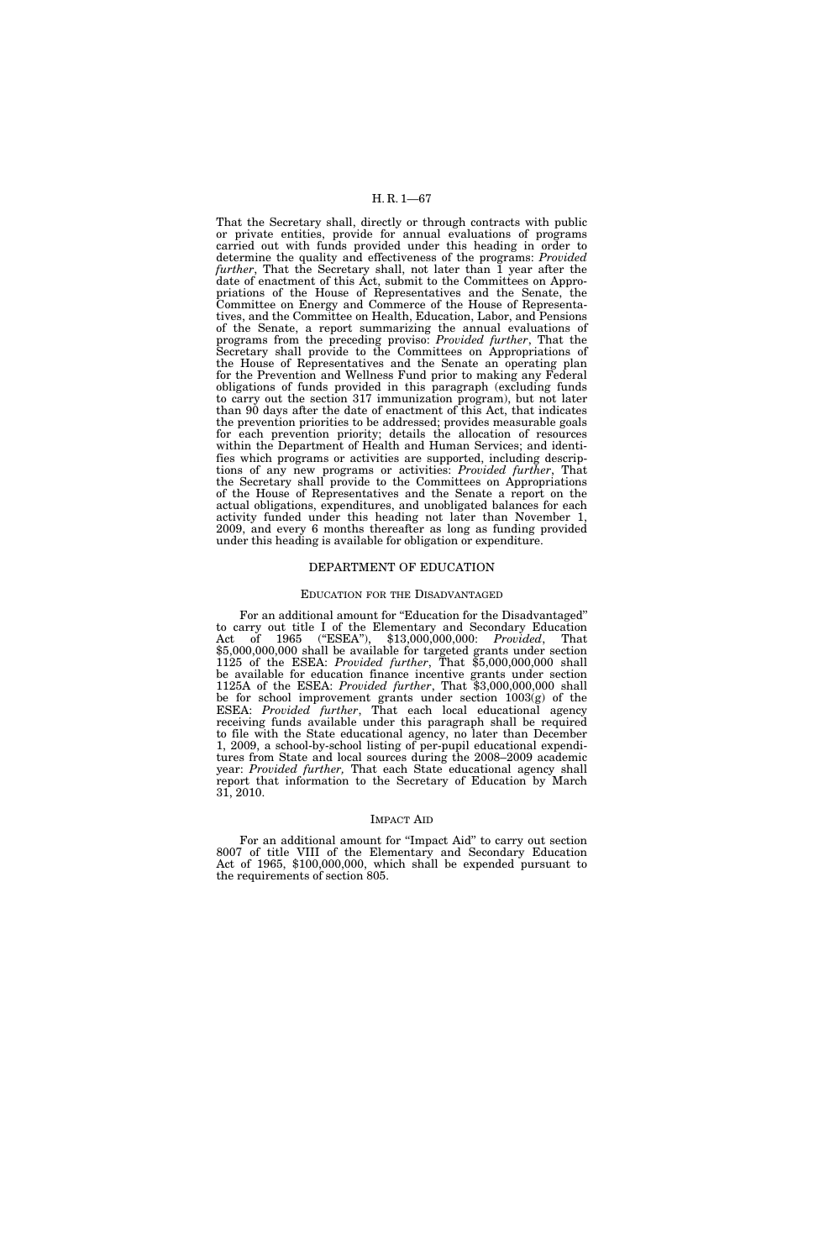That the Secretary shall, directly or through contracts with public or private entities, provide for annual evaluations of programs carried out with funds provided under this heading in order to determine the quality and effectiveness of the programs: *Provided further*, That the Secretary shall, not later than 1 year after the date of enactment of this Act, submit to the Committees on Appropriations of the House of Representatives and the Senate, the Committee on Energy and Commerce of the House of Representatives, and the Committee on Health, Education, Labor, and Pensions of the Senate, a report summarizing the annual evaluations of programs from the preceding proviso: *Provided further*, That the Secretary shall provide to the Committees on Appropriations of the House of Representatives and the Senate an operating plan for the Prevention and Wellness Fund prior to making any Federal obligations of funds provided in this paragraph (excluding funds to carry out the section 317 immunization program), but not later than 90 days after the date of enactment of this Act, that indicates the prevention priorities to be addressed; provides measurable goals for each prevention priority; details the allocation of resources within the Department of Health and Human Services; and identifies which programs or activities are supported, including descriptions of any new programs or activities: *Provided further*, That the Secretary shall provide to the Committees on Appropriations of the House of Representatives and the Senate a report on the actual obligations, expenditures, and unobligated balances for each activity funded under this heading not later than November 1, 2009, and every 6 months thereafter as long as funding provided under this heading is available for obligation or expenditure.

## DEPARTMENT OF EDUCATION

## EDUCATION FOR THE DISADVANTAGED

For an additional amount for "Education for the Disadvantaged" to carry out title I of the Elementary and Secondary Education Act of 1965 (''ESEA''), \$13,000,000,000: *Provided*, That \$5,000,000,000 shall be available for targeted grants under section 1125 of the ESEA: *Provided further*, That \$5,000,000,000 shall be available for education finance incentive grants under section 1125A of the ESEA: *Provided further*, That \$3,000,000,000 shall be for school improvement grants under section 1003(g) of the ESEA: *Provided further*, That each local educational agency receiving funds available under this paragraph shall be required to file with the State educational agency, no later than December 1, 2009, a school-by-school listing of per-pupil educational expenditures from State and local sources during the 2008–2009 academic year: *Provided further,* That each State educational agency shall report that information to the Secretary of Education by March 31, 2010.

## IMPACT AID

For an additional amount for "Impact Aid" to carry out section 8007 of title VIII of the Elementary and Secondary Education Act of 1965, \$100,000,000, which shall be expended pursuant to the requirements of section 805.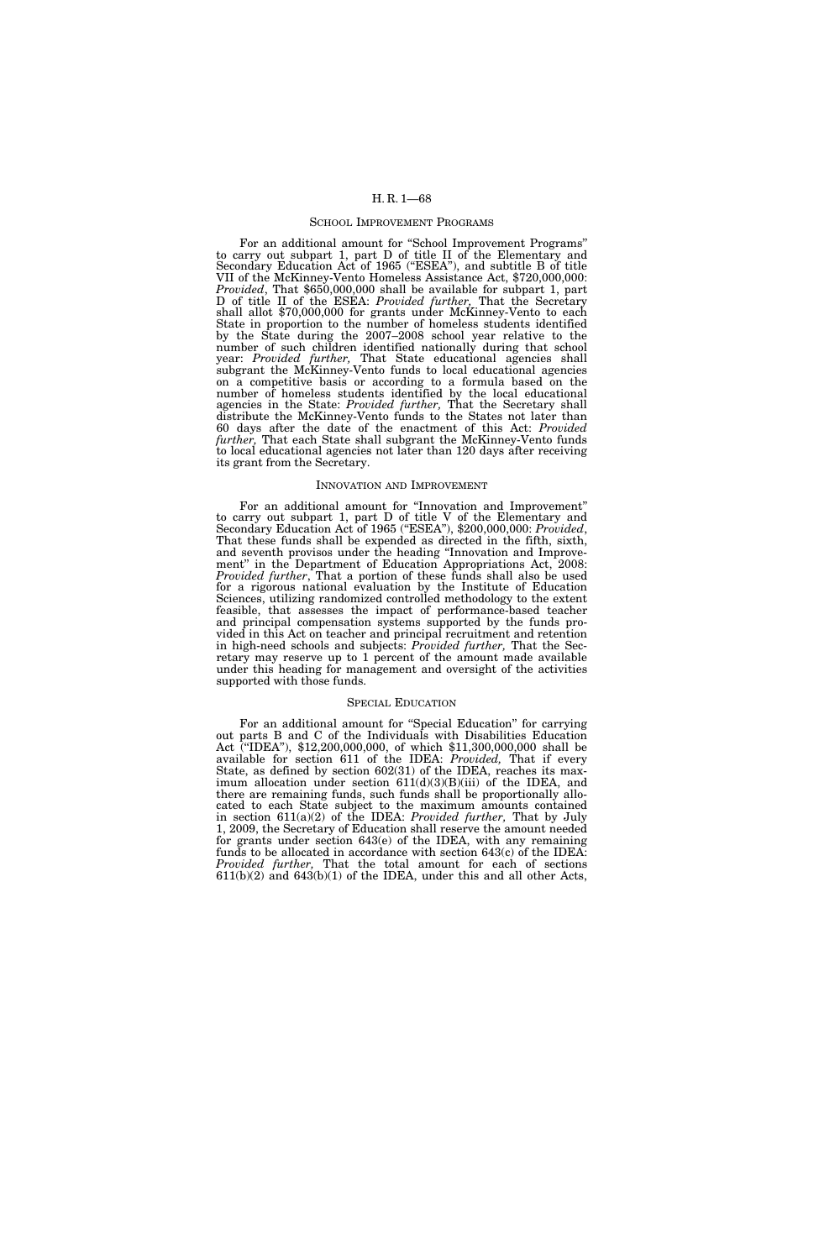#### SCHOOL IMPROVEMENT PROGRAMS

For an additional amount for "School Improvement Programs" to carry out subpart 1, part D of title II of the Elementary and Secondary Education Act of 1965 ("ESEA"), and subtitle B of title VII of the McKinney-Vento Homeless Assistance Act, \$720,000,000: *Provided*, That \$650,000,000 shall be available for subpart 1, part D of title II of the ESEA: *Provided further,* That the Secretary shall allot \$70,000,000 for grants under McKinney-Vento to each State in proportion to the number of homeless students identified by the State during the 2007–2008 school year relative to the number of such children identified nationally during that school year: *Provided further,* That State educational agencies shall subgrant the McKinney-Vento funds to local educational agencies on a competitive basis or according to a formula based on the number of homeless students identified by the local educational agencies in the State: *Provided further,* That the Secretary shall distribute the McKinney-Vento funds to the States not later than 60 days after the date of the enactment of this Act: *Provided further,* That each State shall subgrant the McKinney-Vento funds to local educational agencies not later than 120 days after receiving its grant from the Secretary.

## INNOVATION AND IMPROVEMENT

For an additional amount for ''Innovation and Improvement'' to carry out subpart 1, part D of title V of the Elementary and Secondary Education Act of 1965 ("ESEA"), \$200,000,000: *Provided*, That these funds shall be expended as directed in the fifth, sixth, and seventh provisos under the heading ''Innovation and Improvement" in the Department of Education Appropriations Act, 2008: *Provided further*, That a portion of these funds shall also be used for a rigorous national evaluation by the Institute of Education Sciences, utilizing randomized controlled methodology to the extent feasible, that assesses the impact of performance-based teacher and principal compensation systems supported by the funds provided in this Act on teacher and principal recruitment and retention in high-need schools and subjects: *Provided further,* That the Secretary may reserve up to 1 percent of the amount made available under this heading for management and oversight of the activities supported with those funds.

### SPECIAL EDUCATION

For an additional amount for "Special Education" for carrying out parts B and C of the Individuals with Disabilities Education Act (''IDEA''), \$12,200,000,000, of which \$11,300,000,000 shall be available for section 611 of the IDEA: *Provided,* That if every State, as defined by section 602(31) of the IDEA, reaches its maximum allocation under section  $611(d)(3)(B)(iii)$  of the IDEA, and there are remaining funds, such funds shall be proportionally allocated to each State subject to the maximum amounts contained in section 611(a)(2) of the IDEA: *Provided further,* That by July 1, 2009, the Secretary of Education shall reserve the amount needed for grants under section 643(e) of the IDEA, with any remaining funds to be allocated in accordance with section 643(c) of the IDEA: *Provided further,* That the total amount for each of sections  $611(b)(2)$  and  $643(b)(1)$  of the IDEA, under this and all other Acts,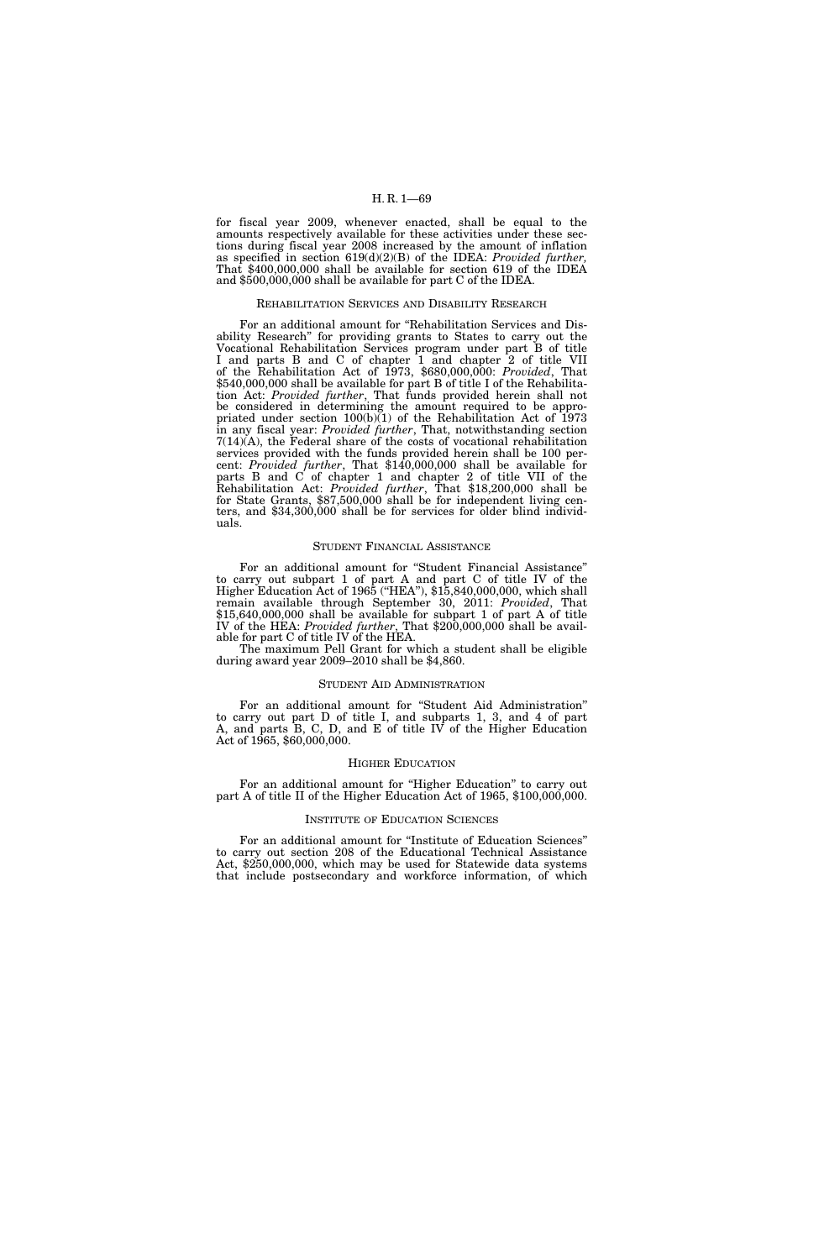for fiscal year 2009, whenever enacted, shall be equal to the amounts respectively available for these activities under these sections during fiscal year 2008 increased by the amount of inflation as specified in section 619(d)(2)(B) of the IDEA: *Provided further,*  That \$400,000,000 shall be available for section 619 of the IDEA and \$500,000,000 shall be available for part C of the IDEA.

# REHABILITATION SERVICES AND DISABILITY RESEARCH

For an additional amount for ''Rehabilitation Services and Disability Research'' for providing grants to States to carry out the Vocational Rehabilitation Services program under part B of title I and parts B and C of chapter 1 and chapter 2 of title VII of the Rehabilitation Act of 1973, \$680,000,000: *Provided*, That \$540,000,000 shall be available for part B of title I of the Rehabilitation Act: *Provided further*, That funds provided herein shall not be considered in determining the amount required to be appropriated under section  $100(b)(1)$  of the Rehabilitation Act of 1973 in any fiscal year: *Provided further*, That, notwithstanding section 7(14)(A), the Federal share of the costs of vocational rehabilitation services provided with the funds provided herein shall be 100 percent: *Provided further*, That \$140,000,000 shall be available for parts B and C of chapter 1 and chapter 2 of title VII of the Rehabilitation Act: *Provided further*, That \$18,200,000 shall be for State Grants, \$87,500,000 shall be for independent living centers, and \$34,300,000 shall be for services for older blind individuals.

### STUDENT FINANCIAL ASSISTANCE

For an additional amount for ''Student Financial Assistance'' to carry out subpart 1 of part A and part C of title IV of the Higher Education Act of 1965 (''HEA''), \$15,840,000,000, which shall remain available through September 30, 2011: *Provided*, That \$15,640,000,000 shall be available for subpart 1 of part A of title IV of the HEA: *Provided further*, That \$200,000,000 shall be available for part C of title IV of the HEA.

The maximum Pell Grant for which a student shall be eligible during award year 2009–2010 shall be \$4,860.

### STUDENT AID ADMINISTRATION

For an additional amount for ''Student Aid Administration'' to carry out part D of title I, and subparts 1, 3, and 4 of part A, and parts B, C, D, and E of title IV of the Higher Education Act of 1965, \$60,000,000.

### HIGHER EDUCATION

For an additional amount for "Higher Education" to carry out part A of title II of the Higher Education Act of 1965, \$100,000,000.

### INSTITUTE OF EDUCATION SCIENCES

For an additional amount for "Institute of Education Sciences" to carry out section 208 of the Educational Technical Assistance Act, \$250,000,000, which may be used for Statewide data systems that include postsecondary and workforce information, of which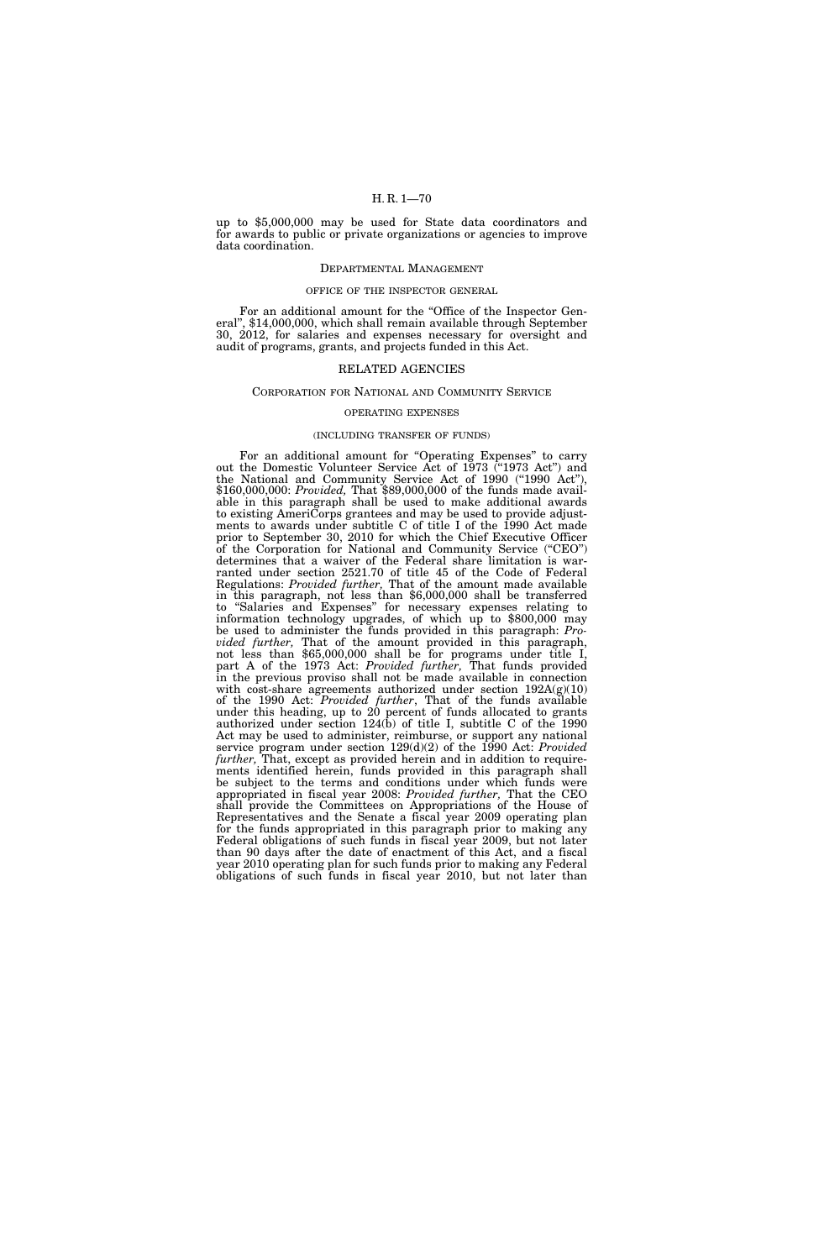up to \$5,000,000 may be used for State data coordinators and for awards to public or private organizations or agencies to improve data coordination.

#### DEPARTMENTAL MANAGEMENT

# OFFICE OF THE INSPECTOR GENERAL

For an additional amount for the "Office of the Inspector General'', \$14,000,000, which shall remain available through September 30, 2012, for salaries and expenses necessary for oversight and audit of programs, grants, and projects funded in this Act.

## RELATED AGENCIES

## CORPORATION FOR NATIONAL AND COMMUNITY SERVICE

### OPERATING EXPENSES

#### (INCLUDING TRANSFER OF FUNDS)

For an additional amount for "Operating Expenses" to carry out the Domestic Volunteer Service Act of 1973 ("1973 Act") and the National and Community Service Act of 1990 ("1990 Act"), \$160,000,000: *Provided,* That \$89,000,000 of the funds made available in this paragraph shall be used to make additional awards to existing AmeriCorps grantees and may be used to provide adjustments to awards under subtitle C of title I of the 1990 Act made prior to September 30, 2010 for which the Chief Executive Officer of the Corporation for National and Community Service (''CEO'') determines that a waiver of the Federal share limitation is warranted under section 2521.70 of title 45 of the Code of Federal Regulations: *Provided further,* That of the amount made available in this paragraph, not less than \$6,000,000 shall be transferred to ''Salaries and Expenses'' for necessary expenses relating to information technology upgrades, of which up to \$800,000 may be used to administer the funds provided in this paragraph: *Provided further,* That of the amount provided in this paragraph, not less than \$65,000,000 shall be for programs under title I, part A of the 1973 Act: *Provided further,* That funds provided in the previous proviso shall not be made available in connection with cost-share agreements authorized under section  $192A(g)(10)$ of the 1990 Act: *Provided further*, That of the funds available under this heading, up to 20 percent of funds allocated to grants authorized under section 124(b) of title I, subtitle C of the 1990 Act may be used to administer, reimburse, or support any national service program under section 129(d)(2) of the 1990 Act: *Provided further,* That, except as provided herein and in addition to requirements identified herein, funds provided in this paragraph shall be subject to the terms and conditions under which funds were appropriated in fiscal year 2008: *Provided further,* That the CEO shall provide the Committees on Appropriations of the House of Representatives and the Senate a fiscal year 2009 operating plan for the funds appropriated in this paragraph prior to making any Federal obligations of such funds in fiscal year 2009, but not later than 90 days after the date of enactment of this Act, and a fiscal year 2010 operating plan for such funds prior to making any Federal obligations of such funds in fiscal year 2010, but not later than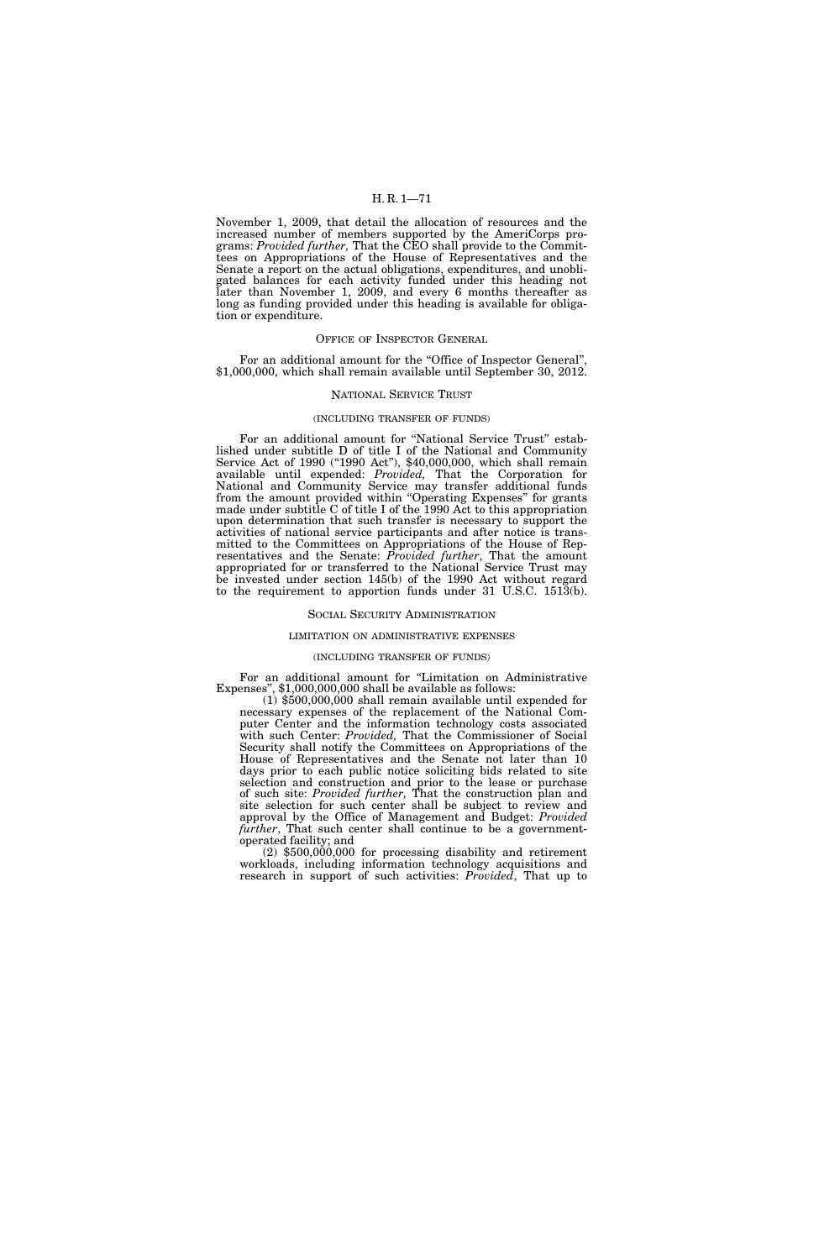November 1, 2009, that detail the allocation of resources and the increased number of members supported by the AmeriCorps programs: *Provided further,* That the CEO shall provide to the Committees on Appropriations of the House of Representatives and the Senate a report on the actual obligations, expenditures, and unobligated balances for each activity funded under this heading not later than November 1, 2009, and every 6 months thereafter as long as funding provided under this heading is available for obligation or expenditure.

### OFFICE OF INSPECTOR GENERAL

For an additional amount for the "Office of Inspector General", \$1,000,000, which shall remain available until September 30, 2012.

### NATIONAL SERVICE TRUST

### (INCLUDING TRANSFER OF FUNDS)

For an additional amount for "National Service Trust" established under subtitle D of title I of the National and Community Service Act of 1990 ("1990 Act"), \$40,000,000, which shall remain available until expended: *Provided,* That the Corporation for National and Community Service may transfer additional funds from the amount provided within ''Operating Expenses'' for grants made under subtitle C of title I of the 1990 Act to this appropriation upon determination that such transfer is necessary to support the activities of national service participants and after notice is transmitted to the Committees on Appropriations of the House of Representatives and the Senate: *Provided further*, That the amount appropriated for or transferred to the National Service Trust may be invested under section 145(b) of the 1990 Act without regard to the requirement to apportion funds under 31 U.S.C. 1513(b).

#### SOCIAL SECURITY ADMINISTRATION

### LIMITATION ON ADMINISTRATIVE EXPENSES

### (INCLUDING TRANSFER OF FUNDS)

For an additional amount for "Limitation on Administrative Expenses", \$1,000,000,000 shall be available as follows:

 $(1)$  \$500,000,000 shall remain available until expended for necessary expenses of the replacement of the National Computer Center and the information technology costs associated with such Center: *Provided,* That the Commissioner of Social Security shall notify the Committees on Appropriations of the House of Representatives and the Senate not later than 10 days prior to each public notice soliciting bids related to site selection and construction and prior to the lease or purchase of such site: *Provided further,* That the construction plan and site selection for such center shall be subject to review and approval by the Office of Management and Budget: *Provided further*, That such center shall continue to be a governmentoperated facility; and

(2) \$500,000,000 for processing disability and retirement workloads, including information technology acquisitions and research in support of such activities: *Provided*, That up to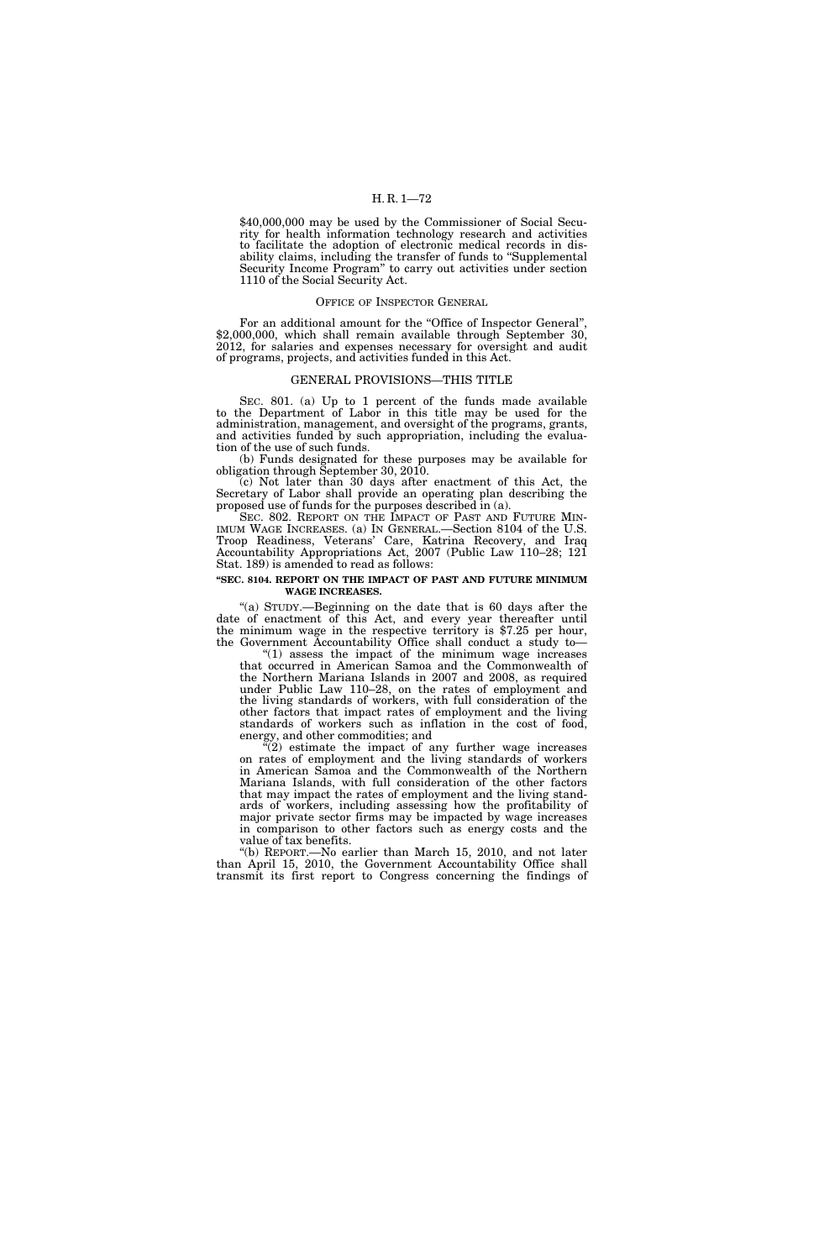\$40,000,000 may be used by the Commissioner of Social Security for health information technology research and activities to facilitate the adoption of electronic medical records in disability claims, including the transfer of funds to "Supplemental" Security Income Program'' to carry out activities under section 1110 of the Social Security Act.

# OFFICE OF INSPECTOR GENERAL

For an additional amount for the "Office of Inspector General", \$2,000,000, which shall remain available through September 30, 2012, for salaries and expenses necessary for oversight and audit of programs, projects, and activities funded in this Act.

## GENERAL PROVISIONS—THIS TITLE

SEC. 801. (a) Up to 1 percent of the funds made available to the Department of Labor in this title may be used for the administration, management, and oversight of the programs, grants, and activities funded by such appropriation, including the evaluation of the use of such funds.

(b) Funds designated for these purposes may be available for obligation through September 30, 2010.

(c) Not later than 30 days after enactment of this Act, the Secretary of Labor shall provide an operating plan describing the proposed use of funds for the purposes described in (a).

SEC. 802. REPORT ON THE IMPACT OF PAST AND FUTURE MIN-IMUM WAGE INCREASES. (a) IN GENERAL.—Section 8104 of the U.S. Troop Readiness, Veterans' Care, Katrina Recovery, and Iraq Accountability Appropriations Act, 2007 (Public Law 110–28; 121 Stat. 189) is amended to read as follows:

# **''SEC. 8104. REPORT ON THE IMPACT OF PAST AND FUTURE MINIMUM WAGE INCREASES.**

''(a) STUDY.—Beginning on the date that is 60 days after the date of enactment of this Act, and every year thereafter until the minimum wage in the respective territory is \$7.25 per hour, the Government Accountability Office shall conduct a study to—

" $(1)$  assess the impact of the minimum wage increases that occurred in American Samoa and the Commonwealth of the Northern Mariana Islands in 2007 and 2008, as required under Public Law 110–28, on the rates of employment and the living standards of workers, with full consideration of the other factors that impact rates of employment and the living standards of workers such as inflation in the cost of food, energy, and other commodities; and

 $(2)$  estimate the impact of any further wage increases on rates of employment and the living standards of workers in American Samoa and the Commonwealth of the Northern Mariana Islands, with full consideration of the other factors that may impact the rates of employment and the living standards of workers, including assessing how the profitability of major private sector firms may be impacted by wage increases in comparison to other factors such as energy costs and the value of tax benefits.

''(b) REPORT.—No earlier than March 15, 2010, and not later than April 15, 2010, the Government Accountability Office shall transmit its first report to Congress concerning the findings of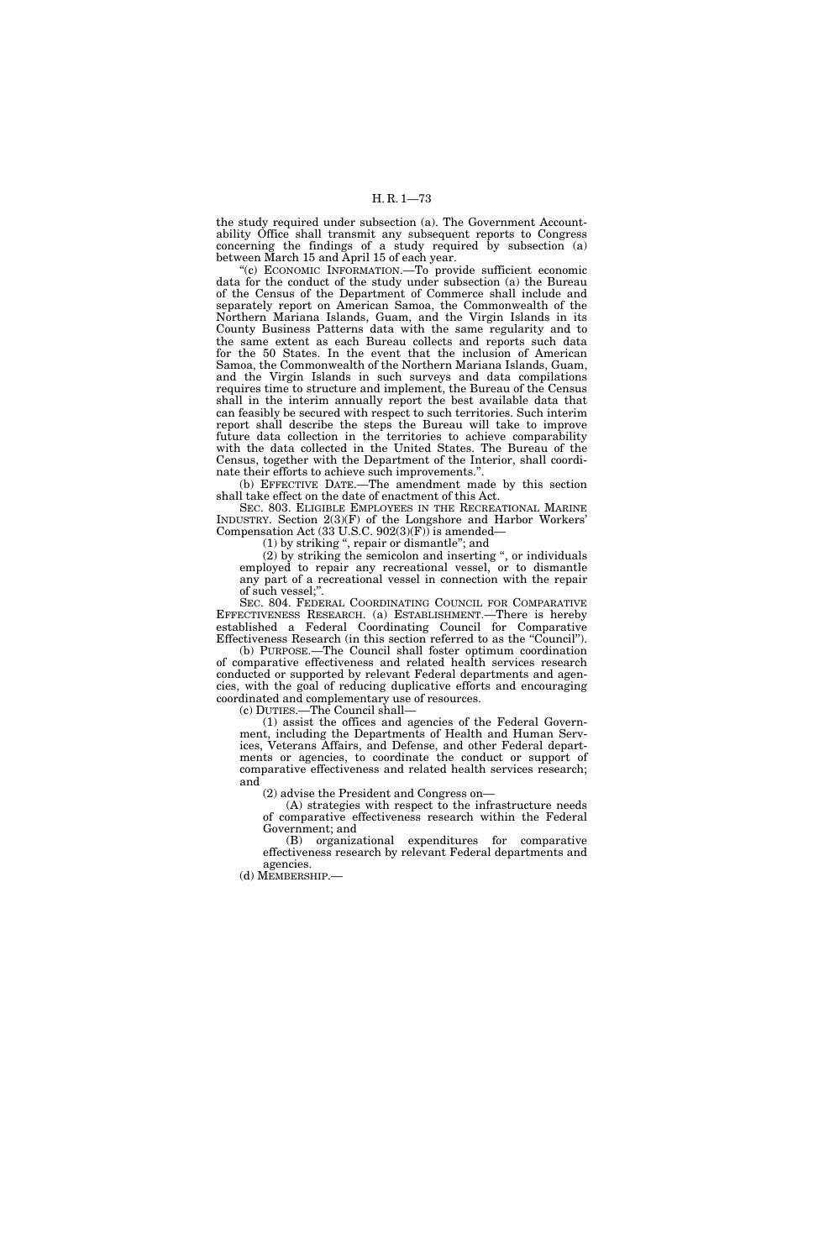the study required under subsection (a). The Government Accountability Office shall transmit any subsequent reports to Congress concerning the findings of a study required by subsection (a) between March 15 and April 15 of each year.

''(c) ECONOMIC INFORMATION.—To provide sufficient economic data for the conduct of the study under subsection (a) the Bureau of the Census of the Department of Commerce shall include and separately report on American Samoa, the Commonwealth of the Northern Mariana Islands, Guam, and the Virgin Islands in its County Business Patterns data with the same regularity and to the same extent as each Bureau collects and reports such data for the 50 States. In the event that the inclusion of American Samoa, the Commonwealth of the Northern Mariana Islands, Guam, and the Virgin Islands in such surveys and data compilations requires time to structure and implement, the Bureau of the Census shall in the interim annually report the best available data that can feasibly be secured with respect to such territories. Such interim report shall describe the steps the Bureau will take to improve future data collection in the territories to achieve comparability with the data collected in the United States. The Bureau of the Census, together with the Department of the Interior, shall coordinate their efforts to achieve such improvements.''.

(b) EFFECTIVE DATE.—The amendment made by this section shall take effect on the date of enactment of this Act.

SEC. 803. ELIGIBLE EMPLOYEES IN THE RECREATIONAL MARINE INDUSTRY. Section 2(3)(F) of the Longshore and Harbor Workers' Compensation Act  $(33 \text{ U.S.C. } 902(3)(\text{F}))$  is amended—

(1) by striking '', repair or dismantle''; and

(2) by striking the semicolon and inserting '', or individuals employed to repair any recreational vessel, or to dismantle any part of a recreational vessel in connection with the repair of such vessel;''.

SEC. 804. FEDERAL COORDINATING COUNCIL FOR COMPARATIVE EFFECTIVENESS RESEARCH. (a) ESTABLISHMENT.—There is hereby established a Federal Coordinating Council for Comparative Effectiveness Research (in this section referred to as the "Council").

(b) PURPOSE.—The Council shall foster optimum coordination of comparative effectiveness and related health services research conducted or supported by relevant Federal departments and agencies, with the goal of reducing duplicative efforts and encouraging coordinated and complementary use of resources.

(c) DUTIES.—The Council shall—

(1) assist the offices and agencies of the Federal Government, including the Departments of Health and Human Services, Veterans Affairs, and Defense, and other Federal departments or agencies, to coordinate the conduct or support of comparative effectiveness and related health services research; and

(2) advise the President and Congress on—

(A) strategies with respect to the infrastructure needs of comparative effectiveness research within the Federal Government; and

(B) organizational expenditures for comparative effectiveness research by relevant Federal departments and agencies.

(d) MEMBERSHIP.—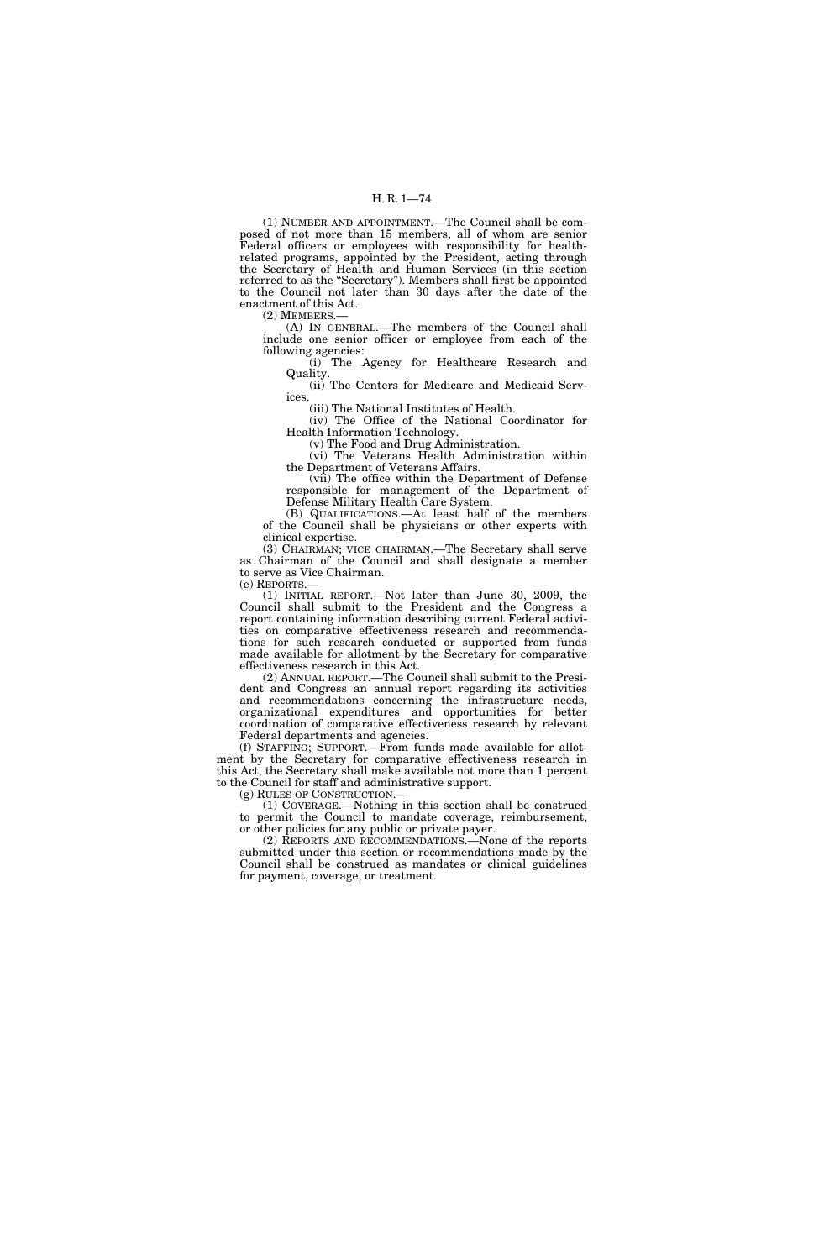(1) NUMBER AND APPOINTMENT.—The Council shall be composed of not more than 15 members, all of whom are senior Federal officers or employees with responsibility for healthrelated programs, appointed by the President, acting through the Secretary of Health and Human Services (in this section referred to as the ''Secretary''). Members shall first be appointed to the Council not later than 30 days after the date of the enactment of this Act.

(2) MEMBERS.—

(A) IN GENERAL.—The members of the Council shall include one senior officer or employee from each of the following agencies:

(i) The Agency for Healthcare Research and Quality.

(ii) The Centers for Medicare and Medicaid Services.

(iii) The National Institutes of Health.

(iv) The Office of the National Coordinator for Health Information Technology.

(v) The Food and Drug Administration.

(vi) The Veterans Health Administration within the Department of Veterans Affairs.

(vii) The office within the Department of Defense responsible for management of the Department of Defense Military Health Care System.

(B) QUALIFICATIONS.—At least half of the members of the Council shall be physicians or other experts with clinical expertise.

(3) CHAIRMAN; VICE CHAIRMAN.—The Secretary shall serve as Chairman of the Council and shall designate a member to serve as Vice Chairman.

(e) REPORTS.—

(1) INITIAL REPORT.—Not later than June 30, 2009, the Council shall submit to the President and the Congress a report containing information describing current Federal activities on comparative effectiveness research and recommendations for such research conducted or supported from funds made available for allotment by the Secretary for comparative effectiveness research in this Act.

(2) ANNUAL REPORT.—The Council shall submit to the President and Congress an annual report regarding its activities and recommendations concerning the infrastructure needs, organizational expenditures and opportunities for better coordination of comparative effectiveness research by relevant Federal departments and agencies.

(f) STAFFING; SUPPORT.—From funds made available for allotment by the Secretary for comparative effectiveness research in this Act, the Secretary shall make available not more than 1 percent to the Council for staff and administrative support.

(g) RULES OF CONSTRUCTION.—

(1) COVERAGE.—Nothing in this section shall be construed to permit the Council to mandate coverage, reimbursement, or other policies for any public or private payer.

(2) REPORTS AND RECOMMENDATIONS.—None of the reports submitted under this section or recommendations made by the Council shall be construed as mandates or clinical guidelines for payment, coverage, or treatment.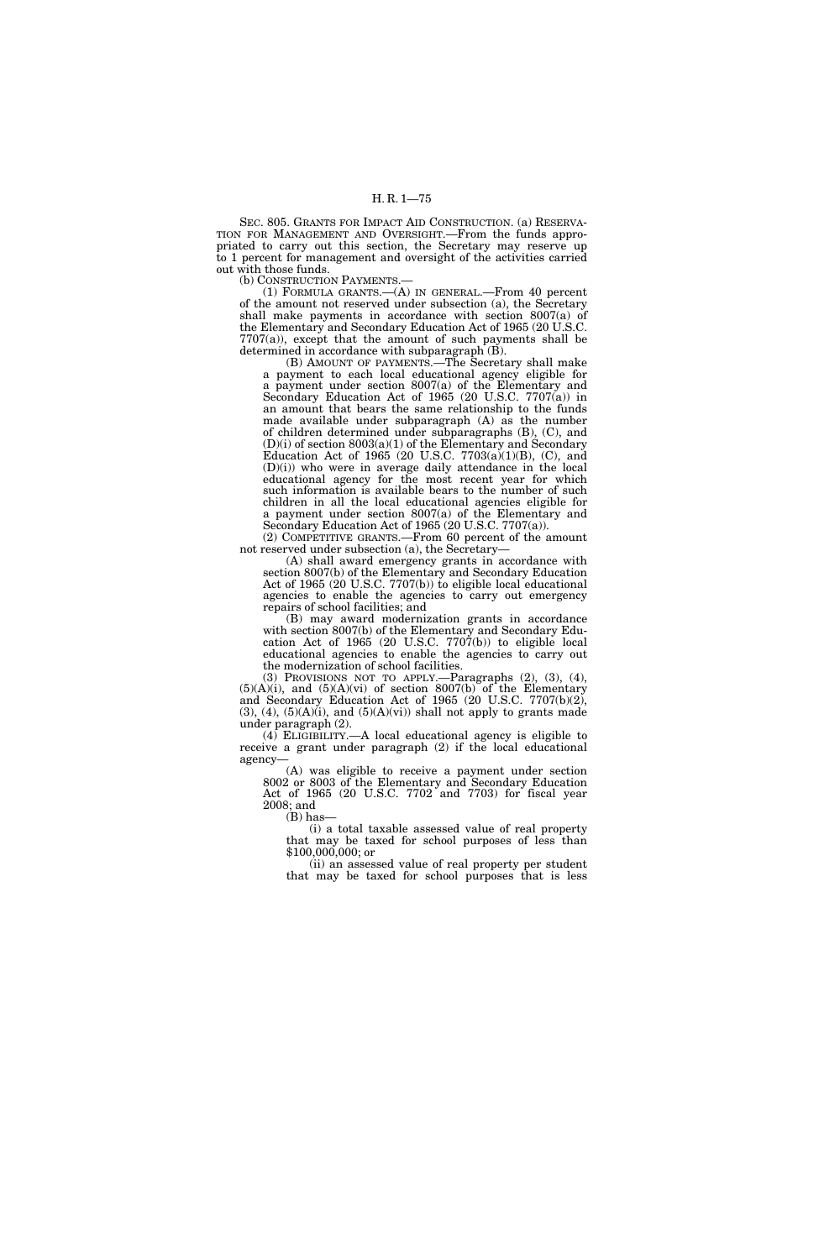SEC. 805. GRANTS FOR IMPACT AID CONSTRUCTION. (a) RESERVA-TION FOR MANAGEMENT AND OVERSIGHT.—From the funds appropriated to carry out this section, the Secretary may reserve up to 1 percent for management and oversight of the activities carried out with those funds.

(b) CONSTRUCTION PAYMENTS.—

(1) FORMULA GRANTS.—(A) IN GENERAL.—From 40 percent of the amount not reserved under subsection (a), the Secretary shall make payments in accordance with section 8007(a) of the Elementary and Secondary Education Act of 1965 (20 U.S.C. 7707(a)), except that the amount of such payments shall be determined in accordance with subparagraph (B).

(B) AMOUNT OF PAYMENTS.—The Secretary shall make a payment to each local educational agency eligible for a payment under section 8007(a) of the Elementary and Secondary Education Act of 1965 (20 U.S.C. 7707(a)) in an amount that bears the same relationship to the funds made available under subparagraph (A) as the number of children determined under subparagraphs (B), (C), and (D)(i) of section 8003(a)(1) of the Elementary and Secondary Education Act of 1965 (20 U.S.C. 7703(a)(1)(B), (C), and (D)(i)) who were in average daily attendance in the local educational agency for the most recent year for which such information is available bears to the number of such children in all the local educational agencies eligible for a payment under section 8007(a) of the Elementary and Secondary Education Act of 1965 (20 U.S.C. 7707(a)).

(2) COMPETITIVE GRANTS.—From 60 percent of the amount not reserved under subsection (a), the Secretary—

(A) shall award emergency grants in accordance with section 8007(b) of the Elementary and Secondary Education Act of 1965 (20 U.S.C. 7707(b)) to eligible local educational agencies to enable the agencies to carry out emergency repairs of school facilities; and

(B) may award modernization grants in accordance with section 8007(b) of the Elementary and Secondary Education Act of 1965 (20 U.S.C. 7707(b)) to eligible local educational agencies to enable the agencies to carry out the modernization of school facilities.

(3) PROVISIONS NOT TO APPLY.—Paragraphs (2), (3), (4),  $(5)(A)(i)$ , and  $(5)(A)(vi)$  of section 8007(b) of the Elementary and Secondary Education Act of 1965 (20 U.S.C. 7707(b)(2),  $(3)$ ,  $(4)$ ,  $(5)(A)(i)$ , and  $(5)(A)(vi)$  shall not apply to grants made under paragraph (2).

 $(4)$  ELIGIBILITY.—A local educational agency is eligible to receive a grant under paragraph (2) if the local educational agency—

(A) was eligible to receive a payment under section 8002 or 8003 of the Elementary and Secondary Education Act of 1965 (20 U.S.C. 7702 and 7703) for fiscal year 2008; and  $(B)$  has

(i) a total taxable assessed value of real property that may be taxed for school purposes of less than \$100,000,000; or

(ii) an assessed value of real property per student that may be taxed for school purposes that is less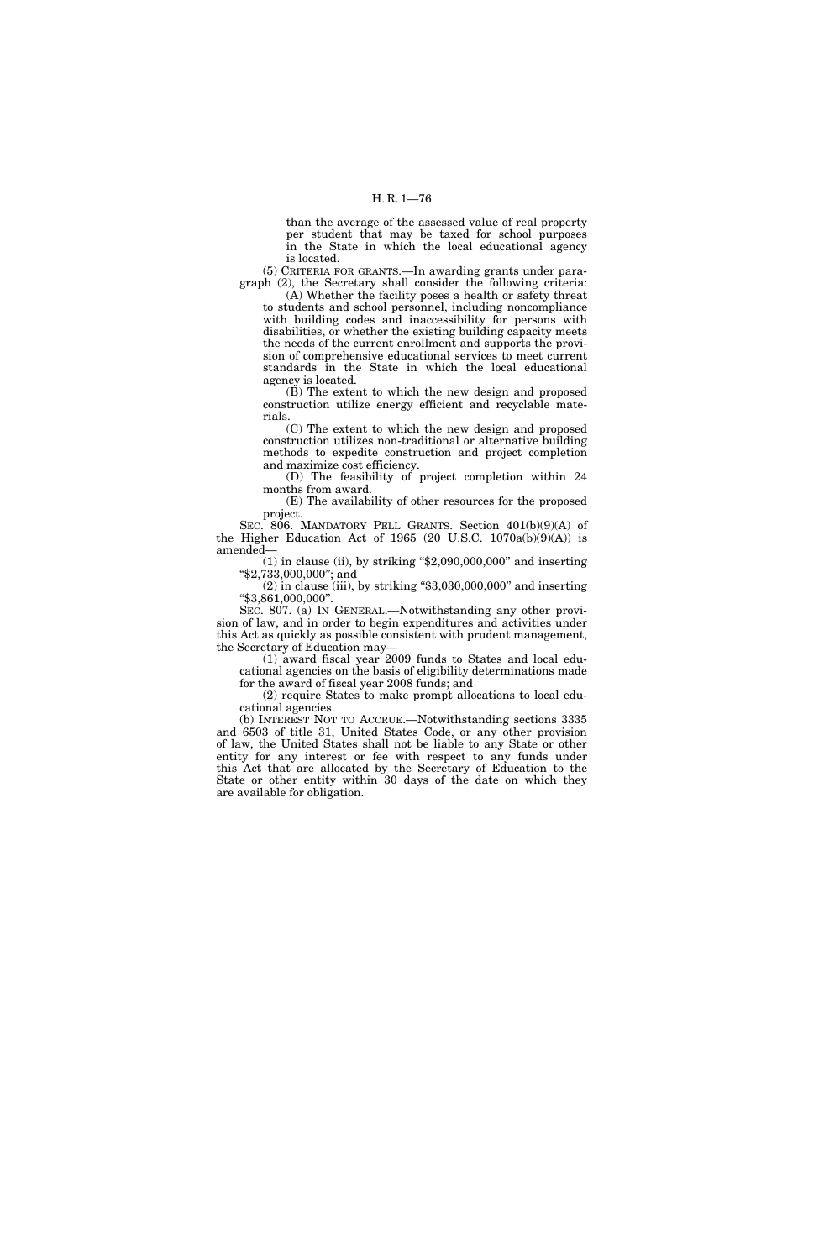than the average of the assessed value of real property per student that may be taxed for school purposes in the State in which the local educational agency is located.

(5) CRITERIA FOR GRANTS.—In awarding grants under paragraph (2), the Secretary shall consider the following criteria:

(A) Whether the facility poses a health or safety threat to students and school personnel, including noncompliance with building codes and inaccessibility for persons with disabilities, or whether the existing building capacity meets the needs of the current enrollment and supports the provision of comprehensive educational services to meet current standards in the State in which the local educational agency is located.

(B) The extent to which the new design and proposed construction utilize energy efficient and recyclable materials.

(C) The extent to which the new design and proposed construction utilizes non-traditional or alternative building methods to expedite construction and project completion and maximize cost efficiency.

(D) The feasibility of project completion within 24 months from award.

(E) The availability of other resources for the proposed project.

SEC. 806. MANDATORY PELL GRANTS. Section 401(b)(9)(A) of the Higher Education Act of 1965 (20 U.S.C.  $1070a(b)(9)(A)$ ) is amended—

 $(1)$  in clause (ii), by striking "\$2,090,000,000" and inserting ''\$2,733,000,000''; and

 $(2)$  in clause (iii), by striking "\$3,030,000,000" and inserting ''\$3,861,000,000''.

SEC. 807. (a) IN GENERAL.—Notwithstanding any other provision of law, and in order to begin expenditures and activities under this Act as quickly as possible consistent with prudent management, the Secretary of Education may—

(1) award fiscal year 2009 funds to States and local educational agencies on the basis of eligibility determinations made for the award of fiscal year 2008 funds; and

(2) require States to make prompt allocations to local educational agencies.

(b) INTEREST NOT TO ACCRUE.—Notwithstanding sections 3335 and 6503 of title 31, United States Code, or any other provision of law, the United States shall not be liable to any State or other entity for any interest or fee with respect to any funds under this Act that are allocated by the Secretary of Education to the State or other entity within 30 days of the date on which they are available for obligation.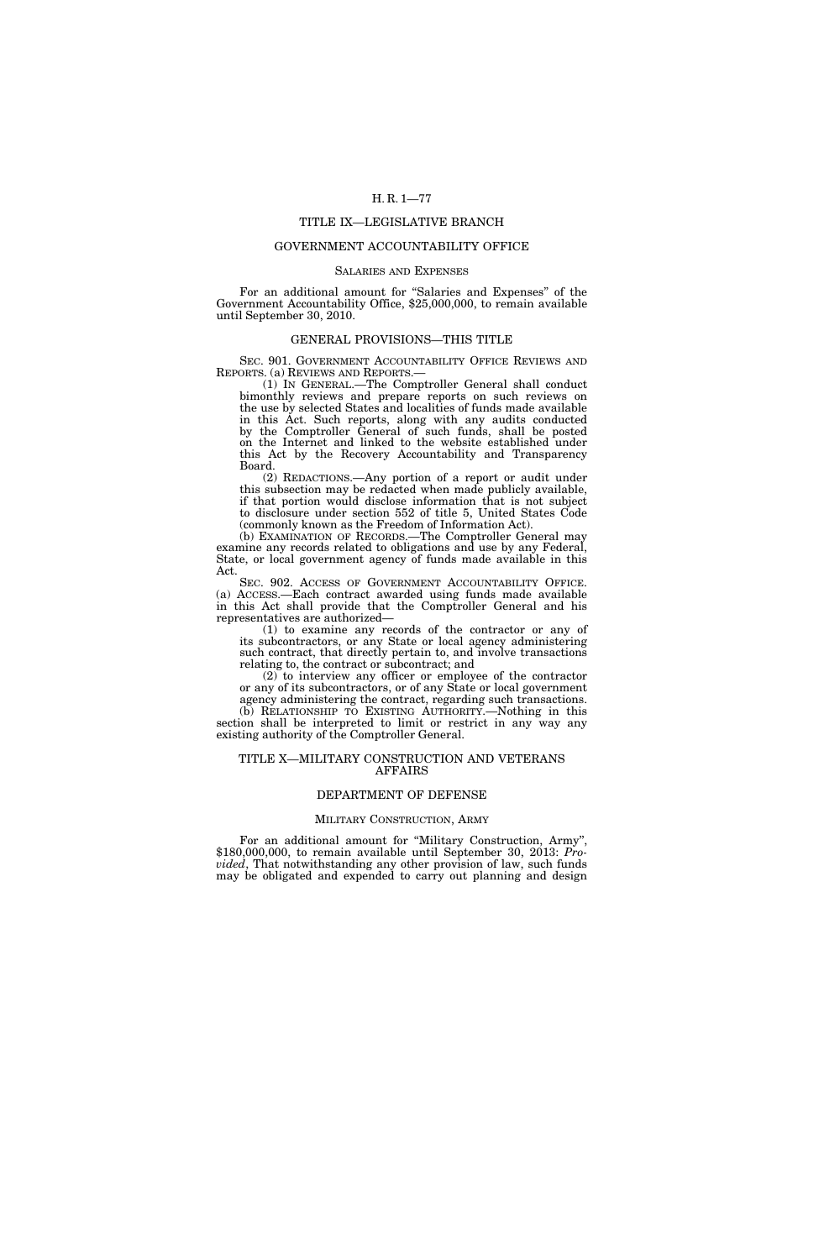# TITLE IX—LEGISLATIVE BRANCH

# GOVERNMENT ACCOUNTABILITY OFFICE

#### SALARIES AND EXPENSES

For an additional amount for "Salaries and Expenses" of the Government Accountability Office, \$25,000,000, to remain available until September 30, 2010.

### GENERAL PROVISIONS—THIS TITLE

SEC. 901. GOVERNMENT ACCOUNTABILITY OFFICE REVIEWS AND REPORTS. (a) REVIEWS AND REPORTS.—

(1) IN GENERAL.—The Comptroller General shall conduct bimonthly reviews and prepare reports on such reviews on the use by selected States and localities of funds made available in this Act. Such reports, along with any audits conducted by the Comptroller General of such funds, shall be posted on the Internet and linked to the website established under this Act by the Recovery Accountability and Transparency Board.

(2) REDACTIONS.—Any portion of a report or audit under this subsection may be redacted when made publicly available, if that portion would disclose information that is not subject to disclosure under section 552 of title 5, United States Code (commonly known as the Freedom of Information Act).

(b) EXAMINATION OF RECORDS.—The Comptroller General may examine any records related to obligations and use by any Federal, State, or local government agency of funds made available in this Act.

SEC. 902. ACCESS OF GOVERNMENT ACCOUNTABILITY OFFICE. (a) ACCESS.—Each contract awarded using funds made available in this Act shall provide that the Comptroller General and his representatives are authorized—

(1) to examine any records of the contractor or any of its subcontractors, or any State or local agency administering such contract, that directly pertain to, and involve transactions relating to, the contract or subcontract; and

(2) to interview any officer or employee of the contractor or any of its subcontractors, or of any State or local government agency administering the contract, regarding such transactions. (b) RELATIONSHIP TO EXISTING AUTHORITY.—Nothing in this

section shall be interpreted to limit or restrict in any way any existing authority of the Comptroller General.

### TITLE X—MILITARY CONSTRUCTION AND VETERANS AFFAIRS

# DEPARTMENT OF DEFENSE

### MILITARY CONSTRUCTION, ARMY

For an additional amount for ''Military Construction, Army'', \$180,000,000, to remain available until September 30, 2013: *Provided*, That notwithstanding any other provision of law, such funds may be obligated and expended to carry out planning and design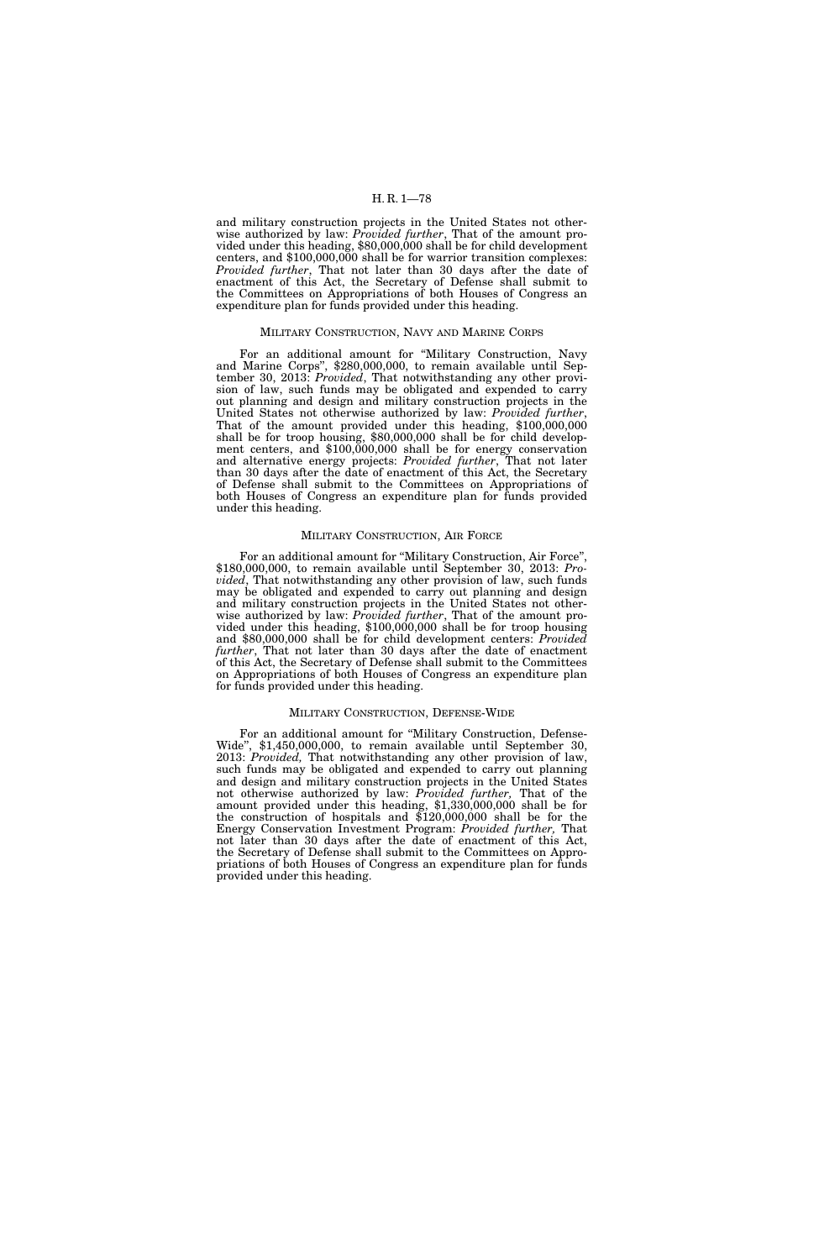and military construction projects in the United States not otherwise authorized by law: *Provided further*, That of the amount provided under this heading, \$80,000,000 shall be for child development centers, and \$100,000,000 shall be for warrior transition complexes: *Provided further*, That not later than 30 days after the date of enactment of this Act, the Secretary of Defense shall submit to the Committees on Appropriations of both Houses of Congress an expenditure plan for funds provided under this heading.

#### MILITARY CONSTRUCTION, NAVY AND MARINE CORPS

For an additional amount for ''Military Construction, Navy and Marine Corps'', \$280,000,000, to remain available until September 30, 2013: *Provided*, That notwithstanding any other provision of law, such funds may be obligated and expended to carry out planning and design and military construction projects in the United States not otherwise authorized by law: *Provided further*, That of the amount provided under this heading, \$100,000,000 shall be for troop housing, \$80,000,000 shall be for child development centers, and \$100,000,000 shall be for energy conservation and alternative energy projects: *Provided further*, That not later than 30 days after the date of enactment of this Act, the Secretary of Defense shall submit to the Committees on Appropriations of both Houses of Congress an expenditure plan for funds provided under this heading.

### MILITARY CONSTRUCTION, AIR FORCE

For an additional amount for ''Military Construction, Air Force'', \$180,000,000, to remain available until September 30, 2013: *Provided*, That notwithstanding any other provision of law, such funds may be obligated and expended to carry out planning and design and military construction projects in the United States not otherwise authorized by law: *Provided further*, That of the amount provided under this heading, \$100,000,000 shall be for troop housing and \$80,000,000 shall be for child development centers: *Provided further*, That not later than 30 days after the date of enactment of this Act, the Secretary of Defense shall submit to the Committees on Appropriations of both Houses of Congress an expenditure plan for funds provided under this heading.

#### MILITARY CONSTRUCTION, DEFENSE-WIDE

For an additional amount for ''Military Construction, Defense-Wide'', \$1,450,000,000, to remain available until September 30, 2013: *Provided,* That notwithstanding any other provision of law, such funds may be obligated and expended to carry out planning and design and military construction projects in the United States not otherwise authorized by law: *Provided further,* That of the amount provided under this heading, \$1,330,000,000 shall be for the construction of hospitals and \$120,000,000 shall be for the Energy Conservation Investment Program: *Provided further,* That not later than 30 days after the date of enactment of this Act, the Secretary of Defense shall submit to the Committees on Appropriations of both Houses of Congress an expenditure plan for funds provided under this heading.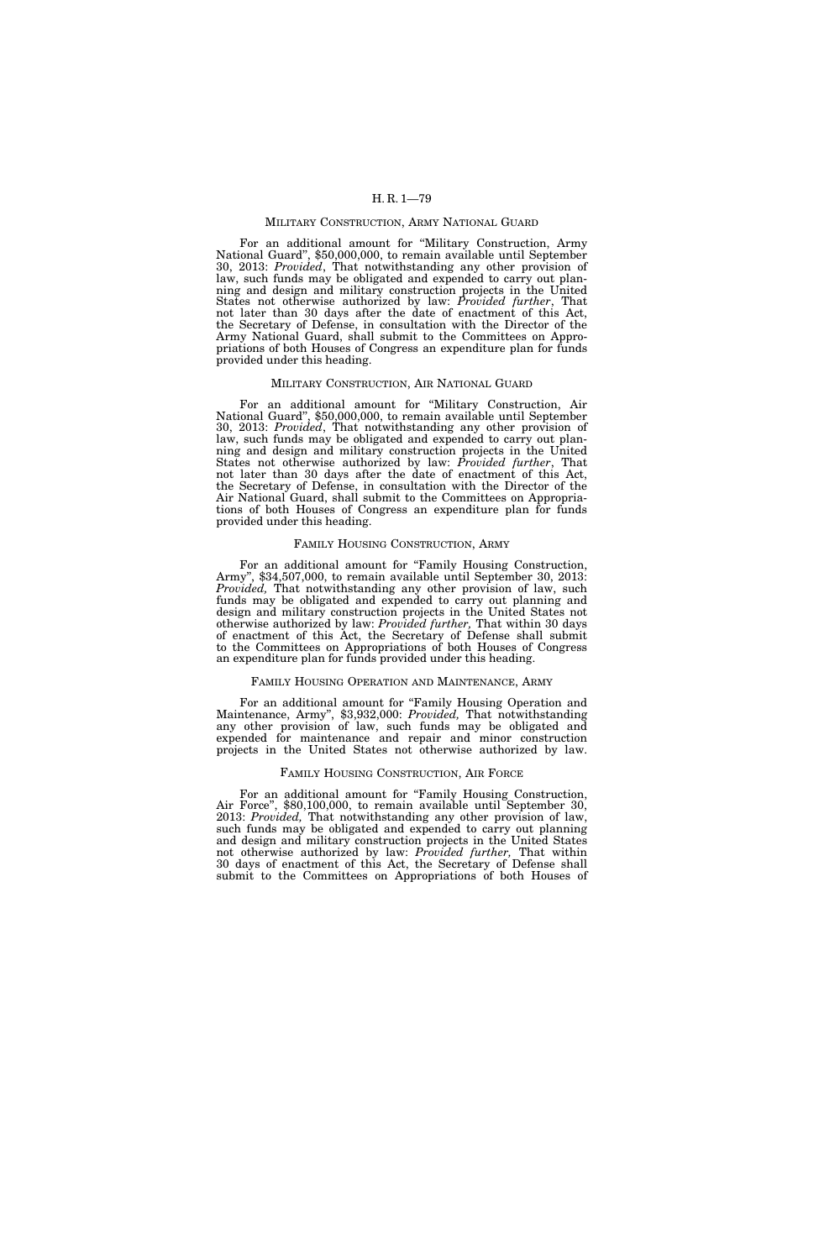### MILITARY CONSTRUCTION, ARMY NATIONAL GUARD

For an additional amount for ''Military Construction, Army National Guard'', \$50,000,000, to remain available until September 30, 2013: *Provided*, That notwithstanding any other provision of law, such funds may be obligated and expended to carry out planning and design and military construction projects in the United States not otherwise authorized by law: *Provided further*, That not later than 30 days after the date of enactment of this Act, the Secretary of Defense, in consultation with the Director of the Army National Guard, shall submit to the Committees on Appropriations of both Houses of Congress an expenditure plan for funds provided under this heading.

#### MILITARY CONSTRUCTION, AIR NATIONAL GUARD

For an additional amount for ''Military Construction, Air National Guard'', \$50,000,000, to remain available until September 30, 2013: *Provided*, That notwithstanding any other provision of law, such funds may be obligated and expended to carry out planning and design and military construction projects in the United States not otherwise authorized by law: *Provided further*, That not later than 30 days after the date of enactment of this Act, the Secretary of Defense, in consultation with the Director of the Air National Guard, shall submit to the Committees on Appropriations of both Houses of Congress an expenditure plan for funds provided under this heading.

### FAMILY HOUSING CONSTRUCTION, ARMY

For an additional amount for "Family Housing Construction, Army'', \$34,507,000, to remain available until September 30, 2013: *Provided,* That notwithstanding any other provision of law, such funds may be obligated and expended to carry out planning and design and military construction projects in the United States not otherwise authorized by law: *Provided further,* That within 30 days of enactment of this Act, the Secretary of Defense shall submit to the Committees on Appropriations of both Houses of Congress an expenditure plan for funds provided under this heading.

#### FAMILY HOUSING OPERATION AND MAINTENANCE, ARMY

For an additional amount for "Family Housing Operation and Maintenance, Army'', \$3,932,000: *Provided,* That notwithstanding any other provision of law, such funds may be obligated and expended for maintenance and repair and minor construction projects in the United States not otherwise authorized by law.

#### FAMILY HOUSING CONSTRUCTION, AIR FORCE

For an additional amount for "Family Housing Construction, Air Force'', \$80,100,000, to remain available until September 30, 2013: *Provided,* That notwithstanding any other provision of law, such funds may be obligated and expended to carry out planning and design and military construction projects in the United States not otherwise authorized by law: *Provided further,* That within 30 days of enactment of this Act, the Secretary of Defense shall submit to the Committees on Appropriations of both Houses of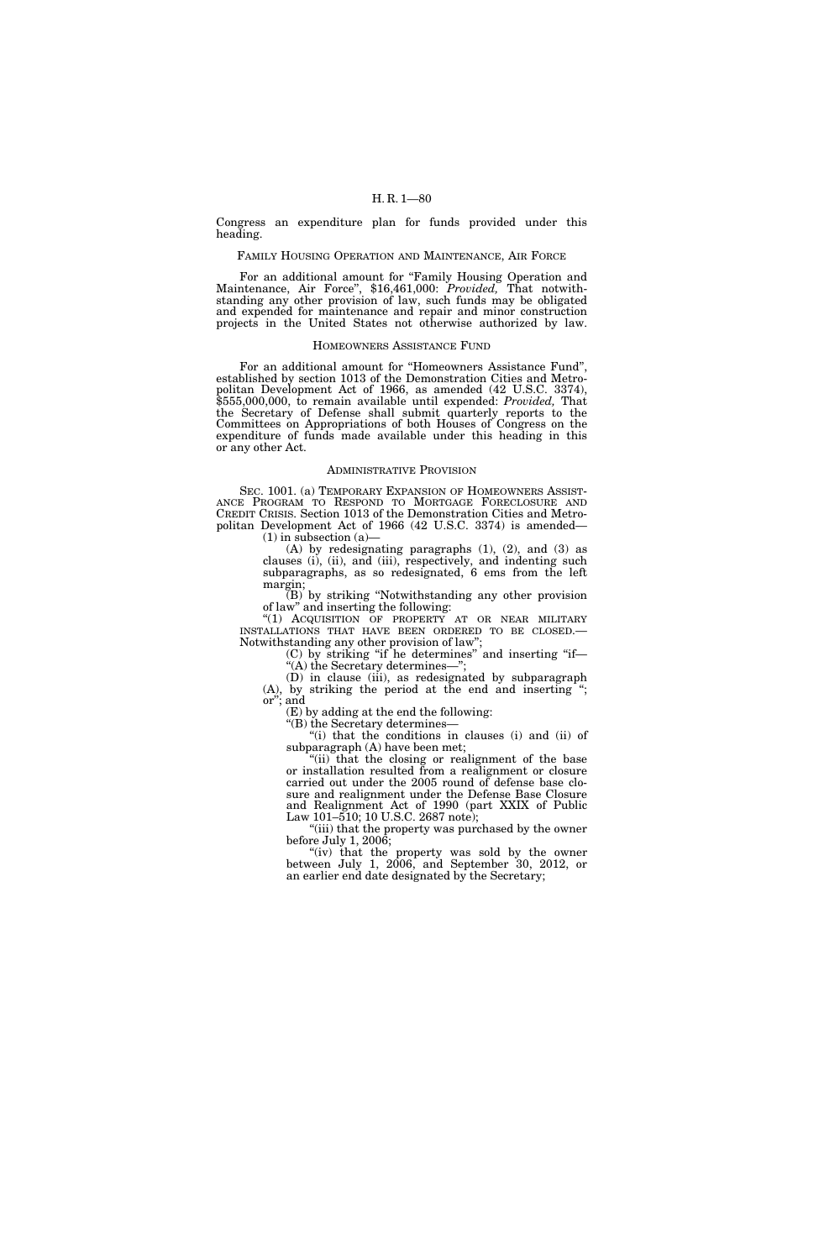Congress an expenditure plan for funds provided under this heading.

## FAMILY HOUSING OPERATION AND MAINTENANCE, AIR FORCE

For an additional amount for "Family Housing Operation and Maintenance, Air Force", \$16,461,000: *Provided*, That notwithstanding any other provision of law, such funds may be obligated and expended for maintenance and repair and minor construction projects in the United States not otherwise authorized by law.

#### HOMEOWNERS ASSISTANCE FUND

For an additional amount for "Homeowners Assistance Fund", established by section 1013 of the Demonstration Cities and Metropolitan Development Act of 1966, as amended (42 U.S.C. 3374), \$555,000,000, to remain available until expended: *Provided,* That the Secretary of Defense shall submit quarterly reports to the Committees on Appropriations of both Houses of Congress on the expenditure of funds made available under this heading in this or any other Act.

# ADMINISTRATIVE PROVISION

SEC. 1001. (a) TEMPORARY EXPANSION OF HOMEOWNERS ASSIST- ANCE PROGRAM TO RESPOND TO MORTGAGE FORECLOSURE AND CREDIT CRISIS. Section 1013 of the Demonstration Cities and Metropolitan Development Act of 1966 (42 U.S.C. 3374) is amended—  $(1)$  in subsection  $(a)$ 

(A) by redesignating paragraphs (1), (2), and (3) as clauses (i), (ii), and (iii), respectively, and indenting such subparagraphs, as so redesignated, 6 ems from the left margin;

(B) by striking ''Notwithstanding any other provision of law'' and inserting the following:

"(1) ACQUISITION OF PROPERTY AT OR NEAR MILITARY INSTALLATIONS THAT HAVE BEEN ORDERED TO BE CLOSED. INSTALLATIONS THAT HAVE BEEN ORDERED TO BE CLOSED.— Notwithstanding any other provision of law'';

(C) by striking ''if he determines'' and inserting ''if— ''(A) the Secretary determines—'';

(D) in clause (iii), as redesignated by subparagraph

(A), by striking the period at the end and inserting ''; or''; and

(E) by adding at the end the following: ''(B) the Secretary determines—

''(i) that the conditions in clauses (i) and (ii) of subparagraph (A) have been met;

"(ii) that the closing or realignment of the base or installation resulted from a realignment or closure carried out under the 2005 round of defense base closure and realignment under the Defense Base Closure and Realignment Act of 1990 (part XXIX of Public Law 101–510; 10 U.S.C. 2687 note);

"(iii) that the property was purchased by the owner before July 1, 2006;

"(iv) that the property was sold by the owner between July 1, 2006, and September 30, 2012, or an earlier end date designated by the Secretary;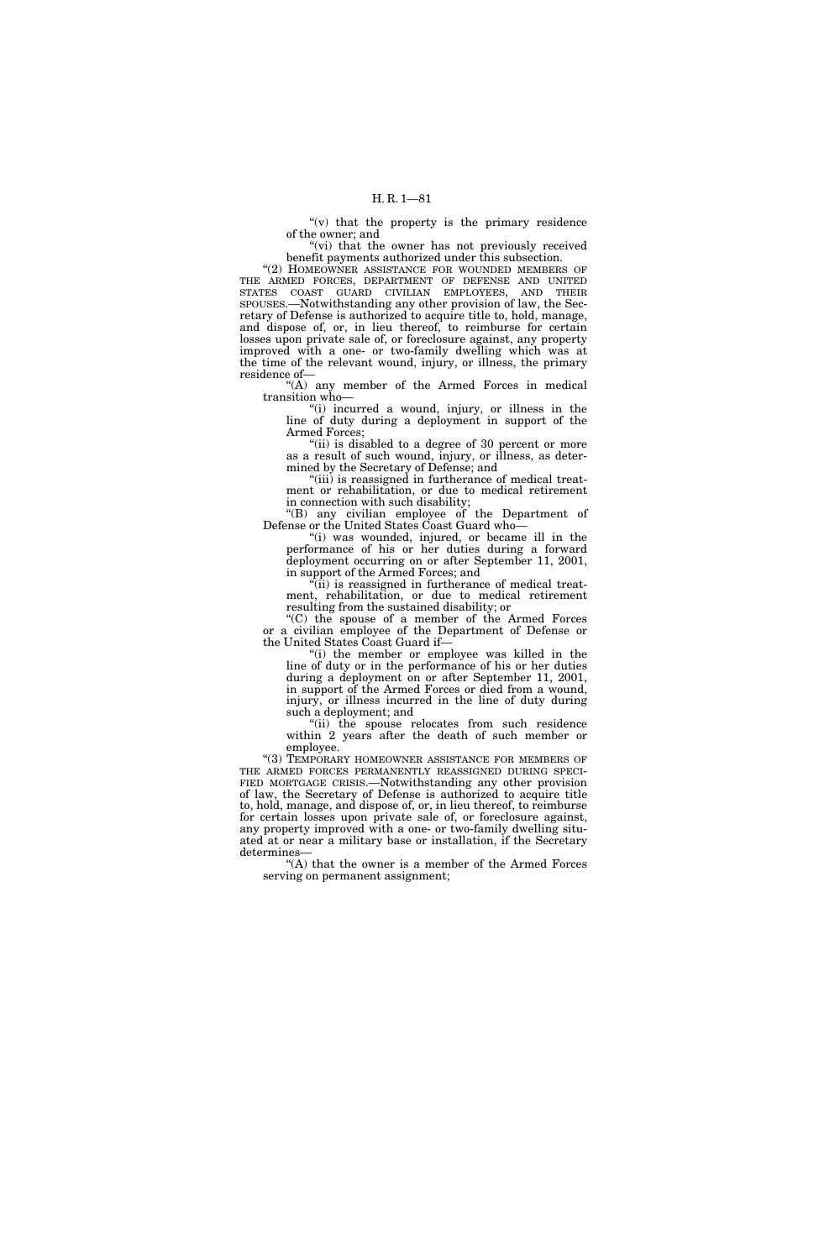$f'(v)$  that the property is the primary residence of the owner; and

"(vi) that the owner has not previously received benefit payments authorized under this subsection.

''(2) HOMEOWNER ASSISTANCE FOR WOUNDED MEMBERS OF THE ARMED FORCES, DEPARTMENT OF DEFENSE AND UNITED STATES COAST GUARD CIVILIAN EMPLOYEES, AND THEIR SPOUSES.—Notwithstanding any other provision of law, the Secretary of Defense is authorized to acquire title to, hold, manage, and dispose of, or, in lieu thereof, to reimburse for certain losses upon private sale of, or foreclosure against, any property improved with a one- or two-family dwelling which was at the time of the relevant wound, injury, or illness, the primary residence of—

''(A) any member of the Armed Forces in medical transition who—

"(i) incurred a wound, injury, or illness in the line of duty during a deployment in support of the Armed Forces;

"(ii) is disabled to a degree of 30 percent or more as a result of such wound, injury, or illness, as determined by the Secretary of Defense; and

"(iii) is reassigned in furtherance of medical treatment or rehabilitation, or due to medical retirement in connection with such disability;

''(B) any civilian employee of the Department of Defense or the United States Coast Guard who—

''(i) was wounded, injured, or became ill in the performance of his or her duties during a forward deployment occurring on or after September 11, 2001, in support of the Armed Forces; and

 $\tilde{f}$ (ii) is reassigned in furtherance of medical treatment, rehabilitation, or due to medical retirement resulting from the sustained disability; or

''(C) the spouse of a member of the Armed Forces or a civilian employee of the Department of Defense or the United States Coast Guard if—

''(i) the member or employee was killed in the line of duty or in the performance of his or her duties during a deployment on or after September 11, 2001, in support of the Armed Forces or died from a wound, injury, or illness incurred in the line of duty during such a deployment; and

''(ii) the spouse relocates from such residence within 2 years after the death of such member or employee.

''(3) TEMPORARY HOMEOWNER ASSISTANCE FOR MEMBERS OF FIED MORTGAGE CRISIS.—Notwithstanding any other provision of law, the Secretary of Defense is authorized to acquire title to, hold, manage, and dispose of, or, in lieu thereof, to reimburse for certain losses upon private sale of, or foreclosure against, any property improved with a one- or two-family dwelling situated at or near a military base or installation, if the Secretary determines—

"(A) that the owner is a member of the Armed Forces serving on permanent assignment;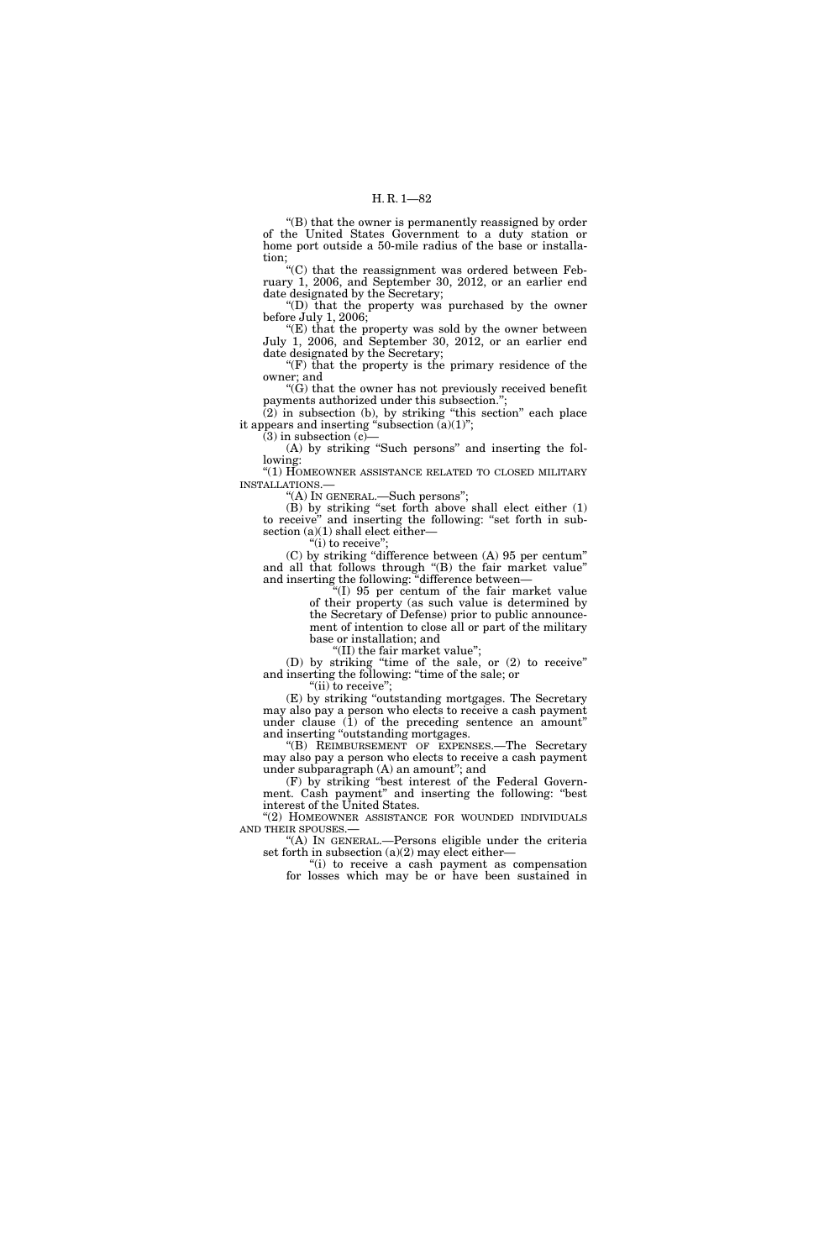''(B) that the owner is permanently reassigned by order of the United States Government to a duty station or home port outside a 50-mile radius of the base or installation;

''(C) that the reassignment was ordered between February 1, 2006, and September 30, 2012, or an earlier end date designated by the Secretary;

''(D) that the property was purchased by the owner before July 1, 2006;

''(E) that the property was sold by the owner between July 1, 2006, and September 30, 2012, or an earlier end date designated by the Secretary;

" $(F)$  that the property is the primary residence of the owner; and

''(G) that the owner has not previously received benefit payments authorized under this subsection.'';

(2) in subsection (b), by striking ''this section'' each place it appears and inserting "subsection  $(a)(1)$ ";  $(3)$  in subsection  $(c)$ 

(A) by striking "Such persons" and inserting the following:

''(1) HOMEOWNER ASSISTANCE RELATED TO CLOSED MILITARY INSTALLATIONS.—

''(A) IN GENERAL.—Such persons'';

(B) by striking ''set forth above shall elect either (1) to receive'' and inserting the following: ''set forth in subsection (a)(1) shall elect either-

"(i) to receive";

(C) by striking ''difference between (A) 95 per centum'' and all that follows through ''(B) the fair market value'' and inserting the following: ''difference between—

''(I) 95 per centum of the fair market value of their property (as such value is determined by the Secretary of Defense) prior to public announcement of intention to close all or part of the military base or installation; and

''(II) the fair market value'';

(D) by striking ''time of the sale, or (2) to receive'' and inserting the following: ''time of the sale; or

"(ii) to receive";

(E) by striking ''outstanding mortgages. The Secretary may also pay a person who elects to receive a cash payment under clause (1) of the preceding sentence an amount'' and inserting ''outstanding mortgages.

''(B) REIMBURSEMENT OF EXPENSES.—The Secretary may also pay a person who elects to receive a cash payment under subparagraph (A) an amount''; and

(F) by striking ''best interest of the Federal Government. Cash payment'' and inserting the following: ''best interest of the United States.

''(2) HOMEOWNER ASSISTANCE FOR WOUNDED INDIVIDUALS AND THEIR SPOUSES.—

''(A) IN GENERAL.—Persons eligible under the criteria set forth in subsection  $(a)(2)$  may elect either-

''(i) to receive a cash payment as compensation for losses which may be or have been sustained in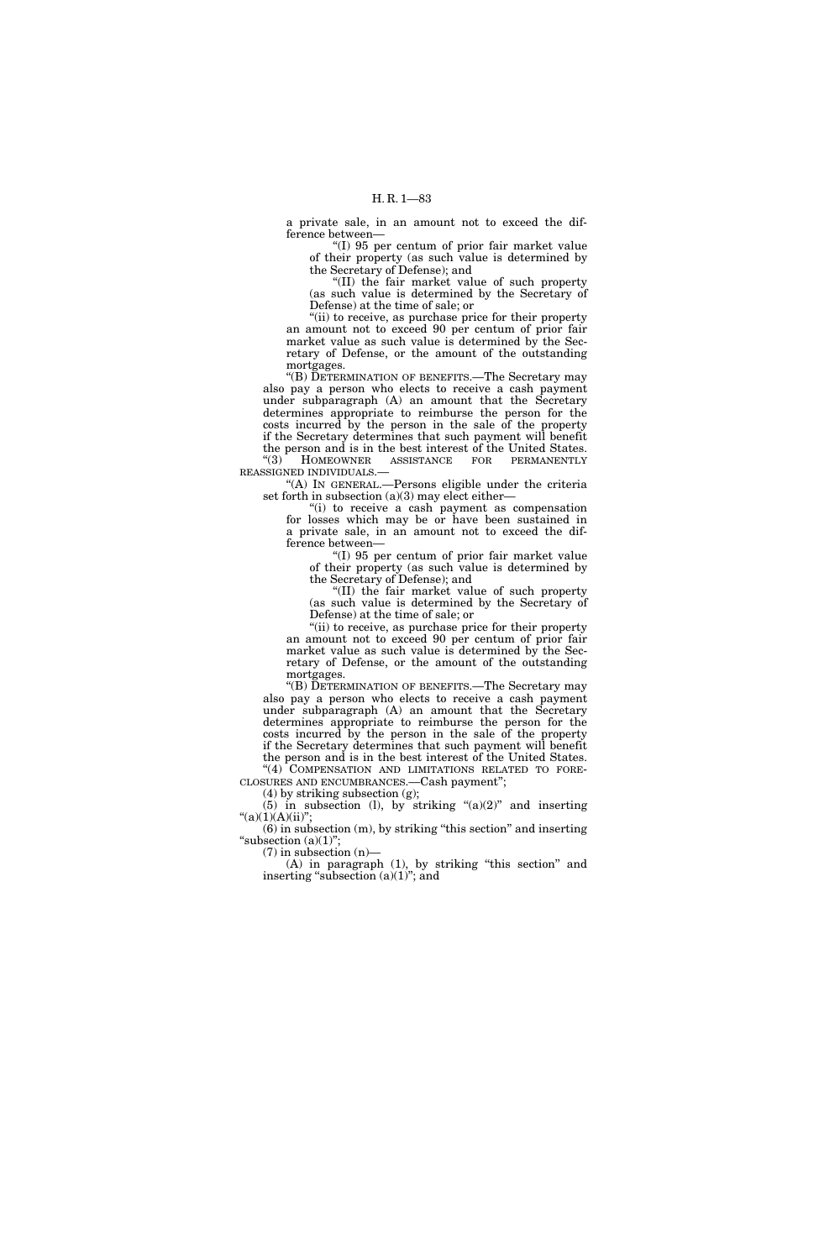a private sale, in an amount not to exceed the difference between—

''(I) 95 per centum of prior fair market value of their property (as such value is determined by the Secretary of Defense); and

''(II) the fair market value of such property (as such value is determined by the Secretary of Defense) at the time of sale; or

"(ii) to receive, as purchase price for their property an amount not to exceed 90 per centum of prior fair market value as such value is determined by the Secretary of Defense, or the amount of the outstanding mortgages.

''(B) DETERMINATION OF BENEFITS.—The Secretary may also pay a person who elects to receive a cash payment under subparagraph (A) an amount that the Secretary determines appropriate to reimburse the person for the costs incurred by the person in the sale of the property if the Secretary determines that such payment will benefit the person and is in the best interest of the United States.<br>
"(3) HOMEOWNER ASSISTANCE FOR PERMANENTLY

HOMEOWNER ASSISTANCE FOR PERMANENTLY REASSIGNED INDIVIDUALS.—

''(A) IN GENERAL.—Persons eligible under the criteria set forth in subsection  $(a)(3)$  may elect either-

''(i) to receive a cash payment as compensation for losses which may be or have been sustained in a private sale, in an amount not to exceed the difference between—

''(I) 95 per centum of prior fair market value of their property (as such value is determined by the Secretary of Defense); and

''(II) the fair market value of such property (as such value is determined by the Secretary of Defense) at the time of sale; or

"(ii) to receive, as purchase price for their property an amount not to exceed 90 per centum of prior fair market value as such value is determined by the Secretary of Defense, or the amount of the outstanding mortgages.

''(B) DETERMINATION OF BENEFITS.—The Secretary may also pay a person who elects to receive a cash payment under subparagraph (A) an amount that the Secretary determines appropriate to reimburse the person for the costs incurred by the person in the sale of the property if the Secretary determines that such payment will benefit the person and is in the best interest of the United States.

"(4) COMPENSATION AND LIMITATIONS RELATED TO FORE-CLOSURES AND ENCUMBRANCES.—Cash payment'';

(4) by striking subsection (g); (5) in subsection (1), by striking " $(a)(2)$ " and inserting

 $"(a)(1)(A)(ii)";$ (6) in subsection (m), by striking ''this section'' and inserting

"subsection  $(a)(1)$ ";

 $(7)$  in subsection  $(n)$ — (A) in paragraph (1), by striking ''this section'' and

inserting "subsection  $(a)(1)$ "; and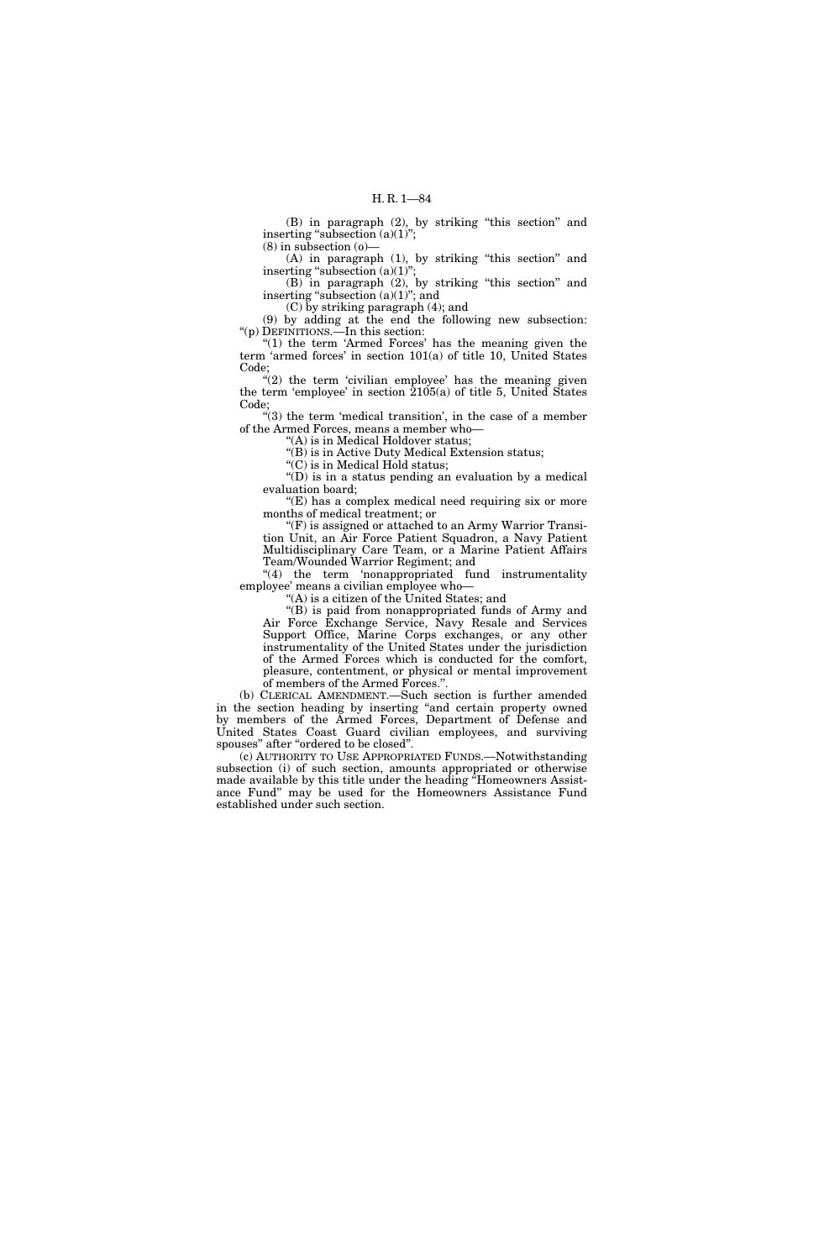(B) in paragraph (2), by striking ''this section'' and inserting "subsection  $(a)(1)$ ";  $(8)$  in subsection  $(0)$ 

(A) in paragraph (1), by striking ''this section'' and inserting "subsection  $(a)(1)$ ";

(B) in paragraph (2), by striking ''this section'' and inserting "subsection (a)(1)"; and

(C) by striking paragraph (4); and

(9) by adding at the end the following new subsection: ''(p) DEFINITIONS.—In this section:

" $(1)$  the term 'Armed Forces' has the meaning given the term 'armed forces' in section 101(a) of title 10, United States Code;

 $''(2)$  the term 'civilian employee' has the meaning given the term 'employee' in section 2105(a) of title 5, United States Code;

 $'(3)$  the term 'medical transition', in the case of a member of the Armed Forces, means a member who—

''(A) is in Medical Holdover status;

"(B) is in Active Duty Medical Extension status;

''(C) is in Medical Hold status; ''(D) is in a status pending an evaluation by a medical evaluation board;

"(E) has a complex medical need requiring six or more months of medical treatment; or

''(F) is assigned or attached to an Army Warrior Transition Unit, an Air Force Patient Squadron, a Navy Patient Multidisciplinary Care Team, or a Marine Patient Affairs Team/Wounded Warrior Regiment; and

"(4) the term 'nonappropriated fund instrumentality employee' means a civilian employee who—

''(A) is a citizen of the United States; and

''(B) is paid from nonappropriated funds of Army and Air Force Exchange Service, Navy Resale and Services Support Office, Marine Corps exchanges, or any other instrumentality of the United States under the jurisdiction of the Armed Forces which is conducted for the comfort, pleasure, contentment, or physical or mental improvement of members of the Armed Forces.''.

(b) CLERICAL AMENDMENT.—Such section is further amended in the section heading by inserting ''and certain property owned by members of the Armed Forces, Department of Defense and United States Coast Guard civilian employees, and surviving spouses" after "ordered to be closed".

(c) AUTHORITY TO USE APPROPRIATED FUNDS.—Notwithstanding subsection (i) of such section, amounts appropriated or otherwise made available by this title under the heading ''Homeowners Assistance Fund'' may be used for the Homeowners Assistance Fund established under such section.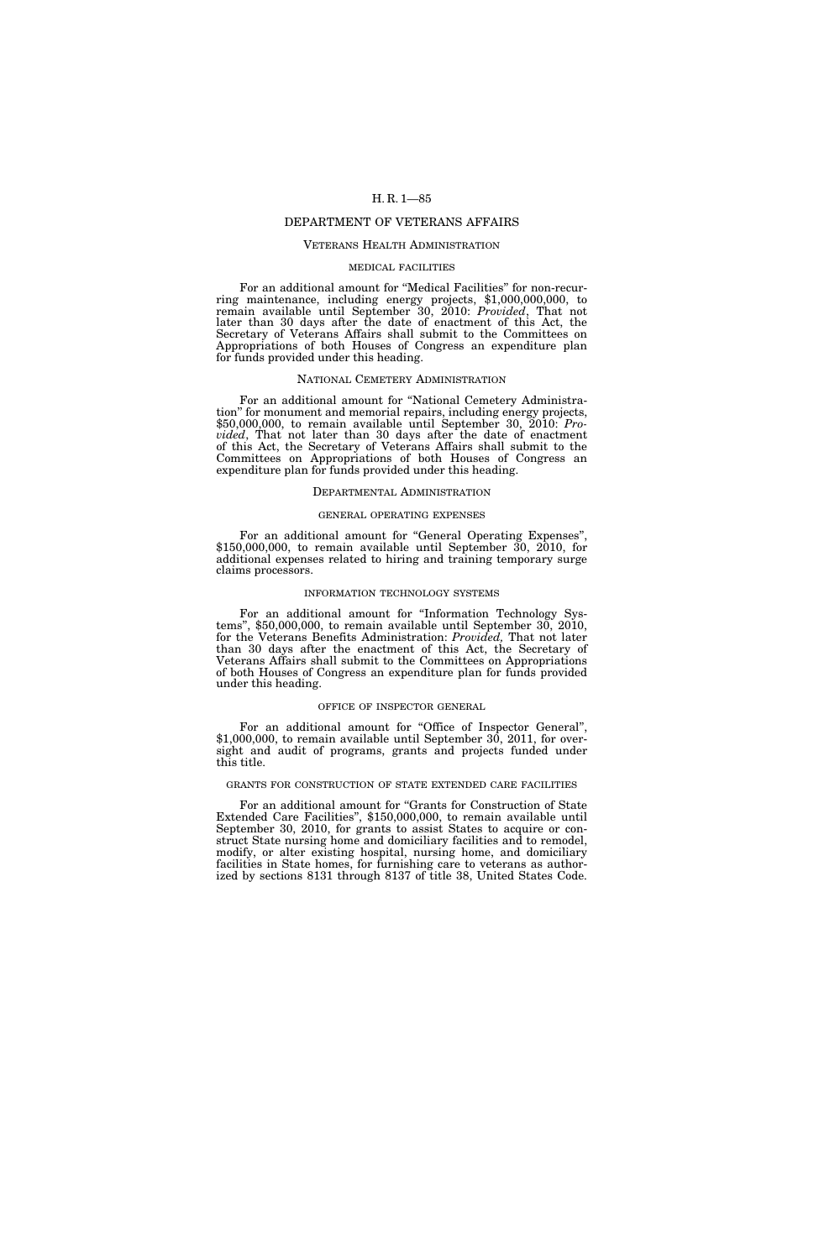# DEPARTMENT OF VETERANS AFFAIRS

# VETERANS HEALTH ADMINISTRATION

#### MEDICAL FACILITIES

For an additional amount for "Medical Facilities" for non-recurring maintenance, including energy projects, \$1,000,000,000, to remain available until September 30, 2010: *Provided*, That not later than 30 days after the date of enactment of this Act, the Secretary of Veterans Affairs shall submit to the Committees on Appropriations of both Houses of Congress an expenditure plan for funds provided under this heading.

#### NATIONAL CEMETERY ADMINISTRATION

For an additional amount for "National Cemetery Administration'' for monument and memorial repairs, including energy projects, \$50,000,000, to remain available until September 30, 2010: *Provided*, That not later than 30 days after the date of enactment of this Act, the Secretary of Veterans Affairs shall submit to the Committees on Appropriations of both Houses of Congress an expenditure plan for funds provided under this heading.

#### DEPARTMENTAL ADMINISTRATION

#### GENERAL OPERATING EXPENSES

For an additional amount for ''General Operating Expenses'', \$150,000,000, to remain available until September 30, 2010, for additional expenses related to hiring and training temporary surge claims processors.

#### INFORMATION TECHNOLOGY SYSTEMS

For an additional amount for "Information Technology Systems", \$50,000,000, to remain available until September 30, 2010, for the Veterans Benefits Administration: *Provided,* That not later than 30 days after the enactment of this Act, the Secretary of Veterans Affairs shall submit to the Committees on Appropriations of both Houses of Congress an expenditure plan for funds provided under this heading.

#### OFFICE OF INSPECTOR GENERAL

For an additional amount for "Office of Inspector General", \$1,000,000, to remain available until September 30, 2011, for oversight and audit of programs, grants and projects funded under this title.

### GRANTS FOR CONSTRUCTION OF STATE EXTENDED CARE FACILITIES

For an additional amount for "Grants for Construction of State Extended Care Facilities'', \$150,000,000, to remain available until September 30, 2010, for grants to assist States to acquire or construct State nursing home and domiciliary facilities and to remodel, modify, or alter existing hospital, nursing home, and domiciliary facilities in State homes, for furnishing care to veterans as authorized by sections 8131 through 8137 of title 38, United States Code.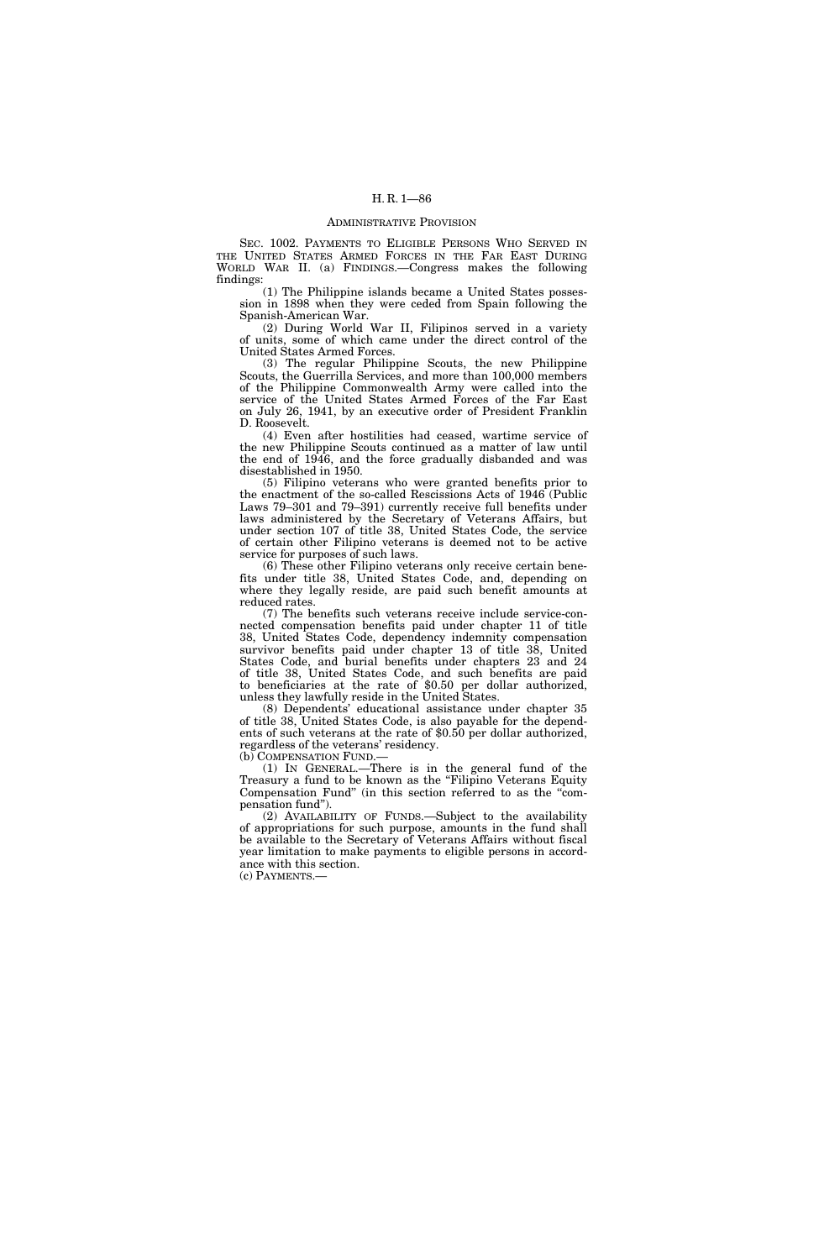#### ADMINISTRATIVE PROVISION

SEC. 1002. PAYMENTS TO ELIGIBLE PERSONS WHO SERVED IN THE UNITED STATES ARMED FORCES IN THE FAR EAST DURING WORLD WAR II. (a) FINDINGS.—Congress makes the following findings:

(1) The Philippine islands became a United States possession in 1898 when they were ceded from Spain following the Spanish-American War.

(2) During World War II, Filipinos served in a variety of units, some of which came under the direct control of the United States Armed Forces.

(3) The regular Philippine Scouts, the new Philippine Scouts, the Guerrilla Services, and more than 100,000 members of the Philippine Commonwealth Army were called into the service of the United States Armed Forces of the Far East on July 26, 1941, by an executive order of President Franklin D. Roosevelt.

(4) Even after hostilities had ceased, wartime service of the new Philippine Scouts continued as a matter of law until the end of 1946, and the force gradually disbanded and was disestablished in 1950.

(5) Filipino veterans who were granted benefits prior to the enactment of the so-called Rescissions Acts of 1946 (Public Laws 79–301 and 79–391) currently receive full benefits under laws administered by the Secretary of Veterans Affairs, but under section 107 of title 38, United States Code, the service of certain other Filipino veterans is deemed not to be active service for purposes of such laws.

(6) These other Filipino veterans only receive certain benefits under title 38, United States Code, and, depending on where they legally reside, are paid such benefit amounts at reduced rates.

(7) The benefits such veterans receive include service-connected compensation benefits paid under chapter 11 of title 38, United States Code, dependency indemnity compensation survivor benefits paid under chapter 13 of title 38, United States Code, and burial benefits under chapters 23 and 24 of title 38, United States Code, and such benefits are paid to beneficiaries at the rate of \$0.50 per dollar authorized, unless they lawfully reside in the United States.

(8) Dependents' educational assistance under chapter 35 of title 38, United States Code, is also payable for the dependents of such veterans at the rate of \$0.50 per dollar authorized, regardless of the veterans' residency. (b) COMPENSATION FUND.—

(1) IN GENERAL.—There is in the general fund of the Treasury a fund to be known as the "Filipino Veterans Equity Compensation Fund'' (in this section referred to as the ''com-

pensation fund''). (2) AVAILABILITY OF FUNDS.—Subject to the availability of appropriations for such purpose, amounts in the fund shall be available to the Secretary of Veterans Affairs without fiscal year limitation to make payments to eligible persons in accordance with this section.

(c) PAYMENTS.—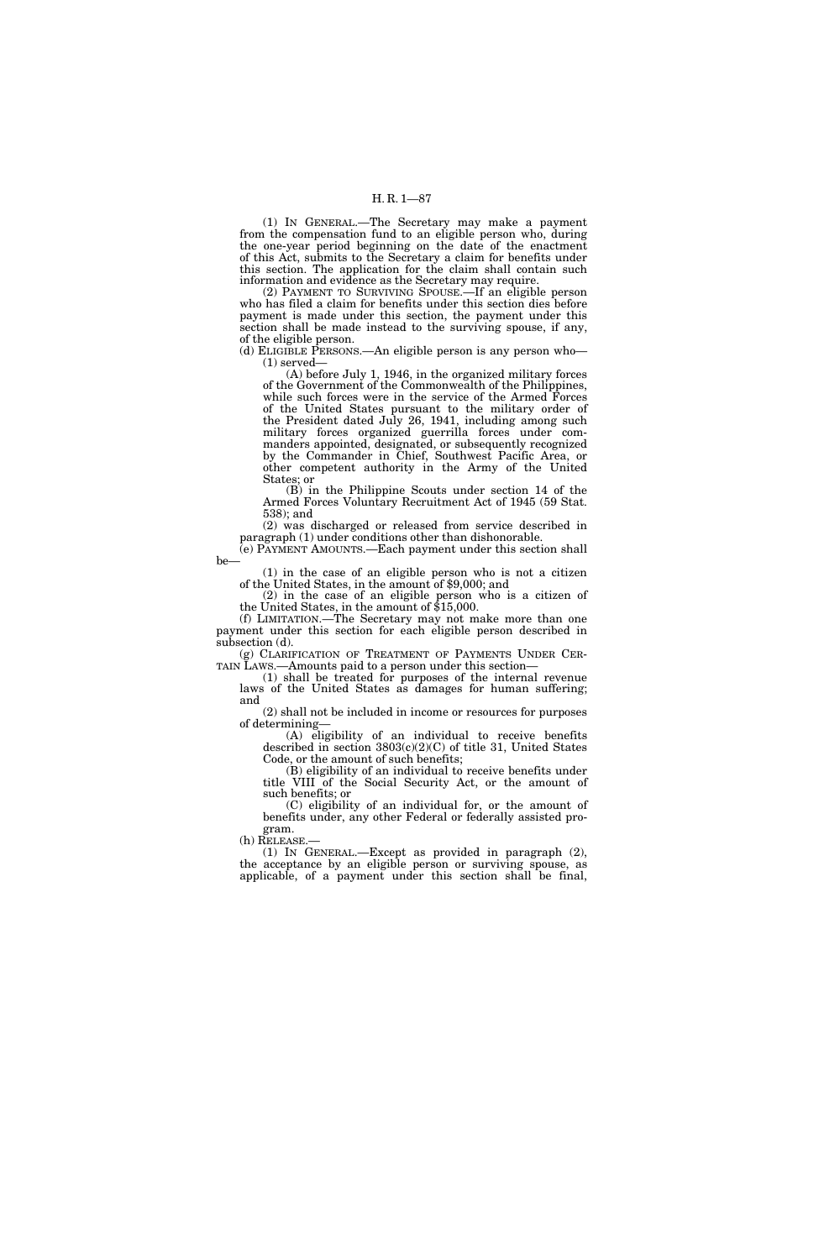(1) IN GENERAL.—The Secretary may make a payment from the compensation fund to an eligible person who, during the one-year period beginning on the date of the enactment of this Act, submits to the Secretary a claim for benefits under this section. The application for the claim shall contain such information and evidence as the Secretary may require.

(2) PAYMENT TO SURVIVING SPOUSE.—If an eligible person who has filed a claim for benefits under this section dies before payment is made under this section, the payment under this section shall be made instead to the surviving spouse, if any, of the eligible person.

(d) ELIGIBLE PERSONS.—An eligible person is any person who— (1) served—

(A) before July 1, 1946, in the organized military forces of the Government of the Commonwealth of the Philippines, while such forces were in the service of the Armed Forces of the United States pursuant to the military order of the President dated July 26, 1941, including among such military forces organized guerrilla forces under commanders appointed, designated, or subsequently recognized by the Commander in Chief, Southwest Pacific Area, or other competent authority in the Army of the United States; or

(B) in the Philippine Scouts under section 14 of the Armed Forces Voluntary Recruitment Act of 1945 (59 Stat. 538); and

(2) was discharged or released from service described in paragraph (1) under conditions other than dishonorable. (e) PAYMENT AMOUNTS.—Each payment under this section shall

be—

(1) in the case of an eligible person who is not a citizen of the United States, in the amount of \$9,000; and

(2) in the case of an eligible person who is a citizen of the United States, in the amount of \$15,000.

(f) LIMITATION.—The Secretary may not make more than one payment under this section for each eligible person described in subsection (d).

(g) CLARIFICATION OF TREATMENT OF PAYMENTS UNDER CER-TAIN LAWS.—Amounts paid to a person under this section—

(1) shall be treated for purposes of the internal revenue laws of the United States as damages for human suffering; and

(2) shall not be included in income or resources for purposes of determining—

(A) eligibility of an individual to receive benefits described in section 3803(c)(2)(C) of title 31, United States Code, or the amount of such benefits;

(B) eligibility of an individual to receive benefits under title VIII of the Social Security Act, or the amount of such benefits; or

(C) eligibility of an individual for, or the amount of benefits under, any other Federal or federally assisted program.<br>(h) RELEASE.

(1) IN GENERAL.—Except as provided in paragraph  $(2)$ , the acceptance by an eligible person or surviving spouse, as applicable, of a payment under this section shall be final,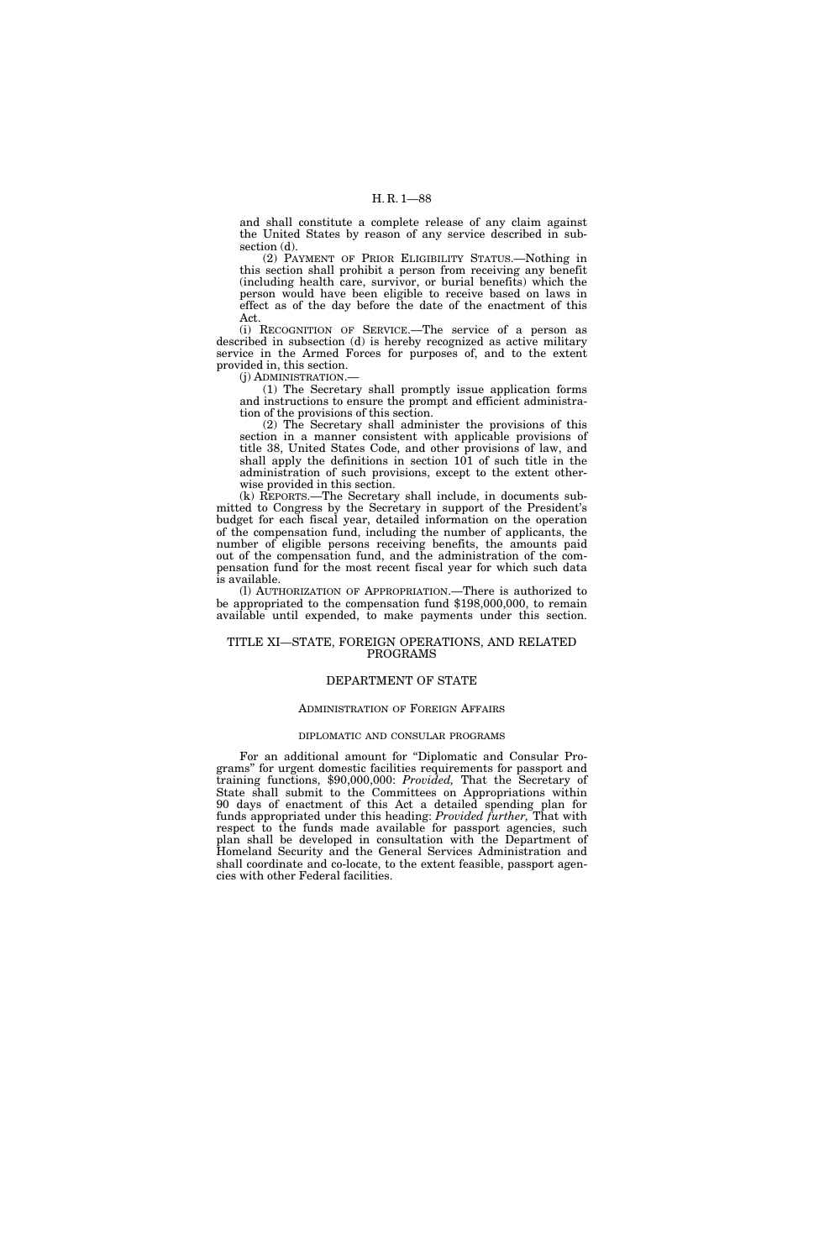and shall constitute a complete release of any claim against the United States by reason of any service described in subsection (d).

(2) PAYMENT OF PRIOR ELIGIBILITY STATUS.—Nothing in this section shall prohibit a person from receiving any benefit (including health care, survivor, or burial benefits) which the person would have been eligible to receive based on laws in effect as of the day before the date of the enactment of this Act.

(i) RECOGNITION OF SERVICE.—The service of a person as described in subsection (d) is hereby recognized as active military service in the Armed Forces for purposes of, and to the extent provided in, this section.

(j) ADMINISTRATION.—

(1) The Secretary shall promptly issue application forms and instructions to ensure the prompt and efficient administration of the provisions of this section.

(2) The Secretary shall administer the provisions of this section in a manner consistent with applicable provisions of title 38, United States Code, and other provisions of law, and shall apply the definitions in section 101 of such title in the administration of such provisions, except to the extent otherwise provided in this section.

(k) REPORTS.—The Secretary shall include, in documents submitted to Congress by the Secretary in support of the President's budget for each fiscal year, detailed information on the operation of the compensation fund, including the number of applicants, the number of eligible persons receiving benefits, the amounts paid out of the compensation fund, and the administration of the compensation fund for the most recent fiscal year for which such data is available.

(l) AUTHORIZATION OF APPROPRIATION.—There is authorized to be appropriated to the compensation fund \$198,000,000, to remain available until expended, to make payments under this section.

### TITLE XI—STATE, FOREIGN OPERATIONS, AND RELATED PROGRAMS

### DEPARTMENT OF STATE

### ADMINISTRATION OF FOREIGN AFFAIRS

### DIPLOMATIC AND CONSULAR PROGRAMS

For an additional amount for "Diplomatic and Consular Programs'' for urgent domestic facilities requirements for passport and training functions, \$90,000,000: *Provided,* That the Secretary of State shall submit to the Committees on Appropriations within 90 days of enactment of this Act a detailed spending plan for funds appropriated under this heading: *Provided further,* That with respect to the funds made available for passport agencies, such plan shall be developed in consultation with the Department of Homeland Security and the General Services Administration and shall coordinate and co-locate, to the extent feasible, passport agencies with other Federal facilities.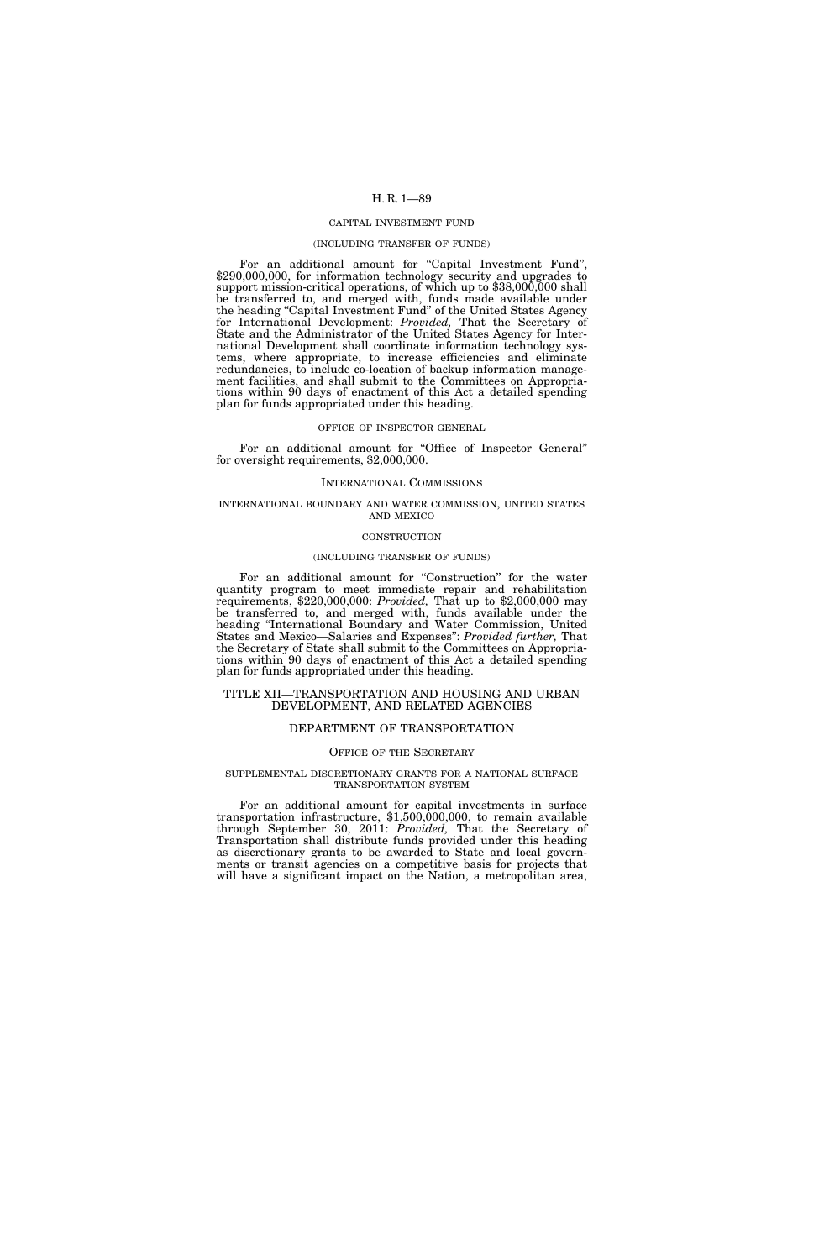### CAPITAL INVESTMENT FUND

#### (INCLUDING TRANSFER OF FUNDS)

For an additional amount for "Capital Investment Fund", \$290,000,000, for information technology security and upgrades to support mission-critical operations, of which up to \$38,000,000 shall be transferred to, and merged with, funds made available under the heading ''Capital Investment Fund'' of the United States Agency for International Development: *Provided,* That the Secretary of State and the Administrator of the United States Agency for International Development shall coordinate information technology systems, where appropriate, to increase efficiencies and eliminate redundancies, to include co-location of backup information management facilities, and shall submit to the Committees on Appropriations within 90 days of enactment of this Act a detailed spending plan for funds appropriated under this heading.

#### OFFICE OF INSPECTOR GENERAL

For an additional amount for "Office of Inspector General" for oversight requirements, \$2,000,000.

#### INTERNATIONAL COMMISSIONS

## INTERNATIONAL BOUNDARY AND WATER COMMISSION, UNITED STATES AND MEXICO

### **CONSTRUCTION**

### (INCLUDING TRANSFER OF FUNDS)

For an additional amount for "Construction" for the water quantity program to meet immediate repair and rehabilitation requirements, \$220,000,000: *Provided,* That up to \$2,000,000 may be transferred to, and merged with, funds available under the heading ''International Boundary and Water Commission, United States and Mexico—Salaries and Expenses'': *Provided further,* That the Secretary of State shall submit to the Committees on Appropriations within 90 days of enactment of this Act a detailed spending plan for funds appropriated under this heading.

### TITLE XII—TRANSPORTATION AND HOUSING AND URBAN DEVELOPMENT, AND RELATED AGENCIES

### DEPARTMENT OF TRANSPORTATION

### OFFICE OF THE SECRETARY

#### SUPPLEMENTAL DISCRETIONARY GRANTS FOR A NATIONAL SURFACE TRANSPORTATION SYSTEM

For an additional amount for capital investments in surface transportation infrastructure, \$1,500,000,000, to remain available through September 30, 2011: *Provided,* That the Secretary of Transportation shall distribute funds provided under this heading as discretionary grants to be awarded to State and local governments or transit agencies on a competitive basis for projects that will have a significant impact on the Nation, a metropolitan area,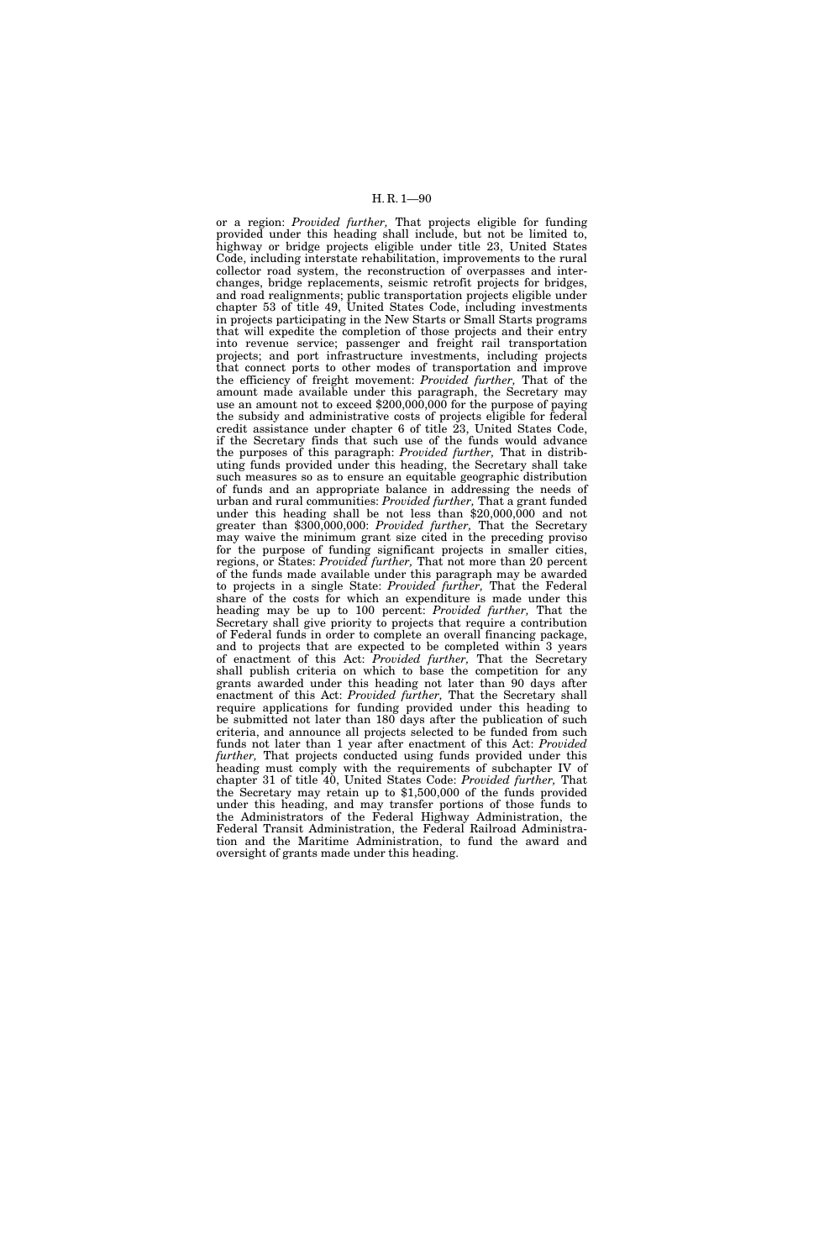or a region: *Provided further,* That projects eligible for funding provided under this heading shall include, but not be limited to, highway or bridge projects eligible under title 23, United States Code, including interstate rehabilitation, improvements to the rural collector road system, the reconstruction of overpasses and interchanges, bridge replacements, seismic retrofit projects for bridges, and road realignments; public transportation projects eligible under chapter 53 of title 49, United States Code, including investments in projects participating in the New Starts or Small Starts programs that will expedite the completion of those projects and their entry into revenue service; passenger and freight rail transportation projects; and port infrastructure investments, including projects that connect ports to other modes of transportation and improve the efficiency of freight movement: *Provided further,* That of the amount made available under this paragraph, the Secretary may use an amount not to exceed \$200,000,000 for the purpose of paying the subsidy and administrative costs of projects eligible for federal credit assistance under chapter 6 of title 23, United States Code, if the Secretary finds that such use of the funds would advance the purposes of this paragraph: *Provided further,* That in distributing funds provided under this heading, the Secretary shall take such measures so as to ensure an equitable geographic distribution of funds and an appropriate balance in addressing the needs of urban and rural communities: *Provided further,* That a grant funded under this heading shall be not less than \$20,000,000 and not greater than \$300,000,000: *Provided further,* That the Secretary may waive the minimum grant size cited in the preceding proviso for the purpose of funding significant projects in smaller cities, regions, or States: *Provided further,* That not more than 20 percent of the funds made available under this paragraph may be awarded to projects in a single State: *Provided further,* That the Federal share of the costs for which an expenditure is made under this heading may be up to 100 percent: *Provided further,* That the Secretary shall give priority to projects that require a contribution of Federal funds in order to complete an overall financing package, and to projects that are expected to be completed within 3 years of enactment of this Act: *Provided further,* That the Secretary shall publish criteria on which to base the competition for any grants awarded under this heading not later than 90 days after enactment of this Act: *Provided further,* That the Secretary shall require applications for funding provided under this heading to be submitted not later than 180 days after the publication of such criteria, and announce all projects selected to be funded from such funds not later than 1 year after enactment of this Act: *Provided further,* That projects conducted using funds provided under this heading must comply with the requirements of subchapter IV of chapter 31 of title 40, United States Code: *Provided further,* That the Secretary may retain up to \$1,500,000 of the funds provided under this heading, and may transfer portions of those funds to the Administrators of the Federal Highway Administration, the Federal Transit Administration, the Federal Railroad Administration and the Maritime Administration, to fund the award and oversight of grants made under this heading.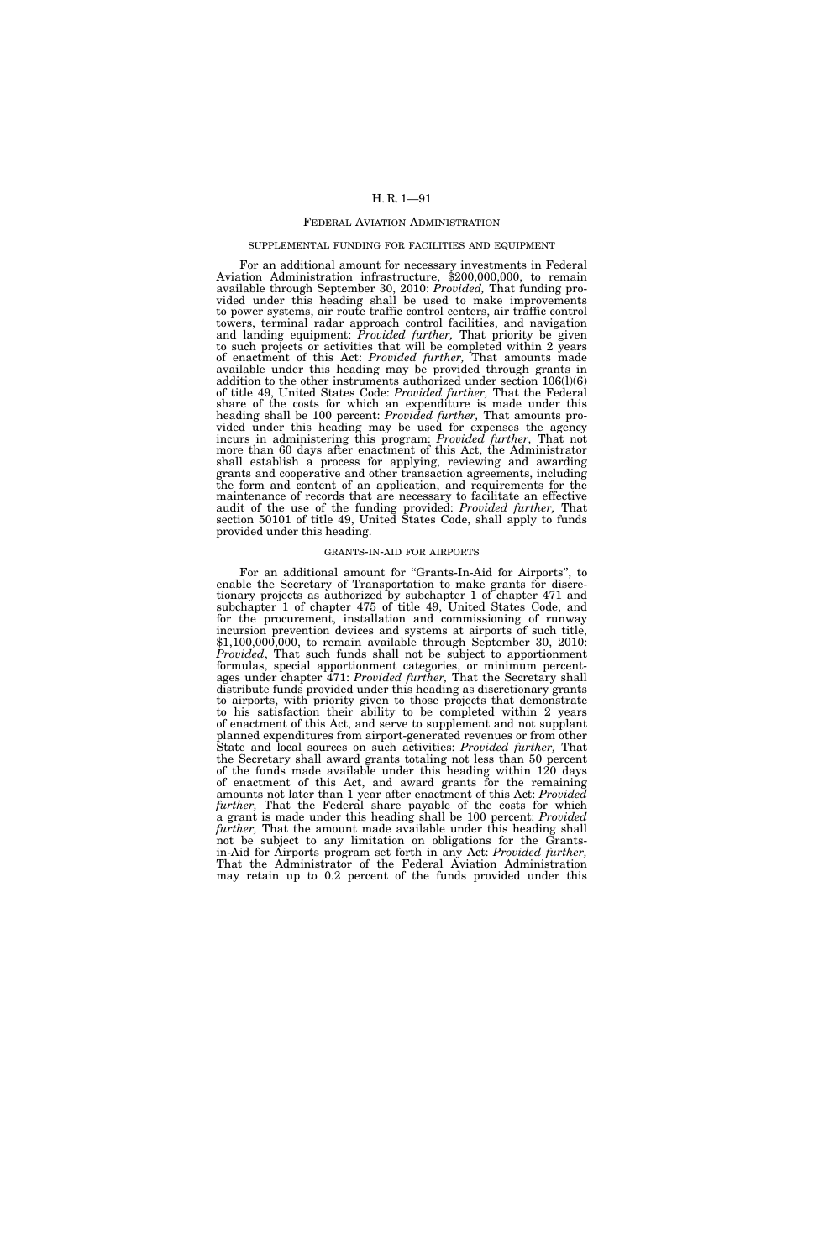#### FEDERAL AVIATION ADMINISTRATION

### SUPPLEMENTAL FUNDING FOR FACILITIES AND EQUIPMENT

For an additional amount for necessary investments in Federal Aviation Administration infrastructure, \$200,000,000, to remain available through September 30, 2010: *Provided,* That funding provided under this heading shall be used to make improvements to power systems, air route traffic control centers, air traffic control towers, terminal radar approach control facilities, and navigation and landing equipment: *Provided further,* That priority be given to such projects or activities that will be completed within 2 years of enactment of this Act: *Provided further,* That amounts made available under this heading may be provided through grants in addition to the other instruments authorized under section 106(l)(6) of title 49, United States Code: *Provided further,* That the Federal share of the costs for which an expenditure is made under this heading shall be 100 percent: *Provided further,* That amounts provided under this heading may be used for expenses the agency incurs in administering this program: *Provided further,* That not more than 60 days after enactment of this Act, the Administrator shall establish a process for applying, reviewing and awarding grants and cooperative and other transaction agreements, including the form and content of an application, and requirements for the maintenance of records that are necessary to facilitate an effective audit of the use of the funding provided: *Provided further,* That section 50101 of title 49, United States Code, shall apply to funds provided under this heading.

### GRANTS-IN-AID FOR AIRPORTS

For an additional amount for "Grants-In-Aid for Airports", to enable the Secretary of Transportation to make grants for discretionary projects as authorized by subchapter 1 of chapter 471 and subchapter 1 of chapter 475 of title 49, United States Code, and for the procurement, installation and commissioning of runway incursion prevention devices and systems at airports of such title, \$1,100,000,000, to remain available through September 30, 2010: *Provided*, That such funds shall not be subject to apportionment formulas, special apportionment categories, or minimum percentages under chapter 471: *Provided further,* That the Secretary shall distribute funds provided under this heading as discretionary grants to airports, with priority given to those projects that demonstrate to his satisfaction their ability to be completed within 2 years of enactment of this Act, and serve to supplement and not supplant planned expenditures from airport-generated revenues or from other State and local sources on such activities: *Provided further,* That the Secretary shall award grants totaling not less than 50 percent of the funds made available under this heading within 120 days of enactment of this Act, and award grants for the remaining amounts not later than 1 year after enactment of this Act: *Provided further,* That the Federal share payable of the costs for which a grant is made under this heading shall be 100 percent: *Provided further,* That the amount made available under this heading shall not be subject to any limitation on obligations for the Grantsin-Aid for Airports program set forth in any Act: *Provided further,*  That the Administrator of the Federal Aviation Administration may retain up to 0.2 percent of the funds provided under this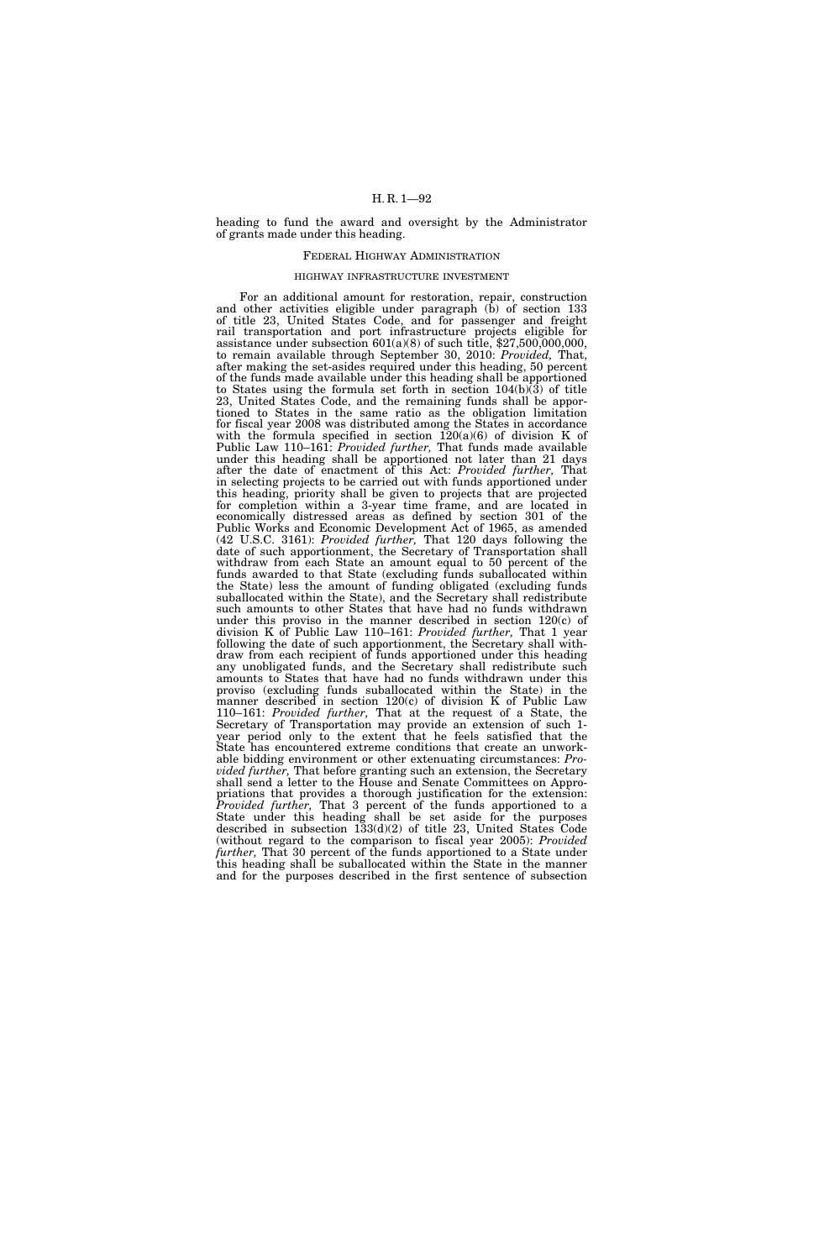heading to fund the award and oversight by the Administrator of grants made under this heading.

## FEDERAL HIGHWAY ADMINISTRATION

#### HIGHWAY INFRASTRUCTURE INVESTMENT

For an additional amount for restoration, repair, construction and other activities eligible under paragraph (b) of section 133 of title 23, United States Code, and for passenger and freight rail transportation and port infrastructure projects eligible for assistance under subsection  $601(a)(8)$  of such title, \$27,500,000,000, to remain available through September 30, 2010: *Provided,* That, after making the set-asides required under this heading, 50 percent of the funds made available under this heading shall be apportioned to States using the formula set forth in section  $104(b)\overline{(3)}$  of title 23, United States Code, and the remaining funds shall be apportioned to States in the same ratio as the obligation limitation for fiscal year 2008 was distributed among the States in accordance with the formula specified in section  $120(a)(6)$  of division K of Public Law 110–161: *Provided further,* That funds made available under this heading shall be apportioned not later than 21 days after the date of enactment of this Act: *Provided further,* That in selecting projects to be carried out with funds apportioned under this heading, priority shall be given to projects that are projected for completion within a 3-year time frame, and are located in economically distressed areas as defined by section 301 of the Public Works and Economic Development Act of 1965, as amended (42 U.S.C. 3161): *Provided further,* That 120 days following the date of such apportionment, the Secretary of Transportation shall withdraw from each State an amount equal to 50 percent of the funds awarded to that State (excluding funds suballocated within the State) less the amount of funding obligated (excluding funds suballocated within the State), and the Secretary shall redistribute such amounts to other States that have had no funds withdrawn under this proviso in the manner described in section 120(c) of division K of Public Law 110–161: *Provided further,* That 1 year following the date of such apportionment, the Secretary shall withdraw from each recipient of funds apportioned under this heading any unobligated funds, and the Secretary shall redistribute such amounts to States that have had no funds withdrawn under this proviso (excluding funds suballocated within the State) in the manner described in section 120(c) of division K of Public Law 110–161: *Provided further,* That at the request of a State, the Secretary of Transportation may provide an extension of such 1 year period only to the extent that he feels satisfied that the State has encountered extreme conditions that create an unworkable bidding environment or other extenuating circumstances: *Provided further,* That before granting such an extension, the Secretary shall send a letter to the House and Senate Committees on Appropriations that provides a thorough justification for the extension: *Provided further,* That 3 percent of the funds apportioned to a State under this heading shall be set aside for the purposes described in subsection 133(d)(2) of title 23, United States Code (without regard to the comparison to fiscal year 2005): *Provided further,* That 30 percent of the funds apportioned to a State under this heading shall be suballocated within the State in the manner and for the purposes described in the first sentence of subsection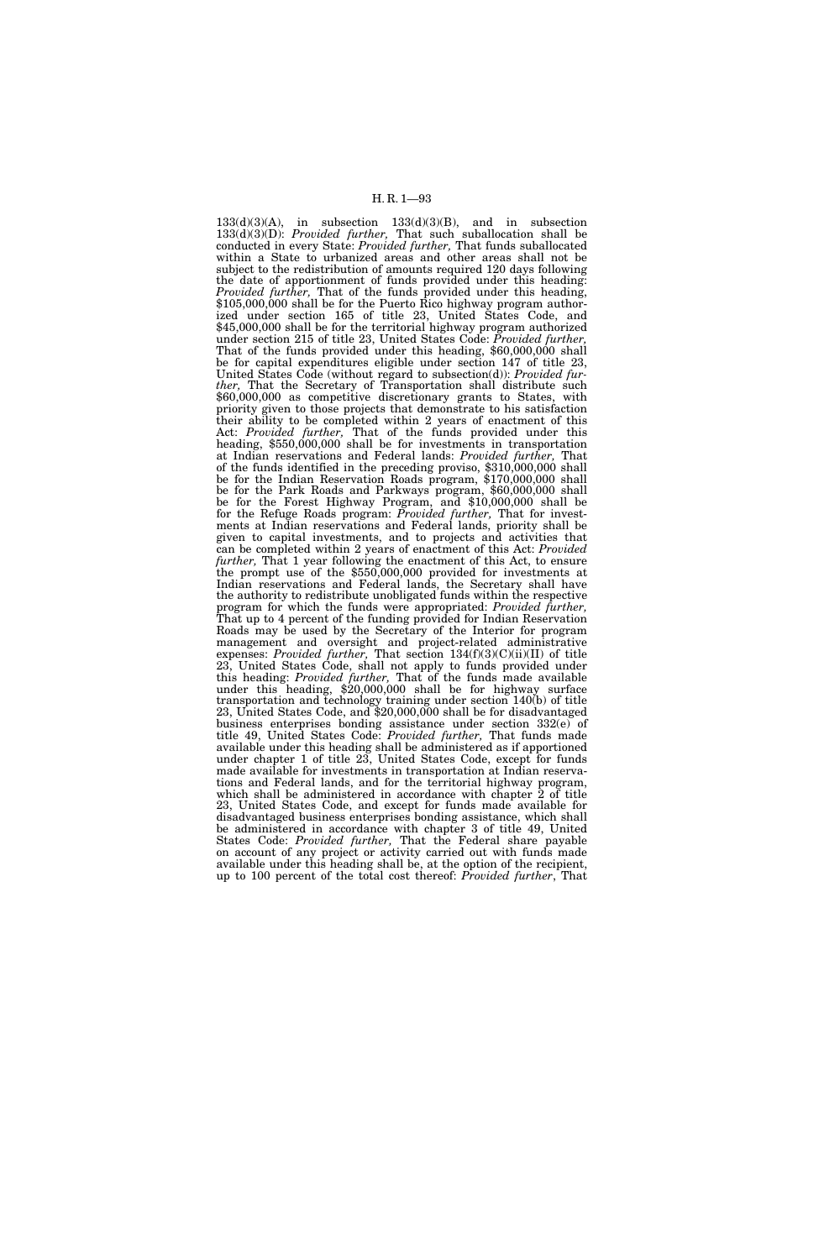$133(d)(3)(A)$ , in subsection  $133(d)(3)(B)$ , and in subsection 133(d)(3)(D): *Provided further,* That such suballocation shall be conducted in every State: *Provided further,* That funds suballocated within a State to urbanized areas and other areas shall not be subject to the redistribution of amounts required 120 days following the date of apportionment of funds provided under this heading: *Provided further,* That of the funds provided under this heading, \$105,000,000 shall be for the Puerto Rico highway program authorized under section 165 of title 23, United States Code, and \$45,000,000 shall be for the territorial highway program authorized under section 215 of title 23, United States Code: *Provided further,*  That of the funds provided under this heading, \$60,000,000 shall be for capital expenditures eligible under section 147 of title 23, United States Code (without regard to subsection(d)): *Provided further,* That the Secretary of Transportation shall distribute such \$60,000,000 as competitive discretionary grants to States, with priority given to those projects that demonstrate to his satisfaction their ability to be completed within 2 years of enactment of this Act: *Provided further,* That of the funds provided under this heading, \$550,000,000 shall be for investments in transportation at Indian reservations and Federal lands: *Provided further,* That of the funds identified in the preceding proviso, \$310,000,000 shall be for the Indian Reservation Roads program, \$170,000,000 shall be for the Park Roads and Parkways program, \$60,000,000 shall be for the Forest Highway Program, and \$10,000,000 shall be for the Refuge Roads program: *Provided further,* That for investments at Indian reservations and Federal lands, priority shall be given to capital investments, and to projects and activities that can be completed within 2 years of enactment of this Act: *Provided*  the prompt use of the \$550,000,000 provided for investments at Indian reservations and Federal lands, the Secretary shall have the authority to redistribute unobligated funds within the respective program for which the funds were appropriated: *Provided further,*  That up to 4 percent of the funding provided for Indian Reservation Roads may be used by the Secretary of the Interior for program management and oversight and project-related administrative expenses: *Provided further,* That section 134(f)(3)(C)(ii)(II) of title 23, United States Code, shall not apply to funds provided under this heading: *Provided further,* That of the funds made available under this heading, \$20,000,000 shall be for highway surface transportation and technology training under section 140(b) of title 23, United States Code, and \$20,000,000 shall be for disadvantaged business enterprises bonding assistance under section 332(e) of title 49, United States Code: *Provided further,* That funds made available under this heading shall be administered as if apportioned under chapter 1 of title 23, United States Code, except for funds made available for investments in transportation at Indian reservations and Federal lands, and for the territorial highway program, which shall be administered in accordance with chapter 2 of title 23, United States Code, and except for funds made available for disadvantaged business enterprises bonding assistance, which shall be administered in accordance with chapter 3 of title 49, United States Code: *Provided further,* That the Federal share payable on account of any project or activity carried out with funds made available under this heading shall be, at the option of the recipient, up to 100 percent of the total cost thereof: *Provided further*, That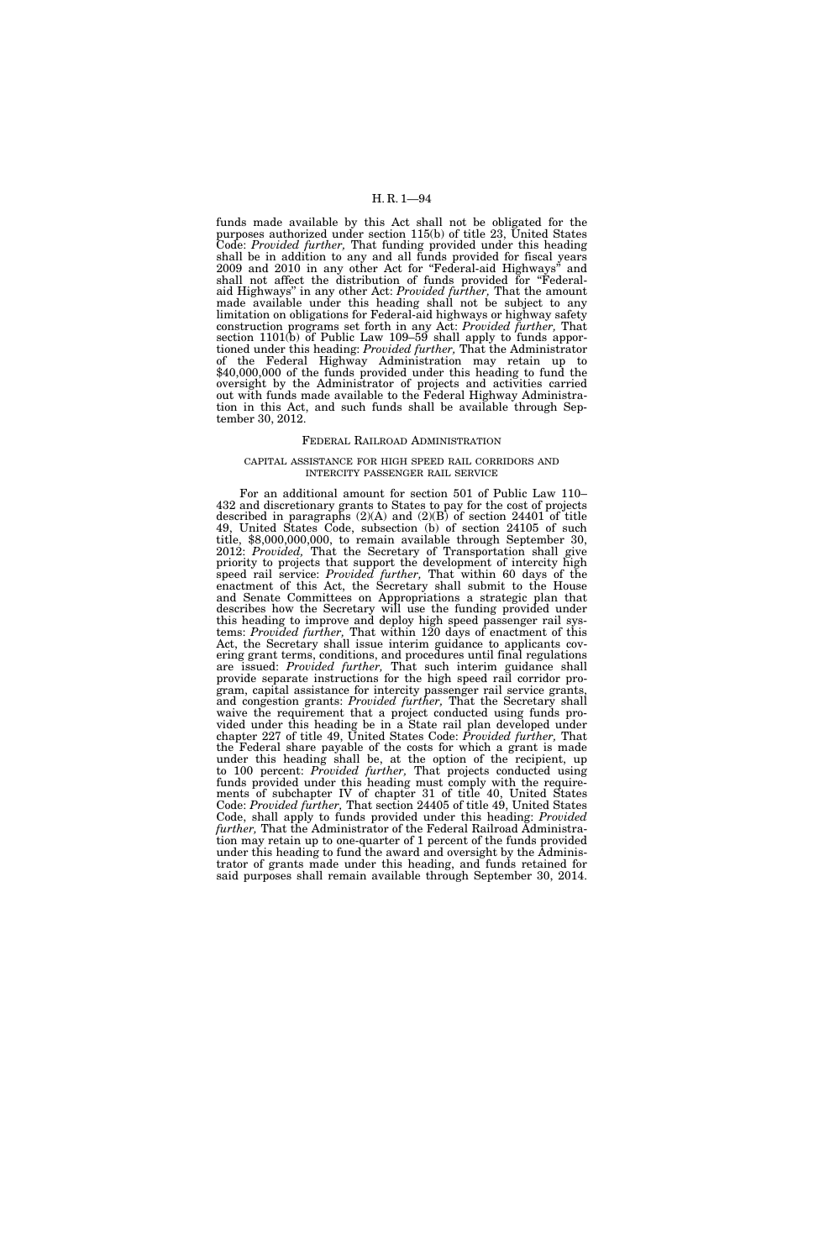funds made available by this Act shall not be obligated for the purposes authorized under section 115(b) of title 23, United States Code: *Provided further,* That funding provided under this heading shall be in addition to any and all funds provided for fiscal years 2009 and 2010 in any other Act for ''Federal-aid Highways'' and shall not affect the distribution of funds provided for ''Federalaid Highways'' in any other Act: *Provided further,* That the amount made available under this heading shall not be subject to any limitation on obligations for Federal-aid highways or highway safety construction programs set forth in any Act: *Provided further,* That section 1101(b) of Public Law 109–59 shall apply to funds apportioned under this heading: *Provided further,* That the Administrator of the Federal Highway Administration may retain up to \$40,000,000 of the funds provided under this heading to fund the oversight by the Administrator of projects and activities carried out with funds made available to the Federal Highway Administration in this Act, and such funds shall be available through September 30, 2012.

## FEDERAL RAILROAD ADMINISTRATION

### CAPITAL ASSISTANCE FOR HIGH SPEED RAIL CORRIDORS AND INTERCITY PASSENGER RAIL SERVICE

For an additional amount for section 501 of Public Law 110– 432 and discretionary grants to States to pay for the cost of projects described in paragraphs  $(2)(A)$  and  $(2)(B)$  of section 24401 of title 49, United States Code, subsection (b) of section 24105 of such title, \$8,000,000,000, to remain available through September 30, 2012: *Provided,* That the Secretary of Transportation shall give priority to projects that support the development of intercity high speed rail service: *Provided further,* That within 60 days of the enactment of this Act, the Secretary shall submit to the House and Senate Committees on Appropriations a strategic plan that describes how the Secretary will use the funding provided under this heading to improve and deploy high speed passenger rail systems: *Provided further,* That within 120 days of enactment of this Act, the Secretary shall issue interim guidance to applicants covering grant terms, conditions, and procedures until final regulations are issued: *Provided further,* That such interim guidance shall provide separate instructions for the high speed rail corridor program, capital assistance for intercity passenger rail service grants, and congestion grants: *Provided further,* That the Secretary shall waive the requirement that a project conducted using funds provided under this heading be in a State rail plan developed under chapter 227 of title 49, United States Code: *Provided further,* That the Federal share payable of the costs for which a grant is made under this heading shall be, at the option of the recipient, up to 100 percent: *Provided further,* That projects conducted using funds provided under this heading must comply with the requirements of subchapter IV of chapter 31 of title 40, United States Code: *Provided further,* That section 24405 of title 49, United States Code, shall apply to funds provided under this heading: *Provided further,* That the Administrator of the Federal Railroad Administration may retain up to one-quarter of 1 percent of the funds provided under this heading to fund the award and oversight by the Administrator of grants made under this heading, and funds retained for said purposes shall remain available through September 30, 2014.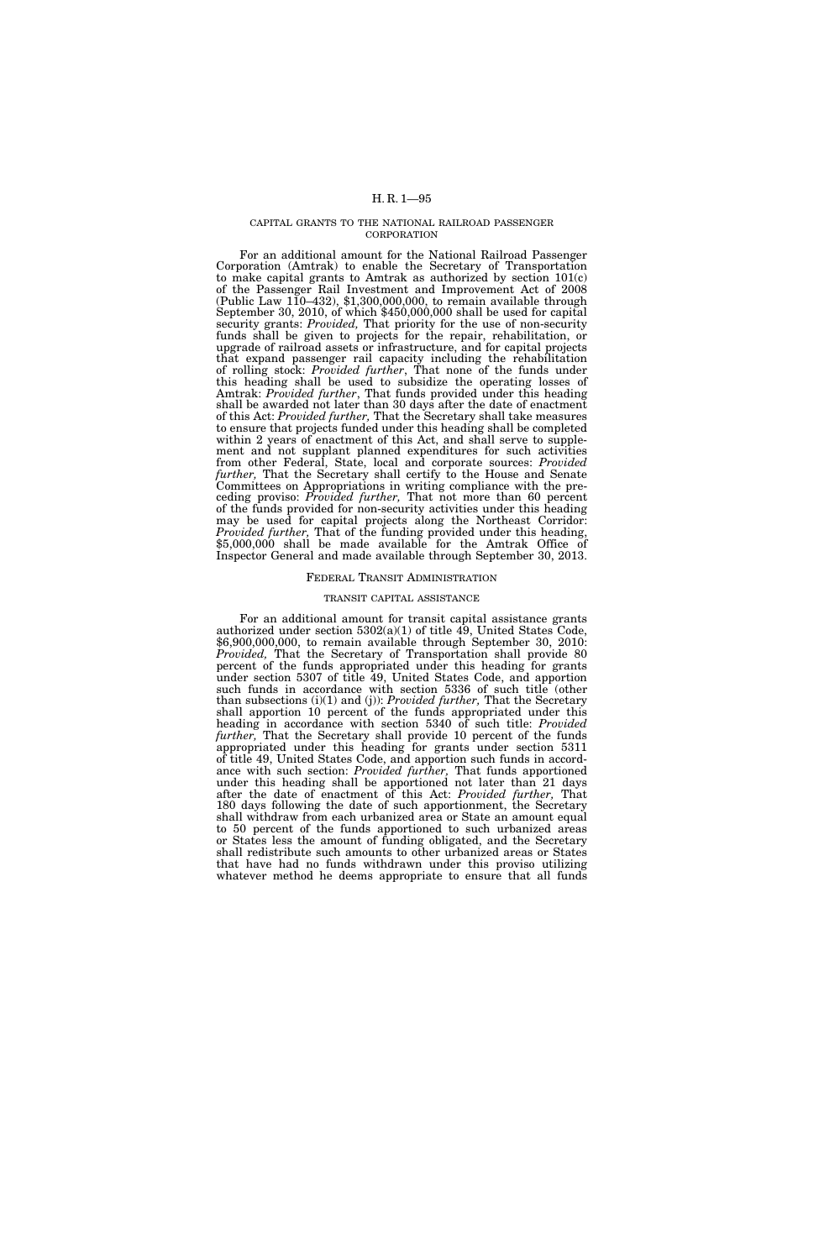#### CAPITAL GRANTS TO THE NATIONAL RAILROAD PASSENGER CORPORATION

For an additional amount for the National Railroad Passenger Corporation (Amtrak) to enable the Secretary of Transportation to make capital grants to Amtrak as authorized by section 101(c) of the Passenger Rail Investment and Improvement Act of 2008 (Public Law  $110-432$ ), \$1,300,000,000, to remain available through September 30, 2010, of which \$450,000,000 shall be used for capital security grants: *Provided,* That priority for the use of non-security funds shall be given to projects for the repair, rehabilitation, or upgrade of railroad assets or infrastructure, and for capital projects that expand passenger rail capacity including the rehabilitation of rolling stock: *Provided further*, That none of the funds under this heading shall be used to subsidize the operating losses of Amtrak: Provided further, That funds provided under this heading shall be awarded not later than 30 days after the date of enactment of this Act: *Provided further,* That the Secretary shall take measures to ensure that projects funded under this heading shall be completed within 2 years of enactment of this Act, and shall serve to supplement and not supplant planned expenditures for such activities from other Federal, State, local and corporate sources: *Provided further,* That the Secretary shall certify to the House and Senate Committees on Appropriations in writing compliance with the preceding proviso: *Provided further,* That not more than 60 percent of the funds provided for non-security activities under this heading may be used for capital projects along the Northeast Corridor: *Provided further,* That of the funding provided under this heading, \$5,000,000 shall be made available for the Amtrak Office of Inspector General and made available through September 30, 2013.

# FEDERAL TRANSIT ADMINISTRATION

#### TRANSIT CAPITAL ASSISTANCE

For an additional amount for transit capital assistance grants authorized under section 5302(a)(1) of title 49, United States Code, \$6,900,000,000, to remain available through September 30, 2010: *Provided,* That the Secretary of Transportation shall provide 80 percent of the funds appropriated under this heading for grants under section 5307 of title 49, United States Code, and apportion such funds in accordance with section 5336 of such title (other than subsections (i)(1) and (j)): *Provided further,* That the Secretary shall apportion 10 percent of the funds appropriated under this heading in accordance with section 5340 of such title: *Provided further,* That the Secretary shall provide 10 percent of the funds appropriated under this heading for grants under section 5311 of title 49, United States Code, and apportion such funds in accordance with such section: *Provided further,* That funds apportioned under this heading shall be apportioned not later than 21 days after the date of enactment of this Act: *Provided further,* That 180 days following the date of such apportionment, the Secretary shall withdraw from each urbanized area or State an amount equal to 50 percent of the funds apportioned to such urbanized areas or States less the amount of funding obligated, and the Secretary shall redistribute such amounts to other urbanized areas or States that have had no funds withdrawn under this proviso utilizing whatever method he deems appropriate to ensure that all funds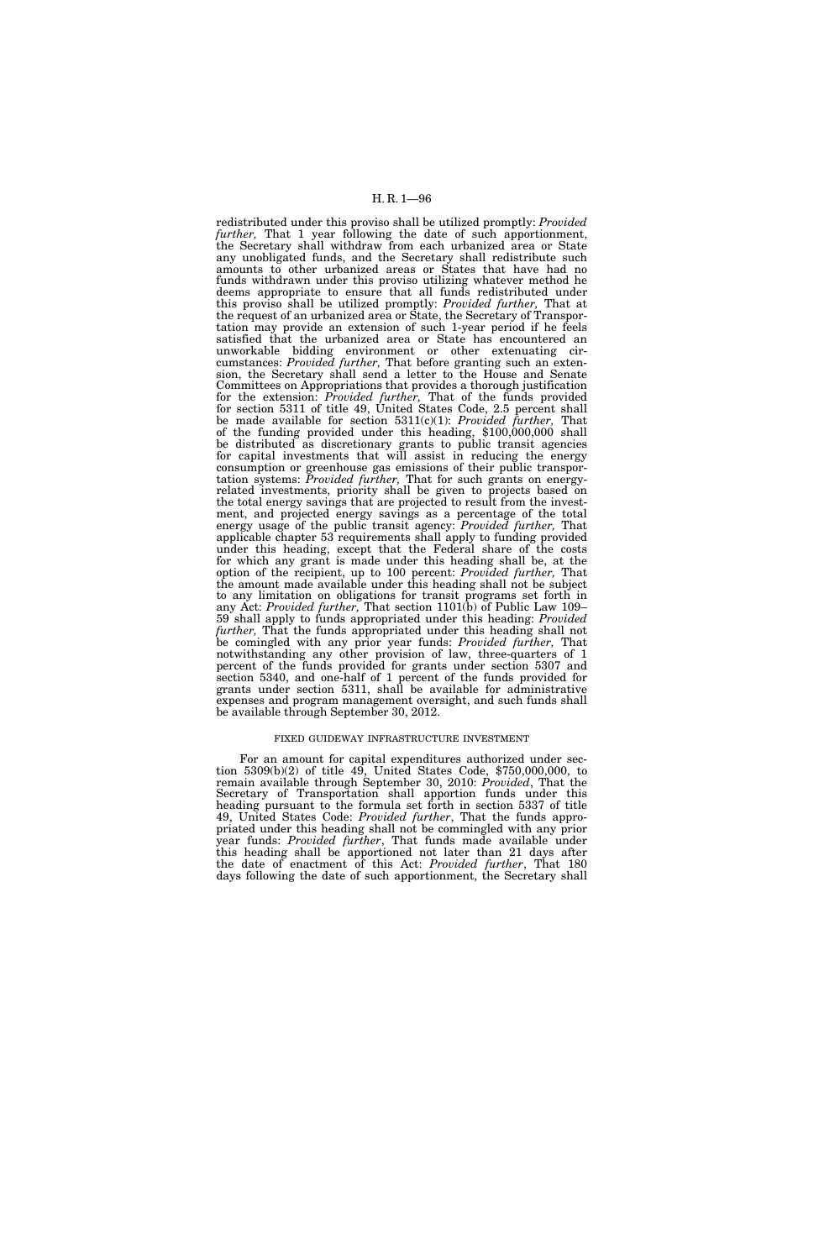redistributed under this proviso shall be utilized promptly: *Provided further,* That 1 year following the date of such apportionment, the Secretary shall withdraw from each urbanized area or State any unobligated funds, and the Secretary shall redistribute such amounts to other urbanized areas or States that have had no funds withdrawn under this proviso utilizing whatever method he deems appropriate to ensure that all funds redistributed under this proviso shall be utilized promptly: *Provided further,* That at the request of an urbanized area or State, the Secretary of Transportation may provide an extension of such 1-year period if he feels satisfied that the urbanized area or State has encountered an unworkable bidding environment or other extenuating circumstances: *Provided further,* That before granting such an extension, the Secretary shall send a letter to the House and Senate Committees on Appropriations that provides a thorough justification for the extension: *Provided further,* That of the funds provided for section 5311 of title 49, United States Code, 2.5 percent shall be made available for section 5311(c)(1): *Provided further,* That of the funding provided under this heading, \$100,000,000 shall be distributed as discretionary grants to public transit agencies for capital investments that will assist in reducing the energy consumption or greenhouse gas emissions of their public transportation systems: *Provided further,* That for such grants on energyrelated investments, priority shall be given to projects based on the total energy savings that are projected to result from the investment, and projected energy savings as a percentage of the total energy usage of the public transit agency: *Provided further,* That applicable chapter 53 requirements shall apply to funding provided under this heading, except that the Federal share of the costs for which any grant is made under this heading shall be, at the option of the recipient, up to 100 percent: *Provided further,* That the amount made available under this heading shall not be subject to any limitation on obligations for transit programs set forth in any Act: *Provided further,* That section 1101(b) of Public Law 109– 59 shall apply to funds appropriated under this heading: *Provided further,* That the funds appropriated under this heading shall not be comingled with any prior year funds: *Provided further,* That notwithstanding any other provision of law, three-quarters of 1 percent of the funds provided for grants under section 5307 and section 5340, and one-half of 1 percent of the funds provided for grants under section 5311, shall be available for administrative expenses and program management oversight, and such funds shall be available through September 30, 2012.

#### FIXED GUIDEWAY INFRASTRUCTURE INVESTMENT

For an amount for capital expenditures authorized under section 5309(b)(2) of title 49, United States Code, \$750,000,000, to remain available through September 30, 2010: *Provided*, That the Secretary of Transportation shall apportion funds under this heading pursuant to the formula set forth in section 5337 of title 49, United States Code: *Provided further*, That the funds appropriated under this heading shall not be commingled with any prior year funds: *Provided further*, That funds made available under this heading shall be apportioned not later than 21 days after the date of enactment of this Act: *Provided further*, That 180 days following the date of such apportionment, the Secretary shall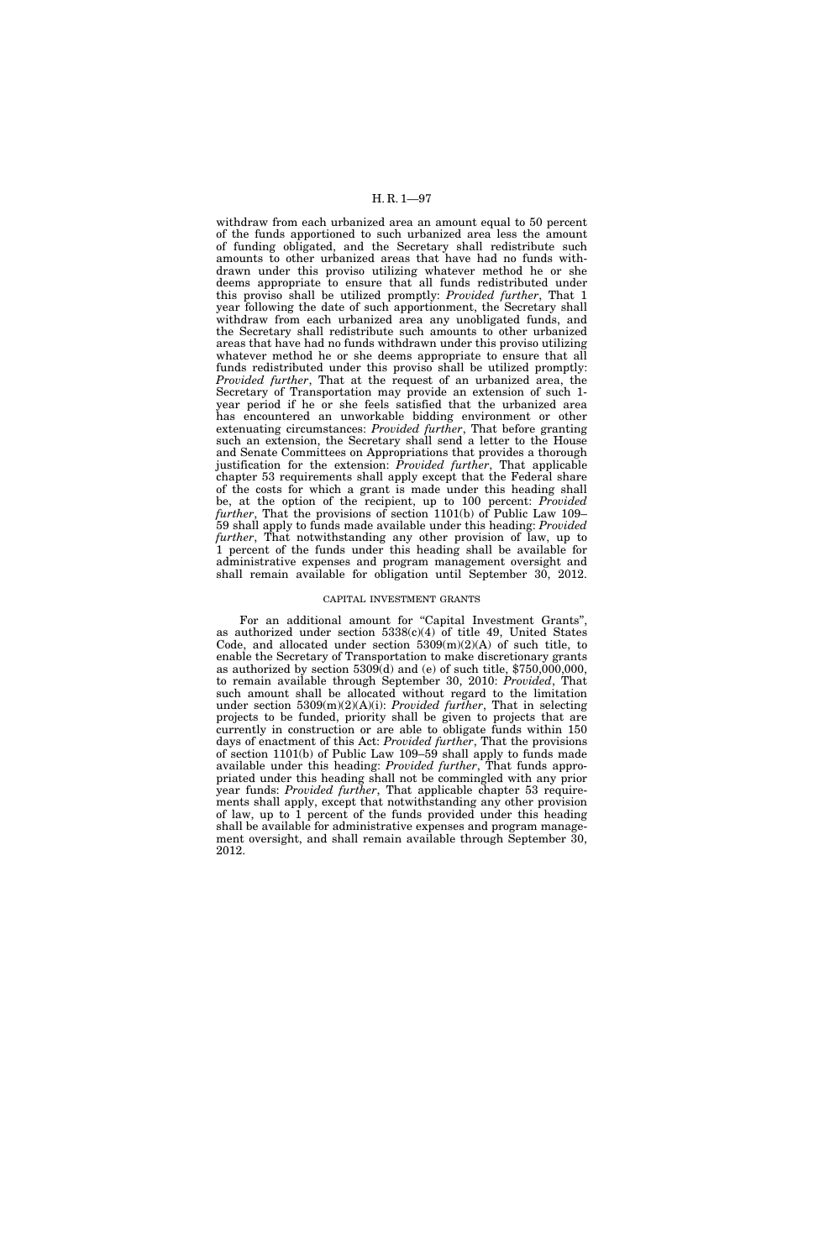withdraw from each urbanized area an amount equal to 50 percent of the funds apportioned to such urbanized area less the amount of funding obligated, and the Secretary shall redistribute such amounts to other urbanized areas that have had no funds withdrawn under this proviso utilizing whatever method he or she deems appropriate to ensure that all funds redistributed under this proviso shall be utilized promptly: *Provided further*, That 1 year following the date of such apportionment, the Secretary shall withdraw from each urbanized area any unobligated funds, and the Secretary shall redistribute such amounts to other urbanized areas that have had no funds withdrawn under this proviso utilizing whatever method he or she deems appropriate to ensure that all funds redistributed under this proviso shall be utilized promptly: *Provided further*, That at the request of an urbanized area, the Secretary of Transportation may provide an extension of such 1 year period if he or she feels satisfied that the urbanized area has encountered an unworkable bidding environment or other extenuating circumstances: *Provided further*, That before granting such an extension, the Secretary shall send a letter to the House and Senate Committees on Appropriations that provides a thorough justification for the extension: *Provided further*, That applicable chapter 53 requirements shall apply except that the Federal share of the costs for which a grant is made under this heading shall be, at the option of the recipient, up to 100 percent: *Provided further*, That the provisions of section 1101(b) of Public Law 109– 59 shall apply to funds made available under this heading: *Provided further*, That notwithstanding any other provision of law, up to 1 percent of the funds under this heading shall be available for administrative expenses and program management oversight and shall remain available for obligation until September 30, 2012.

### CAPITAL INVESTMENT GRANTS

For an additional amount for "Capital Investment Grants", as authorized under section 5338(c)(4) of title 49, United States Code, and allocated under section  $5309(m)(2)(A)$  of such title, to enable the Secretary of Transportation to make discretionary grants as authorized by section  $5309(d)$  and (e) of such title,  $$750,000,000$ , to remain available through September 30, 2010: *Provided*, That such amount shall be allocated without regard to the limitation under section 5309(m)(2)(A)(i): *Provided further*, That in selecting projects to be funded, priority shall be given to projects that are currently in construction or are able to obligate funds within 150 days of enactment of this Act: *Provided further*, That the provisions of section 1101(b) of Public Law 109–59 shall apply to funds made available under this heading: *Provided further*, That funds appropriated under this heading shall not be commingled with any prior year funds: *Provided further*, That applicable chapter 53 requirements shall apply, except that notwithstanding any other provision of law, up to 1 percent of the funds provided under this heading shall be available for administrative expenses and program management oversight, and shall remain available through September 30, 2012.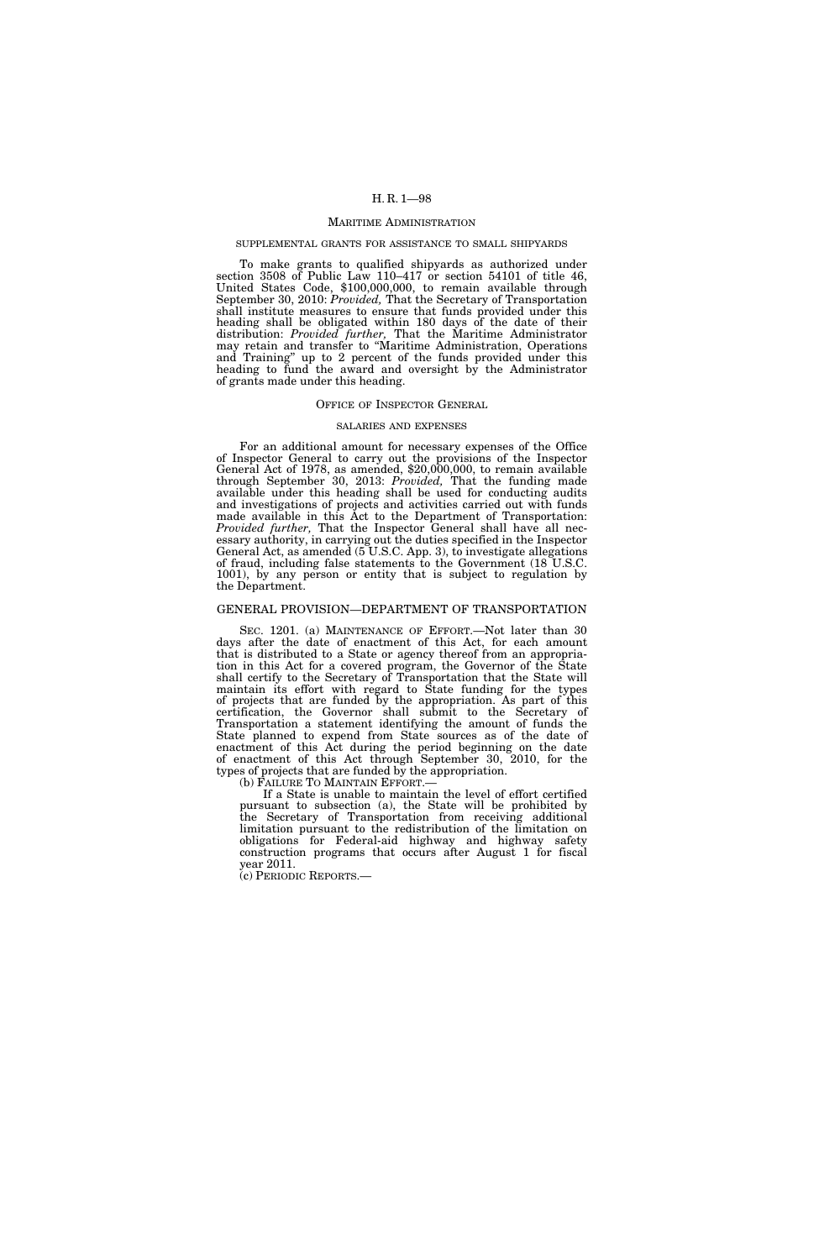#### MARITIME ADMINISTRATION

#### SUPPLEMENTAL GRANTS FOR ASSISTANCE TO SMALL SHIPYARDS

To make grants to qualified shipyards as authorized under section 3508 of Public Law 110–417 or section 54101 of title 46, United States Code, \$100,000,000, to remain available through September 30, 2010: *Provided,* That the Secretary of Transportation shall institute measures to ensure that funds provided under this heading shall be obligated within 180 days of the date of their distribution: *Provided further,* That the Maritime Administrator may retain and transfer to ''Maritime Administration, Operations and Training'' up to 2 percent of the funds provided under this heading to fund the award and oversight by the Administrator of grants made under this heading.

#### OFFICE OF INSPECTOR GENERAL

#### SALARIES AND EXPENSES

For an additional amount for necessary expenses of the Office of Inspector General to carry out the provisions of the Inspector General Act of 1978, as amended, \$20,000,000, to remain available through September 30, 2013: *Provided,* That the funding made available under this heading shall be used for conducting audits and investigations of projects and activities carried out with funds made available in this Act to the Department of Transportation: *Provided further,* That the Inspector General shall have all necessary authority, in carrying out the duties specified in the Inspector General Act, as amended (5 U.S.C. App. 3), to investigate allegations of fraud, including false statements to the Government (18 U.S.C. 1001), by any person or entity that is subject to regulation by the Department.

# GENERAL PROVISION—DEPARTMENT OF TRANSPORTATION

SEC. 1201. (a) MAINTENANCE OF EFFORT.—Not later than 30 days after the date of enactment of this Act, for each amount that is distributed to a State or agency thereof from an appropriation in this Act for a covered program, the Governor of the State shall certify to the Secretary of Transportation that the State will maintain its effort with regard to State funding for the types of projects that are funded by the appropriation. As part of this certification, the Governor shall submit to the Secretary of Transportation a statement identifying the amount of funds the State planned to expend from State sources as of the date of enactment of this Act during the period beginning on the date of enactment of this Act through September 30, 2010, for the types of projects that are funded by the appropriation.

(b) FAILURE TO MAINTAIN EFFORT.—

If a State is unable to maintain the level of effort certified pursuant to subsection (a), the State will be prohibited by the Secretary of Transportation from receiving additional limitation pursuant to the redistribution of the limitation on obligations for Federal-aid highway and highway safety construction programs that occurs after August 1 for fiscal year 2011.

(c) PERIODIC REPORTS.—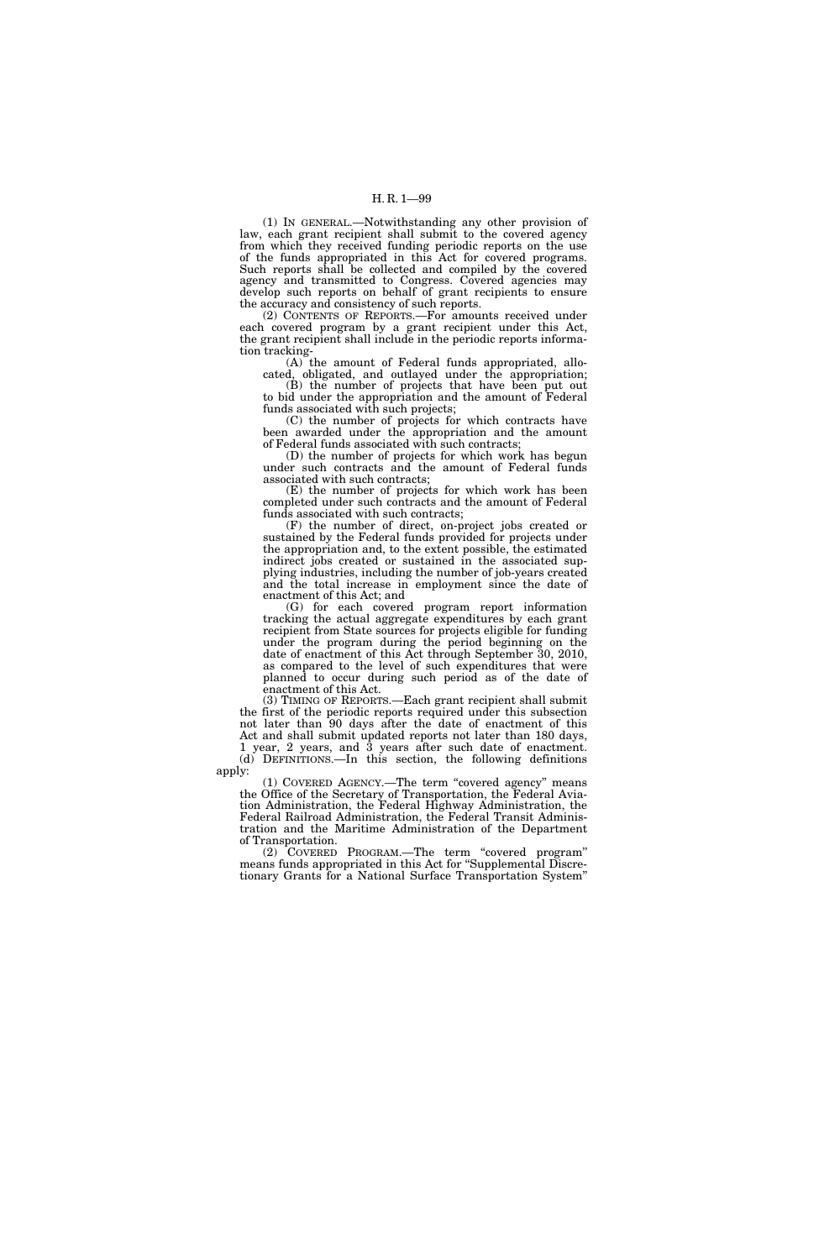(1) IN GENERAL.—Notwithstanding any other provision of law, each grant recipient shall submit to the covered agency from which they received funding periodic reports on the use of the funds appropriated in this Act for covered programs. Such reports shall be collected and compiled by the covered agency and transmitted to Congress. Covered agencies may develop such reports on behalf of grant recipients to ensure the accuracy and consistency of such reports.

(2) CONTENTS OF REPORTS.—For amounts received under each covered program by a grant recipient under this Act, the grant recipient shall include in the periodic reports information tracking-

(A) the amount of Federal funds appropriated, allocated, obligated, and outlayed under the appropriation;

(B) the number of projects that have been put out to bid under the appropriation and the amount of Federal funds associated with such projects;

(C) the number of projects for which contracts have been awarded under the appropriation and the amount of Federal funds associated with such contracts;

(D) the number of projects for which work has begun under such contracts and the amount of Federal funds associated with such contracts;

(E) the number of projects for which work has been completed under such contracts and the amount of Federal funds associated with such contracts;

(F) the number of direct, on-project jobs created or sustained by the Federal funds provided for projects under the appropriation and, to the extent possible, the estimated indirect jobs created or sustained in the associated supplying industries, including the number of job-years created and the total increase in employment since the date of enactment of this Act; and

(G) for each covered program report information tracking the actual aggregate expenditures by each grant recipient from State sources for projects eligible for funding under the program during the period beginning on the date of enactment of this Act through September 30, 2010, as compared to the level of such expenditures that were planned to occur during such period as of the date of enactment of this Act.

(3) TIMING OF REPORTS.—Each grant recipient shall submit the first of the periodic reports required under this subsection not later than 90 days after the date of enactment of this Act and shall submit updated reports not later than 180 days, 1 year, 2 years, and 3 years after such date of enactment. (d) DEFINITIONS.—In this section, the following definitions

apply:

(1) COVERED AGENCY.—The term ''covered agency'' means the Office of the Secretary of Transportation, the Federal Aviation Administration, the Federal Highway Administration, the Federal Railroad Administration, the Federal Transit Administration and the Maritime Administration of the Department of Transportation.

(2) COVERED PROGRAM.—The term ''covered program'' means funds appropriated in this Act for ''Supplemental Discretionary Grants for a National Surface Transportation System''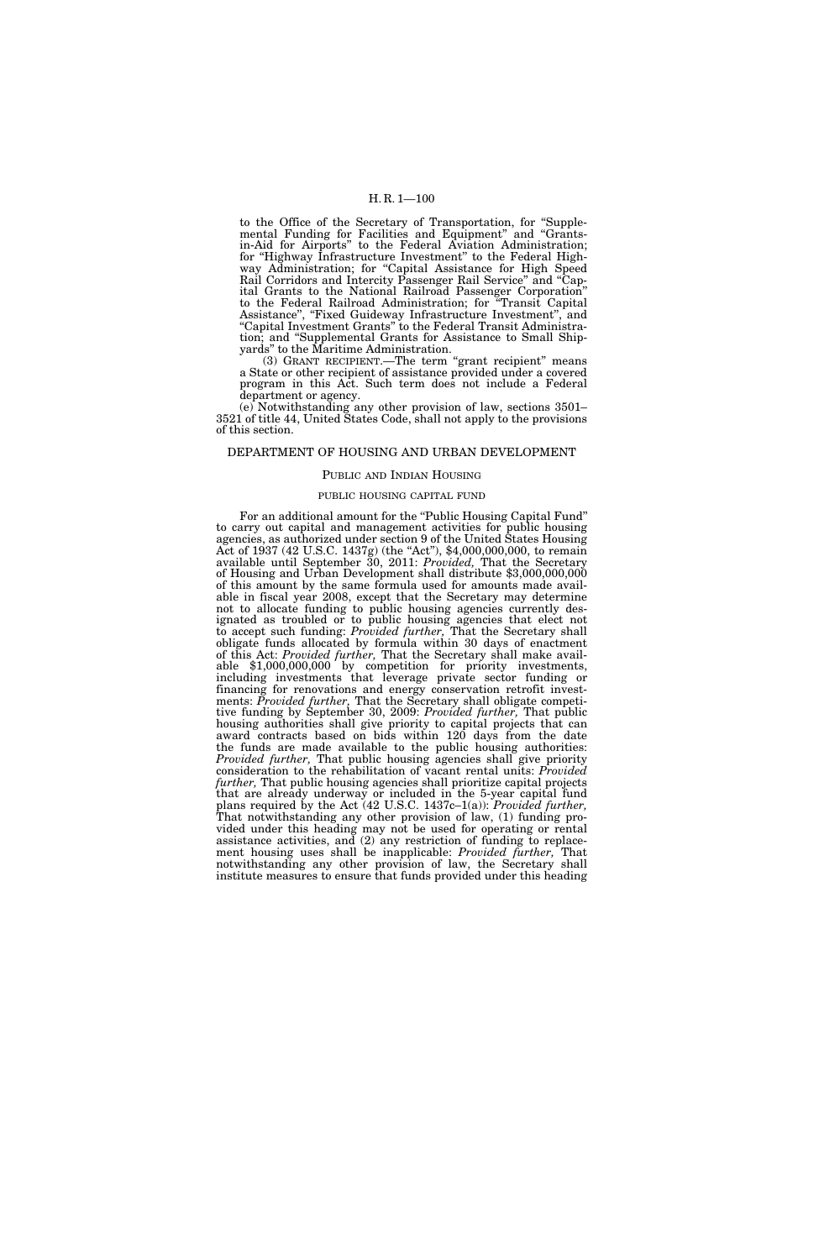to the Office of the Secretary of Transportation, for ''Supplemental Funding for Facilities and Equipment'' and ''Grantsin-Aid for Airports'' to the Federal Aviation Administration; for ''Highway Infrastructure Investment'' to the Federal Highway Administration; for "Capital Assistance for High Speed Rail Corridors and Intercity Passenger Rail Service'' and ''Capital Grants to the National Railroad Passenger Corporation'' to the Federal Railroad Administration; for ''Transit Capital Assistance", "Fixed Guideway Infrastructure Investment", and ''Capital Investment Grants'' to the Federal Transit Administration; and ''Supplemental Grants for Assistance to Small Shipyards'' to the Maritime Administration.

(3) GRANT RECIPIENT.—The term "grant recipient" means a State or other recipient of assistance provided under a covered program in this Act. Such term does not include a Federal department or agency.

(e) Notwithstanding any other provision of law, sections 3501– 3521 of title 44, United States Code, shall not apply to the provisions of this section.

### DEPARTMENT OF HOUSING AND URBAN DEVELOPMENT

## PUBLIC AND INDIAN HOUSING

## PUBLIC HOUSING CAPITAL FUND

For an additional amount for the ''Public Housing Capital Fund'' to carry out capital and management activities for public housing agencies, as authorized under section 9 of the United States Housing Act of 1937 (42 U.S.C. 1437g) (the "Act"), \$4,000,000,000, to remain available until September 30, 2011: *Provided,* That the Secretary of Housing and Urban Development shall distribute \$3,000,000,000 of this amount by the same formula used for amounts made available in fiscal year 2008, except that the Secretary may determine not to allocate funding to public housing agencies currently designated as troubled or to public housing agencies that elect not to accept such funding: *Provided further,* That the Secretary shall obligate funds allocated by formula within 30 days of enactment of this Act: *Provided further,* That the Secretary shall make avail- able \$1,000,000,000 by competition for priority investments, including investments that leverage private sector funding or financing for renovations and energy conservation retrofit investments: *Provided further,* That the Secretary shall obligate competitive funding by September 30, 2009: *Provided further,* That public housing authorities shall give priority to capital projects that can award contracts based on bids within 120 days from the date the funds are made available to the public housing authorities: *Provided further,* That public housing agencies shall give priority consideration to the rehabilitation of vacant rental units: *Provided further,* That public housing agencies shall prioritize capital projects that are already underway or included in the 5-year capital fund plans required by the Act (42 U.S.C. 1437c–1(a)): *Provided further,*  That notwithstanding any other provision of law, (1) funding provided under this heading may not be used for operating or rental assistance activities, and (2) any restriction of funding to replacement housing uses shall be inapplicable: *Provided further,* That notwithstanding any other provision of law, the Secretary shall institute measures to ensure that funds provided under this heading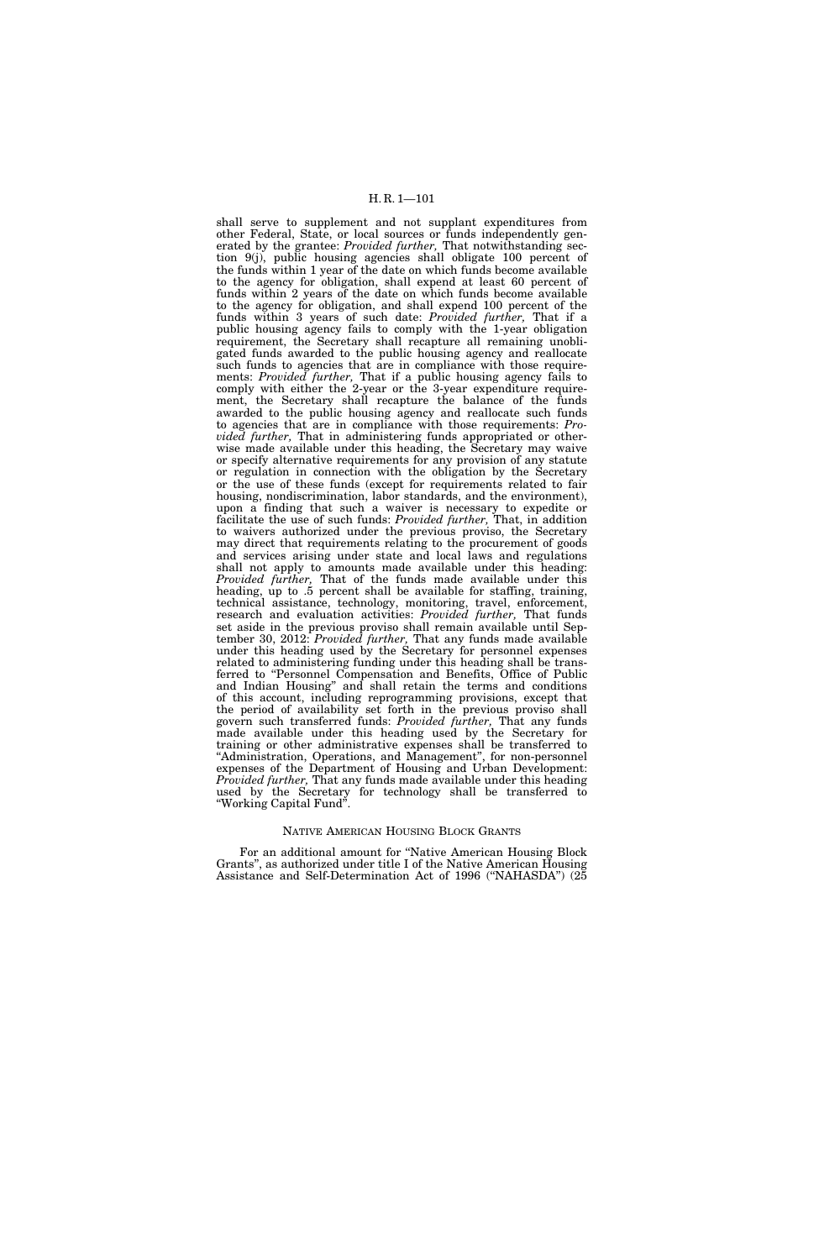shall serve to supplement and not supplant expenditures from other Federal, State, or local sources or funds independently generated by the grantee: *Provided further,* That notwithstanding section 9(j), public housing agencies shall obligate 100 percent of the funds within 1 year of the date on which funds become available to the agency for obligation, shall expend at least 60 percent of funds within 2 years of the date on which funds become available to the agency for obligation, and shall expend 100 percent of the funds within 3 years of such date: *Provided further,* That if a public housing agency fails to comply with the 1-year obligation requirement, the Secretary shall recapture all remaining unobligated funds awarded to the public housing agency and reallocate such funds to agencies that are in compliance with those requirements: *Provided further,* That if a public housing agency fails to comply with either the 2-year or the 3-year expenditure requirement, the Secretary shall recapture the balance of the funds awarded to the public housing agency and reallocate such funds to agencies that are in compliance with those requirements: *Provided further,* That in administering funds appropriated or otherwise made available under this heading, the Secretary may waive or specify alternative requirements for any provision of any statute or regulation in connection with the obligation by the Secretary or the use of these funds (except for requirements related to fair housing, nondiscrimination, labor standards, and the environment), upon a finding that such a waiver is necessary to expedite or facilitate the use of such funds: *Provided further,* That, in addition to waivers authorized under the previous proviso, the Secretary may direct that requirements relating to the procurement of goods and services arising under state and local laws and regulations shall not apply to amounts made available under this heading: *Provided further,* That of the funds made available under this heading, up to .5 percent shall be available for staffing, training, technical assistance, technology, monitoring, travel, enforcement, research and evaluation activities: *Provided further,* That funds set aside in the previous proviso shall remain available until September 30, 2012: *Provided further,* That any funds made available under this heading used by the Secretary for personnel expenses related to administering funding under this heading shall be transferred to "Personnel Compensation and Benefits, Office of Public and Indian Housing'' and shall retain the terms and conditions of this account, including reprogramming provisions, except that the period of availability set forth in the previous proviso shall govern such transferred funds: *Provided further,* That any funds made available under this heading used by the Secretary for training or other administrative expenses shall be transferred to "Administration, Operations, and Management", for non-personnel expenses of the Department of Housing and Urban Development: *Provided further,* That any funds made available under this heading used by the Secretary for technology shall be transferred to ''Working Capital Fund''.

#### NATIVE AMERICAN HOUSING BLOCK GRANTS

For an additional amount for ''Native American Housing Block Grants'', as authorized under title I of the Native American Housing Assistance and Self-Determination Act of 1996 (''NAHASDA'') (25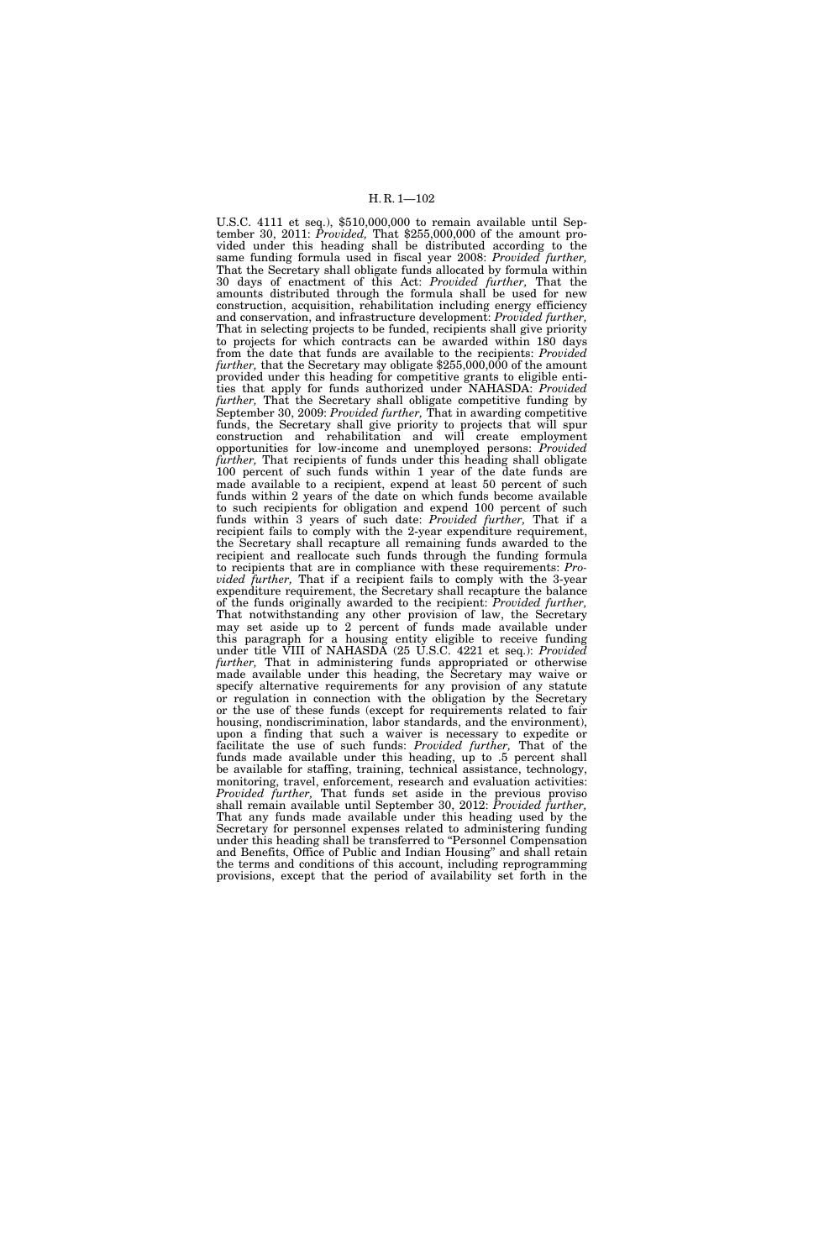U.S.C. 4111 et seq.), \$510,000,000 to remain available until September 30, 2011: *Provided,* That \$255,000,000 of the amount provided under this heading shall be distributed according to the same funding formula used in fiscal year 2008: *Provided further,*  That the Secretary shall obligate funds allocated by formula within 30 days of enactment of this Act: *Provided further,* That the amounts distributed through the formula shall be used for new construction, acquisition, rehabilitation including energy efficiency and conservation, and infrastructure development: *Provided further,*  That in selecting projects to be funded, recipients shall give priority to projects for which contracts can be awarded within 180 days from the date that funds are available to the recipients: *Provided*  further, that the Secretary may obligate \$255,000,000 of the amount provided under this heading for competitive grants to eligible entities that apply for funds authorized under NAHASDA: *Provided further,* That the Secretary shall obligate competitive funding by September 30, 2009: *Provided further,* That in awarding competitive funds, the Secretary shall give priority to projects that will spur construction and rehabilitation and will create employment opportunities for low-income and unemployed persons: *Provided further,* That recipients of funds under this heading shall obligate 100 percent of such funds within 1 year of the date funds are made available to a recipient, expend at least 50 percent of such funds within 2 years of the date on which funds become available to such recipients for obligation and expend 100 percent of such funds within 3 years of such date: *Provided further,* That if a recipient fails to comply with the 2-year expenditure requirement, the Secretary shall recapture all remaining funds awarded to the recipient and reallocate such funds through the funding formula to recipients that are in compliance with these requirements: *Provided further,* That if a recipient fails to comply with the 3-year expenditure requirement, the Secretary shall recapture the balance of the funds originally awarded to the recipient: *Provided further,*  That notwithstanding any other provision of law, the Secretary may set aside up to 2 percent of funds made available under this paragraph for a housing entity eligible to receive funding under title VIII of NAHASDA (25 U.S.C. 4221 et seq.): *Provided further,* That in administering funds appropriated or otherwise made available under this heading, the Secretary may waive or specify alternative requirements for any provision of any statute or regulation in connection with the obligation by the Secretary or the use of these funds (except for requirements related to fair housing, nondiscrimination, labor standards, and the environment), upon a finding that such a waiver is necessary to expedite or facilitate the use of such funds: *Provided further,* That of the funds made available under this heading, up to .5 percent shall be available for staffing, training, technical assistance, technology, monitoring, travel, enforcement, research and evaluation activities: *Provided further,* That funds set aside in the previous proviso shall remain available until September 30, 2012: *Provided further,*  That any funds made available under this heading used by the Secretary for personnel expenses related to administering funding under this heading shall be transferred to ''Personnel Compensation and Benefits, Office of Public and Indian Housing'' and shall retain the terms and conditions of this account, including reprogramming provisions, except that the period of availability set forth in the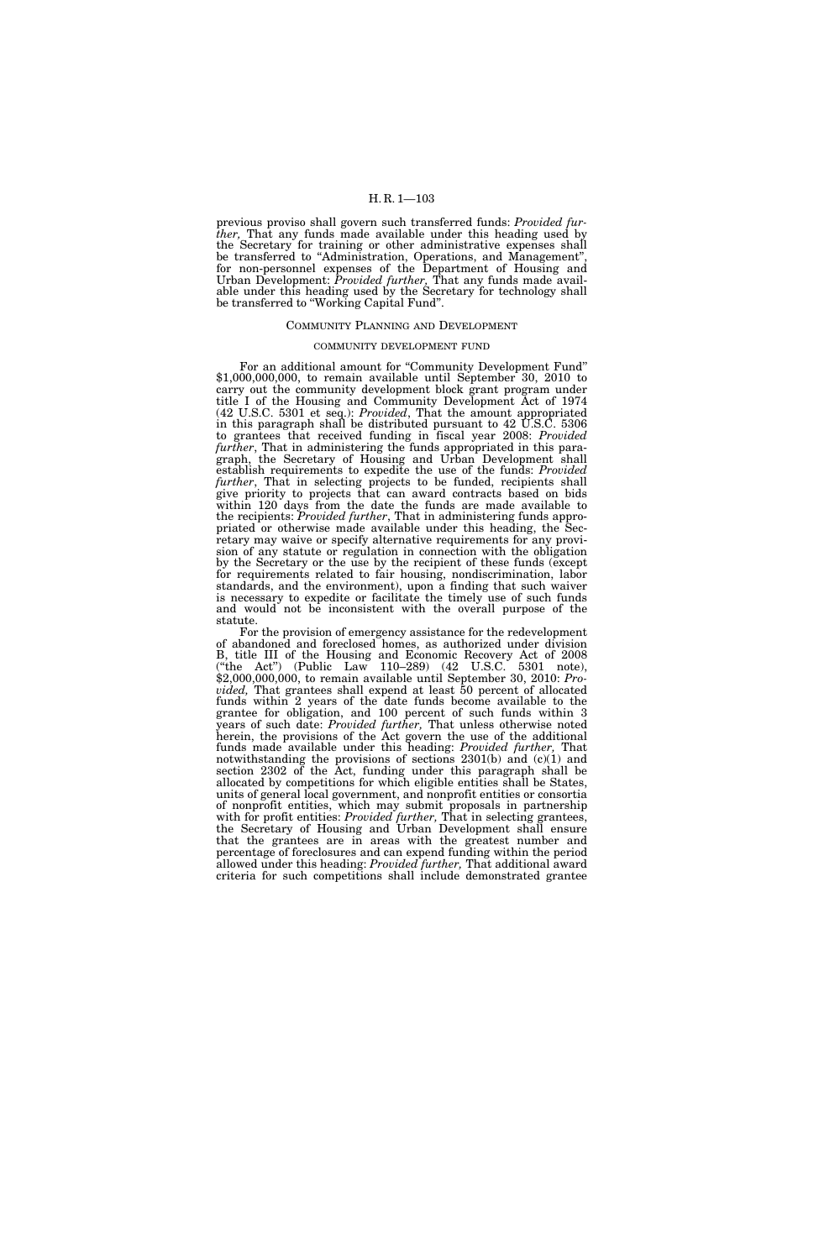previous proviso shall govern such transferred funds: *Provided further,* That any funds made available under this heading used by the Secretary for training or other administrative expenses shall be transferred to "Administration, Operations, and Management", for non-personnel expenses of the Department of Housing and Urban Development: *Provided further,* That any funds made available under this heading used by the Secretary for technology shall be transferred to "Working Capital Fund".

#### COMMUNITY PLANNING AND DEVELOPMENT

#### COMMUNITY DEVELOPMENT FUND

For an additional amount for ''Community Development Fund'' \$1,000,000,000, to remain available until September 30, 2010 to carry out the community development block grant program under title I of the Housing and Community Development Act of 1974 (42 U.S.C. 5301 et seq.): *Provided*, That the amount appropriated in this paragraph shall be distributed pursuant to 42 U.S.C. 5306 to grantees that received funding in fiscal year 2008: *Provided further*, That in administering the funds appropriated in this paragraph, the Secretary of Housing and Urban Development shall establish requirements to expedite the use of the funds: *Provided further*, That in selecting projects to be funded, recipients shall give priority to projects that can award contracts based on bids within 120 days from the date the funds are made available to the recipients: *Provided further*, That in administering funds appropriated or otherwise made available under this heading, the Secretary may waive or specify alternative requirements for any provision of any statute or regulation in connection with the obligation by the Secretary or the use by the recipient of these funds (except for requirements related to fair housing, nondiscrimination, labor standards, and the environment), upon a finding that such waiver is necessary to expedite or facilitate the timely use of such funds and would not be inconsistent with the overall purpose of the statute.

For the provision of emergency assistance for the redevelopment of abandoned and foreclosed homes, as authorized under division B, title III of the Housing and Economic Recovery Act of 2008 (''the Act'') (Public Law 110–289) (42 U.S.C. 5301 note), \$2,000,000,000, to remain available until September 30, 2010: *Provided,* That grantees shall expend at least 50 percent of allocated funds within 2 years of the date funds become available to the grantee for obligation, and 100 percent of such funds within 3 years of such date: *Provided further,* That unless otherwise noted herein, the provisions of the Act govern the use of the additional funds made available under this heading: *Provided further,* That notwithstanding the provisions of sections 2301(b) and (c)(1) and section 2302 of the Act, funding under this paragraph shall be allocated by competitions for which eligible entities shall be States, units of general local government, and nonprofit entities or consortia of nonprofit entities, which may submit proposals in partnership with for profit entities: *Provided further,* That in selecting grantees, the Secretary of Housing and Urban Development shall ensure that the grantees are in areas with the greatest number and percentage of foreclosures and can expend funding within the period allowed under this heading: *Provided further,* That additional award criteria for such competitions shall include demonstrated grantee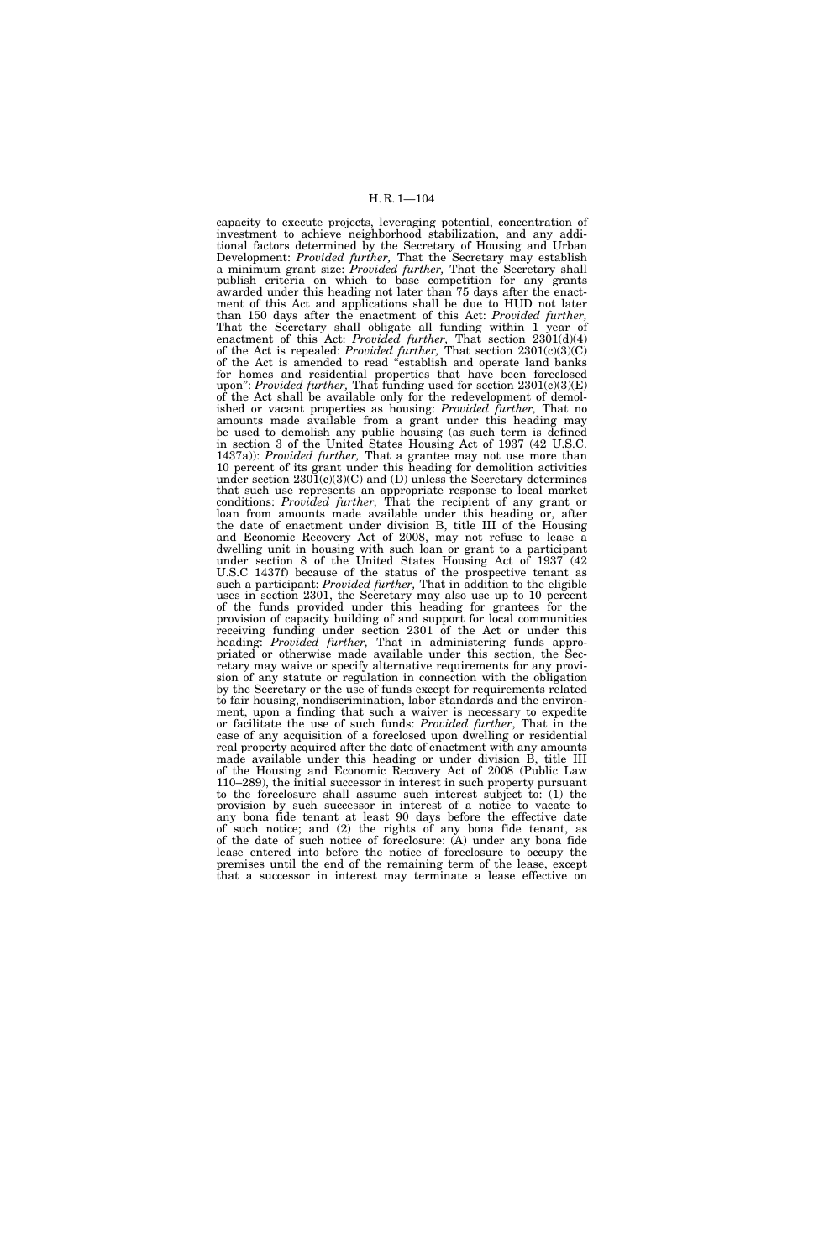capacity to execute projects, leveraging potential, concentration of investment to achieve neighborhood stabilization, and any additional factors determined by the Secretary of Housing and Urban Development: *Provided further,* That the Secretary may establish a minimum grant size: *Provided further,* That the Secretary shall publish criteria on which to base competition for any grants awarded under this heading not later than 75 days after the enactment of this Act and applications shall be due to HUD not later than 150 days after the enactment of this Act: *Provided further,*  That the Secretary shall obligate all funding within 1 year of enactment of this Act: *Provided further,* That section 2301(d)(4) of the Act is repealed: *Provided further,* That section 2301(c)(3)(C) of the Act is amended to read ''establish and operate land banks for homes and residential properties that have been foreclosed upon'': *Provided further,* That funding used for section 2301(c)(3)(E) of the Act shall be available only for the redevelopment of demolished or vacant properties as housing: *Provided further,* That no amounts made available from a grant under this heading may be used to demolish any public housing (as such term is defined in section 3 of the United States Housing Act of 1937 (42 U.S.C. 1437a)): *Provided further,* That a grantee may not use more than 10 percent of its grant under this heading for demolition activities under section  $2301(c)(3)(C)$  and (D) unless the Secretary determines that such use represents an appropriate response to local market conditions: *Provided further,* That the recipient of any grant or loan from amounts made available under this heading or, after the date of enactment under division B, title III of the Housing and Economic Recovery Act of 2008, may not refuse to lease a dwelling unit in housing with such loan or grant to a participant under section 8 of the United States Housing Act of 1937 (42 U.S.C 1437f) because of the status of the prospective tenant as such a participant: *Provided further,* That in addition to the eligible uses in section 2301, the Secretary may also use up to 10 percent of the funds provided under this heading for grantees for the provision of capacity building of and support for local communities receiving funding under section 2301 of the Act or under this heading: *Provided further,* That in administering funds appropriated or otherwise made available under this section, the Secretary may waive or specify alternative requirements for any provision of any statute or regulation in connection with the obligation by the Secretary or the use of funds except for requirements related to fair housing, nondiscrimination, labor standards and the environment, upon a finding that such a waiver is necessary to expedite or facilitate the use of such funds: *Provided further*, That in the case of any acquisition of a foreclosed upon dwelling or residential real property acquired after the date of enactment with any amounts made available under this heading or under division B, title III of the Housing and Economic Recovery Act of 2008 (Public Law 110–289), the initial successor in interest in such property pursuant to the foreclosure shall assume such interest subject to: (1) the provision by such successor in interest of a notice to vacate to any bona fide tenant at least 90 days before the effective date of such notice; and (2) the rights of any bona fide tenant, as of the date of such notice of foreclosure: (A) under any bona fide lease entered into before the notice of foreclosure to occupy the premises until the end of the remaining term of the lease, except that a successor in interest may terminate a lease effective on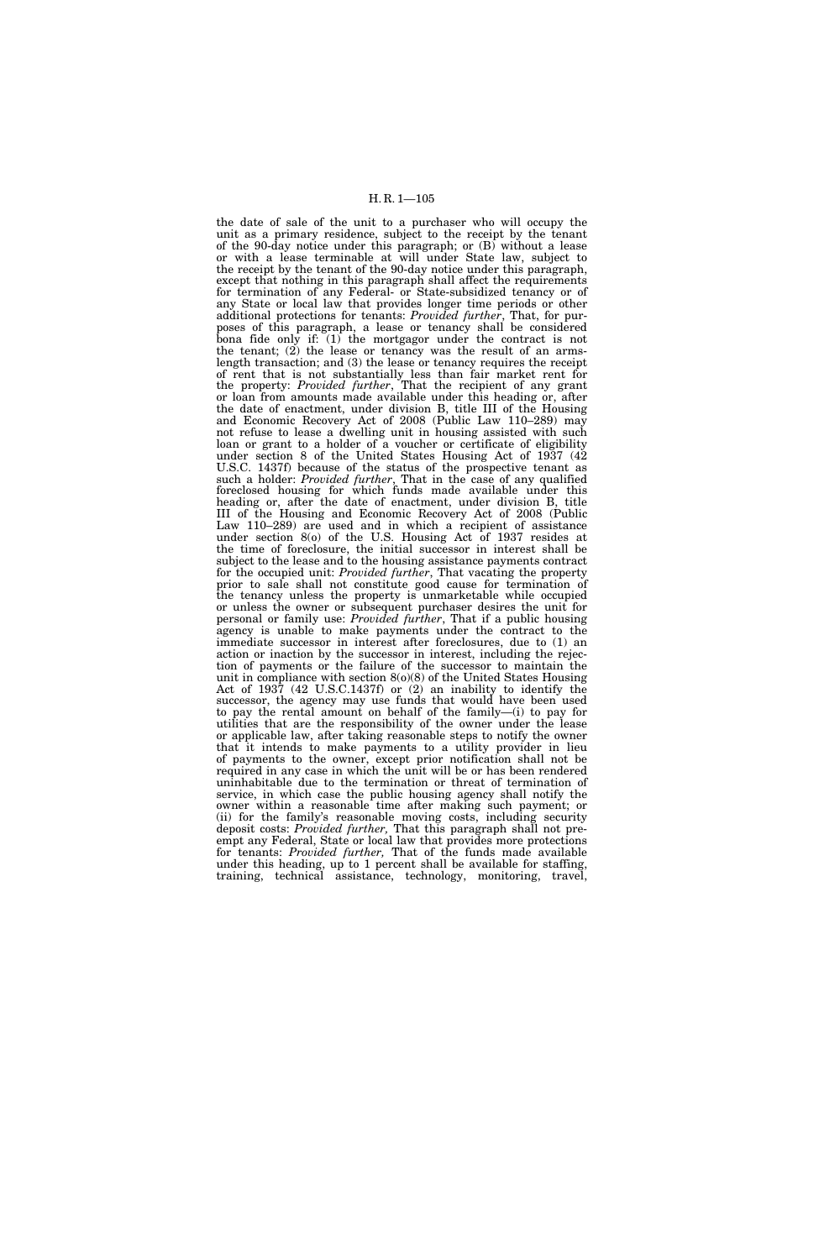the date of sale of the unit to a purchaser who will occupy the unit as a primary residence, subject to the receipt by the tenant of the 90-day notice under this paragraph; or (B) without a lease or with a lease terminable at will under State law, subject to the receipt by the tenant of the 90-day notice under this paragraph, except that nothing in this paragraph shall affect the requirements for termination of any Federal- or State-subsidized tenancy or of any State or local law that provides longer time periods or other additional protections for tenants: *Provided further*, That, for purposes of this paragraph, a lease or tenancy shall be considered bona fide only if: (1) the mortgagor under the contract is not the tenant;  $(2)$  the lease or tenancy was the result of an armslength transaction; and (3) the lease or tenancy requires the receipt of rent that is not substantially less than fair market rent for the property: *Provided further*, That the recipient of any grant or loan from amounts made available under this heading or, after the date of enactment, under division B, title III of the Housing and Economic Recovery Act of 2008 (Public Law 110–289) may not refuse to lease a dwelling unit in housing assisted with such loan or grant to a holder of a voucher or certificate of eligibility under section 8 of the United States Housing Act of 1937 (42 U.S.C. 1437f) because of the status of the prospective tenant as such a holder: *Provided further*, That in the case of any qualified foreclosed housing for which funds made available under this heading or, after the date of enactment, under division B, title III of the Housing and Economic Recovery Act of 2008 (Public Law 110–289) are used and in which a recipient of assistance under section 8(o) of the U.S. Housing Act of 1937 resides at the time of foreclosure, the initial successor in interest shall be subject to the lease and to the housing assistance payments contract for the occupied unit: *Provided further*, That vacating the property prior to sale shall not constitute good cause for termination of the tenancy unless the property is unmarketable while occupied or unless the owner or subsequent purchaser desires the unit for personal or family use: *Provided further*, That if a public housing agency is unable to make payments under the contract to the immediate successor in interest after foreclosures, due to (1) an action or inaction by the successor in interest, including the rejection of payments or the failure of the successor to maintain the unit in compliance with section 8(o)(8) of the United States Housing Act of 1937 (42 U.S.C.1437f) or (2) an inability to identify the successor, the agency may use funds that would have been used to pay the rental amount on behalf of the family—(i) to pay for utilities that are the responsibility of the owner under the lease or applicable law, after taking reasonable steps to notify the owner that it intends to make payments to a utility provider in lieu of payments to the owner, except prior notification shall not be required in any case in which the unit will be or has been rendered uninhabitable due to the termination or threat of termination of service, in which case the public housing agency shall notify the owner within a reasonable time after making such payment; or (ii) for the family's reasonable moving costs, including security deposit costs: *Provided further,* That this paragraph shall not preempt any Federal, State or local law that provides more protections for tenants: *Provided further,* That of the funds made available under this heading, up to 1 percent shall be available for staffing, training, technical assistance, technology, monitoring, travel,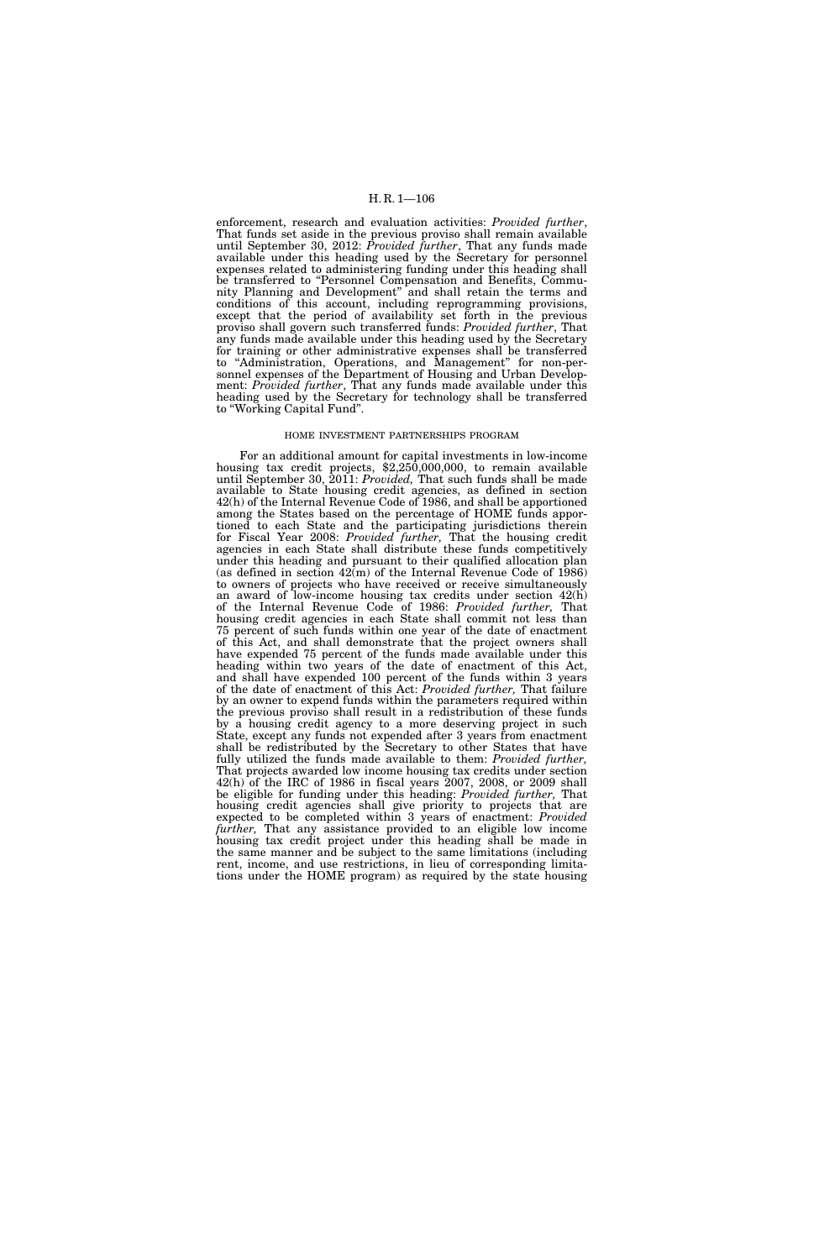enforcement, research and evaluation activities: *Provided further*, That funds set aside in the previous proviso shall remain available until September 30, 2012: *Provided further*, That any funds made available under this heading used by the Secretary for personnel expenses related to administering funding under this heading shall be transferred to "Personnel Compensation and Benefits, Community Planning and Development'' and shall retain the terms and conditions of this account, including reprogramming provisions, except that the period of availability set forth in the previous proviso shall govern such transferred funds: *Provided further*, That any funds made available under this heading used by the Secretary for training or other administrative expenses shall be transferred to ''Administration, Operations, and Management'' for non-personnel expenses of the Department of Housing and Urban Development: *Provided further*, That any funds made available under this heading used by the Secretary for technology shall be transferred to ''Working Capital Fund''.

#### HOME INVESTMENT PARTNERSHIPS PROGRAM

For an additional amount for capital investments in low-income housing tax credit projects, \$2,250,000,000, to remain available until September 30, 2011: *Provided,* That such funds shall be made available to State housing credit agencies, as defined in section 42(h) of the Internal Revenue Code of 1986, and shall be apportioned among the States based on the percentage of HOME funds apportioned to each State and the participating jurisdictions therein for Fiscal Year 2008: *Provided further,* That the housing credit agencies in each State shall distribute these funds competitively under this heading and pursuant to their qualified allocation plan (as defined in section  $42(m)$  of the Internal Revenue Code of 1986) to owners of projects who have received or receive simultaneously an award of low-income housing tax credits under section 42(h) of the Internal Revenue Code of 1986: *Provided further,* That housing credit agencies in each State shall commit not less than 75 percent of such funds within one year of the date of enactment of this Act, and shall demonstrate that the project owners shall have expended 75 percent of the funds made available under this heading within two years of the date of enactment of this Act, and shall have expended 100 percent of the funds within 3 years of the date of enactment of this Act: *Provided further,* That failure by an owner to expend funds within the parameters required within the previous proviso shall result in a redistribution of these funds by a housing credit agency to a more deserving project in such State, except any funds not expended after 3 years from enactment shall be redistributed by the Secretary to other States that have fully utilized the funds made available to them: *Provided further,*  That projects awarded low income housing tax credits under section 42(h) of the IRC of 1986 in fiscal years 2007, 2008, or 2009 shall be eligible for funding under this heading: *Provided further,* That housing credit agencies shall give priority to projects that are expected to be completed within 3 years of enactment: *Provided further,* That any assistance provided to an eligible low income housing tax credit project under this heading shall be made in the same manner and be subject to the same limitations (including rent, income, and use restrictions, in lieu of corresponding limitations under the HOME program) as required by the state housing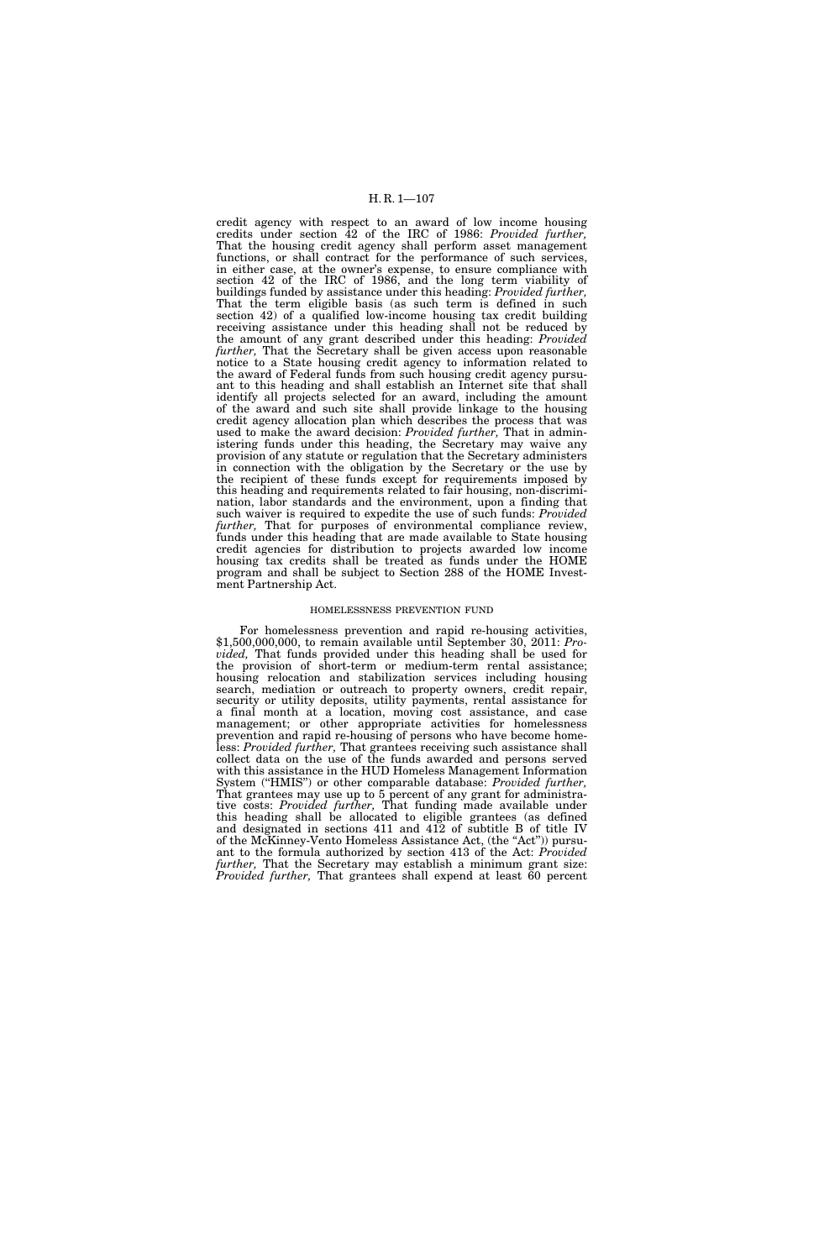credit agency with respect to an award of low income housing credits under section 42 of the IRC of 1986: *Provided further,*  That the housing credit agency shall perform asset management functions, or shall contract for the performance of such services, in either case, at the owner's expense, to ensure compliance with section 42 of the IRC of 1986, and the long term viability of buildings funded by assistance under this heading: *Provided further,*  That the term eligible basis (as such term is defined in such section 42) of a qualified low-income housing tax credit building receiving assistance under this heading shall not be reduced by the amount of any grant described under this heading: *Provided further*, That the Secretary shall be given access upon reasonable notice to a State housing credit agency to information related to the award of Federal funds from such housing credit agency pursuant to this heading and shall establish an Internet site that shall identify all projects selected for an award, including the amount of the award and such site shall provide linkage to the housing credit agency allocation plan which describes the process that was used to make the award decision: *Provided further,* That in administering funds under this heading, the Secretary may waive any provision of any statute or regulation that the Secretary administers in connection with the obligation by the Secretary or the use by the recipient of these funds except for requirements imposed by this heading and requirements related to fair housing, non-discrimination, labor standards and the environment, upon a finding that such waiver is required to expedite the use of such funds: *Provided further,* That for purposes of environmental compliance review, funds under this heading that are made available to State housing credit agencies for distribution to projects awarded low income housing tax credits shall be treated as funds under the HOME program and shall be subject to Section 288 of the HOME Investment Partnership Act.

### HOMELESSNESS PREVENTION FUND

For homelessness prevention and rapid re-housing activities, \$1,500,000,000, to remain available until September 30, 2011: *Provided,* That funds provided under this heading shall be used for the provision of short-term or medium-term rental assistance; housing relocation and stabilization services including housing search, mediation or outreach to property owners, credit repair, security or utility deposits, utility payments, rental assistance for a final month at a location, moving cost assistance, and case management; or other appropriate activities for homelessness prevention and rapid re-housing of persons who have become homeless: *Provided further,* That grantees receiving such assistance shall collect data on the use of the funds awarded and persons served with this assistance in the HUD Homeless Management Information System (''HMIS'') or other comparable database: *Provided further,*  That grantees may use up to 5 percent of any grant for administrative costs: *Provided further,* That funding made available under this heading shall be allocated to eligible grantees (as defined and designated in sections 411 and 412 of subtitle B of title IV of the McKinney-Vento Homeless Assistance Act, (the ''Act'')) pursuant to the formula authorized by section 413 of the Act: *Provided further,* That the Secretary may establish a minimum grant size: *Provided further*, That grantees shall expend at least 60 percent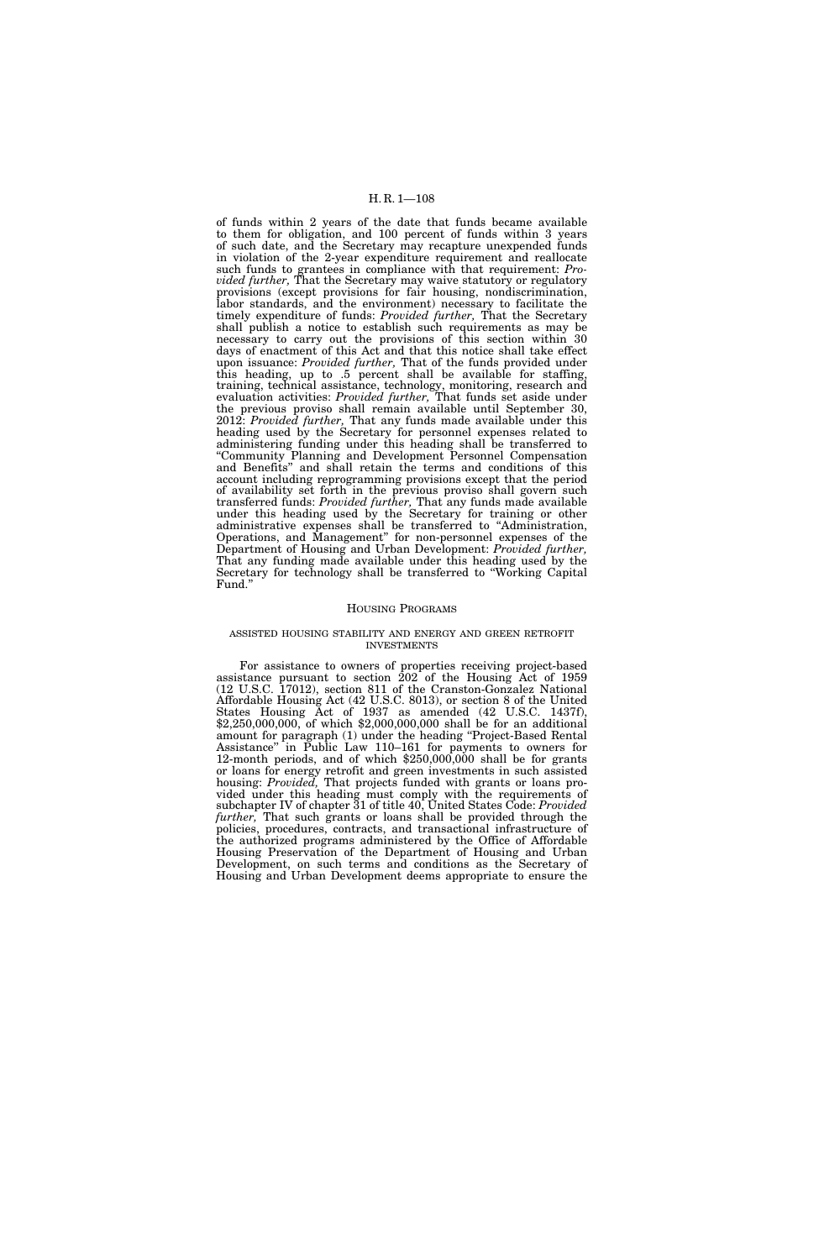of funds within 2 years of the date that funds became available to them for obligation, and 100 percent of funds within 3 years of such date, and the Secretary may recapture unexpended funds in violation of the 2-year expenditure requirement and reallocate such funds to grantees in compliance with that requirement: *Provided further,* That the Secretary may waive statutory or regulatory provisions (except provisions for fair housing, nondiscrimination, labor standards, and the environment) necessary to facilitate the timely expenditure of funds: *Provided further,* That the Secretary shall publish a notice to establish such requirements as may be necessary to carry out the provisions of this section within 30 days of enactment of this Act and that this notice shall take effect upon issuance: *Provided further,* That of the funds provided under this heading, up to .5 percent shall be available for staffing, training, technical assistance, technology, monitoring, research and evaluation activities: *Provided further,* That funds set aside under the previous proviso shall remain available until September 30, 2012: *Provided further,* That any funds made available under this heading used by the Secretary for personnel expenses related to administering funding under this heading shall be transferred to ''Community Planning and Development Personnel Compensation and Benefits'' and shall retain the terms and conditions of this account including reprogramming provisions except that the period of availability set forth in the previous proviso shall govern such transferred funds: *Provided further,* That any funds made available under this heading used by the Secretary for training or other administrative expenses shall be transferred to ''Administration, Operations, and Management'' for non-personnel expenses of the Department of Housing and Urban Development: *Provided further,*  That any funding made available under this heading used by the Secretary for technology shall be transferred to ''Working Capital Fund.''

#### HOUSING PROGRAMS

#### ASSISTED HOUSING STABILITY AND ENERGY AND GREEN RETROFIT INVESTMENTS

For assistance to owners of properties receiving project-based assistance pursuant to section 202 of the Housing Act of 1959 (12 U.S.C. 17012), section 811 of the Cranston-Gonzalez National Affordable Housing Act (42 U.S.C. 8013), or section 8 of the United States Housing Act of 1937 as amended (42 U.S.C. 1437f), \$2,250,000,000, of which \$2,000,000,000 shall be for an additional amount for paragraph (1) under the heading ''Project-Based Rental Assistance'' in Public Law 110–161 for payments to owners for 12-month periods, and of which \$250,000,000 shall be for grants or loans for energy retrofit and green investments in such assisted housing: *Provided,* That projects funded with grants or loans provided under this heading must comply with the requirements of subchapter IV of chapter 31 of title 40, United States Code: *Provided further,* That such grants or loans shall be provided through the policies, procedures, contracts, and transactional infrastructure of the authorized programs administered by the Office of Affordable Housing Preservation of the Department of Housing and Urban Development, on such terms and conditions as the Secretary of Housing and Urban Development deems appropriate to ensure the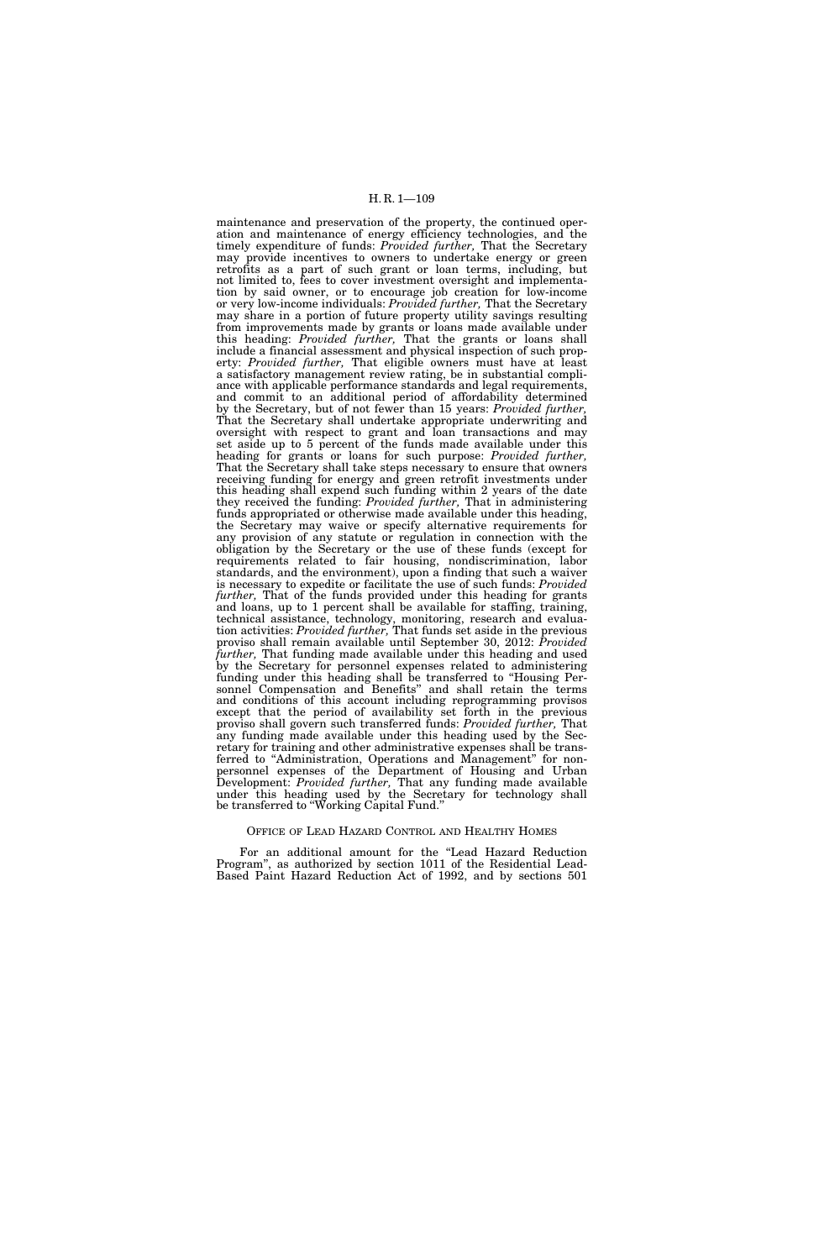maintenance and preservation of the property, the continued operation and maintenance of energy efficiency technologies, and the timely expenditure of funds: *Provided further,* That the Secretary may provide incentives to owners to undertake energy or green retrofits as a part of such grant or loan terms, including, but not limited to, fees to cover investment oversight and implementation by said owner, or to encourage job creation for low-income or very low-income individuals: *Provided further,* That the Secretary may share in a portion of future property utility savings resulting from improvements made by grants or loans made available under this heading: *Provided further,* That the grants or loans shall include a financial assessment and physical inspection of such property: *Provided further,* That eligible owners must have at least a satisfactory management review rating, be in substantial compliance with applicable performance standards and legal requirements, and commit to an additional period of affordability determined by the Secretary, but of not fewer than 15 years: *Provided further,*  That the Secretary shall undertake appropriate underwriting and oversight with respect to grant and loan transactions and may set aside up to 5 percent of the funds made available under this heading for grants or loans for such purpose: *Provided further,*  That the Secretary shall take steps necessary to ensure that owners receiving funding for energy and green retrofit investments under this heading shall expend such funding within 2 years of the date they received the funding: *Provided further,* That in administering funds appropriated or otherwise made available under this heading, the Secretary may waive or specify alternative requirements for any provision of any statute or regulation in connection with the obligation by the Secretary or the use of these funds (except for requirements related to fair housing, nondiscrimination, labor standards, and the environment), upon a finding that such a waiver is necessary to expedite or facilitate the use of such funds: *Provided further*, That of the funds provided under this heading for grants and loans, up to 1 percent shall be available for staffing, training, technical assistance, technology, monitoring, research and evaluation activities: *Provided further,* That funds set aside in the previous proviso shall remain available until September 30, 2012: *Provided further,* That funding made available under this heading and used by the Secretary for personnel expenses related to administering funding under this heading shall be transferred to ''Housing Personnel Compensation and Benefits'' and shall retain the terms and conditions of this account including reprogramming provisos except that the period of availability set forth in the previous proviso shall govern such transferred funds: *Provided further,* That any funding made available under this heading used by the Secretary for training and other administrative expenses shall be transferred to "Administration, Operations and Management" for nonpersonnel expenses of the Department of Housing and Urban Development: *Provided further,* That any funding made available under this heading used by the Secretary for technology shall be transferred to ''Working Capital Fund.''

#### OFFICE OF LEAD HAZARD CONTROL AND HEALTHY HOMES

For an additional amount for the ''Lead Hazard Reduction Program'', as authorized by section 1011 of the Residential Lead-Based Paint Hazard Reduction Act of 1992, and by sections 501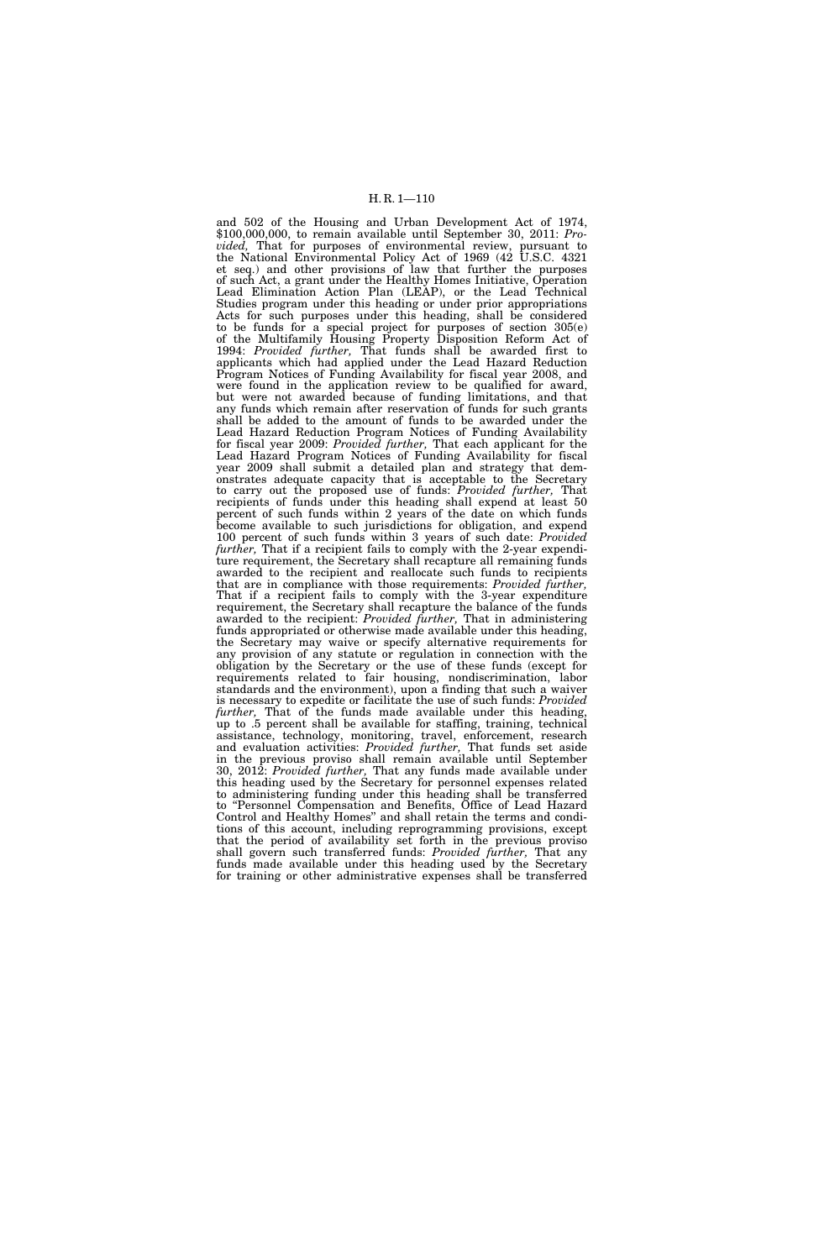and 502 of the Housing and Urban Development Act of 1974, \$100,000,000, to remain available until September 30, 2011: *Provided,* That for purposes of environmental review, pursuant to the National Environmental Policy Act of 1969 (42 U.S.C. 4321 et seq.) and other provisions of law that further the purposes of such Act, a grant under the Healthy Homes Initiative, Operation Lead Elimination Action Plan (LEAP), or the Lead Technical Studies program under this heading or under prior appropriations Acts for such purposes under this heading, shall be considered to be funds for a special project for purposes of section 305(e) of the Multifamily Housing Property Disposition Reform Act of 1994: *Provided further,* That funds shall be awarded first to applicants which had applied under the Lead Hazard Reduction Program Notices of Funding Availability for fiscal year 2008, and were found in the application review to be qualified for award, but were not awarded because of funding limitations, and that any funds which remain after reservation of funds for such grants shall be added to the amount of funds to be awarded under the Lead Hazard Reduction Program Notices of Funding Availability for fiscal year 2009: *Provided further,* That each applicant for the Lead Hazard Program Notices of Funding Availability for fiscal year 2009 shall submit a detailed plan and strategy that demonstrates adequate capacity that is acceptable to the Secretary to carry out the proposed use of funds: *Provided further,* That recipients of funds under this heading shall expend at least 50 percent of such funds within 2 years of the date on which funds become available to such jurisdictions for obligation, and expend 100 percent of such funds within 3 years of such date: *Provided further,* That if a recipient fails to comply with the 2-year expenditure requirement, the Secretary shall recapture all remaining funds awarded to the recipient and reallocate such funds to recipients that are in compliance with those requirements: *Provided further,*  That if a recipient fails to comply with the 3-year expenditure requirement, the Secretary shall recapture the balance of the funds awarded to the recipient: *Provided further,* That in administering funds appropriated or otherwise made available under this heading, the Secretary may waive or specify alternative requirements for any provision of any statute or regulation in connection with the obligation by the Secretary or the use of these funds (except for requirements related to fair housing, nondiscrimination, labor standards and the environment), upon a finding that such a waiver is necessary to expedite or facilitate the use of such funds: *Provided further*, That of the funds made available under this heading, up to .5 percent shall be available for staffing, training, technical assistance, technology, monitoring, travel, enforcement, research and evaluation activities: *Provided further,* That funds set aside in the previous proviso shall remain available until September 30, 2012: *Provided further,* That any funds made available under this heading used by the Secretary for personnel expenses related to administering funding under this heading shall be transferred to ''Personnel Compensation and Benefits, Office of Lead Hazard Control and Healthy Homes'' and shall retain the terms and conditions of this account, including reprogramming provisions, except that the period of availability set forth in the previous proviso shall govern such transferred funds: *Provided further,* That any funds made available under this heading used by the Secretary for training or other administrative expenses shall be transferred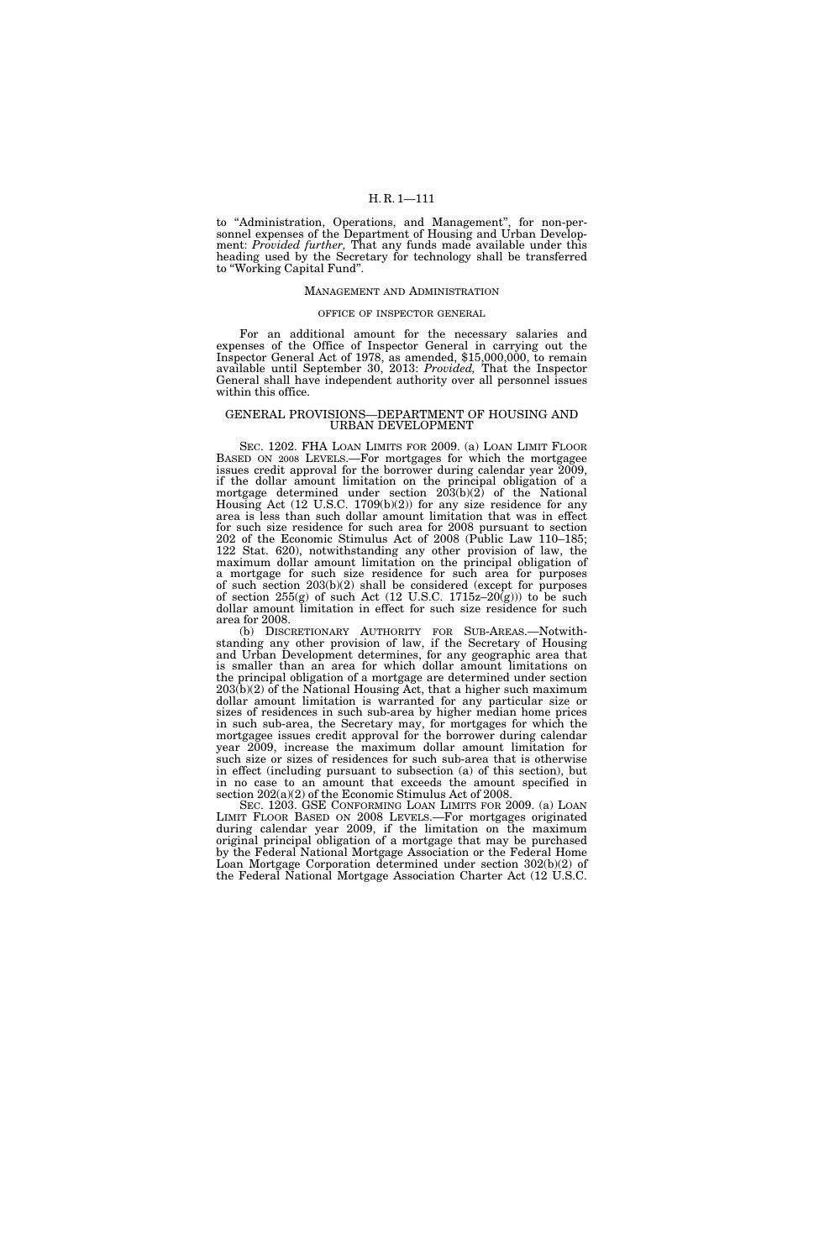to ''Administration, Operations, and Management'', for non-personnel expenses of the Department of Housing and Urban Development: *Provided further,* That any funds made available under this heading used by the Secretary for technology shall be transferred to ''Working Capital Fund''.

### MANAGEMENT AND ADMINISTRATION

#### OFFICE OF INSPECTOR GENERAL

For an additional amount for the necessary salaries and expenses of the Office of Inspector General in carrying out the Inspector General Act of 1978, as amended, \$15,000,000, to remain available until September 30, 2013: *Provided,* That the Inspector General shall have independent authority over all personnel issues within this office.

### GENERAL PROVISIONS—DEPARTMENT OF HOUSING AND URBAN DEVELOPMENT

SEC. 1202. FHA LOAN LIMITS FOR 2009. (a) LOAN LIMIT FLOOR BASED ON 2008 LEVELS.—For mortgages for which the mortgagee issues credit approval for the borrower during calendar year 2009, if the dollar amount limitation on the principal obligation of a mortgage determined under section 203(b)(2) of the National Housing Act (12 U.S.C. 1709(b)(2)) for any size residence for any area is less than such dollar amount limitation that was in effect for such size residence for such area for 2008 pursuant to section 202 of the Economic Stimulus Act of 2008 (Public Law 110–185; 122 Stat. 620), notwithstanding any other provision of law, the maximum dollar amount limitation on the principal obligation of a mortgage for such size residence for such area for purposes of such section 203(b)(2) shall be considered (except for purposes of section  $255(g)$  of such Act  $(12 \text{ U.S.C. } 1715z-20(g))$  to be such dollar amount limitation in effect for such size residence for such area for 2008.

(b) DISCRETIONARY AUTHORITY FOR SUB-AREAS.—Notwithstanding any other provision of law, if the Secretary of Housing and Urban Development determines, for any geographic area that is smaller than an area for which dollar amount limitations on the principal obligation of a mortgage are determined under section  $203(b)(2)$  of the National Housing Act, that a higher such maximum dollar amount limitation is warranted for any particular size or sizes of residences in such sub-area by higher median home prices in such sub-area, the Secretary may, for mortgages for which the mortgagee issues credit approval for the borrower during calendar year 2009, increase the maximum dollar amount limitation for such size or sizes of residences for such sub-area that is otherwise in effect (including pursuant to subsection (a) of this section), but in no case to an amount that exceeds the amount specified in section 202(a)(2) of the Economic Stimulus Act of 2008.

SEC. 1203. GSE CONFORMING LOAN LIMITS FOR 2009. (a) LOAN LIMIT FLOOR BASED ON 2008 LEVELS.—For mortgages originated during calendar year 2009, if the limitation on the maximum original principal obligation of a mortgage that may be purchased by the Federal National Mortgage Association or the Federal Home Loan Mortgage Corporation determined under section 302(b)(2) of the Federal National Mortgage Association Charter Act (12 U.S.C.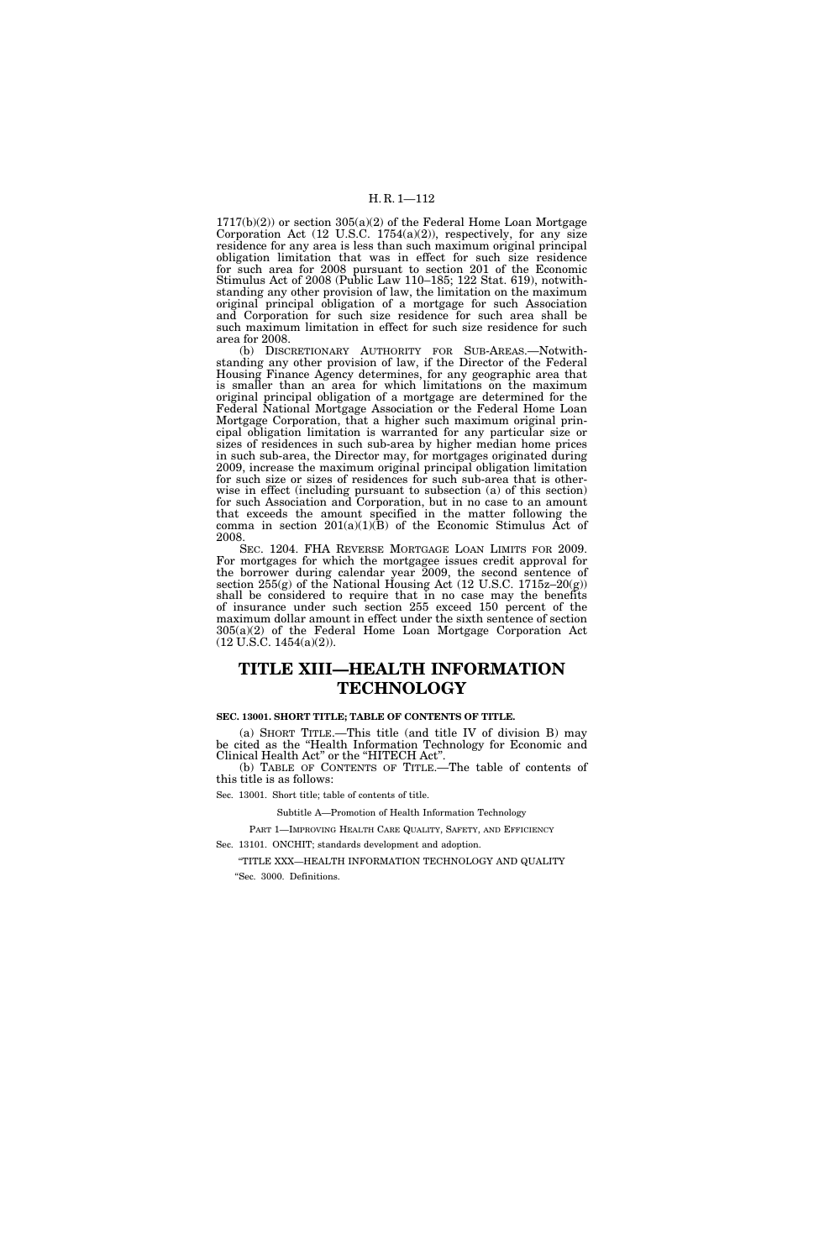$1717(b)(2)$  or section  $305(a)(2)$  of the Federal Home Loan Mortgage Corporation Act  $(12 \text{ U.S.C. } 1754(a)(2))$ , respectively, for any size residence for any area is less than such maximum original principal obligation limitation that was in effect for such size residence for such area for 2008 pursuant to section 201 of the Economic Stimulus Act of 2008 (Public Law 110–185; 122 Stat. 619), notwithstanding any other provision of law, the limitation on the maximum original principal obligation of a mortgage for such Association and Corporation for such size residence for such area shall be such maximum limitation in effect for such size residence for such area for 2008.

(b) DISCRETIONARY AUTHORITY FOR SUB-AREAS.—Notwithstanding any other provision of law, if the Director of the Federal Housing Finance Agency determines, for any geographic area that is smaller than an area for which limitations on the maximum original principal obligation of a mortgage are determined for the Federal National Mortgage Association or the Federal Home Loan Mortgage Corporation, that a higher such maximum original principal obligation limitation is warranted for any particular size or sizes of residences in such sub-area by higher median home prices in such sub-area, the Director may, for mortgages originated during 2009, increase the maximum original principal obligation limitation for such size or sizes of residences for such sub-area that is otherwise in effect (including pursuant to subsection (a) of this section) for such Association and Corporation, but in no case to an amount that exceeds the amount specified in the matter following the comma in section  $201(a)(1)(B)$  of the Economic Stimulus Act of 2008.

SEC. 1204. FHA REVERSE MORTGAGE LOAN LIMITS FOR 2009. For mortgages for which the mortgagee issues credit approval for the borrower during calendar year 2009, the second sentence of section 255(g) of the National Housing Act (12 U.S.C. 1715z–20(g)) shall be considered to require that in no case may the benefits of insurance under such section 255 exceed 150 percent of the maximum dollar amount in effect under the sixth sentence of section 305(a)(2) of the Federal Home Loan Mortgage Corporation Act (12 U.S.C. 1454(a)(2)).

# **TITLE XIII—HEALTH INFORMATION TECHNOLOGY**

#### **SEC. 13001. SHORT TITLE; TABLE OF CONTENTS OF TITLE.**

(a) SHORT TITLE.—This title (and title IV of division B) may be cited as the ''Health Information Technology for Economic and Clinical Health Act'' or the ''HITECH Act''.

(b) TABLE OF CONTENTS OF TITLE.—The table of contents of this title is as follows:

Sec. 13001. Short title; table of contents of title.

Subtitle A—Promotion of Health Information Technology

PART 1—IMPROVING HEALTH CARE QUALITY, SAFETY, AND EFFICIENCY

Sec. 13101. ONCHIT; standards development and adoption.

''TITLE XXX—HEALTH INFORMATION TECHNOLOGY AND QUALITY ''Sec. 3000. Definitions.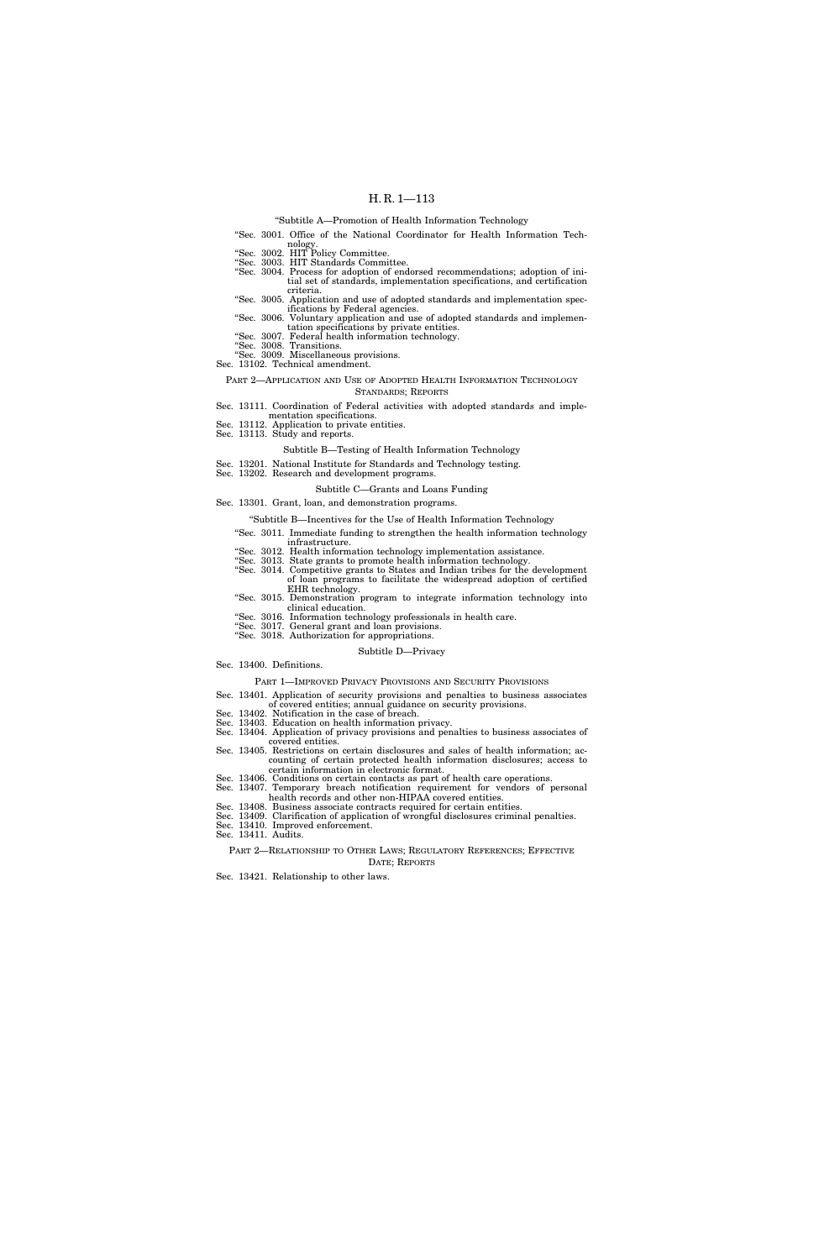### ''Subtitle A—Promotion of Health Information Technology

- ''Sec. 3001. Office of the National Coordinator for Health Information Tech-
- nology. ''Sec. 3002. HIT Policy Committee.
- 
- ''Sec. 3003. HIT Standards Committee. ''Sec. 3004. Process for adoption of endorsed recommendations; adoption of initial set of standards, implementation specifications, and certification criteria.
- ''Sec. 3005. Application and use of adopted standards and implementation spec-
- ifications by Federal agencies. ''Sec. 3006. Voluntary application and use of adopted standards and implementation specifications by private entities. ''Sec. 3007. Federal health information technology.
- 
- ''Sec. 3008. Transitions. ''Sec. 3009. Miscellaneous provisions.
- Sec. 13102. Technical amendment.

#### PART 2—APPLICATION AND USE OF ADOPTED HEALTH INFORMATION TECHNOLOGY STANDARDS; REPORTS

Sec. 13111. Coordination of Federal activities with adopted standards and imple-

- mentation specifications. Sec. 13112. Application to private entities. Sec. 13113. Study and reports.
- 

#### Subtitle B—Testing of Health Information Technology

- Sec. 13201. National Institute for Standards and Technology testing. Sec. 13202. Research and development programs.
	-

#### Subtitle C—Grants and Loans Funding

- Sec. 13301. Grant, loan, and demonstration programs.
	- ''Subtitle B—Incentives for the Use of Health Information Technology
	- ''Sec. 3011. Immediate funding to strengthen the health information technology infrastructure.
	- ''Sec. 3012. Health information technology implementation assistance.
	- ''Sec. 3013. State grants to promote health information technology. ''Sec. 3014. Competitive grants to States and Indian tribes for the development
		- of loan programs to facilitate the widespread adoption of certified
	- EHR technology. ''Sec. 3015. Demonstration program to integrate information technology into clinical education.
	-
	- ''Sec. 3016. Information technology professionals in health care. ''Sec. 3017. General grant and loan provisions.

### ''Sec. 3018. Authorization for appropriations.

#### Subtitle D—Privacy

Sec. 13400. Definitions.

PART 1—IMPROVED PRIVACY PROVISIONS AND SECURITY PROVISIONS

- Sec. 13401. Application of security provisions and penalties to business associates
- of covered entities; annual guidance on security provisions. Sec. 13402. Notification in the case of breach. Sec. 13403. Education on health information privacy.
- 
- 
- Sec. 13404. Application of privacy provisions and penalties to business associates of covered entities. Sec. 13405. Restrictions on certain disclosures and sales of health information; ac-
- counting of certain protected health information disclosures; access to certain information in electronic format.
- Sec. 13406. Conditions on certain contacts as part of health care operations. Sec. 13407. Temporary breach notification requirement for vendors of personal health records and other non-HIPAA covered entities.
- Sec. 13408. Business associate contracts required for certain entities.
- Sec. 13409. Clarification of application of wrongful disclosures criminal penalties.
- Sec. 13410. Improved enforcement. Sec. 13411. Audits.
	- PART 2—RELATIONSHIP TO OTHER LAWS; REGULATORY REFERENCES; EFFECTIVE DATE; REPORTS
- Sec. 13421. Relationship to other laws.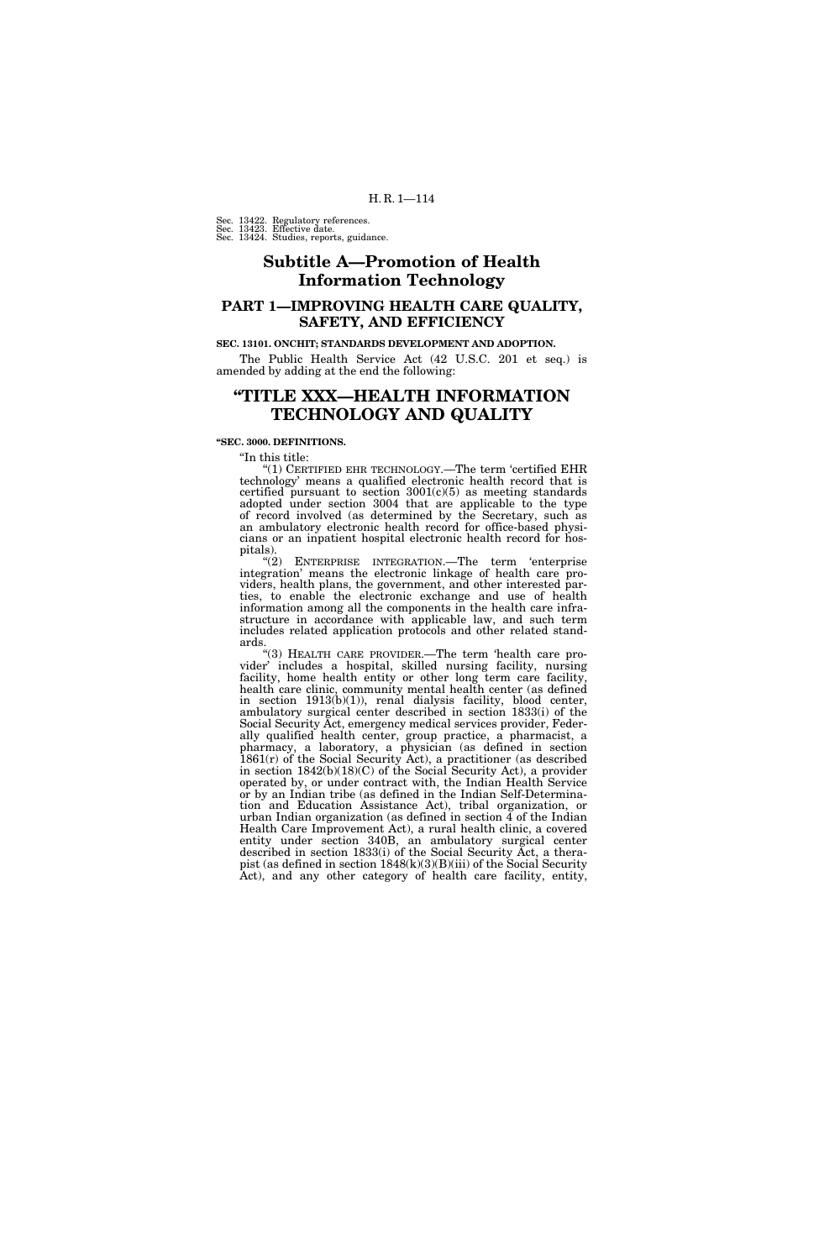Sec. 13422. Regulatory references. Sec. 13423. Effective date. Sec. 13424. Studies, reports, guidance.

# **Subtitle A—Promotion of Health Information Technology**

## **PART 1—IMPROVING HEALTH CARE QUALITY, SAFETY, AND EFFICIENCY**

### **SEC. 13101. ONCHIT; STANDARDS DEVELOPMENT AND ADOPTION.**

The Public Health Service Act (42 U.S.C. 201 et seq.) is amended by adding at the end the following:

## **''TITLE XXX—HEALTH INFORMATION TECHNOLOGY AND QUALITY**

**''SEC. 3000. DEFINITIONS.** 

''In this title:

 $^{\prime\prime}(1)$  CERTIFIED EHR TECHNOLOGY.—The term 'certified EHR technology' means a qualified electronic health record that is certified pursuant to section  $3001(c)(5)$  as meeting standards adopted under section 3004 that are applicable to the type of record involved (as determined by the Secretary, such as an ambulatory electronic health record for office-based physicians or an inpatient hospital electronic health record for hospitals).

"(2) ENTERPRISE INTEGRATION.—The term 'enterprise integration' means the electronic linkage of health care providers, health plans, the government, and other interested parties, to enable the electronic exchange and use of health information among all the components in the health care infrastructure in accordance with applicable law, and such term includes related application protocols and other related standards.

''(3) HEALTH CARE PROVIDER.—The term 'health care provider' includes a hospital, skilled nursing facility, nursing facility, home health entity or other long term care facility, health care clinic, community mental health center (as defined in section 1913(b)(1)), renal dialysis facility, blood center, ambulatory surgical center described in section 1833(i) of the Social Security Act, emergency medical services provider, Federally qualified health center, group practice, a pharmacist, a pharmacy, a laboratory, a physician (as defined in section 1861(r) of the Social Security Act), a practitioner (as described in section 1842(b)(18)(C) of the Social Security Act), a provider operated by, or under contract with, the Indian Health Service or by an Indian tribe (as defined in the Indian Self-Determination and Education Assistance Act), tribal organization, or urban Indian organization (as defined in section  $\overline{4}$  of the Indian Health Care Improvement Act), a rural health clinic, a covered entity under section 340B, an ambulatory surgical center described in section 1833(i) of the Social Security Act, a therapist (as defined in section 1848(k)(3)(B)(iii) of the Social Security Act), and any other category of health care facility, entity,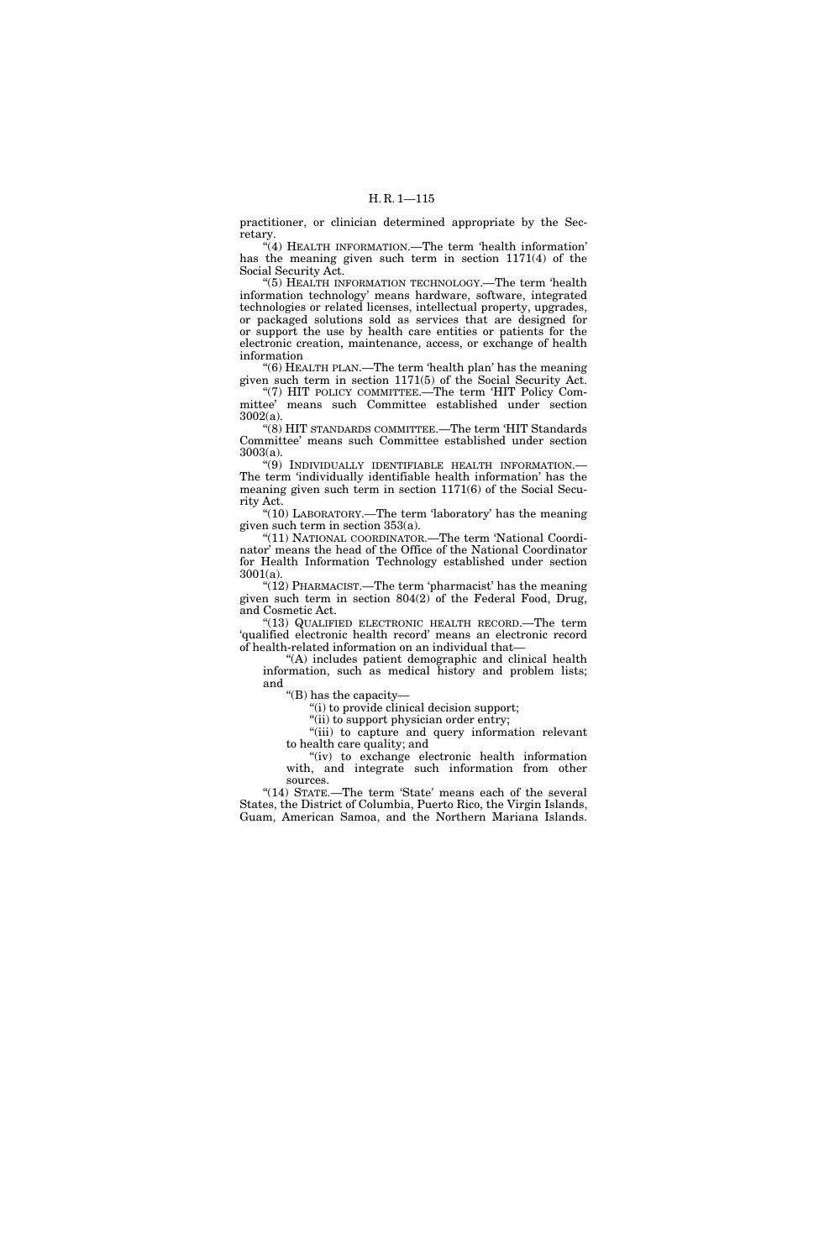practitioner, or clinician determined appropriate by the Secretary.

''(4) HEALTH INFORMATION.—The term 'health information' has the meaning given such term in section 1171(4) of the Social Security Act.

''(5) HEALTH INFORMATION TECHNOLOGY.—The term 'health information technology' means hardware, software, integrated technologies or related licenses, intellectual property, upgrades, or packaged solutions sold as services that are designed for or support the use by health care entities or patients for the electronic creation, maintenance, access, or exchange of health information

''(6) HEALTH PLAN.—The term 'health plan' has the meaning given such term in section 1171(5) of the Social Security Act. "(7) HIT POLICY COMMITTEE.—The term 'HIT Policy Com-

mittee' means such Committee established under section 3002(a). ''(8) HIT STANDARDS COMMITTEE.—The term 'HIT Standards

Committee' means such Committee established under section 3003(a).

''(9) INDIVIDUALLY IDENTIFIABLE HEALTH INFORMATION.— The term 'individually identifiable health information' has the meaning given such term in section 1171(6) of the Social Security Act.

" $(10)$  LABORATORY.—The term 'laboratory' has the meaning given such term in section 353(a).

''(11) NATIONAL COORDINATOR.—The term 'National Coordinator' means the head of the Office of the National Coordinator for Health Information Technology established under section 3001(a).

''(12) PHARMACIST.—The term 'pharmacist' has the meaning given such term in section 804(2) of the Federal Food, Drug, and Cosmetic Act.

''(13) QUALIFIED ELECTRONIC HEALTH RECORD.—The term 'qualified electronic health record' means an electronic record of health-related information on an individual that—

''(A) includes patient demographic and clinical health information, such as medical history and problem lists; and

''(B) has the capacity—

''(i) to provide clinical decision support;

''(ii) to support physician order entry;

''(iii) to capture and query information relevant to health care quality; and

"(iv) to exchange electronic health information with, and integrate such information from other sources.

"(14) STATE.—The term 'State' means each of the several States, the District of Columbia, Puerto Rico, the Virgin Islands, Guam, American Samoa, and the Northern Mariana Islands.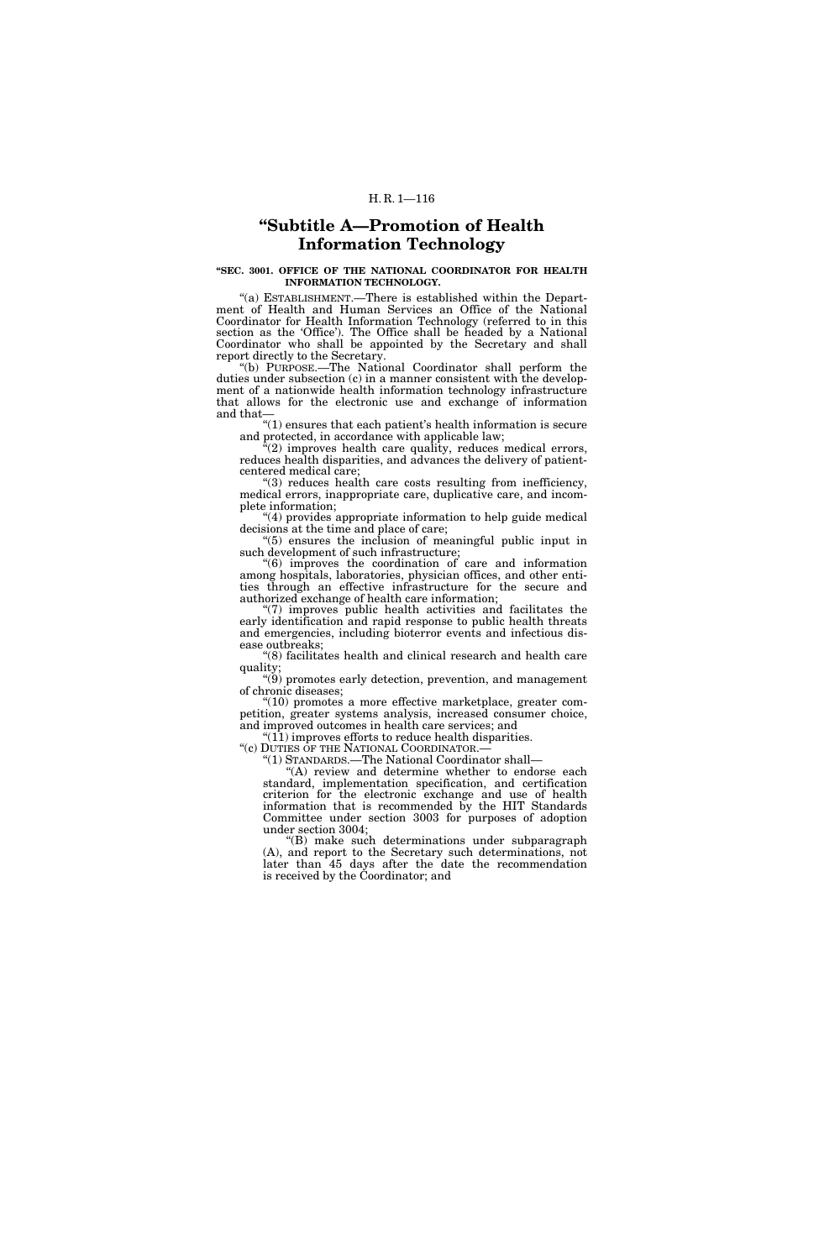# **''Subtitle A—Promotion of Health Information Technology**

### **''SEC. 3001. OFFICE OF THE NATIONAL COORDINATOR FOR HEALTH INFORMATION TECHNOLOGY.**

''(a) ESTABLISHMENT.—There is established within the Department of Health and Human Services an Office of the National Coordinator for Health Information Technology (referred to in this section as the 'Office'). The Office shall be headed by a National Coordinator who shall be appointed by the Secretary and shall report directly to the Secretary.

''(b) PURPOSE.—The National Coordinator shall perform the duties under subsection (c) in a manner consistent with the development of a nationwide health information technology infrastructure that allows for the electronic use and exchange of information and that—

''(1) ensures that each patient's health information is secure and protected, in accordance with applicable law;

 $\sqrt{a}(2)$  improves health care quality, reduces medical errors, reduces health disparities, and advances the delivery of patientcentered medical care;

''(3) reduces health care costs resulting from inefficiency, medical errors, inappropriate care, duplicative care, and incomplete information;

''(4) provides appropriate information to help guide medical decisions at the time and place of care;

''(5) ensures the inclusion of meaningful public input in such development of such infrastructure;

''(6) improves the coordination of care and information among hospitals, laboratories, physician offices, and other entities through an effective infrastructure for the secure and authorized exchange of health care information;

''(7) improves public health activities and facilitates the early identification and rapid response to public health threats and emergencies, including bioterror events and infectious disease outbreaks;

''(8) facilitates health and clinical research and health care quality;

''(9) promotes early detection, prevention, and management of chronic diseases;

''(10) promotes a more effective marketplace, greater competition, greater systems analysis, increased consumer choice, and improved outcomes in health care services; and

"(11) improves efforts to reduce health disparities.<br>"(c) DUTIES OF THE NATIONAL COORDINATOR.—

"(1) STANDARDS.—The National Coordinator shall—

"(A) review and determine whether to endorse each standard, implementation specification, and certification criterion for the electronic exchange and use of health information that is recommended by the HIT Standards Committee under section 3003 for purposes of adoption under section 3004;

''(B) make such determinations under subparagraph (A), and report to the Secretary such determinations, not later than 45 days after the date the recommendation is received by the Coordinator; and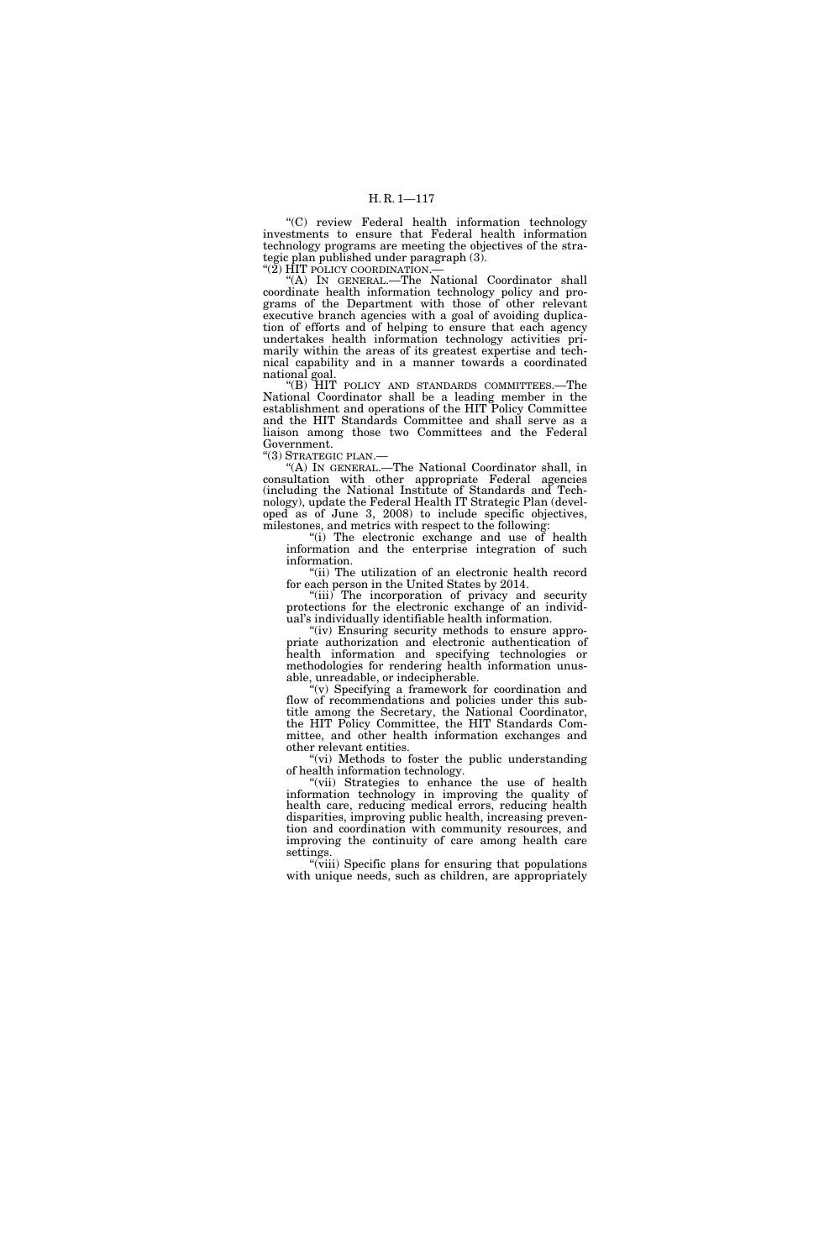''(C) review Federal health information technology investments to ensure that Federal health information technology programs are meeting the objectives of the strategic plan published under paragraph (3).

''(2) HIT POLICY COORDINATION.—

''(A) IN GENERAL.—The National Coordinator shall coordinate health information technology policy and programs of the Department with those of other relevant executive branch agencies with a goal of avoiding duplication of efforts and of helping to ensure that each agency undertakes health information technology activities primarily within the areas of its greatest expertise and technical capability and in a manner towards a coordinated national goal.

''(B) HIT POLICY AND STANDARDS COMMITTEES.—The National Coordinator shall be a leading member in the establishment and operations of the HIT Policy Committee and the HIT Standards Committee and shall serve as a liaison among those two Committees and the Federal Government.

''(3) STRATEGIC PLAN.—

''(A) IN GENERAL.—The National Coordinator shall, in consultation with other appropriate Federal agencies (including the National Institute of Standards and Technology), update the Federal Health IT Strategic Plan (developed as of June 3, 2008) to include specific objectives, milestones, and metrics with respect to the following:

''(i) The electronic exchange and use of health information and the enterprise integration of such information.

''(ii) The utilization of an electronic health record for each person in the United States by 2014.

"(iii) The incorporation of privacy and security protections for the electronic exchange of an individual's individually identifiable health information.

"(iv) Ensuring security methods to ensure appropriate authorization and electronic authentication of health information and specifying technologies or methodologies for rendering health information unusable, unreadable, or indecipherable.

''(v) Specifying a framework for coordination and flow of recommendations and policies under this subtitle among the Secretary, the National Coordinator, the HIT Policy Committee, the HIT Standards Committee, and other health information exchanges and other relevant entities.

"(vi) Methods to foster the public understanding of health information technology.

''(vii) Strategies to enhance the use of health information technology in improving the quality of health care, reducing medical errors, reducing health disparities, improving public health, increasing prevention and coordination with community resources, and improving the continuity of care among health care settings.

"(viii) Specific plans for ensuring that populations with unique needs, such as children, are appropriately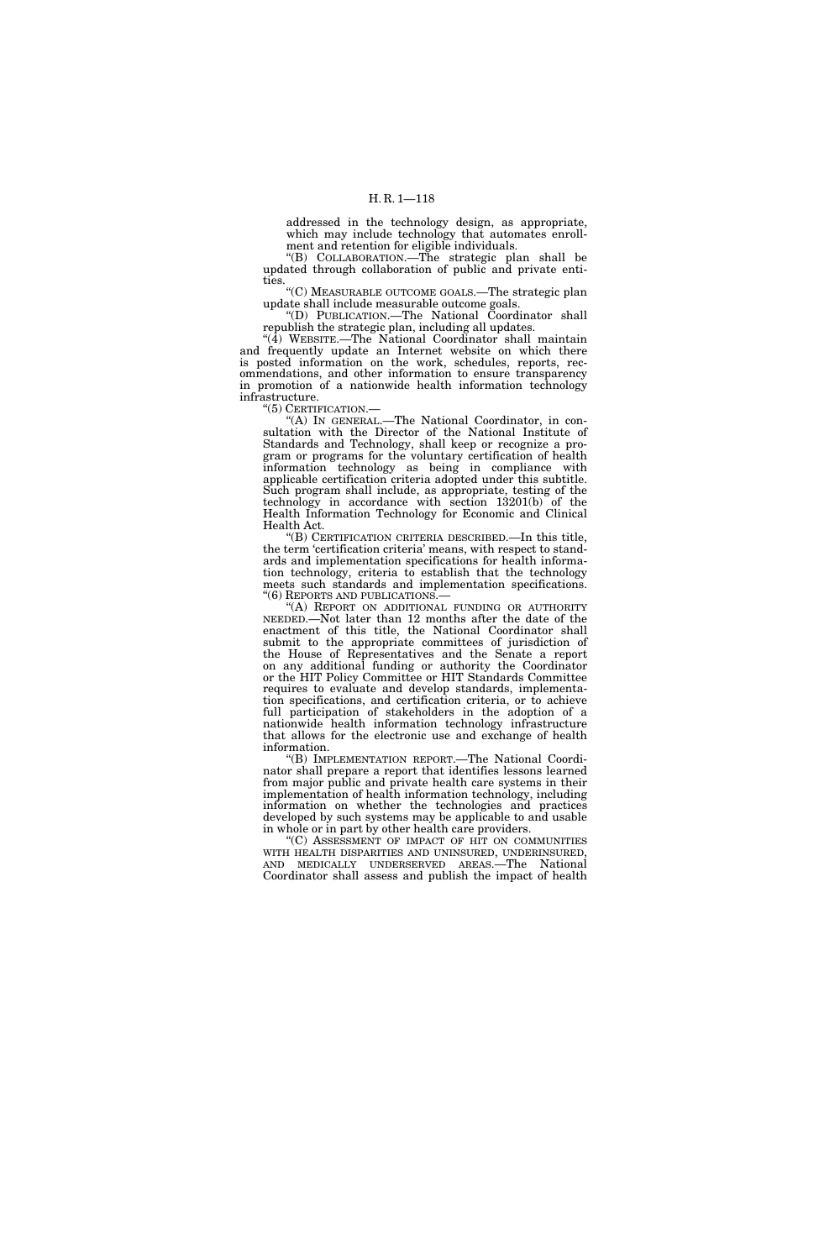addressed in the technology design, as appropriate, which may include technology that automates enrollment and retention for eligible individuals.

''(B) COLLABORATION.—The strategic plan shall be updated through collaboration of public and private entities.

''(C) MEASURABLE OUTCOME GOALS.—The strategic plan update shall include measurable outcome goals.

''(D) PUBLICATION.—The National Coordinator shall republish the strategic plan, including all updates.

 $\sqrt[4]{4}$  WEBSITE.—The National Coordinator shall maintain and frequently update an Internet website on which there is posted information on the work, schedules, reports, recommendations, and other information to ensure transparency in promotion of a nationwide health information technology infrastructure.

''(5) CERTIFICATION.—

''(A) IN GENERAL.—The National Coordinator, in consultation with the Director of the National Institute of Standards and Technology, shall keep or recognize a program or programs for the voluntary certification of health information technology as being in compliance with applicable certification criteria adopted under this subtitle. Such program shall include, as appropriate, testing of the technology in accordance with section 13201(b) of the Health Information Technology for Economic and Clinical Health Act.

''(B) CERTIFICATION CRITERIA DESCRIBED.—In this title, the term 'certification criteria' means, with respect to standards and implementation specifications for health information technology, criteria to establish that the technology meets such standards and implementation specifications.<br>"(6) REPORTS AND PUBLICATIONS.—

"(A) REPORT ON ADDITIONAL FUNDING OR AUTHORITY NEEDED.—Not later than 12 months after the date of the enactment of this title, the National Coordinator shall submit to the appropriate committees of jurisdiction of the House of Representatives and the Senate a report on any additional funding or authority the Coordinator or the HIT Policy Committee or HIT Standards Committee requires to evaluate and develop standards, implementation specifications, and certification criteria, or to achieve full participation of stakeholders in the adoption of a nationwide health information technology infrastructure that allows for the electronic use and exchange of health information.

''(B) IMPLEMENTATION REPORT.—The National Coordinator shall prepare a report that identifies lessons learned from major public and private health care systems in their implementation of health information technology, including information on whether the technologies and practices developed by such systems may be applicable to and usable in whole or in part by other health care providers.

''(C) ASSESSMENT OF IMPACT OF HIT ON COMMUNITIES WITH HEALTH DISPARITIES AND UNINSURED, UNDERINSURED, AND MEDICALLY UNDERSERVED AREAS.—The National Coordinator shall assess and publish the impact of health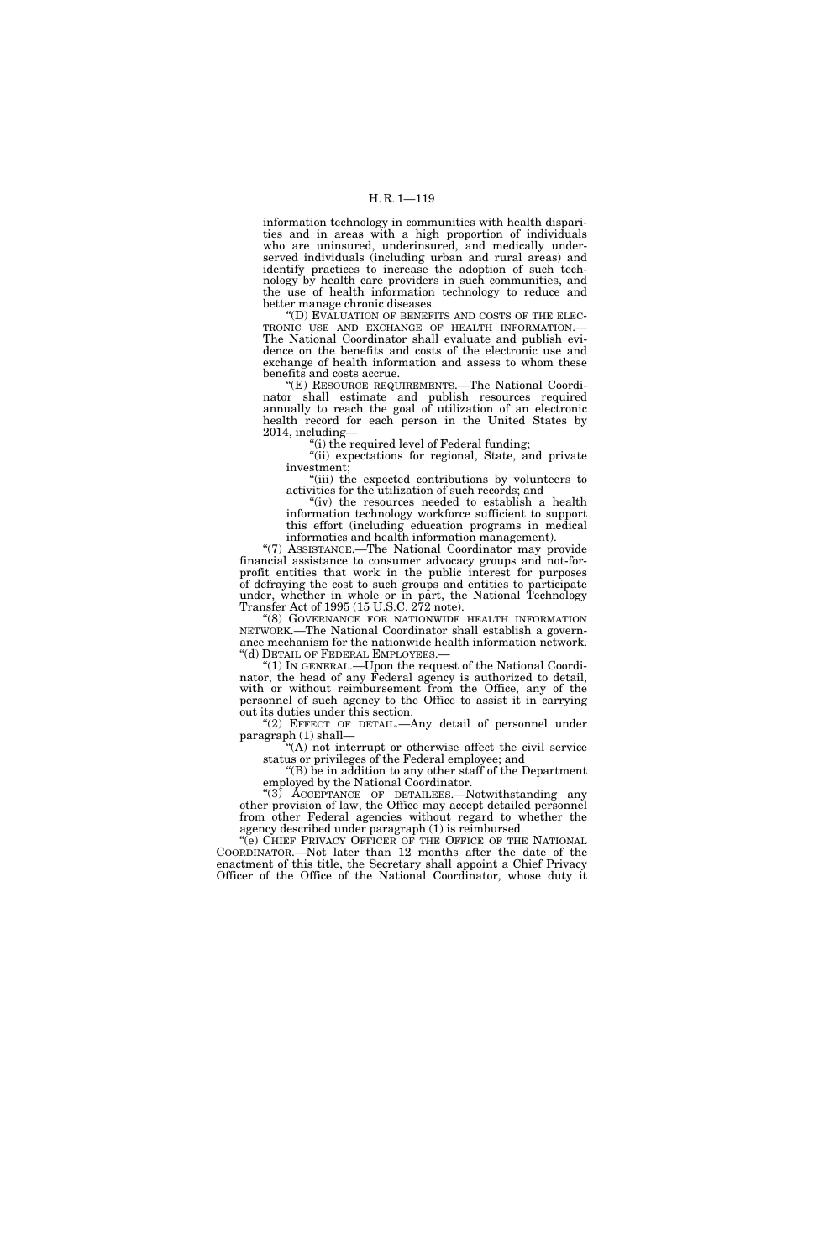information technology in communities with health disparities and in areas with a high proportion of individuals who are uninsured, underinsured, and medically underserved individuals (including urban and rural areas) and identify practices to increase the adoption of such technology by health care providers in such communities, and the use of health information technology to reduce and

better manage chronic diseases.<br>"(D) EVALUATION OF BENEFITS AND COSTS OF THE ELEC-TRONIC USE AND EXCHANGE OF HEALTH INFORMATION.—<br>The National Coordinator shall evaluate and publish evidence on the benefits and costs of the electronic use and exchange of health information and assess to whom these benefits and costs accrue.

''(E) RESOURCE REQUIREMENTS.—The National Coordinator shall estimate and publish resources required annually to reach the goal of utilization of an electronic health record for each person in the United States by 2014, including—

''(i) the required level of Federal funding;

"(ii) expectations for regional, State, and private investment;

"(iii) the expected contributions by volunteers to activities for the utilization of such records; and

"(iv) the resources needed to establish a health" information technology workforce sufficient to support this effort (including education programs in medical informatics and health information management).

"(7) ASSISTANCE.-The National Coordinator may provide financial assistance to consumer advocacy groups and not-forprofit entities that work in the public interest for purposes of defraying the cost to such groups and entities to participate under, whether in whole or in part, the National Technology Transfer Act of 1995 (15 U.S.C. 272 note).

''(8) GOVERNANCE FOR NATIONWIDE HEALTH INFORMATION NETWORK.—The National Coordinator shall establish a governance mechanism for the nationwide health information network.<br>"(d) DETAIL OF FEDERAL EMPLOYEES.—

" $(1)$  In GENERAL.—Upon the request of the National Coordinator, the head of any Federal agency is authorized to detail, with or without reimbursement from the Office, any of the personnel of such agency to the Office to assist it in carrying out its duties under this section.

"(2) EFFECT OF DETAIL.—Any detail of personnel under paragraph (1) shall—

"(A) not interrupt or otherwise affect the civil service status or privileges of the Federal employee; and

''(B) be in addition to any other staff of the Department employed by the National Coordinator.

"(3) ACCEPTANCE OF DETAILEES.—Notwithstanding any other provision of law, the Office may accept detailed personnel from other Federal agencies without regard to whether the agency described under paragraph (1) is reimbursed.

''(e) CHIEF PRIVACY OFFICER OF THE OFFICE OF THE NATIONAL COORDINATOR.—Not later than 12 months after the date of the enactment of this title, the Secretary shall appoint a Chief Privacy Officer of the Office of the National Coordinator, whose duty it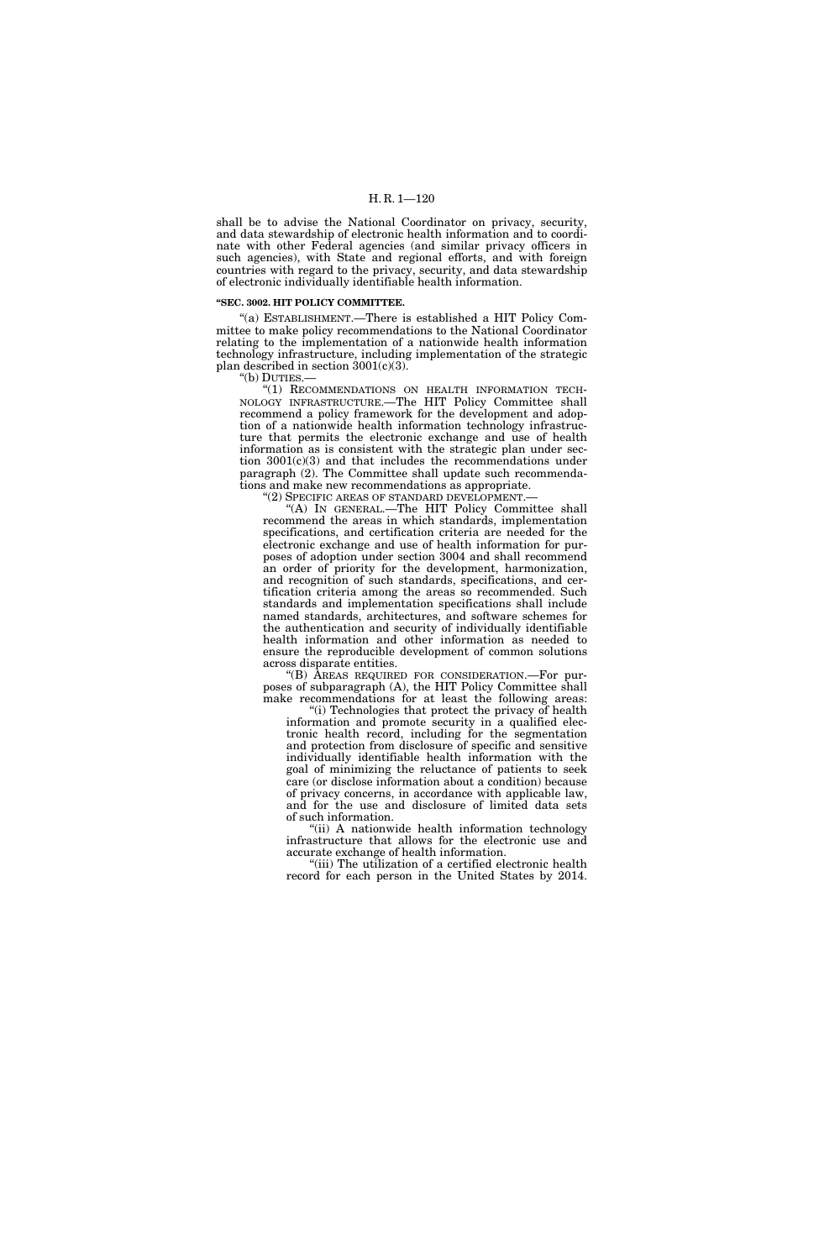shall be to advise the National Coordinator on privacy, security, and data stewardship of electronic health information and to coordinate with other Federal agencies (and similar privacy officers in such agencies), with State and regional efforts, and with foreign countries with regard to the privacy, security, and data stewardship of electronic individually identifiable health information.

#### **''SEC. 3002. HIT POLICY COMMITTEE.**

''(a) ESTABLISHMENT.—There is established a HIT Policy Committee to make policy recommendations to the National Coordinator relating to the implementation of a nationwide health information technology infrastructure, including implementation of the strategic plan described in section  $3001(c)(3)$ .

''(b) DUTIES.—

''(1) RECOMMENDATIONS ON HEALTH INFORMATION TECH-NOLOGY INFRASTRUCTURE.—The HIT Policy Committee shall recommend a policy framework for the development and adoption of a nationwide health information technology infrastructure that permits the electronic exchange and use of health information as is consistent with the strategic plan under section 3001(c)(3) and that includes the recommendations under paragraph (2). The Committee shall update such recommendations and make new recommendations as appropriate. "(2) SPECIFIC AREAS OF STANDARD DEVELOPMENT.-

''(A) IN GENERAL.—The HIT Policy Committee shall recommend the areas in which standards, implementation specifications, and certification criteria are needed for the

electronic exchange and use of health information for purposes of adoption under section 3004 and shall recommend an order of priority for the development, harmonization, and recognition of such standards, specifications, and certification criteria among the areas so recommended. Such standards and implementation specifications shall include named standards, architectures, and software schemes for the authentication and security of individually identifiable health information and other information as needed to ensure the reproducible development of common solutions across disparate entities.

''(B) AREAS REQUIRED FOR CONSIDERATION.—For purposes of subparagraph (A), the HIT Policy Committee shall make recommendations for at least the following areas:

"(i) Technologies that protect the privacy of health information and promote security in a qualified electronic health record, including for the segmentation and protection from disclosure of specific and sensitive individually identifiable health information with the goal of minimizing the reluctance of patients to seek care (or disclose information about a condition) because of privacy concerns, in accordance with applicable law, and for the use and disclosure of limited data sets of such information.

"(ii) A nationwide health information technology infrastructure that allows for the electronic use and accurate exchange of health information.

"(iii) The utilization of a certified electronic health record for each person in the United States by 2014.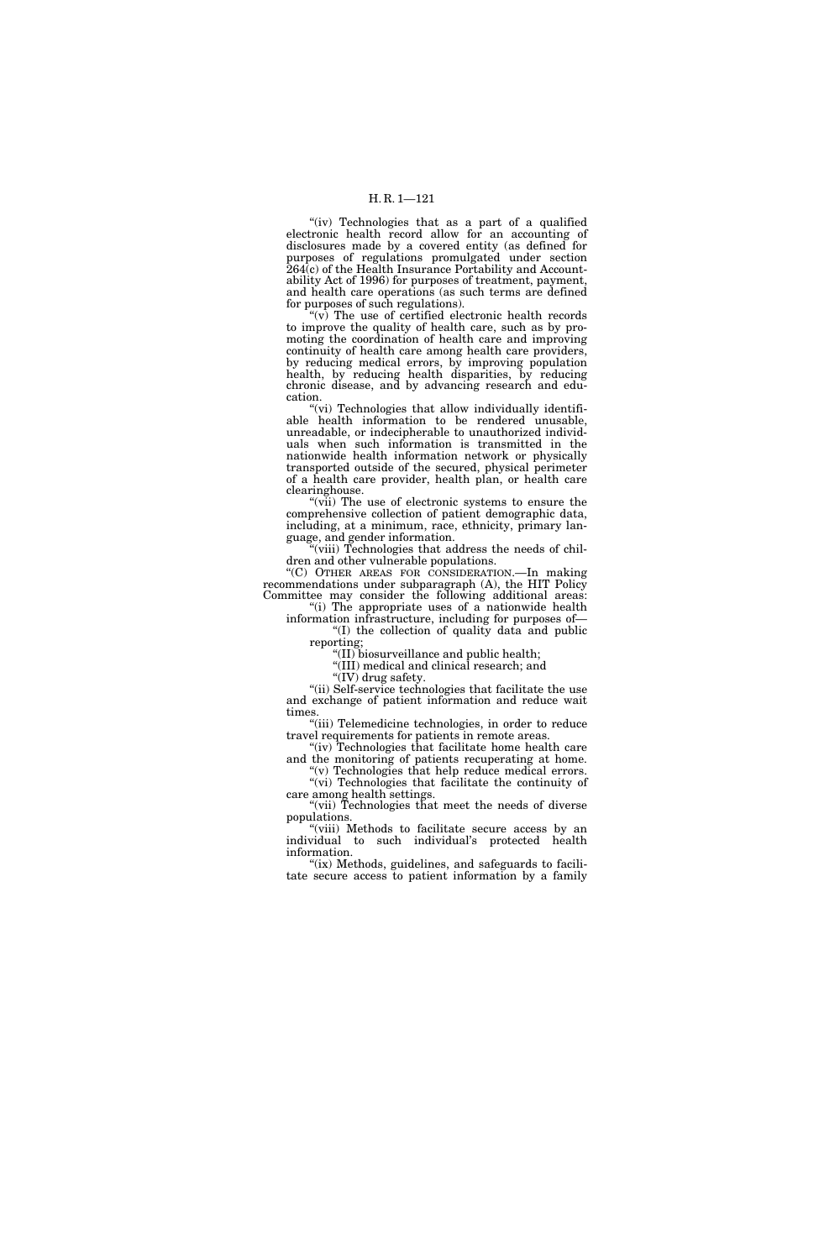"(iv) Technologies that as a part of a qualified electronic health record allow for an accounting of disclosures made by a covered entity (as defined for purposes of regulations promulgated under section 264(c) of the Health Insurance Portability and Accountability Act of 1996) for purposes of treatment, payment, and health care operations (as such terms are defined for purposes of such regulations).

 $(v)$  The use of certified electronic health records to improve the quality of health care, such as by promoting the coordination of health care and improving continuity of health care among health care providers, by reducing medical errors, by improving population health, by reducing health disparities, by reducing chronic disease, and by advancing research and education.

"(vi) Technologies that allow individually identifiable health information to be rendered unusable, unreadable, or indecipherable to unauthorized individuals when such information is transmitted in the nationwide health information network or physically transported outside of the secured, physical perimeter of a health care provider, health plan, or health care clearinghouse.

"(vii) The use of electronic systems to ensure the comprehensive collection of patient demographic data, including, at a minimum, race, ethnicity, primary language, and gender information.

"(viii) Technologies that address the needs of children and other vulnerable populations.

''(C) OTHER AREAS FOR CONSIDERATION.—In making recommendations under subparagraph (A), the HIT Policy Committee may consider the following additional areas:

"(i) The appropriate uses of a nationwide health information infrastructure, including for purposes of— ''(I) the collection of quality data and public

reporting;

''(II) biosurveillance and public health;

''(III) medical and clinical research; and

"(IV) drug safety.

''(ii) Self-service technologies that facilitate the use and exchange of patient information and reduce wait times.

"(iii) Telemedicine technologies, in order to reduce travel requirements for patients in remote areas.

"(iv) Technologies that facilitate home health care and the monitoring of patients recuperating at home. "(v) Technologies that help reduce medical errors.

''(vi) Technologies that facilitate the continuity of care among health settings.

"(vii) Technologies that meet the needs of diverse populations.

"(viii) Methods to facilitate secure access by an individual to such individual's protected health information.

"(ix) Methods, guidelines, and safeguards to facilitate secure access to patient information by a family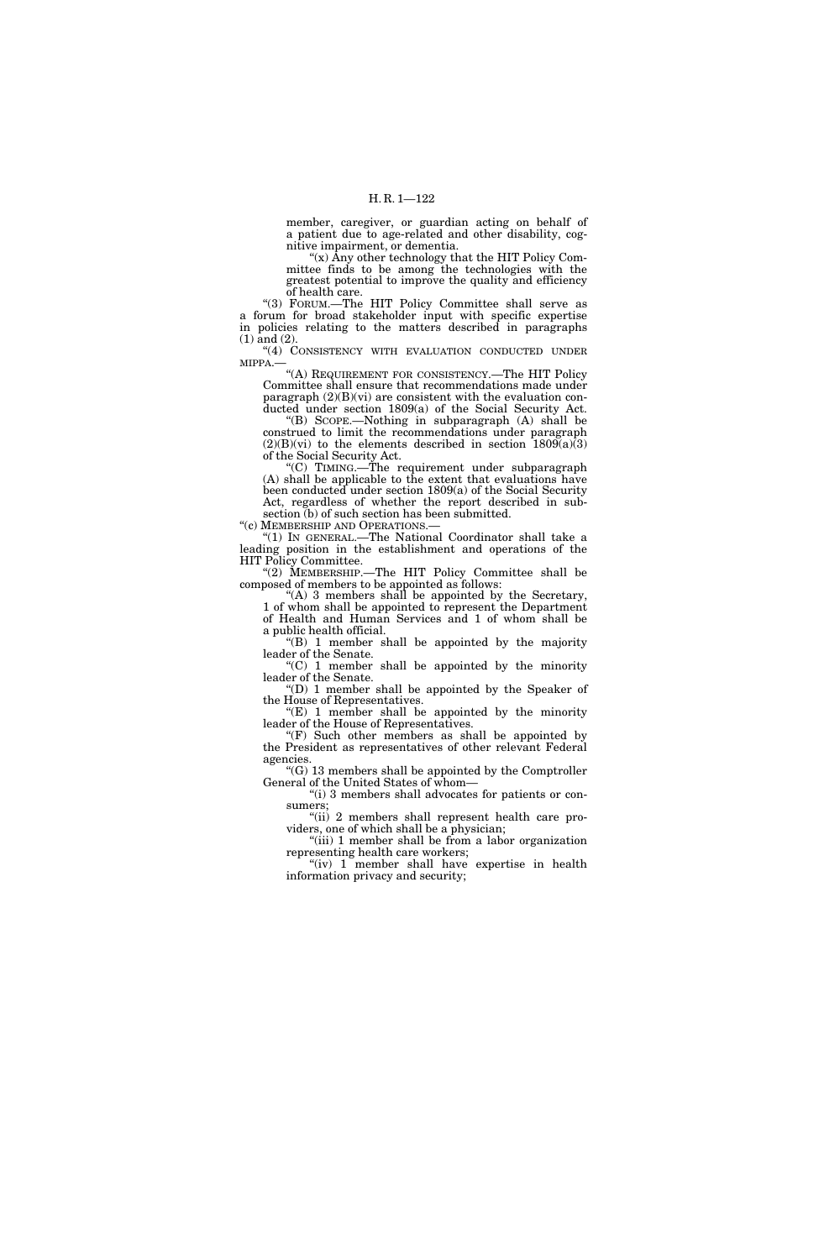member, caregiver, or guardian acting on behalf of a patient due to age-related and other disability, cognitive impairment, or dementia.

''(x) Any other technology that the HIT Policy Committee finds to be among the technologies with the greatest potential to improve the quality and efficiency of health care.

''(3) FORUM.—The HIT Policy Committee shall serve as a forum for broad stakeholder input with specific expertise in policies relating to the matters described in paragraphs (1) and (2).

''(4) CONSISTENCY WITH EVALUATION CONDUCTED UNDER MIPPA.—

''(A) REQUIREMENT FOR CONSISTENCY.—The HIT Policy Committee shall ensure that recommendations made under paragraph (2)(B)(vi) are consistent with the evaluation conducted under section 1809(a) of the Social Security Act.

''(B) SCOPE.—Nothing in subparagraph (A) shall be construed to limit the recommendations under paragraph  $(2)(B)(vi)$  to the elements described in section  $1809(a)\overline{3}$ of the Social Security Act.

''(C) TIMING.—The requirement under subparagraph (A) shall be applicable to the extent that evaluations have been conducted under section 1809(a) of the Social Security Act, regardless of whether the report described in subsection  $(b)$  of such section has been submitted.<br>"(c) MEMBERSHIP AND OPERATIONS.—

"(1) IN GENERAL.—The National Coordinator shall take a leading position in the establishment and operations of the HIT Policy Committee.

"(2) MEMBERSHIP.—The HIT Policy Committee shall be composed of members to be appointed as follows:

"(A) 3 members shall be appointed by the Secretary, 1 of whom shall be appointed to represent the Department of Health and Human Services and 1 of whom shall be a public health official.

''(B) 1 member shall be appointed by the majority leader of the Senate.

 $(C)$  1 member shall be appointed by the minority leader of the Senate.

''(D) 1 member shall be appointed by the Speaker of the House of Representatives.

''(E) 1 member shall be appointed by the minority leader of the House of Representatives.

 $F(F)$  Such other members as shall be appointed by the President as representatives of other relevant Federal agencies.

''(G) 13 members shall be appointed by the Comptroller General of the United States of whom—

"(i) 3 members shall advocates for patients or consumers;

"(ii) 2 members shall represent health care providers, one of which shall be a physician;

"(iii) 1 member shall be from a labor organization representing health care workers;

"(iv) 1 member shall have expertise in health information privacy and security;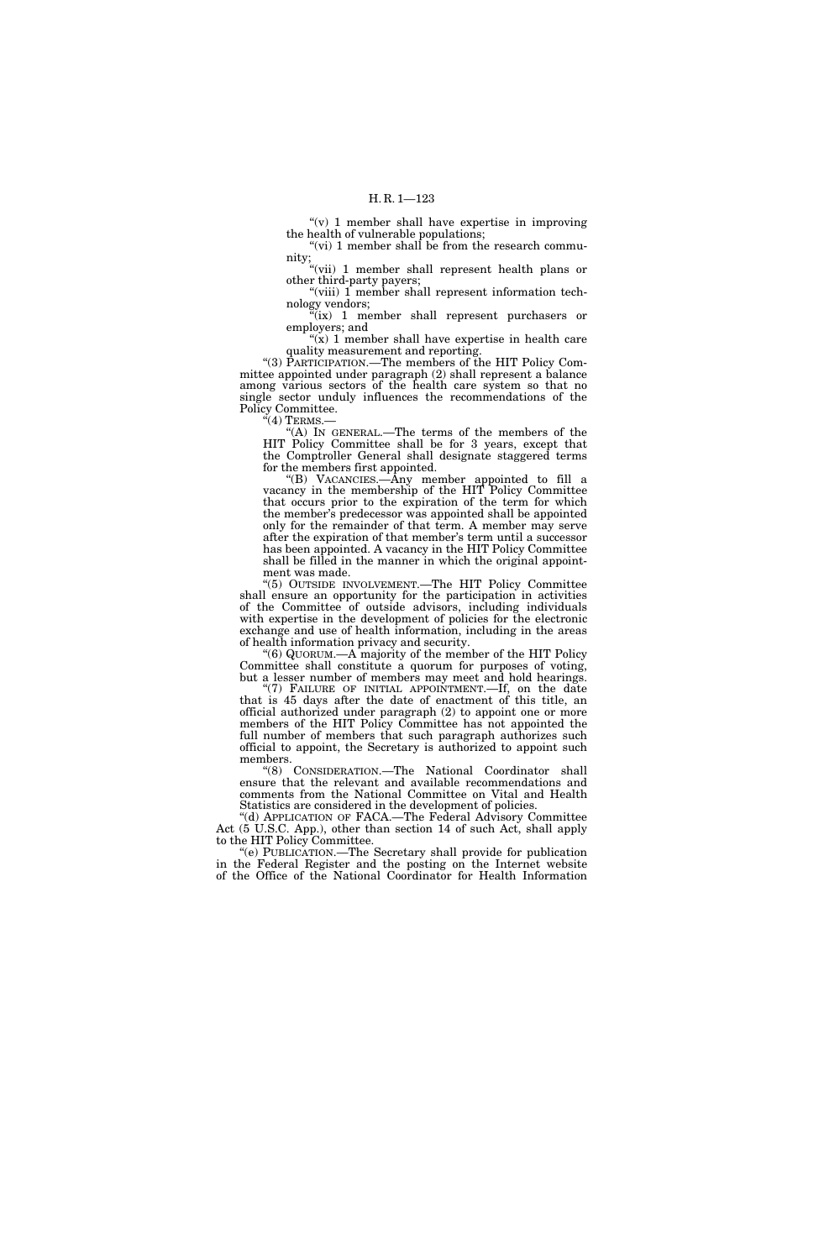" $(v)$  1 member shall have expertise in improving the health of vulnerable populations; "(vi) 1 member shall be from the research commu-

nity; "(vii) 1 member shall represent health plans or other third-party payers;

"(viii) 1 member shall represent information technology vendors;

 $\sqrt[n]{i}$  (ix) 1 member shall represent purchasers or employers; and

" $(x)$  1 member shall have expertise in health care quality measurement and reporting.

"(3) PARTICIPATION.—The members of the HIT Policy Committee appointed under paragraph (2) shall represent a balance among various sectors of the health care system so that no single sector unduly influences the recommendations of the Policy Committee.

 $\cdot \cdot (4)$  Terms.-

''(A) IN GENERAL.—The terms of the members of the HIT Policy Committee shall be for 3 years, except that the Comptroller General shall designate staggered terms for the members first appointed.

''(B) VACANCIES.—Any member appointed to fill a vacancy in the membership of the HIT Policy Committee that occurs prior to the expiration of the term for which the member's predecessor was appointed shall be appointed only for the remainder of that term. A member may serve after the expiration of that member's term until a successor has been appointed. A vacancy in the HIT Policy Committee shall be filled in the manner in which the original appointment was made.

''(5) OUTSIDE INVOLVEMENT.—The HIT Policy Committee shall ensure an opportunity for the participation in activities of the Committee of outside advisors, including individuals with expertise in the development of policies for the electronic exchange and use of health information, including in the areas of health information privacy and security.

''(6) QUORUM.—A majority of the member of the HIT Policy Committee shall constitute a quorum for purposes of voting, but a lesser number of members may meet and hold hearings.

"(7) FAILURE OF INITIAL APPOINTMENT.—If, on the date that is 45 days after the date of enactment of this title, an official authorized under paragraph (2) to appoint one or more members of the HIT Policy Committee has not appointed the full number of members that such paragraph authorizes such official to appoint, the Secretary is authorized to appoint such members.

''(8) CONSIDERATION.—The National Coordinator shall ensure that the relevant and available recommendations and comments from the National Committee on Vital and Health Statistics are considered in the development of policies.

''(d) APPLICATION OF FACA.—The Federal Advisory Committee Act (5 U.S.C. App.), other than section 14 of such Act, shall apply to the HIT Policy Committee.

''(e) PUBLICATION.—The Secretary shall provide for publication in the Federal Register and the posting on the Internet website of the Office of the National Coordinator for Health Information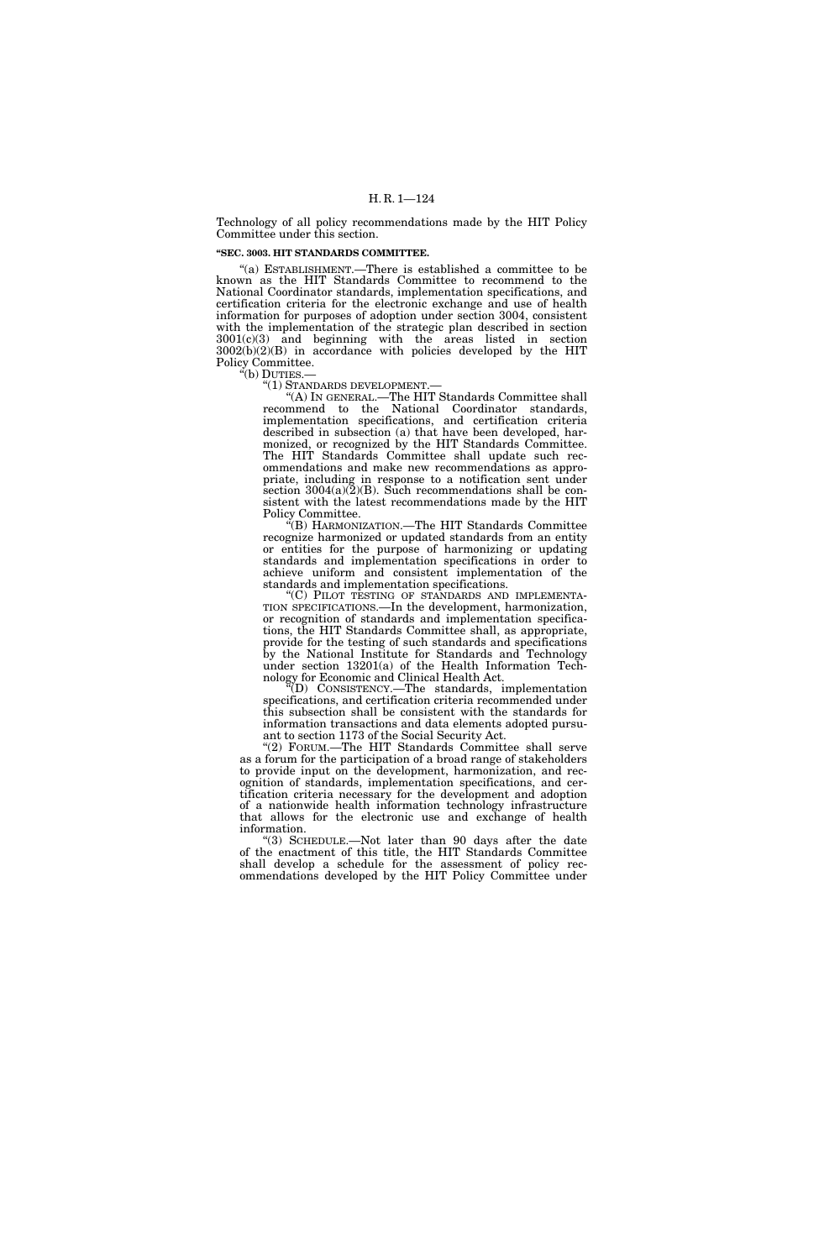Technology of all policy recommendations made by the HIT Policy Committee under this section.

### **''SEC. 3003. HIT STANDARDS COMMITTEE.**

''(a) ESTABLISHMENT.—There is established a committee to be known as the HIT Standards Committee to recommend to the National Coordinator standards, implementation specifications, and certification criteria for the electronic exchange and use of health information for purposes of adoption under section 3004, consistent with the implementation of the strategic plan described in section 3001(c)(3) and beginning with the areas listed in section  $3002(b)(2)(B)$  in accordance with policies developed by the HIT Policy Committee.

''(b) DUTIES.—

''(1) STANDARDS DEVELOPMENT.—

''(A) IN GENERAL.—The HIT Standards Committee shall recommend to the National Coordinator standards, implementation specifications, and certification criteria described in subsection (a) that have been developed, harmonized, or recognized by the HIT Standards Committee. The HIT Standards Committee shall update such recommendations and make new recommendations as appropriate, including in response to a notification sent under section  $3004(a)(2)(B)$ . Such recommendations shall be consistent with the latest recommendations made by the HIT Policy Committee.

 $E(E)$  HARMONIZATION.—The HIT Standards Committee recognize harmonized or updated standards from an entity or entities for the purpose of harmonizing or updating standards and implementation specifications in order to achieve uniform and consistent implementation of the

standards and implementation specifications.<br>"(C) PILOT TESTING OF STANDARDS AND IMPLEMENTA-TION SPECIFICATIONS.—In the development, harmonization, or recognition of standards and implementation specifications, the HIT Standards Committee shall, as appropriate, provide for the testing of such standards and specifications by the National Institute for Standards and Technology under section 13201(a) of the Health Information Technology for Economic and Clinical Health Act.

''(D) CONSISTENCY.—The standards, implementation specifications, and certification criteria recommended under this subsection shall be consistent with the standards for information transactions and data elements adopted pursuant to section 1173 of the Social Security Act.

''(2) FORUM.—The HIT Standards Committee shall serve as a forum for the participation of a broad range of stakeholders to provide input on the development, harmonization, and recognition of standards, implementation specifications, and certification criteria necessary for the development and adoption of a nationwide health information technology infrastructure that allows for the electronic use and exchange of health information.

''(3) SCHEDULE.—Not later than 90 days after the date of the enactment of this title, the HIT Standards Committee shall develop a schedule for the assessment of policy recommendations developed by the HIT Policy Committee under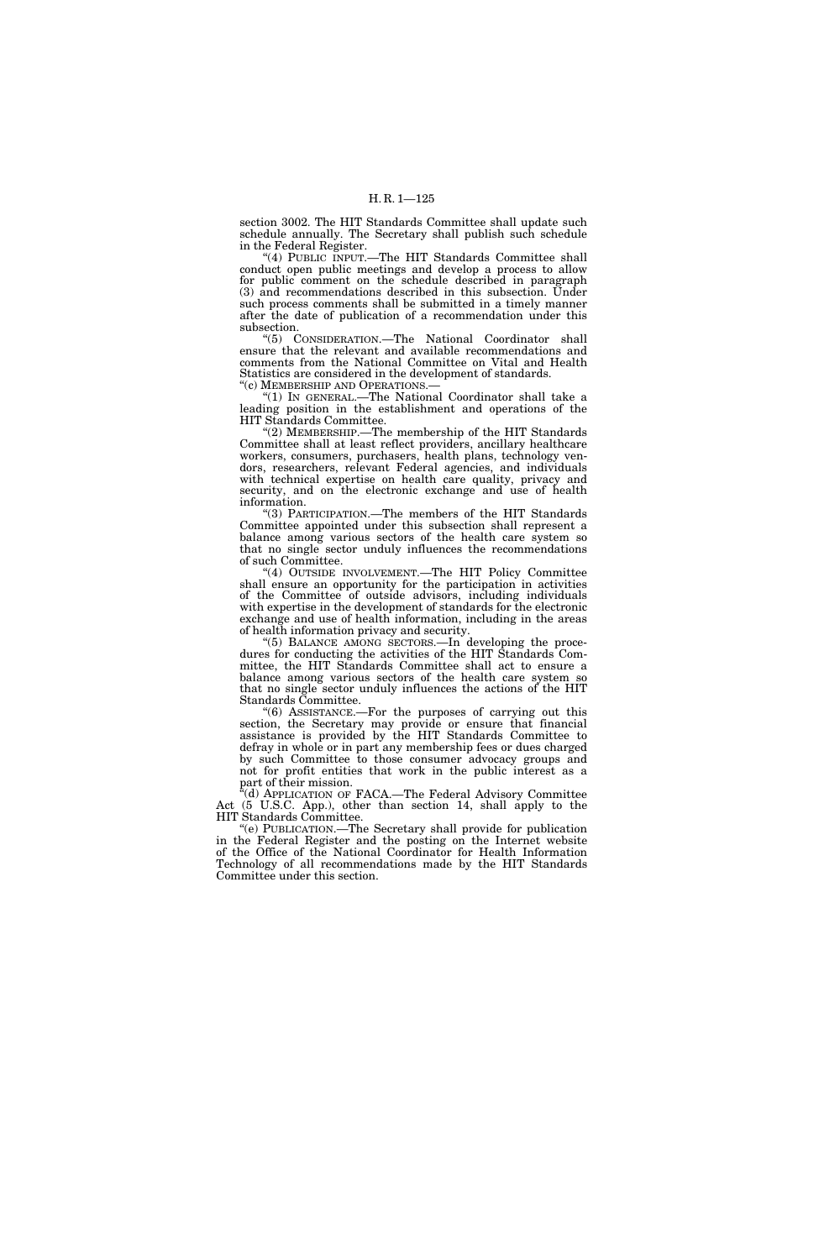section 3002. The HIT Standards Committee shall update such schedule annually. The Secretary shall publish such schedule in the Federal Register.

''(4) PUBLIC INPUT.—The HIT Standards Committee shall conduct open public meetings and develop a process to allow for public comment on the schedule described in paragraph (3) and recommendations described in this subsection. Under such process comments shall be submitted in a timely manner after the date of publication of a recommendation under this subsection.

''(5) CONSIDERATION.—The National Coordinator shall ensure that the relevant and available recommendations and comments from the National Committee on Vital and Health Statistics are considered in the development of standards. ''(c) MEMBERSHIP AND OPERATIONS.—

''(1) IN GENERAL.—The National Coordinator shall take a leading position in the establishment and operations of the HIT Standards Committee.

"(2) MEMBERSHIP.—The membership of the HIT Standards Committee shall at least reflect providers, ancillary healthcare workers, consumers, purchasers, health plans, technology vendors, researchers, relevant Federal agencies, and individuals with technical expertise on health care quality, privacy and security, and on the electronic exchange and use of health information.

''(3) PARTICIPATION.—The members of the HIT Standards Committee appointed under this subsection shall represent a balance among various sectors of the health care system so that no single sector unduly influences the recommendations of such Committee.

"(4) OUTSIDE INVOLVEMENT.—The HIT Policy Committee shall ensure an opportunity for the participation in activities of the Committee of outside advisors, including individuals with expertise in the development of standards for the electronic exchange and use of health information, including in the areas of health information privacy and security.

''(5) BALANCE AMONG SECTORS.—In developing the procedures for conducting the activities of the HIT Standards Committee, the HIT Standards Committee shall act to ensure a balance among various sectors of the health care system so that no single sector unduly influences the actions of the HIT Standards Committee.

''(6) ASSISTANCE.—For the purposes of carrying out this section, the Secretary may provide or ensure that financial assistance is provided by the HIT Standards Committee to defray in whole or in part any membership fees or dues charged by such Committee to those consumer advocacy groups and not for profit entities that work in the public interest as a part of their mission.

<sup>a</sup>(d) APPLICATION OF FACA.—The Federal Advisory Committee Act (5 U.S.C. App.), other than section 14, shall apply to the HIT Standards Committee.

''(e) PUBLICATION.—The Secretary shall provide for publication in the Federal Register and the posting on the Internet website of the Office of the National Coordinator for Health Information Technology of all recommendations made by the HIT Standards Committee under this section.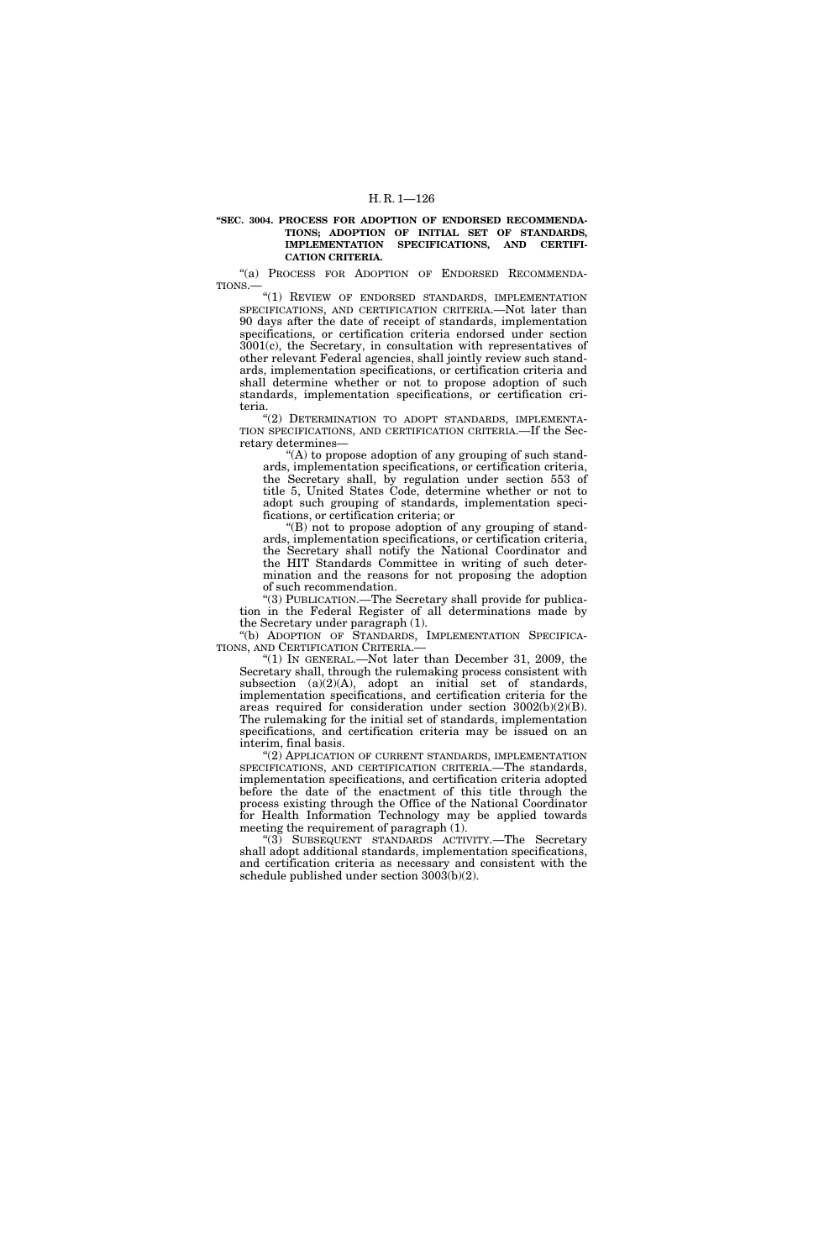#### **''SEC. 3004. PROCESS FOR ADOPTION OF ENDORSED RECOMMENDA-TIONS; ADOPTION OF INITIAL SET OF STANDARDS, IMPLEMENTATION SPECIFICATIONS, AND CERTIFI-CATION CRITERIA.**

''(a) PROCESS FOR ADOPTION OF ENDORSED RECOMMENDA-TIONS.—

''(1) REVIEW OF ENDORSED STANDARDS, IMPLEMENTATION SPECIFICATIONS, AND CERTIFICATION CRITERIA.—Not later than 90 days after the date of receipt of standards, implementation specifications, or certification criteria endorsed under section 3001(c), the Secretary, in consultation with representatives of other relevant Federal agencies, shall jointly review such standards, implementation specifications, or certification criteria and shall determine whether or not to propose adoption of such standards, implementation specifications, or certification criteria.

"(2) DETERMINATION TO ADOPT STANDARDS, IMPLEMENTA-TION SPECIFICATIONS, AND CERTIFICATION CRITERIA.—If the Secretary determines—

 $(A)$  to propose adoption of any grouping of such standards, implementation specifications, or certification criteria, the Secretary shall, by regulation under section 553 of title 5, United States Code, determine whether or not to adopt such grouping of standards, implementation specifications, or certification criteria; or

''(B) not to propose adoption of any grouping of standards, implementation specifications, or certification criteria, the Secretary shall notify the National Coordinator and the HIT Standards Committee in writing of such determination and the reasons for not proposing the adoption of such recommendation.

''(3) PUBLICATION.—The Secretary shall provide for publication in the Federal Register of all determinations made by the Secretary under paragraph (1).

''(b) ADOPTION OF STANDARDS, IMPLEMENTATION SPECIFICA-TIONS, AND CERTIFICATION CRITERIA.—

"(1) IN GENERAL.—Not later than December 31, 2009, the Secretary shall, through the rulemaking process consistent with subsection  $(a)(2)(A)$ , adopt an initial set of standards, implementation specifications, and certification criteria for the areas required for consideration under section 3002(b)(2)(B). The rulemaking for the initial set of standards, implementation specifications, and certification criteria may be issued on an interim, final basis.

"(2) APPLICATION OF CURRENT STANDARDS, IMPLEMENTATION SPECIFICATIONS, AND CERTIFICATION CRITERIA.—The standards, implementation specifications, and certification criteria adopted before the date of the enactment of this title through the process existing through the Office of the National Coordinator for Health Information Technology may be applied towards meeting the requirement of paragraph (1).

''(3) SUBSEQUENT STANDARDS ACTIVITY.—The Secretary shall adopt additional standards, implementation specifications, and certification criteria as necessary and consistent with the schedule published under section 3003(b)(2).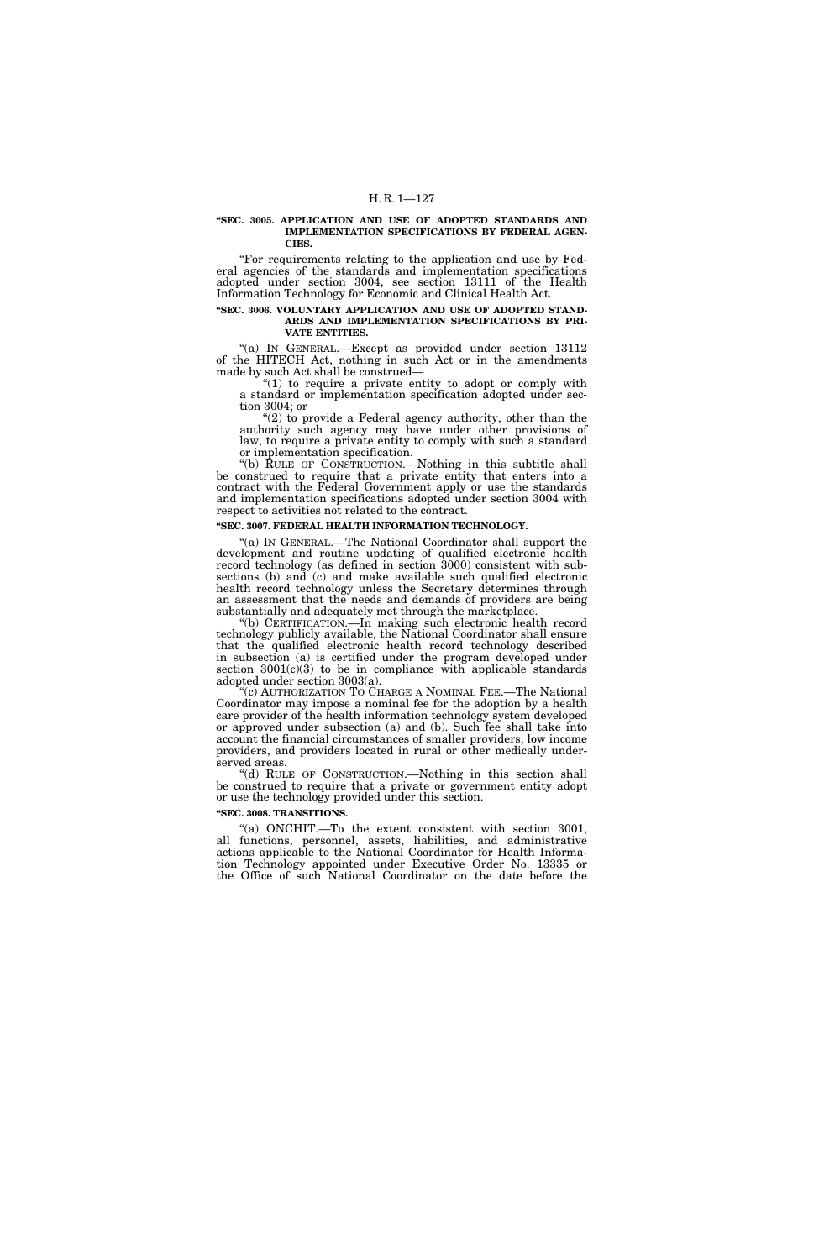#### **''SEC. 3005. APPLICATION AND USE OF ADOPTED STANDARDS AND IMPLEMENTATION SPECIFICATIONS BY FEDERAL AGEN-CIES.**

''For requirements relating to the application and use by Federal agencies of the standards and implementation specifications adopted under section 3004, see section 13111 of the Health Information Technology for Economic and Clinical Health Act.

### **''SEC. 3006. VOLUNTARY APPLICATION AND USE OF ADOPTED STAND-ARDS AND IMPLEMENTATION SPECIFICATIONS BY PRI-VATE ENTITIES.**

''(a) IN GENERAL.—Except as provided under section 13112 of the HITECH Act, nothing in such Act or in the amendments made by such Act shall be construed—

" $(1)$  to require a private entity to adopt or comply with a standard or implementation specification adopted under section 3004; or

 $(2)$  to provide a Federal agency authority, other than the authority such agency may have under other provisions of law, to require a private entity to comply with such a standard or implementation specification.

''(b) RULE OF CONSTRUCTION.—Nothing in this subtitle shall be construed to require that a private entity that enters into a contract with the Federal Government apply or use the standards and implementation specifications adopted under section 3004 with respect to activities not related to the contract.

### **''SEC. 3007. FEDERAL HEALTH INFORMATION TECHNOLOGY.**

"(a) IN GENERAL.—The National Coordinator shall support the development and routine updating of qualified electronic health record technology (as defined in section 3000) consistent with subsections (b) and  $(c)$  and make available such qualified electronic health record technology unless the Secretary determines through an assessment that the needs and demands of providers are being substantially and adequately met through the marketplace.

''(b) CERTIFICATION.—In making such electronic health record technology publicly available, the National Coordinator shall ensure that the qualified electronic health record technology described in subsection (a) is certified under the program developed under section  $3001(c)(3)$  to be in compliance with applicable standards adopted under section 3003(a).

(c) AUTHORIZATION TO CHARGE A NOMINAL FEE.—The National Coordinator may impose a nominal fee for the adoption by a health care provider of the health information technology system developed or approved under subsection (a) and (b). Such fee shall take into account the financial circumstances of smaller providers, low income providers, and providers located in rural or other medically underserved areas.

''(d) RULE OF CONSTRUCTION.—Nothing in this section shall be construed to require that a private or government entity adopt or use the technology provided under this section.

## **''SEC. 3008. TRANSITIONS.**

"(a) ONCHIT.—To the extent consistent with section 3001, all functions, personnel, assets, liabilities, and administrative actions applicable to the National Coordinator for Health Information Technology appointed under Executive Order No. 13335 or the Office of such National Coordinator on the date before the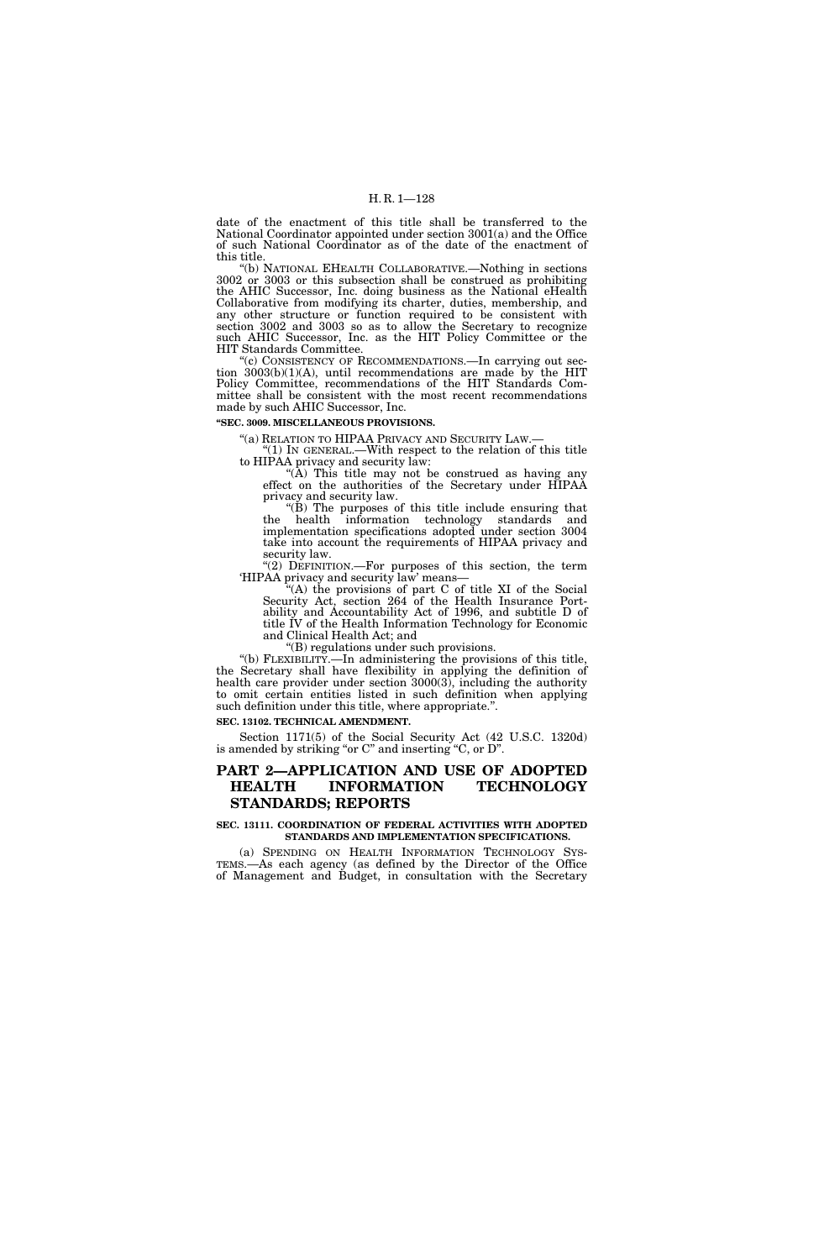date of the enactment of this title shall be transferred to the National Coordinator appointed under section 3001(a) and the Office of such National Coordinator as of the date of the enactment of this title.

''(b) NATIONAL EHEALTH COLLABORATIVE.—Nothing in sections 3002 or 3003 or this subsection shall be construed as prohibiting the AHIC Successor, Inc. doing business as the National eHealth Collaborative from modifying its charter, duties, membership, and any other structure or function required to be consistent with section 3002 and 3003 so as to allow the Secretary to recognize such AHIC Successor, Inc. as the HIT Policy Committee or the HIT Standards Committee.

''(c) CONSISTENCY OF RECOMMENDATIONS.—In carrying out section 3003(b)(1)(A), until recommendations are made by the HIT Policy Committee, recommendations of the HIT Standards Committee shall be consistent with the most recent recommendations made by such AHIC Successor, Inc.

**''SEC. 3009. MISCELLANEOUS PROVISIONS.** 

''(a) RELATION TO HIPAA PRIVACY AND SECURITY LAW.— ''(1) IN GENERAL.—With respect to the relation of this title to HIPAA privacy and security law:

" $(A)$  This title may not be construed as having any effect on the authorities of the Secretary under HIPAA privacy and security law.

"(B) The purposes of this title include ensuring that the health information technology standards and implementation specifications adopted under section 3004 take into account the requirements of HIPAA privacy and security law.

"(2) DEFINITION.—For purposes of this section, the term 'HIPAA privacy and security law' means—

''(A) the provisions of part C of title XI of the Social Security Act, section 264 of the Health Insurance Portability and Accountability Act of 1996, and subtitle D of title IV of the Health Information Technology for Economic and Clinical Health Act; and

''(B) regulations under such provisions.

''(b) FLEXIBILITY.—In administering the provisions of this title, the Secretary shall have flexibility in applying the definition of health care provider under section 3000(3), including the authority to omit certain entities listed in such definition when applying such definition under this title, where appropriate.''.

**SEC. 13102. TECHNICAL AMENDMENT.** 

Section 1171(5) of the Social Security Act (42 U.S.C. 1320d) is amended by striking "or C" and inserting "C, or D".

## **PART 2—APPLICATION AND USE OF ADOPTED HEALTH INFORMATION TECHNOLOGY STANDARDS; REPORTS**

#### **SEC. 13111. COORDINATION OF FEDERAL ACTIVITIES WITH ADOPTED STANDARDS AND IMPLEMENTATION SPECIFICATIONS.**

(a) SPENDING ON HEALTH INFORMATION TECHNOLOGY SYS-TEMS.—As each agency (as defined by the Director of the Office of Management and Budget, in consultation with the Secretary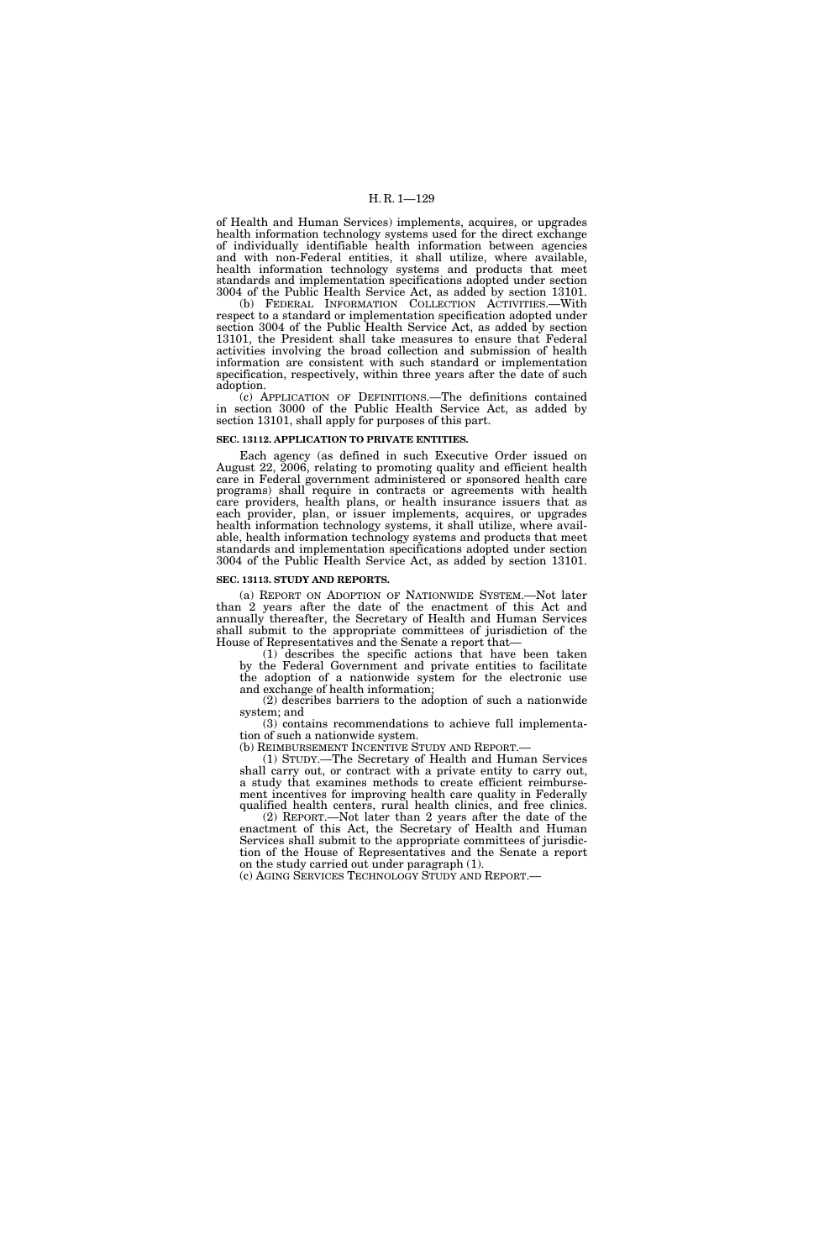of Health and Human Services) implements, acquires, or upgrades health information technology systems used for the direct exchange of individually identifiable health information between agencies and with non-Federal entities, it shall utilize, where available, health information technology systems and products that meet standards and implementation specifications adopted under section 3004 of the Public Health Service Act, as added by section 13101.

(b) FEDERAL INFORMATION COLLECTION ACTIVITIES.—With respect to a standard or implementation specification adopted under section 3004 of the Public Health Service Act, as added by section 13101, the President shall take measures to ensure that Federal activities involving the broad collection and submission of health information are consistent with such standard or implementation specification, respectively, within three years after the date of such adoption.

(c) APPLICATION OF DEFINITIONS.—The definitions contained in section 3000 of the Public Health Service Act, as added by section 13101, shall apply for purposes of this part.

### **SEC. 13112. APPLICATION TO PRIVATE ENTITIES.**

Each agency (as defined in such Executive Order issued on August 22, 2006, relating to promoting quality and efficient health care in Federal government administered or sponsored health care programs) shall require in contracts or agreements with health care providers, health plans, or health insurance issuers that as each provider, plan, or issuer implements, acquires, or upgrades health information technology systems, it shall utilize, where available, health information technology systems and products that meet standards and implementation specifications adopted under section 3004 of the Public Health Service Act, as added by section 13101.

#### **SEC. 13113. STUDY AND REPORTS.**

(a) REPORT ON ADOPTION OF NATIONWIDE SYSTEM.—Not later than 2 years after the date of the enactment of this Act and annually thereafter, the Secretary of Health and Human Services shall submit to the appropriate committees of jurisdiction of the House of Representatives and the Senate a report that—

(1) describes the specific actions that have been taken by the Federal Government and private entities to facilitate the adoption of a nationwide system for the electronic use and exchange of health information;

(2) describes barriers to the adoption of such a nationwide system; and

(3) contains recommendations to achieve full implementation of such a nationwide system.<br>(b) REIMBURSEMENT INCENTIVE STUDY AND REPORT.—

(1) STUDY.—The Secretary of Health and Human Services shall carry out, or contract with a private entity to carry out, a study that examines methods to create efficient reimbursement incentives for improving health care quality in Federally qualified health centers, rural health clinics, and free clinics.

(2) REPORT.—Not later than 2 years after the date of the enactment of this Act, the Secretary of Health and Human Services shall submit to the appropriate committees of jurisdiction of the House of Representatives and the Senate a report on the study carried out under paragraph (1).

(c) AGING SERVICES TECHNOLOGY STUDY AND REPORT.—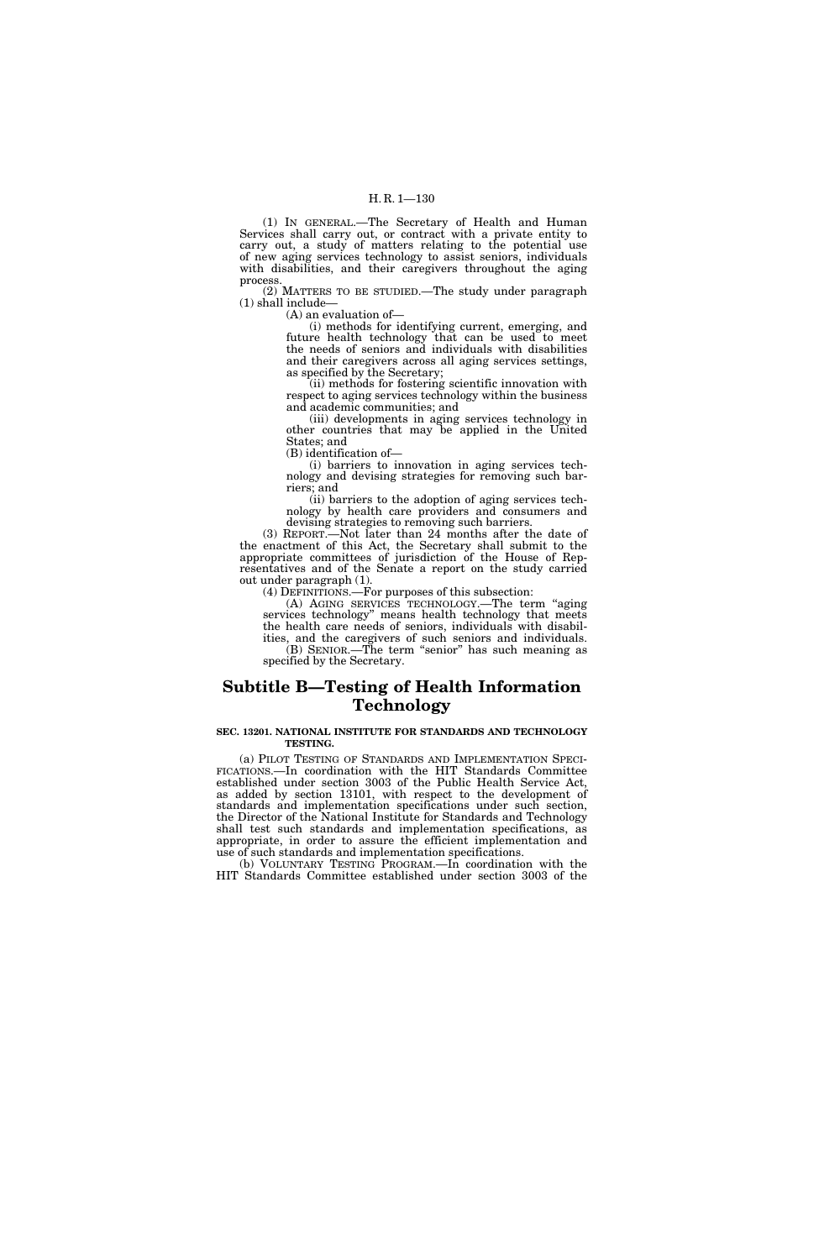(1) IN GENERAL.—The Secretary of Health and Human Services shall carry out, or contract with a private entity to carry out, a study of matters relating to the potential use of new aging services technology to assist seniors, individuals with disabilities, and their caregivers throughout the aging process.

(2) MATTERS TO BE STUDIED.—The study under paragraph (1) shall include—

(A) an evaluation of—

(i) methods for identifying current, emerging, and future health technology that can be used to meet the needs of seniors and individuals with disabilities and their caregivers across all aging services settings, as specified by the Secretary;

(ii) methods for fostering scientific innovation with respect to aging services technology within the business and academic communities; and

(iii) developments in aging services technology in other countries that may be applied in the United States; and

(B) identification of—

(i) barriers to innovation in aging services technology and devising strategies for removing such barriers; and

(ii) barriers to the adoption of aging services technology by health care providers and consumers and devising strategies to removing such barriers.

(3) REPORT.—Not later than 24 months after the date of the enactment of this Act, the Secretary shall submit to the appropriate committees of jurisdiction of the House of Representatives and of the Senate a report on the study carried out under paragraph (1).

(4) DEFINITIONS.—For purposes of this subsection:

(A) AGING SERVICES TECHNOLOGY.—The term ''aging services technology'' means health technology that meets the health care needs of seniors, individuals with disabilities, and the caregivers of such seniors and individuals. (B) SENIOR.—The term ''senior'' has such meaning as specified by the Secretary.

## **Subtitle B—Testing of Health Information Technology**

### **SEC. 13201. NATIONAL INSTITUTE FOR STANDARDS AND TECHNOLOGY TESTING.**

(a) PILOT TESTING OF STANDARDS AND IMPLEMENTATION SPECI- FICATIONS.—In coordination with the HIT Standards Committee established under section 3003 of the Public Health Service Act, as added by section 13101, with respect to the development of standards and implementation specifications under such section, the Director of the National Institute for Standards and Technology shall test such standards and implementation specifications, as appropriate, in order to assure the efficient implementation and use of such standards and implementation specifications.

(b) VOLUNTARY TESTING PROGRAM.—In coordination with the HIT Standards Committee established under section 3003 of the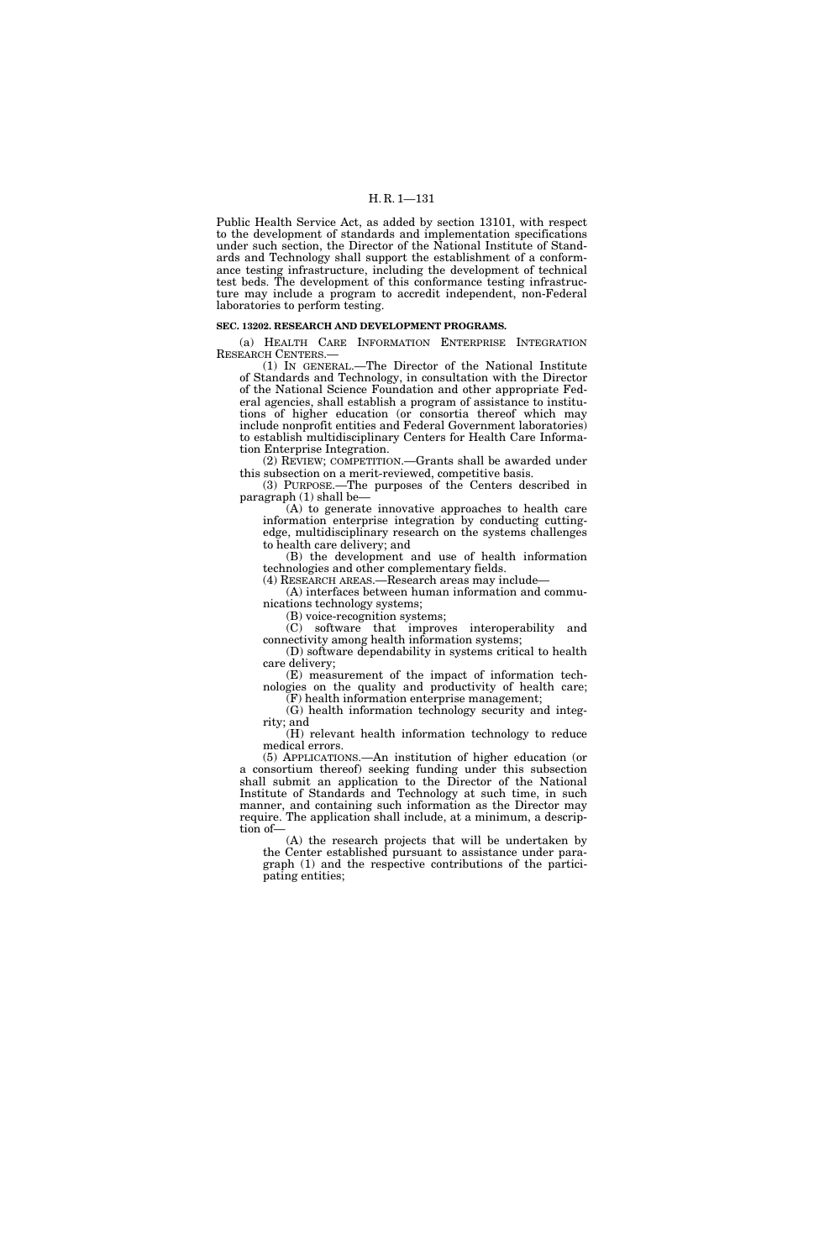Public Health Service Act, as added by section 13101, with respect to the development of standards and implementation specifications under such section, the Director of the National Institute of Standards and Technology shall support the establishment of a conformance testing infrastructure, including the development of technical test beds. The development of this conformance testing infrastructure may include a program to accredit independent, non-Federal laboratories to perform testing.

### **SEC. 13202. RESEARCH AND DEVELOPMENT PROGRAMS.**

(a) HEALTH CARE INFORMATION ENTERPRISE INTEGRATION RESEARCH CENTERS.—

(1) IN GENERAL.—The Director of the National Institute of Standards and Technology, in consultation with the Director of the National Science Foundation and other appropriate Federal agencies, shall establish a program of assistance to institutions of higher education (or consortia thereof which may include nonprofit entities and Federal Government laboratories) to establish multidisciplinary Centers for Health Care Information Enterprise Integration.

(2) REVIEW; COMPETITION.—Grants shall be awarded under this subsection on a merit-reviewed, competitive basis.

(3) PURPOSE.—The purposes of the Centers described in paragraph (1) shall be—

(A) to generate innovative approaches to health care information enterprise integration by conducting cuttingedge, multidisciplinary research on the systems challenges to health care delivery; and

(B) the development and use of health information technologies and other complementary fields.

(4) RESEARCH AREAS.—Research areas may include—

(A) interfaces between human information and communications technology systems;

(B) voice-recognition systems;

(C) software that improves interoperability and connectivity among health information systems;

(D) software dependability in systems critical to health care delivery; (E) measurement of the impact of information tech-

nologies on the quality and productivity of health care; (F) health information enterprise management;

(G) health information technology security and integrity; and

(H) relevant health information technology to reduce medical errors.

(5) APPLICATIONS.—An institution of higher education (or a consortium thereof) seeking funding under this subsection shall submit an application to the Director of the National Institute of Standards and Technology at such time, in such manner, and containing such information as the Director may require. The application shall include, at a minimum, a description of—

(A) the research projects that will be undertaken by the Center established pursuant to assistance under paragraph (1) and the respective contributions of the participating entities;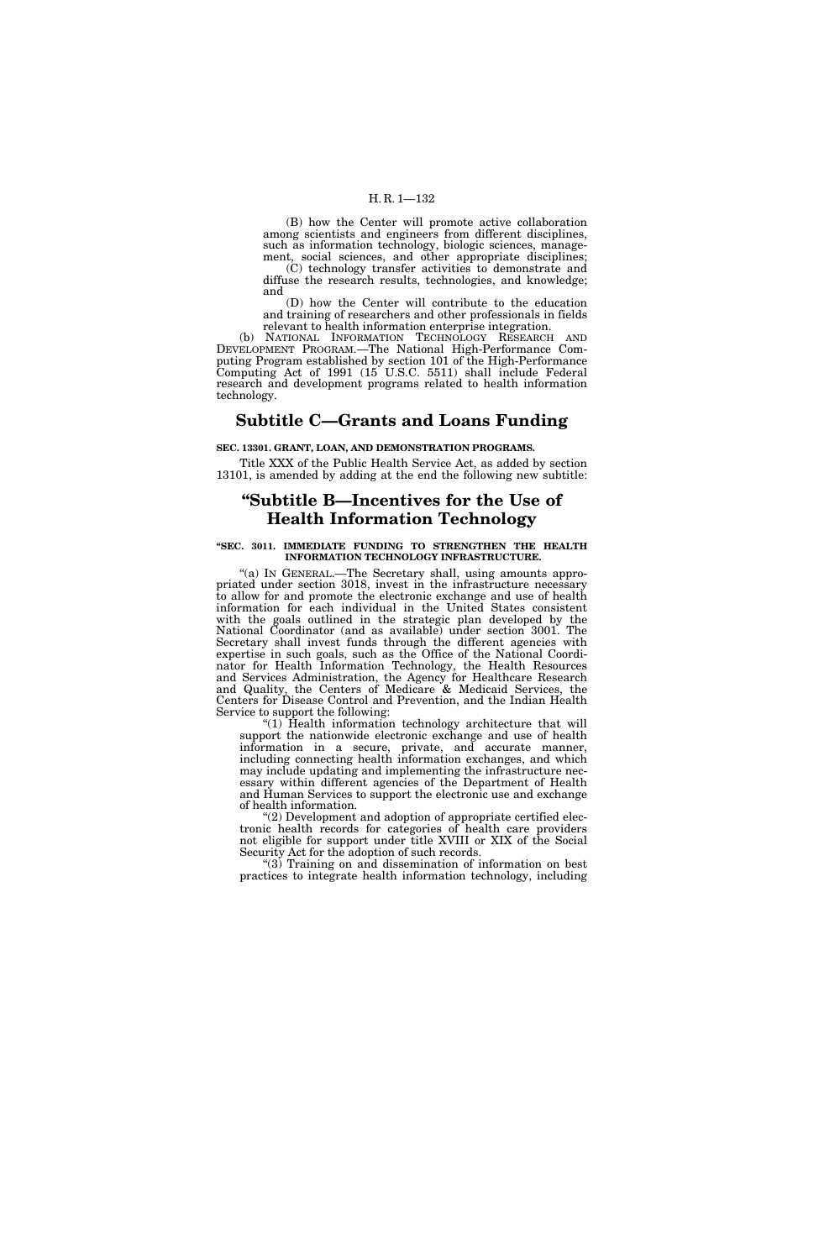(B) how the Center will promote active collaboration among scientists and engineers from different disciplines, such as information technology, biologic sciences, management, social sciences, and other appropriate disciplines;

(C) technology transfer activities to demonstrate and diffuse the research results, technologies, and knowledge; and

(D) how the Center will contribute to the education and training of researchers and other professionals in fields relevant to health information enterprise integration.

(b) NATIONAL INFORMATION TECHNOLOGY RESEARCH AND DEVELOPMENT PROGRAM.—The National High-Performance Computing Program established by section 101 of the High-Performance Computing Act of 1991 (15 U.S.C. 5511) shall include Federal research and development programs related to health information technology.

## **Subtitle C—Grants and Loans Funding**

**SEC. 13301. GRANT, LOAN, AND DEMONSTRATION PROGRAMS.** 

Title XXX of the Public Health Service Act, as added by section 13101, is amended by adding at the end the following new subtitle:

## **''Subtitle B—Incentives for the Use of Health Information Technology**

### **''SEC. 3011. IMMEDIATE FUNDING TO STRENGTHEN THE HEALTH INFORMATION TECHNOLOGY INFRASTRUCTURE.**

''(a) IN GENERAL.—The Secretary shall, using amounts appropriated under section 3018, invest in the infrastructure necessary to allow for and promote the electronic exchange and use of health information for each individual in the United States consistent with the goals outlined in the strategic plan developed by the National Coordinator (and as available) under section 3001. The Secretary shall invest funds through the different agencies with expertise in such goals, such as the Office of the National Coordinator for Health Information Technology, the Health Resources and Services Administration, the Agency for Healthcare Research and Quality, the Centers of Medicare & Medicaid Services, the Centers for Disease Control and Prevention, and the Indian Health Service to support the following:

''(1) Health information technology architecture that will support the nationwide electronic exchange and use of health information in a secure, private, and accurate manner, including connecting health information exchanges, and which may include updating and implementing the infrastructure necessary within different agencies of the Department of Health and Human Services to support the electronic use and exchange of health information.

 $(2)$  Development and adoption of appropriate certified electronic health records for categories of health care providers not eligible for support under title XVIII or XIX of the Social Security Act for the adoption of such records.

''(3) Training on and dissemination of information on best practices to integrate health information technology, including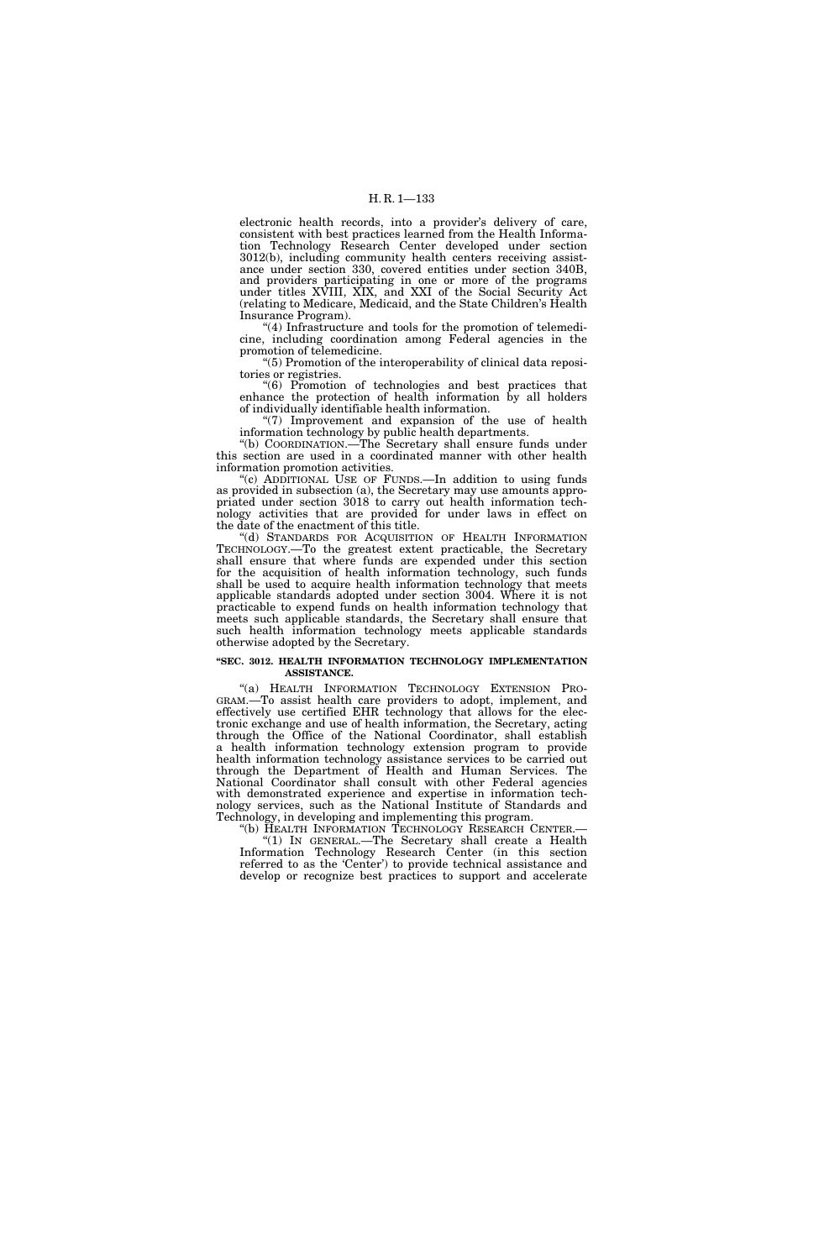electronic health records, into a provider's delivery of care, consistent with best practices learned from the Health Information Technology Research Center developed under section 3012(b), including community health centers receiving assistance under section 330, covered entities under section 340B, and providers participating in one or more of the programs under titles XVIII, XIX, and XXI of the Social Security Act (relating to Medicare, Medicaid, and the State Children's Health Insurance Program).

''(4) Infrastructure and tools for the promotion of telemedicine, including coordination among Federal agencies in the promotion of telemedicine.

''(5) Promotion of the interoperability of clinical data repositories or registries.

''(6) Promotion of technologies and best practices that enhance the protection of health information by all holders of individually identifiable health information.

''(7) Improvement and expansion of the use of health information technology by public health departments.

''(b) COORDINATION.—The Secretary shall ensure funds under this section are used in a coordinated manner with other health information promotion activities.

"(c) ADDITIONAL USE OF FUNDS.—In addition to using funds as provided in subsection (a), the Secretary may use amounts appropriated under section 3018 to carry out health information technology activities that are provided for under laws in effect on the date of the enactment of this title.

''(d) STANDARDS FOR ACQUISITION OF HEALTH INFORMATION TECHNOLOGY.—To the greatest extent practicable, the Secretary shall ensure that where funds are expended under this section for the acquisition of health information technology, such funds shall be used to acquire health information technology that meets applicable standards adopted under section 3004. Where it is not practicable to expend funds on health information technology that meets such applicable standards, the Secretary shall ensure that such health information technology meets applicable standards otherwise adopted by the Secretary.

#### **''SEC. 3012. HEALTH INFORMATION TECHNOLOGY IMPLEMENTATION ASSISTANCE.**

"(a) HEALTH INFORMATION TECHNOLOGY EXTENSION PRO-GRAM.—To assist health care providers to adopt, implement, and effectively use certified EHR technology that allows for the electronic exchange and use of health information, the Secretary, acting through the Office of the National Coordinator, shall establish a health information technology extension program to provide health information technology assistance services to be carried out through the Department of Health and Human Services. The National Coordinator shall consult with other Federal agencies with demonstrated experience and expertise in information technology services, such as the National Institute of Standards and Technology, in developing and implementing this program.

''(b) HEALTH INFORMATION TECHNOLOGY RESEARCH CENTER.— ''(1) IN GENERAL.—The Secretary shall create a Health Information Technology Research Center (in this section referred to as the 'Center') to provide technical assistance and develop or recognize best practices to support and accelerate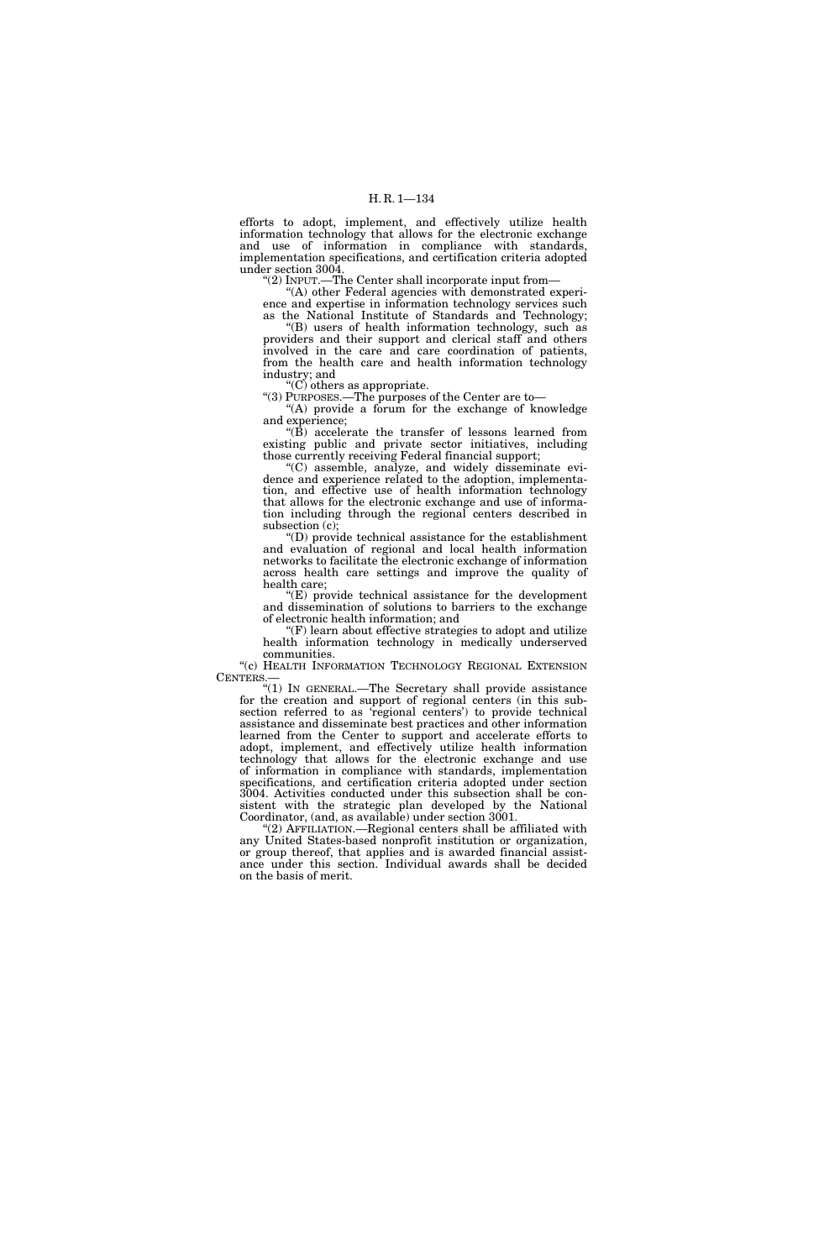efforts to adopt, implement, and effectively utilize health information technology that allows for the electronic exchange and use of information in compliance with standards, implementation specifications, and certification criteria adopted under section 3004.

''(2) INPUT.—The Center shall incorporate input from—

''(A) other Federal agencies with demonstrated experience and expertise in information technology services such as the National Institute of Standards and Technology;

''(B) users of health information technology, such as providers and their support and clerical staff and others involved in the care and care coordination of patients, from the health care and health information technology industry; and

 $C$ ) others as appropriate.

''(3) PURPOSES.—The purposes of the Center are to— "(A) provide a forum for the exchange of knowledge" and experience;

 $(16)$  accelerate the transfer of lessons learned from existing public and private sector initiatives, including those currently receiving Federal financial support;

''(C) assemble, analyze, and widely disseminate evidence and experience related to the adoption, implementation, and effective use of health information technology that allows for the electronic exchange and use of information including through the regional centers described in subsection (c);

(D) provide technical assistance for the establishment and evaluation of regional and local health information networks to facilitate the electronic exchange of information across health care settings and improve the quality of health care;

''(E) provide technical assistance for the development and dissemination of solutions to barriers to the exchange of electronic health information; and

''(F) learn about effective strategies to adopt and utilize health information technology in medically underserved communities.

''(c) HEALTH INFORMATION TECHNOLOGY REGIONAL EXTENSION CENTERS.

''(1) IN GENERAL.—The Secretary shall provide assistance for the creation and support of regional centers (in this subsection referred to as 'regional centers') to provide technical assistance and disseminate best practices and other information learned from the Center to support and accelerate efforts to adopt, implement, and effectively utilize health information technology that allows for the electronic exchange and use of information in compliance with standards, implementation specifications, and certification criteria adopted under section 3004. Activities conducted under this subsection shall be consistent with the strategic plan developed by the National Coordinator, (and, as available) under section 3001.

''(2) AFFILIATION.—Regional centers shall be affiliated with any United States-based nonprofit institution or organization, or group thereof, that applies and is awarded financial assistance under this section. Individual awards shall be decided on the basis of merit.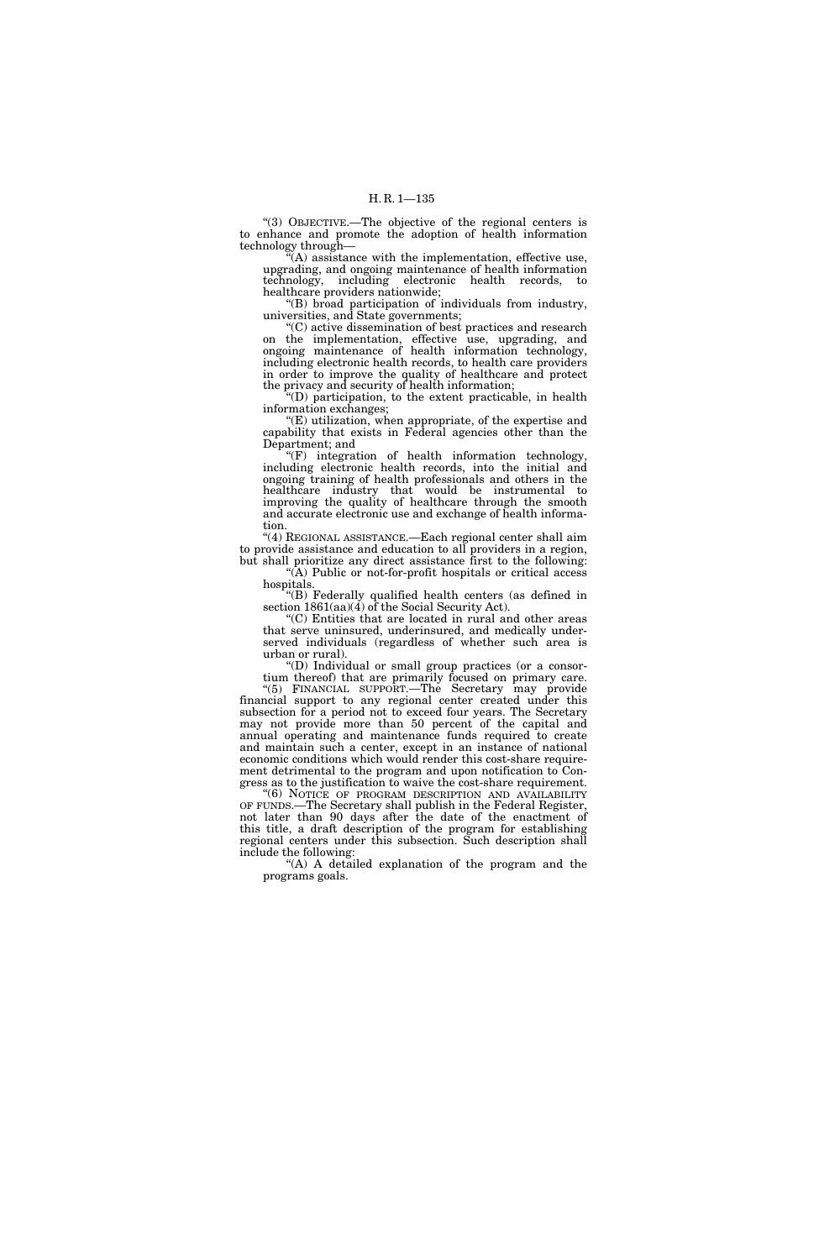''(3) OBJECTIVE.—The objective of the regional centers is to enhance and promote the adoption of health information technology through—

''(A) assistance with the implementation, effective use, upgrading, and ongoing maintenance of health information technology, including electronic health records, to healthcare providers nationwide;

''(B) broad participation of individuals from industry, universities, and State governments;

''(C) active dissemination of best practices and research on the implementation, effective use, upgrading, and ongoing maintenance of health information technology, including electronic health records, to health care providers in order to improve the quality of healthcare and protect the privacy and security of health information;

(D) participation, to the extent practicable, in health information exchanges;

''(E) utilization, when appropriate, of the expertise and capability that exists in Federal agencies other than the Department; and

 $f(F)$  integration of health information technology, including electronic health records, into the initial and ongoing training of health professionals and others in the healthcare industry that would be instrumental to improving the quality of healthcare through the smooth and accurate electronic use and exchange of health information.

''(4) REGIONAL ASSISTANCE.—Each regional center shall aim to provide assistance and education to all providers in a region, but shall prioritize any direct assistance first to the following:

''(A) Public or not-for-profit hospitals or critical access hospitals.

''(B) Federally qualified health centers (as defined in section 1861(aa)(4) of the Social Security Act).

''(C) Entities that are located in rural and other areas that serve uninsured, underinsured, and medically underserved individuals (regardless of whether such area is urban or rural).

''(D) Individual or small group practices (or a consortium thereof) that are primarily focused on primary care.

''(5) FINANCIAL SUPPORT.—The Secretary may provide financial support to any regional center created under this subsection for a period not to exceed four years. The Secretary may not provide more than 50 percent of the capital and annual operating and maintenance funds required to create and maintain such a center, except in an instance of national economic conditions which would render this cost-share requirement detrimental to the program and upon notification to Congress as to the justification to waive the cost-share requirement.

"(6) NOTICE OF PROGRAM DESCRIPTION AND AVAILABILITY OF FUNDS.—The Secretary shall publish in the Federal Register, not later than 90 days after the date of the enactment of this title, a draft description of the program for establishing regional centers under this subsection. Such description shall include the following:

"(A) A detailed explanation of the program and the programs goals.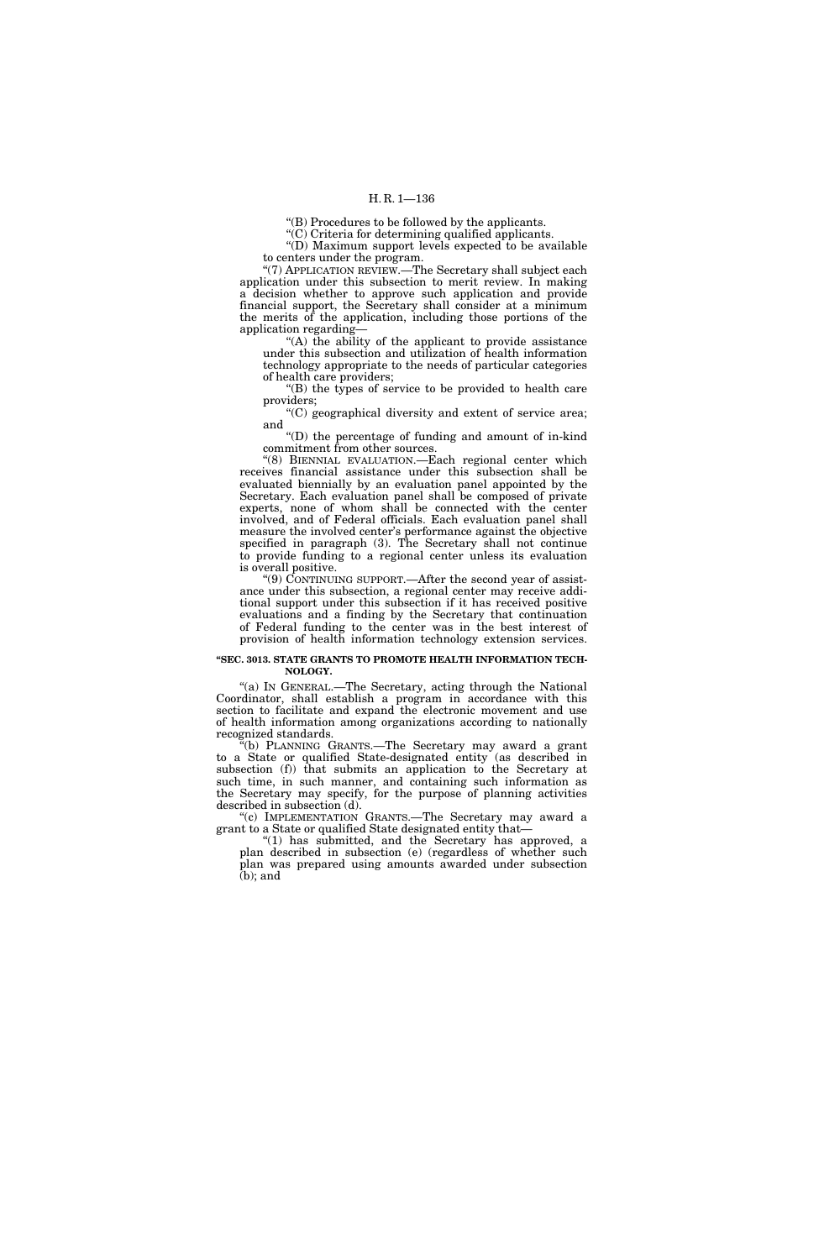''(B) Procedures to be followed by the applicants.

''(C) Criteria for determining qualified applicants.

"(D) Maximum support levels expected to be available to centers under the program.

"(7) APPLICATION REVIEW.—The Secretary shall subject each application under this subsection to merit review. In making a decision whether to approve such application and provide financial support, the Secretary shall consider at a minimum the merits of the application, including those portions of the application regarding—

''(A) the ability of the applicant to provide assistance under this subsection and utilization of health information technology appropriate to the needs of particular categories of health care providers;

''(B) the types of service to be provided to health care providers;

''(C) geographical diversity and extent of service area; and

''(D) the percentage of funding and amount of in-kind commitment from other sources.

''(8) BIENNIAL EVALUATION.—Each regional center which receives financial assistance under this subsection shall be evaluated biennially by an evaluation panel appointed by the Secretary. Each evaluation panel shall be composed of private experts, none of whom shall be connected with the center involved, and of Federal officials. Each evaluation panel shall measure the involved center's performance against the objective specified in paragraph (3). The Secretary shall not continue to provide funding to a regional center unless its evaluation is overall positive.

''(9) CONTINUING SUPPORT.—After the second year of assistance under this subsection, a regional center may receive additional support under this subsection if it has received positive evaluations and a finding by the Secretary that continuation of Federal funding to the center was in the best interest of provision of health information technology extension services.

#### **''SEC. 3013. STATE GRANTS TO PROMOTE HEALTH INFORMATION TECH-NOLOGY.**

"(a) IN GENERAL.—The Secretary, acting through the National Coordinator, shall establish a program in accordance with this section to facilitate and expand the electronic movement and use of health information among organizations according to nationally recognized standards.

''(b) PLANNING GRANTS.—The Secretary may award a grant to a State or qualified State-designated entity (as described in subsection (f)) that submits an application to the Secretary at such time, in such manner, and containing such information as the Secretary may specify, for the purpose of planning activities described in subsection (d).

''(c) IMPLEMENTATION GRANTS.—The Secretary may award a grant to a State or qualified State designated entity that—

"(1) has submitted, and the Secretary has approved, a plan described in subsection (e) (regardless of whether such plan was prepared using amounts awarded under subsection  $(b)$ ; and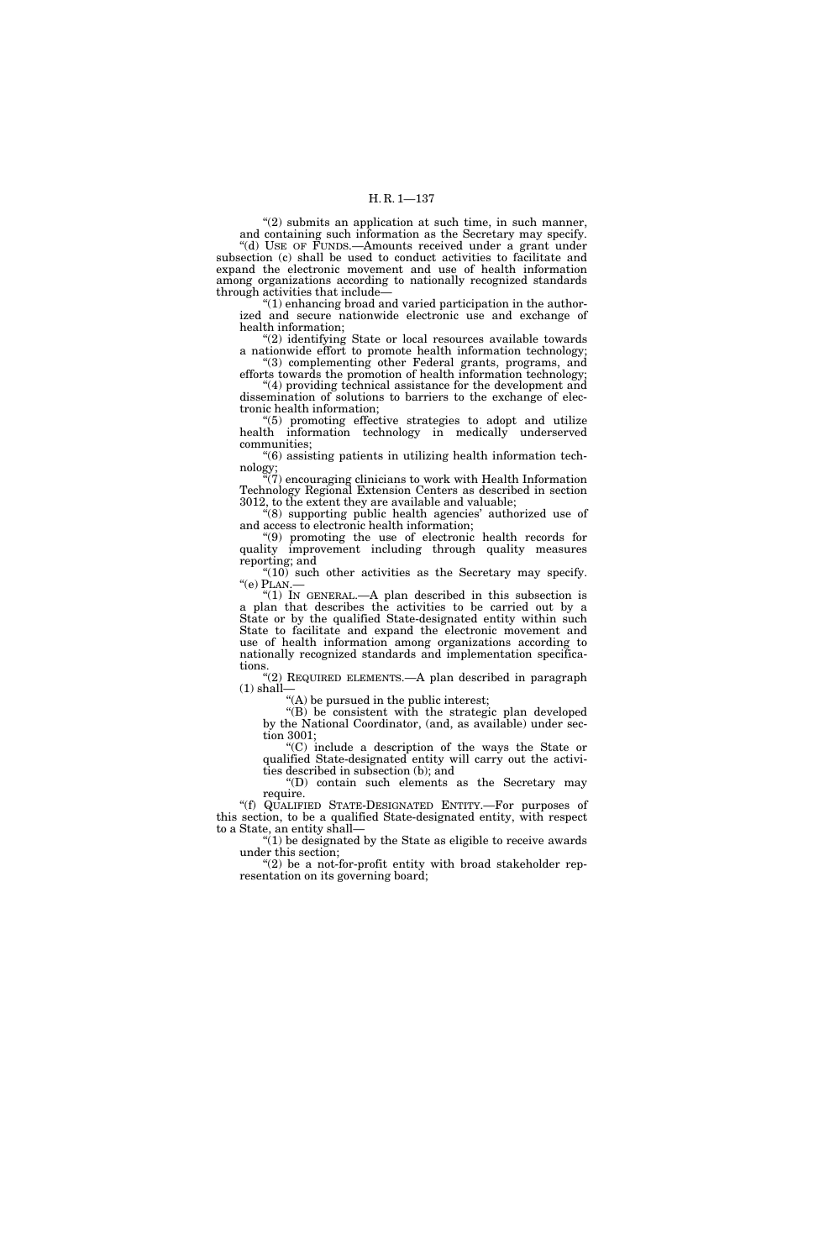''(2) submits an application at such time, in such manner, and containing such information as the Secretary may specify.

''(d) USE OF FUNDS.—Amounts received under a grant under subsection (c) shall be used to conduct activities to facilitate and expand the electronic movement and use of health information among organizations according to nationally recognized standards through activities that include—

 $(1)$  enhancing broad and varied participation in the authorized and secure nationwide electronic use and exchange of health information;

"(2) identifying State or local resources available towards a nationwide effort to promote health information technology; ''(3) complementing other Federal grants, programs, and

efforts towards the promotion of health information technology; ''(4) providing technical assistance for the development and dissemination of solutions to barriers to the exchange of elec-

tronic health information; ''(5) promoting effective strategies to adopt and utilize health information technology in medically underserved communities;

''(6) assisting patients in utilizing health information technology;

''(7) encouraging clinicians to work with Health Information Technology Regional Extension Centers as described in section 3012, to the extent they are available and valuable;

''(8) supporting public health agencies' authorized use of and access to electronic health information;

''(9) promoting the use of electronic health records for quality improvement including through quality measures reporting; and

" $(10)$  such other activities as the Secretary may specify.  $"$ (e) PLAN. $-$ 

''(1) IN GENERAL.—A plan described in this subsection is a plan that describes the activities to be carried out by a State or by the qualified State-designated entity within such State to facilitate and expand the electronic movement and use of health information among organizations according to nationally recognized standards and implementation specifications.

"(2) REQUIRED ELEMENTS. - A plan described in paragraph  $(1)$  shall-

''(A) be pursued in the public interest;

''(B) be consistent with the strategic plan developed by the National Coordinator, (and, as available) under section 3001;

''(C) include a description of the ways the State or qualified State-designated entity will carry out the activities described in subsection (b); and

''(D) contain such elements as the Secretary may require.

''(f) QUALIFIED STATE-DESIGNATED ENTITY.—For purposes of this section, to be a qualified State-designated entity, with respect to a State, an entity shall—

 $(1)$  be designated by the State as eligible to receive awards under this section;

" $(2)$  be a not-for-profit entity with broad stakeholder representation on its governing board;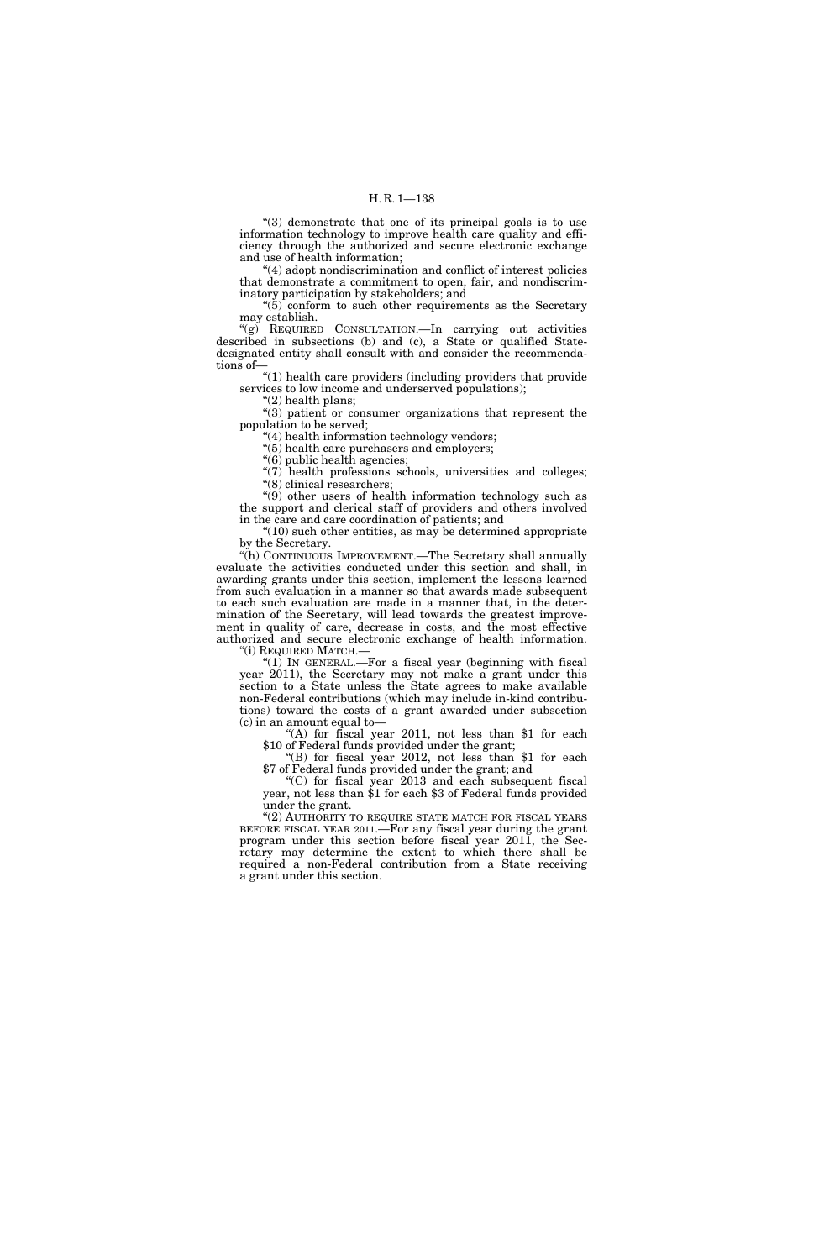''(3) demonstrate that one of its principal goals is to use information technology to improve health care quality and efficiency through the authorized and secure electronic exchange and use of health information;

''(4) adopt nondiscrimination and conflict of interest policies that demonstrate a commitment to open, fair, and nondiscriminatory participation by stakeholders; and

" $(5)$  conform to such other requirements as the Secretary may establish.

''(g) REQUIRED CONSULTATION.—In carrying out activities described in subsections (b) and (c), a State or qualified Statedesignated entity shall consult with and consider the recommendations of—

''(1) health care providers (including providers that provide services to low income and underserved populations);

''(2) health plans;

"(3) patient or consumer organizations that represent the population to be served;

''(4) health information technology vendors;

"(5) health care purchasers and employers;

"(6) public health agencies;

"(7) health professions schools, universities and colleges; ''(8) clinical researchers;

''(9) other users of health information technology such as the support and clerical staff of providers and others involved in the care and care coordination of patients; and

 $\degree$ (10) such other entities, as may be determined appropriate by the Secretary.

''(h) CONTINUOUS IMPROVEMENT.—The Secretary shall annually evaluate the activities conducted under this section and shall, in awarding grants under this section, implement the lessons learned from such evaluation in a manner so that awards made subsequent to each such evaluation are made in a manner that, in the determination of the Secretary, will lead towards the greatest improvement in quality of care, decrease in costs, and the most effective authorized and secure electronic exchange of health information. ''(i) REQUIRED MATCH.—

" $(1)$  In GENERAL.—For a fiscal year (beginning with fiscal year 2011), the Secretary may not make a grant under this section to a State unless the State agrees to make available non-Federal contributions (which may include in-kind contributions) toward the costs of a grant awarded under subsection (c) in an amount equal to—

 $($ A) for fiscal year 2011, not less than \$1 for each \$10 of Federal funds provided under the grant;

''(B) for fiscal year 2012, not less than \$1 for each \$7 of Federal funds provided under the grant; and

''(C) for fiscal year 2013 and each subsequent fiscal year, not less than \$1 for each \$3 of Federal funds provided under the grant.

" $(2)$  AUTHORITY TO REQUIRE STATE MATCH FOR FISCAL YEARS BEFORE FISCAL YEAR 2011.—For any fiscal year during the grant program under this section before fiscal year 2011, the Secretary may determine the extent to which there shall be required a non-Federal contribution from a State receiving a grant under this section.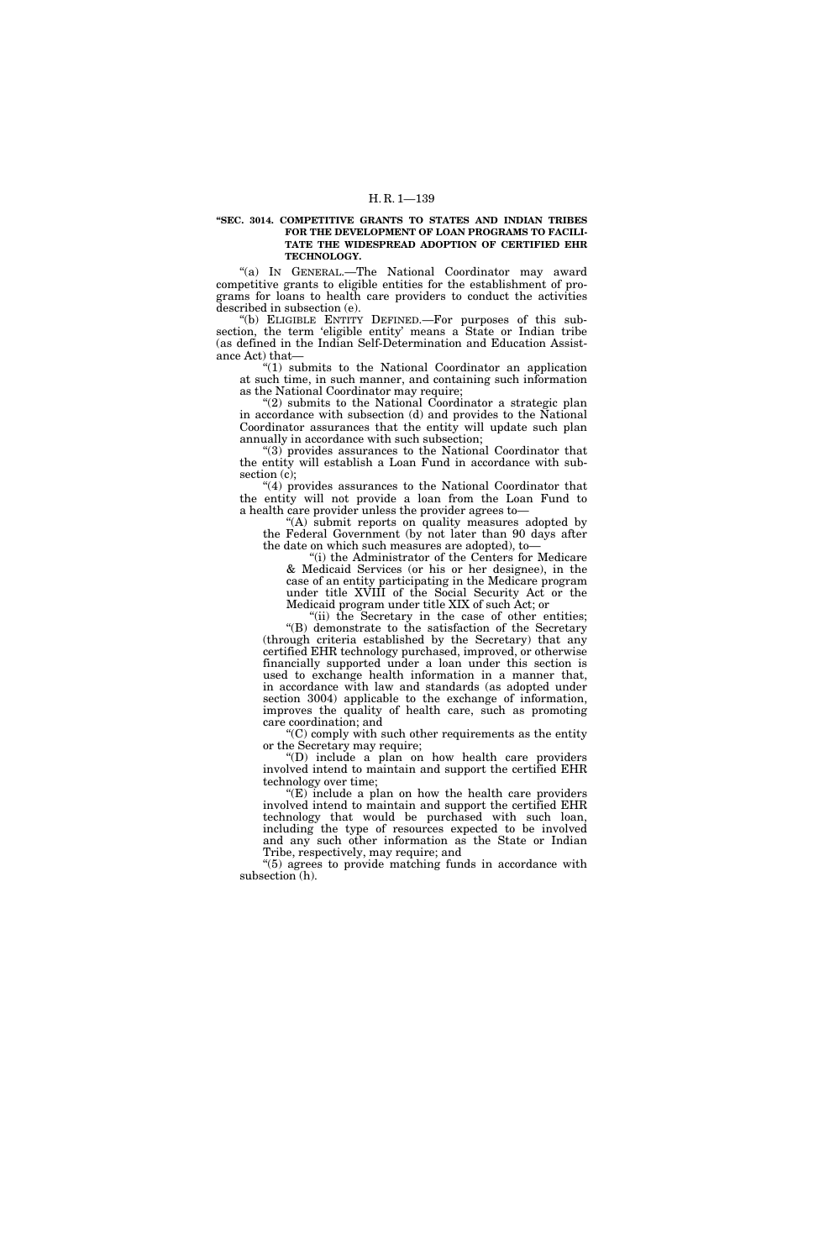#### **''SEC. 3014. COMPETITIVE GRANTS TO STATES AND INDIAN TRIBES FOR THE DEVELOPMENT OF LOAN PROGRAMS TO FACILI-TATE THE WIDESPREAD ADOPTION OF CERTIFIED EHR TECHNOLOGY.**

''(a) IN GENERAL.—The National Coordinator may award competitive grants to eligible entities for the establishment of programs for loans to health care providers to conduct the activities described in subsection (e).

''(b) ELIGIBLE ENTITY DEFINED.—For purposes of this subsection, the term 'eligible entity' means a State or Indian tribe (as defined in the Indian Self-Determination and Education Assistance Act) that—

''(1) submits to the National Coordinator an application at such time, in such manner, and containing such information as the National Coordinator may require;

 $(2)$  submits to the National Coordinator a strategic plan in accordance with subsection (d) and provides to the National Coordinator assurances that the entity will update such plan annually in accordance with such subsection;

''(3) provides assurances to the National Coordinator that the entity will establish a Loan Fund in accordance with subsection (c);

''(4) provides assurances to the National Coordinator that the entity will not provide a loan from the Loan Fund to a health care provider unless the provider agrees to—

"(A) submit reports on quality measures adopted by the Federal Government (by not later than 90 days after the date on which such measures are adopted), to—

''(i) the Administrator of the Centers for Medicare & Medicaid Services (or his or her designee), in the case of an entity participating in the Medicare program under title XVIII of the Social Security Act or the Medicaid program under title XIX of such Act; or

"(ii) the Secretary in the case of other entities; ''(B) demonstrate to the satisfaction of the Secretary (through criteria established by the Secretary) that any certified EHR technology purchased, improved, or otherwise financially supported under a loan under this section is used to exchange health information in a manner that, in accordance with law and standards (as adopted under section 3004) applicable to the exchange of information, improves the quality of health care, such as promoting care coordination; and

''(C) comply with such other requirements as the entity or the Secretary may require;

''(D) include a plan on how health care providers involved intend to maintain and support the certified EHR technology over time;

 $E(E)$  include a plan on how the health care providers involved intend to maintain and support the certified EHR technology that would be purchased with such loan, including the type of resources expected to be involved and any such other information as the State or Indian Tribe, respectively, may require; and

''(5) agrees to provide matching funds in accordance with subsection (h).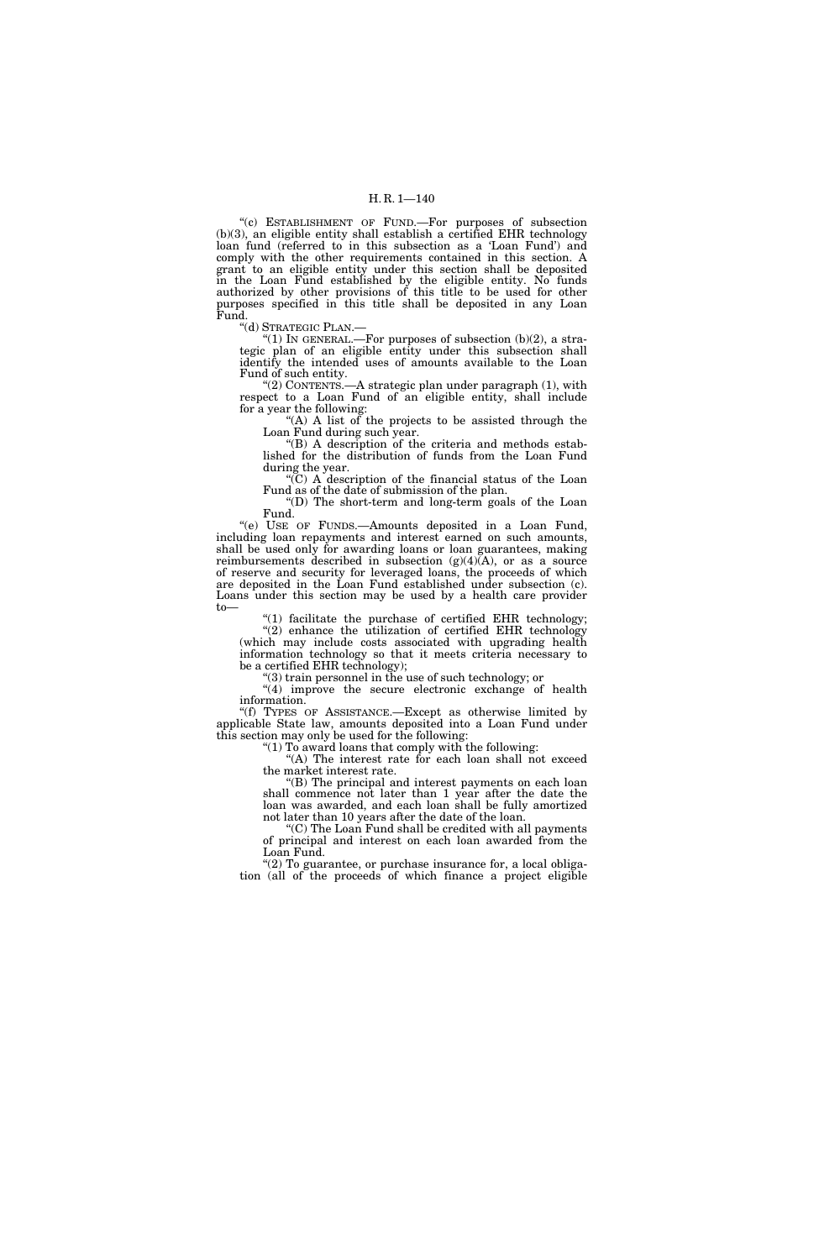''(c) ESTABLISHMENT OF FUND.—For purposes of subsection  $(b)(3)$ , an eligible entity shall establish a certified EHR technology loan fund (referred to in this subsection as a 'Loan Fund') and comply with the other requirements contained in this section. A grant to an eligible entity under this section shall be deposited in the Loan Fund established by the eligible entity. No funds authorized by other provisions of this title to be used for other purposes specified in this title shall be deposited in any Loan Fund.

''(d) STRATEGIC PLAN.— ''(1) IN GENERAL.—For purposes of subsection (b)(2), a strategic plan of an eligible entity under this subsection shall identify the intended uses of amounts available to the Loan Fund of such entity.

" $(2)$  CONTENTS.—A strategic plan under paragraph  $(1)$ , with respect to a Loan Fund of an eligible entity, shall include for a year the following:

"(A) A list of the projects to be assisted through the Loan Fund during such year.

''(B) A description of the criteria and methods established for the distribution of funds from the Loan Fund during the year.

''(C) A description of the financial status of the Loan Fund as of the date of submission of the plan.

''(D) The short-term and long-term goals of the Loan Fund.

''(e) USE OF FUNDS.—Amounts deposited in a Loan Fund, including loan repayments and interest earned on such amounts, shall be used only for awarding loans or loan guarantees, making reimbursements described in subsection  $(g)(4)\bar{A}$ , or as a source of reserve and security for leveraged loans, the proceeds of which are deposited in the Loan Fund established under subsection (c). Loans under this section may be used by a health care provider to—

" $(1)$  facilitate the purchase of certified EHR technology; "(2) enhance the utilization of certified EHR technology (which may include costs associated with upgrading health information technology so that it meets criteria necessary to be a certified EHR technology);

 $(3)$  train personnel in the use of such technology; or "(4) improve the secure electronic exchange of health information.

''(f) TYPES OF ASSISTANCE.—Except as otherwise limited by applicable State law, amounts deposited into a Loan Fund under this section may only be used for the following:

''(1) To award loans that comply with the following:

"(A) The interest rate for each loan shall not exceed the market interest rate.

''(B) The principal and interest payments on each loan shall commence not later than 1 year after the date the loan was awarded, and each loan shall be fully amortized not later than 10 years after the date of the loan.

''(C) The Loan Fund shall be credited with all payments of principal and interest on each loan awarded from the Loan Fund.

" $(2)$  To guarantee, or purchase insurance for, a local obligation (all of the proceeds of which finance a project eligible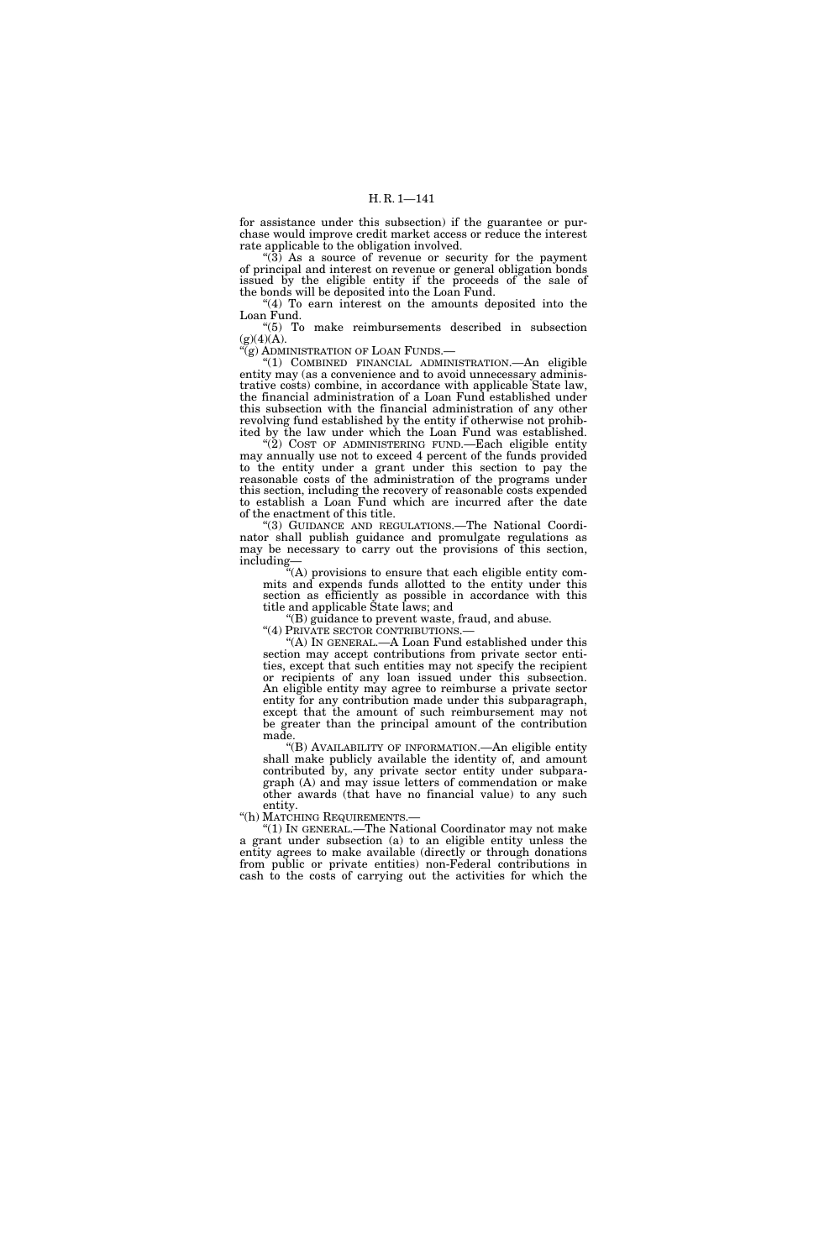for assistance under this subsection) if the guarantee or purchase would improve credit market access or reduce the interest rate applicable to the obligation involved.

" $(3)$  As a source of revenue or security for the payment of principal and interest on revenue or general obligation bonds issued by the eligible entity if the proceeds of the sale of the bonds will be deposited into the Loan Fund.

" $(4)$  To earn interest on the amounts deposited into the Loan Fund.

''(5) To make reimbursements described in subsection  $(g)(4)(A)$ .

'(g) ADMINISTRATION OF LOAN FUNDS.

''(1) COMBINED FINANCIAL ADMINISTRATION.—An eligible entity may (as a convenience and to avoid unnecessary administrative costs) combine, in accordance with applicable State law, the financial administration of a Loan Fund established under this subsection with the financial administration of any other revolving fund established by the entity if otherwise not prohibited by the law under which the Loan Fund was established.

" $(2)$  COST OF ADMINISTERING FUND.—Each eligible entity may annually use not to exceed 4 percent of the funds provided to the entity under a grant under this section to pay the reasonable costs of the administration of the programs under this section, including the recovery of reasonable costs expended to establish a Loan Fund which are incurred after the date of the enactment of this title.

''(3) GUIDANCE AND REGULATIONS.—The National Coordinator shall publish guidance and promulgate regulations as may be necessary to carry out the provisions of this section, including—

 $\mathcal{C}^2(A)$  provisions to ensure that each eligible entity commits and expends funds allotted to the entity under this section as efficiently as possible in accordance with this title and applicable State laws; and

"(B) guidance to prevent waste, fraud, and abuse.<br>"(4) PRIVATE SECTOR CONTRIBUTIONS.—

"(A) In GENERAL.—A Loan Fund established under this section may accept contributions from private sector entities, except that such entities may not specify the recipient or recipients of any loan issued under this subsection. An eligible entity may agree to reimburse a private sector entity for any contribution made under this subparagraph, except that the amount of such reimbursement may not be greater than the principal amount of the contribution made.

''(B) AVAILABILITY OF INFORMATION.—An eligible entity shall make publicly available the identity of, and amount contributed by, any private sector entity under subparagraph (A) and may issue letters of commendation or make other awards (that have no financial value) to any such entity.

''(h) MATCHING REQUIREMENTS.— ''(1) IN GENERAL.—The National Coordinator may not make a grant under subsection (a) to an eligible entity unless the entity agrees to make available (directly or through donations from public or private entities) non-Federal contributions in cash to the costs of carrying out the activities for which the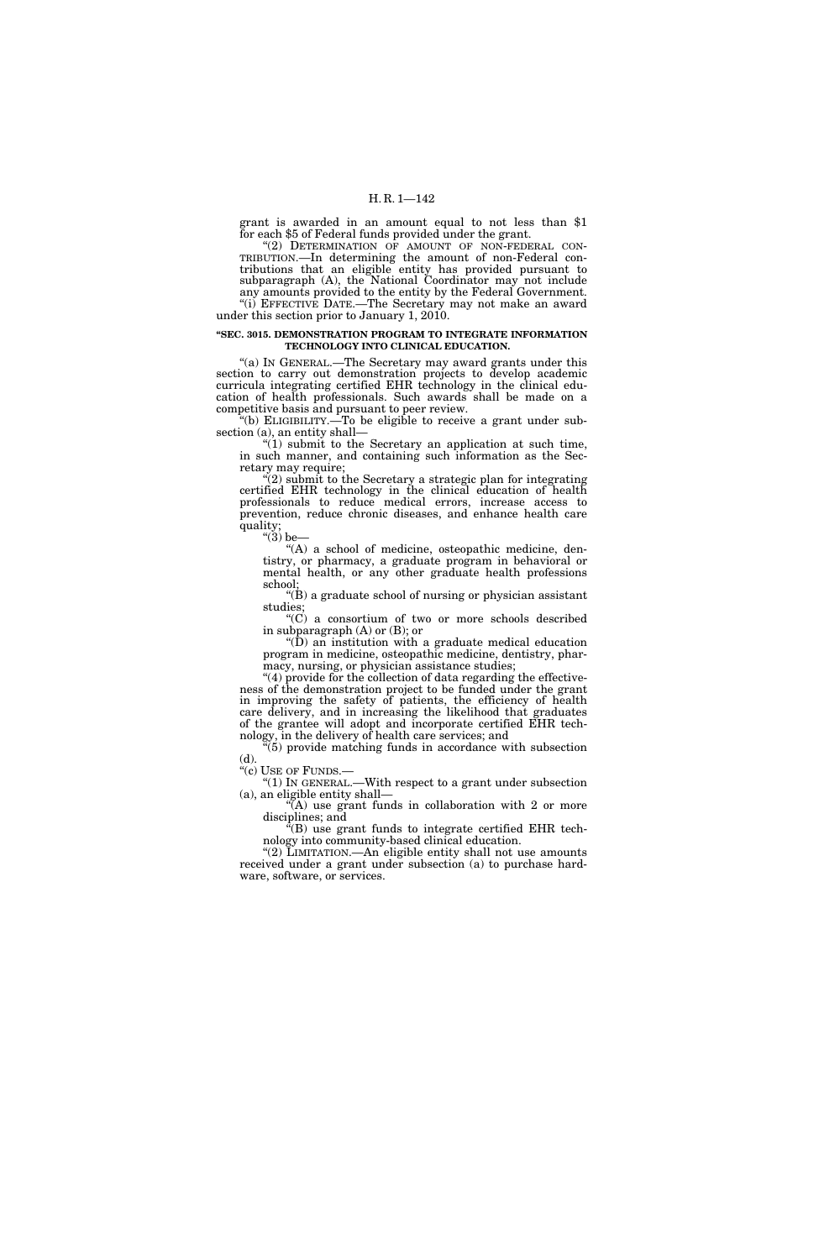grant is awarded in an amount equal to not less than \$1 for each \$5 of Federal funds provided under the grant.

"(2) DETERMINATION OF AMOUNT OF NON-FEDERAL CON-TRIBUTION.—In determining the amount of non-Federal contributions that an eligible entity has provided pursuant to subparagraph (A), the National Coordinator may not include any amounts provided to the entity by the Federal Government.

"(i) EFFECTIVE DATE.—The Secretary may not make an award under this section prior to January 1, 2010.

#### **''SEC. 3015. DEMONSTRATION PROGRAM TO INTEGRATE INFORMATION TECHNOLOGY INTO CLINICAL EDUCATION.**

''(a) IN GENERAL.—The Secretary may award grants under this section to carry out demonstration projects to develop academic curricula integrating certified EHR technology in the clinical education of health professionals. Such awards shall be made on a competitive basis and pursuant to peer review.

 $*(b)$  ELIGIBILITY.—To be eligible to receive a grant under subsection (a), an entity shall—

" $(1)$  submit to the Secretary an application at such time, in such manner, and containing such information as the Secretary may require;

''(2) submit to the Secretary a strategic plan for integrating certified EHR technology in the clinical education of health professionals to reduce medical errors, increase access to prevention, reduce chronic diseases, and enhance health care quality;

" $(3)$  be-

''(A) a school of medicine, osteopathic medicine, dentistry, or pharmacy, a graduate program in behavioral or mental health, or any other graduate health professions school;

''(B) a graduate school of nursing or physician assistant studies;

''(C) a consortium of two or more schools described in subparagraph (A) or (B); or

" $(D)$  an institution with a graduate medical education program in medicine, osteopathic medicine, dentistry, pharmacy, nursing, or physician assistance studies;

 $(4)$  provide for the collection of data regarding the effectiveness of the demonstration project to be funded under the grant in improving the safety of patients, the efficiency of health care delivery, and in increasing the likelihood that graduates of the grantee will adopt and incorporate certified EHR technology, in the delivery of health care services; and

 $(5)$  provide matching funds in accordance with subsection (d).<br>"(c) USE OF FUNDS.—

"(1) IN GENERAL.—With respect to a grant under subsection (a), an eligible entity shall—

 $\sqrt{\rm A}$ ) use grant funds in collaboration with 2 or more disciplines; and

''(B) use grant funds to integrate certified EHR technology into community-based clinical education.

''(2) LIMITATION.—An eligible entity shall not use amounts received under a grant under subsection (a) to purchase hardware, software, or services.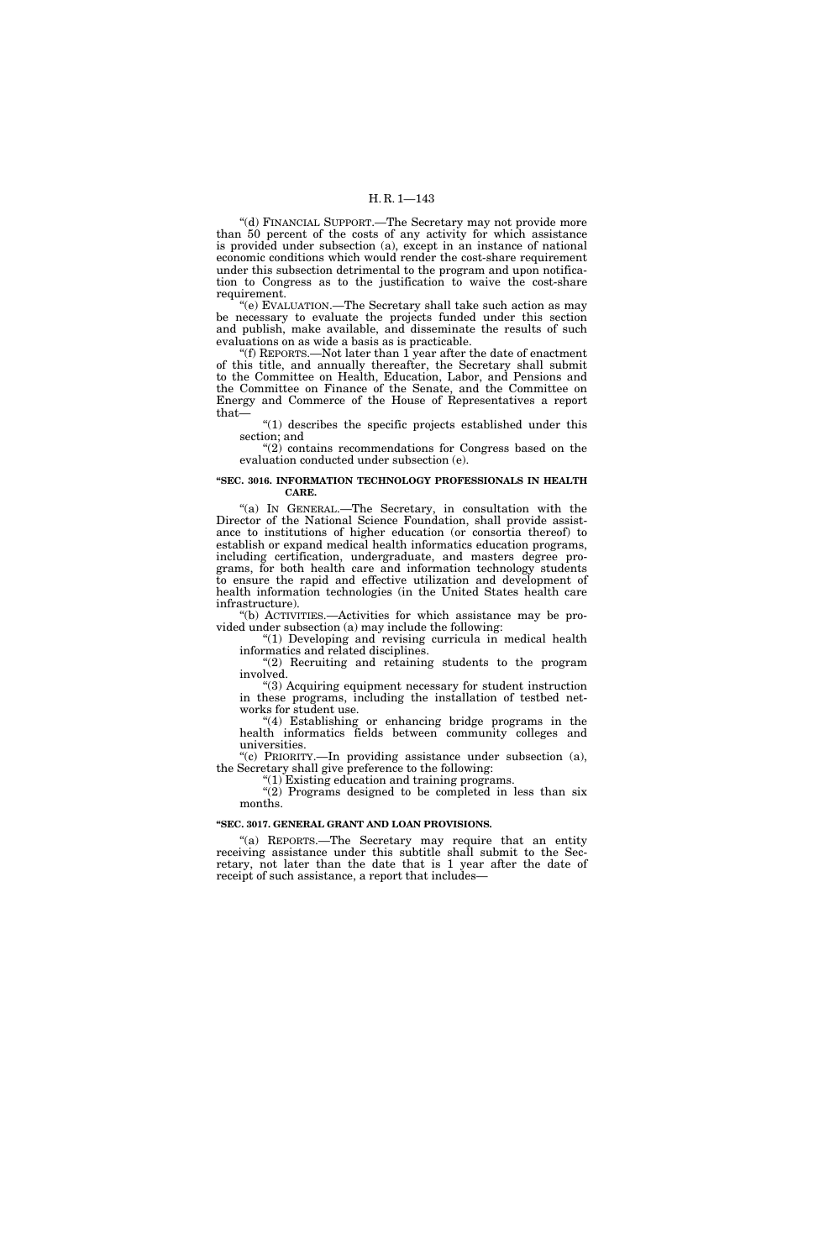''(d) FINANCIAL SUPPORT.—The Secretary may not provide more than 50 percent of the costs of any activity for which assistance is provided under subsection (a), except in an instance of national economic conditions which would render the cost-share requirement under this subsection detrimental to the program and upon notification to Congress as to the justification to waive the cost-share requirement.

''(e) EVALUATION.—The Secretary shall take such action as may be necessary to evaluate the projects funded under this section and publish, make available, and disseminate the results of such evaluations on as wide a basis as is practicable.

''(f) REPORTS.—Not later than 1 year after the date of enactment of this title, and annually thereafter, the Secretary shall submit to the Committee on Health, Education, Labor, and Pensions and the Committee on Finance of the Senate, and the Committee on Energy and Commerce of the House of Representatives a report that—

" $(1)$  describes the specific projects established under this section; and

"(2) contains recommendations for Congress based on the evaluation conducted under subsection (e).

#### **''SEC. 3016. INFORMATION TECHNOLOGY PROFESSIONALS IN HEALTH CARE.**

"(a) IN GENERAL.—The Secretary, in consultation with the Director of the National Science Foundation, shall provide assistance to institutions of higher education (or consortia thereof) to establish or expand medical health informatics education programs, including certification, undergraduate, and masters degree programs, for both health care and information technology students to ensure the rapid and effective utilization and development of health information technologies (in the United States health care infrastructure).

''(b) ACTIVITIES.—Activities for which assistance may be provided under subsection (a) may include the following:

"(1) Developing and revising curricula in medical health informatics and related disciplines.

"(2) Recruiting and retaining students to the program involved.

''(3) Acquiring equipment necessary for student instruction in these programs, including the installation of testbed networks for student use.

''(4) Establishing or enhancing bridge programs in the health informatics fields between community colleges and universities.

"(c) PRIORITY.—In providing assistance under subsection (a), the Secretary shall give preference to the following:

''(1) Existing education and training programs.  $'(2)$  Programs designed to be completed in less than six months.

#### **''SEC. 3017. GENERAL GRANT AND LOAN PROVISIONS.**

"(a) REPORTS.—The Secretary may require that an entity receiving assistance under this subtitle shall submit to the Secretary, not later than the date that is 1 year after the date of receipt of such assistance, a report that includes—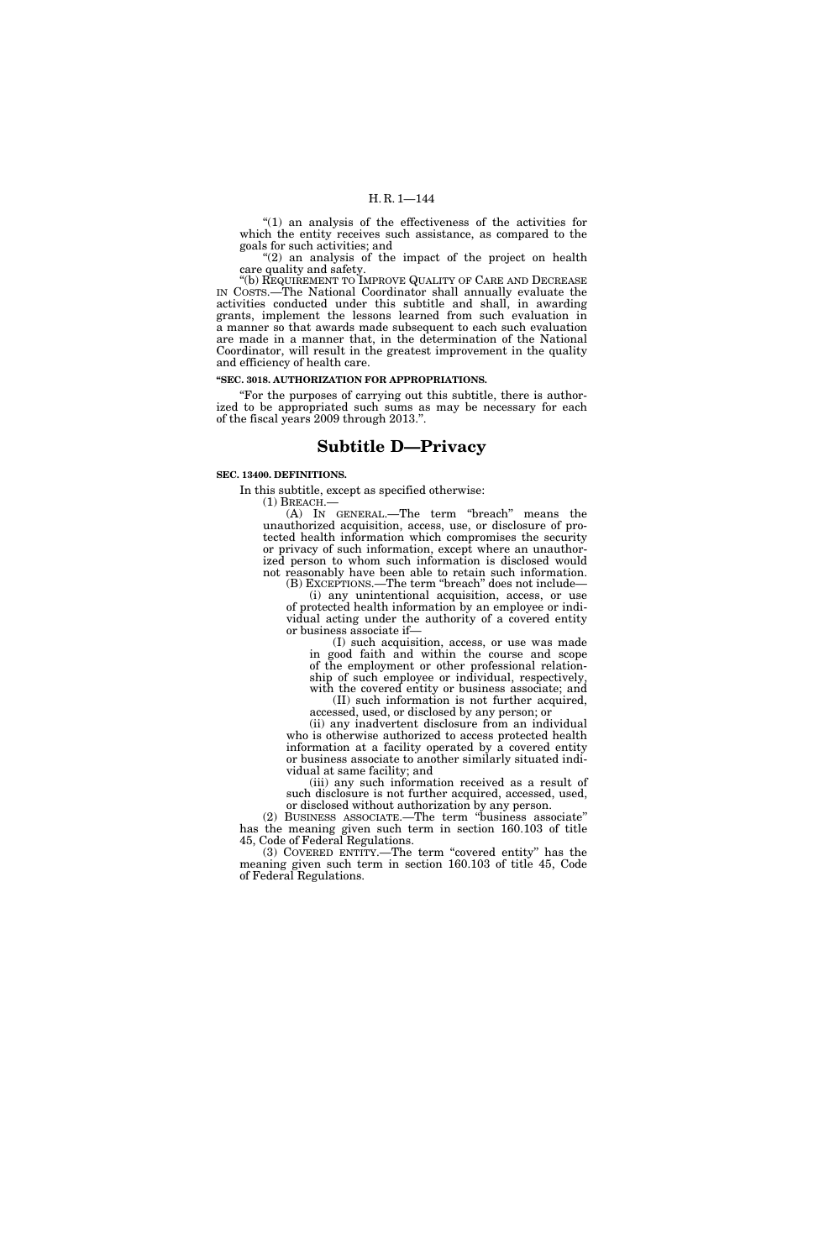''(1) an analysis of the effectiveness of the activities for which the entity receives such assistance, as compared to the goals for such activities; and

"(2) an analysis of the impact of the project on health care quality and safety.

''(b) REQUIREMENT TO IMPROVE QUALITY OF CARE AND DECREASE IN COSTS.—The National Coordinator shall annually evaluate the activities conducted under this subtitle and shall, in awarding grants, implement the lessons learned from such evaluation in a manner so that awards made subsequent to each such evaluation are made in a manner that, in the determination of the National Coordinator, will result in the greatest improvement in the quality and efficiency of health care.

### **''SEC. 3018. AUTHORIZATION FOR APPROPRIATIONS.**

''For the purposes of carrying out this subtitle, there is authorized to be appropriated such sums as may be necessary for each of the fiscal years 2009 through 2013.''.

## **Subtitle D—Privacy**

#### **SEC. 13400. DEFINITIONS.**

In this subtitle, except as specified otherwise:

(1) BREACH.— (A) IN GENERAL.—The term ''breach'' means the unauthorized acquisition, access, use, or disclosure of protected health information which compromises the security or privacy of such information, except where an unauthorized person to whom such information is disclosed would not reasonably have been able to retain such information.

(B) EXCEPTIONS.—The term ''breach'' does not include— (i) any unintentional acquisition, access, or use of protected health information by an employee or individual acting under the authority of a covered entity or business associate if—

(I) such acquisition, access, or use was made in good faith and within the course and scope of the employment or other professional relationship of such employee or individual, respectively, with the covered entity or business associate; and (II) such information is not further acquired,

accessed, used, or disclosed by any person; or (ii) any inadvertent disclosure from an individual who is otherwise authorized to access protected health

information at a facility operated by a covered entity or business associate to another similarly situated individual at same facility; and

(iii) any such information received as a result of such disclosure is not further acquired, accessed, used, or disclosed without authorization by any person.

(2) BUSINESS ASSOCIATE.—The term ''business associate'' has the meaning given such term in section 160.103 of title 45, Code of Federal Regulations.

(3) COVERED ENTITY.—The term ''covered entity'' has the meaning given such term in section 160.103 of title 45, Code of Federal Regulations.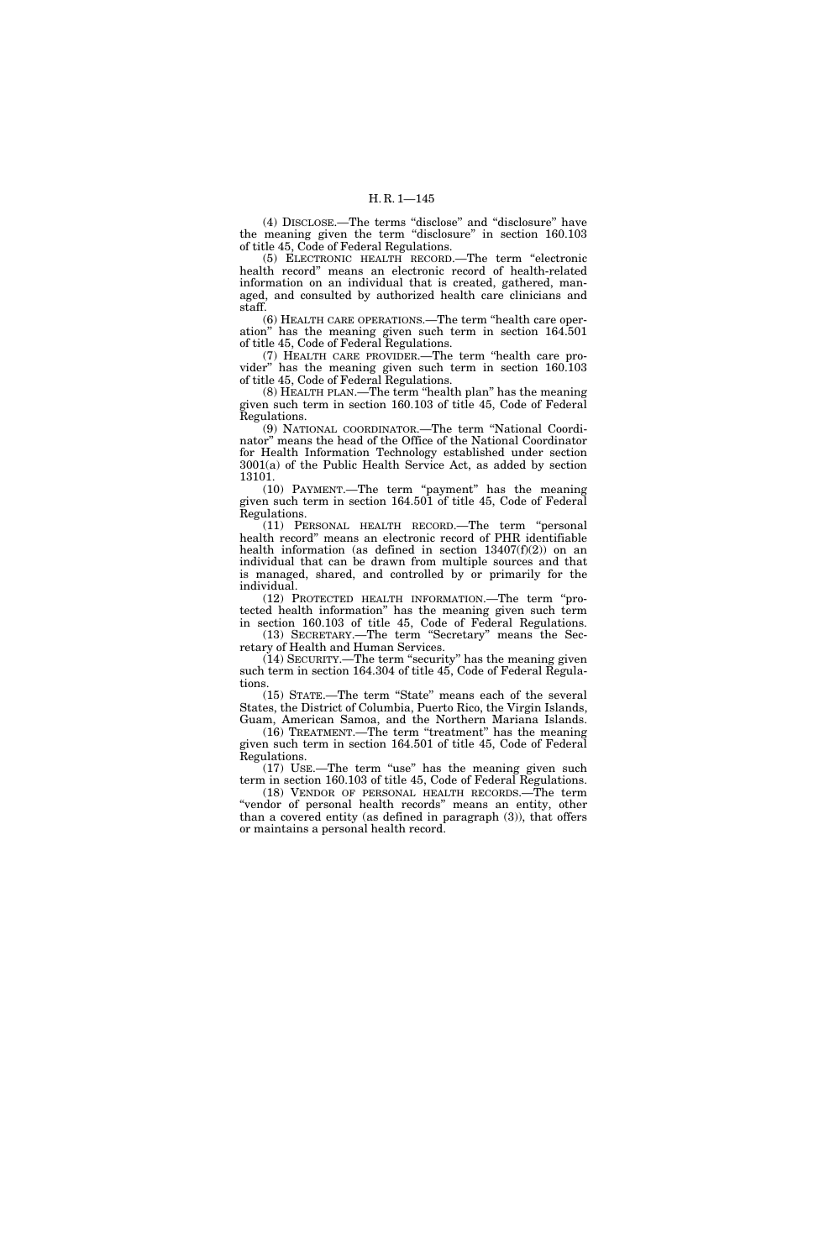(4) DISCLOSE.—The terms ''disclose'' and ''disclosure'' have the meaning given the term ''disclosure'' in section 160.103 of title 45, Code of Federal Regulations.

(5) ELECTRONIC HEALTH RECORD.—The term ''electronic health record'' means an electronic record of health-related information on an individual that is created, gathered, managed, and consulted by authorized health care clinicians and staff.

(6) HEALTH CARE OPERATIONS.—The term ''health care operation'' has the meaning given such term in section 164.501 of title 45, Code of Federal Regulations.

(7) HEALTH CARE PROVIDER.—The term ''health care provider'' has the meaning given such term in section 160.103 of title 45, Code of Federal Regulations.

(8) HEALTH PLAN.—The term ''health plan'' has the meaning given such term in section 160.103 of title 45, Code of Federal Regulations.

(9) NATIONAL COORDINATOR.—The term ''National Coordinator'' means the head of the Office of the National Coordinator for Health Information Technology established under section 3001(a) of the Public Health Service Act, as added by section 13101.

(10) PAYMENT.—The term "payment" has the meaning given such term in section 164.501 of title 45, Code of Federal Regulations.

(11) PERSONAL HEALTH RECORD.—The term ''personal health record'' means an electronic record of PHR identifiable health information (as defined in section  $13407(f)(2)$ ) on an individual that can be drawn from multiple sources and that is managed, shared, and controlled by or primarily for the individual.

(12) PROTECTED HEALTH INFORMATION.—The term ''protected health information'' has the meaning given such term in section 160.103 of title 45, Code of Federal Regulations. (13) SECRETARY.—The term ''Secretary'' means the Sec-

retary of Health and Human Services.

(14) SECURITY.—The term ''security'' has the meaning given such term in section 164.304 of title 45, Code of Federal Regulations.

(15) STATE.—The term ''State'' means each of the several States, the District of Columbia, Puerto Rico, the Virgin Islands, Guam, American Samoa, and the Northern Mariana Islands.

(16) TREATMENT.—The term ''treatment'' has the meaning given such term in section 164.501 of title 45, Code of Federal Regulations.

(17) USE.—The term ''use'' has the meaning given such term in section 160.103 of title 45, Code of Federal Regulations. (18) VENDOR OF PERSONAL HEALTH RECORDS.—The term ''vendor of personal health records'' means an entity, other than a covered entity (as defined in paragraph (3)), that offers or maintains a personal health record.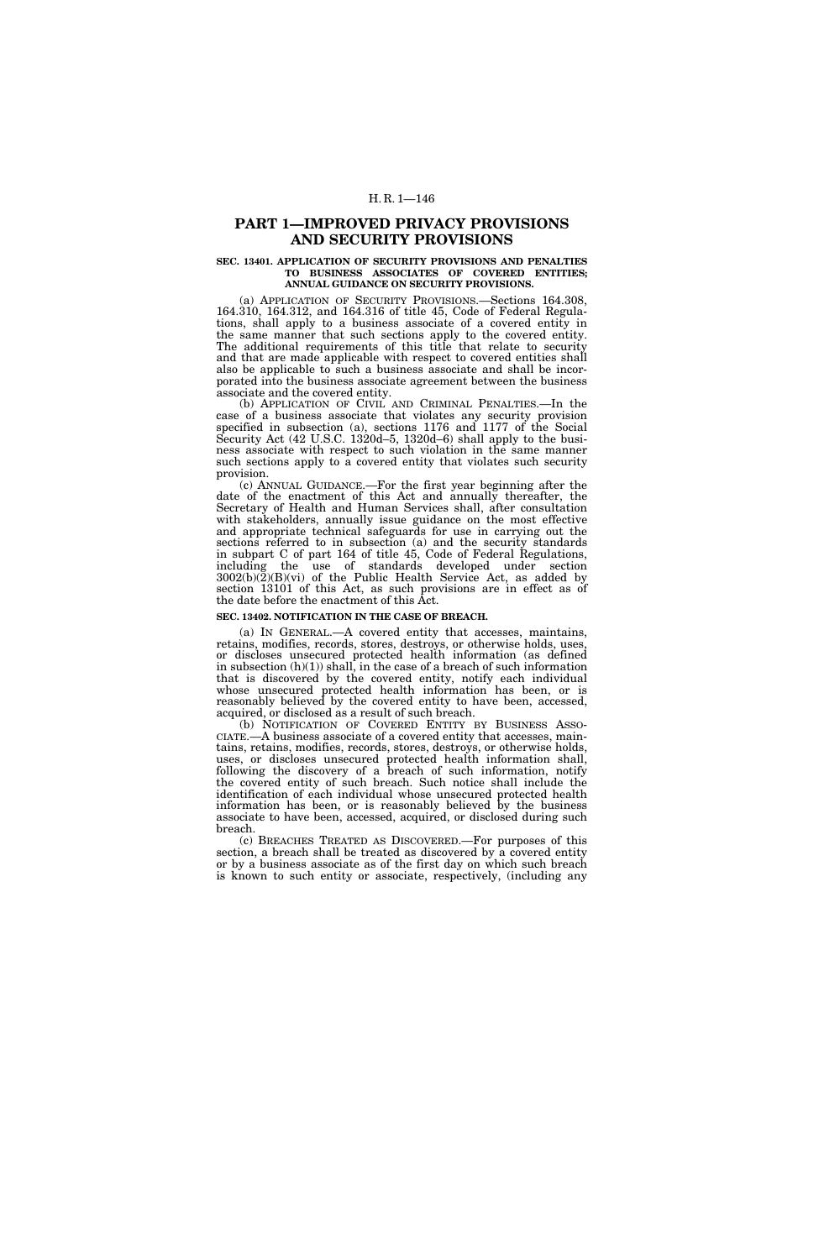## H. R. 1—146

## **PART 1—IMPROVED PRIVACY PROVISIONS AND SECURITY PROVISIONS**

#### **SEC. 13401. APPLICATION OF SECURITY PROVISIONS AND PENALTIES TO BUSINESS ASSOCIATES OF COVERED ENTITIES; ANNUAL GUIDANCE ON SECURITY PROVISIONS.**

(a) APPLICATION OF SECURITY PROVISIONS.—Sections 164.308, 164.310, 164.312, and 164.316 of title 45, Code of Federal Regulations, shall apply to a business associate of a covered entity in the same manner that such sections apply to the covered entity. The additional requirements of this title that relate to security and that are made applicable with respect to covered entities shall also be applicable to such a business associate and shall be incorporated into the business associate agreement between the business associate and the covered entity.

(b) APPLICATION OF CIVIL AND CRIMINAL PENALTIES.—In the case of a business associate that violates any security provision specified in subsection (a), sections 1176 and 1177 of the Social Security Act (42 U.S.C. 1320d–5, 1320d–6) shall apply to the business associate with respect to such violation in the same manner such sections apply to a covered entity that violates such security provision.

(c) ANNUAL GUIDANCE.—For the first year beginning after the date of the enactment of this Act and annually thereafter, the Secretary of Health and Human Services shall, after consultation with stakeholders, annually issue guidance on the most effective and appropriate technical safeguards for use in carrying out the sections referred to in subsection (a) and the security standards in subpart C of part 164 of title 45, Code of Federal Regulations, including the use of standards developed under section  $3002(b)(2)(B)(vi)$  of the Public Health Service Act, as added by section 13101 of this Act, as such provisions are in effect as of the date before the enactment of this Act.

## **SEC. 13402. NOTIFICATION IN THE CASE OF BREACH.**

(a) IN GENERAL.—A covered entity that accesses, maintains, retains, modifies, records, stores, destroys, or otherwise holds, uses, or discloses unsecured protected health information (as defined in subsection  $(h)(1)$  shall, in the case of a breach of such information that is discovered by the covered entity, notify each individual whose unsecured protected health information has been, or is reasonably believed by the covered entity to have been, accessed, acquired, or disclosed as a result of such breach.

CIATE.—A business associate of a covered entity that accesses, maintains, retains, modifies, records, stores, destroys, or otherwise holds, uses, or discloses unsecured protected health information shall, following the discovery of a breach of such information, notify the covered entity of such breach. Such notice shall include the identification of each individual whose unsecured protected health information has been, or is reasonably believed by the business associate to have been, accessed, acquired, or disclosed during such breach.

(c) BREACHES TREATED AS DISCOVERED.—For purposes of this section, a breach shall be treated as discovered by a covered entity or by a business associate as of the first day on which such breach is known to such entity or associate, respectively, (including any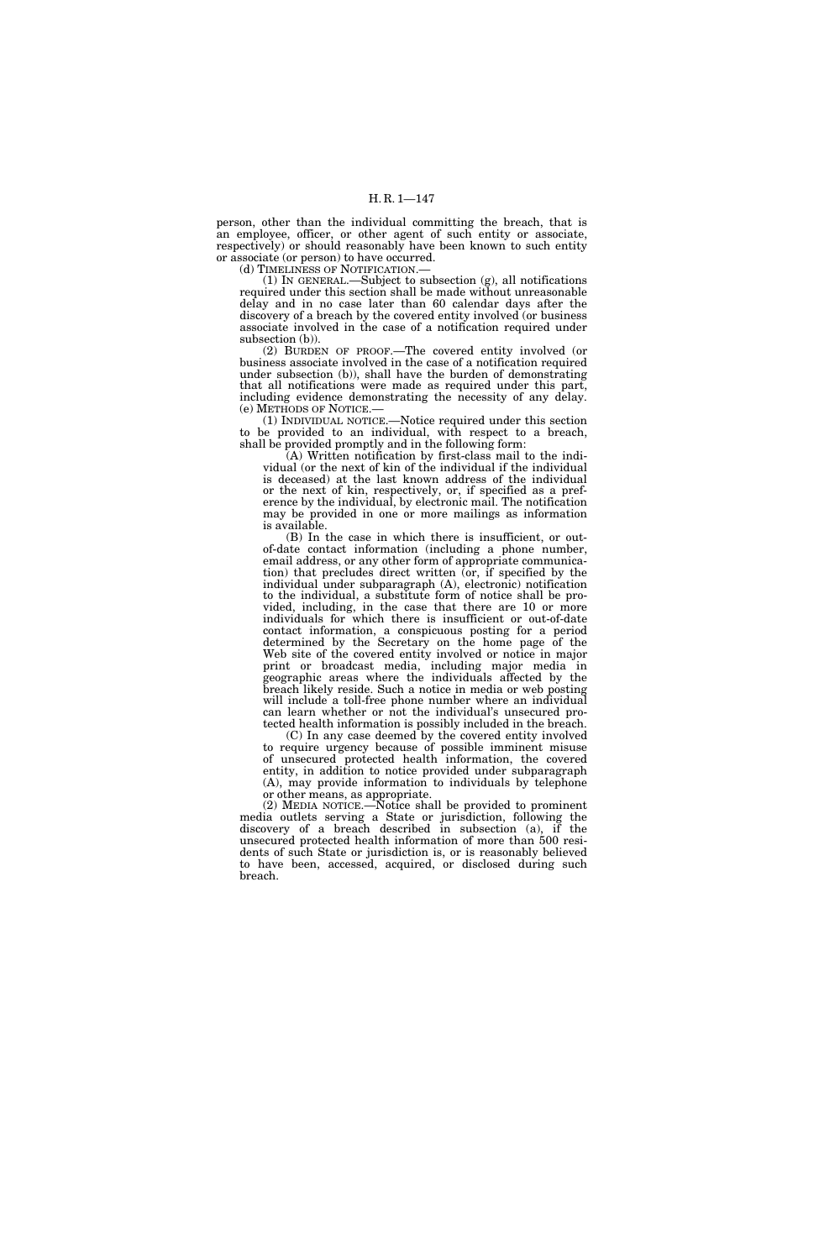person, other than the individual committing the breach, that is an employee, officer, or other agent of such entity or associate, respectively) or should reasonably have been known to such entity or associate (or person) to have occurred.

(d) TIMELINESS OF NOTIFICATION.—

(1) IN GENERAL.—Subject to subsection (g), all notifications required under this section shall be made without unreasonable delay and in no case later than 60 calendar days after the discovery of a breach by the covered entity involved (or business associate involved in the case of a notification required under subsection (b)).

(2) BURDEN OF PROOF.—The covered entity involved (or business associate involved in the case of a notification required under subsection (b)), shall have the burden of demonstrating that all notifications were made as required under this part, including evidence demonstrating the necessity of any delay. (e) METHODS OF NOTICE.—

(1) INDIVIDUAL NOTICE.—Notice required under this section to be provided to an individual, with respect to a breach, shall be provided promptly and in the following form:

(A) Written notification by first-class mail to the individual (or the next of kin of the individual if the individual is deceased) at the last known address of the individual or the next of kin, respectively, or, if specified as a preference by the individual, by electronic mail. The notification may be provided in one or more mailings as information is available.

(B) In the case in which there is insufficient, or outof-date contact information (including a phone number, email address, or any other form of appropriate communication) that precludes direct written (or, if specified by the individual under subparagraph (A), electronic) notification to the individual, a substitute form of notice shall be provided, including, in the case that there are 10 or more individuals for which there is insufficient or out-of-date contact information, a conspicuous posting for a period determined by the Secretary on the home page of the Web site of the covered entity involved or notice in major print or broadcast media, including major media in geographic areas where the individuals affected by the breach likely reside. Such a notice in media or web posting will include a toll-free phone number where an individual can learn whether or not the individual's unsecured protected health information is possibly included in the breach.

(C) In any case deemed by the covered entity involved to require urgency because of possible imminent misuse of unsecured protected health information, the covered entity, in addition to notice provided under subparagraph (A), may provide information to individuals by telephone or other means, as appropriate.

(2) MEDIA NOTICE.—Notice shall be provided to prominent media outlets serving a State or jurisdiction, following the discovery of a breach described in subsection (a), if the unsecured protected health information of more than 500 residents of such State or jurisdiction is, or is reasonably believed to have been, accessed, acquired, or disclosed during such breach.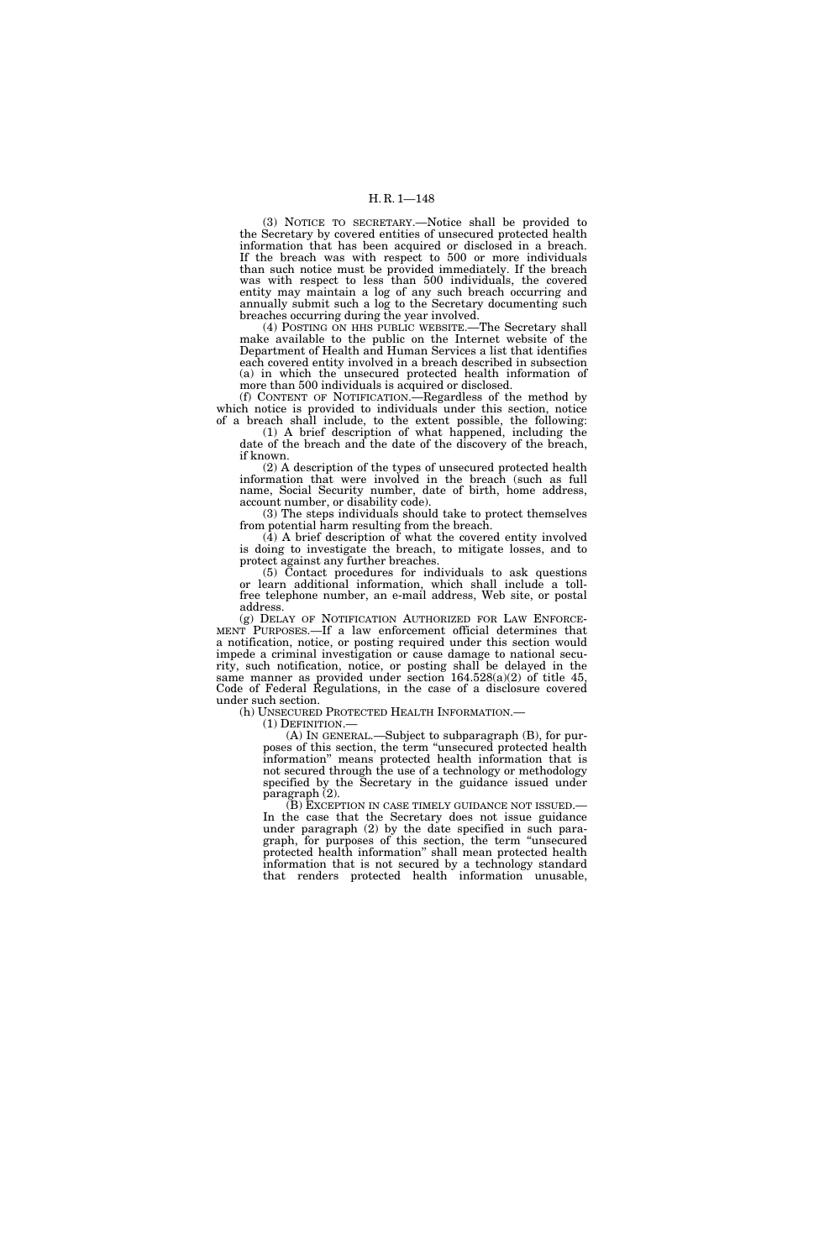(3) NOTICE TO SECRETARY.—Notice shall be provided to the Secretary by covered entities of unsecured protected health information that has been acquired or disclosed in a breach. If the breach was with respect to 500 or more individuals than such notice must be provided immediately. If the breach was with respect to less than 500 individuals, the covered entity may maintain a log of any such breach occurring and annually submit such a log to the Secretary documenting such breaches occurring during the year involved.

(4) POSTING ON HHS PUBLIC WEBSITE.—The Secretary shall make available to the public on the Internet website of the Department of Health and Human Services a list that identifies each covered entity involved in a breach described in subsection (a) in which the unsecured protected health information of more than 500 individuals is acquired or disclosed.

(f) CONTENT OF NOTIFICATION.—Regardless of the method by which notice is provided to individuals under this section, notice of a breach shall include, to the extent possible, the following:

(1) A brief description of what happened, including the date of the breach and the date of the discovery of the breach, if known.

(2) A description of the types of unsecured protected health information that were involved in the breach (such as full name, Social Security number, date of birth, home address, account number, or disability code).

(3) The steps individuals should take to protect themselves from potential harm resulting from the breach.

(4) A brief description of what the covered entity involved is doing to investigate the breach, to mitigate losses, and to protect against any further breaches.

(5) Contact procedures for individuals to ask questions or learn additional information, which shall include a tollfree telephone number, an e-mail address, Web site, or postal address.

(g) DELAY OF NOTIFICATION AUTHORIZED FOR LAW ENFORCE- MENT PURPOSES.—If a law enforcement official determines that a notification, notice, or posting required under this section would impede a criminal investigation or cause damage to national security, such notification, notice, or posting shall be delayed in the same manner as provided under section 164.528(a)(2) of title 45, Code of Federal Regulations, in the case of a disclosure covered under such section.

(h) UNSECURED PROTECTED HEALTH INFORMATION.—

(1) DEFINITION.—

(A) IN GENERAL.—Subject to subparagraph (B), for purposes of this section, the term ''unsecured protected health information'' means protected health information that is not secured through the use of a technology or methodology specified by the Secretary in the guidance issued under paragraph (2).<br>(B) EXCEPTION IN CASE TIMELY GUIDANCE NOT ISSUED.—

In the case that the Secretary does not issue guidance under paragraph (2) by the date specified in such paragraph, for purposes of this section, the term ''unsecured protected health information'' shall mean protected health information that is not secured by a technology standard that renders protected health information unusable,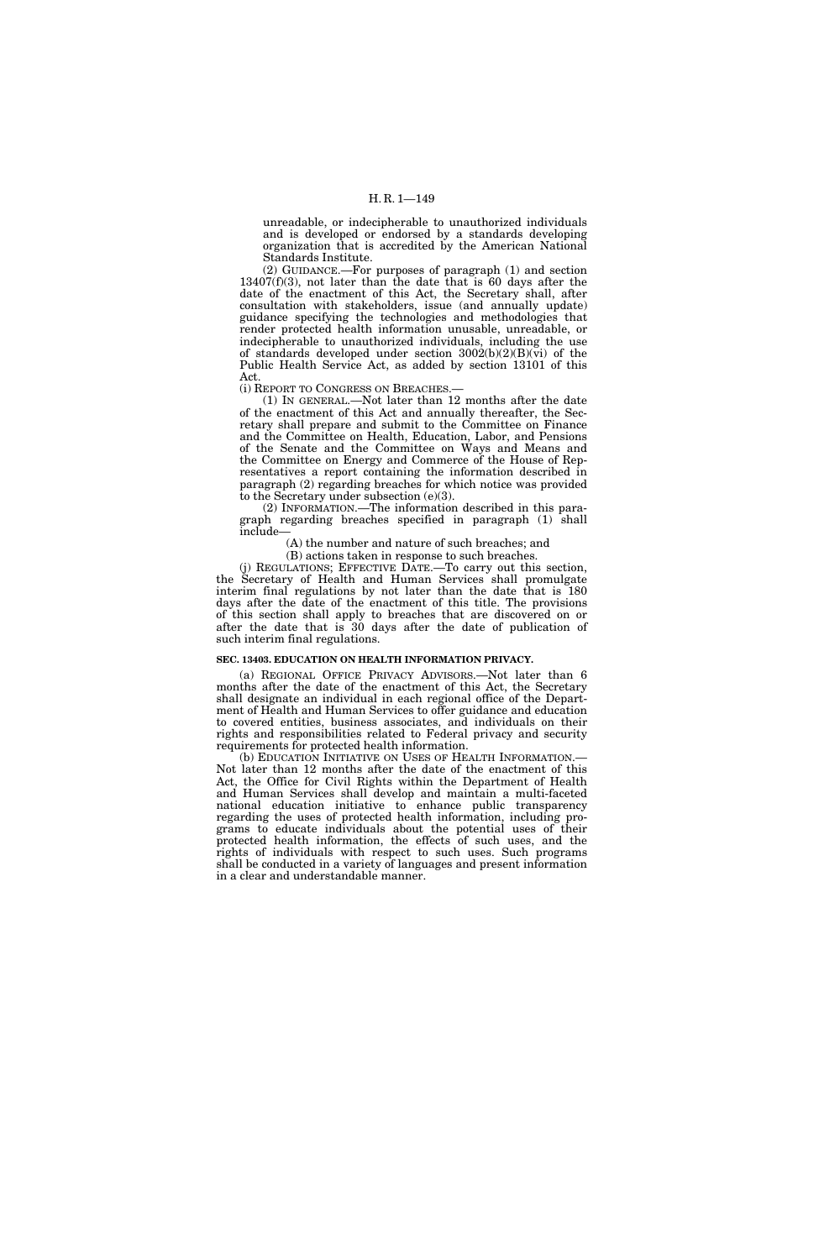unreadable, or indecipherable to unauthorized individuals and is developed or endorsed by a standards developing organization that is accredited by the American National Standards Institute.

(2) GUIDANCE.—For purposes of paragraph (1) and section 13407(f)(3), not later than the date that is 60 days after the date of the enactment of this Act, the Secretary shall, after consultation with stakeholders, issue (and annually update) guidance specifying the technologies and methodologies that render protected health information unusable, unreadable, or indecipherable to unauthorized individuals, including the use of standards developed under section  $3002(b)(2)(B)(vi)$  of the Public Health Service Act, as added by section 13101 of this Act.

(i) REPORT TO CONGRESS ON BREACHES.—

(1) IN GENERAL.—Not later than 12 months after the date of the enactment of this Act and annually thereafter, the Secretary shall prepare and submit to the Committee on Finance and the Committee on Health, Education, Labor, and Pensions of the Senate and the Committee on Ways and Means and the Committee on Energy and Commerce of the House of Representatives a report containing the information described in paragraph (2) regarding breaches for which notice was provided to the Secretary under subsection (e)(3).

(2) INFORMATION.—The information described in this paragraph regarding breaches specified in paragraph (1) shall include—

(A) the number and nature of such breaches; and

(B) actions taken in response to such breaches.

(j) REGULATIONS; EFFECTIVE DATE.—To carry out this section, the Secretary of Health and Human Services shall promulgate interim final regulations by not later than the date that is 180 days after the date of the enactment of this title. The provisions of this section shall apply to breaches that are discovered on or after the date that is 30 days after the date of publication of such interim final regulations.

#### **SEC. 13403. EDUCATION ON HEALTH INFORMATION PRIVACY.**

(a) REGIONAL OFFICE PRIVACY ADVISORS.—Not later than 6 months after the date of the enactment of this Act, the Secretary shall designate an individual in each regional office of the Department of Health and Human Services to offer guidance and education to covered entities, business associates, and individuals on their rights and responsibilities related to Federal privacy and security requirements for protected health information.

(b) EDUCATION INITIATIVE ON USES OF HEALTH INFORMATION.— Not later than 12 months after the date of the enactment of this Act, the Office for Civil Rights within the Department of Health and Human Services shall develop and maintain a multi-faceted national education initiative to enhance public transparency regarding the uses of protected health information, including programs to educate individuals about the potential uses of their protected health information, the effects of such uses, and the rights of individuals with respect to such uses. Such programs shall be conducted in a variety of languages and present information in a clear and understandable manner.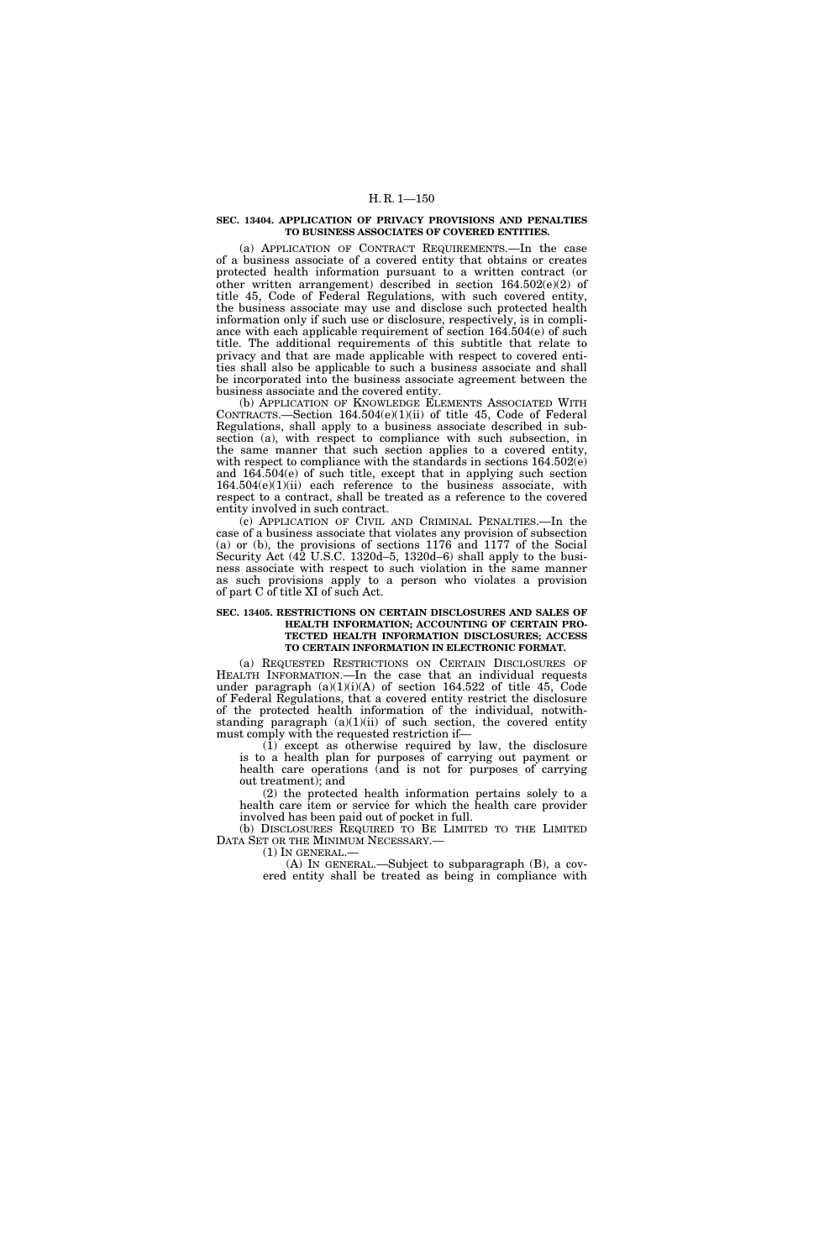## H. R. 1—150

#### **SEC. 13404. APPLICATION OF PRIVACY PROVISIONS AND PENALTIES TO BUSINESS ASSOCIATES OF COVERED ENTITIES.**

(a) APPLICATION OF CONTRACT REQUIREMENTS.—In the case of a business associate of a covered entity that obtains or creates protected health information pursuant to a written contract (or other written arrangement) described in section  $164.502(e)(2)$  of title 45, Code of Federal Regulations, with such covered entity, the business associate may use and disclose such protected health information only if such use or disclosure, respectively, is in compliance with each applicable requirement of section 164.504(e) of such title. The additional requirements of this subtitle that relate to privacy and that are made applicable with respect to covered entities shall also be applicable to such a business associate and shall be incorporated into the business associate agreement between the business associate and the covered entity.

(b) APPLICATION OF KNOWLEDGE ELEMENTS ASSOCIATED WITH CONTRACTS.—Section 164.504(e)(1)(ii) of title 45, Code of Federal Regulations, shall apply to a business associate described in subsection (a), with respect to compliance with such subsection, in the same manner that such section applies to a covered entity, with respect to compliance with the standards in sections  $164.502(e)$ and 164.504(e) of such title, except that in applying such section  $164.504(e)(1)(ii)$  each reference to the business associate, with respect to a contract, shall be treated as a reference to the covered entity involved in such contract.

(c) APPLICATION OF CIVIL AND CRIMINAL PENALTIES.—In the case of a business associate that violates any provision of subsection (a) or (b), the provisions of sections 1176 and 1177 of the Social Security Act (42 U.S.C. 1320d–5, 1320d–6) shall apply to the business associate with respect to such violation in the same manner as such provisions apply to a person who violates a provision of part C of title XI of such Act.

#### **SEC. 13405. RESTRICTIONS ON CERTAIN DISCLOSURES AND SALES OF HEALTH INFORMATION; ACCOUNTING OF CERTAIN PRO-TECTED HEALTH INFORMATION DISCLOSURES; ACCESS TO CERTAIN INFORMATION IN ELECTRONIC FORMAT.**

(a) REQUESTED RESTRICTIONS ON CERTAIN DISCLOSURES OF HEALTH INFORMATION.—In the case that an individual requests under paragraph  $(a)(1)(i)(A)$  of section 164.522 of title 45, Code of Federal Regulations, that a covered entity restrict the disclosure of the protected health information of the individual, notwithstanding paragraph  $(a)(1)(ii)$  of such section, the covered entity must comply with the requested restriction if—

(1) except as otherwise required by law, the disclosure is to a health plan for purposes of carrying out payment or health care operations (and is not for purposes of carrying out treatment); and

(2) the protected health information pertains solely to a health care item or service for which the health care provider involved has been paid out of pocket in full.

(b) DISCLOSURES REQUIRED TO BE LIMITED TO THE LIMITED DATA SET OR THE MINIMUM NECESSARY.—

 $(1)$  In GENERAL.-

(A) IN GENERAL.—Subject to subparagraph (B), a covered entity shall be treated as being in compliance with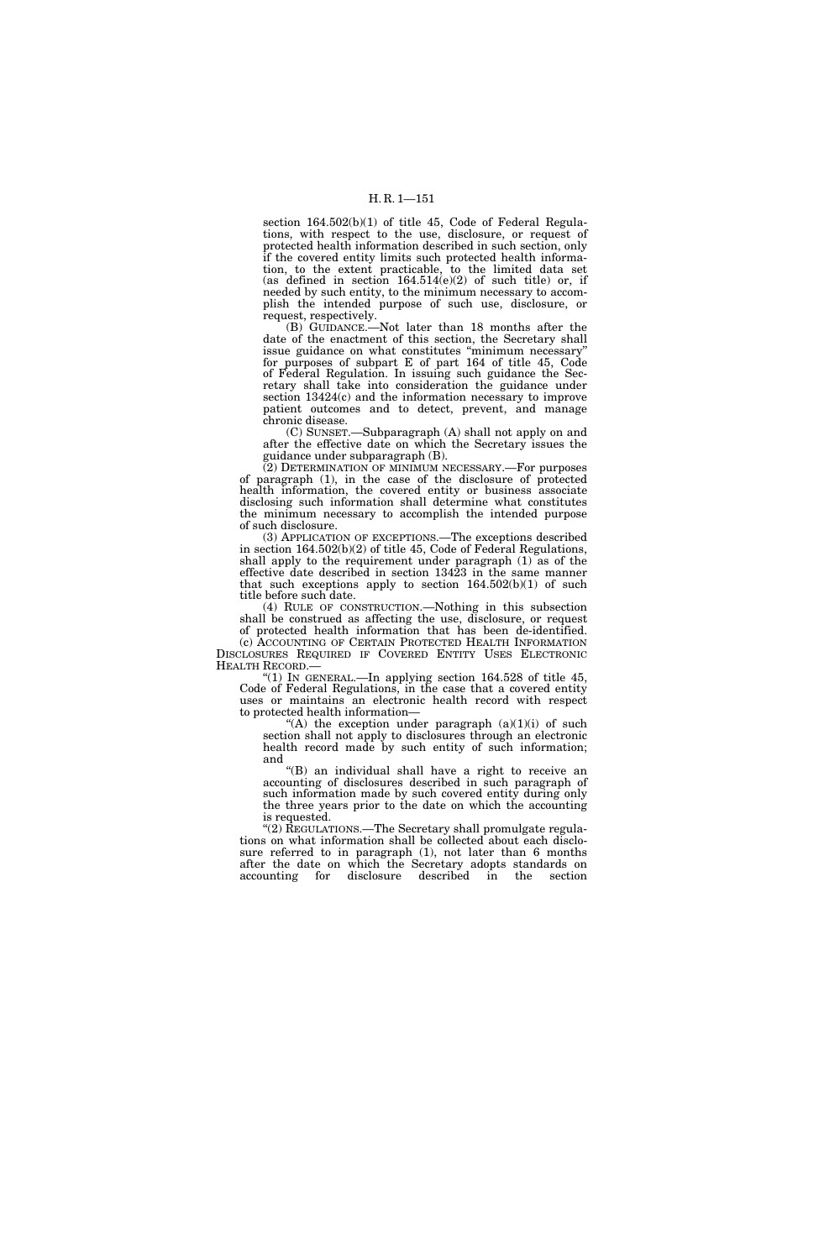section 164.502(b)(1) of title 45, Code of Federal Regulations, with respect to the use, disclosure, or request of protected health information described in such section, only if the covered entity limits such protected health information, to the extent practicable, to the limited data set (as defined in section  $164.514(e)(2)$  of such title) or, if needed by such entity, to the minimum necessary to accomplish the intended purpose of such use, disclosure, or request, respectively.

(B) GUIDANCE.—Not later than 18 months after the date of the enactment of this section, the Secretary shall issue guidance on what constitutes ''minimum necessary'' for purposes of subpart E of part 164 of title 45, Code of Federal Regulation. In issuing such guidance the Secretary shall take into consideration the guidance under section 13424(c) and the information necessary to improve patient outcomes and to detect, prevent, and manage chronic disease.

(C) SUNSET.—Subparagraph (A) shall not apply on and after the effective date on which the Secretary issues the guidance under subparagraph (B).

(2) DETERMINATION OF MINIMUM NECESSARY.—For purposes of paragraph (1), in the case of the disclosure of protected health information, the covered entity or business associate disclosing such information shall determine what constitutes the minimum necessary to accomplish the intended purpose of such disclosure.

(3) APPLICATION OF EXCEPTIONS.—The exceptions described in section 164.502(b)(2) of title 45, Code of Federal Regulations, shall apply to the requirement under paragraph (1) as of the effective date described in section 13423 in the same manner that such exceptions apply to section  $164.502(b)(1)$  of such title before such date.

(4) RULE OF CONSTRUCTION.—Nothing in this subsection shall be construed as affecting the use, disclosure, or request of protected health information that has been de-identified.

(c) ACCOUNTING OF CERTAIN PROTECTED HEALTH INFORMATION DISCLOSURES REQUIRED IF COVERED ENTITY USES ELECTRONIC HEALTH RECORD.—

''(1) IN GENERAL.—In applying section 164.528 of title 45, Code of Federal Regulations, in the case that a covered entity uses or maintains an electronic health record with respect to protected health information—

"(A) the exception under paragraph  $(a)(1)(i)$  of such section shall not apply to disclosures through an electronic health record made by such entity of such information; and

''(B) an individual shall have a right to receive an accounting of disclosures described in such paragraph of such information made by such covered entity during only the three years prior to the date on which the accounting is requested.

"(2) REGULATIONS.—The Secretary shall promulgate regulations on what information shall be collected about each disclosure referred to in paragraph (1), not later than 6 months after the date on which the Secretary adopts standards on disclosure described in the section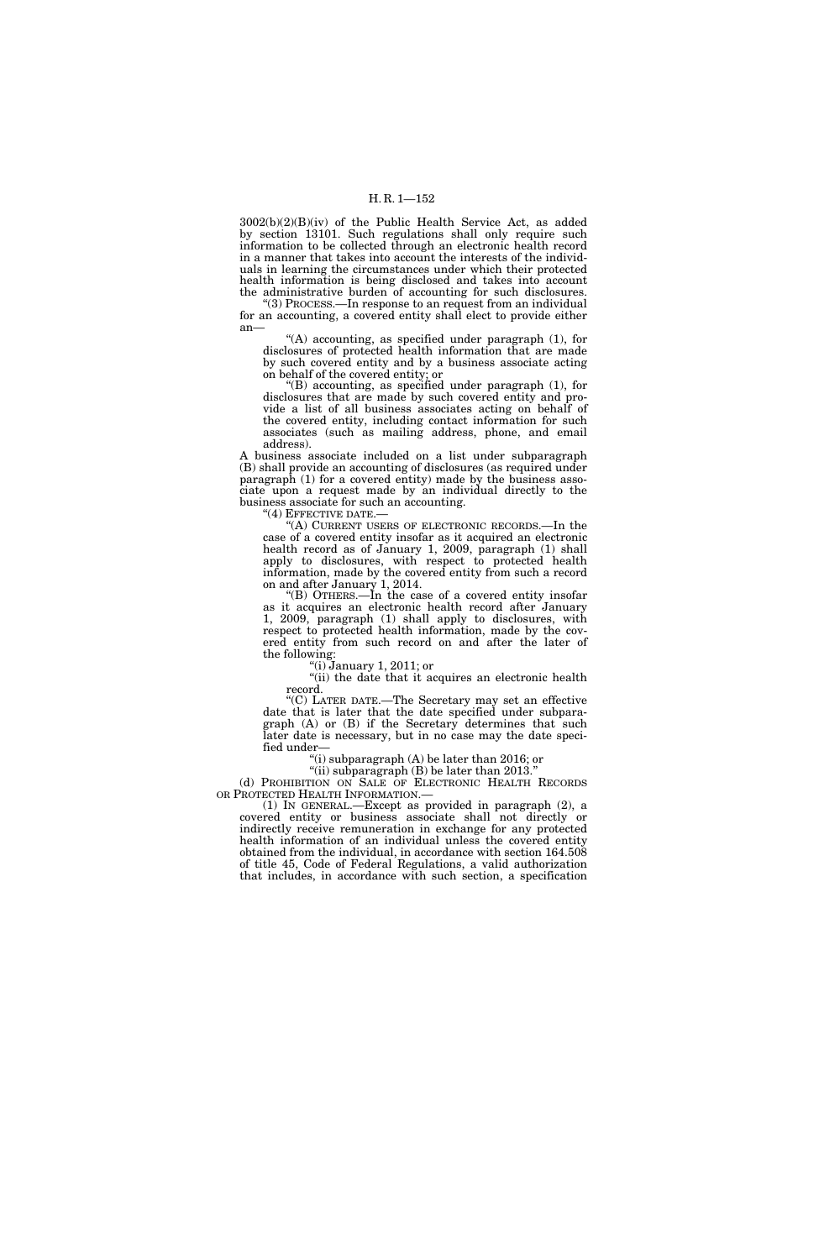3002(b)(2)(B)(iv) of the Public Health Service Act, as added by section 13101. Such regulations shall only require such information to be collected through an electronic health record in a manner that takes into account the interests of the individuals in learning the circumstances under which their protected health information is being disclosed and takes into account the administrative burden of accounting for such disclosures.

''(3) PROCESS.—In response to an request from an individual for an accounting, a covered entity shall elect to provide either an—

"(A) accounting, as specified under paragraph (1), for disclosures of protected health information that are made by such covered entity and by a business associate acting on behalf of the covered entity; or

''(B) accounting, as specified under paragraph (1), for disclosures that are made by such covered entity and provide a list of all business associates acting on behalf of the covered entity, including contact information for such associates (such as mailing address, phone, and email address).

A business associate included on a list under subparagraph (B) shall provide an accounting of disclosures (as required under paragraph (1) for a covered entity) made by the business associate upon a request made by an individual directly to the business associate for such an accounting.

"(4) EFFECTIVE DATE.-

''(A) CURRENT USERS OF ELECTRONIC RECORDS.—In the case of a covered entity insofar as it acquired an electronic health record as of January 1, 2009, paragraph (1) shall apply to disclosures, with respect to protected health information, made by the covered entity from such a record on and after January 1, 2014.

"(B) OTHERS.—In the case of a covered entity insofar as it acquires an electronic health record after January 1, 2009, paragraph (1) shall apply to disclosures, with respect to protected health information, made by the covered entity from such record on and after the later of the following:

 $(i)$  January 1, 2011; or

''(ii) the date that it acquires an electronic health record.

''(C) LATER DATE.—The Secretary may set an effective date that is later that the date specified under subparagraph (A) or (B) if the Secretary determines that such later date is necessary, but in no case may the date specified under—

"(i) subparagraph  $(A)$  be later than 2016; or "(ii) subparagraph  $(B)$  be later than 2013.

(d) PROHIBITION ON SALE OF ELECTRONIC HEALTH RECORDS OR PROTECTED HEALTH INFORMATION.—

(1) IN GENERAL.—Except as provided in paragraph (2), a covered entity or business associate shall not directly or indirectly receive remuneration in exchange for any protected health information of an individual unless the covered entity obtained from the individual, in accordance with section 164.508 of title 45, Code of Federal Regulations, a valid authorization that includes, in accordance with such section, a specification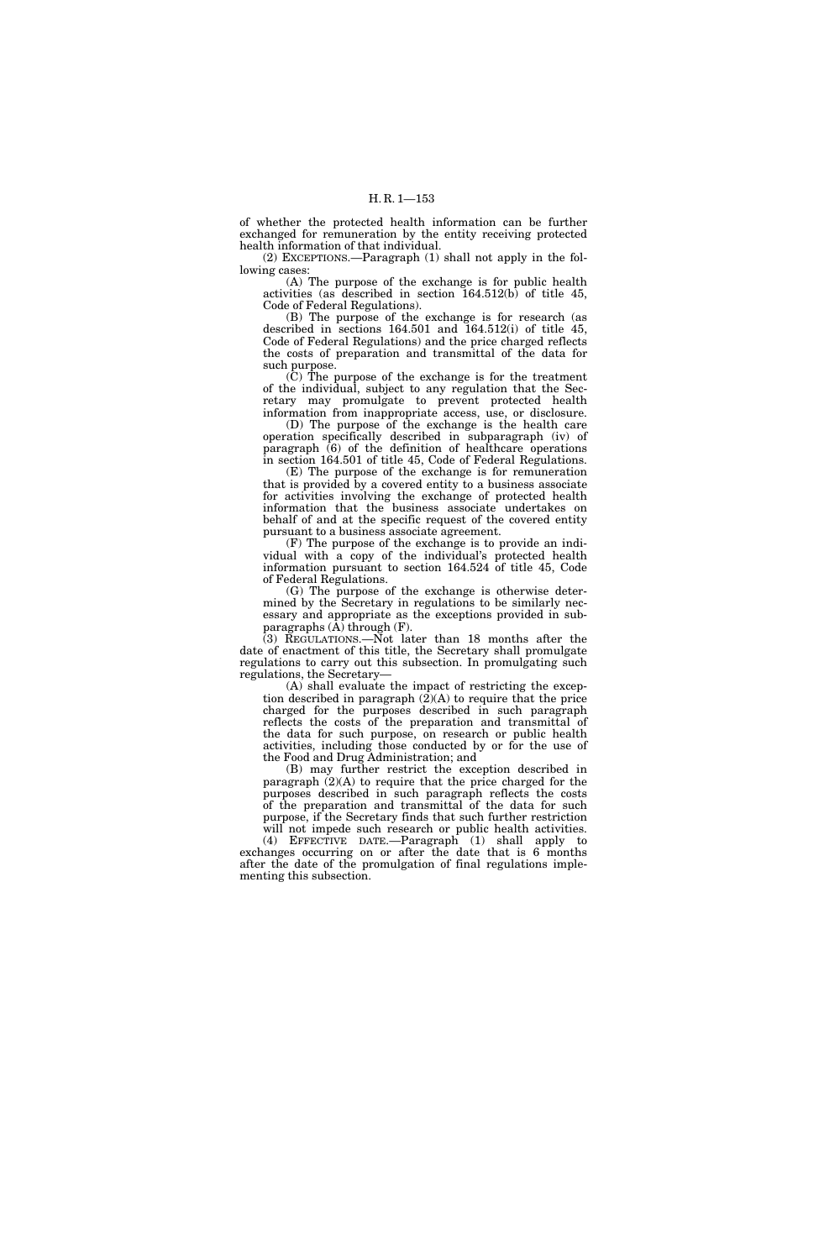of whether the protected health information can be further exchanged for remuneration by the entity receiving protected health information of that individual.

(2) EXCEPTIONS.—Paragraph (1) shall not apply in the following cases:

(A) The purpose of the exchange is for public health activities (as described in section 164.512(b) of title 45, Code of Federal Regulations).

(B) The purpose of the exchange is for research (as described in sections  $164.501$  and  $164.512(i)$  of title 45. Code of Federal Regulations) and the price charged reflects the costs of preparation and transmittal of the data for such purpose.

(C) The purpose of the exchange is for the treatment of the individual, subject to any regulation that the Secretary may promulgate to prevent protected health information from inappropriate access, use, or disclosure.

(D) The purpose of the exchange is the health care operation specifically described in subparagraph (iv) of paragraph (6) of the definition of healthcare operations in section 164.501 of title 45, Code of Federal Regulations.

(E) The purpose of the exchange is for remuneration that is provided by a covered entity to a business associate for activities involving the exchange of protected health information that the business associate undertakes on behalf of and at the specific request of the covered entity pursuant to a business associate agreement.

(F) The purpose of the exchange is to provide an individual with a copy of the individual's protected health information pursuant to section 164.524 of title 45, Code of Federal Regulations.

(G) The purpose of the exchange is otherwise determined by the Secretary in regulations to be similarly necessary and appropriate as the exceptions provided in subparagraphs  $(\hat{A})$  through  $(F)$ .

(3) REGULATIONS.—Not later than 18 months after the date of enactment of this title, the Secretary shall promulgate regulations to carry out this subsection. In promulgating such regulations, the Secretary—

(A) shall evaluate the impact of restricting the exception described in paragraph (2)(A) to require that the price charged for the purposes described in such paragraph reflects the costs of the preparation and transmittal of the data for such purpose, on research or public health activities, including those conducted by or for the use of the Food and Drug Administration; and

(B) may further restrict the exception described in paragraph (2)(A) to require that the price charged for the purposes described in such paragraph reflects the costs of the preparation and transmittal of the data for such purpose, if the Secretary finds that such further restriction will not impede such research or public health activities.

(4) EFFECTIVE DATE.—Paragraph (1) shall apply to exchanges occurring on or after the date that is 6 months after the date of the promulgation of final regulations implementing this subsection.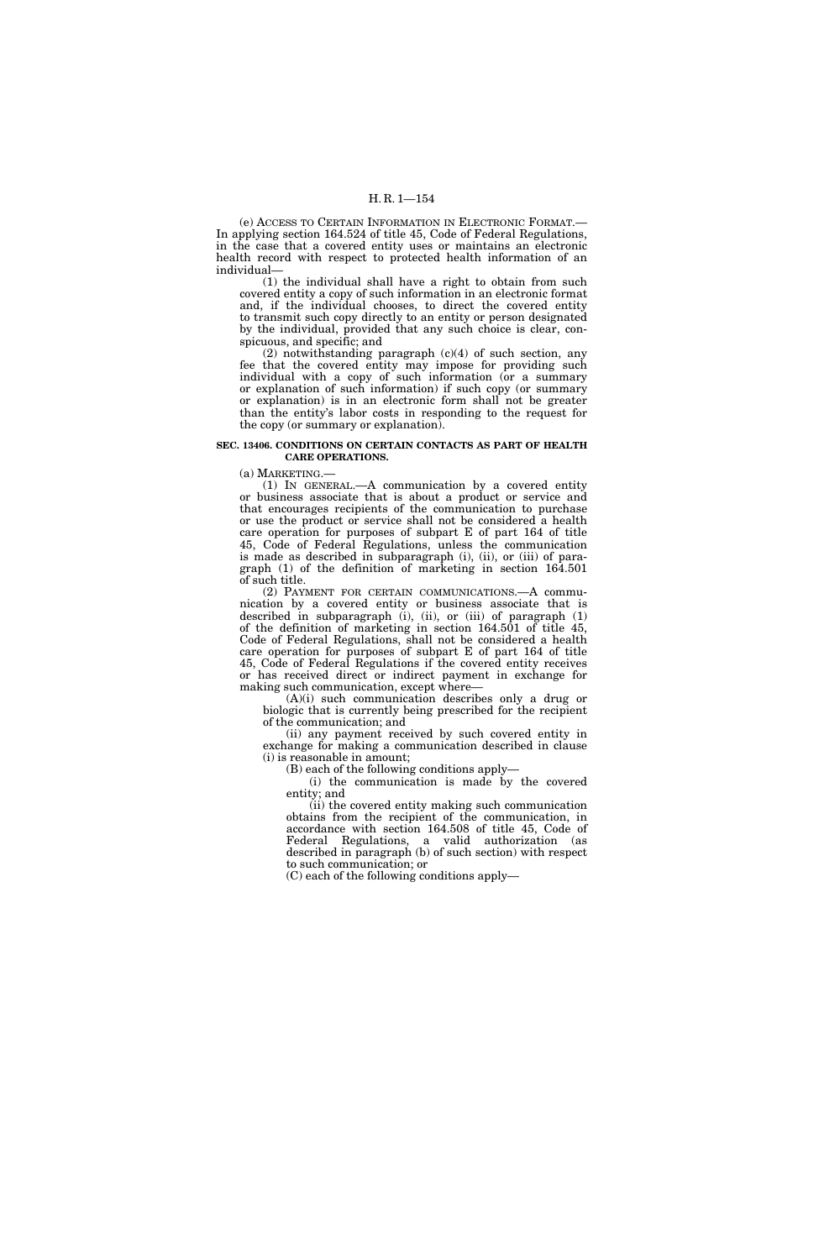(e) ACCESS TO CERTAIN INFORMATION IN ELECTRONIC FORMAT.— In applying section 164.524 of title 45, Code of Federal Regulations, in the case that a covered entity uses or maintains an electronic health record with respect to protected health information of an individual—

(1) the individual shall have a right to obtain from such covered entity a copy of such information in an electronic format and, if the individual chooses, to direct the covered entity to transmit such copy directly to an entity or person designated by the individual, provided that any such choice is clear, conspicuous, and specific; and

(2) notwithstanding paragraph (c)(4) of such section, any fee that the covered entity may impose for providing such individual with a copy of such information (or a summary or explanation of such information) if such copy (or summary or explanation) is in an electronic form shall not be greater than the entity's labor costs in responding to the request for the copy (or summary or explanation).

#### **SEC. 13406. CONDITIONS ON CERTAIN CONTACTS AS PART OF HEALTH CARE OPERATIONS.**

(a) MARKETING.—

(1) IN GENERAL.—A communication by a covered entity or business associate that is about a product or service and that encourages recipients of the communication to purchase or use the product or service shall not be considered a health care operation for purposes of subpart E of part 164 of title 45, Code of Federal Regulations, unless the communication is made as described in subparagraph (i), (ii), or (iii) of paragraph (1) of the definition of marketing in section 164.501 of such title.

(2) PAYMENT FOR CERTAIN COMMUNICATIONS.—A communication by a covered entity or business associate that is described in subparagraph (i), (ii), or (iii) of paragraph (1) of the definition of marketing in section 164.501 of title 45, Code of Federal Regulations, shall not be considered a health care operation for purposes of subpart E of part 164 of title 45, Code of Federal Regulations if the covered entity receives or has received direct or indirect payment in exchange for making such communication, except where—

(A)(i) such communication describes only a drug or biologic that is currently being prescribed for the recipient of the communication; and

(ii) any payment received by such covered entity in exchange for making a communication described in clause (i) is reasonable in amount;

(B) each of the following conditions apply—

(i) the communication is made by the covered entity; and

(ii) the covered entity making such communication obtains from the recipient of the communication, in accordance with section 164.508 of title 45, Code of Federal Regulations, a valid authorization (as described in paragraph (b) of such section) with respect to such communication; or

(C) each of the following conditions apply—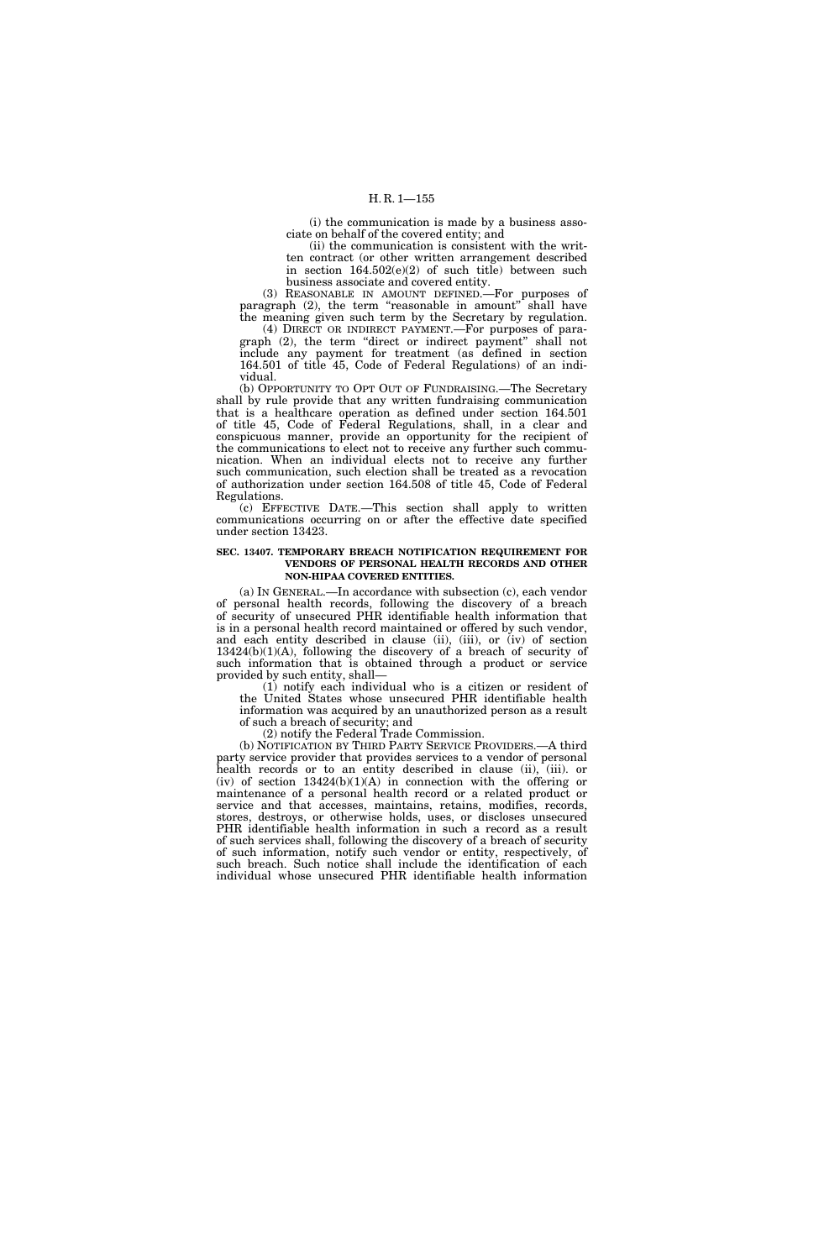(i) the communication is made by a business associate on behalf of the covered entity; and

(ii) the communication is consistent with the written contract (or other written arrangement described in section  $164.502(e)(2)$  of such title) between such business associate and covered entity.

(3) REASONABLE IN AMOUNT DEFINED.—For purposes of paragraph  $(2)$ , the term "reasonable in amount" shall have the meaning given such term by the Secretary by regulation.

(4) DIRECT OR INDIRECT PAYMENT.—For purposes of paragraph (2), the term "direct or indirect payment" shall not include any payment for treatment (as defined in section 164.501 of title 45, Code of Federal Regulations) of an individual.

(b) OPPORTUNITY TO OPT OUT OF FUNDRAISING.—The Secretary shall by rule provide that any written fundraising communication that is a healthcare operation as defined under section 164.501 of title 45, Code of Federal Regulations, shall, in a clear and conspicuous manner, provide an opportunity for the recipient of the communications to elect not to receive any further such communication. When an individual elects not to receive any further such communication, such election shall be treated as a revocation of authorization under section 164.508 of title 45, Code of Federal Regulations.

(c) EFFECTIVE DATE.—This section shall apply to written communications occurring on or after the effective date specified under section 13423.

#### **SEC. 13407. TEMPORARY BREACH NOTIFICATION REQUIREMENT FOR VENDORS OF PERSONAL HEALTH RECORDS AND OTHER NON-HIPAA COVERED ENTITIES.**

(a) IN GENERAL.—In accordance with subsection (c), each vendor of personal health records, following the discovery of a breach of security of unsecured PHR identifiable health information that is in a personal health record maintained or offered by such vendor, and each entity described in clause (ii), (iii), or (iv) of section 13424(b)(1)(A), following the discovery of a breach of security of such information that is obtained through a product or service provided by such entity, shall—

(1) notify each individual who is a citizen or resident of the United States whose unsecured PHR identifiable health information was acquired by an unauthorized person as a result of such a breach of security; and

(2) notify the Federal Trade Commission.

(b) NOTIFICATION BY THIRD PARTY SERVICE PROVIDERS.—A third party service provider that provides services to a vendor of personal health records or to an entity described in clause (ii), (iii). or (iv) of section 13424(b)(1)(A) in connection with the offering or maintenance of a personal health record or a related product or service and that accesses, maintains, retains, modifies, records, stores, destroys, or otherwise holds, uses, or discloses unsecured PHR identifiable health information in such a record as a result of such services shall, following the discovery of a breach of security of such information, notify such vendor or entity, respectively, of such breach. Such notice shall include the identification of each individual whose unsecured PHR identifiable health information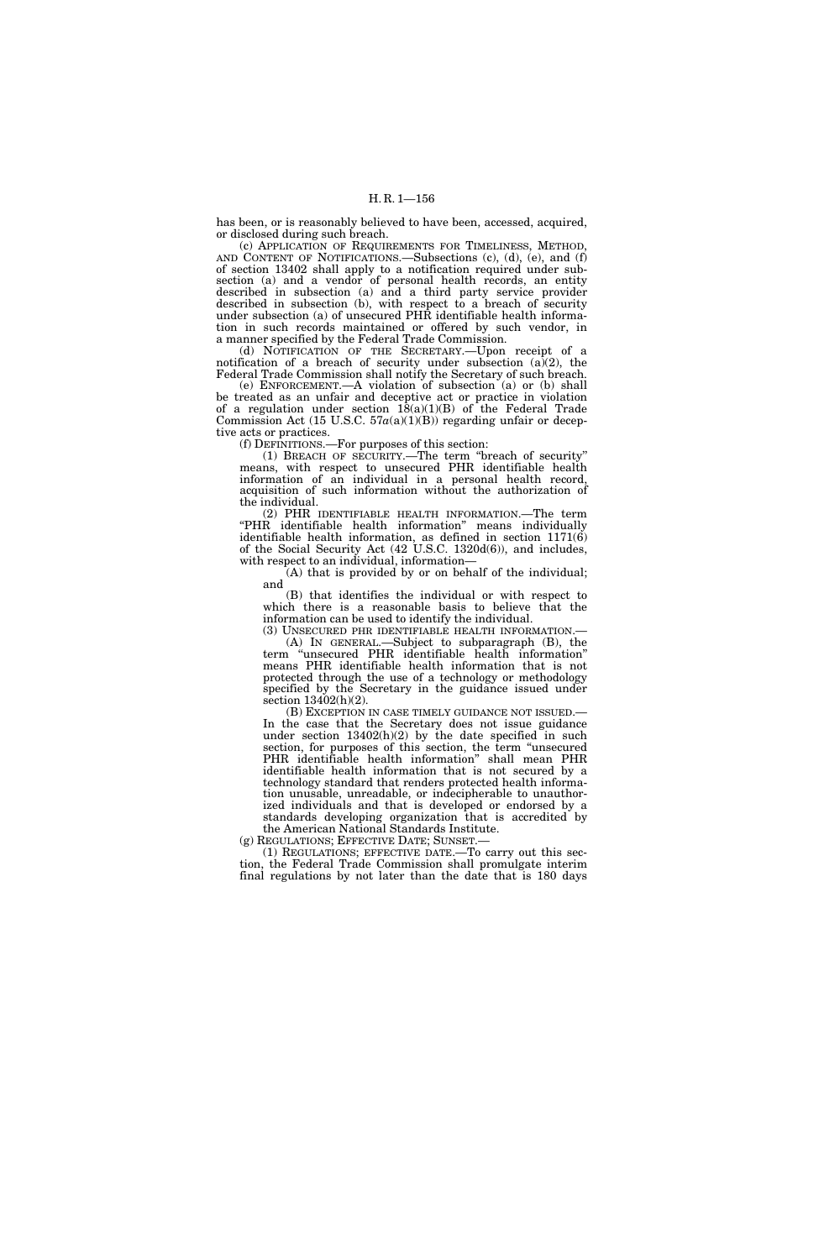has been, or is reasonably believed to have been, accessed, acquired, or disclosed during such breach.

(c) APPLICATION OF REQUIREMENTS FOR TIMELINESS, METHOD, AND CONTENT OF NOTIFICATIONS.—Subsections (c), (d), (e), and (f) of section 13402 shall apply to a notification required under subsection (a) and a vendor of personal health records, an entity described in subsection (a) and a third party service provider described in subsection (b), with respect to a breach of security under subsection (a) of unsecured PHR identifiable health information in such records maintained or offered by such vendor, in a manner specified by the Federal Trade Commission.

(d) NOTIFICATION OF THE SECRETARY.—Upon receipt of a notification of a breach of security under subsection (a)(2), the Federal Trade Commission shall notify the Secretary of such breach.

(e) ENFORCEMENT.—A violation of subsection (a) or (b) shall be treated as an unfair and deceptive act or practice in violation of a regulation under section  $18(a)(1)(B)$  of the Federal Trade Commission Act (15 U.S.C.  $57a(a)(1)(B)$ ) regarding unfair or deceptive acts or practices.

(f) DEFINITIONS.—For purposes of this section:

(1) BREACH OF SECURITY.—The term ''breach of security'' means, with respect to unsecured PHR identifiable health information of an individual in a personal health record, acquisition of such information without the authorization of the individual.

(2) PHR IDENTIFIABLE HEALTH INFORMATION.—The term ''PHR identifiable health information'' means individually identifiable health information, as defined in section 1171(6) of the Social Security Act (42 U.S.C. 1320d(6)), and includes, with respect to an individual, information—

(A) that is provided by or on behalf of the individual; and

(B) that identifies the individual or with respect to which there is a reasonable basis to believe that the information can be used to identify the individual.

(A) IN GENERAL.—Subject to subparagraph  $(B)$ , the term ''unsecured PHR identifiable health information'' means PHR identifiable health information that is not protected through the use of a technology or methodology specified by the Secretary in the guidance issued under section  $13402(h)(2)$ .

(B) EXCEPTION IN CASE TIMELY GUIDANCE NOT ISSUED.— In the case that the Secretary does not issue guidance under section  $13402(h)(2)$  by the date specified in such section, for purposes of this section, the term "unsecured PHR identifiable health information'' shall mean PHR identifiable health information that is not secured by a technology standard that renders protected health information unusable, unreadable, or indecipherable to unauthorized individuals and that is developed or endorsed by a standards developing organization that is accredited by

the American National Standards Institute.<br>(g) REGULATIONS; EFFECTIVE DATE; SUNSET.

 $(1)$  REGULATIONS; EFFECTIVE DATE.—To carry out this section, the Federal Trade Commission shall promulgate interim final regulations by not later than the date that is 180 days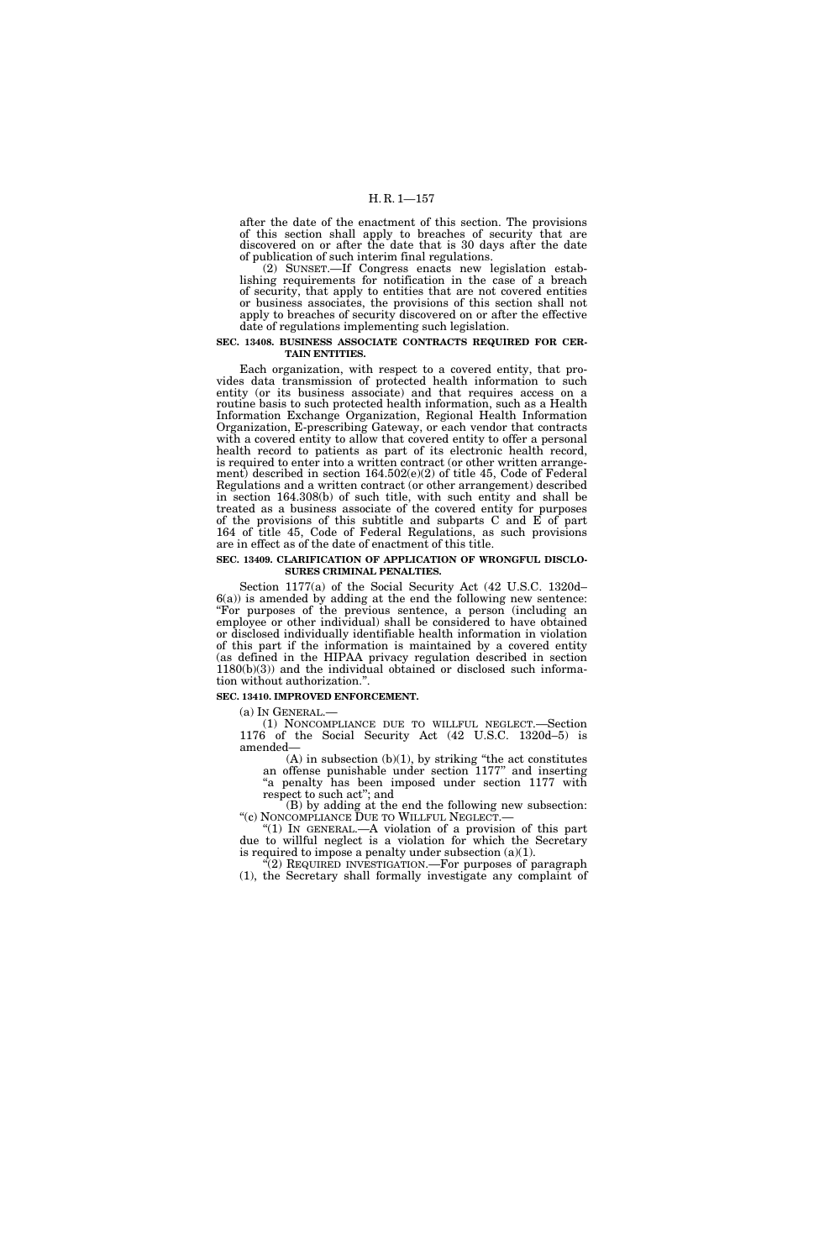after the date of the enactment of this section. The provisions of this section shall apply to breaches of security that are discovered on or after the date that is 30 days after the date of publication of such interim final regulations.

(2) SUNSET.—If Congress enacts new legislation establishing requirements for notification in the case of a breach of security, that apply to entities that are not covered entities or business associates, the provisions of this section shall not apply to breaches of security discovered on or after the effective date of regulations implementing such legislation.

#### **SEC. 13408. BUSINESS ASSOCIATE CONTRACTS REQUIRED FOR CER-TAIN ENTITIES.**

Each organization, with respect to a covered entity, that provides data transmission of protected health information to such entity (or its business associate) and that requires access on a routine basis to such protected health information, such as a Health Information Exchange Organization, Regional Health Information Organization, E-prescribing Gateway, or each vendor that contracts with a covered entity to allow that covered entity to offer a personal health record to patients as part of its electronic health record, is required to enter into a written contract (or other written arrangement) described in section 164.502(e)(2) of title 45, Code of Federal Regulations and a written contract (or other arrangement) described in section 164.308(b) of such title, with such entity and shall be treated as a business associate of the covered entity for purposes of the provisions of this subtitle and subparts C and E of part 164 of title 45, Code of Federal Regulations, as such provisions are in effect as of the date of enactment of this title.

#### **SEC. 13409. CLARIFICATION OF APPLICATION OF WRONGFUL DISCLO-SURES CRIMINAL PENALTIES.**

Section 1177(a) of the Social Security Act (42 U.S.C. 1320d–  $6(a)$ ) is amended by adding at the end the following new sentence: ''For purposes of the previous sentence, a person (including an employee or other individual) shall be considered to have obtained or disclosed individually identifiable health information in violation of this part if the information is maintained by a covered entity (as defined in the HIPAA privacy regulation described in section  $1180(b)(3)$ ) and the individual obtained or disclosed such information without authorization.''.

### **SEC. 13410. IMPROVED ENFORCEMENT.**

(a) IN GENERAL.—

(1) NONCOMPLIANCE DUE TO WILLFUL NEGLECT.—Section 1176 of the Social Security Act (42 U.S.C. 1320d–5) is amended—

 $(A)$  in subsection  $(b)(1)$ , by striking "the act constitutes an offense punishable under section 1177" and inserting "a penalty has been imposed under section 1177 with respect to such act''; and

(B) by adding at the end the following new subsection: ''(c) NONCOMPLIANCE DUE TO WILLFUL NEGLECT.—

" $(1)$  In GENERAL.—A violation of a provision of this part due to willful neglect is a violation for which the Secretary is required to impose a penalty under subsection  $(a)(1)$ .

 $\sqrt{2}$ ) REQUIRED INVESTIGATION.—For purposes of paragraph (1), the Secretary shall formally investigate any complaint of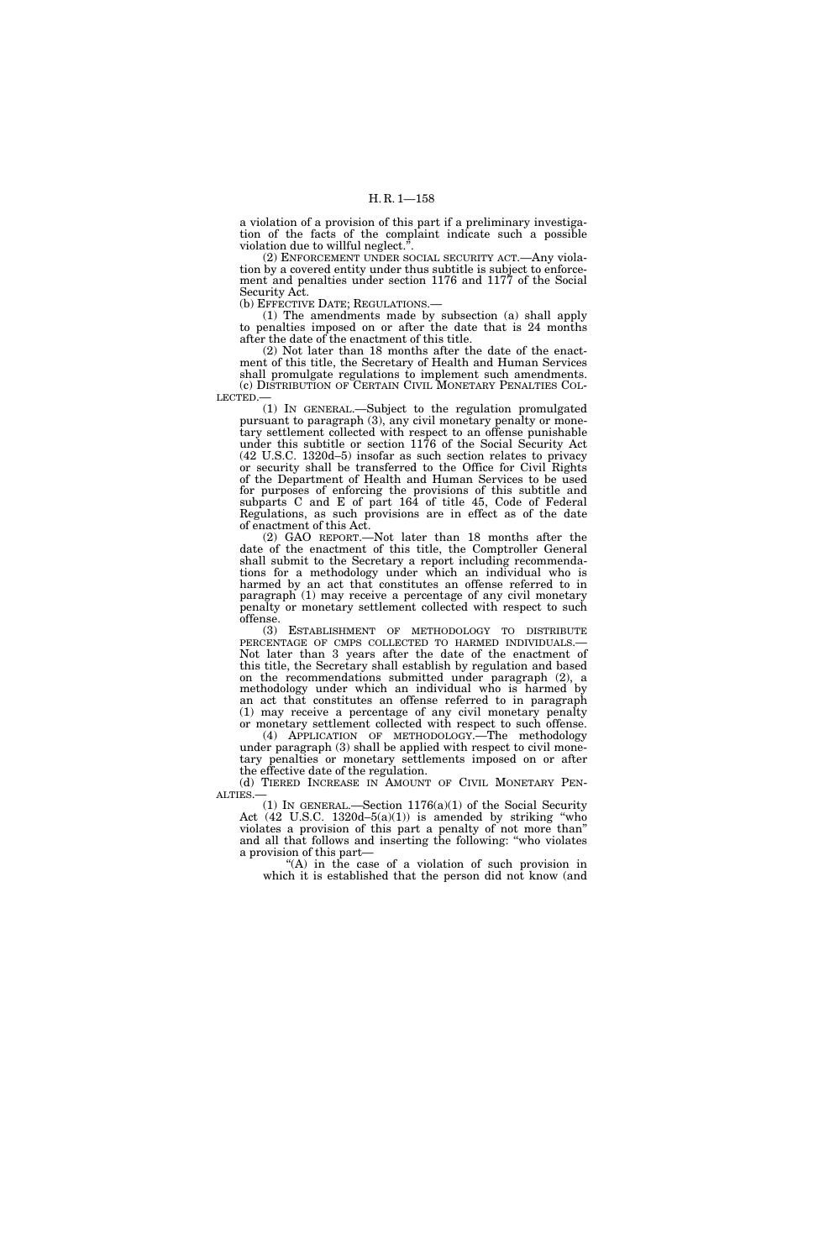a violation of a provision of this part if a preliminary investigation of the facts of the complaint indicate such a possible violation due to willful neglect.".

(2) ENFORCEMENT UNDER SOCIAL SECURITY ACT.—Any violation by a covered entity under thus subtitle is subject to enforcement and penalties under section 1176 and 1177 of the Social Security Act.

(b) EFFECTIVE DATE; REGULATIONS.—

(1) The amendments made by subsection (a) shall apply to penalties imposed on or after the date that is 24 months after the date of the enactment of this title.

(2) Not later than 18 months after the date of the enactment of this title, the Secretary of Health and Human Services shall promulgate regulations to implement such amendments. (c) DISTRIBUTION OF CERTAIN CIVIL MONETARY PENALTIES COL-LECTED.—

(1) IN GENERAL.—Subject to the regulation promulgated pursuant to paragraph (3), any civil monetary penalty or monetary settlement collected with respect to an offense punishable under this subtitle or section 1176 of the Social Security Act (42 U.S.C. 1320d–5) insofar as such section relates to privacy or security shall be transferred to the Office for Civil Rights of the Department of Health and Human Services to be used for purposes of enforcing the provisions of this subtitle and subparts C and E of part 164 of title 45, Code of Federal Regulations, as such provisions are in effect as of the date of enactment of this Act.

(2) GAO REPORT.—Not later than 18 months after the date of the enactment of this title, the Comptroller General shall submit to the Secretary a report including recommendations for a methodology under which an individual who is harmed by an act that constitutes an offense referred to in paragraph (1) may receive a percentage of any civil monetary penalty or monetary settlement collected with respect to such offense.

(3) ESTABLISHMENT OF METHODOLOGY TO DISTRIBUTE PERCENTAGE OF CMPS COLLECTED TO HARMED INDIVIDUALS.— Not later than 3 years after the date of the enactment of this title, the Secretary shall establish by regulation and based on the recommendations submitted under paragraph (2), a methodology under which an individual who is harmed by an act that constitutes an offense referred to in paragraph (1) may receive a percentage of any civil monetary penalty or monetary settlement collected with respect to such offense.

(4) APPLICATION OF METHODOLOGY.—The methodology under paragraph (3) shall be applied with respect to civil monetary penalties or monetary settlements imposed on or after the effective date of the regulation.

(d) TIERED INCREASE IN AMOUNT OF CIVIL MONETARY PEN-ALTIES.—

(1) IN GENERAL.—Section  $1176(a)(1)$  of the Social Security Act  $(42 \text{ U.S.C. } 1320d-5(a)(1))$  is amended by striking "who violates a provision of this part a penalty of not more than'' and all that follows and inserting the following: ''who violates a provision of this part—

''(A) in the case of a violation of such provision in which it is established that the person did not know (and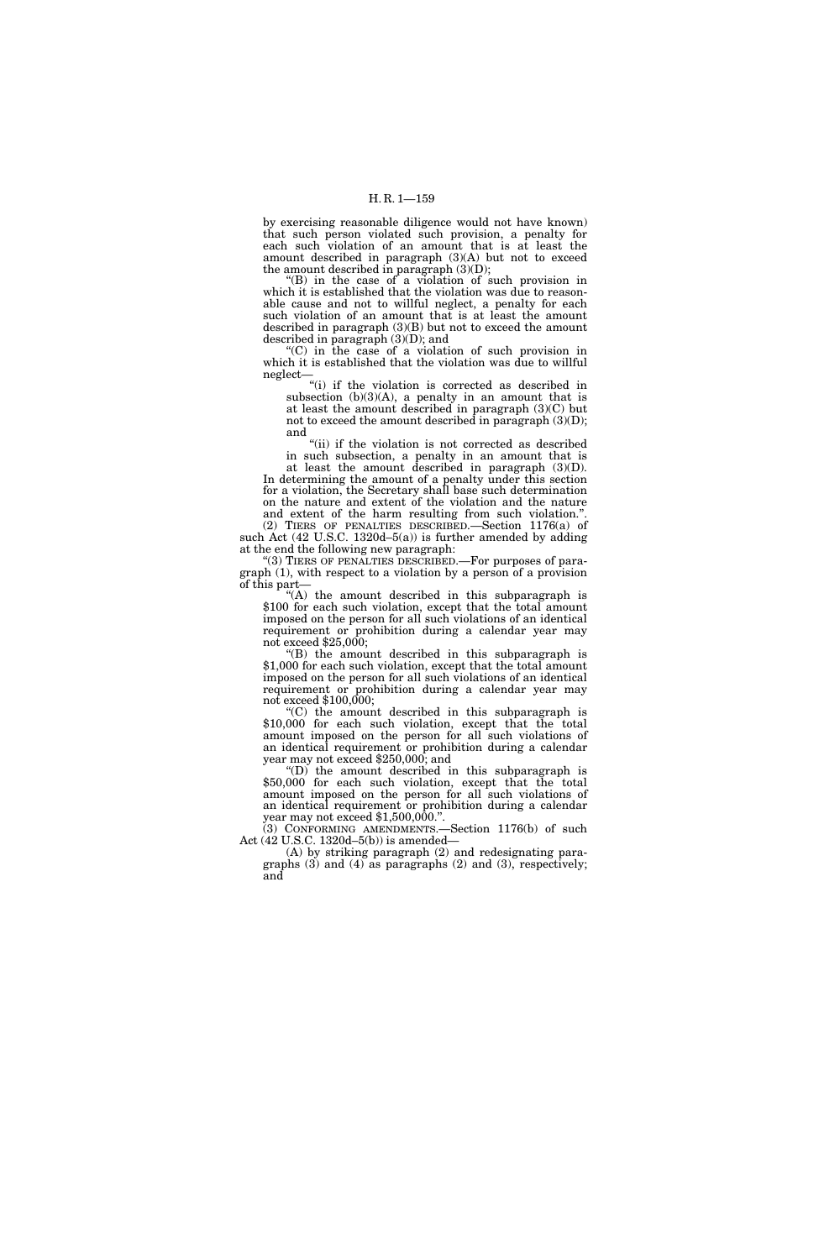by exercising reasonable diligence would not have known) that such person violated such provision, a penalty for each such violation of an amount that is at least the amount described in paragraph (3)(A) but not to exceed the amount described in paragraph  $(3)(D)$ ;

''(B) in the case of a violation of such provision in which it is established that the violation was due to reasonable cause and not to willful neglect, a penalty for each such violation of an amount that is at least the amount described in paragraph (3)(B) but not to exceed the amount described in paragraph (3)(D); and

''(C) in the case of a violation of such provision in which it is established that the violation was due to willful neglect—

''(i) if the violation is corrected as described in subsection  $(b)(3)(A)$ , a penalty in an amount that is at least the amount described in paragraph (3)(C) but not to exceed the amount described in paragraph  $(3)(D)$ ; and

"(ii) if the violation is not corrected as described in such subsection, a penalty in an amount that is at least the amount described in paragraph (3)(D).

In determining the amount of a penalty under this section for a violation, the Secretary shall base such determination on the nature and extent of the violation and the nature and extent of the harm resulting from such violation."

(2) TIERS OF PENALTIES DESCRIBED.—Section 1176(a) of such Act (42 U.S.C. 1320d–5(a)) is further amended by adding at the end the following new paragraph:

''(3) TIERS OF PENALTIES DESCRIBED.—For purposes of paragraph (1), with respect to a violation by a person of a provision of this part— $\alpha$  (A) the amount described in this subparagraph is

\$100 for each such violation, except that the total amount imposed on the person for all such violations of an identical requirement or prohibition during a calendar year may not exceed \$25,000;<br>"(B) the amount described in this subparagraph is

\$1,000 for each such violation, except that the total amount imposed on the person for all such violations of an identical requirement or prohibition during a calendar year may not exceed \$100,000;<br>"(C) the amount described in this subparagraph is

\$10,000 for each such violation, except that the total amount imposed on the person for all such violations of an identical requirement or prohibition during a calendar year may not exceed \$250,000; and<br>"(D) the amount described in this subparagraph is

\$50,000 for each such violation, except that the total amount imposed on the person for all such violations of an identical requirement or prohibition during a calendar year may not exceed \$1,500,000.''.

(3) CONFORMING AMENDMENTS.—Section 1176(b) of such Act (42 U.S.C. 1320d–5(b)) is amended—

(A) by striking paragraph (2) and redesignating paragraphs (3) and (4) as paragraphs (2) and (3), respectively; and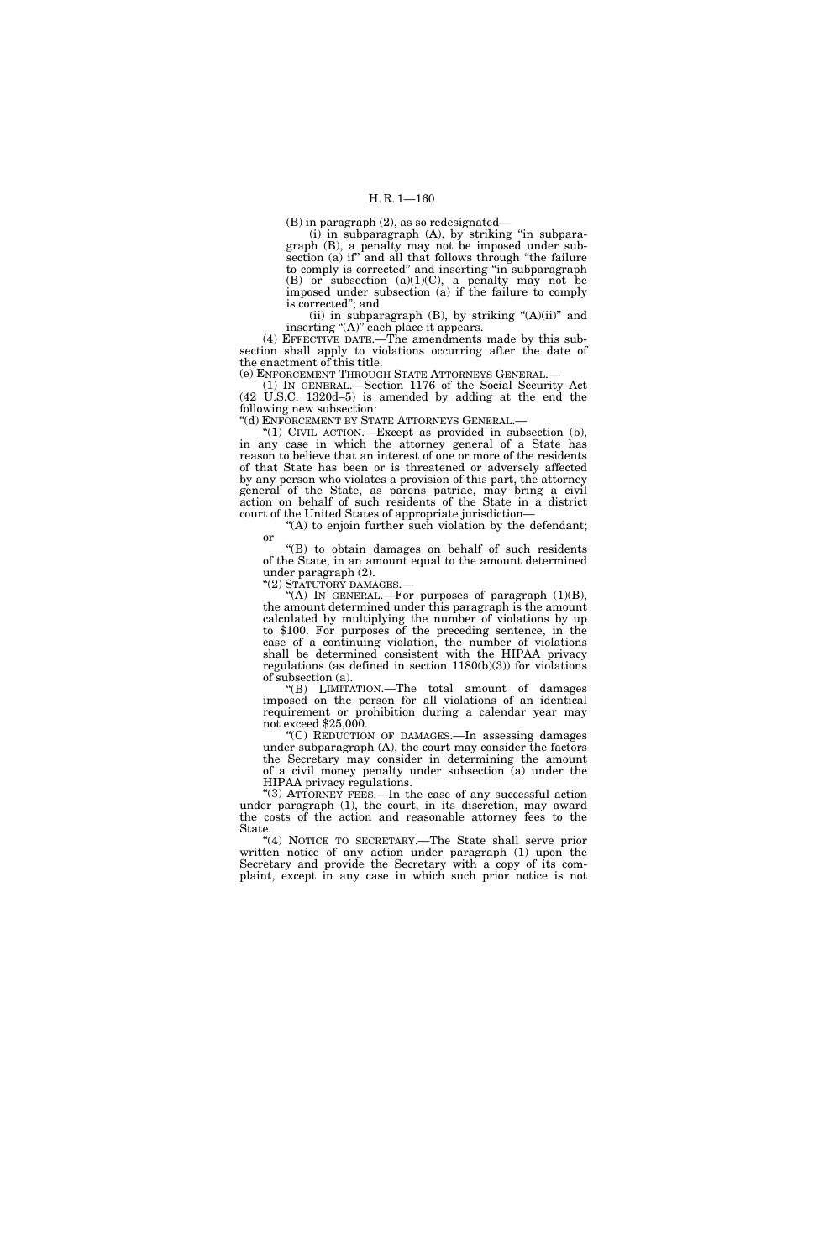(B) in paragraph (2), as so redesignated—

(i) in subparagraph (A), by striking ''in subparagraph (B), a penalty may not be imposed under subsection (a) if'' and all that follows through ''the failure to comply is corrected'' and inserting ''in subparagraph (B) or subsection (a)(1)(C), a penalty may not be imposed under subsection (a) if the failure to comply is corrected''; and

(ii) in subparagraph  $(B)$ , by striking " $(A)(ii)$ " and inserting "(A)" each place it appears.

(4) EFFECTIVE DATE.—The amendments made by this subsection shall apply to violations occurring after the date of the enactment of this title.

(e) ENFORCEMENT THROUGH STATE ATTORNEYS GENERAL.—

(1) IN GENERAL.—Section 1176 of the Social Security Act (42 U.S.C. 1320d–5) is amended by adding at the end the following new subsection:

''(d) ENFORCEMENT BY STATE ATTORNEYS GENERAL.—

"(1) CIVIL ACTION.—Except as provided in subsection  $(b)$ , in any case in which the attorney general of a State has reason to believe that an interest of one or more of the residents of that State has been or is threatened or adversely affected by any person who violates a provision of this part, the attorney general of the State, as parens patriae, may bring a civil action on behalf of such residents of the State in a district court of the United States of appropriate jurisdiction—

"(A) to enjoin further such violation by the defendant; or

''(B) to obtain damages on behalf of such residents of the State, in an amount equal to the amount determined under paragraph (2).

''(2) STATUTORY DAMAGES.—

"(A) IN GENERAL.—For purposes of paragraph  $(1)(B)$ , the amount determined under this paragraph is the amount calculated by multiplying the number of violations by up to \$100. For purposes of the preceding sentence, in the case of a continuing violation, the number of violations shall be determined consistent with the HIPAA privacy regulations (as defined in section  $1180(b)(3)$ ) for violations of subsection (a).

''(B) LIMITATION.—The total amount of damages imposed on the person for all violations of an identical requirement or prohibition during a calendar year may not exceed \$25,000.

''(C) REDUCTION OF DAMAGES.—In assessing damages under subparagraph (A), the court may consider the factors the Secretary may consider in determining the amount of a civil money penalty under subsection (a) under the HIPAA privacy regulations.

''(3) ATTORNEY FEES.—In the case of any successful action under paragraph (1), the court, in its discretion, may award the costs of the action and reasonable attorney fees to the State.

''(4) NOTICE TO SECRETARY.—The State shall serve prior written notice of any action under paragraph (1) upon the Secretary and provide the Secretary with a copy of its complaint, except in any case in which such prior notice is not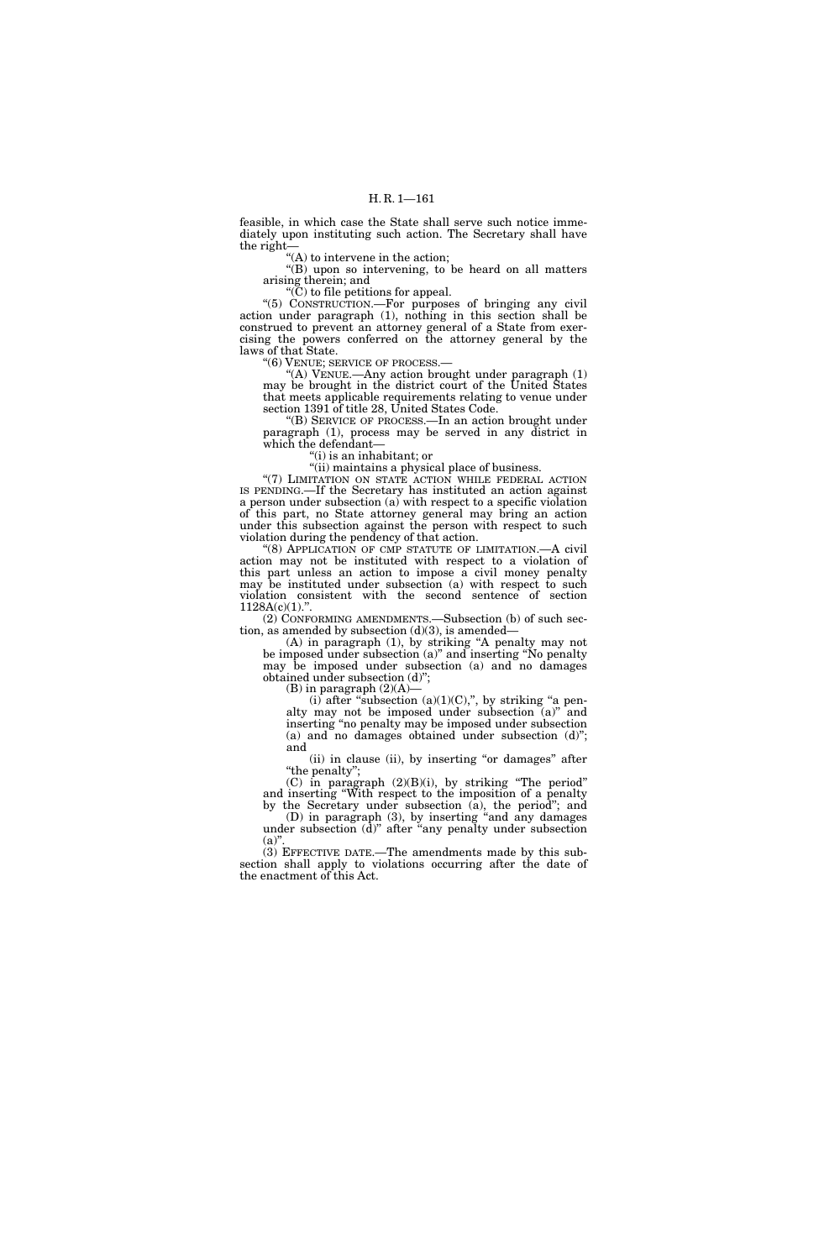feasible, in which case the State shall serve such notice immediately upon instituting such action. The Secretary shall have the right—

''(A) to intervene in the action;

"(B) upon so intervening, to be heard on all matters arising therein; and

" $(C)$  to file petitions for appeal.

''(5) CONSTRUCTION.—For purposes of bringing any civil action under paragraph (1), nothing in this section shall be construed to prevent an attorney general of a State from exercising the powers conferred on the attorney general by the laws of that State.

''(6) VENUE; SERVICE OF PROCESS.—

"(A) VENUE.—Any action brought under paragraph  $(1)$ may be brought in the district court of the United States that meets applicable requirements relating to venue under section 1391 of title 28, United States Code.

''(B) SERVICE OF PROCESS.—In an action brought under paragraph (1), process may be served in any district in which the defendant—

''(i) is an inhabitant; or

''(ii) maintains a physical place of business.

"(7) LIMITATION ON STATE ACTION WHILE FEDERAL ACTION IS PENDING.—If the Secretary has instituted an action against a person under subsection (a) with respect to a specific violation of this part, no State attorney general may bring an action under this subsection against the person with respect to such violation during the pendency of that action.

"(8) APPLICATION OF CMP STATUTE OF LIMITATION.—A civil action may not be instituted with respect to a violation of this part unless an action to impose a civil money penalty may be instituted under subsection (a) with respect to such violation consistent with the second sentence of section  $1128A(c)(1)$ .".

(2) CONFORMING AMENDMENTS.—Subsection (b) of such section, as amended by subsection  $(d)(3)$ , is amended-

(A) in paragraph (1), by striking ''A penalty may not be imposed under subsection (a)'' and inserting ''No penalty may be imposed under subsection  $(a)$  and no damages obtained under subsection (d)'';

(B) in paragraph  $(2)(A)$ —

(i) after "subsection (a)(1)(C),", by striking "a penalty may not be imposed under subsection (a)'' and inserting ''no penalty may be imposed under subsection (a) and no damages obtained under subsection (d)''; and

(ii) in clause (ii), by inserting "or damages" after "the penalty";

(C) in paragraph (2)(B)(i), by striking ''The period'' and inserting ''With respect to the imposition of a penalty by the Secretary under subsection (a), the period''; and

(D) in paragraph (3), by inserting ''and any damages under subsection (d)'' after ''any penalty under subsection  $(a)$ .

(3) EFFECTIVE DATE.—The amendments made by this subsection shall apply to violations occurring after the date of the enactment of this Act.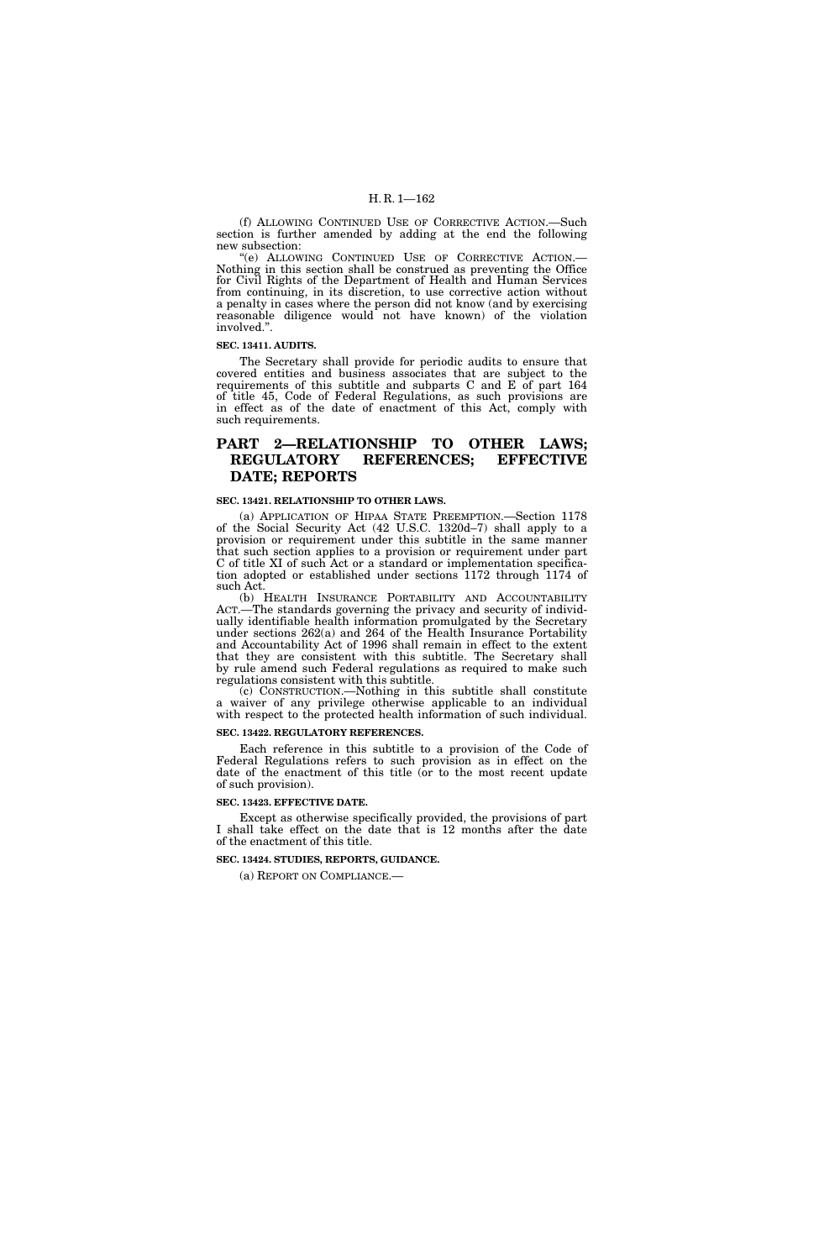(f) ALLOWING CONTINUED USE OF CORRECTIVE ACTION.—Such section is further amended by adding at the end the following new subsection:

''(e) ALLOWING CONTINUED USE OF CORRECTIVE ACTION.— Nothing in this section shall be construed as preventing the Office for Civil Rights of the Department of Health and Human Services from continuing, in its discretion, to use corrective action without a penalty in cases where the person did not know (and by exercising reasonable diligence would not have known) of the violation involved.''.

#### **SEC. 13411. AUDITS.**

The Secretary shall provide for periodic audits to ensure that covered entities and business associates that are subject to the requirements of this subtitle and subparts C and E of part 164 of title 45, Code of Federal Regulations, as such provisions are in effect as of the date of enactment of this Act, comply with such requirements.

## **PART 2—RELATIONSHIP TO OTHER LAWS; REGULATORY REFERENCES; EFFECTIVE DATE; REPORTS**

### **SEC. 13421. RELATIONSHIP TO OTHER LAWS.**

(a) APPLICATION OF HIPAA STATE PREEMPTION.—Section 1178 of the Social Security Act (42 U.S.C. 1320d–7) shall apply to a provision or requirement under this subtitle in the same manner that such section applies to a provision or requirement under part C of title XI of such Act or a standard or implementation specification adopted or established under sections 1172 through 1174 of such Act.

(b) HEALTH INSURANCE PORTABILITY AND ACCOUNTABILITY ACT.—The standards governing the privacy and security of individually identifiable health information promulgated by the Secretary under sections 262(a) and 264 of the Health Insurance Portability and Accountability Act of 1996 shall remain in effect to the extent that they are consistent with this subtitle. The Secretary shall by rule amend such Federal regulations as required to make such regulations consistent with this subtitle.

(c) CONSTRUCTION.—Nothing in this subtitle shall constitute a waiver of any privilege otherwise applicable to an individual with respect to the protected health information of such individual.

### **SEC. 13422. REGULATORY REFERENCES.**

Each reference in this subtitle to a provision of the Code of Federal Regulations refers to such provision as in effect on the date of the enactment of this title (or to the most recent update of such provision).

#### **SEC. 13423. EFFECTIVE DATE.**

Except as otherwise specifically provided, the provisions of part I shall take effect on the date that is 12 months after the date of the enactment of this title.

#### **SEC. 13424. STUDIES, REPORTS, GUIDANCE.**

(a) REPORT ON COMPLIANCE.—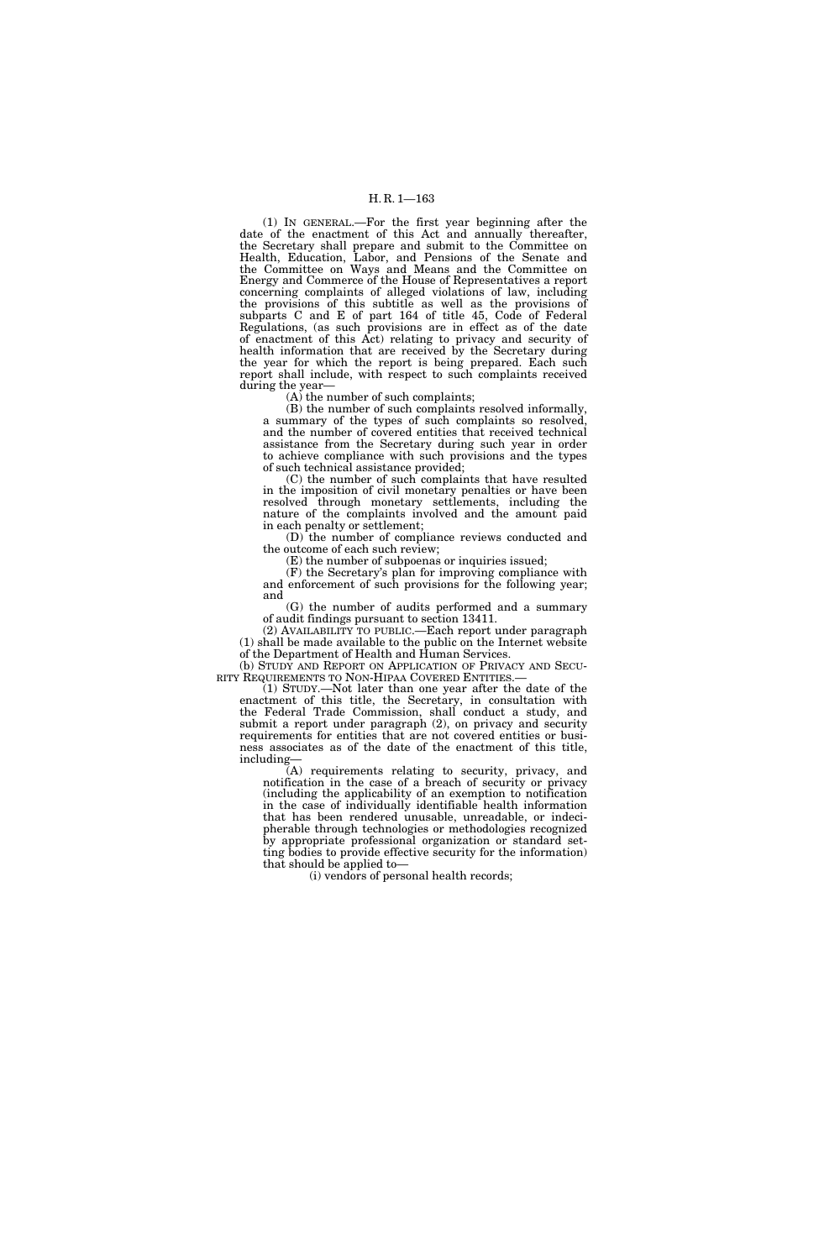(1) IN GENERAL.—For the first year beginning after the date of the enactment of this Act and annually thereafter, the Secretary shall prepare and submit to the Committee on Health, Education, Labor, and Pensions of the Senate and the Committee on Ways and Means and the Committee on Energy and Commerce of the House of Representatives a report concerning complaints of alleged violations of law, including the provisions of this subtitle as well as the provisions of subparts C and E of part 164 of title 45, Code of Federal Regulations, (as such provisions are in effect as of the date of enactment of this Act) relating to privacy and security of health information that are received by the Secretary during the year for which the report is being prepared. Each such report shall include, with respect to such complaints received during the year—

(A) the number of such complaints;

(B) the number of such complaints resolved informally, a summary of the types of such complaints so resolved, and the number of covered entities that received technical assistance from the Secretary during such year in order to achieve compliance with such provisions and the types of such technical assistance provided;

(C) the number of such complaints that have resulted in the imposition of civil monetary penalties or have been resolved through monetary settlements, including the nature of the complaints involved and the amount paid in each penalty or settlement;

(D) the number of compliance reviews conducted and the outcome of each such review;

(E) the number of subpoenas or inquiries issued;

(F) the Secretary's plan for improving compliance with and enforcement of such provisions for the following year; and

(G) the number of audits performed and a summary of audit findings pursuant to section 13411.

(2) AVAILABILITY TO PUBLIC.—Each report under paragraph (1) shall be made available to the public on the Internet website of the Department of Health and Human Services.

(b) STUDY AND REPORT ON APPLICATION OF PRIVACY AND SECU- RITY REQUIREMENTS TO NON-HIPAA COVERED ENTITIES.—

(1) STUDY.—Not later than one year after the date of the enactment of this title, the Secretary, in consultation with the Federal Trade Commission, shall conduct a study, and submit a report under paragraph (2), on privacy and security requirements for entities that are not covered entities or business associates as of the date of the enactment of this title, including—

(A) requirements relating to security, privacy, and notification in the case of a breach of security or privacy (including the applicability of an exemption to notification in the case of individually identifiable health information that has been rendered unusable, unreadable, or indecipherable through technologies or methodologies recognized by appropriate professional organization or standard setting bodies to provide effective security for the information) that should be applied to—

(i) vendors of personal health records;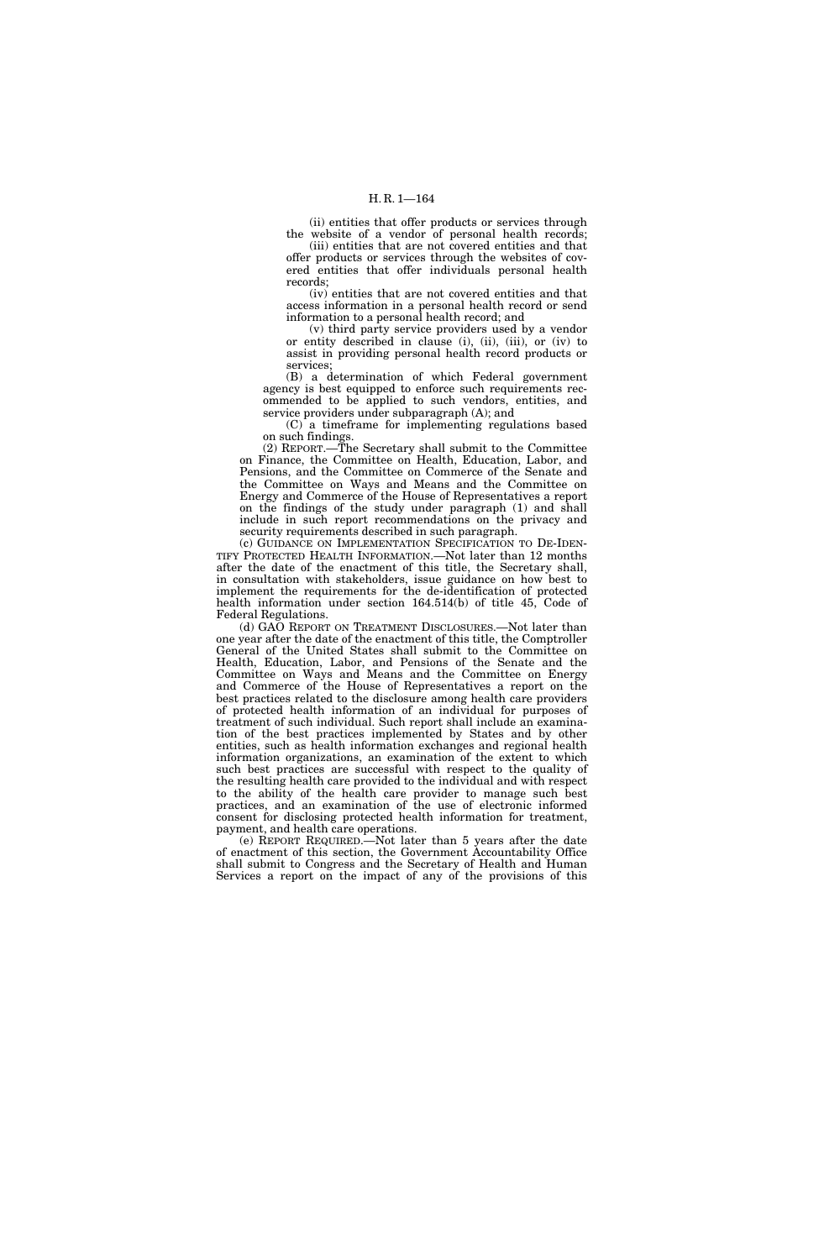(ii) entities that offer products or services through the website of a vendor of personal health records; (iii) entities that are not covered entities and that

offer products or services through the websites of covered entities that offer individuals personal health records;

(iv) entities that are not covered entities and that access information in a personal health record or send information to a personal health record; and

(v) third party service providers used by a vendor or entity described in clause (i), (ii), (iii), or (iv) to assist in providing personal health record products or services;

(B) a determination of which Federal government agency is best equipped to enforce such requirements recommended to be applied to such vendors, entities, and service providers under subparagraph (A); and

(C) a timeframe for implementing regulations based on such findings.

(2) REPORT.—The Secretary shall submit to the Committee on Finance, the Committee on Health, Education, Labor, and Pensions, and the Committee on Commerce of the Senate and the Committee on Ways and Means and the Committee on Energy and Commerce of the House of Representatives a report on the findings of the study under paragraph (1) and shall include in such report recommendations on the privacy and security requirements described in such paragraph.

(c) GUIDANCE ON IMPLEMENTATION SPECIFICATION TO DE-IDEN-TIFY PROTECTED HEALTH INFORMATION.—Not later than 12 months after the date of the enactment of this title, the Secretary shall, in consultation with stakeholders, issue guidance on how best to implement the requirements for the de-identification of protected health information under section 164.514(b) of title 45, Code of Federal Regulations.

(d) GAO REPORT ON TREATMENT DISCLOSURES.—Not later than one year after the date of the enactment of this title, the Comptroller General of the United States shall submit to the Committee on Health, Education, Labor, and Pensions of the Senate and the Committee on Ways and Means and the Committee on Energy and Commerce of the House of Representatives a report on the best practices related to the disclosure among health care providers of protected health information of an individual for purposes of treatment of such individual. Such report shall include an examination of the best practices implemented by States and by other entities, such as health information exchanges and regional health information organizations, an examination of the extent to which such best practices are successful with respect to the quality of the resulting health care provided to the individual and with respect to the ability of the health care provider to manage such best practices, and an examination of the use of electronic informed consent for disclosing protected health information for treatment, payment, and health care operations.

(e) REPORT REQUIRED.—Not later than 5 years after the date of enactment of this section, the Government Accountability Office shall submit to Congress and the Secretary of Health and Human Services a report on the impact of any of the provisions of this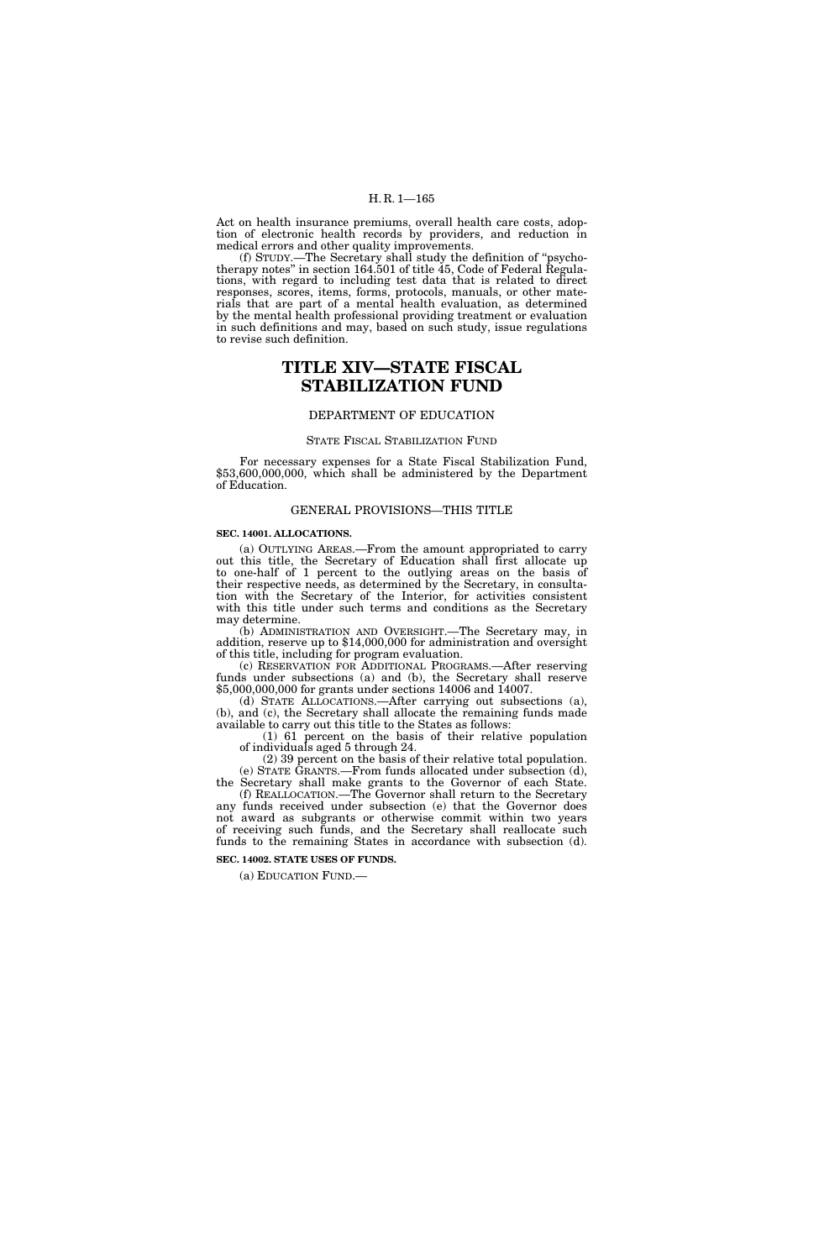## H. R. 1—165

Act on health insurance premiums, overall health care costs, adoption of electronic health records by providers, and reduction in medical errors and other quality improvements.

(f) STUDY.—The Secretary shall study the definition of ''psychotherapy notes'' in section 164.501 of title 45, Code of Federal Regulations, with regard to including test data that is related to direct responses, scores, items, forms, protocols, manuals, or other materials that are part of a mental health evaluation, as determined by the mental health professional providing treatment or evaluation in such definitions and may, based on such study, issue regulations to revise such definition.

# **TITLE XIV—STATE FISCAL STABILIZATION FUND**

### DEPARTMENT OF EDUCATION

#### STATE FISCAL STABILIZATION FUND

For necessary expenses for a State Fiscal Stabilization Fund, \$53,600,000,000, which shall be administered by the Department of Education.

#### GENERAL PROVISIONS—THIS TITLE

#### **SEC. 14001. ALLOCATIONS.**

(a) OUTLYING AREAS.—From the amount appropriated to carry out this title, the Secretary of Education shall first allocate up to one-half of 1 percent to the outlying areas on the basis of their respective needs, as determined by the Secretary, in consultation with the Secretary of the Interior, for activities consistent with this title under such terms and conditions as the Secretary may determine.

(b) ADMINISTRATION AND OVERSIGHT.—The Secretary may, in addition, reserve up to \$14,000,000 for administration and oversight of this title, including for program evaluation.

(c) RESERVATION FOR ADDITIONAL PROGRAMS.—After reserving funds under subsections (a) and (b), the Secretary shall reserve \$5,000,000,000 for grants under sections 14006 and 14007.

(d) STATE ALLOCATIONS.—After carrying out subsections (a), (b), and (c), the Secretary shall allocate the remaining funds made available to carry out this title to the States as follows:

(1) 61 percent on the basis of their relative population of individuals aged 5 through 24.

(2) 39 percent on the basis of their relative total population. (e) STATE GRANTS.—From funds allocated under subsection (d), the Secretary shall make grants to the Governor of each State.

(f) REALLOCATION.—The Governor shall return to the Secretary any funds received under subsection (e) that the Governor does not award as subgrants or otherwise commit within two years of receiving such funds, and the Secretary shall reallocate such funds to the remaining States in accordance with subsection (d).

**SEC. 14002. STATE USES OF FUNDS.** 

(a) EDUCATION FUND.—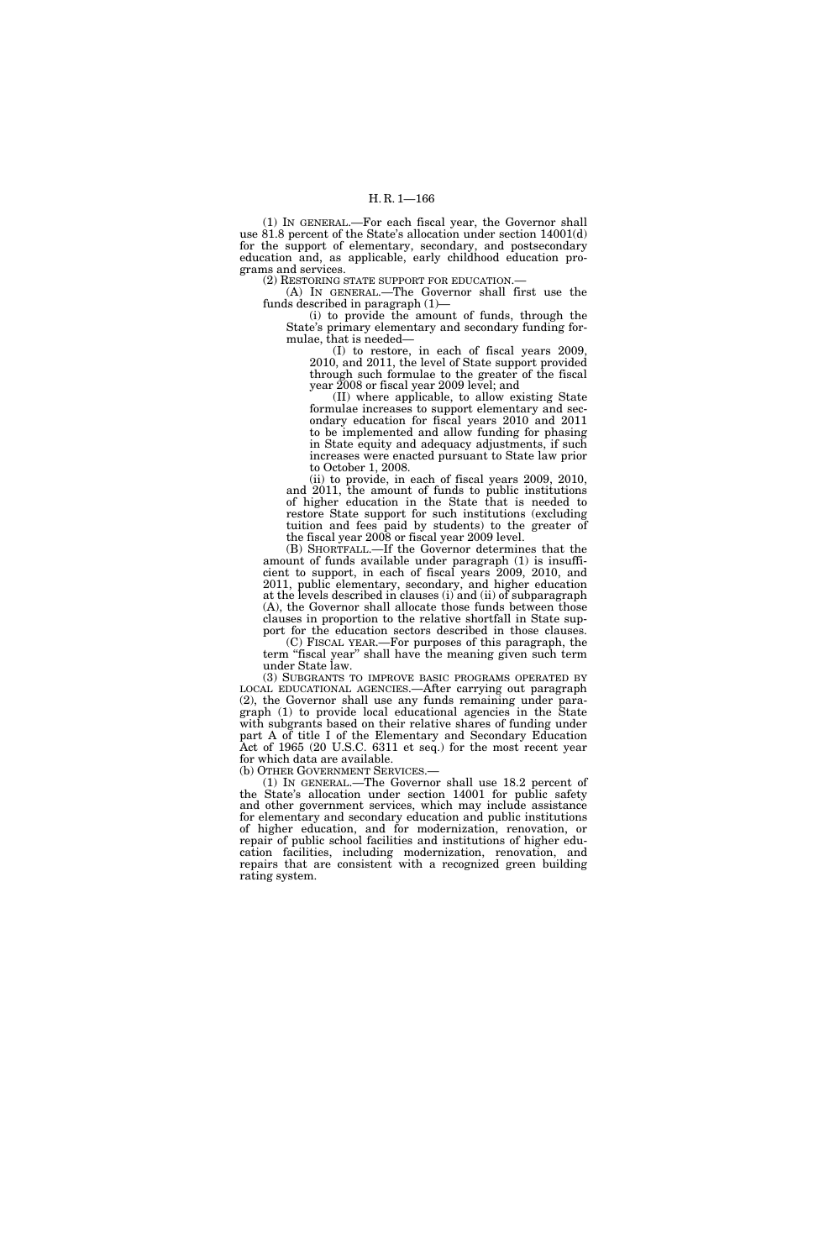(1) IN GENERAL.—For each fiscal year, the Governor shall use 81.8 percent of the State's allocation under section 14001(d) for the support of elementary, secondary, and postsecondary education and, as applicable, early childhood education programs and services.

(2) RESTORING STATE SUPPORT FOR EDUCATION.—

(A) IN GENERAL.—The Governor shall first use the funds described in paragraph (1)—

(i) to provide the amount of funds, through the State's primary elementary and secondary funding formulae, that is needed—

(I) to restore, in each of fiscal years 2009, 2010, and 2011, the level of State support provided through such formulae to the greater of the fiscal year 2008 or fiscal year 2009 level; and

(II) where applicable, to allow existing State formulae increases to support elementary and secondary education for fiscal years 2010 and 2011 to be implemented and allow funding for phasing in State equity and adequacy adjustments, if such increases were enacted pursuant to State law prior to October 1, 2008.

(ii) to provide, in each of fiscal years 2009, 2010, and 2011, the amount of funds to public institutions of higher education in the State that is needed to restore State support for such institutions (excluding tuition and fees paid by students) to the greater of the fiscal year 2008 or fiscal year 2009 level.

(B) SHORTFALL.—If the Governor determines that the amount of funds available under paragraph (1) is insufficient to support, in each of fiscal years 2009, 2010, and 2011, public elementary, secondary, and higher education at the levels described in clauses (i) and (ii) of subparagraph (A), the Governor shall allocate those funds between those clauses in proportion to the relative shortfall in State support for the education sectors described in those clauses.

(C) FISCAL YEAR.—For purposes of this paragraph, the term ''fiscal year'' shall have the meaning given such term under State law.

(3) SUBGRANTS TO IMPROVE BASIC PROGRAMS OPERATED BY LOCAL EDUCATIONAL AGENCIES.—After carrying out paragraph (2), the Governor shall use any funds remaining under paragraph (1) to provide local educational agencies in the State with subgrants based on their relative shares of funding under part A of title I of the Elementary and Secondary Education Act of 1965 (20 U.S.C. 6311 et seq.) for the most recent year for which data are available.<br>(b) OTHER GOVERNMENT SERVICES.

(1) IN GENERAL.—The Governor shall use  $18.2$  percent of the State's allocation under section 14001 for public safety and other government services, which may include assistance for elementary and secondary education and public institutions of higher education, and for modernization, renovation, or repair of public school facilities and institutions of higher education facilities, including modernization, renovation, and repairs that are consistent with a recognized green building rating system.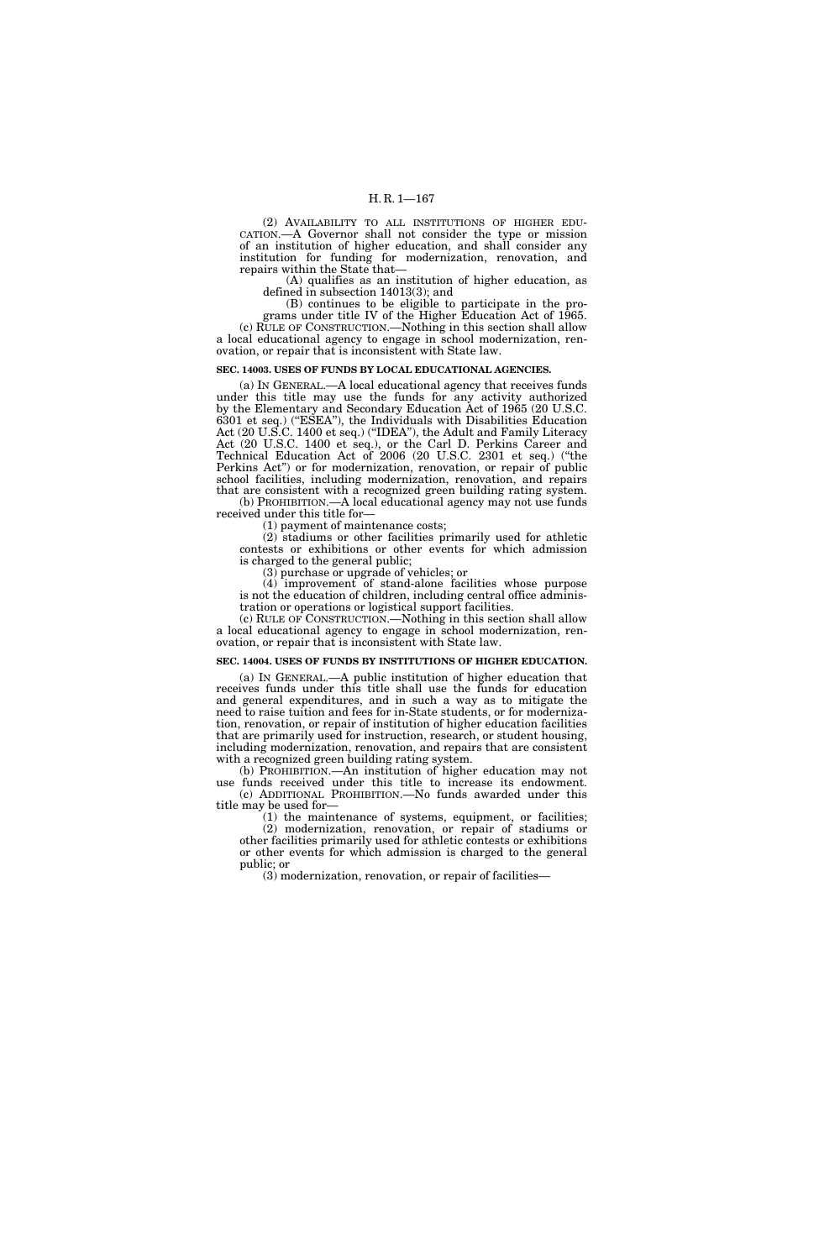(2) AVAILABILITY TO ALL INSTITUTIONS OF HIGHER EDU-CATION.—A Governor shall not consider the type or mission of an institution of higher education, and shall consider any institution for funding for modernization, renovation, and repairs within the State that—

(A) qualifies as an institution of higher education, as defined in subsection 14013(3); and

(B) continues to be eligible to participate in the pro-

grams under title IV of the Higher Education Act of 1965. (c) RULE OF CONSTRUCTION.—Nothing in this section shall allow a local educational agency to engage in school modernization, renovation, or repair that is inconsistent with State law.

#### **SEC. 14003. USES OF FUNDS BY LOCAL EDUCATIONAL AGENCIES.**

(a) IN GENERAL.—A local educational agency that receives funds under this title may use the funds for any activity authorized by the Elementary and Secondary Education Act of 1965 (20 U.S.C. 6301 et seq.) (''ESEA''), the Individuals with Disabilities Education Act (20 U.S.C. 1400 et seq.) (''IDEA''), the Adult and Family Literacy Act (20 U.S.C. 1400 et seq.), or the Carl D. Perkins Career and Technical Education Act of 2006 (20 U.S.C. 2301 et seq.) (''the Perkins Act") or for modernization, renovation, or repair of public school facilities, including modernization, renovation, and repairs that are consistent with a recognized green building rating system.

(b) PROHIBITION.—A local educational agency may not use funds received under this title for—

(1) payment of maintenance costs;

(2) stadiums or other facilities primarily used for athletic contests or exhibitions or other events for which admission is charged to the general public;

(3) purchase or upgrade of vehicles; or

(4) improvement of stand-alone facilities whose purpose is not the education of children, including central office administration or operations or logistical support facilities.

(c) RULE OF CONSTRUCTION.—Nothing in this section shall allow a local educational agency to engage in school modernization, renovation, or repair that is inconsistent with State law.

#### **SEC. 14004. USES OF FUNDS BY INSTITUTIONS OF HIGHER EDUCATION.**

(a) IN GENERAL.—A public institution of higher education that receives funds under this title shall use the funds for education and general expenditures, and in such a way as to mitigate the need to raise tuition and fees for in-State students, or for modernization, renovation, or repair of institution of higher education facilities that are primarily used for instruction, research, or student housing, including modernization, renovation, and repairs that are consistent with a recognized green building rating system.

(b) PROHIBITION.—An institution of higher education may not use funds received under this title to increase its endowment. (c) ADDITIONAL PROHIBITION.—No funds awarded under this title may be used for—

(1) the maintenance of systems, equipment, or facilities; (2) modernization, renovation, or repair of stadiums or other facilities primarily used for athletic contests or exhibitions or other events for which admission is charged to the general public; or

(3) modernization, renovation, or repair of facilities—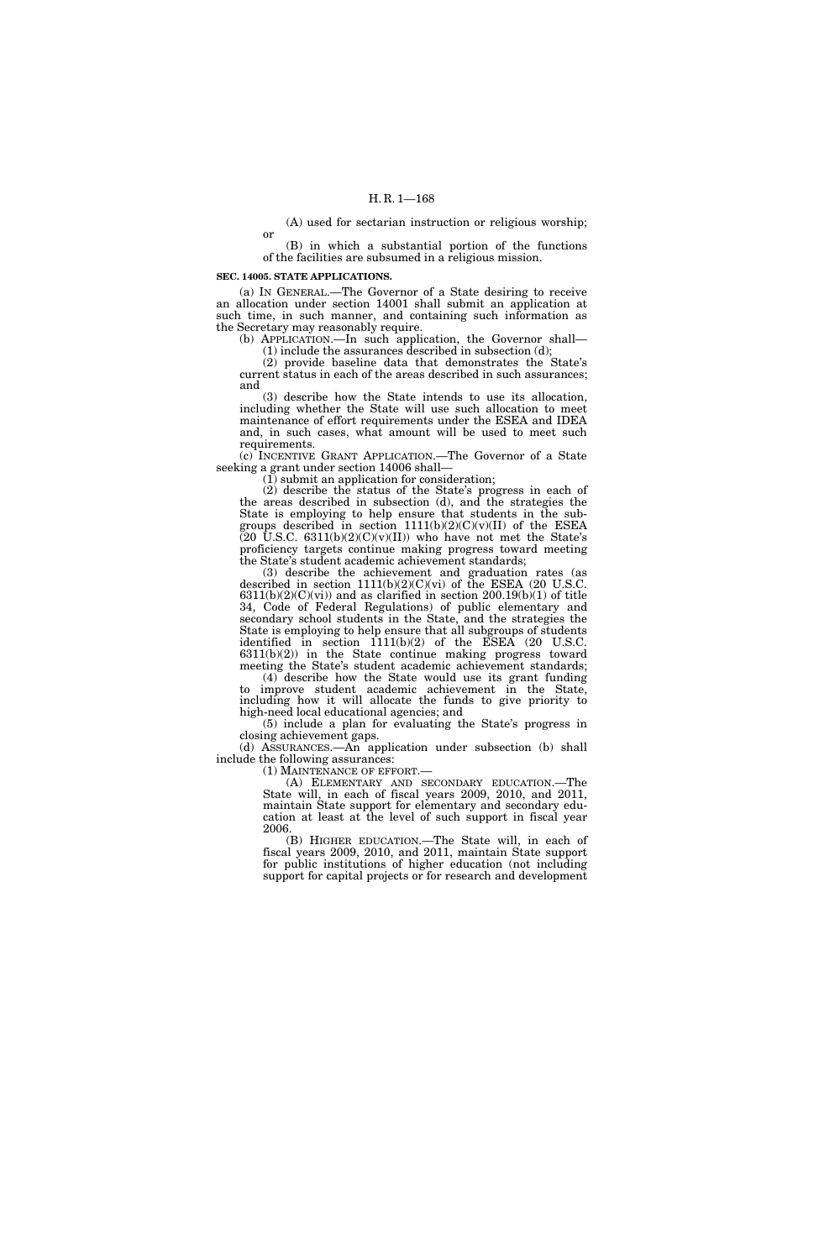(A) used for sectarian instruction or religious worship;

(B) in which a substantial portion of the functions of the facilities are subsumed in a religious mission.

#### **SEC. 14005. STATE APPLICATIONS.**

or

(a) IN GENERAL.—The Governor of a State desiring to receive an allocation under section 14001 shall submit an application at such time, in such manner, and containing such information as the Secretary may reasonably require.

(b) APPLICATION.—In such application, the Governor shall— (1) include the assurances described in subsection  $(d)$ ;

(2) provide baseline data that demonstrates the State's current status in each of the areas described in such assurances; and

(3) describe how the State intends to use its allocation, including whether the State will use such allocation to meet maintenance of effort requirements under the ESEA and IDEA and, in such cases, what amount will be used to meet such requirements.

(c) INCENTIVE GRANT APPLICATION.—The Governor of a State seeking a grant under section 14006 shall—

(1) submit an application for consideration;

(2) describe the status of the State's progress in each of the areas described in subsection (d), and the strategies the State is employing to help ensure that students in the subgroups described in section 1111(b)(2)(C)(v)(II) of the ESEA  $(20 \text{ U.S.C. } 6311(b)(2)(C)(v)(II))$  who have not met the State's proficiency targets continue making progress toward meeting the State's student academic achievement standards;

(3) describe the achievement and graduation rates (as described in section  $1111(b)(2)(C)(vi)$  of the ESEA (20 U.S.C.  $6311(b)(2)(C)(vi)$  and as clarified in section  $200.19(b)(1)$  of title 34, Code of Federal Regulations) of public elementary and secondary school students in the State, and the strategies the State is employing to help ensure that all subgroups of students identified in section 1111(b)(2) of the ESEA (20 U.S.C. 6311(b)(2)) in the State continue making progress toward meeting the State's student academic achievement standards;

(4) describe how the State would use its grant funding to improve student academic achievement in the State, including how it will allocate the funds to give priority to high-need local educational agencies; and

(5) include a plan for evaluating the State's progress in closing achievement gaps.

(d) ASSURANCES.—An application under subsection (b) shall include the following assurances:<br>(1) MAINTENANCE OF EFFORT.—

(A) ELEMENTARY AND SECONDARY EDUCATION.—The State will, in each of fiscal years 2009, 2010, and 2011, maintain State support for elementary and secondary education at least at the level of such support in fiscal year 2006.

(B) HIGHER EDUCATION.—The State will, in each of fiscal years 2009, 2010, and 2011, maintain State support for public institutions of higher education (not including support for capital projects or for research and development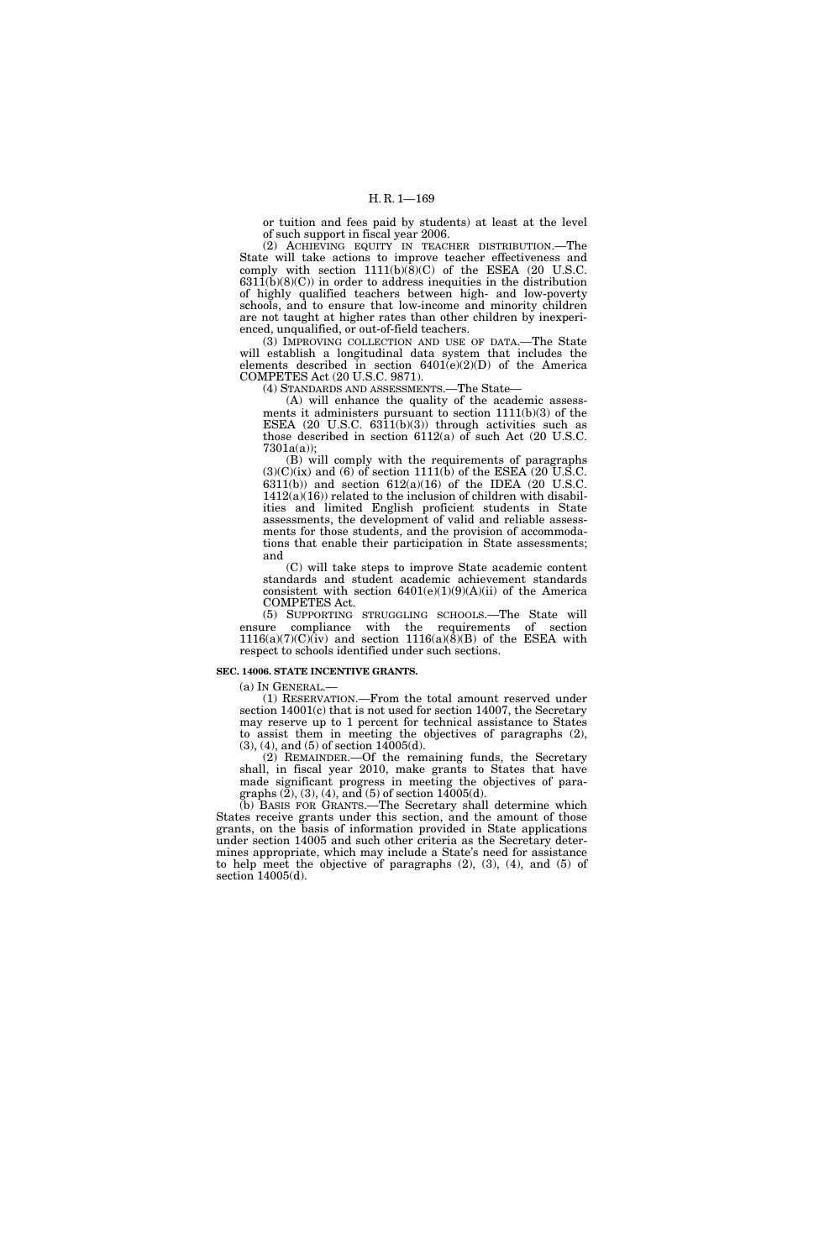or tuition and fees paid by students) at least at the level of such support in fiscal year 2006.

(2) ACHIEVING EQUITY IN TEACHER DISTRIBUTION.—The State will take actions to improve teacher effectiveness and comply with section  $1111(b)(8)(C)$  of the ESEA (20 U.S.C.  $6311(b)(8)(C)$  in order to address inequities in the distribution of highly qualified teachers between high- and low-poverty schools, and to ensure that low-income and minority children are not taught at higher rates than other children by inexperienced, unqualified, or out-of-field teachers.

(3) IMPROVING COLLECTION AND USE OF DATA.—The State will establish a longitudinal data system that includes the elements described in section 6401(e)(2)(D) of the America COMPETES Act (20 U.S.C. 9871).

(4) STANDARDS AND ASSESSMENTS.—The State—

(A) will enhance the quality of the academic assessments it administers pursuant to section  $1111(b)(3)$  of the ESEA (20 U.S.C. 6311(b)(3)) through activities such as those described in section 6112(a) of such Act (20 U.S.C. 7301a(a));

(B) will comply with the requirements of paragraphs  $(3)(C)(ix)$  and  $(6)$  of section 1111(b) of the ESEA (20 U.S.C. 6311(b)) and section 612(a)(16) of the IDEA (20 U.S.C.  $1412(a)(16)$ ) related to the inclusion of children with disabilities and limited English proficient students in State assessments, the development of valid and reliable assessments for those students, and the provision of accommodations that enable their participation in State assessments; and

(C) will take steps to improve State academic content standards and student academic achievement standards consistent with section  $6401(e)(1)(9)(A)(ii)$  of the America COMPETES Act.

(5) SUPPORTING STRUGGLING SCHOOLS.—The State will ensure compliance with the requirements of section  $1116(a)(7)(C)(iv)$  and section  $1116(a)(8)(B)$  of the ESEA with respect to schools identified under such sections.

#### **SEC. 14006. STATE INCENTIVE GRANTS.**

(a) IN GENERAL.—

(1) RESERVATION.—From the total amount reserved under section 14001(c) that is not used for section 14007, the Secretary may reserve up to 1 percent for technical assistance to States to assist them in meeting the objectives of paragraphs (2),  $(3)$ ,  $(4)$ , and  $(5)$  of section 14005 $(d)$ .

(2) REMAINDER.—Of the remaining funds, the Secretary shall, in fiscal year 2010, make grants to States that have made significant progress in meeting the objectives of paragraphs  $(2)$ ,  $(3)$ ,  $(4)$ , and  $(5)$  of section 14005 $(d)$ .

(b) BASIS FOR GRANTS.—The Secretary shall determine which States receive grants under this section, and the amount of those grants, on the basis of information provided in State applications under section 14005 and such other criteria as the Secretary determines appropriate, which may include a State's need for assistance to help meet the objective of paragraphs (2), (3), (4), and (5) of section 14005(d).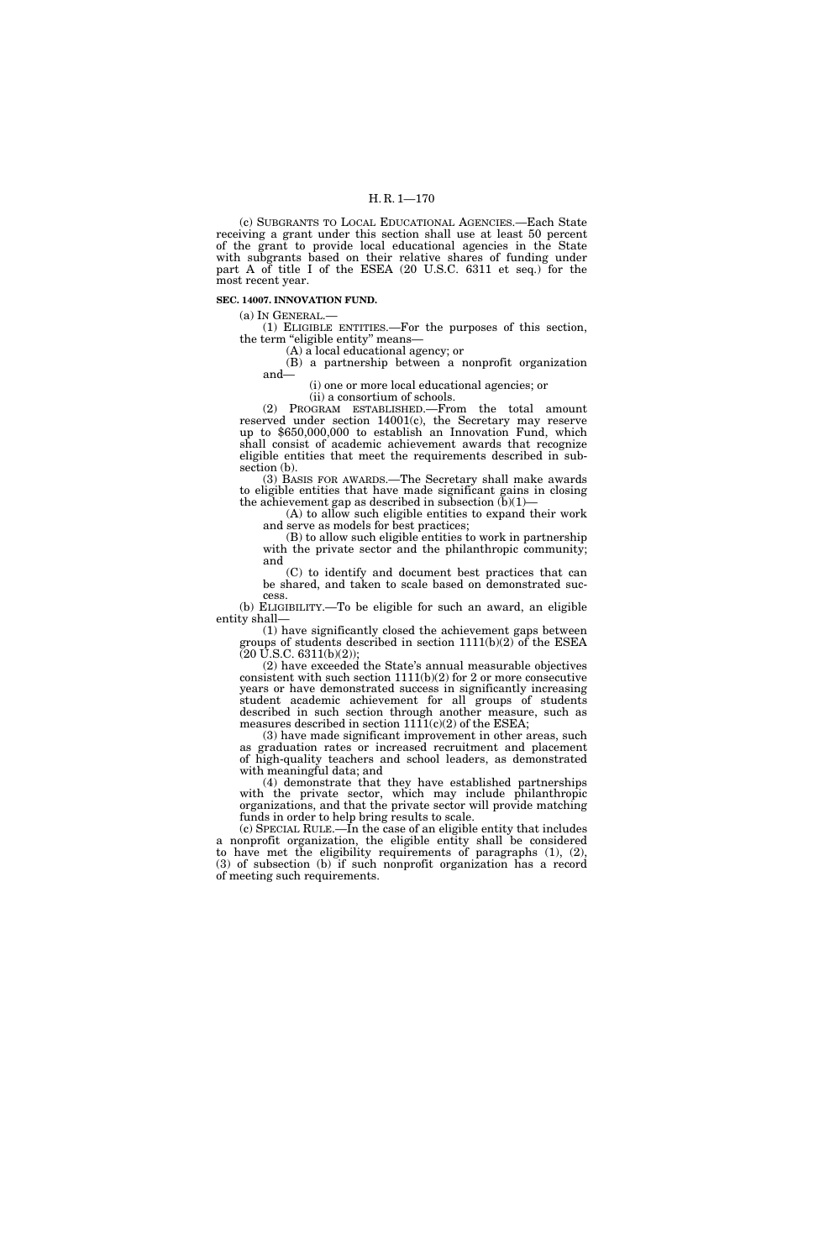## H. R. 1—170

(c) SUBGRANTS TO LOCAL EDUCATIONAL AGENCIES.—Each State receiving a grant under this section shall use at least 50 percent of the grant to provide local educational agencies in the State with subgrants based on their relative shares of funding under part A of title I of the ESEA (20 U.S.C. 6311 et seq.) for the most recent year.

#### **SEC. 14007. INNOVATION FUND.**

(a) IN GENERAL.—

(1) ELIGIBLE ENTITIES.—For the purposes of this section, the term "eligible entity" means-

(A) a local educational agency; or

(B) a partnership between a nonprofit organization and—

(i) one or more local educational agencies; or

(ii) a consortium of schools.

(2) PROGRAM ESTABLISHED.—From the total amount reserved under section 14001(c), the Secretary may reserve up to \$650,000,000 to establish an Innovation Fund, which shall consist of academic achievement awards that recognize eligible entities that meet the requirements described in subsection (b).

(3) BASIS FOR AWARDS.—The Secretary shall make awards to eligible entities that have made significant gains in closing the achievement gap as described in subsection  $(b)(1)$ -

(A) to allow such eligible entities to expand their work and serve as models for best practices;

(B) to allow such eligible entities to work in partnership with the private sector and the philanthropic community; and

(C) to identify and document best practices that can be shared, and taken to scale based on demonstrated success.

(b) ELIGIBILITY.—To be eligible for such an award, an eligible entity shall—

(1) have significantly closed the achievement gaps between groups of students described in section  $1111(b)(2)$  of the ESEA  $(20 \text{ U.S.C. } 6311(b)(2));$ 

(2) have exceeded the State's annual measurable objectives consistent with such section  $1111(b)(2)$  for 2 or more consecutive years or have demonstrated success in significantly increasing student academic achievement for all groups of students described in such section through another measure, such as measures described in section  $1111(c)(2)$  of the ESEA;

(3) have made significant improvement in other areas, such as graduation rates or increased recruitment and placement of high-quality teachers and school leaders, as demonstrated with meaningful data; and

(4) demonstrate that they have established partnerships with the private sector, which may include philanthropic organizations, and that the private sector will provide matching funds in order to help bring results to scale.

(c) SPECIAL RULE.—In the case of an eligible entity that includes a nonprofit organization, the eligible entity shall be considered to have met the eligibility requirements of paragraphs (1), (2), (3) of subsection (b) if such nonprofit organization has a record of meeting such requirements.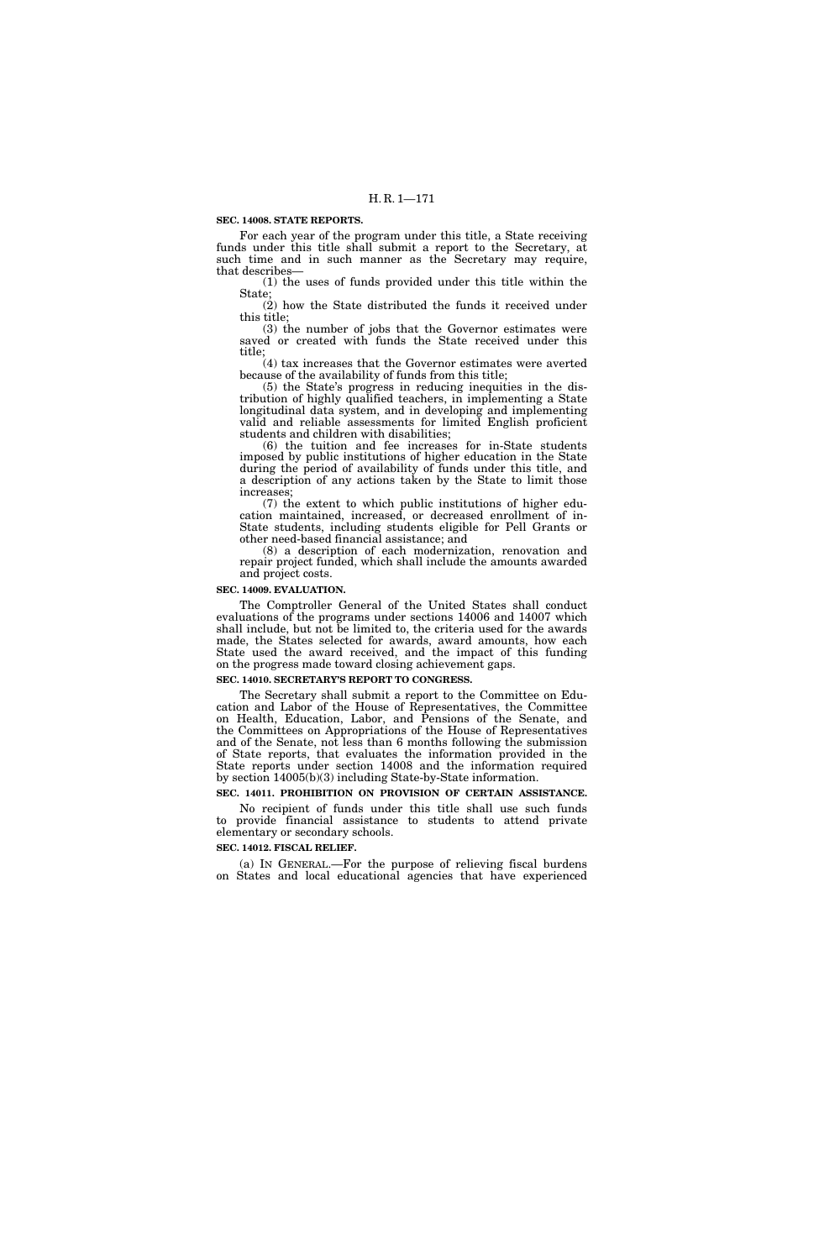### **SEC. 14008. STATE REPORTS.**

For each year of the program under this title, a State receiving funds under this title shall submit a report to the Secretary, at such time and in such manner as the Secretary may require, that describes—

(1) the uses of funds provided under this title within the State;

 $(2)$  how the State distributed the funds it received under this title;

(3) the number of jobs that the Governor estimates were saved or created with funds the State received under this title;

(4) tax increases that the Governor estimates were averted because of the availability of funds from this title;

(5) the State's progress in reducing inequities in the distribution of highly qualified teachers, in implementing a State longitudinal data system, and in developing and implementing valid and reliable assessments for limited English proficient students and children with disabilities;

(6) the tuition and fee increases for in-State students imposed by public institutions of higher education in the State during the period of availability of funds under this title, and a description of any actions taken by the State to limit those increases;

(7) the extent to which public institutions of higher education maintained, increased, or decreased enrollment of in-State students, including students eligible for Pell Grants or other need-based financial assistance; and

(8) a description of each modernization, renovation and repair project funded, which shall include the amounts awarded and project costs.

#### **SEC. 14009. EVALUATION.**

The Comptroller General of the United States shall conduct evaluations of the programs under sections 14006 and 14007 which shall include, but not be limited to, the criteria used for the awards made, the States selected for awards, award amounts, how each State used the award received, and the impact of this funding on the progress made toward closing achievement gaps.

## **SEC. 14010. SECRETARY'S REPORT TO CONGRESS.**

The Secretary shall submit a report to the Committee on Education and Labor of the House of Representatives, the Committee on Health, Education, Labor, and Pensions of the Senate, and the Committees on Appropriations of the House of Representatives and of the Senate, not less than 6 months following the submission of State reports, that evaluates the information provided in the State reports under section 14008 and the information required by section 14005(b)(3) including State-by-State information.

## **SEC. 14011. PROHIBITION ON PROVISION OF CERTAIN ASSISTANCE.**

No recipient of funds under this title shall use such funds to provide financial assistance to students to attend private elementary or secondary schools.

## **SEC. 14012. FISCAL RELIEF.**

(a) IN GENERAL.—For the purpose of relieving fiscal burdens on States and local educational agencies that have experienced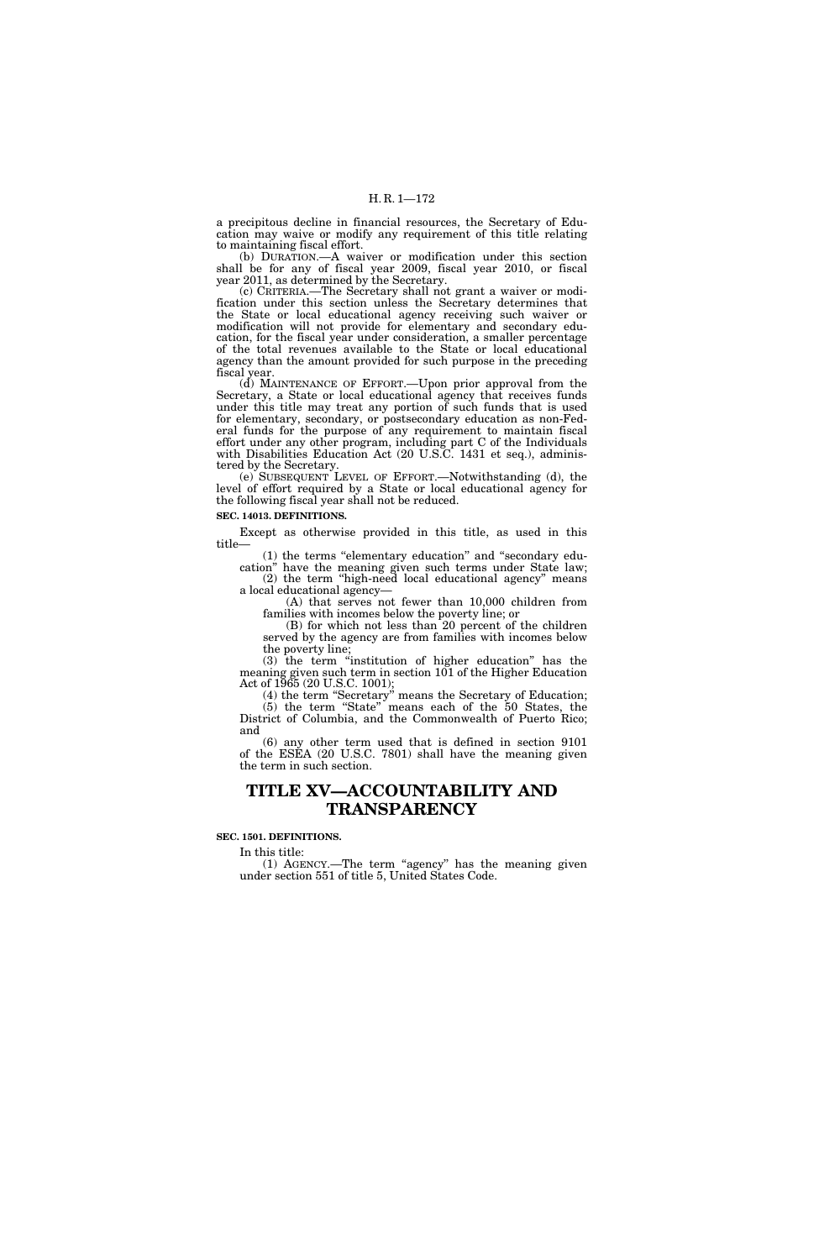a precipitous decline in financial resources, the Secretary of Education may waive or modify any requirement of this title relating to maintaining fiscal effort.

(b) DURATION.—A waiver or modification under this section shall be for any of fiscal year 2009, fiscal year 2010, or fiscal year 2011, as determined by the Secretary.

(c) CRITERIA.—The Secretary shall not grant a waiver or modification under this section unless the Secretary determines that the State or local educational agency receiving such waiver or modification will not provide for elementary and secondary education, for the fiscal year under consideration, a smaller percentage of the total revenues available to the State or local educational agency than the amount provided for such purpose in the preceding fiscal year.

(d) MAINTENANCE OF EFFORT.—Upon prior approval from the Secretary, a State or local educational agency that receives funds under this title may treat any portion of such funds that is used for elementary, secondary, or postsecondary education as non-Federal funds for the purpose of any requirement to maintain fiscal effort under any other program, including part C of the Individuals with Disabilities Education Act (20 U.S.C. 1431 et seq.), administered by the Secretary.

(e) SUBSEQUENT LEVEL OF EFFORT.—Notwithstanding (d), the level of effort required by a State or local educational agency for the following fiscal year shall not be reduced.

## **SEC. 14013. DEFINITIONS.**

Except as otherwise provided in this title, as used in this title—

(1) the terms ''elementary education'' and ''secondary education'' have the meaning given such terms under State law; (2) the term ''high-need local educational agency'' means

a local educational agency— (A) that serves not fewer than 10,000 children from

families with incomes below the poverty line; or (B) for which not less than 20 percent of the children

served by the agency are from families with incomes below the poverty line;

(3) the term ''institution of higher education'' has the meaning given such term in section 101 of the Higher Education Act of 1965 (20 U.S.C. 1001);

(4) the term ''Secretary'' means the Secretary of Education; (5) the term ''State'' means each of the 50 States, the District of Columbia, and the Commonwealth of Puerto Rico; and

(6) any other term used that is defined in section 9101 of the ESEA (20 U.S.C. 7801) shall have the meaning given the term in such section.

# **TITLE XV—ACCOUNTABILITY AND TRANSPARENCY**

### **SEC. 1501. DEFINITIONS.**

In this title:

(1) AGENCY.—The term ''agency'' has the meaning given under section 551 of title 5, United States Code.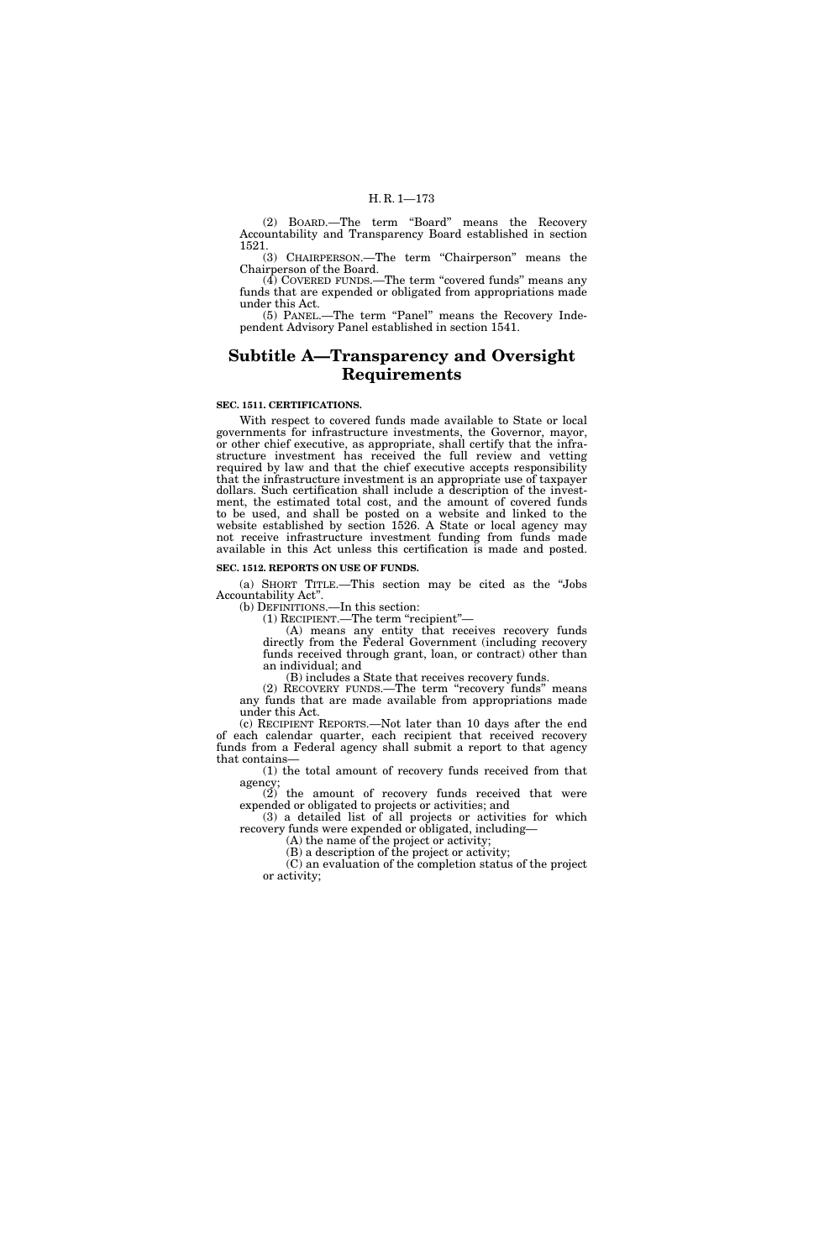(2) BOARD.—The term ''Board'' means the Recovery Accountability and Transparency Board established in section 1521.

(3) CHAIRPERSON.—The term ''Chairperson'' means the Chairperson of the Board.

(4) COVERED FUNDS.—The term ''covered funds'' means any funds that are expended or obligated from appropriations made under this Act.

(5) PANEL.—The term ''Panel'' means the Recovery Independent Advisory Panel established in section 1541.

# **Subtitle A—Transparency and Oversight Requirements**

#### **SEC. 1511. CERTIFICATIONS.**

With respect to covered funds made available to State or local governments for infrastructure investments, the Governor, mayor, or other chief executive, as appropriate, shall certify that the infrastructure investment has received the full review and vetting required by law and that the chief executive accepts responsibility that the infrastructure investment is an appropriate use of taxpayer dollars. Such certification shall include a description of the investment, the estimated total cost, and the amount of covered funds to be used, and shall be posted on a website and linked to the website established by section 1526. A State or local agency may not receive infrastructure investment funding from funds made available in this Act unless this certification is made and posted.

#### **SEC. 1512. REPORTS ON USE OF FUNDS.**

(a) SHORT TITLE.—This section may be cited as the ''Jobs Accountability Act''.

(b) DEFINITIONS.—In this section:

(1) RECIPIENT.—The term ''recipient''—

(A) means any entity that receives recovery funds directly from the Federal Government (including recovery funds received through grant, loan, or contract) other than an individual; and

(B) includes a State that receives recovery funds.

(2) RECOVERY FUNDS.—The term ''recovery funds'' means any funds that are made available from appropriations made under this Act.

(c) RECIPIENT REPORTS.—Not later than 10 days after the end of each calendar quarter, each recipient that received recovery funds from a Federal agency shall submit a report to that agency that contains—

(1) the total amount of recovery funds received from that agency;

(2) the amount of recovery funds received that were expended or obligated to projects or activities; and

(3) a detailed list of all projects or activities for which recovery funds were expended or obligated, including—

(A) the name of the project or activity;

(B) a description of the project or activity; (C) an evaluation of the completion status of the project or activity;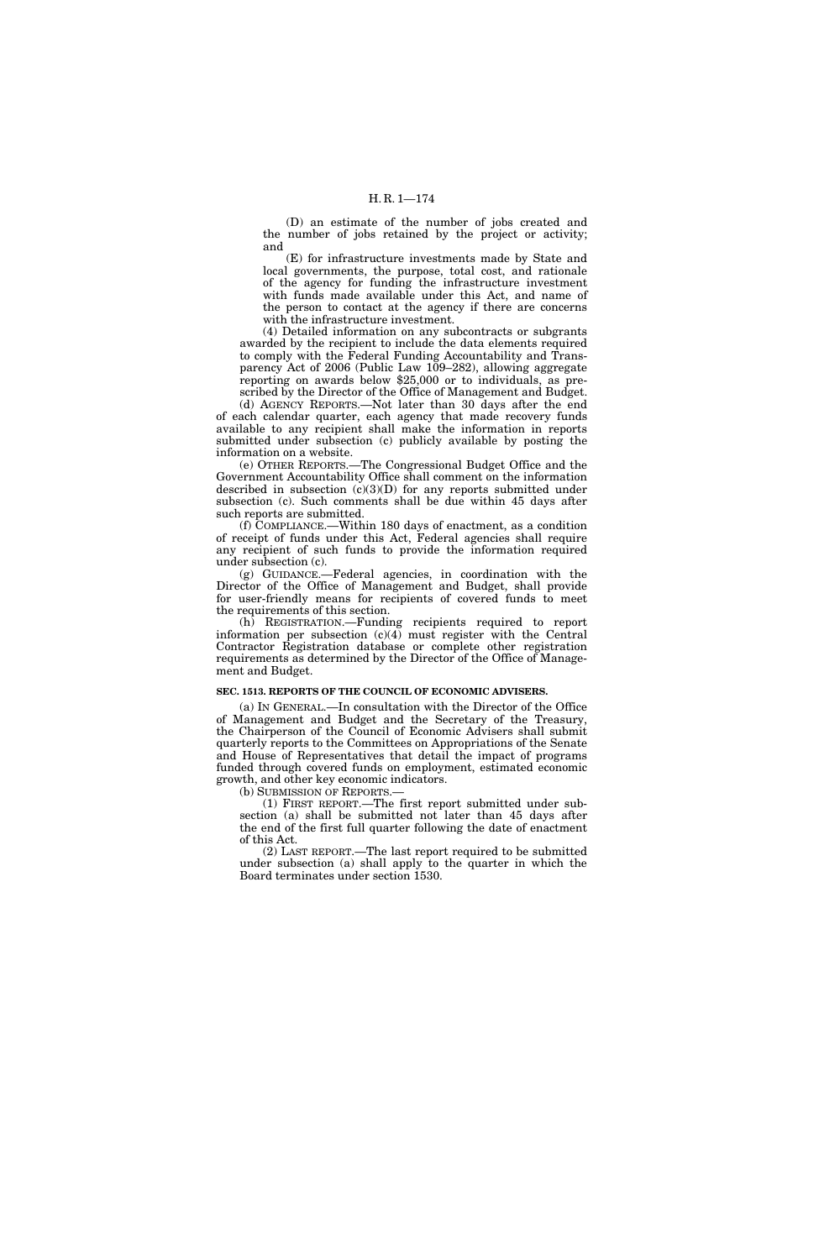(D) an estimate of the number of jobs created and the number of jobs retained by the project or activity; and

(E) for infrastructure investments made by State and local governments, the purpose, total cost, and rationale of the agency for funding the infrastructure investment with funds made available under this Act, and name of the person to contact at the agency if there are concerns with the infrastructure investment.

(4) Detailed information on any subcontracts or subgrants awarded by the recipient to include the data elements required to comply with the Federal Funding Accountability and Transparency Act of 2006 (Public Law 109–282), allowing aggregate reporting on awards below \$25,000 or to individuals, as prescribed by the Director of the Office of Management and Budget.

(d) AGENCY REPORTS.—Not later than 30 days after the end of each calendar quarter, each agency that made recovery funds available to any recipient shall make the information in reports submitted under subsection (c) publicly available by posting the information on a website.

(e) OTHER REPORTS.—The Congressional Budget Office and the Government Accountability Office shall comment on the information described in subsection (c)(3)(D) for any reports submitted under subsection (c). Such comments shall be due within 45 days after such reports are submitted.

(f) COMPLIANCE.—Within 180 days of enactment, as a condition of receipt of funds under this Act, Federal agencies shall require any recipient of such funds to provide the information required under subsection (c).

(g) GUIDANCE.—Federal agencies, in coordination with the Director of the Office of Management and Budget, shall provide for user-friendly means for recipients of covered funds to meet the requirements of this section.

(h) REGISTRATION.—Funding recipients required to report information per subsection (c)(4) must register with the Central Contractor Registration database or complete other registration requirements as determined by the Director of the Office of Management and Budget.

#### **SEC. 1513. REPORTS OF THE COUNCIL OF ECONOMIC ADVISERS.**

(a) IN GENERAL.—In consultation with the Director of the Office of Management and Budget and the Secretary of the Treasury, the Chairperson of the Council of Economic Advisers shall submit quarterly reports to the Committees on Appropriations of the Senate and House of Representatives that detail the impact of programs funded through covered funds on employment, estimated economic growth, and other key economic indicators.

(b) SUBMISSION OF REPORTS.—

(1) FIRST REPORT.—The first report submitted under subsection (a) shall be submitted not later than 45 days after the end of the first full quarter following the date of enactment of this Act.

(2) LAST REPORT.—The last report required to be submitted under subsection (a) shall apply to the quarter in which the Board terminates under section 1530.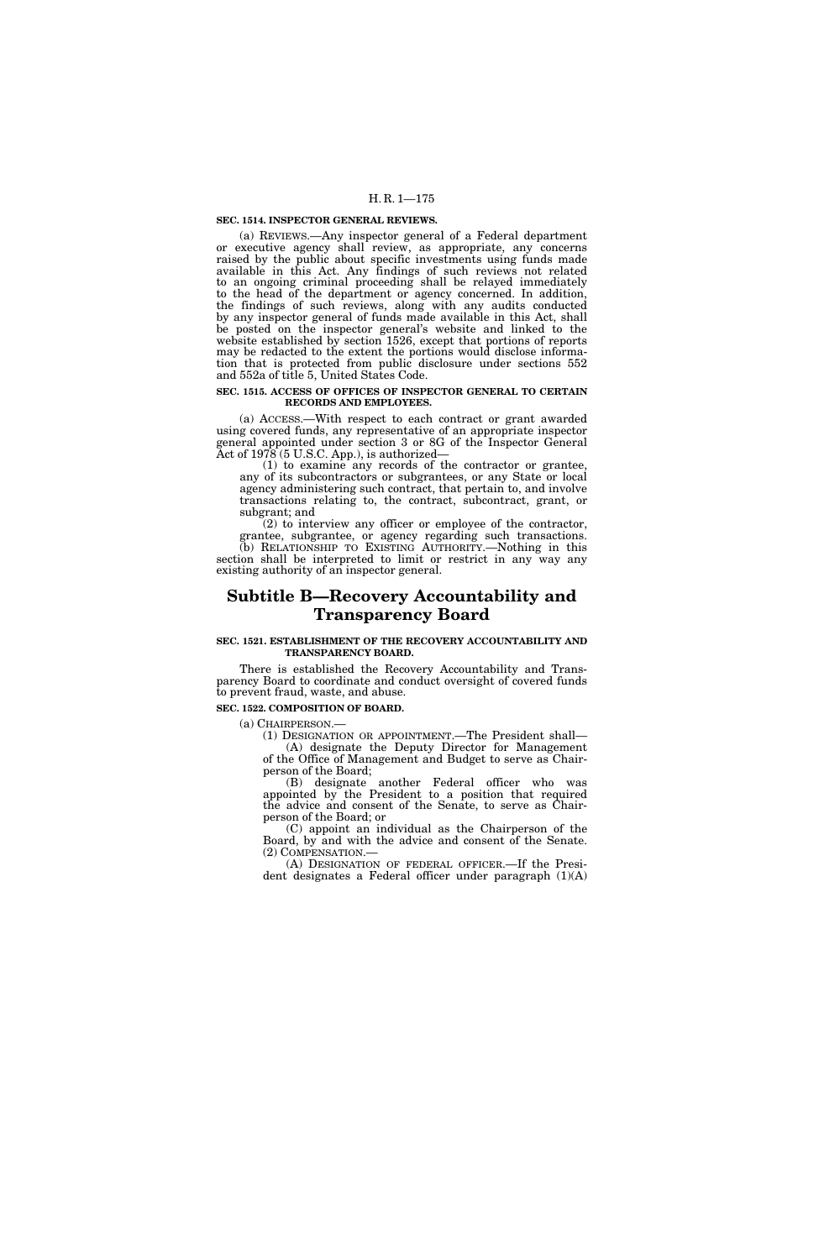#### **SEC. 1514. INSPECTOR GENERAL REVIEWS.**

(a) REVIEWS.—Any inspector general of a Federal department or executive agency shall review, as appropriate, any concerns raised by the public about specific investments using funds made available in this Act. Any findings of such reviews not related to an ongoing criminal proceeding shall be relayed immediately to the head of the department or agency concerned. In addition, the findings of such reviews, along with any audits conducted by any inspector general of funds made available in this Act, shall be posted on the inspector general's website and linked to the website established by section 1526, except that portions of reports may be redacted to the extent the portions would disclose information that is protected from public disclosure under sections 552 and 552a of title 5, United States Code.

#### **SEC. 1515. ACCESS OF OFFICES OF INSPECTOR GENERAL TO CERTAIN RECORDS AND EMPLOYEES.**

(a) ACCESS.—With respect to each contract or grant awarded using covered funds, any representative of an appropriate inspector general appointed under section 3 or 8G of the Inspector General Act of 1978 (5 U.S.C. App.), is authorized—

(1) to examine any records of the contractor or grantee, any of its subcontractors or subgrantees, or any State or local agency administering such contract, that pertain to, and involve transactions relating to, the contract, subcontract, grant, or subgrant; and

(2) to interview any officer or employee of the contractor, grantee, subgrantee, or agency regarding such transactions. (b) RELATIONSHIP TO EXISTING AUTHORITY.—Nothing in this section shall be interpreted to limit or restrict in any way any existing authority of an inspector general.

# **Subtitle B—Recovery Accountability and Transparency Board**

#### **SEC. 1521. ESTABLISHMENT OF THE RECOVERY ACCOUNTABILITY AND TRANSPARENCY BOARD.**

There is established the Recovery Accountability and Transparency Board to coordinate and conduct oversight of covered funds to prevent fraud, waste, and abuse.

## **SEC. 1522. COMPOSITION OF BOARD.**

(a) CHAIRPERSON.—

(1) DESIGNATION OR APPOINTMENT.—The President shall— (A) designate the Deputy Director for Management of the Office of Management and Budget to serve as Chairperson of the Board;

(B) designate another Federal officer who was appointed by the President to a position that required the advice and consent of the Senate, to serve as Chairperson of the Board; or

(C) appoint an individual as the Chairperson of the Board, by and with the advice and consent of the Senate. (2) COMPENSATION.—

(A) DESIGNATION OF FEDERAL OFFICER.—If the President designates a Federal officer under paragraph (1)(A)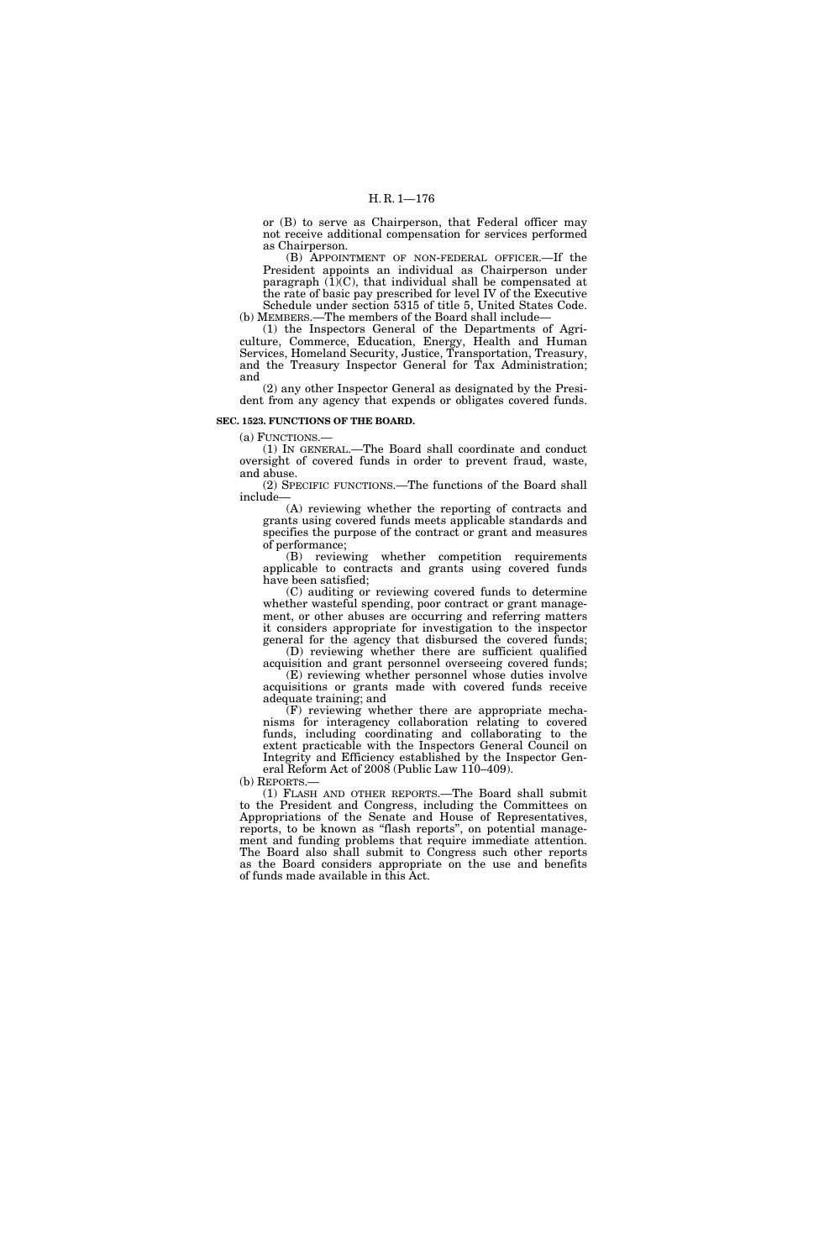or (B) to serve as Chairperson, that Federal officer may not receive additional compensation for services performed as Chairperson.

(B) APPOINTMENT OF NON-FEDERAL OFFICER.—If the President appoints an individual as Chairperson under paragraph (1)(C), that individual shall be compensated at the rate of basic pay prescribed for level IV of the Executive

Schedule under section 5315 of title 5, United States Code. (b) MEMBERS.—The members of the Board shall include—

(1) the Inspectors General of the Departments of Agriculture, Commerce, Education, Energy, Health and Human Services, Homeland Security, Justice, Transportation, Treasury, and the Treasury Inspector General for Tax Administration; and

(2) any other Inspector General as designated by the President from any agency that expends or obligates covered funds.

#### **SEC. 1523. FUNCTIONS OF THE BOARD.**

(a) FUNCTIONS.—

(1) IN GENERAL.—The Board shall coordinate and conduct oversight of covered funds in order to prevent fraud, waste, and abuse.

(2) SPECIFIC FUNCTIONS.—The functions of the Board shall include—

(A) reviewing whether the reporting of contracts and grants using covered funds meets applicable standards and specifies the purpose of the contract or grant and measures of performance;

(B) reviewing whether competition requirements applicable to contracts and grants using covered funds have been satisfied;

(C) auditing or reviewing covered funds to determine whether wasteful spending, poor contract or grant management, or other abuses are occurring and referring matters it considers appropriate for investigation to the inspector general for the agency that disbursed the covered funds; (D) reviewing whether there are sufficient qualified

acquisition and grant personnel overseeing covered funds; (E) reviewing whether personnel whose duties involve

acquisitions or grants made with covered funds receive adequate training; and

(F) reviewing whether there are appropriate mechanisms for interagency collaboration relating to covered funds, including coordinating and collaborating to the extent practicable with the Inspectors General Council on Integrity and Efficiency established by the Inspector General Reform Act of 2008 (Public Law 110–409).

(b) REPORTS.—

(1) FLASH AND OTHER REPORTS.—The Board shall submit to the President and Congress, including the Committees on Appropriations of the Senate and House of Representatives, reports, to be known as "flash reports", on potential management and funding problems that require immediate attention. The Board also shall submit to Congress such other reports as the Board considers appropriate on the use and benefits of funds made available in this Act.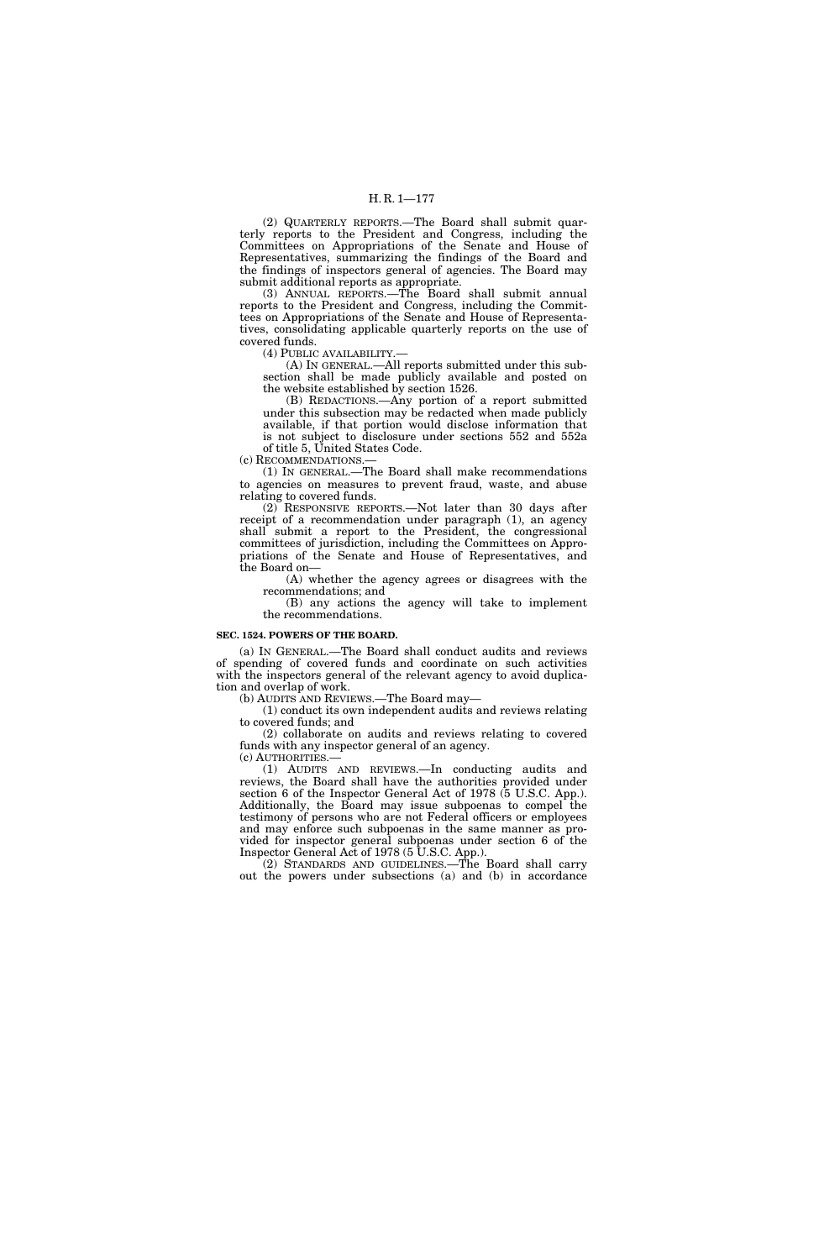(2) QUARTERLY REPORTS.—The Board shall submit quarterly reports to the President and Congress, including the Committees on Appropriations of the Senate and House of Representatives, summarizing the findings of the Board and the findings of inspectors general of agencies. The Board may submit additional reports as appropriate.

(3) ANNUAL REPORTS.—The Board shall submit annual reports to the President and Congress, including the Committees on Appropriations of the Senate and House of Representatives, consolidating applicable quarterly reports on the use of covered funds.

(4) PUBLIC AVAILABILITY.—

(A) IN GENERAL.—All reports submitted under this subsection shall be made publicly available and posted on the website established by section 1526.

(B) REDACTIONS.—Any portion of a report submitted under this subsection may be redacted when made publicly available, if that portion would disclose information that is not subject to disclosure under sections 552 and 552a of title 5, United States Code.

(c) RECOMMENDATIONS.—

(1) IN GENERAL.—The Board shall make recommendations to agencies on measures to prevent fraud, waste, and abuse relating to covered funds.

(2) RESPONSIVE REPORTS.—Not later than 30 days after receipt of a recommendation under paragraph (1), an agency shall submit a report to the President, the congressional committees of jurisdiction, including the Committees on Appropriations of the Senate and House of Representatives, and the Board on—

(A) whether the agency agrees or disagrees with the recommendations; and

(B) any actions the agency will take to implement the recommendations.

## **SEC. 1524. POWERS OF THE BOARD.**

(a) IN GENERAL.—The Board shall conduct audits and reviews of spending of covered funds and coordinate on such activities with the inspectors general of the relevant agency to avoid duplication and overlap of work.

(b) AUDITS AND REVIEWS.—The Board may—

(1) conduct its own independent audits and reviews relating to covered funds; and

(2) collaborate on audits and reviews relating to covered funds with any inspector general of an agency.

(c) AUTHORITIES.—

(1) AUDITS AND REVIEWS.—In conducting audits and reviews, the Board shall have the authorities provided under section 6 of the Inspector General Act of 1978 (5 U.S.C. App.). Additionally, the Board may issue subpoenas to compel the testimony of persons who are not Federal officers or employees and may enforce such subpoenas in the same manner as provided for inspector general subpoenas under section 6 of the Inspector General Act of 1978 (5 U.S.C. App.).

(2) STANDARDS AND GUIDELINES.—The Board shall carry out the powers under subsections (a) and (b) in accordance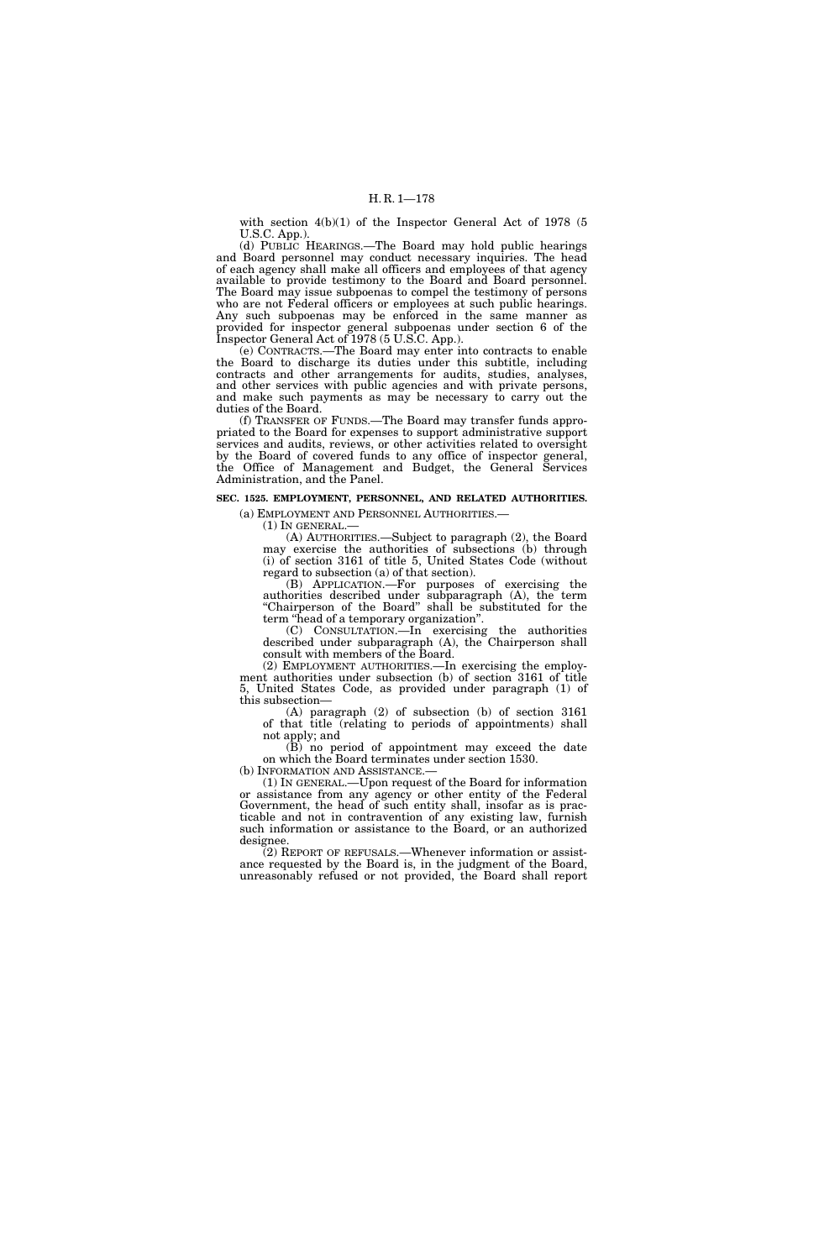with section  $4(b)(1)$  of the Inspector General Act of 1978 (5) U.S.C. App.).

(d) PUBLIC HEARINGS.—The Board may hold public hearings and Board personnel may conduct necessary inquiries. The head of each agency shall make all officers and employees of that agency available to provide testimony to the Board and Board personnel. The Board may issue subpoenas to compel the testimony of persons who are not Federal officers or employees at such public hearings. Any such subpoenas may be enforced in the same manner as provided for inspector general subpoenas under section 6 of the Inspector General Act of 1978 (5 U.S.C. App.).

(e) CONTRACTS.—The Board may enter into contracts to enable the Board to discharge its duties under this subtitle, including contracts and other arrangements for audits, studies, analyses, and other services with public agencies and with private persons, and make such payments as may be necessary to carry out the duties of the Board.

(f) TRANSFER OF FUNDS.—The Board may transfer funds appropriated to the Board for expenses to support administrative support services and audits, reviews, or other activities related to oversight by the Board of covered funds to any office of inspector general, the Office of Management and Budget, the General Services Administration, and the Panel.

**SEC. 1525. EMPLOYMENT, PERSONNEL, AND RELATED AUTHORITIES.** 

(a) EMPLOYMENT AND PERSONNEL AUTHORITIES.—

(A) AUTHORITIES.—Subject to paragraph (2), the Board may exercise the authorities of subsections (b) through (i) of section 3161 of title 5, United States Code (without regard to subsection (a) of that section).

(B) APPLICATION.—For purposes of exercising the authorities described under subparagraph (A), the term "Chairperson of the Board" shall be substituted for the term ''head of a temporary organization''.

(C) CONSULTATION.—In exercising the authorities described under subparagraph (A), the Chairperson shall consult with members of the Board.

(2) EMPLOYMENT AUTHORITIES.—In exercising the employment authorities under subsection (b) of section 3161 of title 5, United States Code, as provided under paragraph (1) of this subsection—

(A) paragraph (2) of subsection (b) of section 3161 of that title (relating to periods of appointments) shall not apply; and

(B) no period of appointment may exceed the date on which the Board terminates under section 1530.<br>(b) INFORMATION AND ASSISTANCE.—

(1) IN GENERAL.—Upon request of the Board for information or assistance from any agency or other entity of the Federal Government, the head of such entity shall, insofar as is practicable and not in contravention of any existing law, furnish such information or assistance to the Board, or an authorized designee.

(2) REPORT OF REFUSALS.—Whenever information or assistance requested by the Board is, in the judgment of the Board, unreasonably refused or not provided, the Board shall report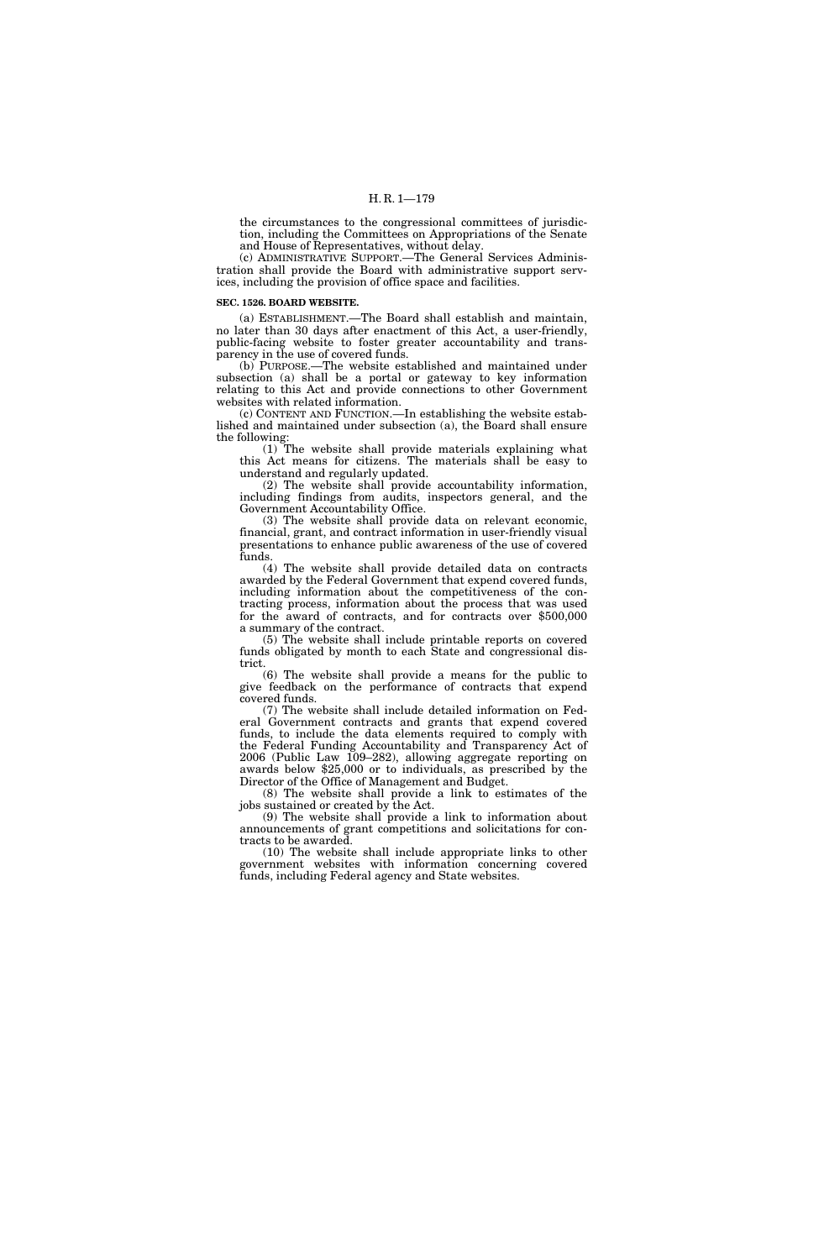the circumstances to the congressional committees of jurisdiction, including the Committees on Appropriations of the Senate and House of Representatives, without delay.

(c) ADMINISTRATIVE SUPPORT.—The General Services Administration shall provide the Board with administrative support services, including the provision of office space and facilities.

#### **SEC. 1526. BOARD WEBSITE.**

(a) ESTABLISHMENT.—The Board shall establish and maintain, no later than 30 days after enactment of this Act, a user-friendly, public-facing website to foster greater accountability and transparency in the use of covered funds.

(b) PURPOSE.—The website established and maintained under subsection (a) shall be a portal or gateway to key information relating to this Act and provide connections to other Government websites with related information.

(c) CONTENT AND FUNCTION.—In establishing the website established and maintained under subsection (a), the Board shall ensure the following:

(1) The website shall provide materials explaining what this Act means for citizens. The materials shall be easy to understand and regularly updated.

(2) The website shall provide accountability information, including findings from audits, inspectors general, and the Government Accountability Office.

(3) The website shall provide data on relevant economic, financial, grant, and contract information in user-friendly visual presentations to enhance public awareness of the use of covered funds.

(4) The website shall provide detailed data on contracts awarded by the Federal Government that expend covered funds, including information about the competitiveness of the contracting process, information about the process that was used for the award of contracts, and for contracts over \$500,000 a summary of the contract.

(5) The website shall include printable reports on covered funds obligated by month to each State and congressional district.

(6) The website shall provide a means for the public to give feedback on the performance of contracts that expend covered funds.

(7) The website shall include detailed information on Federal Government contracts and grants that expend covered funds, to include the data elements required to comply with the Federal Funding Accountability and Transparency Act of 2006 (Public Law 109–282), allowing aggregate reporting on awards below \$25,000 or to individuals, as prescribed by the Director of the Office of Management and Budget.

(8) The website shall provide a link to estimates of the jobs sustained or created by the Act.

(9) The website shall provide a link to information about announcements of grant competitions and solicitations for contracts to be awarded.

(10) The website shall include appropriate links to other government websites with information concerning covered funds, including Federal agency and State websites.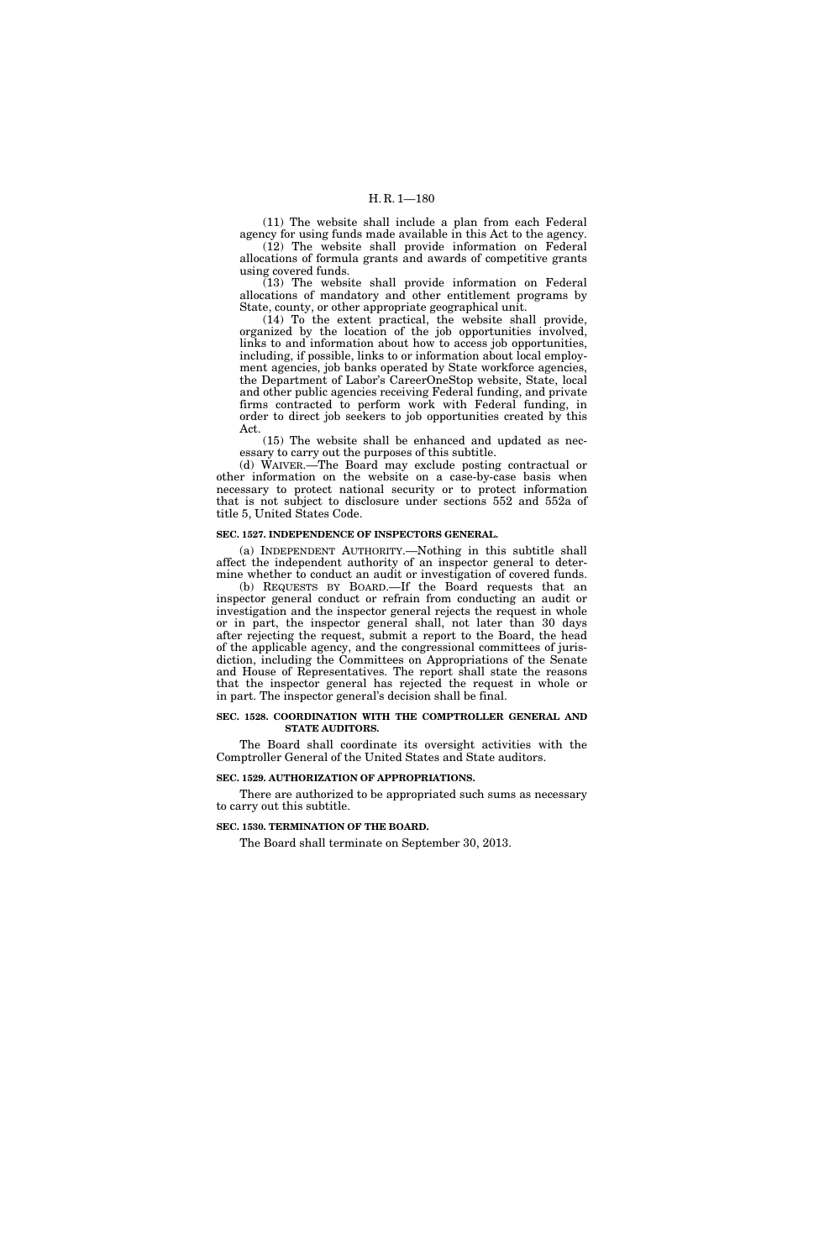(11) The website shall include a plan from each Federal agency for using funds made available in this Act to the agency. (12) The website shall provide information on Federal allocations of formula grants and awards of competitive grants

using covered funds.

(13) The website shall provide information on Federal allocations of mandatory and other entitlement programs by State, county, or other appropriate geographical unit.

(14) To the extent practical, the website shall provide, organized by the location of the job opportunities involved, links to and information about how to access job opportunities, including, if possible, links to or information about local employment agencies, job banks operated by State workforce agencies, the Department of Labor's CareerOneStop website, State, local and other public agencies receiving Federal funding, and private firms contracted to perform work with Federal funding, in order to direct job seekers to job opportunities created by this Act.

(15) The website shall be enhanced and updated as necessary to carry out the purposes of this subtitle.

(d) WAIVER.—The Board may exclude posting contractual or other information on the website on a case-by-case basis when necessary to protect national security or to protect information that is not subject to disclosure under sections 552 and 552a of title 5, United States Code.

#### **SEC. 1527. INDEPENDENCE OF INSPECTORS GENERAL.**

(a) INDEPENDENT AUTHORITY.—Nothing in this subtitle shall affect the independent authority of an inspector general to determine whether to conduct an audit or investigation of covered funds.

(b) REQUESTS BY BOARD.—If the Board requests that an inspector general conduct or refrain from conducting an audit or investigation and the inspector general rejects the request in whole or in part, the inspector general shall, not later than 30 days after rejecting the request, submit a report to the Board, the head of the applicable agency, and the congressional committees of jurisdiction, including the Committees on Appropriations of the Senate and House of Representatives. The report shall state the reasons that the inspector general has rejected the request in whole or in part. The inspector general's decision shall be final.

#### **SEC. 1528. COORDINATION WITH THE COMPTROLLER GENERAL AND STATE AUDITORS.**

The Board shall coordinate its oversight activities with the Comptroller General of the United States and State auditors.

## **SEC. 1529. AUTHORIZATION OF APPROPRIATIONS.**

There are authorized to be appropriated such sums as necessary to carry out this subtitle.

#### **SEC. 1530. TERMINATION OF THE BOARD.**

The Board shall terminate on September 30, 2013.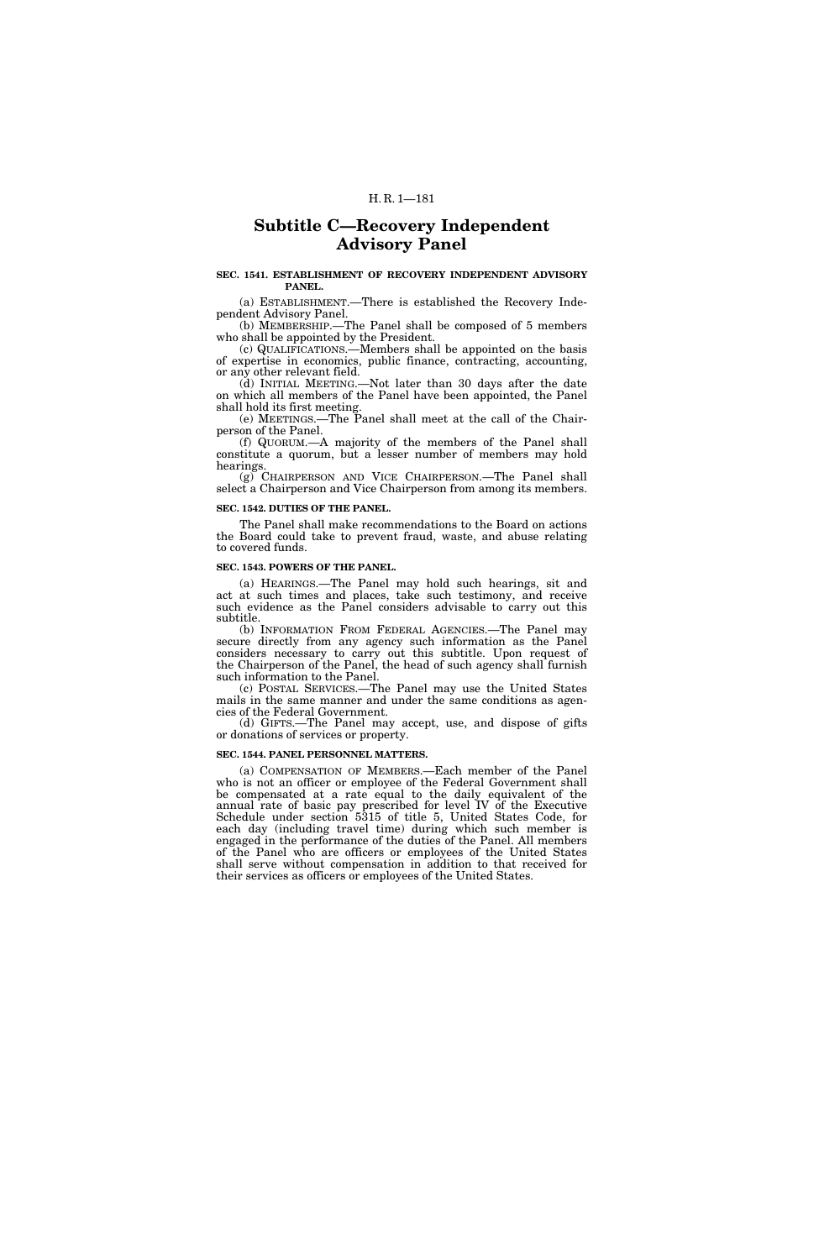# **Subtitle C—Recovery Independent Advisory Panel**

### **SEC. 1541. ESTABLISHMENT OF RECOVERY INDEPENDENT ADVISORY PANEL.**

(a) ESTABLISHMENT.—There is established the Recovery Independent Advisory Panel.

(b) MEMBERSHIP.—The Panel shall be composed of 5 members who shall be appointed by the President.

(c) QUALIFICATIONS.—Members shall be appointed on the basis of expertise in economics, public finance, contracting, accounting, or any other relevant field.

(d) INITIAL MEETING.—Not later than 30 days after the date on which all members of the Panel have been appointed, the Panel shall hold its first meeting.

(e) MEETINGS.—The Panel shall meet at the call of the Chairperson of the Panel.

(f) QUORUM.—A majority of the members of the Panel shall constitute a quorum, but a lesser number of members may hold hearings.

(g) CHAIRPERSON AND VICE CHAIRPERSON.—The Panel shall select a Chairperson and Vice Chairperson from among its members.

## **SEC. 1542. DUTIES OF THE PANEL.**

The Panel shall make recommendations to the Board on actions the Board could take to prevent fraud, waste, and abuse relating to covered funds.

### **SEC. 1543. POWERS OF THE PANEL.**

(a) HEARINGS.—The Panel may hold such hearings, sit and act at such times and places, take such testimony, and receive such evidence as the Panel considers advisable to carry out this subtitle.

(b) INFORMATION FROM FEDERAL AGENCIES.—The Panel may secure directly from any agency such information as the Panel considers necessary to carry out this subtitle. Upon request of the Chairperson of the Panel, the head of such agency shall furnish such information to the Panel.

(c) POSTAL SERVICES.—The Panel may use the United States mails in the same manner and under the same conditions as agencies of the Federal Government.

(d) GIFTS.—The Panel may accept, use, and dispose of gifts or donations of services or property.

#### **SEC. 1544. PANEL PERSONNEL MATTERS.**

(a) COMPENSATION OF MEMBERS.—Each member of the Panel who is not an officer or employee of the Federal Government shall be compensated at a rate equal to the daily equivalent of the annual rate of basic pay prescribed for level IV of the Executive Schedule under section 5315 of title 5, United States Code, for each day (including travel time) during which such member is engaged in the performance of the duties of the Panel. All members of the Panel who are officers or employees of the United States shall serve without compensation in addition to that received for their services as officers or employees of the United States.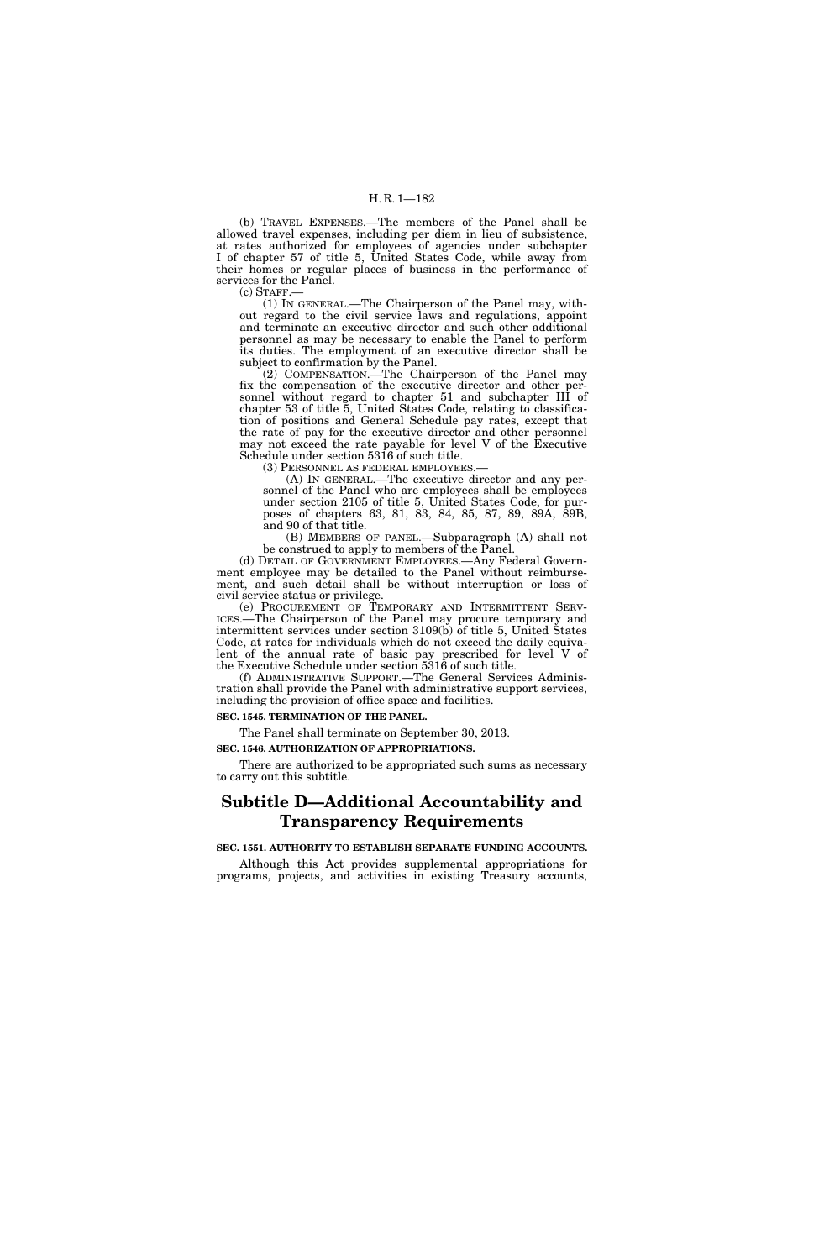(b) TRAVEL EXPENSES.—The members of the Panel shall be allowed travel expenses, including per diem in lieu of subsistence, at rates authorized for employees of agencies under subchapter I of chapter 57 of title 5, United States Code, while away from their homes or regular places of business in the performance of services for the Panel.

 $(c)$  STAFF.

(1) IN GENERAL.—The Chairperson of the Panel may, without regard to the civil service laws and regulations, appoint and terminate an executive director and such other additional personnel as may be necessary to enable the Panel to perform its duties. The employment of an executive director shall be subject to confirmation by the Panel.

(2) COMPENSATION.—The Chairperson of the Panel may fix the compensation of the executive director and other personnel without regard to chapter 51 and subchapter III of chapter 53 of title 5, United States Code, relating to classification of positions and General Schedule pay rates, except that the rate of pay for the executive director and other personnel may not exceed the rate payable for level V of the Executive Schedule under section 5316 of such title.

(3) PERSONNEL AS FEDERAL EMPLOYEES.—

(A) IN GENERAL.—The executive director and any personnel of the Panel who are employees shall be employees under section 2105 of title 5, United States Code, for purposes of chapters 63, 81, 83, 84, 85, 87, 89, 89A, 89B, and 90 of that title.

(B) MEMBERS OF PANEL.—Subparagraph (A) shall not be construed to apply to members of the Panel.

(d) DETAIL OF GOVERNMENT EMPLOYEES.—Any Federal Government employee may be detailed to the Panel without reimbursement, and such detail shall be without interruption or loss of civil service status or privilege.

(e) PROCUREMENT OF TEMPORARY AND INTERMITTENT SERV- ICES.—The Chairperson of the Panel may procure temporary and intermittent services under section 3109(b) of title 5, United States Code, at rates for individuals which do not exceed the daily equivalent of the annual rate of basic pay prescribed for level V of the Executive Schedule under section 5316 of such title.

(f) ADMINISTRATIVE SUPPORT.—The General Services Administration shall provide the Panel with administrative support services, including the provision of office space and facilities.

**SEC. 1545. TERMINATION OF THE PANEL.** 

The Panel shall terminate on September 30, 2013.

**SEC. 1546. AUTHORIZATION OF APPROPRIATIONS.** 

There are authorized to be appropriated such sums as necessary to carry out this subtitle.

# **Subtitle D—Additional Accountability and Transparency Requirements**

**SEC. 1551. AUTHORITY TO ESTABLISH SEPARATE FUNDING ACCOUNTS.** 

Although this Act provides supplemental appropriations for programs, projects, and activities in existing Treasury accounts,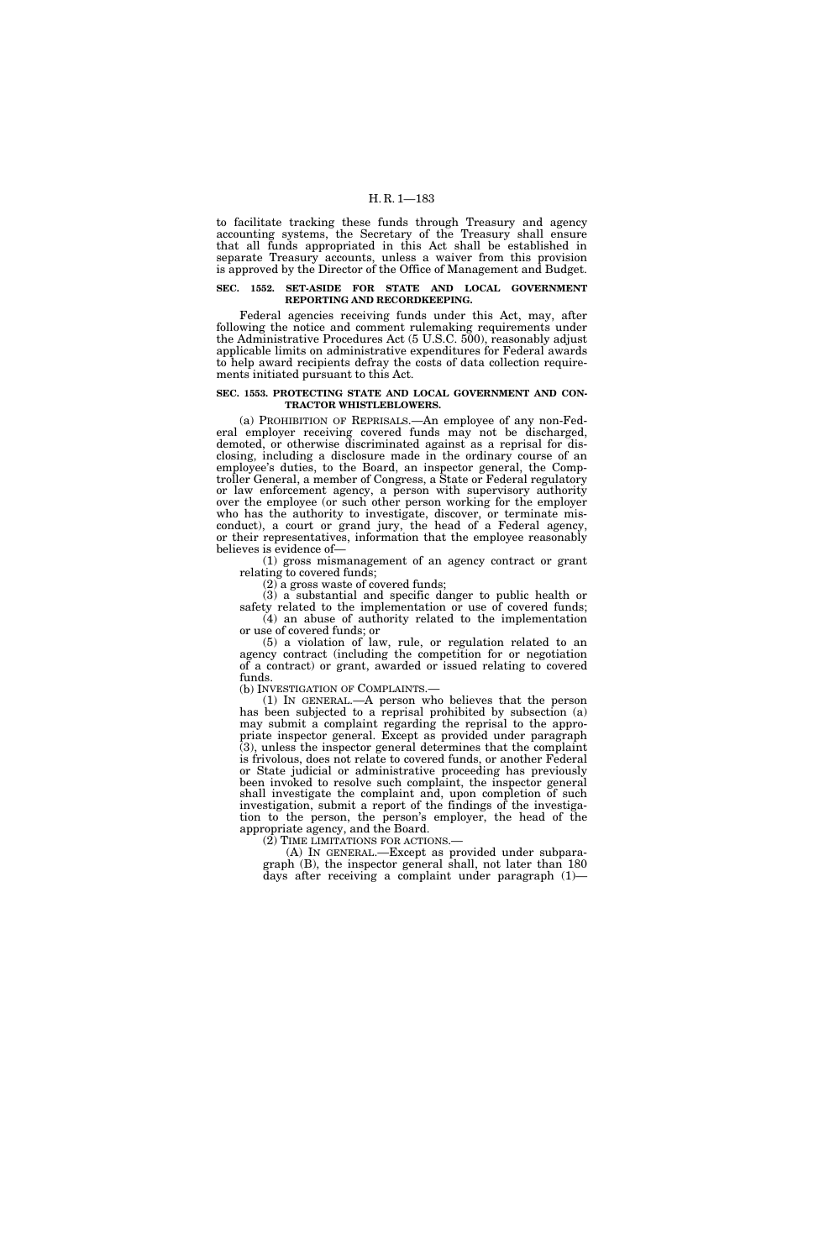to facilitate tracking these funds through Treasury and agency accounting systems, the Secretary of the Treasury shall ensure that all funds appropriated in this Act shall be established in separate Treasury accounts, unless a waiver from this provision is approved by the Director of the Office of Management and Budget.

### **SEC. 1552. SET-ASIDE FOR STATE AND LOCAL GOVERNMENT REPORTING AND RECORDKEEPING.**

Federal agencies receiving funds under this Act, may, after following the notice and comment rulemaking requirements under the Administrative Procedures Act (5 U.S.C. 500), reasonably adjust applicable limits on administrative expenditures for Federal awards to help award recipients defray the costs of data collection requirements initiated pursuant to this Act.

#### **SEC. 1553. PROTECTING STATE AND LOCAL GOVERNMENT AND CON-TRACTOR WHISTLEBLOWERS.**

(a) PROHIBITION OF REPRISALS.—An employee of any non-Federal employer receiving covered funds may not be discharged, demoted, or otherwise discriminated against as a reprisal for disclosing, including a disclosure made in the ordinary course of an employee's duties, to the Board, an inspector general, the Comptroller General, a member of Congress, a State or Federal regulatory or law enforcement agency, a person with supervisory authority over the employee (or such other person working for the employer who has the authority to investigate, discover, or terminate misconduct), a court or grand jury, the head of a Federal agency, or their representatives, information that the employee reasonably believes is evidence of—

(1) gross mismanagement of an agency contract or grant relating to covered funds;

(2) a gross waste of covered funds;

(3) a substantial and specific danger to public health or safety related to the implementation or use of covered funds; (4) an abuse of authority related to the implementation or use of covered funds; or

(5) a violation of law, rule, or regulation related to an agency contract (including the competition for or negotiation of a contract) or grant, awarded or issued relating to covered funds.

(b) INVESTIGATION OF COMPLAINTS.—

(1) IN GENERAL.—A person who believes that the person has been subjected to a reprisal prohibited by subsection (a) may submit a complaint regarding the reprisal to the appropriate inspector general. Except as provided under paragraph (3), unless the inspector general determines that the complaint is frivolous, does not relate to covered funds, or another Federal or State judicial or administrative proceeding has previously been invoked to resolve such complaint, the inspector general shall investigate the complaint and, upon completion of such investigation, submit a report of the findings of the investigation to the person, the person's employer, the head of the appropriate agency, and the Board.<br>(2) TIME LIMITATIONS FOR ACTIONS.

 $(A)$  In GENERAL.—Except as provided under subparagraph (B), the inspector general shall, not later than 180 days after receiving a complaint under paragraph (1)—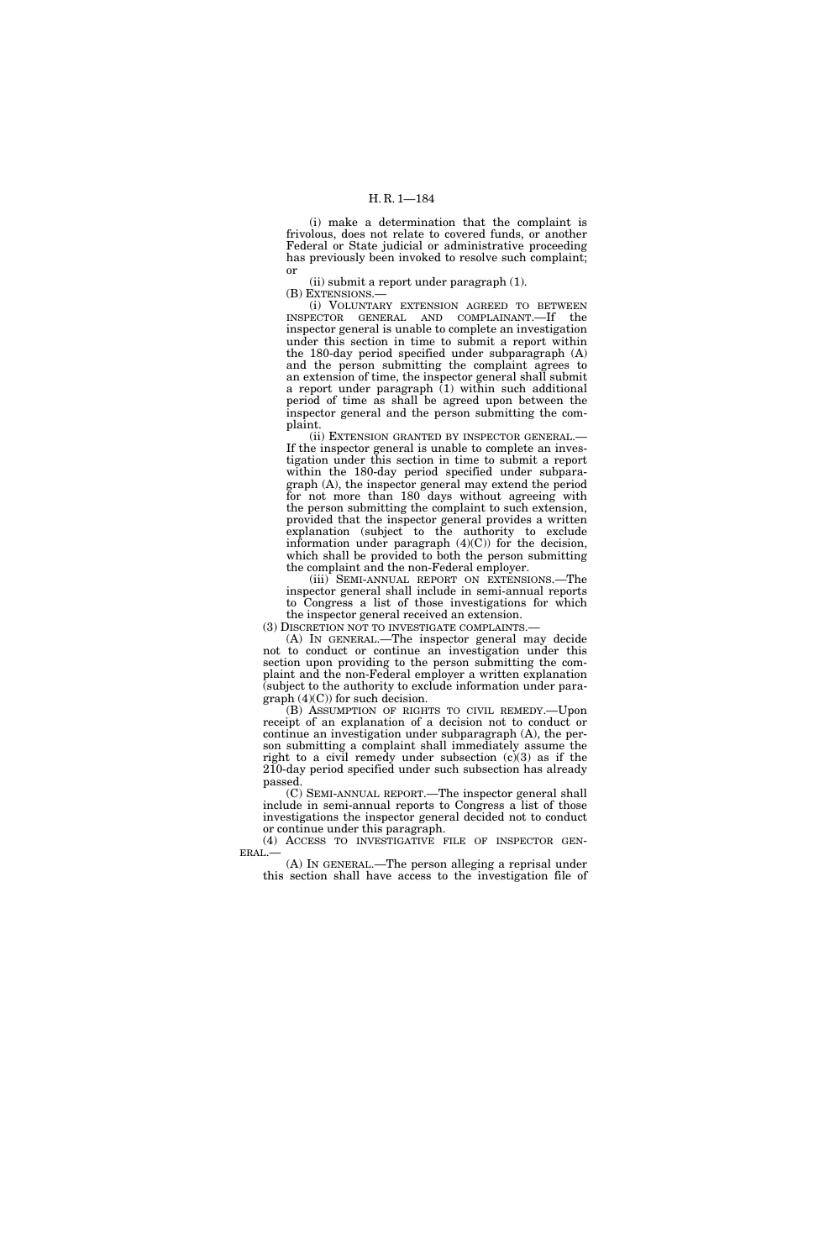(i) make a determination that the complaint is frivolous, does not relate to covered funds, or another Federal or State judicial or administrative proceeding has previously been invoked to resolve such complaint; or

(ii) submit a report under paragraph (1).

(B) EXTENSIONS.—

(i) VOLUNTARY EXTENSION AGREED TO BETWEEN INSPECTOR GENERAL AND COMPLAINANT.—If the inspector general is unable to complete an investigation under this section in time to submit a report within the 180-day period specified under subparagraph (A) and the person submitting the complaint agrees to an extension of time, the inspector general shall submit a report under paragraph  $(1)$  within such additional period of time as shall be agreed upon between the inspector general and the person submitting the complaint.

(ii) EXTENSION GRANTED BY INSPECTOR GENERAL.— If the inspector general is unable to complete an investigation under this section in time to submit a report within the 180-day period specified under subparagraph (A), the inspector general may extend the period for not more than 180 days without agreeing with the person submitting the complaint to such extension, provided that the inspector general provides a written explanation (subject to the authority to exclude information under paragraph  $(4)(C)$  for the decision, which shall be provided to both the person submitting the complaint and the non-Federal employer.

(iii) SEMI-ANNUAL REPORT ON EXTENSIONS.—The inspector general shall include in semi-annual reports to Congress a list of those investigations for which the inspector general received an extension.

(3) DISCRETION NOT TO INVESTIGATE COMPLAINTS.—

(A) IN GENERAL.—The inspector general may decide not to conduct or continue an investigation under this section upon providing to the person submitting the complaint and the non-Federal employer a written explanation (subject to the authority to exclude information under para $graph (4)(C)$  for such decision.

(B) ASSUMPTION OF RIGHTS TO CIVIL REMEDY.—Upon receipt of an explanation of a decision not to conduct or continue an investigation under subparagraph (A), the person submitting a complaint shall immediately assume the right to a civil remedy under subsection (c)(3) as if the 210-day period specified under such subsection has already passed.

(C) SEMI-ANNUAL REPORT.—The inspector general shall include in semi-annual reports to Congress a list of those investigations the inspector general decided not to conduct or continue under this paragraph.

(4) ACCESS TO INVESTIGATIVE FILE OF INSPECTOR GEN-ERAL.—

(A) IN GENERAL.—The person alleging a reprisal under this section shall have access to the investigation file of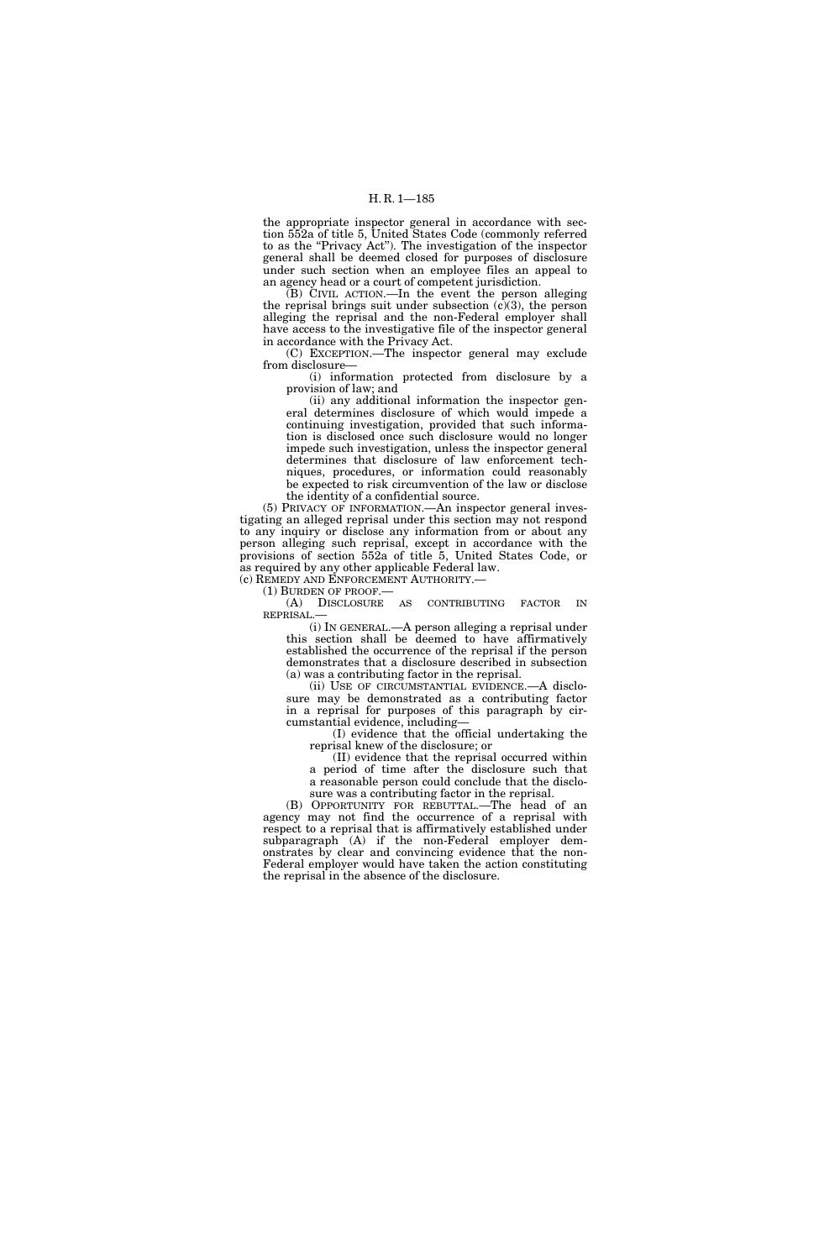the appropriate inspector general in accordance with section 552a of title 5, United States Code (commonly referred to as the "Privacy Act"). The investigation of the inspector general shall be deemed closed for purposes of disclosure under such section when an employee files an appeal to an agency head or a court of competent jurisdiction.

(B) CIVIL ACTION.—In the event the person alleging the reprisal brings suit under subsection  $(c)(3)$ , the person alleging the reprisal and the non-Federal employer shall have access to the investigative file of the inspector general in accordance with the Privacy Act.

(C) EXCEPTION.—The inspector general may exclude from disclosure—

(i) information protected from disclosure by a provision of law; and

(ii) any additional information the inspector general determines disclosure of which would impede a continuing investigation, provided that such information is disclosed once such disclosure would no longer impede such investigation, unless the inspector general determines that disclosure of law enforcement techniques, procedures, or information could reasonably be expected to risk circumvention of the law or disclose the identity of a confidential source.

(5) PRIVACY OF INFORMATION.—An inspector general investigating an alleged reprisal under this section may not respond to any inquiry or disclose any information from or about any person alleging such reprisal, except in accordance with the provisions of section 552a of title 5, United States Code, or as required by any other applicable Federal law.

(c) REMEDY AND ENFORCEMENT AUTHORITY.— (1) BURDEN OF PROOF.—

(A) DISCLOSURE AS CONTRIBUTING FACTOR IN REPRISAL.—

(i) IN GENERAL.—A person alleging a reprisal under this section shall be deemed to have affirmatively established the occurrence of the reprisal if the person demonstrates that a disclosure described in subsection (a) was a contributing factor in the reprisal.

(ii) USE OF CIRCUMSTANTIAL EVIDENCE.—A disclosure may be demonstrated as a contributing factor in a reprisal for purposes of this paragraph by circumstantial evidence, including—

(I) evidence that the official undertaking the reprisal knew of the disclosure; or

(II) evidence that the reprisal occurred within a period of time after the disclosure such that a reasonable person could conclude that the disclosure was a contributing factor in the reprisal.

(B) OPPORTUNITY FOR REBUTTAL.—The head of an agency may not find the occurrence of a reprisal with respect to a reprisal that is affirmatively established under subparagraph (A) if the non-Federal employer demonstrates by clear and convincing evidence that the non-Federal employer would have taken the action constituting the reprisal in the absence of the disclosure.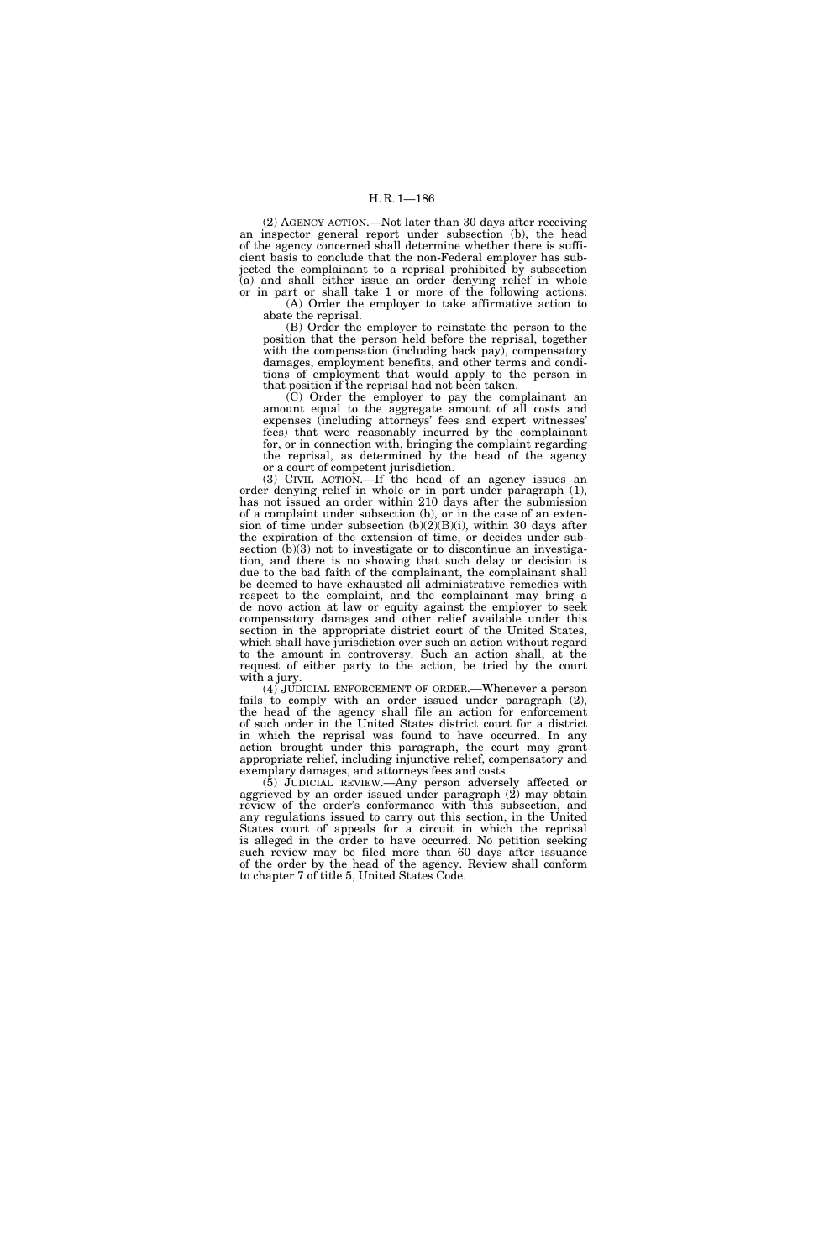(2) AGENCY ACTION.—Not later than 30 days after receiving an inspector general report under subsection (b), the head of the agency concerned shall determine whether there is sufficient basis to conclude that the non-Federal employer has subjected the complainant to a reprisal prohibited by subsection (a) and shall either issue an order denying relief in whole or in part or shall take 1 or more of the following actions: (A) Order the employer to take affirmative action to

abate the reprisal. (B) Order the employer to reinstate the person to the

position that the person held before the reprisal, together with the compensation (including back pay), compensatory damages, employment benefits, and other terms and conditions of employment that would apply to the person in that position if the reprisal had not been taken.

(C) Order the employer to pay the complainant an amount equal to the aggregate amount of all costs and expenses (including attorneys' fees and expert witnesses' fees) that were reasonably incurred by the complainant for, or in connection with, bringing the complaint regarding the reprisal, as determined by the head of the agency or a court of competent jurisdiction.

(3) CIVIL ACTION.—If the head of an agency issues an order denying relief in whole or in part under paragraph (1), has not issued an order within 210 days after the submission of a complaint under subsection (b), or in the case of an extension of time under subsection  $(b)(2)(B)(i)$ , within 30 days after the expiration of the extension of time, or decides under subsection  $(b)(3)$  not to investigate or to discontinue an investigation, and there is no showing that such delay or decision is due to the bad faith of the complainant, the complainant shall be deemed to have exhausted all administrative remedies with respect to the complaint, and the complainant may bring a de novo action at law or equity against the employer to seek compensatory damages and other relief available under this section in the appropriate district court of the United States, which shall have jurisdiction over such an action without regard to the amount in controversy. Such an action shall, at the request of either party to the action, be tried by the court with a jury.

(4) JUDICIAL ENFORCEMENT OF ORDER.—Whenever a person fails to comply with an order issued under paragraph (2), the head of the agency shall file an action for enforcement of such order in the United States district court for a district in which the reprisal was found to have occurred. In any action brought under this paragraph, the court may grant appropriate relief, including injunctive relief, compensatory and exemplary damages, and attorneys fees and costs.

(5) JUDICIAL REVIEW.—Any person adversely affected or aggrieved by an order issued under paragraph (2) may obtain review of the order's conformance with this subsection, and any regulations issued to carry out this section, in the United States court of appeals for a circuit in which the reprisal is alleged in the order to have occurred. No petition seeking such review may be filed more than 60 days after issuance of the order by the head of the agency. Review shall conform to chapter 7 of title 5, United States Code.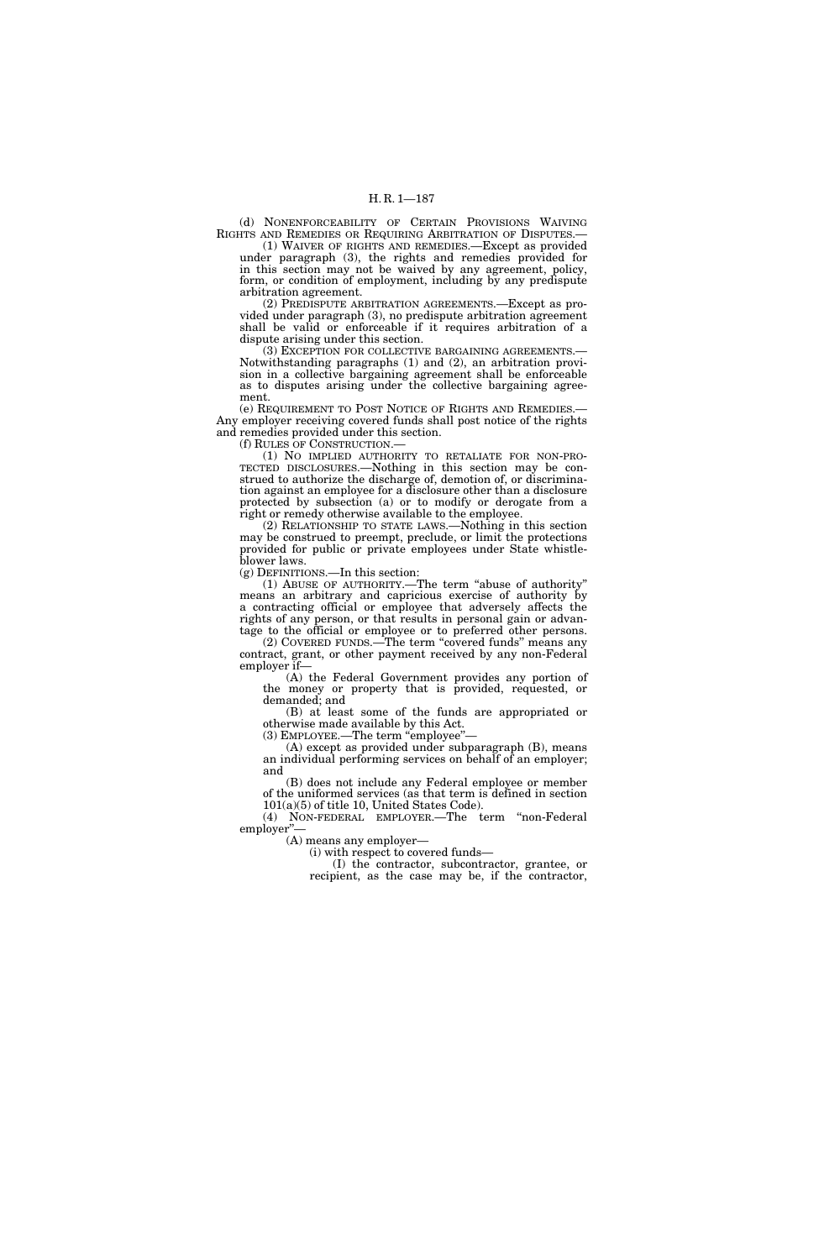(d) NONENFORCEABILITY OF CERTAIN PROVISIONS WAIVING RIGHTS AND REMEDIES OR REQUIRING ARBITRATION OF DISPUTES.—

(1) WAIVER OF RIGHTS AND REMEDIES.—Except as provided under paragraph (3), the rights and remedies provided for in this section may not be waived by any agreement, policy, form, or condition of employment, including by any predispute arbitration agreement.

(2) PREDISPUTE ARBITRATION AGREEMENTS.—Except as provided under paragraph (3), no predispute arbitration agreement shall be valid or enforceable if it requires arbitration of a dispute arising under this section.

(3) EXCEPTION FOR COLLECTIVE BARGAINING AGREEMENTS.— Notwithstanding paragraphs (1) and (2), an arbitration provision in a collective bargaining agreement shall be enforceable as to disputes arising under the collective bargaining agreement.

(e) REQUIREMENT TO POST NOTICE OF RIGHTS AND REMEDIES.— Any employer receiving covered funds shall post notice of the rights and remedies provided under this section.

(f) RULES OF CONSTRUCTION.—

(1) NO IMPLIED AUTHORITY TO RETALIATE FOR NON-PRO-TECTED DISCLOSURES.—Nothing in this section may be construed to authorize the discharge of, demotion of, or discrimination against an employee for a disclosure other than a disclosure protected by subsection (a) or to modify or derogate from a right or remedy otherwise available to the employee.

(2) RELATIONSHIP TO STATE LAWS.—Nothing in this section may be construed to preempt, preclude, or limit the protections provided for public or private employees under State whistleblower laws.

(g) DEFINITIONS.—In this section:

(1) ABUSE OF AUTHORITY.—The term ''abuse of authority'' means an arbitrary and capricious exercise of authority by a contracting official or employee that adversely affects the rights of any person, or that results in personal gain or advantage to the official or employee or to preferred other persons.

(2) COVERED FUNDS.—The term ''covered funds'' means any contract, grant, or other payment received by any non-Federal employer if—

(A) the Federal Government provides any portion of the money or property that is provided, requested, or demanded; and

(B) at least some of the funds are appropriated or otherwise made available by this Act.

 $(3)$  EMPLOYEE.—The term "employee"

(A) except as provided under subparagraph (B), means an individual performing services on behalf of an employer; and

(B) does not include any Federal employee or member of the uniformed services (as that term is defined in section 101(a)(5) of title 10, United States Code).

(4) NON-FEDERAL EMPLOYER.—The term ''non-Federal employer".

(A) means any employer—

(i) with respect to covered funds—

(I) the contractor, subcontractor, grantee, or recipient, as the case may be, if the contractor,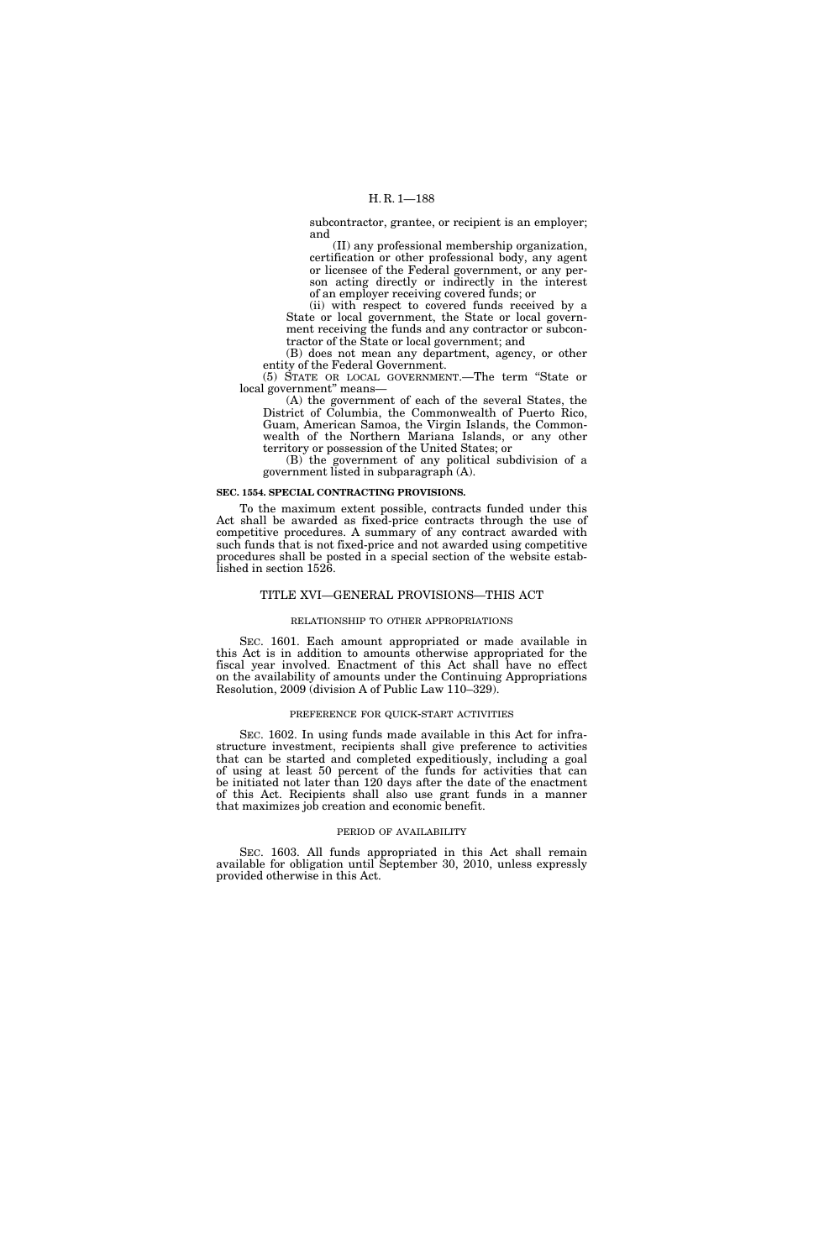subcontractor, grantee, or recipient is an employer; and

(II) any professional membership organization, certification or other professional body, any agent or licensee of the Federal government, or any person acting directly or indirectly in the interest of an employer receiving covered funds; or

(ii) with respect to covered funds received by a State or local government, the State or local government receiving the funds and any contractor or subcontractor of the State or local government; and

(B) does not mean any department, agency, or other entity of the Federal Government.

(5) STATE OR LOCAL GOVERNMENT.—The term ''State or local government'' means—

(A) the government of each of the several States, the District of Columbia, the Commonwealth of Puerto Rico, Guam, American Samoa, the Virgin Islands, the Commonwealth of the Northern Mariana Islands, or any other territory or possession of the United States; or

(B) the government of any political subdivision of a government listed in subparagraph (A).

#### **SEC. 1554. SPECIAL CONTRACTING PROVISIONS.**

To the maximum extent possible, contracts funded under this Act shall be awarded as fixed-price contracts through the use of competitive procedures. A summary of any contract awarded with such funds that is not fixed-price and not awarded using competitive procedures shall be posted in a special section of the website established in section 1526.

### TITLE XVI—GENERAL PROVISIONS—THIS ACT

### RELATIONSHIP TO OTHER APPROPRIATIONS

SEC. 1601. Each amount appropriated or made available in this Act is in addition to amounts otherwise appropriated for the fiscal year involved. Enactment of this Act shall have no effect on the availability of amounts under the Continuing Appropriations Resolution, 2009 (division A of Public Law 110–329).

#### PREFERENCE FOR QUICK-START ACTIVITIES

SEC. 1602. In using funds made available in this Act for infrastructure investment, recipients shall give preference to activities that can be started and completed expeditiously, including a goal of using at least 50 percent of the funds for activities that can be initiated not later than 120 days after the date of the enactment of this Act. Recipients shall also use grant funds in a manner that maximizes job creation and economic benefit.

#### PERIOD OF AVAILABILITY

SEC. 1603. All funds appropriated in this Act shall remain available for obligation until September 30, 2010, unless expressly provided otherwise in this Act.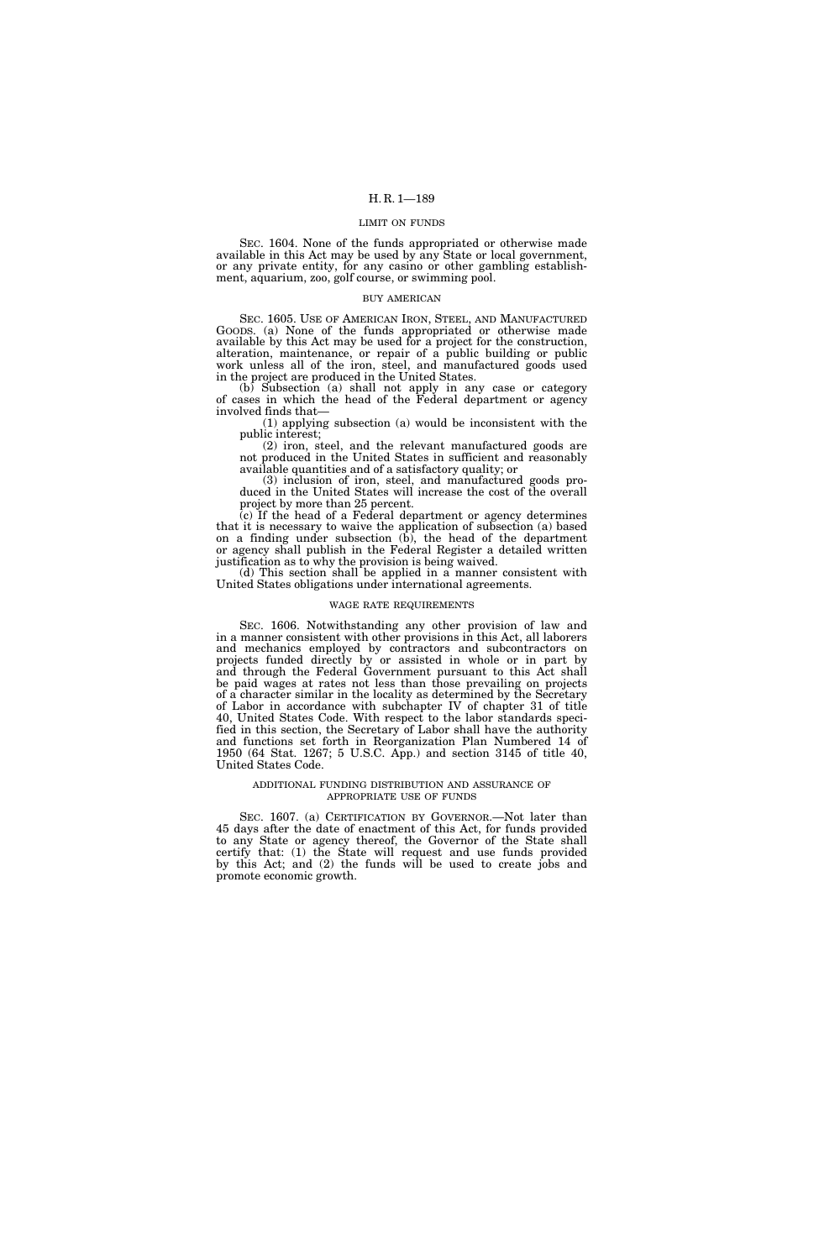#### LIMIT ON FUNDS

SEC. 1604. None of the funds appropriated or otherwise made available in this Act may be used by any State or local government, or any private entity, for any casino or other gambling establishment, aquarium, zoo, golf course, or swimming pool.

### BUY AMERICAN

SEC. 1605. USE OF AMERICAN IRON, STEEL, AND MANUFACTURED GOODS. (a) None of the funds appropriated or otherwise made available by this Act may be used for a project for the construction, alteration, maintenance, or repair of a public building or public work unless all of the iron, steel, and manufactured goods used in the project are produced in the United States.

(b) Subsection (a) shall not apply in any case or category of cases in which the head of the Federal department or agency involved finds that—

(1) applying subsection (a) would be inconsistent with the public interest;

(2) iron, steel, and the relevant manufactured goods are not produced in the United States in sufficient and reasonably available quantities and of a satisfactory quality; or

(3) inclusion of iron, steel, and manufactured goods produced in the United States will increase the cost of the overall project by more than 25 percent.

(c) If the head of a Federal department or agency determines that it is necessary to waive the application of subsection (a) based on a finding under subsection  $(b)$ , the head of the department or agency shall publish in the Federal Register a detailed written justification as to why the provision is being waived.

(d) This section shall be applied in a manner consistent with United States obligations under international agreements.

#### WAGE RATE REQUIREMENTS

SEC. 1606. Notwithstanding any other provision of law and in a manner consistent with other provisions in this Act, all laborers and mechanics employed by contractors and subcontractors on projects funded directly by or assisted in whole or in part by and through the Federal Government pursuant to this Act shall be paid wages at rates not less than those prevailing on projects of a character similar in the locality as determined by the Secretary of Labor in accordance with subchapter IV of chapter 31 of title 40, United States Code. With respect to the labor standards specified in this section, the Secretary of Labor shall have the authority and functions set forth in Reorganization Plan Numbered 14 of 1950 (64 Stat. 1267; 5 U.S.C. App.) and section 3145 of title 40, United States Code.

#### ADDITIONAL FUNDING DISTRIBUTION AND ASSURANCE OF APPROPRIATE USE OF FUNDS

SEC. 1607. (a) CERTIFICATION BY GOVERNOR.-Not later than 45 days after the date of enactment of this Act, for funds provided to any State or agency thereof, the Governor of the State shall certify that: (1) the State will request and use funds provided by this Act; and (2) the funds will be used to create jobs and promote economic growth.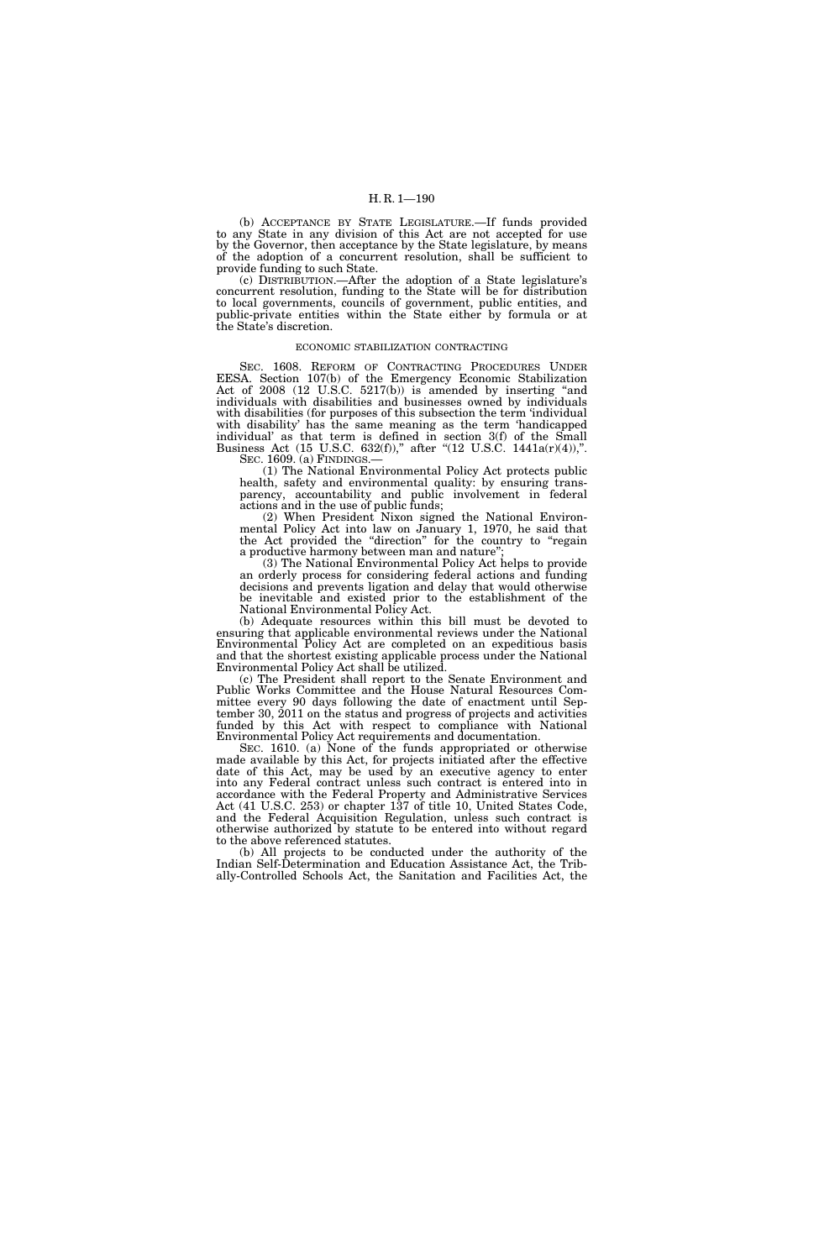(b) ACCEPTANCE BY STATE LEGISLATURE.—If funds provided to any State in any division of this Act are not accepted for use by the Governor, then acceptance by the State legislature, by means of the adoption of a concurrent resolution, shall be sufficient to provide funding to such State.

(c) DISTRIBUTION.—After the adoption of a State legislature's concurrent resolution, funding to the State will be for distribution to local governments, councils of government, public entities, and public-private entities within the State either by formula or at the State's discretion.

#### ECONOMIC STABILIZATION CONTRACTING

SEC. 1608. REFORM OF CONTRACTING PROCEDURES UNDER EESA. Section 107(b) of the Emergency Economic Stabilization Act of 2008 (12 U.S.C. 5217(b)) is amended by inserting "and individuals with disabilities and businesses owned by individuals with disabilities (for purposes of this subsection the term 'individual with disability' has the same meaning as the term 'handicapped individual' as that term is defined in section 3(f) of the Small Business Act (15 U.S.C. 632(f))," after "(12 U.S.C. 1441a(r)(4)),". SEC. 1609. (a) FINDINGS.—

(1) The National Environmental Policy Act protects public health, safety and environmental quality: by ensuring transparency, accountability and public involvement in federal actions and in the use of public funds;

(2) When President Nixon signed the National Environmental Policy Act into law on January 1, 1970, he said that the Act provided the ''direction'' for the country to ''regain a productive harmony between man and nature'

(3) The National Environmental Policy Act helps to provide an orderly process for considering federal actions and funding decisions and prevents ligation and delay that would otherwise be inevitable and existed prior to the establishment of the National Environmental Policy Act.

(b) Adequate resources within this bill must be devoted to ensuring that applicable environmental reviews under the National Environmental Policy Act are completed on an expeditious basis and that the shortest existing applicable process under the National Environmental Policy Act shall be utilized.

(c) The President shall report to the Senate Environment and Public Works Committee and the House Natural Resources Committee every 90 days following the date of enactment until September 30, 2011 on the status and progress of projects and activities funded by this Act with respect to compliance with National Environmental Policy Act requirements and documentation.

SEC. 1610. (a) None of the funds appropriated or otherwise made available by this Act, for projects initiated after the effective date of this Act, may be used by an executive agency to enter into any Federal contract unless such contract is entered into in accordance with the Federal Property and Administrative Services Act (41 U.S.C. 253) or chapter 137 of title 10, United States Code, and the Federal Acquisition Regulation, unless such contract is otherwise authorized by statute to be entered into without regard to the above referenced statutes.

(b) All projects to be conducted under the authority of the Indian Self-Determination and Education Assistance Act, the Tribally-Controlled Schools Act, the Sanitation and Facilities Act, the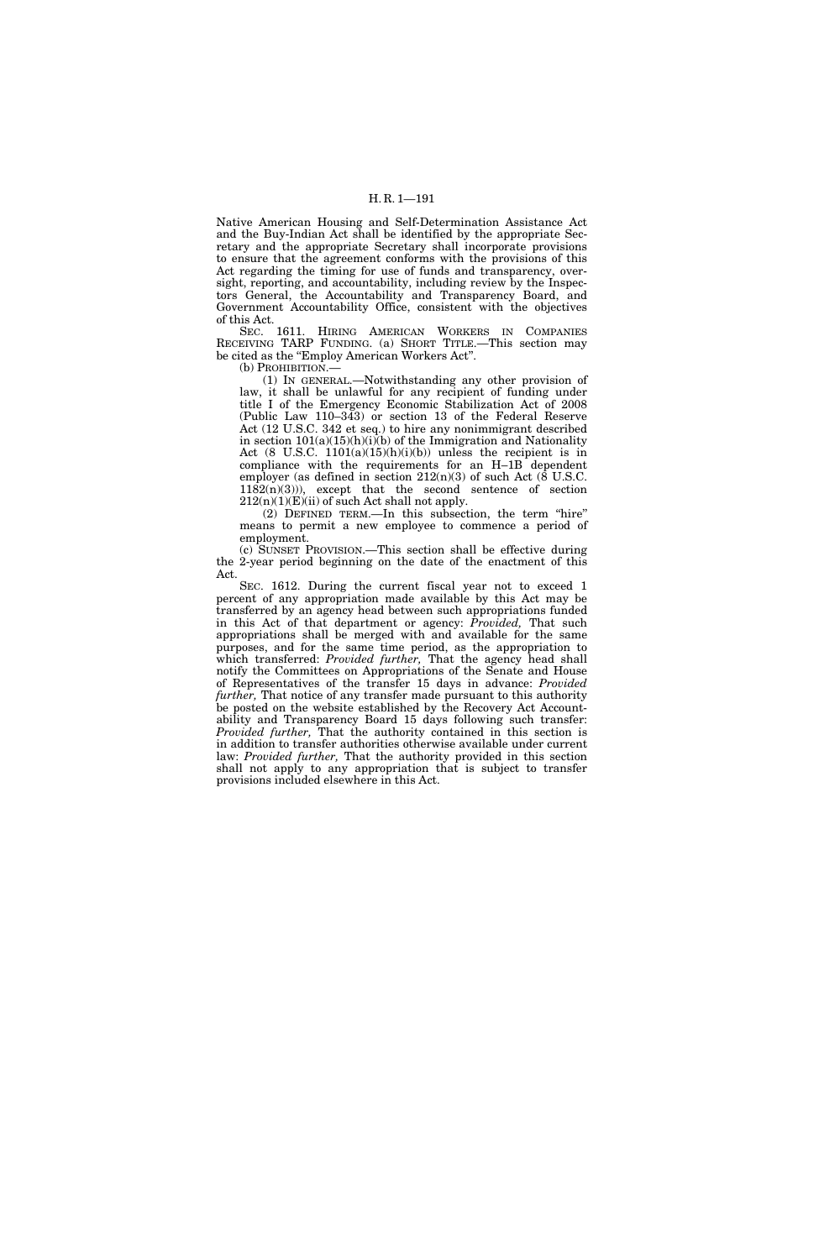Native American Housing and Self-Determination Assistance Act and the Buy-Indian Act shall be identified by the appropriate Secretary and the appropriate Secretary shall incorporate provisions to ensure that the agreement conforms with the provisions of this Act regarding the timing for use of funds and transparency, oversight, reporting, and accountability, including review by the Inspectors General, the Accountability and Transparency Board, and Government Accountability Office, consistent with the objectives of this Act.

SEC. 1611. HIRING AMERICAN WORKERS IN COMPANIES RECEIVING TARP FUNDING. (a) SHORT TITLE.—This section may be cited as the "Employ American Workers Act".

(b) PROHIBITION.—

(1) IN GENERAL.—Notwithstanding any other provision of law, it shall be unlawful for any recipient of funding under title I of the Emergency Economic Stabilization Act of 2008 (Public Law 110–343) or section 13 of the Federal Reserve Act (12 U.S.C. 342 et seq.) to hire any nonimmigrant described in section  $101(a)(15)(h)(i)(b)$  of the Immigration and Nationality Act  $(8$  U.S.C.  $1101(a)(15)(h)(i)(b))$  unless the recipient is in compliance with the requirements for an H–1B dependent employer (as defined in section 212(n)(3) of such Act (8 U.S.C.  $1182(n)(3)$ ), except that the second sentence of section  $212(n)(1)(E)(ii)$  of such Act shall not apply.

(2) DEFINED TERM.—In this subsection, the term ''hire'' means to permit a new employee to commence a period of employment.

(c) SUNSET PROVISION.—This section shall be effective during the 2-year period beginning on the date of the enactment of this Act.

SEC. 1612. During the current fiscal year not to exceed 1 percent of any appropriation made available by this Act may be transferred by an agency head between such appropriations funded in this Act of that department or agency: *Provided,* That such appropriations shall be merged with and available for the same purposes, and for the same time period, as the appropriation to which transferred: *Provided further,* That the agency head shall notify the Committees on Appropriations of the Senate and House of Representatives of the transfer 15 days in advance: *Provided further,* That notice of any transfer made pursuant to this authority be posted on the website established by the Recovery Act Accountability and Transparency Board 15 days following such transfer: *Provided further,* That the authority contained in this section is in addition to transfer authorities otherwise available under current law: *Provided further,* That the authority provided in this section shall not apply to any appropriation that is subject to transfer provisions included elsewhere in this Act.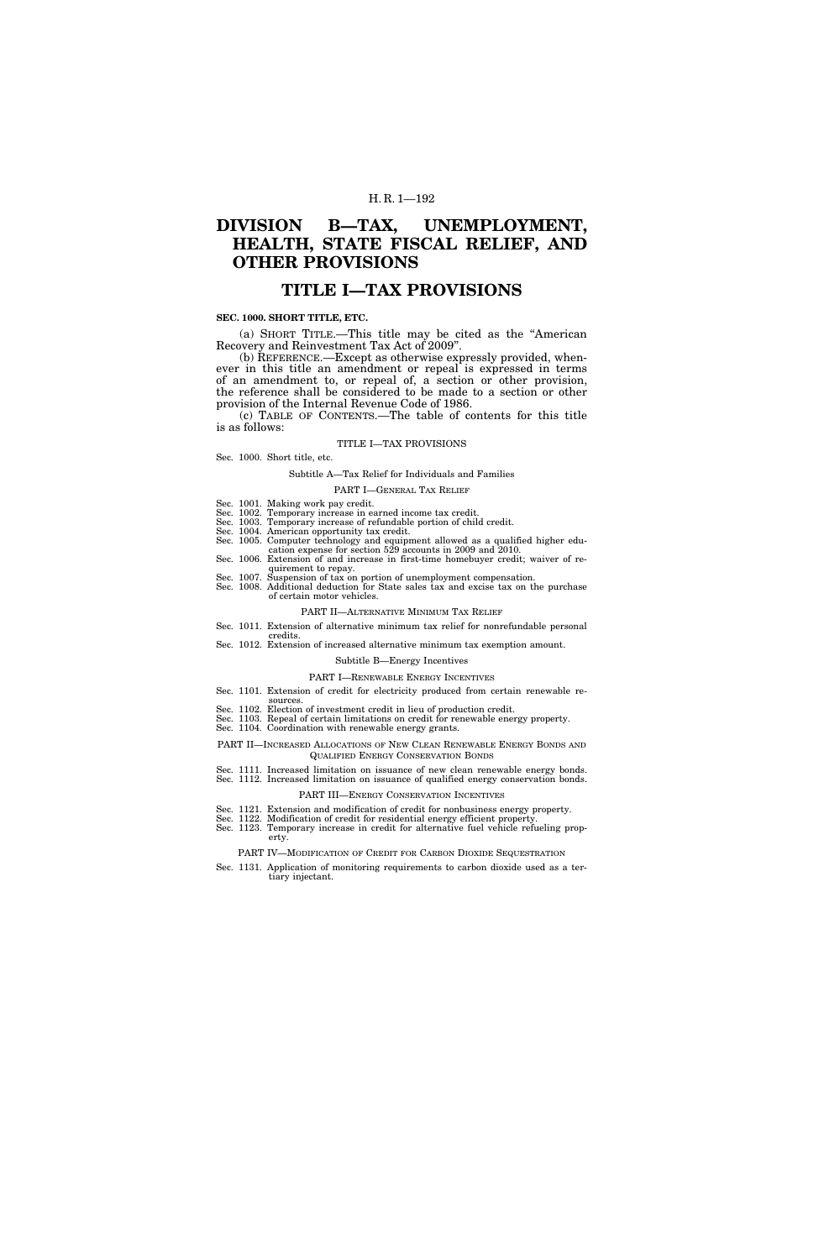# **DIVISION B—TAX, UNEMPLOYMENT, HEALTH, STATE FISCAL RELIEF, AND OTHER PROVISIONS**

# **TITLE I—TAX PROVISIONS**

### **SEC. 1000. SHORT TITLE, ETC.**

(a) SHORT TITLE.—This title may be cited as the ''American Recovery and Reinvestment Tax Act of 2009''.

(b) REFERENCE.—Except as otherwise expressly provided, whenever in this title an amendment or repeal is expressed in terms of an amendment to, or repeal of, a section or other provision, the reference shall be considered to be made to a section or other provision of the Internal Revenue Code of 1986.

(c) TABLE OF CONTENTS.—The table of contents for this title is as follows:

#### TITLE I—TAX PROVISIONS

#### Sec. 1000. Short title, etc.

### Subtitle A—Tax Relief for Individuals and Families

#### PART I—GENERAL TAX RELIEF

- Sec. 1001. Making work pay credit.
- Sec. 1002. Temporary increase in earned income tax credit. Sec. 1003. Temporary increase of refundable portion of child credit.
- 
- Sec. 1004. American opportunity tax credit. Sec. 1005. Computer technology and equipment allowed as a qualified higher edu-
- cation expense for section 529 accounts in 2009 and 2010. Sec. 1006. Extension of and increase in first-time homebuyer credit; waiver of re-
- quirement to repay. Sec. 1007. Suspension of tax on portion of unemployment compensation. Sec. 1008. Additional deduction for State sales tax and excise tax on the purchase
- of certain motor vehicles.

#### PART II—ALTERNATIVE MINIMUM TAX RELIEF

- Sec. 1011. Extension of alternative minimum tax relief for nonrefundable personal credits.
- Sec. 1012. Extension of increased alternative minimum tax exemption amount.

#### Subtitle B—Energy Incentives

- PART I—RENEWABLE ENERGY INCENTIVES
- Sec. 1101. Extension of credit for electricity produced from certain renewable re-
- 
- sources. Sec. 1102. Election of investment credit in lieu of production credit. Sec. 1103. Repeal of certain limitations on credit for renewable energy property. Sec. 1104. Coordination with renewable energy grants.
- 
- PART II—INCREASED ALLOCATIONS OF NEW CLEAN RENEWABLE ENERGY BONDS AND QUALIFIED ENERGY CONSERVATION BONDS
- Sec. 1111. Increased limitation on issuance of new clean renewable energy bonds. Sec. 1112. Increased limitation on issuance of qualified energy conservation bonds.

# PART III—ENERGY CONSERVATION INCENTIVES

- Sec. 1121. Extension and modification of credit for nonbusiness energy property. Sec. 1122. Modification of credit for residential energy efficient property.
- Sec. 1123. Temporary increase in credit for alternative fuel vehicle refueling property.

PART IV—MODIFICATION OF CREDIT FOR CARBON DIOXIDE SEQUESTRATION

Sec. 1131. Application of monitoring requirements to carbon dioxide used as a tertiary injectant.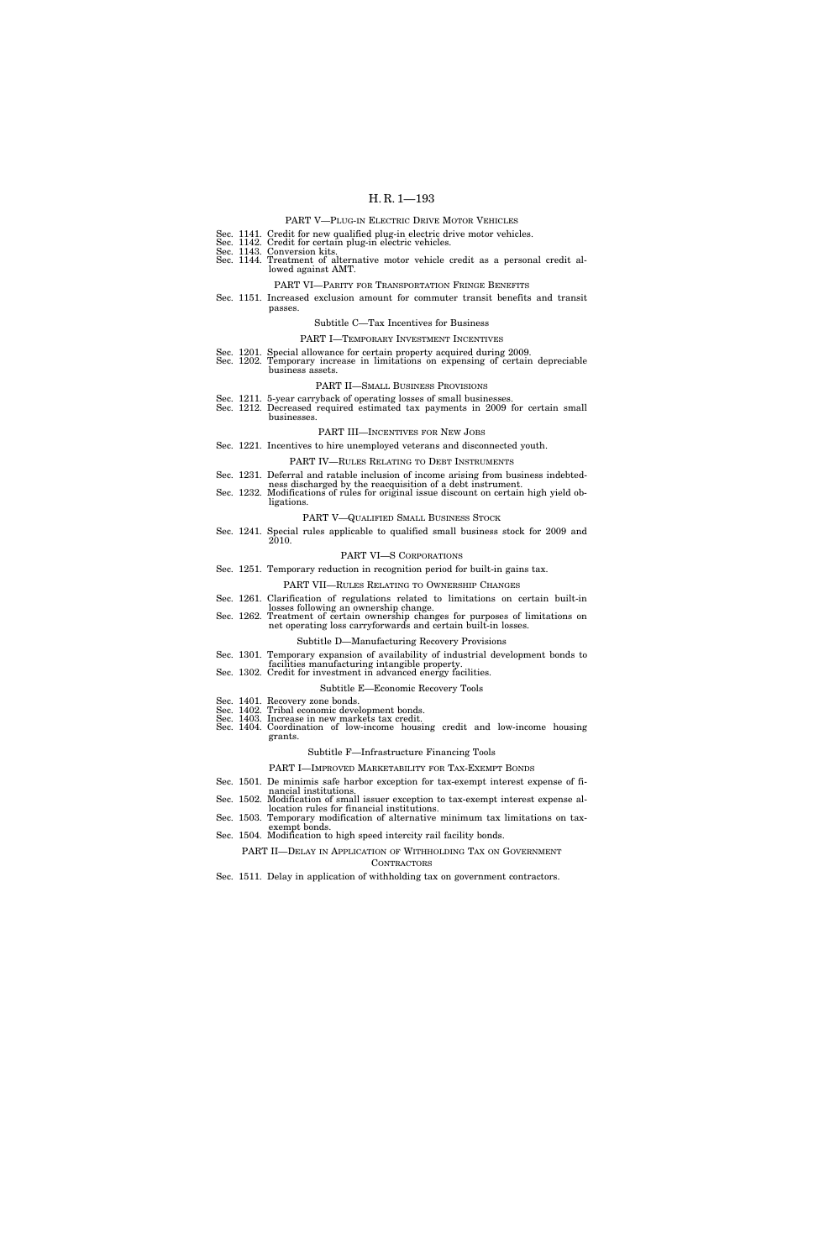|  | PART V—PLUG-IN ELECTRIC DRIVE MOTOR VEHICLES                                                                                                                                               |
|--|--------------------------------------------------------------------------------------------------------------------------------------------------------------------------------------------|
|  | Sec. 1141. Credit for new qualified plug-in electric drive motor vehicles.<br>Sec. 1142. Credit for certain plug-in electric vehicles.<br>Sec. 1143. Conversion kits.                      |
|  | Sec. 1144. Treatment of alternative motor vehicle credit as a personal credit al-<br>lowed against AMT.                                                                                    |
|  | PART VI-PARITY FOR TRANSPORTATION FRINGE BENEFITS                                                                                                                                          |
|  | Sec. 1151. Increased exclusion amount for commuter transit benefits and transit<br>passes.                                                                                                 |
|  | Subtitle C—Tax Incentives for Business                                                                                                                                                     |
|  | <b>PART I-TEMPORARY INVESTMENT INCENTIVES</b>                                                                                                                                              |
|  | Sec. 1201. Special allowance for certain property acquired during 2009.<br>Sec. 1202. Temporary increase in limitations on expensing of certain depreciable<br>business assets.            |
|  | PART II—SMALL BUSINESS PROVISIONS                                                                                                                                                          |
|  | Sec. 1211. 5-year carryback of operating losses of small businesses.<br>Sec. 1212. Decreased required estimated tax payments in 2009 for certain small<br>businesses.                      |
|  | <b>PART III—INCENTIVES FOR NEW JOBS</b>                                                                                                                                                    |
|  | Sec. 1221. Incentives to hire unemployed veterans and disconnected youth.                                                                                                                  |
|  | <b>PART IV-RULES RELATING TO DEBT INSTRUMENTS</b>                                                                                                                                          |
|  | Sec. 1231. Deferral and ratable inclusion of income arising from business indebted-                                                                                                        |
|  | ness discharged by the reacquisition of a debt instrument.<br>Sec. 1232. Modifications of rules for original issue discount on certain high yield ob-<br>ligations.                        |
|  | PART V-QUALIFIED SMALL BUSINESS STOCK                                                                                                                                                      |
|  | Sec. 1241. Special rules applicable to qualified small business stock for 2009 and<br>2010.                                                                                                |
|  | PART VI-S CORPORATIONS                                                                                                                                                                     |
|  | Sec. 1251. Temporary reduction in recognition period for built-in gains tax.                                                                                                               |
|  | PART VII—RULES RELATING TO OWNERSHIP CHANGES                                                                                                                                               |
|  | Sec. 1261. Clarification of regulations related to limitations on certain built-in                                                                                                         |
|  | losses following an ownership change.<br>Sec. 1262. Treatment of certain ownership changes for purposes of limitations on<br>net operating loss carryforwards and certain built-in losses. |
|  | Subtitle D—Manufacturing Recovery Provisions                                                                                                                                               |
|  | Sec. 1301. Temporary expansion of availability of industrial development bonds to<br>facilities manufacturing intangible property.                                                         |
|  | Sec. 1302. Credit for investment in advanced energy facilities.                                                                                                                            |
|  | Subtitle E—Economic Recovery Tools                                                                                                                                                         |
|  | Sec. 1401. Recovery zone bonds.<br>Sec. 1402. Tribal economic development bonds.                                                                                                           |
|  | Sec. 1403. Increase in new markets tax credit.<br>Sec. 1404. Coordination of low-income housing credit and low-income housing<br>grants.                                                   |
|  | Subtitle F-Infrastructure Financing Tools                                                                                                                                                  |
|  | PART I-IMPROVED MARKETABILITY FOR TAX-EXEMPT BONDS                                                                                                                                         |
|  | Sec. 1501. De minimis safe harbor exception for tax-exempt interest expense of fi-                                                                                                         |
|  | nancial institutions.<br>Sec. 1502. Modification of small issuer exception to tax-exempt interest expense al-<br>location rules for financial institutions.                                |
|  | Sec. 1503. Temporary modification of alternative minimum tax limitations on tax-                                                                                                           |
|  | exempt bonds.<br>Sec. 1504. Modification to high speed intercity rail facility bonds.                                                                                                      |
|  | PART II-DELAY IN APPLICATION OF WITHHOLDING TAX ON GOVERNMENT<br>CONTRACTORS                                                                                                               |

Sec. 1511. Delay in application of withholding tax on government contractors.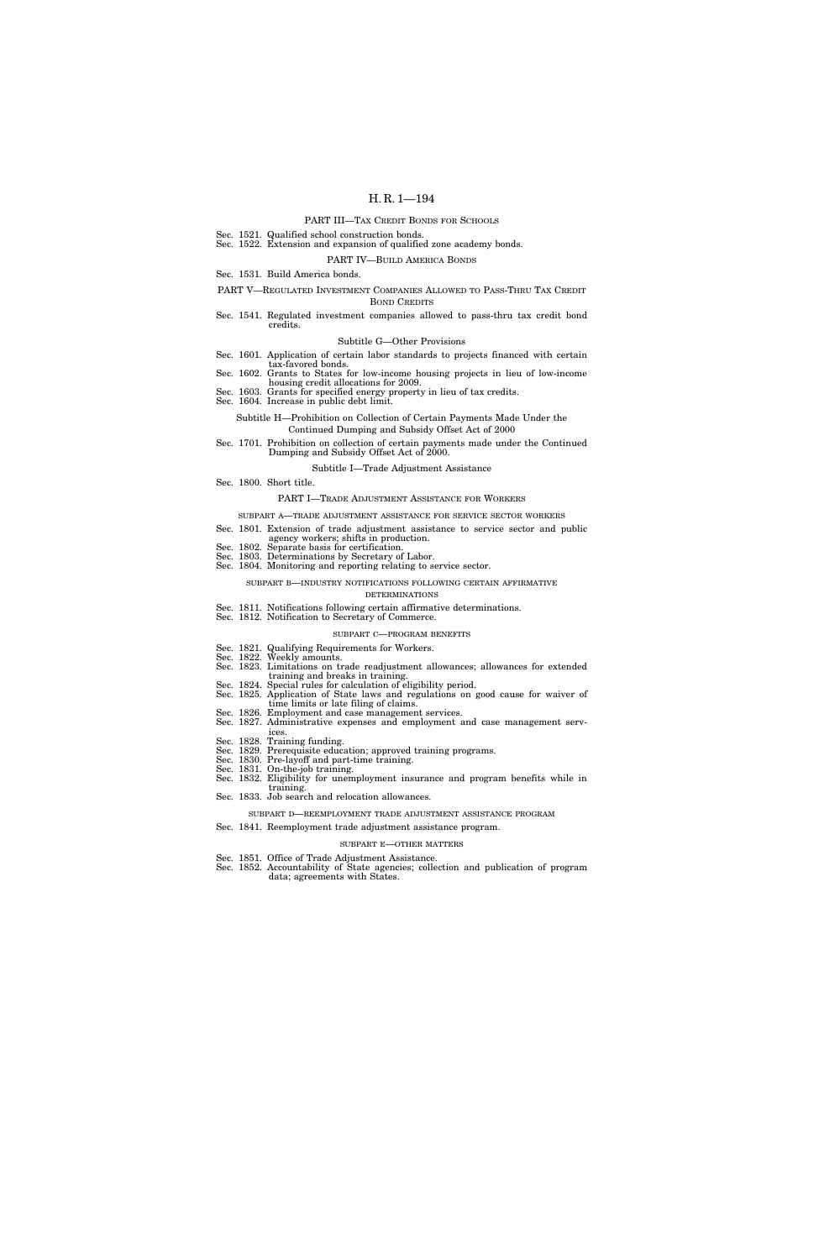### PART III—TAX CREDIT BONDS FOR SCHOOLS

- Sec. 1521. Qualified school construction bonds. Sec. 1522. Extension and expansion of qualified zone academy bonds.
	- PART IV—BUILD AMERICA BONDS
- Sec. 1531. Build America bonds.

PART V—REGULATED INVESTMENT COMPANIES ALLOWED TO PASS-THRU TAX CREDIT BOND CREDITS

Sec. 1541. Regulated investment companies allowed to pass-thru tax credit bond credits.

#### Subtitle G—Other Provisions

- Sec. 1601. Application of certain labor standards to projects financed with certain
- tax-favored bonds. Sec. 1602. Grants to States for low-income housing projects in lieu of low-income
- housing credit allocations for 2009. Sec. 1603. Grants for specified energy property in lieu of tax credits.
- Sec. 1604. Increase in public debt limit.
	- Subtitle H—Prohibition on Collection of Certain Payments Made Under the

### Continued Dumping and Subsidy Offset Act of 2000 Sec. 1701. Prohibition on collection of certain payments made under the Continued

Dumping and Subsidy Offset Act of 2000.

#### Subtitle I—Trade Adjustment Assistance

Sec. 1800. Short title.

#### PART I—TRADE ADJUSTMENT ASSISTANCE FOR WORKERS

- SUBPART A—TRADE ADJUSTMENT ASSISTANCE FOR SERVICE SECTOR WORKERS
- Sec. 1801. Extension of trade adjustment assistance to service sector and public
- agency workers; shifts in production. Sec. 1802. Separate basis for certification. Sec. 1803. Determinations by Secretary of Labor.
- Sec. 1804. Monitoring and reporting relating to service sector.
	- SUBPART B—INDUSTRY NOTIFICATIONS FOLLOWING CERTAIN AFFIRMATIVE DETERMINATIONS
- Sec. 1811. Notifications following certain affirmative determinations.

### Sec. 1812. Notification to Secretary of Commerce. SUBPART C—PROGRAM BENEFITS

- Sec. 1821. Qualifying Requirements for Workers. Sec. 1822. Weekly amounts.
- Sec. 1823. Limitations on trade readjustment allowances; allowances for extended training and breaks in training.
- Sec. 1824. Special rules for calculation of eligibility period. Sec. 1825. Application of State laws and regulations on good cause for waiver of time limits or late filing of claims.
- Sec. 1826. Employment and case management services.
- Sec. 1827. Administrative expenses and employment and case management services.
- Sec. 1828. Training funding.
- Sec. 1829. Prerequisite education; approved training programs. Sec. 1830. Pre-layoff and part-time training.
- Sec. 1831. On-the-job training.
- Sec. 1832. Eligibility for unemployment insurance and program benefits while in training.
- Sec. 1833. Job search and relocation allowances.
- SUBPART D—REEMPLOYMENT TRADE ADJUSTMENT ASSISTANCE PROGRAM
- Sec. 1841. Reemployment trade adjustment assistance program.

#### SUBPART E—OTHER MATTERS

- Sec. 1851. Office of Trade Adjustment Assistance.
- Sec. 1852. Accountability of State agencies; collection and publication of program data; agreements with States.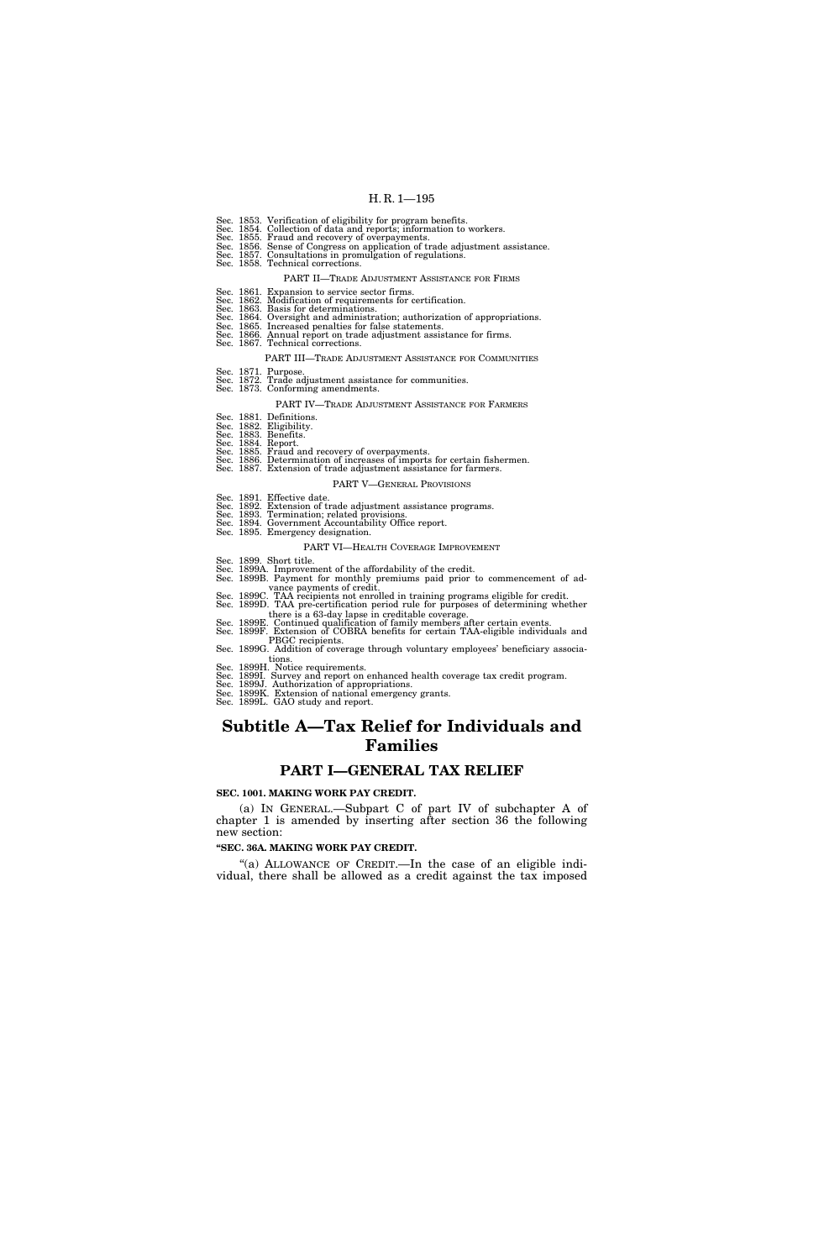|                                                                                                                                                                                                                                                        | Sec. 1853. Verification of eligibility for program benefits.<br>Sec. 1854. Collection of data and reports; information to workers.<br>Sec. 1855. Fraud and recovery of overpayments.<br>Sec. 1856. Sense of Congress on application of trade adjustment assistance.<br>Sec. 1857. Consultations in promulgation of regulations.<br>Sec. 1858. Technical corrections.                                |  |
|--------------------------------------------------------------------------------------------------------------------------------------------------------------------------------------------------------------------------------------------------------|-----------------------------------------------------------------------------------------------------------------------------------------------------------------------------------------------------------------------------------------------------------------------------------------------------------------------------------------------------------------------------------------------------|--|
|                                                                                                                                                                                                                                                        | PART II—TRADE ADJUSTMENT ASSISTANCE FOR FIRMS                                                                                                                                                                                                                                                                                                                                                       |  |
|                                                                                                                                                                                                                                                        | Sec. 1861. Expansion to service sector firms.<br>Sec. 1862. Modification of requirements for certification.<br>Sec. 1863. Basis for determinations.<br>Sec. 1864. Oversight and administration; authorization of appropriations.<br>Sec. 1865. Increased penalties for false statements.<br>Sec. 1866. Annual report on trade adjustment assistance for firms.<br>Sec. 1867. Technical corrections. |  |
|                                                                                                                                                                                                                                                        | PART III-TRADE ADJUSTMENT ASSISTANCE FOR COMMUNITIES                                                                                                                                                                                                                                                                                                                                                |  |
|                                                                                                                                                                                                                                                        | Sec. 1871. Purpose.<br>Sec. 1872. Trade adjustment assistance for communities.<br>Sec. 1873. Conforming amendments.                                                                                                                                                                                                                                                                                 |  |
|                                                                                                                                                                                                                                                        | PART IV—TRADE ADJUSTMENT ASSISTANCE FOR FARMERS                                                                                                                                                                                                                                                                                                                                                     |  |
|                                                                                                                                                                                                                                                        | Sec. 1881. Definitions.<br>Sec. 1882. Eligibility.<br>Sec. 1883. Benefits.<br>Sec. 1884. Report.<br>Sec. 1885. Fraud and recovery of overpayments.<br>Sec. 1886. Determination of increases of imports for certain fishermen.<br>Sec. 1887. Extension of trade adjustment assistance for farmers.                                                                                                   |  |
|                                                                                                                                                                                                                                                        | <b>PART V—GENERAL PROVISIONS</b>                                                                                                                                                                                                                                                                                                                                                                    |  |
|                                                                                                                                                                                                                                                        | Sec. 1891. Effective date.<br>Sec. 1892. Extension of trade adjustment assistance programs.<br>Sec. 1893. Termination; related provisions.<br>Sec. 1894. Government Accountability Office report.<br>Sec. 1895. Emergency designation.                                                                                                                                                              |  |
|                                                                                                                                                                                                                                                        | PART VI—HEALTH COVERAGE IMPROVEMENT                                                                                                                                                                                                                                                                                                                                                                 |  |
|                                                                                                                                                                                                                                                        | Sec. 1899. Short title.<br>Sec. 1899A. Improvement of the affordability of the credit.<br>Sec. 1899B. Payment for monthly premiums paid prior to commencement of ad-                                                                                                                                                                                                                                |  |
| vance payments of credit.<br>Sec. 1899C. TAA recipients not enrolled in training programs eligible for credit.<br>Sec. 1899D. TAA pre-certification period rule for purposes of determining whether<br>there is a 63-day lapse in creditable coverage. |                                                                                                                                                                                                                                                                                                                                                                                                     |  |
|                                                                                                                                                                                                                                                        | Sec. 1899E. Continued qualification of family members after certain events.<br>Sec. 1899F. Extension of COBRA benefits for certain TAA-eligible individuals and<br>PBGC recipients.                                                                                                                                                                                                                 |  |
|                                                                                                                                                                                                                                                        | Sec. 1899G. Addition of coverage through voluntary employees' beneficiary associa-<br>tions.                                                                                                                                                                                                                                                                                                        |  |

tions.<br>Sec. 1899H. Notice requirements.<br>Sec. 1899I. Survey and report on enhanced health coverage tax credit program.<br>Sec. 1899J. Authorization of appropriations.<br>Sec. 1899K. Extension of national emergency grants.<br>Sec. 18

# **Subtitle A—Tax Relief for Individuals and Families**

# **PART I—GENERAL TAX RELIEF**

### **SEC. 1001. MAKING WORK PAY CREDIT.**

(a) IN GENERAL.—Subpart C of part IV of subchapter A of chapter 1 is amended by inserting after section 36 the following new section:

### **''SEC. 36A. MAKING WORK PAY CREDIT.**

"(a) ALLOWANCE OF CREDIT.—In the case of an eligible individual, there shall be allowed as a credit against the tax imposed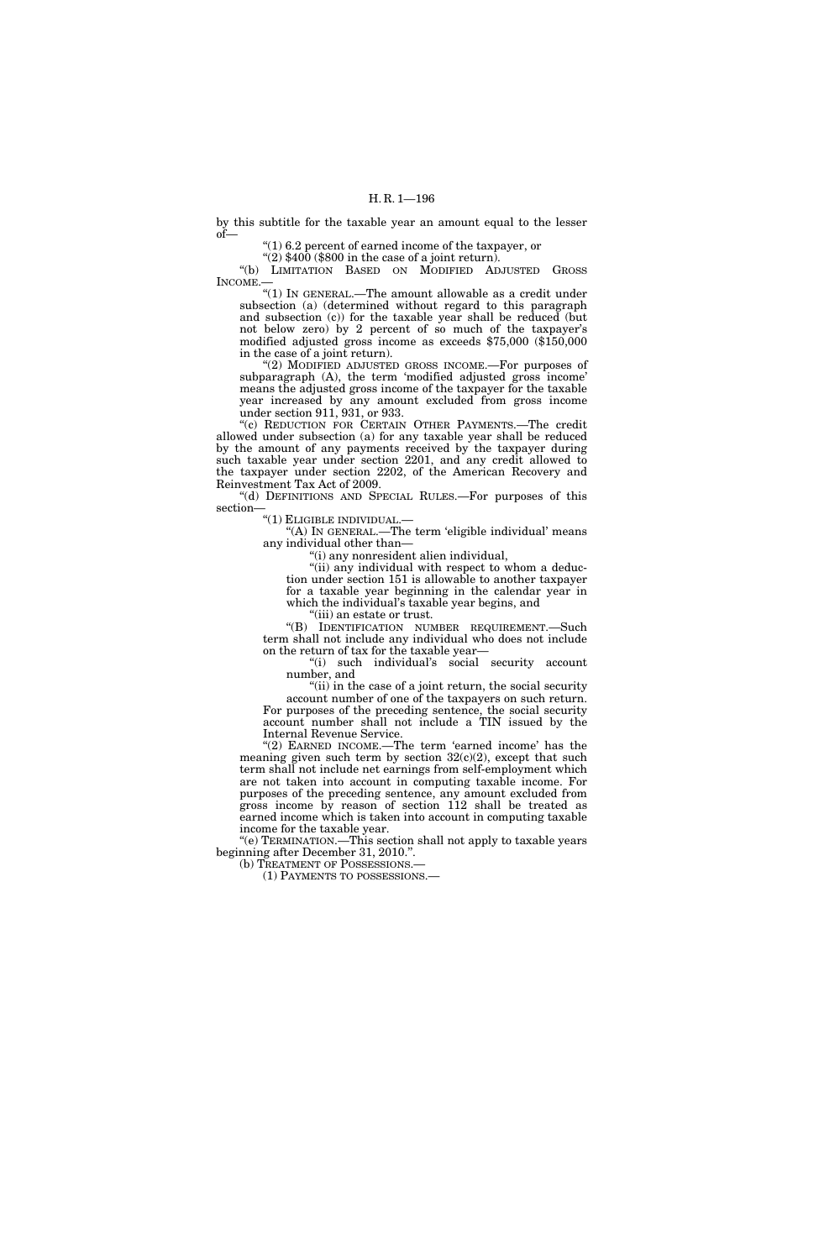by this subtitle for the taxable year an amount equal to the lesser of—

''(1) 6.2 percent of earned income of the taxpayer, or

 $\sqrt{\frac{2}{3}}\sqrt{\frac{400}{9}}$  (\$800 in the case of a joint return). ''(b) LIMITATION BASED ON MODIFIED ADJUSTED GROSS INCOME.—

''(1) IN GENERAL.—The amount allowable as a credit under subsection (a) (determined without regard to this paragraph and subsection (c)) for the taxable year shall be reduced (but not below zero) by 2 percent of so much of the taxpayer's modified adjusted gross income as exceeds \$75,000 (\$150,000 in the case of a joint return).

"(2) MODIFIED ADJUSTED GROSS INCOME.—For purposes of subparagraph (A), the term 'modified adjusted gross income' means the adjusted gross income of the taxpayer for the taxable year increased by any amount excluded from gross income under section 911, 931, or 933.

''(c) REDUCTION FOR CERTAIN OTHER PAYMENTS.—The credit allowed under subsection (a) for any taxable year shall be reduced by the amount of any payments received by the taxpayer during such taxable year under section 2201, and any credit allowed to the taxpayer under section 2202, of the American Recovery and Reinvestment Tax Act of 2009.

(d) DEFINITIONS AND SPECIAL RULES.—For purposes of this section—

"(1) ELIGIBLE INDIVIDUAL.-''(A) IN GENERAL.—The term 'eligible individual' means

any individual other than—

''(i) any nonresident alien individual,

"(ii) any individual with respect to whom a deduction under section 151 is allowable to another taxpayer for a taxable year beginning in the calendar year in which the individual's taxable year begins, and

"(iii) an estate or trust.

''(B) IDENTIFICATION NUMBER REQUIREMENT.—Such term shall not include any individual who does not include on the return of tax for the taxable year—

''(i) such individual's social security account number, and

"(ii) in the case of a joint return, the social security account number of one of the taxpayers on such return. For purposes of the preceding sentence, the social security account number shall not include a TIN issued by the Internal Revenue Service.

''(2) EARNED INCOME.—The term 'earned income' has the meaning given such term by section  $32(c)(2)$ , except that such term shall not include net earnings from self-employment which are not taken into account in computing taxable income. For purposes of the preceding sentence, any amount excluded from gross income by reason of section 112 shall be treated as earned income which is taken into account in computing taxable income for the taxable year.

''(e) TERMINATION.—This section shall not apply to taxable years beginning after December 31, 2010.''.

(b) TREATMENT OF POSSESSIONS.—

(1) PAYMENTS TO POSSESSIONS.—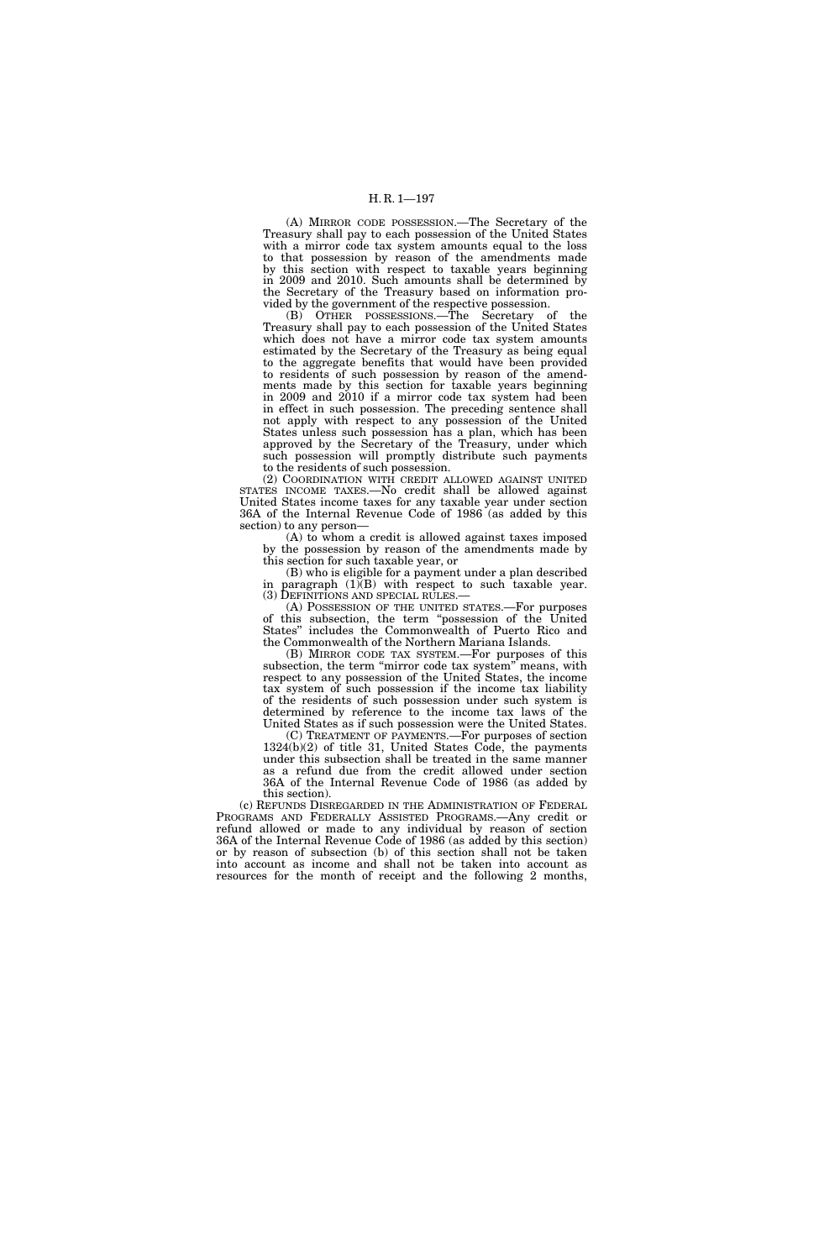(A) MIRROR CODE POSSESSION.—The Secretary of the Treasury shall pay to each possession of the United States with a mirror code tax system amounts equal to the loss to that possession by reason of the amendments made by this section with respect to taxable years beginning in 2009 and 2010. Such amounts shall be determined by the Secretary of the Treasury based on information provided by the government of the respective possession.

(B) OTHER POSSESSIONS.—The Secretary of the Treasury shall pay to each possession of the United States which does not have a mirror code tax system amounts estimated by the Secretary of the Treasury as being equal to the aggregate benefits that would have been provided to residents of such possession by reason of the amendments made by this section for taxable years beginning in 2009 and 2010 if a mirror code tax system had been in effect in such possession. The preceding sentence shall not apply with respect to any possession of the United States unless such possession has a plan, which has been approved by the Secretary of the Treasury, under which such possession will promptly distribute such payments to the residents of such possession.

(2) COORDINATION WITH CREDIT ALLOWED AGAINST UNITED STATES INCOME TAXES.—No credit shall be allowed against United States income taxes for any taxable year under section 36A of the Internal Revenue Code of 1986 (as added by this section) to any person—

(A) to whom a credit is allowed against taxes imposed by the possession by reason of the amendments made by this section for such taxable year, or

(B) who is eligible for a payment under a plan described in paragraph  $(1)(B)$  with respect to such taxable year.<br>(3) DEFINITIONS AND SPECIAL RULES.—

 $(A)$  POSSESSION OF THE UNITED STATES.—For purposes of this subsection, the term ''possession of the United States'' includes the Commonwealth of Puerto Rico and the Commonwealth of the Northern Mariana Islands.

(B) MIRROR CODE TAX SYSTEM.—For purposes of this subsection, the term "mirror code tax system" means, with respect to any possession of the United States, the income tax system of such possession if the income tax liability of the residents of such possession under such system is determined by reference to the income tax laws of the United States as if such possession were the United States.

(C) TREATMENT OF PAYMENTS.—For purposes of section  $1324(b)(2)$  of title 31, United States Code, the payments under this subsection shall be treated in the same manner as a refund due from the credit allowed under section 36A of the Internal Revenue Code of 1986 (as added by this section).

(c) REFUNDS DISREGARDED IN THE ADMINISTRATION OF FEDERAL PROGRAMS AND FEDERALLY ASSISTED PROGRAMS.—Any credit or refund allowed or made to any individual by reason of section 36A of the Internal Revenue Code of 1986 (as added by this section) or by reason of subsection (b) of this section shall not be taken into account as income and shall not be taken into account as resources for the month of receipt and the following 2 months,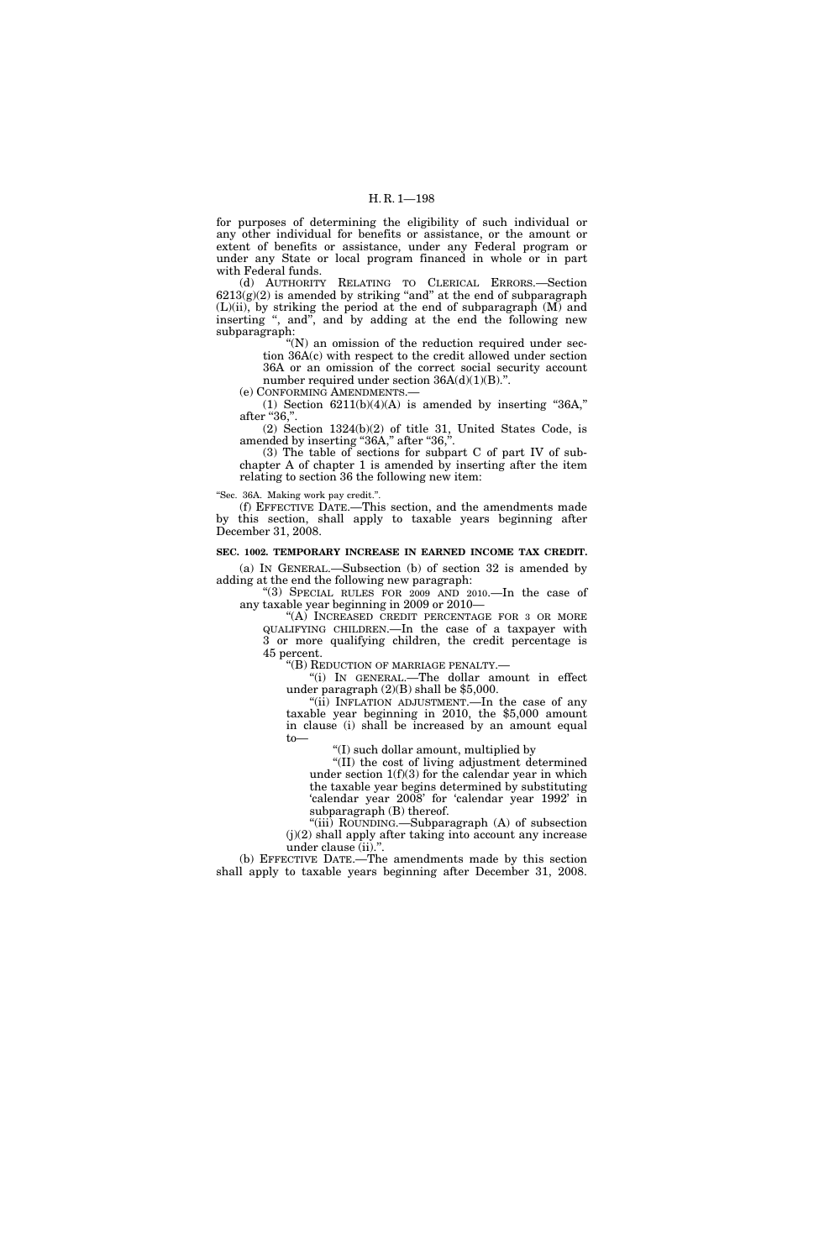for purposes of determining the eligibility of such individual or any other individual for benefits or assistance, or the amount or extent of benefits or assistance, under any Federal program or under any State or local program financed in whole or in part with Federal funds.

(d) AUTHORITY RELATING TO CLERICAL ERRORS.—Section  $6213(g)(2)$  is amended by striking "and" at the end of subparagraph  $(L)(ii)$ , by striking the period at the end of subparagraph  $(M)$  and inserting ", and", and by adding at the end the following new subparagraph:

 $(N)$  an omission of the reduction required under section 36A(c) with respect to the credit allowed under section 36A or an omission of the correct social security account number required under section  $36A(d)(1)(B)$ .".

(e) CONFORMING AMENDMENTS.—

(1) Section  $6211(b)(4)(A)$  is amended by inserting "36A," after "36,".

(2) Section 1324(b)(2) of title 31, United States Code, is amended by inserting "36A," after "36,".

(3) The table of sections for subpart C of part IV of subchapter A of chapter 1 is amended by inserting after the item relating to section 36 the following new item:

''Sec. 36A. Making work pay credit.''.

(f) EFFECTIVE DATE.—This section, and the amendments made by this section, shall apply to taxable years beginning after December 31, 2008.

#### **SEC. 1002. TEMPORARY INCREASE IN EARNED INCOME TAX CREDIT.**

(a) IN GENERAL.—Subsection (b) of section 32 is amended by adding at the end the following new paragraph:

''(3) SPECIAL RULES FOR 2009 AND 2010.—In the case of any taxable year beginning in 2009 or 2010—

"(A) INCREASED CREDIT PERCENTAGE FOR 3 OR MORE QUALIFYING CHILDREN.—In the case of a taxpayer with 3 or more qualifying children, the credit percentage is 45 percent.

''(B) REDUCTION OF MARRIAGE PENALTY.—

''(i) IN GENERAL.—The dollar amount in effect under paragraph (2)(B) shall be \$5,000.

''(ii) INFLATION ADJUSTMENT.—In the case of any taxable year beginning in 2010, the \$5,000 amount in clause (i) shall be increased by an amount equal to—

''(I) such dollar amount, multiplied by

''(II) the cost of living adjustment determined under section 1(f)(3) for the calendar year in which the taxable year begins determined by substituting 'calendar year 2008' for 'calendar year 1992' in subparagraph (B) thereof.

''(iii) ROUNDING.—Subparagraph (A) of subsection  $(j)(2)$  shall apply after taking into account any increase under clause (ii).''.

(b) EFFECTIVE DATE.—The amendments made by this section shall apply to taxable years beginning after December 31, 2008.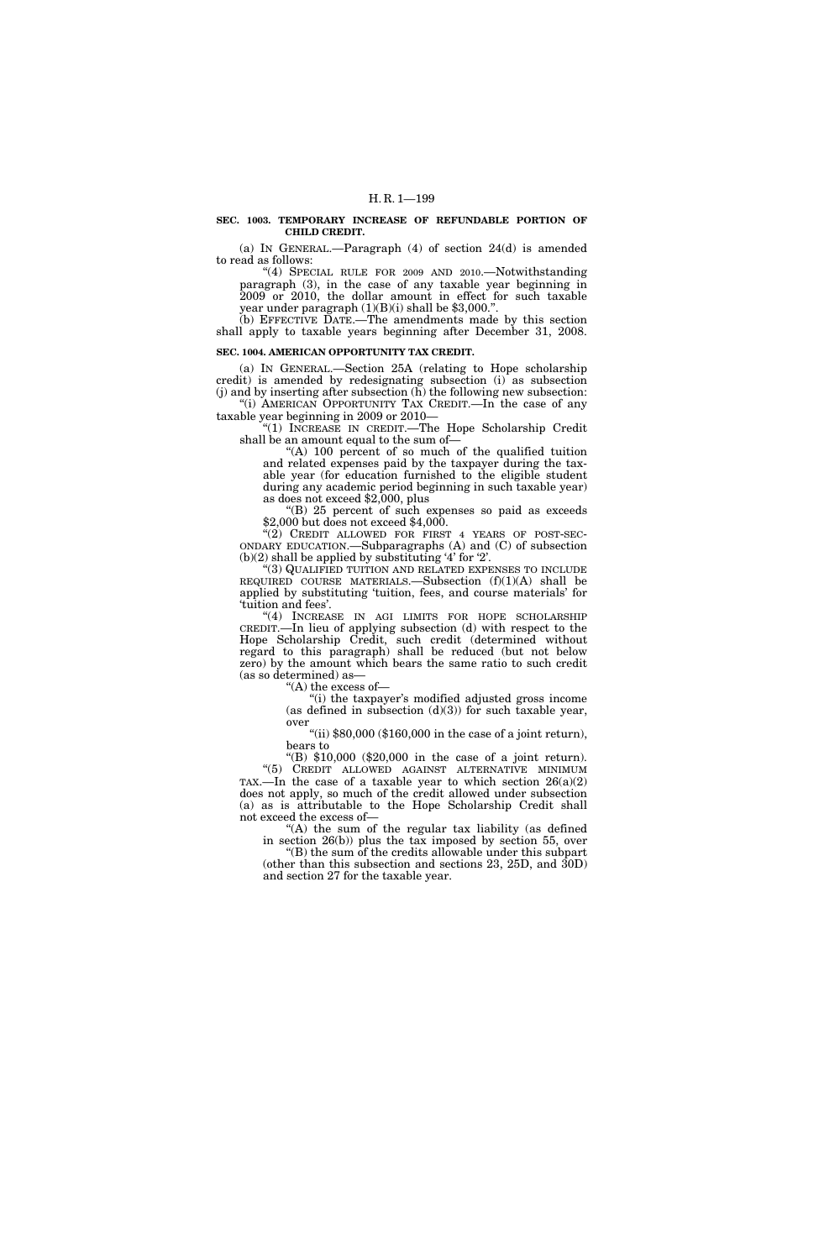#### **SEC. 1003. TEMPORARY INCREASE OF REFUNDABLE PORTION OF CHILD CREDIT.**

(a) IN GENERAL.—Paragraph (4) of section 24(d) is amended to read as follows:

''(4) SPECIAL RULE FOR 2009 AND 2010.—Notwithstanding paragraph (3), in the case of any taxable year beginning in 2009 or 2010, the dollar amount in effect for such taxable year under paragraph (1)(B)(i) shall be \$3,000.''.

(b) EFFECTIVE DATE.—The amendments made by this section shall apply to taxable years beginning after December 31, 2008.

#### **SEC. 1004. AMERICAN OPPORTUNITY TAX CREDIT.**

(a) IN GENERAL.—Section 25A (relating to Hope scholarship credit) is amended by redesignating subsection (i) as subsection  $(j)$  and by inserting after subsection  $(h)$  the following new subsection: "(i) AMERICAN OPPORTUNITY TAX CREDIT.—In the case of any

taxable year beginning in 2009 or 2010— ''(1) INCREASE IN CREDIT.—The Hope Scholarship Credit shall be an amount equal to the sum of—

"(A) 100 percent of so much of the qualified tuition and related expenses paid by the taxpayer during the taxable year (for education furnished to the eligible student during any academic period beginning in such taxable year) as does not exceed \$2,000, plus

''(B) 25 percent of such expenses so paid as exceeds \$2,000 but does not exceed \$4,000.

 $(2)$  CREDIT ALLOWED FOR FIRST 4 YEARS OF POST-SEC-ONDARY EDUCATION.—Subparagraphs (A) and (C) of subsection  $(b)(2)$  shall be applied by substituting '4' for '2'.

''(3) QUALIFIED TUITION AND RELATED EXPENSES TO INCLUDE REQUIRED COURSE MATERIALS.—Subsection (f)(1)(A) shall be applied by substituting 'tuition, fees, and course materials' for 'tuition and fees'.

''(4) INCREASE IN AGI LIMITS FOR HOPE SCHOLARSHIP CREDIT.—In lieu of applying subsection (d) with respect to the Hope Scholarship Credit, such credit (determined without regard to this paragraph) shall be reduced (but not below zero) by the amount which bears the same ratio to such credit (as so determined) as—

''(A) the excess of—

"(i) the taxpayer's modified adjusted gross income (as defined in subsection  $(d)(3)$ ) for such taxable year, over

"(ii)  $$80,000$  ( $$160,000$  in the case of a joint return), bears to

''(B) \$10,000 (\$20,000 in the case of a joint return). "(5) CREDIT ALLOWED AGAINST ALTERNATIVE MINIMUM TAX.—In the case of a taxable year to which section  $26(a)(2)$ does not apply, so much of the credit allowed under subsection (a) as is attributable to the Hope Scholarship Credit shall not exceed the excess of—

"(A) the sum of the regular tax liability (as defined in section 26(b)) plus the tax imposed by section 55, over ''(B) the sum of the credits allowable under this subpart

(other than this subsection and sections 23, 25D, and 30D) and section 27 for the taxable year.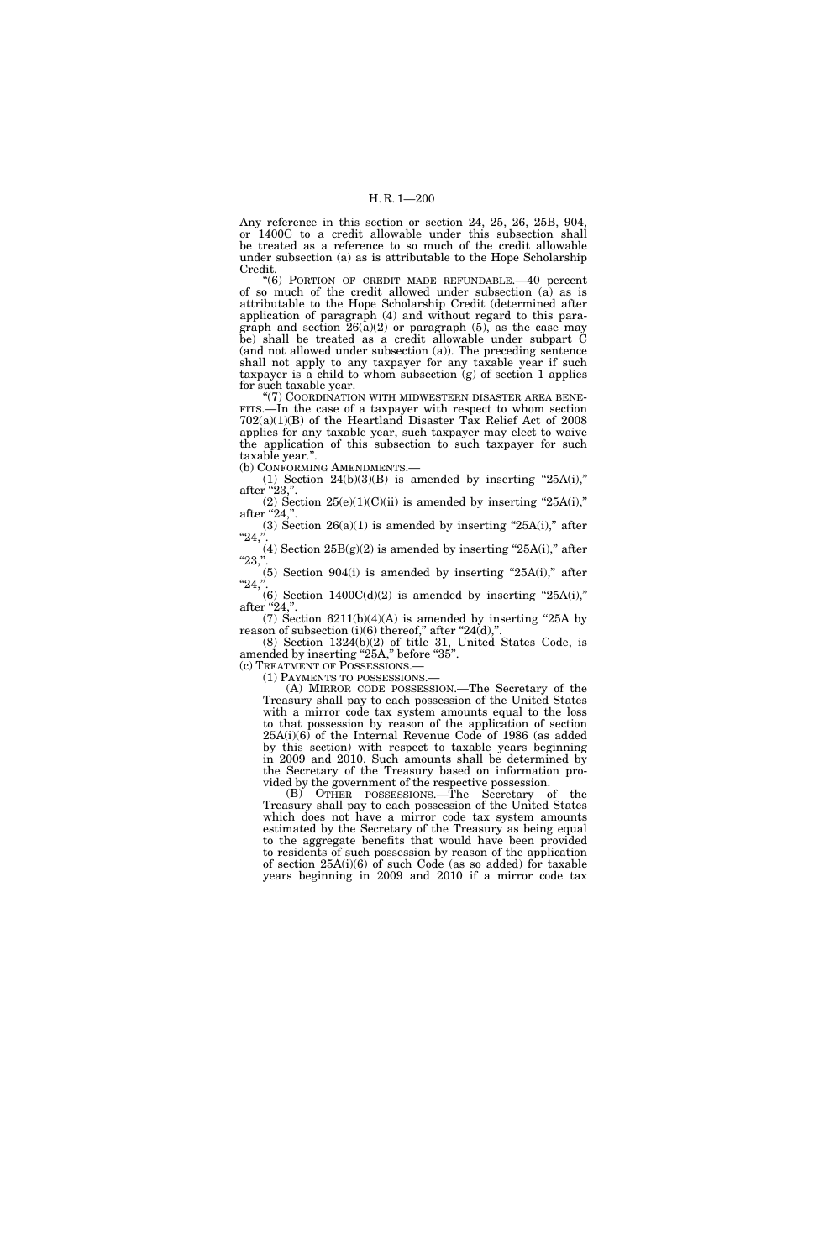Any reference in this section or section 24, 25, 26, 25B, 904, or 1400C to a credit allowable under this subsection shall be treated as a reference to so much of the credit allowable under subsection (a) as is attributable to the Hope Scholarship Credit.

''(6) PORTION OF CREDIT MADE REFUNDABLE.—40 percent of so much of the credit allowed under subsection (a) as is attributable to the Hope Scholarship Credit (determined after application of paragraph (4) and without regard to this paragraph and section  $26(a)(2)$  or paragraph  $(5)$ , as the case may be) shall be treated as a credit allowable under subpart C (and not allowed under subsection (a)). The preceding sentence shall not apply to any taxpayer for any taxable year if such taxpayer is a child to whom subsection (g) of section 1 applies for such taxable year.

''(7) COORDINATION WITH MIDWESTERN DISASTER AREA BENE-FITS.—In the case of a taxpayer with respect to whom section 702(a)(1)(B) of the Heartland Disaster Tax Relief Act of 2008 applies for any taxable year, such taxpayer may elect to waive the application of this subsection to such taxpayer for such taxable year.''.

(b) CONFORMING AMENDMENTS.—

(1) Section  $24(b)(3)(B)$  is amended by inserting " $25A(i)$ ," after "23,".

(2) Section  $25(e)(1)(C)(ii)$  is amended by inserting " $25A(i)$ ," after "24,".

(3) Section  $26(a)(1)$  is amended by inserting " $25A(i)$ ," after "24,".

(4) Section  $25B(g)(2)$  is amended by inserting " $25A(i)$ ," after  $"23,"$ .

 $(5)$  Section 904 $(i)$  is amended by inserting "25A $(i)$ ," after "24,".

(6) Section  $1400C(d)(2)$  is amended by inserting "25A(i)," after "24,"

(7) Section  $6211(b)(4)(A)$  is amended by inserting "25A by reason of subsection  $(i)(6)$  thereof," after "24 $(d)$ ,".

(8) Section 1324(b)(2) of title 31, United States Code, is amended by inserting "25A," before "35".

(c) TREATMENT OF POSSESSIONS.— (1) PAYMENTS TO POSSESSIONS.—

(A) MIRROR CODE POSSESSION.—The Secretary of the Treasury shall pay to each possession of the United States with a mirror code tax system amounts equal to the loss to that possession by reason of the application of section  $25A(i)(6)$  of the Internal Revenue Code of 1986 (as added by this section) with respect to taxable years beginning in 2009 and 2010. Such amounts shall be determined by the Secretary of the Treasury based on information pro-

vided by the government of the respective possession. (B) OTHER POSSESSIONS.—The Secretary of the Treasury shall pay to each possession of the United States which does not have a mirror code tax system amounts estimated by the Secretary of the Treasury as being equal to the aggregate benefits that would have been provided to residents of such possession by reason of the application of section 25A(i)(6) of such Code (as so added) for taxable years beginning in 2009 and 2010 if a mirror code tax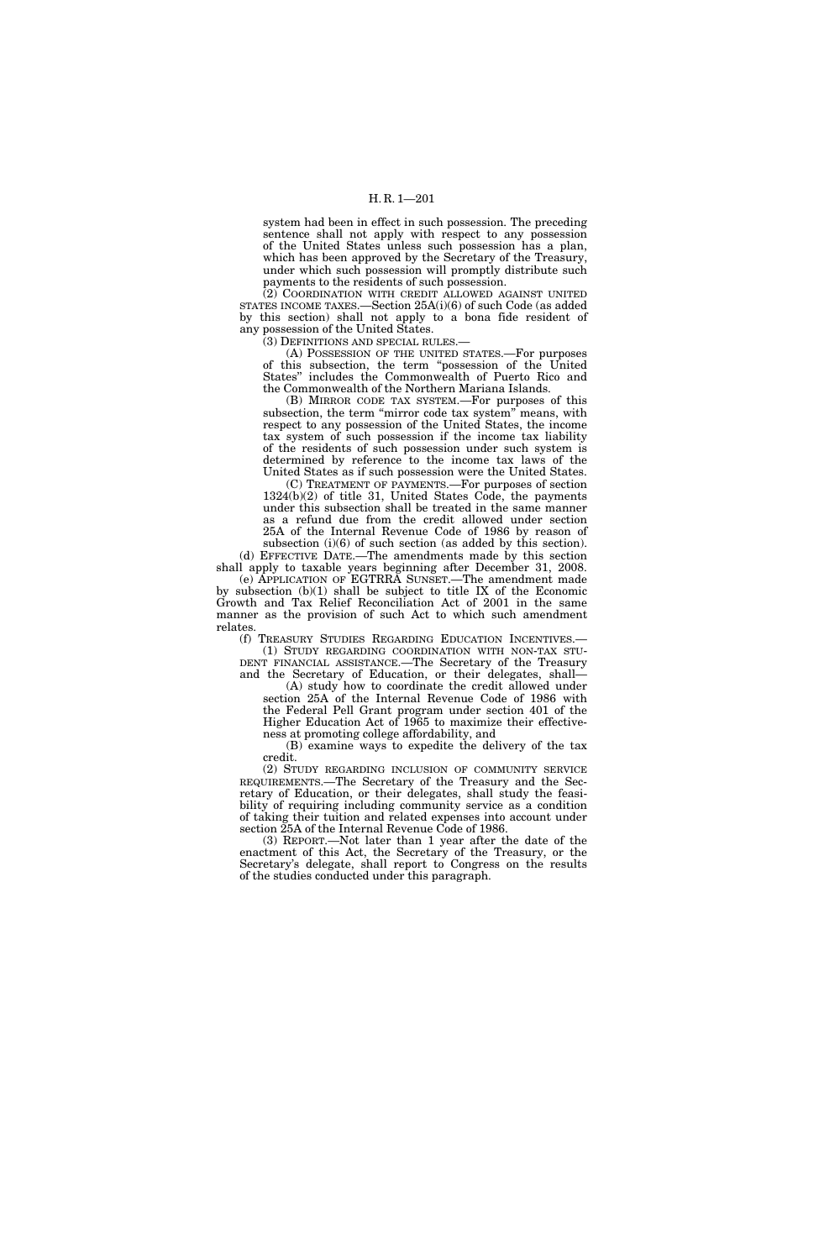system had been in effect in such possession. The preceding sentence shall not apply with respect to any possession of the United States unless such possession has a plan, which has been approved by the Secretary of the Treasury, under which such possession will promptly distribute such payments to the residents of such possession.

(2) COORDINATION WITH CREDIT ALLOWED AGAINST UNITED STATES INCOME TAXES.—Section 25A(i)(6) of such Code (as added by this section) shall not apply to a bona fide resident of any possession of the United States.

(3) DEFINITIONS AND SPECIAL RULES.—

(A) POSSESSION OF THE UNITED STATES.—For purposes of this subsection, the term ''possession of the United States'' includes the Commonwealth of Puerto Rico and the Commonwealth of the Northern Mariana Islands.

(B) MIRROR CODE TAX SYSTEM.—For purposes of this subsection, the term "mirror code tax system" means, with respect to any possession of the United States, the income tax system of such possession if the income tax liability of the residents of such possession under such system is determined by reference to the income tax laws of the United States as if such possession were the United States.

(C) TREATMENT OF PAYMENTS.—For purposes of section 1324(b)(2) of title 31, United States Code, the payments under this subsection shall be treated in the same manner as a refund due from the credit allowed under section 25A of the Internal Revenue Code of 1986 by reason of subsection (i)(6) of such section (as added by this section).

(d) EFFECTIVE DATE.—The amendments made by this section shall apply to taxable years beginning after December 31, 2008.

(e) APPLICATION OF EGTRRA SUNSET.—The amendment made by subsection (b)(1) shall be subject to title IX of the Economic Growth and Tax Relief Reconciliation Act of 2001 in the same manner as the provision of such Act to which such amendment relates.

(f) TREASURY STUDIES REGARDING EDUCATION INCENTIVES.— (1) STUDY REGARDING COORDINATION WITH NON-TAX STU-DENT FINANCIAL ASSISTANCE.—The Secretary of the Treasury and the Secretary of Education, or their delegates, shall—

(A) study how to coordinate the credit allowed under section 25A of the Internal Revenue Code of 1986 with the Federal Pell Grant program under section 401 of the Higher Education Act of 1965 to maximize their effectiveness at promoting college affordability, and

(B) examine ways to expedite the delivery of the tax credit.

(2) STUDY REGARDING INCLUSION OF COMMUNITY SERVICE REQUIREMENTS.—The Secretary of the Treasury and the Secretary of Education, or their delegates, shall study the feasibility of requiring including community service as a condition of taking their tuition and related expenses into account under section 25A of the Internal Revenue Code of 1986.

(3) REPORT.—Not later than 1 year after the date of the enactment of this Act, the Secretary of the Treasury, or the Secretary's delegate, shall report to Congress on the results of the studies conducted under this paragraph.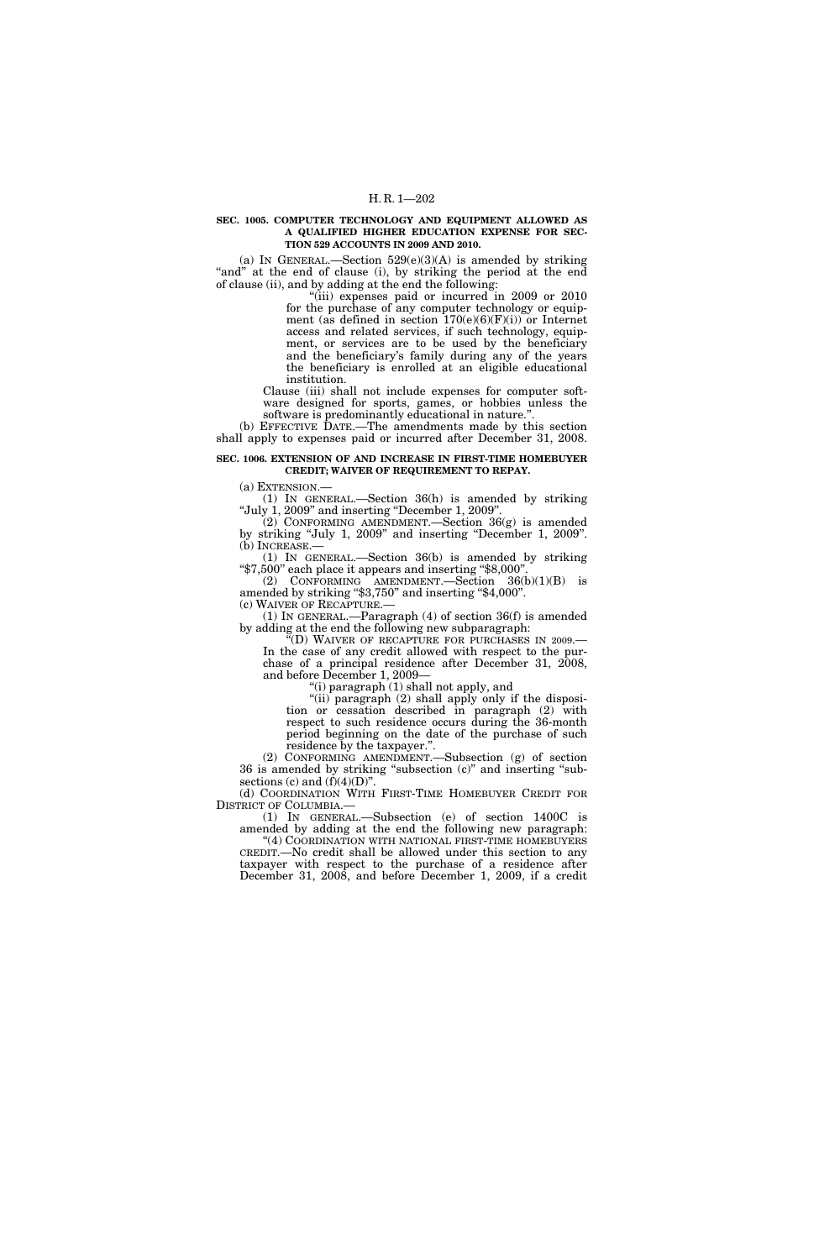#### **SEC. 1005. COMPUTER TECHNOLOGY AND EQUIPMENT ALLOWED AS A QUALIFIED HIGHER EDUCATION EXPENSE FOR SEC-TION 529 ACCOUNTS IN 2009 AND 2010.**

(a) IN GENERAL.—Section  $529(e)(3)(A)$  is amended by striking "and" at the end of clause (i), by striking the period at the end of clause (ii), and by adding at the end the following:

"(iii) expenses paid or incurred in 2009 or 2010 for the purchase of any computer technology or equipment (as defined in section  $170(e)(6)(F)(i)$ ) or Internet access and related services, if such technology, equipment, or services are to be used by the beneficiary and the beneficiary's family during any of the years the beneficiary is enrolled at an eligible educational institution.

Clause (iii) shall not include expenses for computer software designed for sports, games, or hobbies unless the software is predominantly educational in nature."

(b) EFFECTIVE DATE.—The amendments made by this section shall apply to expenses paid or incurred after December 31, 2008.

### **SEC. 1006. EXTENSION OF AND INCREASE IN FIRST-TIME HOMEBUYER CREDIT; WAIVER OF REQUIREMENT TO REPAY.**

(a) EXTENSION.—

(1) IN GENERAL.—Section 36(h) is amended by striking ''July 1, 2009'' and inserting ''December 1, 2009''.

 $(2)$  CONFORMING AMENDMENT.—Section 36 $(g)$  is amended by striking ''July 1, 2009'' and inserting ''December 1, 2009''. (b) INCREASE.—

(1) IN GENERAL.—Section 36(b) is amended by striking ''\$7,500'' each place it appears and inserting ''\$8,000''.

(2) CONFORMING AMENDMENT.—Section  $36(b)(1)(B)$  is amended by striking ''\$3,750'' and inserting ''\$4,000''.

(c) WAIVER OF RECAPTURE.— (1) IN GENERAL.—Paragraph (4) of section 36(f) is amended

by adding at the end the following new subparagraph: ''(D) WAIVER OF RECAPTURE FOR PURCHASES IN 2009.—

In the case of any credit allowed with respect to the purchase of a principal residence after December 31, 2008, and before December 1, 2009—

''(i) paragraph (1) shall not apply, and

"(ii) paragraph (2) shall apply only if the disposition or cessation described in paragraph (2) with respect to such residence occurs during the 36-month period beginning on the date of the purchase of such residence by the taxpayer.''.

(2) CONFORMING AMENDMENT.—Subsection (g) of section 36 is amended by striking ''subsection (c)'' and inserting ''subsections (c) and  $(f)(4)(D)$ ".

(d) COORDINATION WITH FIRST-TIME HOMEBUYER CREDIT FOR DISTRICT OF COLUMBIA.—

(1) IN GENERAL.—Subsection (e) of section 1400C is amended by adding at the end the following new paragraph: "(4) COORDINATION WITH NATIONAL FIRST-TIME HOMEBUYERS CREDIT.—No credit shall be allowed under this section to any taxpayer with respect to the purchase of a residence after

December 31, 2008, and before December 1, 2009, if a credit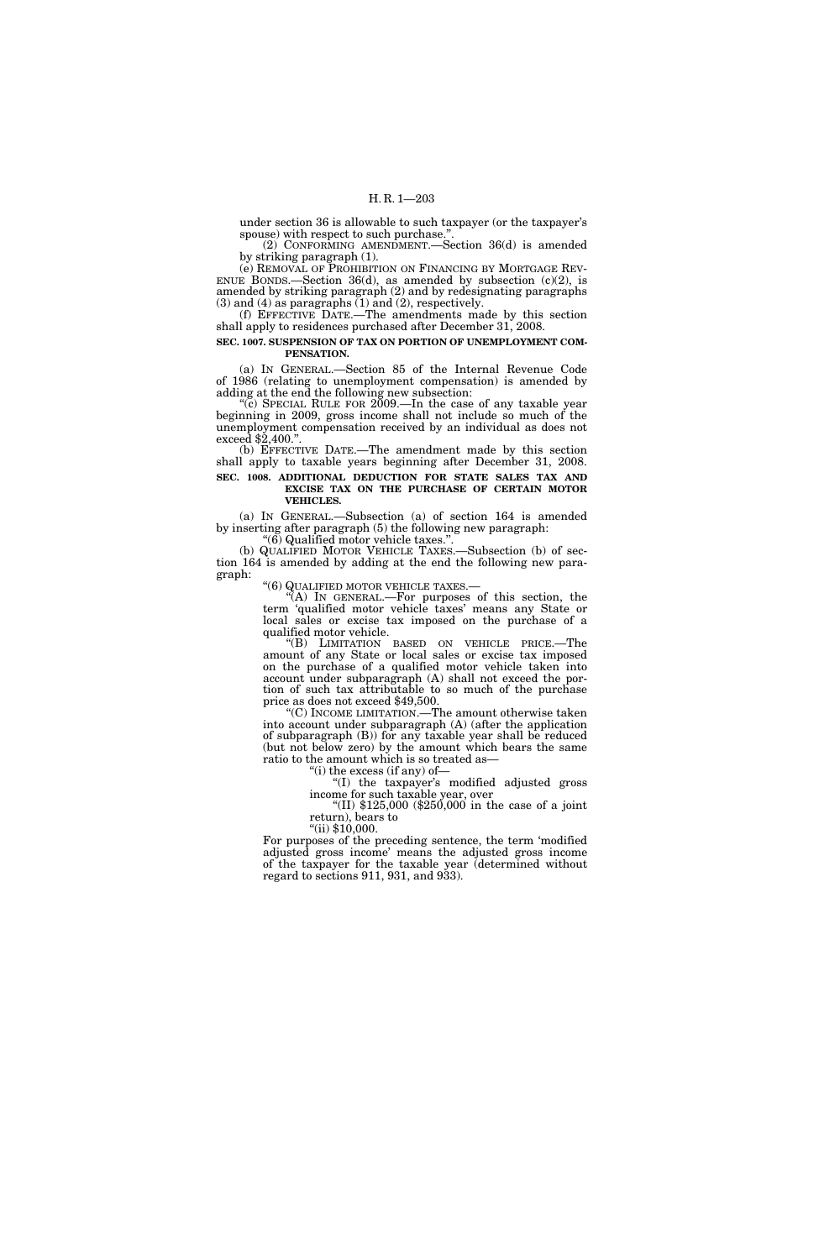under section 36 is allowable to such taxpayer (or the taxpayer's spouse) with respect to such purchase.''.

(2) CONFORMING AMENDMENT.—Section 36(d) is amended by striking paragraph (1).

(e) REMOVAL OF PROHIBITION ON FINANCING BY MORTGAGE REV- ENUE BONDS.—Section  $36(d)$ , as amended by subsection  $(c)(2)$ , is amended by striking paragraph (2) and by redesignating paragraphs  $(3)$  and  $(4)$  as paragraphs  $(1)$  and  $(2)$ , respectively.

(f) EFFECTIVE DATE.—The amendments made by this section shall apply to residences purchased after December 31, 2008.

### **SEC. 1007. SUSPENSION OF TAX ON PORTION OF UNEMPLOYMENT COM-PENSATION.**

(a) IN GENERAL.—Section 85 of the Internal Revenue Code of 1986 (relating to unemployment compensation) is amended by adding at the end the following new subsection:

"(c) SPECIAL RULE FOR  $2009$ .—In the case of any taxable year beginning in 2009, gross income shall not include so much of the unemployment compensation received by an individual as does not exceed \$2,400."

(b) EFFECTIVE DATE.—The amendment made by this section shall apply to taxable years beginning after December 31, 2008. **SEC. 1008. ADDITIONAL DEDUCTION FOR STATE SALES TAX AND** 

# **EXCISE TAX ON THE PURCHASE OF CERTAIN MOTOR VEHICLES.**

(a) IN GENERAL.—Subsection (a) of section 164 is amended by inserting after paragraph (5) the following new paragraph:

''(6) Qualified motor vehicle taxes.''.

(b) QUALIFIED MOTOR VEHICLE TAXES.—Subsection (b) of section 164 is amended by adding at the end the following new paragraph:

''(6) QUALIFIED MOTOR VEHICLE TAXES.— ''(A) IN GENERAL.—For purposes of this section, the term 'qualified motor vehicle taxes' means any State or local sales or excise tax imposed on the purchase of a qualified motor vehicle.

''(B) LIMITATION BASED ON VEHICLE PRICE.—The amount of any State or local sales or excise tax imposed on the purchase of a qualified motor vehicle taken into account under subparagraph (A) shall not exceed the portion of such tax attributable to so much of the purchase price as does not exceed \$49,500.

''(C) INCOME LIMITATION.—The amount otherwise taken into account under subparagraph (A) (after the application of subparagraph (B)) for any taxable year shall be reduced (but not below zero) by the amount which bears the same ratio to the amount which is so treated as—

''(i) the excess (if any) of—

''(I) the taxpayer's modified adjusted gross income for such taxable year, over

''(II) \$125,000 (\$250,000 in the case of a joint return), bears to

''(ii) \$10,000.

For purposes of the preceding sentence, the term 'modified adjusted gross income' means the adjusted gross income of the taxpayer for the taxable year (determined without regard to sections 911, 931, and 933).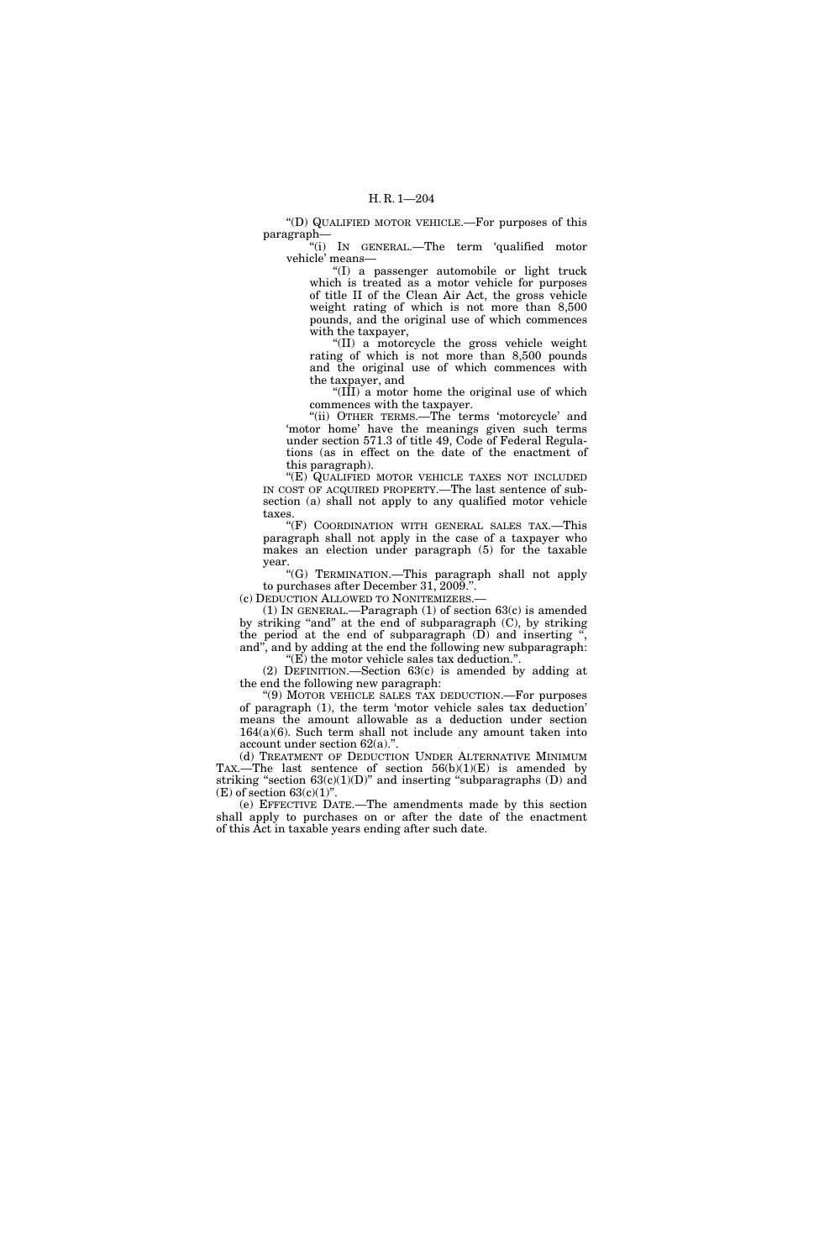''(D) QUALIFIED MOTOR VEHICLE.—For purposes of this paragraph—

''(i) IN GENERAL.—The term 'qualified motor vehicle' means—

''(I) a passenger automobile or light truck which is treated as a motor vehicle for purposes of title II of the Clean Air Act, the gross vehicle weight rating of which is not more than 8,500 pounds, and the original use of which commences with the taxpayer,

''(II) a motorcycle the gross vehicle weight rating of which is not more than 8,500 pounds and the original use of which commences with the taxpayer, and

''(III) a motor home the original use of which commences with the taxpayer.

''(ii) OTHER TERMS.—The terms 'motorcycle' and 'motor home' have the meanings given such terms under section 571.3 of title 49, Code of Federal Regulations (as in effect on the date of the enactment of this paragraph).

"(E) QUALIFIED MOTOR VEHICLE TAXES NOT INCLUDED IN COST OF ACQUIRED PROPERTY.—The last sentence of subsection (a) shall not apply to any qualified motor vehicle taxes.

''(F) COORDINATION WITH GENERAL SALES TAX.—This paragraph shall not apply in the case of a taxpayer who makes an election under paragraph (5) for the taxable year.

''(G) TERMINATION.—This paragraph shall not apply to purchases after December 31, 2009.''.

(c) DEDUCTION ALLOWED TO NONITEMIZERS.—

(1) IN GENERAL.—Paragraph (1) of section 63(c) is amended by striking "and" at the end of subparagraph (C), by striking the period at the end of subparagraph  $(D)$  and inserting and'', and by adding at the end the following new subparagraph: " $(E)$  the motor vehicle sales tax deduction.".

(2) DEFINITION.—Section 63(c) is amended by adding at the end the following new paragraph:

''(9) MOTOR VEHICLE SALES TAX DEDUCTION.—For purposes of paragraph (1), the term 'motor vehicle sales tax deduction' means the amount allowable as a deduction under section 164(a)(6). Such term shall not include any amount taken into account under section 62(a).''.

(d) TREATMENT OF DEDUCTION UNDER ALTERNATIVE MINIMUM TAX.—The last sentence of section  $56(b)(1)(E)$  is amended by striking "section  $63(c)(1)(D)$ " and inserting "subparagraphs (D) and  $(E)$  of section 63 $(c)(1)$ ".

(e) EFFECTIVE DATE.—The amendments made by this section shall apply to purchases on or after the date of the enactment of this Act in taxable years ending after such date.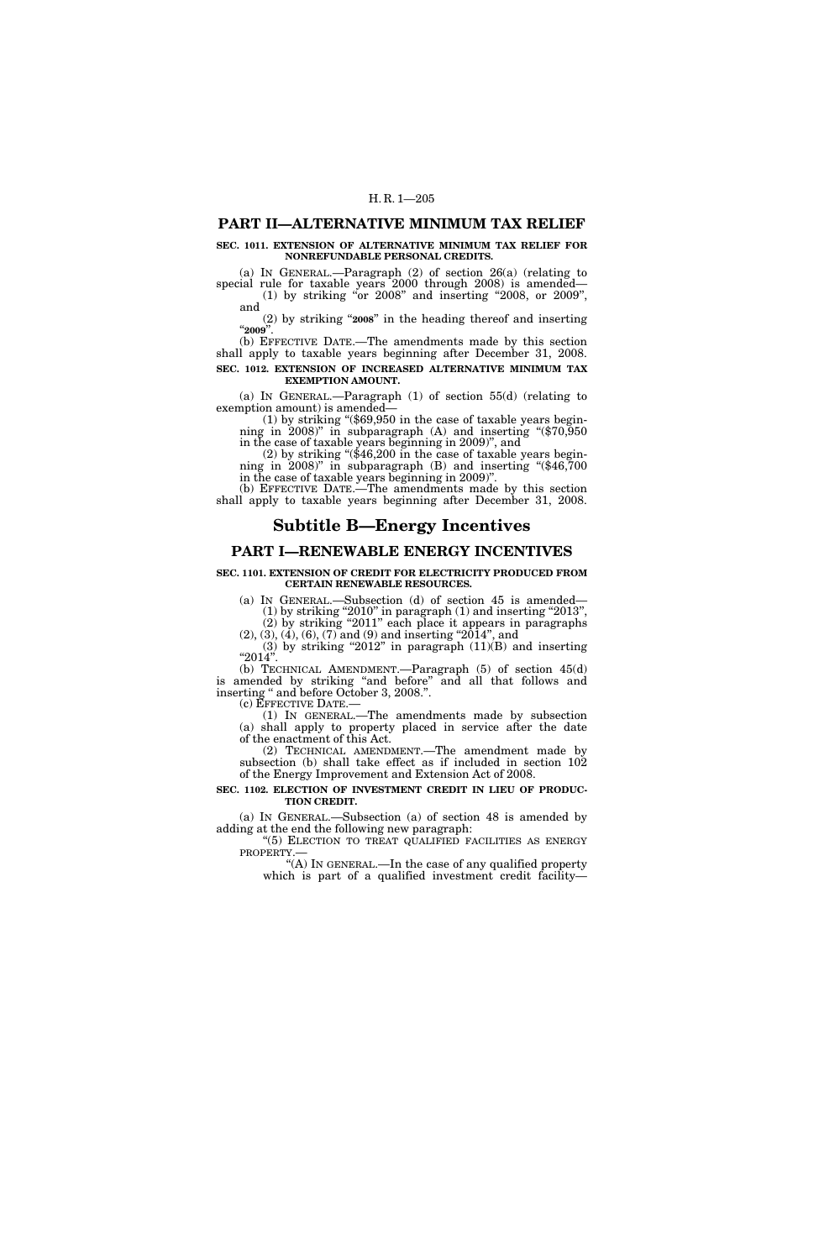### **PART II—ALTERNATIVE MINIMUM TAX RELIEF**

#### **SEC. 1011. EXTENSION OF ALTERNATIVE MINIMUM TAX RELIEF FOR NONREFUNDABLE PERSONAL CREDITS.**

(a) IN GENERAL.—Paragraph (2) of section 26(a) (relating to special rule for taxable years 2000 through 2008) is amended— (1) by striking ''or 2008'' and inserting ''2008, or 2009'',

and (2) by striking ''**2008**'' in the heading thereof and inserting ''**2009**''.

(b) EFFECTIVE DATE.—The amendments made by this section shall apply to taxable years beginning after December 31, 2008. **SEC. 1012. EXTENSION OF INCREASED ALTERNATIVE MINIMUM TAX EXEMPTION AMOUNT.** 

(a) IN GENERAL.—Paragraph (1) of section 55(d) (relating to

exemption amount) is amended—<br>
(1) by striking "(\$69,950 in the case of taxable years begin-<br>
ining in 2008)" in subparagraph (A) and inserting "(\$70,950<br>
in the case of taxable years beginning in 2009)", and

(2) by striking " $(\$46,200$  in the case of taxable years beginning in 2008)" in subparagraph (B) and inserting " $(\$46,700)$ in the case of taxable years beginning in 2009)''.

(b) EFFECTIVE DATE.—The amendments made by this section shall apply to taxable years beginning after December 31, 2008.

# **Subtitle B—Energy Incentives**

### **PART I—RENEWABLE ENERGY INCENTIVES**

#### **SEC. 1101. EXTENSION OF CREDIT FOR ELECTRICITY PRODUCED FROM CERTAIN RENEWABLE RESOURCES.**

(a) IN GENERAL.—Subsection (d) of section 45 is amended—  $(1)$  by striking "2010" in paragraph  $(1)$  and inserting "2013", (2) by striking ''2011'' each place it appears in paragraphs

 $(2), (3), (4), (6), (7)$  and  $(9)$  and inserting " $2014$ ", and (3) by striking "2012" in paragraph  $(11)(B)$  and inserting

 $"2014"$ . (b) TECHNICAL AMENDMENT.—Paragraph (5) of section 45(d) is amended by striking "and before" and all that follows and inserting '' and before October 3, 2008.''.

(c) EFFECTIVE DATE.— (1) IN GENERAL.—The amendments made by subsection (a) shall apply to property placed in service after the date of the enactment of this Act.

(2) TECHNICAL AMENDMENT.—The amendment made by subsection (b) shall take effect as if included in section 102 of the Energy Improvement and Extension Act of 2008.

### **SEC. 1102. ELECTION OF INVESTMENT CREDIT IN LIEU OF PRODUC-TION CREDIT.**

(a) IN GENERAL.—Subsection (a) of section 48 is amended by adding at the end the following new paragraph:

"(5) ELECTION TO TREAT QUALIFIED FACILITIES AS ENERGY PROPERTY.—

''(A) IN GENERAL.—In the case of any qualified property which is part of a qualified investment credit facility—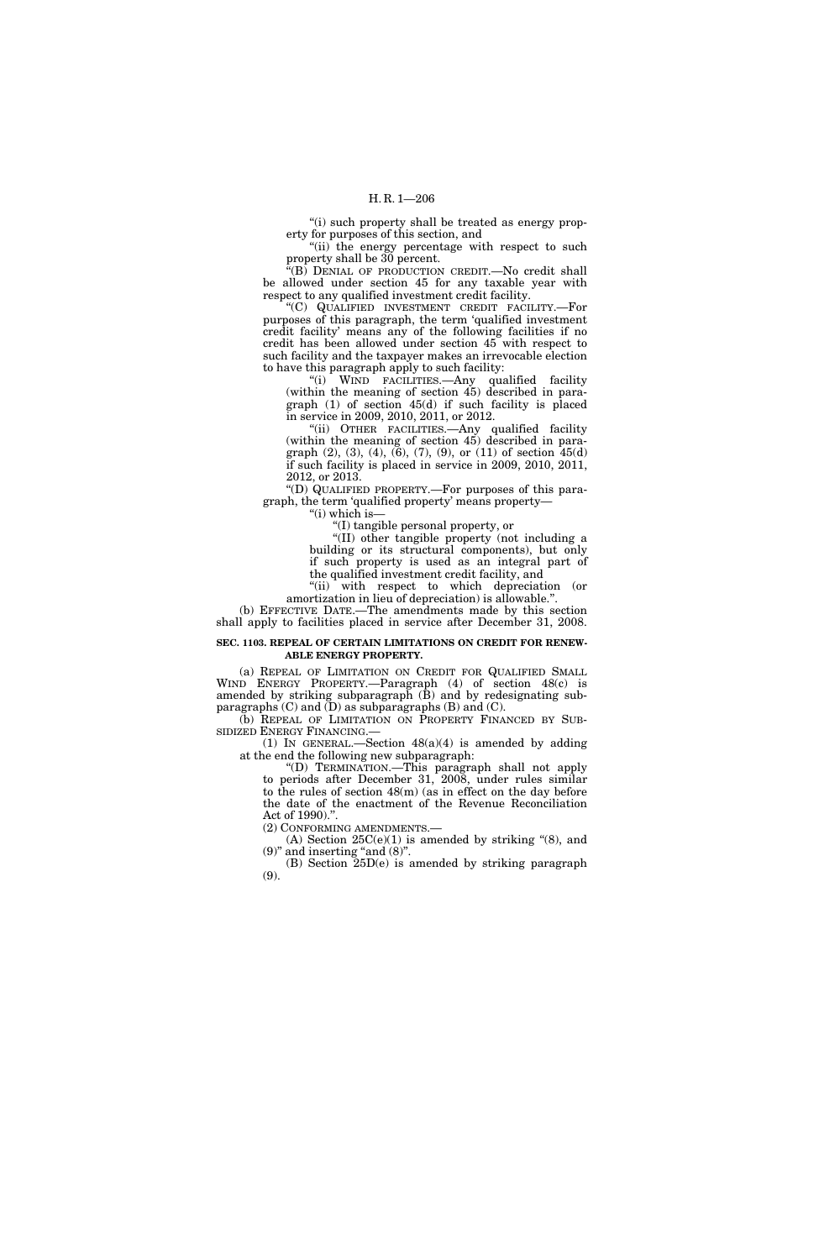"(i) such property shall be treated as energy property for purposes of this section, and

"(ii) the energy percentage with respect to such property shall be 30 percent.

''(B) DENIAL OF PRODUCTION CREDIT.—No credit shall be allowed under section 45 for any taxable year with respect to any qualified investment credit facility.

''(C) QUALIFIED INVESTMENT CREDIT FACILITY.—For purposes of this paragraph, the term 'qualified investment credit facility' means any of the following facilities if no credit has been allowed under section 45 with respect to such facility and the taxpayer makes an irrevocable election to have this paragraph apply to such facility:

''(i) WIND FACILITIES.—Any qualified facility (within the meaning of section 45) described in paragraph (1) of section 45(d) if such facility is placed in service in 2009, 2010, 2011, or 2012.

''(ii) OTHER FACILITIES.—Any qualified facility (within the meaning of section 45) described in paragraph  $(2)$ ,  $(3)$ ,  $(4)$ ,  $(6)$ ,  $(7)$ ,  $(9)$ , or  $(11)$  of section  $45(d)$ if such facility is placed in service in 2009, 2010, 2011, 2012, or 2013.

''(D) QUALIFIED PROPERTY.—For purposes of this paragraph, the term 'qualified property' means property—

''(i) which is—

''(I) tangible personal property, or

''(II) other tangible property (not including a building or its structural components), but only if such property is used as an integral part of the qualified investment credit facility, and

"(ii) with respect to which depreciation (or amortization in lieu of depreciation) is allowable.''.

(b) EFFECTIVE DATE.—The amendments made by this section shall apply to facilities placed in service after December 31, 2008.

#### **SEC. 1103. REPEAL OF CERTAIN LIMITATIONS ON CREDIT FOR RENEW-ABLE ENERGY PROPERTY.**

(a) REPEAL OF LIMITATION ON CREDIT FOR QUALIFIED SMALL WIND ENERGY PROPERTY.—Paragraph (4) of section 48(c) is amended by striking subparagraph (B) and by redesignating subparagraphs  $(C)$  and  $(D)$  as subparagraphs  $(B)$  and  $(C)$ .

(b) REPEAL OF LIMITATION ON PROPERTY FINANCED BY SUB-SIDIZED ENERGY FINANCING.—

(1) IN GENERAL.—Section 48(a)(4) is amended by adding at the end the following new subparagraph:

''(D) TERMINATION.—This paragraph shall not apply to periods after December 31, 2008, under rules similar to the rules of section 48(m) (as in effect on the day before the date of the enactment of the Revenue Reconciliation Act of 1990).''.

(2) CONFORMING AMENDMENTS.—

(A) Section  $25C(e)(1)$  is amended by striking "(8), and  $(9)$ " and inserting "and  $(8)$ ".

(B) Section 25D(e) is amended by striking paragraph (9).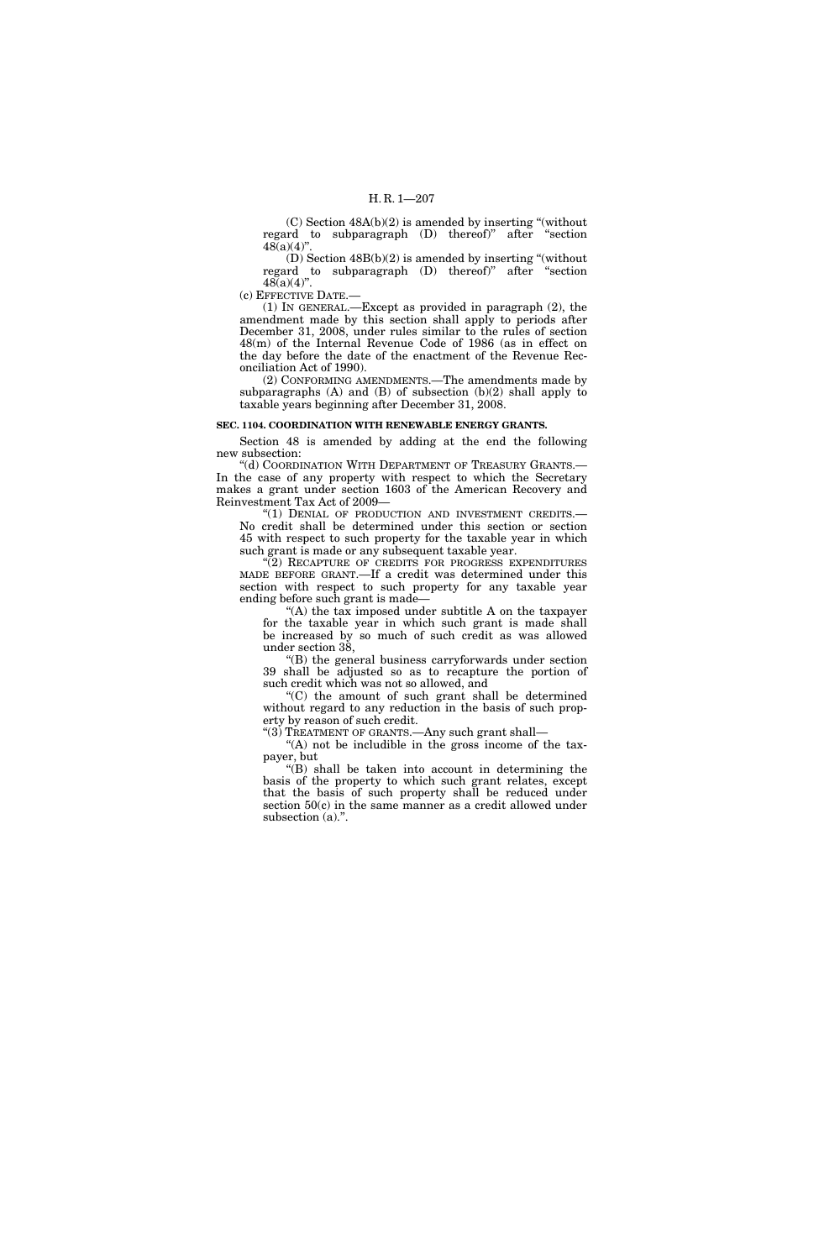$(C)$  Section  $48A(b)(2)$  is amended by inserting "(without regard to subparagraph (D) thereof)'' after ''section  $48(a)(4)$ "

(D) Section 48B(b)(2) is amended by inserting ''(without regard to subparagraph (D) thereof)'' after ''section  $48(a)(4)$ ".

(c) EFFECTIVE DATE.—

(1) IN GENERAL.—Except as provided in paragraph (2), the amendment made by this section shall apply to periods after December 31, 2008, under rules similar to the rules of section 48(m) of the Internal Revenue Code of 1986 (as in effect on the day before the date of the enactment of the Revenue Reconciliation Act of 1990).

(2) CONFORMING AMENDMENTS.—The amendments made by subparagraphs (A) and (B) of subsection (b)(2) shall apply to taxable years beginning after December 31, 2008.

#### **SEC. 1104. COORDINATION WITH RENEWABLE ENERGY GRANTS.**

Section 48 is amended by adding at the end the following new subsection:

''(d) COORDINATION WITH DEPARTMENT OF TREASURY GRANTS.— In the case of any property with respect to which the Secretary makes a grant under section 1603 of the American Recovery and Reinvestment Tax Act of 2009—

"(1) DENIAL OF PRODUCTION AND INVESTMENT CREDITS.-No credit shall be determined under this section or section 45 with respect to such property for the taxable year in which such grant is made or any subsequent taxable year.

"(2) RECAPTURE OF CREDITS FOR PROGRESS EXPENDITURES MADE BEFORE GRANT.—If a credit was determined under this section with respect to such property for any taxable year ending before such grant is made—

"(A) the tax imposed under subtitle A on the taxpayer for the taxable year in which such grant is made shall be increased by so much of such credit as was allowed under section 38,

''(B) the general business carryforwards under section 39 shall be adjusted so as to recapture the portion of such credit which was not so allowed, and

''(C) the amount of such grant shall be determined without regard to any reduction in the basis of such property by reason of such credit.

''(3) TREATMENT OF GRANTS.—Any such grant shall— "(A) not be includible in the gross income of the taxpayer, but

 $''(B)$  shall be taken into account in determining the basis of the property to which such grant relates, except that the basis of such property shall be reduced under section 50(c) in the same manner as a credit allowed under subsection (a).".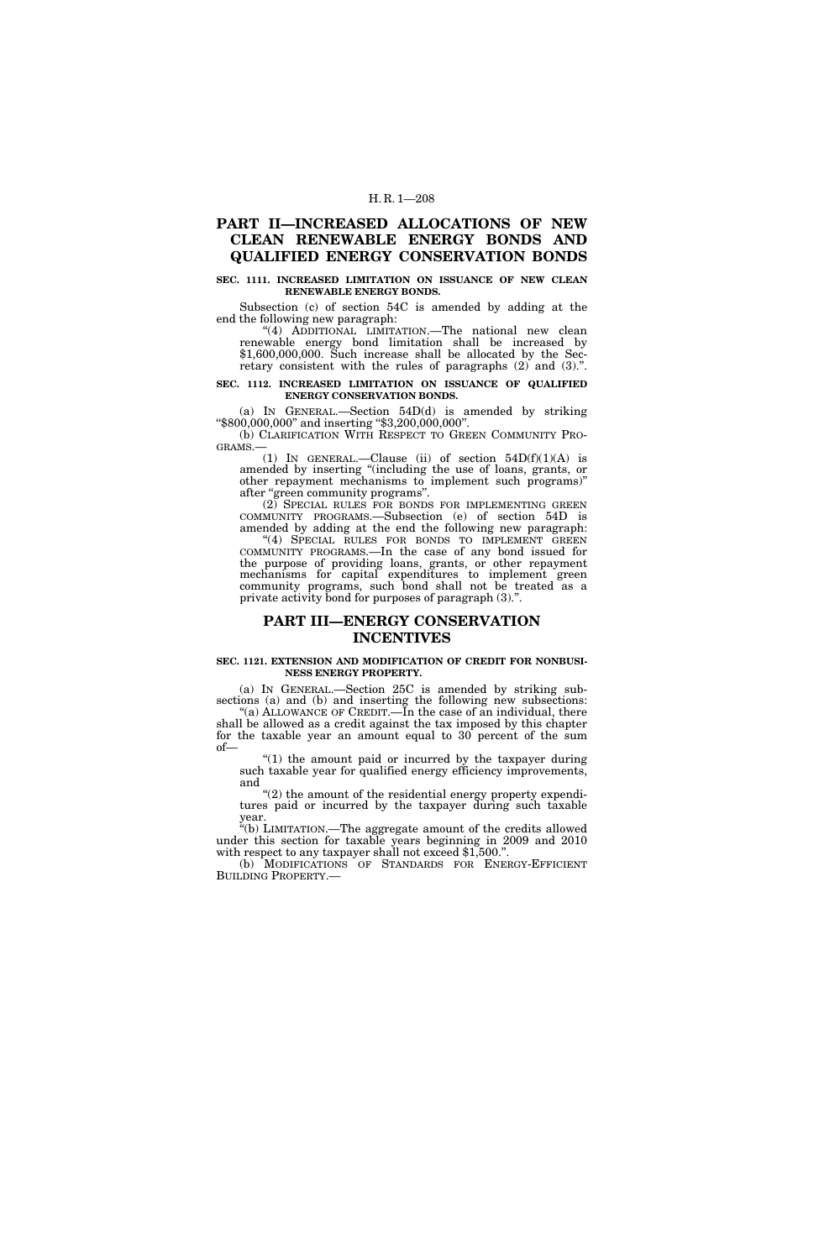# **PART II—INCREASED ALLOCATIONS OF NEW CLEAN RENEWABLE ENERGY BONDS AND QUALIFIED ENERGY CONSERVATION BONDS**

### **SEC. 1111. INCREASED LIMITATION ON ISSUANCE OF NEW CLEAN RENEWABLE ENERGY BONDS.**

Subsection (c) of section 54C is amended by adding at the end the following new paragraph:

"(4) ADDITIONAL LIMITATION.—The national new clean renewable energy bond limitation shall be increased by \$1,600,000,000. Such increase shall be allocated by the Secretary consistent with the rules of paragraphs (2) and (3).''.

#### **SEC. 1112. INCREASED LIMITATION ON ISSUANCE OF QUALIFIED ENERGY CONSERVATION BONDS.**

(a) IN GENERAL.—Section 54D(d) is amended by striking ''\$800,000,000'' and inserting ''\$3,200,000,000''.

(b) CLARIFICATION WITH RESPECT TO GREEN COMMUNITY PRO-GRAMS.—

(1) IN GENERAL.—Clause (ii) of section  $54D(f)(1)(A)$  is amended by inserting "(including the use of loans, grants, or other repayment mechanisms to implement such programs)'' after "green community programs".

(2) SPECIAL RULES FOR BONDS FOR IMPLEMENTING GREEN COMMUNITY PROGRAMS.—Subsection (e) of section 54D is amended by adding at the end the following new paragraph: "(4) SPECIAL RULES FOR BONDS TO IMPLEMENT GREEN COMMUNITY PROGRAMS.—In the case of any bond issued for the purpose of providing loans, grants, or other repayment mechanisms for capital expenditures to implement green community programs, such bond shall not be treated as a private activity bond for purposes of paragraph (3).''.

# **PART III—ENERGY CONSERVATION INCENTIVES**

#### **SEC. 1121. EXTENSION AND MODIFICATION OF CREDIT FOR NONBUSI-NESS ENERGY PROPERTY.**

(a) IN GENERAL.—Section 25C is amended by striking subsections (a) and (b) and inserting the following new subsections: "(a) ALLOWANCE OF CREDIT.—In the case of an individual, there shall be allowed as a credit against the tax imposed by this chapter for the taxable year an amount equal to 30 percent of the sum

of— " $(1)$  the amount paid or incurred by the taxpayer during

such taxable year for qualified energy efficiency improvements, and

''(2) the amount of the residential energy property expenditures paid or incurred by the taxpayer during such taxable year.

''(b) LIMITATION.—The aggregate amount of the credits allowed under this section for taxable years beginning in 2009 and 2010 with respect to any taxpayer shall not exceed \$1,500.".

(b) MODIFICATIONS OF STANDARDS FOR ENERGY-EFFICIENT BUILDING PROPERTY.—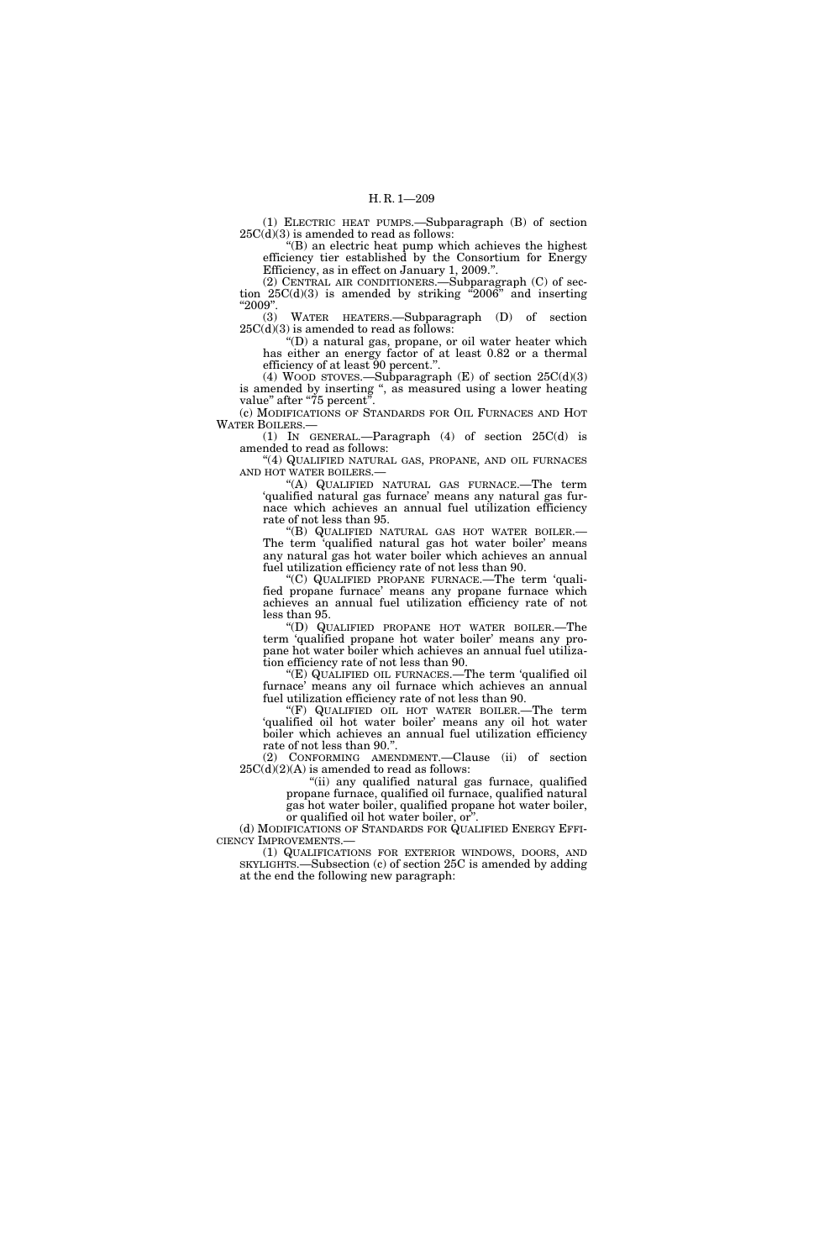(1) ELECTRIC HEAT PUMPS.—Subparagraph (B) of section 25C(d)(3) is amended to read as follows:

''(B) an electric heat pump which achieves the highest efficiency tier established by the Consortium for Energy Efficiency, as in effect on January 1, 2009.''.

(2) CENTRAL AIR CONDITIONERS.—Subparagraph (C) of section  $25C(d)(3)$  is amended by striking "2006" and inserting ''2009''.

(3) WATER HEATERS.—Subparagraph (D) of section  $25C(d)(3)$  is amended to read as follows:

''(D) a natural gas, propane, or oil water heater which has either an energy factor of at least 0.82 or a thermal efficiency of at least  $90$  percent.".

(4) WOOD STOVES.—Subparagraph  $(E)$  of section  $25C(d)(3)$ is amended by inserting '', as measured using a lower heating value" after "75 percent".

(c) MODIFICATIONS OF STANDARDS FOR OIL FURNACES AND HOT WATER BOILERS.—

(1) IN GENERAL.—Paragraph (4) of section 25C(d) is amended to read as follows:

''(4) QUALIFIED NATURAL GAS, PROPANE, AND OIL FURNACES AND HOT WATER BOILERS.—

''(A) QUALIFIED NATURAL GAS FURNACE.—The term 'qualified natural gas furnace' means any natural gas furnace which achieves an annual fuel utilization efficiency rate of not less than 95.

''(B) QUALIFIED NATURAL GAS HOT WATER BOILER.— The term 'qualified natural gas hot water boiler' means any natural gas hot water boiler which achieves an annual fuel utilization efficiency rate of not less than 90.

(C) QUALIFIED PROPANE FURNACE.—The term 'qualified propane furnace' means any propane furnace which achieves an annual fuel utilization efficiency rate of not less than 95.

''(D) QUALIFIED PROPANE HOT WATER BOILER.—The term 'qualified propane hot water boiler' means any propane hot water boiler which achieves an annual fuel utilization efficiency rate of not less than 90.

''(E) QUALIFIED OIL FURNACES.—The term 'qualified oil furnace' means any oil furnace which achieves an annual fuel utilization efficiency rate of not less than 90.

''(F) QUALIFIED OIL HOT WATER BOILER.—The term 'qualified oil hot water boiler' means any oil hot water boiler which achieves an annual fuel utilization efficiency rate of not less than 90.''.

(2) CONFORMING AMENDMENT.—Clause (ii) of section  $25C(d)(2)(A)$  is amended to read as follows:

"(ii) any qualified natural gas furnace, qualified propane furnace, qualified oil furnace, qualified natural gas hot water boiler, qualified propane hot water boiler, or qualified oil hot water boiler, or"

(d) MODIFICATIONS OF STANDARDS FOR QUALIFIED ENERGY EFFI-CIENCY IMPROVEMENTS.—

(1) QUALIFICATIONS FOR EXTERIOR WINDOWS, DOORS, AND SKYLIGHTS.—Subsection (c) of section 25C is amended by adding at the end the following new paragraph: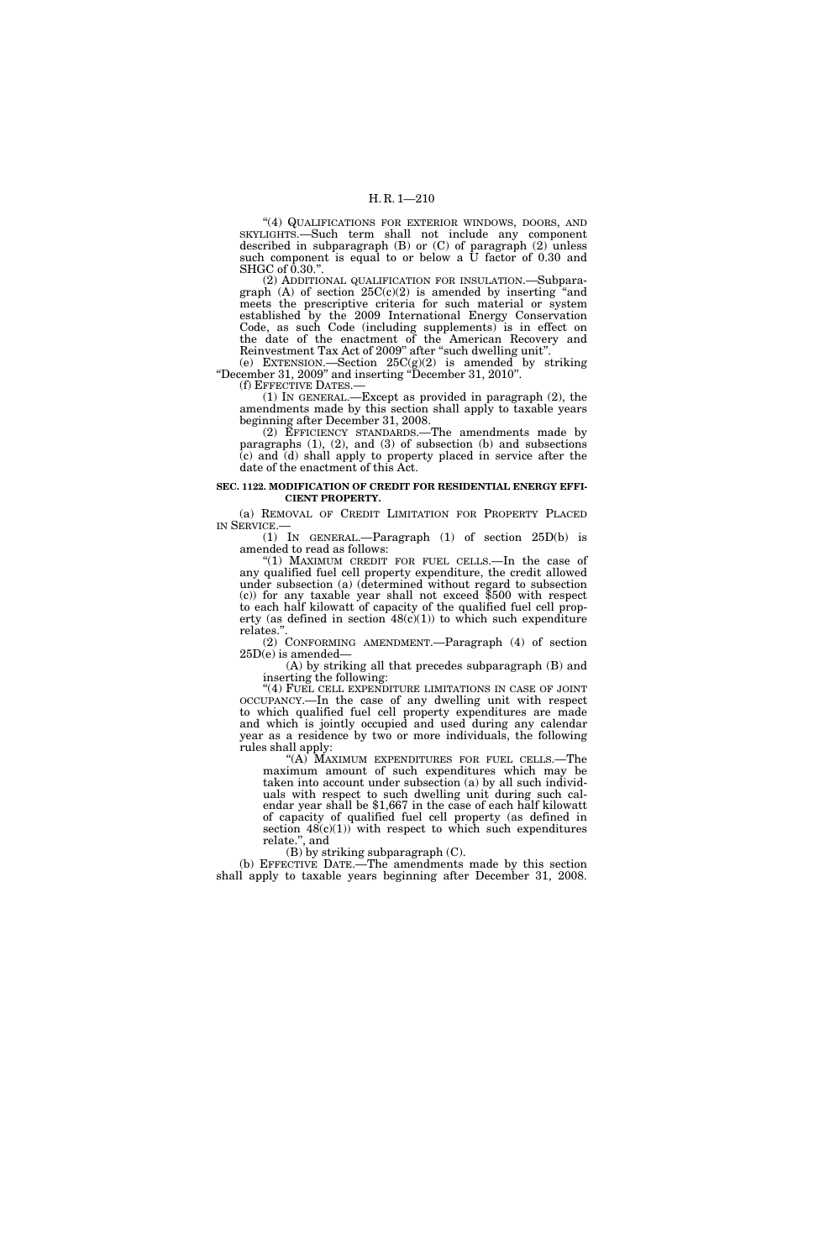''(4) QUALIFICATIONS FOR EXTERIOR WINDOWS, DOORS, AND SKYLIGHTS.—Such term shall not include any component described in subparagraph (B) or (C) of paragraph (2) unless such component is equal to or below a U factor of 0.30 and  $SHGC of 0.30$ .".

(2) ADDITIONAL QUALIFICATION FOR INSULATION.—Subparagraph  $(A)$  of section  $25C(c)(2)$  is amended by inserting "and meets the prescriptive criteria for such material or system established by the 2009 International Energy Conservation Code, as such Code (including supplements) is in effect on the date of the enactment of the American Recovery and Reinvestment Tax Act of 2009" after "such dwelling unit".

(e) EXTENSION.—Section  $25C(g)(2)$  is amended by striking ''December 31, 2009'' and inserting ''December 31, 2010''. (f) EFFECTIVE DATES.—

(1) IN GENERAL.—Except as provided in paragraph (2), the amendments made by this section shall apply to taxable years beginning after December 31, 2008.

(2) EFFICIENCY STANDARDS.—The amendments made by paragraphs  $(1)$ ,  $(2)$ , and  $(3)$  of subsection  $(b)$  and subsections (c) and (d) shall apply to property placed in service after the date of the enactment of this Act.

#### **SEC. 1122. MODIFICATION OF CREDIT FOR RESIDENTIAL ENERGY EFFI-CIENT PROPERTY.**

(a) REMOVAL OF CREDIT LIMITATION FOR PROPERTY PLACED

 $(1)$  IN GENERAL.—Paragraph  $(1)$  of section 25D(b) is amended to read as follows:

"(1) MAXIMUM CREDIT FOR FUEL CELLS.—In the case of any qualified fuel cell property expenditure, the credit allowed under subsection (a) (determined without regard to subsection (c)) for any taxable year shall not exceed \$500 with respect to each half kilowatt of capacity of the qualified fuel cell property (as defined in section  $48(c)(1)$ ) to which such expenditure relates.''.

(2) CONFORMING AMENDMENT.—Paragraph (4) of section 25D(e) is amended—

(A) by striking all that precedes subparagraph (B) and inserting the following:

"(4) FUEL CELL EXPENDITURE LIMITATIONS IN CASE OF JOINT OCCUPANCY.—In the case of any dwelling unit with respect to which qualified fuel cell property expenditures are made and which is jointly occupied and used during any calendar year as a residence by two or more individuals, the following rules shall apply:

''(A) MAXIMUM EXPENDITURES FOR FUEL CELLS.—The maximum amount of such expenditures which may be taken into account under subsection (a) by all such individuals with respect to such dwelling unit during such calendar year shall be \$1,667 in the case of each half kilowatt of capacity of qualified fuel cell property (as defined in section  $48(c)(1)$  with respect to which such expenditures relate.'', and

(B) by striking subparagraph (C).

(b) EFFECTIVE DATE.—The amendments made by this section shall apply to taxable years beginning after December 31, 2008.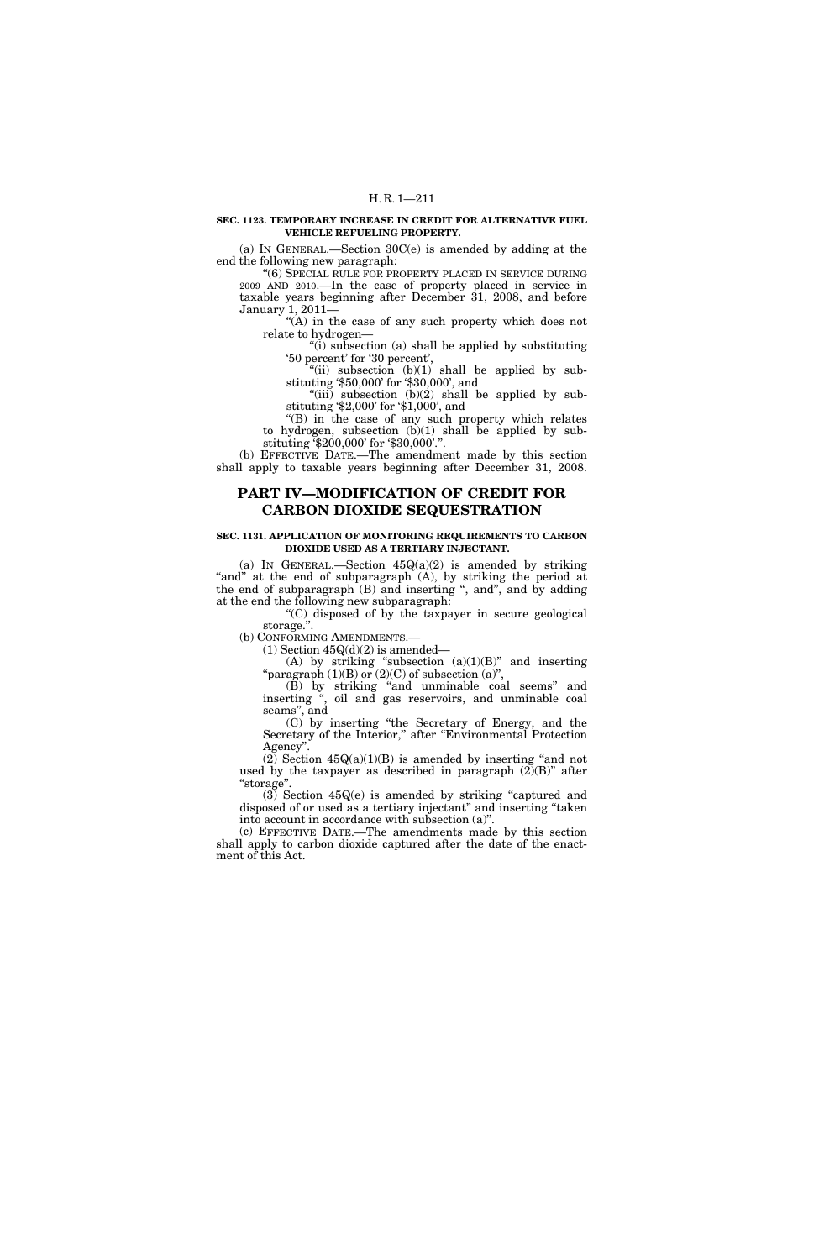#### **SEC. 1123. TEMPORARY INCREASE IN CREDIT FOR ALTERNATIVE FUEL VEHICLE REFUELING PROPERTY.**

(a) IN GENERAL.—Section 30C(e) is amended by adding at the end the following new paragraph:

''(6) SPECIAL RULE FOR PROPERTY PLACED IN SERVICE DURING 2009 AND 2010.—In the case of property placed in service in taxable years beginning after December 31, 2008, and before January 1, 2011—

"(A) in the case of any such property which does not relate to hydrogen—

''(i) subsection (a) shall be applied by substituting '50 percent' for '30 percent',

"(ii) subsection  $(b)(1)$  shall be applied by substituting '\$50,000' for '\$30,000', and

" $(iii)$  subsection  $(b)(2)$  shall be applied by substituting '\$2,000' for '\$1,000', and

"(B) in the case of any such property which relates to hydrogen, subsection  $(b)(1)$  shall be applied by substituting '\$200,000' for '\$30,000'.''.

(b) EFFECTIVE DATE.—The amendment made by this section shall apply to taxable years beginning after December 31, 2008.

# **PART IV—MODIFICATION OF CREDIT FOR CARBON DIOXIDE SEQUESTRATION**

#### **SEC. 1131. APPLICATION OF MONITORING REQUIREMENTS TO CARBON DIOXIDE USED AS A TERTIARY INJECTANT.**

(a) IN GENERAL.—Section  $45Q(a)(2)$  is amended by striking "and" at the end of subparagraph (A), by striking the period at the end of subparagraph (B) and inserting ", and", and by adding at the end the following new subparagraph:

''(C) disposed of by the taxpayer in secure geological storage.''.

(b) CONFORMING AMENDMENTS.—

 $(1)$  Section  $45Q(d)(2)$  is amended—

(A) by striking "subsection  $(a)(1)(B)$ " and inserting "paragraph  $(1)(B)$  or  $(2)(C)$  of subsection  $(a)$ ",

(B) by striking ''and unminable coal seems'' and inserting '', oil and gas reservoirs, and unminable coal seams'', and

(C) by inserting ''the Secretary of Energy, and the Secretary of the Interior," after "Environmental Protection Agency''.

(2) Section  $45Q(a)(1)(B)$  is amended by inserting "and not used by the taxpayer as described in paragraph  $(2)(B)$ " after ''storage''.

 $(3)$  Section  $45Q(e)$  is amended by striking "captured and disposed of or used as a tertiary injectant" and inserting "taken into account in accordance with subsection (a)''.

(c) EFFECTIVE DATE.—The amendments made by this section shall apply to carbon dioxide captured after the date of the enactment of this Act.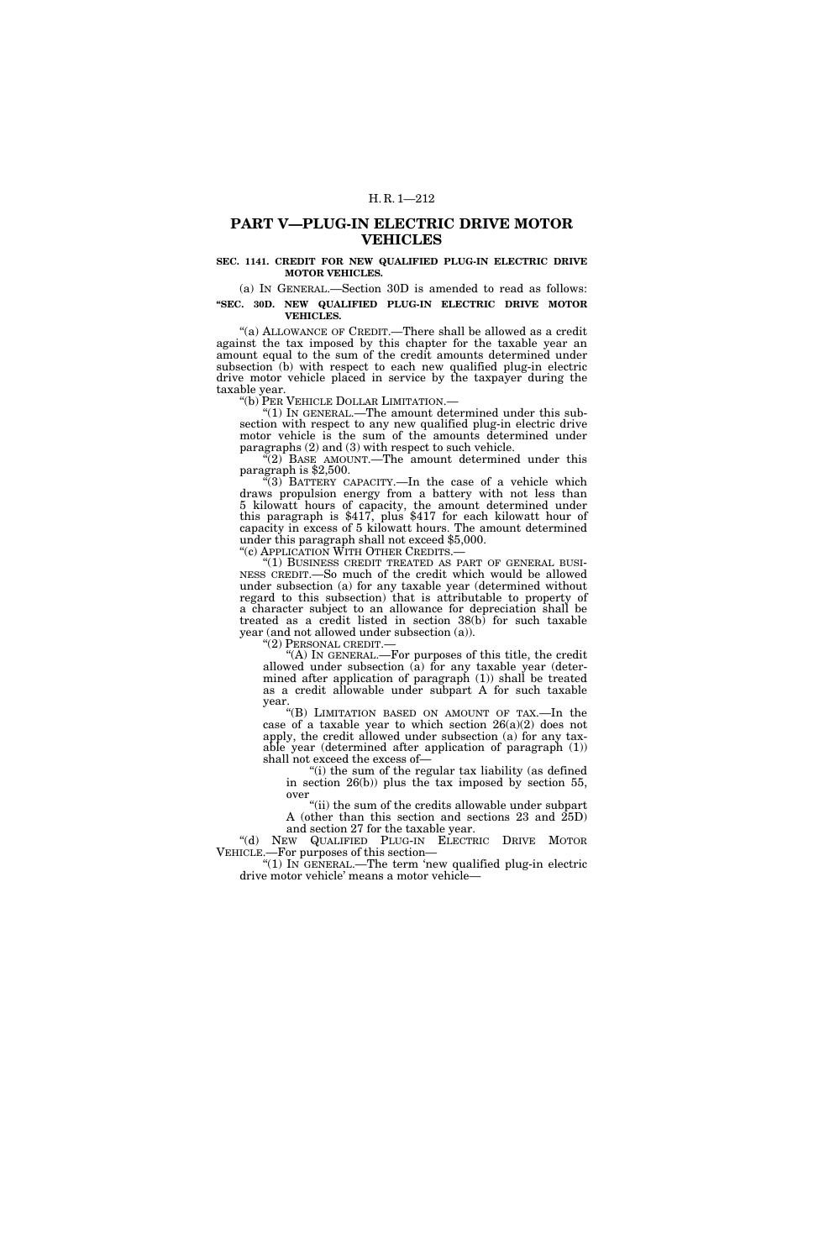# **PART V—PLUG-IN ELECTRIC DRIVE MOTOR VEHICLES**

### **SEC. 1141. CREDIT FOR NEW QUALIFIED PLUG-IN ELECTRIC DRIVE MOTOR VEHICLES.**

(a) IN GENERAL.—Section 30D is amended to read as follows: **''SEC. 30D. NEW QUALIFIED PLUG-IN ELECTRIC DRIVE MOTOR VEHICLES.** 

"(a) ALLOWANCE OF CREDIT.—There shall be allowed as a credit against the tax imposed by this chapter for the taxable year an amount equal to the sum of the credit amounts determined under subsection (b) with respect to each new qualified plug-in electric drive motor vehicle placed in service by the taxpayer during the taxable year.<br>"(b) PER VEHICLE DOLLAR LIMITATION.—

" $(1)$  In GENERAL.—The amount determined under this subsection with respect to any new qualified plug-in electric drive motor vehicle is the sum of the amounts determined under paragraphs (2) and (3) with respect to such vehicle.

 $C(2)$  BASE AMOUNT.—The amount determined under this paragraph is \$2,500.

" $(3)$  BATTERY CAPACITY.—In the case of a vehicle which draws propulsion energy from a battery with not less than 5 kilowatt hours of capacity, the amount determined under this paragraph is \$417, plus \$417 for each kilowatt hour of capacity in excess of 5 kilowatt hours. The amount determined under this paragraph shall not exceed \$5,000.<br>"(c) APPLICATION WITH OTHER CREDITS.—

"(1) BUSINESS CREDIT TREATED AS PART OF GENERAL BUSINESS CREDIT.—So much of the credit which would be allowed under subsection (a) for any taxable year (determined without regard to this subsection) that is attributable to property of a character subject to an allowance for depreciation shall be treated as a credit listed in section 38(b) for such taxable year (and not allowed under subsection (a)).<br>"(2) PERSONAL CREDIT.—

"(A) IN GENERAL.—For purposes of this title, the credit allowed under subsection (a) for any taxable year (determined after application of paragraph (1)) shall be treated as a credit allowable under subpart A for such taxable year.

''(B) LIMITATION BASED ON AMOUNT OF TAX.—In the case of a taxable year to which section 26(a)(2) does not apply, the credit allowed under subsection (a) for any taxable year (determined after application of paragraph (1)) shall not exceed the excess of—

''(i) the sum of the regular tax liability (as defined in section 26(b)) plus the tax imposed by section 55, over

"(ii) the sum of the credits allowable under subpart A (other than this section and sections 23 and 25D) and section 27 for the taxable year.

''(d) NEW QUALIFIED PLUG-IN ELECTRIC DRIVE MOTOR VEHICLE.—For purposes of this section—

''(1) IN GENERAL.—The term 'new qualified plug-in electric drive motor vehicle' means a motor vehicle—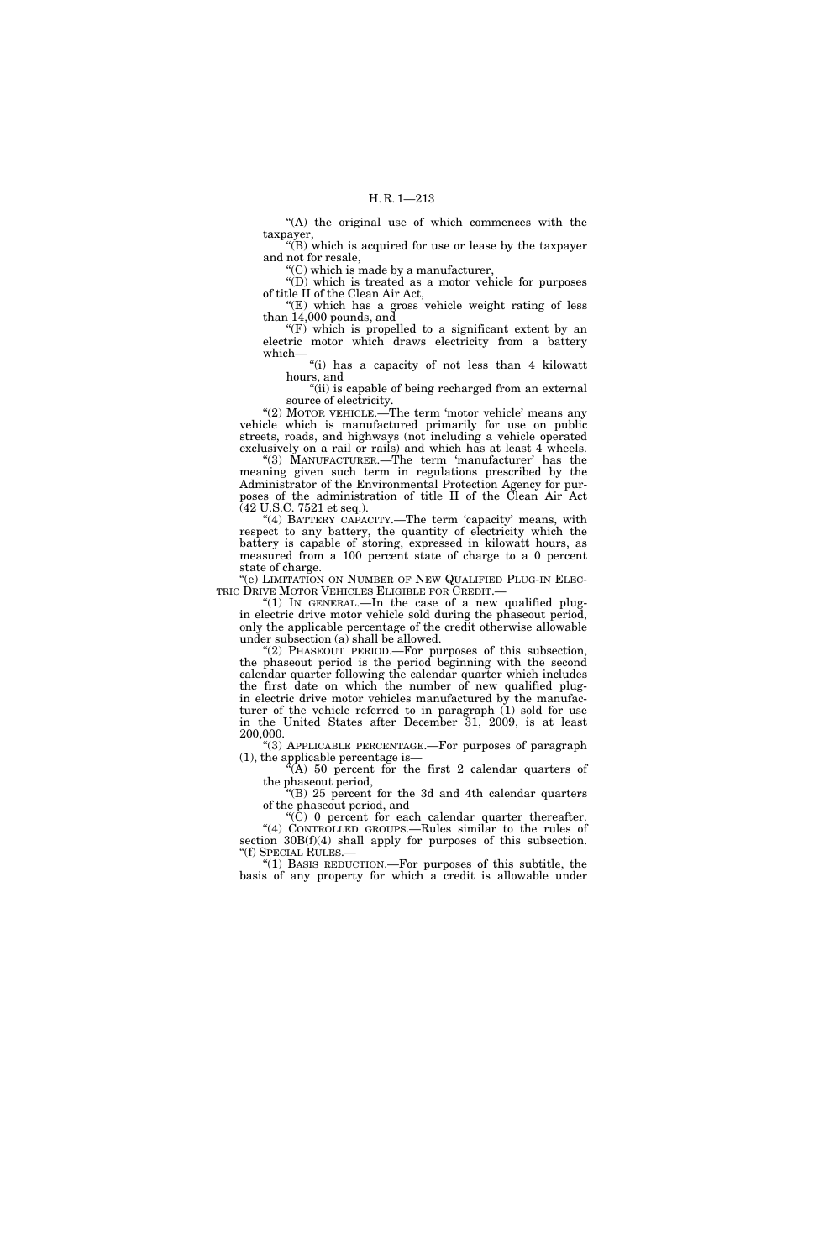"(A) the original use of which commences with the taxpayer,

"(B) which is acquired for use or lease by the taxpayer and not for resale,

''(C) which is made by a manufacturer,

''(D) which is treated as a motor vehicle for purposes of title II of the Clean Air Act,

''(E) which has a gross vehicle weight rating of less than 14,000 pounds, and

" $(F)$  which is propelled to a significant extent by an electric motor which draws electricity from a battery which—

''(i) has a capacity of not less than 4 kilowatt hours, and

"(ii) is capable of being recharged from an external source of electricity.

"(2) MOTOR VEHICLE.—The term 'motor vehicle' means any vehicle which is manufactured primarily for use on public streets, roads, and highways (not including a vehicle operated exclusively on a rail or rails) and which has at least 4 wheels.

"(3) MANUFACTURER.—The term 'manufacturer' has the meaning given such term in regulations prescribed by the Administrator of the Environmental Protection Agency for purposes of the administration of title II of the Clean Air Act (42 U.S.C. 7521 et seq.).

"(4) BATTERY CAPACITY.—The term 'capacity' means, with respect to any battery, the quantity of electricity which the battery is capable of storing, expressed in kilowatt hours, as measured from a 100 percent state of charge to a 0 percent state of charge.

''(e) LIMITATION ON NUMBER OF NEW QUALIFIED PLUG-IN ELEC-TRIC DRIVE MOTOR VEHICLES ELIGIBLE FOR CREDIT.—

"(1) In GENERAL.—In the case of a new qualified plugin electric drive motor vehicle sold during the phaseout period, only the applicable percentage of the credit otherwise allowable under subsection (a) shall be allowed.

"(2) PHASEOUT PERIOD.—For purposes of this subsection, the phaseout period is the period beginning with the second calendar quarter following the calendar quarter which includes the first date on which the number of new qualified plugin electric drive motor vehicles manufactured by the manufacturer of the vehicle referred to in paragraph (1) sold for use in the United States after December 31, 2009, is at least 200,000.

''(3) APPLICABLE PERCENTAGE.—For purposes of paragraph (1), the applicable percentage is—

 $\hat{A}$ ) 50 percent for the first 2 calendar quarters of the phaseout period,

''(B) 25 percent for the 3d and 4th calendar quarters of the phaseout period, and

''(C) 0 percent for each calendar quarter thereafter. ''(4) CONTROLLED GROUPS.—Rules similar to the rules of section  $30B(f)(4)$  shall apply for purposes of this subsection. ''(f) SPECIAL RULES.—

''(1) BASIS REDUCTION.—For purposes of this subtitle, the basis of any property for which a credit is allowable under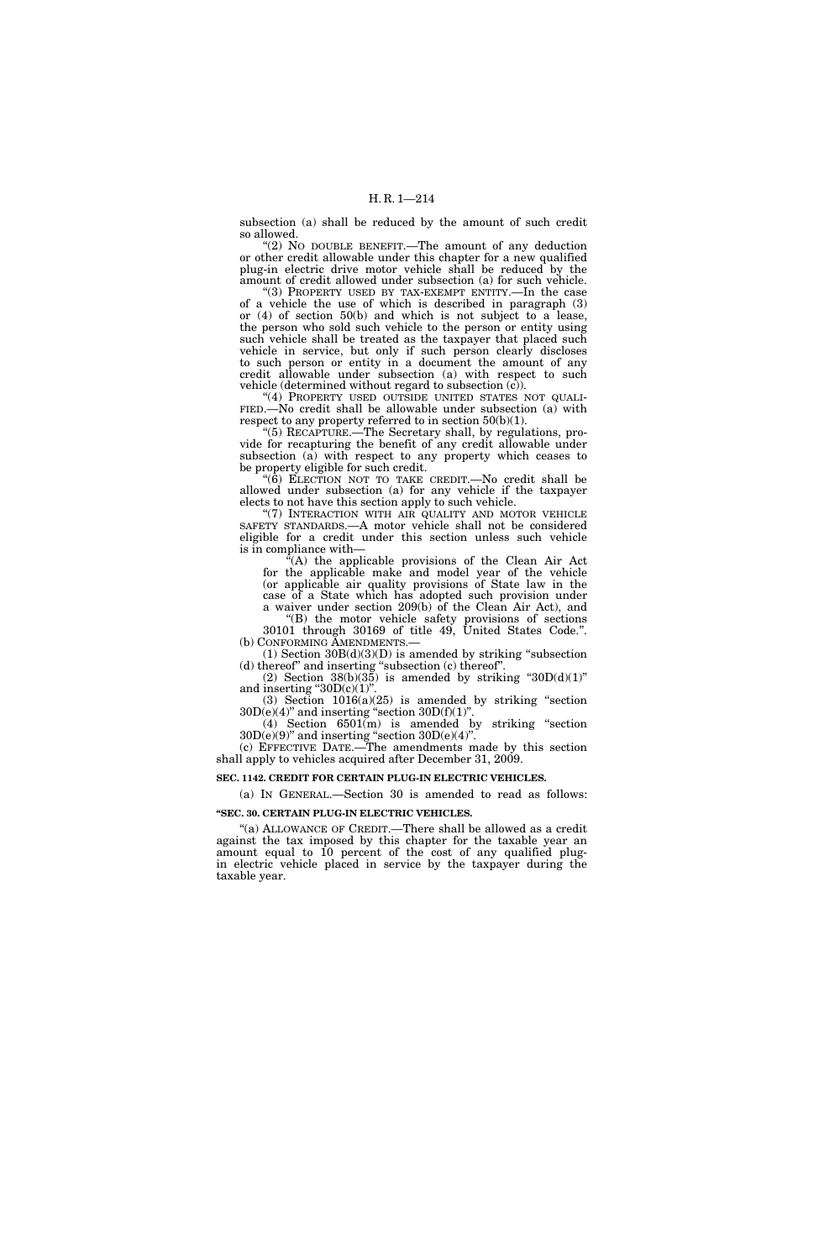subsection (a) shall be reduced by the amount of such credit so allowed.

" $(2)$  No DOUBLE BENEFIT.—The amount of any deduction or other credit allowable under this chapter for a new qualified plug-in electric drive motor vehicle shall be reduced by the amount of credit allowed under subsection (a) for such vehicle.

''(3) PROPERTY USED BY TAX-EXEMPT ENTITY.—In the case of a vehicle the use of which is described in paragraph (3) or (4) of section 50(b) and which is not subject to a lease, the person who sold such vehicle to the person or entity using such vehicle shall be treated as the taxpayer that placed such vehicle in service, but only if such person clearly discloses to such person or entity in a document the amount of any credit allowable under subsection (a) with respect to such vehicle (determined without regard to subsection  $(c)$ ).

"(4) PROPERTY USED OUTSIDE UNITED STATES NOT QUALI-FIED.—No credit shall be allowable under subsection (a) with respect to any property referred to in section 50(b)(1).

''(5) RECAPTURE.—The Secretary shall, by regulations, provide for recapturing the benefit of any credit allowable under subsection  $(a)$  with respect to any property which ceases to be property eligible for such credit.

''(6) ELECTION NOT TO TAKE CREDIT.—No credit shall be allowed under subsection (a) for any vehicle if the taxpayer elects to not have this section apply to such vehicle.

"(7) INTERACTION WITH AIR QUALITY AND MOTOR VEHICLE SAFETY STANDARDS.—A motor vehicle shall not be considered eligible for a credit under this section unless such vehicle is in compliance with—

 $F(A)$  the applicable provisions of the Clean Air Act for the applicable make and model year of the vehicle (or applicable air quality provisions of State law in the case of a State which has adopted such provision under a waiver under section 209(b) of the Clean Air Act), and

''(B) the motor vehicle safety provisions of sections 30101 through 30169 of title 49, United States Code.''.

(b) CONFORMING AMENDMENTS.—<br>(1) Section  $30B(d)(3)(D)$  is amended by striking "subsection" (d) thereof'' and inserting ''subsection (c) thereof''.

(2) Section  $38(b)(35)$  is amended by striking " $30D(d)(1)$ " and inserting " $30D(c)(1)$ ".

 $(3)$  Section  $1016(a)(25)$  is amended by striking "section  $30D(e)(4)$ " and inserting "section  $30D(f)(1)$ ". (4) Section  $6501(m)$  is amended by striking "section

 $30D(e)(9)$ " and inserting "section  $30D(e)(4)$ ". (c) EFFECTIVE DATE.—The amendments made by this section

shall apply to vehicles acquired after December 31, 2009.

### **SEC. 1142. CREDIT FOR CERTAIN PLUG-IN ELECTRIC VEHICLES.**

(a) IN GENERAL.—Section 30 is amended to read as follows:

### **''SEC. 30. CERTAIN PLUG-IN ELECTRIC VEHICLES.**

"(a) ALLOWANCE OF CREDIT.—There shall be allowed as a credit against the tax imposed by this chapter for the taxable year an amount equal to 10 percent of the cost of any qualified plugin electric vehicle placed in service by the taxpayer during the taxable year.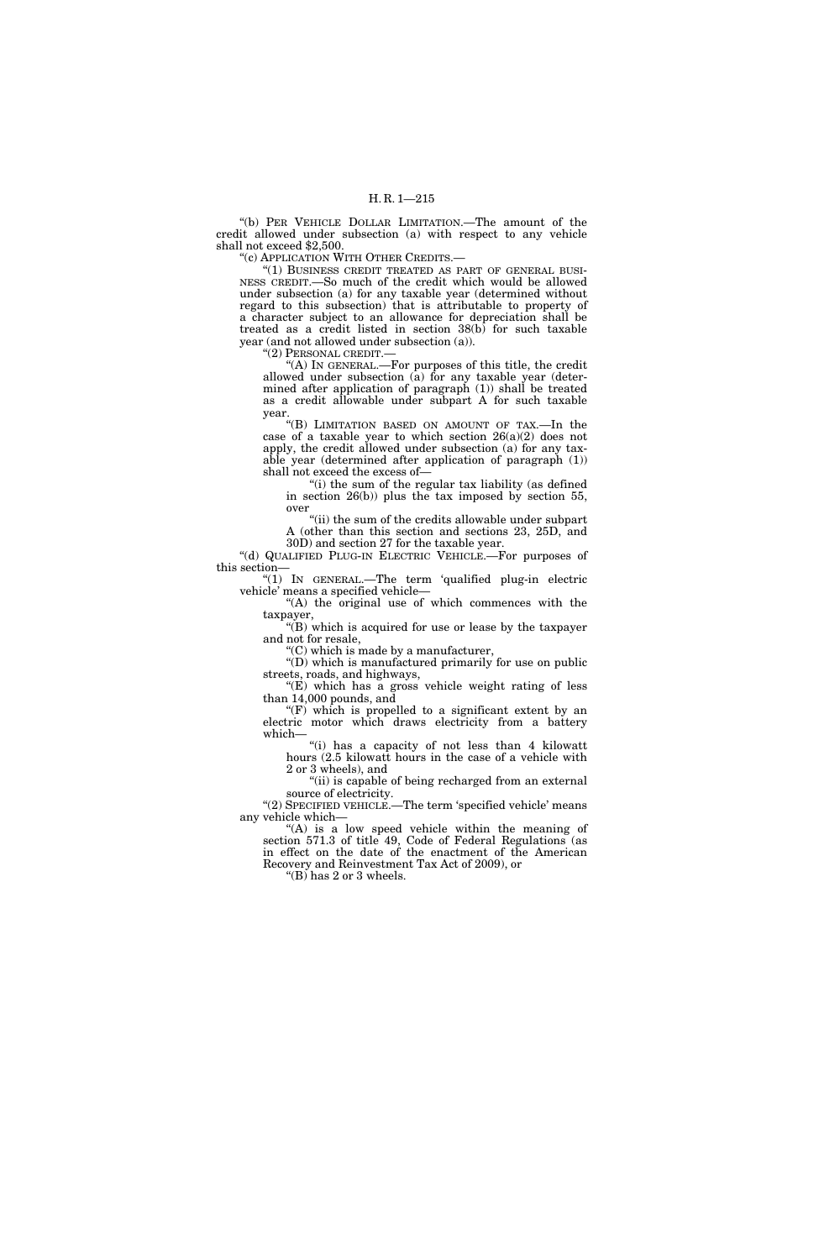''(b) PER VEHICLE DOLLAR LIMITATION.—The amount of the credit allowed under subsection (a) with respect to any vehicle shall not exceed \$2,500.

''(c) APPLICATION WITH OTHER CREDITS.—

"(1) BUSINESS CREDIT TREATED AS PART OF GENERAL BUSI-NESS CREDIT.—So much of the credit which would be allowed under subsection (a) for any taxable year (determined without regard to this subsection) that is attributable to property of a character subject to an allowance for depreciation shall be treated as a credit listed in section 38(b) for such taxable year (and not allowed under subsection (a)).

''(2) PERSONAL CREDIT.—

''(A) IN GENERAL.—For purposes of this title, the credit allowed under subsection (a) for any taxable year (determined after application of paragraph (1)) shall be treated as a credit allowable under subpart A for such taxable year.

''(B) LIMITATION BASED ON AMOUNT OF TAX.—In the case of a taxable year to which section  $26(a)(2)$  does not apply, the credit allowed under subsection (a) for any taxable year (determined after application of paragraph (1)) shall not exceed the excess of—

"(i) the sum of the regular tax liability (as defined in section 26(b)) plus the tax imposed by section 55, over

"(ii) the sum of the credits allowable under subpart A (other than this section and sections 23, 25D, and 30D) and section 27 for the taxable year.

''(d) QUALIFIED PLUG-IN ELECTRIC VEHICLE.—For purposes of this section—

''(1) IN GENERAL.—The term 'qualified plug-in electric vehicle' means a specified vehicle—

"(A) the original use of which commences with the taxpayer,

''(B) which is acquired for use or lease by the taxpayer and not for resale,

 $C$ ) which is made by a manufacturer, ''(D) which is manufactured primarily for use on public

streets, roads, and highways, ''(E) which has a gross vehicle weight rating of less than 14,000 pounds, and

"(F) which is propelled to a significant extent by an electric motor which draws electricity from a battery which—

''(i) has a capacity of not less than 4 kilowatt hours (2.5 kilowatt hours in the case of a vehicle with 2 or 3 wheels), and

"(ii) is capable of being recharged from an external source of electricity.

"(2) SPECIFIED VEHICLE.—The term 'specified vehicle' means any vehicle which—

"(A) is a low speed vehicle within the meaning of section 571.3 of title 49, Code of Federal Regulations (as in effect on the date of the enactment of the American Recovery and Reinvestment Tax Act of 2009), or

" $(B)$  has 2 or 3 wheels.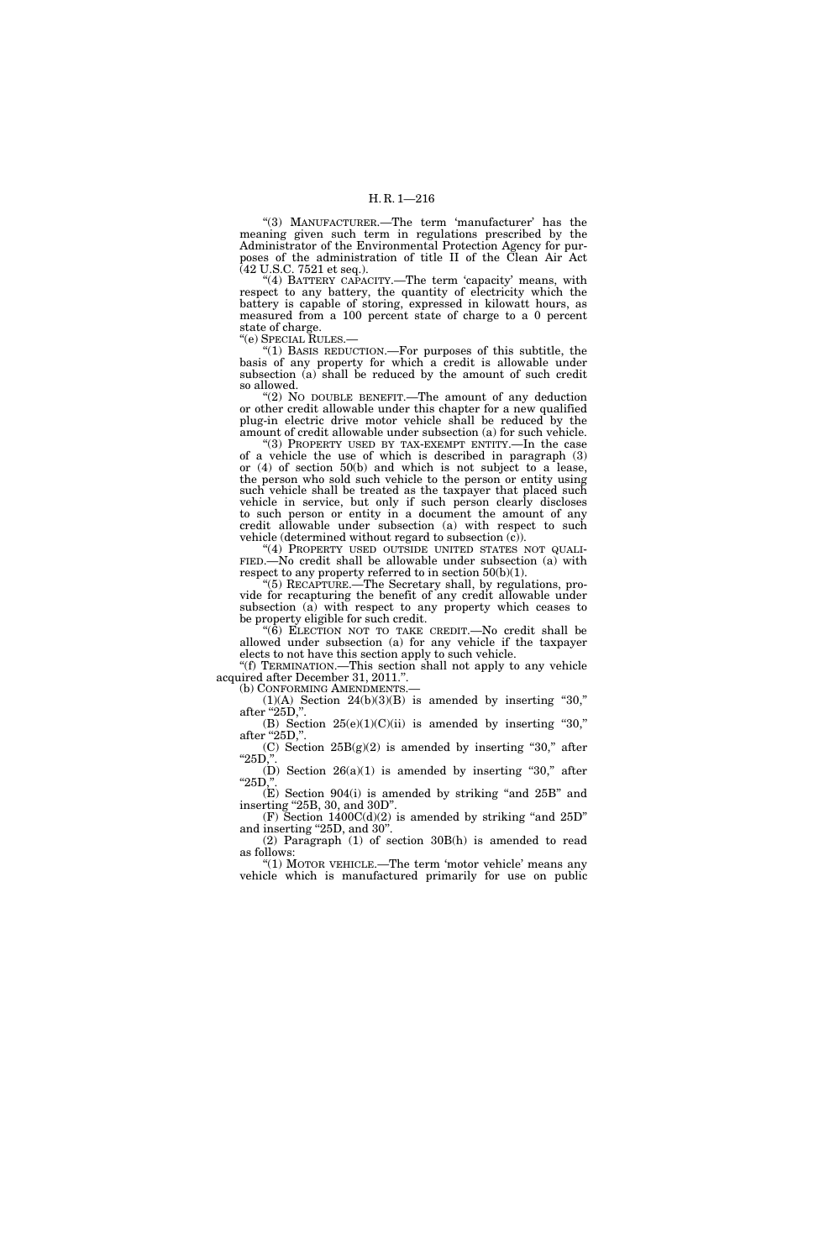"(3) MANUFACTURER.—The term 'manufacturer' has the meaning given such term in regulations prescribed by the Administrator of the Environmental Protection Agency for purposes of the administration of title II of the Clean Air Act (42 U.S.C. 7521 et seq.).

"(4) BATTERY CAPACITY.—The term 'capacity' means, with respect to any battery, the quantity of electricity which the battery is capable of storing, expressed in kilowatt hours, as measured from a 100 percent state of charge to a 0 percent state of charge.<br>"(e) SPECIAL RULES.—

''(e) SPECIAL RULES.— ''(1) BASIS REDUCTION.—For purposes of this subtitle, the basis of any property for which a credit is allowable under subsection (a) shall be reduced by the amount of such credit so allowed.

"(2) No DOUBLE BENEFIT.—The amount of any deduction or other credit allowable under this chapter for a new qualified plug-in electric drive motor vehicle shall be reduced by the amount of credit allowable under subsection (a) for such vehicle.

''(3) PROPERTY USED BY TAX-EXEMPT ENTITY.—In the case of a vehicle the use of which is described in paragraph (3) or (4) of section 50(b) and which is not subject to a lease, the person who sold such vehicle to the person or entity using such vehicle shall be treated as the taxpayer that placed such vehicle in service, but only if such person clearly discloses to such person or entity in a document the amount of any credit allowable under subsection (a) with respect to such vehicle (determined without regard to subsection  $(c)$ ).<br>"(4) PROPERTY USED OUTSIDE UNITED STATES NOT QUALI-

FIED.—No credit shall be allowable under subsection (a) with respect to any property referred to in section  $50(b)(1)$ .

''(5) RECAPTURE.—The Secretary shall, by regulations, provide for recapturing the benefit of any credit allowable under subsection (a) with respect to any property which ceases to be property eligible for such credit.

" $(6)$  ELECTION NOT TO TAKE CREDIT.—No credit shall be allowed under subsection (a) for any vehicle if the taxpayer elects to not have this section apply to such vehicle.

''(f) TERMINATION.—This section shall not apply to any vehicle acquired after December 31, 2011.''. (b) CONFORMING AMENDMENTS.—

 $(1)(A)$  Section  $24(b)(3)(B)$  is amended by inserting "30," after "25D,"

(B) Section  $25(e)(1)(C)(ii)$  is amended by inserting "30," after "25D,"

(C) Section  $25B(g)(2)$  is amended by inserting "30," after  $"25D,"$ 

(D) Section  $26(a)(1)$  is amended by inserting "30," after " $25D$ ,"

(E) Section 904(i) is amended by striking ''and 25B'' and inserting "25B, 30, and 30D".

 $(F)$  Section 1400 $C(d)(2)$  is amended by striking "and 25D" and inserting "25D, and 30". (2) Paragraph (1) of section 30B(h) is amended to read

follows: "(1) MOTOR VEHICLE.—The term 'motor vehicle' means any

vehicle which is manufactured primarily for use on public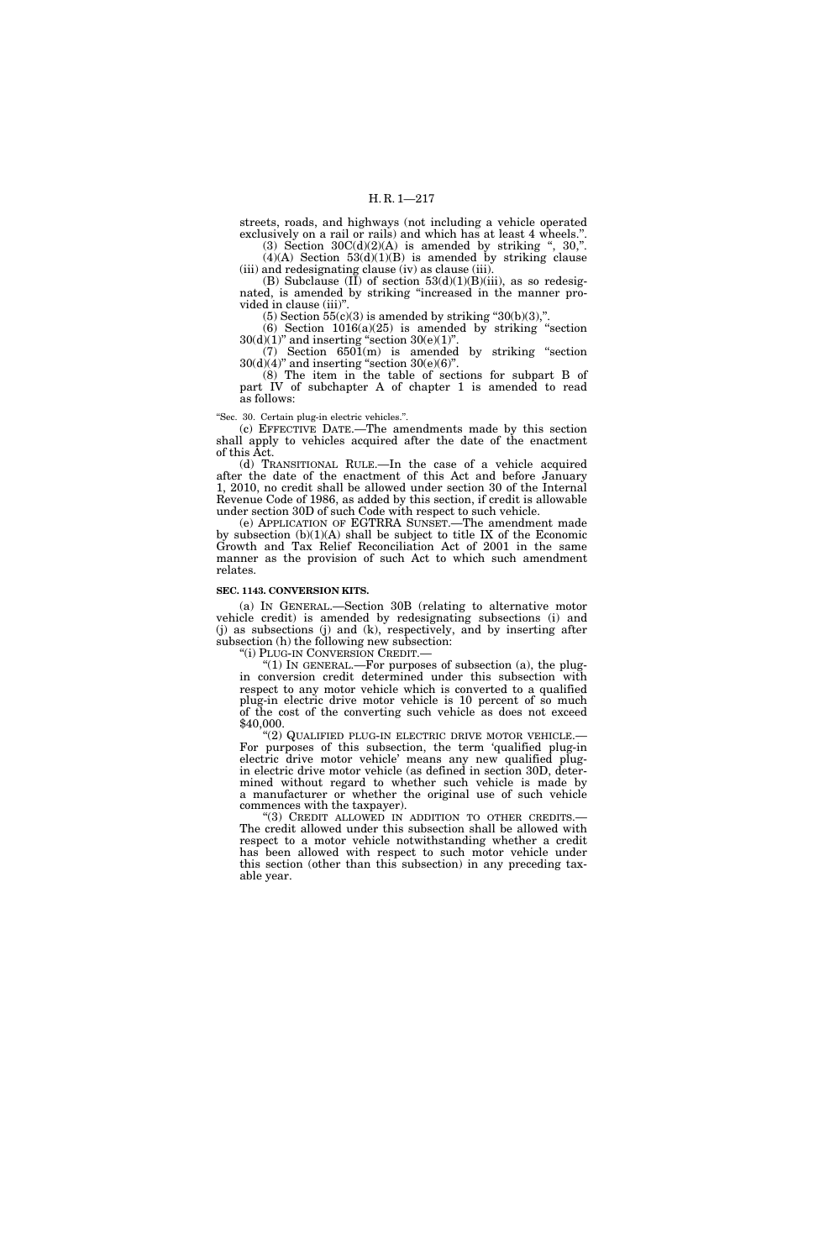streets, roads, and highways (not including a vehicle operated exclusively on a rail or rails) and which has at least 4 wheels.''.

(3) Section  $30C(d)(2)(A)$  is amended by striking ", 30,".  $(4)(A)$  Section  $53(d)(1)(B)$  is amended by striking clause (iii) and redesignating clause (iv) as clause (iii).

(B) Subclause (II) of section  $53(d)(1)(B)(iii)$ , as so redesignated, is amended by striking ''increased in the manner provided in clause (iii)''.

(5) Section  $55(c)(3)$  is amended by striking "30(b)(3),".

 $(6)$  Section  $1016(a)(25)$  is amended by striking "section  $30(d)(1)$ " and inserting "section  $30(e)(1)$ ".

(7) Section  $6501(m)$  is amended by striking "section  $30(d)(4)$ " and inserting "section  $30(e)(6)$ ".

(8) The item in the table of sections for subpart B of part IV of subchapter A of chapter 1 is amended to read as follows:

''Sec. 30. Certain plug-in electric vehicles.''.

(c) EFFECTIVE DATE.—The amendments made by this section shall apply to vehicles acquired after the date of the enactment of this Act.

(d) TRANSITIONAL RULE.—In the case of a vehicle acquired after the date of the enactment of this Act and before January 1, 2010, no credit shall be allowed under section 30 of the Internal Revenue Code of 1986, as added by this section, if credit is allowable under section 30D of such Code with respect to such vehicle.

(e) APPLICATION OF EGTRRA SUNSET.—The amendment made by subsection  $(b)(1)(A)$  shall be subject to title IX of the Economic Growth and Tax Relief Reconciliation Act of 2001 in the same manner as the provision of such Act to which such amendment relates.

#### **SEC. 1143. CONVERSION KITS.**

(a) IN GENERAL.—Section 30B (relating to alternative motor vehicle credit) is amended by redesignating subsections (i) and (j) as subsections (j) and (k), respectively, and by inserting after subsection (h) the following new subsection:

''(i) PLUG-IN CONVERSION CREDIT.—

''(1) IN GENERAL.—For purposes of subsection (a), the plugin conversion credit determined under this subsection with respect to any motor vehicle which is converted to a qualified plug-in electric drive motor vehicle is 10 percent of so much of the cost of the converting such vehicle as does not exceed \$40,000.

"(2) QUALIFIED PLUG-IN ELECTRIC DRIVE MOTOR VEHICLE.-For purposes of this subsection, the term 'qualified plug-in electric drive motor vehicle' means any new qualified plugin electric drive motor vehicle (as defined in section 30D, determined without regard to whether such vehicle is made by a manufacturer or whether the original use of such vehicle commences with the taxpayer).

"(3) CREDIT ALLOWED IN ADDITION TO OTHER CREDITS.— The credit allowed under this subsection shall be allowed with respect to a motor vehicle notwithstanding whether a credit has been allowed with respect to such motor vehicle under this section (other than this subsection) in any preceding taxable year.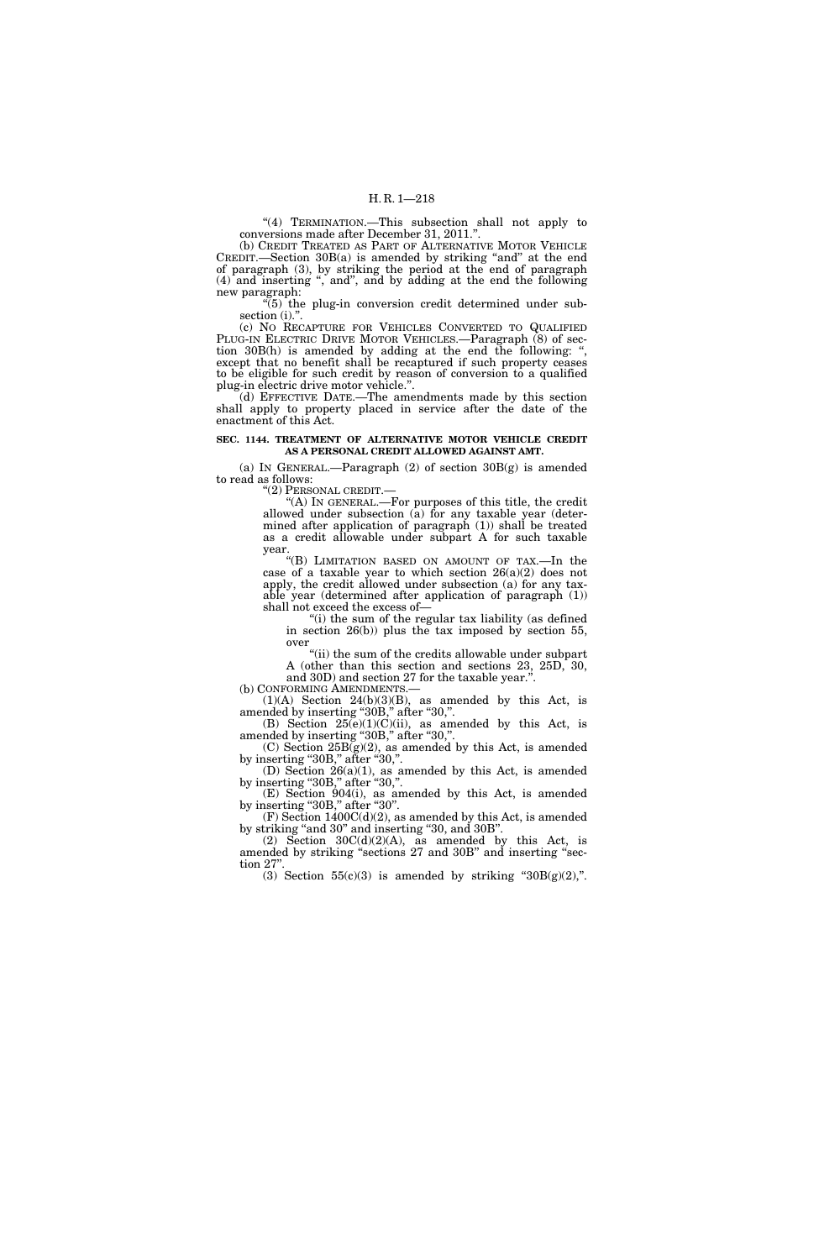"(4) TERMINATION.—This subsection shall not apply to conversions made after December 31, 2011.''.

(b) CREDIT TREATED AS PART OF ALTERNATIVE MOTOR VEHICLE CREDIT.—Section 30B(a) is amended by striking "and" at the end of paragraph (3), by striking the period at the end of paragraph (4) and inserting '', and'', and by adding at the end the following new paragraph:

 $\sqrt[4]{(5)}$  the plug-in conversion credit determined under subsection (i).".

(c) NO RECAPTURE FOR VEHICLES CONVERTED TO QUALIFIED PLUG-IN ELECTRIC DRIVE MOTOR VEHICLES.—Paragraph (8) of section 30B(h) is amended by adding at the end the following: except that no benefit shall be recaptured if such property ceases to be eligible for such credit by reason of conversion to a qualified plug-in electric drive motor vehicle.''.

(d) EFFECTIVE DATE.—The amendments made by this section shall apply to property placed in service after the date of the enactment of this Act.

## **SEC. 1144. TREATMENT OF ALTERNATIVE MOTOR VEHICLE CREDIT AS A PERSONAL CREDIT ALLOWED AGAINST AMT.**

(a) IN GENERAL.—Paragraph  $(2)$  of section  $30B(g)$  is amended to read as follows:

''(2) PERSONAL CREDIT.—

''(A) IN GENERAL.—For purposes of this title, the credit allowed under subsection (a) for any taxable year (determined after application of paragraph (1)) shall be treated as a credit allowable under subpart A for such taxable year.

''(B) LIMITATION BASED ON AMOUNT OF TAX.—In the case of a taxable year to which section  $26(a)(2)$  does not apply, the credit allowed under subsection (a) for any taxable year (determined after application of paragraph (1)) shall not exceed the excess of—

"(i) the sum of the regular tax liability (as defined in section 26(b)) plus the tax imposed by section 55, over

"(ii) the sum of the credits allowable under subpart A (other than this section and sections  $23$ ,  $25D$ ,  $30$ , and 30D) and section 27 for the taxable year.'

(b) CONFORMING AMENDMENTS.—<br>(1)(A) Section 24(b)(3)(B), as amended by this Act, is  $(1)(A)$  Section  $24(b)(3)(B)$ , as amended by this Act, is

amended by inserting "30B," after "30,". (B) Section  $25(e)(1)(C)(ii)$ , as amended by this Act, is

amended by inserting "30B," after "30,".  $(C)$  Section  $25B(g)(2)$ , as amended by this Act, is amended by inserting "30B," after "30,".

(D) Section 26(a)(1), as amended by this Act, is amended by inserting "30B," after "30,".

(E) Section 904(i), as amended by this Act, is amended by inserting "30B," after "30".

(F) Section 1400C(d)(2), as amended by this Act, is amended by striking "and 30" and inserting "30, and 30B".

(2) Section  $30C(d)(2)(A)$ , as amended by this Act, is amended by striking "sections 27 and 30B" and inserting "section 27"

(3) Section  $55(c)(3)$  is amended by striking " $30B(g)(2)$ ,".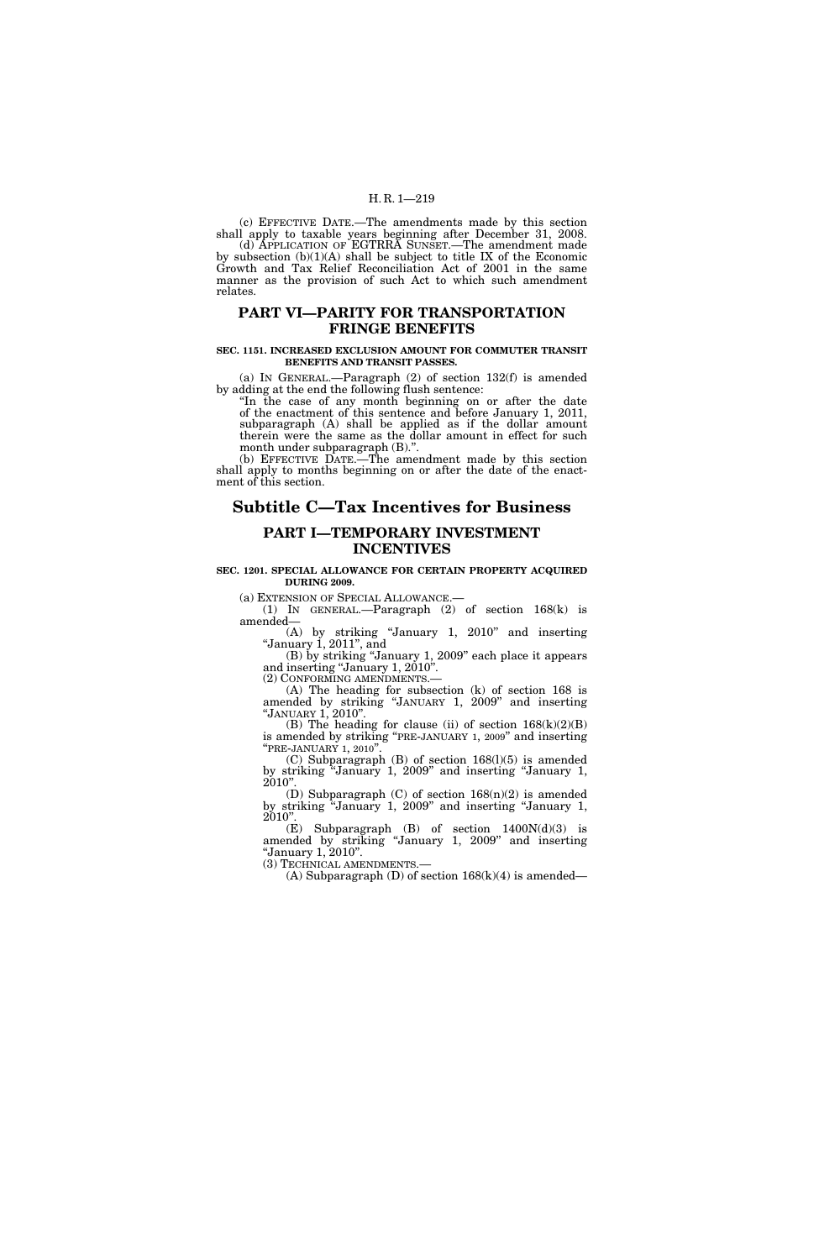(c) EFFECTIVE DATE.—The amendments made by this section shall apply to taxable years beginning after December 31, 2008.

(d) APPLICATION OF EGTRRA SUNSET.—The amendment made by subsection (b)(1)(A) shall be subject to title IX of the Economic Growth and Tax Relief Reconciliation Act of 2001 in the same manner as the provision of such Act to which such amendment relates.

## **PART VI—PARITY FOR TRANSPORTATION FRINGE BENEFITS**

## **SEC. 1151. INCREASED EXCLUSION AMOUNT FOR COMMUTER TRANSIT BENEFITS AND TRANSIT PASSES.**

(a) IN GENERAL.—Paragraph (2) of section 132(f) is amended by adding at the end the following flush sentence:

''In the case of any month beginning on or after the date of the enactment of this sentence and before January 1, 2011, subparagraph (A) shall be applied as if the dollar amount therein were the same as the dollar amount in effect for such month under subparagraph (B).''.

(b) EFFECTIVE DATE.—The amendment made by this section shall apply to months beginning on or after the date of the enactment of this section.

# **Subtitle C—Tax Incentives for Business**

## **PART I—TEMPORARY INVESTMENT INCENTIVES**

## **SEC. 1201. SPECIAL ALLOWANCE FOR CERTAIN PROPERTY ACQUIRED DURING 2009.**

(a) EXTENSION OF SPECIAL ALLOWANCE.—<br>
(1) IN GENERAL.—Paragraph (2) of section  $168(k)$  is amended—

(A) by striking ''January 1, 2010'' and inserting ''January 1, 2011'', and

(B) by striking ''January 1, 2009'' each place it appears and inserting ''January 1, 2010''.

(2) CONFORMING AMENDMENTS.— (A) The heading for subsection (k) of section 168 is amended by striking ''JANUARY 1, 2009'' and inserting ''JANUARY 1, 2010''.

(B) The heading for clause (ii) of section  $168(k)(2)(B)$ is amended by striking "PRE-JANUARY 1, 2009" and inserting "PRE-JANUARY 1, 2010".

(C) Subparagraph (B) of section 168(l)(5) is amended by striking ''January 1, 2009'' and inserting ''January 1, 2010''.

(D) Subparagraph (C) of section 168(n)(2) is amended by striking ''January 1, 2009'' and inserting ''January 1, 2010''.

(E) Subparagraph (B) of section  $1400N(d)(3)$  is amended by striking ''January 1, 2009'' and inserting ''January 1, 2010''. (3) TECHNICAL AMENDMENTS.—

(A) Subparagraph (D) of section  $168(k)(4)$  is amended—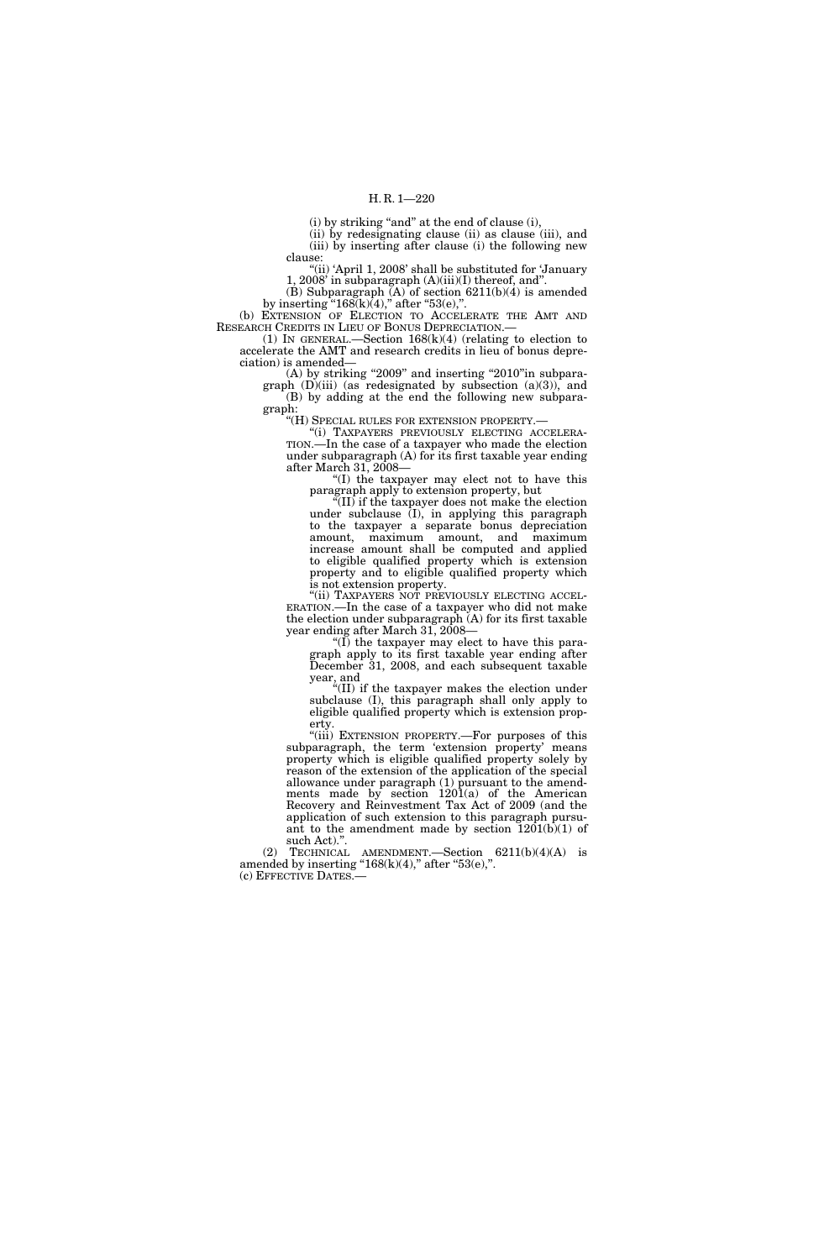(i) by striking "and" at the end of clause (i),

(ii) by redesignating clause (ii) as clause (iii), and (iii) by inserting after clause (i) the following new clause:

"(ii) 'April 1, 2008' shall be substituted for 'January 1, 2008' in subparagraph  $(A)(iii)(I)$  thereof, and".

(B) Subparagraph (A) of section 6211(b)(4) is amended by inserting " $168(k)(4)$ ," after " $53(e)$ ,".

(b) EXTENSION OF ELECTION TO ACCELERATE THE AMT AND RESEARCH CREDITS IN LIEU OF BONUS DEPRECIATION.—

(1) IN GENERAL.—Section  $168(k)(4)$  (relating to election to accelerate the AMT and research credits in lieu of bonus depreciation) is amended—

 $(A)$  by striking "2009" and inserting "2010"in subpara-

graph  $(D)(iii)$  (as redesignated by subsection  $(a)(3)$ ), and (B) by adding at the end the following new subparagraph:

''(H) SPECIAL RULES FOR EXTENSION PROPERTY.—

''(i) TAXPAYERS PREVIOUSLY ELECTING ACCELERA-TION.—In the case of a taxpayer who made the election under subparagraph (A) for its first taxable year ending after March 31, 2008—

''(I) the taxpayer may elect not to have this paragraph apply to extension property, but

''(II) if the taxpayer does not make the election under subclause (I), in applying this paragraph to the taxpayer a separate bonus depreciation amount, maximum amount, and maximum increase amount shall be computed and applied to eligible qualified property which is extension property and to eligible qualified property which is not extension property.<br>"(ii) TAXPAYERS NOT PREVIOUSLY ELECTING ACCEL-

ERATION.—In the case of a taxpayer who did not make the election under subparagraph (A) for its first taxable year ending after March 31, 2008—

" $(I)$  the taxpayer may elect to have this paragraph apply to its first taxable year ending after December 31, 2008, and each subsequent taxable year, and

''(II) if the taxpayer makes the election under subclause (I), this paragraph shall only apply to eligible qualified property which is extension property.

''(iii) EXTENSION PROPERTY.—For purposes of this subparagraph, the term 'extension property' means property which is eligible qualified property solely by reason of the extension of the application of the special allowance under paragraph (1) pursuant to the amendments made by section 1201(a) of the American Recovery and Reinvestment Tax Act of 2009 (and the application of such extension to this paragraph pursuant to the amendment made by section  $1201(b)(1)$  of such Act).''.

(2) TECHNICAL AMENDMENT.—Section 6211(b)(4)(A) is amended by inserting " $168(k)(4)$ ," after " $53(e)$ ,". (c) EFFECTIVE DATES.—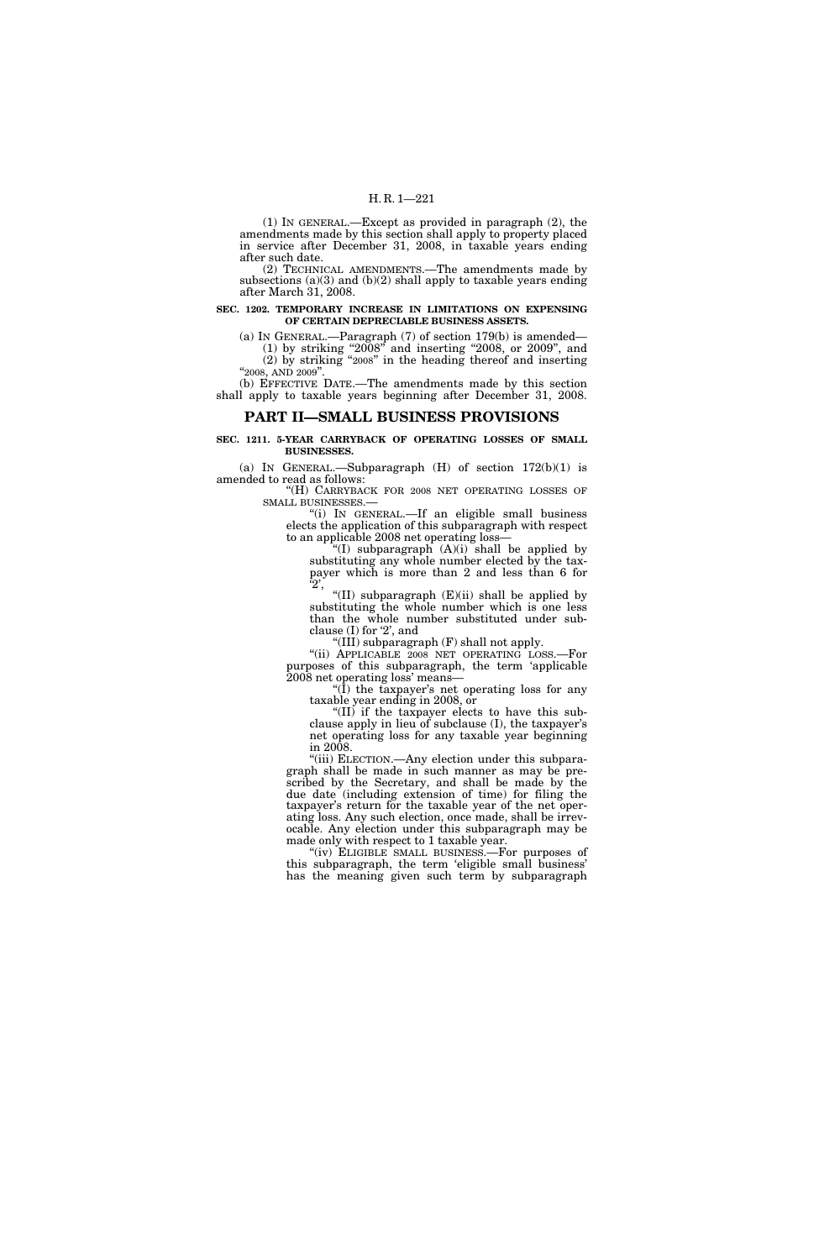(1) IN GENERAL.—Except as provided in paragraph (2), the amendments made by this section shall apply to property placed in service after December 31, 2008, in taxable years ending after such date.

(2) TECHNICAL AMENDMENTS.—The amendments made by subsections (a)(3) and (b)(2) shall apply to taxable years ending after March 31, 2008.

### **SEC. 1202. TEMPORARY INCREASE IN LIMITATIONS ON EXPENSING OF CERTAIN DEPRECIABLE BUSINESS ASSETS.**

(a) IN GENERAL.—Paragraph (7) of section 179(b) is amended— (1) by striking ''2008'' and inserting ''2008, or 2009'', and (2) by striking ''2008'' in the heading thereof and inserting "2008, AND 2009".

(b) EFFECTIVE DATE.—The amendments made by this section shall apply to taxable years beginning after December 31, 2008.

## **PART II—SMALL BUSINESS PROVISIONS**

**SEC. 1211. 5-YEAR CARRYBACK OF OPERATING LOSSES OF SMALL BUSINESSES.** 

(a) IN GENERAL.—Subparagraph  $(H)$  of section  $172(b)(1)$  is amended to read as follows:

''(H) CARRYBACK FOR 2008 NET OPERATING LOSSES OF SMALL BUSINESSES.—

''(i) IN GENERAL.—If an eligible small business elects the application of this subparagraph with respect to an applicable 2008 net operating loss—

"(I) subparagraph  $(A)(i)$  shall be applied by substituting any whole number elected by the taxpayer which is more than 2 and less than 6 for '2',

"(II) subparagraph  $(E)(ii)$  shall be applied by substituting the whole number which is one less than the whole number substituted under subclause (I) for '2', and

''(III) subparagraph (F) shall not apply.

''(ii) APPLICABLE 2008 NET OPERATING LOSS.—For purposes of this subparagraph, the term 'applicable 2008 net operating loss' means—

" $(1)$  the taxpayer's net operating loss for any taxable year ending in 2008, or

"(II) if the taxpayer elects to have this subclause apply in lieu of subclause (I), the taxpayer's net operating loss for any taxable year beginning in 2008.

"(iii) ELECTION.—Any election under this subparagraph shall be made in such manner as may be prescribed by the Secretary, and shall be made by the due date (including extension of time) for filing the taxpayer's return for the taxable year of the net operating loss. Any such election, once made, shall be irrevocable. Any election under this subparagraph may be made only with respect to 1 taxable year.

''(iv) ELIGIBLE SMALL BUSINESS.—For purposes of this subparagraph, the term 'eligible small business' has the meaning given such term by subparagraph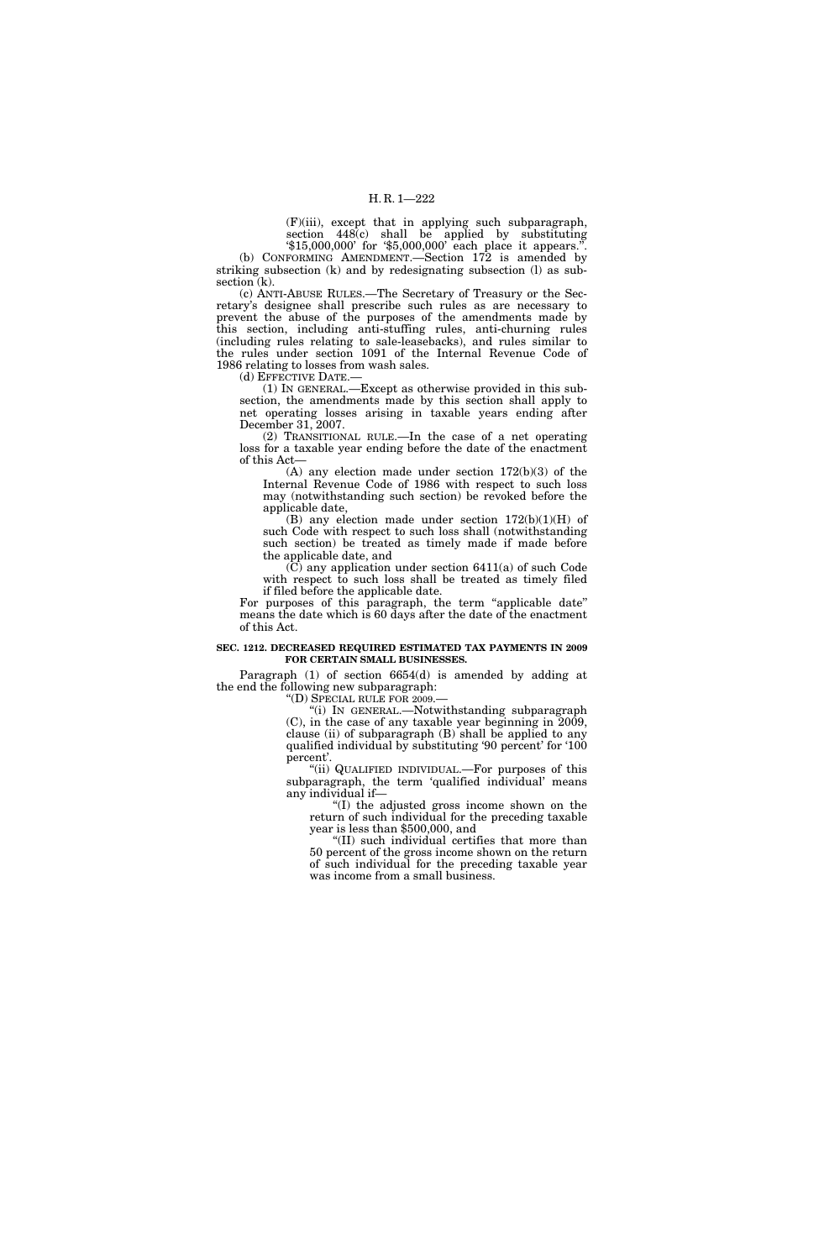(F)(iii), except that in applying such subparagraph, section  $448(c)$  shall be applied by substituting

'\$15,000,000' for '\$5,000,000' each place it appears.''. (b) CONFORMING AMENDMENT.—Section 172 is amended by striking subsection (k) and by redesignating subsection (l) as subsection (k).

(c) ANTI-ABUSE RULES.—The Secretary of Treasury or the Secretary's designee shall prescribe such rules as are necessary to prevent the abuse of the purposes of the amendments made by this section, including anti-stuffing rules, anti-churning rules (including rules relating to sale-leasebacks), and rules similar to the rules under section 1091 of the Internal Revenue Code of 1986 relating to losses from wash sales.

(d) EFFECTIVE DATE.—

(1) IN GENERAL.—Except as otherwise provided in this subsection, the amendments made by this section shall apply to net operating losses arising in taxable years ending after December 31, 2007.

(2) TRANSITIONAL RULE.—In the case of a net operating loss for a taxable year ending before the date of the enactment of this Act—

(A) any election made under section 172(b)(3) of the Internal Revenue Code of 1986 with respect to such loss may (notwithstanding such section) be revoked before the applicable date,

(B) any election made under section  $172(b)(1)(H)$  of such Code with respect to such loss shall (notwithstanding such section) be treated as timely made if made before the applicable date, and

(C) any application under section 6411(a) of such Code with respect to such loss shall be treated as timely filed if filed before the applicable date.

For purposes of this paragraph, the term "applicable date" means the date which is 60 days after the date of the enactment of this Act.

## **SEC. 1212. DECREASED REQUIRED ESTIMATED TAX PAYMENTS IN 2009 FOR CERTAIN SMALL BUSINESSES.**

Paragraph (1) of section 6654(d) is amended by adding at the end the following new subparagraph:

''(D) SPECIAL RULE FOR 2009.—

''(i) IN GENERAL.—Notwithstanding subparagraph (C), in the case of any taxable year beginning in 2009, clause (ii) of subparagraph (B) shall be applied to any qualified individual by substituting '90 percent' for '100 percent'.

''(ii) QUALIFIED INDIVIDUAL.—For purposes of this subparagraph, the term 'qualified individual' means any individual if—

''(I) the adjusted gross income shown on the return of such individual for the preceding taxable year is less than \$500,000, and

''(II) such individual certifies that more than 50 percent of the gross income shown on the return of such individual for the preceding taxable year was income from a small business.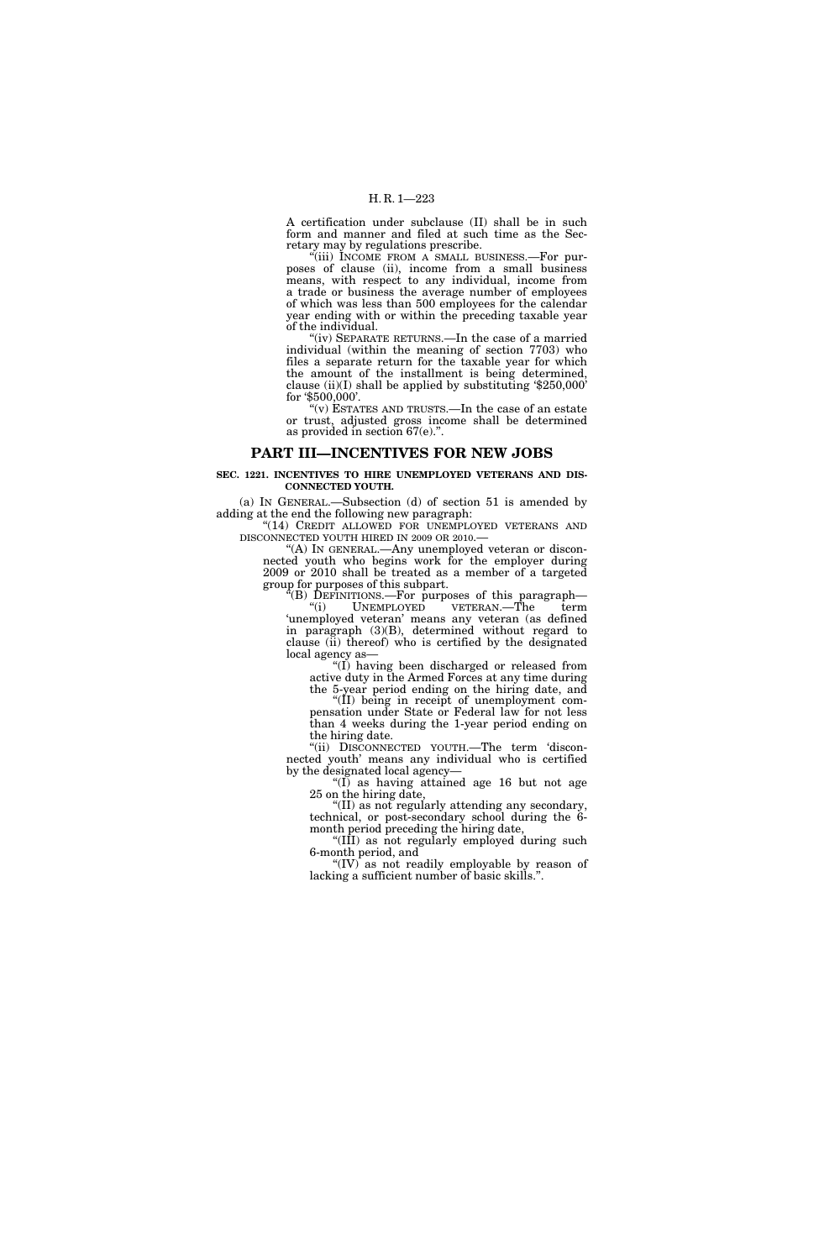A certification under subclause (II) shall be in such form and manner and filed at such time as the Secretary may by regulations prescribe.

''(iii) INCOME FROM A SMALL BUSINESS.—For purposes of clause (ii), income from a small business means, with respect to any individual, income from a trade or business the average number of employees of which was less than 500 employees for the calendar year ending with or within the preceding taxable year of the individual.

"(iv) SEPARATE RETURNS.—In the case of a married individual (within the meaning of section 7703) who files a separate return for the taxable year for which the amount of the installment is being determined, clause (ii)(I) shall be applied by substituting '\$250,000' for '\$500,000'.

 $\mathcal{L}(v)$  ESTATES AND TRUSTS.—In the case of an estate or trust, adjusted gross income shall be determined as provided in section 67(e).''.

## **PART III—INCENTIVES FOR NEW JOBS**

## **SEC. 1221. INCENTIVES TO HIRE UNEMPLOYED VETERANS AND DIS-CONNECTED YOUTH.**

(a) IN GENERAL.—Subsection (d) of section 51 is amended by adding at the end the following new paragraph:

"(14) CREDIT ALLOWED FOR UNEMPLOYED VETERANS AND DISCONNECTED YOUTH HIRED IN 2009 OR 2010.—

''(A) IN GENERAL.—Any unemployed veteran or disconnected youth who begins work for the employer during 2009 or 2010 shall be treated as a member of a targeted group for purposes of this subpart.

 $E(E)$  DEFINITIONS.—For purposes of this paragraph— "(i) UNEMPLOYED VETERAN.—The term 'unemployed veteran' means any veteran (as defined in paragraph (3)(B), determined without regard to clause (ii) thereof) who is certified by the designated local agency as—

''(I) having been discharged or released from active duty in the Armed Forces at any time during

the 5-year period ending on the hiring date, and "(II) being in receipt of unemployment compensation under State or Federal law for not less than 4 weeks during the 1-year period ending on

the hiring date. ''(ii) DISCONNECTED YOUTH.—The term 'disconnected youth' means any individual who is certified by the designated local agency—

''(I) as having attained age 16 but not age 25 on the hiring date,

''(II) as not regularly attending any secondary, technical, or post-secondary school during the 6 month period preceding the hiring date,

''(III) as not regularly employed during such 6-month period, and

"(IV) as not readily employable by reason of lacking a sufficient number of basic skills.''.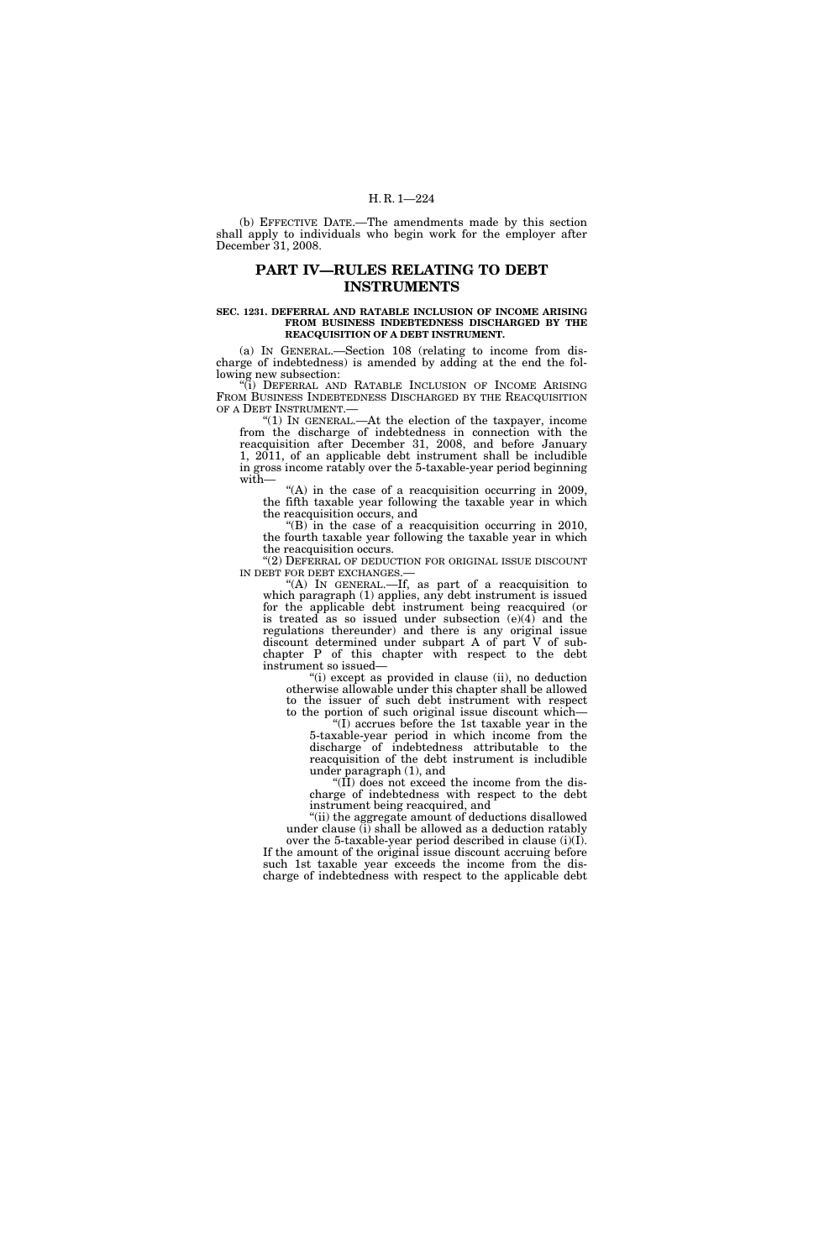(b) EFFECTIVE DATE.—The amendments made by this section shall apply to individuals who begin work for the employer after December 31, 2008.

## **PART IV—RULES RELATING TO DEBT INSTRUMENTS**

#### **SEC. 1231. DEFERRAL AND RATABLE INCLUSION OF INCOME ARISING FROM BUSINESS INDEBTEDNESS DISCHARGED BY THE REACQUISITION OF A DEBT INSTRUMENT.**

(a) IN GENERAL.—Section 108 (relating to income from discharge of indebtedness) is amended by adding at the end the following new subsection:

'(i) DEFERRAL AND RATABLE INCLUSION OF INCOME ARISING FROM BUSINESS INDEBTEDNESS DISCHARGED BY THE REACQUISITION OF A DEBT INSTRUMENT.—

" $(1)$  In GENERAL.—At the election of the taxpayer, income from the discharge of indebtedness in connection with the reacquisition after December 31, 2008, and before January 1, 2011, of an applicable debt instrument shall be includible in gross income ratably over the 5-taxable-year period beginning with—

" $(A)$  in the case of a reacquisition occurring in 2009, the fifth taxable year following the taxable year in which the reacquisition occurs, and

"(B) in the case of a reacquisition occurring in 2010, the fourth taxable year following the taxable year in which the reacquisition occurs.

''(2) DEFERRAL OF DEDUCTION FOR ORIGINAL ISSUE DISCOUNT IN DEBT FOR DEBT EXCHANGES.

"(A) IN GENERAL.—If, as part of a reacquisition to which paragraph (1) applies, any debt instrument is issued for the applicable debt instrument being reacquired (or is treated as so issued under subsection  $(e)(4)$  and the regulations thereunder) and there is any original issue discount determined under subpart A of part V of subchapter P of this chapter with respect to the debt instrument so issued—

''(i) except as provided in clause (ii), no deduction otherwise allowable under this chapter shall be allowed to the issuer of such debt instrument with respect to the portion of such original issue discount which—

''(I) accrues before the 1st taxable year in the 5-taxable-year period in which income from the discharge of indebtedness attributable to the reacquisition of the debt instrument is includible under paragraph (1), and

" $(II)$  does not exceed the income from the discharge of indebtedness with respect to the debt instrument being reacquired, and

''(ii) the aggregate amount of deductions disallowed under clause (i) shall be allowed as a deduction ratably over the 5-taxable-year period described in clause (i)(I). If the amount of the original issue discount accruing before such 1st taxable year exceeds the income from the discharge of indebtedness with respect to the applicable debt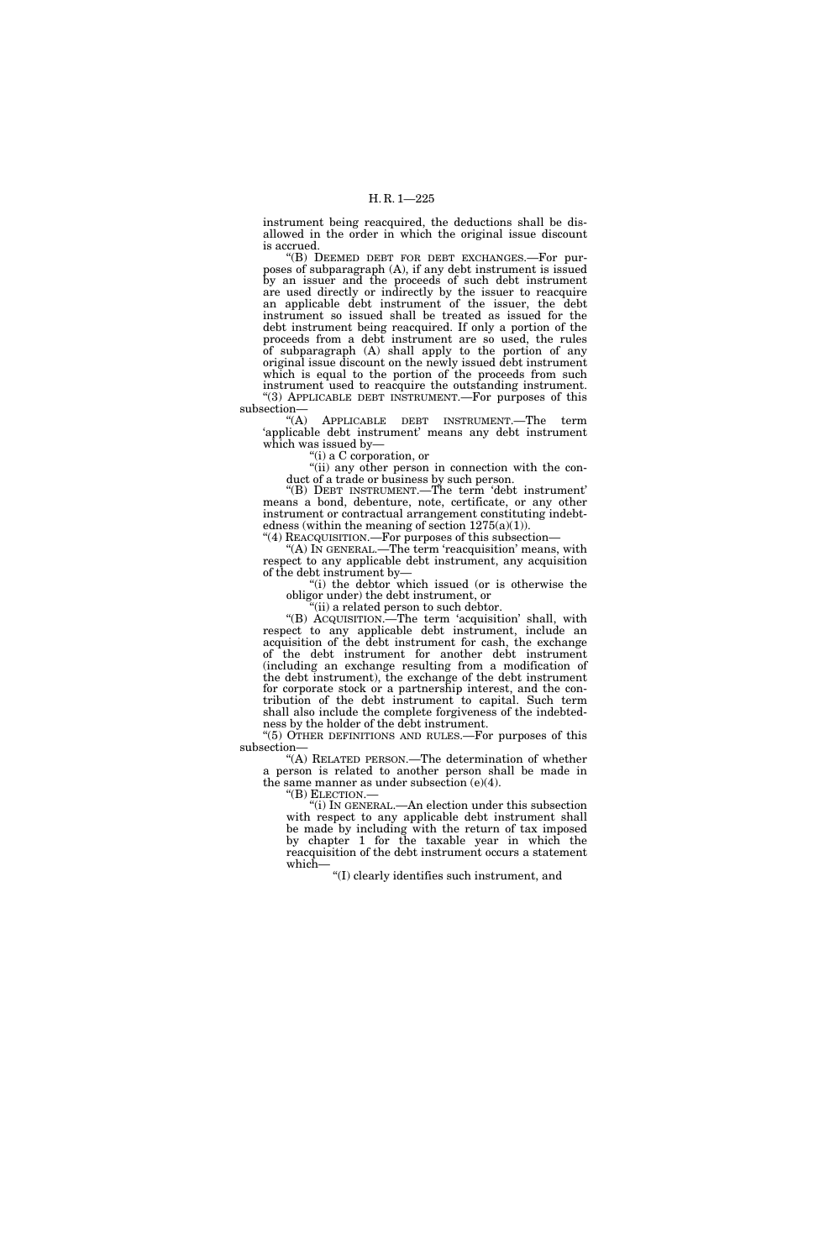instrument being reacquired, the deductions shall be disallowed in the order in which the original issue discount is accrued.

''(B) DEEMED DEBT FOR DEBT EXCHANGES.—For purposes of subparagraph (A), if any debt instrument is issued by an issuer and the proceeds of such debt instrument are used directly or indirectly by the issuer to reacquire an applicable debt instrument of the issuer, the debt instrument so issued shall be treated as issued for the debt instrument being reacquired. If only a portion of the proceeds from a debt instrument are so used, the rules of subparagraph (A) shall apply to the portion of any original issue discount on the newly issued debt instrument which is equal to the portion of the proceeds from such instrument used to reacquire the outstanding instrument. "(3) APPLICABLE DEBT INSTRUMENT.—For purposes of this

 $\substack{\text{subsection}\longrightarrow\\ (A)}$ APPLICABLE DEBT INSTRUMENT.—The term 'applicable debt instrument' means any debt instrument which was issued by—

''(i) a C corporation, or

''(ii) any other person in connection with the conduct of a trade or business by such person.

''(B) DEBT INSTRUMENT.—The term 'debt instrument' means a bond, debenture, note, certificate, or any other instrument or contractual arrangement constituting indebtedness (within the meaning of section  $1275(a)(1)$ ).

''(4) REACQUISITION.—For purposes of this subsection—

"(A) In GENERAL.—The term 'reacquisition' means, with respect to any applicable debt instrument, any acquisition of the debt instrument by—

"(i) the debtor which issued (or is otherwise the obligor under) the debt instrument, or

''(ii) a related person to such debtor.

''(B) ACQUISITION.—The term 'acquisition' shall, with respect to any applicable debt instrument, include an acquisition of the debt instrument for cash, the exchange of the debt instrument for another debt instrument (including an exchange resulting from a modification of the debt instrument), the exchange of the debt instrument for corporate stock or a partnership interest, and the contribution of the debt instrument to capital. Such term shall also include the complete forgiveness of the indebtedness by the holder of the debt instrument.

" $(5)$  OTHER DEFINITIONS AND RULES.—For purposes of this subsection—

''(A) RELATED PERSON.—The determination of whether a person is related to another person shall be made in the same manner as under subsection (e)(4).

''(B) ELECTION.—

''(i) IN GENERAL.—An election under this subsection with respect to any applicable debt instrument shall be made by including with the return of tax imposed by chapter 1 for the taxable year in which the reacquisition of the debt instrument occurs a statement which—

''(I) clearly identifies such instrument, and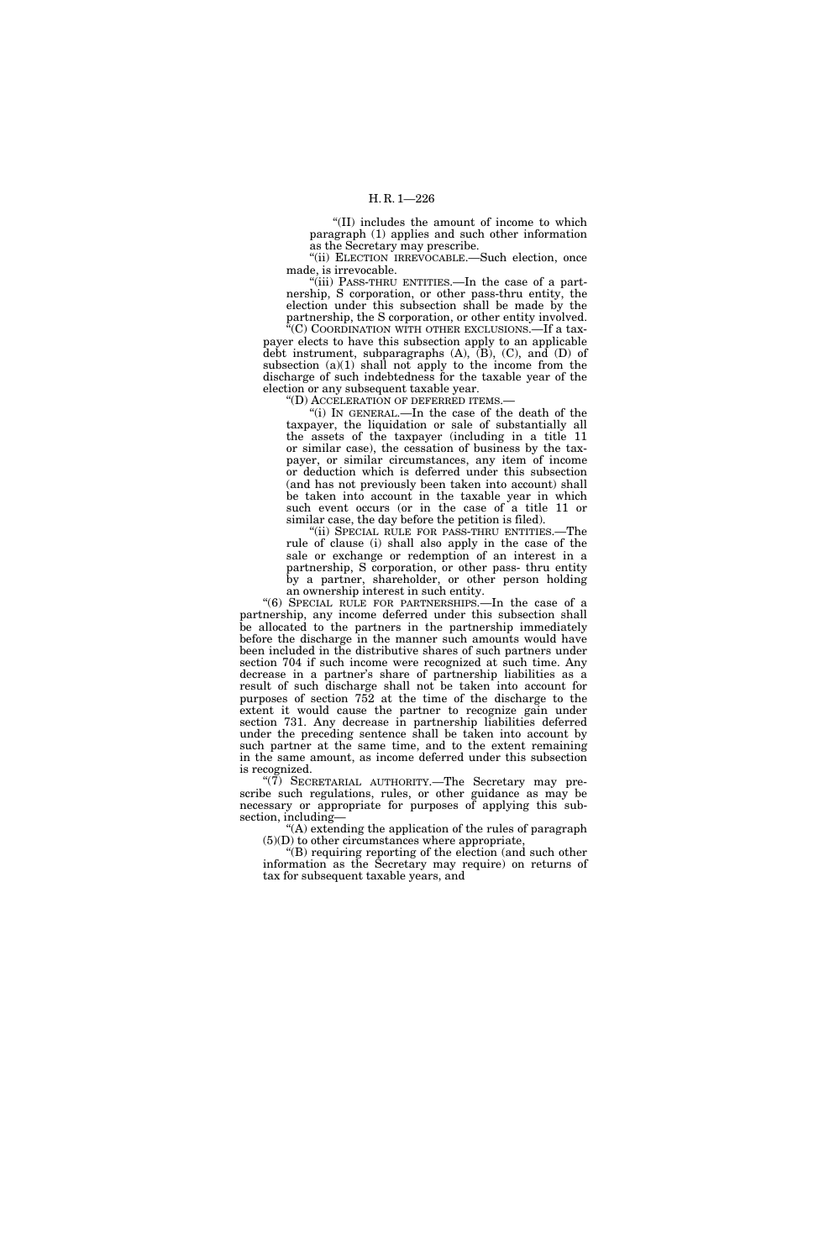''(II) includes the amount of income to which paragraph (1) applies and such other information as the Secretary may prescribe.

''(ii) ELECTION IRREVOCABLE.—Such election, once made, is irrevocable.

''(iii) PASS-THRU ENTITIES.—In the case of a partnership, S corporation, or other pass-thru entity, the election under this subsection shall be made by the partnership, the S corporation, or other entity involved.

<sup>\*</sup>(C) COORDINATION WITH OTHER EXCLUSIONS.—If a taxpayer elects to have this subsection apply to an applicable debt instrument, subparagraphs (A), (B), (C), and (D) of subsection (a)(1) shall not apply to the income from the discharge of such indebtedness for the taxable year of the election or any subsequent taxable year.

''(D) ACCELERATION OF DEFERRED ITEMS.—

"(i) IN GENERAL.—In the case of the death of the taxpayer, the liquidation or sale of substantially all the assets of the taxpayer (including in a title 11 or similar case), the cessation of business by the taxpayer, or similar circumstances, any item of income or deduction which is deferred under this subsection (and has not previously been taken into account) shall be taken into account in the taxable year in which such event occurs (or in the case of a title 11 or similar case, the day before the petition is filed).

''(ii) SPECIAL RULE FOR PASS-THRU ENTITIES.—The rule of clause (i) shall also apply in the case of the sale or exchange or redemption of an interest in a partnership, S corporation, or other pass- thru entity by a partner, shareholder, or other person holding an ownership interest in such entity.

''(6) SPECIAL RULE FOR PARTNERSHIPS.—In the case of a partnership, any income deferred under this subsection shall be allocated to the partners in the partnership immediately before the discharge in the manner such amounts would have been included in the distributive shares of such partners under section 704 if such income were recognized at such time. Any decrease in a partner's share of partnership liabilities as a result of such discharge shall not be taken into account for purposes of section 752 at the time of the discharge to the extent it would cause the partner to recognize gain under section 731. Any decrease in partnership liabilities deferred under the preceding sentence shall be taken into account by such partner at the same time, and to the extent remaining in the same amount, as income deferred under this subsection is recognized.

"(7) SECRETARIAL AUTHORITY.—The Secretary may prescribe such regulations, rules, or other guidance as may be necessary or appropriate for purposes of applying this subsection, including-

''(A) extending the application of the rules of paragraph  $(5)(D)$  to other circumstances where appropriate,

''(B) requiring reporting of the election (and such other information as the Secretary may require) on returns of tax for subsequent taxable years, and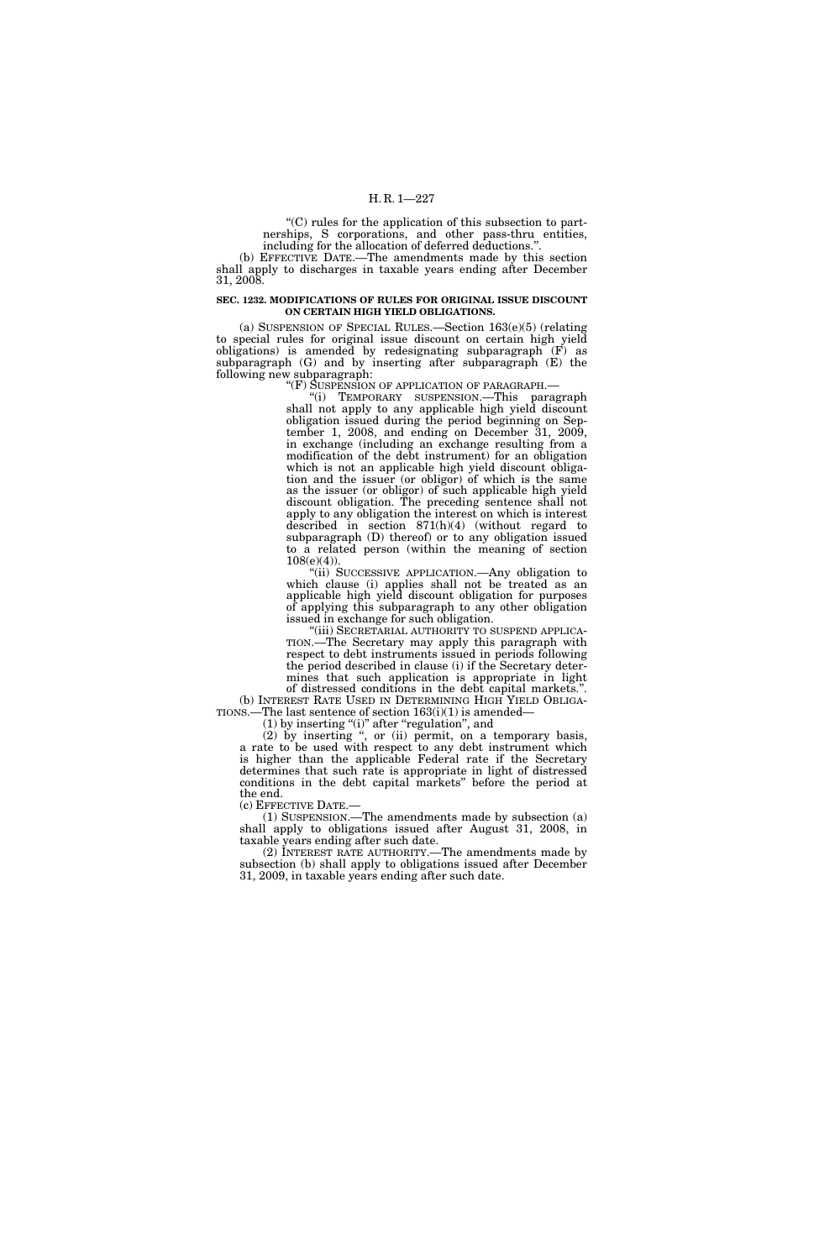''(C) rules for the application of this subsection to partnerships, S corporations, and other pass-thru entities, including for the allocation of deferred deductions.''.

(b) EFFECTIVE DATE.—The amendments made by this section shall apply to discharges in taxable years ending after December 31, 2008.

### **SEC. 1232. MODIFICATIONS OF RULES FOR ORIGINAL ISSUE DISCOUNT ON CERTAIN HIGH YIELD OBLIGATIONS.**

(a) SUSPENSION OF SPECIAL RULES.—Section 163(e)(5) (relating to special rules for original issue discount on certain high yield  $obligations)$  is amended by redesignating subparagraph  $(F)$  as subparagraph (G) and by inserting after subparagraph (E) the following new subparagraph:

"(F) SUSPENSION OF APPLICATION OF PARAGRAPH.—

''(i) TEMPORARY SUSPENSION.—This paragraph shall not apply to any applicable high yield discount obligation issued during the period beginning on September 1, 2008, and ending on December 31, 2009, in exchange (including an exchange resulting from a modification of the debt instrument) for an obligation which is not an applicable high yield discount obligation and the issuer (or obligor) of which is the same as the issuer (or obligor) of such applicable high yield discount obligation. The preceding sentence shall not apply to any obligation the interest on which is interest described in section 871(h)(4) (without regard to subparagraph (D) thereof) or to any obligation issued to a related person (within the meaning of section 108(e)(4)).

''(ii) SUCCESSIVE APPLICATION.—Any obligation to which clause (i) applies shall not be treated as an applicable high yield discount obligation for purposes of applying this subparagraph to any other obligation issued in exchange for such obligation.

TION.—The Secretary may apply this paragraph with respect to debt instruments issued in periods following the period described in clause (i) if the Secretary determines that such application is appropriate in light of distressed conditions in the debt capital markets.''.

(b) INTEREST RATE USED IN DETERMINING HIGH YIELD OBLIGA-TIONS.—The last sentence of section 163(i)(1) is amended—

(1) by inserting ''(i)'' after ''regulation'', and

(2) by inserting '', or (ii) permit, on a temporary basis, a rate to be used with respect to any debt instrument which is higher than the applicable Federal rate if the Secretary determines that such rate is appropriate in light of distressed conditions in the debt capital markets'' before the period at the end.

(c) EFFECTIVE DATE.— (1) SUSPENSION.—The amendments made by subsection (a) shall apply to obligations issued after August 31, 2008, in taxable years ending after such date.

(2) INTEREST RATE AUTHORITY.—The amendments made by subsection (b) shall apply to obligations issued after December 31, 2009, in taxable years ending after such date.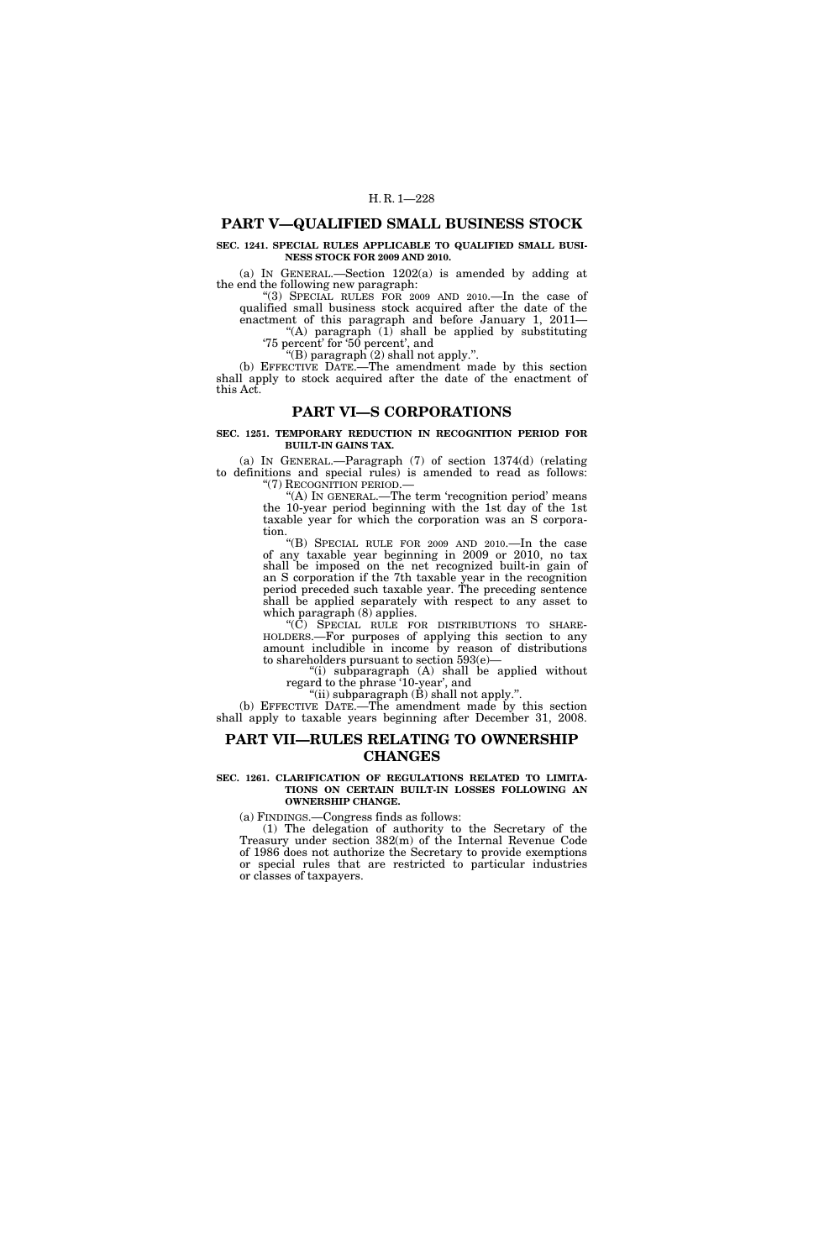## **PART V—QUALIFIED SMALL BUSINESS STOCK**

## **SEC. 1241. SPECIAL RULES APPLICABLE TO QUALIFIED SMALL BUSI-NESS STOCK FOR 2009 AND 2010.**

(a) IN GENERAL.—Section 1202(a) is amended by adding at the end the following new paragraph:

''(3) SPECIAL RULES FOR 2009 AND 2010.—In the case of qualified small business stock acquired after the date of the enactment of this paragraph and before January 1, 2011— ''(A) paragraph (1) shall be applied by substituting

'75 percent' for '50 percent', and "(B) paragraph  $(2)$  shall not apply.".

(b) EFFECTIVE DATE.—The amendment made by this section shall apply to stock acquired after the date of the enactment of this Act.

## **PART VI—S CORPORATIONS**

### **SEC. 1251. TEMPORARY REDUCTION IN RECOGNITION PERIOD FOR BUILT-IN GAINS TAX.**

(a) IN GENERAL.—Paragraph (7) of section 1374(d) (relating to definitions and special rules) is amended to read as follows: "(7) RECOGNITION PERIOD.—

''(A) IN GENERAL.—The term 'recognition period' means the 10-year period beginning with the 1st day of the 1st taxable year for which the corporation was an S corporation.

''(B) SPECIAL RULE FOR 2009 AND 2010.—In the case of any taxable year beginning in 2009 or 2010, no tax shall be imposed on the net recognized built-in gain of an S corporation if the 7th taxable year in the recognition period preceded such taxable year. The preceding sentence shall be applied separately with respect to any asset to which paragraph (8) applies.<br>
"(C) SPECIAL RULE FOR DISTRIBUTIONS TO SHARE-

''(C) SPECIAL RULE FOR DISTRIBUTIONS TO SHARE- HOLDERS.—For purposes of applying this section to any amount includible in income by reason of distributions to shareholders pursuant to section 593(e)—

''(i) subparagraph (A) shall be applied without regard to the phrase '10-year', and

"(ii) subparagraph (B) shall not apply.".

(b) EFFECTIVE DATE.—The amendment made by this section shall apply to taxable years beginning after December 31, 2008.

## **PART VII—RULES RELATING TO OWNERSHIP CHANGES**

#### **SEC. 1261. CLARIFICATION OF REGULATIONS RELATED TO LIMITA-TIONS ON CERTAIN BUILT-IN LOSSES FOLLOWING AN OWNERSHIP CHANGE.**

(a) FINDINGS.—Congress finds as follows:

(1) The delegation of authority to the Secretary of the Treasury under section 382(m) of the Internal Revenue Code of 1986 does not authorize the Secretary to provide exemptions or special rules that are restricted to particular industries or classes of taxpayers.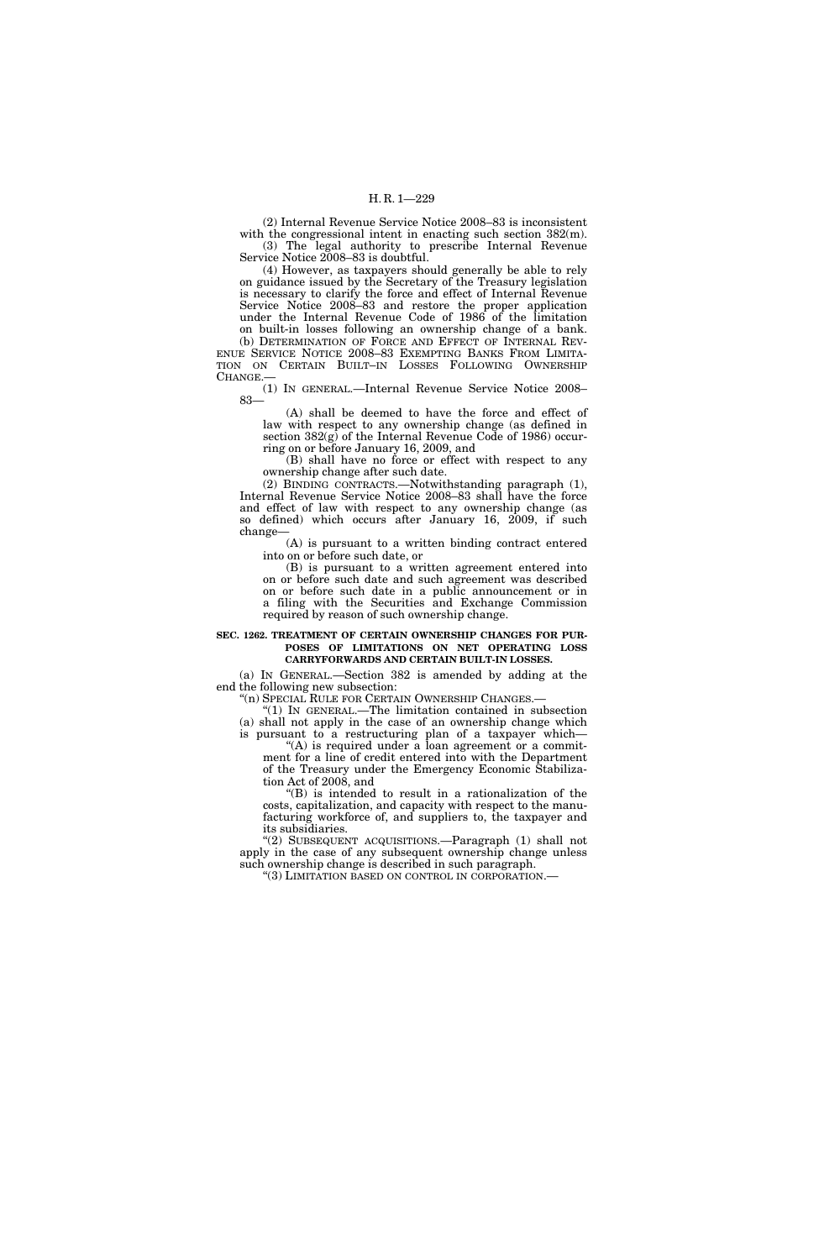(2) Internal Revenue Service Notice 2008–83 is inconsistent with the congressional intent in enacting such section  $382(m)$ . (3) The legal authority to prescribe Internal Revenue Service Notice 2008–83 is doubtful.

(4) However, as taxpayers should generally be able to rely on guidance issued by the Secretary of the Treasury legislation is necessary to clarify the force and effect of Internal Revenue Service Notice 2008–83 and restore the proper application under the Internal Revenue Code of 1986 of the limitation on built-in losses following an ownership change of a bank.

(b) DETERMINATION OF FORCE AND EFFECT OF INTERNAL REV-ENUE SERVICE NOTICE 2008–83 EXEMPTING BANKS FROM LIMITA-TION ON CERTAIN BUILT–IN LOSSES FOLLOWING OWNERSHIP CHANGE.

(1) IN GENERAL.—Internal Revenue Service Notice 2008– 83—

(A) shall be deemed to have the force and effect of law with respect to any ownership change (as defined in section 382(g) of the Internal Revenue Code of 1986) occurring on or before January 16, 2009, and

(B) shall have no force or effect with respect to any ownership change after such date.

(2) BINDING CONTRACTS.—Notwithstanding paragraph (1), Internal Revenue Service Notice 2008–83 shall have the force and effect of law with respect to any ownership change (as so defined) which occurs after January 16, 2009, if such change—

(A) is pursuant to a written binding contract entered into on or before such date, or

(B) is pursuant to a written agreement entered into on or before such date and such agreement was described on or before such date in a public announcement or in a filing with the Securities and Exchange Commission required by reason of such ownership change.

## **SEC. 1262. TREATMENT OF CERTAIN OWNERSHIP CHANGES FOR PUR-POSES OF LIMITATIONS ON NET OPERATING LOSS CARRYFORWARDS AND CERTAIN BUILT-IN LOSSES.**

(a) IN GENERAL.—Section 382 is amended by adding at the end the following new subsection:

''(n) SPECIAL RULE FOR CERTAIN OWNERSHIP CHANGES.— ''(1) IN GENERAL.—The limitation contained in subsection

(a) shall not apply in the case of an ownership change which is pursuant to a restructuring plan of a taxpayer which—

"(A) is required under a loan agreement or a commitment for a line of credit entered into with the Department of the Treasury under the Emergency Economic Stabilization Act of 2008, and

''(B) is intended to result in a rationalization of the costs, capitalization, and capacity with respect to the manufacturing workforce of, and suppliers to, the taxpayer and its subsidiaries.

''(2) SUBSEQUENT ACQUISITIONS.—Paragraph (1) shall not apply in the case of any subsequent ownership change unless such ownership change is described in such paragraph.

''(3) LIMITATION BASED ON CONTROL IN CORPORATION.—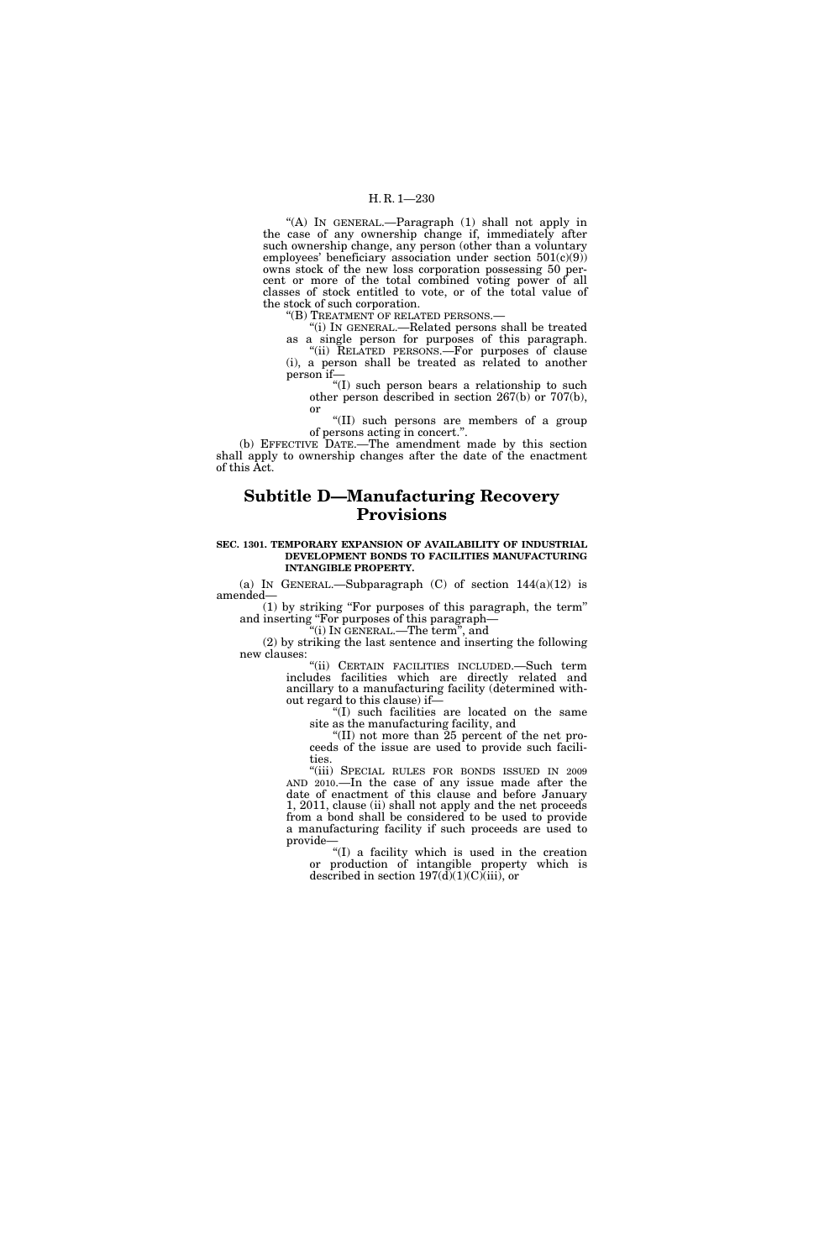## H. R. 1—230

''(A) IN GENERAL.—Paragraph (1) shall not apply in the case of any ownership change if, immediately after such ownership change, any person (other than a voluntary employees' beneficiary association under section  $501(c)(9)$ owns stock of the new loss corporation possessing 50 percent or more of the total combined voting power of all classes of stock entitled to vote, or of the total value of the stock of such corporation.

''(B) TREATMENT OF RELATED PERSONS.—

''(i) IN GENERAL.—Related persons shall be treated as a single person for purposes of this paragraph. ''(ii) RELATED PERSONS.—For purposes of clause (i), a person shall be treated as related to another person if—

''(I) such person bears a relationship to such other person described in section 267(b) or 707(b), or

''(II) such persons are members of a group of persons acting in concert.''.

(b) EFFECTIVE DATE.—The amendment made by this section shall apply to ownership changes after the date of the enactment of this Act.

# **Subtitle D—Manufacturing Recovery Provisions**

#### **SEC. 1301. TEMPORARY EXPANSION OF AVAILABILITY OF INDUSTRIAL DEVELOPMENT BONDS TO FACILITIES MANUFACTURING INTANGIBLE PROPERTY.**

(a) IN GENERAL.—Subparagraph  $(C)$  of section  $144(a)(12)$  is amended—

(1) by striking ''For purposes of this paragraph, the term'' and inserting ''For purposes of this paragraph—

''(i) IN GENERAL.—The term'', and

(2) by striking the last sentence and inserting the following new clauses:

''(ii) CERTAIN FACILITIES INCLUDED.—Such term includes facilities which are directly related and ancillary to a manufacturing facility (determined without regard to this clause) if—

''(I) such facilities are located on the same site as the manufacturing facility, and

''(II) not more than 25 percent of the net proceeds of the issue are used to provide such facilities.

''(iii) SPECIAL RULES FOR BONDS ISSUED IN 2009 AND 2010.—In the case of any issue made after the date of enactment of this clause and before January 1, 2011, clause (ii) shall not apply and the net proceeds from a bond shall be considered to be used to provide a manufacturing facility if such proceeds are used to provide—

''(I) a facility which is used in the creation or production of intangible property which is described in section  $197(d)(1)(C)(iii)$ , or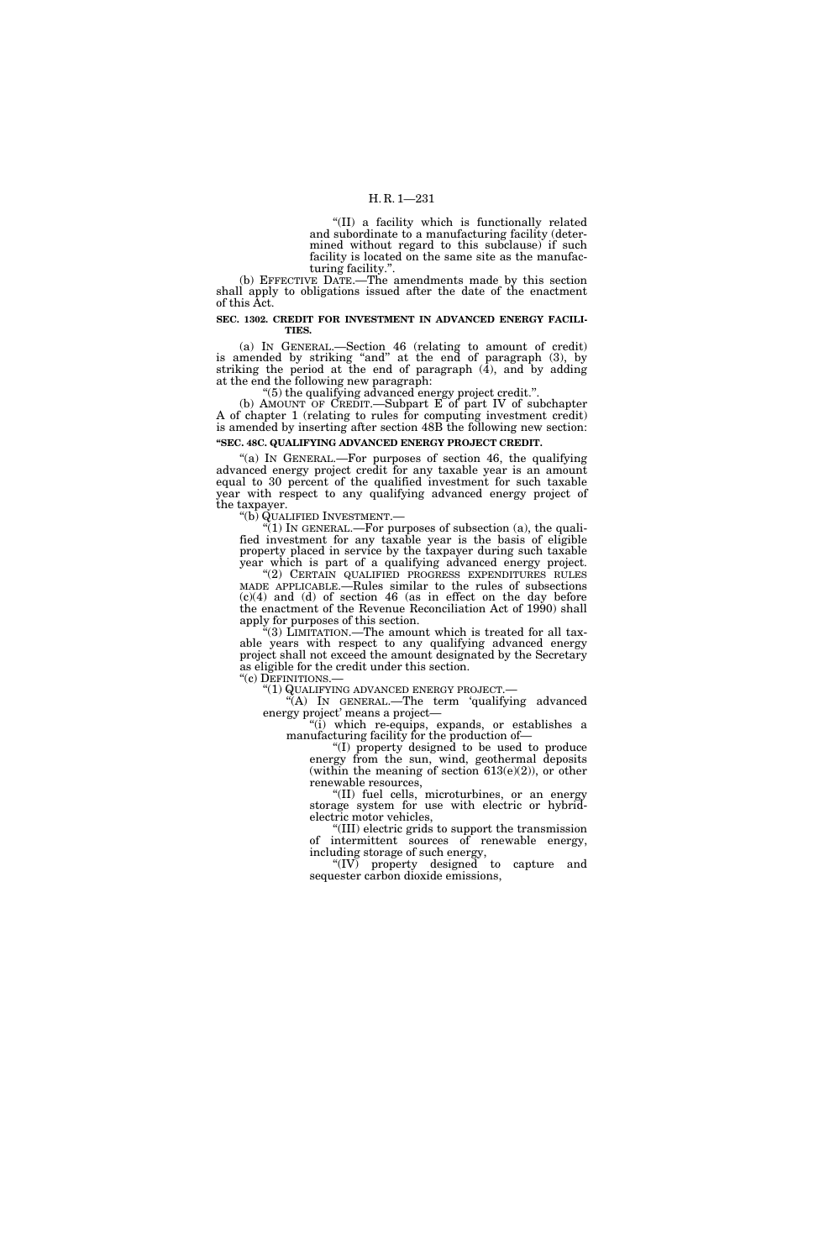## H. R. 1—231

''(II) a facility which is functionally related and subordinate to a manufacturing facility (determined without regard to this subclause) if such facility is located on the same site as the manufacturing facility.''.

(b) EFFECTIVE DATE.—The amendments made by this section shall apply to obligations issued after the date of the enactment of this Act.

### **SEC. 1302. CREDIT FOR INVESTMENT IN ADVANCED ENERGY FACILI-TIES.**

(a) IN GENERAL.—Section 46 (relating to amount of credit) is amended by striking "and" at the end of paragraph (3), by striking the period at the end of paragraph  $(4)$ , and by adding at the end the following new paragraph:

''(5) the qualifying advanced energy project credit.''.

(b) AMOUNT OF CREDIT.—Subpart E of part IV of subchapter A of chapter 1 (relating to rules for computing investment credit) is amended by inserting after section 48B the following new section: **''SEC. 48C. QUALIFYING ADVANCED ENERGY PROJECT CREDIT.** 

"(a) IN GENERAL.—For purposes of section 46, the qualifying advanced energy project credit for any taxable year is an amount equal to 30 percent of the qualified investment for such taxable year with respect to any qualifying advanced energy project of the taxpayer.

"(b) QUALIFIED INVESTMENT.—<br>"(1) IN GENERAL.—For purposes of subsection (a), the qualified investment for any taxable year is the basis of eligible property placed in service by the taxpayer during such taxable year which is part of a qualifying advanced energy project. ''(2) CERTAIN QUALIFIED PROGRESS EXPENDITURES RULES MADE APPLICABLE.—Rules similar to the rules of subsections (c)(4) and (d) of section 46 (as in effect on the day before the enactment of the Revenue Reconciliation Act of 1990) shall apply for purposes of this section.

''(3) LIMITATION.—The amount which is treated for all taxable years with respect to any qualifying advanced energy project shall not exceed the amount designated by the Secretary as eligible for the credit under this section.<br>"(c) DEFINITIONS.—

''(c) DEFINITIONS.— ''(1) QUALIFYING ADVANCED ENERGY PROJECT.— ''(A) IN GENERAL.—The term 'qualifying advanced energy project' means a project—

''(i) which re-equips, expands, or establishes a manufacturing facility for the production of—

''(I) property designed to be used to produce energy from the sun, wind, geothermal deposits (within the meaning of section  $613(e)(2)$ ), or other renewable resources,

''(II) fuel cells, microturbines, or an energy storage system for use with electric or hybridelectric motor vehicles,

''(III) electric grids to support the transmission of intermittent sources of renewable energy, including storage of such energy,

''(IV) property designed to capture and sequester carbon dioxide emissions,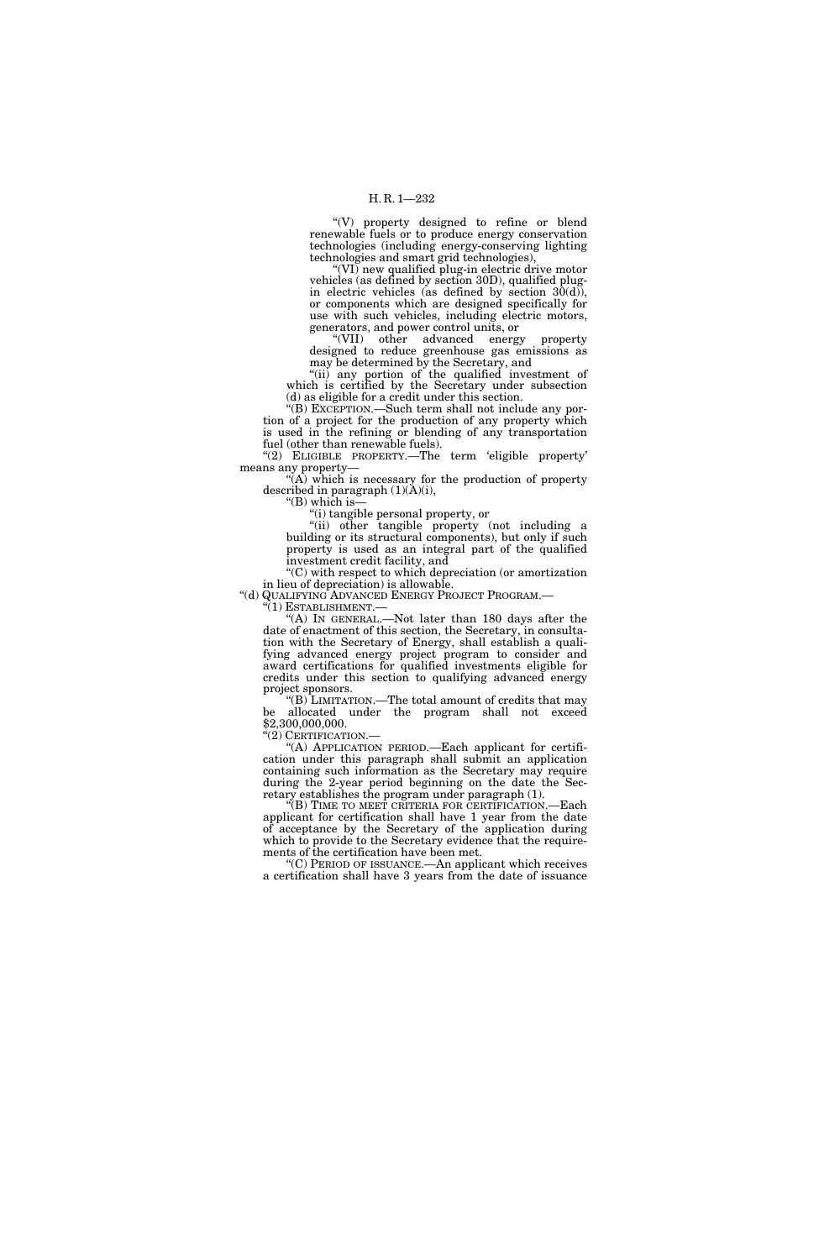''(V) property designed to refine or blend renewable fuels or to produce energy conservation technologies (including energy-conserving lighting technologies and smart grid technologies),

''(VI) new qualified plug-in electric drive motor vehicles (as defined by section 30D), qualified plugin electric vehicles (as defined by section  $3\overline{0}(d)$ ), or components which are designed specifically for use with such vehicles, including electric motors, generators, and power control units, or

''(VII) other advanced energy property designed to reduce greenhouse gas emissions as may be determined by the Secretary, and

"(ii) any portion of the qualified investment of which is certified by the Secretary under subsection (d) as eligible for a credit under this section.

''(B) EXCEPTION.—Such term shall not include any portion of a project for the production of any property which is used in the refining or blending of any transportation fuel (other than renewable fuels).

"(2) ELIGIBLE PROPERTY.—The term 'eligible property' means any property—

 $\mathcal{H}(\mathbf{A})$  which is necessary for the production of property described in paragraph  $(1)(\tilde{A})(i)$ ,

''(B) which is—

''(i) tangible personal property, or

''(ii) other tangible property (not including a building or its structural components), but only if such property is used as an integral part of the qualified investment credit facility, and

''(C) with respect to which depreciation (or amortization in lieu of depreciation) is allowable.<br>"(d) QUALIFYING ADVANCED ENERGY PROJECT PROGRAM.—

"(1) ESTABLISHMENT.—<br>"(A) IN GENERAL.—Not later than 180 days after the date of enactment of this section, the Secretary, in consultation with the Secretary of Energy, shall establish a qualifying advanced energy project program to consider and award certifications for qualified investments eligible for credits under this section to qualifying advanced energy project sponsors.

''(B) LIMITATION.—The total amount of credits that may be allocated under the program shall not exceed \$2,300,000,000.

"(2) CERTIFICATION.

''(A) APPLICATION PERIOD.—Each applicant for certification under this paragraph shall submit an application containing such information as the Secretary may require during the 2-year period beginning on the date the Secretary establishes the program under paragraph (1).

''(B) TIME TO MEET CRITERIA FOR CERTIFICATION.—Each applicant for certification shall have 1 year from the date of acceptance by the Secretary of the application during which to provide to the Secretary evidence that the requirements of the certification have been met.

''(C) PERIOD OF ISSUANCE.—An applicant which receives a certification shall have 3 years from the date of issuance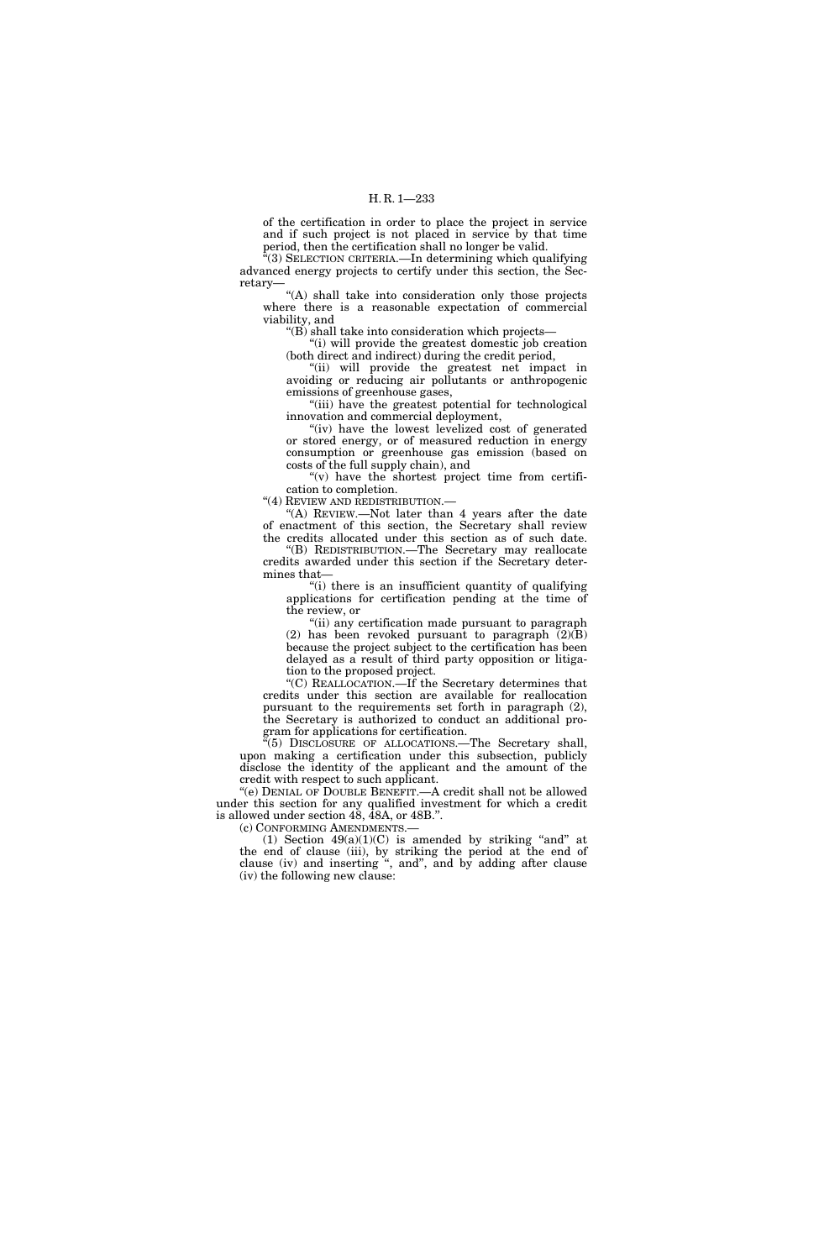of the certification in order to place the project in service and if such project is not placed in service by that time period, then the certification shall no longer be valid.

''(3) SELECTION CRITERIA.—In determining which qualifying advanced energy projects to certify under this section, the Secretary—

"(A) shall take into consideration only those projects where there is a reasonable expectation of commercial viability, and

"(B) shall take into consideration which projects—

"(i) will provide the greatest domestic job creation (both direct and indirect) during the credit period,

''(ii) will provide the greatest net impact in avoiding or reducing air pollutants or anthropogenic emissions of greenhouse gases,

''(iii) have the greatest potential for technological innovation and commercial deployment,

"(iv) have the lowest levelized cost of generated or stored energy, or of measured reduction in energy consumption or greenhouse gas emission (based on costs of the full supply chain), and

" $(v)$  have the shortest project time from certification to completion.

''(4) REVIEW AND REDISTRIBUTION.—

"(A) REVIEW.—Not later than 4 years after the date of enactment of this section, the Secretary shall review the credits allocated under this section as of such date.

''(B) REDISTRIBUTION.—The Secretary may reallocate credits awarded under this section if the Secretary determines that—

''(i) there is an insufficient quantity of qualifying applications for certification pending at the time of the review, or

''(ii) any certification made pursuant to paragraph (2) has been revoked pursuant to paragraph  $(2)(\hat{B})$ because the project subject to the certification has been delayed as a result of third party opposition or litigation to the proposed project.

''(C) REALLOCATION.—If the Secretary determines that credits under this section are available for reallocation pursuant to the requirements set forth in paragraph (2), the Secretary is authorized to conduct an additional program for applications for certification.

''(5) DISCLOSURE OF ALLOCATIONS.—The Secretary shall, upon making a certification under this subsection, publicly disclose the identity of the applicant and the amount of the credit with respect to such applicant.

''(e) DENIAL OF DOUBLE BENEFIT.—A credit shall not be allowed under this section for any qualified investment for which a credit is allowed under section 48, 48A, or 48B.''.

(c) CONFORMING AMENDMENTS.—

(1) Section  $49(a)(1)(C)$  is amended by striking "and" at the end of clause (iii), by striking the period at the end of clause (iv) and inserting '', and'', and by adding after clause (iv) the following new clause: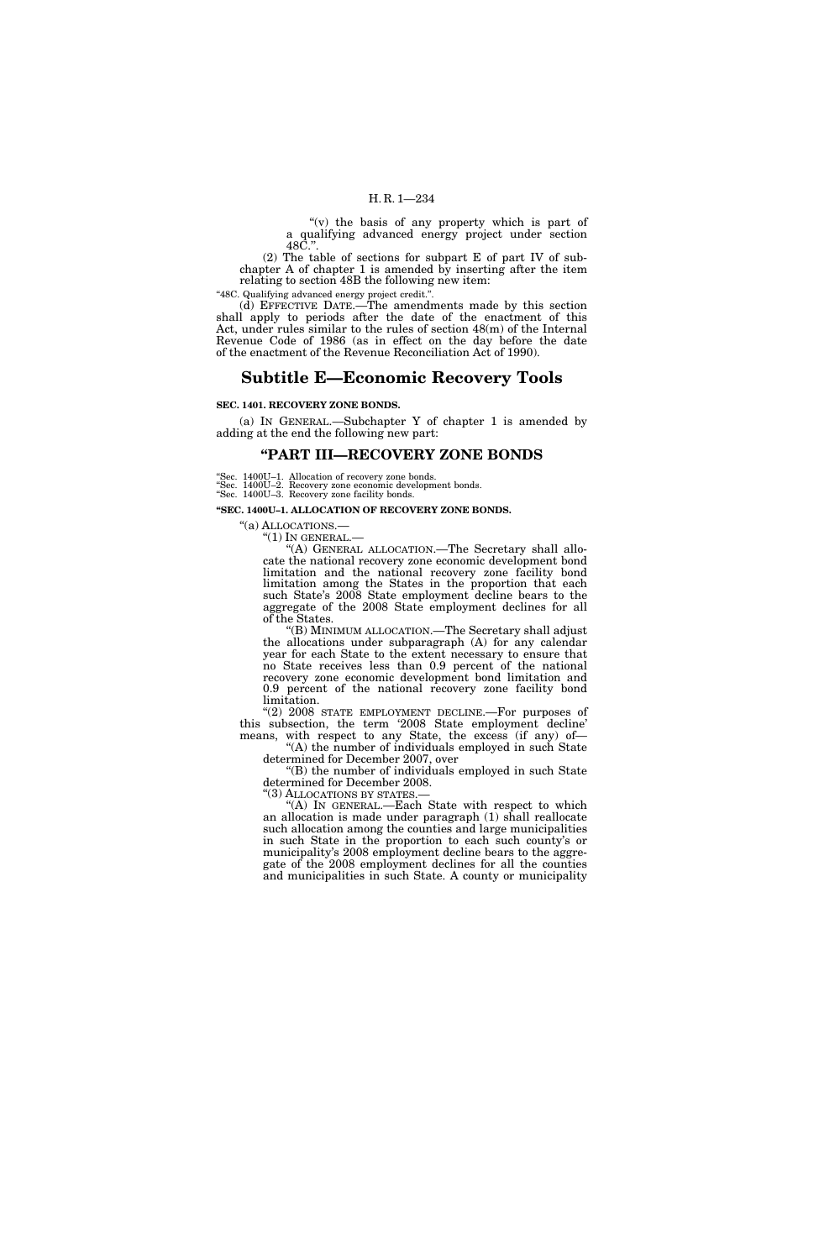"(v) the basis of any property which is part of a qualifying advanced energy project under section 48C.''.

(2) The table of sections for subpart E of part IV of subchapter A of chapter 1 is amended by inserting after the item relating to section 48B the following new item:

''48C. Qualifying advanced energy project credit.''.

(d) EFFECTIVE DATE.—The amendments made by this section shall apply to periods after the date of the enactment of this Act, under rules similar to the rules of section 48(m) of the Internal Revenue Code of 1986 (as in effect on the day before the date of the enactment of the Revenue Reconciliation Act of 1990).

## **Subtitle E—Economic Recovery Tools**

#### **SEC. 1401. RECOVERY ZONE BONDS.**

(a) IN GENERAL.—Subchapter Y of chapter 1 is amended by adding at the end the following new part:

## **''PART III—RECOVERY ZONE BONDS**

''Sec. 1400U–1. Allocation of recovery zone bonds.

''Sec. 1400U–2. Recovery zone economic development bonds. ''Sec. 1400U–3. Recovery zone facility bonds.

**''SEC. 1400U–1. ALLOCATION OF RECOVERY ZONE BONDS.** 

''(a) ALLOCATIONS.— ''(1) IN GENERAL.— ''(A) GENERAL ALLOCATION.—The Secretary shall allocate the national recovery zone economic development bond limitation and the national recovery zone facility bond limitation among the States in the proportion that each such State's 2008 State employment decline bears to the aggregate of the 2008 State employment declines for all of the States.

''(B) MINIMUM ALLOCATION.—The Secretary shall adjust the allocations under subparagraph (A) for any calendar year for each State to the extent necessary to ensure that no State receives less than 0.9 percent of the national recovery zone economic development bond limitation and 0.9 percent of the national recovery zone facility bond limitation.

"(2) 2008 STATE EMPLOYMENT DECLINE.-For purposes of this subsection, the term '2008 State employment decline' means, with respect to any State, the excess (if any) of-

''(A) the number of individuals employed in such State determined for December 2007, over

''(B) the number of individuals employed in such State determined for December 2008.

"(3) ALLOCATIONS BY STATES.-

''(A) IN GENERAL.—Each State with respect to which an allocation is made under paragraph (1) shall reallocate such allocation among the counties and large municipalities in such State in the proportion to each such county's or municipality's 2008 employment decline bears to the aggregate of the 2008 employment declines for all the counties and municipalities in such State. A county or municipality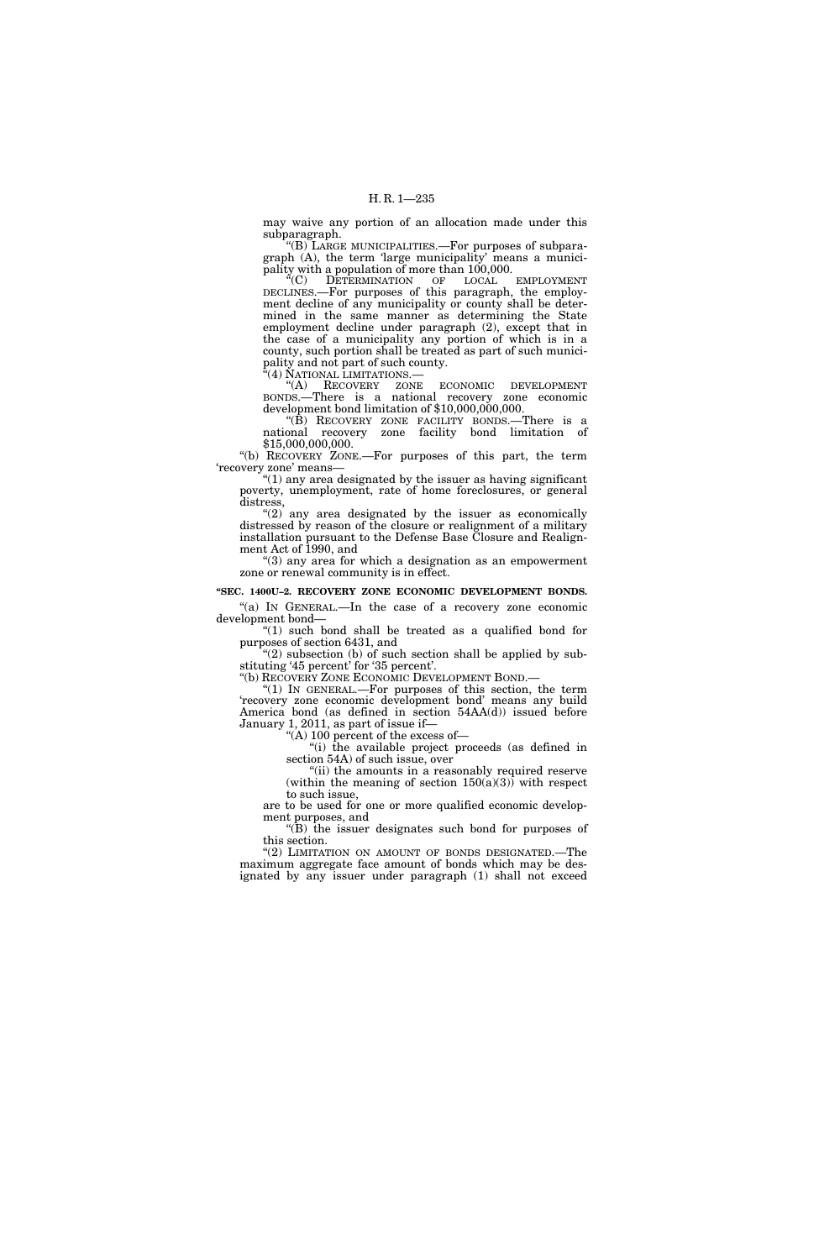may waive any portion of an allocation made under this subparagraph.

''(B) LARGE MUNICIPALITIES.—For purposes of subparagraph (A), the term 'large municipality' means a municipality with a population of more than 100,000.

''(C) DETERMINATION OF LOCAL EMPLOYMENT DECLINES.—For purposes of this paragraph, the employment decline of any municipality or county shall be determined in the same manner as determining the State employment decline under paragraph (2), except that in the case of a municipality any portion of which is in a county, such portion shall be treated as part of such municipality and not part of such county.

''(4) NATIONAL LIMITATIONS.—

''(A) RECOVERY ZONE ECONOMIC DEVELOPMENT BONDS.—There is a national recovery zone economic development bond limitation of \$10,000,000,000.

"(B) RECOVERY ZONE FACILITY BONDS.—There is a national recovery zone facility bond limitation of \$15,000,000,000.

''(b) RECOVERY ZONE.—For purposes of this part, the term 'recovery zone' means—

 $''(1)$  any area designated by the issuer as having significant poverty, unemployment, rate of home foreclosures, or general distress,

" $(2)$  any area designated by the issuer as economically distressed by reason of the closure or realignment of a military installation pursuant to the Defense Base Closure and Realignment Act of 1990, and

''(3) any area for which a designation as an empowerment zone or renewal community is in effect.

## **''SEC. 1400U–2. RECOVERY ZONE ECONOMIC DEVELOPMENT BONDS.**

"(a) IN GENERAL.—In the case of a recovery zone economic development bond—

" $(1)$  such bond shall be treated as a qualified bond for purposes of section 6431, and

" $(2)$  subsection (b) of such section shall be applied by substituting '45 percent' for '35 percent'.<br>"(b) RECOVERY ZONE ECONOMIC DEVELOPMENT BOND.-

"(1) IN GENERAL.—For purposes of this section, the term 'recovery zone economic development bond' means any build America bond (as defined in section 54AA(d)) issued before January 1, 2011, as part of issue if—

''(A) 100 percent of the excess of—

''(i) the available project proceeds (as defined in section 54A) of such issue, over

"(ii) the amounts in a reasonably required reserve (within the meaning of section  $150(a)(3)$ ) with respect to such issue,

are to be used for one or more qualified economic development purposes, and

''(B) the issuer designates such bond for purposes of this section.

"(2) LIMITATION ON AMOUNT OF BONDS DESIGNATED.-The maximum aggregate face amount of bonds which may be designated by any issuer under paragraph (1) shall not exceed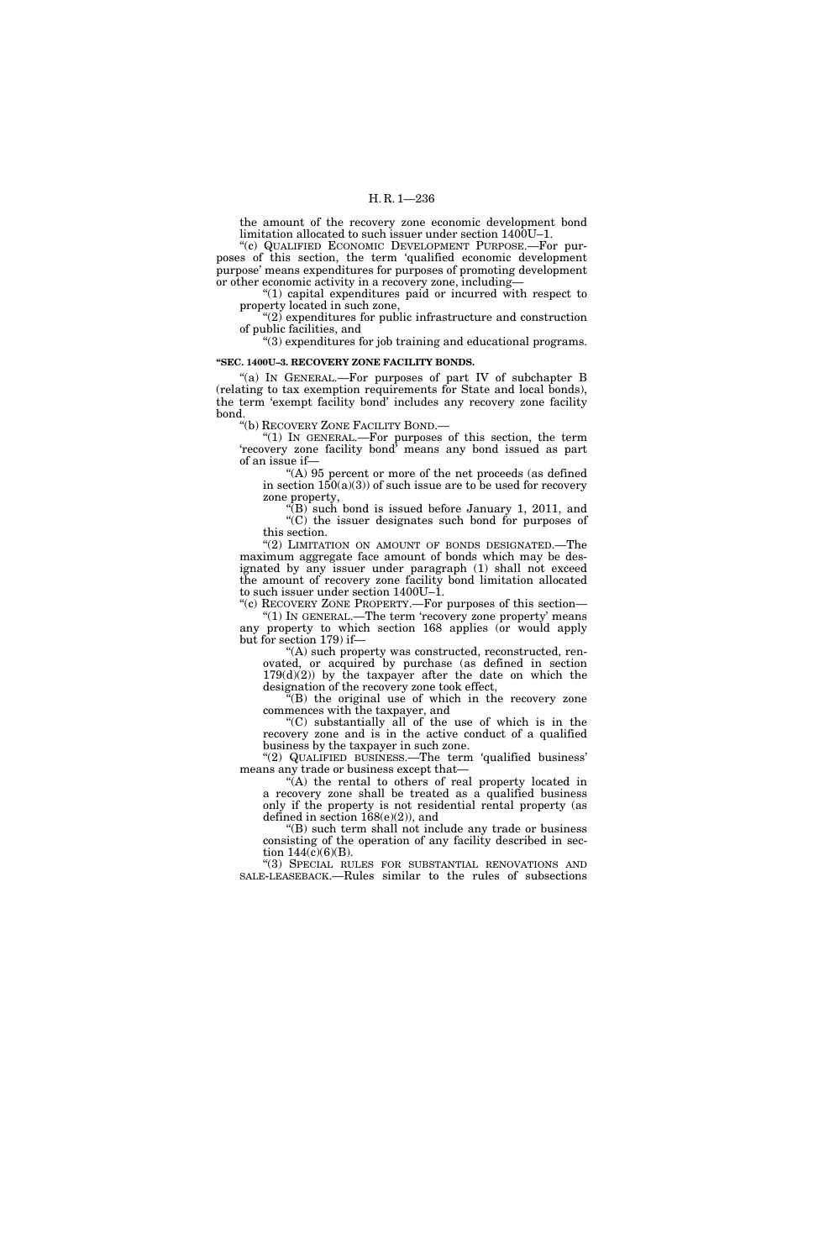the amount of the recovery zone economic development bond limitation allocated to such issuer under section 1400U–1.

"(c) QUALIFIED ECONOMIC DEVELOPMENT PURPOSE.-For purposes of this section, the term 'qualified economic development purpose' means expenditures for purposes of promoting development or other economic activity in a recovery zone, including—

 $(1)$  capital expenditures paid or incurred with respect to property located in such zone,

 $(2)$  expenditures for public infrastructure and construction of public facilities, and

''(3) expenditures for job training and educational programs.

## **''SEC. 1400U–3. RECOVERY ZONE FACILITY BONDS.**

"(a) IN GENERAL.—For purposes of part IV of subchapter B (relating to tax exemption requirements for State and local bonds), the term 'exempt facility bond' includes any recovery zone facility bond.

''(b) RECOVERY ZONE FACILITY BOND.—

''(1) IN GENERAL.—For purposes of this section, the term 'recovery zone facility bond' means any bond issued as part of an issue if—

''(A) 95 percent or more of the net proceeds (as defined in section  $150(a)(3)$  of such issue are to be used for recovery zone property,

''(B) such bond is issued before January 1, 2011, and ''(C) the issuer designates such bond for purposes of  $\degree$ (C) the issuer designates such bond for purposes of this section.

"(2) LIMITATION ON AMOUNT OF BONDS DESIGNATED.-The maximum aggregate face amount of bonds which may be designated by any issuer under paragraph (1) shall not exceed the amount of recovery zone facility bond limitation allocated to such issuer under section 1400U–1.

''(c) RECOVERY ZONE PROPERTY.—For purposes of this section— "(1) IN GENERAL.—The term 'recovery zone property' means any property to which section 168 applies (or would apply but for section 179) if—

''(A) such property was constructed, reconstructed, renovated, or acquired by purchase (as defined in section  $179(d)(2)$  by the taxpayer after the date on which the designation of the recovery zone took effect,

 $E(E)$  the original use of which in the recovery zone commences with the taxpayer, and

''(C) substantially all of the use of which is in the recovery zone and is in the active conduct of a qualified business by the taxpayer in such zone.

''(2) QUALIFIED BUSINESS.—The term 'qualified business' means any trade or business except that—

"(A) the rental to others of real property located in a recovery zone shall be treated as a qualified business only if the property is not residential rental property (as defined in section  $168(e)(2)$ ), and

''(B) such term shall not include any trade or business consisting of the operation of any facility described in section  $144(c)(6)(B)$ .

''(3) SPECIAL RULES FOR SUBSTANTIAL RENOVATIONS AND SALE-LEASEBACK.—Rules similar to the rules of subsections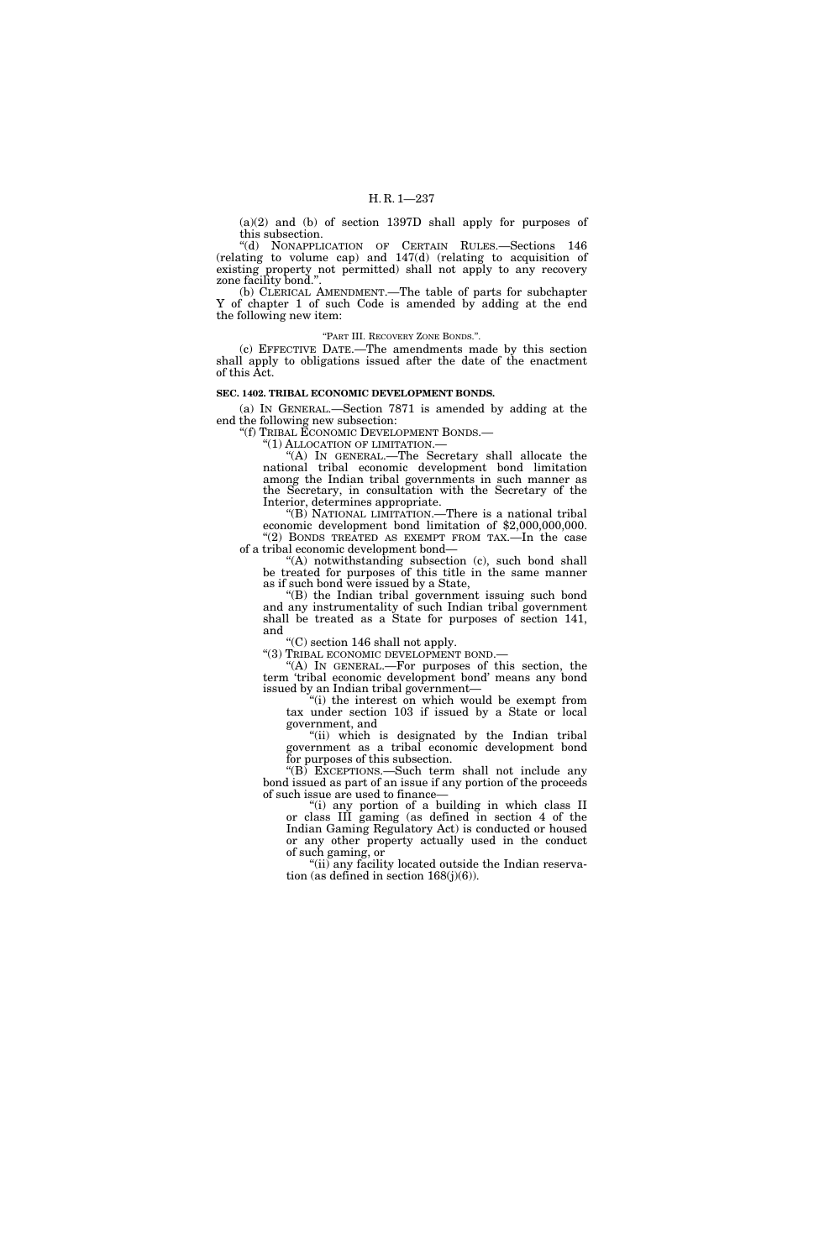(a)(2) and (b) of section 1397D shall apply for purposes of this subsection.

''(d) NONAPPLICATION OF CERTAIN RULES.—Sections 146 (relating to volume cap) and 147(d) (relating to acquisition of existing property not permitted) shall not apply to any recovery zone facility bond."

(b) CLERICAL AMENDMENT.—The table of parts for subchapter Y of chapter 1 of such Code is amended by adding at the end the following new item:

''PART III. RECOVERY ZONE BONDS.''.

(c) EFFECTIVE DATE.—The amendments made by this section shall apply to obligations issued after the date of the enactment of this Act.

#### **SEC. 1402. TRIBAL ECONOMIC DEVELOPMENT BONDS.**

(a) IN GENERAL.—Section 7871 is amended by adding at the end the following new subsection:<br>"(f) TRIBAL ECONOMIC DEVELOPMENT BONDS.—

"(1) ALLOCATION OF LIMITATION.—<br>"(A) IN GENERAL.—The Secretary shall allocate the national tribal economic development bond limitation among the Indian tribal governments in such manner as the Secretary, in consultation with the Secretary of the Interior, determines appropriate.

"(B) NATIONAL LIMITATION.—There is a national tribal economic development bond limitation of \$2,000,000,000. "(2) BONDS TREATED AS EXEMPT FROM TAX.—In the case of a tribal economic development bond—

''(A) notwithstanding subsection (c), such bond shall be treated for purposes of this title in the same manner as if such bond were issued by a State,

''(B) the Indian tribal government issuing such bond and any instrumentality of such Indian tribal government shall be treated as a State for purposes of section 141, and

"(C) section 146 shall not apply.<br>"(3) TRIBAL ECONOMIC DEVELOPMENT BOND.

"(A) IN GENERAL.—For purposes of this section, the term 'tribal economic development bond' means any bond issued by an Indian tribal government—

''(i) the interest on which would be exempt from tax under section 103 if issued by a State or local government, and

"(ii) which is designated by the Indian tribal government as a tribal economic development bond for purposes of this subsection.

''(B) EXCEPTIONS.—Such term shall not include any bond issued as part of an issue if any portion of the proceeds of such issue are used to finance—

"(i) any portion of a building in which class II or class III gaming (as defined in section 4 of the Indian Gaming Regulatory Act) is conducted or housed or any other property actually used in the conduct of such gaming, or

"(ii) any facility located outside the Indian reservation (as defined in section 168(j)(6)).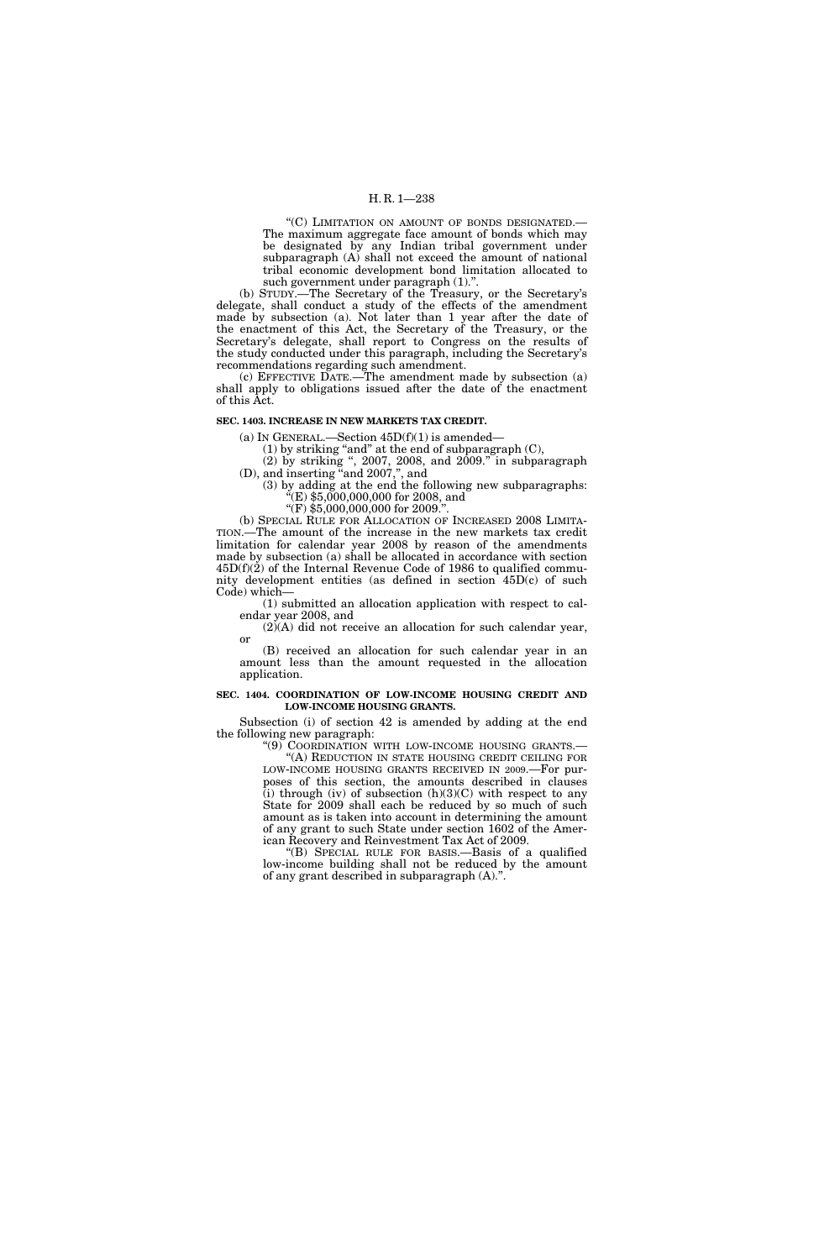## H. R. 1—238

''(C) LIMITATION ON AMOUNT OF BONDS DESIGNATED.— The maximum aggregate face amount of bonds which may be designated by any Indian tribal government under subparagraph (A) shall not exceed the amount of national tribal economic development bond limitation allocated to such government under paragraph (1).''.

(b) STUDY.—The Secretary of the Treasury, or the Secretary's delegate, shall conduct a study of the effects of the amendment made by subsection (a). Not later than 1 year after the date of the enactment of this Act, the Secretary of the Treasury, or the Secretary's delegate, shall report to Congress on the results of the study conducted under this paragraph, including the Secretary's recommendations regarding such amendment.

(c) EFFECTIVE DATE.—The amendment made by subsection (a) shall apply to obligations issued after the date of the enactment of this Act.

#### **SEC. 1403. INCREASE IN NEW MARKETS TAX CREDIT.**

(a) IN GENERAL.—Section  $45D(f)(1)$  is amended—

(1) by striking ''and'' at the end of subparagraph (C),

(2) by striking '', 2007, 2008, and 2009.'' in subparagraph (D), and inserting ''and 2007,'', and

(3) by adding at the end the following new subparagraphs: ''(E) \$5,000,000,000 for 2008, and

''(F) \$5,000,000,000 for 2009.''.

(b) SPECIAL RULE FOR ALLOCATION OF INCREASED 2008 LIMITA-TION.—The amount of the increase in the new markets tax credit limitation for calendar year 2008 by reason of the amendments made by subsection (a) shall be allocated in accordance with section 45D(f)(2) of the Internal Revenue Code of 1986 to qualified community development entities (as defined in section 45D(c) of such Code) which—

(1) submitted an allocation application with respect to calendar year 2008, and

 $(2)(A)$  did not receive an allocation for such calendar year, or

(B) received an allocation for such calendar year in an amount less than the amount requested in the allocation application.

## **SEC. 1404. COORDINATION OF LOW-INCOME HOUSING CREDIT AND LOW-INCOME HOUSING GRANTS.**

Subsection (i) of section 42 is amended by adding at the end the following new paragraph:

''(9) COORDINATION WITH LOW-INCOME HOUSING GRANTS.— ''(A) REDUCTION IN STATE HOUSING CREDIT CEILING FOR

LOW-INCOME HOUSING GRANTS RECEIVED IN 2009.—For purposes of this section, the amounts described in clauses (i) through (iv) of subsection  $(h)(3)(C)$  with respect to any State for 2009 shall each be reduced by so much of such amount as is taken into account in determining the amount of any grant to such State under section 1602 of the American Recovery and Reinvestment Tax Act of 2009.

''(B) SPECIAL RULE FOR BASIS.—Basis of a qualified low-income building shall not be reduced by the amount of any grant described in subparagraph (A).''.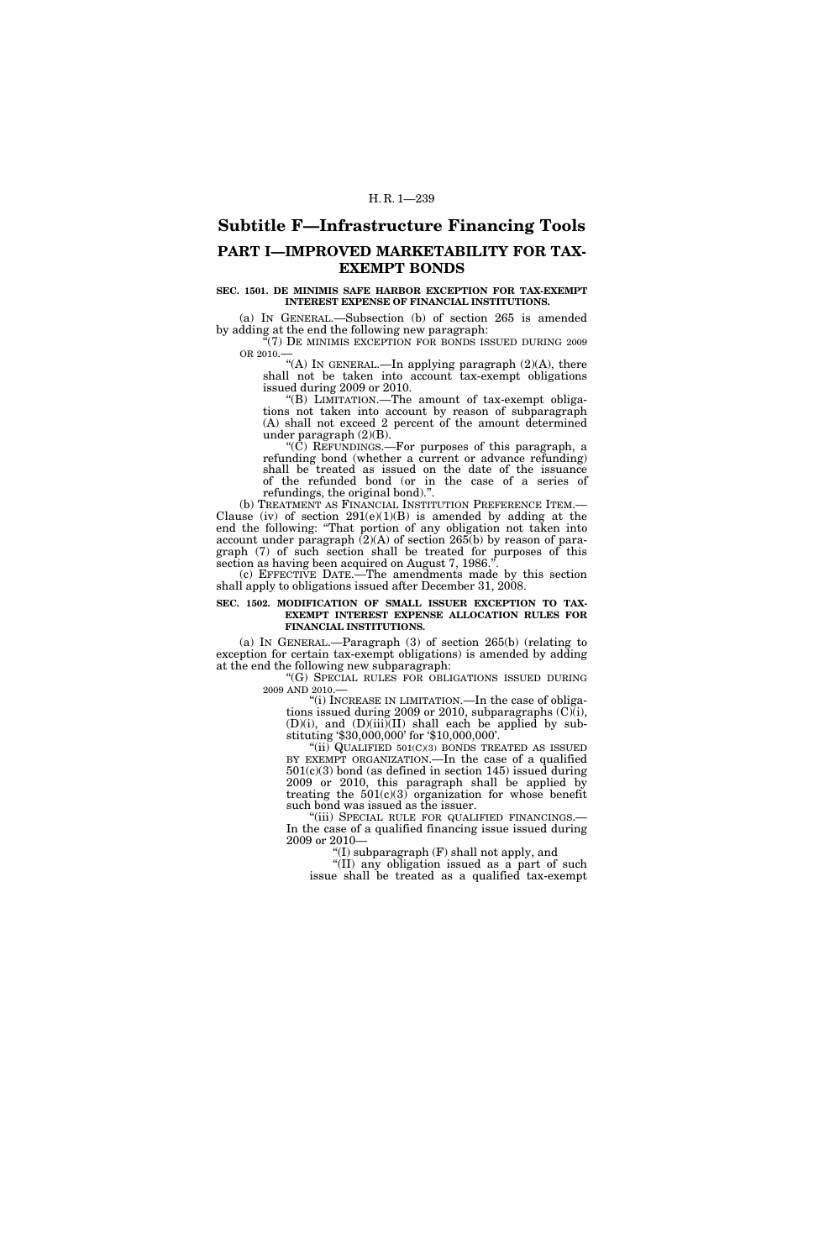# **Subtitle F—Infrastructure Financing Tools PART I—IMPROVED MARKETABILITY FOR TAX-EXEMPT BONDS**

### **SEC. 1501. DE MINIMIS SAFE HARBOR EXCEPTION FOR TAX-EXEMPT INTEREST EXPENSE OF FINANCIAL INSTITUTIONS.**

(a) IN GENERAL.—Subsection (b) of section 265 is amended by adding at the end the following new paragraph:

 $\mathcal{F}(7)$  De minimis exception for bonds issued during 2009 OR 2010.—

"(A) IN GENERAL.—In applying paragraph (2)(A), there shall not be taken into account tax-exempt obligations issued during 2009 or 2010.

''(B) LIMITATION.—The amount of tax-exempt obligations not taken into account by reason of subparagraph (A) shall not exceed 2 percent of the amount determined under paragraph (2)(B).

''(C) REFUNDINGS.—For purposes of this paragraph, a refunding bond (whether a current or advance refunding) shall be treated as issued on the date of the issuance of the refunded bond (or in the case of a series of refundings, the original bond).''.

(b) TREATMENT AS FINANCIAL INSTITUTION PREFERENCE ITEM.— Clause (iv) of section  $291(e)(1)(B)$  is amended by adding at the end the following: ''That portion of any obligation not taken into account under paragraph (2)(A) of section 265(b) by reason of paragraph (7) of such section shall be treated for purposes of this section as having been acquired on August 7, 1986.''.

(c) EFFECTIVE DATE.—The amendments made by this section shall apply to obligations issued after December 31, 2008.

### **SEC. 1502. MODIFICATION OF SMALL ISSUER EXCEPTION TO TAX-EXEMPT INTEREST EXPENSE ALLOCATION RULES FOR FINANCIAL INSTITUTIONS.**

(a) IN GENERAL.—Paragraph (3) of section 265(b) (relating to exception for certain tax-exempt obligations) is amended by adding at the end the following new subparagraph:

''(G) SPECIAL RULES FOR OBLIGATIONS ISSUED DURING 2009 AND 2010.—

"(i) INCREASE IN LIMITATION.—In the case of obligations issued during 2009 or 2010, subparagraphs (C)(i), (D)(i), and (D)(iii)(II) shall each be applied by substituting '\$30,000,000' for '\$10,000,000'.

" $(iii)$  QUALIFIED 501 $(C)(3)$  BONDS TREATED AS ISSUED BY EXEMPT ORGANIZATION.—In the case of a qualified 501(c)(3) bond (as defined in section 145) issued during 2009 or 2010, this paragraph shall be applied by treating the  $501(c)(3)$  organization for whose benefit such bond was issued as the issuer.

"(iii) SPECIAL RULE FOR QUALIFIED FINANCINGS.-In the case of a qualified financing issue issued during 2009 or 2010—

''(I) subparagraph (F) shall not apply, and

''(II) any obligation issued as a part of such issue shall be treated as a qualified tax-exempt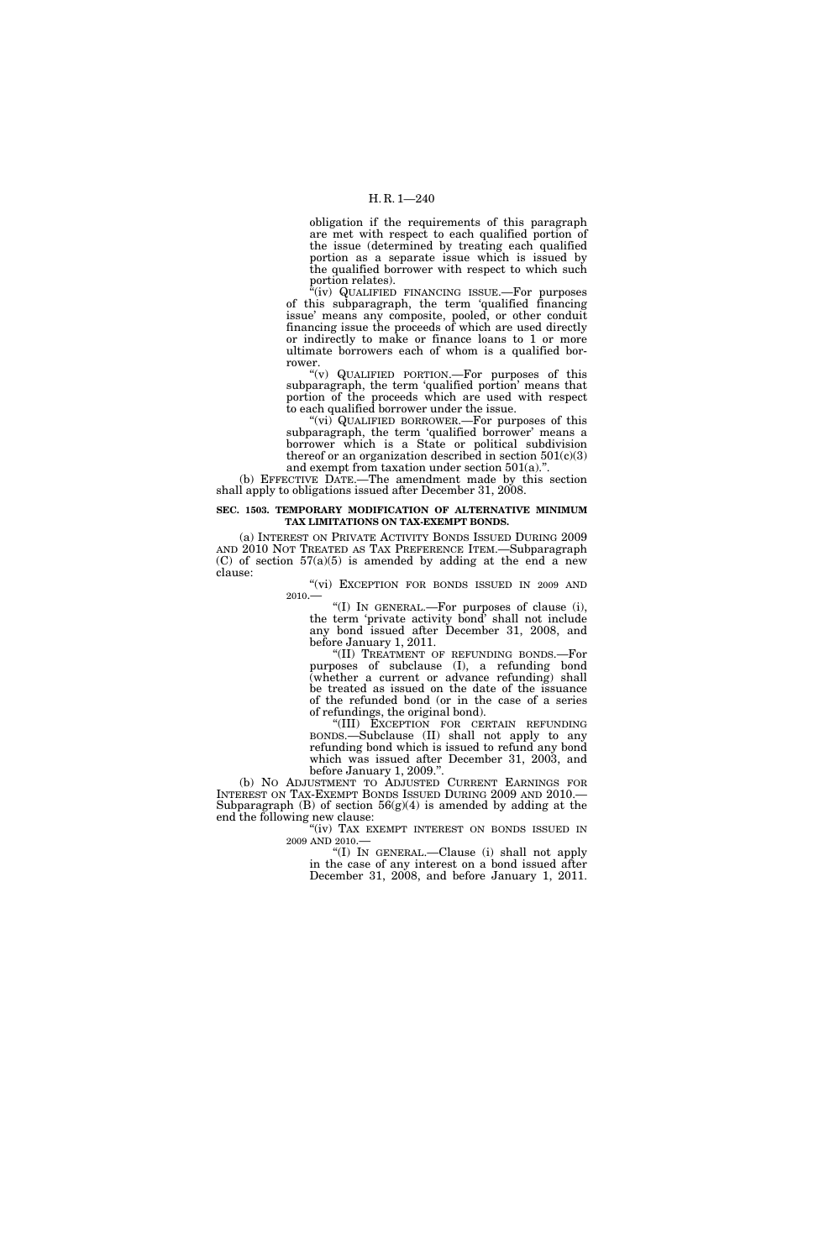## H. R. 1—240

obligation if the requirements of this paragraph are met with respect to each qualified portion of the issue (determined by treating each qualified portion as a separate issue which is issued by the qualified borrower with respect to which such portion relates).

 $f(iv)$  QUALIFIED FINANCING ISSUE.—For purposes of this subparagraph, the term 'qualified financing issue' means any composite, pooled, or other conduit financing issue the proceeds of which are used directly or indirectly to make or finance loans to 1 or more ultimate borrowers each of whom is a qualified borrower.

''(v) QUALIFIED PORTION.—For purposes of this subparagraph, the term 'qualified portion' means that portion of the proceeds which are used with respect to each qualified borrower under the issue.

''(vi) QUALIFIED BORROWER.—For purposes of this subparagraph, the term 'qualified borrower' means a borrower which is a State or political subdivision thereof or an organization described in section  $501(c)(3)$ and exempt from taxation under section  $501(a)$ ."

(b) EFFECTIVE DATE.—The amendment made by this section shall apply to obligations issued after December 31, 2008.

#### **SEC. 1503. TEMPORARY MODIFICATION OF ALTERNATIVE MINIMUM TAX LIMITATIONS ON TAX-EXEMPT BONDS.**

(a) INTEREST ON PRIVATE ACTIVITY BONDS ISSUED DURING 2009 AND 2010 NOT TREATED AS TAX PREFERENCE ITEM.—Subparagraph  $(C)$  of section  $57(a)(5)$  is amended by adding at the end a new clause:

"(vi) EXCEPTION FOR BONDS ISSUED IN 2009 AND 2010.

"(I) IN GENERAL.—For purposes of clause (i), the term 'private activity bond' shall not include any bond issued after December 31, 2008, and before January 1, 2011.

''(II) TREATMENT OF REFUNDING BONDS.—For purposes of subclause (I), a refunding bond (whether a current or advance refunding) shall be treated as issued on the date of the issuance of the refunded bond (or in the case of a series of refundings, the original bond).

''(III) EXCEPTION FOR CERTAIN REFUNDING BONDS.—Subclause (II) shall not apply to any refunding bond which is issued to refund any bond which was issued after December 31, 2003, and before January 1, 2009.''.

(b) NO ADJUSTMENT TO ADJUSTED CURRENT EARNINGS FOR INTEREST ON TAX-EXEMPT BONDS ISSUED DURING 2009 AND 2010.— Subparagraph  $(B)$  of section  $56(g)(4)$  is amended by adding at the end the following new clause:

"(iv) TAX EXEMPT INTEREST ON BONDS ISSUED IN  $2009$  AND  $2010.\boldsymbol{-}$ 

"(I) IN GENERAL.—Clause (i) shall not apply in the case of any interest on a bond issued after December 31, 2008, and before January 1, 2011.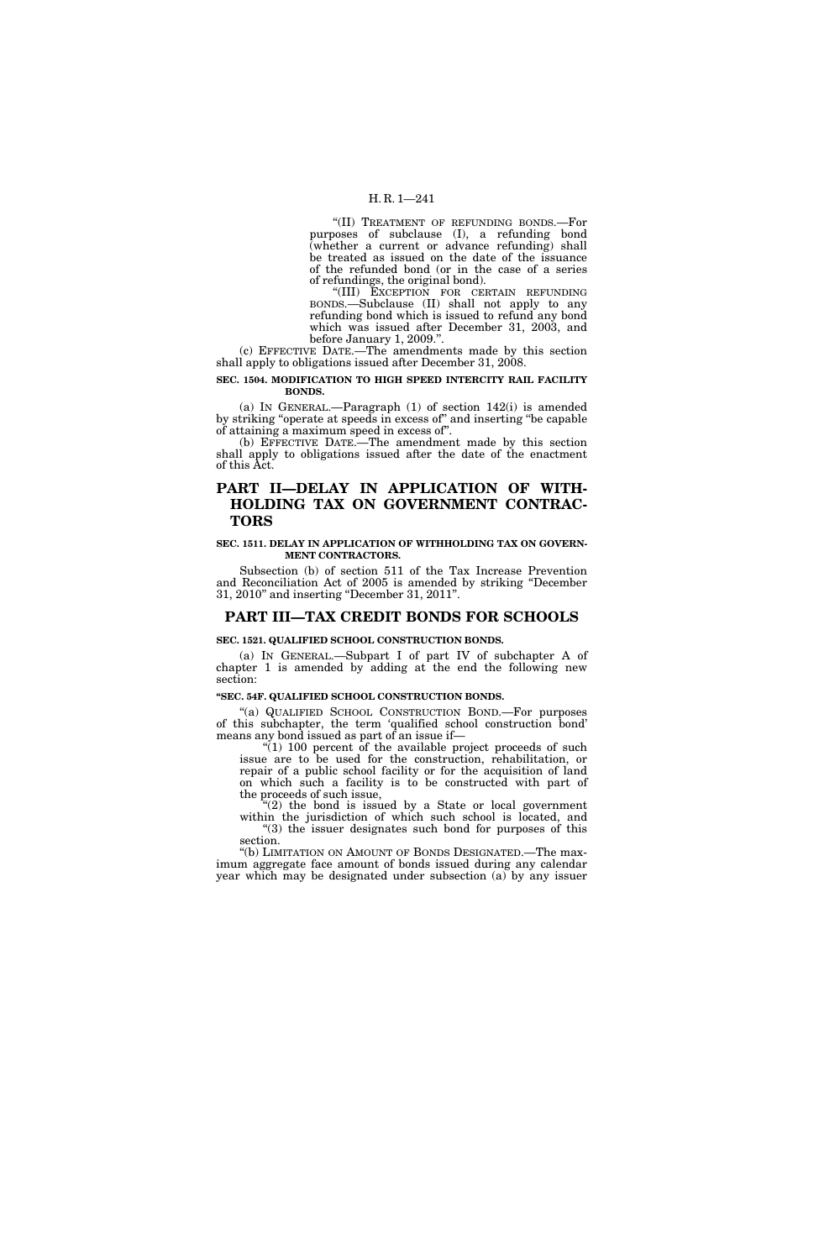## H. R. 1—241

''(II) TREATMENT OF REFUNDING BONDS.—For purposes of subclause (I), a refunding bond (whether a current or advance refunding) shall be treated as issued on the date of the issuance of the refunded bond (or in the case of a series of refundings, the original bond).

''(III) EXCEPTION FOR CERTAIN REFUNDING BONDS.—Subclause (II) shall not apply to any refunding bond which is issued to refund any bond which was issued after December 31, 2003, and before January 1, 2009.''.

(c) EFFECTIVE DATE.—The amendments made by this section shall apply to obligations issued after December 31, 2008.

## **SEC. 1504. MODIFICATION TO HIGH SPEED INTERCITY RAIL FACILITY BONDS.**

(a) IN GENERAL.—Paragraph (1) of section 142(i) is amended by striking ''operate at speeds in excess of'' and inserting ''be capable of attaining a maximum speed in excess of''.

(b) EFFECTIVE DATE.—The amendment made by this section shall apply to obligations issued after the date of the enactment of this Act.

## **PART II—DELAY IN APPLICATION OF WITH-HOLDING TAX ON GOVERNMENT CONTRAC-TORS**

### **SEC. 1511. DELAY IN APPLICATION OF WITHHOLDING TAX ON GOVERN-MENT CONTRACTORS.**

Subsection (b) of section 511 of the Tax Increase Prevention and Reconciliation Act of 2005 is amended by striking ''December 31, 2010'' and inserting ''December 31, 2011''.

## **PART III—TAX CREDIT BONDS FOR SCHOOLS**

## **SEC. 1521. QUALIFIED SCHOOL CONSTRUCTION BONDS.**

(a) IN GENERAL.—Subpart I of part IV of subchapter A of chapter 1 is amended by adding at the end the following new section:

## **''SEC. 54F. QUALIFIED SCHOOL CONSTRUCTION BONDS.**

''(a) QUALIFIED SCHOOL CONSTRUCTION BOND.—For purposes of this subchapter, the term 'qualified school construction bond' means any bond issued as part of an issue if—

" $(1)$  100 percent of the available project proceeds of such issue are to be used for the construction, rehabilitation, or repair of a public school facility or for the acquisition of land on which such a facility is to be constructed with part of the proceeds of such issue,

 $(2)$  the bond is issued by a State or local government within the jurisdiction of which such school is located, and "(3) the issuer designates such bond for purposes of this section.

''(b) LIMITATION ON AMOUNT OF BONDS DESIGNATED.—The maximum aggregate face amount of bonds issued during any calendar year which may be designated under subsection (a) by any issuer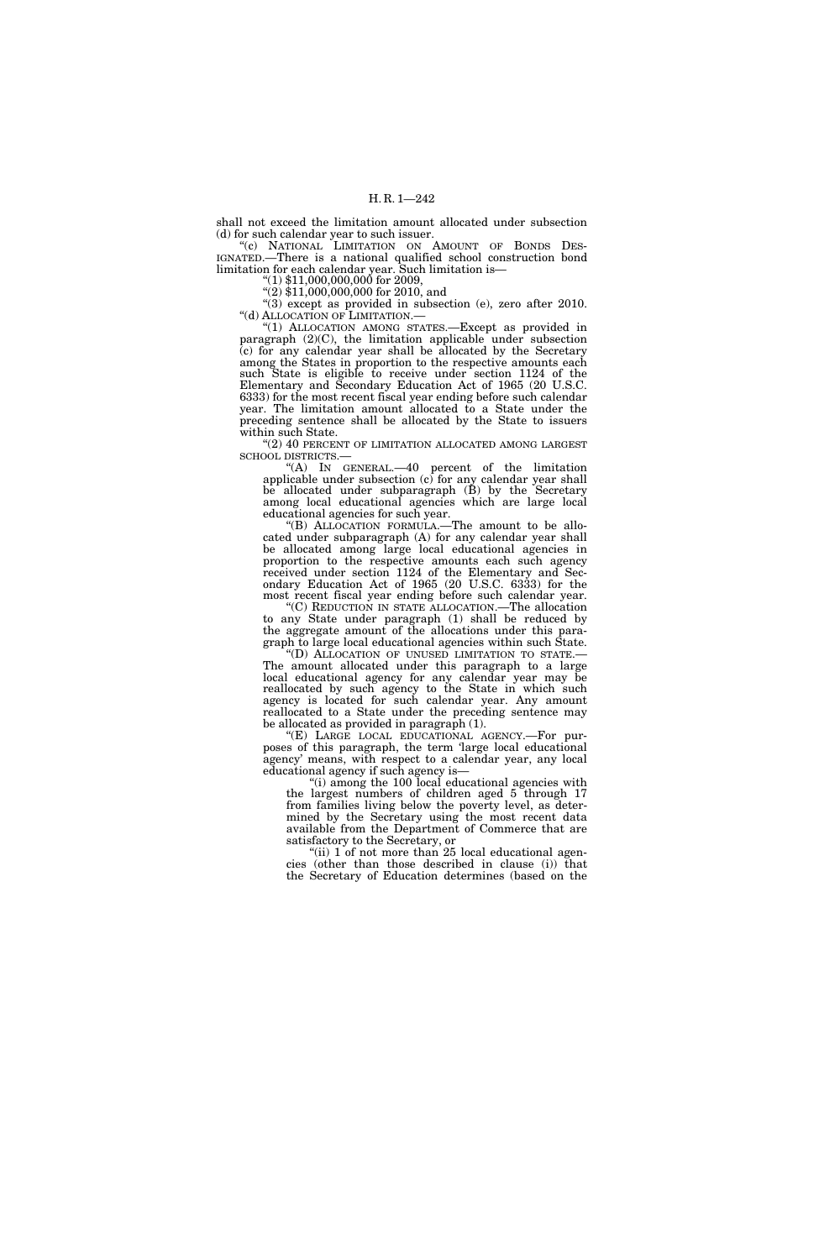shall not exceed the limitation amount allocated under subsection (d) for such calendar year to such issuer.

"(c) NATIONAL LIMITATION ON AMOUNT OF BONDS DES-IGNATED.—There is a national qualified school construction bond limitation for each calendar year. Such limitation is—

 $\text{``(1)} \$11,000,000,000$  for 2009,

 $(2)$ \$11,000,000,000 for 2010, and  $\sqrt[4]{(3)}$  except as provided in subsection (e), zero after 2010. ''(d) ALLOCATION OF LIMITATION.—

''(1) ALLOCATION AMONG STATES.—Except as provided in paragraph (2)(C), the limitation applicable under subsection (c) for any calendar year shall be allocated by the Secretary among the States in proportion to the respective amounts each such State is eligible to receive under section 1124 of the Elementary and Secondary Education Act of 1965 (20 U.S.C. 6333) for the most recent fiscal year ending before such calendar year. The limitation amount allocated to a State under the preceding sentence shall be allocated by the State to issuers within such State.

"(2) 40 PERCENT OF LIMITATION ALLOCATED AMONG LARGEST SCHOOL DISTRICTS.—

''(A) IN GENERAL.—40 percent of the limitation applicable under subsection (c) for any calendar year shall be allocated under subparagraph (B) by the Secretary among local educational agencies which are large local educational agencies for such year.

''(B) ALLOCATION FORMULA.—The amount to be allocated under subparagraph (A) for any calendar year shall be allocated among large local educational agencies in proportion to the respective amounts each such agency received under section 1124 of the Elementary and Secondary Education Act of 1965 (20 U.S.C. 6333) for the most recent fiscal year ending before such calendar year.

''(C) REDUCTION IN STATE ALLOCATION.—The allocation to any State under paragraph (1) shall be reduced by the aggregate amount of the allocations under this paragraph to large local educational agencies within such State.<br>"(D) ALLOCATION OF UNUSED LIMITATION TO STATE.—

The amount allocated under this paragraph to a large local educational agency for any calendar year may be reallocated by such agency to the State in which such agency is located for such calendar year. Any amount reallocated to a State under the preceding sentence may be allocated as provided in paragraph (1).

''(E) LARGE LOCAL EDUCATIONAL AGENCY.—For purposes of this paragraph, the term 'large local educational agency' means, with respect to a calendar year, any local educational agency if such agency is—

''(i) among the 100 local educational agencies with the largest numbers of children aged 5 through 17 from families living below the poverty level, as determined by the Secretary using the most recent data available from the Department of Commerce that are satisfactory to the Secretary, or

"(ii) 1 of not more than 25 local educational agencies (other than those described in clause (i)) that the Secretary of Education determines (based on the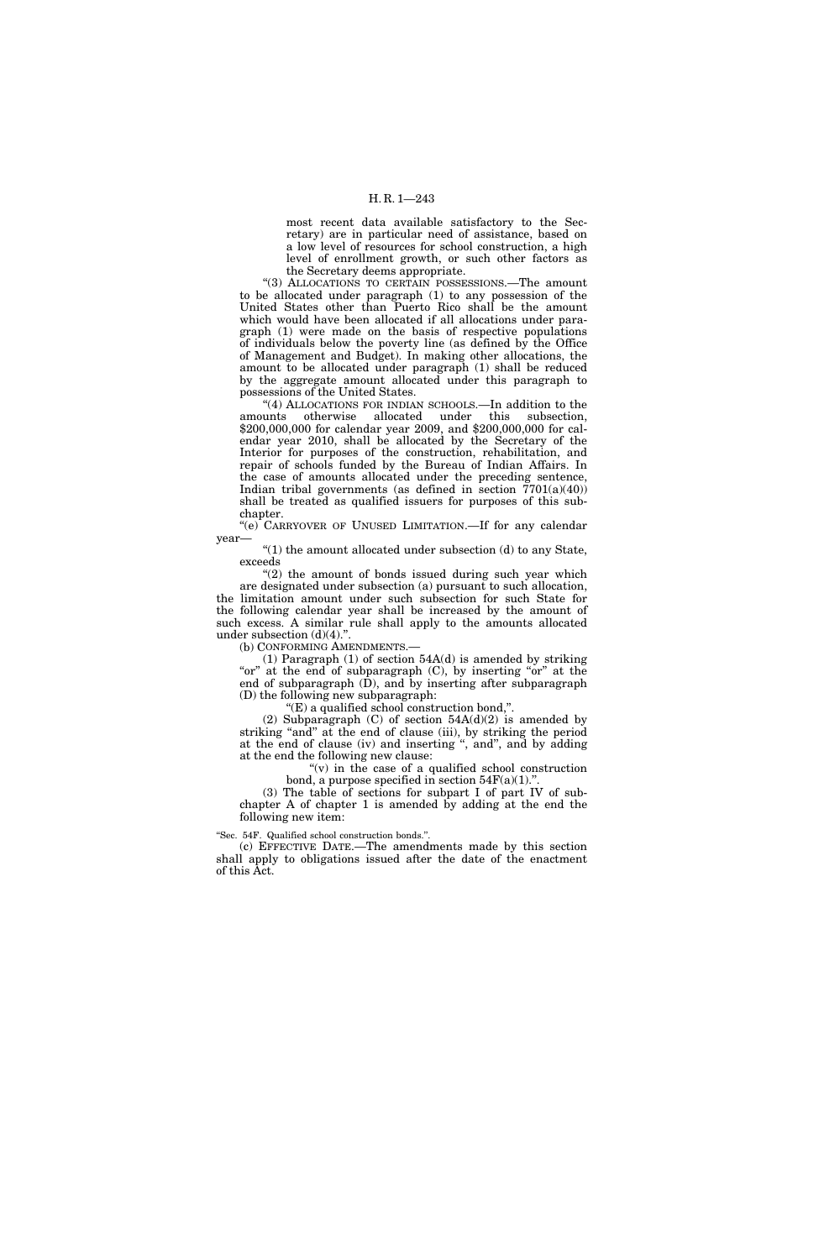most recent data available satisfactory to the Secretary) are in particular need of assistance, based on a low level of resources for school construction, a high level of enrollment growth, or such other factors as the Secretary deems appropriate.

"(3) ALLOCATIONS TO CERTAIN POSSESSIONS.—The amount to be allocated under paragraph (1) to any possession of the United States other than Puerto Rico shall be the amount which would have been allocated if all allocations under paragraph (1) were made on the basis of respective populations of individuals below the poverty line (as defined by the Office of Management and Budget). In making other allocations, the amount to be allocated under paragraph (1) shall be reduced by the aggregate amount allocated under this paragraph to possessions of the United States.

"(4) ALLOCATIONS FOR INDIAN SCHOOLS.—In addition to the amounts otherwise allocated under this subsection, \$200,000,000 for calendar year 2009, and \$200,000,000 for calendar year 2010, shall be allocated by the Secretary of the Interior for purposes of the construction, rehabilitation, and repair of schools funded by the Bureau of Indian Affairs. In the case of amounts allocated under the preceding sentence, Indian tribal governments (as defined in section  $7701(a)(40)$ ) shall be treated as qualified issuers for purposes of this subchapter.

''(e) CARRYOVER OF UNUSED LIMITATION.—If for any calendar year—

" $(1)$  the amount allocated under subsection  $(d)$  to any State, exceeds

 $''(2)$  the amount of bonds issued during such year which are designated under subsection (a) pursuant to such allocation, the limitation amount under such subsection for such State for the following calendar year shall be increased by the amount of such excess. A similar rule shall apply to the amounts allocated under subsection (d)(4).".

(b) CONFORMING AMENDMENTS.—

(1) Paragraph (1) of section 54A(d) is amended by striking "or" at the end of subparagraph (C), by inserting "or" at the end of subparagraph  $(D)$ , and by inserting after subparagraph (D) the following new subparagraph:

''(E) a qualified school construction bond,''.

(2) Subparagraph (C) of section  $54A(d)(2)$  is amended by striking "and" at the end of clause (iii), by striking the period at the end of clause (iv) and inserting ", and", and by adding at the end the following new clause:

> " $(v)$  in the case of a qualified school construction bond, a purpose specified in section  $54F(a)(1)$ .".

(3) The table of sections for subpart I of part IV of subchapter A of chapter 1 is amended by adding at the end the following new item:

''Sec. 54F. Qualified school construction bonds.''.

(c) EFFECTIVE DATE.—The amendments made by this section shall apply to obligations issued after the date of the enactment of this Act.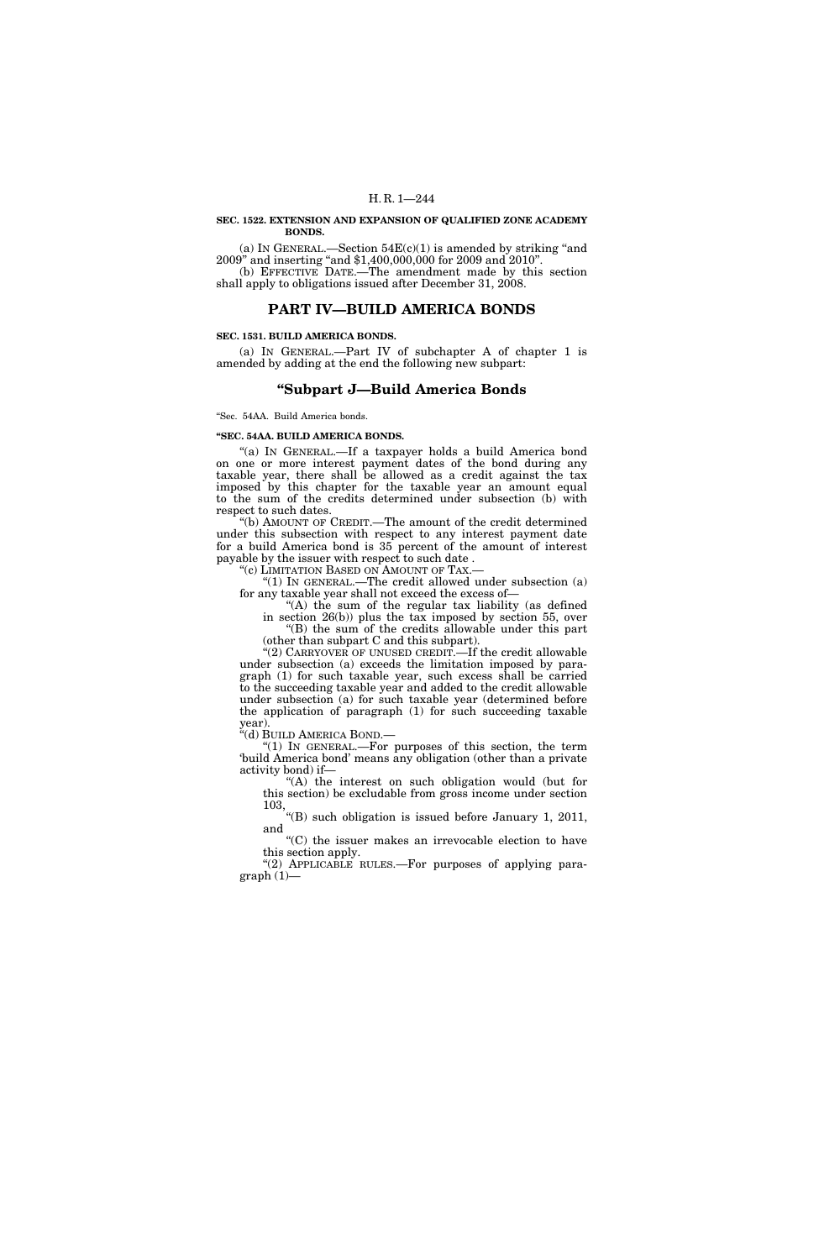#### **SEC. 1522. EXTENSION AND EXPANSION OF QUALIFIED ZONE ACADEMY BONDS.**

(a) IN GENERAL.—Section  $54E(c)(1)$  is amended by striking "and 2009'' and inserting ''and \$1,400,000,000 for 2009 and 2010''. (b) EFFECTIVE DATE.—The amendment made by this section shall apply to obligations issued after December 31, 2008.

## **PART IV—BUILD AMERICA BONDS**

#### **SEC. 1531. BUILD AMERICA BONDS.**

(a) IN GENERAL.—Part IV of subchapter A of chapter 1 is amended by adding at the end the following new subpart:

## **''Subpart J—Build America Bonds**

''Sec. 54AA. Build America bonds.

#### **''SEC. 54AA. BUILD AMERICA BONDS.**

"(a) IN GENERAL.—If a taxpayer holds a build America bond on one or more interest payment dates of the bond during any taxable year, there shall be allowed as a credit against the tax imposed by this chapter for the taxable year an amount equal to the sum of the credits determined under subsection (b) with respect to such dates.

''(b) AMOUNT OF CREDIT.—The amount of the credit determined under this subsection with respect to any interest payment date for a build America bond is 35 percent of the amount of interest payable by the issuer with respect to such date .

''(c) LIMITATION BASED ON AMOUNT OF TAX.—

''(1) IN GENERAL.—The credit allowed under subsection (a) for any taxable year shall not exceed the excess of—

''(A) the sum of the regular tax liability (as defined in section 26(b)) plus the tax imposed by section 55, over ''(B) the sum of the credits allowable under this part

(other than subpart C and this subpart).

''(2) CARRYOVER OF UNUSED CREDIT.—If the credit allowable under subsection (a) exceeds the limitation imposed by paragraph (1) for such taxable year, such excess shall be carried to the succeeding taxable year and added to the credit allowable under subsection (a) for such taxable year (determined before the application of paragraph (1) for such succeeding taxable year).

''(d) BUILD AMERICA BOND.—

''(1) IN GENERAL.—For purposes of this section, the term 'build America bond' means any obligation (other than a private activity bond) if—

''(A) the interest on such obligation would (but for this section) be excludable from gross income under section 103,

''(B) such obligation is issued before January 1, 2011, and

''(C) the issuer makes an irrevocable election to have this section apply.

"(2) APPLICABLE RULES.—For purposes of applying para $graph(1)$ —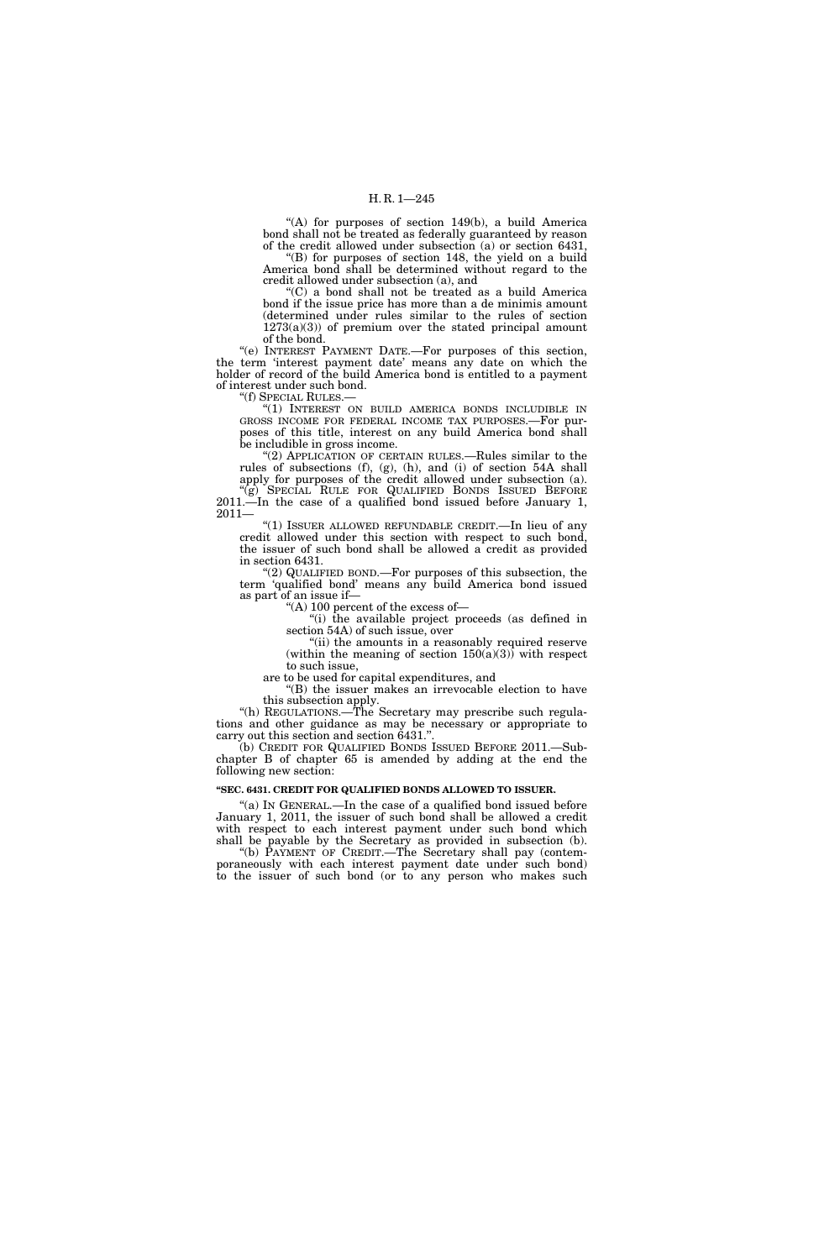"(A) for purposes of section 149(b), a build America bond shall not be treated as federally guaranteed by reason of the credit allowed under subsection (a) or section 6431,

 $E(E)$  for purposes of section 148, the yield on a build America bond shall be determined without regard to the credit allowed under subsection (a), and

''(C) a bond shall not be treated as a build America bond if the issue price has more than a de minimis amount (determined under rules similar to the rules of section  $1273(a)(3)$  of premium over the stated principal amount of the bond.

''(e) INTEREST PAYMENT DATE.—For purposes of this section, the term 'interest payment date' means any date on which the holder of record of the build America bond is entitled to a payment of interest under such bond.

''(f) SPECIAL RULES.—

''(1) INTEREST ON BUILD AMERICA BONDS INCLUDIBLE IN GROSS INCOME FOR FEDERAL INCOME TAX PURPOSES.—For purposes of this title, interest on any build America bond shall be includible in gross income.

''(2) APPLICATION OF CERTAIN RULES.—Rules similar to the rules of subsections (f), (g), (h), and (i) of section 54A shall apply for purposes of the credit allowed under subsection (a).

''(g) SPECIAL RULE FOR QUALIFIED BONDS ISSUED BEFORE 2011.—In the case of a qualified bond issued before January 1, 2011—

''(1) ISSUER ALLOWED REFUNDABLE CREDIT.—In lieu of any credit allowed under this section with respect to such bond, the issuer of such bond shall be allowed a credit as provided in section 6431.

''(2) QUALIFIED BOND.—For purposes of this subsection, the term 'qualified bond' means any build America bond issued as part of an issue if—

''(A) 100 percent of the excess of—

''(i) the available project proceeds (as defined in section 54A) of such issue, over

''(ii) the amounts in a reasonably required reserve (within the meaning of section  $150(a)(3)$ ) with respect to such issue,

are to be used for capital expenditures, and ''(B) the issuer makes an irrevocable election to have

this subsection apply.

''(h) REGULATIONS.—The Secretary may prescribe such regulations and other guidance as may be necessary or appropriate to carry out this section and section 6431.'

(b) CREDIT FOR QUALIFIED BONDS ISSUED BEFORE 2011.—Subchapter B of chapter 65 is amended by adding at the end the following new section:

### **''SEC. 6431. CREDIT FOR QUALIFIED BONDS ALLOWED TO ISSUER.**

"(a) IN GENERAL.—In the case of a qualified bond issued before January 1, 2011, the issuer of such bond shall be allowed a credit with respect to each interest payment under such bond which shall be payable by the Secretary as provided in subsection (b).

''(b) PAYMENT OF CREDIT.—The Secretary shall pay (contemporaneously with each interest payment date under such bond) to the issuer of such bond (or to any person who makes such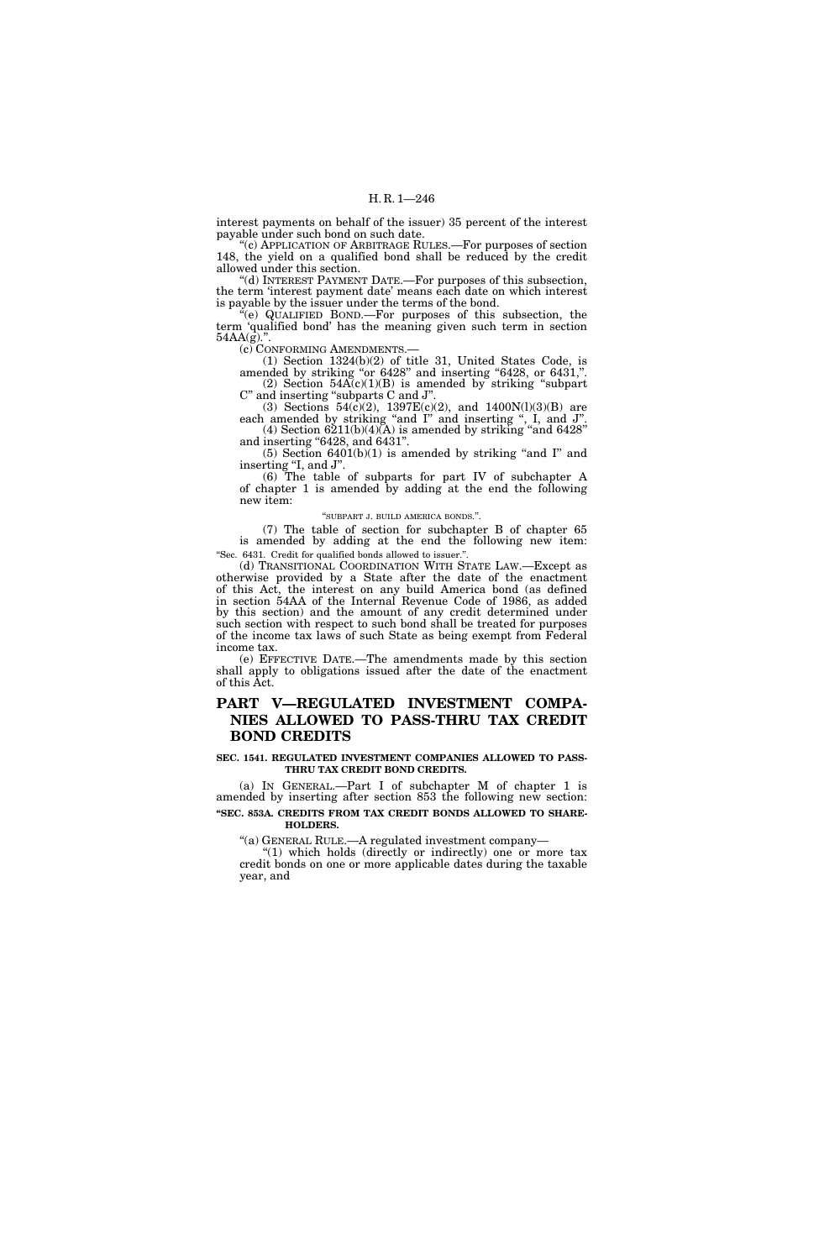interest payments on behalf of the issuer) 35 percent of the interest payable under such bond on such date.

<sup>(c)</sup> APPLICATION OF ARBITRAGE RULES.—For purposes of section 148, the yield on a qualified bond shall be reduced by the credit allowed under this section.

''(d) INTEREST PAYMENT DATE.—For purposes of this subsection, the term 'interest payment date' means each date on which interest is payable by the issuer under the terms of the bond.

 $\phi$ (e) QUALIFIED BOND.—For purposes of this subsection, the term 'qualified bond' has the meaning given such term in section 54AA(g).".<br>(c) CONFORMING AMENDMENTS.

(1) Section  $1324(b)(2)$  of title 31, United States Code, is amended by striking "or 6428" and inserting "6428, or 6431, (2) Section  $54A(c)(1)(B)$  is amended by striking "subpart C'' and inserting ''subparts C and J''.

(3) Sections  $54(c)(2)$ ,  $1397E(c)(2)$ , and  $1400N(1)(3)(B)$  are each amended by striking "and I" and inserting ", I, and J".  $(4)$  Section  $6211(b)(4)(A)$  is amended by striking "and  $6428"$ and inserting "6428, and 6431".

 $(5)$  Section 6401 $(b)(1)$  is amended by striking "and I" and inserting "I, and J".

(6) The table of subparts for part IV of subchapter A of chapter 1 is amended by adding at the end the following new item:

#### ''SUBPART J. BUILD AMERICA BONDS.''.

(7) The table of section for subchapter B of chapter 65 is amended by adding at the end the following new item: ''Sec. 6431. Credit for qualified bonds allowed to issuer.''.

(d) TRANSITIONAL COORDINATION WITH STATE LAW.—Except as otherwise provided by a State after the date of the enactment of this Act, the interest on any build America bond (as defined in section 54AA of the Internal Revenue Code of 1986, as added by this section) and the amount of any credit determined under such section with respect to such bond shall be treated for purposes of the income tax laws of such State as being exempt from Federal income tax.

(e) EFFECTIVE DATE.—The amendments made by this section shall apply to obligations issued after the date of the enactment of this Act.

## **PART V—REGULATED INVESTMENT COMPA-NIES ALLOWED TO PASS-THRU TAX CREDIT BOND CREDITS**

## **SEC. 1541. REGULATED INVESTMENT COMPANIES ALLOWED TO PASS-THRU TAX CREDIT BOND CREDITS.**

(a) IN GENERAL.—Part I of subchapter M of chapter 1 is amended by inserting after section 853 the following new section: **''SEC. 853A. CREDITS FROM TAX CREDIT BONDS ALLOWED TO SHARE-HOLDERS.** 

''(a) GENERAL RULE.—A regulated investment company—

" $(1)$  which holds (directly or indirectly) one or more tax credit bonds on one or more applicable dates during the taxable year, and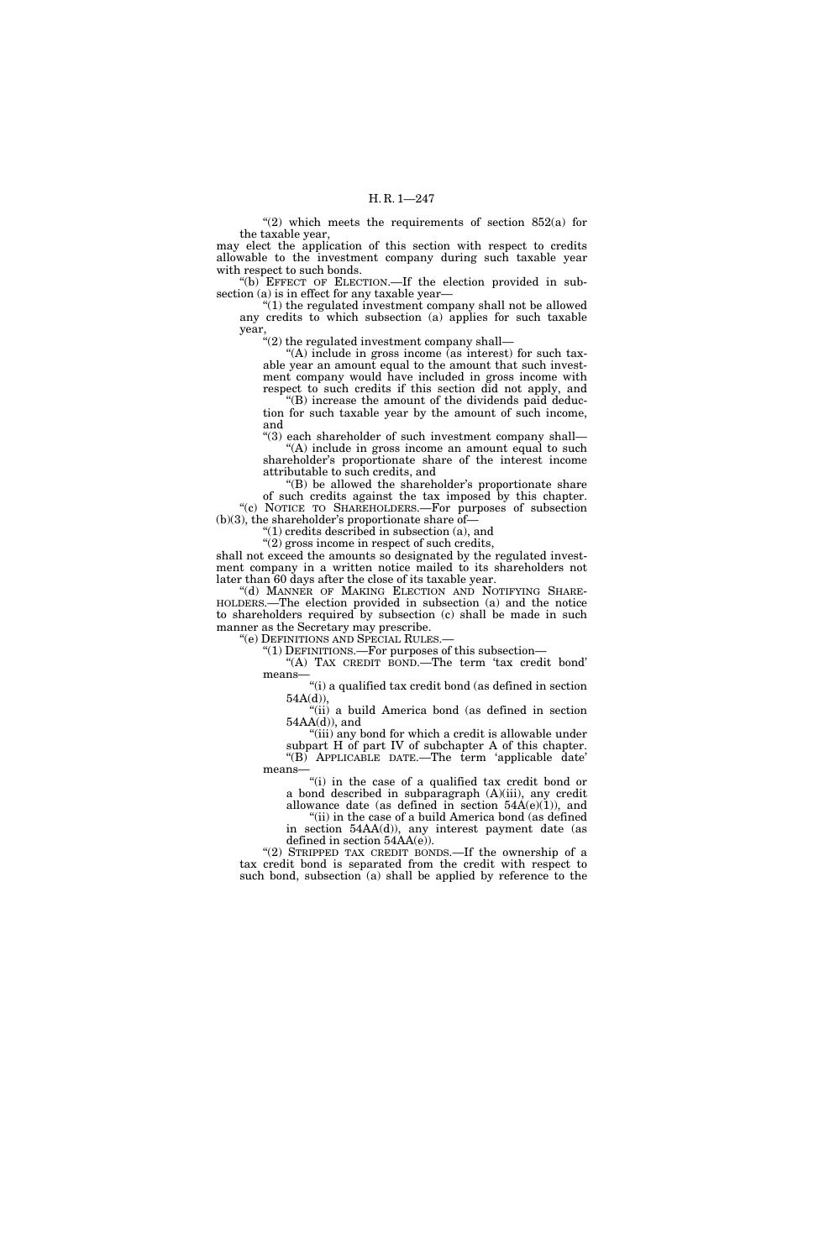"(2) which meets the requirements of section  $852(a)$  for the taxable year,

may elect the application of this section with respect to credits allowable to the investment company during such taxable year with respect to such bonds.

''(b) EFFECT OF ELECTION.—If the election provided in subsection (a) is in effect for any taxable year—

 $"(1)$  the regulated investment company shall not be allowed any credits to which subsection (a) applies for such taxable year,

 $t''(2)$  the regulated investment company shall—

"(A) include in gross income (as interest) for such taxable year an amount equal to the amount that such investment company would have included in gross income with respect to such credits if this section did not apply, and

''(B) increase the amount of the dividends paid deduction for such taxable year by the amount of such income, and

''(3) each shareholder of such investment company shall— "(A) include in gross income an amount equal to such shareholder's proportionate share of the interest income attributable to such credits, and

"(B) be allowed the shareholder's proportionate share of such credits against the tax imposed by this chapter. ''(c) NOTICE TO SHAREHOLDERS.—For purposes of subsection

 $(b)(3)$ , the shareholder's proportionate share of-''(1) credits described in subsection (a), and

 $''(2)$  gross income in respect of such credits,

shall not exceed the amounts so designated by the regulated investment company in a written notice mailed to its shareholders not later than 60 days after the close of its taxable year.

''(d) MANNER OF MAKING ELECTION AND NOTIFYING SHARE-HOLDERS.—The election provided in subsection (a) and the notice to shareholders required by subsection (c) shall be made in such manner as the Secretary may prescribe.

''(e) DEFINITIONS AND SPECIAL RULES.—

''(1) DEFINITIONS.—For purposes of this subsection— "(A) TAX CREDIT BOND.—The term 'tax credit bond'

means

''(i) a qualified tax credit bond (as defined in section 54A(d)),

"(ii) a build America bond (as defined in section  $54AA(d)$ , and

"(iii) any bond for which a credit is allowable under subpart H of part IV of subchapter A of this chapter. ''(B) APPLICABLE DATE.—The term 'applicable date' means—

"(i) in the case of a qualified tax credit bond or a bond described in subparagraph (A)(iii), any credit allowance date (as defined in section  $54A(e)(1)$ ), and

"(ii) in the case of a build America bond (as defined in section 54AA(d)), any interest payment date (as defined in section 54AA(e)).

"(2) STRIPPED TAX CREDIT BONDS.—If the ownership of a tax credit bond is separated from the credit with respect to such bond, subsection (a) shall be applied by reference to the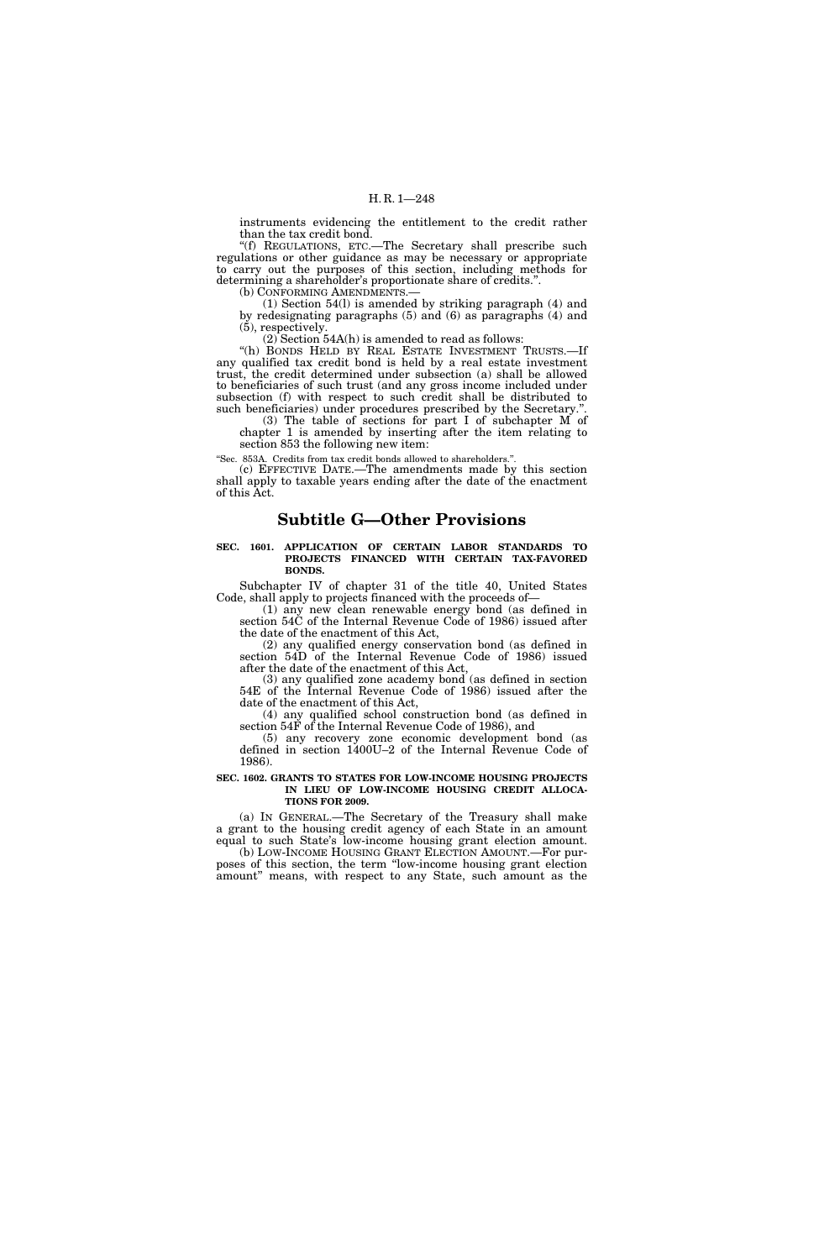instruments evidencing the entitlement to the credit rather than the tax credit bond.

''(f) REGULATIONS, ETC.—The Secretary shall prescribe such regulations or other guidance as may be necessary or appropriate to carry out the purposes of this section, including methods for determining a shareholder's proportionate share of credits.''.

(b) CONFORMING AMENDMENTS.

(1) Section 54(l) is amended by striking paragraph (4) and by redesignating paragraphs (5) and (6) as paragraphs (4) and (5), respectively.

 $(2)$  Section 54A(h) is amended to read as follows:

"(h) BONDS HELD BY REAL ESTATE INVESTMENT TRUSTS.—If any qualified tax credit bond is held by a real estate investment trust, the credit determined under subsection (a) shall be allowed to beneficiaries of such trust (and any gross income included under subsection (f) with respect to such credit shall be distributed to such beneficiaries) under procedures prescribed by the Secretary.'

(3) The table of sections for part I of subchapter M of chapter 1 is amended by inserting after the item relating to section 853 the following new item:

''Sec. 853A. Credits from tax credit bonds allowed to shareholders.''.

(c) EFFECTIVE DATE.—The amendments made by this section shall apply to taxable years ending after the date of the enactment of this Act.

## **Subtitle G—Other Provisions**

**SEC. 1601. APPLICATION OF CERTAIN LABOR STANDARDS TO PROJECTS FINANCED WITH CERTAIN TAX-FAVORED BONDS.** 

Subchapter IV of chapter 31 of the title 40, United States Code, shall apply to projects financed with the proceeds of—

(1) any new clean renewable energy bond (as defined in section 54C of the Internal Revenue Code of 1986) issued after the date of the enactment of this Act,

(2) any qualified energy conservation bond (as defined in section 54D of the Internal Revenue Code of 1986) issued after the date of the enactment of this Act,

(3) any qualified zone academy bond (as defined in section 54E of the Internal Revenue Code of 1986) issued after the date of the enactment of this Act,

(4) any qualified school construction bond (as defined in section 54F of the Internal Revenue Code of 1986), and

(5) any recovery zone economic development bond (as defined in section 1400U–2 of the Internal Revenue Code of 1986).

## **SEC. 1602. GRANTS TO STATES FOR LOW-INCOME HOUSING PROJECTS IN LIEU OF LOW-INCOME HOUSING CREDIT ALLOCA-TIONS FOR 2009.**

(a) IN GENERAL.—The Secretary of the Treasury shall make a grant to the housing credit agency of each State in an amount equal to such State's low-income housing grant election amount. (b) LOW-INCOME HOUSING GRANT ELECTION AMOUNT.—For pur-

poses of this section, the term ''low-income housing grant election amount'' means, with respect to any State, such amount as the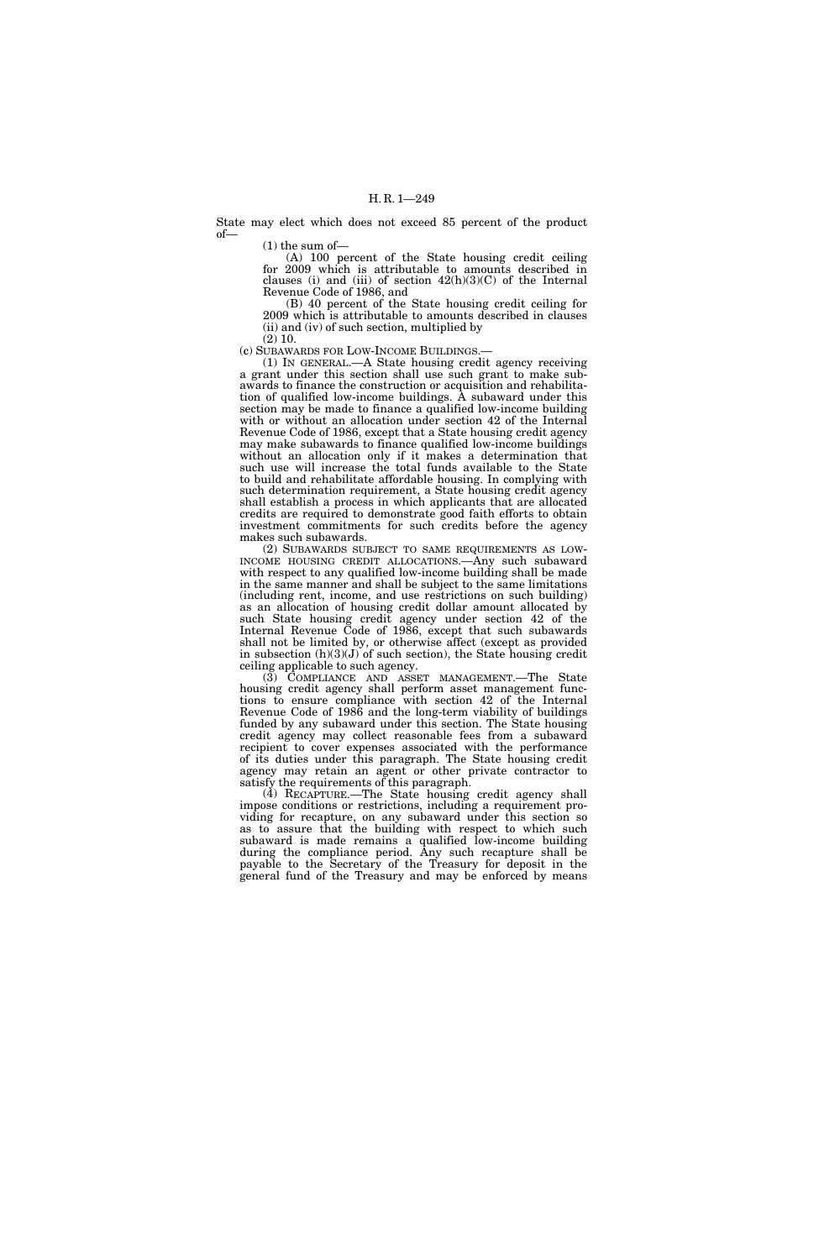State may elect which does not exceed 85 percent of the product of—

 $(1)$  the sum of-

(A) 100 percent of the State housing credit ceiling for 2009 which is attributable to amounts described in clauses (i) and (iii) of section  $42(h)(3)(C)$  of the Internal Revenue Code of 1986, and

(B) 40 percent of the State housing credit ceiling for 2009 which is attributable to amounts described in clauses (ii) and (iv) of such section, multiplied by

(2) 10. (c) SUBAWARDS FOR LOW-INCOME BUILDINGS.—

(1) IN GENERAL.—A State housing credit agency receiving a grant under this section shall use such grant to make subawards to finance the construction or acquisition and rehabilitation of qualified low-income buildings. A subaward under this section may be made to finance a qualified low-income building with or without an allocation under section 42 of the Internal Revenue Code of 1986, except that a State housing credit agency may make subawards to finance qualified low-income buildings without an allocation only if it makes a determination that such use will increase the total funds available to the State to build and rehabilitate affordable housing. In complying with such determination requirement, a State housing credit agency shall establish a process in which applicants that are allocated credits are required to demonstrate good faith efforts to obtain investment commitments for such credits before the agency makes such subawards.<br>(2) SUBAWARDS SUBJECT TO SAME REQUIREMENTS AS LOW-

INCOME HOUSING CREDIT ALLOCATIONS.—Any such subaward with respect to any qualified low-income building shall be made in the same manner and shall be subject to the same limitations (including rent, income, and use restrictions on such building) as an allocation of housing credit dollar amount allocated by such State housing credit agency under section 42 of the Internal Revenue Code of 1986, except that such subawards shall not be limited by, or otherwise affect (except as provided in subsection  $(h)(3)(J)$  of such section), the State housing credit ceiling applicable to such agency.

(3) COMPLIANCE AND ASSET MANAGEMENT.—The State housing credit agency shall perform asset management functions to ensure compliance with section 42 of the Internal Revenue Code of 1986 and the long-term viability of buildings funded by any subaward under this section. The State housing credit agency may collect reasonable fees from a subaward recipient to cover expenses associated with the performance of its duties under this paragraph. The State housing credit agency may retain an agent or other private contractor to satisfy the requirements of this paragraph.

(4) RECAPTURE.—The State housing credit agency shall impose conditions or restrictions, including a requirement providing for recapture, on any subaward under this section so as to assure that the building with respect to which such subaward is made remains a qualified low-income building during the compliance period. Any such recapture shall be payable to the Secretary of the Treasury for deposit in the general fund of the Treasury and may be enforced by means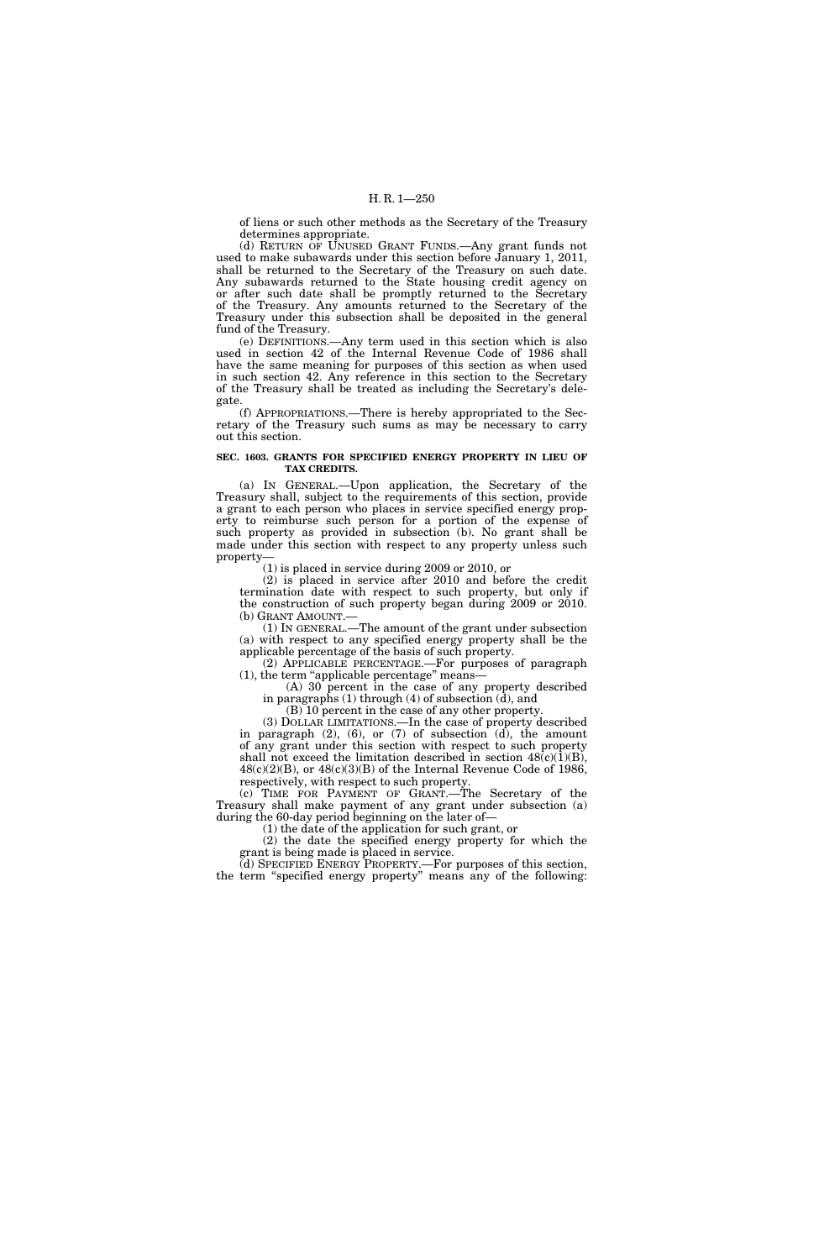of liens or such other methods as the Secretary of the Treasury determines appropriate.

(d) RETURN OF UNUSED GRANT FUNDS.—Any grant funds not used to make subawards under this section before January 1, 2011, shall be returned to the Secretary of the Treasury on such date. Any subawards returned to the State housing credit agency on or after such date shall be promptly returned to the Secretary of the Treasury. Any amounts returned to the Secretary of the Treasury under this subsection shall be deposited in the general fund of the Treasury.

(e) DEFINITIONS.—Any term used in this section which is also used in section 42 of the Internal Revenue Code of 1986 shall have the same meaning for purposes of this section as when used in such section 42. Any reference in this section to the Secretary of the Treasury shall be treated as including the Secretary's delegate.

(f) APPROPRIATIONS.—There is hereby appropriated to the Secretary of the Treasury such sums as may be necessary to carry out this section.

## **SEC. 1603. GRANTS FOR SPECIFIED ENERGY PROPERTY IN LIEU OF TAX CREDITS.**

(a) IN GENERAL.—Upon application, the Secretary of the Treasury shall, subject to the requirements of this section, provide a grant to each person who places in service specified energy property to reimburse such person for a portion of the expense of such property as provided in subsection (b). No grant shall be made under this section with respect to any property unless such property—

(1) is placed in service during 2009 or 2010, or

(2) is placed in service after 2010 and before the credit termination date with respect to such property, but only if the construction of such property began during 2009 or 2010. (b) GRANT AMOUNT.—

(1) IN GENERAL.—The amount of the grant under subsection (a) with respect to any specified energy property shall be the applicable percentage of the basis of such property.

(2) APPLICABLE PERCENTAGE.—For purposes of paragraph (1), the term ''applicable percentage'' means—

(A) 30 percent in the case of any property described in paragraphs (1) through (4) of subsection (d), and

(B) 10 percent in the case of any other property.

(3) DOLLAR LIMITATIONS.—In the case of property described in paragraph (2), (6), or (7) of subsection (d), the amount of any grant under this section with respect to such property shall not exceed the limitation described in section  $48(c)(1)(B)$ ,  $48(c)(2)(B)$ , or  $48(c)(3)(B)$  of the Internal Revenue Code of 1986, respectively, with respect to such property.

(c) TIME FOR PAYMENT OF GRANT.—The Secretary of the Treasury shall make payment of any grant under subsection (a) during the 60-day period beginning on the later of—

(1) the date of the application for such grant, or

(2) the date the specified energy property for which the grant is being made is placed in service.

(d) SPECIFIED ENERGY PROPERTY.—For purposes of this section, the term ''specified energy property'' means any of the following: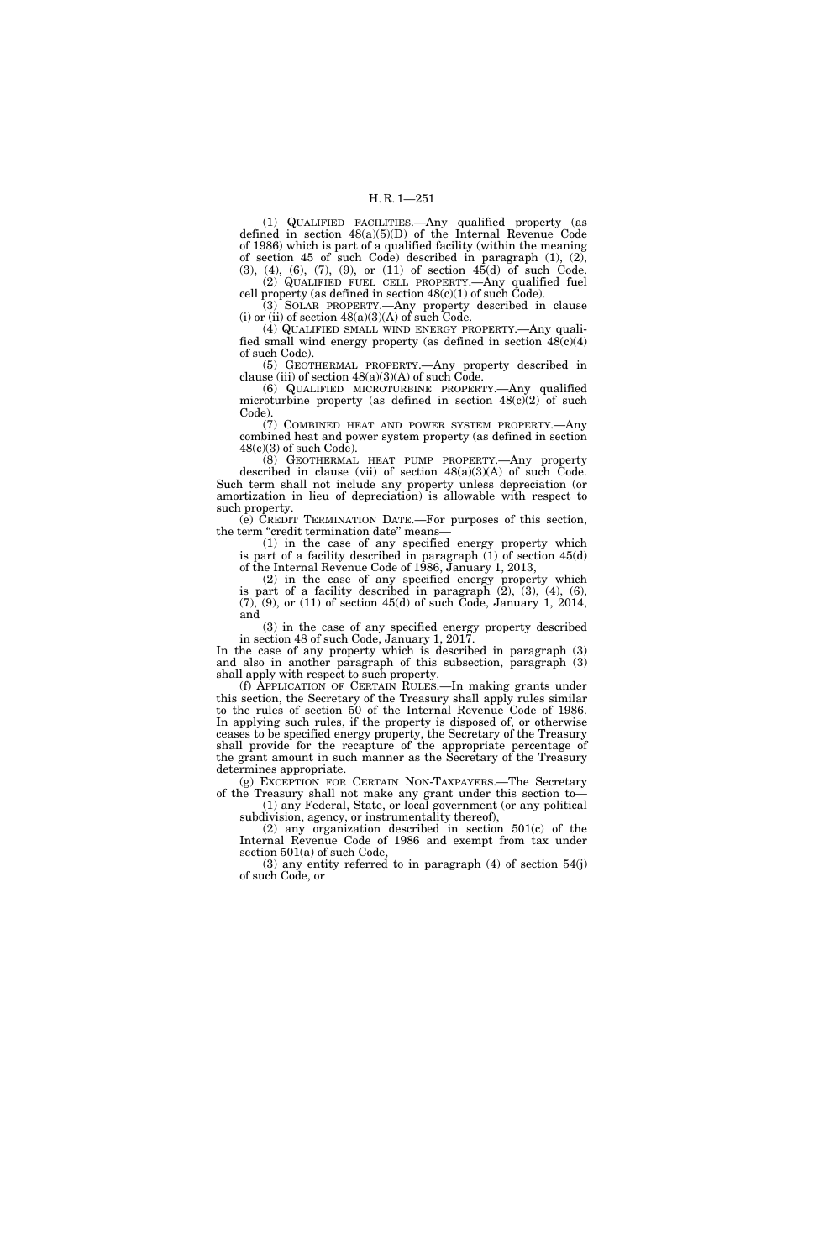(1) QUALIFIED FACILITIES.—Any qualified property (as defined in section 48(a)(5)(D) of the Internal Revenue Code of 1986) which is part of a qualified facility (within the meaning of section 45 of such Code) described in paragraph  $(1)$ ,  $(2)$ ,  $(3)$ ,  $(4)$ ,  $(6)$ ,  $(7)$ ,  $(9)$ , or  $(11)$  of section  $45(d)$  of such Code.

(2) QUALIFIED FUEL CELL PROPERTY.—Any qualified fuel cell property (as defined in section  $48(c)(1)$  of such Code).

(3) SOLAR PROPERTY.—Any property described in clause (i) or (ii) of section  $48(a)(3)(A)$  of such Code.

(4) QUALIFIED SMALL WIND ENERGY PROPERTY.—Any qualified small wind energy property (as defined in section  $48(c)(4)$ of such Code).

(5) GEOTHERMAL PROPERTY.—Any property described in clause (iii) of section  $48(a)(3)(A)$  of such Code.

(6) QUALIFIED MICROTURBINE PROPERTY.—Any qualified microturbine property (as defined in section  $48(c)(2)$  of such Code).

(7) COMBINED HEAT AND POWER SYSTEM PROPERTY.—Any combined heat and power system property (as defined in section  $48(c)(3)$  of such Code).

(8) GEOTHERMAL HEAT PUMP PROPERTY.—Any property described in clause (vii) of section  $48(a)(3)(A)$  of such Code. Such term shall not include any property unless depreciation (or amortization in lieu of depreciation) is allowable with respect to such property.

(e) CREDIT TERMINATION DATE.—For purposes of this section, the term "credit termination date" means-

(1) in the case of any specified energy property which is part of a facility described in paragraph (1) of section 45(d) of the Internal Revenue Code of 1986, January 1, 2013,

(2) in the case of any specified energy property which is part of a facility described in paragraph (2), (3), (4), (6),  $(7)$ ,  $(9)$ , or  $(11)$  of section 45(d) of such Code, January 1, 2014, and

(3) in the case of any specified energy property described in section 48 of such Code, January 1, 2017.

In the case of any property which is described in paragraph (3) and also in another paragraph of this subsection, paragraph (3) shall apply with respect to such property.

(f) APPLICATION OF CERTAIN RULES.—In making grants under this section, the Secretary of the Treasury shall apply rules similar to the rules of section 50 of the Internal Revenue Code of 1986. In applying such rules, if the property is disposed of, or otherwise ceases to be specified energy property, the Secretary of the Treasury shall provide for the recapture of the appropriate percentage of the grant amount in such manner as the Secretary of the Treasury determines appropriate.

(g) EXCEPTION FOR CERTAIN NON-TAXPAYERS.—The Secretary of the Treasury shall not make any grant under this section to— (1) any Federal, State, or local government (or any political

subdivision, agency, or instrumentality thereof),

(2) any organization described in section 501(c) of the Internal Revenue Code of 1986 and exempt from tax under section 501(a) of such Code,

(3) any entity referred to in paragraph (4) of section 54(j) of such Code, or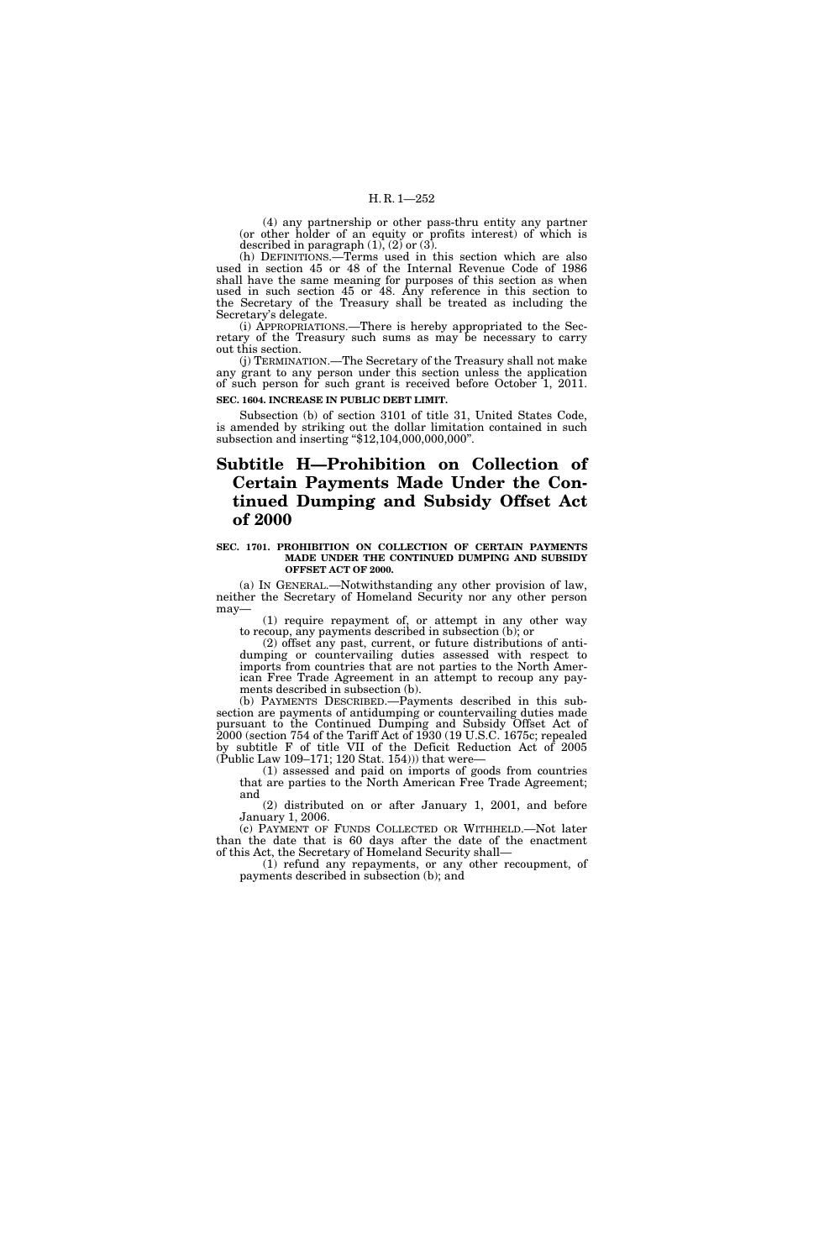(4) any partnership or other pass-thru entity any partner (or other holder of an equity or profits interest) of which is described in paragraph  $(1)$ ,  $(2)$  or  $(3)$ .

(h) DEFINITIONS.—Terms used in this section which are also used in section 45 or 48 of the Internal Revenue Code of 1986 shall have the same meaning for purposes of this section as when used in such section 45 or 48. Any reference in this section to the Secretary of the Treasury shall be treated as including the Secretary's delegate.

(i) APPROPRIATIONS.—There is hereby appropriated to the Secretary of the Treasury such sums as may be necessary to carry out this section.

(j) TERMINATION.—The Secretary of the Treasury shall not make any grant to any person under this section unless the application of such person for such grant is received before October 1, 2011. **SEC. 1604. INCREASE IN PUBLIC DEBT LIMIT.** 

Subsection (b) of section 3101 of title 31, United States Code, is amended by striking out the dollar limitation contained in such subsection and inserting ''\$12,104,000,000,000''.

# **Subtitle H—Prohibition on Collection of Certain Payments Made Under the Continued Dumping and Subsidy Offset Act of 2000**

#### **SEC. 1701. PROHIBITION ON COLLECTION OF CERTAIN PAYMENTS MADE UNDER THE CONTINUED DUMPING AND SUBSIDY OFFSET ACT OF 2000.**

(a) IN GENERAL.—Notwithstanding any other provision of law, neither the Secretary of Homeland Security nor any other person may—

(1) require repayment of, or attempt in any other way to recoup, any payments described in subsection (b); or

(2) offset any past, current, or future distributions of antidumping or countervailing duties assessed with respect to imports from countries that are not parties to the North American Free Trade Agreement in an attempt to recoup any payments described in subsection (b).

(b) PAYMENTS DESCRIBED.—Payments described in this subsection are payments of antidumping or countervailing duties made pursuant to the Continued Dumping and Subsidy Offset Act of 2000 (section 754 of the Tariff Act of 1930 (19 U.S.C. 1675c; repealed by subtitle F of title VII of the Deficit Reduction Act of 2005  $(\text{Public Law 109–171}; 120 \text{ Stat. } 154))$  that were-

(1) assessed and paid on imports of goods from countries that are parties to the North American Free Trade Agreement; and

(2) distributed on or after January 1, 2001, and before January 1, 2006.

(c) PAYMENT OF FUNDS COLLECTED OR WITHHELD.—Not later than the date that is 60 days after the date of the enactment of this Act, the Secretary of Homeland Security shall—

(1) refund any repayments, or any other recoupment, of payments described in subsection (b); and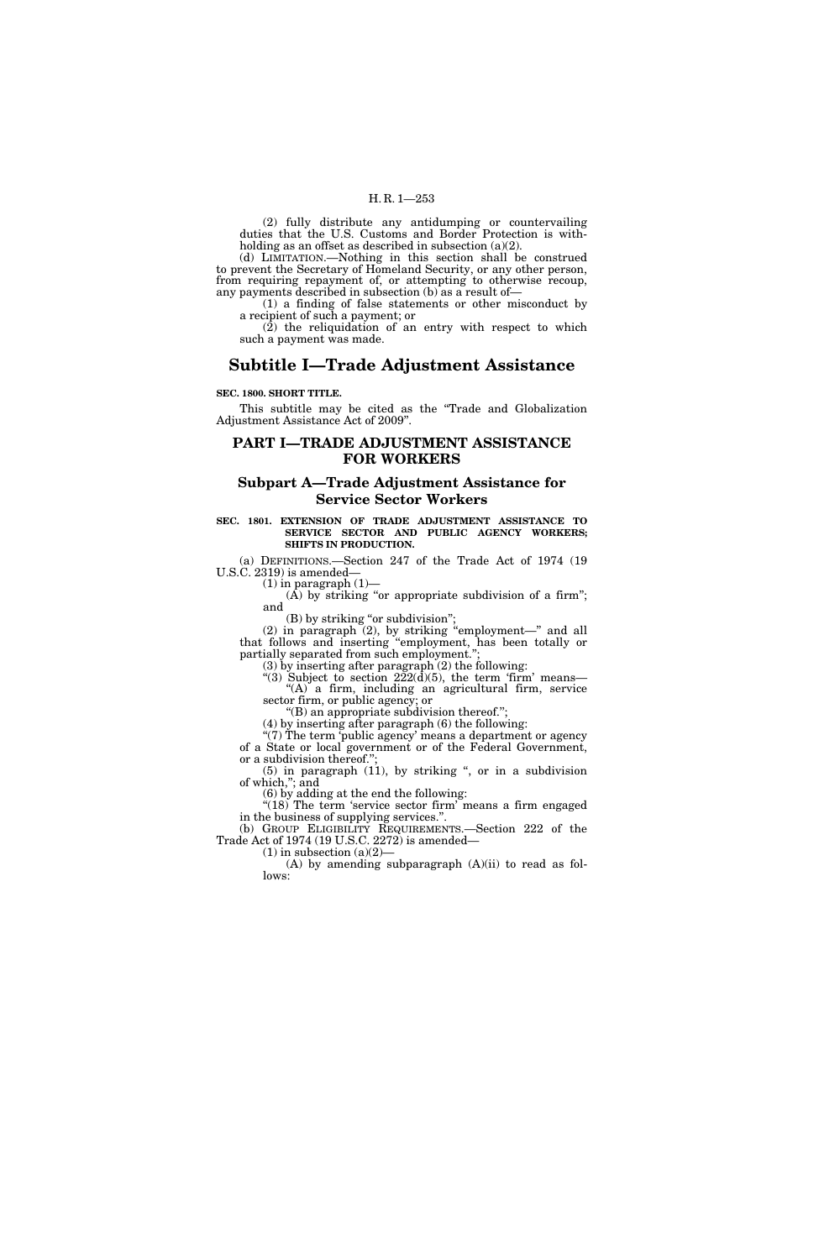(2) fully distribute any antidumping or countervailing duties that the U.S. Customs and Border Protection is withholding as an offset as described in subsection (a)(2).

(d) LIMITATION.—Nothing in this section shall be construed to prevent the Secretary of Homeland Security, or any other person, from requiring repayment of, or attempting to otherwise recoup, any payments described in subsection (b) as a result of—

(1) a finding of false statements or other misconduct by a recipient of such a payment; or

 $(2)$  the reliquidation of an entry with respect to which such a payment was made.

# **Subtitle I—Trade Adjustment Assistance**

## **SEC. 1800. SHORT TITLE.**

This subtitle may be cited as the "Trade and Globalization" Adjustment Assistance Act of 2009''.

# **PART I—TRADE ADJUSTMENT ASSISTANCE FOR WORKERS**

# **Subpart A—Trade Adjustment Assistance for Service Sector Workers**

#### **SEC. 1801. EXTENSION OF TRADE ADJUSTMENT ASSISTANCE TO SERVICE SECTOR AND PUBLIC AGENCY WORKERS; SHIFTS IN PRODUCTION.**

(a) DEFINITIONS.—Section 247 of the Trade Act of 1974 (19 U.S.C. 2319) is amended—

 $(1)$  in paragraph  $(1)$ –

 $(A)$  by striking "or appropriate subdivision of a firm"; and

(B) by striking "or subdivision";

 $(2)$  in paragraph  $(2)$ , by striking "employment—" and all that follows and inserting ''employment, has been totally or partially separated from such employment.'';

(3) by inserting after paragraph  $(2)$  the following:

"(3) Subject to section  $222(d)(5)$ , the term 'firm' means— "(A) a firm, including an agricultural firm, service sector firm, or public agency; or

''(B) an appropriate subdivision thereof.'';

(4) by inserting after paragraph (6) the following:

 $\cdot$ (7) The term 'public agency' means a department or agency of a State or local government or of the Federal Government, or a subdivision thereof.'';

 $(5)$  in paragraph  $(11)$ , by striking ", or in a subdivision of which,''; and

(6) by adding at the end the following:

"(18) The term 'service sector firm' means a firm engaged in the business of supplying services.''.

(b) GROUP ELIGIBILITY REQUIREMENTS.—Section 222 of the Trade Act of 1974 (19 U.S.C. 2272) is amended—

 $(1)$  in subsection  $(a)(2)$ 

(A) by amending subparagraph (A)(ii) to read as follows: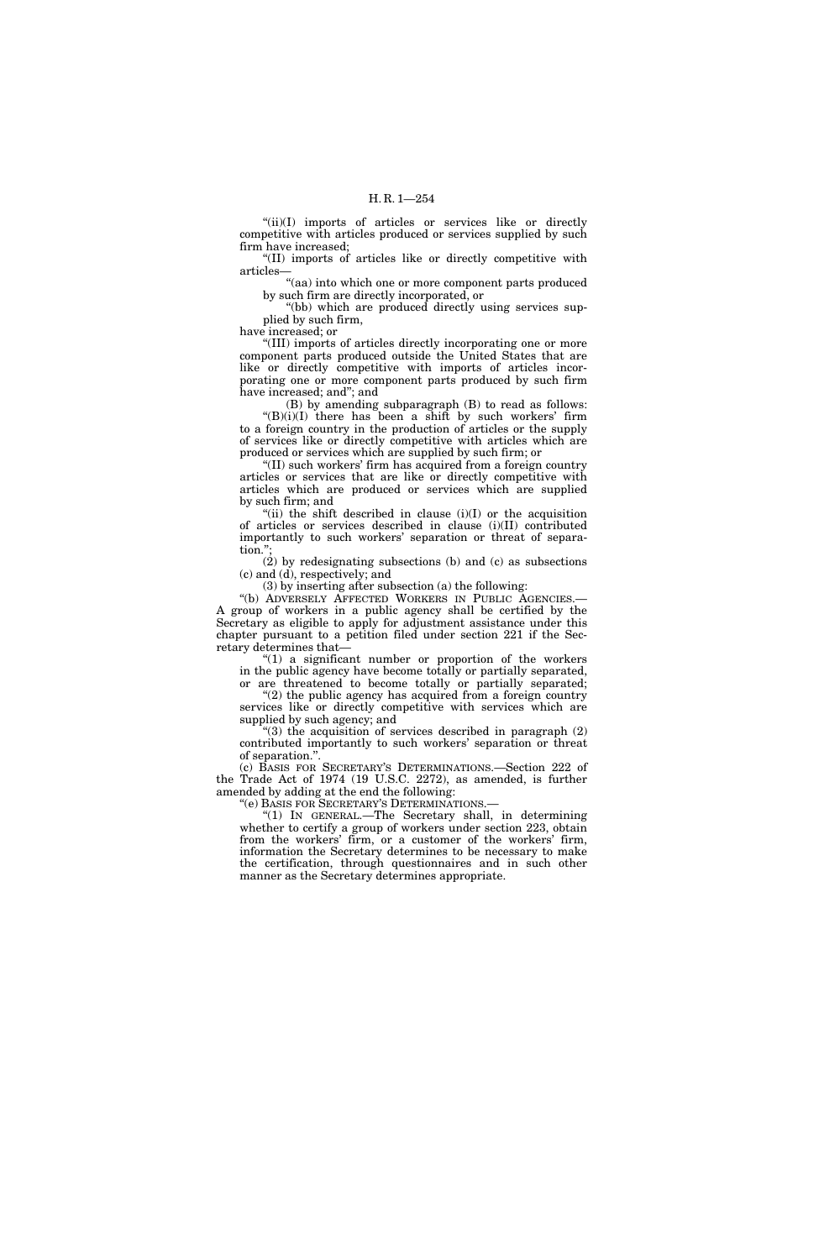"(ii)(I) imports of articles or services like or directly competitive with articles produced or services supplied by such firm have increased;

''(II) imports of articles like or directly competitive with articles—

"(aa) into which one or more component parts produced by such firm are directly incorporated, or

''(bb) which are produced directly using services supplied by such firm,

have increased; or

''(III) imports of articles directly incorporating one or more component parts produced outside the United States that are like or directly competitive with imports of articles incorporating one or more component parts produced by such firm have increased; and''; and

(B) by amending subparagraph (B) to read as follows:  $"(B)(i)(I)$  there has been a shift by such workers' firm to a foreign country in the production of articles or the supply

of services like or directly competitive with articles which are produced or services which are supplied by such firm; or

''(II) such workers' firm has acquired from a foreign country articles or services that are like or directly competitive with articles which are produced or services which are supplied by such firm; and

"(ii) the shift described in clause  $(i)(I)$  or the acquisition of articles or services described in clause (i)(II) contributed importantly to such workers' separation or threat of separation.'';

(2) by redesignating subsections (b) and (c) as subsections (c) and (d), respectively; and

(3) by inserting after subsection (a) the following:

''(b) ADVERSELY AFFECTED WORKERS IN PUBLIC AGENCIES.— A group of workers in a public agency shall be certified by the Secretary as eligible to apply for adjustment assistance under this chapter pursuant to a petition filed under section 221 if the Secretary determines that—

"(1) a significant number or proportion of the workers in the public agency have become totally or partially separated,

or are threatened to become totally or partially separated; "(2) the public agency has acquired from a foreign country services like or directly competitive with services which are supplied by such agency; and

"(3) the acquisition of services described in paragraph  $(2)$ contributed importantly to such workers' separation or threat of separation.''.

(c) BASIS FOR SECRETARY'S DETERMINATIONS.—Section 222 of the Trade Act of 1974 (19 U.S.C. 2272), as amended, is further amended by adding at the end the following:

''(e) BASIS FOR SECRETARY'S DETERMINATIONS.—

''(1) IN GENERAL.—The Secretary shall, in determining whether to certify a group of workers under section 223, obtain from the workers' firm, or a customer of the workers' firm, information the Secretary determines to be necessary to make the certification, through questionnaires and in such other manner as the Secretary determines appropriate.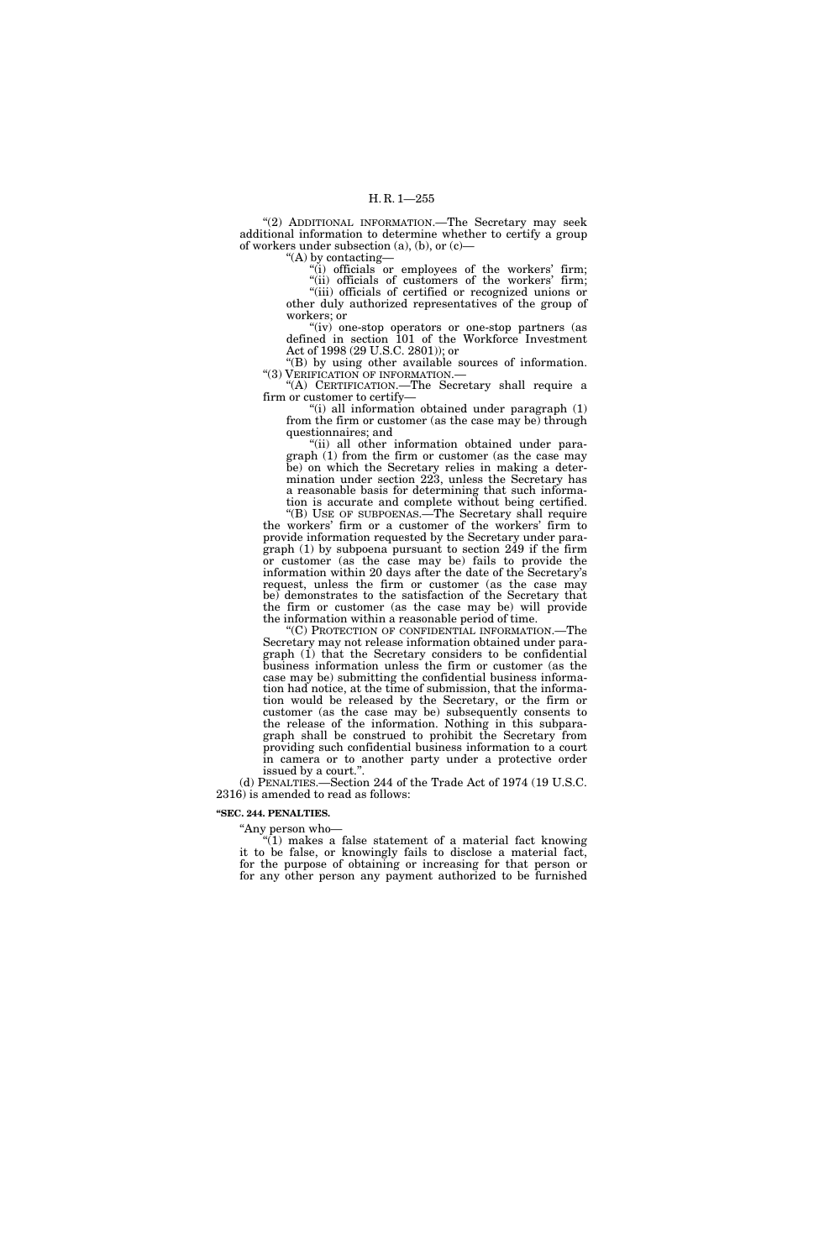"(2) ADDITIONAL INFORMATION.—The Secretary may seek additional information to determine whether to certify a group of workers under subsection (a), (b), or (c)—

''(A) by contacting—

"(i) officials or employees of the workers' firm; "(ii) officials of customers of the workers' firm; ''(iii) officials of certified or recognized unions or other duly authorized representatives of the group of

workers; or "(iv) one-stop operators or one-stop partners (as defined in section 101 of the Workforce Investment

Act of 1998 (29 U.S.C. 2801)); or ''(B) by using other available sources of information. ''(3) VERIFICATION OF INFORMATION.—

''(A) CERTIFICATION.—The Secretary shall require a firm or customer to certify—

"(i) all information obtained under paragraph (1) from the firm or customer (as the case may be) through questionnaires; and

"(ii) all other information obtained under paragraph (1) from the firm or customer (as the case may be) on which the Secretary relies in making a determination under section 223, unless the Secretary has a reasonable basis for determining that such information is accurate and complete without being certified.

''(B) USE OF SUBPOENAS.—The Secretary shall require the workers' firm or a customer of the workers' firm to provide information requested by the Secretary under paragraph  $(1)$  by subpoena pursuant to section 249 if the firm or customer (as the case may be) fails to provide the information within 20 days after the date of the Secretary's request, unless the firm or customer (as the case may be) demonstrates to the satisfaction of the Secretary that the firm or customer (as the case may be) will provide the information within a reasonable period of time.

''(C) PROTECTION OF CONFIDENTIAL INFORMATION.—The Secretary may not release information obtained under paragraph (1) that the Secretary considers to be confidential business information unless the firm or customer (as the case may be) submitting the confidential business information had notice, at the time of submission, that the information would be released by the Secretary, or the firm or customer (as the case may be) subsequently consents to the release of the information. Nothing in this subparagraph shall be construed to prohibit the Secretary from providing such confidential business information to a court in camera or to another party under a protective order issued by a court.''.

(d) PENALTIES.—Section 244 of the Trade Act of 1974 (19 U.S.C. 2316) is amended to read as follows:

## **''SEC. 244. PENALTIES.**

"Any person who-

 $(1)$  makes a false statement of a material fact knowing it to be false, or knowingly fails to disclose a material fact, for the purpose of obtaining or increasing for that person or for any other person any payment authorized to be furnished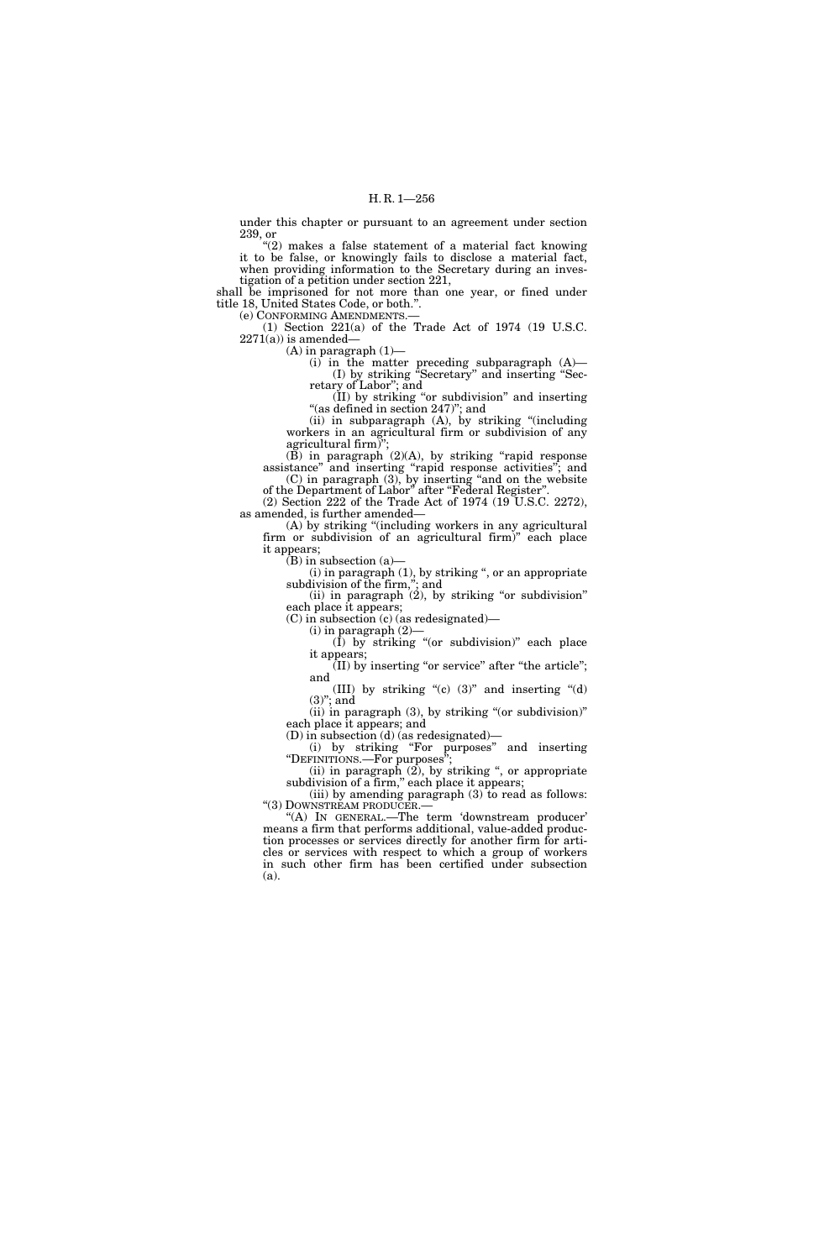under this chapter or pursuant to an agreement under section 239, or

"(2) makes a false statement of a material fact knowing it to be false, or knowingly fails to disclose a material fact, when providing information to the Secretary during an investigation of a petition under section 221,

shall be imprisoned for not more than one year, or fined under title 18, United States Code, or both.''. (e) CONFORMING AMENDMENTS.—

(1) Section 221(a) of the Trade Act of 1974 (19 U.S.C.

 $2271(a)$ ) is amended—

 $(A)$  in paragraph  $(1)$ —

(i) in the matter preceding subparagraph (A)— (I) by striking ''Secretary'' and inserting ''Secretary of Labor''; and

(II) by striking ''or subdivision'' and inserting "(as defined in section 247)"; and

(ii) in subparagraph (A), by striking ''(including workers in an agricultural firm or subdivision of any agricultural firm $\overline{y}$ 

 $(B)$  in paragraph  $(2)(A)$ , by striking "rapid response" assistance'' and inserting ''rapid response activities''; and (C) in paragraph (3), by inserting ''and on the website

of the Department of Labor'' after ''Federal Register''. (2) Section 222 of the Trade Act of 1974 (19 U.S.C. 2272), as amended, is further amended—

(A) by striking ''(including workers in any agricultural firm or subdivision of an agricultural firm)'' each place it appears;

 $(B)$  in subsection  $(a)$ —

 $(i)$  in paragraph  $(1)$ , by striking ", or an appropriate subdivision of the firm,''; and

 $(iii)$  in paragraph  $(2)$ , by striking "or subdivision" each place it appears;

(C) in subsection (c) (as redesignated)—

 $(i)$  in paragraph  $(2)$ 

 $(1)$  by striking "(or subdivision)" each place it appears;  $(II)$  by inserting "or service" after "the article";

and

(III) by striking " $(c)$  (3)" and inserting " $(d)$  $(3)$ "; and

(ii) in paragraph  $(3)$ , by striking "(or subdivision)" each place it appears; and

(D) in subsection (d) (as redesignated)—

(i) by striking ''For purposes'' and inserting ''DEFINITIONS.—For purposes'';

(ii) in paragraph  $(2)$ , by striking ", or appropriate subdivision of a firm," each place it appears;

(iii) by amending paragraph  $(3)$  to read as follows:<br>" $(3)$  DOWNSTREAM PRODUCER.—

"(A) IN GENERAL.—The term 'downstream producer' means a firm that performs additional, value-added production processes or services directly for another firm for articles or services with respect to which a group of workers in such other firm has been certified under subsection (a).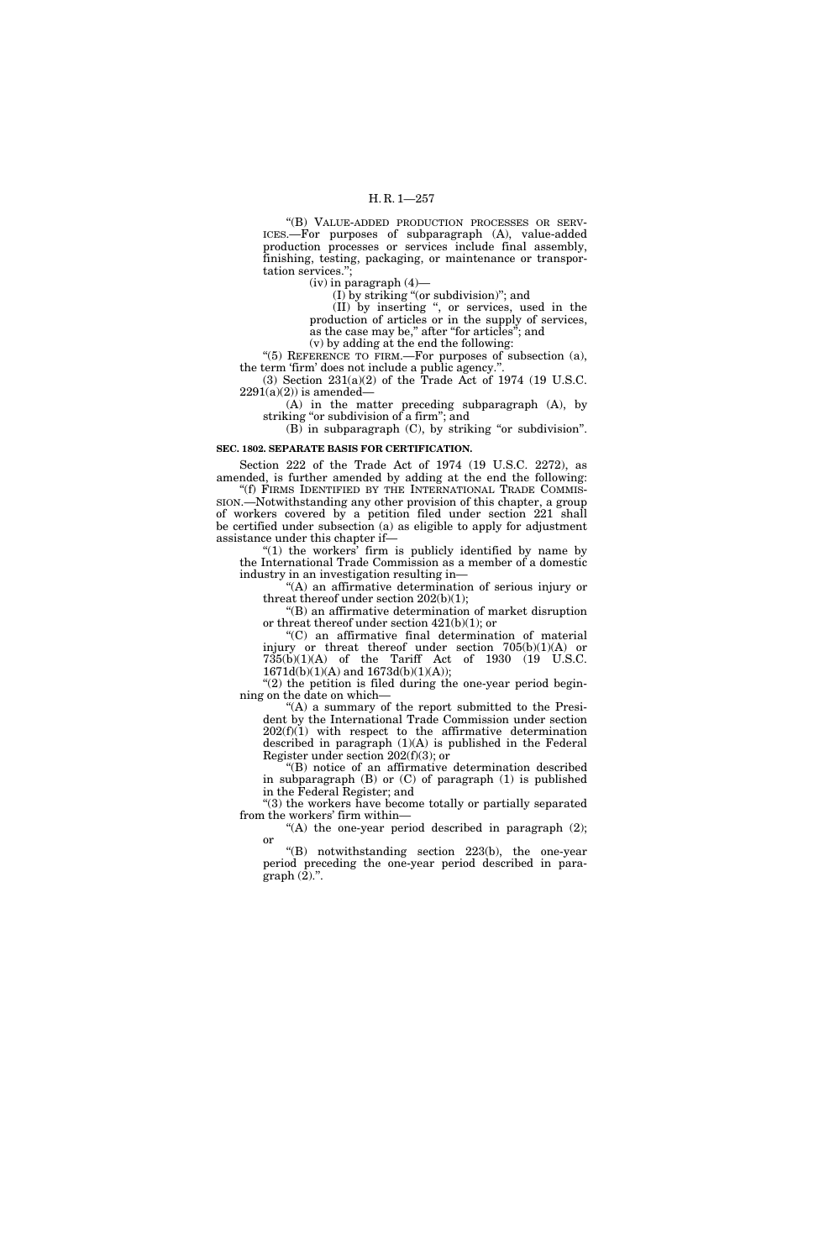## H. R. 1—257

''(B) VALUE-ADDED PRODUCTION PROCESSES OR SERV-ICES.—For purposes of subparagraph (A), value-added production processes or services include final assembly, finishing, testing, packaging, or maintenance or transportation services.'';

(iv) in paragraph (4)—

(I) by striking ''(or subdivision)''; and

(II) by inserting '', or services, used in the production of articles or in the supply of services, as the case may be," after "for articles"; and

(v) by adding at the end the following:

"(5) REFERENCE TO FIRM.—For purposes of subsection (a), the term 'firm' does not include a public agency.''.

(3) Section 231(a)(2) of the Trade Act of 1974 (19 U.S.C.  $2291(a)(2)$ ) is amended—

(A) in the matter preceding subparagraph (A), by striking "or subdivision of a firm"; and

 $(B)$  in subparagraph  $(C)$ , by striking "or subdivision".

# **SEC. 1802. SEPARATE BASIS FOR CERTIFICATION.**

Section 222 of the Trade Act of 1974 (19 U.S.C. 2272), as amended, is further amended by adding at the end the following:

''(f) FIRMS IDENTIFIED BY THE INTERNATIONAL TRADE COMMIS-SION.—Notwithstanding any other provision of this chapter, a group of workers covered by a petition filed under section 221 shall be certified under subsection (a) as eligible to apply for adjustment assistance under this chapter if—

" $(1)$  the workers' firm is publicly identified by name by the International Trade Commission as a member of a domestic industry in an investigation resulting in—

"(A) an affirmative determination of serious injury or threat thereof under section 202(b)(1);

''(B) an affirmative determination of market disruption or threat thereof under section 421(b)(1); or

''(C) an affirmative final determination of material injury or threat thereof under section  $705(b)(1)(A)$  or  $735(b)(1)(A)$  of the Tariff Act of 1930 (19 U.S.C. 1671d(b)(1)(A) and 1673d(b)(1)(A));

" $(2)$  the petition is filed during the one-year period beginning on the date on which—

"(A) a summary of the report submitted to the President by the International Trade Commission under section  $202(f)(1)$  with respect to the affirmative determination described in paragraph (1)(A) is published in the Federal Register under section 202(f)(3); or

''(B) notice of an affirmative determination described in subparagraph (B) or (C) of paragraph (1) is published in the Federal Register; and

''(3) the workers have become totally or partially separated from the workers' firm within—

"(A) the one-year period described in paragraph  $(2)$ ; or

''(B) notwithstanding section 223(b), the one-year period preceding the one-year period described in paragraph  $(\overline{2})$ .".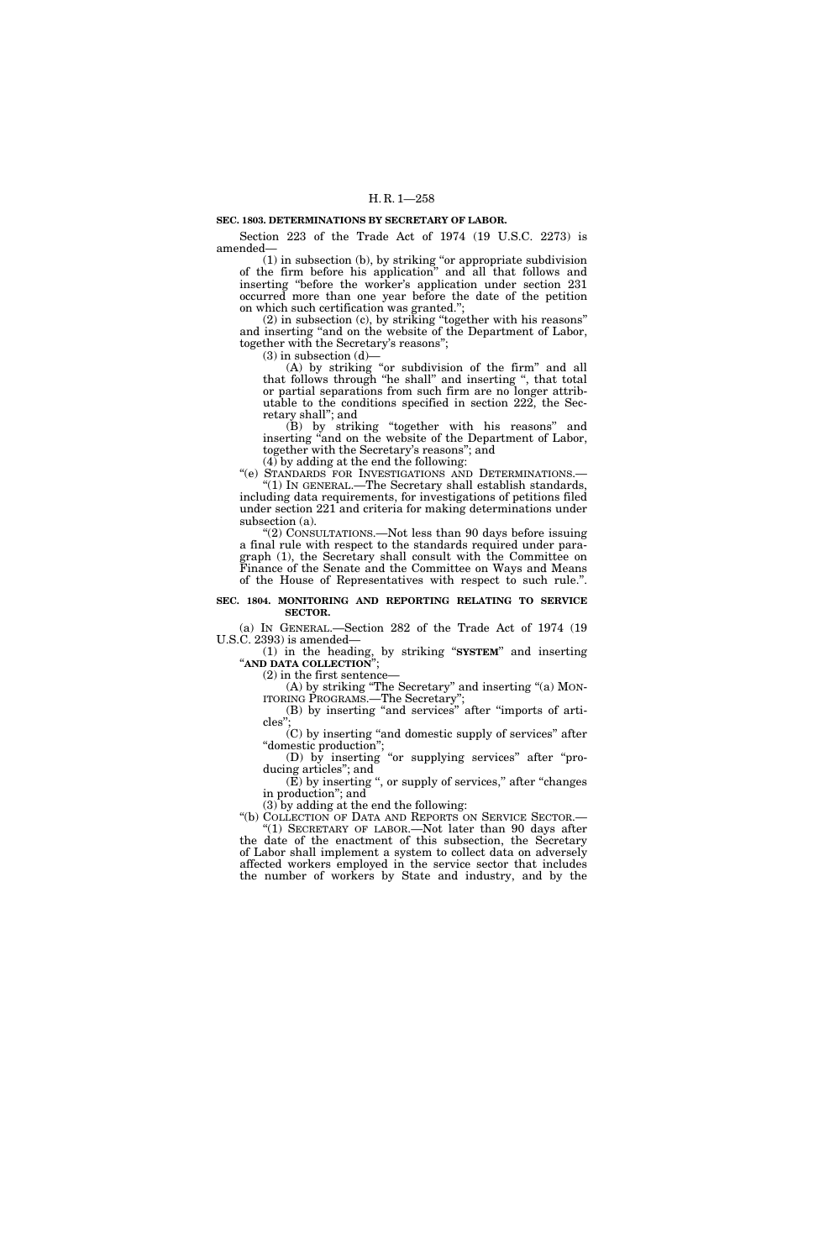## **SEC. 1803. DETERMINATIONS BY SECRETARY OF LABOR.**

Section 223 of the Trade Act of 1974 (19 U.S.C. 2273) is amended—

(1) in subsection (b), by striking ''or appropriate subdivision of the firm before his application'' and all that follows and inserting ''before the worker's application under section 231 occurred more than one year before the date of the petition on which such certification was granted.'';

(2) in subsection (c), by striking ''together with his reasons'' and inserting ''and on the website of the Department of Labor, together with the Secretary's reasons'';

 $(3)$  in subsection  $(d)$ 

(A) by striking ''or subdivision of the firm'' and all that follows through ''he shall'' and inserting '', that total or partial separations from such firm are no longer attributable to the conditions specified in section 222, the Secretary shall''; and

(B) by striking ''together with his reasons'' and inserting ''and on the website of the Department of Labor, together with the Secretary's reasons''; and

 $(4)$  by adding at the end the following:

''(e) STANDARDS FOR INVESTIGATIONS AND DETERMINATIONS.— ''(1) IN GENERAL.—The Secretary shall establish standards, including data requirements, for investigations of petitions filed under section 221 and criteria for making determinations under subsection (a).

''(2) CONSULTATIONS.—Not less than 90 days before issuing a final rule with respect to the standards required under paragraph (1), the Secretary shall consult with the Committee on Finance of the Senate and the Committee on Ways and Means of the House of Representatives with respect to such rule.''.

## **SEC. 1804. MONITORING AND REPORTING RELATING TO SERVICE SECTOR.**

(a) IN GENERAL.—Section 282 of the Trade Act of 1974 (19 U.S.C. 2393) is amended—

(1) in the heading, by striking ''**SYSTEM**'' and inserting ''**AND DATA COLLECTION**'';

(2) in the first sentence—

(A) by striking ''The Secretary'' and inserting ''(a) MON-ITORING PROGRAMS.—The Secretary'';

(B) by inserting ''and services'' after ''imports of articles"

(C) by inserting ''and domestic supply of services'' after ''domestic production'';

(D) by inserting ''or supplying services'' after ''producing articles''; and (E) by inserting '', or supply of services,'' after ''changes

in production''; and

(3) by adding at the end the following:

''(b) COLLECTION OF DATA AND REPORTS ON SERVICE SECTOR.— "(1) SECRETARY OF LABOR.—Not later than 90 days after the date of the enactment of this subsection, the Secretary of Labor shall implement a system to collect data on adversely affected workers employed in the service sector that includes the number of workers by State and industry, and by the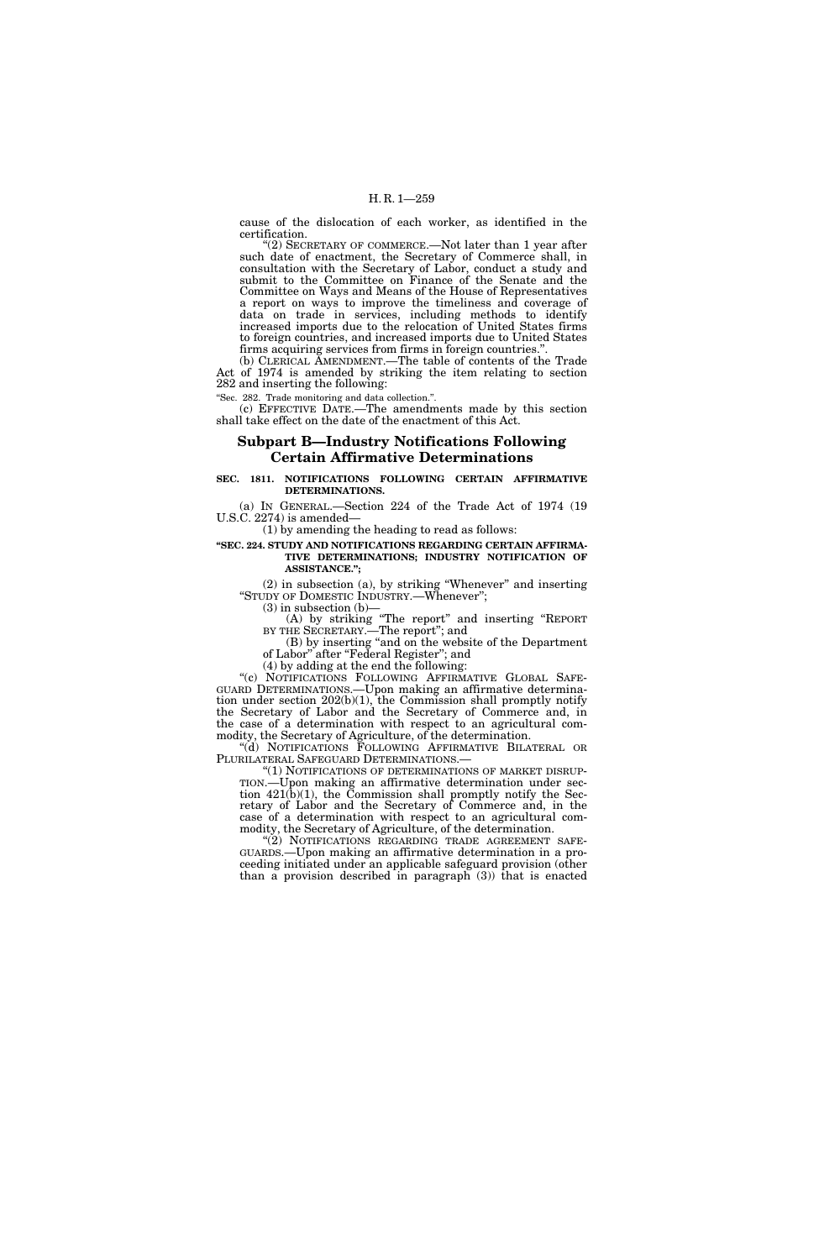cause of the dislocation of each worker, as identified in the certification.

'(2) SECRETARY OF COMMERCE.—Not later than 1 year after such date of enactment, the Secretary of Commerce shall, in consultation with the Secretary of Labor, conduct a study and submit to the Committee on Finance of the Senate and the Committee on Ways and Means of the House of Representatives a report on ways to improve the timeliness and coverage of data on trade in services, including methods to identify increased imports due to the relocation of United States firms to foreign countries, and increased imports due to United States firms acquiring services from firms in foreign countries.''.

(b) CLERICAL AMENDMENT.—The table of contents of the Trade Act of 1974 is amended by striking the item relating to section 282 and inserting the following:

''Sec. 282. Trade monitoring and data collection.''.

(c) EFFECTIVE DATE.—The amendments made by this section shall take effect on the date of the enactment of this Act.

# **Subpart B—Industry Notifications Following Certain Affirmative Determinations**

## **SEC. 1811. NOTIFICATIONS FOLLOWING CERTAIN AFFIRMATIVE DETERMINATIONS.**

(a) IN GENERAL.—Section 224 of the Trade Act of 1974 (19 U.S.C. 2274) is amended—

(1) by amending the heading to read as follows:

## **''SEC. 224. STUDY AND NOTIFICATIONS REGARDING CERTAIN AFFIRMA-TIVE DETERMINATIONS; INDUSTRY NOTIFICATION OF ASSISTANCE.'';**

(2) in subsection (a), by striking ''Whenever'' and inserting "STUDY OF DOMESTIC INDUSTRY.—Whenever";  $(3)$  in subsection  $(b)$ –

(A) by striking ''The report'' and inserting ''REPORT BY THE SECRETARY.—The report''; and

(B) by inserting ''and on the website of the Department of Labor'' after ''Federal Register''; and

(4) by adding at the end the following:

"(c) NOTIFICATIONS FOLLOWING AFFIRMATIVE GLOBAL SAFE-GUARD DETERMINATIONS.—Upon making an affirmative determination under section 202(b)(1), the Commission shall promptly notify the Secretary of Labor and the Secretary of Commerce and, in the case of a determination with respect to an agricultural commodity, the Secretary of Agriculture, of the determination.

''(d) NOTIFICATIONS FOLLOWING AFFIRMATIVE BILATERAL OR PLURILATERAL SAFEGUARD DETERMINATIONS.—

"(1) NOTIFICATIONS OF DETERMINATIONS OF MARKET DISRUP-TION.—Upon making an affirmative determination under section 421(b)(1), the Commission shall promptly notify the Secretary of Labor and the Secretary of Commerce and, in the case of a determination with respect to an agricultural commodity, the Secretary of Agriculture, of the determination.

"(2) NOTIFICATIONS REGARDING TRADE AGREEMENT SAFE-GUARDS.—Upon making an affirmative determination in a proceeding initiated under an applicable safeguard provision (other than a provision described in paragraph (3)) that is enacted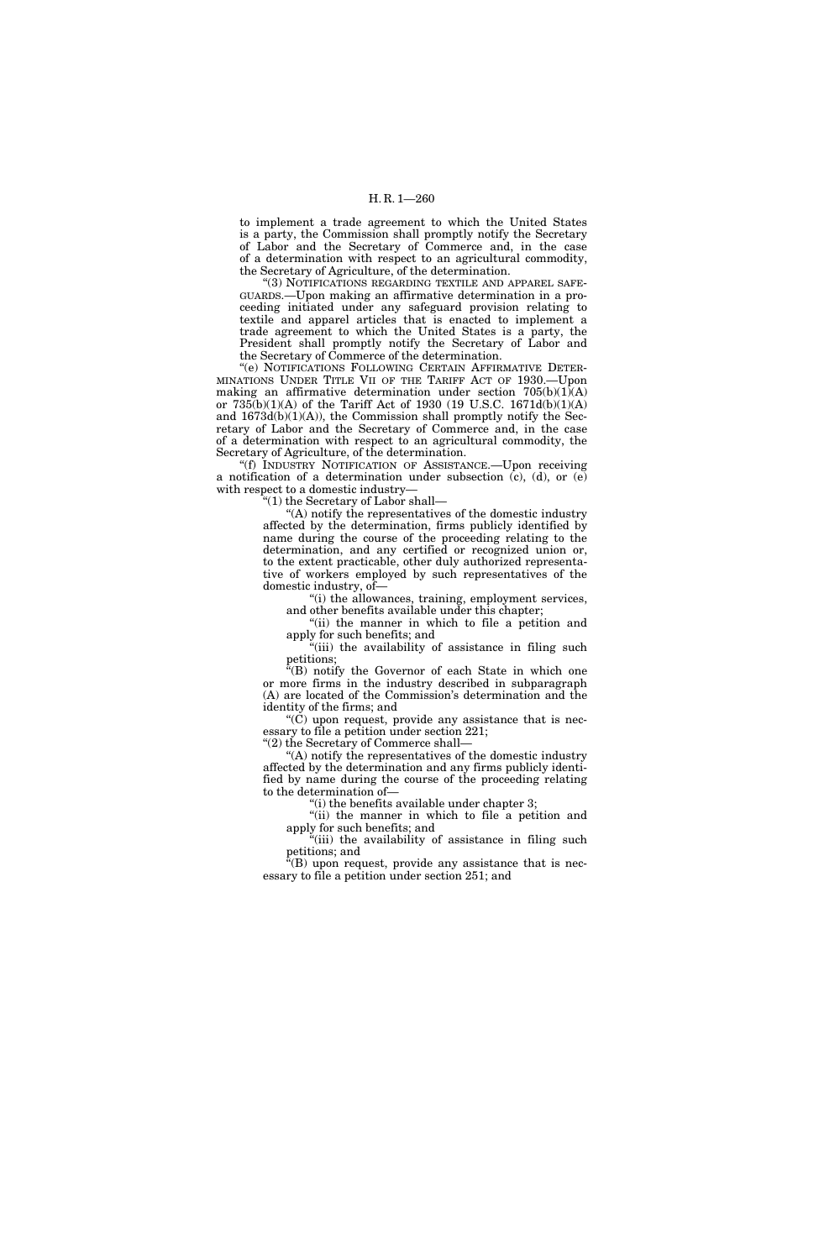to implement a trade agreement to which the United States is a party, the Commission shall promptly notify the Secretary of Labor and the Secretary of Commerce and, in the case of a determination with respect to an agricultural commodity, the Secretary of Agriculture, of the determination.

"(3) NOTIFICATIONS REGARDING TEXTILE AND APPAREL SAFE-GUARDS.—Upon making an affirmative determination in a proceeding initiated under any safeguard provision relating to textile and apparel articles that is enacted to implement a trade agreement to which the United States is a party, the President shall promptly notify the Secretary of Labor and the Secretary of Commerce of the determination.

''(e) NOTIFICATIONS FOLLOWING CERTAIN AFFIRMATIVE DETER-MINATIONS UNDER TITLE VII OF THE TARIFF ACT OF 1930.—Upon making an affirmative determination under section 705(b)(1)(A) or 735(b)(1)(A) of the Tariff Act of 1930 (19 U.S.C. 1671d(b)(1)(A) and 1673d(b)(1)(A)), the Commission shall promptly notify the Secretary of Labor and the Secretary of Commerce and, in the case of a determination with respect to an agricultural commodity, the Secretary of Agriculture, of the determination.

''(f) INDUSTRY NOTIFICATION OF ASSISTANCE.—Upon receiving a notification of a determination under subsection (c), (d), or (e) with respect to a domestic industry—

''(1) the Secretary of Labor shall—

''(A) notify the representatives of the domestic industry affected by the determination, firms publicly identified by name during the course of the proceeding relating to the determination, and any certified or recognized union or, to the extent practicable, other duly authorized representative of workers employed by such representatives of the domestic industry, of—

''(i) the allowances, training, employment services, and other benefits available under this chapter;

''(ii) the manner in which to file a petition and apply for such benefits; and

"(iii) the availability of assistance in filing such petitions;

''(B) notify the Governor of each State in which one or more firms in the industry described in subparagraph (A) are located of the Commission's determination and the identity of the firms; and

"(C) upon request, provide any assistance that is necessary to file a petition under section 221;

''(2) the Secretary of Commerce shall—

''(A) notify the representatives of the domestic industry affected by the determination and any firms publicly identified by name during the course of the proceeding relating to the determination of—

 $'$ (i) the benefits available under chapter 3;

"(ii) the manner in which to file a petition and apply for such benefits; and

"(iii) the availability of assistance in filing such petitions; and

" $(B)$  upon request, provide any assistance that is necessary to file a petition under section 251; and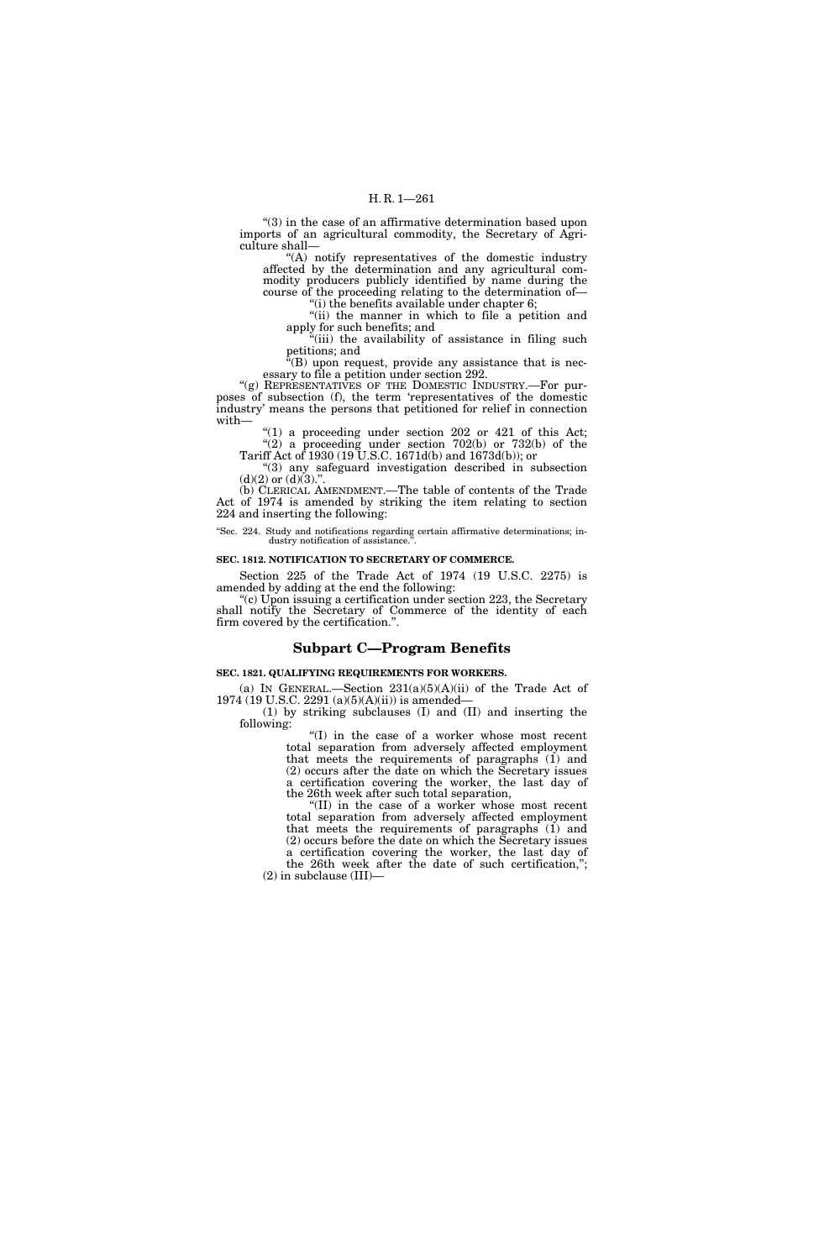''(3) in the case of an affirmative determination based upon imports of an agricultural commodity, the Secretary of Agriculture shall—

''(A) notify representatives of the domestic industry affected by the determination and any agricultural commodity producers publicly identified by name during the course of the proceeding relating to the determination of— "(i) the benefits available under chapter 6;

"(ii) the manner in which to file a petition and apply for such benefits; and

"(iii) the availability of assistance in filing such petitions; and

''(B) upon request, provide any assistance that is necessary to file a petition under section 292.

"(g) REPRESENTATIVES OF THE DOMESTIC INDUSTRY.—For purposes of subsection (f), the term 'representatives of the domestic industry' means the persons that petitioned for relief in connection with—

 $(1)$  a proceeding under section 202 or 421 of this Act; "(2) a proceeding under section  $702(b)$  or  $732(b)$  of the

Tariff Act of 1930 (19 U.S.C. 1671d(b) and 1673d(b)); or ''(3) any safeguard investigation described in subsection  $(d)(2)$  or  $(d)(3)$ ."

(b) CLERICAL AMENDMENT.—The table of contents of the Trade Act of 1974 is amended by striking the item relating to section 224 and inserting the following:

''Sec. 224. Study and notifications regarding certain affirmative determinations; industry notification of assistance.

#### **SEC. 1812. NOTIFICATION TO SECRETARY OF COMMERCE.**

Section 225 of the Trade Act of 1974 (19 U.S.C. 2275) is amended by adding at the end the following:

''(c) Upon issuing a certification under section 223, the Secretary shall notify the Secretary of Commerce of the identity of each firm covered by the certification.''.

## **Subpart C—Program Benefits**

#### **SEC. 1821. QUALIFYING REQUIREMENTS FOR WORKERS.**

(a) IN GENERAL.—Section  $231(a)(5)(A)(ii)$  of the Trade Act of 1974 (19 U.S.C. 2291 (a)(5)(A)(ii)) is amended—

(1) by striking subclauses (I) and (II) and inserting the following:

''(I) in the case of a worker whose most recent total separation from adversely affected employment that meets the requirements of paragraphs (1) and (2) occurs after the date on which the Secretary issues a certification covering the worker, the last day of the 26th week after such total separation,

''(II) in the case of a worker whose most recent total separation from adversely affected employment that meets the requirements of paragraphs (1) and (2) occurs before the date on which the Secretary issues a certification covering the worker, the last day of the 26th week after the date of such certification,'';

(2) in subclause (III)—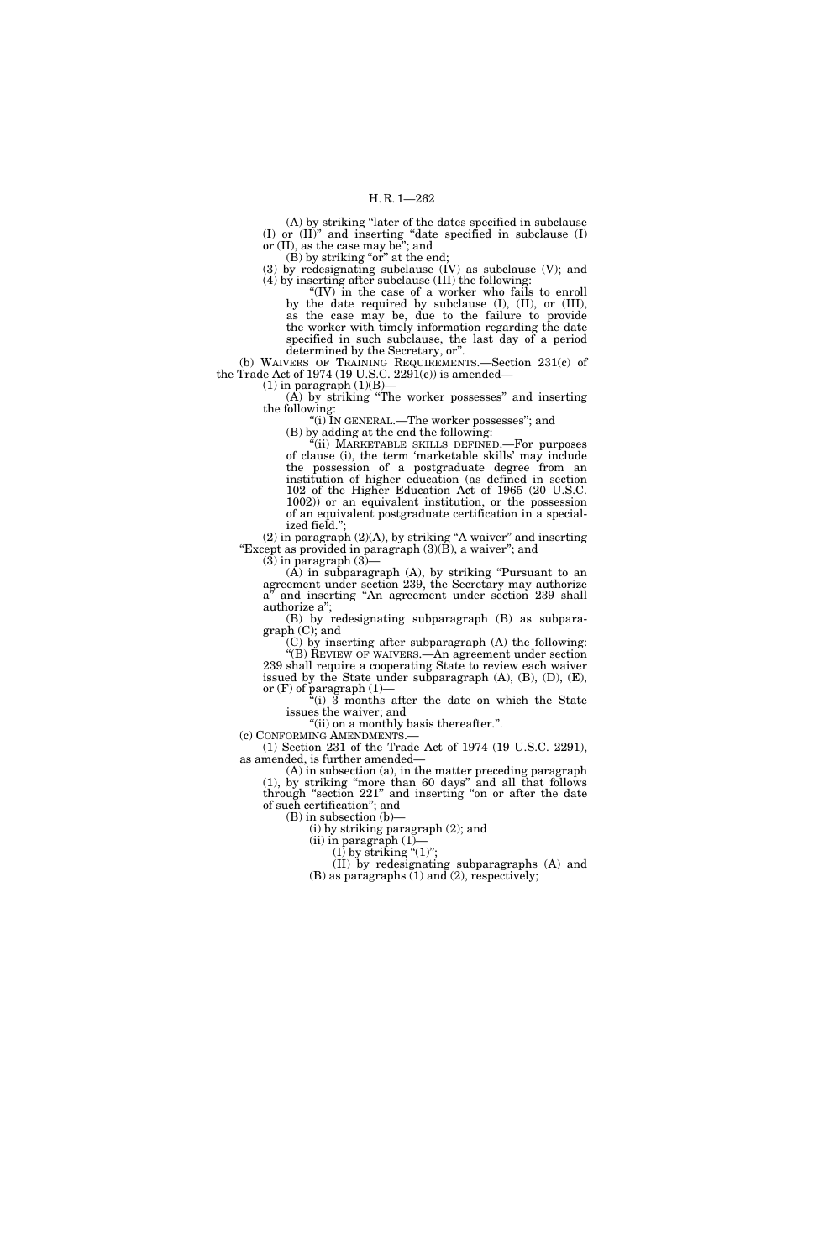(A) by striking ''later of the dates specified in subclause (I) or (II)'' and inserting ''date specified in subclause (I) or (II), as the case may be''; and

(B) by striking "or" at the end;

(3) by redesignating subclause (IV) as subclause (V); and (4) by inserting after subclause (III) the following:

"(IV) in the case of a worker who fails to enroll by the date required by subclause (I), (II), or (III), as the case may be, due to the failure to provide the worker with timely information regarding the date specified in such subclause, the last day of a period determined by the Secretary, or''.

(b) WAIVERS OF TRAINING REQUIREMENTS.—Section 231(c) of the Trade Act of 1974 (19 U.S.C. 2291(c)) is amended—  $(1)$  in paragraph  $(1)(B)$ —

 $(A)$  by striking "The worker possesses" and inserting the following:

''(i) IN GENERAL.—The worker possesses''; and

(B) by adding at the end the following:

''(ii) MARKETABLE SKILLS DEFINED.—For purposes of clause (i), the term 'marketable skills' may include the possession of a postgraduate degree from an institution of higher education (as defined in section 102 of the Higher Education Act of 1965 (20 U.S.C. 1002)) or an equivalent institution, or the possession of an equivalent postgraduate certification in a specialized field."

(2) in paragraph (2)(A), by striking ''A waiver'' and inserting "Except as provided in paragraph  $(3)(\overline{B})$ , a waiver"; and  $(3)$  in paragraph  $(3)$ -

 $(A)$  in subparagraph  $(A)$ , by striking "Pursuant to an agreement under section 239, the Secretary may authorize a<sup>n</sup> and inserting "An agreement under section 239 shall authorize a'';

(B) by redesignating subparagraph (B) as subparagraph (C); and

(C) by inserting after subparagraph (A) the following: ''(B) REVIEW OF WAIVERS.—An agreement under section 239 shall require a cooperating State to review each waiver issued by the State under subparagraph  $(A)$ ,  $(B)$ ,  $(D)$ ,  $(E)$ , or  $(F)$  of paragraph  $(1)$ —

 $f'(i)$  3 months after the date on which the State issues the waiver; and

"(ii) on a monthly basis thereafter.".

(c) CONFORMING AMENDMENTS.—

(1) Section 231 of the Trade Act of 1974 (19 U.S.C. 2291), as amended, is further amended—

(A) in subsection (a), in the matter preceding paragraph (1), by striking ''more than 60 days'' and all that follows through ''section 221'' and inserting ''on or after the date of such certification''; and

(B) in subsection (b)—

(i) by striking paragraph (2); and

(ii) in paragraph (1)— (I) by striking " $(1)$ ";

(II) by redesignating subparagraphs (A) and

(B) as paragraphs  $(1)$  and  $(2)$ , respectively;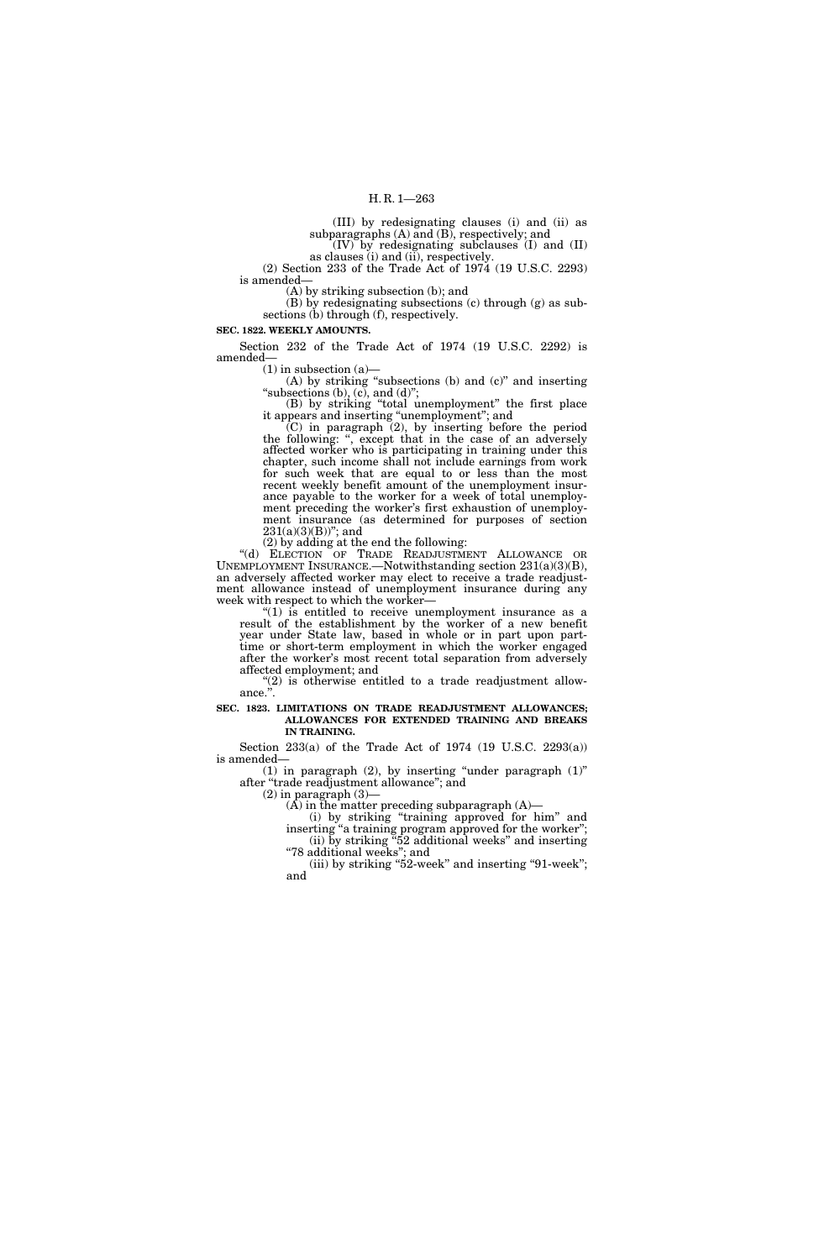(III) by redesignating clauses (i) and (ii) as subparagraphs  $(A)$  and  $(B)$ , respectively; and (IV) by redesignating subclauses (I) and (II)

as clauses (i) and (ii), respectively.

(2) Section 233 of the Trade Act of 1974 (19 U.S.C. 2293) is amended—

(A) by striking subsection (b); and

(B) by redesignating subsections (c) through (g) as subsections (b) through (f), respectively.

## **SEC. 1822. WEEKLY AMOUNTS.**

Section 232 of the Trade Act of 1974 (19 U.S.C. 2292) is amended—

 $(1)$  in subsection  $(a)$ 

(A) by striking ''subsections (b) and (c)'' and inserting "subsections  $(b)$ ,  $(c)$ , and  $(d)$ ";

(B) by striking ''total unemployment'' the first place it appears and inserting ''unemployment''; and

 $(C)$  in paragraph  $(2)$ , by inserting before the period the following: '', except that in the case of an adversely affected worker who is participating in training under this chapter, such income shall not include earnings from work for such week that are equal to or less than the most recent weekly benefit amount of the unemployment insurance payable to the worker for a week of total unemployment preceding the worker's first exhaustion of unemployment insurance (as determined for purposes of section  $231(a)(3)(B)$ "; and

(2) by adding at the end the following:

''(d) ELECTION OF TRADE READJUSTMENT ALLOWANCE OR UNEMPLOYMENT INSURANCE.—Notwithstanding section 231(a)(3)(B), an adversely affected worker may elect to receive a trade readjustment allowance instead of unemployment insurance during any week with respect to which the worker—

" $(1)$  is entitled to receive unemployment insurance as a result of the establishment by the worker of a new benefit year under State law, based in whole or in part upon parttime or short-term employment in which the worker engaged after the worker's most recent total separation from adversely affected employment; and

" $(2)$  is otherwise entitled to a trade readjustment allowance.''.

**SEC. 1823. LIMITATIONS ON TRADE READJUSTMENT ALLOWANCES; ALLOWANCES FOR EXTENDED TRAINING AND BREAKS IN TRAINING.** 

Section 233(a) of the Trade Act of 1974 (19 U.S.C. 2293(a)) is amended—

(1) in paragraph  $(2)$ , by inserting "under paragraph  $(1)$ " after ''trade readjustment allowance''; and

 $(2)$  in paragraph  $(3)$ –

 $(A)$  in the matter preceding subparagraph  $(A)$ —

(i) by striking ''training approved for him'' and inserting "a training program approved for the worker"; (ii) by striking ''52 additional weeks'' and inserting ''78 additional weeks''; and

(iii) by striking "52-week" and inserting "91-week"; and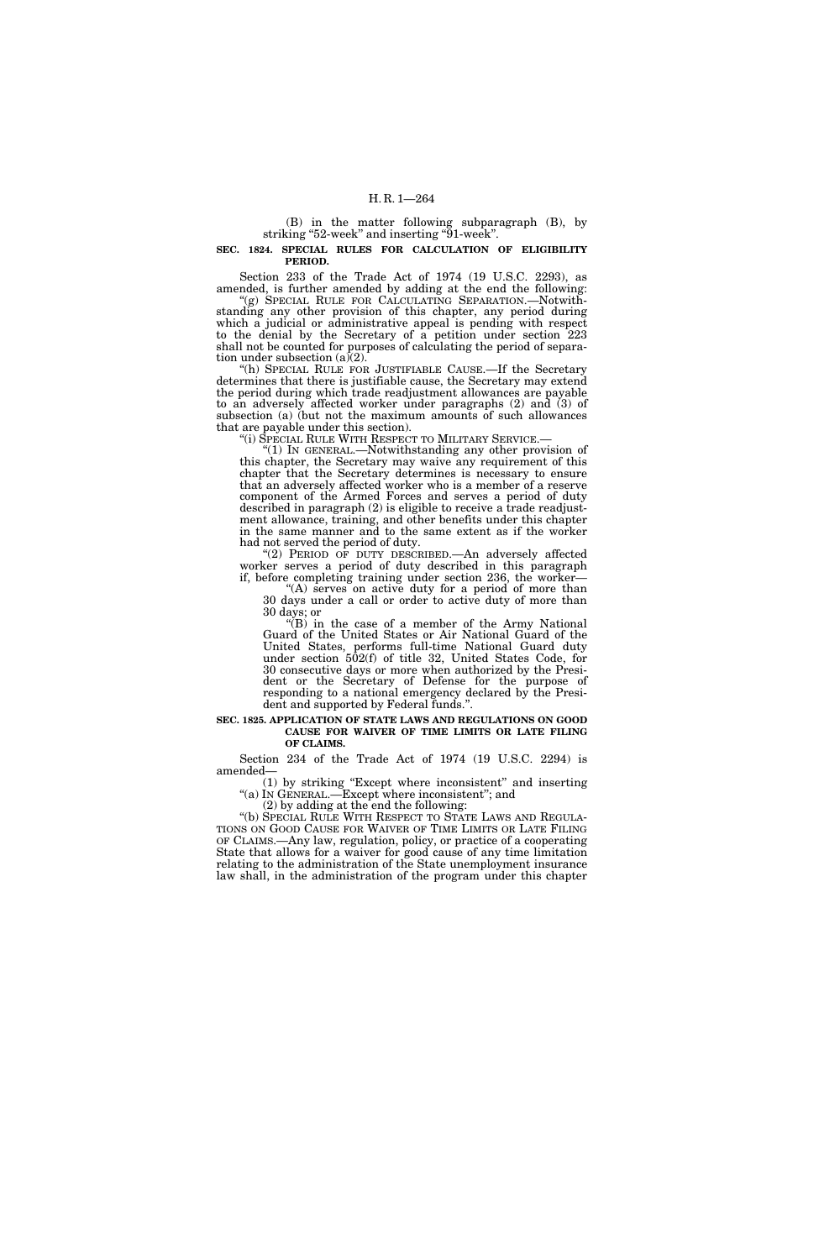(B) in the matter following subparagraph (B), by striking "52-week" and inserting "91-week".

**SEC. 1824. SPECIAL RULES FOR CALCULATION OF ELIGIBILITY PERIOD.** 

Section 233 of the Trade Act of 1974 (19 U.S.C. 2293), as amended, is further amended by adding at the end the following:

"(g) SPECIAL RULE FOR CALCULATING SEPARATION.—Notwithstanding any other provision of this chapter, any period during which a judicial or administrative appeal is pending with respect to the denial by the Secretary of a petition under section 223 shall not be counted for purposes of calculating the period of separation under subsection  $(a)(2)$ .

(h) SPECIAL RULE FOR JUSTIFIABLE CAUSE.—If the Secretary determines that there is justifiable cause, the Secretary may extend the period during which trade readjustment allowances are payable to an adversely affected worker under paragraphs (2) and (3) of subsection (a) (but not the maximum amounts of such allowances that are payable under this section).<br>"(i) SPECIAL RULE WITH RESPECT TO MILITARY SERVICE.

"(1) IN GENERAL.—Notwithstanding any other provision of this chapter, the Secretary may waive any requirement of this chapter that the Secretary determines is necessary to ensure that an adversely affected worker who is a member of a reserve component of the Armed Forces and serves a period of duty described in paragraph (2) is eligible to receive a trade readjustment allowance, training, and other benefits under this chapter in the same manner and to the same extent as if the worker had not served the period of duty.

''(2) PERIOD OF DUTY DESCRIBED.—An adversely affected worker serves a period of duty described in this paragraph if, before completing training under section 236, the worker—

"(A) serves on active duty for a period of more than 30 days under a call or order to active duty of more than 30 days; or

" $(B)$  in the case of a member of the Army National Guard of the United States or Air National Guard of the United States, performs full-time National Guard duty under section 502(f) of title 32, United States Code, for 30 consecutive days or more when authorized by the President or the Secretary of Defense for the purpose of responding to a national emergency declared by the President and supported by Federal funds.''.

#### **SEC. 1825. APPLICATION OF STATE LAWS AND REGULATIONS ON GOOD CAUSE FOR WAIVER OF TIME LIMITS OR LATE FILING OF CLAIMS.**

Section 234 of the Trade Act of 1974 (19 U.S.C. 2294) is amended—

(1) by striking ''Except where inconsistent'' and inserting ''(a) IN GENERAL.—Except where inconsistent''; and

(2) by adding at the end the following:

''(b) SPECIAL RULE WITH RESPECT TO STATE LAWS AND REGULA-TIONS ON GOOD CAUSE FOR WAIVER OF TIME LIMITS OR LATE FILING OF CLAIMS.—Any law, regulation, policy, or practice of a cooperating State that allows for a waiver for good cause of any time limitation relating to the administration of the State unemployment insurance law shall, in the administration of the program under this chapter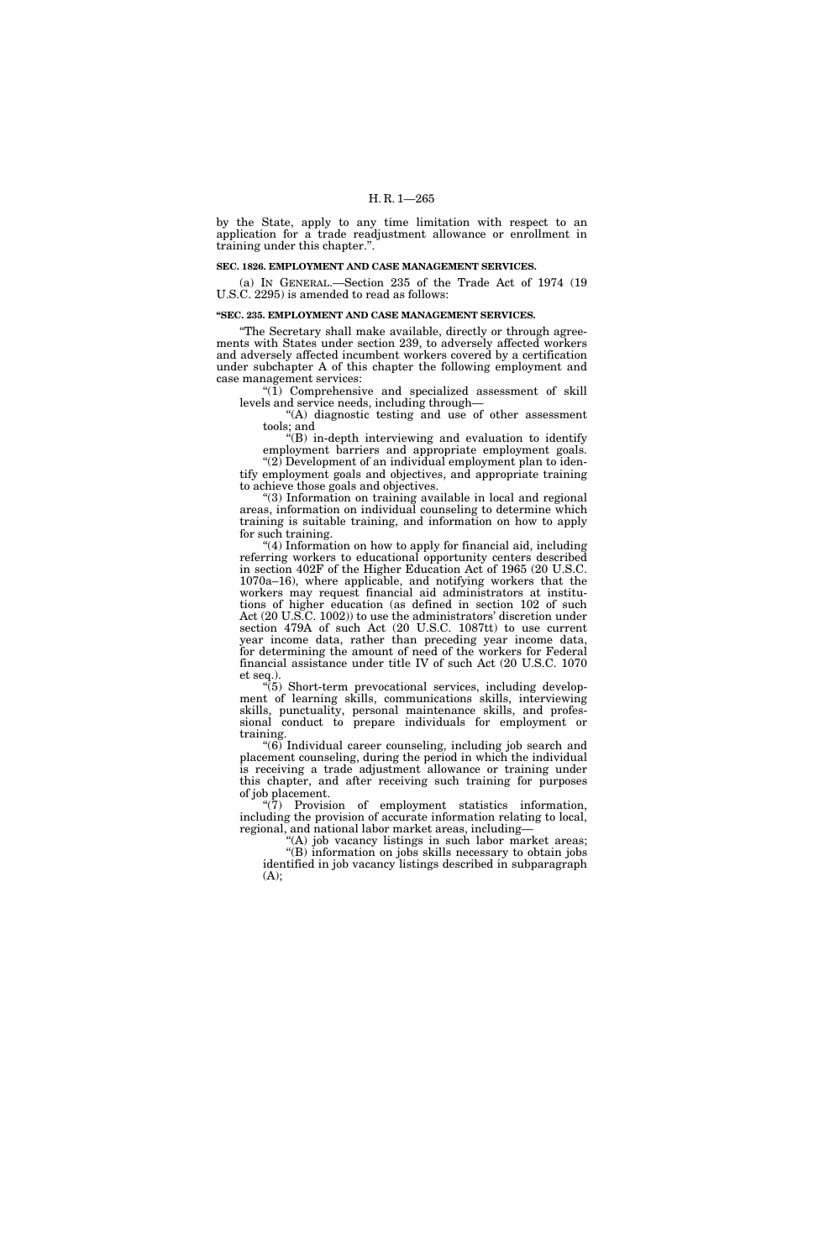by the State, apply to any time limitation with respect to an application for a trade readjustment allowance or enrollment in training under this chapter.''.

### **SEC. 1826. EMPLOYMENT AND CASE MANAGEMENT SERVICES.**

(a) IN GENERAL.—Section 235 of the Trade Act of 1974 (19 U.S.C. 2295) is amended to read as follows:

#### **''SEC. 235. EMPLOYMENT AND CASE MANAGEMENT SERVICES.**

''The Secretary shall make available, directly or through agreements with States under section 239, to adversely affected workers and adversely affected incumbent workers covered by a certification under subchapter A of this chapter the following employment and case management services:

"(1) Comprehensive and specialized assessment of skill levels and service needs, including through—

"(A) diagnostic testing and use of other assessment tools; and

''(B) in-depth interviewing and evaluation to identify employment barriers and appropriate employment goals. ''(2) Development of an individual employment plan to identify employment goals and objectives, and appropriate training to achieve those goals and objectives.

''(3) Information on training available in local and regional areas, information on individual counseling to determine which training is suitable training, and information on how to apply for such training.

''(4) Information on how to apply for financial aid, including referring workers to educational opportunity centers described in section 402F of the Higher Education Act of 1965 (20 U.S.C. 1070a–16), where applicable, and notifying workers that the workers may request financial aid administrators at institutions of higher education (as defined in section 102 of such Act (20 U.S.C. 1002)) to use the administrators' discretion under section 479A of such Act (20 U.S.C. 1087tt) to use current year income data, rather than preceding year income data, for determining the amount of need of the workers for Federal financial assistance under title IV of such Act (20 U.S.C. 1070 et seq.).

''(5) Short-term prevocational services, including development of learning skills, communications skills, interviewing skills, punctuality, personal maintenance skills, and professional conduct to prepare individuals for employment or training.

''(6) Individual career counseling, including job search and placement counseling, during the period in which the individual is receiving a trade adjustment allowance or training under this chapter, and after receiving such training for purposes of job placement.

''(7) Provision of employment statistics information, including the provision of accurate information relating to local, regional, and national labor market areas, including—

"(A) job vacancy listings in such labor market areas;

"(B) information on jobs skills necessary to obtain jobs identified in job vacancy listings described in subparagraph  $(A);$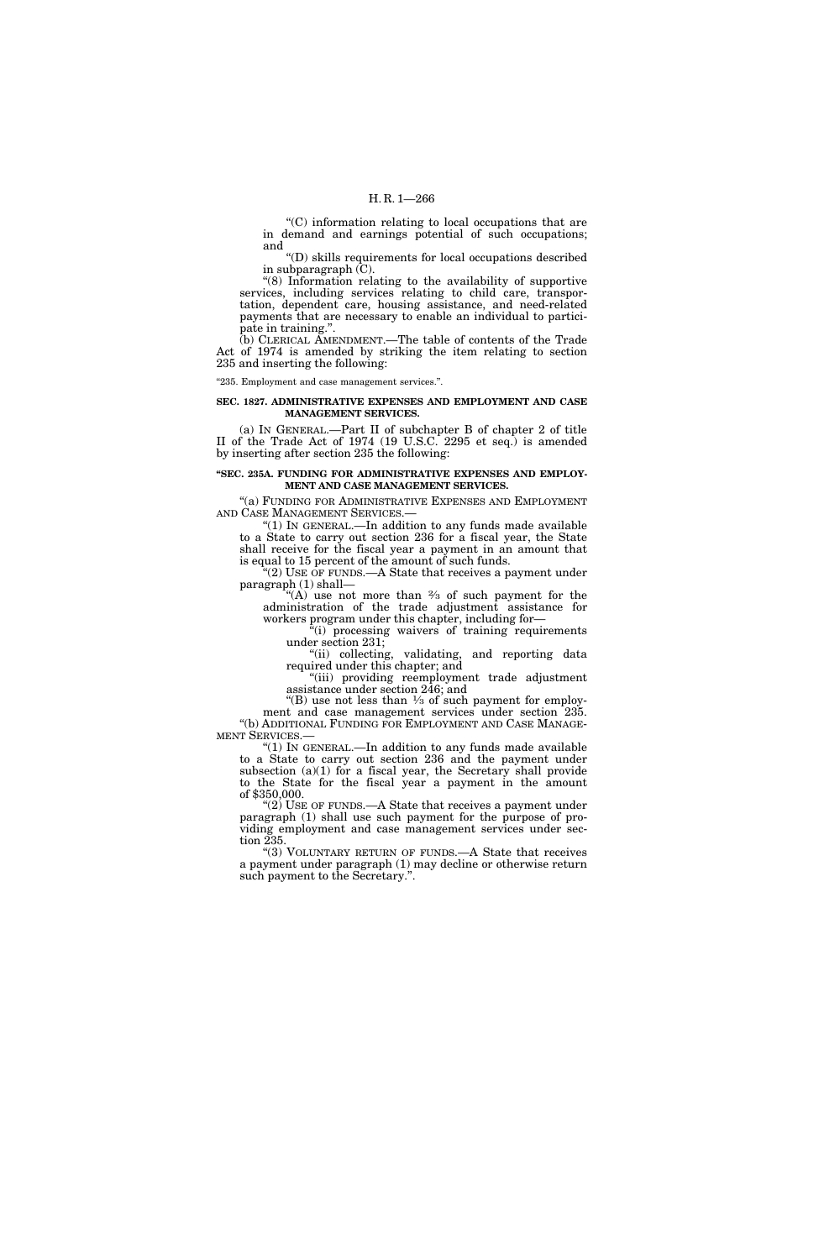## H. R. 1—266

''(C) information relating to local occupations that are in demand and earnings potential of such occupations; and

''(D) skills requirements for local occupations described in subparagraph (C).

''(8) Information relating to the availability of supportive services, including services relating to child care, transportation, dependent care, housing assistance, and need-related payments that are necessary to enable an individual to participate in training.''.

(b) CLERICAL AMENDMENT.—The table of contents of the Trade Act of 1974 is amended by striking the item relating to section 235 and inserting the following:

''235. Employment and case management services.''.

#### **SEC. 1827. ADMINISTRATIVE EXPENSES AND EMPLOYMENT AND CASE MANAGEMENT SERVICES.**

(a) IN GENERAL.—Part II of subchapter B of chapter 2 of title II of the Trade Act of 1974 (19 U.S.C. 2295 et seq.) is amended by inserting after section 235 the following:

## **''SEC. 235A. FUNDING FOR ADMINISTRATIVE EXPENSES AND EMPLOY-MENT AND CASE MANAGEMENT SERVICES.**

''(a) FUNDING FOR ADMINISTRATIVE EXPENSES AND EMPLOYMENT AND CASE MANAGEMENT SERVICES.—

''(1) IN GENERAL.—In addition to any funds made available to a State to carry out section 236 for a fiscal year, the State shall receive for the fiscal year a payment in an amount that is equal to 15 percent of the amount of such funds.

"(2) USE OF FUNDS.—A State that receives a payment under paragraph (1) shall—

"(A) use not more than  $\frac{2}{3}$  of such payment for the administration of the trade adjustment assistance for workers program under this chapter, including for-

 $f(i)$  processing waivers of training requirements under section 231;

"(ii) collecting, validating, and reporting data required under this chapter; and

''(iii) providing reemployment trade adjustment assistance under section 246; and

"(B) use not less than  $\frac{1}{3}$  of such payment for employment and case management services under section 235. ''(b) ADDITIONAL FUNDING FOR EMPLOYMENT AND CASE MANAGE-MENT SERVICES.—

''(1) IN GENERAL.—In addition to any funds made available to a State to carry out section 236 and the payment under subsection (a)(1) for a fiscal year, the Secretary shall provide to the State for the fiscal year a payment in the amount of \$350,000.

" $(2)$  USE OF FUNDS.—A State that receives a payment under paragraph (1) shall use such payment for the purpose of providing employment and case management services under section 235.

''(3) VOLUNTARY RETURN OF FUNDS.—A State that receives a payment under paragraph (1) may decline or otherwise return such payment to the Secretary.".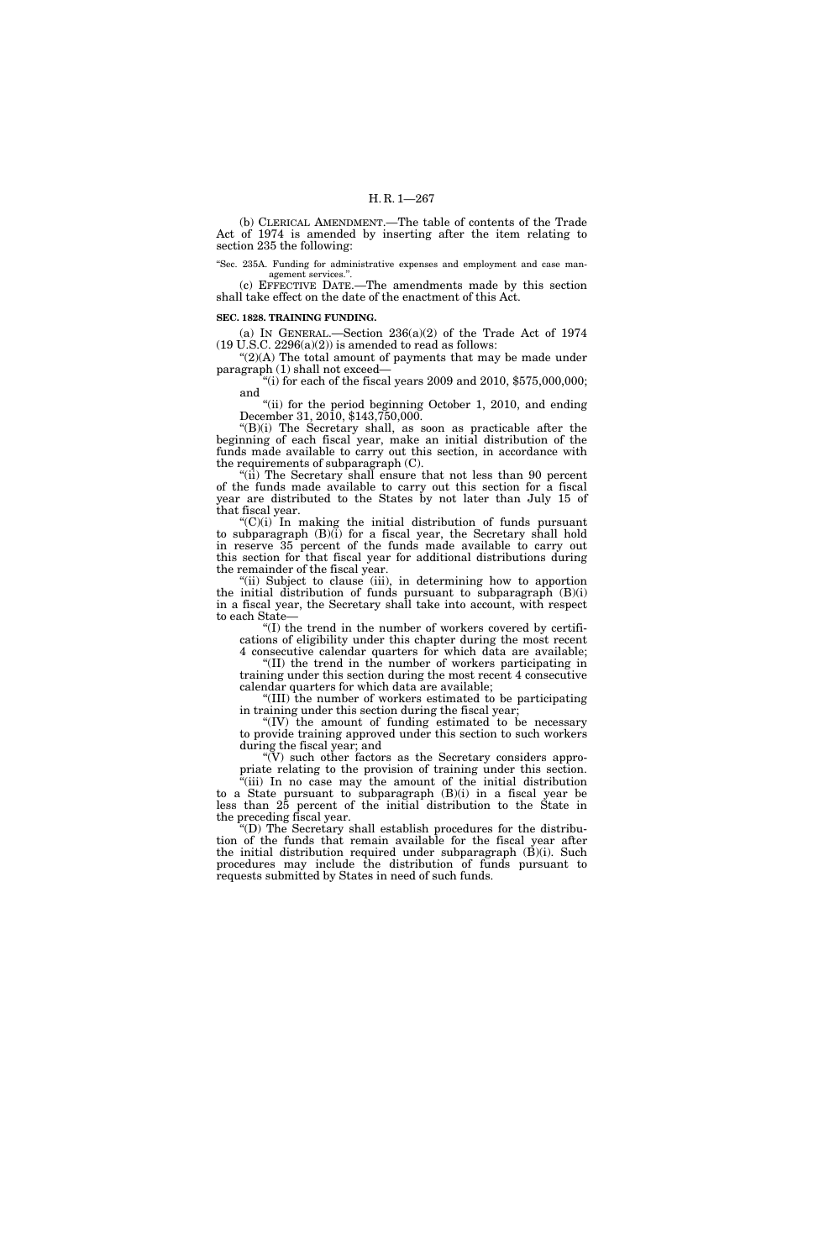(b) CLERICAL AMENDMENT.—The table of contents of the Trade Act of 1974 is amended by inserting after the item relating to section 235 the following:

''Sec. 235A. Funding for administrative expenses and employment and case management services."

(c) EFFECTIVE DATE.—The amendments made by this section shall take effect on the date of the enactment of this Act.

#### **SEC. 1828. TRAINING FUNDING.**

(a) IN GENERAL.—Section 236(a)(2) of the Trade Act of 1974  $(19 \text{ U.S.C. } 2296(a)(2))$  is amended to read as follows:

"(2)(A) The total amount of payments that may be made under paragraph (1) shall not exceed—

"(i) for each of the fiscal years 2009 and 2010,  $$575,000,000;$ and

''(ii) for the period beginning October 1, 2010, and ending December 31, 2010, \$143,750,000.

''(B)(i) The Secretary shall, as soon as practicable after the beginning of each fiscal year, make an initial distribution of the funds made available to carry out this section, in accordance with the requirements of subparagraph (C).

"(ii) The Secretary shall ensure that not less than 90 percent of the funds made available to carry out this section for a fiscal year are distributed to the States by not later than July 15 of that fiscal year.

 $(C)(i)$  In making the initial distribution of funds pursuant to subparagraph  $(B)(i)$  for a fiscal year, the Secretary shall hold in reserve 35 percent of the funds made available to carry out this section for that fiscal year for additional distributions during the remainder of the fiscal year.

"(ii) Subject to clause (iii), in determining how to apportion the initial distribution of funds pursuant to subparagraph (B)(i) in a fiscal year, the Secretary shall take into account, with respect to each State—

''(I) the trend in the number of workers covered by certifications of eligibility under this chapter during the most recent 4 consecutive calendar quarters for which data are available;

''(II) the trend in the number of workers participating in training under this section during the most recent 4 consecutive calendar quarters for which data are available;

''(III) the number of workers estimated to be participating in training under this section during the fiscal year;

''(IV) the amount of funding estimated to be necessary to provide training approved under this section to such workers during the fiscal year; and

" $(V)$  such other factors as the Secretary considers appropriate relating to the provision of training under this section.

"(iii) In no case may the amount of the initial distribution to a State pursuant to subparagraph  $(B)(i)$  in a fiscal year be less than 25 percent of the initial distribution to the State in the preceding fiscal year.

''(D) The Secretary shall establish procedures for the distribution of the funds that remain available for the fiscal year after the initial distribution required under subparagraph (B)(i). Such procedures may include the distribution of funds pursuant to requests submitted by States in need of such funds.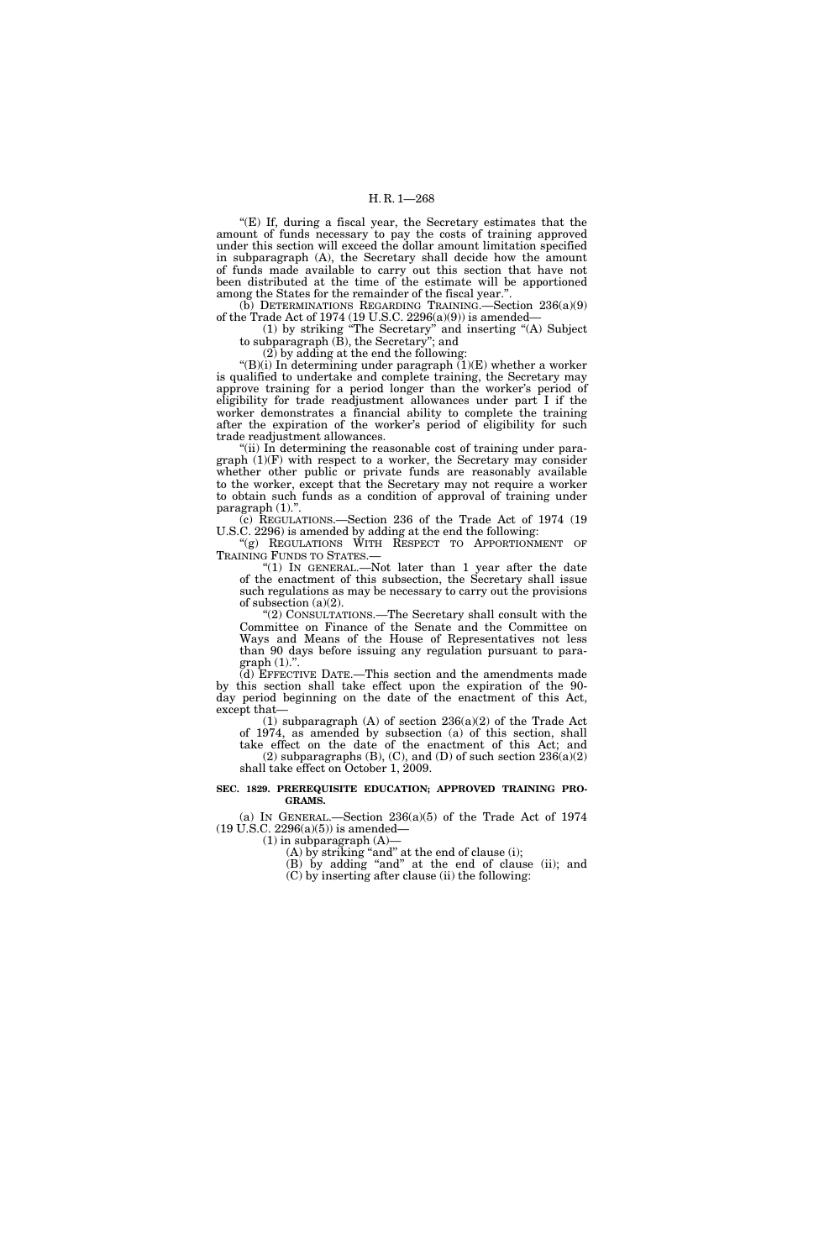## H. R. 1—268

''(E) If, during a fiscal year, the Secretary estimates that the amount of funds necessary to pay the costs of training approved under this section will exceed the dollar amount limitation specified in subparagraph (A), the Secretary shall decide how the amount of funds made available to carry out this section that have not been distributed at the time of the estimate will be apportioned among the States for the remainder of the fiscal year.''.

(b) DETERMINATIONS REGARDING TRAINING.—Section 236(a)(9) of the Trade Act of 1974 (19 U.S.C. 2296(a)(9)) is amended—

(1) by striking ''The Secretary'' and inserting ''(A) Subject to subparagraph (B), the Secretary''; and

(2) by adding at the end the following:

"(B)(i) In determining under paragraph  $(1)(E)$  whether a worker is qualified to undertake and complete training, the Secretary may approve training for a period longer than the worker's period of eligibility for trade readjustment allowances under part I if the worker demonstrates a financial ability to complete the training after the expiration of the worker's period of eligibility for such trade readjustment allowances.

"(ii) In determining the reasonable cost of training under paragraph (1)(F) with respect to a worker, the Secretary may consider whether other public or private funds are reasonably available to the worker, except that the Secretary may not require a worker to obtain such funds as a condition of approval of training under paragraph  $(1)$ .".

(c) REGULATIONS.—Section 236 of the Trade Act of 1974 (19 U.S.C. 2296) is amended by adding at the end the following:

''(g) REGULATIONS WITH RESPECT TO APPORTIONMENT OF TRAINING FUNDS TO STATES.—

''(1) IN GENERAL.—Not later than 1 year after the date of the enactment of this subsection, the Secretary shall issue such regulations as may be necessary to carry out the provisions of subsection  $(a)(2)$ .

''(2) CONSULTATIONS.—The Secretary shall consult with the Committee on Finance of the Senate and the Committee on Ways and Means of the House of Representatives not less than 90 days before issuing any regulation pursuant to para $graph(1)."$ 

(d) EFFECTIVE DATE.—This section and the amendments made by this section shall take effect upon the expiration of the 90 day period beginning on the date of the enactment of this Act, except that—

(1) subparagraph (A) of section  $236(a)(2)$  of the Trade Act of 1974, as amended by subsection (a) of this section, shall take effect on the date of the enactment of this Act; and (2) subparagraphs  $(B)$ ,  $(C)$ , and  $(D)$  of such section  $236(a)(2)$ shall take effect on October 1, 2009.

### **SEC. 1829. PREREQUISITE EDUCATION; APPROVED TRAINING PRO-GRAMS.**

(a) IN GENERAL.—Section  $236(a)(5)$  of the Trade Act of 1974 (19 U.S.C. 2296(a)(5)) is amended—

 $(1)$  in subparagraph  $(A)$ –

 $(A)$  by striking "and" at the end of clause (i);

(B) by adding "and" at the end of clause (ii); and (C) by inserting after clause (ii) the following: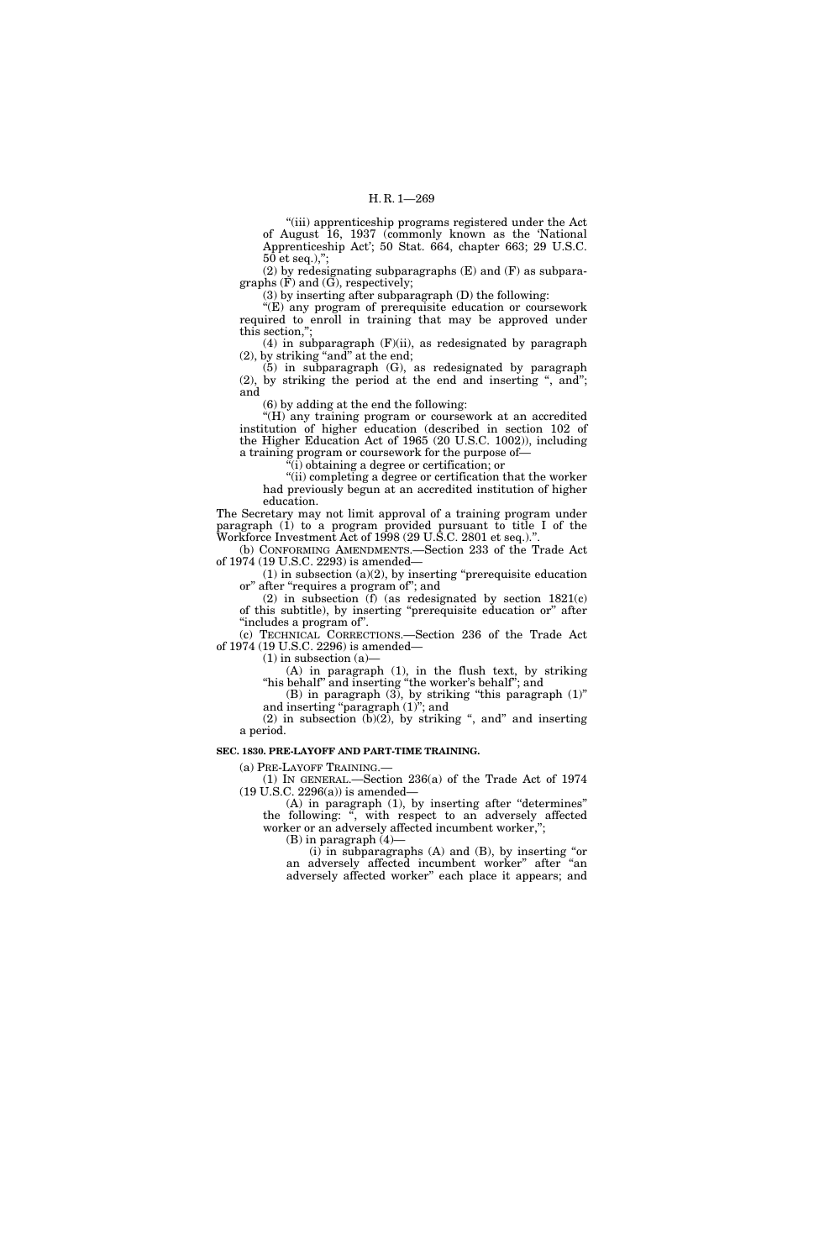''(iii) apprenticeship programs registered under the Act of August 16, 1937 (commonly known as the 'National Apprenticeship Act'; 50 Stat. 664, chapter 663; 29 U.S.C.  $50$  et seq.),";

(2) by redesignating subparagraphs (E) and (F) as subparagraphs  $(\tilde{F})$  and  $(\tilde{G})$ , respectively;

(3) by inserting after subparagraph (D) the following:

"(E) any program of prerequisite education or coursework required to enroll in training that may be approved under this section,'';

(4) in subparagraph (F)(ii), as redesignated by paragraph  $(2)$ , by striking "and" at the end;

(5) in subparagraph (G), as redesignated by paragraph  $(2)$ , by striking the period at the end and inserting ", and"; and

(6) by adding at the end the following:

"(H) any training program or coursework at an accredited institution of higher education (described in section 102 of the Higher Education Act of 1965 (20 U.S.C. 1002)), including a training program or coursework for the purpose of—

 $\sqrt[\alpha]{(i)}$  obtaining a degree or certification; or

''(ii) completing a degree or certification that the worker had previously begun at an accredited institution of higher education.

The Secretary may not limit approval of a training program under paragraph (1) to a program provided pursuant to title I of the Workforce Investment Act of 1998 (29 U.S.C. 2801 et seq.).''.

(b) CONFORMING AMENDMENTS.—Section 233 of the Trade Act of 1974 (19 U.S.C. 2293) is amended—

 $(1)$  in subsection  $(a)(2)$ , by inserting "prerequisite education or'' after ''requires a program of''; and

(2) in subsection (f) (as redesignated by section 1821(c) of this subtitle), by inserting ''prerequisite education or'' after ''includes a program of''.

(c) TECHNICAL CORRECTIONS.—Section 236 of the Trade Act of 1974 (19 U.S.C. 2296) is amended—

 $(1)$  in subsection  $(a)$ —

(A) in paragraph (1), in the flush text, by striking "his behalf" and inserting "the worker's behalf"; and

(B) in paragraph (3), by striking ''this paragraph (1)'' and inserting "paragraph  $(1)$ "; and

(2) in subsection  $(b)(2)$ , by striking ", and" and inserting a period.

#### **SEC. 1830. PRE-LAYOFF AND PART-TIME TRAINING.**

(a) PRE-LAYOFF TRAINING.—

(1) IN GENERAL.—Section 236(a) of the Trade Act of 1974 (19 U.S.C. 2296(a)) is amended—

(A) in paragraph (1), by inserting after ''determines'' the following: '', with respect to an adversely affected worker or an adversely affected incumbent worker,'';

 $(B)$  in paragraph  $(4)$ –

(i) in subparagraphs (A) and (B), by inserting ''or an adversely affected incumbent worker'' after ''an adversely affected worker'' each place it appears; and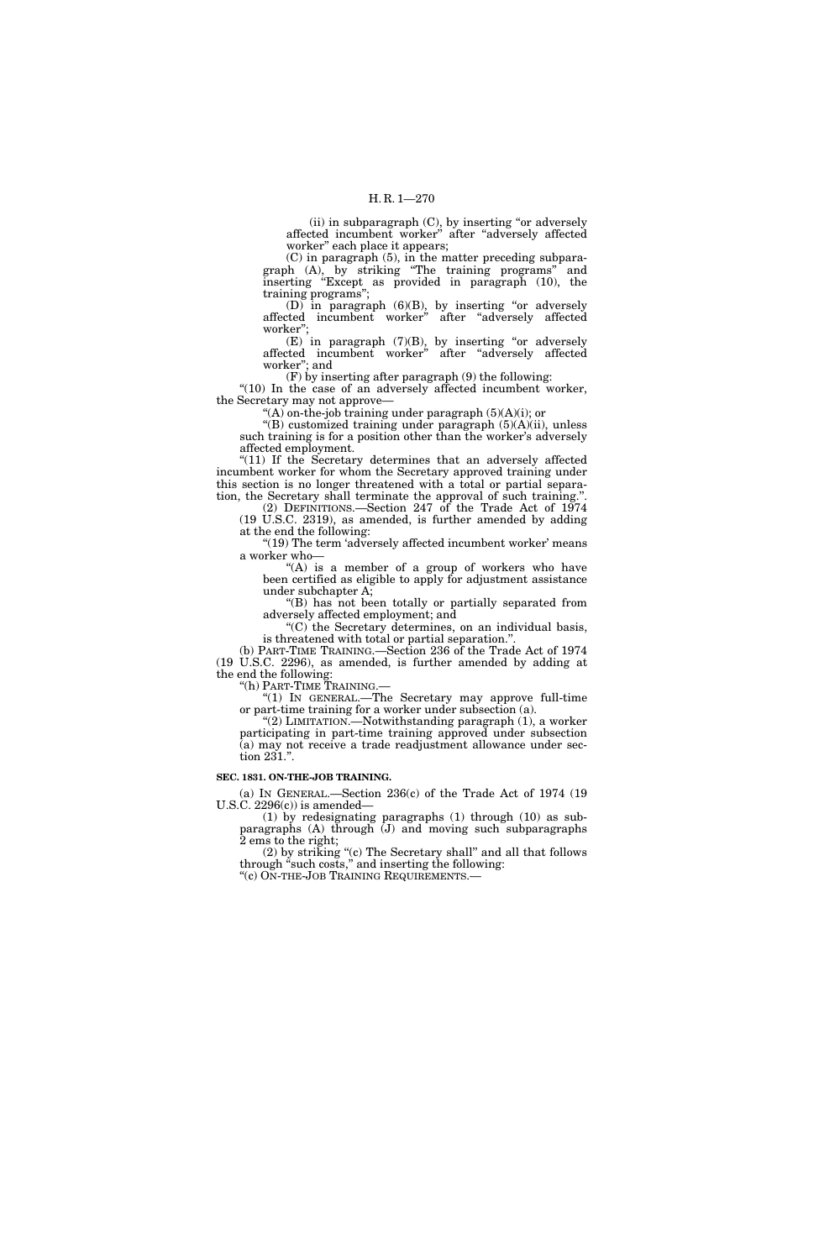$(ii)$  in subparagraph  $(C)$ , by inserting "or adversely affected incumbent worker'' after ''adversely affected worker'' each place it appears;

(C) in paragraph (5), in the matter preceding subparagraph (A), by striking ''The training programs'' and inserting ''Except as provided in paragraph (10), the training programs'';

(D) in paragraph  $(6)(B)$ , by inserting "or adversely affected incumbent worker'' after ''adversely affected worker"

 $(E)$  in paragraph  $(7)(B)$ , by inserting "or adversely affected incumbent worker'' after ''adversely affected worker''; and

(F) by inserting after paragraph (9) the following: "(10) In the case of an adversely affected incumbent worker, the Secretary may not approve—

 $f(A)$  on-the-job training under paragraph  $(5)(A)(i)$ ; or

''(B) customized training under paragraph (5)(A)(ii), unless such training is for a position other than the worker's adversely affected employment.

"(11) If the Secretary determines that an adversely affected incumbent worker for whom the Secretary approved training under this section is no longer threatened with a total or partial separation, the Secretary shall terminate the approval of such training.''.

(2) DEFINITIONS.—Section 247 of the Trade Act of 1974 (19 U.S.C. 2319), as amended, is further amended by adding at the end the following:

"(19) The term 'adversely affected incumbent worker' means a worker who—

" $(A)$  is a member of a group of workers who have been certified as eligible to apply for adjustment assistance under subchapter A;

''(B) has not been totally or partially separated from adversely affected employment; and

''(C) the Secretary determines, on an individual basis, is threatened with total or partial separation.''.

(b) PART-TIME TRAINING.—Section 236 of the Trade Act of 1974 (19 U.S.C. 2296), as amended, is further amended by adding at the end the following:

''(h) PART-TIME TRAINING.—

''(1) IN GENERAL.—The Secretary may approve full-time or part-time training for a worker under subsection (a).

"(2) LIMITATION.—Notwithstanding paragraph (1), a worker participating in part-time training approved under subsection (a) may not receive a trade readjustment allowance under section 231.''.

## **SEC. 1831. ON-THE-JOB TRAINING.**

(a) IN GENERAL.—Section 236(c) of the Trade Act of 1974 (19 U.S.C.  $2296(c)$  is amended—

(1) by redesignating paragraphs (1) through (10) as subparagraphs (A) through (J) and moving such subparagraphs 2 ems to the right;

(2) by striking ''(c) The Secretary shall'' and all that follows through "such costs," and inserting the following: ''(c) ON-THE-JOB TRAINING REQUIREMENTS.—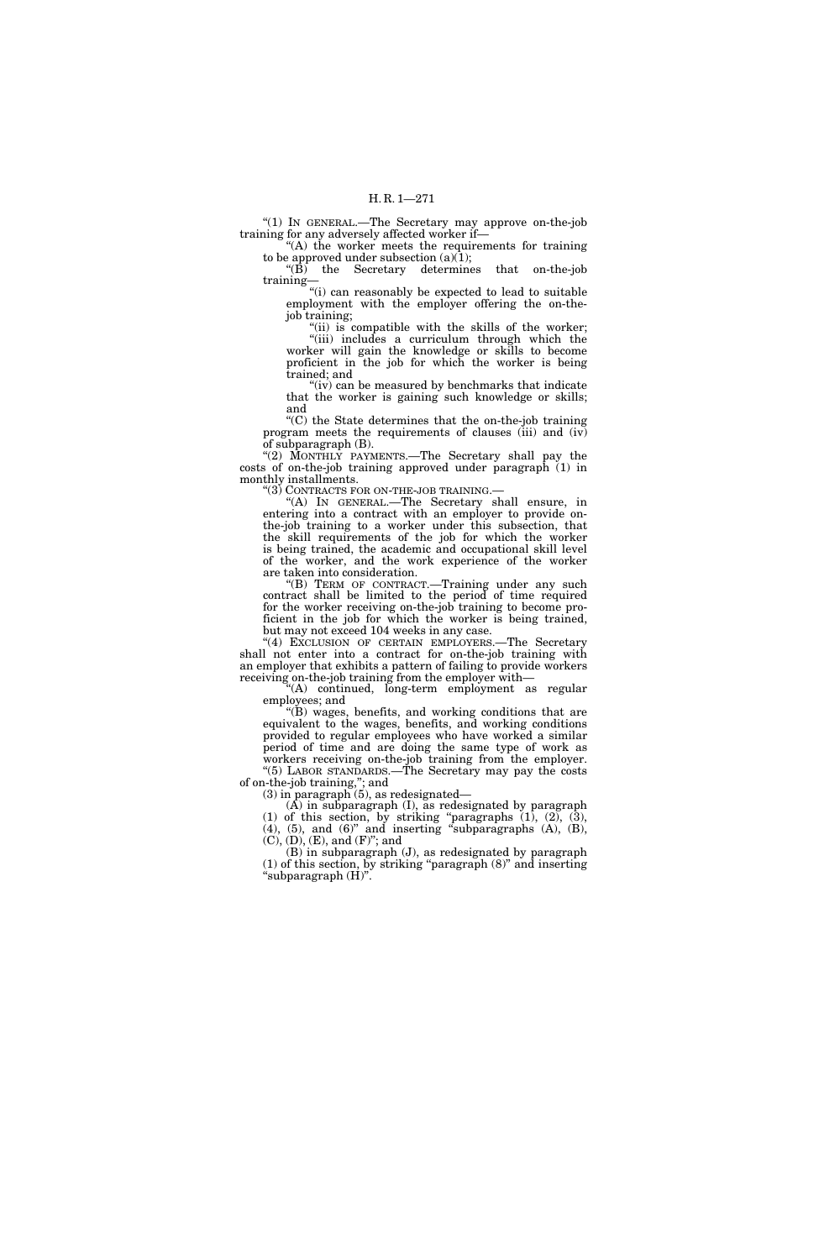''(1) IN GENERAL.—The Secretary may approve on-the-job training for any adversely affected worker if—

 $(A)$  the worker meets the requirements for training to be approved under subsection  $(a)(1);$ 

''(B) the Secretary determines that on-the-job training—

''(i) can reasonably be expected to lead to suitable employment with the employer offering the on-thejob training;

"(ii) is compatible with the skills of the worker; "(iii) includes a curriculum through which the worker will gain the knowledge or skills to become proficient in the job for which the worker is being trained; and

 $'$ (iv) can be measured by benchmarks that indicate that the worker is gaining such knowledge or skills; and

 $(C)$  the State determines that the on-the-job training program meets the requirements of clauses (iii) and (iv) of subparagraph (B).

''(2) MONTHLY PAYMENTS.—The Secretary shall pay the costs of on-the-job training approved under paragraph (1) in monthly installments.

"(3) CONTRACTS FOR ON-THE-JOB TRAINING.

''(A) IN GENERAL.—The Secretary shall ensure, in entering into a contract with an employer to provide onthe-job training to a worker under this subsection, that the skill requirements of the job for which the worker is being trained, the academic and occupational skill level of the worker, and the work experience of the worker are taken into consideration.

''(B) TERM OF CONTRACT.—Training under any such contract shall be limited to the period of time required for the worker receiving on-the-job training to become proficient in the job for which the worker is being trained, but may not exceed 104 weeks in any case.

"(4) EXCLUSION OF CERTAIN EMPLOYERS.—The Secretary shall not enter into a contract for on-the-job training with an employer that exhibits a pattern of failing to provide workers receiving on-the-job training from the employer with—

''(A) continued, long-term employment as regular employees; and

''(B) wages, benefits, and working conditions that are equivalent to the wages, benefits, and working conditions provided to regular employees who have worked a similar period of time and are doing the same type of work as workers receiving on-the-job training from the employer. ''(5) LABOR STANDARDS.—The Secretary may pay the costs of on-the-job training,''; and

(3) in paragraph (5), as redesignated—

(A) in subparagraph (I), as redesignated by paragraph (1) of this section, by striking "paragraphs  $(1)$ ,  $(2)$ ,  $(3)$ ,  $(4)$ ,  $(5)$ , and  $(6)$ " and inserting "subparagraphs  $(A)$ ,  $(B)$ ,  $(C)$ ,  $(D)$ ,  $(E)$ , and  $(F)$ "; and

(B) in subparagraph (J), as redesignated by paragraph (1) of this section, by striking ''paragraph (8)'' and inserting ''subparagraph (H)''.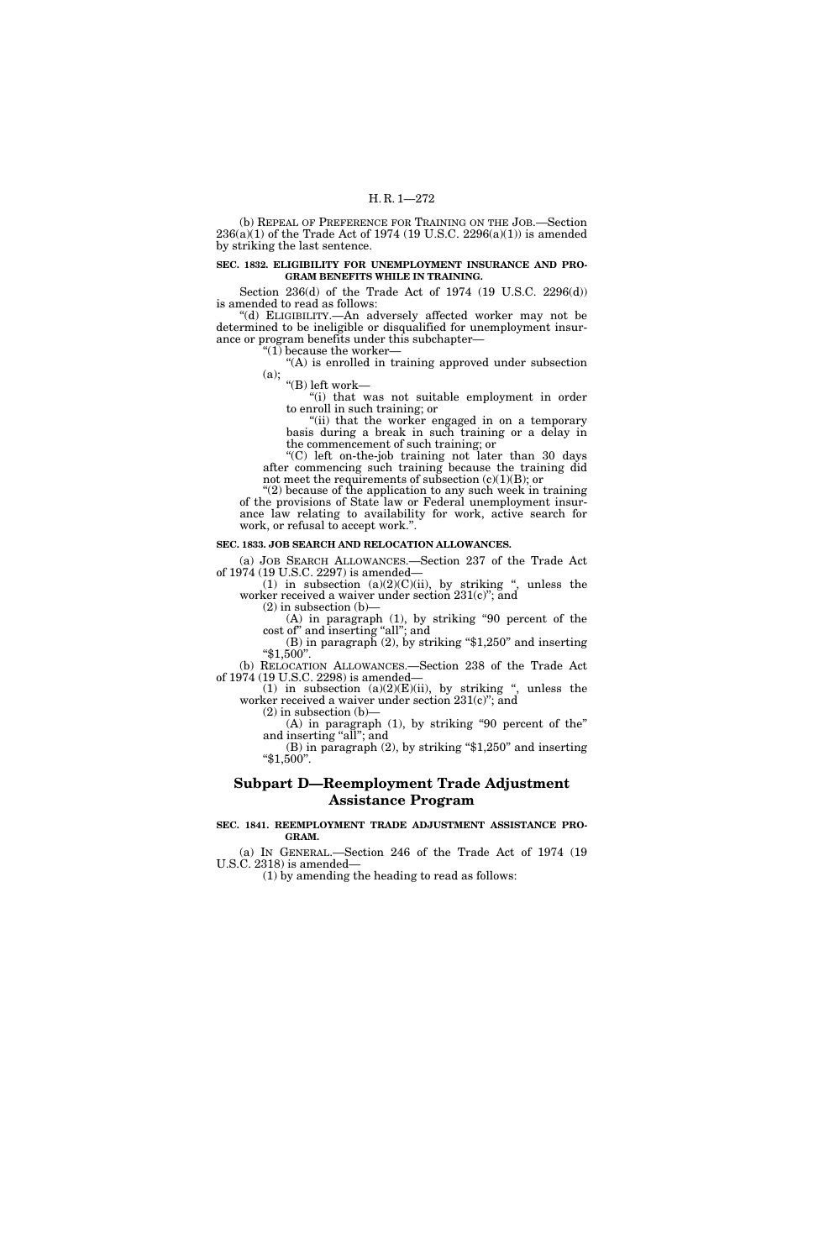(b) REPEAL OF PREFERENCE FOR TRAINING ON THE JOB.—Section  $236(a)(1)$  of the Trade Act of 1974 (19 U.S.C.  $2296(a)(1)$ ) is amended by striking the last sentence.

## **SEC. 1832. ELIGIBILITY FOR UNEMPLOYMENT INSURANCE AND PRO-GRAM BENEFITS WHILE IN TRAINING.**

Section 236(d) of the Trade Act of 1974 (19 U.S.C. 2296(d)) is amended to read as follows:

''(d) ELIGIBILITY.—An adversely affected worker may not be determined to be ineligible or disqualified for unemployment insurance or program benefits under this subchapter— "(1) because the worker-

''(A) is enrolled in training approved under subsection (a); ''(B) left work—

''(i) that was not suitable employment in order to enroll in such training; or

"(ii) that the worker engaged in on a temporary basis during a break in such training or a delay in the commencement of such training; or

''(C) left on-the-job training not later than 30 days after commencing such training because the training did not meet the requirements of subsection  $(c)(1)(B)$ ; or

"(2) because of the application to any such week in training of the provisions of State law or Federal unemployment insurance law relating to availability for work, active search for work, or refusal to accept work.''.

## **SEC. 1833. JOB SEARCH AND RELOCATION ALLOWANCES.**

(a) JOB SEARCH ALLOWANCES.—Section 237 of the Trade Act of 1974 (19 U.S.C. 2297) is amended—

(1) in subsection  $(a)(2)(C)(ii)$ , by striking ", unless the worker received a waiver under section 231(c)''; and

 $(2)$  in subsection  $(b)$ – (A) in paragraph (1), by striking ''90 percent of the

cost of" and inserting "all"; and<br>
(B) in paragraph (2), by striking "\$1,250" and inserting<br>
"\$1,500". (b) RELOCATION ALLOWANCES.—Section 238 of the Trade Act

of 1974 (19 U.S.C. 2298) is amended—

(1) in subsection  $(a)(2)(E)(ii)$ , by striking ", unless the worker received a waiver under section 231(c)''; and

 $(2)$  in subsection  $(b)$ –

(A) in paragraph (1), by striking ''90 percent of the'' and inserting "all"; and

 $(B)$  in paragraph  $(2)$ , by striking "\$1,250" and inserting ''\$1,500''.

# **Subpart D—Reemployment Trade Adjustment Assistance Program**

#### **SEC. 1841. REEMPLOYMENT TRADE ADJUSTMENT ASSISTANCE PRO-GRAM.**

(a) IN GENERAL.—Section 246 of the Trade Act of 1974 (19 U.S.C. 2318) is amended—

(1) by amending the heading to read as follows: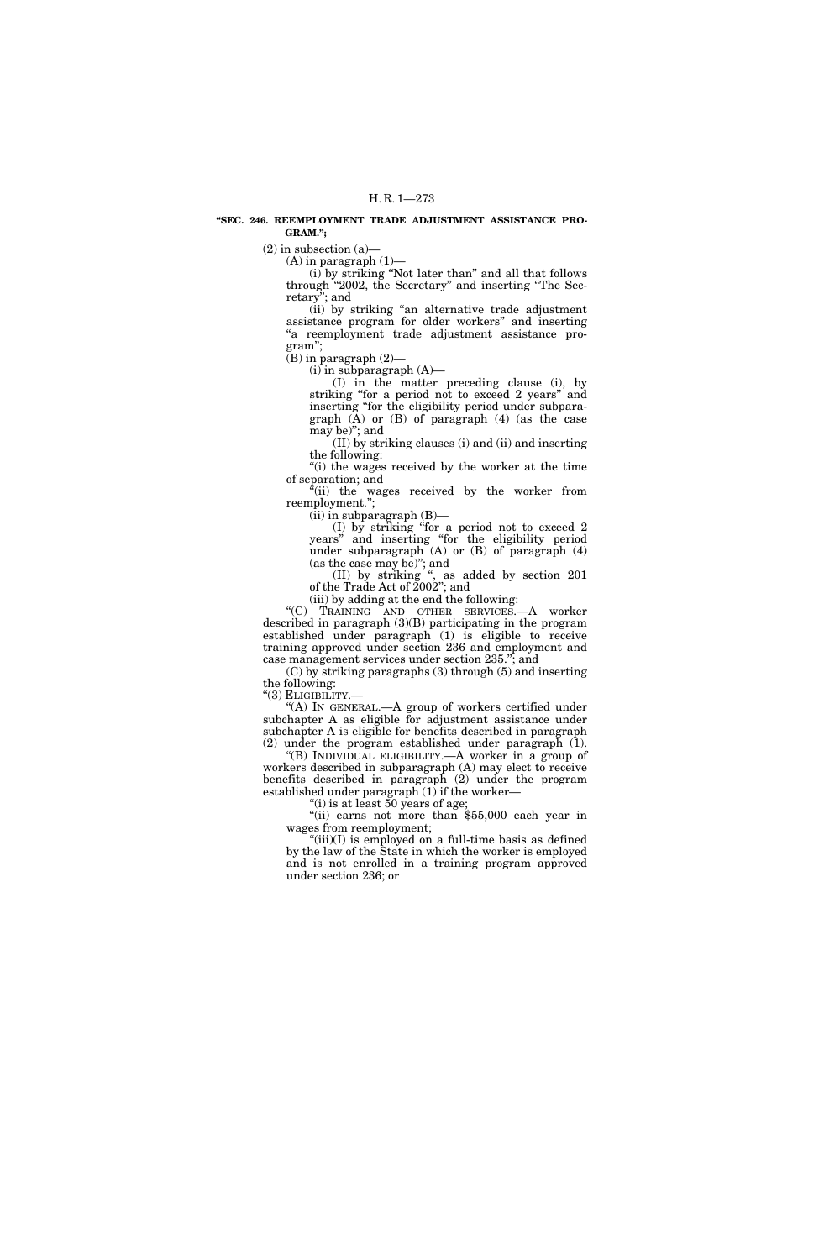#### **''SEC. 246. REEMPLOYMENT TRADE ADJUSTMENT ASSISTANCE PRO-GRAM.'';**

 $(2)$  in subsection  $(a)$ —

 $(A)$  in paragraph  $(1)$ —

(i) by striking ''Not later than'' and all that follows through "2002, the Secretary" and inserting "The Secretary''; and

(ii) by striking ''an alternative trade adjustment assistance program for older workers'' and inserting ''a reemployment trade adjustment assistance program'';

(B) in paragraph (2)—

 $(i)$  in subparagraph  $(A)$ —

(I) in the matter preceding clause (i), by striking "for a period not to exceed 2 years" and inserting ''for the eligibility period under subparagraph  $(\bar{A})$  or  $(B)$  of paragraph  $(4)$  (as the case may be)''; and

(II) by striking clauses (i) and (ii) and inserting the following:

''(i) the wages received by the worker at the time of separation; and

"(ii) the wages received by the worker from reemployment.'';

(ii) in subparagraph (B)—

(I) by striking ''for a period not to exceed 2 years'' and inserting ''for the eligibility period under subparagraph (A) or (B) of paragraph (4) (as the case may be)''; and

(II) by striking '', as added by section 201 of the Trade Act of 2002''; and

(iii) by adding at the end the following:

''(C) TRAINING AND OTHER SERVICES.—A worker described in paragraph (3)(B) participating in the program established under paragraph (1) is eligible to receive training approved under section 236 and employment and case management services under section 235.''; and

(C) by striking paragraphs (3) through (5) and inserting the following:

"(3) ELIGIBILITY.-

''(A) IN GENERAL.—A group of workers certified under subchapter A as eligible for adjustment assistance under subchapter A is eligible for benefits described in paragraph (2) under the program established under paragraph (1).

''(B) INDIVIDUAL ELIGIBILITY.—A worker in a group of workers described in subparagraph (A) may elect to receive benefits described in paragraph (2) under the program established under paragraph  $(1)$  if the worker—

''(i) is at least 50 years of age;

"(ii) earns not more than \$55,000 each year in wages from reemployment;

" $(iii)(I)$  is employed on a full-time basis as defined by the law of the State in which the worker is employed and is not enrolled in a training program approved under section 236; or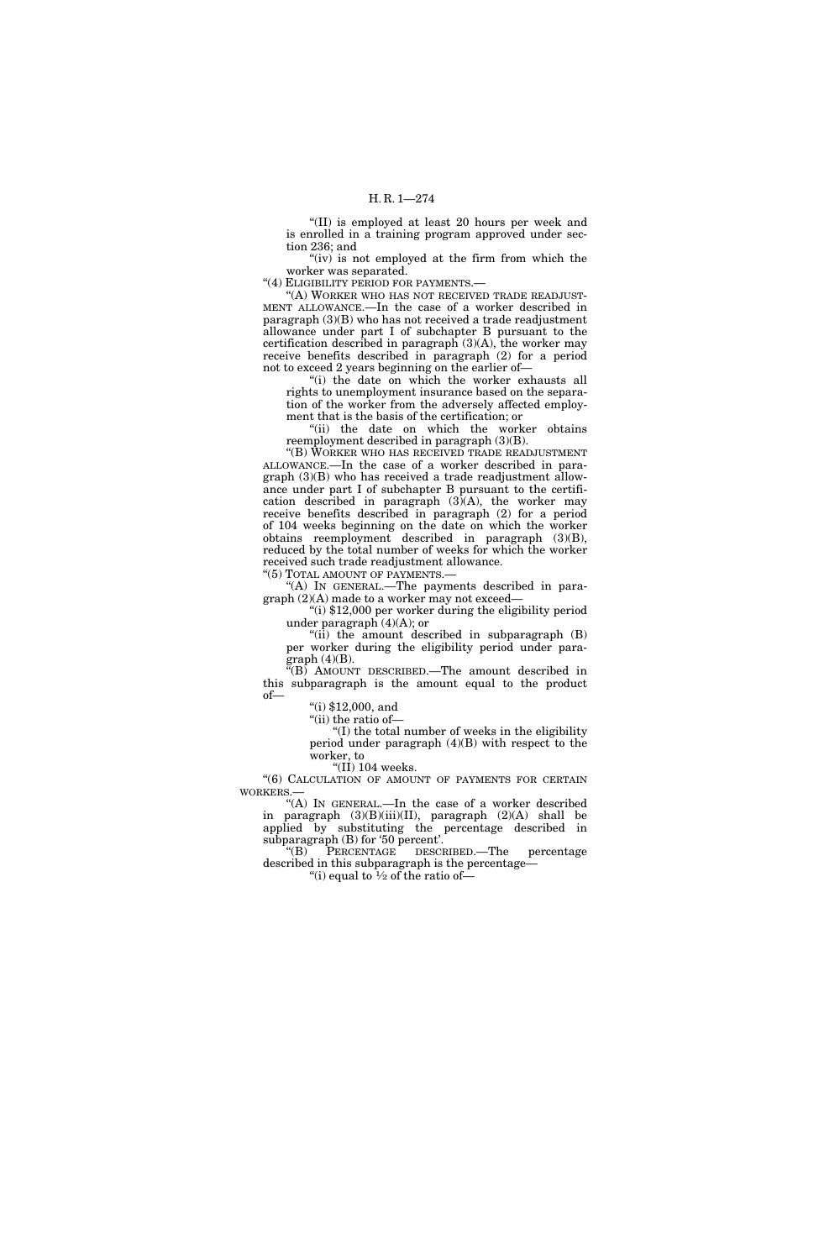''(II) is employed at least 20 hours per week and is enrolled in a training program approved under section 236; and

" $(iv)$  is not employed at the firm from which the worker was separated.

"(4) ELIGIBILITY PERIOD FOR PAYMENTS.

"(A) WORKER WHO HAS NOT RECEIVED TRADE READJUST-MENT ALLOWANCE.—In the case of a worker described in paragraph (3)(B) who has not received a trade readjustment allowance under part I of subchapter B pursuant to the certification described in paragraph (3)(A), the worker may receive benefits described in paragraph (2) for a period not to exceed 2 years beginning on the earlier of—

''(i) the date on which the worker exhausts all rights to unemployment insurance based on the separation of the worker from the adversely affected employment that is the basis of the certification; or

"(ii) the date on which the worker obtains reemployment described in paragraph (3)(B).

''(B) WORKER WHO HAS RECEIVED TRADE READJUSTMENT ALLOWANCE.—In the case of a worker described in paragraph (3)(B) who has received a trade readjustment allowance under part I of subchapter B pursuant to the certification described in paragraph  $(3)(A)$ , the worker may receive benefits described in paragraph (2) for a period of 104 weeks beginning on the date on which the worker obtains reemployment described in paragraph (3)(B), reduced by the total number of weeks for which the worker received such trade readjustment allowance.

''(5) TOTAL AMOUNT OF PAYMENTS.—

''(A) IN GENERAL.—The payments described in paragraph (2)(A) made to a worker may not exceed—

 $\lim_{x \to 0}$  \$12,000 per worker during the eligibility period under paragraph  $(4)(A)$ ; or

" $(i)$  the amount described in subparagraph  $(B)$ per worker during the eligibility period under paragraph (4)(B).

''(B) AMOUNT DESCRIBED.—The amount described in this subparagraph is the amount equal to the product of—

 $^{\prime}$ (i) \$12,000, and

"(ii) the ratio of-

''(I) the total number of weeks in the eligibility period under paragraph (4)(B) with respect to the worker, to

"(II) 104 weeks.

"(6) CALCULATION OF AMOUNT OF PAYMENTS FOR CERTAIN WORKERS.—

''(A) IN GENERAL.—In the case of a worker described in paragraph (3)(B)(iii)(II), paragraph (2)(A) shall be applied by substituting the percentage described in subparagraph (B) for '50 percent'.

''(B) PERCENTAGE DESCRIBED.—The percentage described in this subparagraph is the percentage— "(i) equal to  $\frac{1}{2}$  of the ratio of-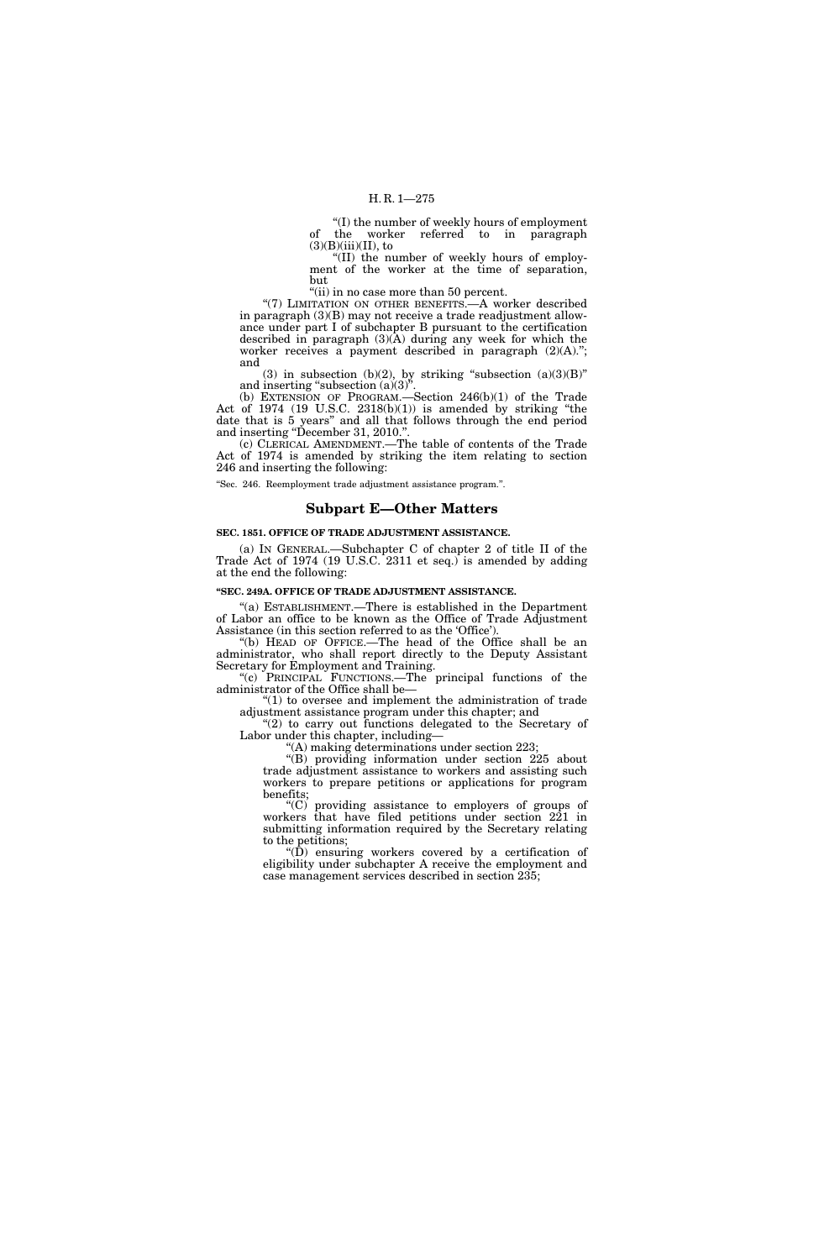''(I) the number of weekly hours of employment of the worker referred to in paragraph  $(3)(B)(iii)(II)$ , to

''(II) the number of weekly hours of employment of the worker at the time of separation, but

"(ii) in no case more than 50 percent.

"(7) LIMITATION ON OTHER BENEFITS.—A worker described in paragraph (3)(B) may not receive a trade readjustment allowance under part I of subchapter B pursuant to the certification described in paragraph  $(3)(\overline{A})$  during any week for which the worker receives a payment described in paragraph  $(2)(A)$ ."; and

(3) in subsection (b)(2), by striking "subsection  $(a)(3)(B)$ " and inserting "subsection  $(a)(3)$ ".

(b) EXTENSION OF PROGRAM.—Section 246(b)(1) of the Trade Act of 1974 (19 U.S.C. 2318(b)(1)) is amended by striking ''the date that is 5 years'' and all that follows through the end period and inserting ''December 31, 2010.''.

(c) CLERICAL AMENDMENT.—The table of contents of the Trade Act of 1974 is amended by striking the item relating to section 246 and inserting the following:

''Sec. 246. Reemployment trade adjustment assistance program.''.

## **Subpart E—Other Matters**

#### **SEC. 1851. OFFICE OF TRADE ADJUSTMENT ASSISTANCE.**

(a) IN GENERAL.—Subchapter C of chapter 2 of title II of the Trade Act of 1974 (19 U.S.C. 2311 et seq.) is amended by adding at the end the following:

### **''SEC. 249A. OFFICE OF TRADE ADJUSTMENT ASSISTANCE.**

''(a) ESTABLISHMENT.—There is established in the Department of Labor an office to be known as the Office of Trade Adjustment Assistance (in this section referred to as the 'Office').

''(b) HEAD OF OFFICE.—The head of the Office shall be an administrator, who shall report directly to the Deputy Assistant Secretary for Employment and Training.

''(c) PRINCIPAL FUNCTIONS.—The principal functions of the administrator of the Office shall be—

 $"(1)$  to oversee and implement the administration of trade adjustment assistance program under this chapter; and

"(2) to carry out functions delegated to the Secretary of Labor under this chapter, including—

''(A) making determinations under section 223;

''(B) providing information under section 225 about trade adjustment assistance to workers and assisting such workers to prepare petitions or applications for program benefits;

''(C) providing assistance to employers of groups of workers that have filed petitions under section 221 in submitting information required by the Secretary relating to the petitions;

''(D) ensuring workers covered by a certification of eligibility under subchapter A receive the employment and case management services described in section 235;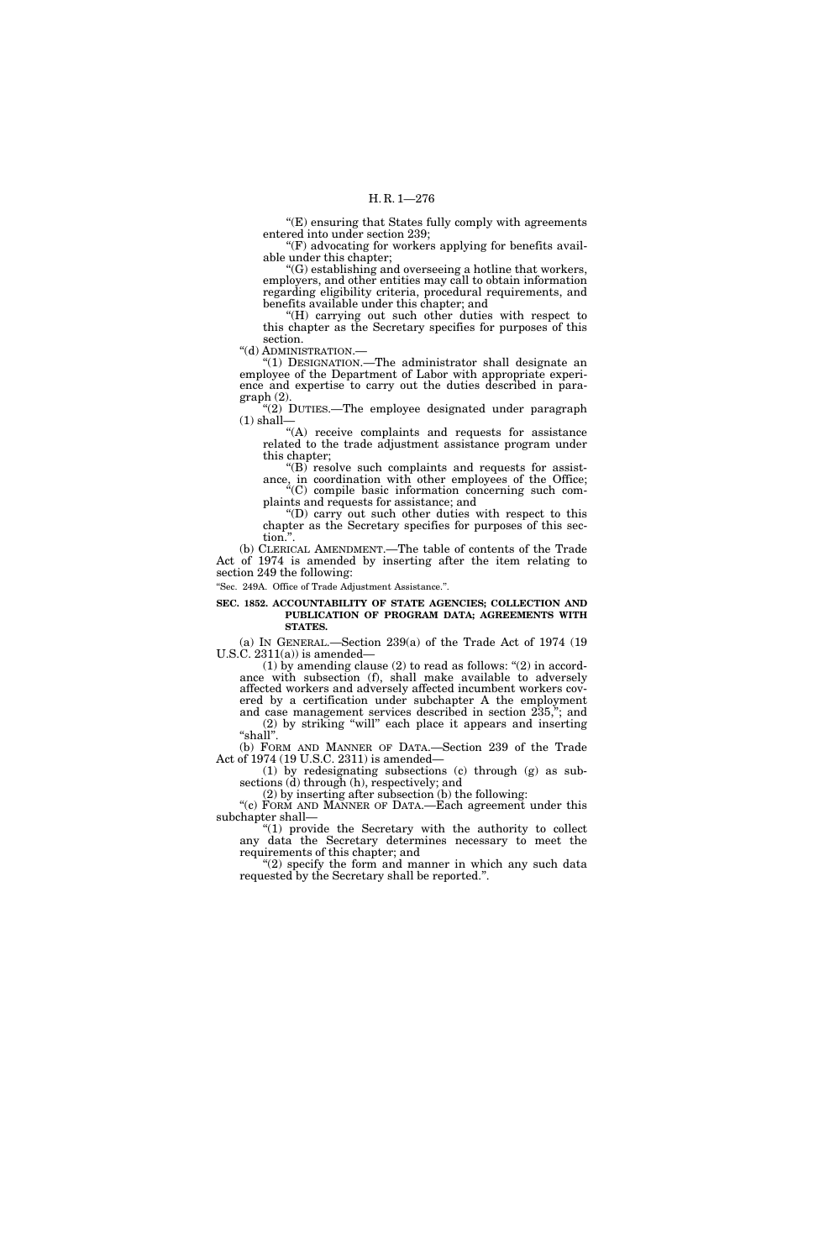''(E) ensuring that States fully comply with agreements entered into under section 239;

 $F(F)$  advocating for workers applying for benefits available under this chapter;

''(G) establishing and overseeing a hotline that workers, employers, and other entities may call to obtain information regarding eligibility criteria, procedural requirements, and benefits available under this chapter; and

''(H) carrying out such other duties with respect to this chapter as the Secretary specifies for purposes of this section.

''(d) ADMINISTRATION.—

''(1) DESIGNATION.—The administrator shall designate an employee of the Department of Labor with appropriate experience and expertise to carry out the duties described in paragraph (2).

"(2) DUTIES.—The employee designated under paragraph  $(1)$  shall-

''(A) receive complaints and requests for assistance related to the trade adjustment assistance program under this chapter;

"(B) resolve such complaints and requests for assistance, in coordination with other employees of the Office; ''(C) compile basic information concerning such com-

plaints and requests for assistance; and ''(D) carry out such other duties with respect to this chapter as the Secretary specifies for purposes of this section."

(b) CLERICAL AMENDMENT.—The table of contents of the Trade Act of 1974 is amended by inserting after the item relating to section 249 the following:

''Sec. 249A. Office of Trade Adjustment Assistance.''.

#### **SEC. 1852. ACCOUNTABILITY OF STATE AGENCIES; COLLECTION AND PUBLICATION OF PROGRAM DATA; AGREEMENTS WITH STATES.**

(a) IN GENERAL.—Section 239(a) of the Trade Act of 1974 (19 U.S.C. 2311(a)) is amended—

(1) by amending clause  $(2)$  to read as follows: " $(2)$  in accordance with subsection (f), shall make available to adversely affected workers and adversely affected incumbent workers covered by a certification under subchapter A the employment and case management services described in section 235,''; and (2) by striking ''will'' each place it appears and inserting "shall".

(b) FORM AND MANNER OF DATA.—Section 239 of the Trade Act of 1974 (19 U.S.C. 2311) is amended—

(1) by redesignating subsections (c) through (g) as subsections (d) through (h), respectively; and

(2) by inserting after subsection (b) the following:

"(c) FORM AND MANNER OF DATA.—Each agreement under this subchapter shall— "(1) provide the Secretary with the authority to collect

any data the Secretary determines necessary to meet the requirements of this chapter; and

" $(2)$  specify the form and manner in which any such data requested by the Secretary shall be reported.''.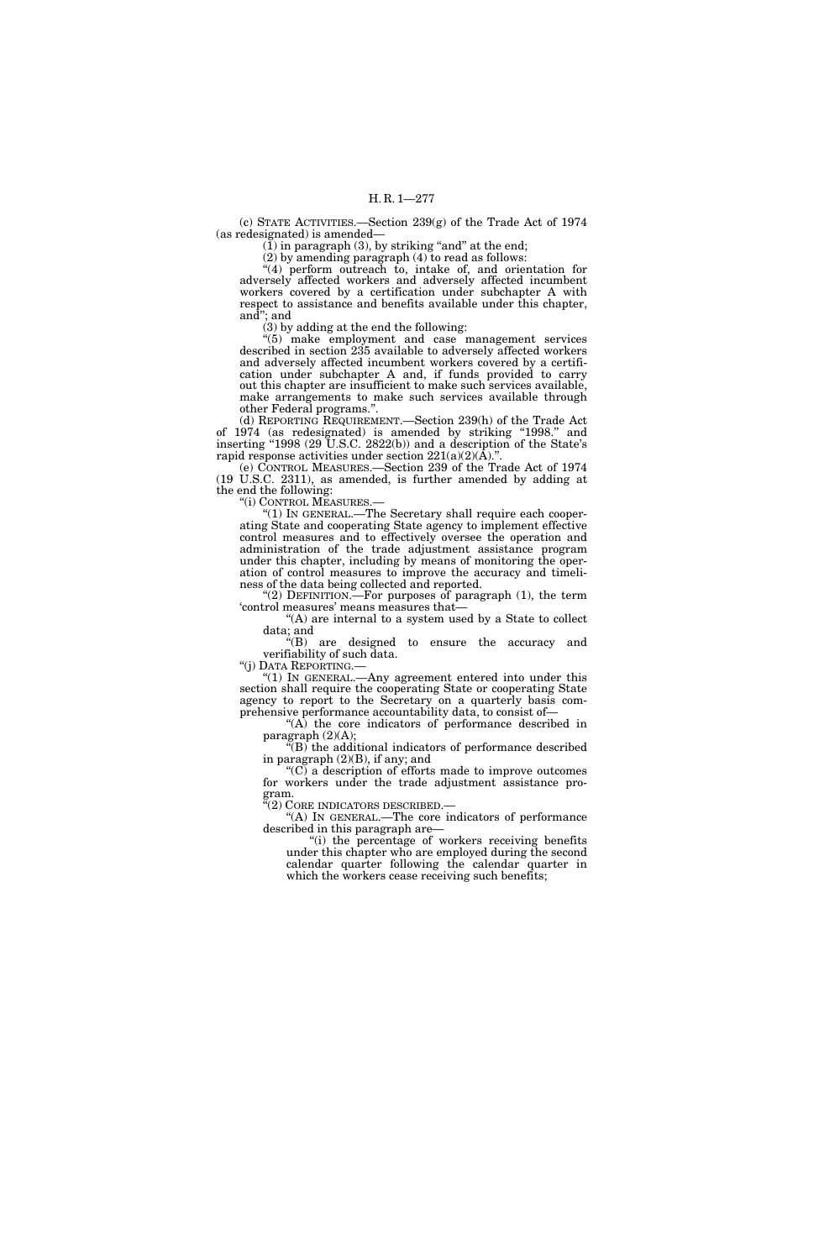(c) STATE ACTIVITIES.—Section 239(g) of the Trade Act of 1974 (as redesignated) is amended—

 $(1)$  in paragraph (3), by striking "and" at the end;

(2) by amending paragraph (4) to read as follows: ''(4) perform outreach to, intake of, and orientation for adversely affected workers and adversely affected incumbent workers covered by a certification under subchapter A with respect to assistance and benefits available under this chapter, and''; and

(3) by adding at the end the following:

"(5) make employment and case management services described in section 235 available to adversely affected workers and adversely affected incumbent workers covered by a certification under subchapter A and, if funds provided to carry out this chapter are insufficient to make such services available, make arrangements to make such services available through other Federal programs.''.

(d) REPORTING REQUIREMENT.—Section 239(h) of the Trade Act of 1974 (as redesignated) is amended by striking ''1998.'' and inserting "1998 (29 U.S.C. 2822(b)) and a description of the State's rapid response activities under section  $221(a)(2)(\overline{A})$ .".

(e) CONTROL MEASURES.—Section 239 of the Trade Act of 1974 (19 U.S.C. 2311), as amended, is further amended by adding at the end the following:

''(i) CONTROL MEASURES.— ''(1) IN GENERAL.—The Secretary shall require each cooperating State and cooperating State agency to implement effective control measures and to effectively oversee the operation and administration of the trade adjustment assistance program under this chapter, including by means of monitoring the operation of control measures to improve the accuracy and timeliness of the data being collected and reported.

"(2) DEFINITION.—For purposes of paragraph  $(1)$ , the term 'control measures' means measures that—

''(A) are internal to a system used by a State to collect data; and

''(B) are designed to ensure the accuracy and verifiability of such data.

''(j) DATA REPORTING.—

"(1) In GENERAL.—Any agreement entered into under this section shall require the cooperating State or cooperating State agency to report to the Secretary on a quarterly basis comprehensive performance accountability data, to consist of—

 $f(A)$  the core indicators of performance described in paragraph (2)(A);

 $\sqrt{\text{B}}$  the additional indicators of performance described in paragraph (2)(B), if any; and

" $(C)$  a description of efforts made to improve outcomes for workers under the trade adjustment assistance program.<br>"(2) CORE INDICATORS DESCRIBED.—

"(A) IN GENERAL.—The core indicators of performance described in this paragraph are—

"(i) the percentage of workers receiving benefits under this chapter who are employed during the second calendar quarter following the calendar quarter in which the workers cease receiving such benefits;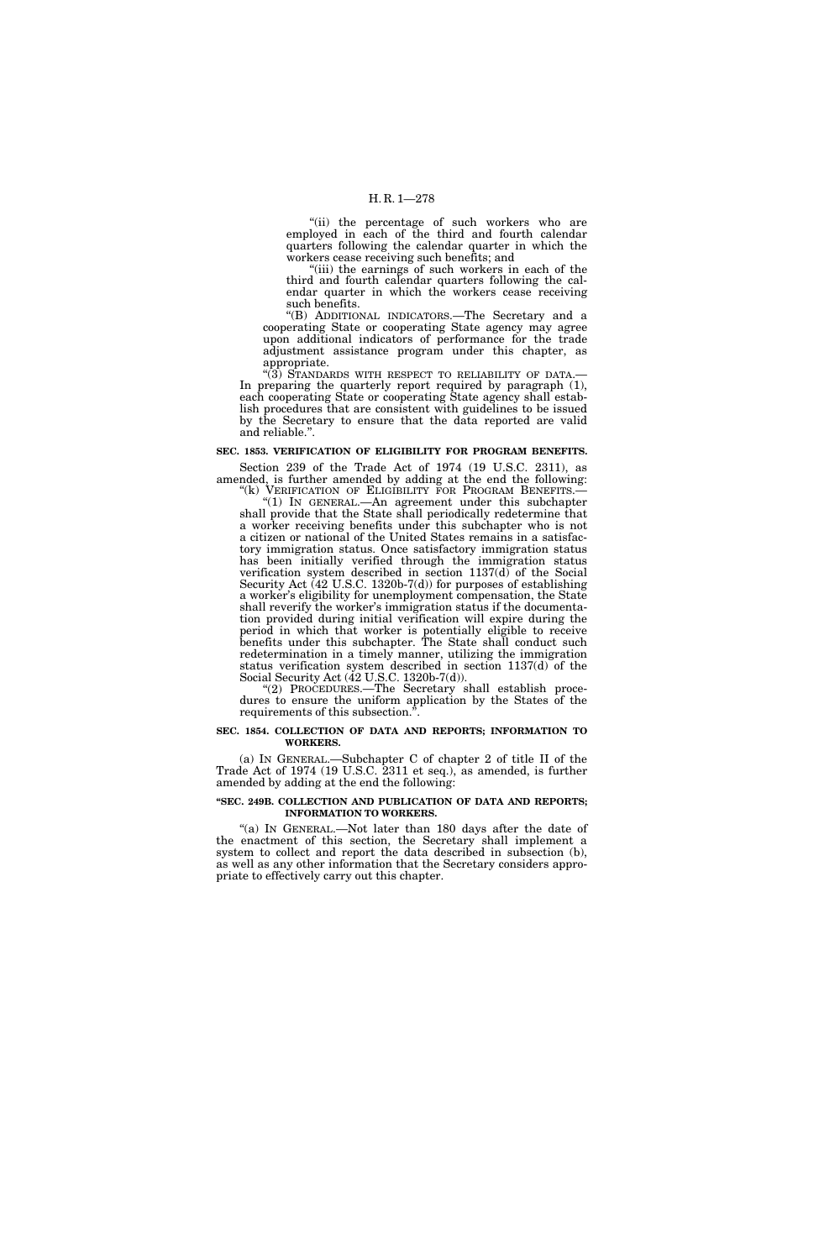## H. R. 1—278

"(ii) the percentage of such workers who are employed in each of the third and fourth calendar quarters following the calendar quarter in which the workers cease receiving such benefits; and

"(iii) the earnings of such workers in each of the third and fourth calendar quarters following the calendar quarter in which the workers cease receiving such benefits.

''(B) ADDITIONAL INDICATORS.—The Secretary and a cooperating State or cooperating State agency may agree upon additional indicators of performance for the trade adjustment assistance program under this chapter, as appropriate.

 $\sqrt[4]{(3)}$  Standards with respect to reliability of data. In preparing the quarterly report required by paragraph (1), each cooperating State or cooperating State agency shall establish procedures that are consistent with guidelines to be issued by the Secretary to ensure that the data reported are valid and reliable.''.

#### **SEC. 1853. VERIFICATION OF ELIGIBILITY FOR PROGRAM BENEFITS.**

Section 239 of the Trade Act of 1974 (19 U.S.C. 2311), as amended, is further amended by adding at the end the following: "(k) VERIFICATION OF ELIGIBILITY FOR PROGRAM BENEFITS.-

"(1) In GENERAL.—An agreement under this subchapter shall provide that the State shall periodically redetermine that a worker receiving benefits under this subchapter who is not a citizen or national of the United States remains in a satisfactory immigration status. Once satisfactory immigration status has been initially verified through the immigration status verification system described in section 1137(d) of the Social Security Act (42 U.S.C. 1320b-7(d)) for purposes of establishing a worker's eligibility for unemployment compensation, the State shall reverify the worker's immigration status if the documentation provided during initial verification will expire during the period in which that worker is potentially eligible to receive benefits under this subchapter. The State shall conduct such redetermination in a timely manner, utilizing the immigration status verification system described in section 1137(d) of the Social Security Act (42 U.S.C. 1320b-7(d)).

"(2) PROCEDURES.—The Secretary shall establish procedures to ensure the uniform application by the States of the requirements of this subsection."

#### **SEC. 1854. COLLECTION OF DATA AND REPORTS; INFORMATION TO WORKERS.**

(a) IN GENERAL.—Subchapter C of chapter 2 of title II of the Trade Act of 1974 (19 U.S.C. 2311 et seq.), as amended, is further amended by adding at the end the following:

#### **''SEC. 249B. COLLECTION AND PUBLICATION OF DATA AND REPORTS; INFORMATION TO WORKERS.**

"(a) IN GENERAL.—Not later than 180 days after the date of the enactment of this section, the Secretary shall implement a system to collect and report the data described in subsection (b), as well as any other information that the Secretary considers appropriate to effectively carry out this chapter.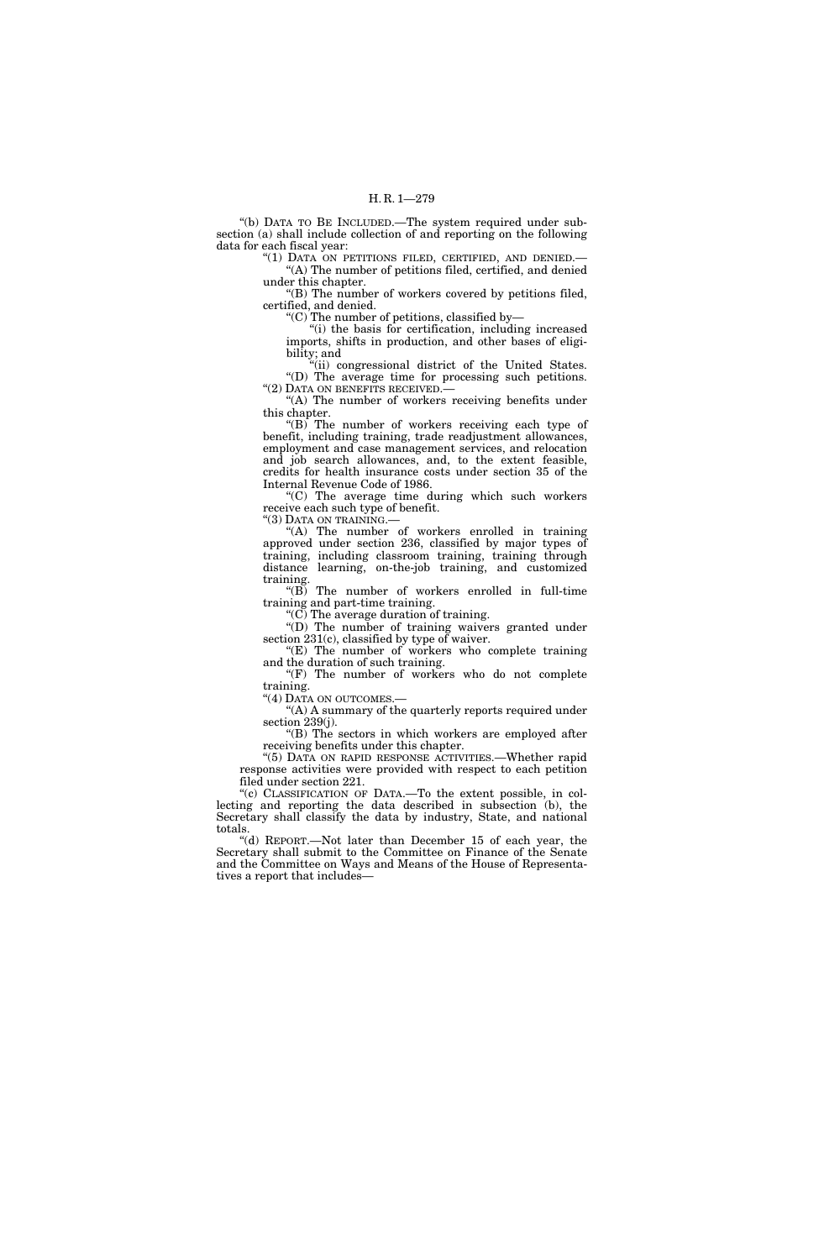''(b) DATA TO BE INCLUDED.—The system required under subsection (a) shall include collection of and reporting on the following data for each fiscal year:

"(1) DATA ON PETITIONS FILED, CERTIFIED, AND DENIED.-''(A) The number of petitions filed, certified, and denied under this chapter.

''(B) The number of workers covered by petitions filed, certified, and denied.

''(C) The number of petitions, classified by—

''(i) the basis for certification, including increased imports, shifts in production, and other bases of eligibility; and

"(ii) congressional district of the United States. ''(D) The average time for processing such petitions. ''(2) DATA ON BENEFITS RECEIVED.—

"(A) The number of workers receiving benefits under this chapter.

" $(B)$  The number of workers receiving each type of benefit, including training, trade readjustment allowances, employment and case management services, and relocation and job search allowances, and, to the extent feasible, credits for health insurance costs under section 35 of the Internal Revenue Code of 1986.

''(C) The average time during which such workers receive each such type of benefit.

''(3) DATA ON TRAINING.—

''(A) The number of workers enrolled in training approved under section 236, classified by major types of training, including classroom training, training through distance learning, on-the-job training, and customized training.

 $'(B)$  The number of workers enrolled in full-time training and part-time training.

''(C) The average duration of training.

''(D) The number of training waivers granted under section 231(c), classified by type of waiver.

 $E(E)$  The number of workers who complete training and the duration of such training.

"(F) The number of workers who do not complete" training.

"(4) DATA ON OUTCOMES.—

''(A) A summary of the quarterly reports required under section 239(j).

"(B) The sectors in which workers are employed after receiving benefits under this chapter.

''(5) DATA ON RAPID RESPONSE ACTIVITIES.—Whether rapid response activities were provided with respect to each petition filed under section 221.

"(c) CLASSIFICATION OF DATA.—To the extent possible, in collecting and reporting the data described in subsection (b), the Secretary shall classify the data by industry, State, and national totals.

''(d) REPORT.—Not later than December 15 of each year, the Secretary shall submit to the Committee on Finance of the Senate and the Committee on Ways and Means of the House of Representatives a report that includes—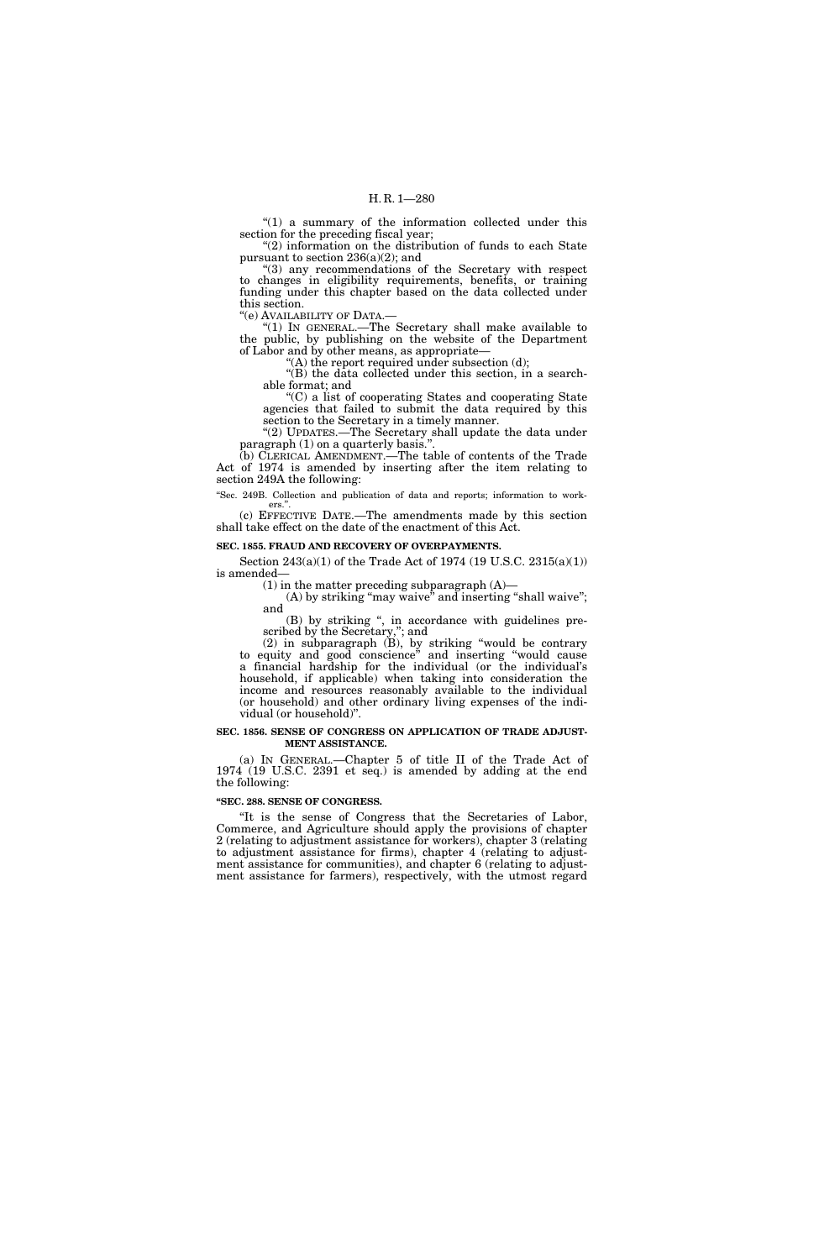"(1) a summary of the information collected under this section for the preceding fiscal year; ''(2) information on the distribution of funds to each State

pursuant to section  $236(a)(2)$ ; and

"(3) any recommendations of the Secretary with respect to changes in eligibility requirements, benefits, or training funding under this chapter based on the data collected under this section.

''(e) AVAILABILITY OF DATA.—

''(1) IN GENERAL.—The Secretary shall make available to the public, by publishing on the website of the Department of Labor and by other means, as appropriate—

"(A) the report required under subsection (d); "(B) the data collected under this section, in a searchable format; and

''(C) a list of cooperating States and cooperating State agencies that failed to submit the data required by this section to the Secretary in a timely manner.

''(2) UPDATES.—The Secretary shall update the data under paragraph (1) on a quarterly basis."

(b) CLERICAL AMENDMENT.—The table of contents of the Trade Act of 1974 is amended by inserting after the item relating to section 249A the following:

"Sec. 249B. Collection and publication of data and reports; information to workers.'

(c) EFFECTIVE DATE.—The amendments made by this section shall take effect on the date of the enactment of this Act.

### **SEC. 1855. FRAUD AND RECOVERY OF OVERPAYMENTS.**

Section 243(a)(1) of the Trade Act of 1974 (19 U.S.C. 2315(a)(1)) is amended—

 $(1)$  in the matter preceding subparagraph  $(A)$ —

(A) by striking "may waive" and inserting "shall waive"; and (B) by striking '', in accordance with guidelines pre-

scribed by the Secretary,''; and

(2) in subparagraph (B), by striking ''would be contrary to equity and good conscience'' and inserting ''would cause a financial hardship for the individual (or the individual's household, if applicable) when taking into consideration the income and resources reasonably available to the individual (or household) and other ordinary living expenses of the individual (or household)''.

#### **SEC. 1856. SENSE OF CONGRESS ON APPLICATION OF TRADE ADJUST-MENT ASSISTANCE.**

(a) IN GENERAL.—Chapter 5 of title II of the Trade Act of 1974 (19 U.S.C. 2391 et seq.) is amended by adding at the end the following:

#### **''SEC. 288. SENSE OF CONGRESS.**

''It is the sense of Congress that the Secretaries of Labor, Commerce, and Agriculture should apply the provisions of chapter 2 (relating to adjustment assistance for workers), chapter 3 (relating to adjustment assistance for firms), chapter 4 (relating to adjustment assistance for communities), and chapter 6 (relating to adjustment assistance for farmers), respectively, with the utmost regard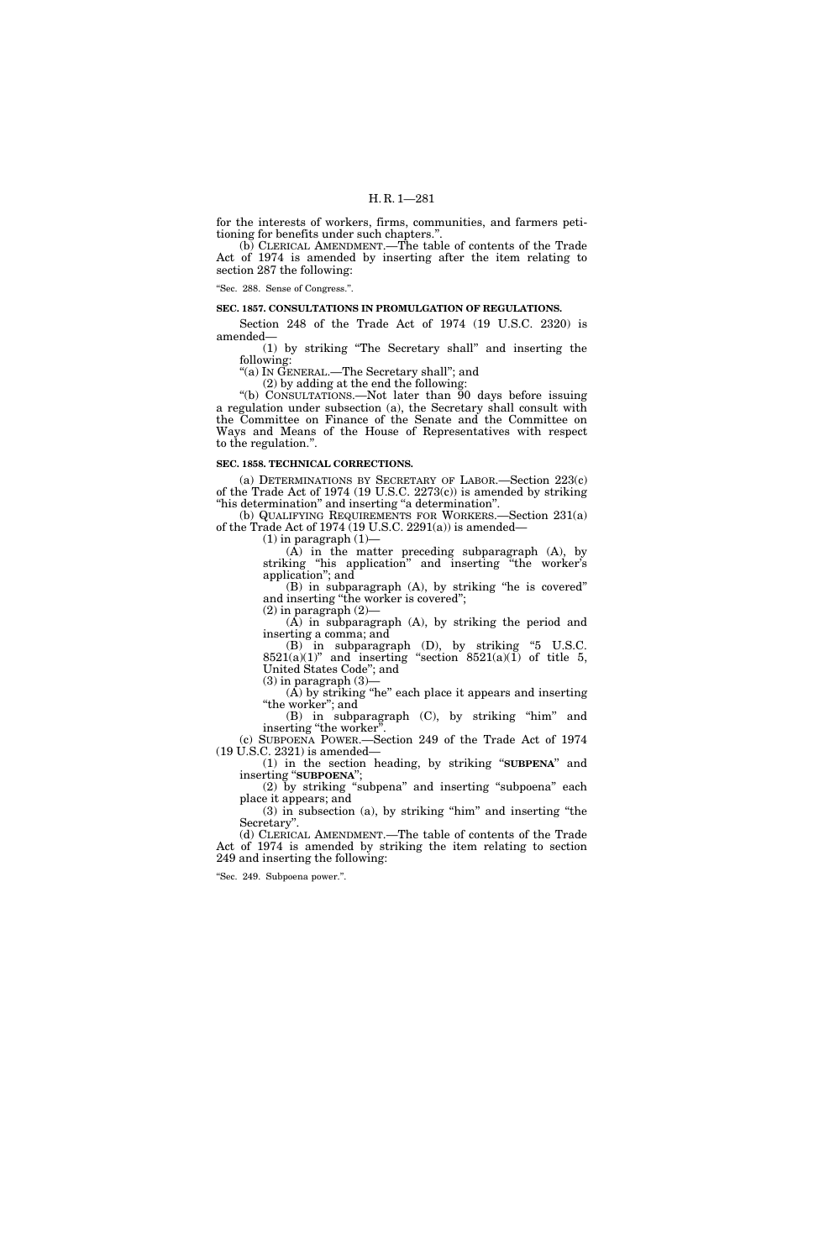for the interests of workers, firms, communities, and farmers petitioning for benefits under such chapters.''.

(b) CLERICAL AMENDMENT.—The table of contents of the Trade Act of 1974 is amended by inserting after the item relating to section 287 the following:

''Sec. 288. Sense of Congress.''.

### **SEC. 1857. CONSULTATIONS IN PROMULGATION OF REGULATIONS.**

Section 248 of the Trade Act of 1974 (19 U.S.C. 2320) is amended—

(1) by striking ''The Secretary shall'' and inserting the following:

''(a) IN GENERAL.—The Secretary shall''; and

(2) by adding at the end the following:

''(b) CONSULTATIONS.—Not later than 90 days before issuing a regulation under subsection (a), the Secretary shall consult with the Committee on Finance of the Senate and the Committee on Ways and Means of the House of Representatives with respect to the regulation.''.

#### **SEC. 1858. TECHNICAL CORRECTIONS.**

(a) DETERMINATIONS BY SECRETARY OF LABOR.—Section 223(c) of the Trade Act of 1974 (19 U.S.C. 2273(c)) is amended by striking "his determination" and inserting "a determination".

(b) QUALIFYING REQUIREMENTS FOR WORKERS.—Section 231(a) of the Trade Act of 1974 (19 U.S.C. 2291(a)) is amended—

 $(1)$  in paragraph  $(1)$ -

(A) in the matter preceding subparagraph (A), by striking ''his application'' and inserting ''the worker's application''; and

(B) in subparagraph (A), by striking ''he is covered'' and inserting "the worker is covered";

 $(2)$  in paragraph  $(2)$ -(A) in subparagraph (A), by striking the period and inserting a comma; and

(B) in subparagraph (D), by striking ''5 U.S.C.  $8521(a)(1)$ " and inserting "section  $8521(a)(1)$  of title 5, United States Code''; and

 $(3)$  in paragraph  $(3)$ 

(A) by striking ''he'' each place it appears and inserting "the worker"; and (B) in subparagraph (C), by striking "him" and

inserting ''the worker''. (c) SUBPOENA POWER.—Section 249 of the Trade Act of 1974

(19 U.S.C. 2321) is amended— (1) in the section heading, by striking ''**SUBPENA**'' and inserting ''**SUBPOENA**'';

(2) by striking ''subpena'' and inserting ''subpoena'' each place it appears; and (3) in subsection (a), by striking ''him'' and inserting ''the

Secretary''. (d) CLERICAL AMENDMENT.—The table of contents of the Trade

Act of 1974 is amended by striking the item relating to section 249 and inserting the following:

''Sec. 249. Subpoena power.''.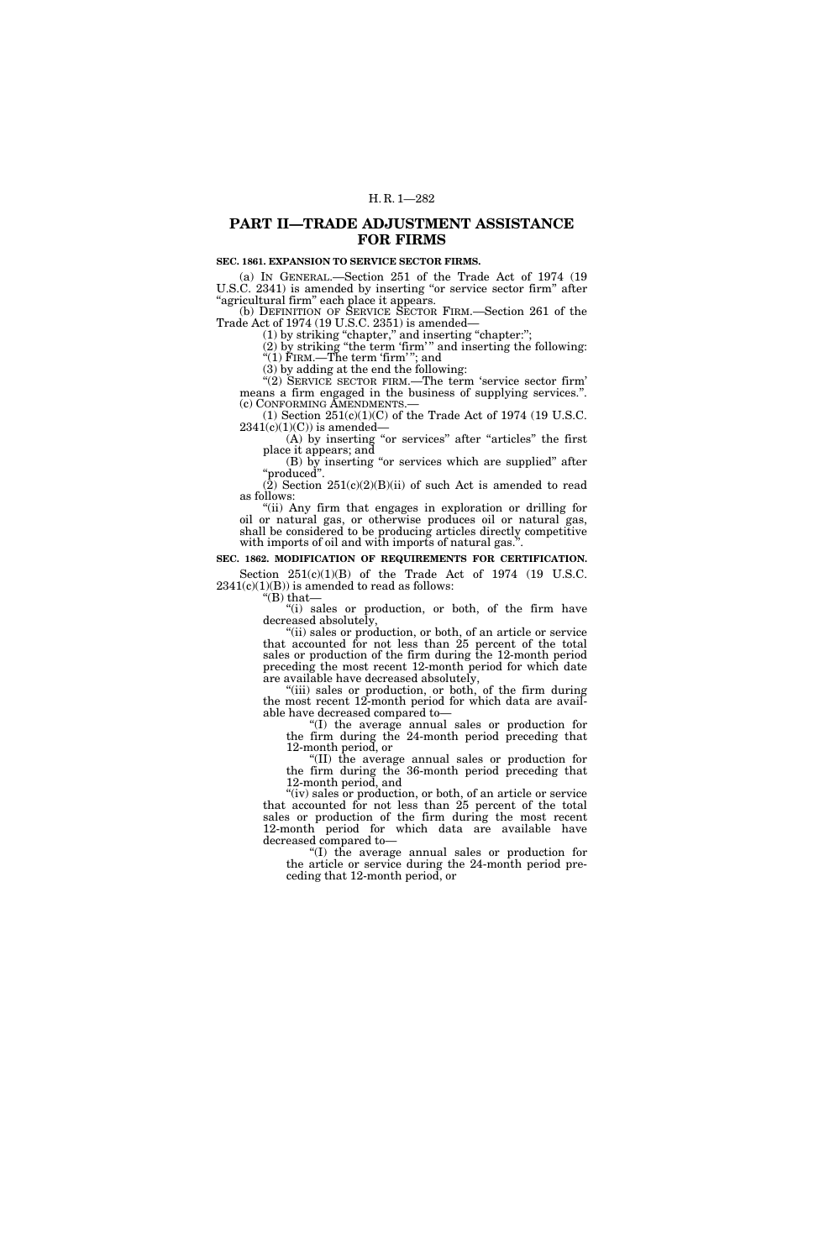# **PART II—TRADE ADJUSTMENT ASSISTANCE FOR FIRMS**

## **SEC. 1861. EXPANSION TO SERVICE SECTOR FIRMS.**

(a) IN GENERAL.—Section 251 of the Trade Act of 1974 (19 U.S.C. 2341) is amended by inserting "or service sector firm" after ''agricultural firm'' each place it appears.

(b) DEFINITION OF SERVICE SECTOR FIRM.—Section 261 of the Trade Act of 1974 (19 U.S.C. 2351) is amended— (1) by striking ''chapter,'' and inserting ''chapter:'';

(2) by striking ''the term 'firm' '' and inserting the following: ''(1) FIRM.—The term 'firm' ''; and

(3) by adding at the end the following:

''(2) SERVICE SECTOR FIRM.—The term 'service sector firm' means a firm engaged in the business of supplying services.''. (c) CONFORMING AMENDMENTS.—<br>
(1) Section  $251(c)(1)(C)$  of the Trade Act of 1974 (19 U.S.C.

 $2341(c)(1)(C)$ ) is amended–

(A) by inserting "or services" after "articles" the first place it appears; and

(B) by inserting ''or services which are supplied'' after ''produced''.

 $(2)$  Section 251(c)(2)(B)(ii) of such Act is amended to read as follows:

"(ii) Any firm that engages in exploration or drilling for oil or natural gas, or otherwise produces oil or natural gas, shall be considered to be producing articles directly competitive with imports of oil and with imports of natural gas.'

**SEC. 1862. MODIFICATION OF REQUIREMENTS FOR CERTIFICATION.**  Section  $251(c)(1)(B)$  of the Trade Act of 1974 (19 U.S.C.  $2341(c)(1)(B)$ ) is amended to read as follows:

''(B) that—

"(i) sales or production, or both, of the firm have decreased absolutely,

"(ii) sales or production, or both, of an article or service that accounted for not less than 25 percent of the total sales or production of the firm during the 12-month period preceding the most recent 12-month period for which date are available have decreased absolutely,

"(iii) sales or production, or both, of the firm during the most recent 12-month period for which data are available have decreased compared to—

''(I) the average annual sales or production for the firm during the 24-month period preceding that 12-month period, or

''(II) the average annual sales or production for the firm during the 36-month period preceding that 12-month period, and

"(iv) sales or production, or both, of an article or service that accounted for not less than 25 percent of the total sales or production of the firm during the most recent 12-month period for which data are available have decreased compared to—

''(I) the average annual sales or production for the article or service during the 24-month period preceding that 12-month period, or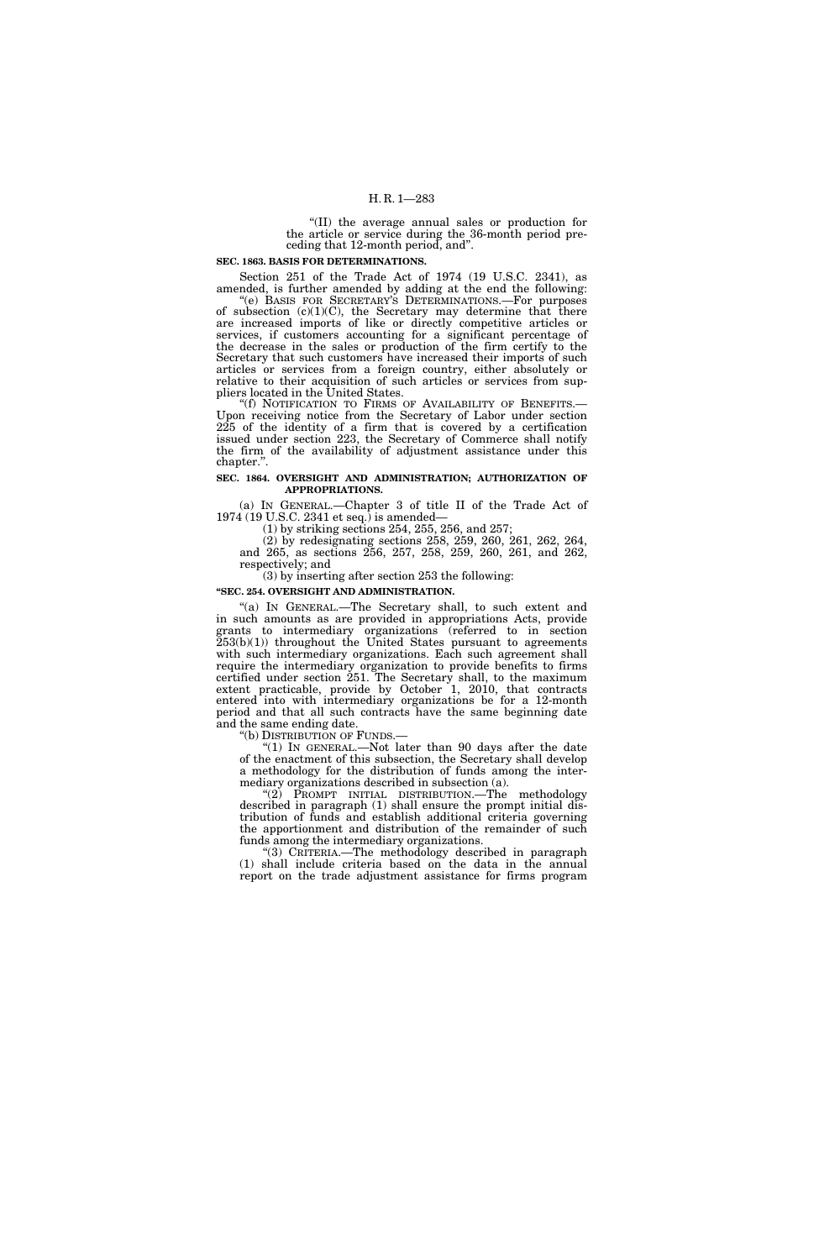''(II) the average annual sales or production for the article or service during the 36-month period preceding that 12-month period, and''.

#### **SEC. 1863. BASIS FOR DETERMINATIONS.**

Section 251 of the Trade Act of 1974 (19 U.S.C. 2341), as amended, is further amended by adding at the end the following:

"(e) BASIS FOR SECRETARY'S DETERMINATIONS.—For purposes of subsection  $(c)(1)(C)$ , the Secretary may determine that there are increased imports of like or directly competitive articles or services, if customers accounting for a significant percentage of the decrease in the sales or production of the firm certify to the Secretary that such customers have increased their imports of such articles or services from a foreign country, either absolutely or relative to their acquisition of such articles or services from suppliers located in the United States.<br>
"(f) NOTIFICATION TO FIRMS OF AVAILABILITY OF BENEFITS.—

Upon receiving notice from the Secretary of Labor under section 225 of the identity of a firm that is covered by a certification issued under section 223, the Secretary of Commerce shall notify the firm of the availability of adjustment assistance under this chapter.''.

## **SEC. 1864. OVERSIGHT AND ADMINISTRATION; AUTHORIZATION OF APPROPRIATIONS.**

(a) IN GENERAL.—Chapter 3 of title II of the Trade Act of 1974 (19 U.S.C. 2341 et seq.) is amended—

(1) by striking sections 254, 255, 256, and 257;

(2) by redesignating sections 258, 259, 260, 261, 262, 264, and 265, as sections 256, 257, 258, 259, 260, 261, and 262, respectively; and

# (3) by inserting after section 253 the following:

## **''SEC. 254. OVERSIGHT AND ADMINISTRATION.**

"(a) IN GENERAL.—The Secretary shall, to such extent and in such amounts as are provided in appropriations Acts, provide grants to intermediary organizations (referred to in section  $253(b)(1)$  throughout the United States pursuant to agreements with such intermediary organizations. Each such agreement shall require the intermediary organization to provide benefits to firms certified under section 251. The Secretary shall, to the maximum extent practicable, provide by October 1, 2010, that contracts entered into with intermediary organizations be for a 12-month period and that all such contracts have the same beginning date and the same ending date.

''(b) DISTRIBUTION OF FUNDS.—

"(1) In GENERAL.—Not later than 90 days after the date of the enactment of this subsection, the Secretary shall develop a methodology for the distribution of funds among the intermediary organizations described in subsection (a).

"(2) PROMPT INITIAL DISTRIBUTION.—The methodology described in paragraph (1) shall ensure the prompt initial distribution of funds and establish additional criteria governing the apportionment and distribution of the remainder of such funds among the intermediary organizations.

''(3) CRITERIA.—The methodology described in paragraph (1) shall include criteria based on the data in the annual report on the trade adjustment assistance for firms program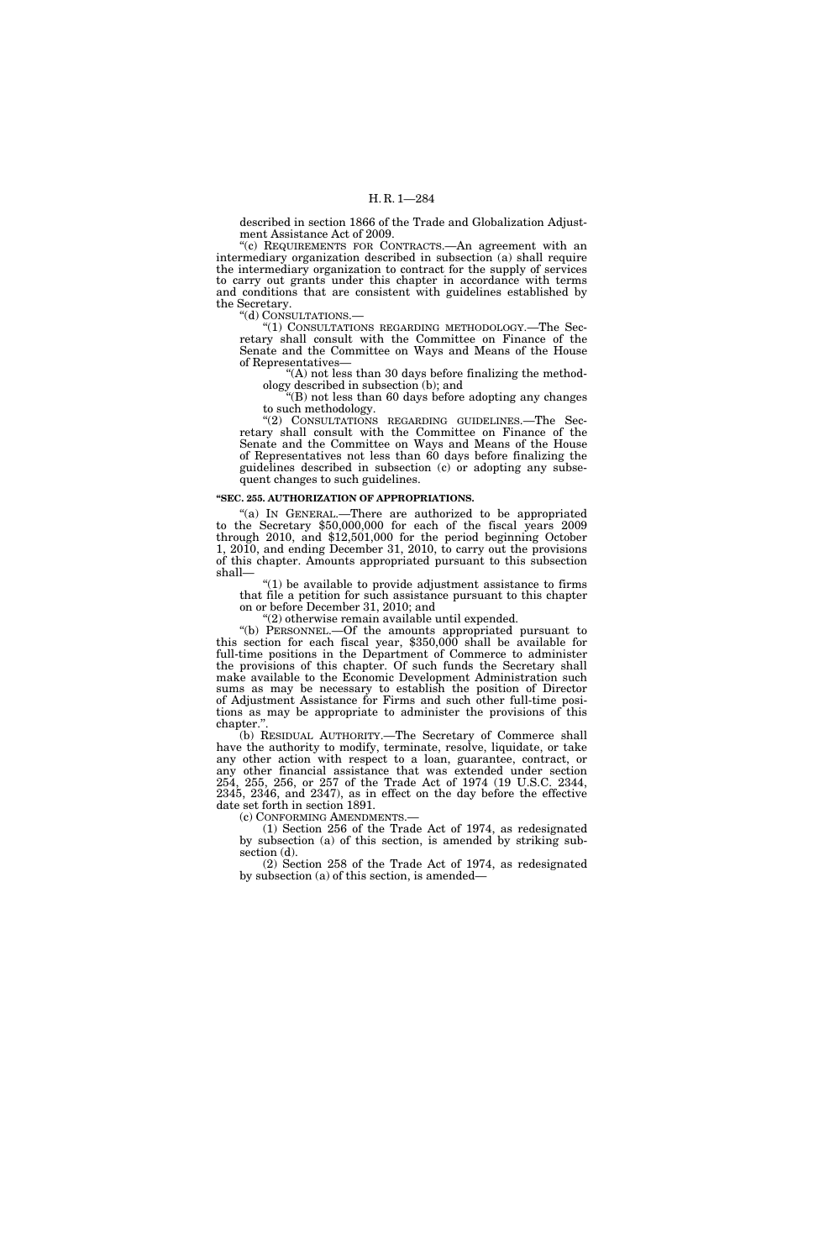described in section 1866 of the Trade and Globalization Adjustment Assistance Act of 2009.

''(c) REQUIREMENTS FOR CONTRACTS.—An agreement with an intermediary organization described in subsection (a) shall require the intermediary organization to contract for the supply of services to carry out grants under this chapter in accordance with terms and conditions that are consistent with guidelines established by the Secretary.

''(d) CONSULTATIONS.—

''(1) CONSULTATIONS REGARDING METHODOLOGY.—The Secretary shall consult with the Committee on Finance of the Senate and the Committee on Ways and Means of the House of Representatives—

" $(A)$  not less than 30 days before finalizing the methodology described in subsection (b); and

''(B) not less than 60 days before adopting any changes to such methodology.

''(2) CONSULTATIONS REGARDING GUIDELINES.—The Secretary shall consult with the Committee on Finance of the Senate and the Committee on Ways and Means of the House of Representatives not less than 60 days before finalizing the guidelines described in subsection (c) or adopting any subsequent changes to such guidelines.

## **''SEC. 255. AUTHORIZATION OF APPROPRIATIONS.**

"(a) IN GENERAL.—There are authorized to be appropriated to the Secretary \$50,000,000 for each of the fiscal years 2009 through 2010, and \$12,501,000 for the period beginning October 1, 2010, and ending December 31, 2010, to carry out the provisions of this chapter. Amounts appropriated pursuant to this subsection shall—

''(1) be available to provide adjustment assistance to firms that file a petition for such assistance pursuant to this chapter on or before December 31, 2010; and

''(2) otherwise remain available until expended.

''(b) PERSONNEL.—Of the amounts appropriated pursuant to this section for each fiscal year, \$350,000 shall be available for full-time positions in the Department of Commerce to administer the provisions of this chapter. Of such funds the Secretary shall make available to the Economic Development Administration such sums as may be necessary to establish the position of Director of Adjustment Assistance for Firms and such other full-time positions as may be appropriate to administer the provisions of this chapter.'

(b) RESIDUAL AUTHORITY.—The Secretary of Commerce shall have the authority to modify, terminate, resolve, liquidate, or take any other action with respect to a loan, guarantee, contract, or any other financial assistance that was extended under section 254, 255, 256, or 257 of the Trade Act of 1974 (19 U.S.C. 2344, 2345, 2346, and 2347), as in effect on the day before the effective date set forth in section 1891.<br>(c) CONFORMING AMENDMENTS.

(1) Section 256 of the Trade Act of 1974, as redesignated by subsection (a) of this section, is amended by striking subsection (d).

(2) Section 258 of the Trade Act of 1974, as redesignated by subsection (a) of this section, is amended—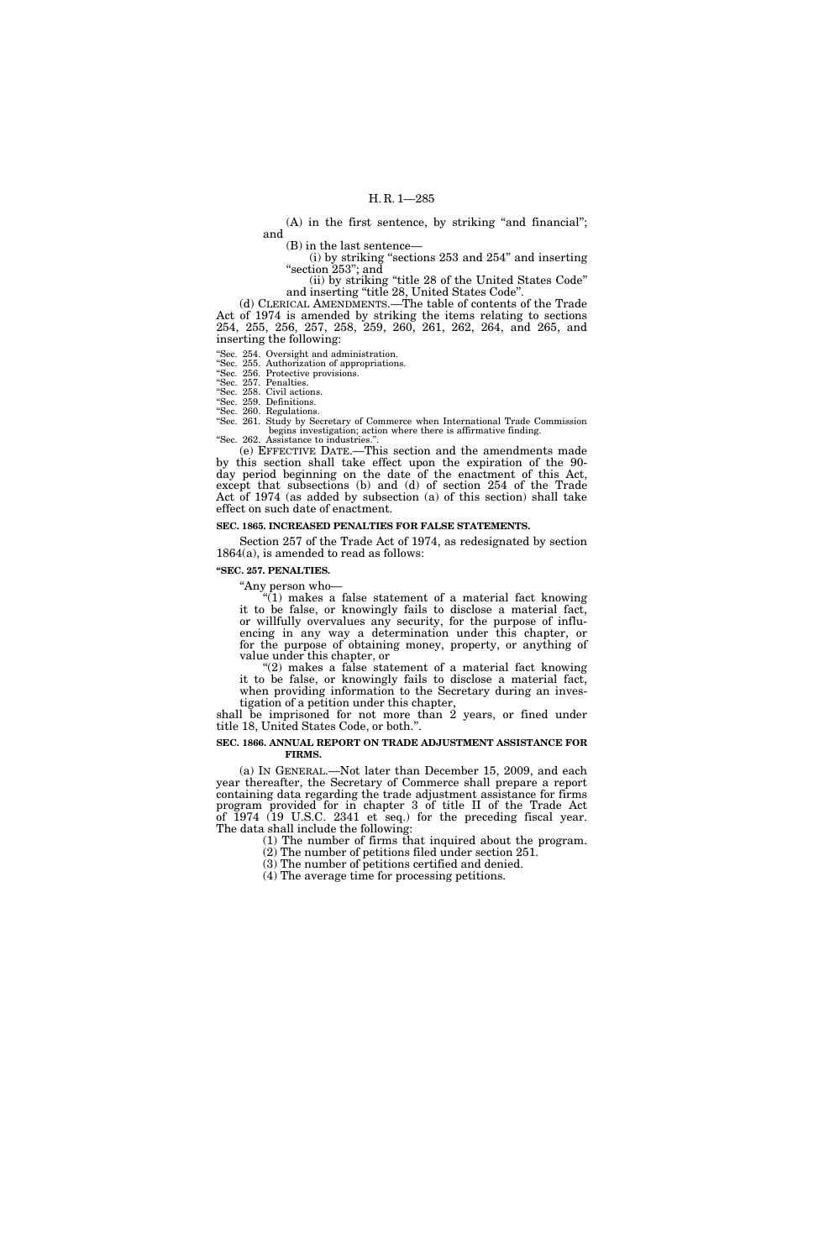$(A)$  in the first sentence, by striking "and financial"; and

(B) in the last sentence—

(i) by striking ''sections 253 and 254'' and inserting "section 253"; and

(ii) by striking ''title 28 of the United States Code'' and inserting ''title 28, United States Code''.

(d) CLERICAL AMENDMENTS.—The table of contents of the Trade Act of 1974 is amended by striking the items relating to sections 254, 255, 256, 257, 258, 259, 260, 261, 262, 264, and 265, and inserting the following:

''Sec. 254. Oversight and administration.

''Sec. 255. Authorization of appropriations.

''Sec. 256. Protective provisions.

''Sec. 257. Penalties. ''Sec. 258. Civil actions.

''Sec. 259. Definitions.

''Sec. 260. Regulations.

''Sec. 261. Study by Secretary of Commerce when International Trade Commission begins investigation; action where there is affirmative finding. "Sec. 262. Assistance to industries."

(e) EFFECTIVE DATE.—This section and the amendments made by this section shall take effect upon the expiration of the 90 day period beginning on the date of the enactment of this Act, except that subsections (b) and (d) of section 254 of the Trade Act of 1974 (as added by subsection (a) of this section) shall take effect on such date of enactment.

## **SEC. 1865. INCREASED PENALTIES FOR FALSE STATEMENTS.**

Section 257 of the Trade Act of 1974, as redesignated by section 1864(a), is amended to read as follows:

#### **''SEC. 257. PENALTIES.**

''Any person who—

 $\sqrt[n]{(1)}$  makes a false statement of a material fact knowing it to be false, or knowingly fails to disclose a material fact, or willfully overvalues any security, for the purpose of influencing in any way a determination under this chapter, or for the purpose of obtaining money, property, or anything of value under this chapter, or

"(2) makes a false statement of a material fact knowing it to be false, or knowingly fails to disclose a material fact, when providing information to the Secretary during an investigation of a petition under this chapter,

shall be imprisoned for not more than 2 years, or fined under title 18, United States Code, or both.''.

#### **SEC. 1866. ANNUAL REPORT ON TRADE ADJUSTMENT ASSISTANCE FOR FIRMS.**

(a) IN GENERAL.—Not later than December 15, 2009, and each year thereafter, the Secretary of Commerce shall prepare a report containing data regarding the trade adjustment assistance for firms program provided for in chapter 3 of title II of the Trade Act of 1974 (19 U.S.C. 2341 et seq.) for the preceding fiscal year. The data shall include the following:

(1) The number of firms that inquired about the program. (2) The number of petitions filed under section 251.

(3) The number of petitions certified and denied.

(4) The average time for processing petitions.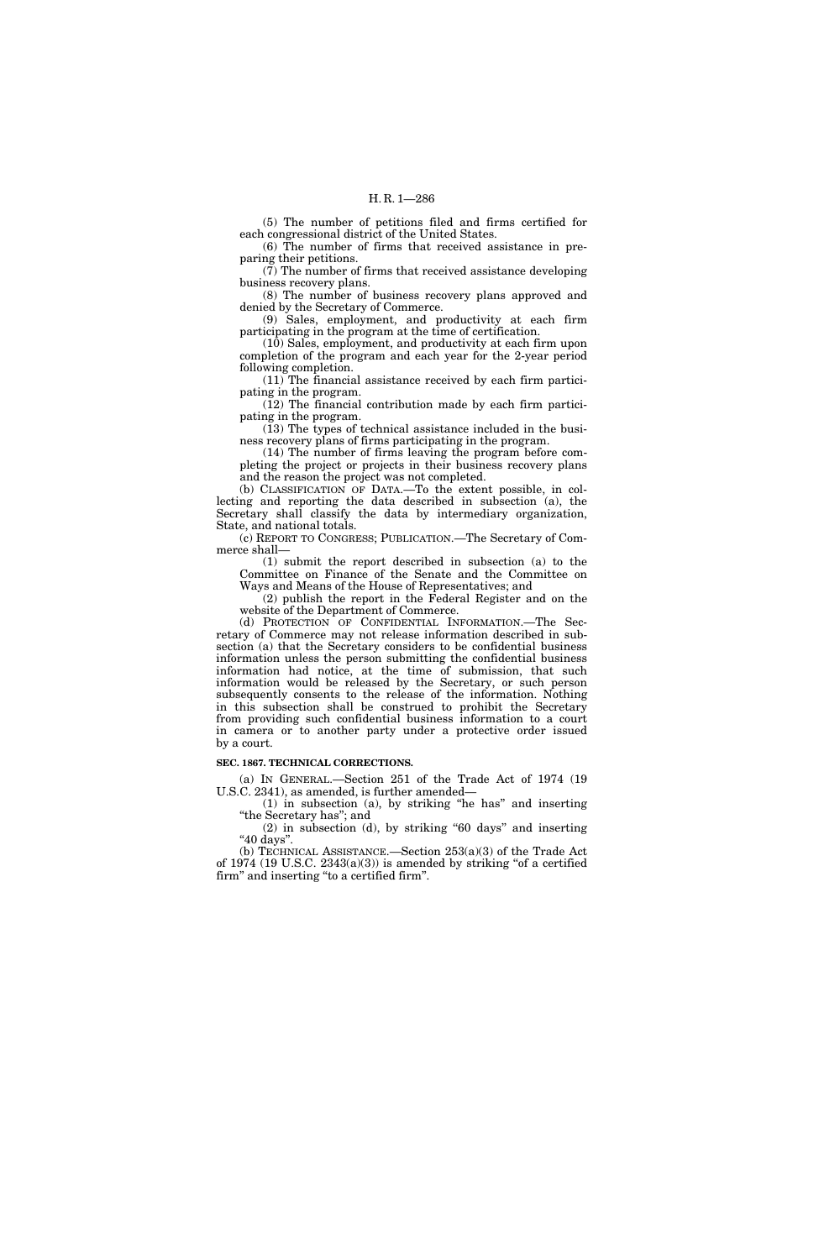(5) The number of petitions filed and firms certified for each congressional district of the United States.

(6) The number of firms that received assistance in preparing their petitions.

(7) The number of firms that received assistance developing business recovery plans.

(8) The number of business recovery plans approved and denied by the Secretary of Commerce.

(9) Sales, employment, and productivity at each firm participating in the program at the time of certification.

(10) Sales, employment, and productivity at each firm upon completion of the program and each year for the 2-year period following completion.

(11) The financial assistance received by each firm participating in the program.

(12) The financial contribution made by each firm participating in the program.

(13) The types of technical assistance included in the business recovery plans of firms participating in the program.

(14) The number of firms leaving the program before completing the project or projects in their business recovery plans and the reason the project was not completed.

(b) CLASSIFICATION OF DATA.—To the extent possible, in collecting and reporting the data described in subsection (a), the Secretary shall classify the data by intermediary organization, State, and national totals.

(c) REPORT TO CONGRESS; PUBLICATION.—The Secretary of Commerce shall—

(1) submit the report described in subsection (a) to the Committee on Finance of the Senate and the Committee on Ways and Means of the House of Representatives; and

(2) publish the report in the Federal Register and on the website of the Department of Commerce.

(d) PROTECTION OF CONFIDENTIAL INFORMATION.—The Secretary of Commerce may not release information described in subsection (a) that the Secretary considers to be confidential business information unless the person submitting the confidential business information had notice, at the time of submission, that such information would be released by the Secretary, or such person subsequently consents to the release of the information. Nothing in this subsection shall be construed to prohibit the Secretary from providing such confidential business information to a court in camera or to another party under a protective order issued by a court.

#### **SEC. 1867. TECHNICAL CORRECTIONS.**

(a) IN GENERAL.—Section 251 of the Trade Act of 1974 (19 U.S.C. 2341), as amended, is further amended—

(1) in subsection (a), by striking ''he has'' and inserting ''the Secretary has''; and  $(2)$  in subsection  $(d)$ , by striking "60 days" and inserting

"40 days".

(b) TECHNICAL ASSISTANCE.—Section 253(a)(3) of the Trade Act of 1974 (19 U.S.C.  $2343(a)(3)$ ) is amended by striking "of a certified firm'' and inserting ''to a certified firm''.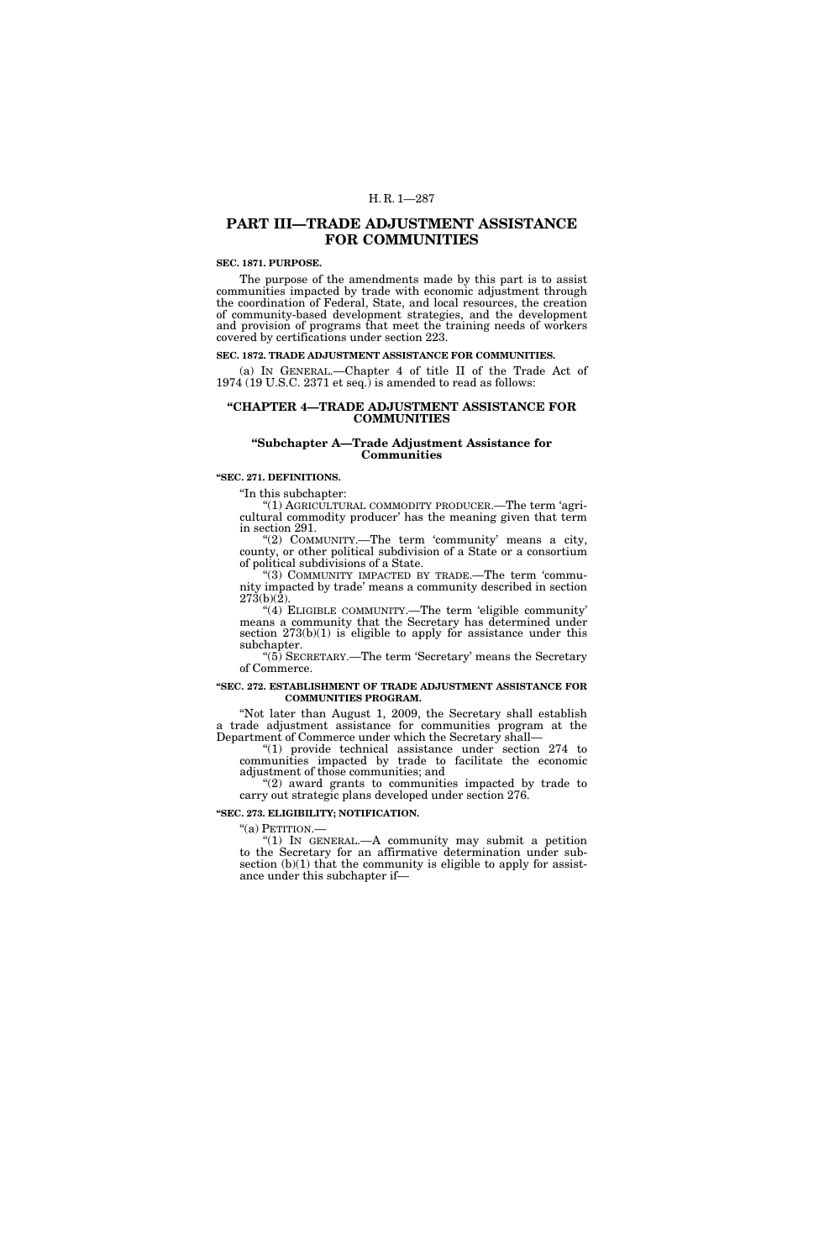## H. R. 1—287

# **PART III—TRADE ADJUSTMENT ASSISTANCE FOR COMMUNITIES**

### **SEC. 1871. PURPOSE.**

The purpose of the amendments made by this part is to assist communities impacted by trade with economic adjustment through the coordination of Federal, State, and local resources, the creation of community-based development strategies, and the development and provision of programs that meet the training needs of workers covered by certifications under section 223.

## **SEC. 1872. TRADE ADJUSTMENT ASSISTANCE FOR COMMUNITIES.**

(a) IN GENERAL.—Chapter 4 of title II of the Trade Act of 1974 (19 U.S.C. 2371 et seq.) is amended to read as follows:

## **''CHAPTER 4—TRADE ADJUSTMENT ASSISTANCE FOR COMMUNITIES**

### **''Subchapter A—Trade Adjustment Assistance for Communities**

## **''SEC. 271. DEFINITIONS.**

''In this subchapter:

"(1) AGRICULTURAL COMMODITY PRODUCER.—The term 'agricultural commodity producer' has the meaning given that term in section 291.

"(2) COMMUNITY.-The term 'community' means a city, county, or other political subdivision of a State or a consortium of political subdivisions of a State.

''(3) COMMUNITY IMPACTED BY TRADE.—The term 'community impacted by trade' means a community described in section 273(b)(2).

''(4) ELIGIBLE COMMUNITY.—The term 'eligible community' means a community that the Secretary has determined under section  $273(b)(1)$  is eligible to apply for assistance under this subchapter.

''(5) SECRETARY.—The term 'Secretary' means the Secretary of Commerce.

#### **''SEC. 272. ESTABLISHMENT OF TRADE ADJUSTMENT ASSISTANCE FOR COMMUNITIES PROGRAM.**

''Not later than August 1, 2009, the Secretary shall establish a trade adjustment assistance for communities program at the Department of Commerce under which the Secretary shall—

''(1) provide technical assistance under section 274 to communities impacted by trade to facilitate the economic adjustment of those communities; and

"(2) award grants to communities impacted by trade to carry out strategic plans developed under section 276.

**''SEC. 273. ELIGIBILITY; NOTIFICATION.** 

"(a) PETITION.-

" $(1)$  In GENERAL.—A community may submit a petition to the Secretary for an affirmative determination under subsection  $(b)(1)$  that the community is eligible to apply for assistance under this subchapter if—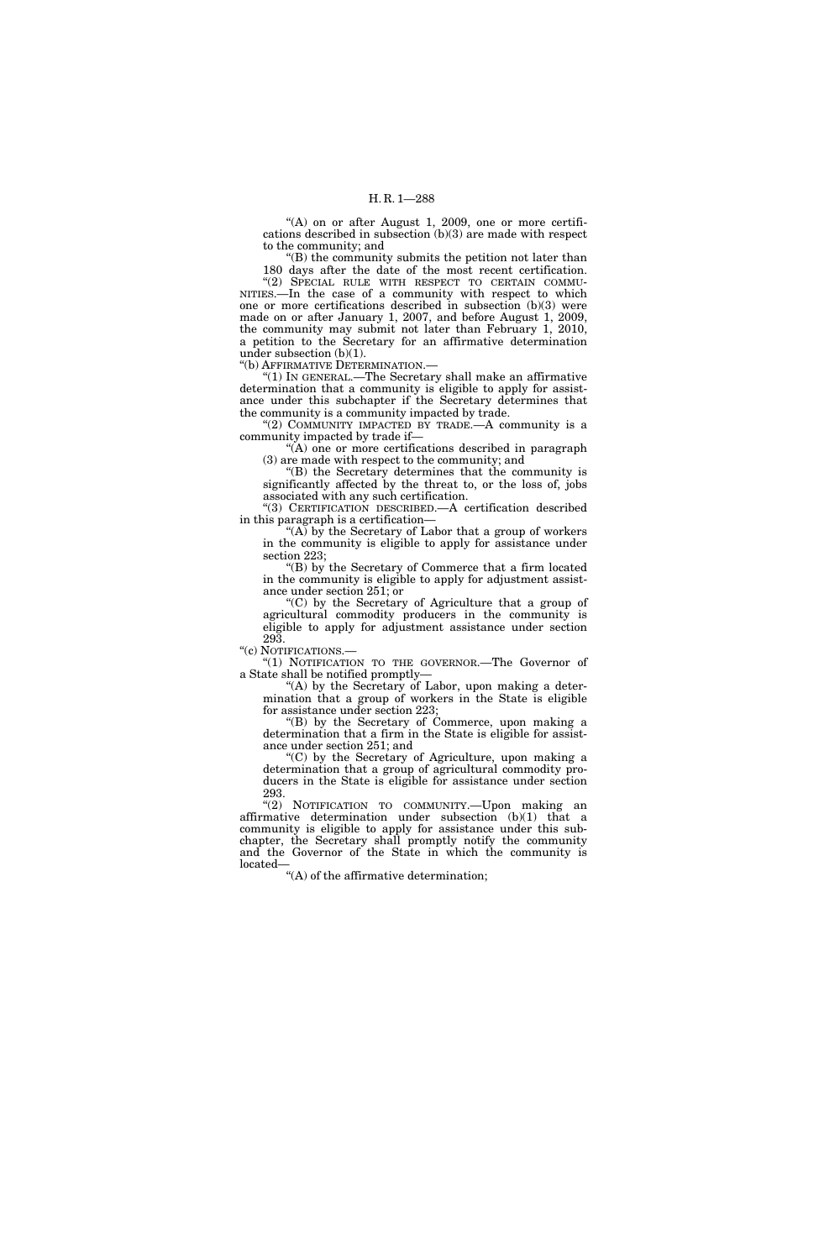" $(A)$  on or after August 1, 2009, one or more certifications described in subsection (b)(3) are made with respect to the community; and

 $E(B)$  the community submits the petition not later than 180 days after the date of the most recent certification.

"(2) SPECIAL RULE WITH RESPECT TO CERTAIN COMMU-NITIES.—In the case of a community with respect to which one or more certifications described in subsection (b)(3) were made on or after January 1, 2007, and before August 1, 2009, the community may submit not later than February 1, 2010, a petition to the Secretary for an affirmative determination under subsection (b)(1).

''(b) AFFIRMATIVE DETERMINATION.—

''(1) IN GENERAL.—The Secretary shall make an affirmative determination that a community is eligible to apply for assistance under this subchapter if the Secretary determines that the community is a community impacted by trade.

"(2) COMMUNITY IMPACTED BY TRADE. $-A$  community is a community impacted by trade if—

''(A) one or more certifications described in paragraph (3) are made with respect to the community; and

''(B) the Secretary determines that the community is significantly affected by the threat to, or the loss of, jobs associated with any such certification.

''(3) CERTIFICATION DESCRIBED.—A certification described in this paragraph is a certification—

"(A) by the Secretary of Labor that a group of workers in the community is eligible to apply for assistance under section 223;

''(B) by the Secretary of Commerce that a firm located in the community is eligible to apply for adjustment assistance under section 251; or

''(C) by the Secretary of Agriculture that a group of agricultural commodity producers in the community is eligible to apply for adjustment assistance under section 293.

''(c) NOTIFICATIONS.—

''(1) NOTIFICATION TO THE GOVERNOR.—The Governor of a State shall be notified promptly—

"(A) by the Secretary of Labor, upon making a determination that a group of workers in the State is eligible for assistance under section 223;

''(B) by the Secretary of Commerce, upon making a determination that a firm in the State is eligible for assistance under section 251; and

''(C) by the Secretary of Agriculture, upon making a determination that a group of agricultural commodity producers in the State is eligible for assistance under section 293.

''(2) NOTIFICATION TO COMMUNITY.—Upon making an affirmative determination under subsection (b)(1) that a community is eligible to apply for assistance under this subchapter, the Secretary shall promptly notify the community and the Governor of the State in which the community is located-

''(A) of the affirmative determination;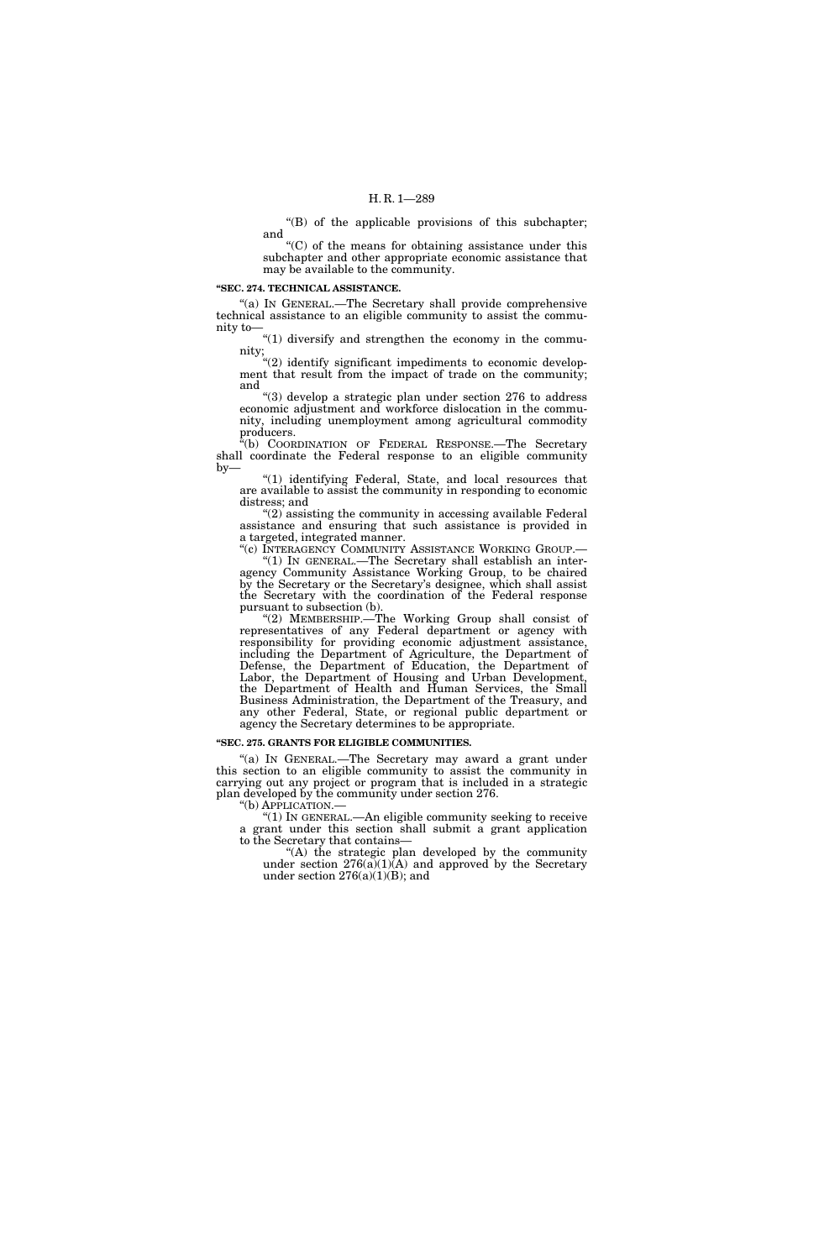''(B) of the applicable provisions of this subchapter; and

 $(C)$  of the means for obtaining assistance under this subchapter and other appropriate economic assistance that may be available to the community.

#### **''SEC. 274. TECHNICAL ASSISTANCE.**

''(a) IN GENERAL.—The Secretary shall provide comprehensive technical assistance to an eligible community to assist the community to—

"(1) diversify and strengthen the economy in the community;

 $E''(2)$  identify significant impediments to economic development that result from the impact of trade on the community; and

''(3) develop a strategic plan under section 276 to address economic adjustment and workforce dislocation in the community, including unemployment among agricultural commodity producers.

''(b) COORDINATION OF FEDERAL RESPONSE.—The Secretary shall coordinate the Federal response to an eligible community  $by-$ 

"(1) identifying Federal, State, and local resources that are available to assist the community in responding to economic distress; and

"(2) assisting the community in accessing available Federal assistance and ensuring that such assistance is provided in a targeted, integrated manner.

"(c) INTERAGENCY COMMUNITY ASSISTANCE WORKING GROUP.-''(1) IN GENERAL.—The Secretary shall establish an interagency Community Assistance Working Group, to be chaired by the Secretary or the Secretary's designee, which shall assist the Secretary with the coordination of the Federal response pursuant to subsection (b).

''(2) MEMBERSHIP.—The Working Group shall consist of representatives of any Federal department or agency with responsibility for providing economic adjustment assistance, including the Department of Agriculture, the Department of Defense, the Department of Education, the Department of Labor, the Department of Housing and Urban Development, the Department of Health and Human Services, the Small Business Administration, the Department of the Treasury, and any other Federal, State, or regional public department or agency the Secretary determines to be appropriate.

#### **''SEC. 275. GRANTS FOR ELIGIBLE COMMUNITIES.**

"(a) IN GENERAL.—The Secretary may award a grant under this section to an eligible community to assist the community in carrying out any project or program that is included in a strategic plan developed by the community under section 276.

"(1) In GENERAL.—An eligible community seeking to receive a grant under this section shall submit a grant application to the Secretary that contains—

''(A) the strategic plan developed by the community under section  $276(a)(1)(A)$  and approved by the Secretary under section  $276(a)(1)(B)$ ; and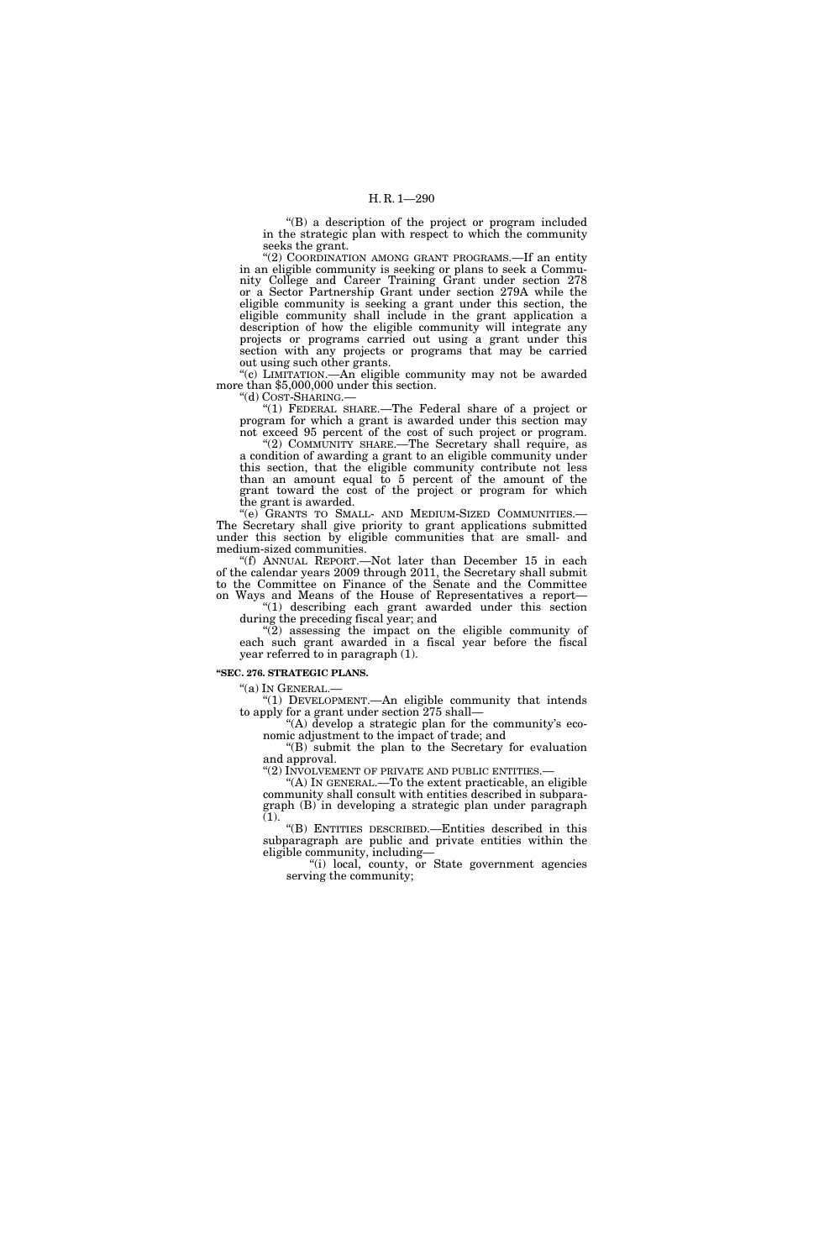''(B) a description of the project or program included in the strategic plan with respect to which the community seeks the grant.

"(2) COORDINATION AMONG GRANT PROGRAMS.—If an entity in an eligible community is seeking or plans to seek a Community College and Career Training Grant under section 278 or a Sector Partnership Grant under section 279A while the eligible community is seeking a grant under this section, the eligible community shall include in the grant application a description of how the eligible community will integrate any projects or programs carried out using a grant under this section with any projects or programs that may be carried out using such other grants.

''(c) LIMITATION.—An eligible community may not be awarded more than \$5,000,000 under this section.

''(d) COST-SHARING.—

''(1) FEDERAL SHARE.—The Federal share of a project or program for which a grant is awarded under this section may not exceed 95 percent of the cost of such project or program.

"(2) COMMUNITY SHARE.—The Secretary shall require, as a condition of awarding a grant to an eligible community under this section, that the eligible community contribute not less than an amount equal to 5 percent of the amount of the grant toward the cost of the project or program for which the grant is awarded.

''(e) GRANTS TO SMALL- AND MEDIUM-SIZED COMMUNITIES.— The Secretary shall give priority to grant applications submitted under this section by eligible communities that are small- and medium-sized communities.

''(f) ANNUAL REPORT.—Not later than December 15 in each of the calendar years 2009 through 2011, the Secretary shall submit to the Committee on Finance of the Senate and the Committee on Ways and Means of the House of Representatives a report—

''(1) describing each grant awarded under this section during the preceding fiscal year; and

''(2) assessing the impact on the eligible community of each such grant awarded in a fiscal year before the fiscal year referred to in paragraph (1).

# **''SEC. 276. STRATEGIC PLANS.**

''(a) IN GENERAL.—

"(1) DEVELOPMENT.—An eligible community that intends to apply for a grant under section 275 shall—

"(A) develop a strategic plan for the community's economic adjustment to the impact of trade; and

''(B) submit the plan to the Secretary for evaluation and approval.<br>"(2) INVOLVEMENT OF PRIVATE AND PUBLIC ENTITIES.—

"(A) IN GENERAL.—To the extent practicable, an eligible community shall consult with entities described in subparagraph (B) in developing a strategic plan under paragraph (1).

''(B) ENTITIES DESCRIBED.—Entities described in this subparagraph are public and private entities within the eligible community, including—

''(i) local, county, or State government agencies serving the community;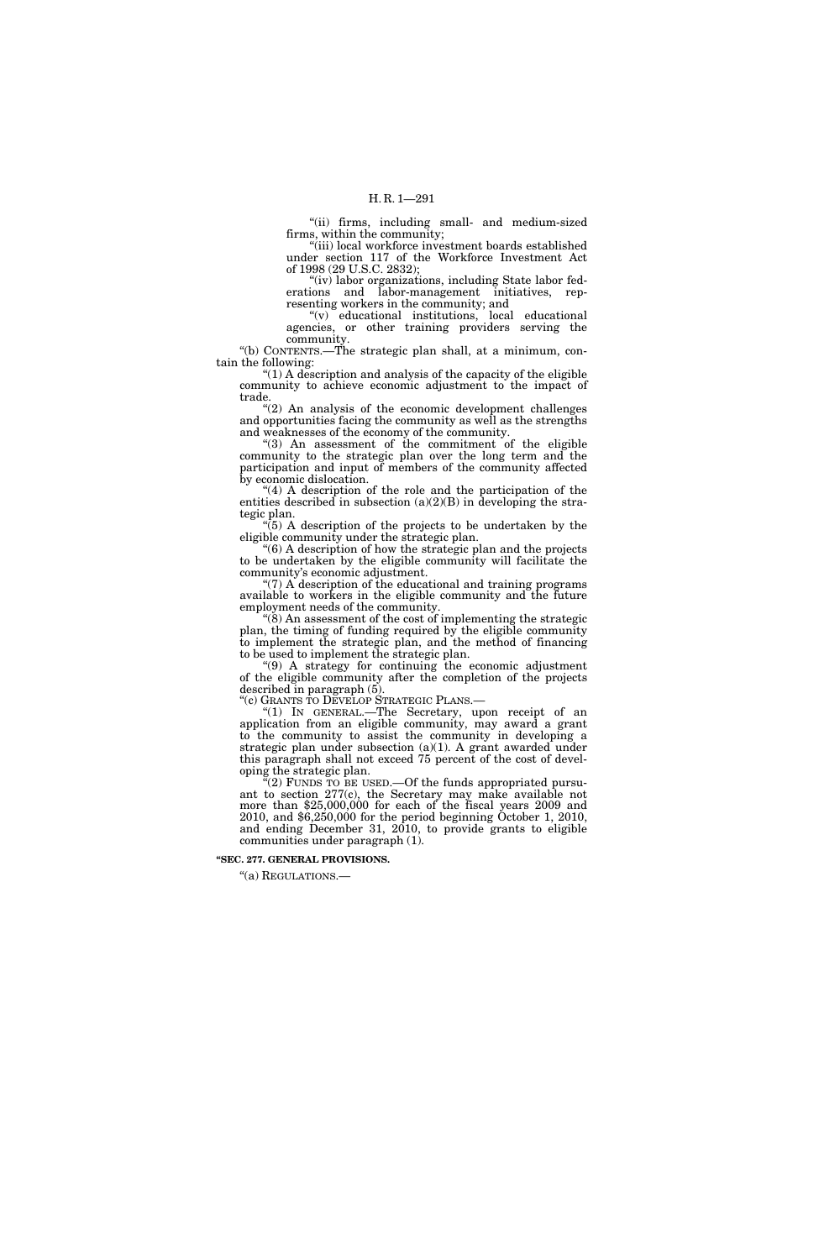''(ii) firms, including small- and medium-sized firms, within the community;

'(iii) local workforce investment boards established under section 117 of the Workforce Investment Act of 1998 (29 U.S.C. 2832);

"(iv) labor organizations, including State labor federations and labor-management initiatives, representing workers in the community; and

''(v) educational institutions, local educational agencies, or other training providers serving the community.

''(b) CONTENTS.—The strategic plan shall, at a minimum, contain the following:

" $(1)$  A description and analysis of the capacity of the eligible community to achieve economic adjustment to the impact of trade.

"(2) An analysis of the economic development challenges and opportunities facing the community as well as the strengths and weaknesses of the economy of the community.

"(3) An assessment of the commitment of the eligible community to the strategic plan over the long term and the participation and input of members of the community affected by economic dislocation.

"(4) A description of the role and the participation of the entities described in subsection  $(a)(2)(B)$  in developing the strategic plan.

 $\sqrt[4]{5}$  A description of the projects to be undertaken by the eligible community under the strategic plan.

''(6) A description of how the strategic plan and the projects to be undertaken by the eligible community will facilitate the community's economic adjustment.

" $(7)$  A description of the educational and training programs available to workers in the eligible community and the future employment needs of the community.

 $\mathcal{L}(\mathbf{\tilde{S}})$  An assessment of the cost of implementing the strategic plan, the timing of funding required by the eligible community to implement the strategic plan, and the method of financing to be used to implement the strategic plan.

''(9) A strategy for continuing the economic adjustment of the eligible community after the completion of the projects described in paragraph (5).

''(c) GRANTS TO DEVELOP STRATEGIC PLANS.—

"(1) In GENERAL.—The Secretary, upon receipt of an application from an eligible community, may award a grant to the community to assist the community in developing a strategic plan under subsection  $(a)(1)$ . A grant awarded under this paragraph shall not exceed 75 percent of the cost of developing the strategic plan.

 $(2)$  FUNDS TO BE USED.—Of the funds appropriated pursuant to section 277(c), the Secretary may make available not more than \$25,000,000 for each of the fiscal years 2009 and 2010, and \$6,250,000 for the period beginning October 1, 2010, and ending December 31, 2010, to provide grants to eligible communities under paragraph (1).

**''SEC. 277. GENERAL PROVISIONS.** 

''(a) REGULATIONS.—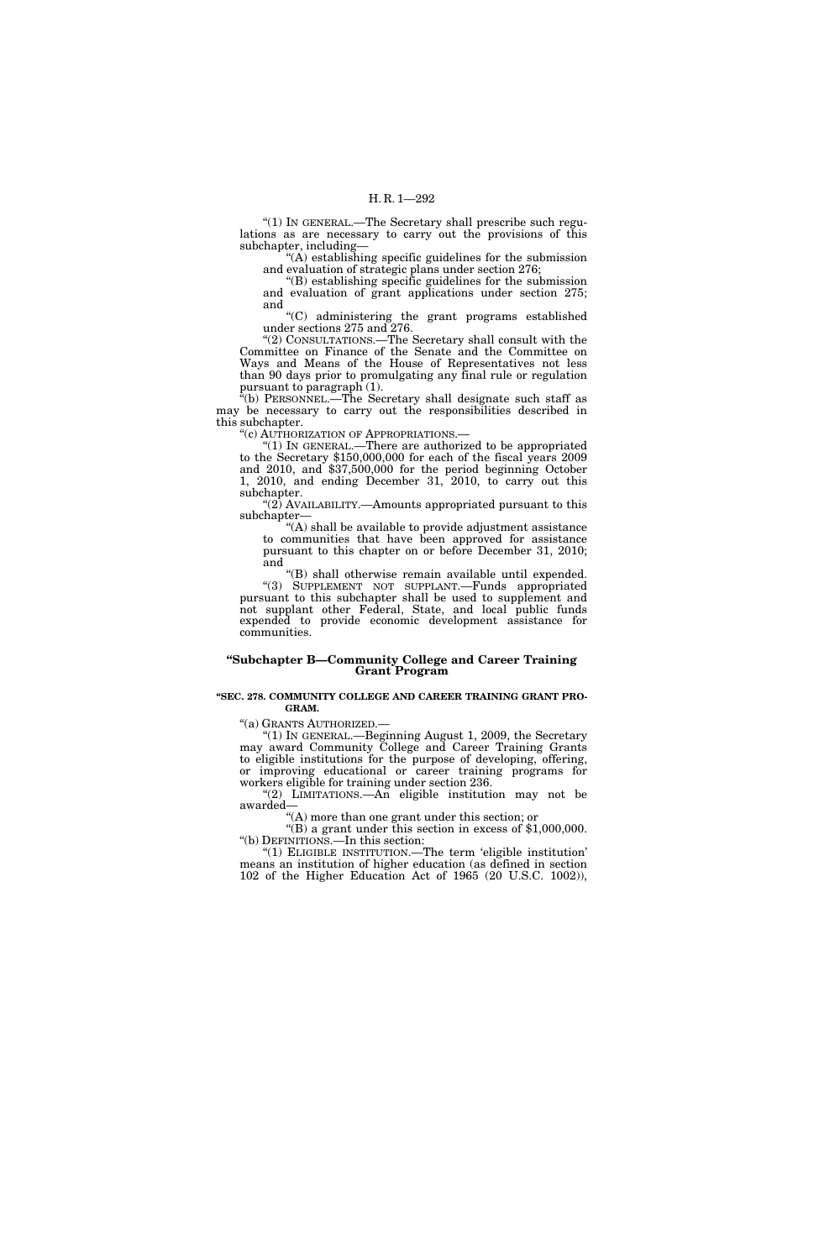''(1) IN GENERAL.—The Secretary shall prescribe such regulations as are necessary to carry out the provisions of this subchapter, including—

''(A) establishing specific guidelines for the submission and evaluation of strategic plans under section 276;

''(B) establishing specific guidelines for the submission and evaluation of grant applications under section 275; and

''(C) administering the grant programs established under sections 275 and 276.

''(2) CONSULTATIONS.—The Secretary shall consult with the Committee on Finance of the Senate and the Committee on Ways and Means of the House of Representatives not less than 90 days prior to promulgating any final rule or regulation pursuant to paragraph (1).

''(b) PERSONNEL.—The Secretary shall designate such staff as may be necessary to carry out the responsibilities described in this subchapter.

''(c) AUTHORIZATION OF APPROPRIATIONS.—

''(1) IN GENERAL.—There are authorized to be appropriated to the Secretary \$150,000,000 for each of the fiscal years 2009 and 2010, and \$37,500,000 for the period beginning October 1, 2010, and ending December 31, 2010, to carry out this subchapter.

" $(2)$  AVAILABILITY.—Amounts appropriated pursuant to this subchapter—

''(A) shall be available to provide adjustment assistance to communities that have been approved for assistance pursuant to this chapter on or before December 31, 2010; and

''(B) shall otherwise remain available until expended. "(3) SUPPLEMENT NOT SUPPLANT.—Funds appropriated pursuant to this subchapter shall be used to supplement and not supplant other Federal, State, and local public funds expended to provide economic development assistance for communities.

# **''Subchapter B—Community College and Career Training Grant Program**

#### **''SEC. 278. COMMUNITY COLLEGE AND CAREER TRAINING GRANT PRO-GRAM.**

''(a) GRANTS AUTHORIZED.—

''(1) IN GENERAL.—Beginning August 1, 2009, the Secretary may award Community College and Career Training Grants to eligible institutions for the purpose of developing, offering, or improving educational or career training programs for workers eligible for training under section 236.

"(2) LIMITATIONS.—An eligible institution may not be awarded—

''(A) more than one grant under this section; or

"(B) a grant under this section in excess of \$1,000,000. ''(b) DEFINITIONS.—In this section:

''(1) ELIGIBLE INSTITUTION.—The term 'eligible institution' means an institution of higher education (as defined in section 102 of the Higher Education Act of 1965 (20 U.S.C. 1002)),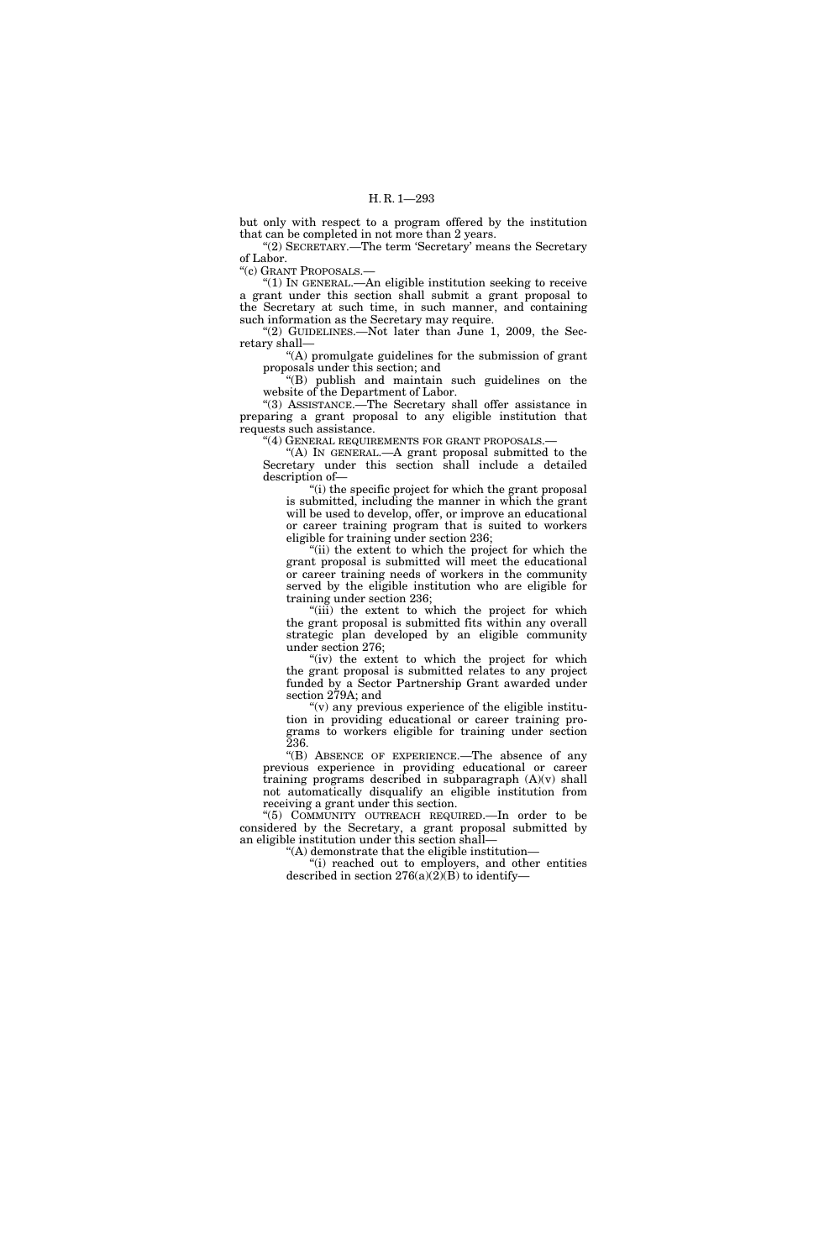but only with respect to a program offered by the institution that can be completed in not more than 2 years.

''(2) SECRETARY.—The term 'Secretary' means the Secretary of Labor.

''(c) GRANT PROPOSALS.—

''(1) IN GENERAL.—An eligible institution seeking to receive a grant under this section shall submit a grant proposal to the Secretary at such time, in such manner, and containing such information as the Secretary may require.

"(2) GUIDELINES.—Not later than June 1, 2009, the Secretary shall—

''(A) promulgate guidelines for the submission of grant proposals under this section; and

''(B) publish and maintain such guidelines on the website of the Department of Labor.

''(3) ASSISTANCE.—The Secretary shall offer assistance in preparing a grant proposal to any eligible institution that requests such assistance.

"(4) GENERAL REQUIREMENTS FOR GRANT PROPOSALS.-

"(A) IN GENERAL.—A grant proposal submitted to the Secretary under this section shall include a detailed description of—

''(i) the specific project for which the grant proposal is submitted, including the manner in which the grant will be used to develop, offer, or improve an educational or career training program that is suited to workers eligible for training under section 236;

"(ii) the extent to which the project for which the grant proposal is submitted will meet the educational or career training needs of workers in the community served by the eligible institution who are eligible for training under section 236;

"(iii) the extent to which the project for which the grant proposal is submitted fits within any overall strategic plan developed by an eligible community under section 276;

"(iv) the extent to which the project for which the grant proposal is submitted relates to any project funded by a Sector Partnership Grant awarded under section 279A; and

" $(v)$  any previous experience of the eligible institution in providing educational or career training programs to workers eligible for training under section 236.

''(B) ABSENCE OF EXPERIENCE.—The absence of any previous experience in providing educational or career training programs described in subparagraph (A)(v) shall not automatically disqualify an eligible institution from receiving a grant under this section.

''(5) COMMUNITY OUTREACH REQUIRED.—In order to be considered by the Secretary, a grant proposal submitted by an eligible institution under this section shall—

''(A) demonstrate that the eligible institution—

''(i) reached out to employers, and other entities described in section  $276(a)(2)(B)$  to identify-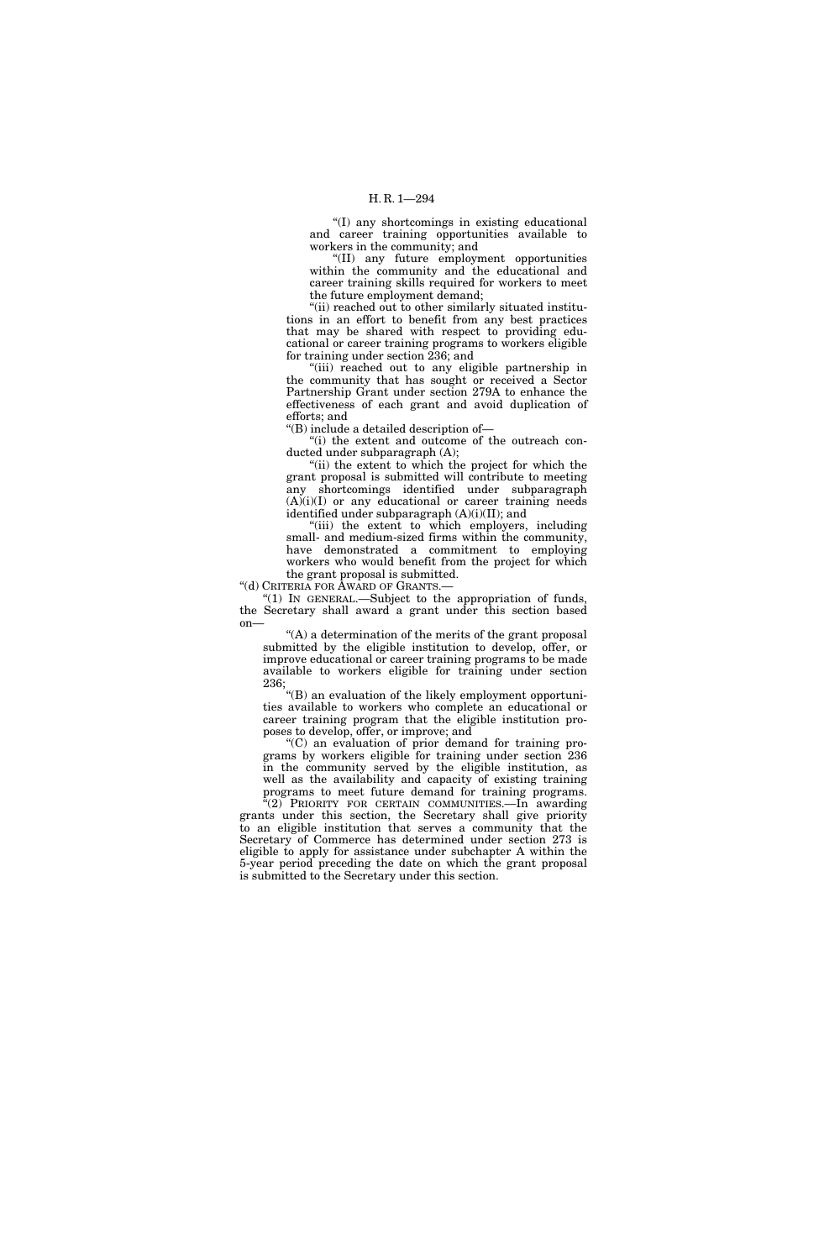''(I) any shortcomings in existing educational and career training opportunities available to workers in the community; and

''(II) any future employment opportunities within the community and the educational and career training skills required for workers to meet the future employment demand;

"(ii) reached out to other similarly situated institutions in an effort to benefit from any best practices that may be shared with respect to providing educational or career training programs to workers eligible for training under section 236; and

"(iii) reached out to any eligible partnership in the community that has sought or received a Sector Partnership Grant under section 279A to enhance the effectiveness of each grant and avoid duplication of efforts; and

''(B) include a detailed description of—

"(i) the extent and outcome of the outreach conducted under subparagraph (A);

"(ii) the extent to which the project for which the grant proposal is submitted will contribute to meeting any shortcomings identified under subparagraph (A)(i)(I) or any educational or career training needs identified under subparagraph (A)(i)(II); and

"(iii) the extent to which employers, including small- and medium-sized firms within the community, have demonstrated a commitment to employing workers who would benefit from the project for which the grant proposal is submitted.

''(d) CRITERIA FOR AWARD OF GRANTS.—

"(1) In GENERAL.—Subject to the appropriation of funds, the Secretary shall award a grant under this section based on—

''(A) a determination of the merits of the grant proposal submitted by the eligible institution to develop, offer, or improve educational or career training programs to be made available to workers eligible for training under section 236;

''(B) an evaluation of the likely employment opportunities available to workers who complete an educational or career training program that the eligible institution proposes to develop, offer, or improve; and

''(C) an evaluation of prior demand for training programs by workers eligible for training under section 236 in the community served by the eligible institution, as well as the availability and capacity of existing training programs to meet future demand for training programs.

"(2) PRIORITY FOR CERTAIN COMMUNITIES.—In awarding grants under this section, the Secretary shall give priority to an eligible institution that serves a community that the Secretary of Commerce has determined under section 273 is eligible to apply for assistance under subchapter A within the 5-year period preceding the date on which the grant proposal is submitted to the Secretary under this section.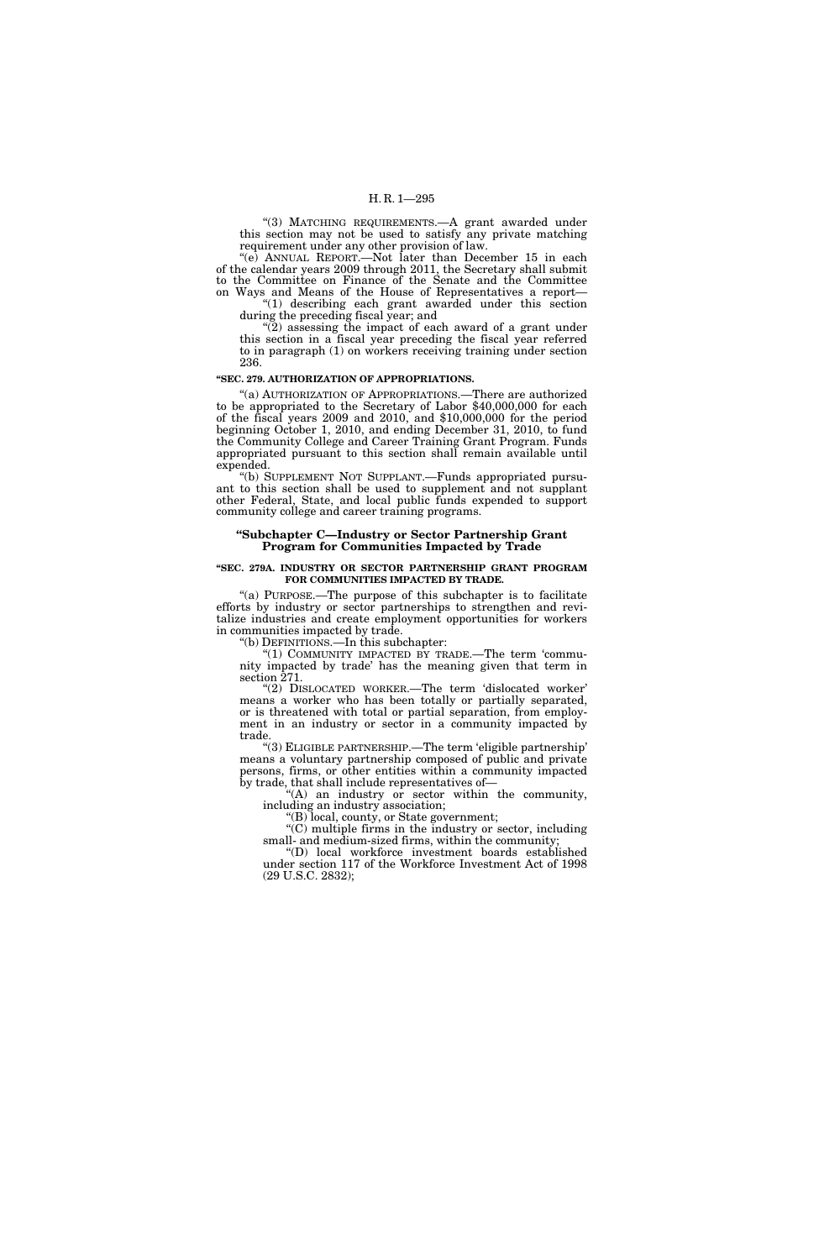"(3) MATCHING REQUIREMENTS. A grant awarded under this section may not be used to satisfy any private matching requirement under any other provision of law.

''(e) ANNUAL REPORT.—Not later than December 15 in each of the calendar years 2009 through 2011, the Secretary shall submit to the Committee on Finance of the Senate and the Committee on Ways and Means of the House of Representatives a report—

''(1) describing each grant awarded under this section during the preceding fiscal year; and

''(2) assessing the impact of each award of a grant under this section in a fiscal year preceding the fiscal year referred to in paragraph (1) on workers receiving training under section 236.

#### **''SEC. 279. AUTHORIZATION OF APPROPRIATIONS.**

"(a) AUTHORIZATION OF APPROPRIATIONS.—There are authorized to be appropriated to the Secretary of Labor \$40,000,000 for each of the fiscal years 2009 and 2010, and \$10,000,000 for the period beginning October 1, 2010, and ending December 31, 2010, to fund the Community College and Career Training Grant Program. Funds appropriated pursuant to this section shall remain available until expended.

''(b) SUPPLEMENT NOT SUPPLANT.—Funds appropriated pursuant to this section shall be used to supplement and not supplant other Federal, State, and local public funds expended to support community college and career training programs.

#### **''Subchapter C—Industry or Sector Partnership Grant Program for Communities Impacted by Trade**

#### **''SEC. 279A. INDUSTRY OR SECTOR PARTNERSHIP GRANT PROGRAM FOR COMMUNITIES IMPACTED BY TRADE.**

"(a) PURPOSE.—The purpose of this subchapter is to facilitate efforts by industry or sector partnerships to strengthen and revitalize industries and create employment opportunities for workers in communities impacted by trade.

''(b) DEFINITIONS.—In this subchapter:

"(1) COMMUNITY IMPACTED BY TRADE.—The term 'community impacted by trade' has the meaning given that term in section 271.

"(2) DISLOCATED WORKER.—The term 'dislocated worker' means a worker who has been totally or partially separated, or is threatened with total or partial separation, from employment in an industry or sector in a community impacted by trade.

''(3) ELIGIBLE PARTNERSHIP.—The term 'eligible partnership' means a voluntary partnership composed of public and private persons, firms, or other entities within a community impacted by trade, that shall include representatives of—

 $f(A)$  an industry or sector within the community, including an industry association;

''(B) local, county, or State government;

''(C) multiple firms in the industry or sector, including small- and medium-sized firms, within the community;

''(D) local workforce investment boards established under section 117 of the Workforce Investment Act of 1998 (29 U.S.C. 2832);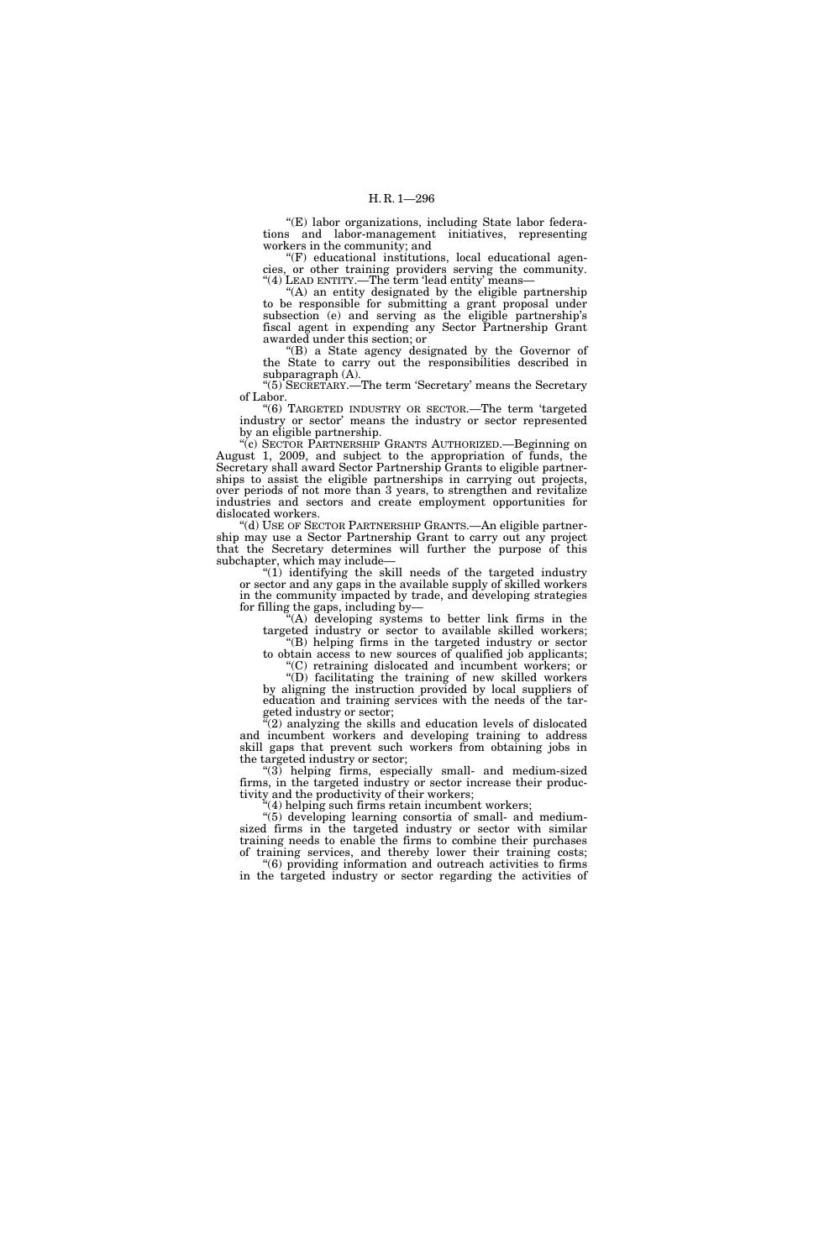"(E) labor organizations, including State labor federations and labor-management initiatives, representing workers in the community; and

''(F) educational institutions, local educational agencies, or other training providers serving the community. "(4) LEAD ENTITY.—The term 'lead entity' means-

"(A) an entity designated by the eligible partnership to be responsible for submitting a grant proposal under subsection (e) and serving as the eligible partnership's fiscal agent in expending any Sector Partnership Grant awarded under this section; or

''(B) a State agency designated by the Governor of the State to carry out the responsibilities described in subparagraph (A).

''(5) SECRETARY.—The term 'Secretary' means the Secretary of Labor.

''(6) TARGETED INDUSTRY OR SECTOR.—The term 'targeted industry or sector' means the industry or sector represented by an eligible partnership.

''(c) SECTOR PARTNERSHIP GRANTS AUTHORIZED.—Beginning on August 1, 2009, and subject to the appropriation of funds, the Secretary shall award Sector Partnership Grants to eligible partnerships to assist the eligible partnerships in carrying out projects, over periods of not more than 3 years, to strengthen and revitalize industries and sectors and create employment opportunities for dislocated workers.

''(d) USE OF SECTOR PARTNERSHIP GRANTS.—An eligible partnership may use a Sector Partnership Grant to carry out any project that the Secretary determines will further the purpose of this subchapter, which may include—

''(1) identifying the skill needs of the targeted industry or sector and any gaps in the available supply of skilled workers in the community impacted by trade, and developing strategies for filling the gaps, including by—

''(A) developing systems to better link firms in the targeted industry or sector to available skilled workers; ''(B) helping firms in the targeted industry or sector

to obtain access to new sources of qualified job applicants; ''(C) retraining dislocated and incumbent workers; or

''(D) facilitating the training of new skilled workers by aligning the instruction provided by local suppliers of education and training services with the needs of the targeted industry or sector;

 $\mathcal{E}(2)$  analyzing the skills and education levels of dislocated and incumbent workers and developing training to address skill gaps that prevent such workers from obtaining jobs in the targeted industry or sector;

''(3) helping firms, especially small- and medium-sized firms, in the targeted industry or sector increase their productivity and the productivity of their workers;

'(4) helping such firms retain incumbent workers;

''(5) developing learning consortia of small- and mediumsized firms in the targeted industry or sector with similar training needs to enable the firms to combine their purchases of training services, and thereby lower their training costs; training services, and thereby lower their training costs; ''(6) providing information and outreach activities to firms

in the targeted industry or sector regarding the activities of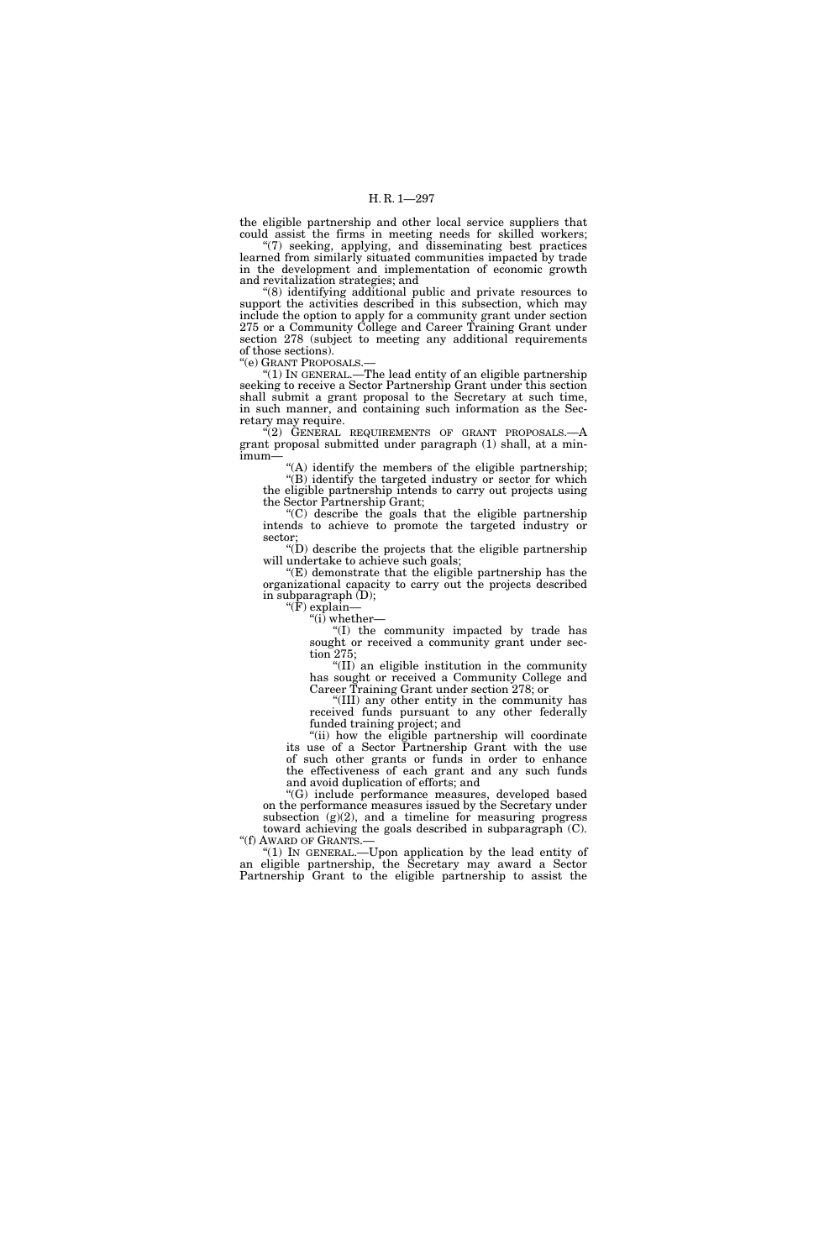the eligible partnership and other local service suppliers that could assist the firms in meeting needs for skilled workers; ''(7) seeking, applying, and disseminating best practices

learned from similarly situated communities impacted by trade in the development and implementation of economic growth and revitalization strategies; and

"(8) identifying additional public and private resources to support the activities described in this subsection, which may include the option to apply for a community grant under section 275 or a Community College and Career Training Grant under section 278 (subject to meeting any additional requirements of those sections).

''(e) GRANT PROPOSALS.—

''(1) IN GENERAL.—The lead entity of an eligible partnership seeking to receive a Sector Partnership Grant under this section shall submit a grant proposal to the Secretary at such time, in such manner, and containing such information as the Secretary may require.

 $\cdot$ (2) GENERAL REQUIREMENTS OF GRANT PROPOSALS.—A grant proposal submitted under paragraph (1) shall, at a minimum—

"(A) identify the members of the eligible partnership; "(B) identify the targeted industry or sector for which the eligible partnership intends to carry out projects using the Sector Partnership Grant;

''(C) describe the goals that the eligible partnership intends to achieve to promote the targeted industry or sector;

"(D) describe the projects that the eligible partnership will undertake to achieve such goals;

''(E) demonstrate that the eligible partnership has the organizational capacity to carry out the projects described in subparagraph (D);

''(F) explain— " $(i)$  whether—

''(I) the community impacted by trade has sought or received a community grant under section 275;

''(II) an eligible institution in the community has sought or received a Community College and Career Training Grant under section 278; or

''(III) any other entity in the community has received funds pursuant to any other federally funded training project; and

"(ii) how the eligible partnership will coordinate its use of a Sector Partnership Grant with the use of such other grants or funds in order to enhance the effectiveness of each grant and any such funds and avoid duplication of efforts; and

''(G) include performance measures, developed based on the performance measures issued by the Secretary under subsection (g)(2), and a timeline for measuring progress

toward achieving the goals described in subparagraph (C).<br>"(f) AWARD OF GRANTS.— "(1) IN GENERAL.—Upon application by the lead entity of

an eligible partnership, the Secretary may award a Sector Partnership Grant to the eligible partnership to assist the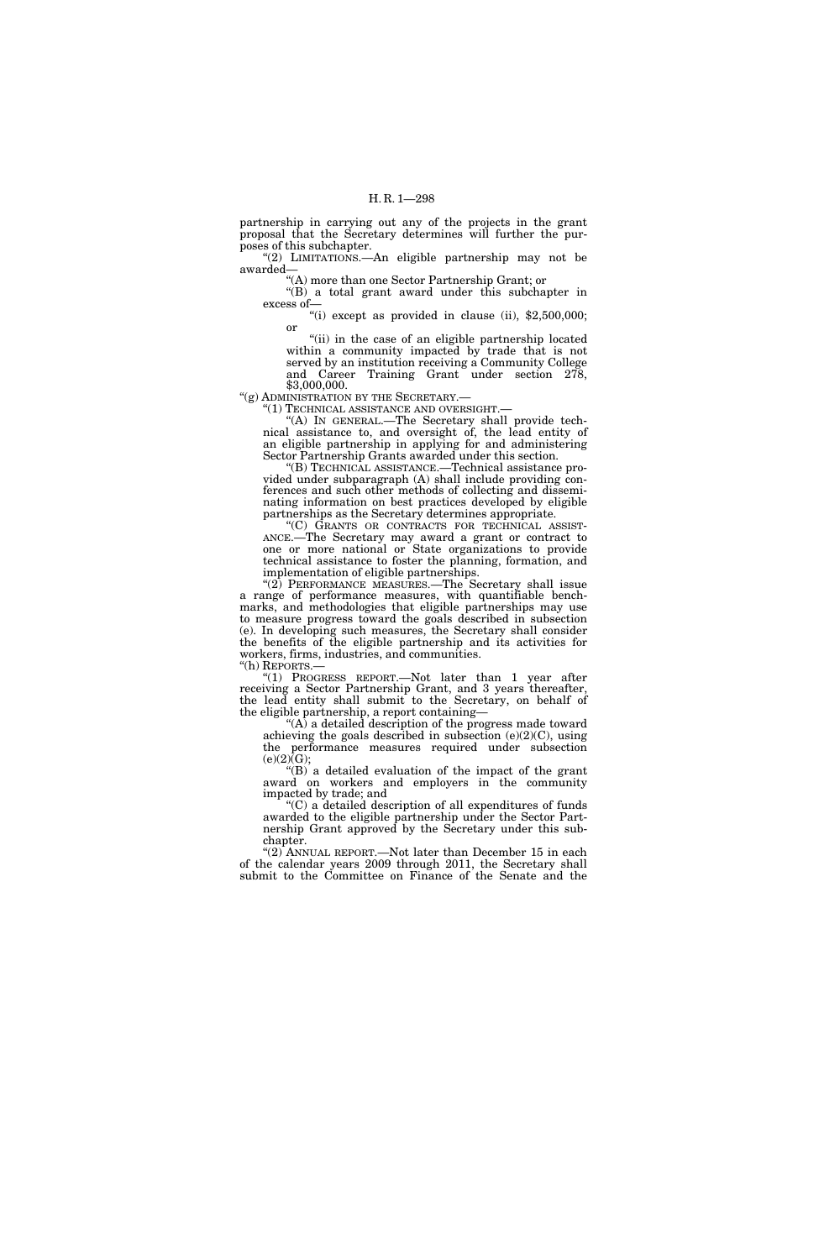partnership in carrying out any of the projects in the grant proposal that the Secretary determines will further the purposes of this subchapter.

"(2) LIMITATIONS.—An eligible partnership may not be awarded—

''(A) more than one Sector Partnership Grant; or

''(B) a total grant award under this subchapter in excess of—

"(i) except as provided in clause (ii),  $$2,500,000$ ; or

"(ii) in the case of an eligible partnership located within a community impacted by trade that is not served by an institution receiving a Community College and Career Training Grant under section 278, \$3,000,000.

''(g) ADMINISTRATION BY THE SECRETARY.—

''(1) TECHNICAL ASSISTANCE AND OVERSIGHT.—

"(A) IN GENERAL.—The Secretary shall provide technical assistance to, and oversight of, the lead entity of an eligible partnership in applying for and administering Sector Partnership Grants awarded under this section.

''(B) TECHNICAL ASSISTANCE.—Technical assistance provided under subparagraph (A) shall include providing conferences and such other methods of collecting and disseminating information on best practices developed by eligible partnerships as the Secretary determines appropriate.<br>"(C) GRANTS OR CONTRACTS FOR TECHNICAL ASSIST-

''(C) GRANTS OR CONTRACTS FOR TECHNICAL ASSIST- ANCE.—The Secretary may award a grant or contract to one or more national or State organizations to provide technical assistance to foster the planning, formation, and implementation of eligible partnerships.

" $(2)$  PERFORMANCE MEASURES.—The Secretary shall issue a range of performance measures, with quantifiable benchmarks, and methodologies that eligible partnerships may use to measure progress toward the goals described in subsection (e). In developing such measures, the Secretary shall consider the benefits of the eligible partnership and its activities for workers, firms, industries, and communities.

''(h) REPORTS.—

"(1) PROGRESS REPORT.—Not later than 1 year after receiving a Sector Partnership Grant, and 3 years thereafter, the lead entity shall submit to the Secretary, on behalf of the eligible partnership, a report containing—

" $(A)$  a detailed description of the progress made toward achieving the goals described in subsection  $(e)(2)(C)$ , using the performance measures required under subsection  $(e)(2)\bar{G};$ 

"(B) a detailed evaluation of the impact of the grant award on workers and employers in the community impacted by trade; and

''(C) a detailed description of all expenditures of funds awarded to the eligible partnership under the Sector Partnership Grant approved by the Secretary under this subchapter.

"(2) ANNUAL REPORT.—Not later than December 15 in each of the calendar years 2009 through 2011, the Secretary shall submit to the Committee on Finance of the Senate and the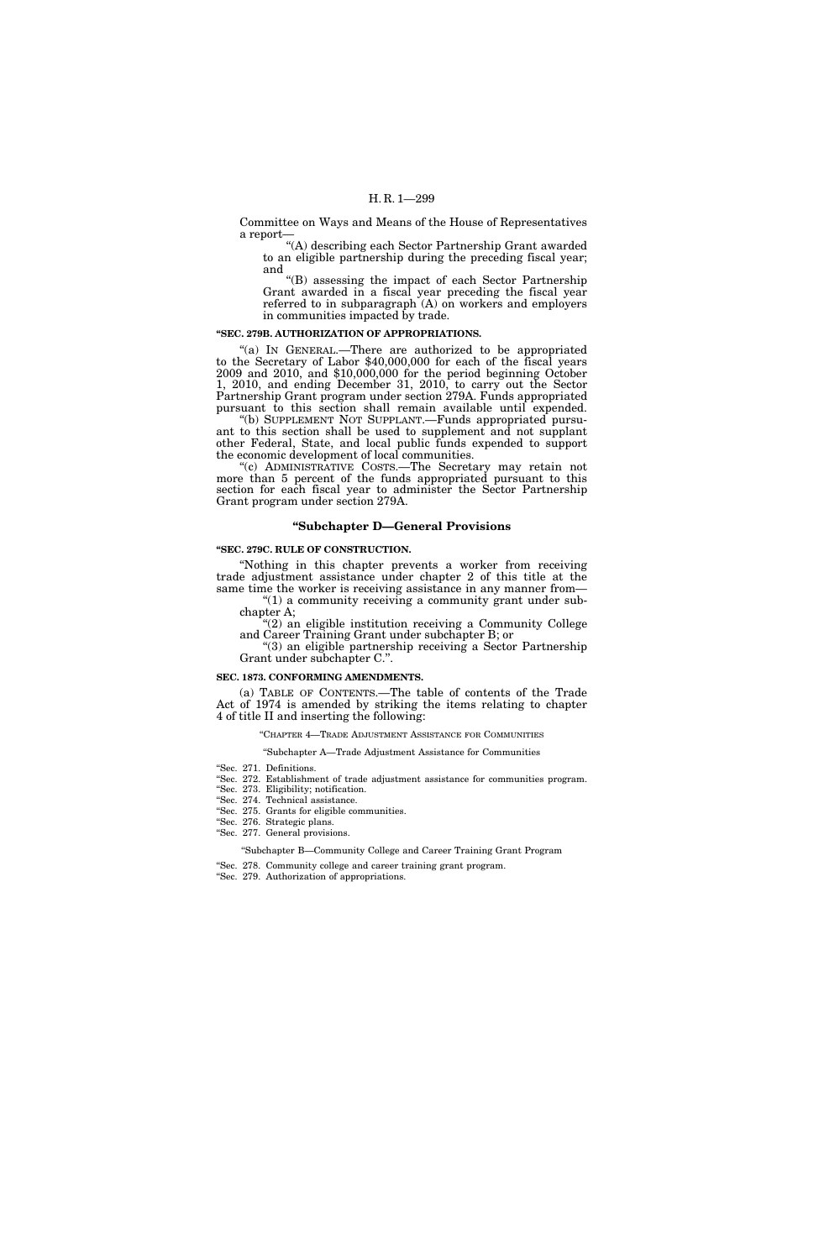Committee on Ways and Means of the House of Representatives a report—

''(A) describing each Sector Partnership Grant awarded to an eligible partnership during the preceding fiscal year; and

''(B) assessing the impact of each Sector Partnership Grant awarded in a fiscal year preceding the fiscal year referred to in subparagraph (A) on workers and employers in communities impacted by trade.

#### **''SEC. 279B. AUTHORIZATION OF APPROPRIATIONS.**

''(a) IN GENERAL.—There are authorized to be appropriated to the Secretary of Labor \$40,000,000 for each of the fiscal years 2009 and 2010, and \$10,000,000 for the period beginning October 1, 2010, and ending December 31, 2010, to carry out the Sector Partnership Grant program under section 279A. Funds appropriated pursuant to this section shall remain available until expended.

(b) SUPPLEMENT NOT SUPPLANT.—Funds appropriated pursuant to this section shall be used to supplement and not supplant other Federal, State, and local public funds expended to support the economic development of local communities.

''(c) ADMINISTRATIVE COSTS.—The Secretary may retain not more than 5 percent of the funds appropriated pursuant to this section for each fiscal year to administer the Sector Partnership Grant program under section 279A.

# **''Subchapter D—General Provisions**

# **''SEC. 279C. RULE OF CONSTRUCTION.**

''Nothing in this chapter prevents a worker from receiving trade adjustment assistance under chapter 2 of this title at the same time the worker is receiving assistance in any manner from—

" $(1)$  a community receiving a community grant under subchapter A; ''(2) an eligible institution receiving a Community College

and Career Training Grant under subchapter B; or

''(3) an eligible partnership receiving a Sector Partnership Grant under subchapter C.''.

#### **SEC. 1873. CONFORMING AMENDMENTS.**

(a) TABLE OF CONTENTS.—The table of contents of the Trade Act of 1974 is amended by striking the items relating to chapter 4 of title II and inserting the following:

# ''CHAPTER 4—TRADE ADJUSTMENT ASSISTANCE FOR COMMUNITIES

''Subchapter A—Trade Adjustment Assistance for Communities

- ''Sec. 271. Definitions.
- ''Sec. 272. Establishment of trade adjustment assistance for communities program.
- ''Sec. 273. Eligibility; notification.
- ''Sec. 274. Technical assistance.
- ''Sec. 275. Grants for eligible communities.
- ''Sec. 276. Strategic plans. ''Sec. 277. General provisions.
- - ''Subchapter B—Community College and Career Training Grant Program
- ''Sec. 278. Community college and career training grant program.
- ''Sec. 279. Authorization of appropriations.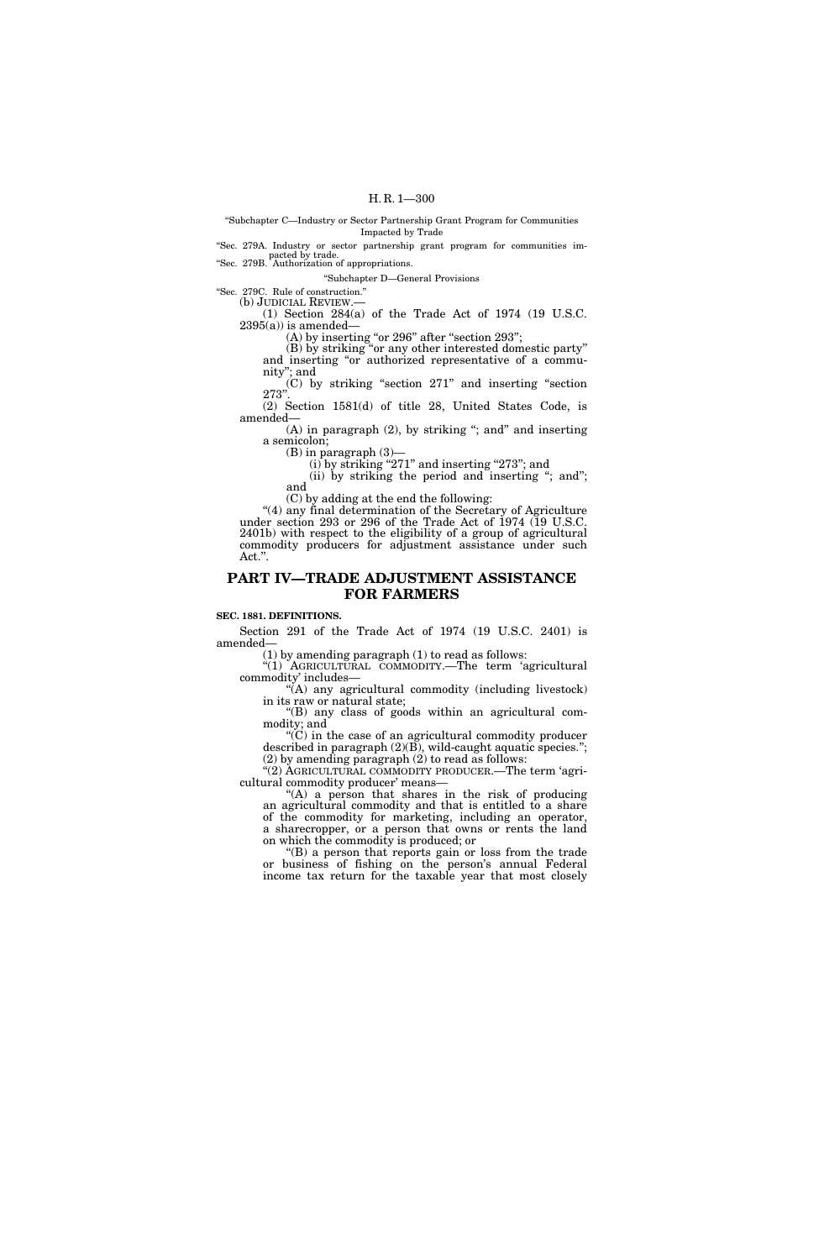''Subchapter C—Industry or Sector Partnership Grant Program for Communities Impacted by Trade

''Sec. 279A. Industry or sector partnership grant program for communities impacted by trade.<br>
"Sec. 279B. Authorization of appropriations.

''Subchapter D—General Provisions

''Sec. 279C. Rule of construction.''

(1) Section  $284(a)$  of the Trade Act of 1974 (19 U.S.C.  $2395(a)$  is amended—

 $(A)$  by inserting "or 296" after "section 293";

(B) by striking ''or any other interested domestic party'' and inserting "or authorized representative of a community''; and

(C) by striking ''section 271'' and inserting ''section 273''.

(2) Section 1581(d) of title 28, United States Code, is amended—

 $(A)$  in paragraph  $(2)$ , by striking "; and" and inserting a semicolon;

(B) in paragraph (3)—

(i) by striking "271" and inserting "273"; and

(ii) by striking the period and inserting "; and"; and

(C) by adding at the end the following:

''(4) any final determination of the Secretary of Agriculture under section 293 or 296 of the Trade Act of 1974 (19 U.S.C. 2401b) with respect to the eligibility of a group of agricultural commodity producers for adjustment assistance under such Act.''.

# **PART IV—TRADE ADJUSTMENT ASSISTANCE FOR FARMERS**

#### **SEC. 1881. DEFINITIONS.**

Section 291 of the Trade Act of 1974 (19 U.S.C. 2401) is amended—

(1) by amending paragraph (1) to read as follows:

''(1) AGRICULTURAL COMMODITY.—The term 'agricultural commodity' includes—

 $\mathcal{H}(A)$  any agricultural commodity (including livestock) in its raw or natural state;

''(B) any class of goods within an agricultural commodity; and

 $\mathrm{C}^{\prime}(\mathrm{C})$  in the case of an agricultural commodity producer described in paragraph (2)(B), wild-caught aquatic species.''; (2) by amending paragraph (2) to read as follows:

"(2) AGRICULTURAL COMMODITY PRODUCER.—The term 'agricultural commodity producer' means—

"(A) a person that shares in the risk of producing an agricultural commodity and that is entitled to a share of the commodity for marketing, including an operator, a sharecropper, or a person that owns or rents the land on which the commodity is produced; or

''(B) a person that reports gain or loss from the trade or business of fishing on the person's annual Federal income tax return for the taxable year that most closely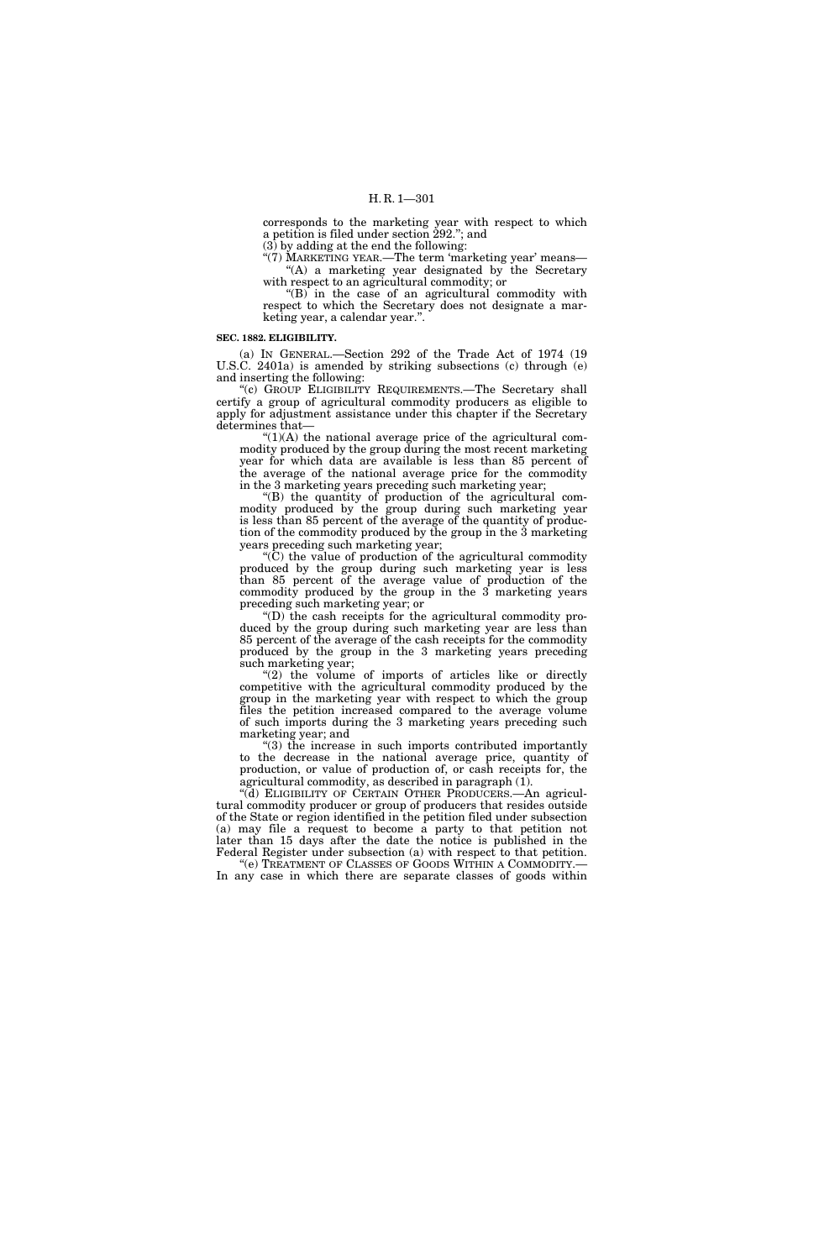corresponds to the marketing year with respect to which a petition is filed under section 292.''; and

(3) by adding at the end the following:

"(7) MARKETING YEAR.—The term 'marketing year' means— "(A) a marketing year designated by the Secretary with respect to an agricultural commodity; or

 $(G)$  in the case of an agricultural commodity with respect to which the Secretary does not designate a marketing year, a calendar year.''.

# **SEC. 1882. ELIGIBILITY.**

(a) IN GENERAL.—Section 292 of the Trade Act of 1974 (19 U.S.C. 2401a) is amended by striking subsections (c) through (e) and inserting the following:

(c) GROUP ELIGIBILITY REQUIREMENTS.—The Secretary shall certify a group of agricultural commodity producers as eligible to apply for adjustment assistance under this chapter if the Secretary determines that—

" $(1)(A)$  the national average price of the agricultural commodity produced by the group during the most recent marketing year for which data are available is less than 85 percent of the average of the national average price for the commodity in the 3 marketing years preceding such marketing year;

''(B) the quantity of production of the agricultural commodity produced by the group during such marketing year is less than 85 percent of the average of the quantity of production of the commodity produced by the group in the 3 marketing years preceding such marketing year;

 $\mathrm{C}^{\prime\prime}(\mathrm{C})$  the value of production of the agricultural commodity produced by the group during such marketing year is less than 85 percent of the average value of production of the commodity produced by the group in the 3 marketing years preceding such marketing year; or

''(D) the cash receipts for the agricultural commodity produced by the group during such marketing year are less than 85 percent of the average of the cash receipts for the commodity produced by the group in the 3 marketing years preceding such marketing year;

 $''(2)$  the volume of imports of articles like or directly competitive with the agricultural commodity produced by the group in the marketing year with respect to which the group files the petition increased compared to the average volume of such imports during the 3 marketing years preceding such marketing year; and

''(3) the increase in such imports contributed importantly to the decrease in the national average price, quantity of production, or value of production of, or cash receipts for, the agricultural commodity, as described in paragraph (1).

''(d) ELIGIBILITY OF CERTAIN OTHER PRODUCERS.—An agricultural commodity producer or group of producers that resides outside of the State or region identified in the petition filed under subsection (a) may file a request to become a party to that petition not later than 15 days after the date the notice is published in the Federal Register under subsection (a) with respect to that petition. ''(e) TREATMENT OF CLASSES OF GOODS WITHIN A COMMODITY.—

In any case in which there are separate classes of goods within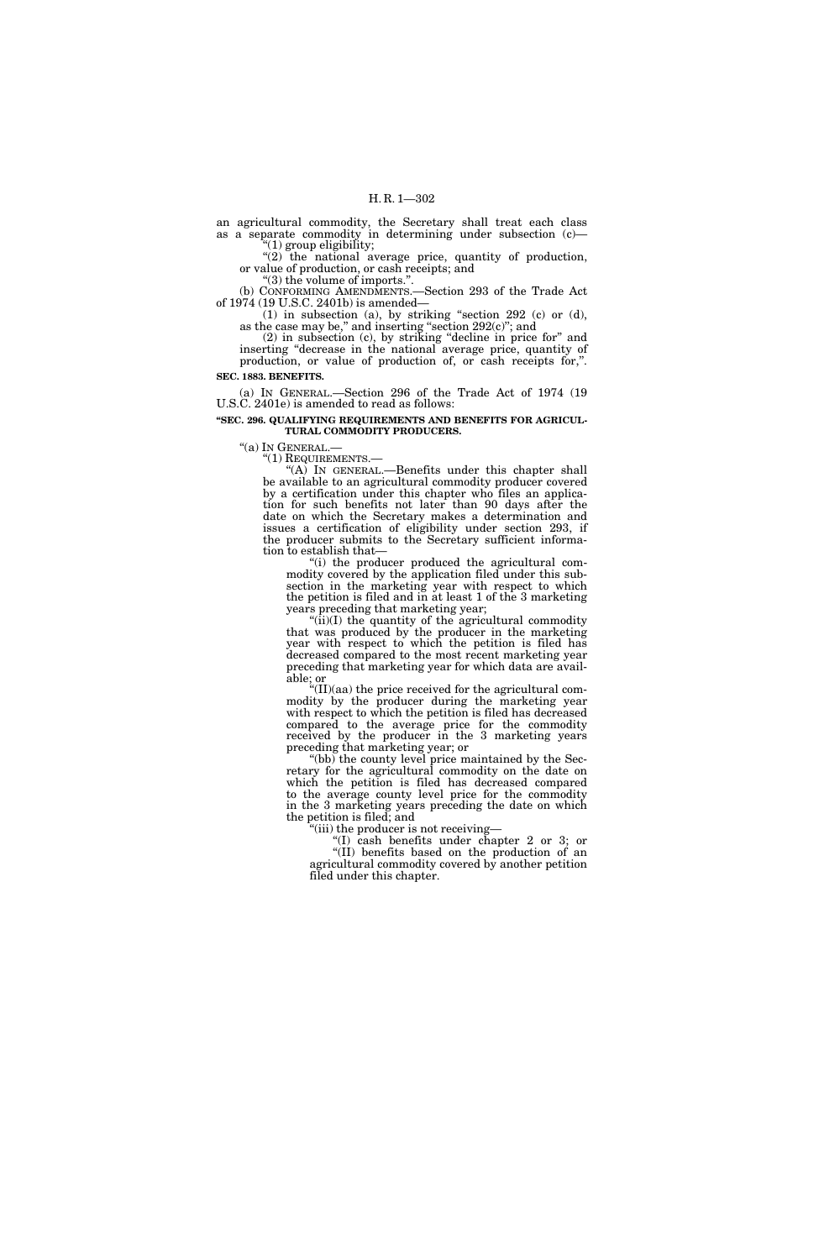an agricultural commodity, the Secretary shall treat each class as a separate commodity in determining under subsection (c)—  $''(1)$  group eligibility;

"(2) the national average price, quantity of production, or value of production, or cash receipts; and

''(3) the volume of imports.''.

(b) CONFORMING AMENDMENTS.—Section 293 of the Trade Act of 1974 (19 U.S.C. 2401b) is amended—

(1) in subsection (a), by striking "section 292 (c) or (d), as the case may be," and inserting "section  $292(c)$ "; and

(2) in subsection (c), by striking ''decline in price for'' and inserting ''decrease in the national average price, quantity of production, or value of production of, or cash receipts for,''. **SEC. 1883. BENEFITS.** 

(a) IN GENERAL.—Section 296 of the Trade Act of 1974 (19 U.S.C. 2401e) is amended to read as follows:

**''SEC. 296. QUALIFYING REQUIREMENTS AND BENEFITS FOR AGRICUL-TURAL COMMODITY PRODUCERS.** 

"(a) IN GENERAL.—<br>"(1) REQUIREMENTS.—<br>"(A) IN GENERAL.—Benefits under this chapter shall be available to an agricultural commodity producer covered by a certification under this chapter who files an application for such benefits not later than 90 days after the date on which the Secretary makes a determination and issues a certification of eligibility under section 293, if the producer submits to the Secretary sufficient information to establish that—

''(i) the producer produced the agricultural commodity covered by the application filed under this subsection in the marketing year with respect to which the petition is filed and in at least 1 of the 3 marketing years preceding that marketing year;

" $(i)$ (I) the quantity of the agricultural commodity that was produced by the producer in the marketing year with respect to which the petition is filed has decreased compared to the most recent marketing year preceding that marketing year for which data are available; or

''(II)(aa) the price received for the agricultural commodity by the producer during the marketing year with respect to which the petition is filed has decreased compared to the average price for the commodity received by the producer in the 3 marketing years preceding that marketing year; or

''(bb) the county level price maintained by the Secretary for the agricultural commodity on the date on which the petition is filed has decreased compared to the average county level price for the commodity in the 3 marketing years preceding the date on which the petition is filed; and

"(iii) the producer is not receiving-

''(I) cash benefits under chapter 2 or 3; or ''(II) benefits based on the production of an agricultural commodity covered by another petition filed under this chapter.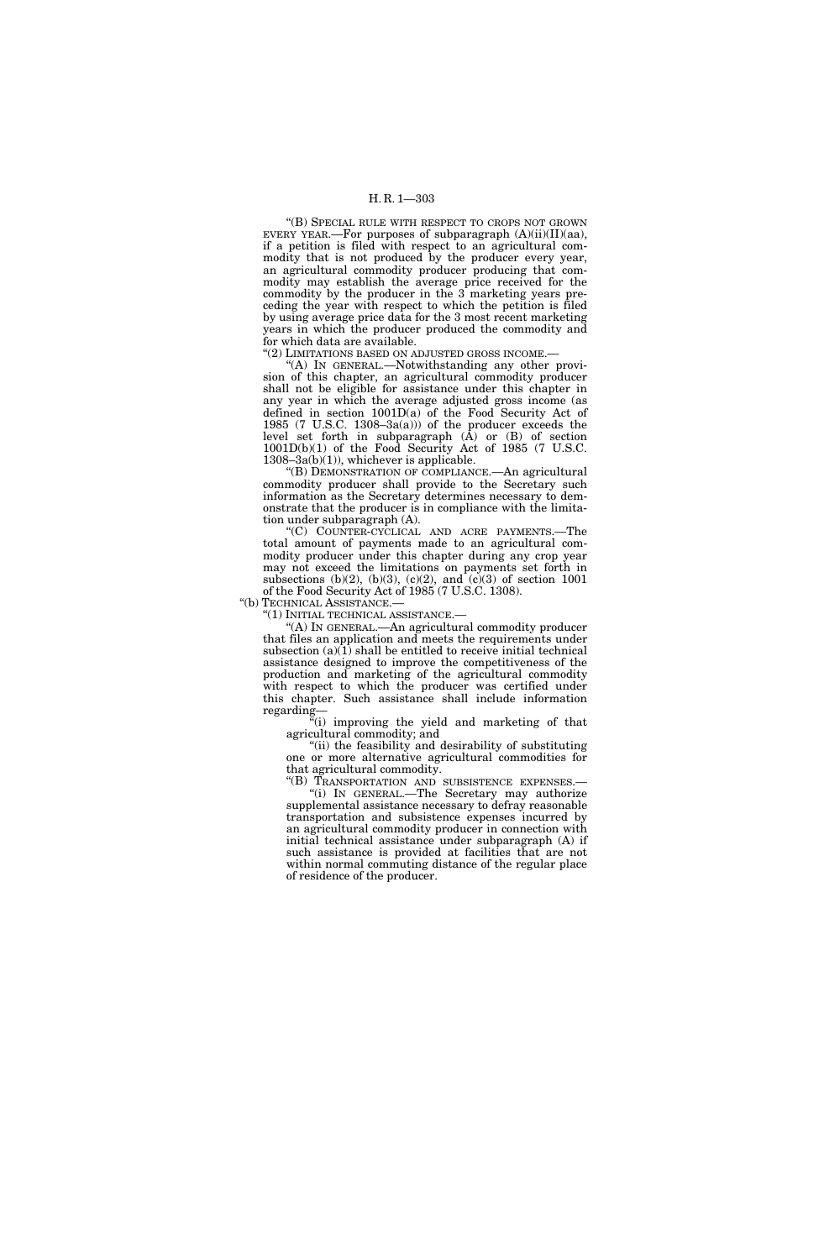### H. R. 1—303

''(B) SPECIAL RULE WITH RESPECT TO CROPS NOT GROWN EVERY YEAR.—For purposes of subparagraph  $(A)(ii)(II)(aa)$ , if a petition is filed with respect to an agricultural commodity that is not produced by the producer every year, an agricultural commodity producer producing that commodity may establish the average price received for the commodity by the producer in the 3 marketing years preceding the year with respect to which the petition is filed by using average price data for the 3 most recent marketing years in which the producer produced the commodity and for which data are available.

''(2) LIMITATIONS BASED ON ADJUSTED GROSS INCOME.—

''(A) IN GENERAL.—Notwithstanding any other provision of this chapter, an agricultural commodity producer shall not be eligible for assistance under this chapter in any year in which the average adjusted gross income (as defined in section 1001D(a) of the Food Security Act of 1985 (7 U.S.C. 1308-3 $a(a)$ ) of the producer exceeds the level set forth in subparagraph (A) or (B) of section 1001D(b)(1) of the Food Security Act of 1985 (7 U.S.C. 1308–3a(b)(1)), whichever is applicable.

''(B) DEMONSTRATION OF COMPLIANCE.—An agricultural commodity producer shall provide to the Secretary such information as the Secretary determines necessary to demonstrate that the producer is in compliance with the limitation under subparagraph (A).

''(C) COUNTER-CYCLICAL AND ACRE PAYMENTS.—The total amount of payments made to an agricultural commodity producer under this chapter during any crop year may not exceed the limitations on payments set forth in subsections (b)(2), (b)(3), (c)(2), and (c)(3) of section  $1001$ of the Food Security Act of 1985 (7 U.S.C. 1308).

''(b) TECHNICAL ASSISTANCE.—

''(1) INITIAL TECHNICAL ASSISTANCE.—

''(A) IN GENERAL.—An agricultural commodity producer that files an application and meets the requirements under subsection  $(a)(1)$  shall be entitled to receive initial technical assistance designed to improve the competitiveness of the production and marketing of the agricultural commodity with respect to which the producer was certified under this chapter. Such assistance shall include information regarding—

 $\ddot{f}$ (i) improving the yield and marketing of that agricultural commodity; and

''(ii) the feasibility and desirability of substituting one or more alternative agricultural commodities for that agricultural commodity.

''(B) TRANSPORTATION AND SUBSISTENCE EXPENSES.— ''(i) IN GENERAL.—The Secretary may authorize supplemental assistance necessary to defray reasonable transportation and subsistence expenses incurred by an agricultural commodity producer in connection with initial technical assistance under subparagraph (A) if such assistance is provided at facilities that are not within normal commuting distance of the regular place of residence of the producer.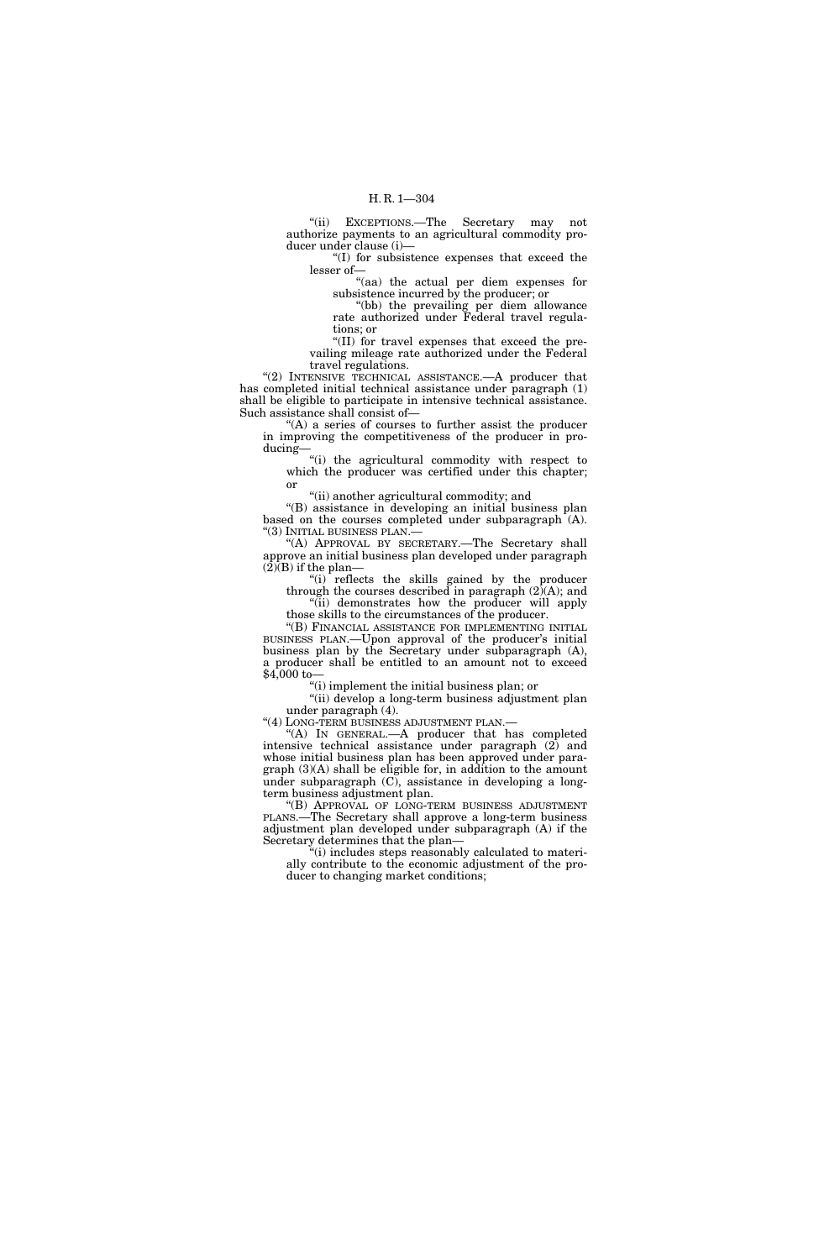''(ii) EXCEPTIONS.—The Secretary may not authorize payments to an agricultural commodity producer under clause (i)—

''(I) for subsistence expenses that exceed the lesser of—

''(aa) the actual per diem expenses for subsistence incurred by the producer; or

''(bb) the prevailing per diem allowance rate authorized under Federal travel regulations; or

''(II) for travel expenses that exceed the prevailing mileage rate authorized under the Federal travel regulations.

"(2) INTENSIVE TECHNICAL ASSISTANCE.—A producer that has completed initial technical assistance under paragraph (1) shall be eligible to participate in intensive technical assistance. Such assistance shall consist of—

"(A) a series of courses to further assist the producer in improving the competitiveness of the producer in producing—

''(i) the agricultural commodity with respect to which the producer was certified under this chapter; or

"(ii) another agricultural commodity; and

''(B) assistance in developing an initial business plan based on the courses completed under subparagraph (A). ''(3) INITIAL BUSINESS PLAN.—

"(A) APPROVAL BY SECRETARY.-The Secretary shall approve an initial business plan developed under paragraph  $(2)$ (B) if the plan–

''(i) reflects the skills gained by the producer through the courses described in paragraph (2)(A); and ''(ii) demonstrates how the producer will apply

those skills to the circumstances of the producer. ''(B) FINANCIAL ASSISTANCE FOR IMPLEMENTING INITIAL

BUSINESS PLAN.—Upon approval of the producer's initial business plan by the Secretary under subparagraph (A), a producer shall be entitled to an amount not to exceed \$4,000 to—

''(i) implement the initial business plan; or

''(ii) develop a long-term business adjustment plan under paragraph (4).

''(4) LONG-TERM BUSINESS ADJUSTMENT PLAN.—

''(A) IN GENERAL.—A producer that has completed intensive technical assistance under paragraph (2) and whose initial business plan has been approved under para $graph (3)$ (A) shall be eligible for, in addition to the amount under subparagraph (C), assistance in developing a longterm business adjustment plan.

''(B) APPROVAL OF LONG-TERM BUSINESS ADJUSTMENT PLANS.—The Secretary shall approve a long-term business adjustment plan developed under subparagraph (A) if the Secretary determines that the plan—

''(i) includes steps reasonably calculated to materially contribute to the economic adjustment of the producer to changing market conditions;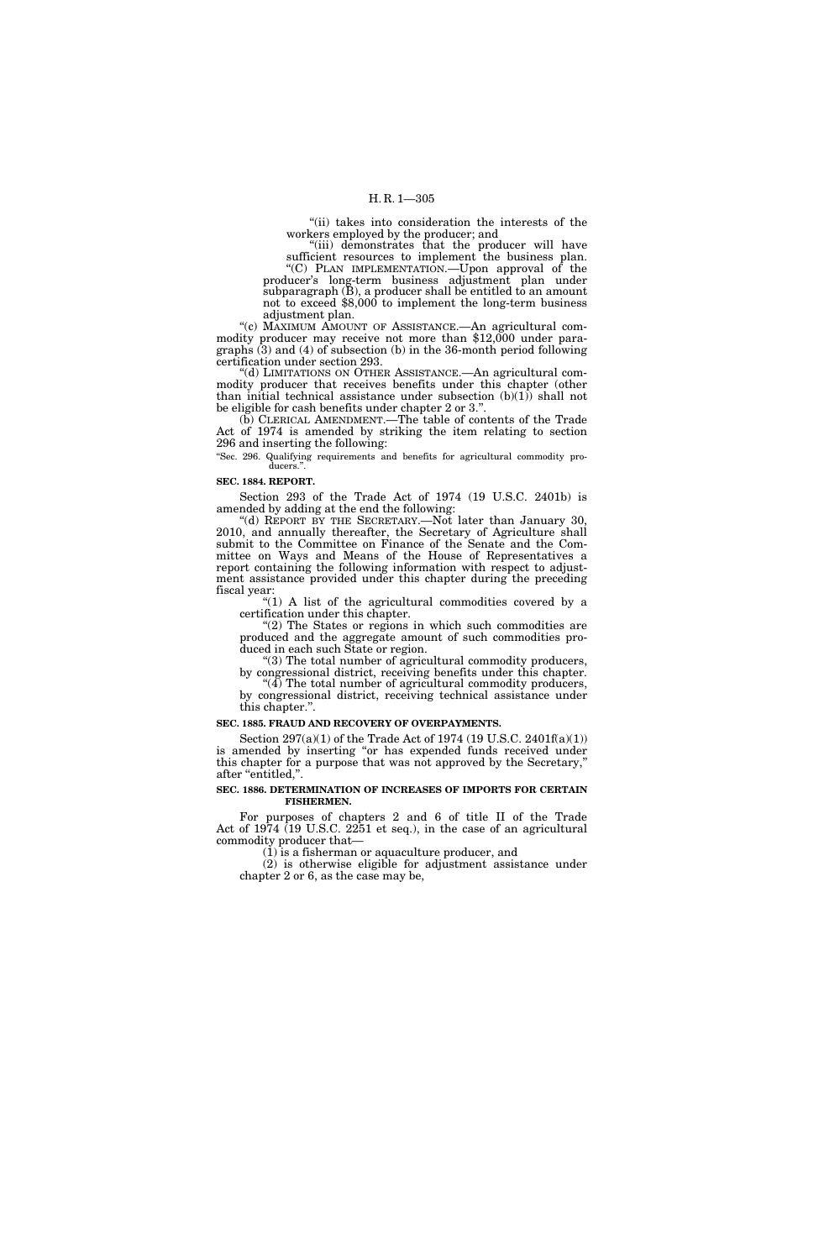''(ii) takes into consideration the interests of the workers employed by the producer; and

''(iii) demonstrates that the producer will have sufficient resources to implement the business plan. ''(C) PLAN IMPLEMENTATION.—Upon approval of the producer's long-term business adjustment plan under

subparagraph (B), a producer shall be entitled to an amount not to exceed \$8,000 to implement the long-term business adjustment plan.

''(c) MAXIMUM AMOUNT OF ASSISTANCE.—An agricultural commodity producer may receive not more than \$12,000 under paragraphs (3) and (4) of subsection (b) in the 36-month period following certification under section 293.

''(d) LIMITATIONS ON OTHER ASSISTANCE.—An agricultural commodity producer that receives benefits under this chapter (other than initial technical assistance under subsection  $(b)(1)$  shall not be eligible for cash benefits under chapter 2 or 3.''.

(b) CLERICAL AMENDMENT.—The table of contents of the Trade Act of 1974 is amended by striking the item relating to section 296 and inserting the following:

''Sec. 296. Qualifying requirements and benefits for agricultural commodity producers."

#### **SEC. 1884. REPORT.**

Section 293 of the Trade Act of 1974 (19 U.S.C. 2401b) is amended by adding at the end the following:

''(d) REPORT BY THE SECRETARY.—Not later than January 30, 2010, and annually thereafter, the Secretary of Agriculture shall submit to the Committee on Finance of the Senate and the Committee on Ways and Means of the House of Representatives a report containing the following information with respect to adjustment assistance provided under this chapter during the preceding fiscal year:

"(1) A list of the agricultural commodities covered by a certification under this chapter.

"(2) The States or regions in which such commodities are produced and the aggregate amount of such commodities produced in each such State or region.

''(3) The total number of agricultural commodity producers, by congressional district, receiving benefits under this chapter.

"(4) The total number of agricultural commodity producers, by congressional district, receiving technical assistance under this chapter.''.

#### **SEC. 1885. FRAUD AND RECOVERY OF OVERPAYMENTS.**

Section 297(a)(1) of the Trade Act of 1974 (19 U.S.C. 2401f(a)(1)) is amended by inserting "or has expended funds received under this chapter for a purpose that was not approved by the Secretary,'' after "entitled,".

#### **SEC. 1886. DETERMINATION OF INCREASES OF IMPORTS FOR CERTAIN FISHERMEN.**

For purposes of chapters 2 and 6 of title II of the Trade Act of 1974 (19 U.S.C. 2251 et seq.), in the case of an agricultural commodity producer that—

(1) is a fisherman or aquaculture producer, and

(2) is otherwise eligible for adjustment assistance under chapter 2 or 6, as the case may be,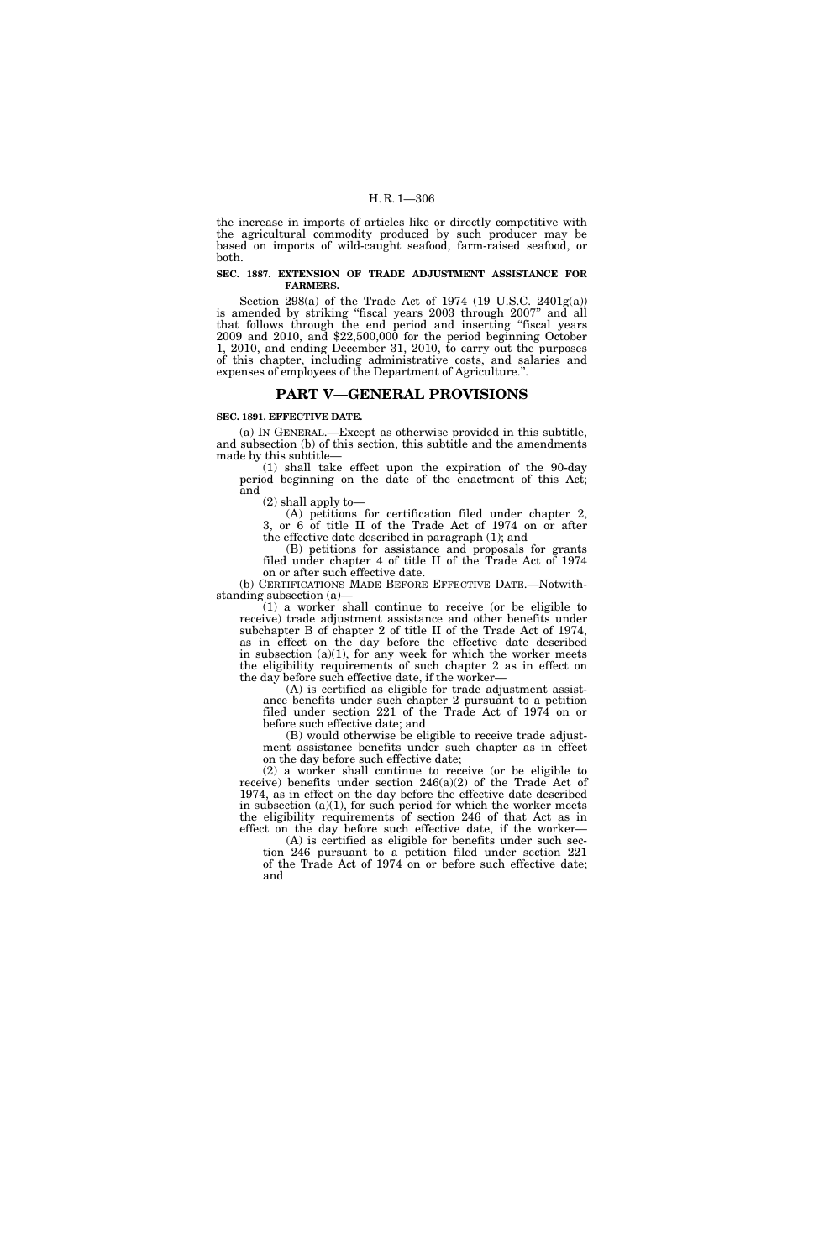the increase in imports of articles like or directly competitive with the agricultural commodity produced by such producer may be based on imports of wild-caught seafood, farm-raised seafood, or both.

#### **SEC. 1887. EXTENSION OF TRADE ADJUSTMENT ASSISTANCE FOR FARMERS.**

Section 298(a) of the Trade Act of 1974 (19 U.S.C. 2401g(a)) is amended by striking "fiscal years 2003 through 2007" and all that follows through the end period and inserting ''fiscal years 2009 and 2010, and \$22,500,000 for the period beginning October 1, 2010, and ending December 31, 2010, to carry out the purposes of this chapter, including administrative costs, and salaries and expenses of employees of the Department of Agriculture.''.

# **PART V—GENERAL PROVISIONS**

# **SEC. 1891. EFFECTIVE DATE.**

(a) IN GENERAL.—Except as otherwise provided in this subtitle, and subsection (b) of this section, this subtitle and the amendments made by this subtitle—

(1) shall take effect upon the expiration of the 90-day period beginning on the date of the enactment of this Act; and

(2) shall apply to—

(A) petitions for certification filed under chapter 2, 3, or 6 of title II of the Trade Act of 1974 on or after the effective date described in paragraph (1); and

(B) petitions for assistance and proposals for grants filed under chapter 4 of title II of the Trade Act of 1974 on or after such effective date.

(b) CERTIFICATIONS MADE BEFORE EFFECTIVE DATE.—Notwithstanding subsection (a)—

(1) a worker shall continue to receive (or be eligible to receive) trade adjustment assistance and other benefits under subchapter B of chapter 2 of title II of the Trade Act of 1974, as in effect on the day before the effective date described in subsection  $(a)(1)$ , for any week for which the worker meets the eligibility requirements of such chapter 2 as in effect on the day before such effective date, if the worker—

(A) is certified as eligible for trade adjustment assistance benefits under such chapter 2 pursuant to a petition filed under section 221 of the Trade Act of 1974 on or before such effective date; and

(B) would otherwise be eligible to receive trade adjustment assistance benefits under such chapter as in effect on the day before such effective date;

(2) a worker shall continue to receive (or be eligible to receive) benefits under section 246(a)(2) of the Trade Act of 1974, as in effect on the day before the effective date described in subsection  $(a)(1)$ , for such period for which the worker meets the eligibility requirements of section 246 of that Act as in effect on the day before such effective date, if the worker—

(A) is certified as eligible for benefits under such section 246 pursuant to a petition filed under section 221

of the Trade Act of 1974 on or before such effective date; and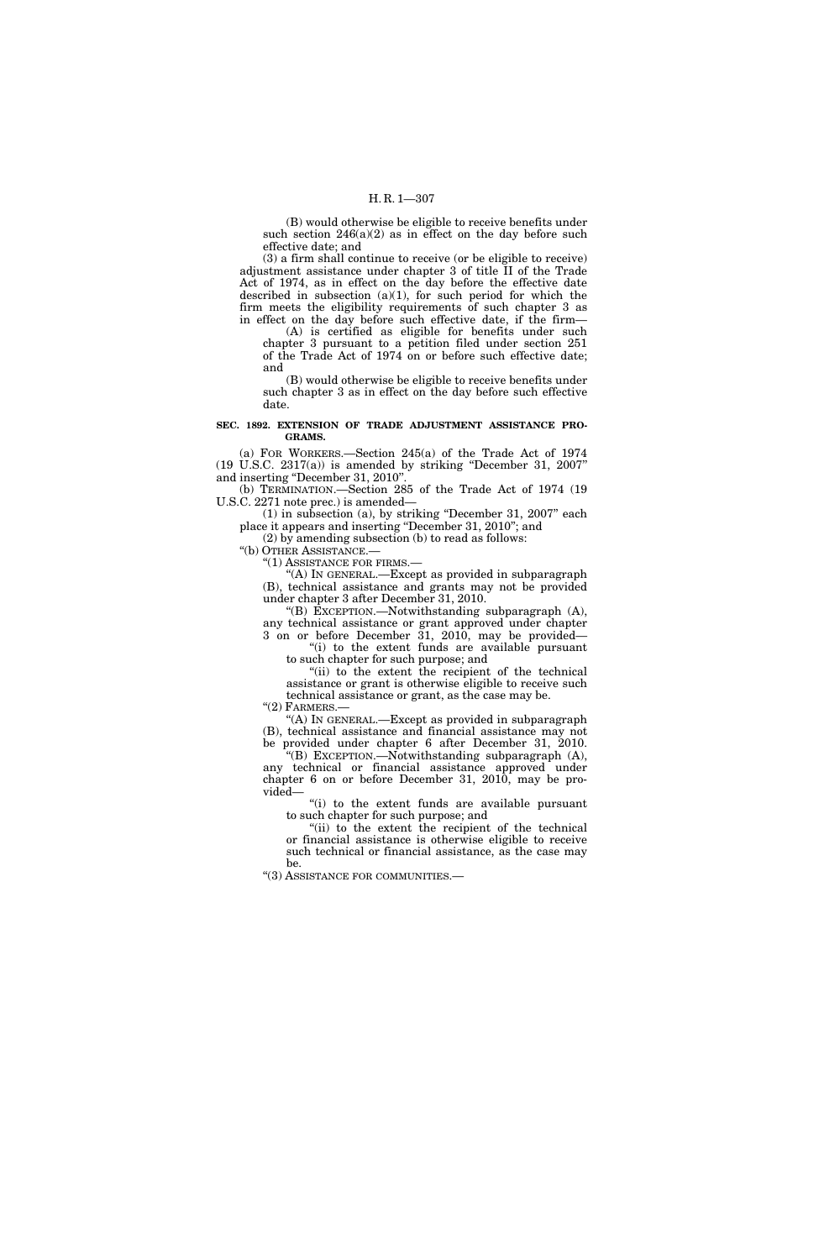(B) would otherwise be eligible to receive benefits under such section  $246(a)(2)$  as in effect on the day before such effective date; and

(3) a firm shall continue to receive (or be eligible to receive) adjustment assistance under chapter 3 of title II of the Trade Act of 1974, as in effect on the day before the effective date described in subsection  $(a)(1)$ , for such period for which the firm meets the eligibility requirements of such chapter 3 as in effect on the day before such effective date, if the firm—

(A) is certified as eligible for benefits under such chapter 3 pursuant to a petition filed under section 251 of the Trade Act of 1974 on or before such effective date; and

(B) would otherwise be eligible to receive benefits under such chapter 3 as in effect on the day before such effective date.

#### **SEC. 1892. EXTENSION OF TRADE ADJUSTMENT ASSISTANCE PRO-GRAMS.**

(a) FOR WORKERS.—Section 245(a) of the Trade Act of 1974 (19 U.S.C. 2317(a)) is amended by striking ''December 31, 2007'' and inserting ''December 31, 2010''.

(b) TERMINATION.—Section 285 of the Trade Act of 1974 (19 U.S.C. 2271 note prec.) is amended—

(1) in subsection (a), by striking ''December 31, 2007'' each place it appears and inserting ''December 31, 2010''; and

(2) by amending subsection (b) to read as follows:

''(b) OTHER ASSISTANCE.— ''(1) ASSISTANCE FOR FIRMS.—

''(A) IN GENERAL.—Except as provided in subparagraph (B), technical assistance and grants may not be provided under chapter 3 after December 31, 2010.

''(B) EXCEPTION.—Notwithstanding subparagraph (A), any technical assistance or grant approved under chapter 3 on or before December 31, 2010, may be provided—

"(i) to the extent funds are available pursuant to such chapter for such purpose; and

"(ii) to the extent the recipient of the technical assistance or grant is otherwise eligible to receive such technical assistance or grant, as the case may be.

 $"(2)$  FARMERS.—

"(A) In GENERAL.—Except as provided in subparagraph (B), technical assistance and financial assistance may not be provided under chapter 6 after December 31, 2010.

''(B) EXCEPTION.—Notwithstanding subparagraph (A), any technical or financial assistance approved under chapter 6 on or before December 31, 2010, may be provided—

''(i) to the extent funds are available pursuant to such chapter for such purpose; and

"(ii) to the extent the recipient of the technical or financial assistance is otherwise eligible to receive such technical or financial assistance, as the case may be.

''(3) ASSISTANCE FOR COMMUNITIES.—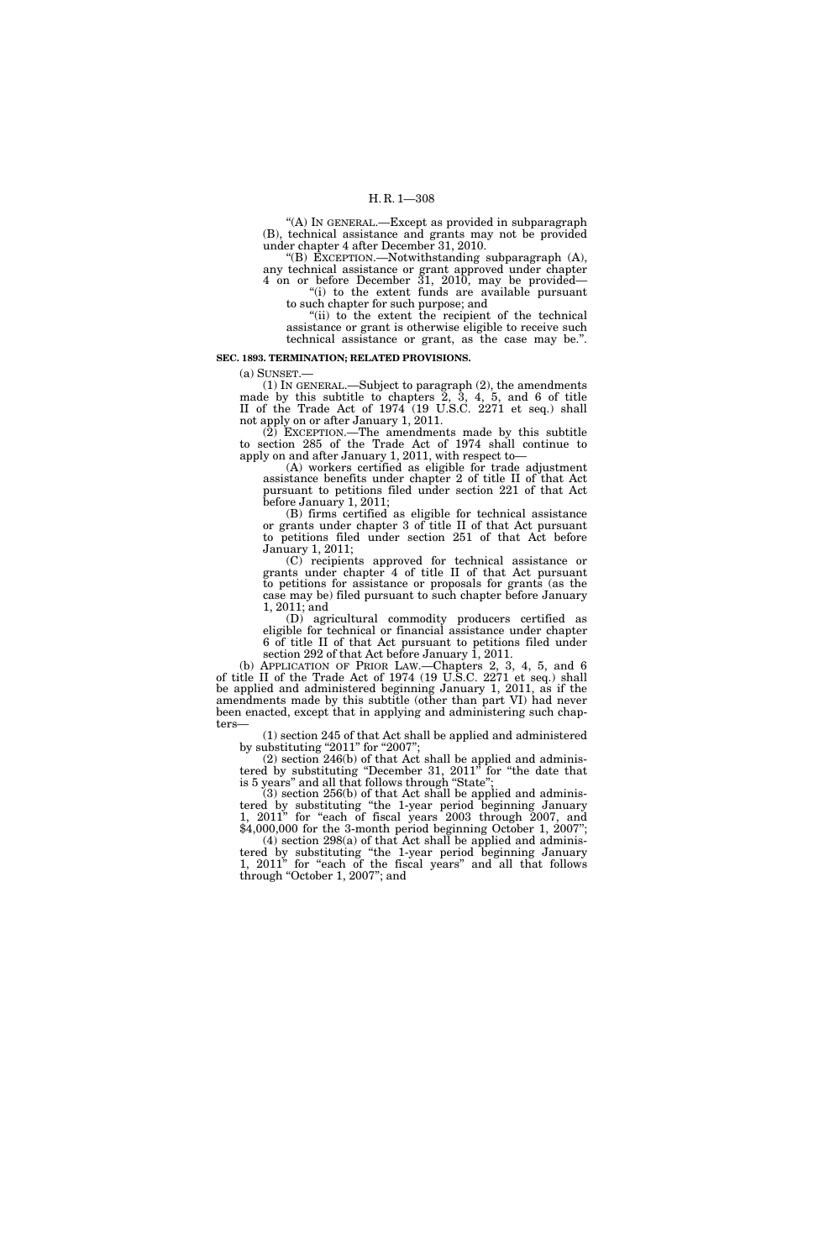''(A) IN GENERAL.—Except as provided in subparagraph (B), technical assistance and grants may not be provided under chapter 4 after December 31, 2010.

''(B) EXCEPTION.—Notwithstanding subparagraph (A), any technical assistance or grant approved under chapter 4 on or before December 31, 2010, may be provided— ''(i) to the extent funds are available pursuant

to such chapter for such purpose; and "(ii) to the extent the recipient of the technical

assistance or grant is otherwise eligible to receive such technical assistance or grant, as the case may be.''.

#### **SEC. 1893. TERMINATION; RELATED PROVISIONS.**

(a) SUNSET.— (1) IN GENERAL.—Subject to paragraph (2), the amendments made by this subtitle to chapters 2, 3, 4, 5, and 6 of title II of the Trade Act of 1974 (19 U.S.C. 2271 et seq.) shall not apply on or after January 1, 2011.

(2) EXCEPTION.—The amendments made by this subtitle to section 285 of the Trade Act of 1974 shall continue to apply on and after January 1, 2011, with respect to—

(A) workers certified as eligible for trade adjustment assistance benefits under chapter 2 of title II of that Act pursuant to petitions filed under section 221 of that Act before January 1, 2011;

(B) firms certified as eligible for technical assistance or grants under chapter 3 of title II of that Act pursuant to petitions filed under section 251 of that Act before January 1, 2011;

(C) recipients approved for technical assistance or grants under chapter 4 of title II of that Act pursuant to petitions for assistance or proposals for grants (as the case may be) filed pursuant to such chapter before January 1, 2011; and

(D) agricultural commodity producers certified as eligible for technical or financial assistance under chapter 6 of title II of that Act pursuant to petitions filed under section 292 of that Act before January 1, 2011.

(b) APPLICATION OF PRIOR LAW.—Chapters 2, 3, 4, 5, and 6 of title II of the Trade Act of 1974 (19 U.S.C. 2271 et seq.) shall be applied and administered beginning January 1, 2011, as if the amendments made by this subtitle (other than part VI) had never been enacted, except that in applying and administering such chapters—

(1) section 245 of that Act shall be applied and administered by substituting "2011" for "2007";

(2) section 246(b) of that Act shall be applied and administered by substituting "December 31, 2011" for "the date that is 5 years'' and all that follows through ''State'';

(3) section 256(b) of that Act shall be applied and administered by substituting ''the 1-year period beginning January 1, 2011" for "each of fiscal years 2003 through 2007, and \$4,000,000 for the 3-month period beginning October 1, 2007";

 $(4)$  section 298 $(a)$  of that Act shall be applied and administered by substituting ''the 1-year period beginning January 1, 2011" for "each of the fiscal years" and all that follows through "October 1, 2007"; and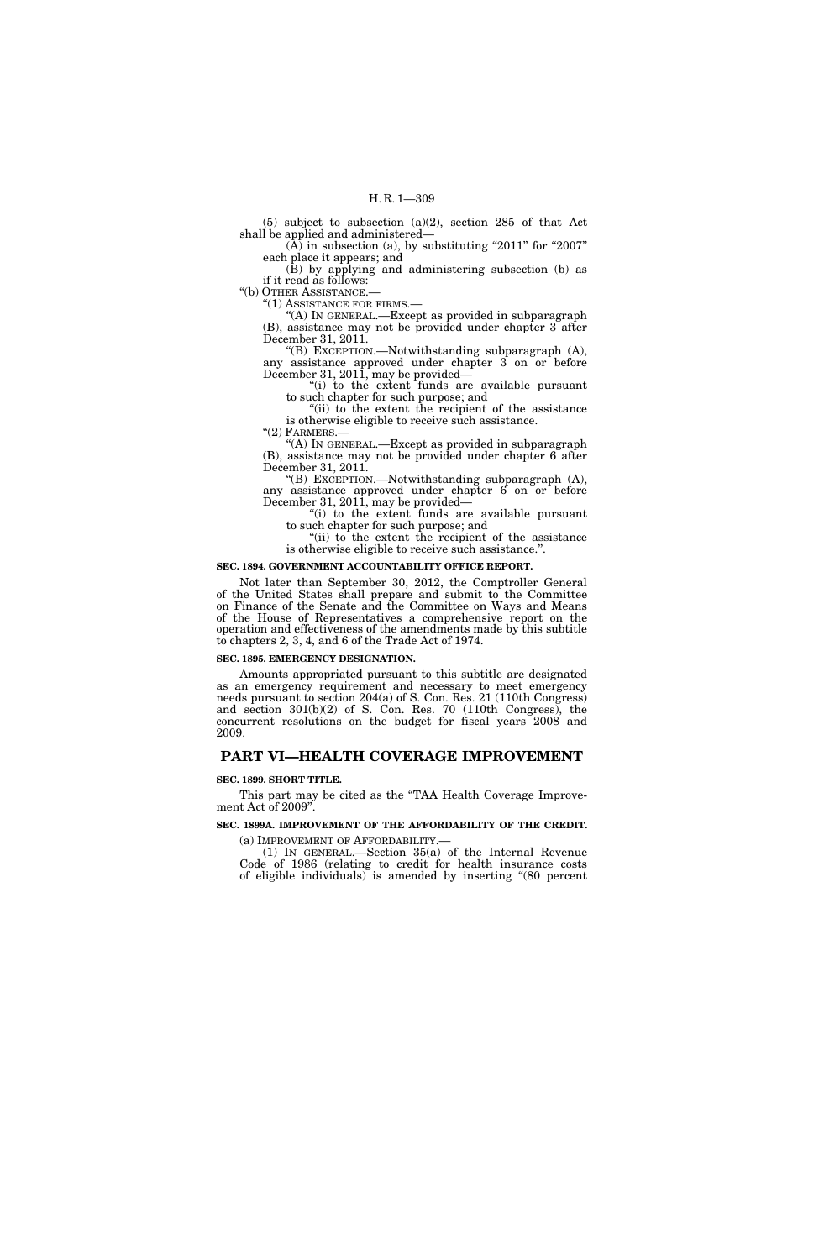(5) subject to subsection (a)(2), section 285 of that Act shall be applied and administered—

 $(\overline{A})$  in subsection (a), by substituting "2011" for "2007" each place it appears; and

(B) by applying and administering subsection (b) as if it read as follows:

''(b) OTHER ASSISTANCE.—

''(1) ASSISTANCE FOR FIRMS.—

''(A) IN GENERAL.—Except as provided in subparagraph (B), assistance may not be provided under chapter 3 after December 31, 2011.

''(B) EXCEPTION.—Notwithstanding subparagraph (A), any assistance approved under chapter 3 on or before December 31, 2011, may be provided—

''(i) to the extent funds are available pursuant to such chapter for such purpose; and

"(ii) to the extent the recipient of the assistance" is otherwise eligible to receive such assistance.

" $(2)$  FARMERS.

''(A) IN GENERAL.—Except as provided in subparagraph (B), assistance may not be provided under chapter 6 after December 31, 2011.

''(B) EXCEPTION.—Notwithstanding subparagraph (A), any assistance approved under chapter 6 on or before December 31, 2011, may be provided—

''(i) to the extent funds are available pursuant to such chapter for such purpose; and

"(ii) to the extent the recipient of the assistance" is otherwise eligible to receive such assistance.''.

#### **SEC. 1894. GOVERNMENT ACCOUNTABILITY OFFICE REPORT.**

Not later than September 30, 2012, the Comptroller General of the United States shall prepare and submit to the Committee on Finance of the Senate and the Committee on Ways and Means of the House of Representatives a comprehensive report on the operation and effectiveness of the amendments made by this subtitle to chapters 2, 3, 4, and 6 of the Trade Act of 1974.

#### **SEC. 1895. EMERGENCY DESIGNATION.**

Amounts appropriated pursuant to this subtitle are designated as an emergency requirement and necessary to meet emergency needs pursuant to section 204(a) of S. Con. Res. 21 (110th Congress) and section 301(b)(2) of S. Con. Res. 70 (110th Congress), the concurrent resolutions on the budget for fiscal years 2008 and 2009.

# **PART VI—HEALTH COVERAGE IMPROVEMENT**

#### **SEC. 1899. SHORT TITLE.**

This part may be cited as the "TAA Health Coverage Improvement Act of 2009''.

# **SEC. 1899A. IMPROVEMENT OF THE AFFORDABILITY OF THE CREDIT.**

(a) IMPROVEMENT OF AFFORDABILITY.— (1) IN GENERAL.—Section 35(a) of the Internal Revenue Code of 1986 (relating to credit for health insurance costs of eligible individuals) is amended by inserting ''(80 percent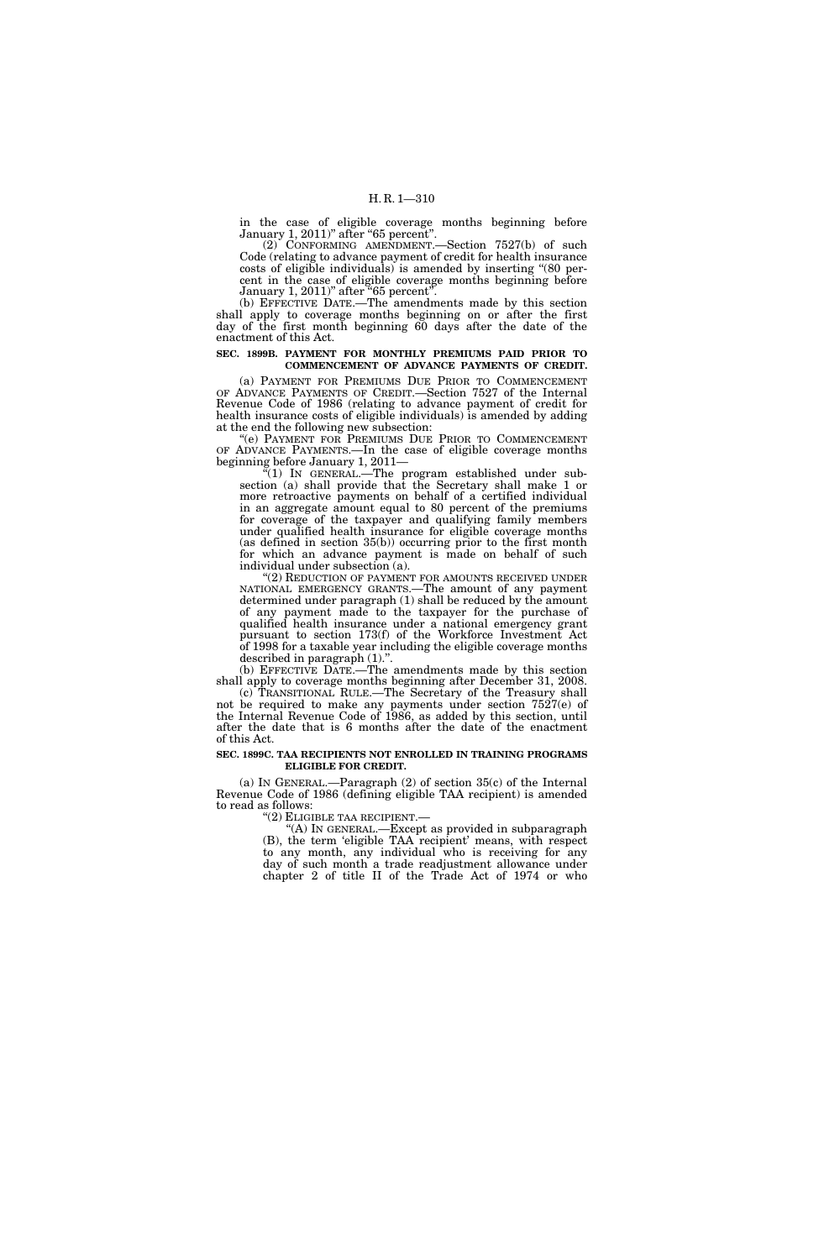in the case of eligible coverage months beginning before January 1, 2011)" after "65 percent".

(2) CONFORMING AMENDMENT.—Section 7527(b) of such Code (relating to advance payment of credit for health insurance costs of eligible individuals) is amended by inserting ''(80 percent in the case of eligible coverage months beginning before January 1, 2011)" after "65 percent".

(b) EFFECTIVE DATE.—The amendments made by this section shall apply to coverage months beginning on or after the first day of the first month beginning 60 days after the date of the enactment of this Act.

#### **SEC. 1899B. PAYMENT FOR MONTHLY PREMIUMS PAID PRIOR TO COMMENCEMENT OF ADVANCE PAYMENTS OF CREDIT.**

(a) PAYMENT FOR PREMIUMS DUE PRIOR TO COMMENCEMENT OF ADVANCE PAYMENTS OF CREDIT.—Section 7527 of the Internal Revenue Code of 1986 (relating to advance payment of credit for health insurance costs of eligible individuals) is amended by adding at the end the following new subsection:

''(e) PAYMENT FOR PREMIUMS DUE PRIOR TO COMMENCEMENT OF ADVANCE PAYMENTS.—In the case of eligible coverage months beginning before January 1, 2011—

''(1) IN GENERAL.—The program established under subsection (a) shall provide that the Secretary shall make 1 or more retroactive payments on behalf of a certified individual in an aggregate amount equal to 80 percent of the premiums for coverage of the taxpayer and qualifying family members under qualified health insurance for eligible coverage months (as defined in section 35(b)) occurring prior to the first month for which an advance payment is made on behalf of such individual under subsection (a).

"(2) REDUCTION OF PAYMENT FOR AMOUNTS RECEIVED UNDER NATIONAL EMERGENCY GRANTS.—The amount of any payment determined under paragraph (1) shall be reduced by the amount of any payment made to the taxpayer for the purchase of qualified health insurance under a national emergency grant pursuant to section 173(f) of the Workforce Investment Act of 1998 for a taxable year including the eligible coverage months described in paragraph (1).''.

(b) EFFECTIVE DATE.—The amendments made by this section shall apply to coverage months beginning after December 31, 2008. (c) TRANSITIONAL RULE.—The Secretary of the Treasury shall

not be required to make any payments under section 7527(e) of the Internal Revenue Code of 1986, as added by this section, until after the date that is 6 months after the date of the enactment of this Act.

#### **SEC. 1899C. TAA RECIPIENTS NOT ENROLLED IN TRAINING PROGRAMS ELIGIBLE FOR CREDIT.**

(a) IN GENERAL.—Paragraph (2) of section 35(c) of the Internal Revenue Code of 1986 (defining eligible TAA recipient) is amended to read as follows:

''(2) ELIGIBLE TAA RECIPIENT.— ''(A) IN GENERAL.—Except as provided in subparagraph (B), the term 'eligible TAA recipient' means, with respect to any month, any individual who is receiving for any day of such month a trade readjustment allowance under chapter 2 of title II of the Trade Act of 1974 or who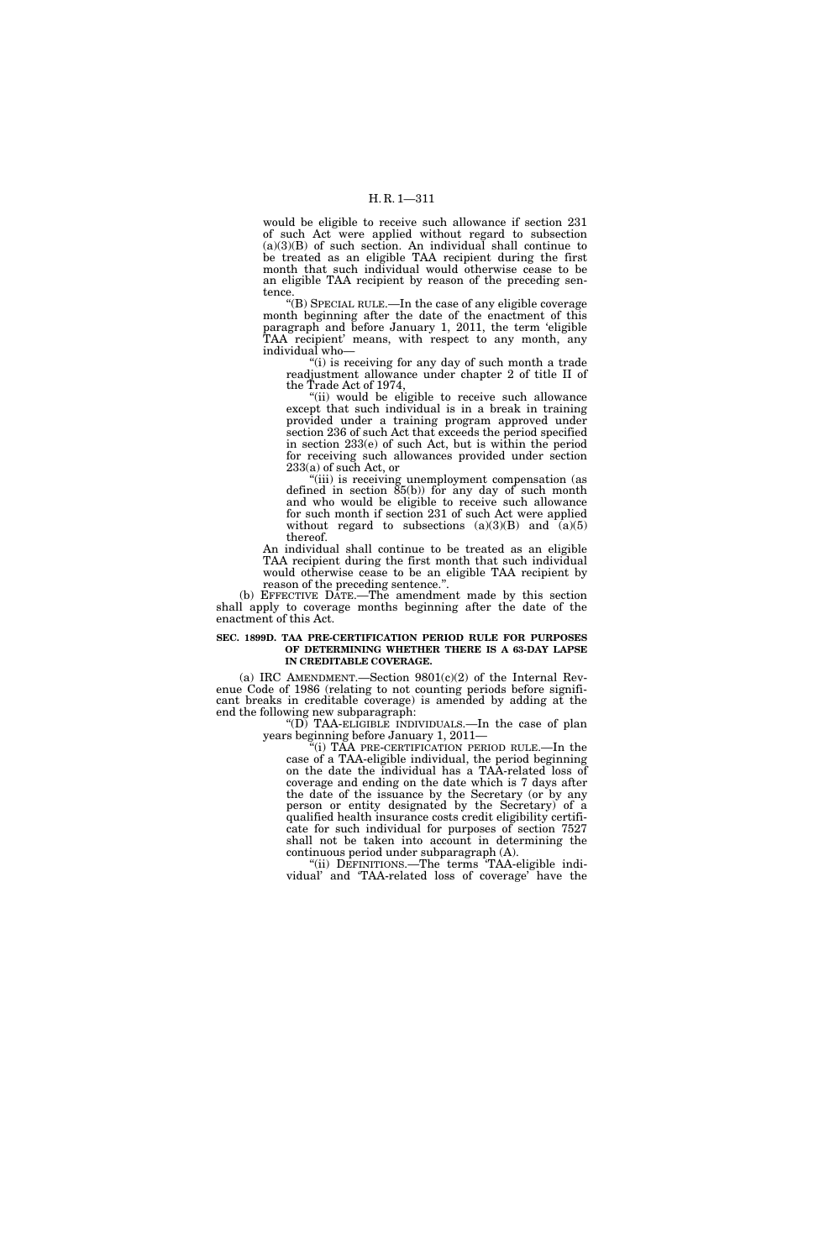would be eligible to receive such allowance if section 231 of such Act were applied without regard to subsection  $(a)(3)(B)$  of such section. An individual shall continue to be treated as an eligible TAA recipient during the first month that such individual would otherwise cease to be an eligible TAA recipient by reason of the preceding sentence.

''(B) SPECIAL RULE.—In the case of any eligible coverage month beginning after the date of the enactment of this paragraph and before January 1, 2011, the term 'eligible TAA recipient' means, with respect to any month, any individual who—

''(i) is receiving for any day of such month a trade readjustment allowance under chapter 2 of title II of the Trade Act of 1974,

''(ii) would be eligible to receive such allowance except that such individual is in a break in training provided under a training program approved under section 236 of such Act that exceeds the period specified in section 233(e) of such Act, but is within the period for receiving such allowances provided under section 233(a) of such Act, or

''(iii) is receiving unemployment compensation (as defined in section  $\tilde{85}(b)$  for any day of such month and who would be eligible to receive such allowance for such month if section 231 of such Act were applied without regard to subsections  $(a)(3)(B)$  and  $(a)(5)$ thereof.

An individual shall continue to be treated as an eligible TAA recipient during the first month that such individual would otherwise cease to be an eligible TAA recipient by reason of the preceding sentence.''.

(b) EFFECTIVE DATE.—The amendment made by this section shall apply to coverage months beginning after the date of the enactment of this Act.

#### **SEC. 1899D. TAA PRE-CERTIFICATION PERIOD RULE FOR PURPOSES OF DETERMINING WHETHER THERE IS A 63-DAY LAPSE IN CREDITABLE COVERAGE.**

(a) IRC AMENDMENT.—Section  $9801(c)(2)$  of the Internal Revenue Code of 1986 (relating to not counting periods before significant breaks in creditable coverage) is amended by adding at the end the following new subparagraph:

" $(D)$  TAA-ELIGIBLE INDIVIDUALS.—In the case of plan years beginning before January 1, 2011—

''(i) TAA PRE-CERTIFICATION PERIOD RULE.—In the case of a TAA-eligible individual, the period beginning on the date the individual has a TAA-related loss of coverage and ending on the date which is 7 days after the date of the issuance by the Secretary (or by any person or entity designated by the Secretary) of a qualified health insurance costs credit eligibility certificate for such individual for purposes of section 7527 shall not be taken into account in determining the continuous period under subparagraph (A).

"(ii) DEFINITIONS.—The terms TAA-eligible individual' and 'TAA-related loss of coverage' have the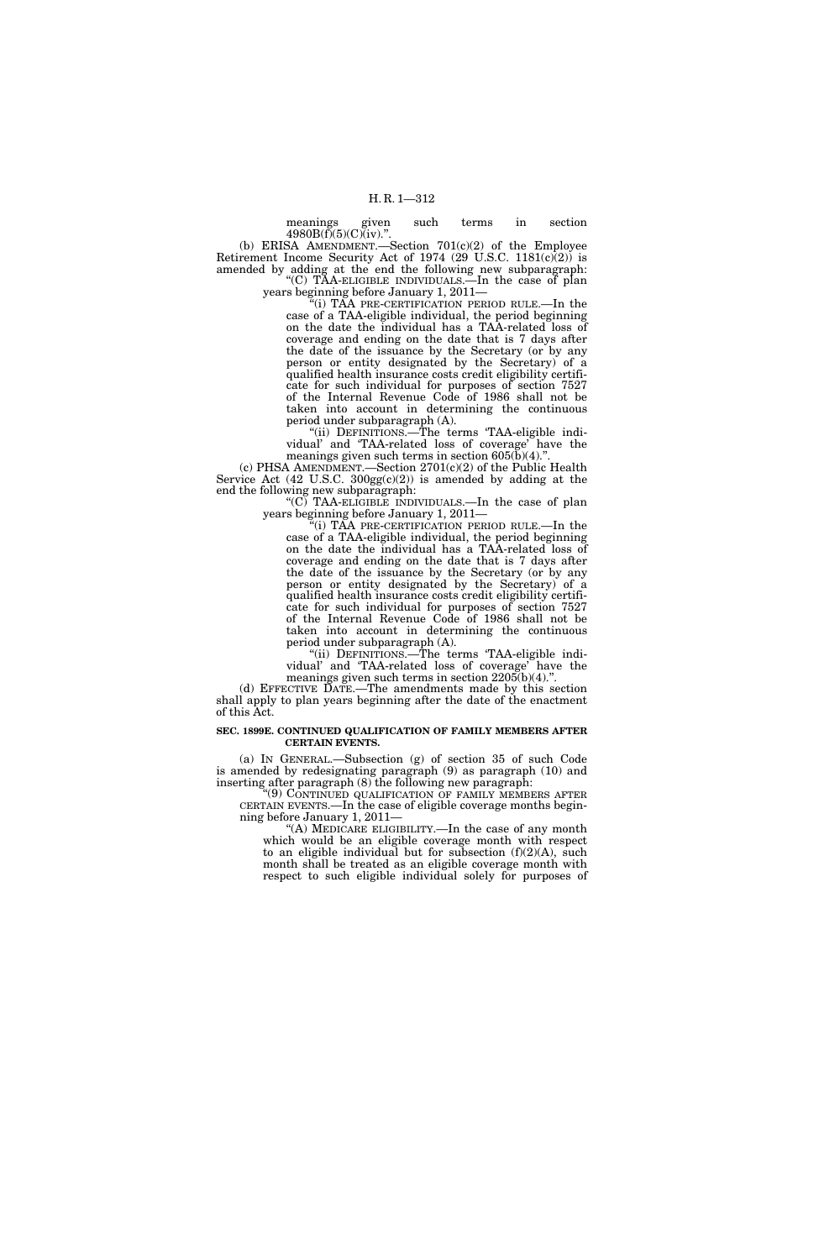meanings given such terms in section  $4980B(f)(5)(C)(iv).$ ". (b) ERISA AMENDMENT.—Section  $701(c)(2)$  of the Employee

Retirement Income Security Act of 1974 (29 U.S.C. 1181 $(c)(2)$ ) is amended by adding at the end the following new subparagraph: ''(C) TAA-ELIGIBLE INDIVIDUALS.—In the case of plan

years beginning before January 1, 2011—

''(i) TAA PRE-CERTIFICATION PERIOD RULE.—In the case of a TAA-eligible individual, the period beginning on the date the individual has a TAA-related loss of coverage and ending on the date that is 7 days after the date of the issuance by the Secretary (or by any person or entity designated by the Secretary) of a qualified health insurance costs credit eligibility certificate for such individual for purposes of section 7527 of the Internal Revenue Code of 1986 shall not be taken into account in determining the continuous period under subparagraph (A).

''(ii) DEFINITIONS.—The terms 'TAA-eligible individual' and 'TAA-related loss of coverage' have the meanings given such terms in section  $605(b)(4)$ .

(c) PHSA AMENDMENT.—Section 2701(c)(2) of the Public Health Service Act  $(42 \text{ U.S.C. } 300 \text{gg}(c)(2))$  is amended by adding at the end the following new subparagraph:

''(C) TAA-ELIGIBLE INDIVIDUALS.—In the case of plan years beginning before January 1, 2011—

 $f(i)$  TAA PRE-CERTIFICATION PERIOD RULE.—In the case of a TAA-eligible individual, the period beginning on the date the individual has a TAA-related loss of coverage and ending on the date that is 7 days after the date of the issuance by the Secretary (or by any person or entity designated by the Secretary) of a qualified health insurance costs credit eligibility certificate for such individual for purposes of section 7527 of the Internal Revenue Code of 1986 shall not be taken into account in determining the continuous period under subparagraph (A).

"(ii) DEFINITIONS.—The terms 'TAA-eligible individual' and 'TAA-related loss of coverage' have the meanings given such terms in section  $2205(b)(4)$ ."

(d) EFFECTIVE DATE.—The amendments made by this section shall apply to plan years beginning after the date of the enactment of this Act.

#### **SEC. 1899E. CONTINUED QUALIFICATION OF FAMILY MEMBERS AFTER CERTAIN EVENTS.**

(a) IN GENERAL.—Subsection (g) of section 35 of such Code is amended by redesignating paragraph (9) as paragraph (10) and inserting after paragraph (8) the following new paragraph:

''(9) CONTINUED QUALIFICATION OF FAMILY MEMBERS AFTER CERTAIN EVENTS.—In the case of eligible coverage months beginning before January 1, 2011—

''(A) MEDICARE ELIGIBILITY.—In the case of any month which would be an eligible coverage month with respect to an eligible individual but for subsection  $(f)(2)(A)$ , such month shall be treated as an eligible coverage month with respect to such eligible individual solely for purposes of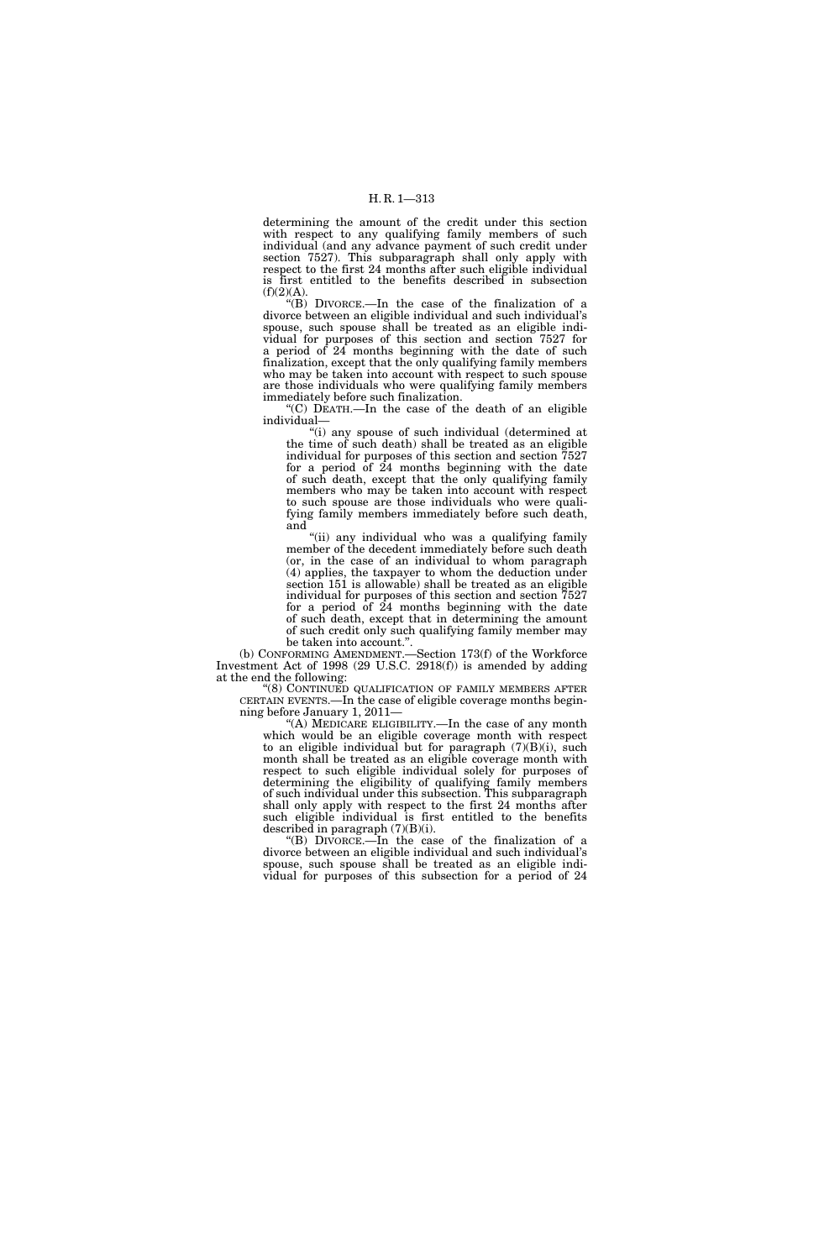determining the amount of the credit under this section with respect to any qualifying family members of such individual (and any advance payment of such credit under section 7527). This subparagraph shall only apply with respect to the first 24 months after such eligible individual is first entitled to the benefits described in subsection  $(f)(2)(A).$ 

''(B) DIVORCE.—In the case of the finalization of a divorce between an eligible individual and such individual's spouse, such spouse shall be treated as an eligible individual for purposes of this section and section 7527 for a period of 24 months beginning with the date of such finalization, except that the only qualifying family members who may be taken into account with respect to such spouse are those individuals who were qualifying family members immediately before such finalization.

''(C) DEATH.—In the case of the death of an eligible individual—

"(i) any spouse of such individual (determined at the time of such death) shall be treated as an eligible individual for purposes of this section and section 7527 for a period of 24 months beginning with the date of such death, except that the only qualifying family members who may be taken into account with respect to such spouse are those individuals who were qualifying family members immediately before such death, and

''(ii) any individual who was a qualifying family member of the decedent immediately before such death (or, in the case of an individual to whom paragraph (4) applies, the taxpayer to whom the deduction under section 151 is allowable) shall be treated as an eligible individual for purposes of this section and section 7527 for a period of 24 months beginning with the date of such death, except that in determining the amount of such credit only such qualifying family member may be taken into account.''.

(b) CONFORMING AMENDMENT.—Section 173(f) of the Workforce Investment Act of 1998 (29 U.S.C. 2918(f)) is amended by adding at the end the following:

''(8) CONTINUED QUALIFICATION OF FAMILY MEMBERS AFTER CERTAIN EVENTS.—In the case of eligible coverage months beginning before January 1, 2011—

''(A) MEDICARE ELIGIBILITY.—In the case of any month which would be an eligible coverage month with respect to an eligible individual but for paragraph  $(7)(B)(i)$ , such month shall be treated as an eligible coverage month with respect to such eligible individual solely for purposes of determining the eligibility of qualifying family members of such individual under this subsection. This subparagraph shall only apply with respect to the first 24 months after such eligible individual is first entitled to the benefits described in paragraph  $(7)(B)(i)$ .

''(B) DIVORCE.—In the case of the finalization of a divorce between an eligible individual and such individual's spouse, such spouse shall be treated as an eligible individual for purposes of this subsection for a period of 24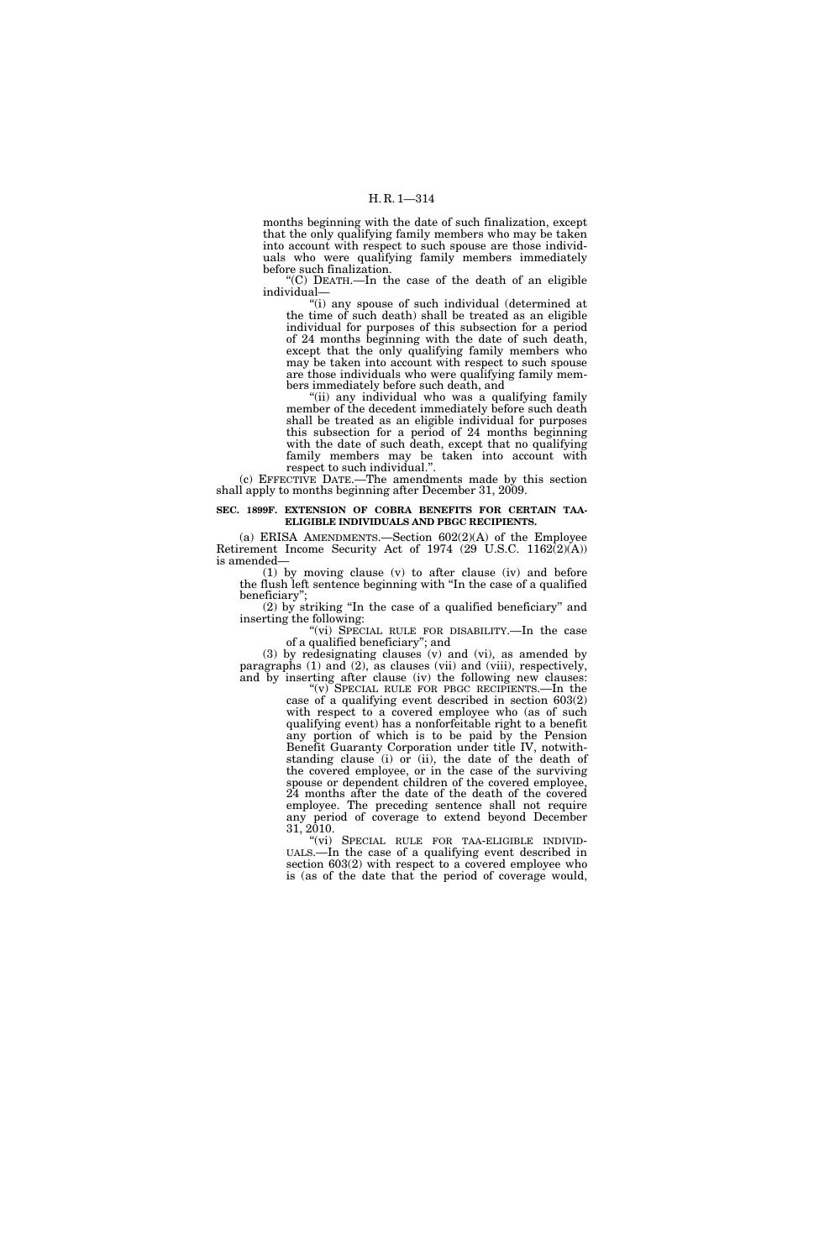months beginning with the date of such finalization, except that the only qualifying family members who may be taken into account with respect to such spouse are those individuals who were qualifying family members immediately before such finalization.

 $(C)$  DEATH.—In the case of the death of an eligible individual—

"(i) any spouse of such individual (determined at the time of such death) shall be treated as an eligible individual for purposes of this subsection for a period of 24 months beginning with the date of such death, except that the only qualifying family members who may be taken into account with respect to such spouse are those individuals who were qualifying family members immediately before such death, and

''(ii) any individual who was a qualifying family member of the decedent immediately before such death shall be treated as an eligible individual for purposes this subsection for a period of 24 months beginning with the date of such death, except that no qualifying family members may be taken into account with respect to such individual.''.

(c) EFFECTIVE DATE.—The amendments made by this section shall apply to months beginning after December 31, 2009.

#### **SEC. 1899F. EXTENSION OF COBRA BENEFITS FOR CERTAIN TAA-ELIGIBLE INDIVIDUALS AND PBGC RECIPIENTS.**

(a) ERISA AMENDMENTS.—Section 602(2)(A) of the Employee Retirement Income Security Act of 1974 (29 U.S.C. 1162(2)(A)) is amended—

(1) by moving clause (v) to after clause (iv) and before the flush left sentence beginning with ''In the case of a qualified beneficiary'';

(2) by striking ''In the case of a qualified beneficiary'' and inserting the following:

"(vi) SPECIAL RULE FOR DISABILITY.—In the case of a qualified beneficiary''; and

(3) by redesignating clauses (v) and (vi), as amended by paragraphs (1) and (2), as clauses (vii) and (viii), respectively, and by inserting after clause (iv) the following new clauses: "(v) SPECIAL RULE FOR PBGC RECIPIENTS.—In the

case of a qualifying event described in section 603(2) with respect to a covered employee who (as of such qualifying event) has a nonforfeitable right to a benefit any portion of which is to be paid by the Pension Benefit Guaranty Corporation under title IV, notwithstanding clause (i) or (ii), the date of the death of the covered employee, or in the case of the surviving spouse or dependent children of the covered employee, 24 months after the date of the death of the covered employee. The preceding sentence shall not require any period of coverage to extend beyond December 31, 2010.

''(vi) SPECIAL RULE FOR TAA-ELIGIBLE INDIVID- UALS.—In the case of a qualifying event described in section 603(2) with respect to a covered employee who is (as of the date that the period of coverage would,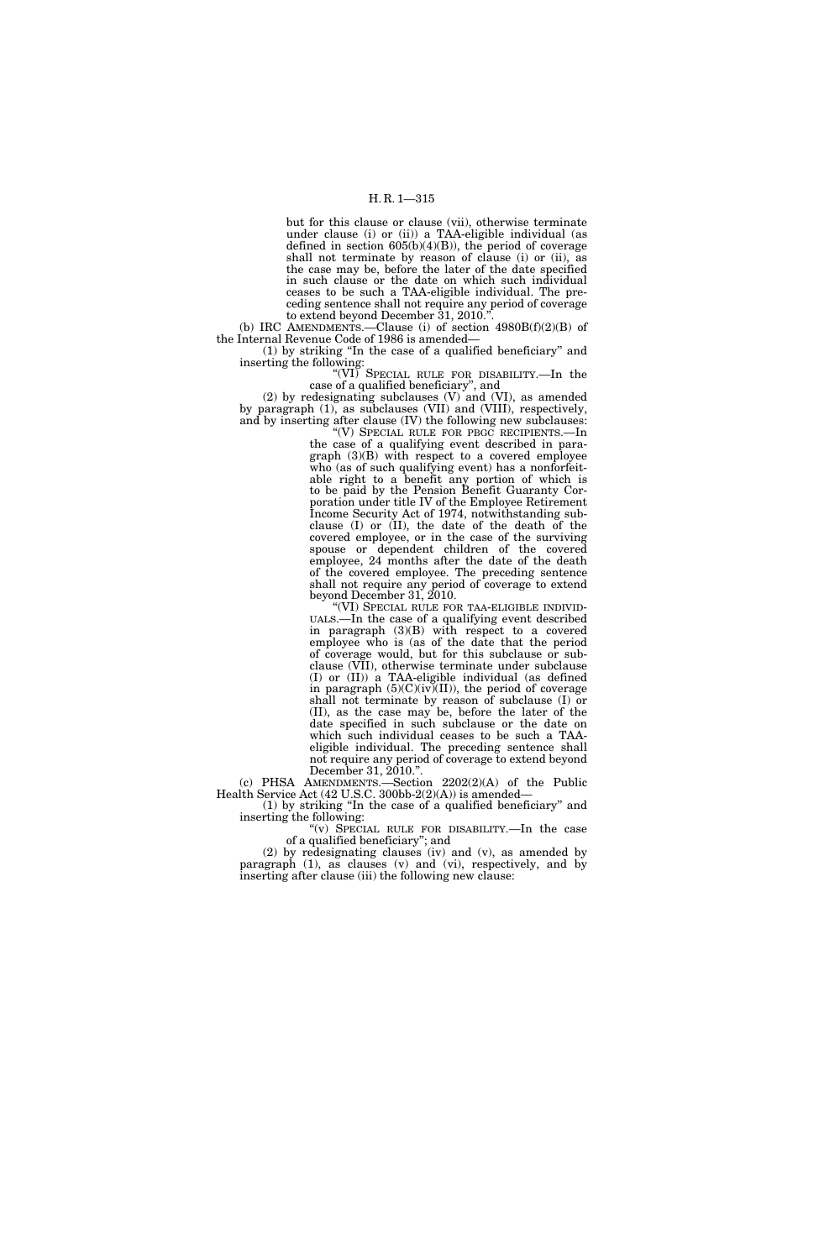but for this clause or clause (vii), otherwise terminate under clause (i) or (ii)) a TAA-eligible individual (as defined in section 605(b)(4)(B)), the period of coverage shall not terminate by reason of clause (i) or (ii), as the case may be, before the later of the date specified in such clause or the date on which such individual ceases to be such a TAA-eligible individual. The preceding sentence shall not require any period of coverage to extend beyond December 31, 2010.''.

(b) IRC AMENDMENTS.—Clause (i) of section  $4980B(f)(2)(B)$  of the Internal Revenue Code of 1986 is amended—

(1) by striking ''In the case of a qualified beneficiary'' and inserting the following:

"(VI) SPECIAL RULE FOR DISABILITY.—In the case of a qualified beneficiary'', and

(2) by redesignating subclauses (V) and (VI), as amended by paragraph (1), as subclauses (VII) and (VIII), respectively, and by inserting after clause (IV) the following new subclauses:

''(V) SPECIAL RULE FOR PBGC RECIPIENTS.—In the case of a qualifying event described in paragraph (3)(B) with respect to a covered employee who (as of such qualifying event) has a nonforfeitable right to a benefit any portion of which is to be paid by the Pension Benefit Guaranty Corporation under title IV of the Employee Retirement Income Security Act of 1974, notwithstanding subclause (I) or (II), the date of the death of the covered employee, or in the case of the surviving spouse or dependent children of the covered employee, 24 months after the date of the death of the covered employee. The preceding sentence shall not require any period of coverage to extend beyond December 31, 2010.

''(VI) SPECIAL RULE FOR TAA-ELIGIBLE INDIVID- UALS.—In the case of a qualifying event described in paragraph (3)(B) with respect to a covered employee who is (as of the date that the period of coverage would, but for this subclause or subclause (VII), otherwise terminate under subclause (I) or (II)) a TAA-eligible individual (as defined in paragraph  $(5)(C)(iv)(II)$ , the period of coverage shall not terminate by reason of subclause (I) or (II), as the case may be, before the later of the date specified in such subclause or the date on which such individual ceases to be such a TAAeligible individual. The preceding sentence shall not require any period of coverage to extend beyond December 31, 2010.''.

(c) PHSA AMENDMENTS.—Section 2202(2)(A) of the Public Health Service Act (42 U.S.C. 300bb-2(2)(A)) is amended—

(1) by striking ''In the case of a qualified beneficiary'' and inserting the following:

''(v) SPECIAL RULE FOR DISABILITY.—In the case of a qualified beneficiary''; and

(2) by redesignating clauses (iv) and (v), as amended by paragraph (1), as clauses (v) and (vi), respectively, and by inserting after clause (iii) the following new clause: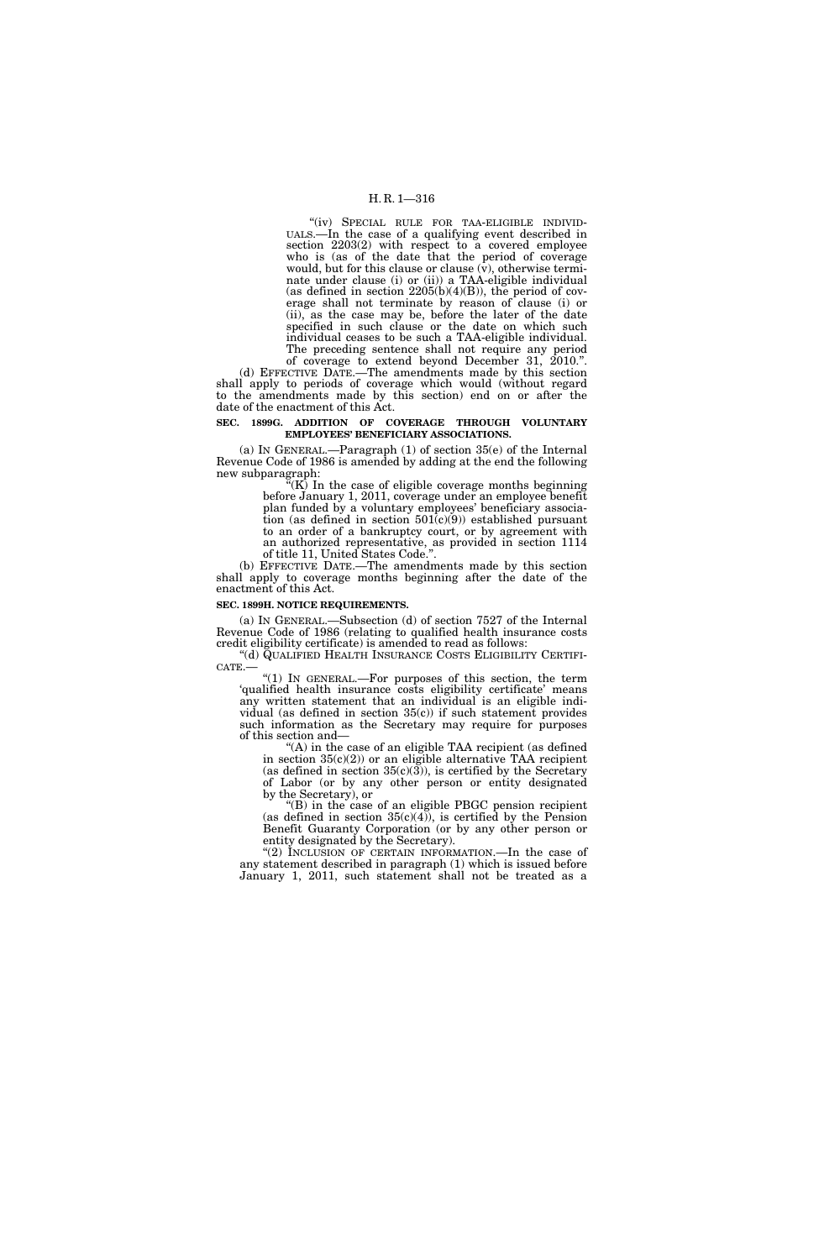# H. R. 1—316

''(iv) SPECIAL RULE FOR TAA-ELIGIBLE INDIVID- UALS.—In the case of a qualifying event described in section 2203(2) with respect to a covered employee who is (as of the date that the period of coverage would, but for this clause or clause  $(v)$ , otherwise terminate under clause (i) or (ii)) a TAA-eligible individual (as defined in section  $2205(b)(4)(B)$ ), the period of coverage shall not terminate by reason of clause (i) or (ii), as the case may be, before the later of the date specified in such clause or the date on which such individual ceases to be such a TAA-eligible individual. The preceding sentence shall not require any period

of coverage to extend beyond December 31, 2010.''. (d) EFFECTIVE DATE.—The amendments made by this section shall apply to periods of coverage which would (without regard to the amendments made by this section) end on or after the date of the enactment of this Act.

#### **SEC. 1899G. ADDITION OF COVERAGE THROUGH VOLUNTARY EMPLOYEES' BENEFICIARY ASSOCIATIONS.**

(a) IN GENERAL.—Paragraph (1) of section 35(e) of the Internal Revenue Code of 1986 is amended by adding at the end the following new subparagraph:

 $(K)$  In the case of eligible coverage months beginning before January 1, 2011, coverage under an employee benefit plan funded by a voluntary employees' beneficiary association (as defined in section  $501(c)(9)$ ) established pursuant to an order of a bankruptcy court, or by agreement with an authorized representative, as provided in section 1114 of title 11, United States Code.''.

(b) EFFECTIVE DATE.—The amendments made by this section shall apply to coverage months beginning after the date of the enactment of this Act.

#### **SEC. 1899H. NOTICE REQUIREMENTS.**

(a) IN GENERAL.—Subsection (d) of section 7527 of the Internal Revenue Code of 1986 (relating to qualified health insurance costs credit eligibility certificate) is amended to read as follows:

 $CATE.$  (1) In GENERAL.—For purposes of this section, the term

'qualified health insurance costs eligibility certificate' means any written statement that an individual is an eligible individual (as defined in section  $35(c)$ ) if such statement provides such information as the Secretary may require for purposes of this section and—

 $(A)$  in the case of an eligible TAA recipient (as defined in section  $35(c)(2)$  or an eligible alternative TAA recipient (as defined in section  $35(c)(3)$ ), is certified by the Secretary of Labor (or by any other person or entity designated by the Secretary), or

 $f(B)$  in the case of an eligible PBGC pension recipient (as defined in section  $35(c)(4)$ ), is certified by the Pension Benefit Guaranty Corporation (or by any other person or entity designated by the Secretary).

''(2) INCLUSION OF CERTAIN INFORMATION.—In the case of any statement described in paragraph (1) which is issued before January 1, 2011, such statement shall not be treated as a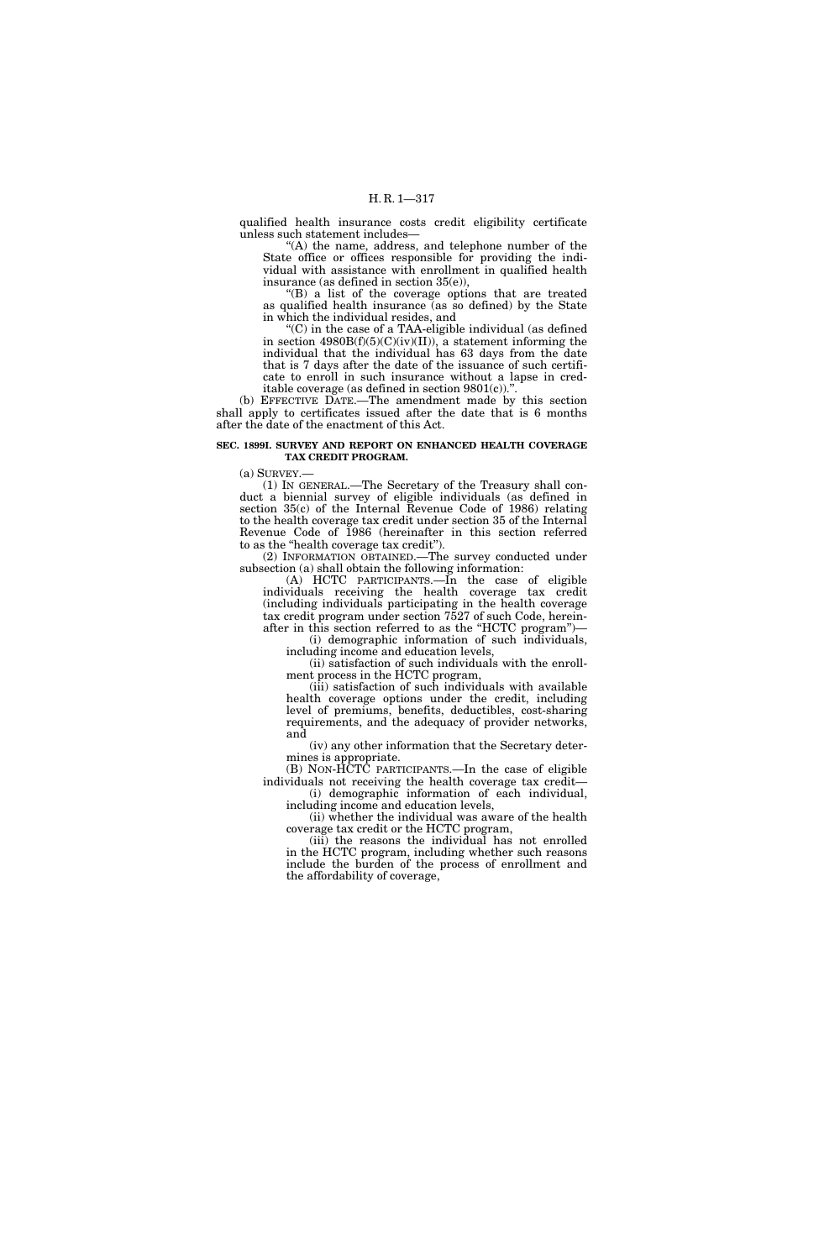qualified health insurance costs credit eligibility certificate unless such statement includes—

''(A) the name, address, and telephone number of the State office or offices responsible for providing the individual with assistance with enrollment in qualified health insurance (as defined in section 35(e)),

''(B) a list of the coverage options that are treated as qualified health insurance (as so defined) by the State in which the individual resides, and

''(C) in the case of a TAA-eligible individual (as defined in section  $4980B(f)(5)(C)(iv)(II)$ , a statement informing the individual that the individual has 63 days from the date that is 7 days after the date of the issuance of such certificate to enroll in such insurance without a lapse in creditable coverage (as defined in section  $9801(c)$ ).".

(b) EFFECTIVE DATE.—The amendment made by this section shall apply to certificates issued after the date that is 6 months after the date of the enactment of this Act.

#### **SEC. 1899I. SURVEY AND REPORT ON ENHANCED HEALTH COVERAGE TAX CREDIT PROGRAM.**

 $(a)$  SURVEY.

(1) IN GENERAL.—The Secretary of the Treasury shall conduct a biennial survey of eligible individuals (as defined in section 35(c) of the Internal Revenue Code of 1986) relating to the health coverage tax credit under section 35 of the Internal Revenue Code of 1986 (hereinafter in this section referred to as the "health coverage tax credit").

(2) INFORMATION OBTAINED.—The survey conducted under subsection (a) shall obtain the following information:

(A) HCTC PARTICIPANTS.—In the case of eligible individuals receiving the health coverage tax credit (including individuals participating in the health coverage tax credit program under section 7527 of such Code, hereinafter in this section referred to as the "HCTC program")-

(i) demographic information of such individuals, including income and education levels,

(ii) satisfaction of such individuals with the enrollment process in the HCTC program,

(iii) satisfaction of such individuals with available health coverage options under the credit, including level of premiums, benefits, deductibles, cost-sharing requirements, and the adequacy of provider networks, and

(iv) any other information that the Secretary determines is appropriate.

(B) NON-HCTC PARTICIPANTS.—In the case of eligible individuals not receiving the health coverage tax credit— (i) demographic information of each individual,

including income and education levels, (ii) whether the individual was aware of the health

coverage tax credit or the HCTC program, (iii) the reasons the individual has not enrolled in the HCTC program, including whether such reasons include the burden of the process of enrollment and the affordability of coverage,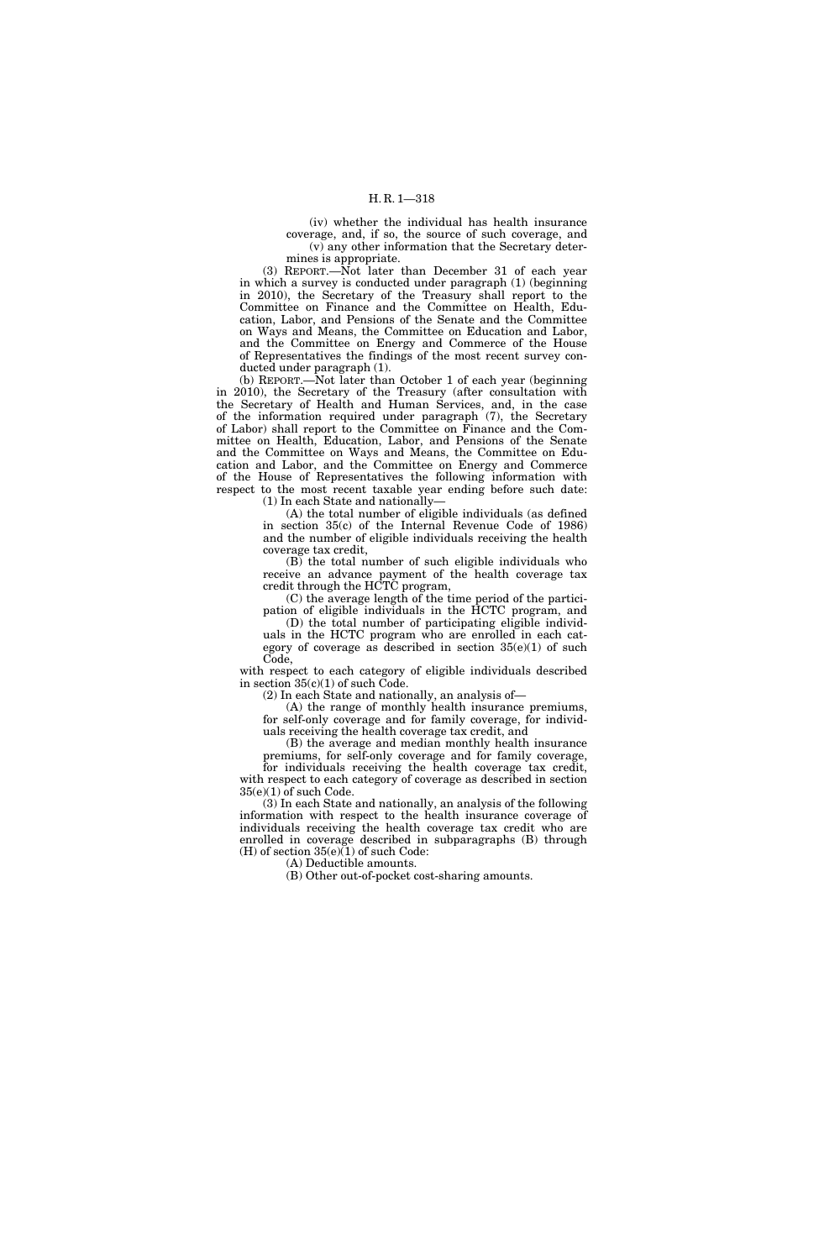(iv) whether the individual has health insurance coverage, and, if so, the source of such coverage, and (v) any other information that the Secretary determines is appropriate.

(3) REPORT.—Not later than December 31 of each year in which a survey is conducted under paragraph (1) (beginning in 2010), the Secretary of the Treasury shall report to the Committee on Finance and the Committee on Health, Education, Labor, and Pensions of the Senate and the Committee on Ways and Means, the Committee on Education and Labor, and the Committee on Energy and Commerce of the House of Representatives the findings of the most recent survey conducted under paragraph (1).

(b) REPORT.—Not later than October 1 of each year (beginning in 2010), the Secretary of the Treasury (after consultation with the Secretary of Health and Human Services, and, in the case of the information required under paragraph (7), the Secretary of Labor) shall report to the Committee on Finance and the Committee on Health, Education, Labor, and Pensions of the Senate and the Committee on Ways and Means, the Committee on Education and Labor, and the Committee on Energy and Commerce of the House of Representatives the following information with respect to the most recent taxable year ending before such date: (1) In each State and nationally—

(A) the total number of eligible individuals (as defined in section 35(c) of the Internal Revenue Code of 1986) and the number of eligible individuals receiving the health coverage tax credit,

(B) the total number of such eligible individuals who receive an advance payment of the health coverage tax credit through the HCTC program,

(C) the average length of the time period of the participation of eligible individuals in the HCTC program, and

(D) the total number of participating eligible individuals in the HCTC program who are enrolled in each category of coverage as described in section  $35(e)(1)$  of such Code,

with respect to each category of eligible individuals described in section 35(c)(1) of such Code.

(2) In each State and nationally, an analysis of—

(A) the range of monthly health insurance premiums, for self-only coverage and for family coverage, for individuals receiving the health coverage tax credit, and

(B) the average and median monthly health insurance

premiums, for self-only coverage and for family coverage, for individuals receiving the health coverage tax credit, with respect to each category of coverage as described in section 35(e)(1) of such Code.

(3) In each State and nationally, an analysis of the following information with respect to the health insurance coverage of individuals receiving the health coverage tax credit who are enrolled in coverage described in subparagraphs (B) through (H) of section  $35(e)(1)$  of such Code:

(A) Deductible amounts.

(B) Other out-of-pocket cost-sharing amounts.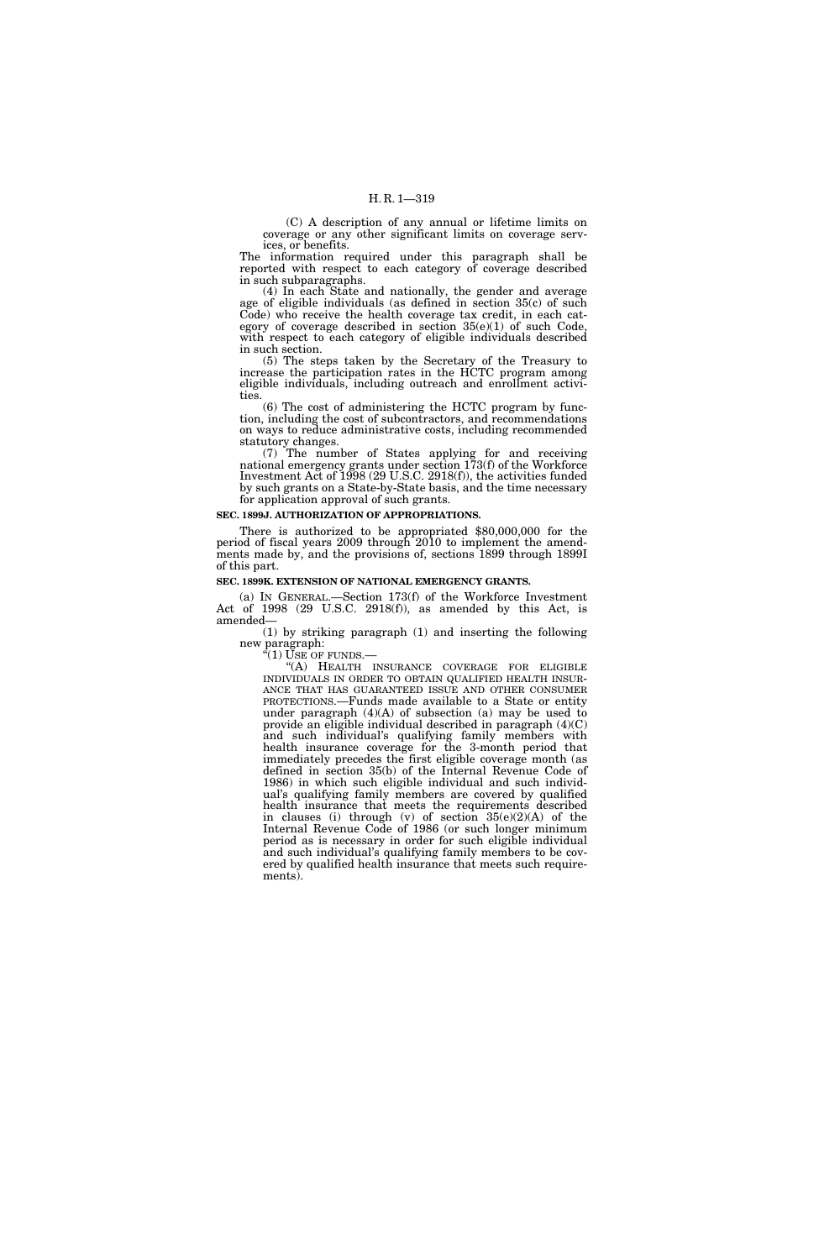(C) A description of any annual or lifetime limits on coverage or any other significant limits on coverage services, or benefits.

The information required under this paragraph shall be reported with respect to each category of coverage described in such subparagraphs.

(4) In each State and nationally, the gender and average age of eligible individuals (as defined in section 35(c) of such Code) who receive the health coverage tax credit, in each category of coverage described in section  $35(e)(1)$  of such Code. with respect to each category of eligible individuals described in such section.

(5) The steps taken by the Secretary of the Treasury to increase the participation rates in the HCTC program among eligible individuals, including outreach and enrollment activities.

(6) The cost of administering the HCTC program by function, including the cost of subcontractors, and recommendations on ways to reduce administrative costs, including recommended statutory changes.

(7) The number of States applying for and receiving national emergency grants under section 173(f) of the Workforce Investment Act of 1998 (29 U.S.C. 2918(f)), the activities funded by such grants on a State-by-State basis, and the time necessary for application approval of such grants.

#### **SEC. 1899J. AUTHORIZATION OF APPROPRIATIONS.**

There is authorized to be appropriated \$80,000,000 for the period of fiscal years 2009 through 2010 to implement the amendments made by, and the provisions of, sections 1899 through 1899I of this part.

#### **SEC. 1899K. EXTENSION OF NATIONAL EMERGENCY GRANTS.**

(a) IN GENERAL.—Section 173(f) of the Workforce Investment Act of 1998 (29 U.S.C. 2918(f)), as amended by this Act, is amended—

(1) by striking paragraph (1) and inserting the following new paragraph:  $(1)$  USE OF FUNDS.

"(A) HEALTH INSURANCE COVERAGE FOR ELIGIBLE INDIVIDUALS IN ORDER TO OBTAIN QUALIFIED HEALTH INSUR- ANCE THAT HAS GUARANTEED ISSUE AND OTHER CONSUMER PROTECTIONS.—Funds made available to a State or entity under paragraph  $(4)(A)$  of subsection  $(a)$  may be used to provide an eligible individual described in paragraph (4)(C) and such individual's qualifying family members with health insurance coverage for the 3-month period that immediately precedes the first eligible coverage month (as defined in section 35(b) of the Internal Revenue Code of 1986) in which such eligible individual and such individual's qualifying family members are covered by qualified health insurance that meets the requirements described in clauses (i) through (v) of section 35(e)(2)(A) of the Internal Revenue Code of 1986 (or such longer minimum period as is necessary in order for such eligible individual and such individual's qualifying family members to be covered by qualified health insurance that meets such requirements).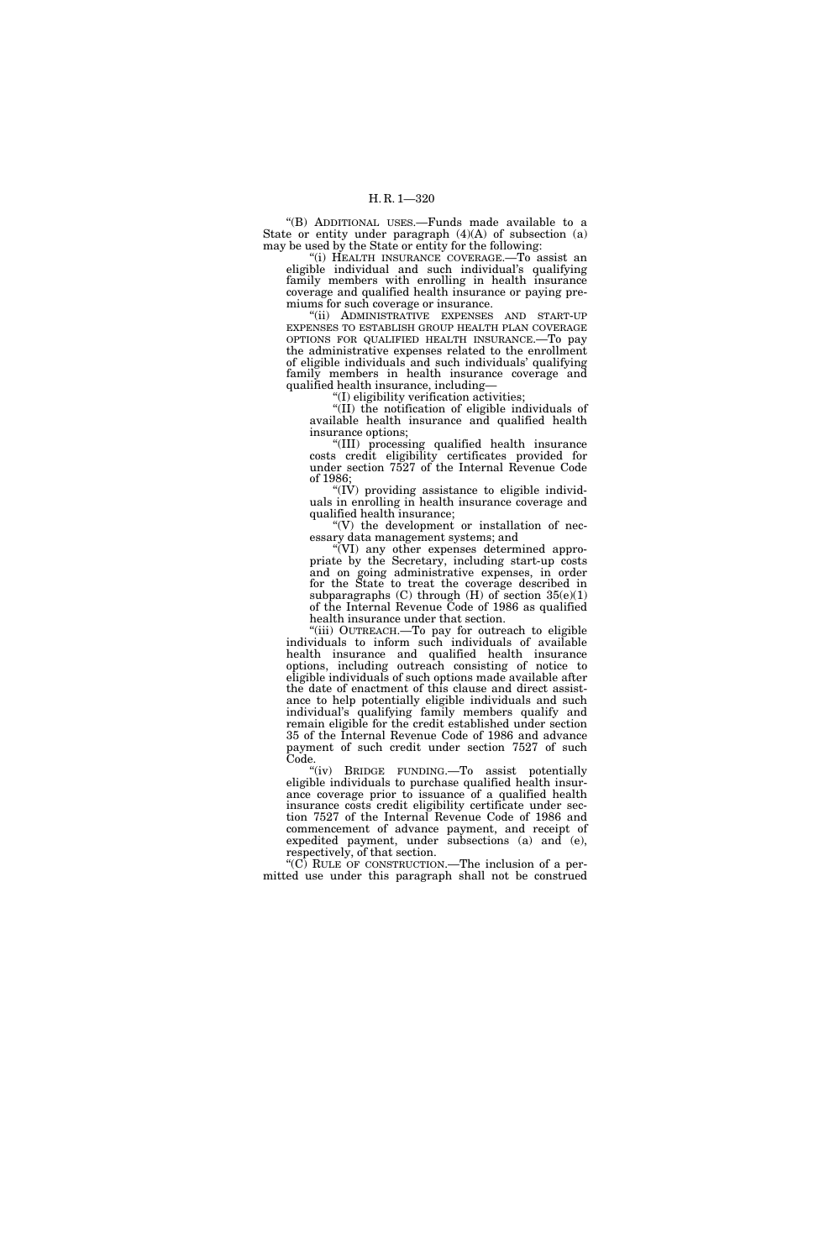''(B) ADDITIONAL USES.—Funds made available to a State or entity under paragraph  $(4)(A)$  of subsection  $(a)$ may be used by the State or entity for the following:

''(i) HEALTH INSURANCE COVERAGE.—To assist an eligible individual and such individual's qualifying family members with enrolling in health insurance coverage and qualified health insurance or paying premiums for such coverage or insurance.

'(ii) ADMINISTRATIVE EXPENSES AND START-UP EXPENSES TO ESTABLISH GROUP HEALTH PLAN COVERAGE OPTIONS FOR QUALIFIED HEALTH INSURANCE.—To pay the administrative expenses related to the enrollment of eligible individuals and such individuals' qualifying family members in health insurance coverage and qualified health insurance, including—

''(I) eligibility verification activities;

''(II) the notification of eligible individuals of available health insurance and qualified health insurance options;

''(III) processing qualified health insurance costs credit eligibility certificates provided for under section 7527 of the Internal Revenue Code of 1986;

" $(IV)$  providing assistance to eligible individuals in enrolling in health insurance coverage and qualified health insurance;

 $\sqrt{\rm V}$  the development or installation of necessary data management systems; and

''(VI) any other expenses determined appropriate by the Secretary, including start-up costs and on going administrative expenses, in order for the State to treat the coverage described in subparagraphs  $(C)$  through  $(H)$  of section  $35(e)(1)$ of the Internal Revenue Code of 1986 as qualified health insurance under that section.

''(iii) OUTREACH.—To pay for outreach to eligible individuals to inform such individuals of available health insurance and qualified health insurance options, including outreach consisting of notice to eligible individuals of such options made available after the date of enactment of this clause and direct assistance to help potentially eligible individuals and such individual's qualifying family members qualify and remain eligible for the credit established under section 35 of the Internal Revenue Code of 1986 and advance payment of such credit under section 7527 of such Code.

''(iv) BRIDGE FUNDING.—To assist potentially eligible individuals to purchase qualified health insurance coverage prior to issuance of a qualified health insurance costs credit eligibility certificate under section 7527 of the Internal Revenue Code of 1986 and commencement of advance payment, and receipt of expedited payment, under subsections (a) and (e), respectively, of that section.

" $(C)$  RULE OF CONSTRUCTION.—The inclusion of a permitted use under this paragraph shall not be construed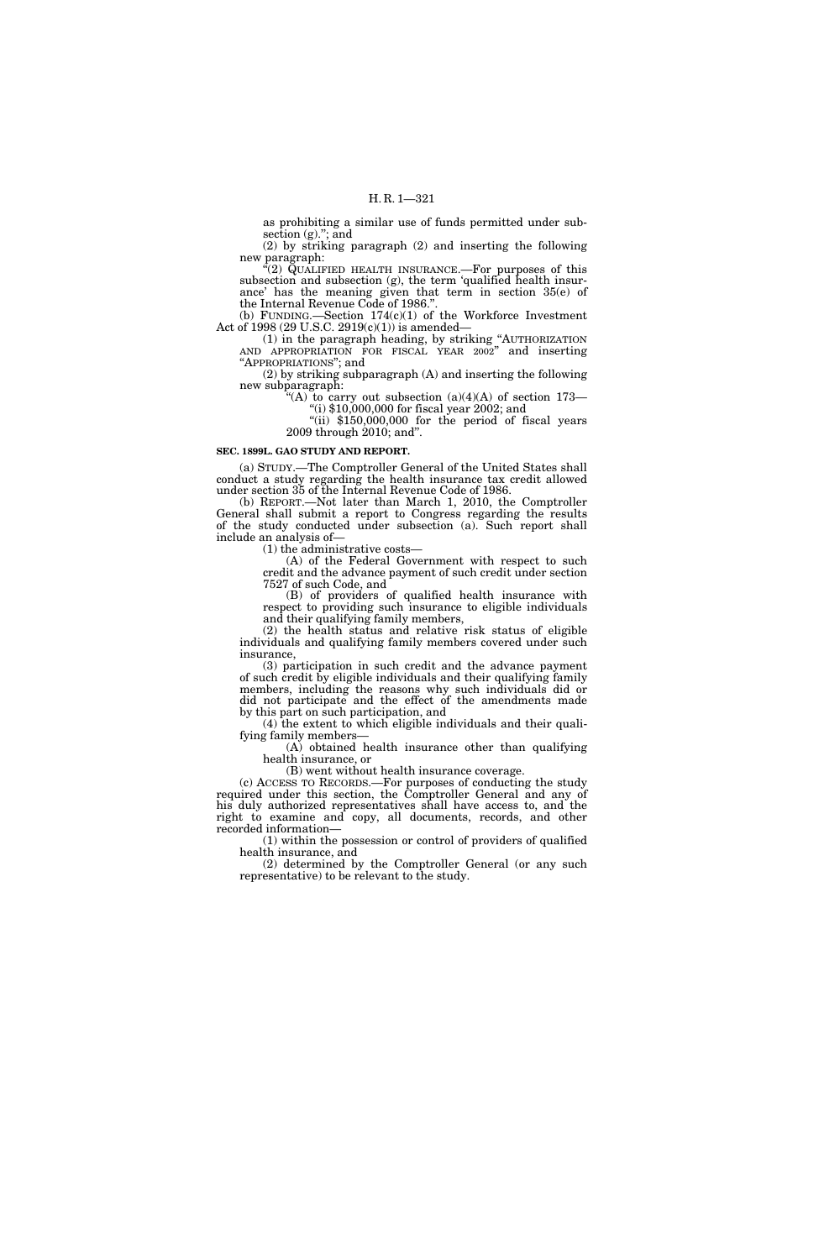as prohibiting a similar use of funds permitted under subsection  $(g)$ ,"; and

(2) by striking paragraph (2) and inserting the following new paragraph:

 $\sqrt{2}$ ) QUALIFIED HEALTH INSURANCE.—For purposes of this subsection and subsection (g), the term 'qualified health insurance' has the meaning given that term in section 35(e) of the Internal Revenue Code of 1986."

(b) FUNDING.—Section  $174(c)(1)$  of the Workforce Investment Act of 1998 (29 U.S.C. 2919 $(c)(1)$ ) is amended-

(1) in the paragraph heading, by striking ''AUTHORIZATION AND APPROPRIATION FOR FISCAL YEAR 2002'' and inserting ''APPROPRIATIONS''; and

(2) by striking subparagraph (A) and inserting the following new subparagraph:

"(A) to carry out subsection  $(a)(4)(A)$  of section 173— ''(i) \$10,000,000 for fiscal year 2002; and

"(ii)  $$150,000,000$  for the period of fiscal years 2009 through 2010; and''.

#### **SEC. 1899L. GAO STUDY AND REPORT.**

(a) STUDY.—The Comptroller General of the United States shall conduct a study regarding the health insurance tax credit allowed under section 35 of the Internal Revenue Code of 1986.

(b) REPORT.—Not later than March 1, 2010, the Comptroller General shall submit a report to Congress regarding the results of the study conducted under subsection (a). Such report shall include an analysis of—

(1) the administrative costs—

(A) of the Federal Government with respect to such credit and the advance payment of such credit under section 7527 of such Code, and

(B) of providers of qualified health insurance with respect to providing such insurance to eligible individuals and their qualifying family members,

(2) the health status and relative risk status of eligible individuals and qualifying family members covered under such insurance,

(3) participation in such credit and the advance payment of such credit by eligible individuals and their qualifying family members, including the reasons why such individuals did or did not participate and the effect of the amendments made by this part on such participation, and

(4) the extent to which eligible individuals and their qualifying family members—

(A) obtained health insurance other than qualifying health insurance, or

(B) went without health insurance coverage.

(c) ACCESS TO RECORDS.—For purposes of conducting the study required under this section, the Comptroller General and any of his duly authorized representatives shall have access to, and the right to examine and copy, all documents, records, and other recorded information—

(1) within the possession or control of providers of qualified health insurance, and

(2) determined by the Comptroller General (or any such representative) to be relevant to the study.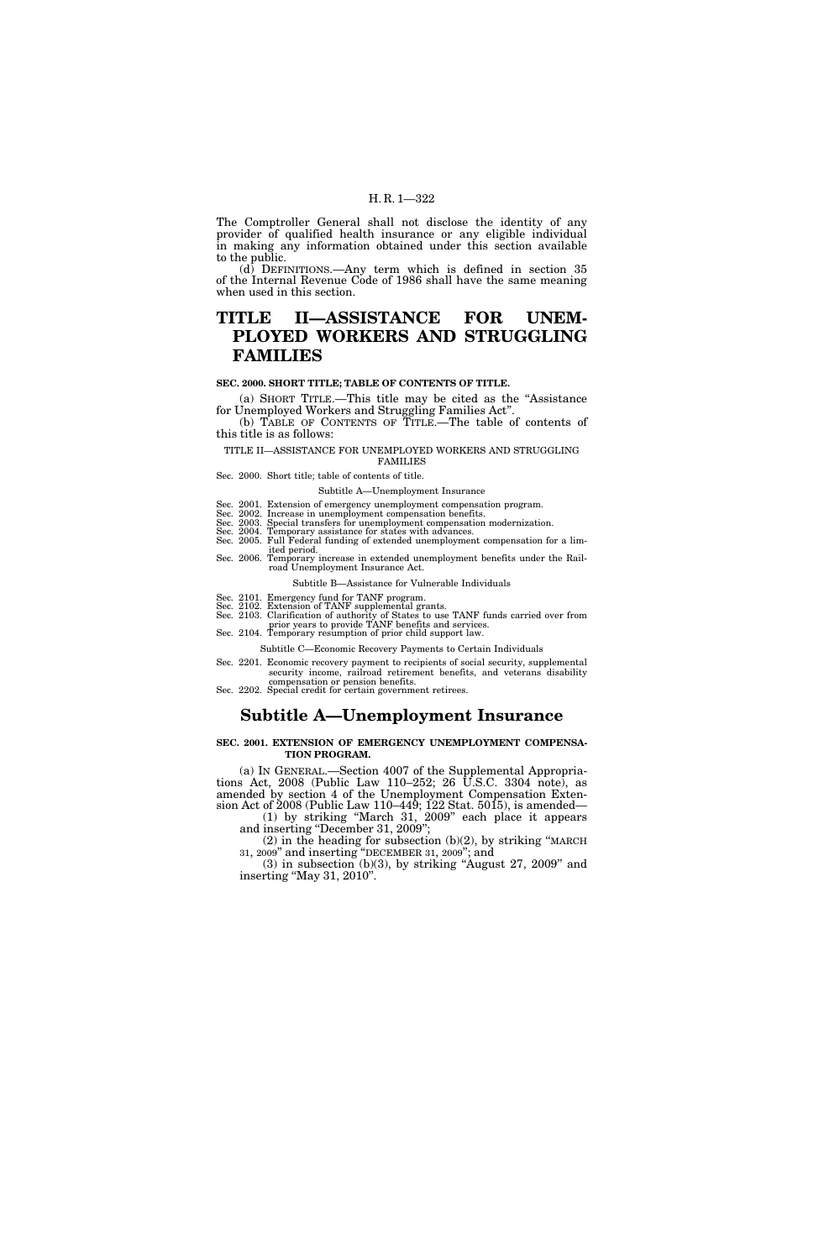#### H. R. 1—322

The Comptroller General shall not disclose the identity of any provider of qualified health insurance or any eligible individual in making any information obtained under this section available to the public.

 $(d)$  DEFINITIONS.—Any term which is defined in section 35 of the Internal Revenue Code of 1986 shall have the same meaning when used in this section.

# **TITLE II—ASSISTANCE FOR UNEM-PLOYED WORKERS AND STRUGGLING FAMILIES**

# **SEC. 2000. SHORT TITLE; TABLE OF CONTENTS OF TITLE.**

(a) SHORT TITLE.—This title may be cited as the ''Assistance for Unemployed Workers and Struggling Families Act''.

(b) TABLE OF CONTENTS OF TITLE.—The table of contents of this title is as follows:

TITLE II—ASSISTANCE FOR UNEMPLOYED WORKERS AND STRUGGLING FAMILIES

Sec. 2000. Short title; table of contents of title.

Subtitle A—Unemployment Insurance

Sec. 2001. Extension of emergency unemployment compensation program.

Sec. 2002. Increase in unemployment compensation benefits.<br>Sec. 2003. Special transfers for unemployment compensation modernization.<br>Sec. 2004. Temporary assistance for states with advances.<br>Sec. 2005. Full Federal funding

ited period. Sec. 2006. Temporary increase in extended unemployment benefits under the Railroad Unemployment Insurance Act.

Subtitle B—Assistance for Vulnerable Individuals

Sec. 2101. Emergency fund for TANF program. Sec. 2102. Extension of TANF supplemental grants. Sec. 2103. Clarification of authority of States to use TANF funds carried over from prior years to provide TANF benefits and services. Sec. 2104. Temporary resumption of prior child support law.

Subtitle C—Economic Recovery Payments to Certain Individuals

Sec. 2201. Economic recovery payment to recipients of social security, supplemental security income, railroad retirement benefits, and veterans disability

compensation or pension benefits. Sec. 2202. Special credit for certain government retirees.

# **Subtitle A—Unemployment Insurance**

#### **SEC. 2001. EXTENSION OF EMERGENCY UNEMPLOYMENT COMPENSA-TION PROGRAM.**

(a) IN GENERAL.—Section 4007 of the Supplemental Appropriations Act, 2008 (Public Law 110–252; 26 U.S.C. 3304 note), as amended by section 4 of the Unemployment Compensation Extension Act of 2008 (Public Law 110–449; 122 Stat. 5015), is amended—

(1) by striking ''March 31, 2009'' each place it appears and inserting "December 31, 2009";

(2) in the heading for subsection (b)(2), by striking ''MARCH 31, 2009'' and inserting ''DECEMBER 31, 2009''; and

 $(3)$  in subsection  $(b)(3)$ , by striking "August 27, 2009" and inserting "May 31, 2010".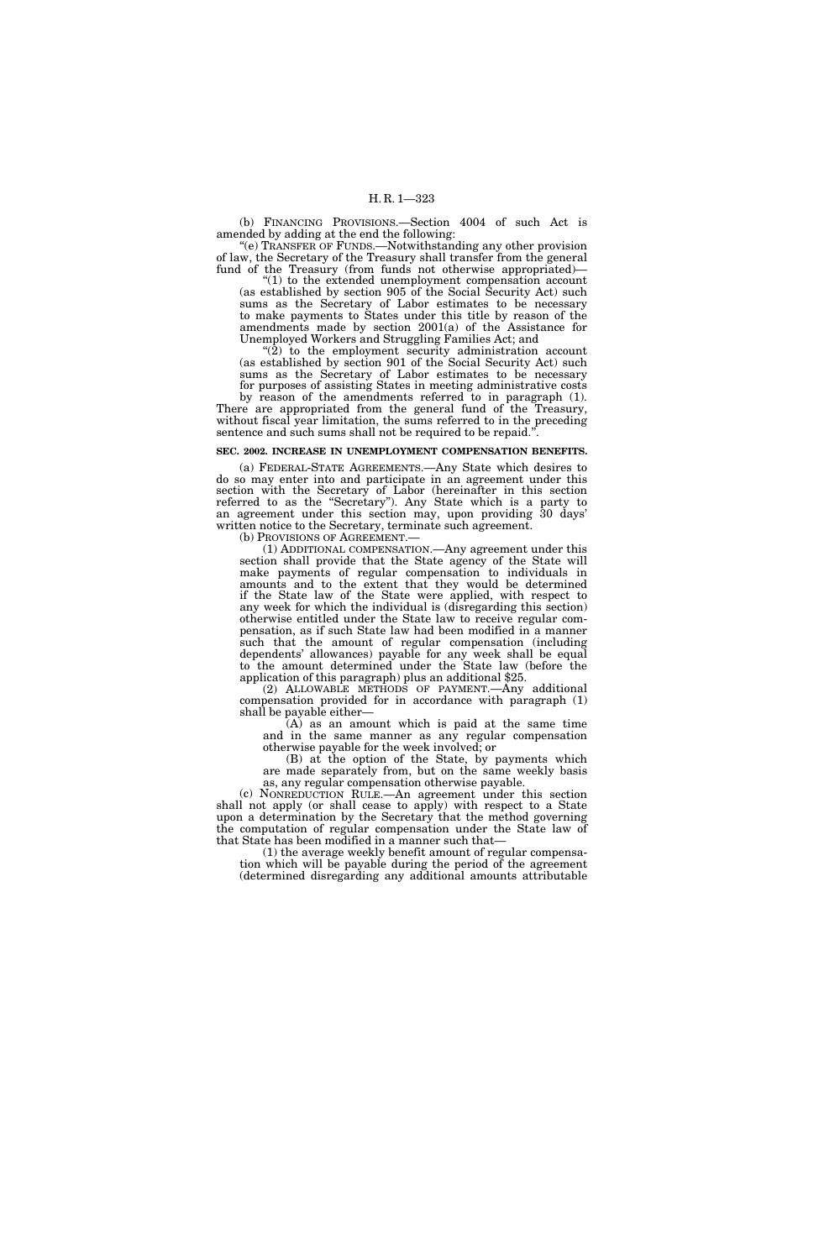(b) FINANCING PROVISIONS.—Section 4004 of such Act is amended by adding at the end the following:

''(e) TRANSFER OF FUNDS.—Notwithstanding any other provision of law, the Secretary of the Treasury shall transfer from the general fund of the Treasury (from funds not otherwise appropriated)—

 $''(1)$  to the extended unemployment compensation account (as established by section 905 of the Social Security Act) such sums as the Secretary of Labor estimates to be necessary to make payments to States under this title by reason of the amendments made by section 2001(a) of the Assistance for Unemployed Workers and Struggling Families Act; and

"(2) to the employment security administration account (as established by section 901 of the Social Security Act) such sums as the Secretary of Labor estimates to be necessary for purposes of assisting States in meeting administrative costs by reason of the amendments referred to in paragraph (1).

There are appropriated from the general fund of the Treasury, without fiscal year limitation, the sums referred to in the preceding sentence and such sums shall not be required to be repaid.

#### **SEC. 2002. INCREASE IN UNEMPLOYMENT COMPENSATION BENEFITS.**

(a) FEDERAL-STATE AGREEMENTS.—Any State which desires to do so may enter into and participate in an agreement under this section with the Secretary of Labor (hereinafter in this section referred to as the ''Secretary''). Any State which is a party to an agreement under this section may, upon providing 30 days' written notice to the Secretary, terminate such agreement.

(b) PROVISIONS OF AGREEMENT.— (1) ADDITIONAL COMPENSATION.—Any agreement under this section shall provide that the State agency of the State will make payments of regular compensation to individuals in amounts and to the extent that they would be determined if the State law of the State were applied, with respect to any week for which the individual is (disregarding this section) otherwise entitled under the State law to receive regular compensation, as if such State law had been modified in a manner such that the amount of regular compensation (including dependents' allowances) payable for any week shall be equal to the amount determined under the State law (before the application of this paragraph) plus an additional \$25.

(2) ALLOWABLE METHODS OF PAYMENT.—Any additional compensation provided for in accordance with paragraph (1) shall be payable either—

 $(A)$  as an amount which is paid at the same time and in the same manner as any regular compensation otherwise payable for the week involved; or

(B) at the option of the State, by payments which are made separately from, but on the same weekly basis as, any regular compensation otherwise payable.

(c) NONREDUCTION RULE.—An agreement under this section shall not apply (or shall cease to apply) with respect to a State upon a determination by the Secretary that the method governing the computation of regular compensation under the State law of that State has been modified in a manner such that—

(1) the average weekly benefit amount of regular compensation which will be payable during the period of the agreement (determined disregarding any additional amounts attributable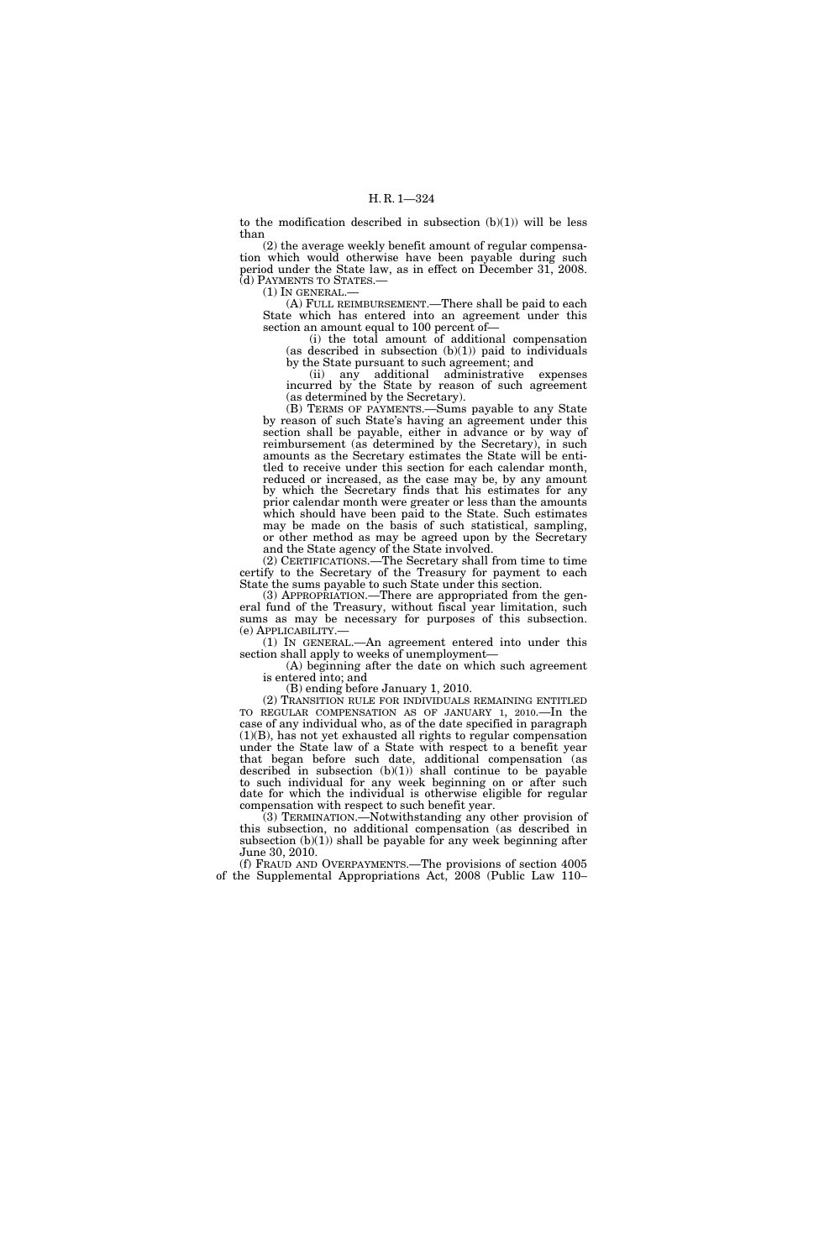to the modification described in subsection  $(b)(1)$  will be less than

(2) the average weekly benefit amount of regular compensation which would otherwise have been payable during such period under the State law, as in effect on December 31, 2008. (d) PAYMENTS TO STATES.—

 $(1)$  In GENERAL.-

(A) FULL REIMBURSEMENT.—There shall be paid to each State which has entered into an agreement under this section an amount equal to 100 percent of—

(i) the total amount of additional compensation (as described in subsection  $(b)(1)$ ) paid to individuals by the State pursuant to such agreement; and

(ii) any additional administrative expenses incurred by the State by reason of such agreement (as determined by the Secretary).

(B) TERMS OF PAYMENTS.—Sums payable to any State by reason of such State's having an agreement under this section shall be payable, either in advance or by way of reimbursement (as determined by the Secretary), in such amounts as the Secretary estimates the State will be entitled to receive under this section for each calendar month, reduced or increased, as the case may be, by any amount by which the Secretary finds that his estimates for any prior calendar month were greater or less than the amounts which should have been paid to the State. Such estimates may be made on the basis of such statistical, sampling, or other method as may be agreed upon by the Secretary and the State agency of the State involved.

(2) CERTIFICATIONS.—The Secretary shall from time to time certify to the Secretary of the Treasury for payment to each State the sums payable to such State under this section.

(3) APPROPRIATION.—There are appropriated from the general fund of the Treasury, without fiscal year limitation, such sums as may be necessary for purposes of this subsection.<br>(e)  $APPLICABILITY$ —

 $(1)$  In GENERAL.—An agreement entered into under this section shall apply to weeks of unemployment—

(A) beginning after the date on which such agreement is entered into; and

(B) ending before January 1, 2010.

(2) TRANSITION RULE FOR INDIVIDUALS REMAINING ENTITLED TO REGULAR COMPENSATION AS OF JANUARY 1, 2010.—In the case of any individual who, as of the date specified in paragraph (1)(B), has not yet exhausted all rights to regular compensation under the State law of a State with respect to a benefit year that began before such date, additional compensation (as described in subsection (b)(1)) shall continue to be payable to such individual for any week beginning on or after such date for which the individual is otherwise eligible for regular compensation with respect to such benefit year.

(3) TERMINATION.—Notwithstanding any other provision of this subsection, no additional compensation (as described in subsection  $(b)(1)$  shall be payable for any week beginning after June 30, 2010.

(f) FRAUD AND OVERPAYMENTS.—The provisions of section 4005 of the Supplemental Appropriations Act, 2008 (Public Law 110–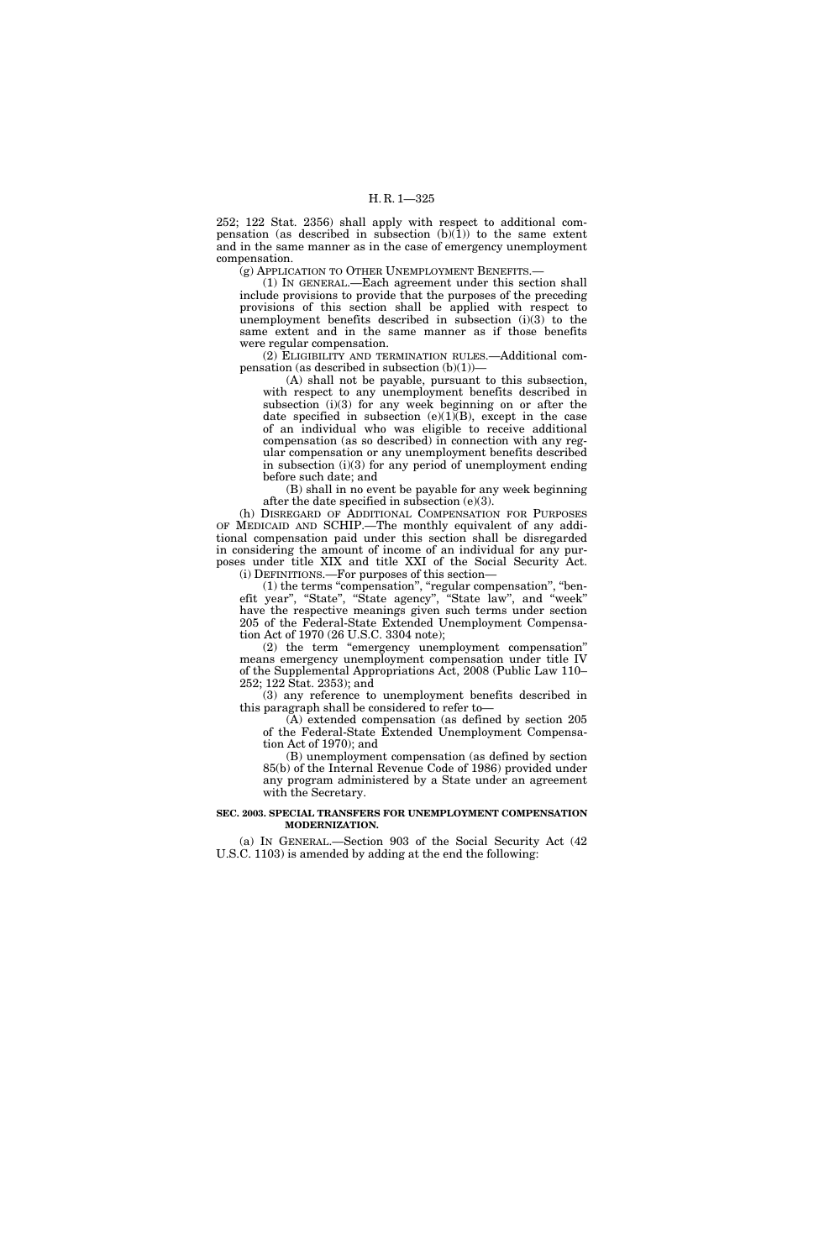252; 122 Stat. 2356) shall apply with respect to additional compensation (as described in subsection  $(b)(1)$ ) to the same extent and in the same manner as in the case of emergency unemployment compensation.

(g) APPLICATION TO OTHER UNEMPLOYMENT BENEFITS.—

(1) IN GENERAL.—Each agreement under this section shall include provisions to provide that the purposes of the preceding provisions of this section shall be applied with respect to unemployment benefits described in subsection (i)(3) to the same extent and in the same manner as if those benefits were regular compensation.

(2) ELIGIBILITY AND TERMINATION RULES.—Additional compensation (as described in subsection  $(b)(1)$ )–

(A) shall not be payable, pursuant to this subsection, with respect to any unemployment benefits described in subsection (i)(3) for any week beginning on or after the date specified in subsection  $(e)(1)(B)$ , except in the case of an individual who was eligible to receive additional compensation (as so described) in connection with any regular compensation or any unemployment benefits described in subsection (i)(3) for any period of unemployment ending before such date; and

(B) shall in no event be payable for any week beginning after the date specified in subsection (e)(3).

(h) DISREGARD OF ADDITIONAL COMPENSATION FOR PURPOSES OF MEDICAID AND SCHIP.—The monthly equivalent of any additional compensation paid under this section shall be disregarded in considering the amount of income of an individual for any purposes under title XIX and title XXI of the Social Security Act.

(i) DEFINITIONS.—For purposes of this section—

(1) the terms "compensation", "regular compensation", "benefit year'', ''State'', ''State agency'', ''State law'', and ''week'' have the respective meanings given such terms under section 205 of the Federal-State Extended Unemployment Compensation Act of 1970 (26 U.S.C. 3304 note);

(2) the term ''emergency unemployment compensation'' means emergency unemployment compensation under title IV of the Supplemental Appropriations Act, 2008 (Public Law 110– 252; 122 Stat. 2353); and

(3) any reference to unemployment benefits described in this paragraph shall be considered to refer to—

(A) extended compensation (as defined by section 205 of the Federal-State Extended Unemployment Compensation Act of 1970); and

(B) unemployment compensation (as defined by section 85(b) of the Internal Revenue Code of 1986) provided under any program administered by a State under an agreement with the Secretary.

### **SEC. 2003. SPECIAL TRANSFERS FOR UNEMPLOYMENT COMPENSATION MODERNIZATION.**

(a) IN GENERAL.—Section 903 of the Social Security Act (42 U.S.C. 1103) is amended by adding at the end the following: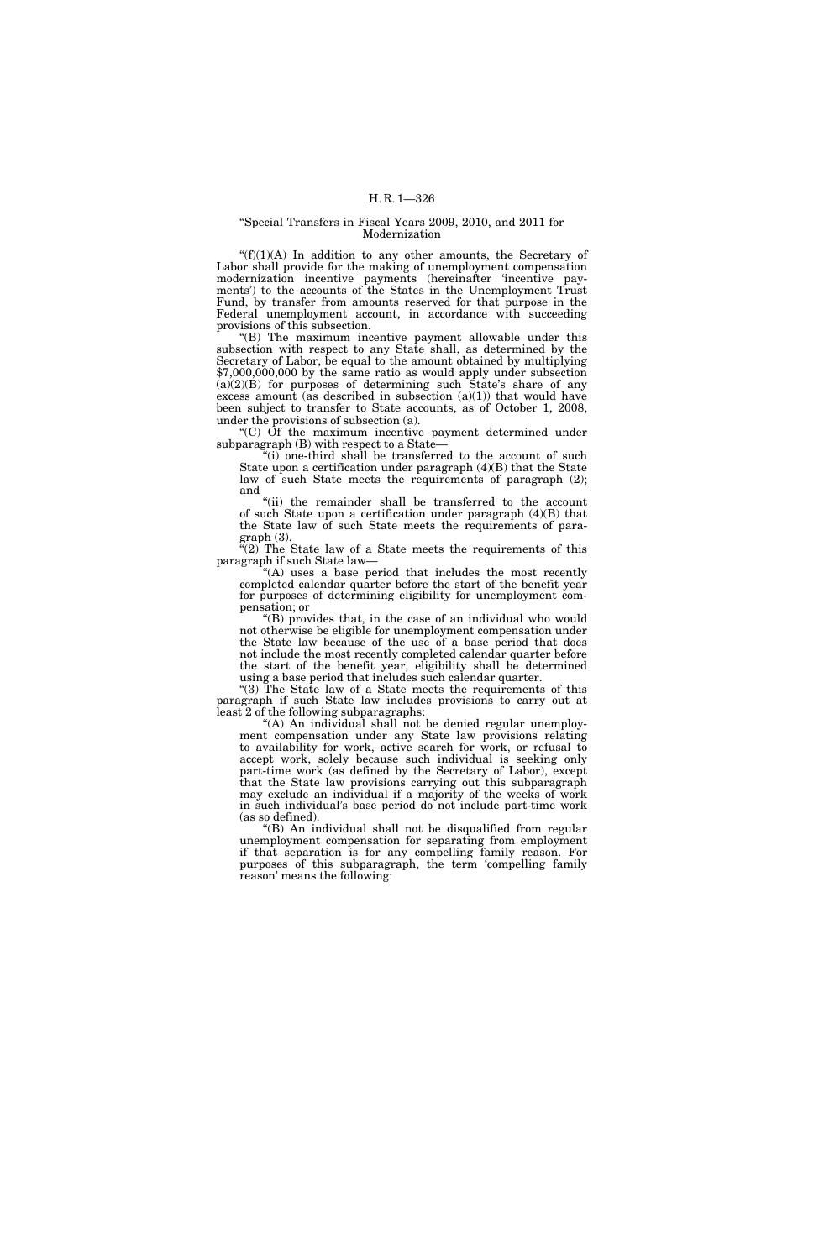#### ''Special Transfers in Fiscal Years 2009, 2010, and 2011 for Modernization

 $f(f)(1)(A)$  In addition to any other amounts, the Secretary of Labor shall provide for the making of unemployment compensation modernization incentive payments (hereinafter 'incentive payments') to the accounts of the States in the Unemployment Trust Fund, by transfer from amounts reserved for that purpose in the Federal unemployment account, in accordance with succeeding provisions of this subsection.

''(B) The maximum incentive payment allowable under this subsection with respect to any State shall, as determined by the Secretary of Labor, be equal to the amount obtained by multiplying \$7,000,000,000 by the same ratio as would apply under subsection  $(a)(2)(B)$  for purposes of determining such State's share of any excess amount (as described in subsection  $(a)(1)$ ) that would have been subject to transfer to State accounts, as of October 1, 2008, under the provisions of subsection (a).

''(C) Of the maximum incentive payment determined under subparagraph (B) with respect to a State—

''(i) one-third shall be transferred to the account of such State upon a certification under paragraph (4)(B) that the State law of such State meets the requirements of paragraph (2); and

"(ii) the remainder shall be transferred to the account of such State upon a certification under paragraph (4)(B) that the State law of such State meets the requirements of paragraph (3).

" $(2)$  The State law of a State meets the requirements of this paragraph if such State law—

''(A) uses a base period that includes the most recently completed calendar quarter before the start of the benefit year for purposes of determining eligibility for unemployment compensation; or

''(B) provides that, in the case of an individual who would not otherwise be eligible for unemployment compensation under the State law because of the use of a base period that does not include the most recently completed calendar quarter before the start of the benefit year, eligibility shall be determined using a base period that includes such calendar quarter.

"(3) The State law of a State meets the requirements of this paragraph if such State law includes provisions to carry out at least 2 of the following subparagraphs:

"(A) An individual shall not be denied regular unemployment compensation under any State law provisions relating to availability for work, active search for work, or refusal to accept work, solely because such individual is seeking only part-time work (as defined by the Secretary of Labor), except that the State law provisions carrying out this subparagraph may exclude an individual if a majority of the weeks of work in such individual's base period do not include part-time work (as so defined).

''(B) An individual shall not be disqualified from regular unemployment compensation for separating from employment if that separation is for any compelling family reason. For purposes of this subparagraph, the term 'compelling family reason' means the following: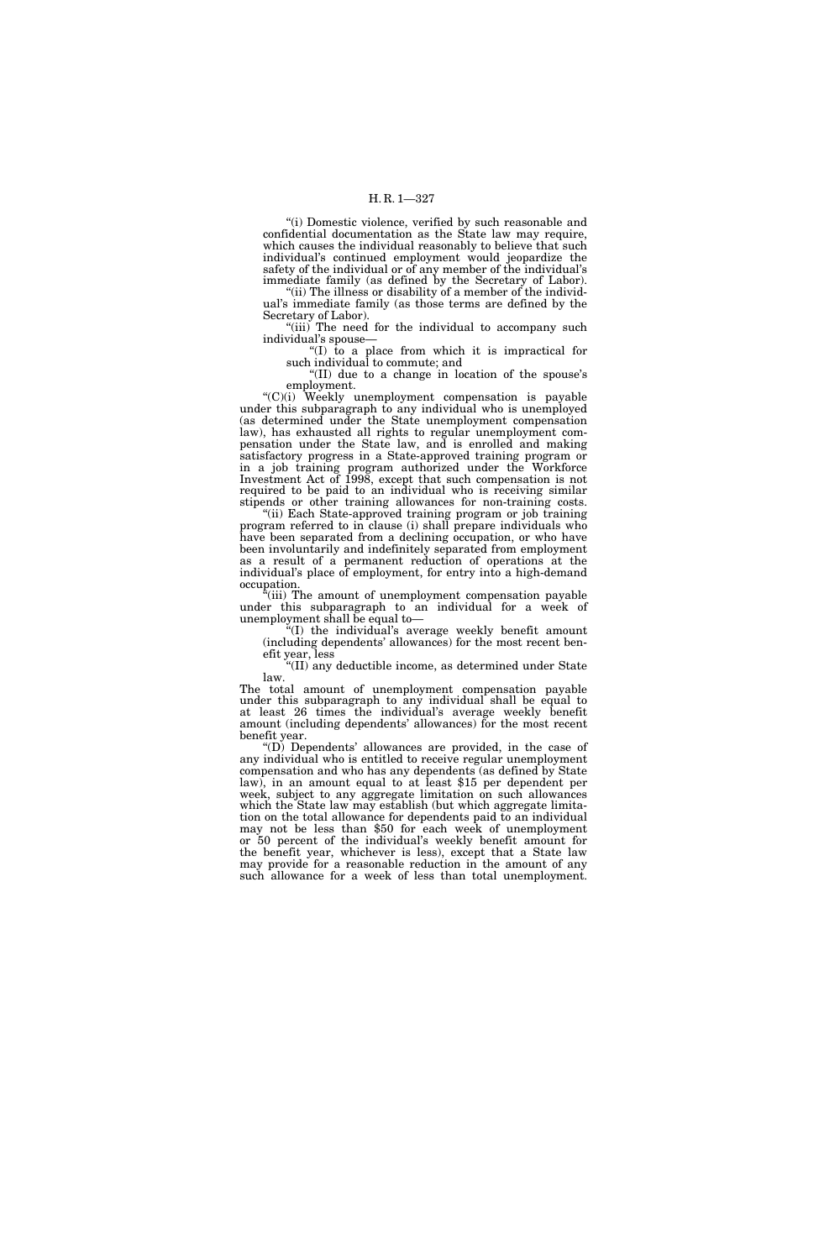''(i) Domestic violence, verified by such reasonable and confidential documentation as the State law may require, which causes the individual reasonably to believe that such individual's continued employment would jeopardize the safety of the individual or of any member of the individual's immediate family (as defined by the Secretary of Labor).

"(ii) The illness or disability of a member of the individual's immediate family (as those terms are defined by the Secretary of Labor).

"(iii) The need for the individual to accompany such individual's spouse—

''(I) to a place from which it is impractical for such individual to commute; and

''(II) due to a change in location of the spouse's employment.

''(C)(i) Weekly unemployment compensation is payable under this subparagraph to any individual who is unemployed (as determined under the State unemployment compensation law), has exhausted all rights to regular unemployment compensation under the State law, and is enrolled and making satisfactory progress in a State-approved training program or in a job training program authorized under the Workforce Investment Act of 1998, except that such compensation is not required to be paid to an individual who is receiving similar stipends or other training allowances for non-training costs.

"(ii) Each State-approved training program or job training program referred to in clause (i) shall prepare individuals who have been separated from a declining occupation, or who have been involuntarily and indefinitely separated from employment as a result of a permanent reduction of operations at the individual's place of employment, for entry into a high-demand occupation.

''(iii) The amount of unemployment compensation payable under this subparagraph to an individual for a week of unemployment shall be equal to—

 $f(T)$  the individual's average weekly benefit amount (including dependents' allowances) for the most recent ben-

efit year, less  $\text{``(II)}$  any deductible income, as determined under State law.

The total amount of unemployment compensation payable under this subparagraph to any individual shall be equal to at least 26 times the individual's average weekly benefit amount (including dependents' allowances) for the most recent benefit year.

''(D) Dependents' allowances are provided, in the case of any individual who is entitled to receive regular unemployment compensation and who has any dependents (as defined by State law), in an amount equal to at least \$15 per dependent per week, subject to any aggregate limitation on such allowances which the State law may establish (but which aggregate limitation on the total allowance for dependents paid to an individual may not be less than \$50 for each week of unemployment or 50 percent of the individual's weekly benefit amount for the benefit year, whichever is less), except that a State law may provide for a reasonable reduction in the amount of any such allowance for a week of less than total unemployment.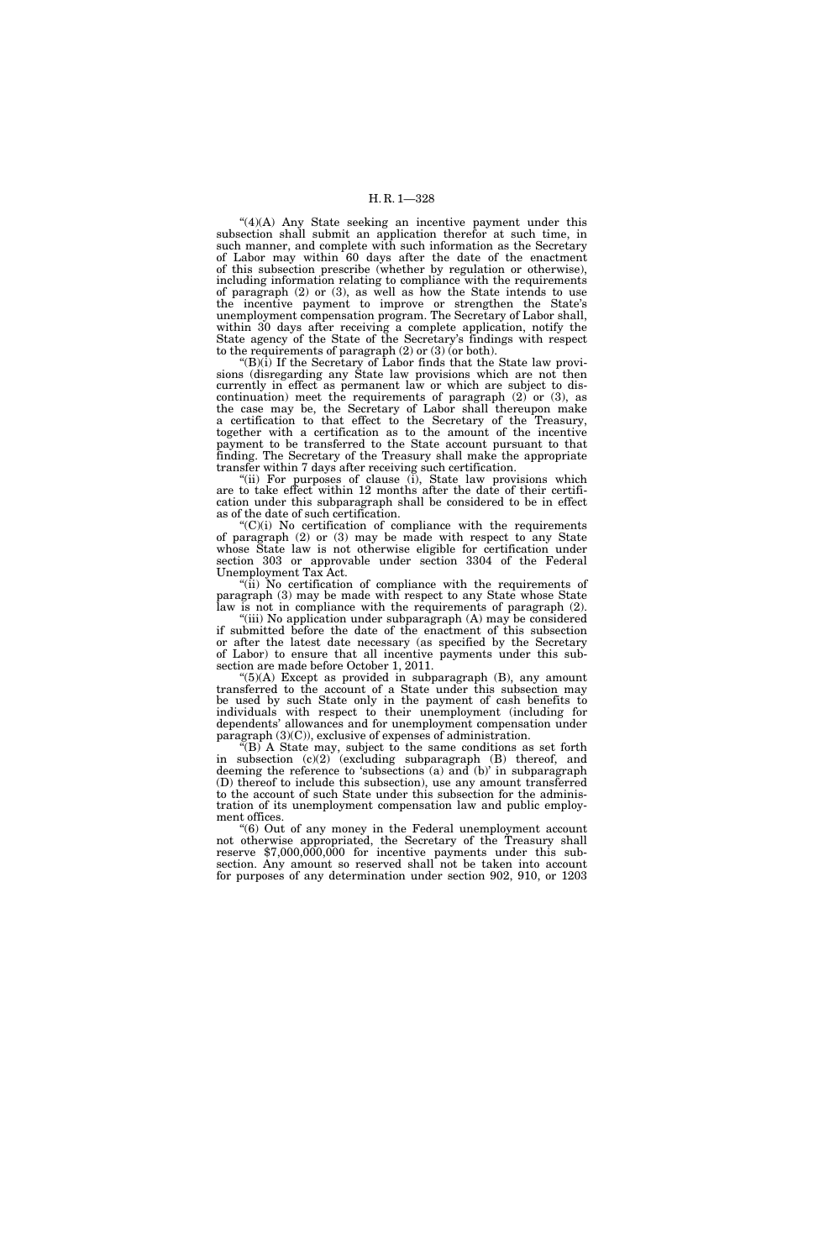# H. R. 1—328

''(4)(A) Any State seeking an incentive payment under this subsection shall submit an application therefor at such time, in such manner, and complete with such information as the Secretary of Labor may within 60 days after the date of the enactment of this subsection prescribe (whether by regulation or otherwise), including information relating to compliance with the requirements of paragraph (2) or (3), as well as how the State intends to use the incentive payment to improve or strengthen the State's unemployment compensation program. The Secretary of Labor shall, within 30 days after receiving a complete application, notify the State agency of the State of the Secretary's findings with respect to the requirements of paragraph (2) or (3) (or both).

''(B)(i) If the Secretary of Labor finds that the State law provisions (disregarding any State law provisions which are not then currently in effect as permanent law or which are subject to discontinuation) meet the requirements of paragraph (2) or (3), as the case may be, the Secretary of Labor shall thereupon make a certification to that effect to the Secretary of the Treasury, together with a certification as to the amount of the incentive payment to be transferred to the State account pursuant to that finding. The Secretary of the Treasury shall make the appropriate transfer within 7 days after receiving such certification.

"(ii) For purposes of clause (i), State law provisions which are to take effect within 12 months after the date of their certification under this subparagraph shall be considered to be in effect as of the date of such certification.

 $C'(C)(i)$  No certification of compliance with the requirements of paragraph (2) or (3) may be made with respect to any State whose State law is not otherwise eligible for certification under section 303 or approvable under section 3304 of the Federal Unemployment Tax Act.

''(ii) No certification of compliance with the requirements of paragraph (3) may be made with respect to any State whose State law is not in compliance with the requirements of paragraph (2).

"(iii) No application under subparagraph (A) may be considered if submitted before the date of the enactment of this subsection or after the latest date necessary (as specified by the Secretary of Labor) to ensure that all incentive payments under this subsection are made before October 1, 2011.

 $(5)(A)$  Except as provided in subparagraph  $(B)$ , any amount transferred to the account of a State under this subsection may be used by such State only in the payment of cash benefits to individuals with respect to their unemployment (including for dependents' allowances and for unemployment compensation under paragraph (3)(C)), exclusive of expenses of administration.

 $f(B)$  A State may, subject to the same conditions as set forth in subsection (c)(2) (excluding subparagraph (B) thereof, and deeming the reference to 'subsections (a) and (b)' in subparagraph (D) thereof to include this subsection), use any amount transferred to the account of such State under this subsection for the administration of its unemployment compensation law and public employment offices.

''(6) Out of any money in the Federal unemployment account not otherwise appropriated, the Secretary of the Treasury shall reserve \$7,000,000,000 for incentive payments under this subsection. Any amount so reserved shall not be taken into account for purposes of any determination under section 902, 910, or 1203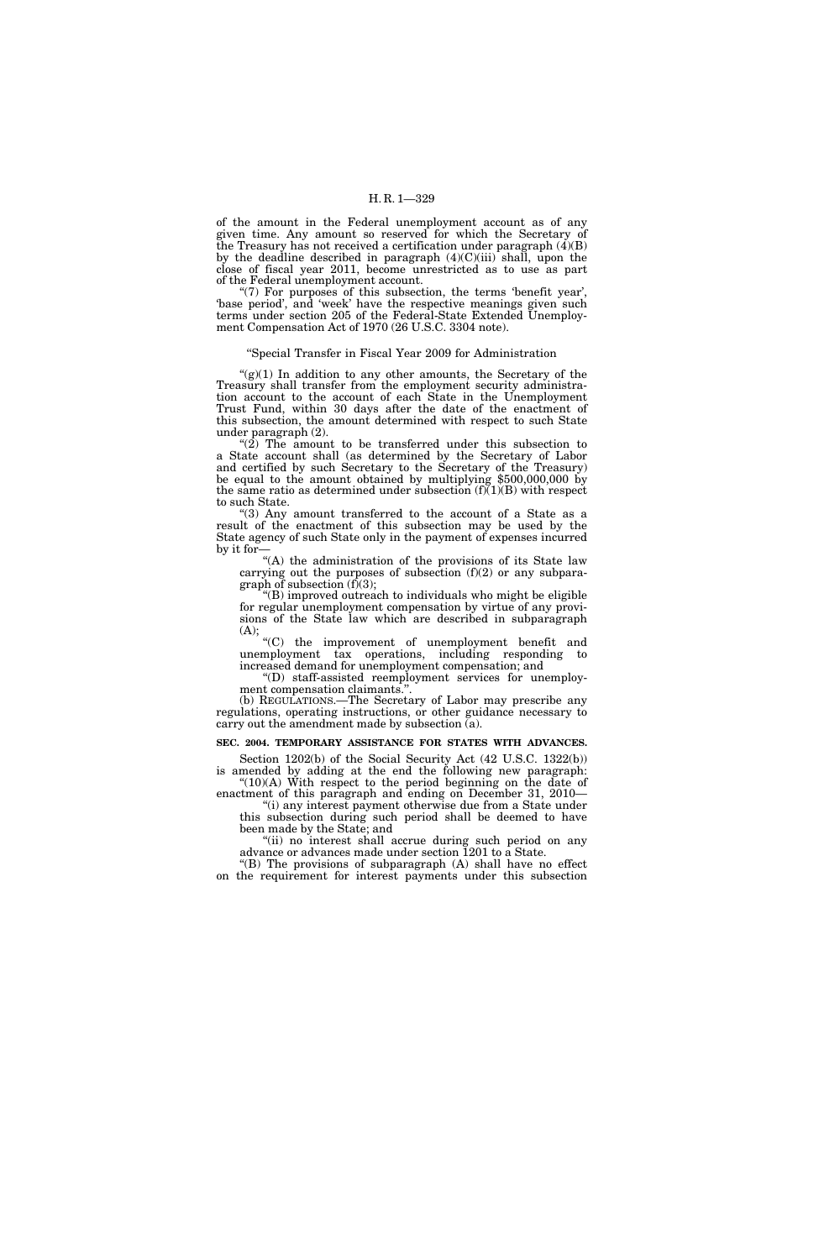of the amount in the Federal unemployment account as of any given time. Any amount so reserved for which the Secretary of the Treasury has not received a certification under paragraph  $(\vec{4})(B)$ by the deadline described in paragraph  $(4)(C)(iii)$  shall, upon the close of fiscal year 2011, become unrestricted as to use as part of the Federal unemployment account.

"(7) For purposes of this subsection, the terms 'benefit year', 'base period', and 'week' have the respective meanings given such terms under section 205 of the Federal-State Extended Unemployment Compensation Act of 1970 (26 U.S.C. 3304 note).

### ''Special Transfer in Fiscal Year 2009 for Administration

 $\mathcal{L}(g)(1)$  In addition to any other amounts, the Secretary of the Treasury shall transfer from the employment security administration account to the account of each State in the Unemployment Trust Fund, within 30 days after the date of the enactment of this subsection, the amount determined with respect to such State under paragraph (2).

" $(2)$  The amount to be transferred under this subsection to a State account shall (as determined by the Secretary of Labor and certified by such Secretary to the Secretary of the Treasury) be equal to the amount obtained by multiplying \$500,000,000 by the same ratio as determined under subsection  $(f)(1)(B)$  with respect to such State.

"(3) Any amount transferred to the account of a State as a result of the enactment of this subsection may be used by the State agency of such State only in the payment of expenses incurred by it for—

''(A) the administration of the provisions of its State law carrying out the purposes of subsection (f)(2) or any subparagraph of subsection (f)(3);

''(B) improved outreach to individuals who might be eligible for regular unemployment compensation by virtue of any provisions of the State law which are described in subparagraph (A);

''(C) the improvement of unemployment benefit and unemployment tax operations, including responding to increased demand for unemployment compensation; and

''(D) staff-assisted reemployment services for unemployment compensation claimants.''.

(b) REGULATIONS.—The Secretary of Labor may prescribe any regulations, operating instructions, or other guidance necessary to carry out the amendment made by subsection (a).

## **SEC. 2004. TEMPORARY ASSISTANCE FOR STATES WITH ADVANCES.**

Section 1202(b) of the Social Security Act (42 U.S.C. 1322(b)) is amended by adding at the end the following new paragraph:  $"(10)(A)$  With respect to the period beginning on the date of

enactment of this paragraph and ending on December 31, 2010— ''(i) any interest payment otherwise due from a State under

this subsection during such period shall be deemed to have been made by the State; and "(ii) no interest shall accrue during such period on any

advance or advances made under section 1201 to a State. " $(B)$  The provisions of subparagraph  $(A)$  shall have no effect

on the requirement for interest payments under this subsection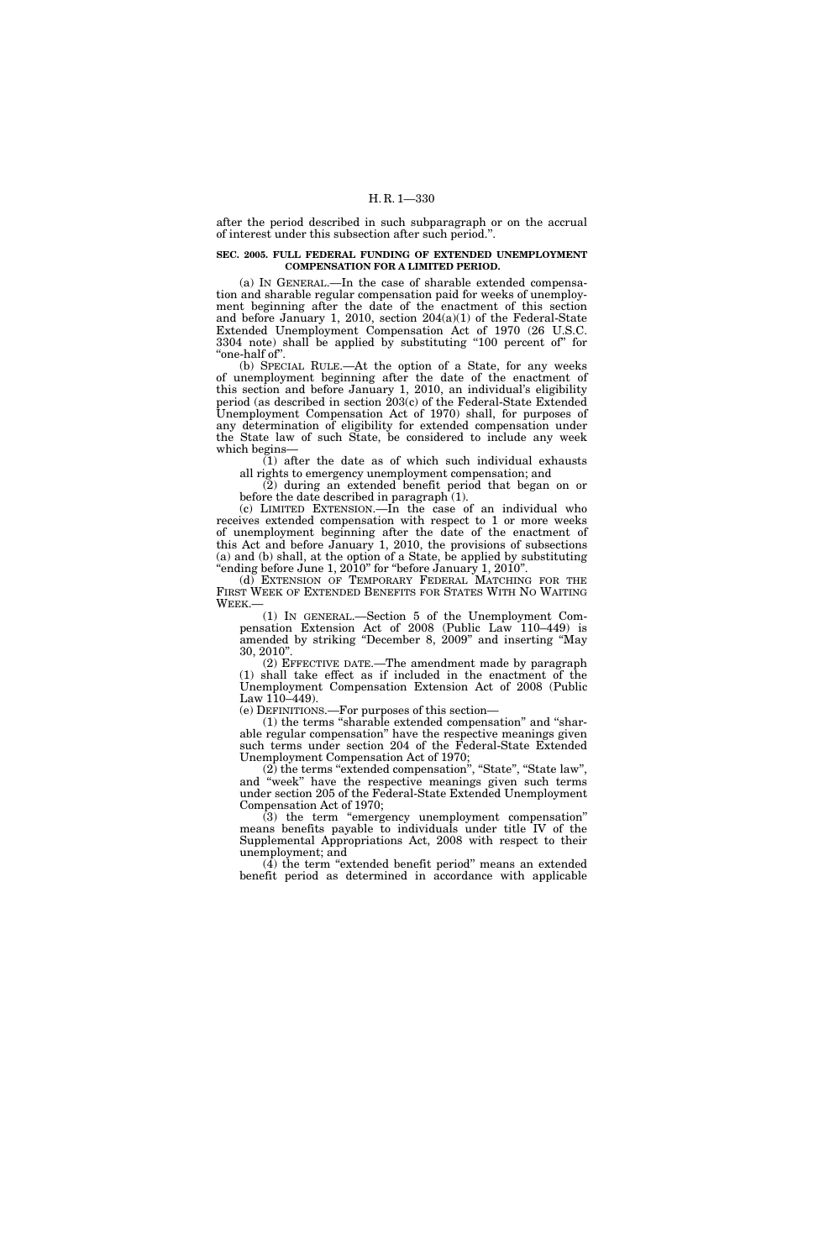after the period described in such subparagraph or on the accrual of interest under this subsection after such period.''.

# **SEC. 2005. FULL FEDERAL FUNDING OF EXTENDED UNEMPLOYMENT COMPENSATION FOR A LIMITED PERIOD.**

(a) IN GENERAL.—In the case of sharable extended compensation and sharable regular compensation paid for weeks of unemployment beginning after the date of the enactment of this section and before January 1, 2010, section 204(a)(1) of the Federal-State Extended Unemployment Compensation Act of 1970 (26 U.S.C. 3304 note) shall be applied by substituting "100 percent of" for "one-half of".

(b) SPECIAL RULE.—At the option of a State, for any weeks of unemployment beginning after the date of the enactment of this section and before January 1, 2010, an individual's eligibility period (as described in section 203(c) of the Federal-State Extended Unemployment Compensation Act of 1970) shall, for purposes of any determination of eligibility for extended compensation under the State law of such State, be considered to include any week which begins—

 $(1)$  after the date as of which such individual exhausts all rights to emergency unemployment compensation; and

(2) during an extended benefit period that began on or before the date described in paragraph  $(1)$ .

(c) LIMITED EXTENSION.—In the case of an individual who receives extended compensation with respect to 1 or more weeks of unemployment beginning after the date of the enactment of this Act and before January 1, 2010, the provisions of subsections (a) and (b) shall, at the option of a State, be applied by substituting "ending before June 1,  $2010$ " for "before January 1,  $2010$ ".

(d) EXTENSION OF TEMPORARY FEDERAL MATCHING FOR THE FIRST WEEK OF EXTENDED BENEFITS FOR STATES WITH NO WAITING WEEK.—

(1) IN GENERAL.—Section 5 of the Unemployment Compensation Extension Act of 2008 (Public Law 110–449) is amended by striking ''December 8, 2009'' and inserting ''May 30, 2010''.

(2) EFFECTIVE DATE.—The amendment made by paragraph (1) shall take effect as if included in the enactment of the Unemployment Compensation Extension Act of 2008 (Public Law 110–449).

(e) DEFINITIONS.—For purposes of this section—

(1) the terms ''sharable extended compensation'' and ''sharable regular compensation'' have the respective meanings given such terms under section 204 of the Federal-State Extended Unemployment Compensation Act of 1970;

(2) the terms ''extended compensation'', ''State'', ''State law'', and ''week'' have the respective meanings given such terms under section 205 of the Federal-State Extended Unemployment Compensation Act of 1970;

(3) the term ''emergency unemployment compensation'' means benefits payable to individuals under title IV of the Supplemental Appropriations Act, 2008 with respect to their unemployment; and

 $(\overline{4})$  the term "extended benefit period" means an extended benefit period as determined in accordance with applicable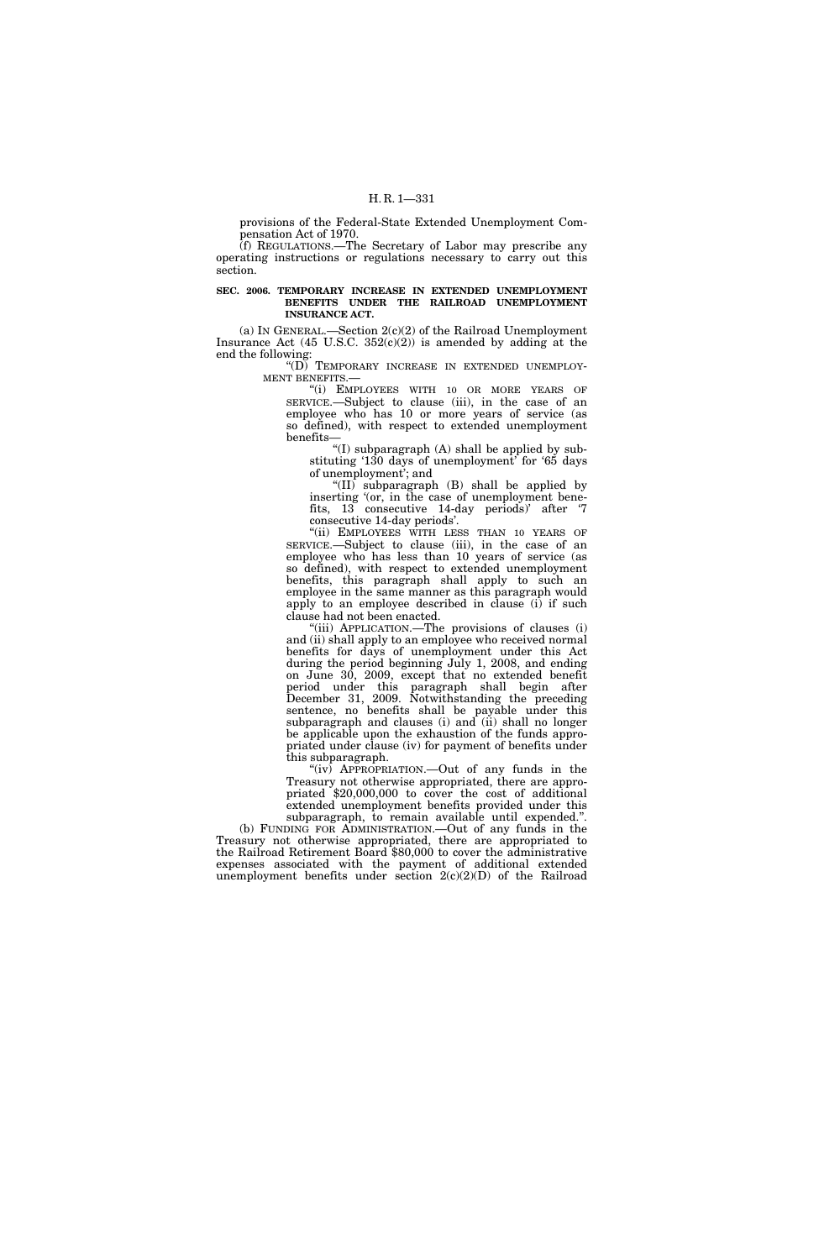provisions of the Federal-State Extended Unemployment Compensation Act of 1970.

(f) REGULATIONS.—The Secretary of Labor may prescribe any operating instructions or regulations necessary to carry out this section.

#### **SEC. 2006. TEMPORARY INCREASE IN EXTENDED UNEMPLOYMENT BENEFITS UNDER THE RAILROAD UNEMPLOYMENT INSURANCE ACT.**

(a) IN GENERAL.—Section 2(c)(2) of the Railroad Unemployment Insurance Act  $(45 \text{ U.S.C. } 352(\text{c})(2))$  is amended by adding at the end the following:

''(D) TEMPORARY INCREASE IN EXTENDED UNEMPLOY-MENT BENEFITS.—

''(i) EMPLOYEES WITH 10 OR MORE YEARS OF SERVICE.—Subject to clause (iii), in the case of an employee who has 10 or more years of service (as so defined), with respect to extended unemployment benefits—

''(I) subparagraph (A) shall be applied by substituting '130 days of unemployment' for '65 days of unemployment'; and

"(II) subparagraph  $(B)$  shall be applied by inserting '(or, in the case of unemployment benefits, 13 consecutive 14-day periods)' after '7 consecutive 14-day periods'.

"(ii) EMPLOYEES WITH LESS THAN 10 YEARS OF SERVICE.—Subject to clause (iii), in the case of an employee who has less than 10 years of service (as so defined), with respect to extended unemployment benefits, this paragraph shall apply to such an employee in the same manner as this paragraph would apply to an employee described in clause (i) if such clause had not been enacted.

''(iii) APPLICATION.—The provisions of clauses (i) and (ii) shall apply to an employee who received normal benefits for days of unemployment under this Act during the period beginning July 1, 2008, and ending on June 30, 2009, except that no extended benefit period under this paragraph shall begin after December 31, 2009. Notwithstanding the preceding sentence, no benefits shall be payable under this subparagraph and clauses (i) and (ii) shall no longer be applicable upon the exhaustion of the funds appropriated under clause (iv) for payment of benefits under this subparagraph.

 $(i\nu)$  APPROPRIATION.—Out of any funds in the Treasury not otherwise appropriated, there are appropriated \$20,000,000 to cover the cost of additional extended unemployment benefits provided under this subparagraph, to remain available until expended.''.

(b) FUNDING FOR ADMINISTRATION.—Out of any funds in the Treasury not otherwise appropriated, there are appropriated to the Railroad Retirement Board \$80,000 to cover the administrative expenses associated with the payment of additional extended unemployment benefits under section  $2(c)(2)(D)$  of the Railroad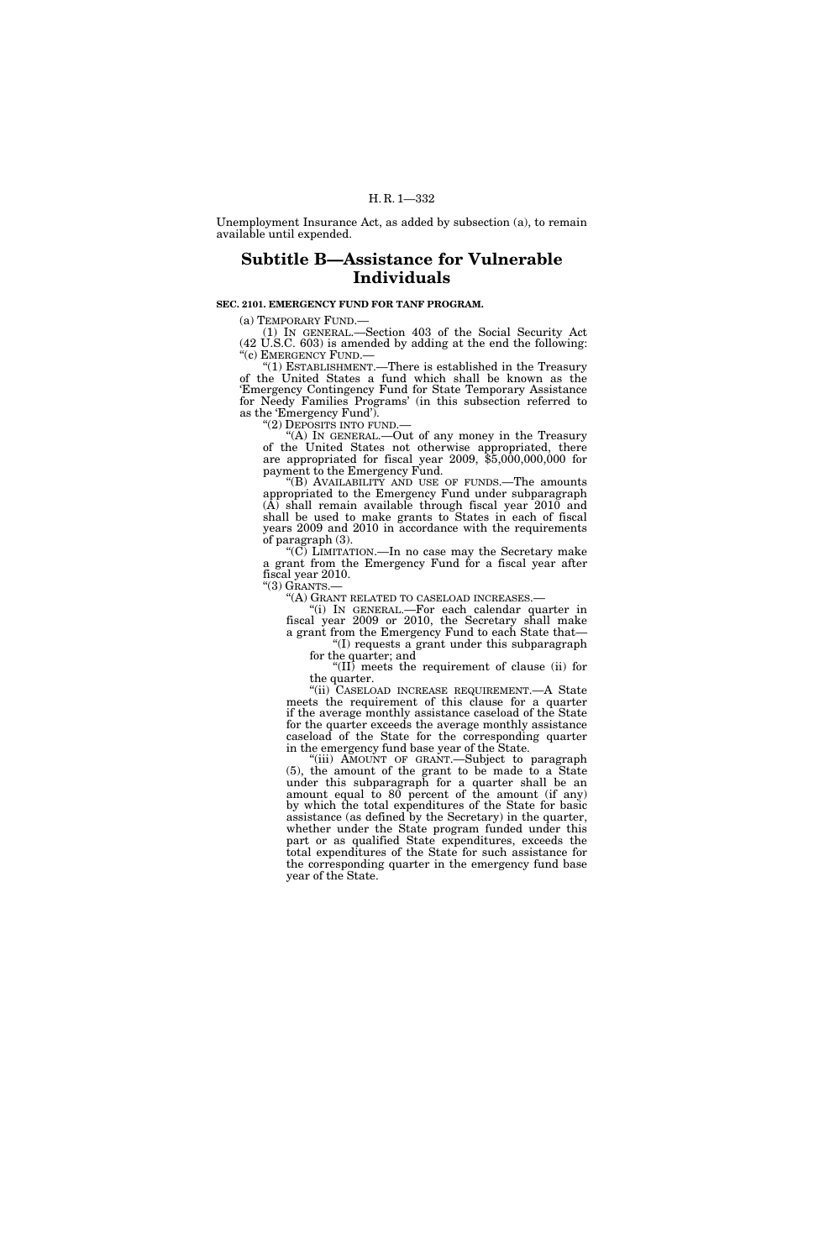## H. R. 1—332

Unemployment Insurance Act, as added by subsection (a), to remain available until expended.

# **Subtitle B—Assistance for Vulnerable Individuals**

# **SEC. 2101. EMERGENCY FUND FOR TANF PROGRAM.**

(a) TEMPORARY FUND.— (1) IN GENERAL.—Section 403 of the Social Security Act (42 U.S.C. 603) is amended by adding at the end the following: "(c) EMERGENCY FUND.—

"(1) ESTABLISHMENT.— There is established in the Treasury of the United States a fund which shall be known as the 'Emergency Contingency Fund for State Temporary Assistance for Needy Families Programs' (in this subsection referred to as the 'Emergency Fund').<br>"(2) DEPOSITS INTO FUND.—

"(A) IN GENERAL.—Out of any money in the Treasury of the United States not otherwise appropriated, there are appropriated for fiscal year 2009, \$5,000,000,000 for payment to the Emergency Fund.

''(B) AVAILABILITY AND USE OF FUNDS.—The amounts appropriated to the Emergency Fund under subparagraph (A) shall remain available through fiscal year 2010 and shall be used to make grants to States in each of fiscal years 2009 and 2010 in accordance with the requirements of paragraph (3).

''(C) LIMITATION.—In no case may the Secretary make a grant from the Emergency Fund for a fiscal year after fiscal year 2010.<br>"(3) GRANTS.—

"(A) GRANT RELATED TO CASELOAD INCREASES.—<br>"(i) IN GENERAL.—For each calendar quarter in

fiscal year 2009 or 2010, the Secretary shall make a grant from the Emergency Fund to each State that—

''(I) requests a grant under this subparagraph for the quarter; and

''(II) meets the requirement of clause (ii) for the quarter.

''(ii) CASELOAD INCREASE REQUIREMENT.—A State meets the requirement of this clause for a quarter if the average monthly assistance caseload of the State for the quarter exceeds the average monthly assistance caseload of the State for the corresponding quarter in the emergency fund base year of the State.

"(iii) AMOUNT OF GRANT.—Subject to paragraph (5), the amount of the grant to be made to a State under this subparagraph for a quarter shall be an amount equal to 80 percent of the amount (if any) by which the total expenditures of the State for basic assistance (as defined by the Secretary) in the quarter, whether under the State program funded under this part or as qualified State expenditures, exceeds the total expenditures of the State for such assistance for the corresponding quarter in the emergency fund base year of the State.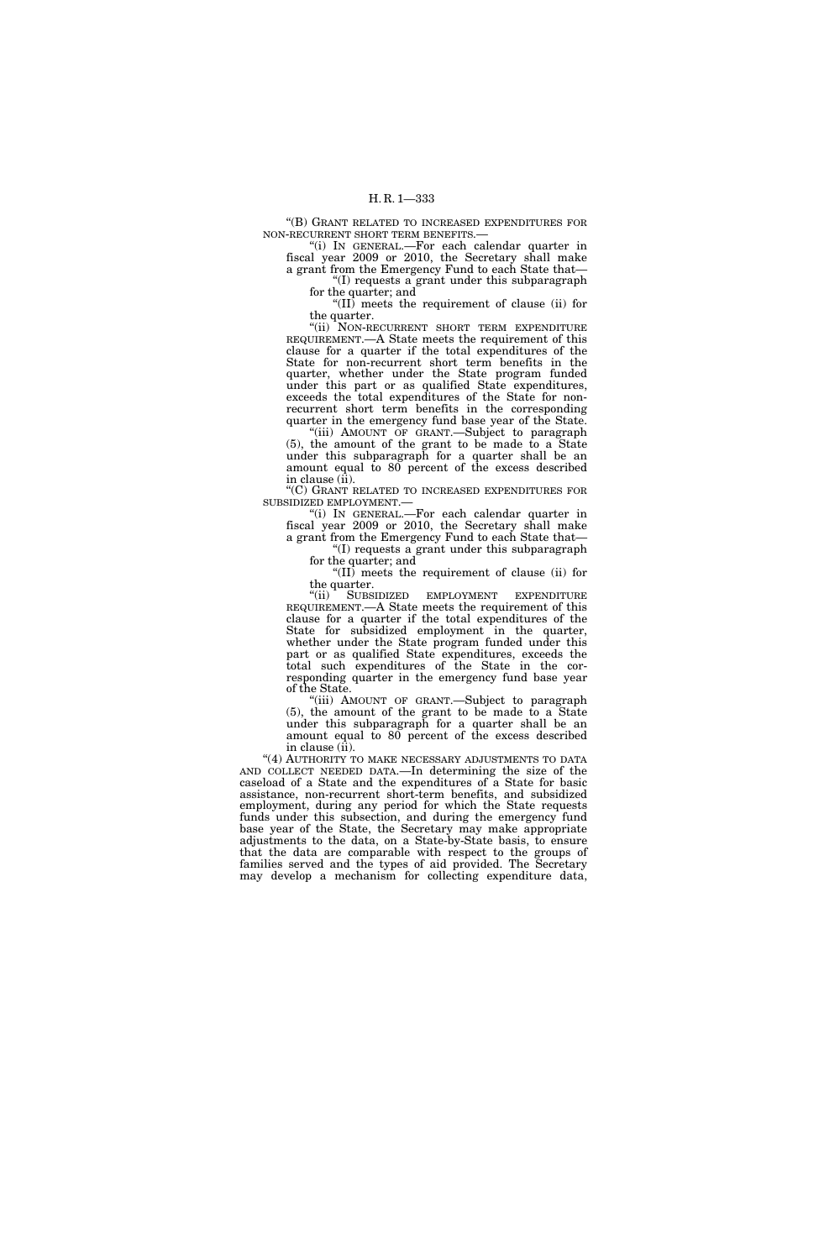''(B) GRANT RELATED TO INCREASED EXPENDITURES FOR NON-RECURRENT SHORT TERM BENEFITS.—

''(i) IN GENERAL.—For each calendar quarter in fiscal year 2009 or 2010, the Secretary shall make a grant from the Emergency Fund to each State that— ''(I) requests a grant under this subparagraph

for the quarter; and

''(II) meets the requirement of clause (ii) for the quarter.

"(ii) NON-RECURRENT SHORT TERM EXPENDITURE REQUIREMENT.—A State meets the requirement of this clause for a quarter if the total expenditures of the State for non-recurrent short term benefits in the quarter, whether under the State program funded under this part or as qualified State expenditures, exceeds the total expenditures of the State for nonrecurrent short term benefits in the corresponding quarter in the emergency fund base year of the State.

"(iii) AMOUNT OF GRANT.-Subject to paragraph (5), the amount of the grant to be made to a State under this subparagraph for a quarter shall be an amount equal to 80 percent of the excess described in clause (ii).

"(C) GRANT RELATED TO INCREASED EXPENDITURES FOR

SUBSIDIZED EMPLOYMENT.— ''(i) IN GENERAL.—For each calendar quarter in fiscal year 2009 or 2010, the Secretary shall make a grant from the Emergency Fund to each State that—

''(I) requests a grant under this subparagraph for the quarter; and

''(II) meets the requirement of clause (ii) for the quarter.<br>"(ii) SUBS

SUBSIDIZED EMPLOYMENT EXPENDITURE REQUIREMENT.—A State meets the requirement of this clause for a quarter if the total expenditures of the State for subsidized employment in the quarter, whether under the State program funded under this part or as qualified State expenditures, exceeds the total such expenditures of the State in the corresponding quarter in the emergency fund base year of the State.

"(iii) AMOUNT OF GRANT.-Subject to paragraph (5), the amount of the grant to be made to a State under this subparagraph for a quarter shall be an amount equal to 80 percent of the excess described in clause (ii).

"(4) AUTHORITY TO MAKE NECESSARY ADJUSTMENTS TO DATA AND COLLECT NEEDED DATA.—In determining the size of the caseload of a State and the expenditures of a State for basic assistance, non-recurrent short-term benefits, and subsidized employment, during any period for which the State requests funds under this subsection, and during the emergency fund base year of the State, the Secretary may make appropriate adjustments to the data, on a State-by-State basis, to ensure that the data are comparable with respect to the groups of families served and the types of aid provided. The Secretary may develop a mechanism for collecting expenditure data,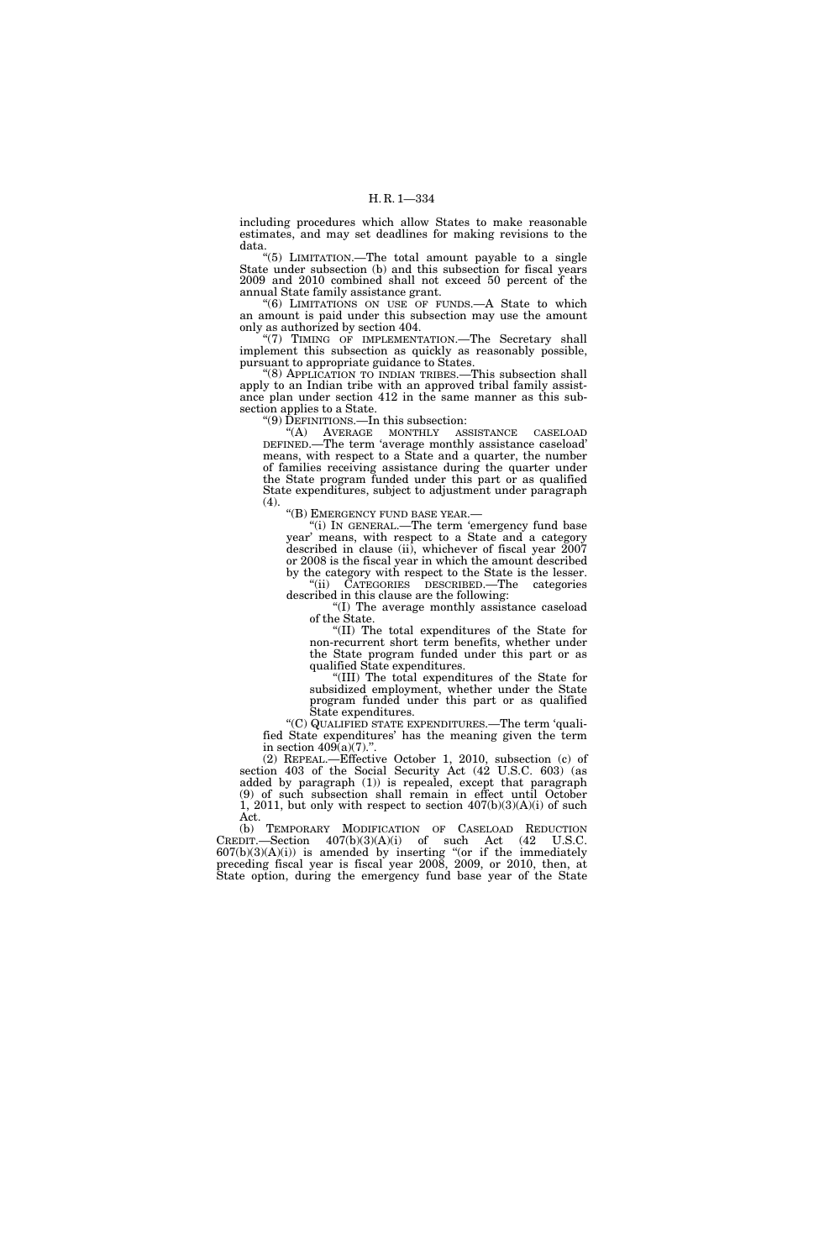including procedures which allow States to make reasonable estimates, and may set deadlines for making revisions to the data.

''(5) LIMITATION.—The total amount payable to a single State under subsection (b) and this subsection for fiscal years 2009 and 2010 combined shall not exceed 50 percent of the annual State family assistance grant.

''(6) LIMITATIONS ON USE OF FUNDS.—A State to which an amount is paid under this subsection may use the amount only as authorized by section 404.

"(7) TIMING OF IMPLEMENTATION.—The Secretary shall implement this subsection as quickly as reasonably possible, pursuant to appropriate guidance to States.

"(8) APPLICATION TO INDIAN TRIBES.—This subsection shall apply to an Indian tribe with an approved tribal family assistance plan under section 412 in the same manner as this subsection applies to a State.

''(9) DEFINITIONS.—In this subsection:

''(A) AVERAGE MONTHLY ASSISTANCE CASELOAD DEFINED.—The term 'average monthly assistance caseload' means, with respect to a State and a quarter, the number of families receiving assistance during the quarter under the State program funded under this part or as qualified State expenditures, subject to adjustment under paragraph (4).

''(B) EMERGENCY FUND BASE YEAR.—

''(i) IN GENERAL.—The term 'emergency fund base year' means, with respect to a State and a category described in clause (ii), whichever of fiscal year 2007 or 2008 is the fiscal year in which the amount described by the category with respect to the State is the lesser. ''(ii) CATEGORIES DESCRIBED.—The categories

described in this clause are the following: ''(I) The average monthly assistance caseload

of the State.

''(II) The total expenditures of the State for non-recurrent short term benefits, whether under the State program funded under this part or as qualified State expenditures.

''(III) The total expenditures of the State for subsidized employment, whether under the State program funded under this part or as qualified State expenditures.

''(C) QUALIFIED STATE EXPENDITURES.—The term 'qualified State expenditures' has the meaning given the term in section  $409(a)(7)$ .".

(2) REPEAL.—Effective October 1, 2010, subsection (c) of section 403 of the Social Security Act (42 U.S.C. 603) (as added by paragraph (1)) is repealed, except that paragraph (9) of such subsection shall remain in effect until October 1, 2011, but only with respect to section 407(b)(3)(A)(i) of such Act.

(b) TEMPORARY MODIFICATION OF CASELOAD REDUCTION CREDIT.—Section  $407(b)(3)(A)(i)$  of such Act  $(42 \text{ U.S.C.})$  $607(b)(3)(A)(i)$  is amended by inserting "(or if the immediately preceding fiscal year is fiscal year 2008, 2009, or 2010, then, at State option, during the emergency fund base year of the State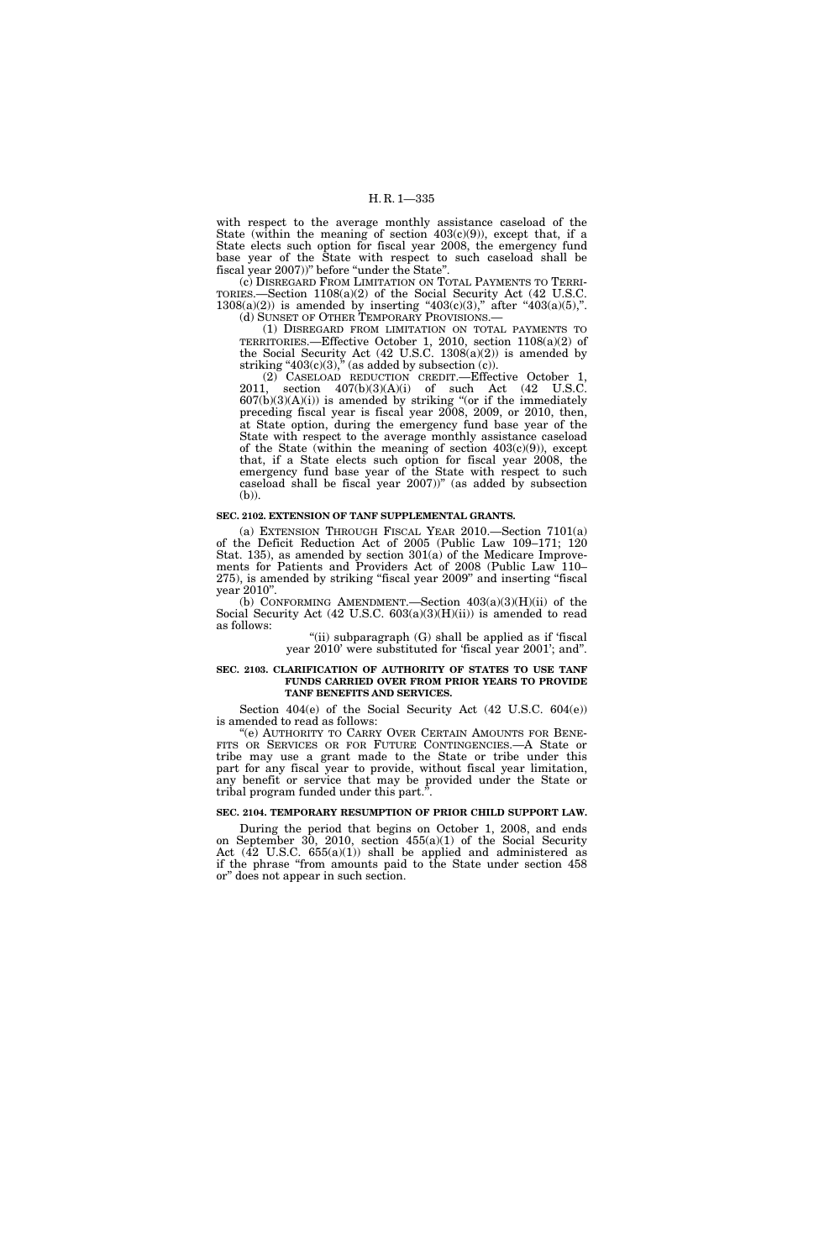with respect to the average monthly assistance caseload of the State (within the meaning of section  $403(c)(9)$ ), except that, if a State elects such option for fiscal year 2008, the emergency fund base year of the State with respect to such caseload shall be fiscal year 2007))" before "under the State".

(c) DISREGARD FROM LIMITATION ON TOTAL PAYMENTS TO TERRI-TORIES.—Section 1108(a)(2) of the Social Security Act (42 U.S.C.  $1308(a)(2)$  is amended by inserting " $403(c)(3)$ ," after " $403(a)(5)$ ,".

(d) SUNSET OF OTHER TEMPORARY PROVISIONS.—

(1) DISREGARD FROM LIMITATION ON TOTAL PAYMENTS TO TERRITORIES.—Effective October 1, 2010, section 1108(a)(2) of the Social Security Act  $(42 \text{ U.S.C. } 1308(a)(2))$  is amended by striking " $403(c)(3)$ ," (as added by subsection (c)).

(2) CASELOAD REDUCTION CREDIT.—Effective October 1, 2011, section 407(b)(3)(A)(i) of such Act (42 U.S.C.  $607(b)(3)(A)(i)$ ) is amended by striking "(or if the immediately preceding fiscal year is fiscal year 2008, 2009, or 2010, then, at State option, during the emergency fund base year of the State with respect to the average monthly assistance caseload of the State (within the meaning of section  $403(c)(9)$ ), except that, if a State elects such option for fiscal year 2008, the emergency fund base year of the State with respect to such caseload shall be fiscal year 2007))'' (as added by subsection (b)).

#### **SEC. 2102. EXTENSION OF TANF SUPPLEMENTAL GRANTS.**

(a) EXTENSION THROUGH FISCAL YEAR 2010.—Section 7101(a) of the Deficit Reduction Act of 2005 (Public Law 109–171; 120 Stat. 135), as amended by section 301(a) of the Medicare Improvements for Patients and Providers Act of 2008 (Public Law 110– 275), is amended by striking ''fiscal year 2009'' and inserting ''fiscal year 2010''.

(b) CONFORMING AMENDMENT.—Section  $403(a)(3)(H)(ii)$  of the Social Security Act  $(42 \text{ U.S.C. } 603(a)(3)(H)(ii))$  is amended to read as follows:

"(ii) subparagraph  $(G)$  shall be applied as if 'fiscal year 2010' were substituted for 'fiscal year 2001'; and''.

### **SEC. 2103. CLARIFICATION OF AUTHORITY OF STATES TO USE TANF FUNDS CARRIED OVER FROM PRIOR YEARS TO PROVIDE TANF BENEFITS AND SERVICES.**

Section 404(e) of the Social Security Act (42 U.S.C. 604(e)) is amended to read as follows:

"(e) AUTHORITY TO CARRY OVER CERTAIN AMOUNTS FOR BENE-FITS OR SERVICES OR FOR FUTURE CONTINGENCIES.—A State or tribe may use a grant made to the State or tribe under this part for any fiscal year to provide, without fiscal year limitation, any benefit or service that may be provided under the State or tribal program funded under this part."

# **SEC. 2104. TEMPORARY RESUMPTION OF PRIOR CHILD SUPPORT LAW.**

During the period that begins on October 1, 2008, and ends on September 30, 2010, section 455(a)(1) of the Social Security Act  $(42 \text{ U.S.C. } 655(a)(1))$  shall be applied and administered as if the phrase ''from amounts paid to the State under section 458 or'' does not appear in such section.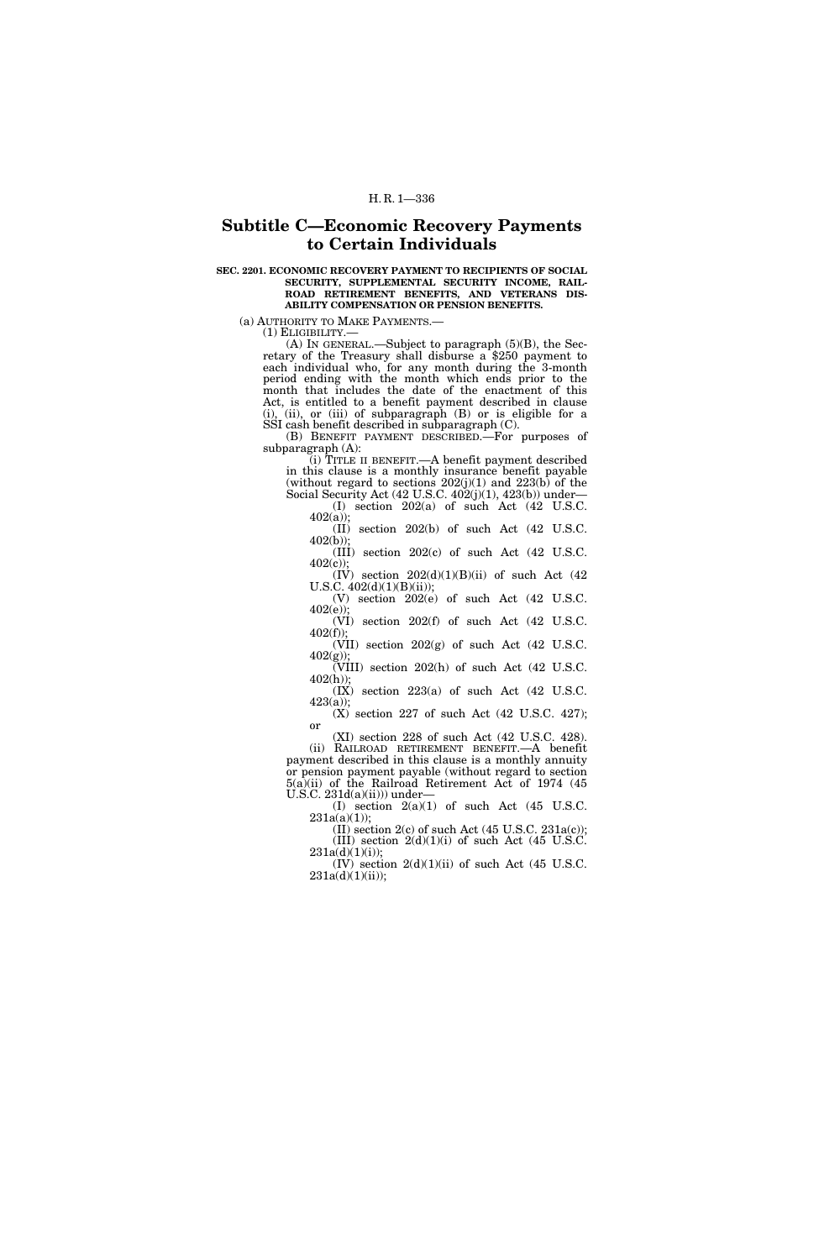# **Subtitle C—Economic Recovery Payments to Certain Individuals**

### **SEC. 2201. ECONOMIC RECOVERY PAYMENT TO RECIPIENTS OF SOCIAL SECURITY, SUPPLEMENTAL SECURITY INCOME, RAIL-ROAD RETIREMENT BENEFITS, AND VETERANS DIS-ABILITY COMPENSATION OR PENSION BENEFITS.**

(a) AUTHORITY TO MAKE PAYMENTS.— (1) ELIGIBILITY.— (A) IN GENERAL.—Subject to paragraph (5)(B), the Sec- retary of the Treasury shall disburse a \$250 payment to each individual who, for any month during the 3-month period ending with the month which ends prior to the month that includes the date of the enactment of this Act, is entitled to a benefit payment described in clause (i), (ii), or (iii) of subparagraph (B) or is eligible for a SSI cash benefit described in subparagraph (C).

(B) BENEFIT PAYMENT DESCRIBED.—For purposes of subparagraph (A):

(i) TITLE II BENEFIT.—A benefit payment described in this clause is a monthly insurance benefit payable (without regard to sections  $202(j)(1)$  and  $223(k)$  of the Social Security Act (42 U.S.C. 402(j)(1), 423(b)) under-

(I) section 202(a) of such Act (42 U.S.C. 402(a));

(II) section 202(b) of such Act (42 U.S.C. 402(b));

(III) section 202(c) of such Act (42 U.S.C. 402(c));

 $(IV)$  section  $202(d)(1)(B)(ii)$  of such Act  $(42)$ U.S.C. 402(d)(1)(B)(ii)); (V) section 202(e) of such Act (42 U.S.C.

402(e)); (VI) section 202(f) of such Act (42 U.S.C.

 $402(f)$ ; (VII) section 202(g) of such Act (42 U.S.C. 402(g));

(VIII) section 202(h) of such Act (42 U.S.C. 402(h));

(IX) section 223(a) of such Act (42 U.S.C. 423(a));

(X) section 227 of such Act (42 U.S.C. 427); or

(XI) section 228 of such Act (42 U.S.C. 428). (ii) RAILROAD RETIREMENT BENEFIT.—A benefit payment described in this clause is a monthly annuity or pension payment payable (without regard to section 5(a)(ii) of the Railroad Retirement Act of 1974 (45 U.S.C. 231d(a)(ii))) under—

(I) section  $2(a)(1)$  of such Act  $(45 \text{ U.S.C.})$  $231a(a)(1)$ ;

(II) section  $2(c)$  of such Act (45 U.S.C.  $231a(c)$ ); (III) section  $2(d)(1)(i)$  of such Act (45 U.S.C.  $231a(d)(1)(i)$ ;

 $(IV)$  section  $2(d)(1)(ii)$  of such Act  $(45 \text{ U.S.C.})$ 231a(d)(1)(ii));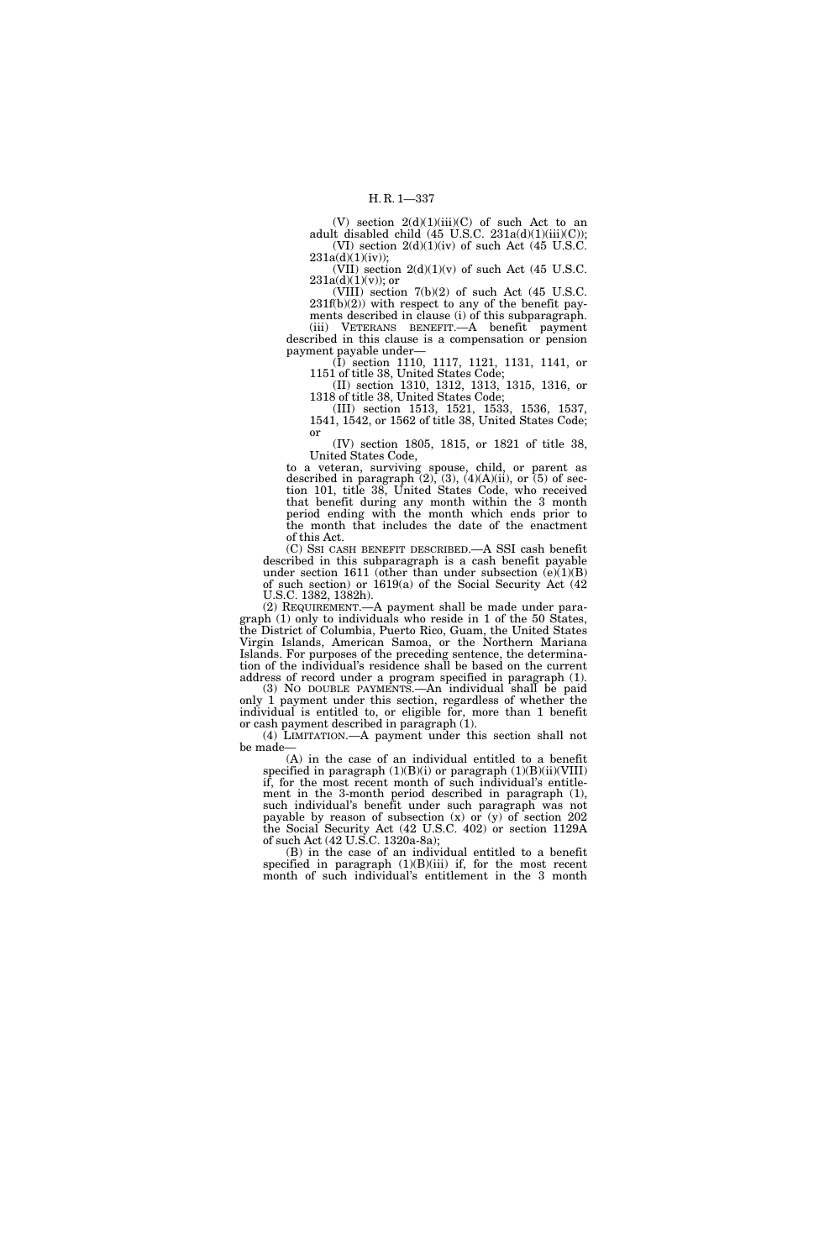(V) section  $2(d)(1)(iii)(C)$  of such Act to an adult disabled child  $(45 \text{ U.S.C. } 231a(d)(1)(iii)(C));$ (VI) section  $2(d)(1)(iv)$  of such Act (45 U.S.C.  $231a(d)(1)(iv)$ ;

(VII) section  $2(d)(1)(v)$  of such Act (45 U.S.C.  $231a(d)(1)(v)$ ; or

(VIII) section 7(b)(2) of such Act (45 U.S.C.  $231f(b)(2)$ ) with respect to any of the benefit pay-

ments described in clause (i) of this subparagraph. (iii) VETERANS BENEFIT.—A benefit payment described in this clause is a compensation or pension payment payable under—

(I) section 1110, 1117, 1121, 1131, 1141, or 1151 of title 38, United States Code;

(II) section 1310, 1312, 1313, 1315, 1316, or 1318 of title 38, United States Code;

(III) section 1513, 1521, 1533, 1536, 1537, 1541, 1542, or 1562 of title 38, United States Code; or

(IV) section 1805, 1815, or 1821 of title 38, United States Code,

to a veteran, surviving spouse, child, or parent as described in paragraph  $(2)$ ,  $(3)$ ,  $(4)(A)(ii)$ , or  $(5)$  of section 101, title 38, United States Code, who received that benefit during any month within the 3 month period ending with the month which ends prior to the month that includes the date of the enactment of this Act.

(C) SSI CASH BENEFIT DESCRIBED.—A SSI cash benefit described in this subparagraph is a cash benefit payable under section 1611 (other than under subsection  $(e)(1)(B)$ of such section) or 1619(a) of the Social Security Act (42 U.S.C. 1382, 1382h).

(2) REQUIREMENT.—A payment shall be made under paragraph (1) only to individuals who reside in 1 of the 50 States, the District of Columbia, Puerto Rico, Guam, the United States Virgin Islands, American Samoa, or the Northern Mariana Islands. For purposes of the preceding sentence, the determination of the individual's residence shall be based on the current address of record under a program specified in paragraph (1).

(3) NO DOUBLE PAYMENTS.—An individual shall be paid only 1 payment under this section, regardless of whether the individual is entitled to, or eligible for, more than 1 benefit or cash payment described in paragraph (1).

(4) LIMITATION.—A payment under this section shall not be made—

(A) in the case of an individual entitled to a benefit specified in paragraph  $(1)(B)(i)$  or paragraph  $(1)(B)(ii)(VIII)$ if, for the most recent month of such individual's entitlement in the 3-month period described in paragraph (1), such individual's benefit under such paragraph was not payable by reason of subsection (x) or (y) of section 202 the Social Security Act (42 U.S.C. 402) or section 1129A of such Act (42 U.S.C. 1320a-8a);

(B) in the case of an individual entitled to a benefit specified in paragraph  $(1)(B)(iii)$  if, for the most recent month of such individual's entitlement in the 3 month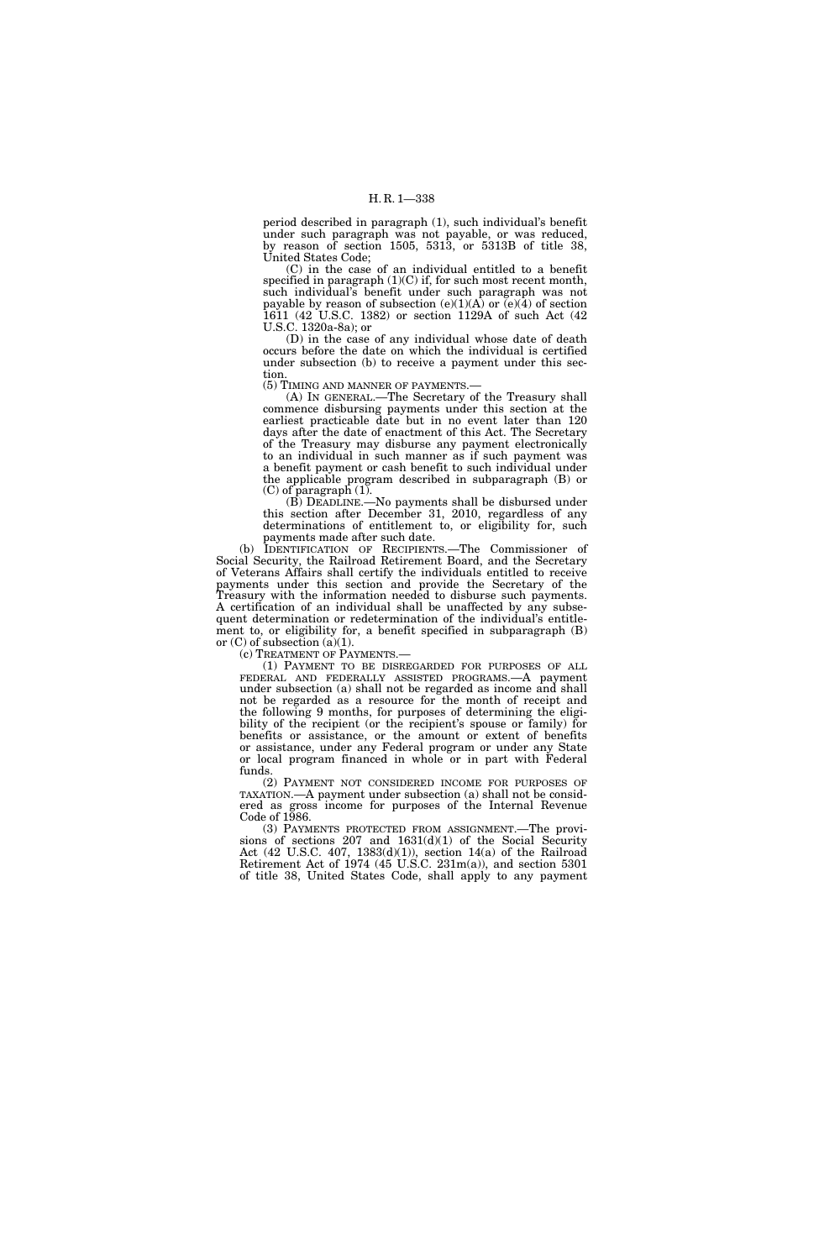period described in paragraph (1), such individual's benefit under such paragraph was not payable, or was reduced, by reason of section 1505, 5313, or 5313B of title 38, United States Code;

(C) in the case of an individual entitled to a benefit specified in paragraph  $(1)(C)$  if, for such most recent month, such individual's benefit under such paragraph was not payable by reason of subsection  $(e)(1)(A)$  or  $(e)(4)$  of section 1611 (42 U.S.C. 1382) or section 1129A of such Act (42 U.S.C. 1320a-8a); or

(D) in the case of any individual whose date of death occurs before the date on which the individual is certified under subsection (b) to receive a payment under this section.

(5) TIMING AND MANNER OF PAYMENTS.—

(A) IN GENERAL.—The Secretary of the Treasury shall commence disbursing payments under this section at the earliest practicable date but in no event later than 120 days after the date of enactment of this Act. The Secretary of the Treasury may disburse any payment electronically to an individual in such manner as if such payment was a benefit payment or cash benefit to such individual under the applicable program described in subparagraph (B) or (C) of paragraph (1).

(B) DEADLINE.—No payments shall be disbursed under this section after December 31, 2010, regardless of any determinations of entitlement to, or eligibility for, such payments made after such date.

(b) IDENTIFICATION OF RECIPIENTS.—The Commissioner of Social Security, the Railroad Retirement Board, and the Secretary of Veterans Affairs shall certify the individuals entitled to receive payments under this section and provide the Secretary of the Treasury with the information needed to disburse such payments. A certification of an individual shall be unaffected by any subsequent determination or redetermination of the individual's entitlement to, or eligibility for, a benefit specified in subparagraph (B) or  $(C)$  of subsection  $(a)(1)$ .<br>(c) TREATMENT OF PAYMENTS.—

(1) PAYMENT TO BE DISREGARDED FOR PURPOSES OF ALL FEDERAL AND FEDERALLY ASSISTED PROGRAMS.—A payment under subsection (a) shall not be regarded as income and shall not be regarded as a resource for the month of receipt and the following 9 months, for purposes of determining the eligibility of the recipient (or the recipient's spouse or family) for benefits or assistance, or the amount or extent of benefits or assistance, under any Federal program or under any State or local program financed in whole or in part with Federal funds.

(2) PAYMENT NOT CONSIDERED INCOME FOR PURPOSES OF TAXATION.—A payment under subsection (a) shall not be considered as gross income for purposes of the Internal Revenue Code of 1986.

(3) PAYMENTS PROTECTED FROM ASSIGNMENT.—The provisions of sections 207 and 1631(d)(1) of the Social Security Act (42 U.S.C. 407, 1383(d)(1)), section 14(a) of the Railroad Retirement Act of 1974 (45 U.S.C. 231m(a)), and section 5301 of title 38, United States Code, shall apply to any payment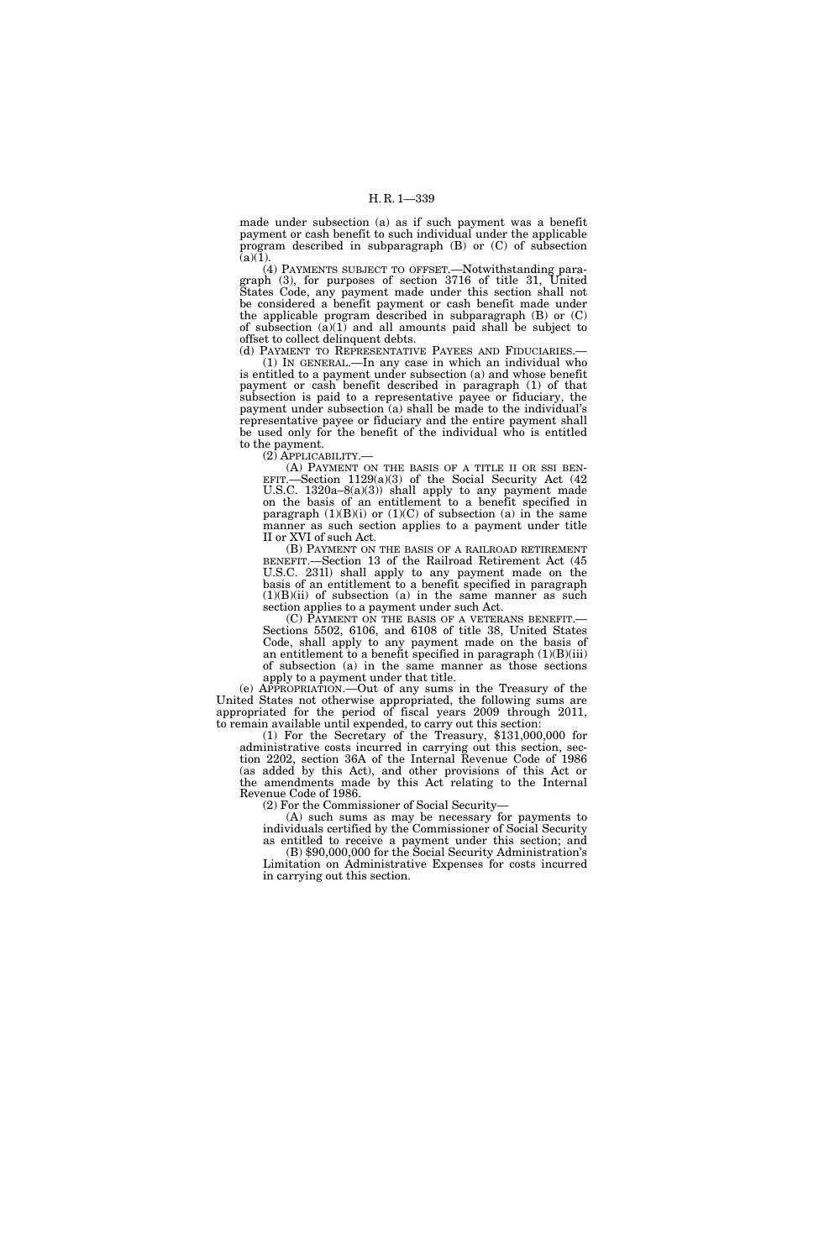made under subsection (a) as if such payment was a benefit payment or cash benefit to such individual under the applicable program described in subparagraph (B) or (C) of subsection  $(a)(1)$ .

(4) PAYMENTS SUBJECT TO OFFSET.—Notwithstanding paragraph (3), for purposes of section 3716 of title 31, United States Code, any payment made under this section shall not be considered a benefit payment or cash benefit made under the applicable program described in subparagraph (B) or (C) of subsection  $(a)(1)$  and all amounts paid shall be subject to offset to collect delinquent debts.

(d) PAYMENT TO REPRESENTATIVE PAYEES AND FIDUCIARIES.— (1) IN GENERAL.—In any case in which an individual who is entitled to a payment under subsection (a) and whose benefit payment or cash benefit described in paragraph (1) of that subsection is paid to a representative payee or fiduciary, the payment under subsection (a) shall be made to the individual's representative payee or fiduciary and the entire payment shall be used only for the benefit of the individual who is entitled to the payment.

(2) APPLICABILITY.—

(A) PAYMENT ON THE BASIS OF A TITLE II OR SSI BEN-EFIT.—Section  $1129(a)(3)$  of the Social Security Act (42) U.S.C.  $1320a-8(a)(3)$  shall apply to any payment made on the basis of an entitlement to a benefit specified in paragraph  $(1)(B)(i)$  or  $(1)(C)$  of subsection (a) in the same manner as such section applies to a payment under title II or XVI of such Act.

(B) PAYMENT ON THE BASIS OF A RAILROAD RETIREMENT BENEFIT.—Section 13 of the Railroad Retirement Act (45 U.S.C. 231l) shall apply to any payment made on the basis of an entitlement to a benefit specified in paragraph  $(1)(B)(ii)$  of subsection (a) in the same manner as such section applies to a payment under such Act.<br>
(C) PAYMENT ON THE BASIS OF A VETERANS BENEFIT.—

Sections 5502, 6106, and 6108 of title 38, United States Code, shall apply to any payment made on the basis of an entitlement to a benefit specified in paragraph  $(1)(B)(iii)$ of subsection (a) in the same manner as those sections apply to a payment under that title.

(e) APPROPRIATION.—Out of any sums in the Treasury of the United States not otherwise appropriated, the following sums are appropriated for the period of fiscal years 2009 through 2011, to remain available until expended, to carry out this section:

(1) For the Secretary of the Treasury, \$131,000,000 for administrative costs incurred in carrying out this section, section 2202, section 36A of the Internal Revenue Code of 1986 (as added by this Act), and other provisions of this Act or the amendments made by this Act relating to the Internal Revenue Code of 1986.

(2) For the Commissioner of Social Security—

(A) such sums as may be necessary for payments to individuals certified by the Commissioner of Social Security as entitled to receive a payment under this section; and

(B) \$90,000,000 for the Social Security Administration's Limitation on Administrative Expenses for costs incurred in carrying out this section.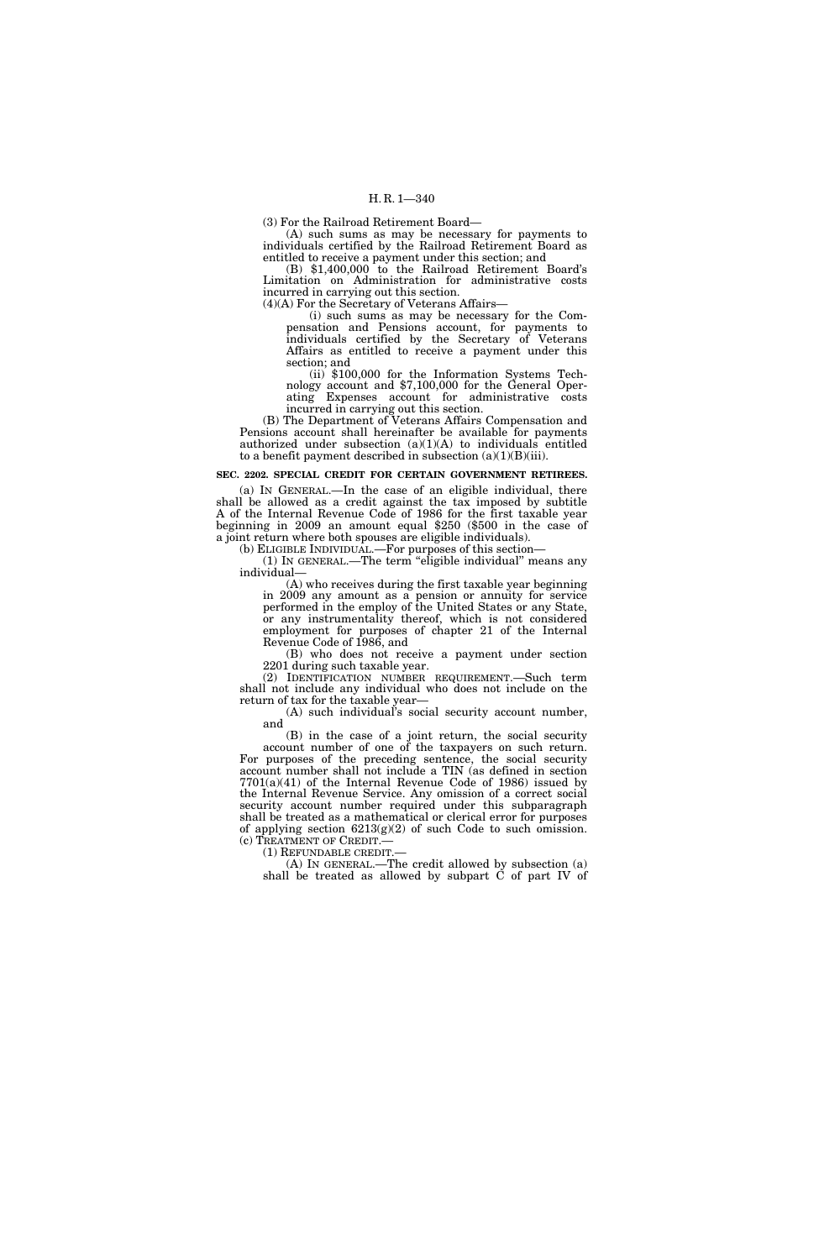(3) For the Railroad Retirement Board—

(A) such sums as may be necessary for payments to individuals certified by the Railroad Retirement Board as entitled to receive a payment under this section; and

(B) \$1,400,000 to the Railroad Retirement Board's Limitation on Administration for administrative costs incurred in carrying out this section.

(4)(A) For the Secretary of Veterans Affairs—

(i) such sums as may be necessary for the Compensation and Pensions account, for payments to individuals certified by the Secretary of Veterans Affairs as entitled to receive a payment under this section; and

(ii) \$100,000 for the Information Systems Technology account and \$7,100,000 for the General Operating Expenses account for administrative costs incurred in carrying out this section.

(B) The Department of Veterans Affairs Compensation and Pensions account shall hereinafter be available for payments authorized under subsection  $(a)(1)(A)$  to individuals entitled to a benefit payment described in subsection  $(a)(1)(B)(iii)$ .

### **SEC. 2202. SPECIAL CREDIT FOR CERTAIN GOVERNMENT RETIREES.**

(a) IN GENERAL.—In the case of an eligible individual, there shall be allowed as a credit against the tax imposed by subtitle A of the Internal Revenue Code of 1986 for the first taxable year beginning in 2009 an amount equal \$250 (\$500 in the case of a joint return where both spouses are eligible individuals).

(b) ELIGIBLE INDIVIDUAL.—For purposes of this section— (1) IN GENERAL.—The term ''eligible individual'' means any individual—

(A) who receives during the first taxable year beginning in 2009 any amount as a pension or annuity for service performed in the employ of the United States or any State, or any instrumentality thereof, which is not considered employment for purposes of chapter 21 of the Internal Revenue Code of 1986, and

(B) who does not receive a payment under section 2201 during such taxable year.

(2) IDENTIFICATION NUMBER REQUIREMENT.—Such term shall not include any individual who does not include on the return of tax for the taxable year—

(A) such individual's social security account number, and

(B) in the case of a joint return, the social security account number of one of the taxpayers on such return. For purposes of the preceding sentence, the social security account number shall not include a TIN (as defined in section 7701(a)(41) of the Internal Revenue Code of 1986) issued by the Internal Revenue Service. Any omission of a correct social security account number required under this subparagraph shall be treated as a mathematical or clerical error for purposes of applying section  $6213(g)(2)$  of such Code to such omission.<br>(c) TREATMENT OF CREDIT.—

(1) REFUNDABLE CREDIT.—<br>(A) IN GENERAL.—The credit allowed by subsection (a) shall be treated as allowed by subpart  $\dot{C}$  of part IV of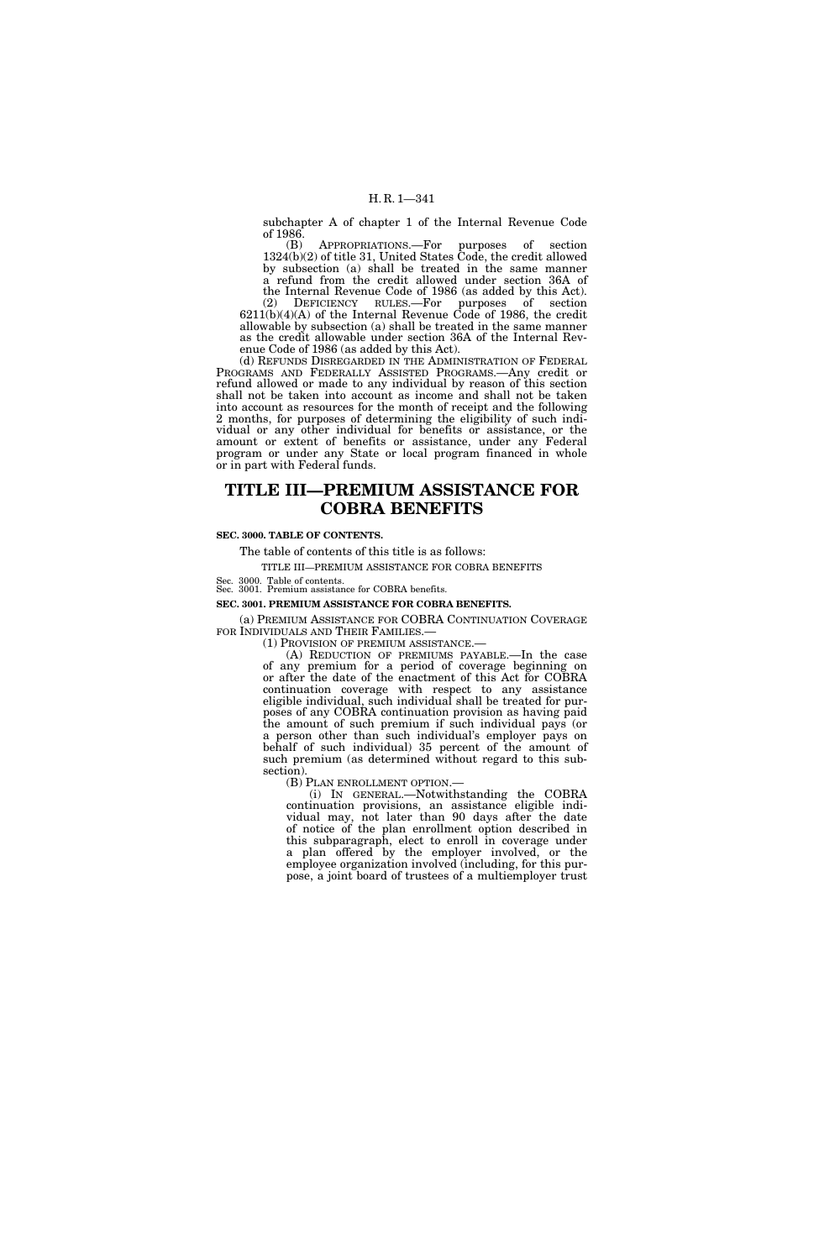subchapter A of chapter 1 of the Internal Revenue Code of 1986.

(B) APPROPRIATIONS.—For purposes of section 1324(b)(2) of title 31, United States Code, the credit allowed by subsection (a) shall be treated in the same manner a refund from the credit allowed under section 36A of the Internal Revenue Code of 1986 (as added by this Act).

(2) DEFICIENCY RULES.—For purposes of section  $6211(b)(4)(A)$  of the Internal Revenue Code of 1986, the credit allowable by subsection (a) shall be treated in the same manner as the credit allowable under section 36A of the Internal Revenue Code of 1986 (as added by this Act).

(d) REFUNDS DISREGARDED IN THE ADMINISTRATION OF FEDERAL PROGRAMS AND FEDERALLY ASSISTED PROGRAMS.—Any credit or refund allowed or made to any individual by reason of this section shall not be taken into account as income and shall not be taken into account as resources for the month of receipt and the following 2 months, for purposes of determining the eligibility of such individual or any other individual for benefits or assistance, or the amount or extent of benefits or assistance, under any Federal program or under any State or local program financed in whole or in part with Federal funds.

# **TITLE III—PREMIUM ASSISTANCE FOR COBRA BENEFITS**

# **SEC. 3000. TABLE OF CONTENTS.**

The table of contents of this title is as follows:

TITLE III—PREMIUM ASSISTANCE FOR COBRA BENEFITS

Sec. 3000. Table of contents. Sec. 3001. Premium assistance for COBRA benefits.

# **SEC. 3001. PREMIUM ASSISTANCE FOR COBRA BENEFITS.**

(a) PREMIUM ASSISTANCE FOR COBRA CONTINUATION COVERAGE

 $F(1)$  Provision of premium assistance.—<br>(A) Reduction of premiums payable.—In the case of any premium for a period of coverage beginning on or after the date of the enactment of this Act for COBRA continuation coverage with respect to any assistance eligible individual, such individual shall be treated for purposes of any COBRA continuation provision as having paid the amount of such premium if such individual pays (or a person other than such individual's employer pays on behalf of such individual) 35 percent of the amount of such premium (as determined without regard to this subsection).

(B) PLAN ENROLLMENT OPTION.—<br>(i) IN GENERAL.—Notwithstanding the COBRA continuation provisions, an assistance eligible individual may, not later than 90 days after the date of notice of the plan enrollment option described in this subparagraph, elect to enroll in coverage under a plan offered by the employer involved, or the employee organization involved (including, for this purpose, a joint board of trustees of a multiemployer trust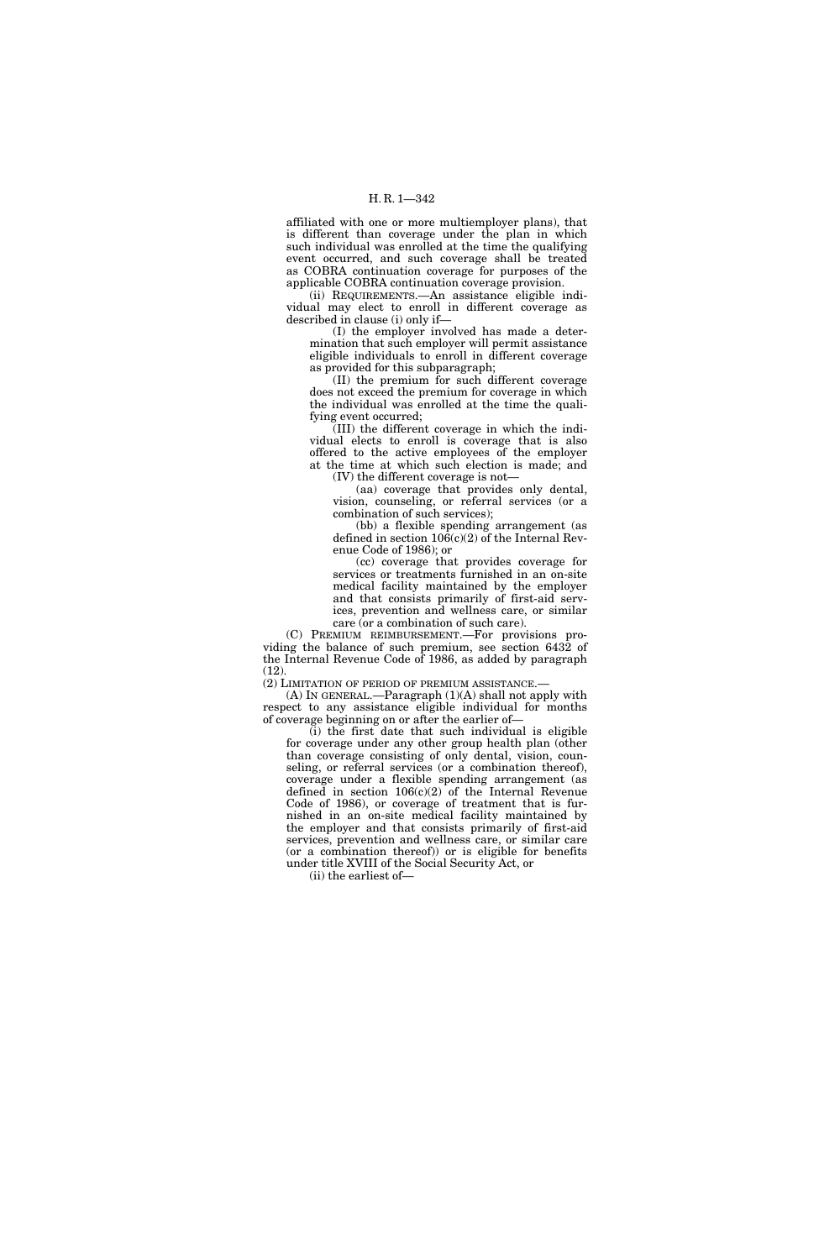affiliated with one or more multiemployer plans), that is different than coverage under the plan in which such individual was enrolled at the time the qualifying event occurred, and such coverage shall be treated as COBRA continuation coverage for purposes of the applicable COBRA continuation coverage provision.

(ii) REQUIREMENTS.—An assistance eligible individual may elect to enroll in different coverage as described in clause (i) only if—

(I) the employer involved has made a determination that such employer will permit assistance eligible individuals to enroll in different coverage as provided for this subparagraph;

(II) the premium for such different coverage does not exceed the premium for coverage in which the individual was enrolled at the time the qualifying event occurred;

(III) the different coverage in which the individual elects to enroll is coverage that is also offered to the active employees of the employer at the time at which such election is made; and (IV) the different coverage is not—

(aa) coverage that provides only dental, vision, counseling, or referral services (or a combination of such services);

(bb) a flexible spending arrangement (as defined in section 106(c)(2) of the Internal Revenue Code of 1986); or

(cc) coverage that provides coverage for services or treatments furnished in an on-site medical facility maintained by the employer and that consists primarily of first-aid services, prevention and wellness care, or similar care (or a combination of such care).

(C) PREMIUM REIMBURSEMENT.—For provisions providing the balance of such premium, see section 6432 of the Internal Revenue Code of 1986, as added by paragraph (12).

(2) LIMITATION OF PERIOD OF PREMIUM ASSISTANCE.—

 $(A)$  In GENERAL.—Paragraph  $(1)(A)$  shall not apply with respect to any assistance eligible individual for months of coverage beginning on or after the earlier of—

 $(i)$  the first date that such individual is eligible for coverage under any other group health plan (other than coverage consisting of only dental, vision, counseling, or referral services (or a combination thereof), coverage under a flexible spending arrangement (as defined in section  $106(c)(2)$  of the Internal Revenue Code of 1986), or coverage of treatment that is furnished in an on-site medical facility maintained by the employer and that consists primarily of first-aid services, prevention and wellness care, or similar care (or a combination thereof)) or is eligible for benefits under title XVIII of the Social Security Act, or

(ii) the earliest of—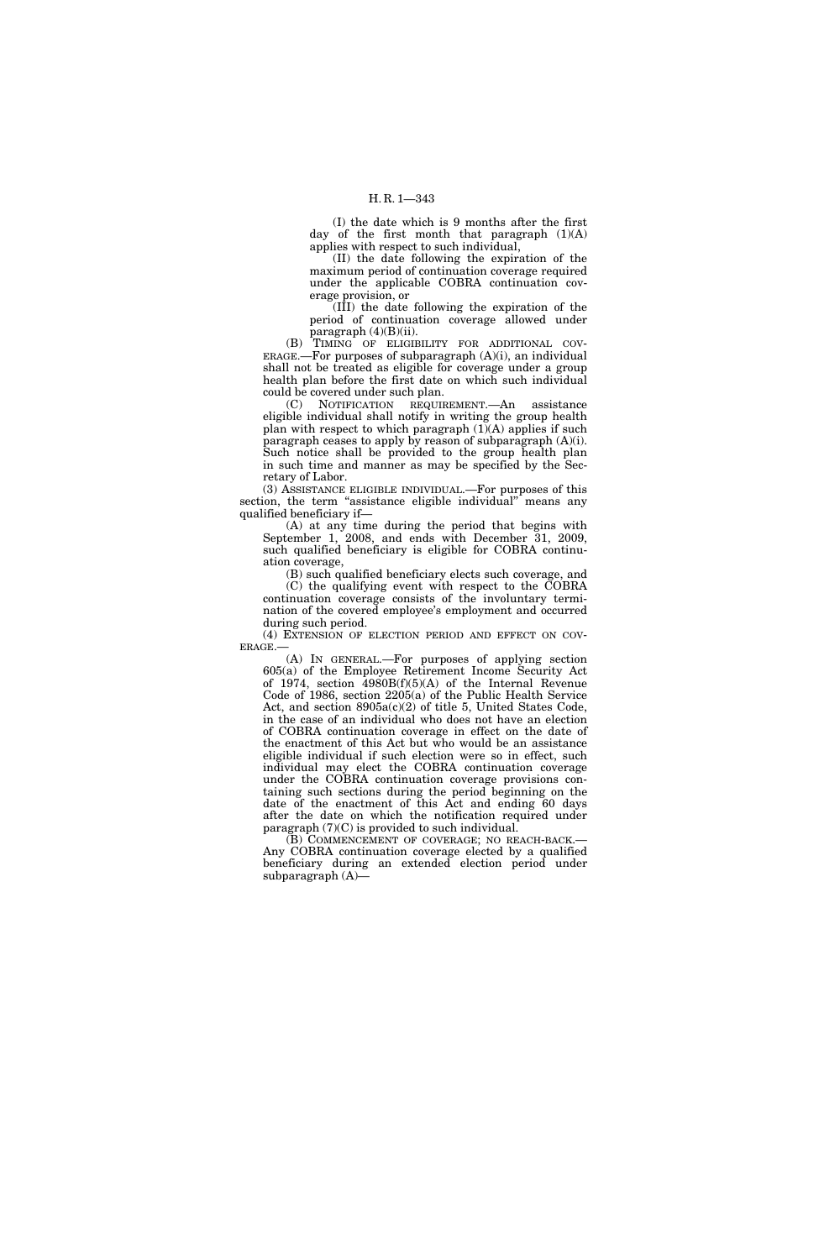(I) the date which is 9 months after the first day of the first month that paragraph  $(1)(A)$ applies with respect to such individual,

(II) the date following the expiration of the maximum period of continuation coverage required under the applicable COBRA continuation coverage provision, or

(III) the date following the expiration of the period of continuation coverage allowed under paragraph  $(4)(B)(ii)$ .

(B) TIMING OF ELIGIBILITY FOR ADDITIONAL COV-ERAGE.—For purposes of subparagraph  $(A)(i)$ , an individual shall not be treated as eligible for coverage under a group health plan before the first date on which such individual could be covered under such plan.

(C) NOTIFICATION REQUIREMENT.—An assistance eligible individual shall notify in writing the group health plan with respect to which paragraph  $(1)(A)$  applies if such paragraph ceases to apply by reason of subparagraph (A)(i). Such notice shall be provided to the group health plan in such time and manner as may be specified by the Secretary of Labor.

(3) ASSISTANCE ELIGIBLE INDIVIDUAL.—For purposes of this section, the term "assistance eligible individual" means any qualified beneficiary if—

(A) at any time during the period that begins with September 1, 2008, and ends with December 31, 2009, such qualified beneficiary is eligible for COBRA continuation coverage,

(B) such qualified beneficiary elects such coverage, and (C) the qualifying event with respect to the COBRA continuation coverage consists of the involuntary termination of the covered employee's employment and occurred during such period.

(4) EXTENSION OF ELECTION PERIOD AND EFFECT ON COV-ERAGE.

(A) IN GENERAL.—For purposes of applying section 605(a) of the Employee Retirement Income Security Act of 1974, section  $\overline{4980B(f)(5)(A)}$  of the Internal Revenue Code of 1986, section 2205(a) of the Public Health Service Act, and section 8905a(c)(2) of title 5, United States Code, in the case of an individual who does not have an election of COBRA continuation coverage in effect on the date of the enactment of this Act but who would be an assistance eligible individual if such election were so in effect, such individual may elect the COBRA continuation coverage under the COBRA continuation coverage provisions containing such sections during the period beginning on the date of the enactment of this Act and ending 60 days after the date on which the notification required under paragraph (7)(C) is provided to such individual.

(B) COMMENCEMENT OF COVERAGE; NO REACH-BACK.— Any COBRA continuation coverage elected by a qualified beneficiary during an extended election period under subparagraph (A)—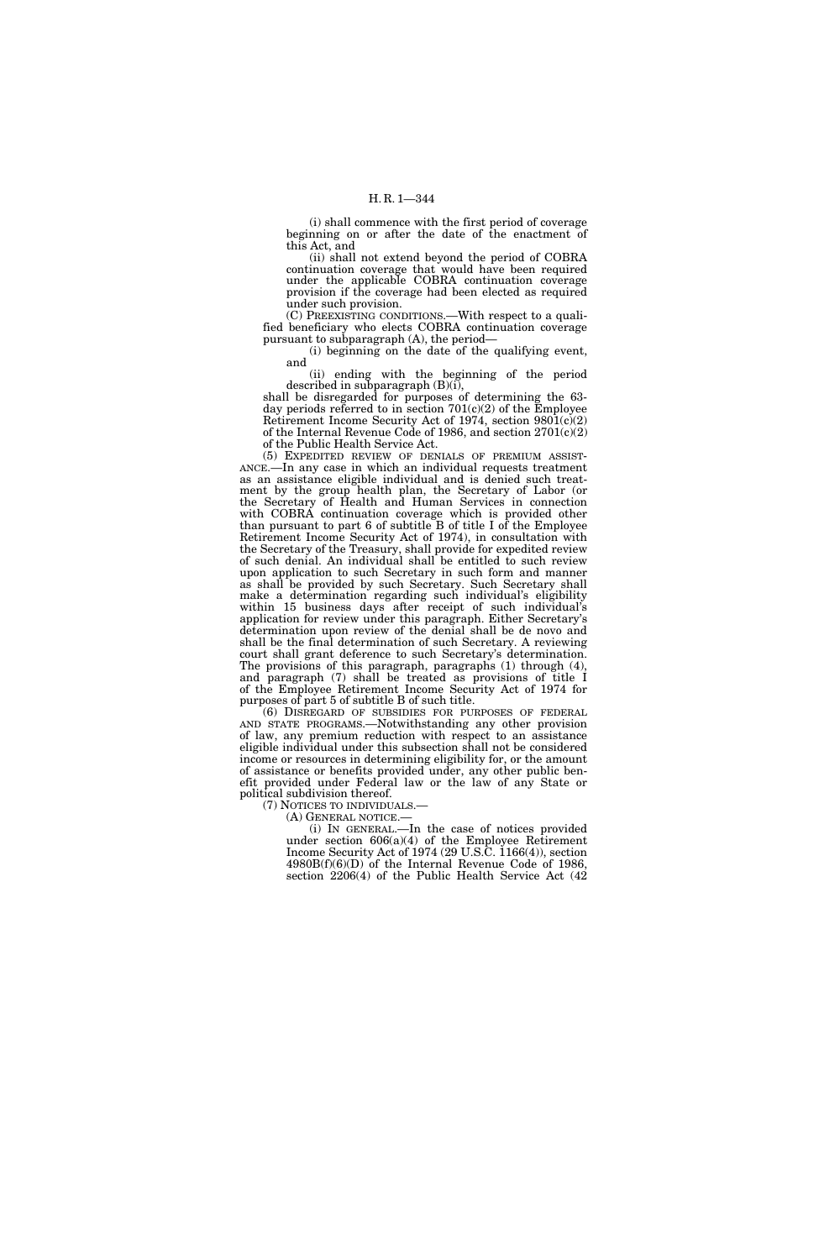(i) shall commence with the first period of coverage beginning on or after the date of the enactment of this Act, and

(ii) shall not extend beyond the period of COBRA continuation coverage that would have been required under the applicable COBRA continuation coverage provision if the coverage had been elected as required under such provision.

(C) PREEXISTING CONDITIONS.—With respect to a qualified beneficiary who elects COBRA continuation coverage pursuant to subparagraph (A), the period—

(i) beginning on the date of the qualifying event, and

(ii) ending with the beginning of the period described in subparagraph (B)(i),

shall be disregarded for purposes of determining the 63day periods referred to in section  $701(c)(2)$  of the Employee Retirement Income Security Act of 1974, section 9801(c)(2) of the Internal Revenue Code of 1986, and section 2701(c)(2) of the Public Health Service Act.

(5) EXPEDITED REVIEW OF DENIALS OF PREMIUM ASSIST-ANCE.—In any case in which an individual requests treatment as an assistance eligible individual and is denied such treatment by the group health plan, the Secretary of Labor (or the Secretary of Health and Human Services in connection with COBRA continuation coverage which is provided other than pursuant to part 6 of subtitle  $\overline{B}$  of title I of the Employee Retirement Income Security Act of 1974), in consultation with the Secretary of the Treasury, shall provide for expedited review of such denial. An individual shall be entitled to such review upon application to such Secretary in such form and manner as shall be provided by such Secretary. Such Secretary shall make a determination regarding such individual's eligibility within 15 business days after receipt of such individual's application for review under this paragraph. Either Secretary's determination upon review of the denial shall be de novo and shall be the final determination of such Secretary. A reviewing court shall grant deference to such Secretary's determination. The provisions of this paragraph, paragraphs (1) through (4), and paragraph (7) shall be treated as provisions of title I of the Employee Retirement Income Security Act of 1974 for purposes of part 5 of subtitle B of such title.

(6) DISREGARD OF SUBSIDIES FOR PURPOSES OF FEDERAL AND STATE PROGRAMS.—Notwithstanding any other provision of law, any premium reduction with respect to an assistance eligible individual under this subsection shall not be considered income or resources in determining eligibility for, or the amount of assistance or benefits provided under, any other public benefit provided under Federal law or the law of any State or political subdivision thereof.<br>(7) NOTICES TO INDIVIDUALS.—

(A) GENERAL NOTICE.—<br>(i) IN GENERAL.—In the case of notices provided under section 606(a)(4) of the Employee Retirement Income Security Act of 1974 (29 U.S.C. 1166(4)), section 4980B(f)(6)(D) of the Internal Revenue Code of 1986, section 2206(4) of the Public Health Service Act (42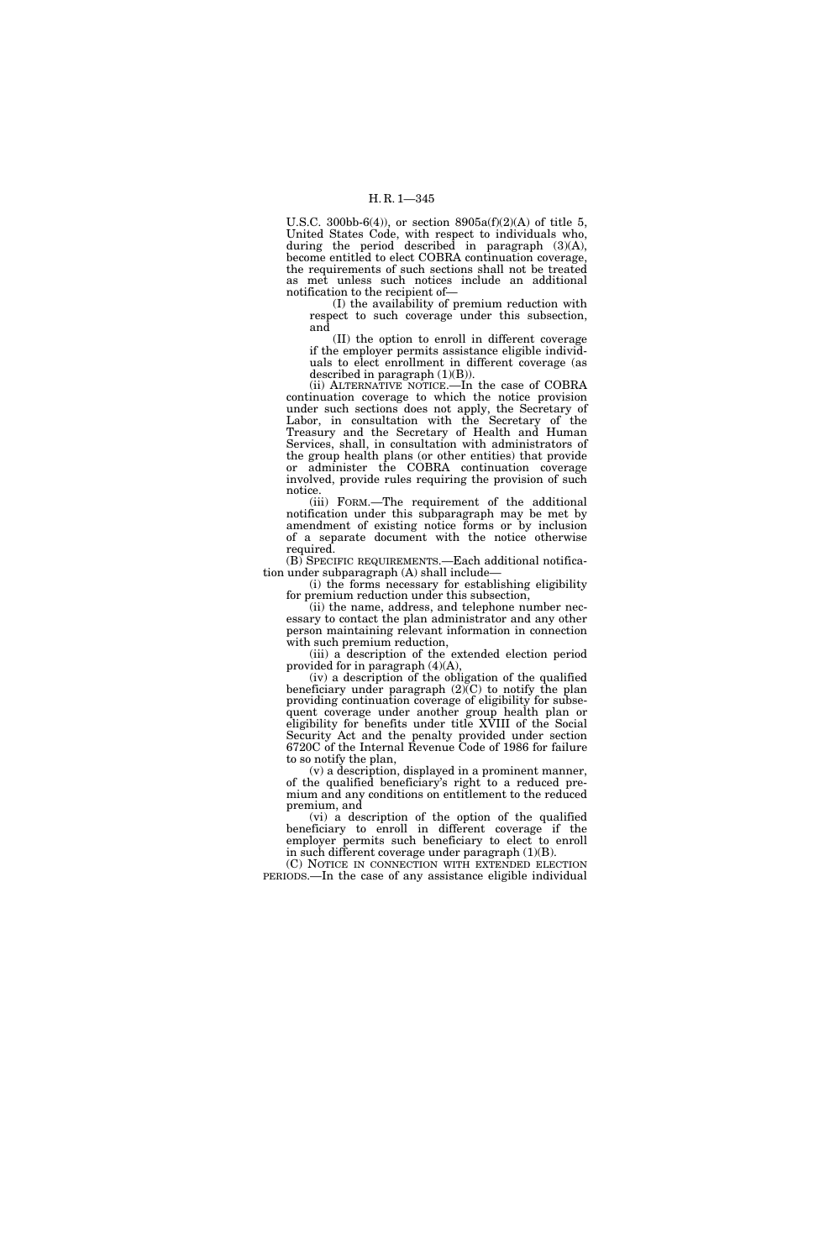U.S.C. 300bb-6(4)), or section  $8905a(f)(2)(A)$  of title 5, United States Code, with respect to individuals who, during the period described in paragraph (3)(A), become entitled to elect COBRA continuation coverage, the requirements of such sections shall not be treated as met unless such notices include an additional notification to the recipient of—

(I) the availability of premium reduction with respect to such coverage under this subsection, and

(II) the option to enroll in different coverage if the employer permits assistance eligible individuals to elect enrollment in different coverage (as described in paragraph (1)(B)).

(ii) ALTERNATIVE NOTICE.—In the case of COBRA continuation coverage to which the notice provision under such sections does not apply, the Secretary of Labor, in consultation with the Secretary of the Treasury and the Secretary of Health and Human Services, shall, in consultation with administrators of the group health plans (or other entities) that provide or administer the COBRA continuation coverage involved, provide rules requiring the provision of such notice.

(iii) FORM.—The requirement of the additional notification under this subparagraph may be met by amendment of existing notice forms or by inclusion of a separate document with the notice otherwise required.

(B) SPECIFIC REQUIREMENTS.—Each additional notification under subparagraph (A) shall include—

(i) the forms necessary for establishing eligibility for premium reduction under this subsection,

(ii) the name, address, and telephone number necessary to contact the plan administrator and any other person maintaining relevant information in connection with such premium reduction,

(iii) a description of the extended election period provided for in paragraph (4)(A),

(iv) a description of the obligation of the qualified beneficiary under paragraph  $(2)$ (C) to notify the plan providing continuation coverage of eligibility for subsequent coverage under another group health plan or eligibility for benefits under title XVIII of the Social Security Act and the penalty provided under section 6720C of the Internal Revenue Code of 1986 for failure to so notify the plan,

(v) a description, displayed in a prominent manner, of the qualified beneficiary's right to a reduced premium and any conditions on entitlement to the reduced premium, and

(vi) a description of the option of the qualified beneficiary to enroll in different coverage if the employer permits such beneficiary to elect to enroll in such different coverage under paragraph (1)(B).

(C) NOTICE IN CONNECTION WITH EXTENDED ELECTION PERIODS.—In the case of any assistance eligible individual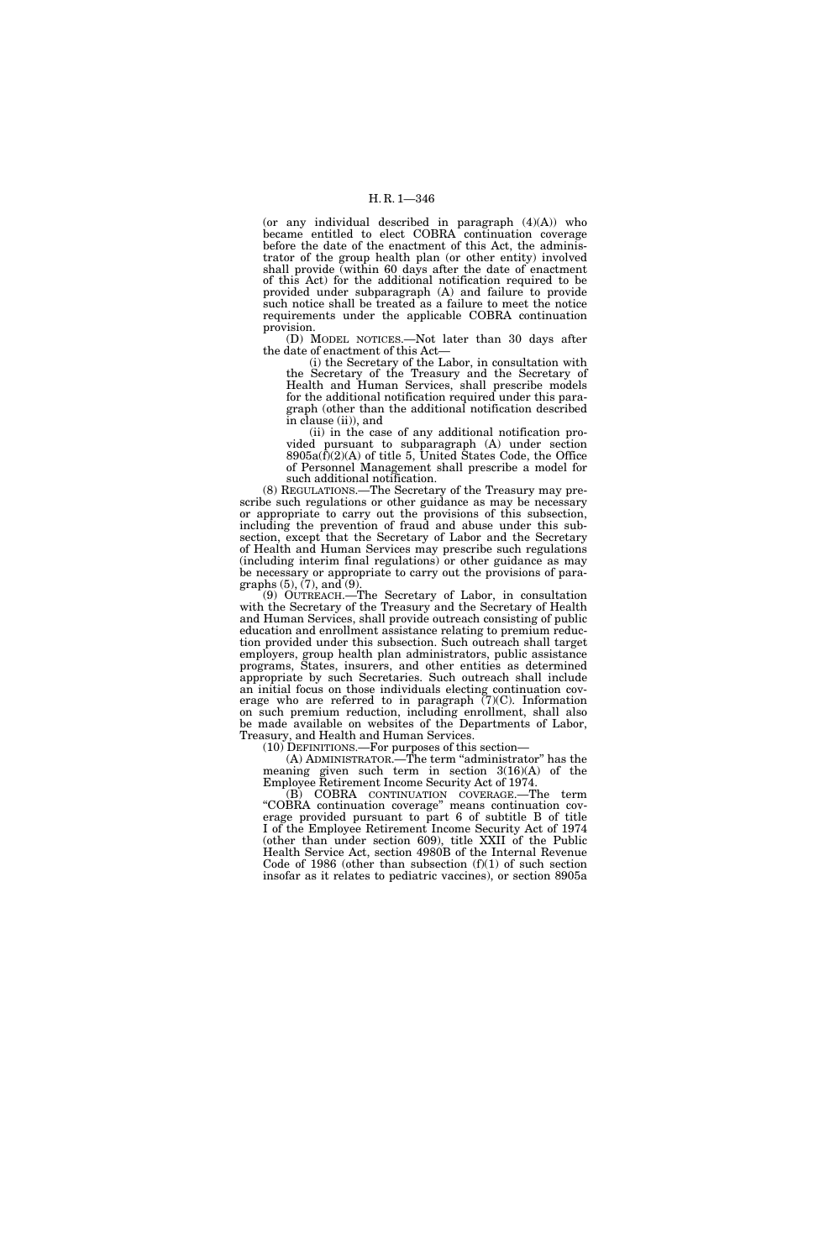(or any individual described in paragraph (4)(A)) who became entitled to elect COBRA continuation coverage before the date of the enactment of this Act, the administrator of the group health plan (or other entity) involved shall provide (within 60 days after the date of enactment of this Act) for the additional notification required to be provided under subparagraph (A) and failure to provide such notice shall be treated as a failure to meet the notice requirements under the applicable COBRA continuation provision.

(D) MODEL NOTICES.—Not later than 30 days after the date of enactment of this Act—

(i) the Secretary of the Labor, in consultation with the Secretary of the Treasury and the Secretary of Health and Human Services, shall prescribe models for the additional notification required under this paragraph (other than the additional notification described in clause (ii)), and

(ii) in the case of any additional notification provided pursuant to subparagraph (A) under section  $8905a(\bar{f})(2)(A)$  of title 5, United States Code, the Office of Personnel Management shall prescribe a model for such additional notification.

(8) REGULATIONS.—The Secretary of the Treasury may prescribe such regulations or other guidance as may be necessary or appropriate to carry out the provisions of this subsection, including the prevention of fraud and abuse under this subsection, except that the Secretary of Labor and the Secretary of Health and Human Services may prescribe such regulations (including interim final regulations) or other guidance as may be necessary or appropriate to carry out the provisions of paragraphs  $(5)$ ,  $(7)$ , and  $(9)$ .

(9) OUTREACH.—The Secretary of Labor, in consultation with the Secretary of the Treasury and the Secretary of Health and Human Services, shall provide outreach consisting of public education and enrollment assistance relating to premium reduction provided under this subsection. Such outreach shall target employers, group health plan administrators, public assistance programs, States, insurers, and other entities as determined appropriate by such Secretaries. Such outreach shall include an initial focus on those individuals electing continuation coverage who are referred to in paragraph  $(7)(C)$ . Information on such premium reduction, including enrollment, shall also be made available on websites of the Departments of Labor, Treasury, and Health and Human Services.

(10) DEFINITIONS.—For purposes of this section—

(A) ADMINISTRATOR.—The term ''administrator'' has the meaning given such term in section 3(16)(A) of the Employee Retirement Income Security Act of 1974.

(B) COBRA CONTINUATION COVERAGE.—The term ''COBRA continuation coverage'' means continuation coverage provided pursuant to part 6 of subtitle B of title I of the Employee Retirement Income Security Act of 1974 (other than under section 609), title XXII of the Public Health Service Act, section 4980B of the Internal Revenue Code of 1986 (other than subsection  $(f)(1)$  of such section insofar as it relates to pediatric vaccines), or section 8905a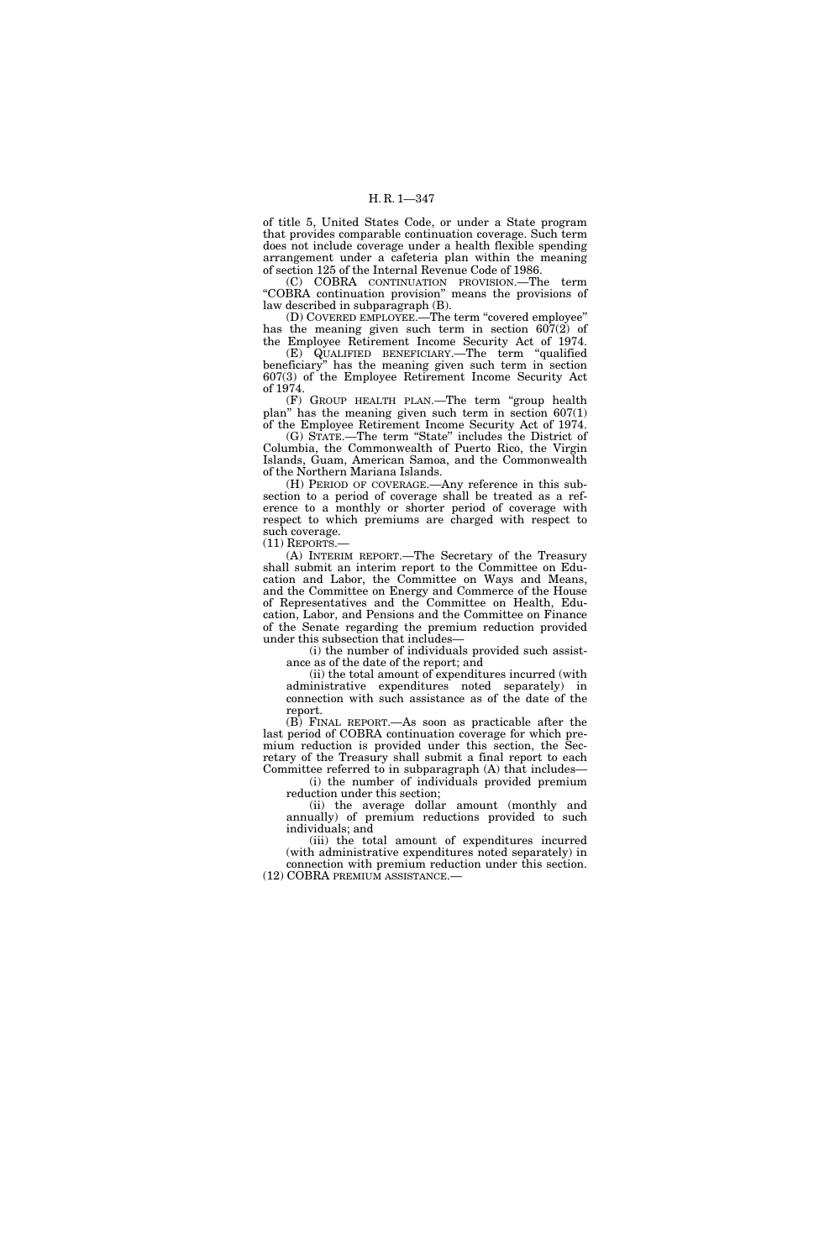of title 5, United States Code, or under a State program that provides comparable continuation coverage. Such term does not include coverage under a health flexible spending arrangement under a cafeteria plan within the meaning of section 125 of the Internal Revenue Code of 1986.

(C) COBRA CONTINUATION PROVISION.—The term ''COBRA continuation provision'' means the provisions of law described in subparagraph (B).

(D) COVERED EMPLOYEE.—The term ''covered employee'' has the meaning given such term in section 607(2) of the Employee Retirement Income Security Act of 1974.

(E) QUALIFIED BENEFICIARY.—The term ''qualified beneficiary'' has the meaning given such term in section 607(3) of the Employee Retirement Income Security Act of 1974.

(F) GROUP HEALTH PLAN.—The term ''group health plan" has the meaning given such term in section  $607(1)$ of the Employee Retirement Income Security Act of 1974.

(G) STATE.—The term ''State'' includes the District of Columbia, the Commonwealth of Puerto Rico, the Virgin Islands, Guam, American Samoa, and the Commonwealth of the Northern Mariana Islands.

(H) PERIOD OF COVERAGE.—Any reference in this subsection to a period of coverage shall be treated as a reference to a monthly or shorter period of coverage with respect to which premiums are charged with respect to such coverage.

(11) REPORTS.—

(A) INTERIM REPORT.—The Secretary of the Treasury shall submit an interim report to the Committee on Education and Labor, the Committee on Ways and Means, and the Committee on Energy and Commerce of the House of Representatives and the Committee on Health, Education, Labor, and Pensions and the Committee on Finance of the Senate regarding the premium reduction provided under this subsection that includes—

(i) the number of individuals provided such assistance as of the date of the report; and

(ii) the total amount of expenditures incurred (with administrative expenditures noted separately) in connection with such assistance as of the date of the report.

(B) FINAL REPORT.—As soon as practicable after the last period of COBRA continuation coverage for which premium reduction is provided under this section, the Secretary of the Treasury shall submit a final report to each Committee referred to in subparagraph (A) that includes—

(i) the number of individuals provided premium reduction under this section;

(ii) the average dollar amount (monthly and annually) of premium reductions provided to such individuals; and

(iii) the total amount of expenditures incurred (with administrative expenditures noted separately) in connection with premium reduction under this section. (12) COBRA PREMIUM ASSISTANCE.—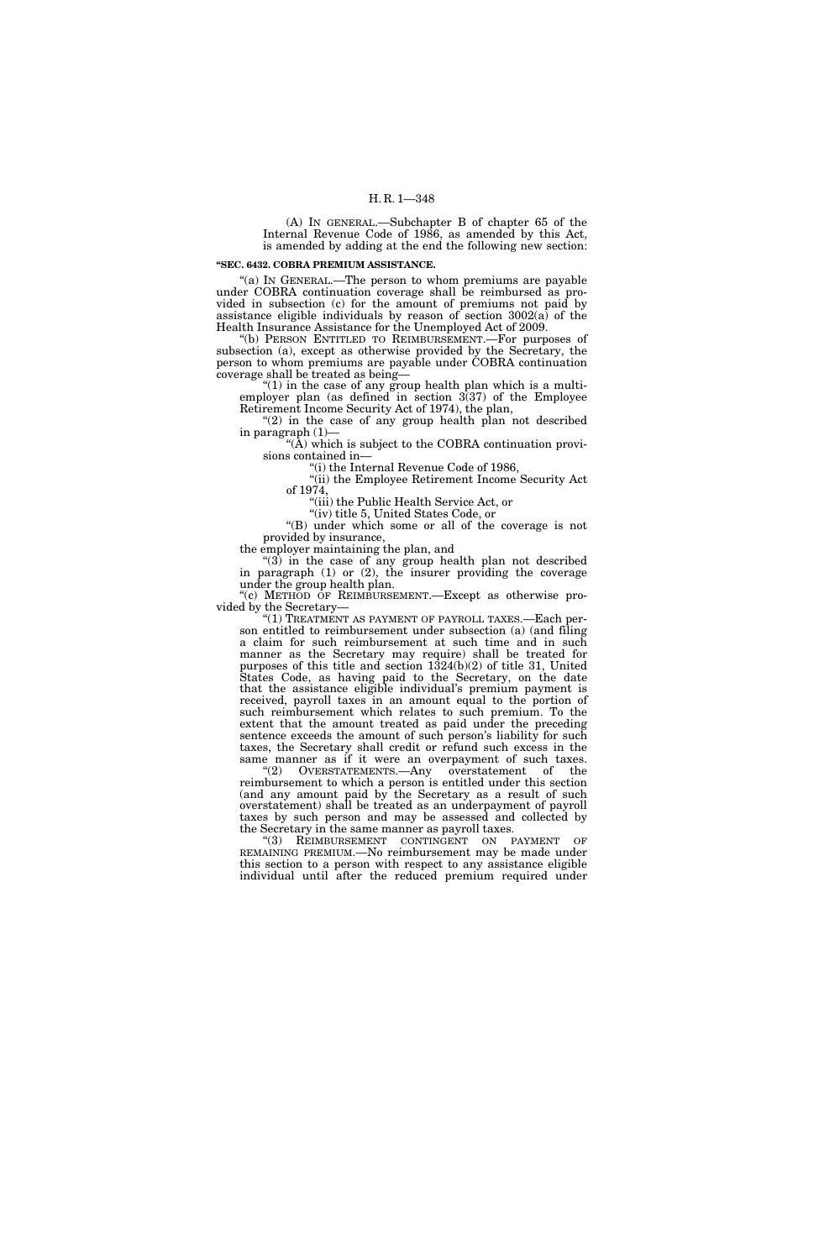(A) IN GENERAL.—Subchapter B of chapter 65 of the Internal Revenue Code of 1986, as amended by this Act, is amended by adding at the end the following new section:

#### **''SEC. 6432. COBRA PREMIUM ASSISTANCE.**

''(a) IN GENERAL.—The person to whom premiums are payable under COBRA continuation coverage shall be reimbursed as provided in subsection (c) for the amount of premiums not paid by assistance eligible individuals by reason of section 3002(a) of the Health Insurance Assistance for the Unemployed Act of 2009.

''(b) PERSON ENTITLED TO REIMBURSEMENT.—For purposes of subsection (a), except as otherwise provided by the Secretary, the person to whom premiums are payable under COBRA continuation coverage shall be treated as being—

''(1) in the case of any group health plan which is a multiemployer plan (as defined in section 3(37) of the Employee Retirement Income Security Act of 1974), the plan,

"(2) in the case of any group health plan not described in paragraph (1)—

" $(\overline{A})$  which is subject to the COBRA continuation provisions contained in—

''(i) the Internal Revenue Code of 1986, ''(ii) the Employee Retirement Income Security Act

of 1974,

''(iii) the Public Health Service Act, or ''(iv) title 5, United States Code, or

''(B) under which some or all of the coverage is not provided by insurance,

the employer maintaining the plan, and

''(3) in the case of any group health plan not described in paragraph  $(1)$  or  $(2)$ , the insurer providing the coverage under the group health plan.

"(c) METHOD OF REIMBURSEMENT.—Except as otherwise provided by the Secretary—

"(1) TREATMENT AS PAYMENT OF PAYROLL TAXES.—Each person entitled to reimbursement under subsection (a) (and filing a claim for such reimbursement at such time and in such manner as the Secretary may require) shall be treated for purposes of this title and section 1324(b)(2) of title 31, United States Code, as having paid to the Secretary, on the date that the assistance eligible individual's premium payment is received, payroll taxes in an amount equal to the portion of such reimbursement which relates to such premium. To the extent that the amount treated as paid under the preceding sentence exceeds the amount of such person's liability for such taxes, the Secretary shall credit or refund such excess in the same manner as if it were an overpayment of such taxes.

''(2) OVERSTATEMENTS.—Any overstatement of the reimbursement to which a person is entitled under this section (and any amount paid by the Secretary as a result of such overstatement) shall be treated as an underpayment of payroll taxes by such person and may be assessed and collected by the Secretary in the same manner as payroll taxes.

"(3) REIMBURSEMENT CONTINGENT ON PAYMENT OF REMAINING PREMIUM.—No reimbursement may be made under this section to a person with respect to any assistance eligible individual until after the reduced premium required under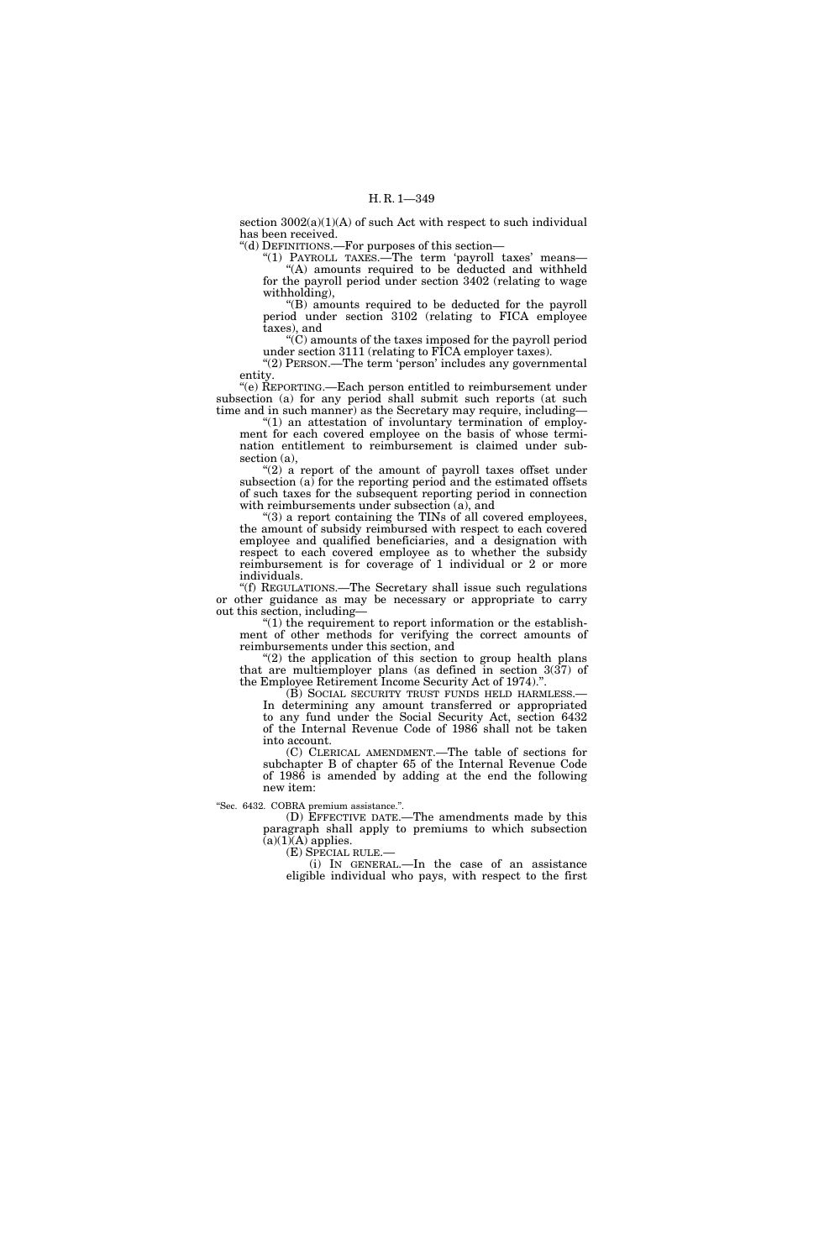section  $3002(a)(1)(A)$  of such Act with respect to such individual has been received.

''(d) DEFINITIONS.—For purposes of this section—

"(1) PAYROLL TAXES.—The term 'payroll taxes' means—

"(A) amounts required to be deducted and withheld for the payroll period under section 3402 (relating to wage withholding),

''(B) amounts required to be deducted for the payroll period under section 3102 (relating to FICA employee taxes), and

 $\mathcal{C}(C)$  amounts of the taxes imposed for the payroll period under section 3111 (relating to FICA employer taxes).

''(2) PERSON.—The term 'person' includes any governmental entity.

''(e) REPORTING.—Each person entitled to reimbursement under subsection (a) for any period shall submit such reports (at such time and in such manner) as the Secretary may require, including—

"(1) an attestation of involuntary termination of employment for each covered employee on the basis of whose termination entitlement to reimbursement is claimed under subsection (a),

''(2) a report of the amount of payroll taxes offset under subsection  $(a)$  for the reporting period and the estimated offsets of such taxes for the subsequent reporting period in connection with reimbursements under subsection (a), and

''(3) a report containing the TINs of all covered employees, the amount of subsidy reimbursed with respect to each covered employee and qualified beneficiaries, and a designation with respect to each covered employee as to whether the subsidy reimbursement is for coverage of 1 individual or 2 or more individuals.

''(f) REGULATIONS.—The Secretary shall issue such regulations or other guidance as may be necessary or appropriate to carry out this section, including—

" $(1)$  the requirement to report information or the establishment of other methods for verifying the correct amounts of reimbursements under this section, and

" $(2)$  the application of this section to group health plans" that are multiemployer plans (as defined in section 3(37) of the Employee Retirement Income Security Act of 1974).''.

(B) SOCIAL SECURITY TRUST FUNDS HELD HARMLESS.— In determining any amount transferred or appropriated to any fund under the Social Security Act, section 6432 of the Internal Revenue Code of 1986 shall not be taken into account.

(C) CLERICAL AMENDMENT.—The table of sections for subchapter B of chapter 65 of the Internal Revenue Code of 1986 is amended by adding at the end the following new item:

''Sec. 6432. COBRA premium assistance.''.

(D) EFFECTIVE DATE.—The amendments made by this paragraph shall apply to premiums to which subsection  $(a)(1)(A)$  applies.

(E) SPECIAL RULE.—

(i) IN GENERAL.—In the case of an assistance eligible individual who pays, with respect to the first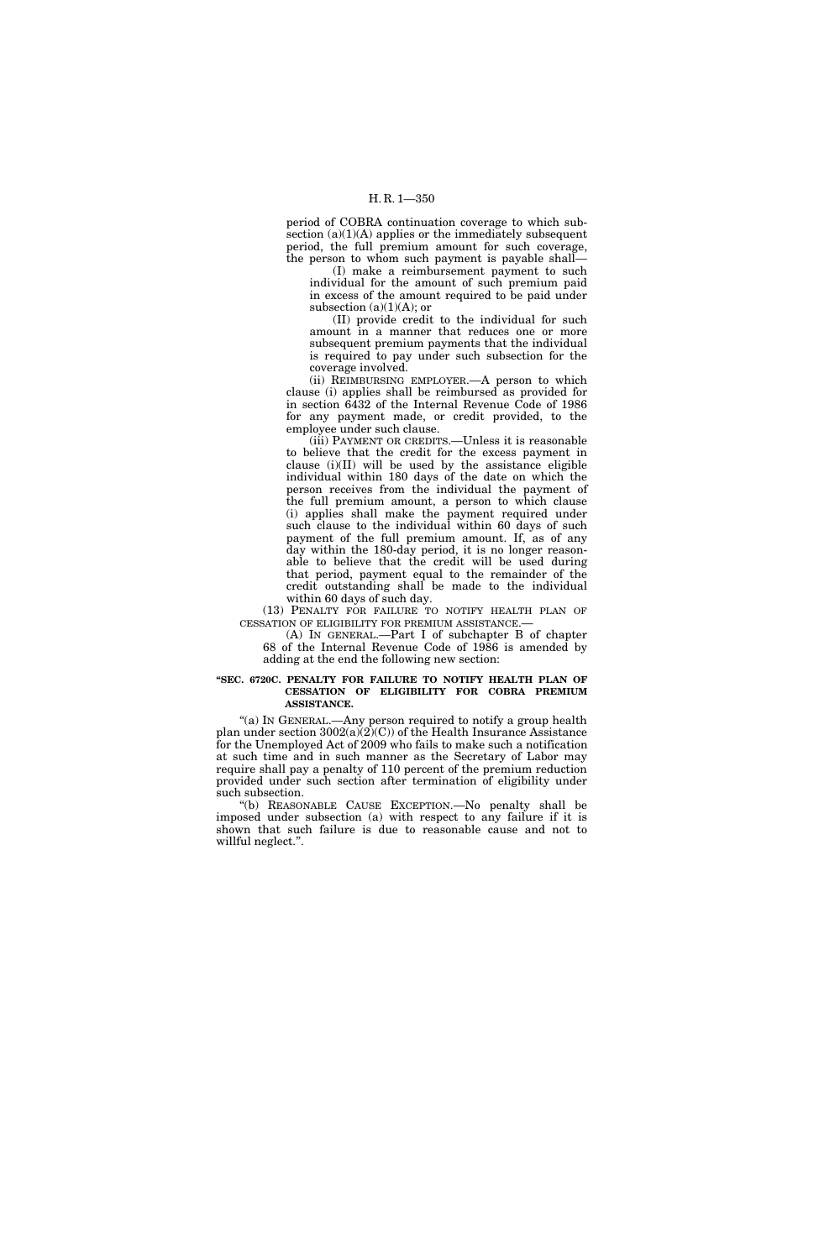period of COBRA continuation coverage to which subsection  $(a)(1)(A)$  applies or the immediately subsequent period, the full premium amount for such coverage, the person to whom such payment is payable shall—

(I) make a reimbursement payment to such individual for the amount of such premium paid in excess of the amount required to be paid under subsection  $(a)(1)(A)$ ; or

(II) provide credit to the individual for such amount in a manner that reduces one or more subsequent premium payments that the individual is required to pay under such subsection for the coverage involved.

(ii) REIMBURSING EMPLOYER.—A person to which clause (i) applies shall be reimbursed as provided for in section 6432 of the Internal Revenue Code of 1986 for any payment made, or credit provided, to the employee under such clause.

(iii) PAYMENT OR CREDITS.—Unless it is reasonable to believe that the credit for the excess payment in clause (i)(II) will be used by the assistance eligible individual within 180 days of the date on which the person receives from the individual the payment of the full premium amount, a person to which clause (i) applies shall make the payment required under such clause to the individual within 60 days of such payment of the full premium amount. If, as of any day within the 180-day period, it is no longer reasonable to believe that the credit will be used during that period, payment equal to the remainder of the credit outstanding shall be made to the individual within 60 days of such day.

(13) PENALTY FOR FAILURE TO NOTIFY HEALTH PLAN OF CESSATION OF ELIGIBILITY FOR PREMIUM ASSISTANCE.—

(A) IN GENERAL.—Part I of subchapter B of chapter 68 of the Internal Revenue Code of 1986 is amended by adding at the end the following new section:

### **''SEC. 6720C. PENALTY FOR FAILURE TO NOTIFY HEALTH PLAN OF CESSATION OF ELIGIBILITY FOR COBRA PREMIUM ASSISTANCE.**

"(a) In GENERAL.—Any person required to notify a group health plan under section  $3002(a)(2)(C)$  of the Health Insurance Assistance for the Unemployed Act of 2009 who fails to make such a notification at such time and in such manner as the Secretary of Labor may require shall pay a penalty of 110 percent of the premium reduction provided under such section after termination of eligibility under such subsection.

''(b) REASONABLE CAUSE EXCEPTION.—No penalty shall be imposed under subsection (a) with respect to any failure if it is shown that such failure is due to reasonable cause and not to willful neglect.''.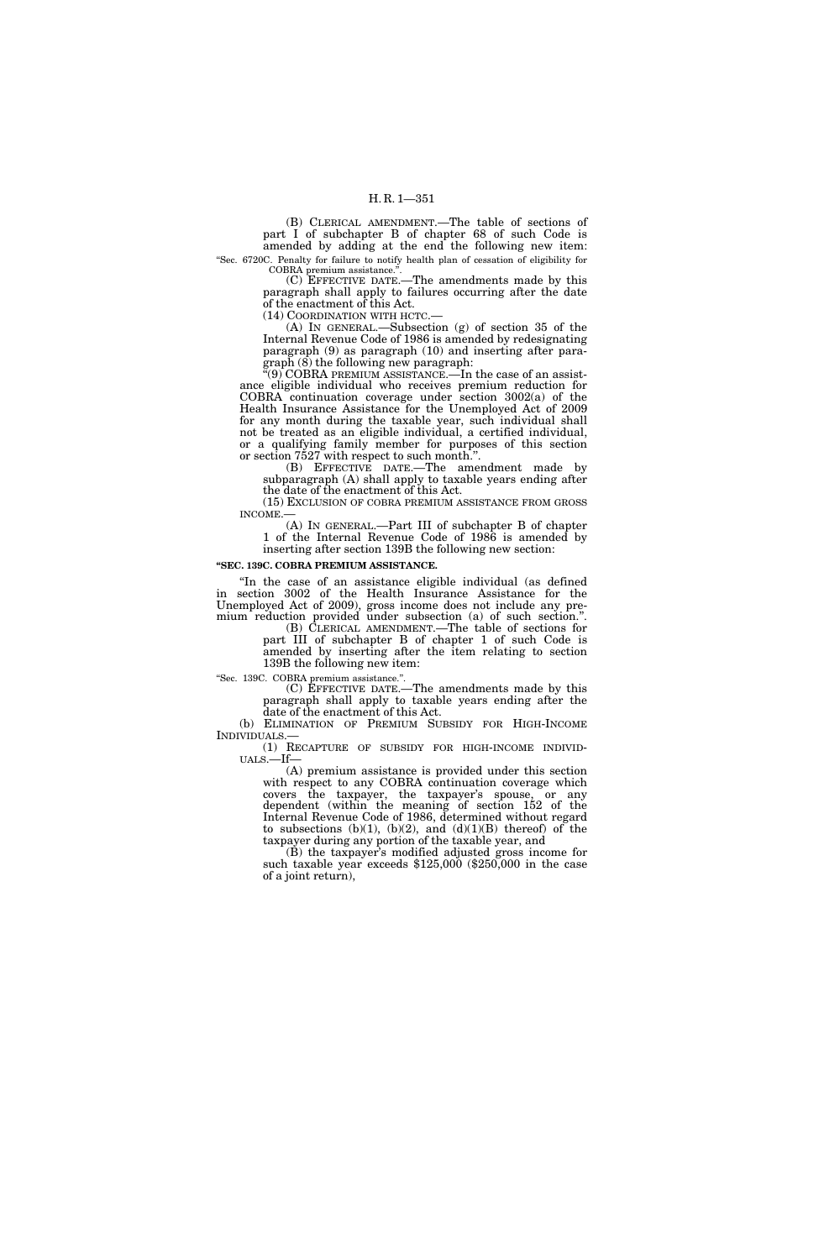# H. R. 1—351

(B) CLERICAL AMENDMENT.—The table of sections of part I of subchapter B of chapter 68 of such Code is amended by adding at the end the following new item: ''Sec. 6720C. Penalty for failure to notify health plan of cessation of eligibility for

COBRA premium assistance. (C) EFFECTIVE DATE.—The amendments made by this

paragraph shall apply to failures occurring after the date of the enactment of this Act.

(14) COORDINATION WITH HCTC.—

(A) IN GENERAL.—Subsection (g) of section 35 of the Internal Revenue Code of 1986 is amended by redesignating paragraph (9) as paragraph (10) and inserting after paragraph  $(8)$  the following new paragraph:

 $\widetilde{C}(9)$  COBRA PREMIUM ASSISTANCE.—In the case of an assistance eligible individual who receives premium reduction for COBRA continuation coverage under section 3002(a) of the Health Insurance Assistance for the Unemployed Act of 2009 for any month during the taxable year, such individual shall not be treated as an eligible individual, a certified individual, or a qualifying family member for purposes of this section or section 7527 with respect to such month.''.

(B) EFFECTIVE DATE.—The amendment made by subparagraph (A) shall apply to taxable years ending after the date of the enactment of this Act.

(15) EXCLUSION OF COBRA PREMIUM ASSISTANCE FROM GROSS INCOME.—

(A) IN GENERAL.—Part III of subchapter B of chapter 1 of the Internal Revenue Code of 1986 is amended by inserting after section 139B the following new section:

#### **''SEC. 139C. COBRA PREMIUM ASSISTANCE.**

''In the case of an assistance eligible individual (as defined in section 3002 of the Health Insurance Assistance for the Unemployed Act of 2009), gross income does not include any premium reduction provided under subsection (a) of such section.''.

(B) CLERICAL AMENDMENT.—The table of sections for part III of subchapter B of chapter 1 of such Code is amended by inserting after the item relating to section 139B the following new item:

''Sec. 139C. COBRA premium assistance.''.

(C) EFFECTIVE DATE.—The amendments made by this paragraph shall apply to taxable years ending after the date of the enactment of this Act.

(b) ELIMINATION OF PREMIUM SUBSIDY FOR HIGH-INCOME INDIVIDUALS.—

(1) RECAPTURE OF SUBSIDY FOR HIGH-INCOME INDIVID- UALS.—If—

(A) premium assistance is provided under this section with respect to any COBRA continuation coverage which covers the taxpayer, the taxpayer's spouse, or any dependent (within the meaning of section 152 of the Internal Revenue Code of 1986, determined without regard to subsections  $(b)(1)$ ,  $(b)(2)$ , and  $(d)(1)(B)$  thereof) of the taxpayer during any portion of the taxable year, and

(B) the taxpayer's modified adjusted gross income for such taxable year exceeds \$125,000 (\$250,000 in the case of a joint return),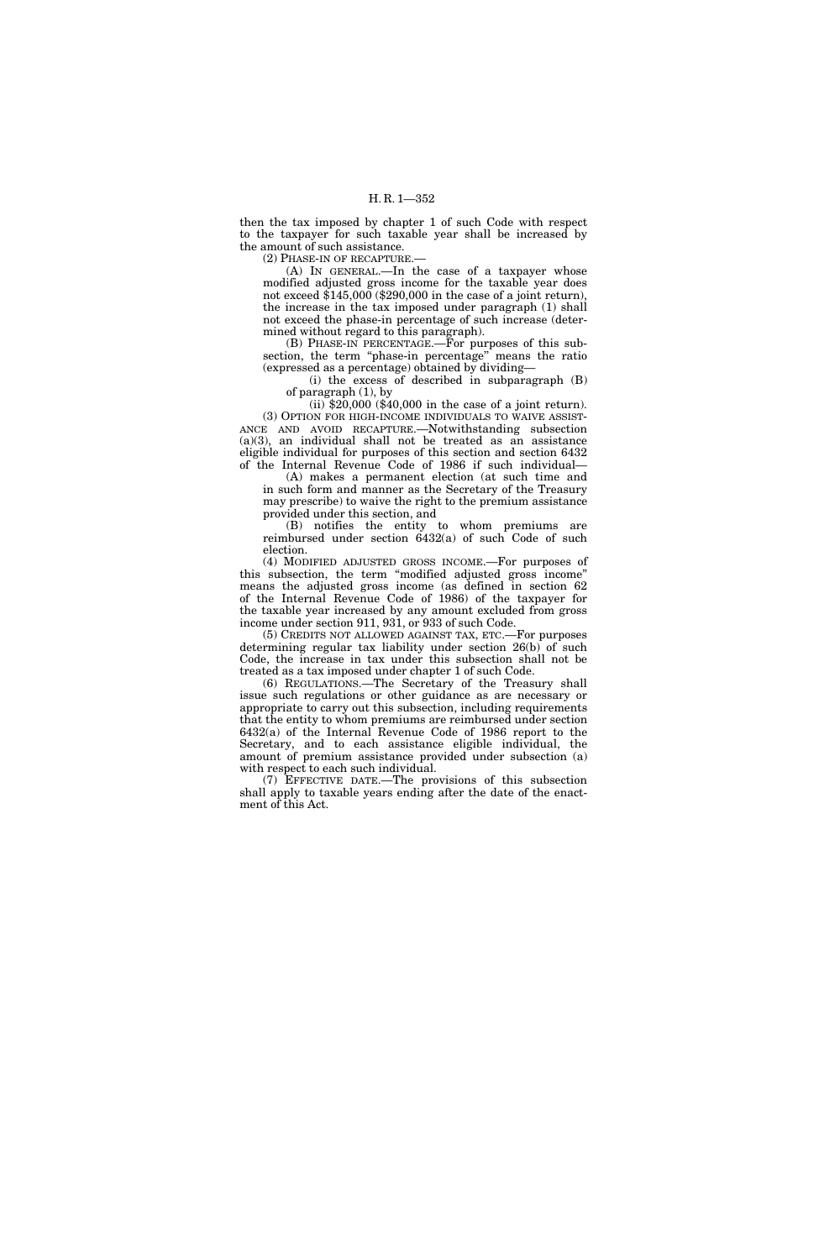then the tax imposed by chapter 1 of such Code with respect to the taxpayer for such taxable year shall be increased by the amount of such assistance.

(2) PHASE-IN OF RECAPTURE.

(A) IN GENERAL.—In the case of a taxpayer whose modified adjusted gross income for the taxable year does not exceed  $$145,000$  (\$290,000 in the case of a joint return), the increase in the tax imposed under paragraph (1) shall not exceed the phase-in percentage of such increase (determined without regard to this paragraph).

(B) PHASE-IN PERCENTAGE.—For purposes of this subsection, the term ''phase-in percentage'' means the ratio (expressed as a percentage) obtained by dividing—

(i) the excess of described in subparagraph (B) of paragraph (1), by

(ii) \$20,000 (\$40,000 in the case of a joint return). (3) OPTION FOR HIGH-INCOME INDIVIDUALS TO WAIVE ASSIST-ANCE AND AVOID RECAPTURE.—Notwithstanding subsection (a)(3), an individual shall not be treated as an assistance eligible individual for purposes of this section and section 6432 of the Internal Revenue Code of 1986 if such individual—

(A) makes a permanent election (at such time and in such form and manner as the Secretary of the Treasury may prescribe) to waive the right to the premium assistance provided under this section, and

(B) notifies the entity to whom premiums are reimbursed under section 6432(a) of such Code of such election.

(4) MODIFIED ADJUSTED GROSS INCOME.—For purposes of this subsection, the term ''modified adjusted gross income'' means the adjusted gross income (as defined in section 62 of the Internal Revenue Code of 1986) of the taxpayer for the taxable year increased by any amount excluded from gross income under section 911, 931, or 933 of such Code.

(5) CREDITS NOT ALLOWED AGAINST TAX, ETC.—For purposes determining regular tax liability under section 26(b) of such Code, the increase in tax under this subsection shall not be treated as a tax imposed under chapter 1 of such Code.

(6) REGULATIONS.—The Secretary of the Treasury shall issue such regulations or other guidance as are necessary or appropriate to carry out this subsection, including requirements that the entity to whom premiums are reimbursed under section 6432(a) of the Internal Revenue Code of 1986 report to the Secretary, and to each assistance eligible individual, the amount of premium assistance provided under subsection (a) with respect to each such individual.

(7) EFFECTIVE DATE.—The provisions of this subsection shall apply to taxable years ending after the date of the enactment of this Act.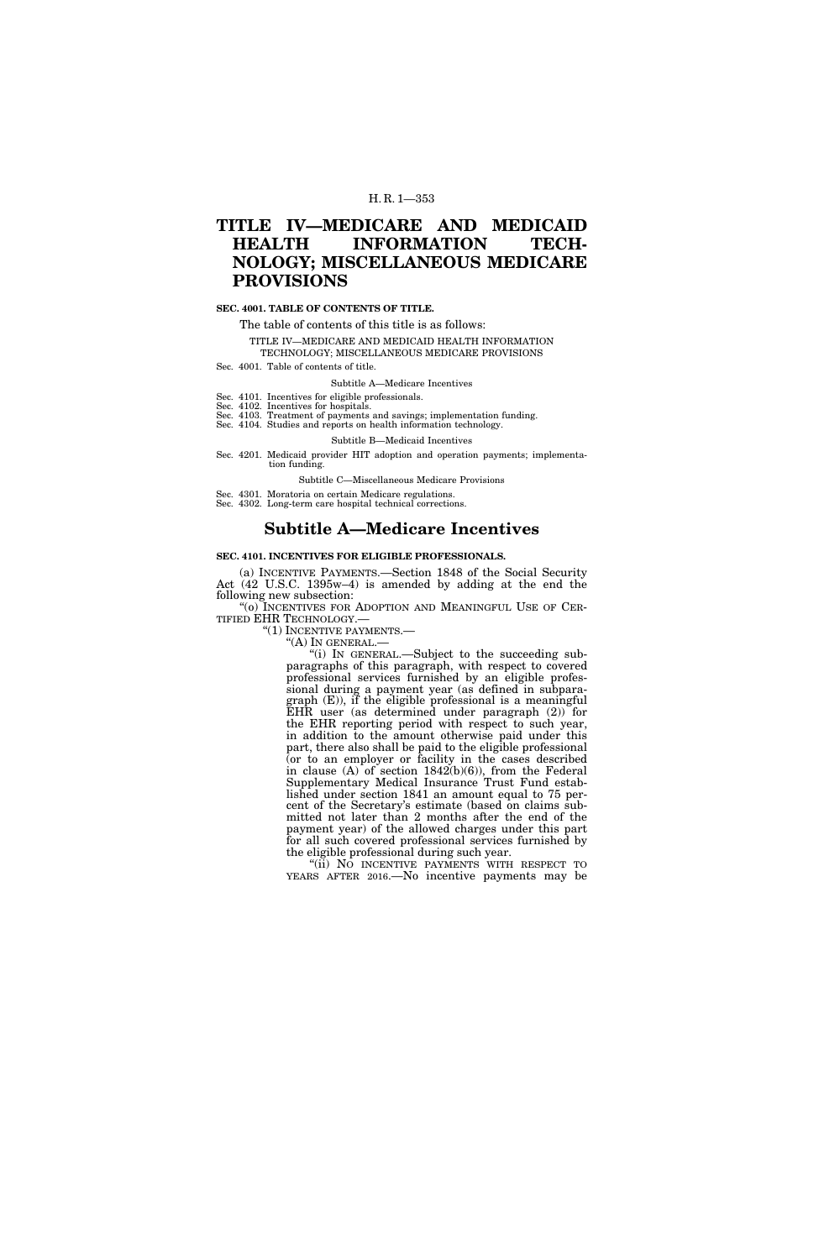## H. R. 1—353

# **TITLE IV—MEDICARE AND MEDICAID HEALTH INFORMATION TECH-NOLOGY; MISCELLANEOUS MEDICARE PROVISIONS**

## **SEC. 4001. TABLE OF CONTENTS OF TITLE.**

The table of contents of this title is as follows:

TITLE IV—MEDICARE AND MEDICAID HEALTH INFORMATION

TECHNOLOGY; MISCELLANEOUS MEDICARE PROVISIONS

Sec. 4001. Table of contents of title.

Subtitle A—Medicare Incentives

Sec. 4101. Incentives for eligible professionals.

Sec. 4102. Incentives for hospitals. Sec. 4103. Treatment of payments and savings; implementation funding.

Sec. 4104. Studies and reports on health information technology.

Subtitle B—Medicaid Incentives

Sec. 4201. Medicaid provider HIT adoption and operation payments; implementation funding.

Subtitle C—Miscellaneous Medicare Provisions

Sec. 4301. Moratoria on certain Medicare regulations.

Sec. 4302. Long-term care hospital technical corrections.

# **Subtitle A—Medicare Incentives**

### **SEC. 4101. INCENTIVES FOR ELIGIBLE PROFESSIONALS.**

(a) INCENTIVE PAYMENTS.—Section 1848 of the Social Security Act (42 U.S.C. 1395w–4) is amended by adding at the end the following new subsection:

"(o) INCENTIVES FOR ADOPTION AND MEANINGFUL USE OF CER-TIFIED EHR TECHNOLOGY.—<br>"(1) INCENTIVE PAYMENTS.—

"(A) IN GENERAL.—<br>"(i) IN GENERAL.—Subject to the succeeding subparagraphs of this paragraph, with respect to covered professional services furnished by an eligible professional during a payment year (as defined in subparagraph (E)), if the eligible professional is a meaningful EHR user (as determined under paragraph (2)) for the EHR reporting period with respect to such year, in addition to the amount otherwise paid under this part, there also shall be paid to the eligible professional (or to an employer or facility in the cases described in clause  $(A)$  of section  $1842(b)(6)$ , from the Federal Supplementary Medical Insurance Trust Fund established under section 1841 an amount equal to 75 percent of the Secretary's estimate (based on claims submitted not later than 2 months after the end of the payment year) of the allowed charges under this part for all such covered professional services furnished by the eligible professional during such year.

"(ii) NO INCENTIVE PAYMENTS WITH RESPECT TO YEARS AFTER 2016.—No incentive payments may be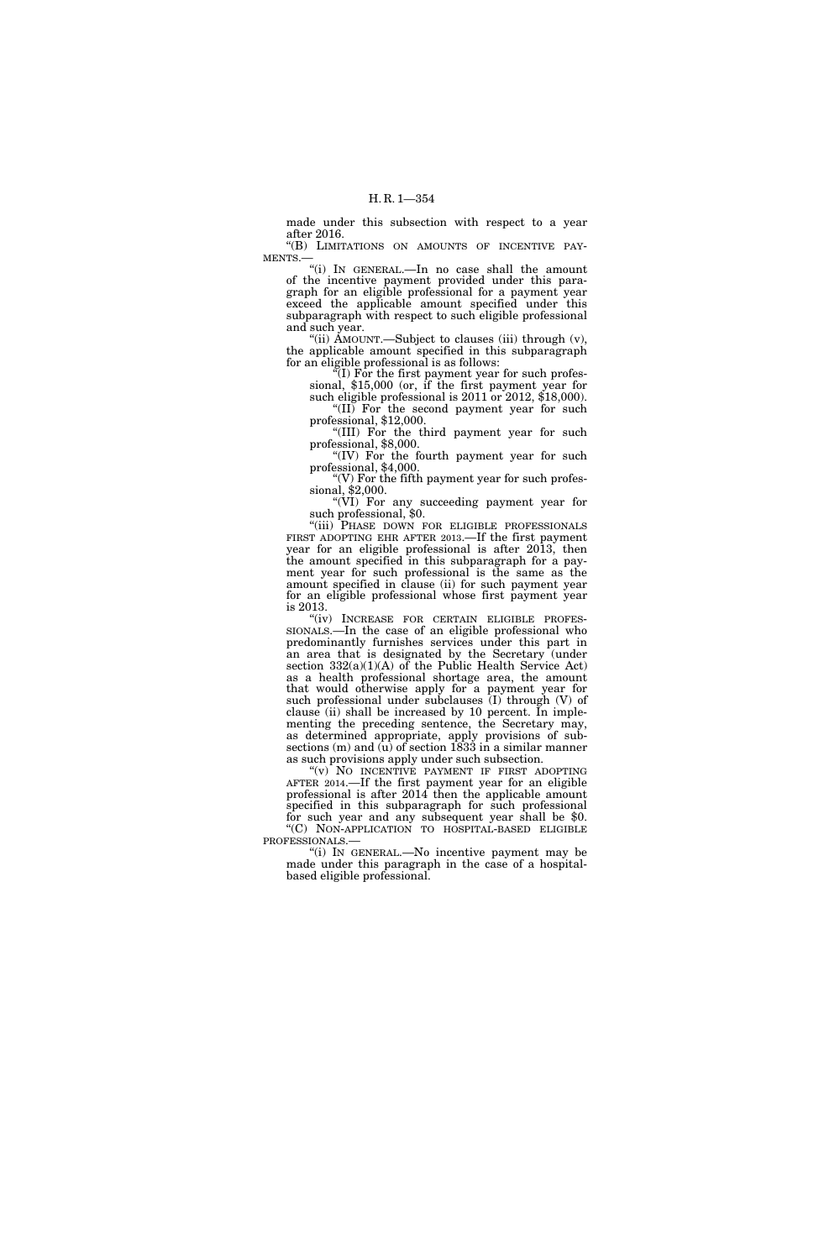made under this subsection with respect to a year after 2016.

''(B) LIMITATIONS ON AMOUNTS OF INCENTIVE PAY-MENTS.—

''(i) IN GENERAL.—In no case shall the amount of the incentive payment provided under this paragraph for an eligible professional for a payment year exceed the applicable amount specified under this subparagraph with respect to such eligible professional and such year.

"(ii) AMOUNT.—Subject to clauses (iii) through  $(v)$ , the applicable amount specified in this subparagraph for an eligible professional is as follows:

 $N$ (I) For the first payment year for such profes-<br>sional, \$15,000 (or, if the first payment year for such eligible professional is 2011 or 2012, \$18,000).

''(II) For the second payment year for such professional, \$12,000.

''(III) For the third payment year for such professional, \$8,000.

"(IV) For the fourth payment year for such professional,  $$4,000$ .<br>"(V) For the fifth payment year for such profes-

"(V) For the fifth payment year for such profes-<br>sional,  $$2,000$ .

''(VI) For any succeeding payment year for such professional, \$0. such professional, \$0.<br>"(iii) PHASE DOWN FOR ELIGIBLE PROFESSIONALS

FIRST ADOPTING EHR AFTER 2013.—If the first payment year for an eligible professional is after 2013, then the amount specified in this subparagraph for a payment year for such professional is the same as the amount specified in clause (ii) for such payment year for an eligible professional whose first payment year

is 2013.<br>"(iv) INCREASE FOR CERTAIN ELIGIBLE PROFES-SIONALS.—In the case of an eligible professional who predominantly furnishes services under this part in an area that is designated by the Secretary (under section 332(a)(1)(A) of the Public Health Service Act) as a health professional shortage area, the amount that would otherwise apply for a payment year for such professional under subclauses (I) through (V) of clause (ii) shall be increased by 10 percent. In implementing the preceding sentence, the Secretary may, as determined appropriate, apply provisions of subsections (m) and (u) of section 1833 in a similar manner as such provisions apply under such subsection.

"(v) NO INCENTIVE PAYMENT IF FIRST ADOPTING AFTER 2014.—If the first payment year for an eligible professional is after 2014 then the applicable amount specified in this subparagraph for such professional for such year and any subsequent year shall be \$0.  $\rm ^{4}C)$  NON-APPLICATION TO HOSPITAL-BASED ELIGIBLE PROFESSIONALS.—

"(i) IN GENERAL.—No incentive payment may be made under this paragraph in the case of a hospitalbased eligible professional.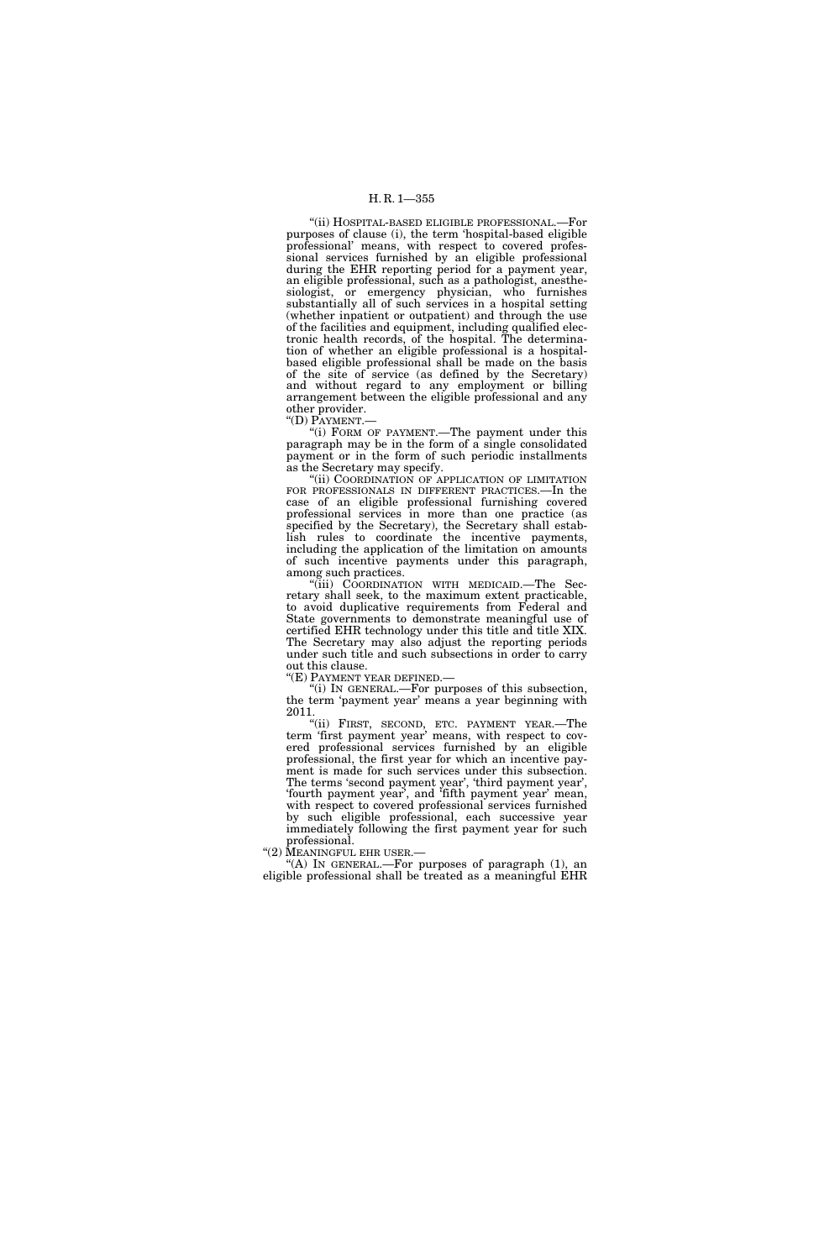## H. R. 1—355

''(ii) HOSPITAL-BASED ELIGIBLE PROFESSIONAL.—For purposes of clause (i), the term 'hospital-based eligible professional' means, with respect to covered professional services furnished by an eligible professional during the EHR reporting period for a payment year, an eligible professional, such as a pathologist, anesthesiologist, or emergency physician, who furnishes substantially all of such services in a hospital setting (whether inpatient or outpatient) and through the use of the facilities and equipment, including qualified electronic health records, of the hospital. The determination of whether an eligible professional is a hospitalbased eligible professional shall be made on the basis of the site of service (as defined by the Secretary) and without regard to any employment or billing arrangement between the eligible professional and any other provider. ''(D) PAYMENT.—

"(i) FORM OF PAYMENT.—The payment under this paragraph may be in the form of a single consolidated payment or in the form of such periodic installments

as the Secretary may specify. ''(ii) COORDINATION OF APPLICATION OF LIMITATION FOR PROFESSIONALS IN DIFFERENT PRACTICES.—In the case of an eligible professional furnishing covered professional services in more than one practice (as specified by the Secretary), the Secretary shall establish rules to coordinate the incentive payments, including the application of the limitation on amounts of such incentive payments under this paragraph, among such practices.

''(iii) COORDINATION WITH MEDICAID.—The Secretary shall seek, to the maximum extent practicable, to avoid duplicative requirements from Federal and State governments to demonstrate meaningful use of certified EHR technology under this title and title XIX. The Secretary may also adjust the reporting periods under such title and such subsections in order to carry out this clause.

"(E) PAYMENT YEAR DEFINED.

''(i) IN GENERAL.—For purposes of this subsection, the term 'payment year' means a year beginning with 2011.

"(ii) FIRST, SECOND, ETC. PAYMENT YEAR.—The term 'first payment year' means, with respect to covered professional services furnished by an eligible professional, the first year for which an incentive payment is made for such services under this subsection. The terms 'second payment year', 'third payment year', 'fourth payment year', and 'fifth payment year' mean, with respect to covered professional services furnished by such eligible professional, each successive year immediately following the first payment year for such professional.<br>"(2) MEANINGFUL EHR USER.

"(A) IN GENERAL.—For purposes of paragraph  $(1)$ , an eligible professional shall be treated as a meaningful EHR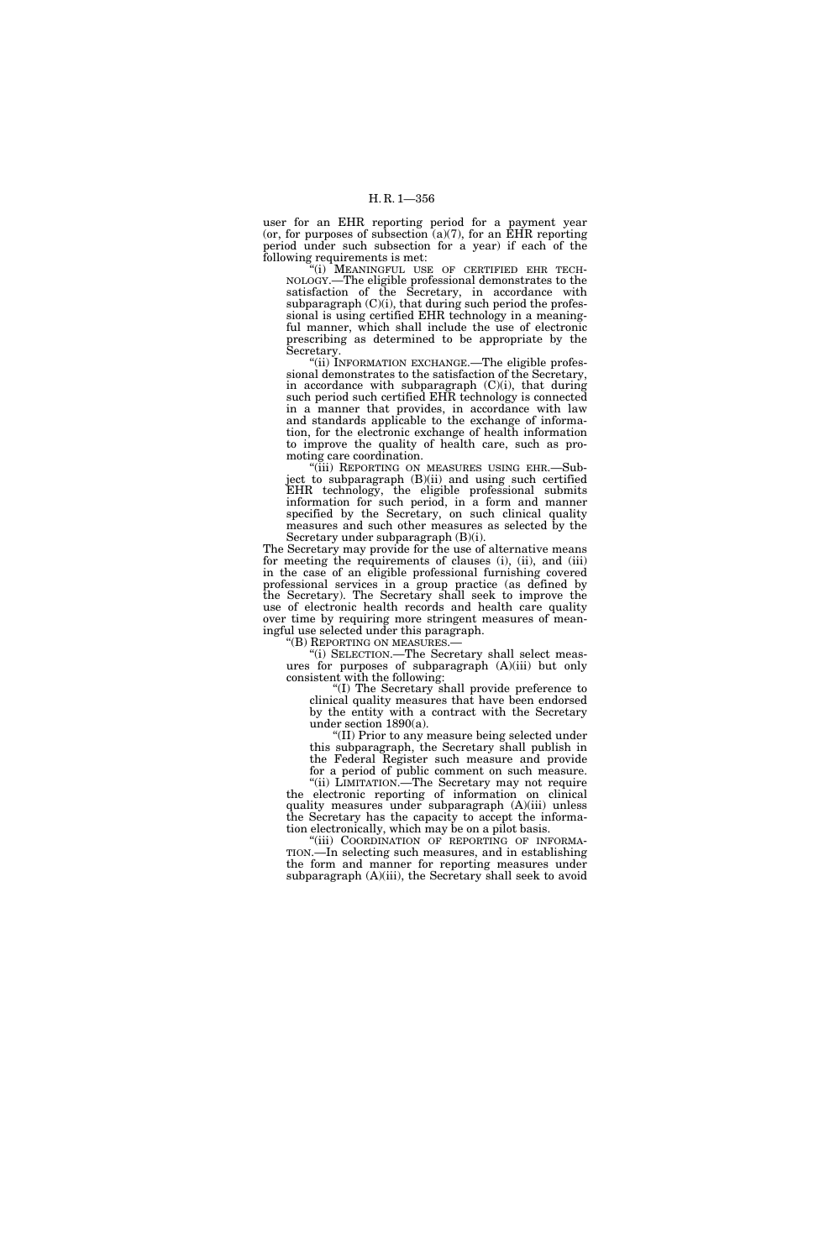user for an EHR reporting period for a payment year (or, for purposes of subsection  $(a)(7)$ , for an EHR reporting period under such subsection for a year) if each of the following requirements is met:

"(i) MEANINGFUL USE OF CERTIFIED EHR TECH-NOLOGY.—The eligible professional demonstrates to the satisfaction of the Secretary, in accordance with subparagraph  $(C)(i)$ , that during such period the professional is using certified EHR technology in a meaningful manner, which shall include the use of electronic prescribing as determined to be appropriate by the Secretary.

''(ii) INFORMATION EXCHANGE.—The eligible professional demonstrates to the satisfaction of the Secretary, in accordance with subparagraph (C)(i), that during such period such certified EHR technology is connected in a manner that provides, in accordance with law and standards applicable to the exchange of information, for the electronic exchange of health information to improve the quality of health care, such as promoting care coordination.

''(iii) REPORTING ON MEASURES USING EHR.—Subject to subparagraph (B)(ii) and using such certified EHR technology, the eligible professional submits information for such period, in a form and manner specified by the Secretary, on such clinical quality measures and such other measures as selected by the Secretary under subparagraph (B)(i).

The Secretary may provide for the use of alternative means for meeting the requirements of clauses (i), (ii), and (iii) in the case of an eligible professional furnishing covered professional services in a group practice (as defined by the Secretary). The Secretary shall seek to improve the use of electronic health records and health care quality over time by requiring more stringent measures of meaningful use selected under this paragraph.

''(B) REPORTING ON MEASURES.— ''(i) SELECTION.—The Secretary shall select measures for purposes of subparagraph (A)(iii) but only consistent with the following:

''(I) The Secretary shall provide preference to clinical quality measures that have been endorsed by the entity with a contract with the Secretary under section 1890(a).

''(II) Prior to any measure being selected under this subparagraph, the Secretary shall publish in the Federal Register such measure and provide

for a period of public comment on such measure. ''(ii) LIMITATION.—The Secretary may not require the electronic reporting of information on clinical quality measures under subparagraph  $(A)(iii)$  unless the Secretary has the capacity to accept the informa-

tion electronically, which may be on a pilot basis.<br>"(iii) COORDINATION OF REPORTING OF INFORMA-TION.—In selecting such measures, and in establishing the form and manner for reporting measures under subparagraph (A)(iii), the Secretary shall seek to avoid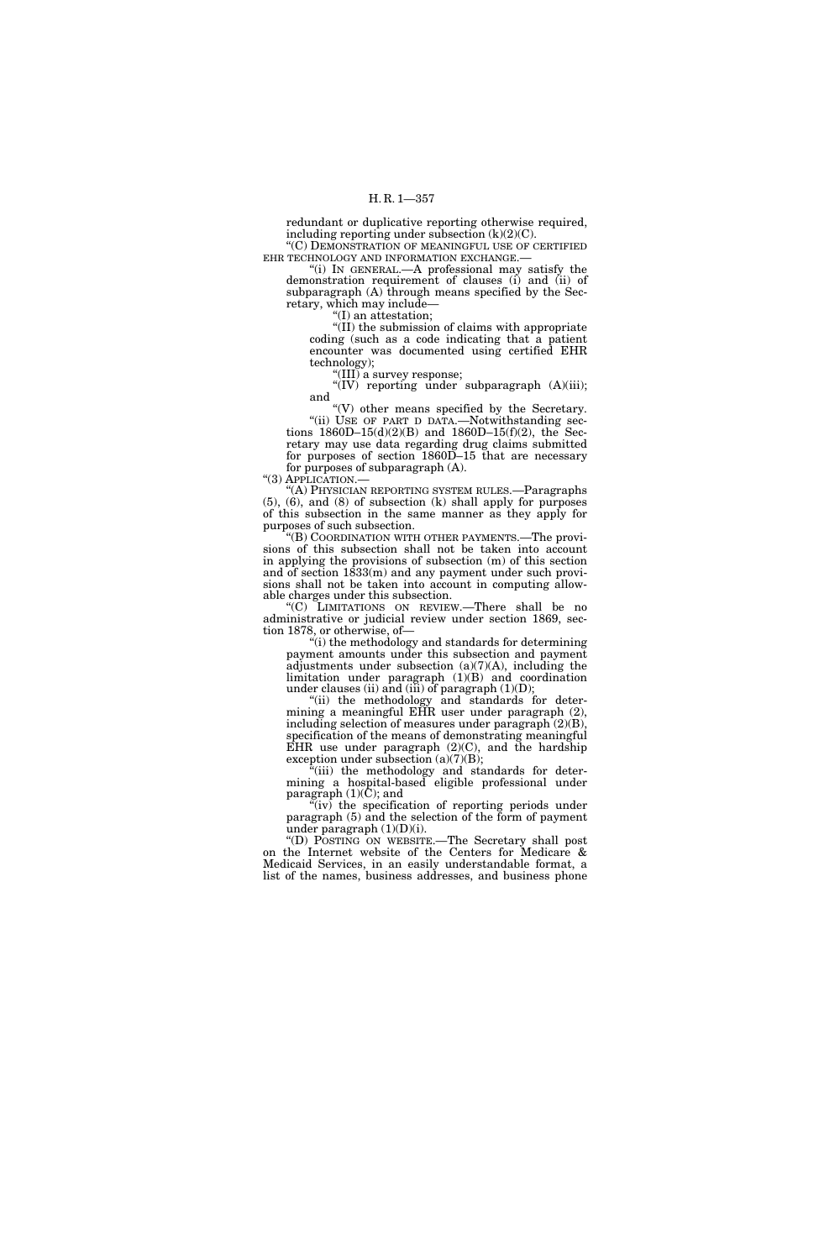redundant or duplicative reporting otherwise required, including reporting under subsection  $(k)(2)(C)$ . ''(C) DEMONSTRATION OF MEANINGFUL USE OF CERTIFIED

EHR TECHNOLOGY AND INFORMATION EXCHANGE.— ''(i) IN GENERAL.—A professional may satisfy the

demonstration requirement of clauses (i) and (ii) of subparagraph (A) through means specified by the Secretary, which may include—

''(I) an attestation;

''(II) the submission of claims with appropriate coding (such as a code indicating that a patient encounter was documented using certified EHR technology);

"(III) a survey response;

"(IV) reporting under subparagraph (A)(iii); and

''(V) other means specified by the Secretary. "(ii) USE OF PART D DATA.—Notwithstanding sections  $1860D-15(d)(2)(B)$  and  $1860D-15(f)(2)$ , the Sec-

retary may use data regarding drug claims submitted for purposes of section 1860D–15 that are necessary for purposes of subparagraph (A).

''(3) APPLICATION.—

''(A) PHYSICIAN REPORTING SYSTEM RULES.—Paragraphs (5), (6), and (8) of subsection (k) shall apply for purposes of this subsection in the same manner as they apply for purposes of such subsection.

''(B) COORDINATION WITH OTHER PAYMENTS.—The provisions of this subsection shall not be taken into account in applying the provisions of subsection (m) of this section and of section 1833(m) and any payment under such provisions shall not be taken into account in computing allowable charges under this subsection.

''(C) LIMITATIONS ON REVIEW.—There shall be no administrative or judicial review under section 1869, section 1878, or otherwise, of—

''(i) the methodology and standards for determining payment amounts under this subsection and payment adjustments under subsection  $(a)(7)(A)$ , including the limitation under paragraph (1)(B) and coordination under clauses (ii) and (iii) of paragraph  $(1)(D)$ ;

"(ii) the methodology and standards for determining a meaningful EHR user under paragraph (2), including selection of measures under paragraph (2)(B), specification of the means of demonstrating meaningful EHR use under paragraph  $(2)(C)$ , and the hardship exception under subsection (a)(7)(B);

"(iii) the methodology and standards for determining a hospital-based eligible professional under paragraph  $(1)(\overline{C})$ ; and

''(iv) the specification of reporting periods under paragraph (5) and the selection of the form of payment under paragraph (1)(D)(i).

''(D) POSTING ON WEBSITE.—The Secretary shall post on the Internet website of the Centers for Medicare & Medicaid Services, in an easily understandable format, a list of the names, business addresses, and business phone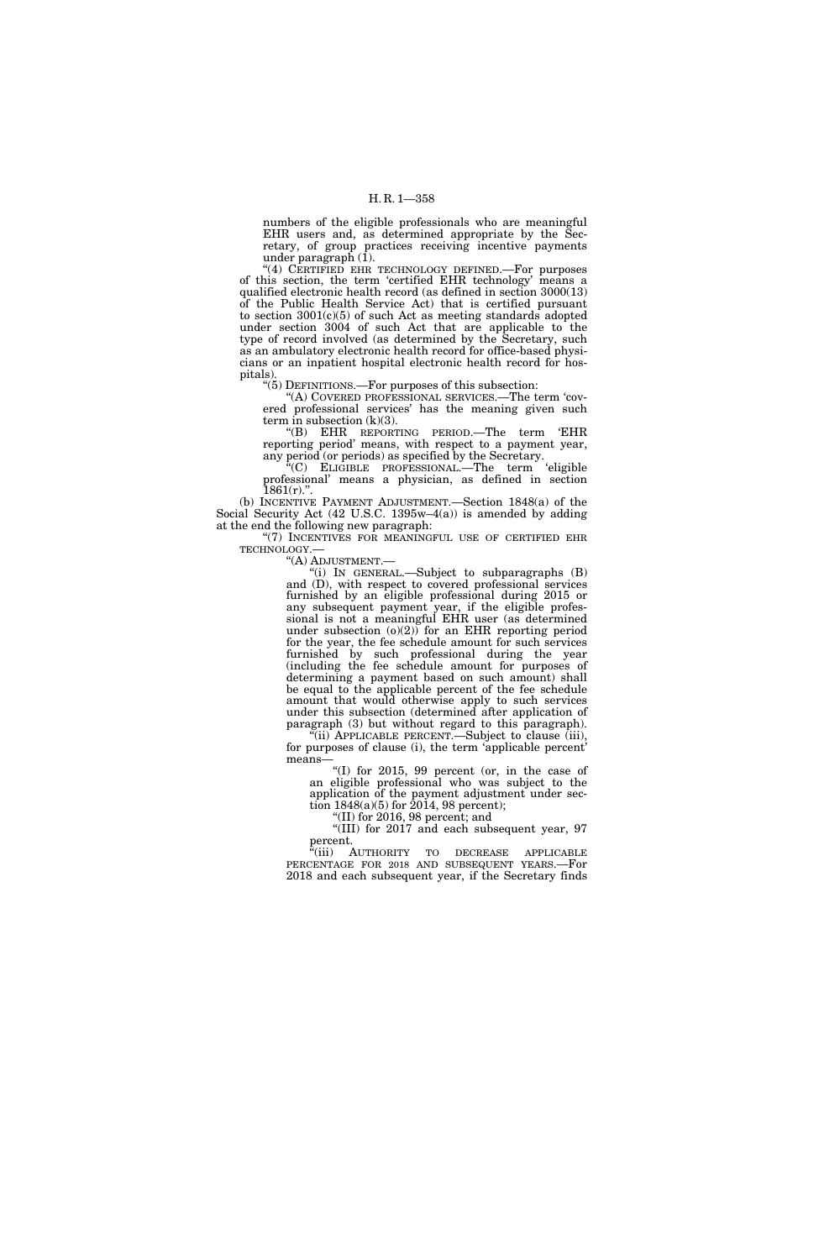numbers of the eligible professionals who are meaningful EHR users and, as determined appropriate by the Secretary, of group practices receiving incentive payments under paragraph  $(1)$ .

"(4) CERTIFIED EHR TECHNOLOGY DEFINED.—For purposes of this section, the term 'certified EHR technology' means a qualified electronic health record (as defined in section 3000(13) of the Public Health Service Act) that is certified pursuant to section 3001(c)(5) of such Act as meeting standards adopted under section 3004 of such Act that are applicable to the type of record involved (as determined by the Secretary, such as an ambulatory electronic health record for office-based physicians or an inpatient hospital electronic health record for hospitals).

''(5) DEFINITIONS.—For purposes of this subsection:

''(A) COVERED PROFESSIONAL SERVICES.—The term 'covered professional services' has the meaning given such term in subsection  $(k)(3)$ .

''(B) EHR REPORTING PERIOD.—The term 'EHR reporting period' means, with respect to a payment year, any period (or periods) as specified by the Secretary.

''(C) ELIGIBLE PROFESSIONAL.—The term 'eligible professional' means a physician, as defined in section  $1861(r)$ .".

(b) INCENTIVE PAYMENT ADJUSTMENT.—Section 1848(a) of the Social Security Act (42 U.S.C. 1395w–4(a)) is amended by adding at the end the following new paragraph:

"(7) INCENTIVES FOR MEANINGFUL USE OF CERTIFIED EHR TECHNOLOGY.—<br>"(A) ADJUSTMENT.—

"(i) IN GENERAL.—Subject to subparagraphs  $(B)$ and (D), with respect to covered professional services furnished by an eligible professional during 2015 or any subsequent payment year, if the eligible professional is not a meaningful EHR user (as determined under subsection  $(0)(2)$  for an EHR reporting period for the year, the fee schedule amount for such services furnished by such professional during the year (including the fee schedule amount for purposes of determining a payment based on such amount) shall be equal to the applicable percent of the fee schedule amount that would otherwise apply to such services under this subsection (determined after application of paragraph (3) but without regard to this paragraph).  $\tilde{f}$ (ii) APPLICABLE PERCENT.—Subject to clause (iii),

for purposes of clause (i), the term 'applicable percent' means— "(I) for  $2015$ , 99 percent (or, in the case of

an eligible professional who was subject to the application of the payment adjustment under section  $1848(a)(5)$  for  $2014$ , 98 percent);

''(II) for 2016, 98 percent; and

''(III) for 2017 and each subsequent year, 97  $\operatorname*{percent.}_{\alpha,\ldots,\alpha}$ 

"(iii) AUTHORITY TO DECREASE APPLICABLE PERCENTAGE FOR 2018 AND SUBSEQUENT YEARS.—For 2018 and each subsequent year, if the Secretary finds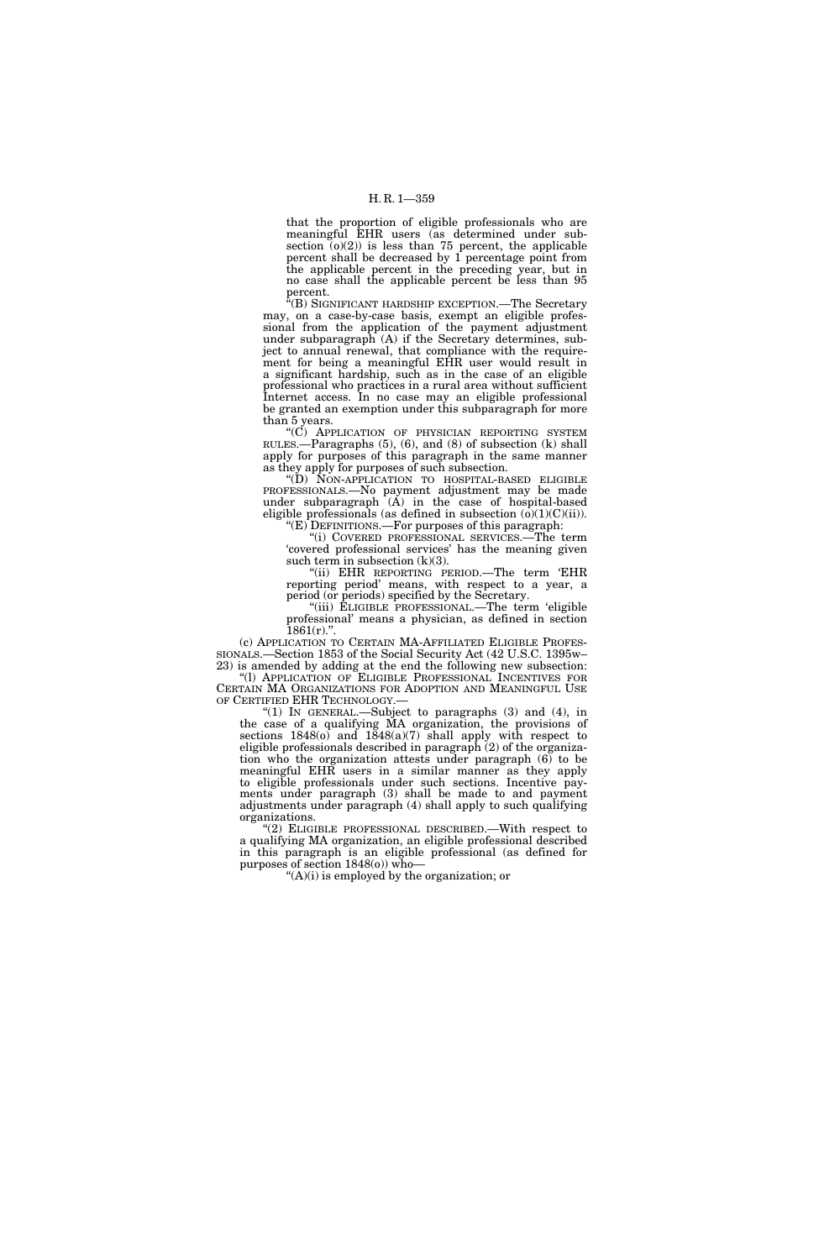## H. R. 1—359

that the proportion of eligible professionals who are meaningful EHR users (as determined under subsection  $(0)(2)$  is less than 75 percent, the applicable percent shall be decreased by 1 percentage point from the applicable percent in the preceding year, but in no case shall the applicable percent be less than 95 percent.

''(B) SIGNIFICANT HARDSHIP EXCEPTION.—The Secretary may, on a case-by-case basis, exempt an eligible professional from the application of the payment adjustment under subparagraph (A) if the Secretary determines, subject to annual renewal, that compliance with the requirement for being a meaningful EHR user would result in a significant hardship, such as in the case of an eligible professional who practices in a rural area without sufficient Internet access. In no case may an eligible professional be granted an exemption under this subparagraph for more than 5 years.

''(C) APPLICATION OF PHYSICIAN REPORTING SYSTEM RULES.—Paragraphs (5), (6), and (8) of subsection (k) shall apply for purposes of this paragraph in the same manner as they apply for purposes of such subsection.

''(D) NON-APPLICATION TO HOSPITAL-BASED ELIGIBLE PROFESSIONALS.—No payment adjustment may be made under subparagraph (A) in the case of hospital-based eligible professionals (as defined in subsection  $(\overline{o})(1)(C)(ii)$ ). " $(E)$  DEFINITIONS.—For purposes of this paragraph:

''(i) COVERED PROFESSIONAL SERVICES.—The term 'covered professional services' has the meaning given such term in subsection (k)(3).

"(ii) EHR REPORTING PERIOD.—The term 'EHR reporting period' means, with respect to a year, a period (or periods) specified by the Secretary.

"(iii) ELIGIBLE PROFESSIONAL.—The term 'eligible professional' means a physician, as defined in section

 $1861(r)$ .".<br>(c) APPLICATION TO CERTAIN MA-AFFILIATED ELIGIBLE PROFESsionals.—Section 1853 of the Social Security Act (42 U.S.C. 1395w– 23) is amended by adding at the end the following new subsection: ''(l) APPLICATION OF ELIGIBLE PROFESSIONAL INCENTIVES FOR CERTAIN MA ORGANIZATIONS FOR ADOPTION AND MEANINGFUL USE

OF CERTIFIED EHR TECHNOLOGY.— "(1) IN GENERAL.—Subject to paragraphs  $(3)$  and  $(4)$ , in the case of a qualifying MA organization, the provisions of sections  $1848(0)$  and  $1848(0)(7)$  shall apply with respect to eligible professionals described in paragraph (2) of the organization who the organization attests under paragraph (6) to be meaningful EHR users in a similar manner as they apply to eligible professionals under such sections. Incentive payments under paragraph (3) shall be made to and payment adjustments under paragraph (4) shall apply to such qualifying organizations.

''(2) ELIGIBLE PROFESSIONAL DESCRIBED.—With respect to a qualifying MA organization, an eligible professional described in this paragraph is an eligible professional (as defined for purposes of section 1848(o)) who—

 $<sup>4</sup>(A)(i)$  is employed by the organization; or</sup>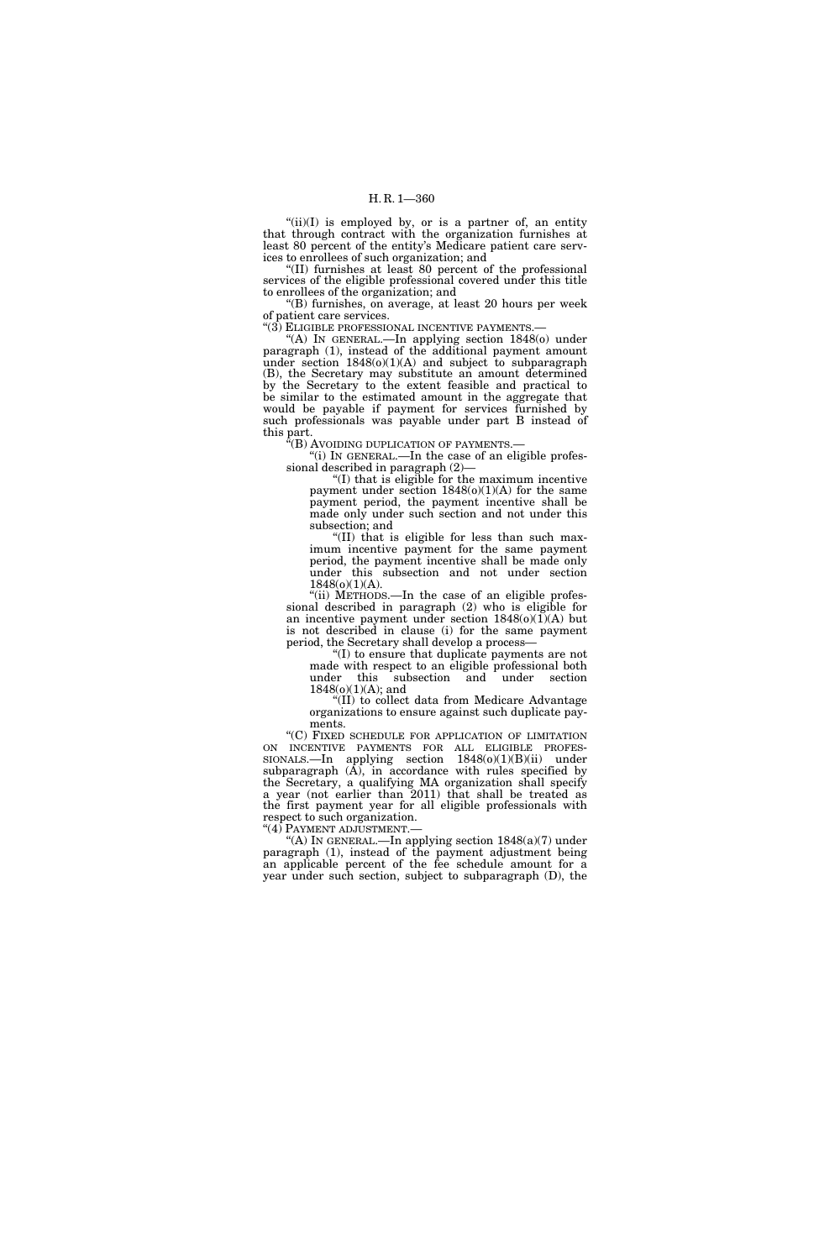"(ii)(I) is employed by, or is a partner of, an entity that through contract with the organization furnishes at least 80 percent of the entity's Medicare patient care services to enrollees of such organization; and

''(II) furnishes at least 80 percent of the professional services of the eligible professional covered under this title to enrollees of the organization; and

''(B) furnishes, on average, at least 20 hours per week of patient care services.<br>"(3) ELIGIBLE PROFESSIONAL INCENTIVE PAYMENTS.-

"(A) IN GENERAL.—In applying section 1848(o) under paragraph (1), instead of the additional payment amount under section  $1848(o)(1)(A)$  and subject to subparagraph (B), the Secretary may substitute an amount determined by the Secretary to the extent feasible and practical to be similar to the estimated amount in the aggregate that would be payable if payment for services furnished by such professionals was payable under part B instead of this part.

''(B) AVOIDING DUPLICATION OF PAYMENTS.— "(i) IN GENERAL.—In the case of an eligible profes-

sional described in paragraph (2)—

''(I) that is eligible for the maximum incentive payment under section  $1848(0)(1)(A)$  for the same payment period, the payment incentive shall be made only under such section and not under this subsection; and

''(II) that is eligible for less than such maximum incentive payment for the same payment period, the payment incentive shall be made only under this subsection and not under section 1848(o)(1)(A).

"(ii) METHODS.—In the case of an eligible professional described in paragraph (2) who is eligible for an incentive payment under section  $1848(0)(1)(A)$  but is not described in clause (i) for the same payment period, the Secretary shall develop a process—

''(I) to ensure that duplicate payments are not made with respect to an eligible professional both under this subsection and under section  $1848(o)(1)(A)$ ; and

''(II) to collect data from Medicare Advantage organizations to ensure against such duplicate payments.

''(C) FIXED SCHEDULE FOR APPLICATION OF LIMITATION  $SIONALS$ —In applying section  $1848(0)(1)(B)(ii)$  under subparagraph  $(A)$ , in accordance with rules specified by the Secretary, a qualifying MA organization shall specify a year (not earlier than 2011) that shall be treated as the first payment year for all eligible professionals with respect to such organization.

"(4) PAYMENT ADJUSTMENT.—

''(A) IN GENERAL.—In applying section 1848(a)(7) under paragraph (1), instead of the payment adjustment being an applicable percent of the fee schedule amount for a year under such section, subject to subparagraph (D), the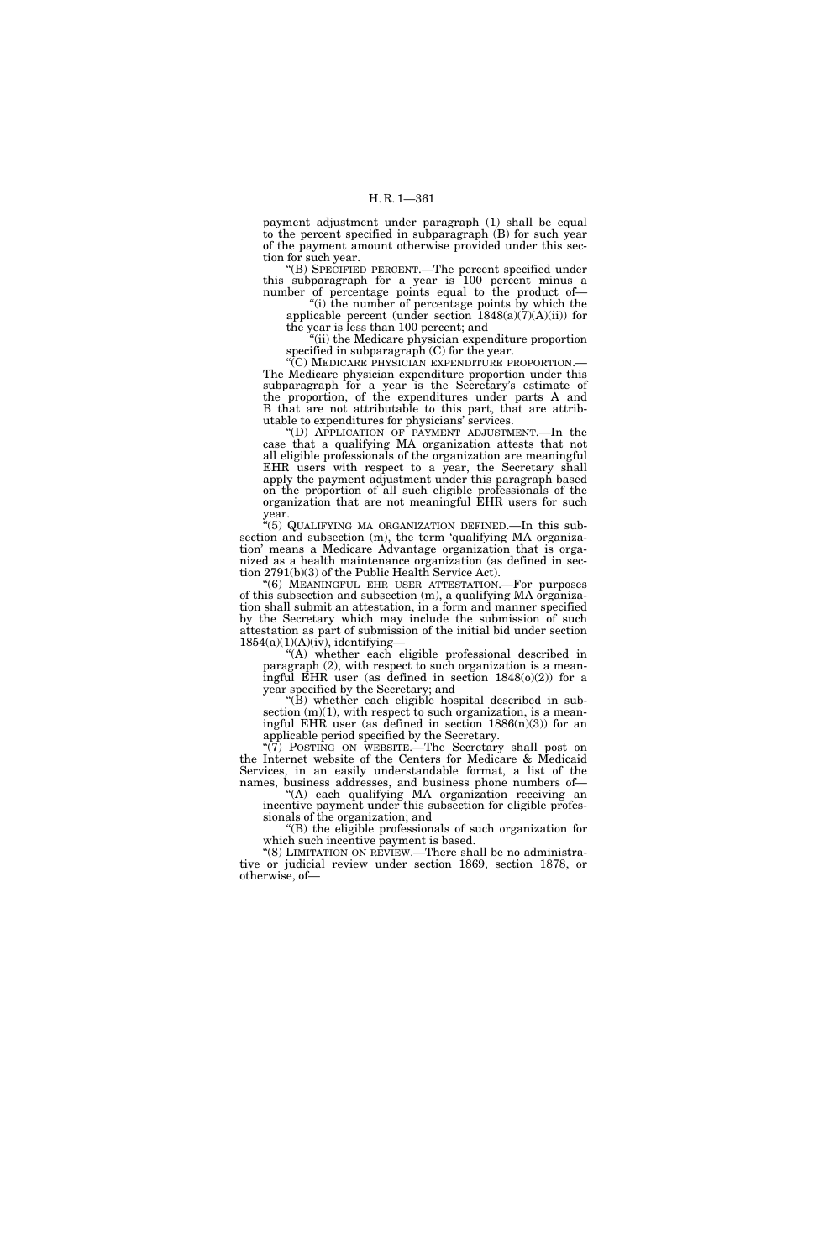payment adjustment under paragraph (1) shall be equal to the percent specified in subparagraph (B) for such year of the payment amount otherwise provided under this section for such year.

''(B) SPECIFIED PERCENT.—The percent specified under this subparagraph for a year is 100 percent minus a number of percentage points equal to the product of—

''(i) the number of percentage points by which the applicable percent (under section  $1848(a)(7)(A)(ii)$ ) for the year is less than 100 percent; and

"(ii) the Medicare physician expenditure proportion specified in subparagraph (C) for the year.

'(C) MEDICARE PHYSICIAN EXPENDITURE PROPORTION.-The Medicare physician expenditure proportion under this subparagraph for a year is the Secretary's estimate of the proportion, of the expenditures under parts A and B that are not attributable to this part, that are attributable to expenditures for physicians' services.

''(D) APPLICATION OF PAYMENT ADJUSTMENT.—In the case that a qualifying MA organization attests that not all eligible professionals of the organization are meaningful EHR users with respect to a year, the Secretary shall apply the payment adjustment under this paragraph based on the proportion of all such eligible professionals of the organization that are not meaningful EHR users for such year.

''(5) QUALIFYING MA ORGANIZATION DEFINED.—In this subsection and subsection (m), the term 'qualifying MA organization' means a Medicare Advantage organization that is organized as a health maintenance organization (as defined in section 2791(b)(3) of the Public Health Service Act).

''(6) MEANINGFUL EHR USER ATTESTATION.—For purposes of this subsection and subsection (m), a qualifying MA organization shall submit an attestation, in a form and manner specified by the Secretary which may include the submission of such attestation as part of submission of the initial bid under section  $1854(a)(1)(A)(iv)$ , identifying-

''(A) whether each eligible professional described in paragraph (2), with respect to such organization is a meaningful EHR user (as defined in section 1848(o)(2)) for a year specified by the Secretary; and

" $(B)$  whether each eligible hospital described in subsection  $(m)(1)$ , with respect to such organization, is a meaningful EHR user (as defined in section  $1886(n)(3)$ ) for an applicable period specified by the Secretary.

"(7) POSTING ON WEBSITE.—The Secretary shall post on the Internet website of the Centers for Medicare & Medicaid Services, in an easily understandable format, a list of the names, business addresses, and business phone numbers of—

''(A) each qualifying MA organization receiving an incentive payment under this subsection for eligible professionals of the organization; and

''(B) the eligible professionals of such organization for which such incentive payment is based.

''(8) LIMITATION ON REVIEW.—There shall be no administrative or judicial review under section 1869, section 1878, or otherwise, of—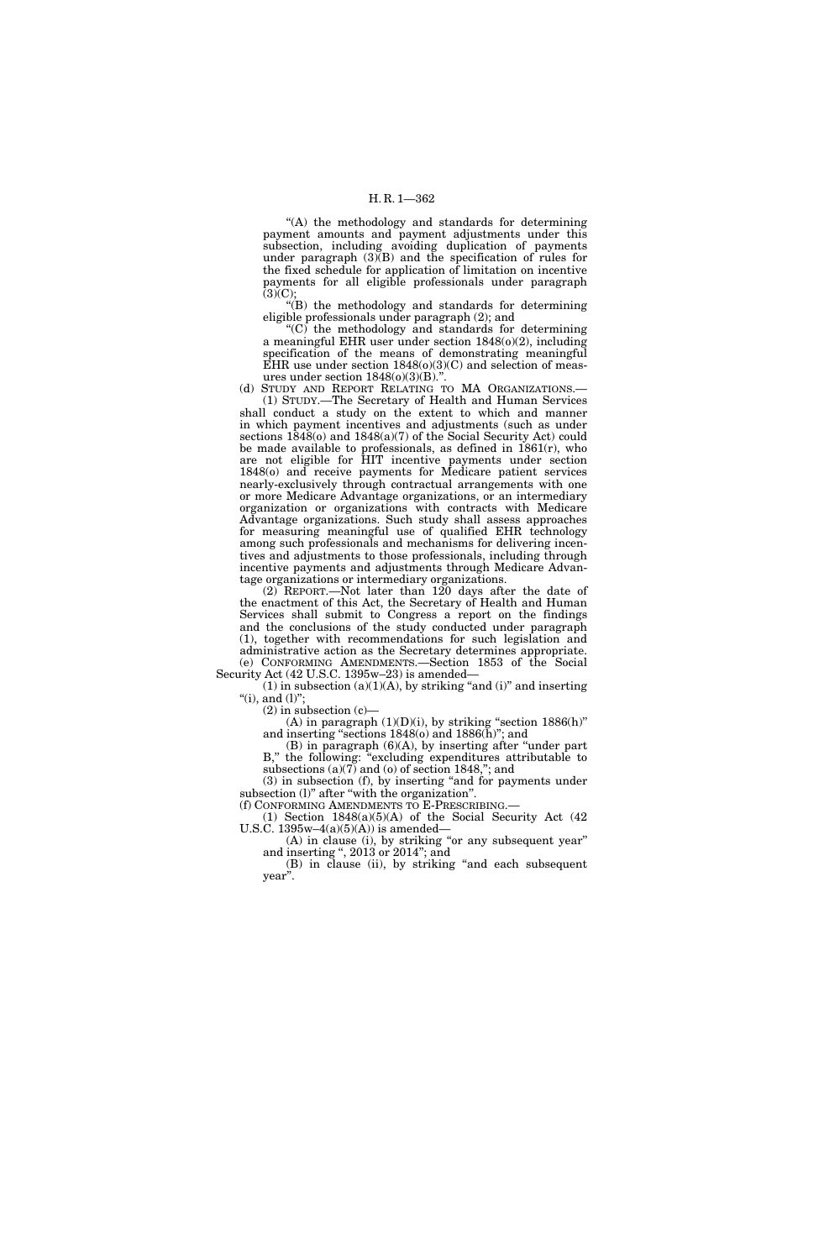"(A) the methodology and standards for determining payment amounts and payment adjustments under this subsection, including avoiding duplication of payments under paragraph (3)(B) and the specification of rules for the fixed schedule for application of limitation on incentive payments for all eligible professionals under paragraph  $(3)(C);$ 

''(B) the methodology and standards for determining eligible professionals under paragraph (2); and

 $(C)$  the methodology and standards for determining a meaningful EHR user under section 1848(o)(2), including specification of the means of demonstrating meaningful EHR use under section  $1848(o)(3)(C)$  and selection of measures under section  $1848(o)(3)(B)$ .'

(d) STUDY AND REPORT RELATING TO MA ORGANIZATIONS.— (1) STUDY.—The Secretary of Health and Human Services shall conduct a study on the extent to which and manner in which payment incentives and adjustments (such as under sections 1848(o) and 1848(a)(7) of the Social Security Act) could be made available to professionals, as defined in 1861(r), who are not eligible for HIT incentive payments under section 1848(o) and receive payments for Medicare patient services nearly-exclusively through contractual arrangements with one or more Medicare Advantage organizations, or an intermediary organization or organizations with contracts with Medicare Advantage organizations. Such study shall assess approaches for measuring meaningful use of qualified EHR technology among such professionals and mechanisms for delivering incentives and adjustments to those professionals, including through incentive payments and adjustments through Medicare Advantage organizations or intermediary organizations.

(2) REPORT.—Not later than 120 days after the date of the enactment of this Act, the Secretary of Health and Human Services shall submit to Congress a report on the findings and the conclusions of the study conducted under paragraph (1), together with recommendations for such legislation and administrative action as the Secretary determines appropriate. (e) CONFORMING AMENDMENTS.—Section 1853 of the Social

Security Act (42 U.S.C. 1395w–23) is amended—  $(1)$  in subsection  $(a)(1)(A)$ , by striking "and  $(i)$ " and inserting "(i), and  $(l)$ ";

 $(2)$  in subsection  $(c)$ —

(A) in paragraph  $(1)(D)(i)$ , by striking "section  $1886(h)$ " and inserting "sections  $1848$ (o) and  $1886$ (h)"; and

 $(B)$  in paragraph  $(6)(A)$ , by inserting after "under part" B,'' the following: ''excluding expenditures attributable to subsections (a)(7) and (o) of section 1848,''; and

(3) in subsection (f), by inserting "and for payments under subsection (l)" after "with the organization".

(f) CONFORMING AMENDMENTS TO E-PRESCRIBING.— (1) Section 1848(a)(5)(A) of the Social Security Act (42 U.S.C.  $1395w-4(a)(5)(A)$  is amended—

(A) in clause (i), by striking ''or any subsequent year'' and inserting '', 2013 or 2014''; and

(B) in clause (ii), by striking ''and each subsequent year''.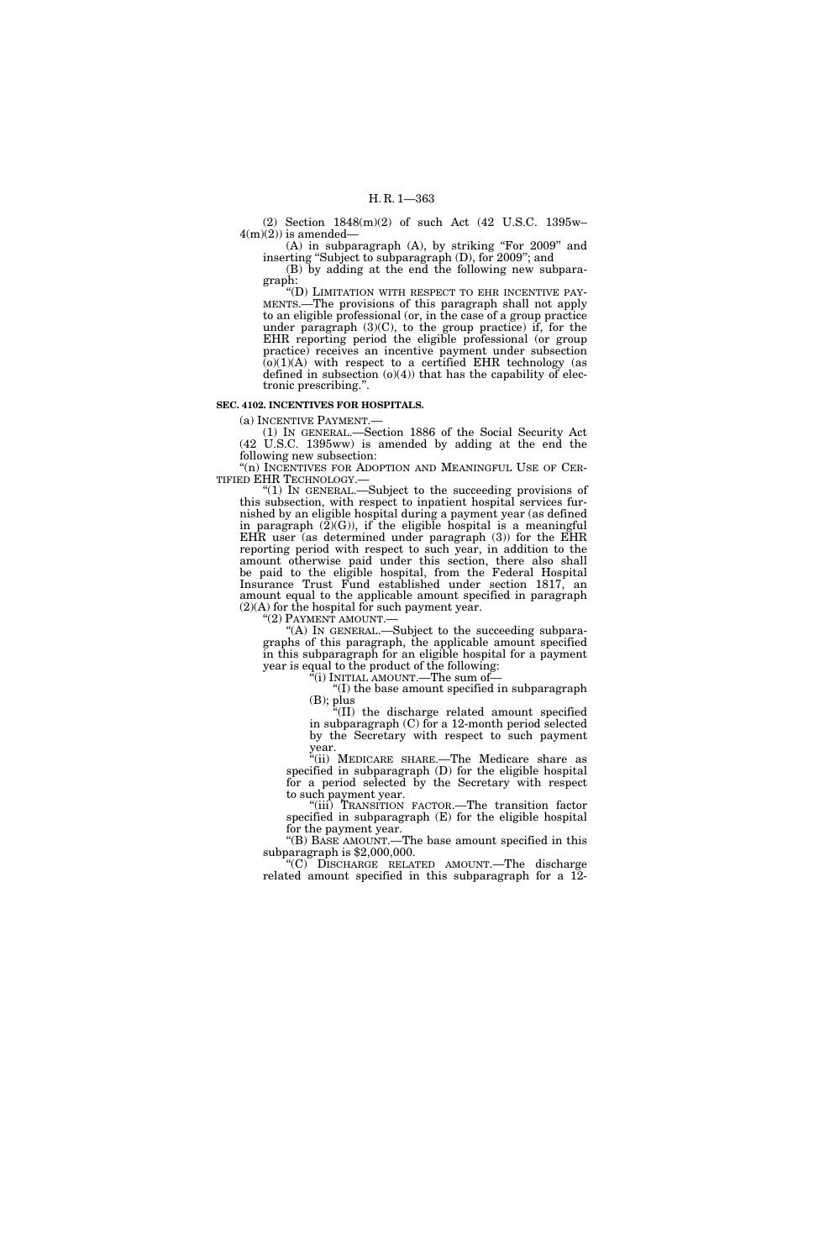(2) Section 1848(m)(2) of such Act (42 U.S.C. 1395w–  $4(m)(2)$ ) is amended-

(A) in subparagraph (A), by striking "For 2009" and inserting ''Subject to subparagraph (D), for 2009''; and (B) by adding at the end the following new subparagraph:

''(D) LIMITATION WITH RESPECT TO EHR INCENTIVE PAY-MENTS.—The provisions of this paragraph shall not apply to an eligible professional (or, in the case of a group practice under paragraph  $(3)(C)$ , to the group practice) if, for the EHR reporting period the eligible professional (or group practice) receives an incentive payment under subsection  $(0)(1)(A)$  with respect to a certified EHR technology (as defined in subsection (o)(4)) that has the capability of electronic prescribing.''.

#### **SEC. 4102. INCENTIVES FOR HOSPITALS.**

(a) INCENTIVE PAYMENT.—

(1) IN GENERAL.—Section 1886 of the Social Security Act (42 U.S.C. 1395ww) is amended by adding at the end the following new subsection:

"(n) INCENTIVES FOR ADOPTION AND MEANINGFUL USE OF CER-TIFIED EHR TECHNOLOGY.—

''(1) IN GENERAL.—Subject to the succeeding provisions of this subsection, with respect to inpatient hospital services furnished by an eligible hospital during a payment year (as defined in paragraph  $(2)(G)$ , if the eligible hospital is a meaningful EHR user (as determined under paragraph (3)) for the EHR reporting period with respect to such year, in addition to the amount otherwise paid under this section, there also shall be paid to the eligible hospital, from the Federal Hospital Insurance Trust Fund established under section 1817, an amount equal to the applicable amount specified in paragraph  $(2)$ (A) for the hospital for such payment year.<br>" $(2)$  PAYMENT AMOUNT.—

"(A) IN GENERAL.—Subject to the succeeding subparagraphs of this paragraph, the applicable amount specified in this subparagraph for an eligible hospital for a payment year is equal to the product of the following:

 $\rm ^{4}$ (i) INITIAL AMOUNT.—The sum of—

''(I) the base amount specified in subparagraph

 $(B)$ ; plus ''(II) the discharge related amount specified in subparagraph (C) for a 12-month period selected by the Secretary with respect to such payment year.

''(ii) MEDICARE SHARE.—The Medicare share as specified in subparagraph (D) for the eligible hospital for a period selected by the Secretary with respect to such payment year.

''(iii) TRANSITION FACTOR.—The transition factor specified in subparagraph (E) for the eligible hospital for the payment year.

''(B) BASE AMOUNT.—The base amount specified in this subparagraph is \$2,000,000.

''(C) DISCHARGE RELATED AMOUNT.—The discharge related amount specified in this subparagraph for a 12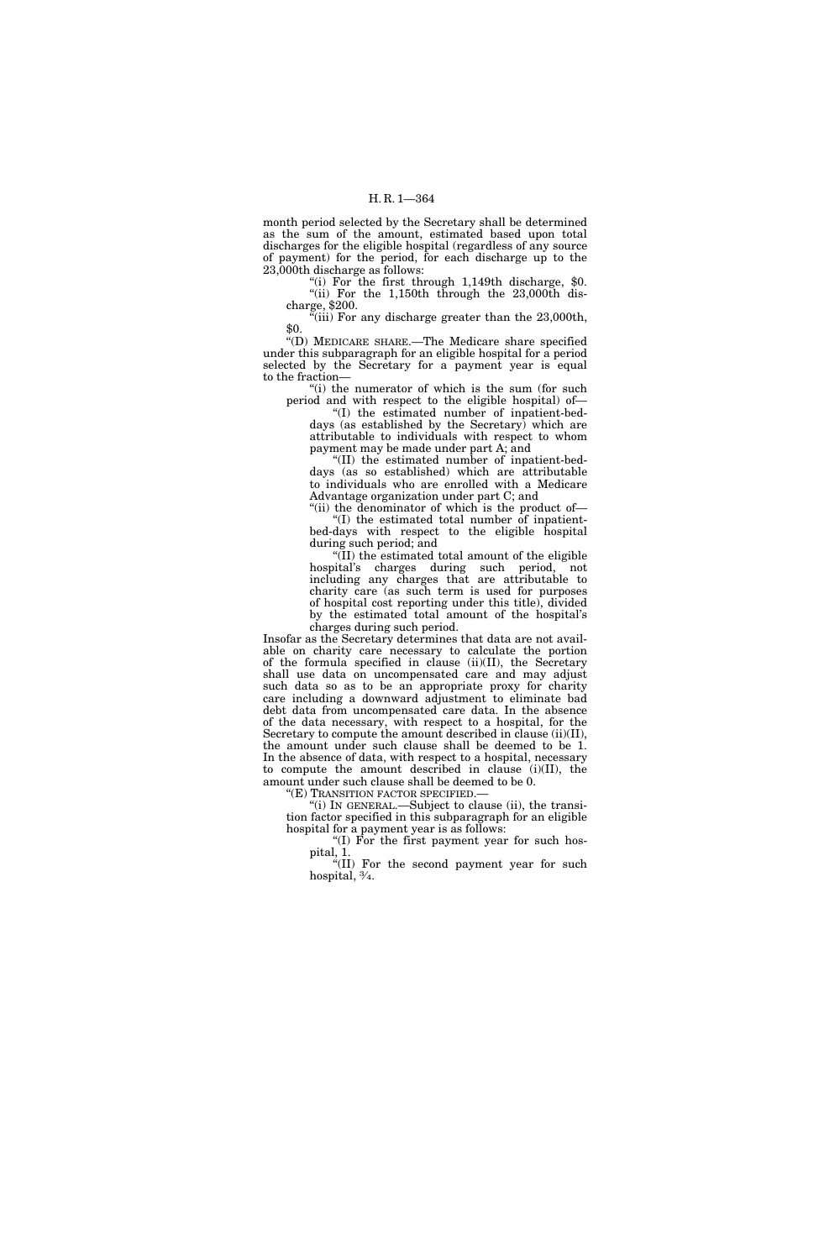month period selected by the Secretary shall be determined as the sum of the amount, estimated based upon total discharges for the eligible hospital (regardless of any source of payment) for the period, for each discharge up to the 23,000th discharge as follows:

''(i) For the first through 1,149th discharge, \$0. ''(ii) For the 1,150th through the 23,000th discharge, \$200.

"(iii) For any discharge greater than the 23,000th, \$0.

''(D) MEDICARE SHARE.—The Medicare share specified under this subparagraph for an eligible hospital for a period selected by the Secretary for a payment year is equal to the fraction—

"(i) the numerator of which is the sum (for such period and with respect to the eligible hospital) of—

''(I) the estimated number of inpatient-beddays (as established by the Secretary) which are attributable to individuals with respect to whom payment may be made under part A; and

''(II) the estimated number of inpatient-beddays (as so established) which are attributable to individuals who are enrolled with a Medicare Advantage organization under part C; and

"(ii) the denominator of which is the product of-''(I) the estimated total number of inpatientbed-days with respect to the eligible hospital during such period; and

''(II) the estimated total amount of the eligible hospital's charges during such period, not including any charges that are attributable to charity care (as such term is used for purposes of hospital cost reporting under this title), divided by the estimated total amount of the hospital's charges during such period.

Insofar as the Secretary determines that data are not available on charity care necessary to calculate the portion of the formula specified in clause (ii)(II), the Secretary shall use data on uncompensated care and may adjust such data so as to be an appropriate proxy for charity care including a downward adjustment to eliminate bad debt data from uncompensated care data. In the absence of the data necessary, with respect to a hospital, for the Secretary to compute the amount described in clause (ii)(II), the amount under such clause shall be deemed to be 1. In the absence of data, with respect to a hospital, necessary to compute the amount described in clause (i)(II), the amount under such clause shall be deemed to be 0.

''(E) TRANSITION FACTOR SPECIFIED.—

''(i) IN GENERAL.—Subject to clause (ii), the transition factor specified in this subparagraph for an eligible hospital for a payment year is as follows:

''(I) For the first payment year for such hospital, 1.

"(II) For the second payment year for such hospital, 3⁄4.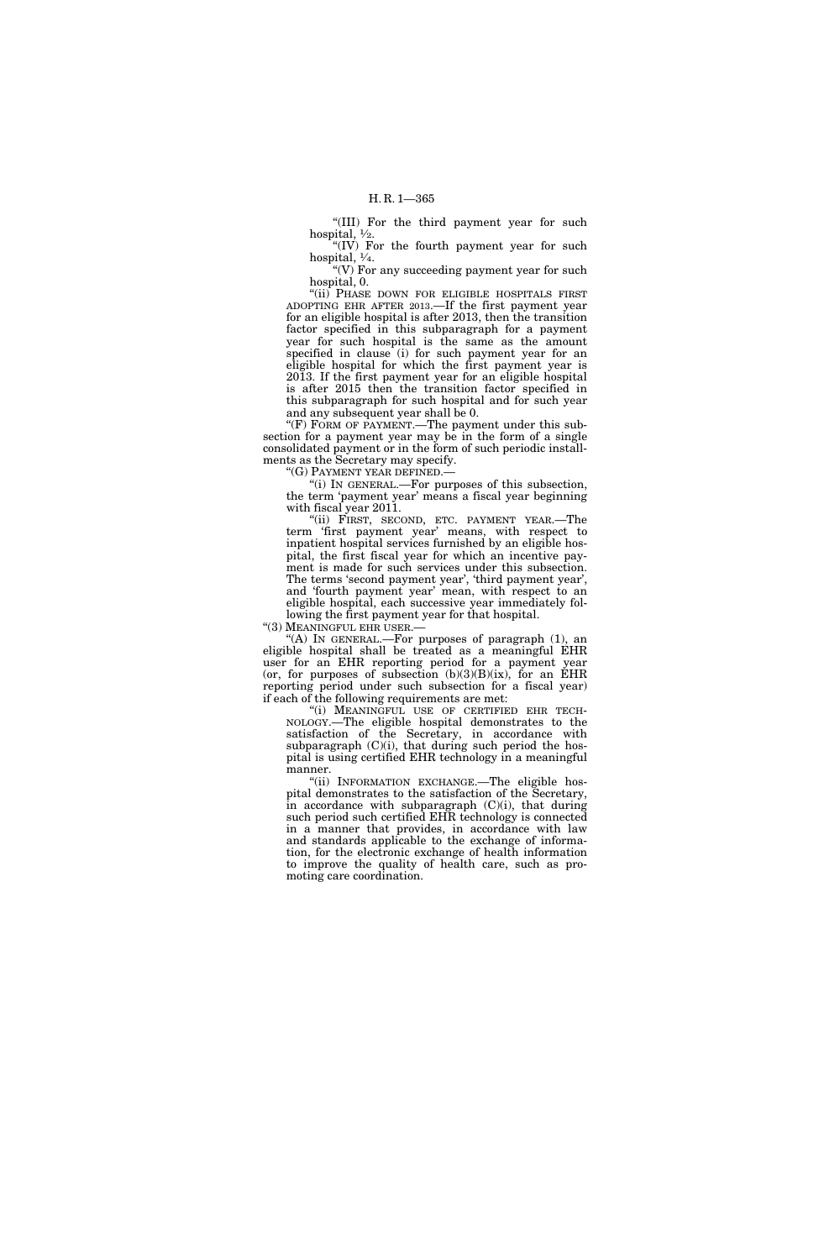"(III) For the third payment year for such hospital,  $\frac{1}{2}$ .

" $(IV)$  For the fourth payment year for such hospital,  $\frac{1}{4}$ .

" $(V)$  For any succeeding payment year for such hospital, 0.

"(ii) PHASE DOWN FOR ELIGIBLE HOSPITALS FIRST ADOPTING EHR AFTER 2013.—If the first payment year for an eligible hospital is after 2013, then the transition factor specified in this subparagraph for a payment year for such hospital is the same as the amount specified in clause (i) for such payment year for an eligible hospital for which the first payment year is 2013. If the first payment year for an eligible hospital is after 2015 then the transition factor specified in this subparagraph for such hospital and for such year and any subsequent year shall be 0.

"(F) FORM OF PAYMENT.—The payment under this subsection for a payment year may be in the form of a single consolidated payment or in the form of such periodic installments as the Secretary may specify.

''(G) PAYMENT YEAR DEFINED.—

''(i) IN GENERAL.—For purposes of this subsection, the term 'payment year' means a fiscal year beginning with fiscal year 2011.

"(ii) FIRST, SECOND, ETC. PAYMENT YEAR.—The term 'first payment year' means, with respect to inpatient hospital services furnished by an eligible hospital, the first fiscal year for which an incentive payment is made for such services under this subsection. The terms 'second payment year', 'third payment year', and 'fourth payment year' mean, with respect to an eligible hospital, each successive year immediately following the first payment year for that hospital.

''(3) MEANINGFUL EHR USER.—

"(A) In GENERAL.—For purposes of paragraph (1), an eligible hospital shall be treated as a meaningful EHR user for an EHR reporting period for a payment year (or, for purposes of subsection  $(b)(3)(B)(ix)$ , for an EHR reporting period under such subsection for a fiscal year) if each of the following requirements are met:

"(i) MEANINGFUL USE OF CERTIFIED EHR TECH-NOLOGY.—The eligible hospital demonstrates to the satisfaction of the Secretary, in accordance with subparagraph  $(C)(i)$ , that during such period the hospital is using certified EHR technology in a meaningful manner.

''(ii) INFORMATION EXCHANGE.—The eligible hospital demonstrates to the satisfaction of the Secretary, in accordance with subparagraph (C)(i), that during such period such certified EHR technology is connected in a manner that provides, in accordance with law and standards applicable to the exchange of information, for the electronic exchange of health information to improve the quality of health care, such as promoting care coordination.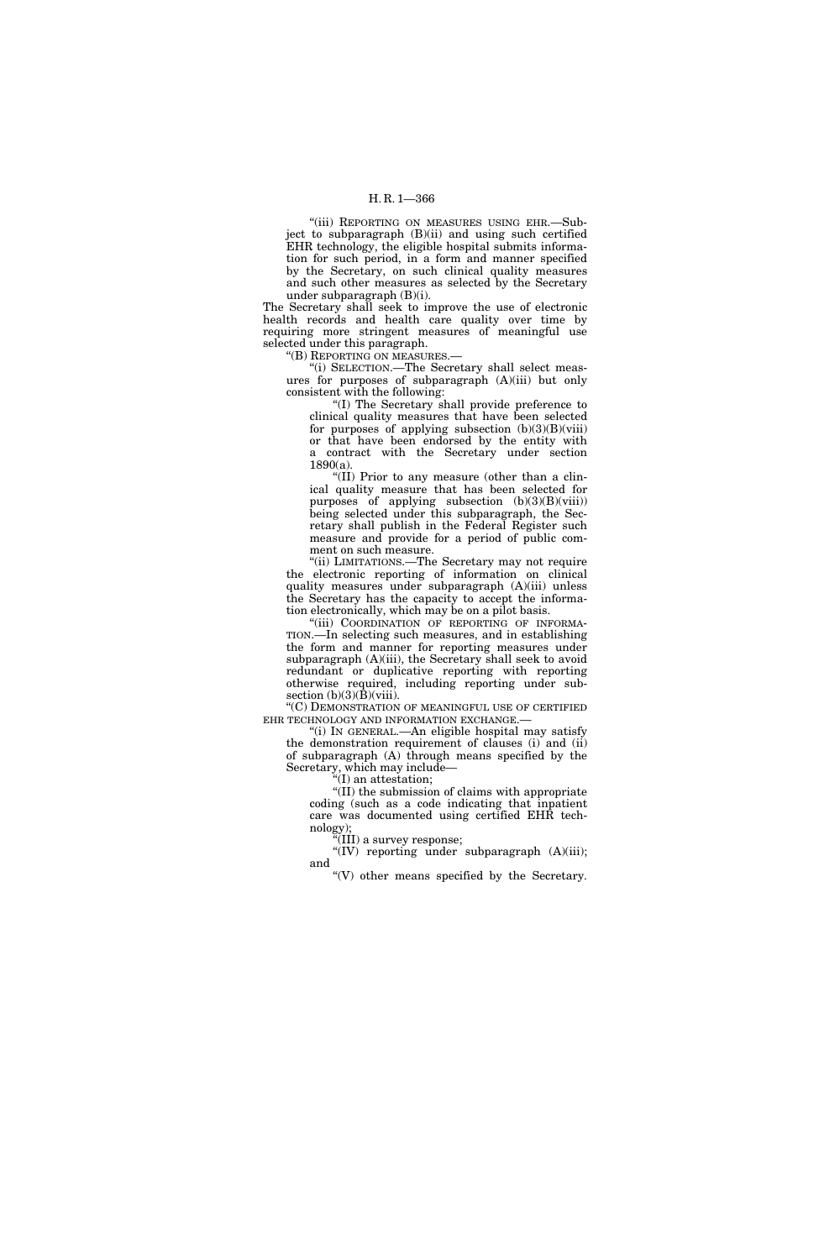## H. R. 1—366

''(iii) REPORTING ON MEASURES USING EHR.—Subject to subparagraph (B)(ii) and using such certified EHR technology, the eligible hospital submits information for such period, in a form and manner specified by the Secretary, on such clinical quality measures and such other measures as selected by the Secretary under subparagraph (B)(i).

The Secretary shall seek to improve the use of electronic health records and health care quality over time by requiring more stringent measures of meaningful use selected under this paragraph.

''(B) REPORTING ON MEASURES.—

''(i) SELECTION.—The Secretary shall select measures for purposes of subparagraph (A)(iii) but only consistent with the following:

''(I) The Secretary shall provide preference to clinical quality measures that have been selected for purposes of applying subsection  $(b)(3)(B)(viii)$ or that have been endorsed by the entity with a contract with the Secretary under section 1890(a).

''(II) Prior to any measure (other than a clinical quality measure that has been selected for purposes of applying subsection (b)(3)(B)(viii)) being selected under this subparagraph, the Secretary shall publish in the Federal Register such measure and provide for a period of public comment on such measure.

''(ii) LIMITATIONS.—The Secretary may not require the electronic reporting of information on clinical quality measures under subparagraph (A)(iii) unless the Secretary has the capacity to accept the information electronically, which may be on a pilot basis.

''(iii) COORDINATION OF REPORTING OF INFORMA-TION.—In selecting such measures, and in establishing the form and manner for reporting measures under subparagraph (A)(iii), the Secretary shall seek to avoid redundant or duplicative reporting with reporting otherwise required, including reporting under subsection  $(b)(3)(\bar{B})(viii)$ .

''(C) DEMONSTRATION OF MEANINGFUL USE OF CERTIFIED EHR TECHNOLOGY AND INFORMATION EXCHANGE.—

''(i) IN GENERAL.—An eligible hospital may satisfy the demonstration requirement of clauses (i) and (ii) of subparagraph (A) through means specified by the Secretary, which may include—

 $f(I)$  an attestation;

''(II) the submission of claims with appropriate coding (such as a code indicating that inpatient care was documented using certified EHR technology);

(III) a survey response; "(IV) reporting under subparagraph (A)(iii); and

 $\degree$ (V) other means specified by the Secretary.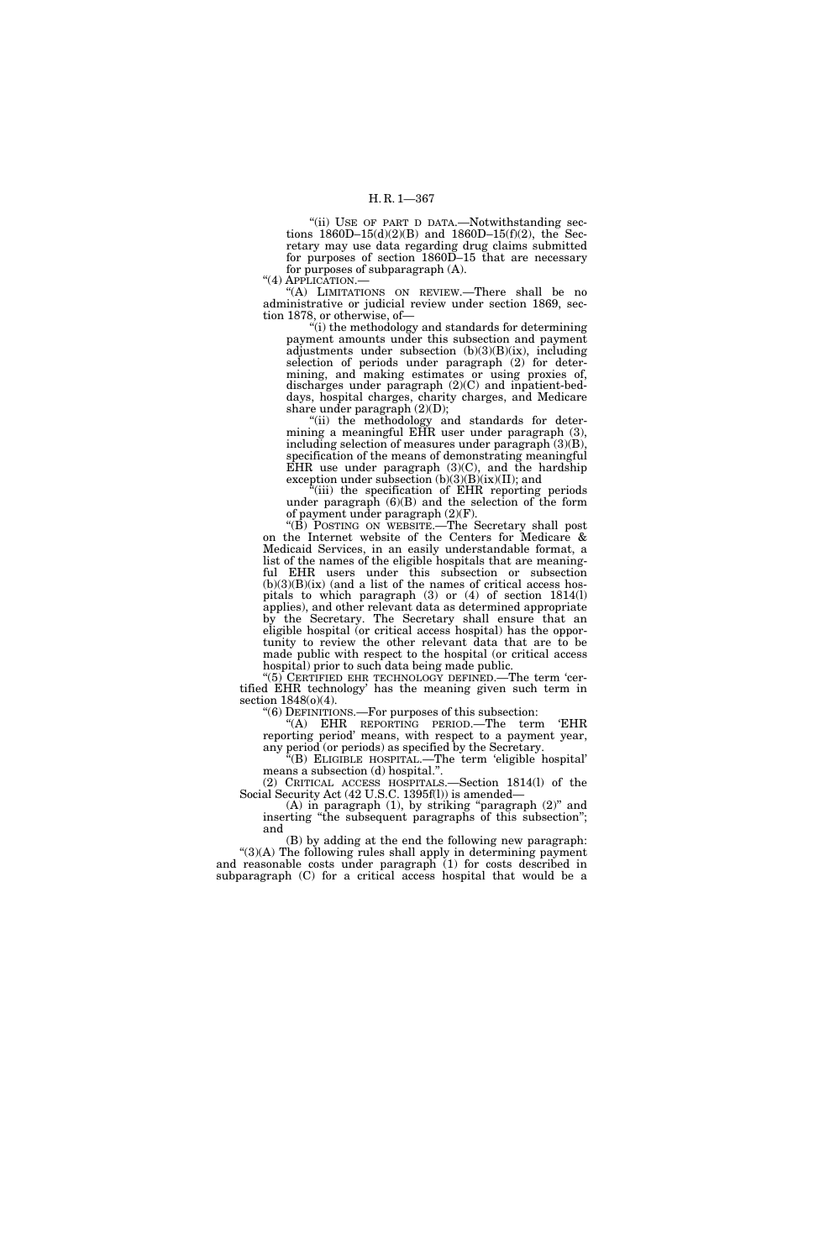"(ii) USE OF PART D DATA.-Notwithstanding sections  $1860D-15(d)(2)(B)$  and  $1860D-15(f)(2)$ , the Secretary may use data regarding drug claims submitted for purposes of section 1860D–15 that are necessary for purposes of subparagraph (A).

''(4) APPLICATION.—

''(A) LIMITATIONS ON REVIEW.—There shall be no administrative or judicial review under section 1869, section 1878, or otherwise, of—

''(i) the methodology and standards for determining payment amounts under this subsection and payment adjustments under subsection (b)(3)(B)(ix), including selection of periods under paragraph (2) for determining, and making estimates or using proxies of, discharges under paragraph (2)(C) and inpatient-beddays, hospital charges, charity charges, and Medicare share under paragraph  $(2)(D)$ ;

''(ii) the methodology and standards for determining a meaningful EHR user under paragraph (3), including selection of measures under paragraph (3)(B), specification of the means of demonstrating meaningful EHR use under paragraph  $(3)(C)$ , and the hardship exception under subsection (b)(3)(B)(ix)(II); and

''(iii) the specification of EHR reporting periods under paragraph (6)(B) and the selection of the form of payment under paragraph (2)(F).

''(B) POSTING ON WEBSITE.—The Secretary shall post on the Internet website of the Centers for Medicare & Medicaid Services, in an easily understandable format, a list of the names of the eligible hospitals that are meaningful EHR users under this subsection or subsection  $(b)(3)(B)(ix)$  (and a list of the names of critical access hospitals to which paragraph (3) or (4) of section 1814(l) applies), and other relevant data as determined appropriate by the Secretary. The Secretary shall ensure that an eligible hospital (or critical access hospital) has the opportunity to review the other relevant data that are to be made public with respect to the hospital (or critical access hospital) prior to such data being made public.

''(5) CERTIFIED EHR TECHNOLOGY DEFINED.—The term 'certified EHR technology' has the meaning given such term in section 1848(o)(4).

''(6) DEFINITIONS.—For purposes of this subsection:

''(A) EHR REPORTING PERIOD.—The term 'EHR reporting period' means, with respect to a payment year, any period (or periods) as specified by the Secretary.

''(B) ELIGIBLE HOSPITAL.—The term 'eligible hospital' means a subsection (d) hospital.''.

(2) CRITICAL ACCESS HOSPITALS.—Section 1814(l) of the Social Security Act (42 U.S.C. 1395f(l)) is amended—

(A) in paragraph (1), by striking "paragraph (2)" and inserting ''the subsequent paragraphs of this subsection''; and

(B) by adding at the end the following new paragraph: "(3)(A) The following rules shall apply in determining payment and reasonable costs under paragraph (1) for costs described in subparagraph (C) for a critical access hospital that would be a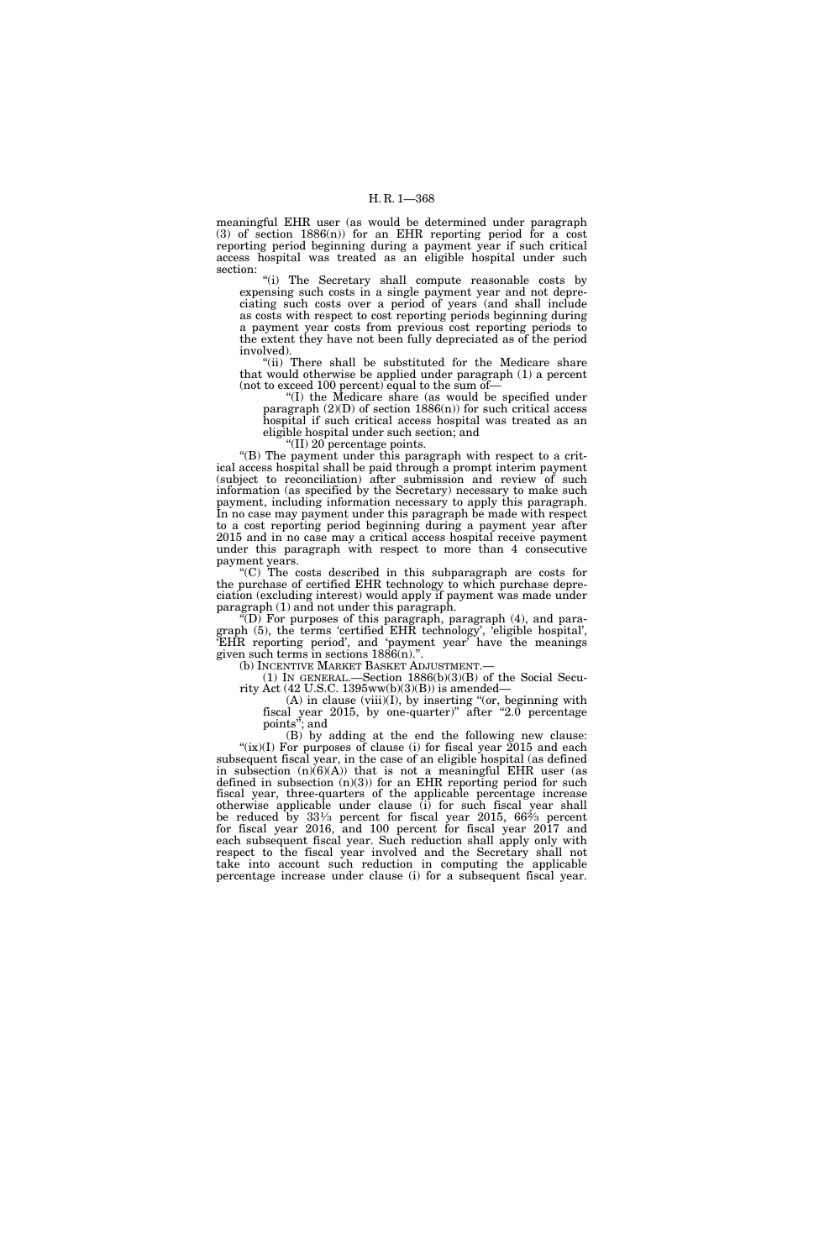meaningful EHR user (as would be determined under paragraph (3) of section 1886(n)) for an EHR reporting period for a cost reporting period beginning during a payment year if such critical access hospital was treated as an eligible hospital under such section:

"(i) The Secretary shall compute reasonable costs by expensing such costs in a single payment year and not depreciating such costs over a period of years (and shall include as costs with respect to cost reporting periods beginning during a payment year costs from previous cost reporting periods to the extent they have not been fully depreciated as of the period involved).

"(ii) There shall be substituted for the Medicare share that would otherwise be applied under paragraph (1) a percent (not to exceed 100 percent) equal to the sum of—

''(I) the Medicare share (as would be specified under paragraph  $(2)(D)$  of section 1886 $(n)$ ) for such critical access hospital if such critical access hospital was treated as an eligible hospital under such section; and

''(II) 20 percentage points.

''(B) The payment under this paragraph with respect to a critical access hospital shall be paid through a prompt interim payment (subject to reconciliation) after submission and review of such information (as specified by the Secretary) necessary to make such payment, including information necessary to apply this paragraph. In no case may payment under this paragraph be made with respect to a cost reporting period beginning during a payment year after 2015 and in no case may a critical access hospital receive payment under this paragraph with respect to more than 4 consecutive payment years.

''(C) The costs described in this subparagraph are costs for the purchase of certified EHR technology to which purchase depreciation (excluding interest) would apply if payment was made under paragraph (1) and not under this paragraph.

 $\widetilde{f}(D)$  For purposes of this paragraph, paragraph (4), and paragraph (5), the terms 'certified EHR technology', 'eligible hospital', 'EHR reporting period', and 'payment year' have the meanings given such terms in sections 1886(n).''.

(b) INCENTIVE MARKET BASKET ADJUSTMENT.—

(1) IN GENERAL.—Section 1886(b)(3)(B) of the Social Security Act (42 U.S.C. 1395ww(b)(3)(B)) is amended—

 $(A)$  in clause (viii) $(I)$ , by inserting "(or, beginning with fiscal year 2015, by one-quarter)" after "2.0 percentage points''; and

(B) by adding at the end the following new clause: " $(ix)(I)$  For purposes of clause (i) for fiscal year 2015 and each subsequent fiscal year, in the case of an eligible hospital (as defined in subsection  $(n)(6)(A)$  that is not a meaningful EHR user (as defined in subsection  $(n)(3)$  for an EHR reporting period for such fiscal year, three-quarters of the applicable percentage increase otherwise applicable under clause (i) for such fiscal year shall be reduced by  $33\frac{1}{3}$  percent for fiscal year 2015, 66<sup> $\frac{2}{3}$ </sup> percent for fiscal year 2016, and 100 percent for fiscal year 2017 and each subsequent fiscal year. Such reduction shall apply only with respect to the fiscal year involved and the Secretary shall not take into account such reduction in computing the applicable percentage increase under clause (i) for a subsequent fiscal year.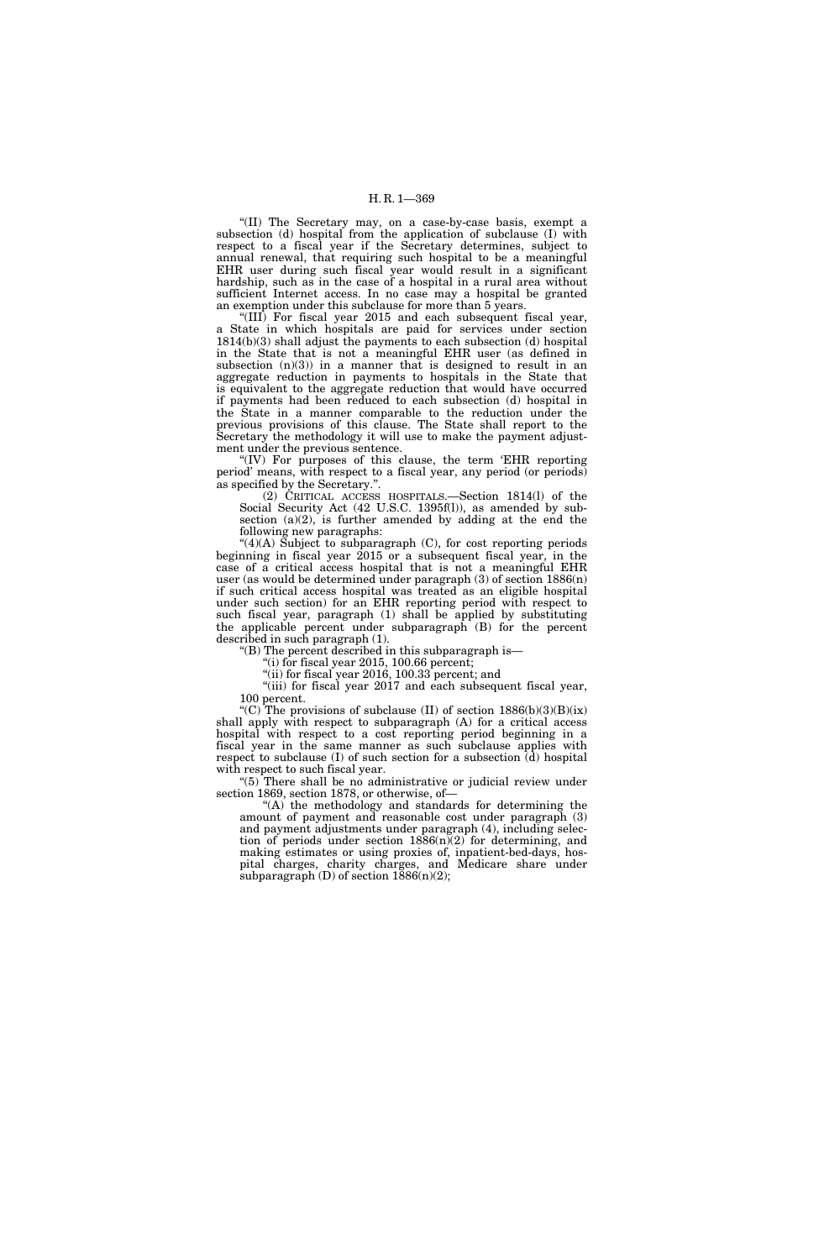## H. R. 1—369

''(II) The Secretary may, on a case-by-case basis, exempt a subsection (d) hospital from the application of subclause (I) with respect to a fiscal year if the Secretary determines, subject to annual renewal, that requiring such hospital to be a meaningful EHR user during such fiscal year would result in a significant hardship, such as in the case of a hospital in a rural area without sufficient Internet access. In no case may a hospital be granted an exemption under this subclause for more than 5 years.

''(III) For fiscal year 2015 and each subsequent fiscal year, a State in which hospitals are paid for services under section 1814(b)(3) shall adjust the payments to each subsection (d) hospital in the State that is not a meaningful EHR user (as defined in subsection  $(n)(3)$  in a manner that is designed to result in an aggregate reduction in payments to hospitals in the State that is equivalent to the aggregate reduction that would have occurred if payments had been reduced to each subsection (d) hospital in the State in a manner comparable to the reduction under the previous provisions of this clause. The State shall report to the Secretary the methodology it will use to make the payment adjustment under the previous sentence.

"(IV) For purposes of this clause, the term 'EHR reporting period' means, with respect to a fiscal year, any period (or periods) as specified by the Secretary.''.

(2) CRITICAL ACCESS HOSPITALS.—Section 1814(l) of the Social Security Act (42 U.S.C. 1395f(l)), as amended by subsection  $(a)(2)$ , is further amended by adding at the end the following new paragraphs:

 $"(4)(A)$  Subject to subparagraph  $(C)$ , for cost reporting periods beginning in fiscal year 2015 or a subsequent fiscal year, in the case of a critical access hospital that is not a meaningful EHR user (as would be determined under paragraph (3) of section 1886(n) if such critical access hospital was treated as an eligible hospital under such section) for an EHR reporting period with respect to such fiscal year, paragraph (1) shall be applied by substituting the applicable percent under subparagraph (B) for the percent described in such paragraph (1).

''(B) The percent described in this subparagraph is—

"(i) for fiscal year 2015, 100.66 percent;

"(ii) for fiscal year 2016, 100.33 percent; and

"(iii) for fiscal year 2017 and each subsequent fiscal year, 100 percent.

"(C) The provisions of subclause (II) of section  $1886(b)(3)(B)(ix)$ shall apply with respect to subparagraph (A) for a critical access hospital with respect to a cost reporting period beginning in a fiscal year in the same manner as such subclause applies with respect to subclause (I) of such section for a subsection (d) hospital with respect to such fiscal year.

''(5) There shall be no administrative or judicial review under section 1869, section 1878, or otherwise, of—

''(A) the methodology and standards for determining the amount of payment and reasonable cost under paragraph (3) and payment adjustments under paragraph (4), including selection of periods under section  $1886(n)(2)$  for determining, and making estimates or using proxies of, inpatient-bed-days, hospital charges, charity charges, and Medicare share under subparagraph  $(D)$  of section  $1886(n)(2)$ ;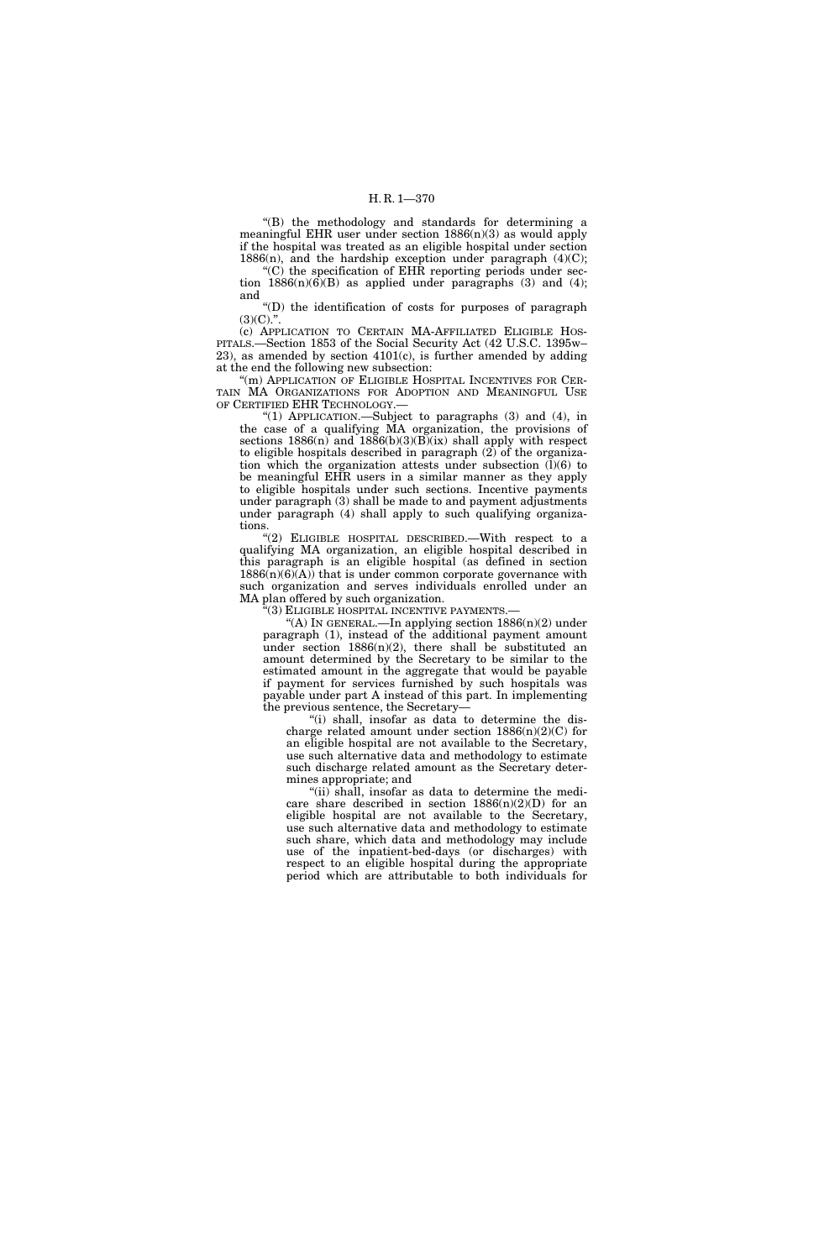''(B) the methodology and standards for determining a meaningful EHR user under section  $1886(n)(3)$  as would apply if the hospital was treated as an eligible hospital under section 1886 $(n)$ , and the hardship exception under paragraph  $(4)(C)$ ;

''(C) the specification of EHR reporting periods under section  $1886(n)(6)(B)$  as applied under paragraphs (3) and (4); and

''(D) the identification of costs for purposes of paragraph  $(3)(C)$ .".

(c) APPLICATION TO CERTAIN MA-AFFILIATED ELIGIBLE HOS-PITALS.—Section 1853 of the Social Security Act (42 U.S.C. 1395w–  $23$ ), as amended by section  $4101(c)$ , is further amended by adding at the end the following new subsection:

"(m) APPLICATION OF ELIGIBLE HOSPITAL INCENTIVES FOR CER-TAIN MA ORGANIZATIONS FOR ADOPTION AND MEANINGFUL USE OF CERTIFIED EHR TECHNOLOGY.—

''(1) APPLICATION.—Subject to paragraphs (3) and (4), in the case of a qualifying MA organization, the provisions of sections  $1886(n)$  and  $1886(b)(3)(B)(ix)$  shall apply with respect to eligible hospitals described in paragraph (2) of the organization which the organization attests under subsection  $(1)(6)$  to be meaningful EHR users in a similar manner as they apply to eligible hospitals under such sections. Incentive payments under paragraph (3) shall be made to and payment adjustments under paragraph (4) shall apply to such qualifying organizations.

''(2) ELIGIBLE HOSPITAL DESCRIBED.—With respect to a qualifying MA organization, an eligible hospital described in this paragraph is an eligible hospital (as defined in section  $1886(n)(6)(A)$  that is under common corporate governance with such organization and serves individuals enrolled under an MA plan offered by such organization.

'(3) ELIGIBLE HOSPITAL INCENTIVE PAYMENTS.-

"(A) In GENERAL.—In applying section  $1886(n)(2)$  under paragraph (1), instead of the additional payment amount under section  $1886(n)(2)$ , there shall be substituted an amount determined by the Secretary to be similar to the estimated amount in the aggregate that would be payable if payment for services furnished by such hospitals was payable under part A instead of this part. In implementing the previous sentence, the Secretary—

''(i) shall, insofar as data to determine the discharge related amount under section  $1886(n)(2)(C)$  for an eligible hospital are not available to the Secretary, use such alternative data and methodology to estimate such discharge related amount as the Secretary determines appropriate; and

''(ii) shall, insofar as data to determine the medicare share described in section  $1886(n)(2)(D)$  for an eligible hospital are not available to the Secretary, use such alternative data and methodology to estimate such share, which data and methodology may include use of the inpatient-bed-days (or discharges) with respect to an eligible hospital during the appropriate period which are attributable to both individuals for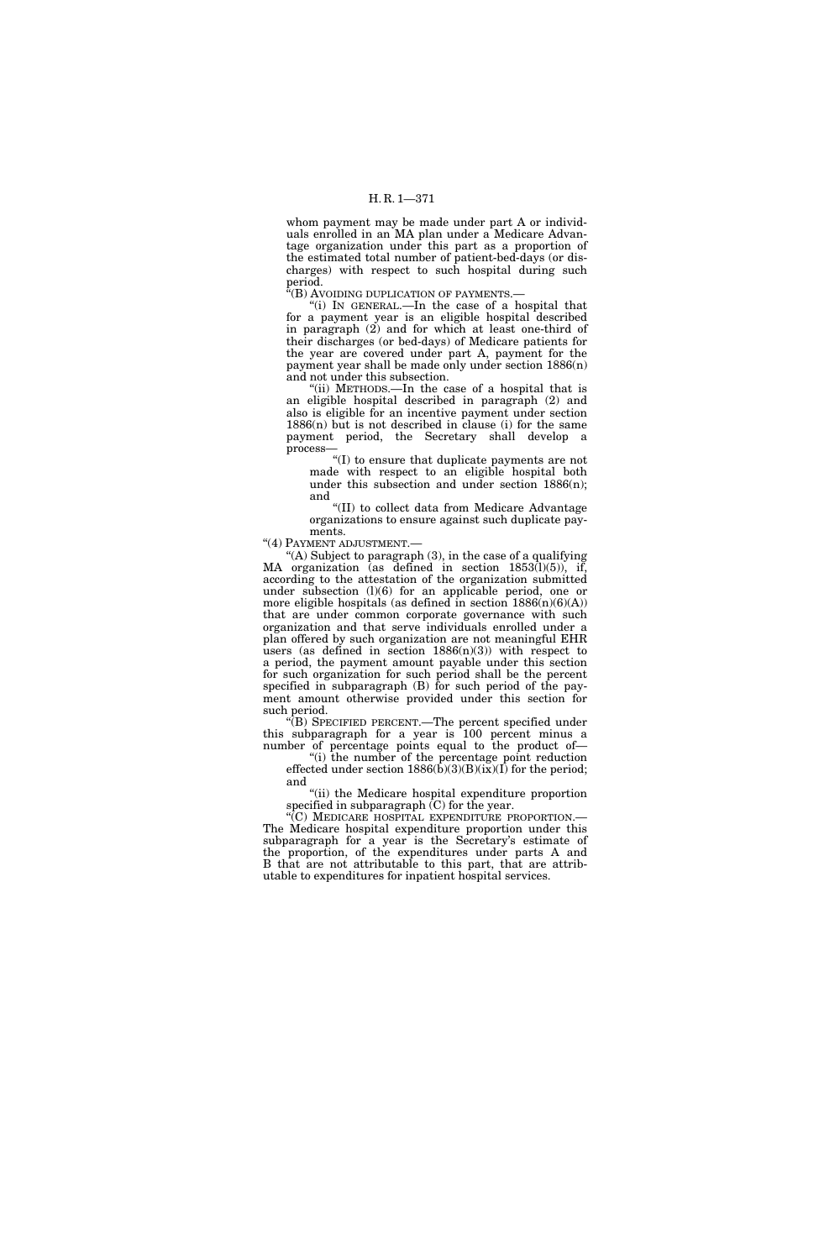whom payment may be made under part A or individuals enrolled in an MA plan under a Medicare Advantage organization under this part as a proportion of the estimated total number of patient-bed-days (or discharges) with respect to such hospital during such period.

''(B) AVOIDING DUPLICATION OF PAYMENTS.—

''(i) IN GENERAL.—In the case of a hospital that for a payment year is an eligible hospital described in paragraph (2) and for which at least one-third of their discharges (or bed-days) of Medicare patients for the year are covered under part A, payment for the payment year shall be made only under section 1886(n) and not under this subsection.

''(ii) METHODS.—In the case of a hospital that is an eligible hospital described in paragraph (2) and also is eligible for an incentive payment under section 1886(n) but is not described in clause (i) for the same payment period, the Secretary shall develop a process—

''(I) to ensure that duplicate payments are not made with respect to an eligible hospital both under this subsection and under section 1886(n); and

''(II) to collect data from Medicare Advantage organizations to ensure against such duplicate payments.

''(4) PAYMENT ADJUSTMENT.—

 $(A)$  Subject to paragraph  $(3)$ , in the case of a qualifying MA organization (as defined in section 1853(l)(5)), if, according to the attestation of the organization submitted under subsection (l)(6) for an applicable period, one or more eligible hospitals (as defined in section  $1886(n)(6)(A)$ ) that are under common corporate governance with such organization and that serve individuals enrolled under a plan offered by such organization are not meaningful EHR users (as defined in section  $1886(n)(3)$ ) with respect to a period, the payment amount payable under this section for such organization for such period shall be the percent specified in subparagraph (B) for such period of the payment amount otherwise provided under this section for such period.

''(B) SPECIFIED PERCENT.—The percent specified under this subparagraph for a year is 100 percent minus a number of percentage points equal to the product of—

''(i) the number of the percentage point reduction effected under section  $1886(\overline{b})(3)(\overline{B})(\overline{ix})(\overline{I})$  for the period; and

''(ii) the Medicare hospital expenditure proportion specified in subparagraph (C) for the year.

''(C) MEDICARE HOSPITAL EXPENDITURE PROPORTION.— The Medicare hospital expenditure proportion under this subparagraph for a year is the Secretary's estimate of the proportion, of the expenditures under parts A and B that are not attributable to this part, that are attributable to expenditures for inpatient hospital services.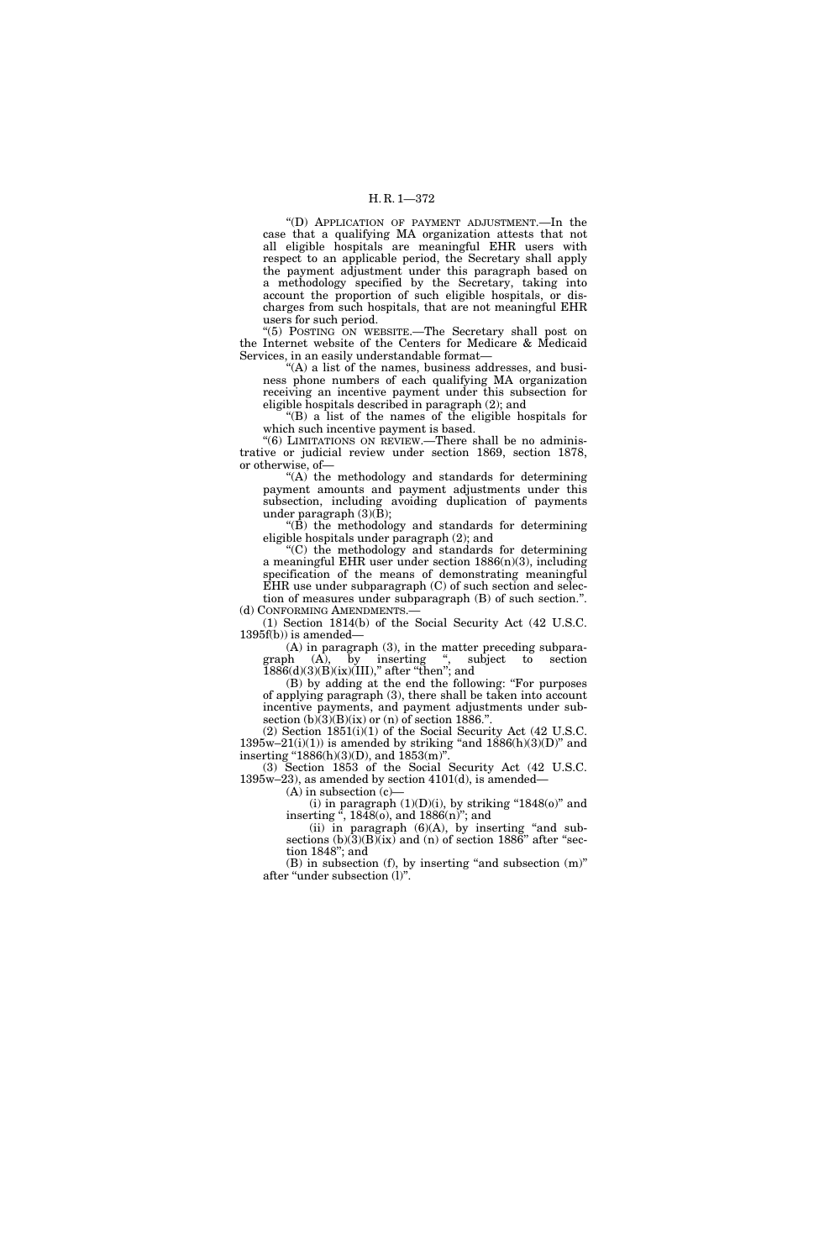''(D) APPLICATION OF PAYMENT ADJUSTMENT.—In the case that a qualifying MA organization attests that not all eligible hospitals are meaningful EHR users with respect to an applicable period, the Secretary shall apply the payment adjustment under this paragraph based on a methodology specified by the Secretary, taking into account the proportion of such eligible hospitals, or discharges from such hospitals, that are not meaningful EHR users for such period.

''(5) POSTING ON WEBSITE.—The Secretary shall post on the Internet website of the Centers for Medicare & Medicaid Services, in an easily understandable format—

''(A) a list of the names, business addresses, and business phone numbers of each qualifying MA organization receiving an incentive payment under this subsection for eligible hospitals described in paragraph (2); and

''(B) a list of the names of the eligible hospitals for which such incentive payment is based.

"(6) LIMITATIONS ON REVIEW.—There shall be no administrative or judicial review under section 1869, section 1878, or otherwise, of—

"(A) the methodology and standards for determining payment amounts and payment adjustments under this subsection, including avoiding duplication of payments under paragraph (3)(B);

 $\angle$ <sup>"(B)</sup> the methodology and standards for determining eligible hospitals under paragraph (2); and

''(C) the methodology and standards for determining a meaningful EHR user under section 1886(n)(3), including specification of the means of demonstrating meaningful EHR use under subparagraph (C) of such section and selection of measures under subparagraph (B) of such section.''.

(d) CONFORMING AMENDMENTS.— (1) Section 1814(b) of the Social Security Act (42 U.S.C. 1395f(b)) is amended—

(A) in paragraph (3), in the matter preceding subparagraph (A), by inserting ", subject to section  $1886(d)(3)(B)(ix)(III)$ ," after "then"; and

(B) by adding at the end the following: ''For purposes of applying paragraph (3), there shall be taken into account incentive payments, and payment adjustments under subsection  $(b)(3)(B)(ix)$  or  $(n)$  of section 1886.".

(2) Section 1851(i)(1) of the Social Security Act (42 U.S.C.  $1395w-21(i)(1)$ ) is amended by striking "and  $1886(h)(3)(D)$ " and inserting "1886(h)(3)(D), and  $1853$ (m)'.

(3) Section 1853 of the Social Security Act (42 U.S.C. 1395w–23), as amended by section 4101(d), is amended—

 $(A)$  in subsection  $(c)$ —

(i) in paragraph  $(1)(D)(i)$ , by striking "1848(o)" and inserting '', 1848(o), and 1886(n)''; and

(ii) in paragraph  $(6)(A)$ , by inserting "and subsections  $(b)(3)(B)(ix)$  and  $(n)$  of section 1886" after "section 1848''; and

 $(B)$  in subsection  $(f)$ , by inserting "and subsection  $(m)$ " after ''under subsection (l)''.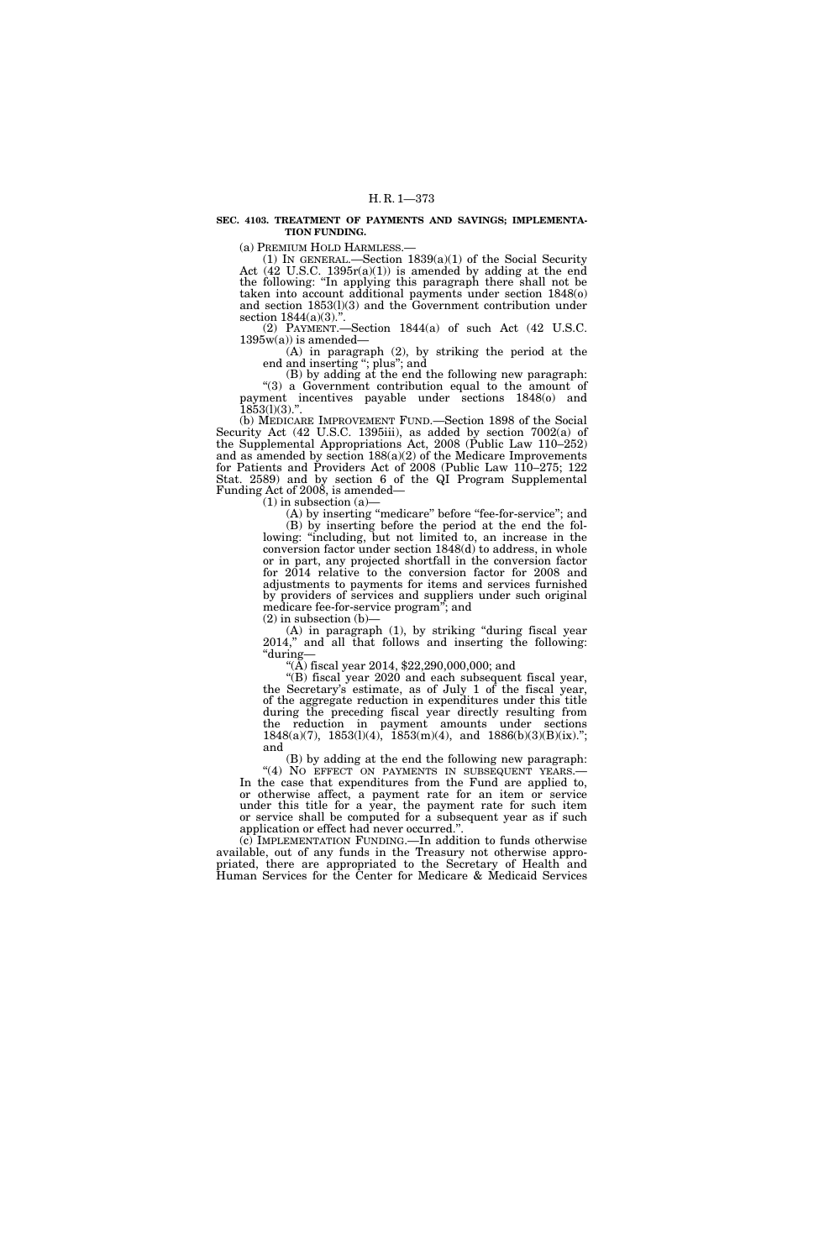#### **SEC. 4103. TREATMENT OF PAYMENTS AND SAVINGS; IMPLEMENTA-TION FUNDING.**

(a) PREMIUM HOLD HARMLESS.—<br>
(1) IN GENERAL.—Section  $1839(a)(1)$  of the Social Security Act  $(42$  U.S.C. 1395r(a)(1)) is amended by adding at the end the following: "In applying this paragraph there shall not be taken into account additional payments under section 1848(o) and section 1853(l)(3) and the Government contribution under section 1844(a)(3).".

(2) PAYMENT.—Section 1844(a) of such Act (42 U.S.C.  $1395w(a)$  is amended-

(A) in paragraph (2), by striking the period at the end and inserting ''; plus''; and

(B) by adding at the end the following new paragraph: "(3) a Government contribution equal to the amount of payment incentives payable under sections 1848(o) and 1853(l)(3).''.

(b) MEDICARE IMPROVEMENT FUND.—Section 1898 of the Social Security Act (42 U.S.C. 1395iii), as added by section 7002(a) of the Supplemental Appropriations Act, 2008 (Public Law 110–252) and as amended by section  $188(a)(2)$  of the Medicare Improvements for Patients and Providers Act of 2008 (Public Law 110–275; 122 Stat. 2589) and by section 6 of the QI Program Supplemental Funding Act of 2008, is amended—

 $(1)$  in subsection  $(a)$ 

(A) by inserting "medicare" before "fee-for-service"; and

(B) by inserting before the period at the end the following: ''including, but not limited to, an increase in the conversion factor under section 1848(d) to address, in whole or in part, any projected shortfall in the conversion factor for 2014 relative to the conversion factor for 2008 and adjustments to payments for items and services furnished by providers of services and suppliers under such original medicare fee-for-service program''; and

 $(2)$  in subsection  $(b)$ –

(A) in paragraph (1), by striking ''during fiscal year 2014,'' and all that follows and inserting the following: ''during— ''(A) fiscal year 2014, \$22,290,000,000; and

''(B) fiscal year 2020 and each subsequent fiscal year, the Secretary's estimate, as of July 1 of the fiscal year, of the aggregate reduction in expenditures under this title during the preceding fiscal year directly resulting from the reduction in payment amounts under sections  $1848(a)(7)$ ,  $1853(1)(4)$ ,  $1853(m)(4)$ , and  $1886(b)(3)(B)(ix)$ ."; and

(B) by adding at the end the following new paragraph:<br>"(4) No EFFECT ON PAYMENTS IN SUBSEQUENT YEARS.— In the case that expenditures from the Fund are applied to, or otherwise affect, a payment rate for an item or service under this title for a year, the payment rate for such item or service shall be computed for a subsequent year as if such application or effect had never occurred.''.

(c) IMPLEMENTATION FUNDING.—In addition to funds otherwise available, out of any funds in the Treasury not otherwise appropriated, there are appropriated to the Secretary of Health and Human Services for the Center for Medicare & Medicaid Services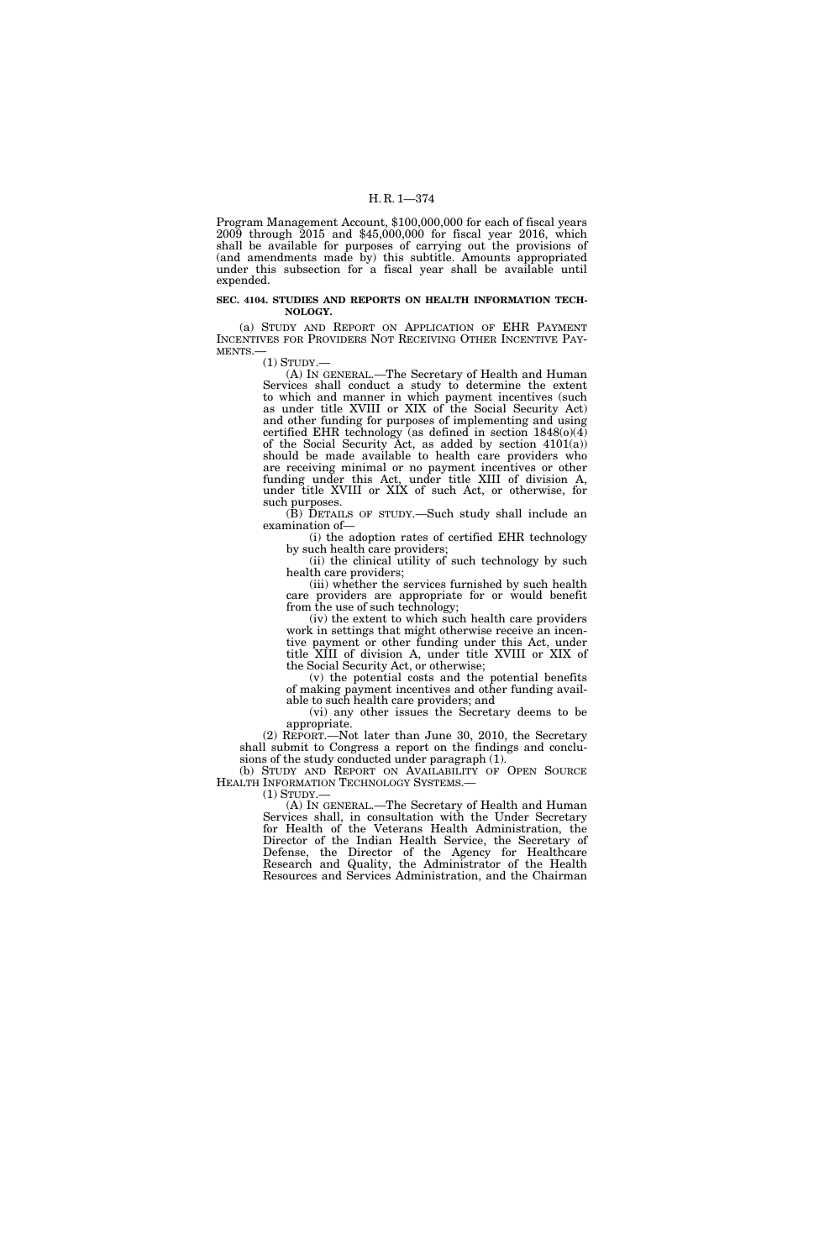Program Management Account, \$100,000,000 for each of fiscal years 2009 through 2015 and \$45,000,000 for fiscal year 2016, which shall be available for purposes of carrying out the provisions of (and amendments made by) this subtitle. Amounts appropriated under this subsection for a fiscal year shall be available until expended.

#### **SEC. 4104. STUDIES AND REPORTS ON HEALTH INFORMATION TECH-NOLOGY.**

(a) STUDY AND REPORT ON APPLICATION OF EHR PAYMENT INCENTIVES FOR PROVIDERS NOT RECEIVING OTHER INCENTIVE PAY-MENTS.—

(1) STUDY.—

(A) IN GENERAL.—The Secretary of Health and Human Services shall conduct a study to determine the extent to which and manner in which payment incentives (such as under title XVIII or XIX of the Social Security Act) and other funding for purposes of implementing and using certified EHR technology (as defined in section 1848(o)(4) of the Social Security Act, as added by section  $4101(a)$ ) should be made available to health care providers who are receiving minimal or no payment incentives or other funding under this Act, under title XIII of division A, under title XVIII or XIX of such Act, or otherwise, for such purposes.

(B) DETAILS OF STUDY.—Such study shall include an examination of—

(i) the adoption rates of certified EHR technology by such health care providers;

(ii) the clinical utility of such technology by such health care providers;

(iii) whether the services furnished by such health care providers are appropriate for or would benefit from the use of such technology;

(iv) the extent to which such health care providers work in settings that might otherwise receive an incentive payment or other funding under this Act, under title XIII of division A, under title XVIII or XIX of the Social Security Act, or otherwise;

(v) the potential costs and the potential benefits of making payment incentives and other funding available to such health care providers; and

(vi) any other issues the Secretary deems to be appropriate.

(2) REPORT.—Not later than June 30, 2010, the Secretary shall submit to Congress a report on the findings and conclusions of the study conducted under paragraph (1).

(b) STUDY AND REPORT ON AVAILABILITY OF OPEN SOURCE HEALTH INFORMATION TECHNOLOGY SYSTEMS.— (1) STUDY.—

(A) IN GENERAL.—The Secretary of Health and Human Services shall, in consultation with the Under Secretary for Health of the Veterans Health Administration, the Director of the Indian Health Service, the Secretary of Defense, the Director of the Agency for Healthcare Research and Quality, the Administrator of the Health Resources and Services Administration, and the Chairman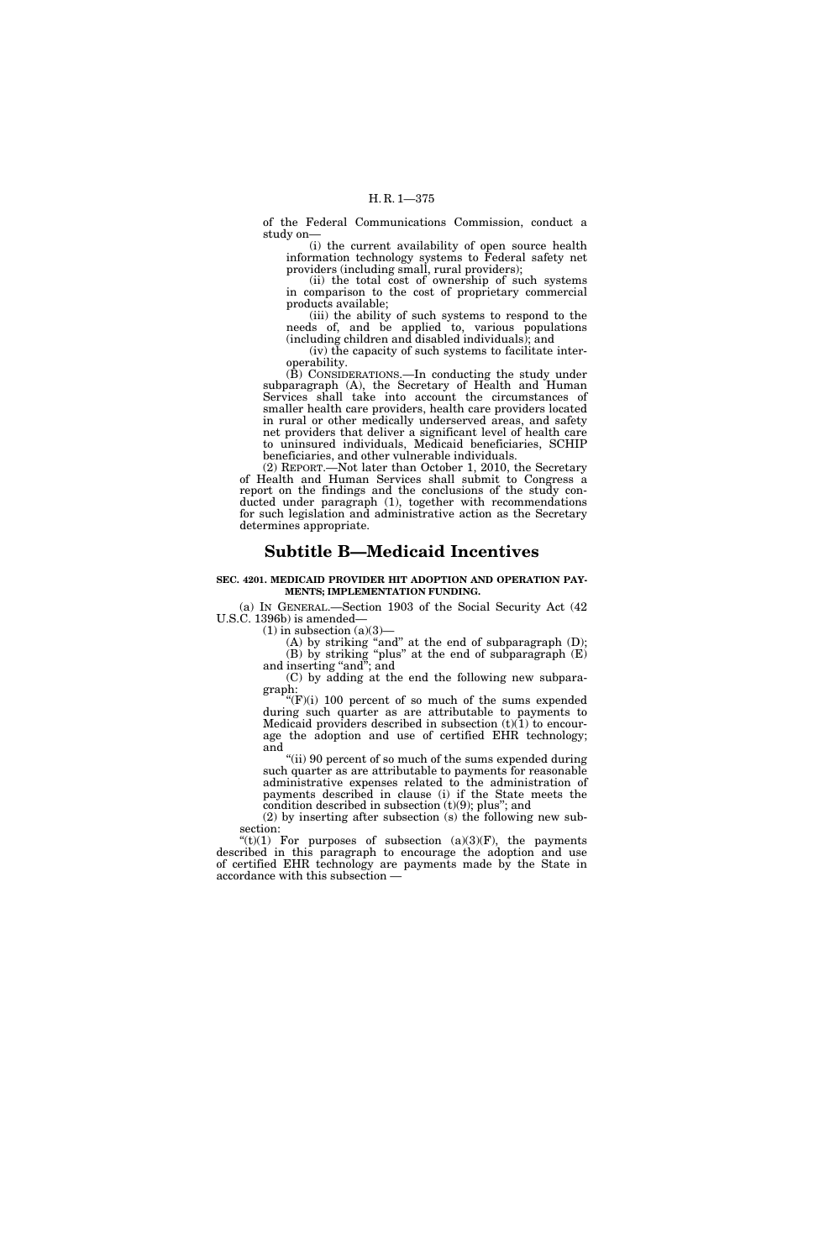of the Federal Communications Commission, conduct a study on—

(i) the current availability of open source health information technology systems to Federal safety net providers (including small, rural providers);

(ii) the total cost of ownership of such systems in comparison to the cost of proprietary commercial products available;

(iii) the ability of such systems to respond to the needs of, and be applied to, various populations (including children and disabled individuals); and

(iv) the capacity of such systems to facilitate interoperability.

(B) CONSIDERATIONS.—In conducting the study under subparagraph (A), the Secretary of Health and Human Services shall take into account the circumstances of smaller health care providers, health care providers located in rural or other medically underserved areas, and safety net providers that deliver a significant level of health care to uninsured individuals, Medicaid beneficiaries, SCHIP beneficiaries, and other vulnerable individuals.

(2) REPORT.—Not later than October 1, 2010, the Secretary of Health and Human Services shall submit to Congress a report on the findings and the conclusions of the study conducted under paragraph (1), together with recommendations for such legislation and administrative action as the Secretary determines appropriate.

# **Subtitle B—Medicaid Incentives**

#### **SEC. 4201. MEDICAID PROVIDER HIT ADOPTION AND OPERATION PAY-MENTS; IMPLEMENTATION FUNDING.**

(a) IN GENERAL.—Section 1903 of the Social Security Act (42 U.S.C. 1396b) is amended—

 $(1)$  in subsection  $(a)(3)$ —

(A) by striking "and" at the end of subparagraph  $(D)$ ; (B) by striking "plus" at the end of subparagraph  $(E)$ and inserting "and"; and

(C) by adding at the end the following new subparagraph:

 $'(F)(i)$  100 percent of so much of the sums expended during such quarter as are attributable to payments to Medicaid providers described in subsection  $(t)(1)$  to encourage the adoption and use of certified EHR technology; and

''(ii) 90 percent of so much of the sums expended during such quarter as are attributable to payments for reasonable administrative expenses related to the administration of payments described in clause (i) if the State meets the condition described in subsection  $(t)(9)$ ; plus"; and

(2) by inserting after subsection (s) the following new subsection:

 $'(t)(1)$  For purposes of subsection  $(a)(3)(F)$ , the payments described in this paragraph to encourage the adoption and use of certified EHR technology are payments made by the State in accordance with this subsection —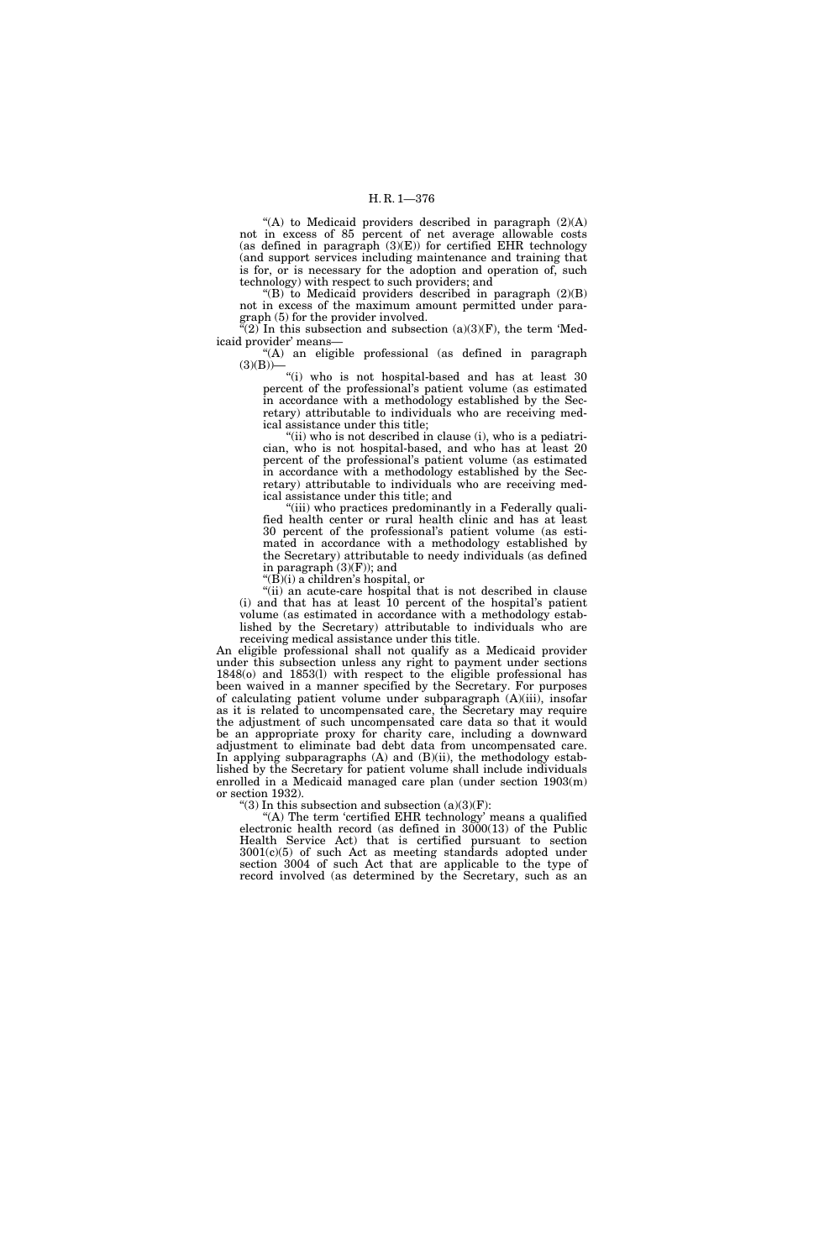"(A) to Medicaid providers described in paragraph  $(2)(A)$ not in excess of 85 percent of net average allowable costs (as defined in paragraph  $(3)(E)$ ) for certified EHR technology (and support services including maintenance and training that is for, or is necessary for the adoption and operation of, such technology) with respect to such providers; and

 $f(B)$  to Medicaid providers described in paragraph  $(2)(B)$ not in excess of the maximum amount permitted under paragraph (5) for the provider involved.

"(2) In this subsection and subsection  $(a)(3)(F)$ , the term 'Medicaid provider' means—

''(A) an eligible professional (as defined in paragraph  $(3)(B)$ —

''(i) who is not hospital-based and has at least 30 percent of the professional's patient volume (as estimated in accordance with a methodology established by the Secretary) attributable to individuals who are receiving medical assistance under this title;

"(ii) who is not described in clause (i), who is a pediatrician, who is not hospital-based, and who has at least 20 percent of the professional's patient volume (as estimated in accordance with a methodology established by the Secretary) attributable to individuals who are receiving medical assistance under this title; and

"(iii) who practices predominantly in a Federally qualified health center or rural health clinic and has at least 30 percent of the professional's patient volume (as estimated in accordance with a methodology established by the Secretary) attributable to needy individuals (as defined in paragraph  $(3)(F)$ ; and

" $(\vec{B})(i)$  a children's hospital, or

"(ii) an acute-care hospital that is not described in clause (i) and that has at least 10 percent of the hospital's patient volume (as estimated in accordance with a methodology established by the Secretary) attributable to individuals who are

receiving medical assistance under this title. An eligible professional shall not qualify as a Medicaid provider under this subsection unless any right to payment under sections 1848(o) and 1853(l) with respect to the eligible professional has been waived in a manner specified by the Secretary. For purposes of calculating patient volume under subparagraph (A)(iii), insofar as it is related to uncompensated care, the Secretary may require the adjustment of such uncompensated care data so that it would be an appropriate proxy for charity care, including a downward adjustment to eliminate bad debt data from uncompensated care. In applying subparagraphs  $(A)$  and  $(B)(ii)$ , the methodology established by the Secretary for patient volume shall include individuals enrolled in a Medicaid managed care plan (under section 1903(m) or section 1932).

"(3) In this subsection and subsection  $(a)(3)(F)$ :

"(A) The term 'certified EHR technology' means a qualified electronic health record (as defined in 3000(13) of the Public Health Service Act) that is certified pursuant to section 3001(c)(5) of such Act as meeting standards adopted under section 3004 of such Act that are applicable to the type of record involved (as determined by the Secretary, such as an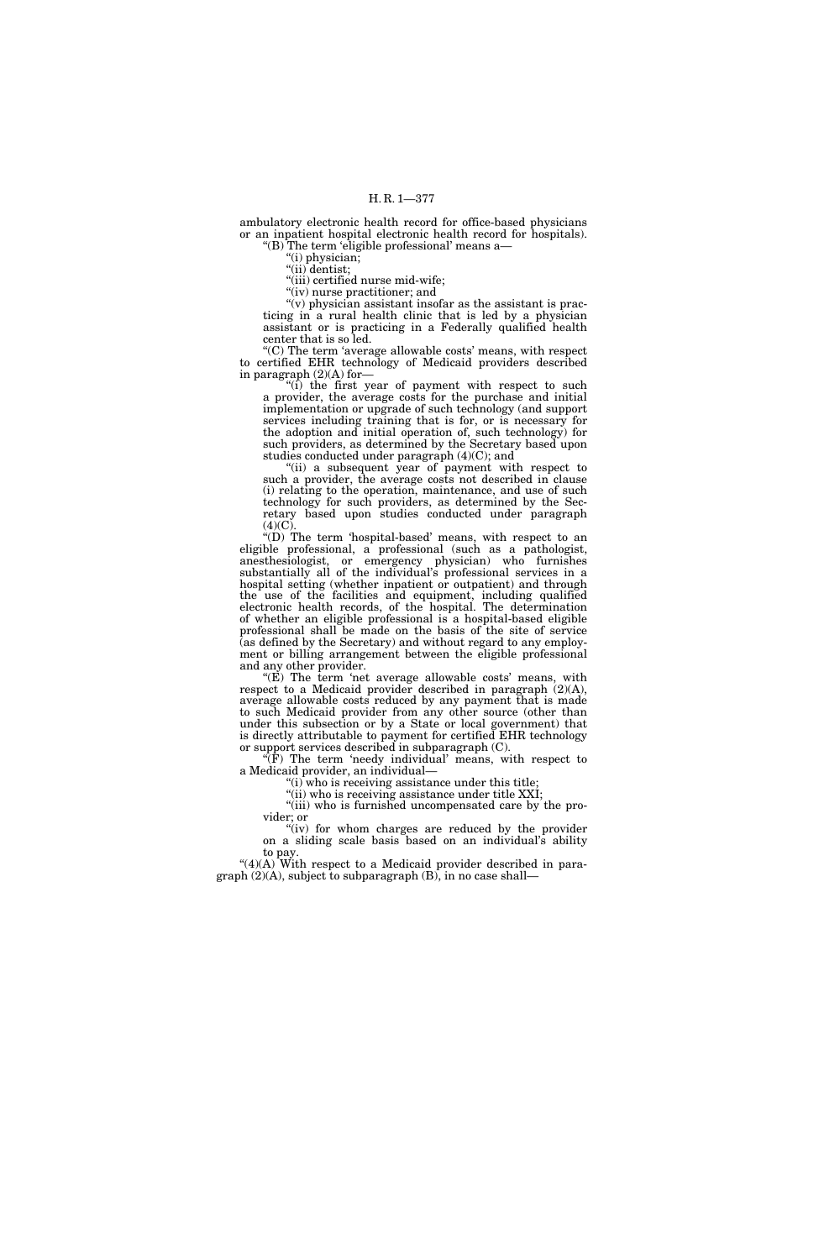ambulatory electronic health record for office-based physicians or an inpatient hospital electronic health record for hospitals). ''(B) The term 'eligible professional' means a—

 $(i)$  physician;

"(ii) dentist;

''(iii) certified nurse mid-wife; "(iv) nurse practitioner; and

 $\tilde{f}(v)$  physician assistant insofar as the assistant is practicing in a rural health clinic that is led by a physician assistant or is practicing in a Federally qualified health center that is so led.

''(C) The term 'average allowable costs' means, with respect to certified EHR technology of Medicaid providers described in paragraph (2)(A) for—

 $\lim_{t \to \infty}$  is interest year of payment with respect to such a provider, the average costs for the purchase and initial implementation or upgrade of such technology (and support services including training that is for, or is necessary for the adoption and initial operation of, such technology) for such providers, as determined by the Secretary based upon studies conducted under paragraph (4)(C); and

"(ii) a subsequent year of payment with respect to such a provider, the average costs not described in clause (i) relating to the operation, maintenance, and use of such technology for such providers, as determined by the Secretary based upon studies conducted under paragraph  $(4)(C)$ 

 $\sqrt[\alpha]{(D)}$  The term 'hospital-based' means, with respect to an eligible professional, a professional (such as a pathologist, anesthesiologist, or emergency physician) who furnishes substantially all of the individual's professional services in a hospital setting (whether inpatient or outpatient) and through the use of the facilities and equipment, including qualified electronic health records, of the hospital. The determination of whether an eligible professional is a hospital-based eligible professional shall be made on the basis of the site of service (as defined by the Secretary) and without regard to any employment or billing arrangement between the eligible professional and any other provider.

" $(E)$  The term 'net average allowable costs' means, with respect to a Medicaid provider described in paragraph (2)(A), average allowable costs reduced by any payment that is made to such Medicaid provider from any other source (other than under this subsection or by a State or local government) that is directly attributable to payment for certified EHR technology or support services described in subparagraph (C).

 $\sqrt[\text{F}]{F}$  The term 'needy individual' means, with respect to a Medicaid provider, an individual—

''(i) who is receiving assistance under this title;

"(ii) who is receiving assistance under title XXI;

"(iii) who is furnished uncompensated care by the provider; or

"(iv) for whom charges are reduced by the provider on a sliding scale basis based on an individual's ability to pay.

" $(4)(A)$  With respect to a Medicaid provider described in para $graph (2)(A)$ , subject to subparagraph  $(B)$ , in no case shall—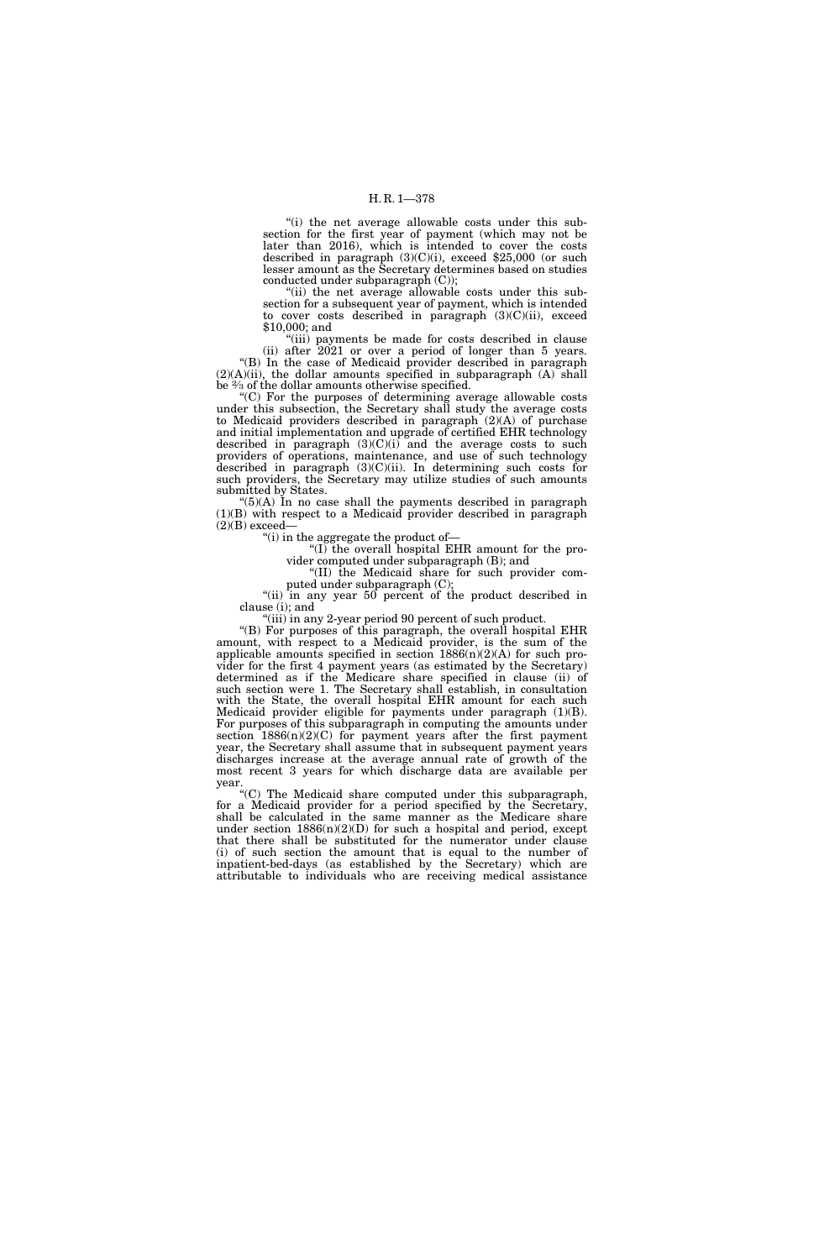"(i) the net average allowable costs under this subsection for the first year of payment (which may not be later than 2016), which is intended to cover the costs described in paragraph (3)(C)(i), exceed \$25,000 (or such lesser amount as the Secretary determines based on studies conducted under subparagraph (C));

''(ii) the net average allowable costs under this subsection for a subsequent year of payment, which is intended to cover costs described in paragraph (3)(C)(ii), exceed \$10,000; and

"(iii) payments be made for costs described in clause (ii) after 2021 or over a period of longer than 5 years. ''(B) In the case of Medicaid provider described in paragraph  $(2)(A)(ii)$ , the dollar amounts specified in subparagraph  $(A)$  shall be 2⁄3 of the dollar amounts otherwise specified.

''(C) For the purposes of determining average allowable costs under this subsection, the Secretary shall study the average costs to Medicaid providers described in paragraph (2)(A) of purchase and initial implementation and upgrade of certified EHR technology described in paragraph  $(3)(C)(i)$  and the average costs to such providers of operations, maintenance, and use of such technology described in paragraph (3)(C)(ii). In determining such costs for such providers, the Secretary may utilize studies of such amounts submitted by States.

" $(5)(A)$  In no case shall the payments described in paragraph (1)(B) with respect to a Medicaid provider described in paragraph  $(2)(B)$  exceed-

''(i) in the aggregate the product of—

''(I) the overall hospital EHR amount for the provider computed under subparagraph (B); and

''(II) the Medicaid share for such provider computed under subparagraph (C);

"(ii) in any year 50 percent of the product described in clause (i); and

"(iii) in any 2-year period 90 percent of such product.

''(B) For purposes of this paragraph, the overall hospital EHR amount, with respect to a Medicaid provider, is the sum of the applicable amounts specified in section  $1886(n)(2)(A)$  for such provider for the first 4 payment years (as estimated by the Secretary) determined as if the Medicare share specified in clause (ii) of such section were 1. The Secretary shall establish, in consultation with the State, the overall hospital EHR amount for each such Medicaid provider eligible for payments under paragraph (1)(B). For purposes of this subparagraph in computing the amounts under section 1886(n)(2)(C) for payment years after the first payment year, the Secretary shall assume that in subsequent payment years discharges increase at the average annual rate of growth of the most recent 3 years for which discharge data are available per year.

''(C) The Medicaid share computed under this subparagraph, for a Medicaid provider for a period specified by the Secretary, shall be calculated in the same manner as the Medicare share under section 1886(n)(2)(D) for such a hospital and period, except that there shall be substituted for the numerator under clause (i) of such section the amount that is equal to the number of inpatient-bed-days (as established by the Secretary) which are attributable to individuals who are receiving medical assistance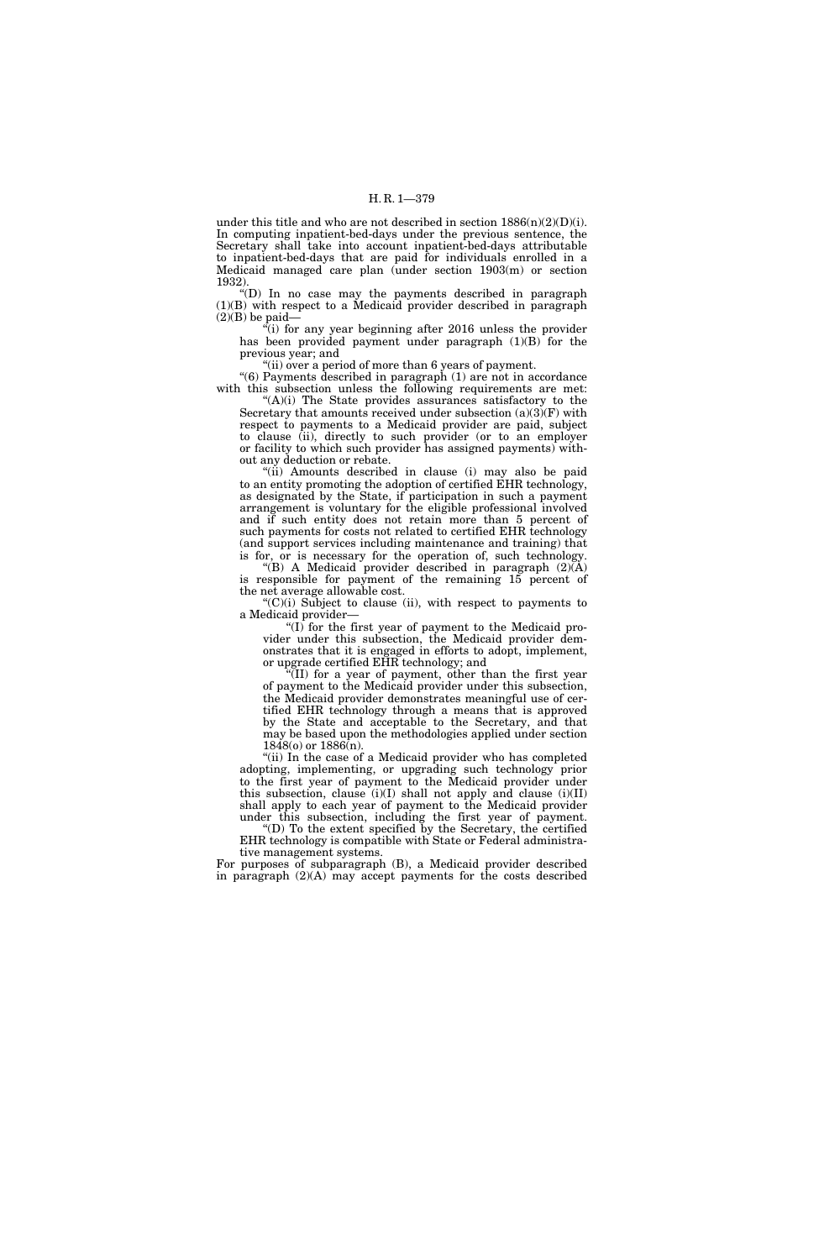under this title and who are not described in section  $1886(n)(2)(D)(i)$ . In computing inpatient-bed-days under the previous sentence, the Secretary shall take into account inpatient-bed-days attributable to inpatient-bed-days that are paid for individuals enrolled in a Medicaid managed care plan (under section 1903(m) or section 1932).

''(D) In no case may the payments described in paragraph (1)(B) with respect to a Medicaid provider described in paragraph  $(2)(B)$  be paid-

 $\epsilon$ <sup>(i)</sup> for any year beginning after 2016 unless the provider has been provided payment under paragraph (1)(B) for the previous year; and

"(ii) over a period of more than 6 years of payment.

''(6) Payments described in paragraph (1) are not in accordance with this subsection unless the following requirements are met:

''(A)(i) The State provides assurances satisfactory to the Secretary that amounts received under subsection  $(a)(3)(F)$  with respect to payments to a Medicaid provider are paid, subject to clause (ii), directly to such provider (or to an employer or facility to which such provider has assigned payments) without any deduction or rebate.

''(ii) Amounts described in clause (i) may also be paid to an entity promoting the adoption of certified EHR technology, as designated by the State, if participation in such a payment arrangement is voluntary for the eligible professional involved and if such entity does not retain more than 5 percent of such payments for costs not related to certified EHR technology (and support services including maintenance and training) that is for, or is necessary for the operation of, such technology.

"(B) A Medicaid provider described in paragraph  $(2)(\breve{A})$ is responsible for payment of the remaining 15 percent of the net average allowable cost.

 $C'(C)(i)$  Subject to clause (ii), with respect to payments to a Medicaid provider—

" $(I)$  for the first year of payment to the Medicaid provider under this subsection, the Medicaid provider demonstrates that it is engaged in efforts to adopt, implement, or upgrade certified EHR technology; and

 $f(II)$  for a year of payment, other than the first year of payment to the Medicaid provider under this subsection, the Medicaid provider demonstrates meaningful use of certified EHR technology through a means that is approved by the State and acceptable to the Secretary, and that may be based upon the methodologies applied under section  $1848$ (o) or  $1886$ (n).

''(ii) In the case of a Medicaid provider who has completed adopting, implementing, or upgrading such technology prior to the first year of payment to the Medicaid provider under this subsection, clause  $(i)(I)$  shall not apply and clause  $(i)(II)$ shall apply to each year of payment to the Medicaid provider under this subsection, including the first year of payment.

''(D) To the extent specified by the Secretary, the certified EHR technology is compatible with State or Federal administrative management systems.

For purposes of subparagraph (B), a Medicaid provider described in paragraph (2)(A) may accept payments for the costs described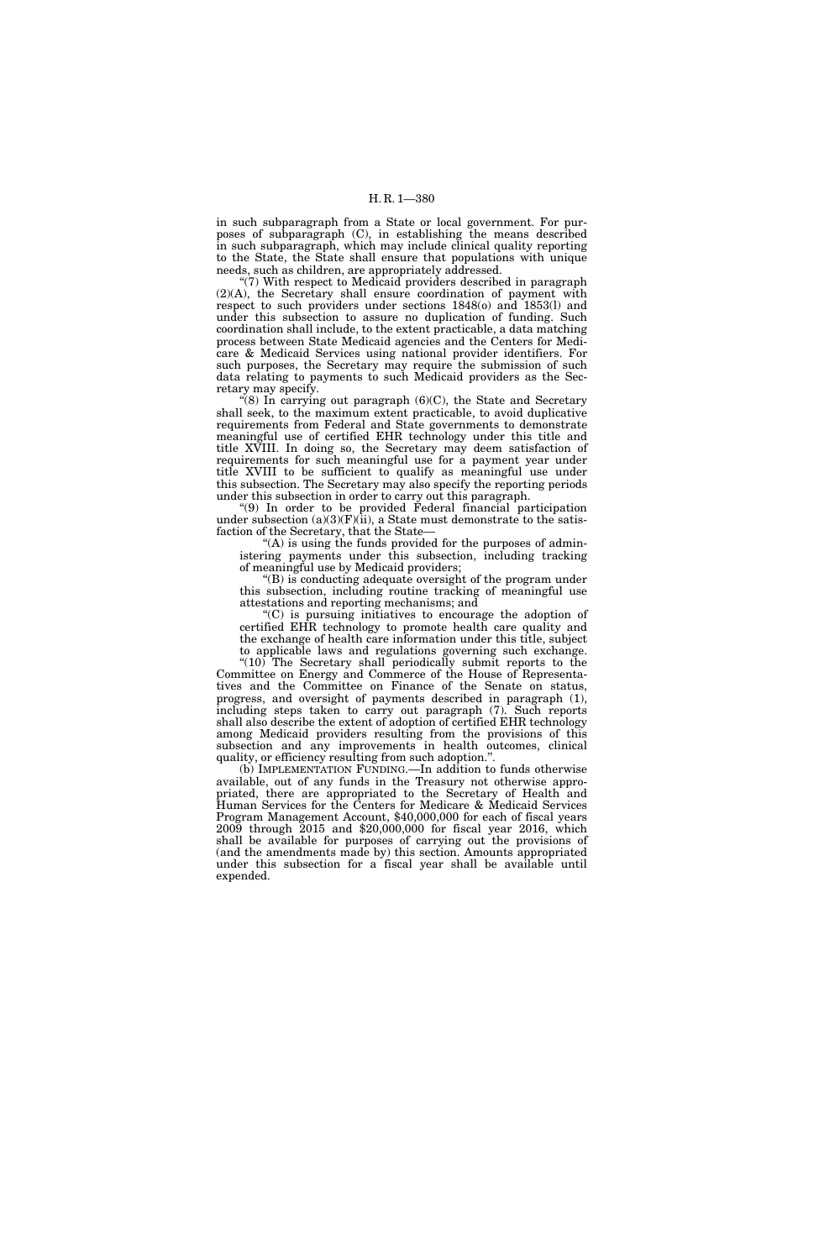in such subparagraph from a State or local government. For purposes of subparagraph (C), in establishing the means described in such subparagraph, which may include clinical quality reporting to the State, the State shall ensure that populations with unique needs, such as children, are appropriately addressed.

"(7) With respect to Medicaid providers described in paragraph (2)(A), the Secretary shall ensure coordination of payment with respect to such providers under sections 1848(o) and 1853(l) and under this subsection to assure no duplication of funding. Such coordination shall include, to the extent practicable, a data matching process between State Medicaid agencies and the Centers for Medicare & Medicaid Services using national provider identifiers. For such purposes, the Secretary may require the submission of such data relating to payments to such Medicaid providers as the Secretary may specify.

" $(8)$  In carrying out paragraph  $(6)(C)$ , the State and Secretary shall seek, to the maximum extent practicable, to avoid duplicative requirements from Federal and State governments to demonstrate meaningful use of certified EHR technology under this title and title XVIII. In doing so, the Secretary may deem satisfaction of requirements for such meaningful use for a payment year under title XVIII to be sufficient to qualify as meaningful use under this subsection. The Secretary may also specify the reporting periods under this subsection in order to carry out this paragraph.

''(9) In order to be provided Federal financial participation under subsection  $(a)(3)(F)(ii)$ , a State must demonstrate to the satisfaction of the Secretary, that the State—

" $(A)$  is using the funds provided for the purposes of administering payments under this subsection, including tracking of meaningful use by Medicaid providers;

 $\mathrm{``(B)}$  is conducting adequate oversight of the program under this subsection, including routine tracking of meaningful use attestations and reporting mechanisms; and

''(C) is pursuing initiatives to encourage the adoption of certified EHR technology to promote health care quality and the exchange of health care information under this title, subject to applicable laws and regulations governing such exchange.

" $(10)$  The Secretary shall periodically submit reports to the Committee on Energy and Commerce of the House of Representatives and the Committee on Finance of the Senate on status, progress, and oversight of payments described in paragraph (1), including steps taken to carry out paragraph (7). Such reports shall also describe the extent of adoption of certified EHR technology among Medicaid providers resulting from the provisions of this subsection and any improvements in health outcomes, clinical quality, or efficiency resulting from such adoption.''.

(b) IMPLEMENTATION FUNDING.—In addition to funds otherwise available, out of any funds in the Treasury not otherwise appropriated, there are appropriated to the Secretary of Health and Human Services for the Centers for Medicare & Medicaid Services Program Management Account, \$40,000,000 for each of fiscal years 2009 through 2015 and \$20,000,000 for fiscal year 2016, which shall be available for purposes of carrying out the provisions of (and the amendments made by) this section. Amounts appropriated under this subsection for a fiscal year shall be available until expended.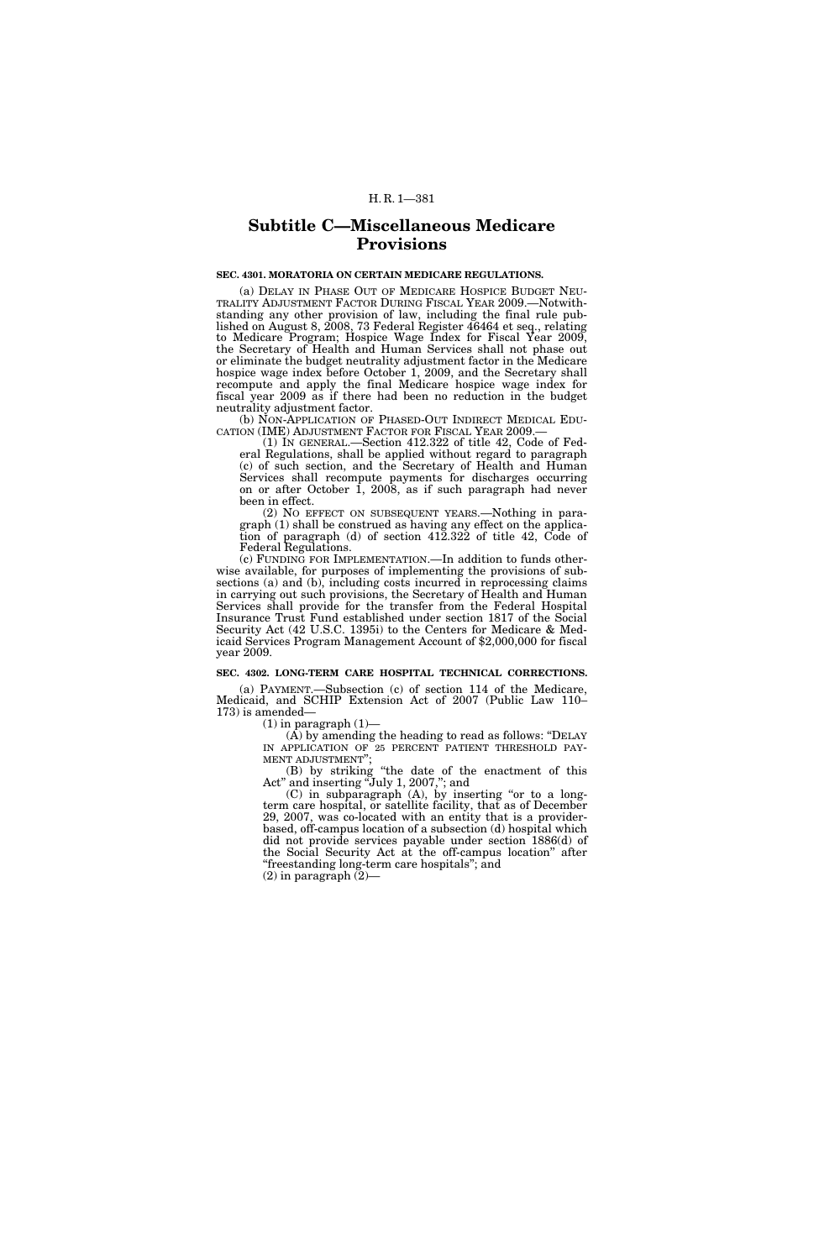## H. R. 1—381

# **Subtitle C—Miscellaneous Medicare Provisions**

### **SEC. 4301. MORATORIA ON CERTAIN MEDICARE REGULATIONS.**

(a) DELAY IN PHASE OUT OF MEDICARE HOSPICE BUDGET NEU- TRALITY ADJUSTMENT FACTOR DURING FISCAL YEAR 2009.—Notwithstanding any other provision of law, including the final rule published on August 8, 2008, 73 Federal Register 46464 et seq., relating to Medicare Program; Hospice Wage Index for Fiscal Year 2009, the Secretary of Health and Human Services shall not phase out or eliminate the budget neutrality adjustment factor in the Medicare hospice wage index before October 1, 2009, and the Secretary shall recompute and apply the final Medicare hospice wage index for fiscal year 2009 as if there had been no reduction in the budget neutrality adjustment factor.

(b) NON-APPLICATION OF PHASED-OUT INDIRECT MEDICAL EDU-CATION (IME) ADJUSTMENT FACTOR FOR FISCAL YEAR 2009.

(1) IN GENERAL.—Section 412.322 of title 42, Code of Federal Regulations, shall be applied without regard to paragraph (c) of such section, and the Secretary of Health and Human Services shall recompute payments for discharges occurring on or after October 1, 2008, as if such paragraph had never been in effect.

(2) NO EFFECT ON SUBSEQUENT YEARS.—Nothing in paragraph (1) shall be construed as having any effect on the application of paragraph (d) of section 412.322 of title 42, Code of Federal Regulations.

(c) FUNDING FOR IMPLEMENTATION.—In addition to funds otherwise available, for purposes of implementing the provisions of subsections (a) and (b), including costs incurred in reprocessing claims in carrying out such provisions, the Secretary of Health and Human Services shall provide for the transfer from the Federal Hospital Insurance Trust Fund established under section 1817 of the Social Security Act (42 U.S.C. 1395i) to the Centers for Medicare & Medicaid Services Program Management Account of \$2,000,000 for fiscal year 2009.

## **SEC. 4302. LONG-TERM CARE HOSPITAL TECHNICAL CORRECTIONS.**

(a) PAYMENT.—Subsection (c) of section 114 of the Medicare, Medicaid, and SCHIP Extension Act of 2007 (Public Law 110– 173) is amended—

 $(1)$  in paragraph  $(1)$ —

 $(A)$  by amending the heading to read as follows: "DELAY IN APPLICATION OF 25 PERCENT PATIENT THRESHOLD PAY-MENT ADJUSTMENT'';

(B) by striking ''the date of the enactment of this Act'' and inserting ''July 1, 2007,''; and

(C) in subparagraph (A), by inserting ''or to a longterm care hospital, or satellite facility, that as of December 29, 2007, was co-located with an entity that is a providerbased, off-campus location of a subsection (d) hospital which did not provide services payable under section 1886(d) of the Social Security Act at the off-campus location'' after ''freestanding long-term care hospitals''; and

 $(2)$  in paragraph  $(2)$ —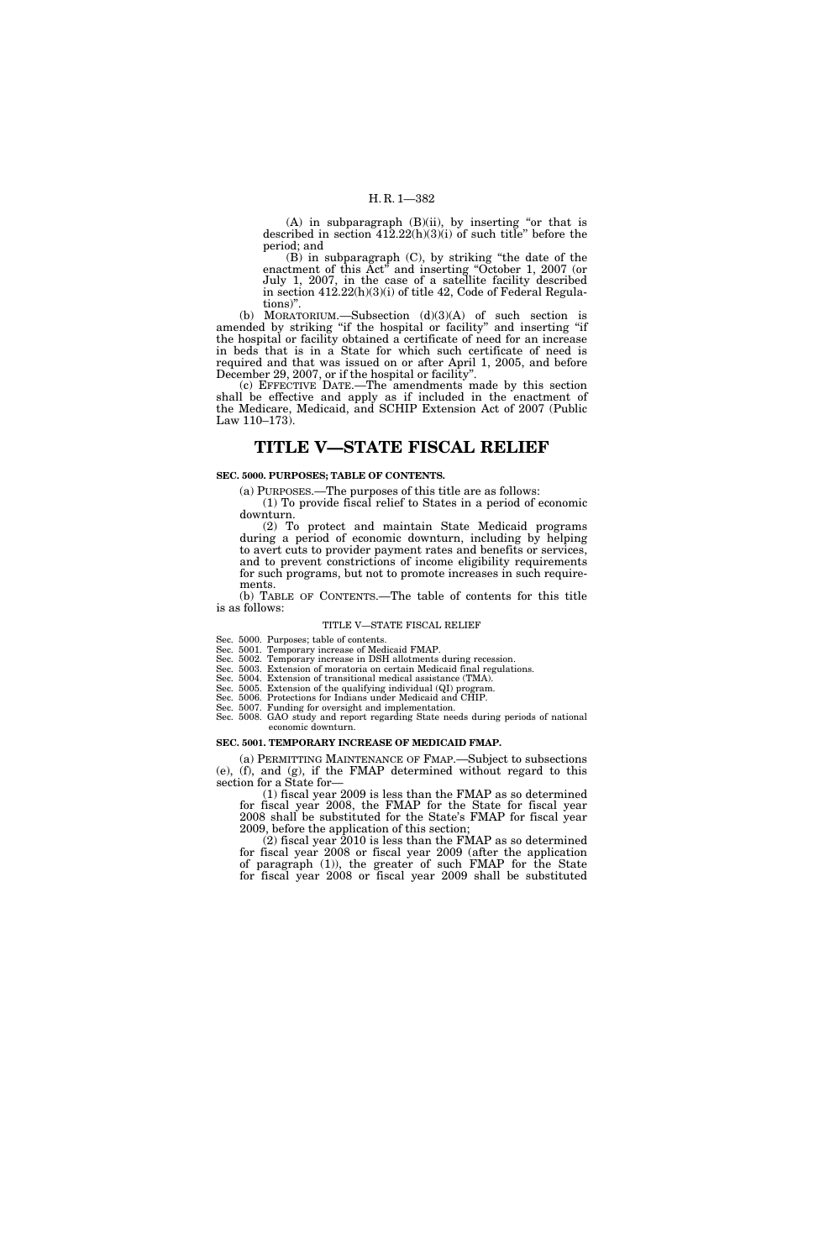$(A)$  in subparagraph  $(B)(ii)$ , by inserting "or that is described in section 412.22(h)(3)(i) of such title'' before the period; and

(B) in subparagraph (C), by striking ''the date of the enactment of this Act<sup>"</sup> and inserting "October 1, 2007 (or July 1, 2007, in the case of a satellite facility described in section 412.22(h)(3)(i) of title 42, Code of Federal Regulations)''.

(b) MORATORIUM.—Subsection (d)(3)(A) of such section is amended by striking ''if the hospital or facility'' and inserting ''if the hospital or facility obtained a certificate of need for an increase in beds that is in a State for which such certificate of need is required and that was issued on or after April 1, 2005, and before December 29, 2007, or if the hospital or facility''.

(c) EFFECTIVE DATE.—The amendments made by this section shall be effective and apply as if included in the enactment of the Medicare, Medicaid, and SCHIP Extension Act of 2007 (Public Law 110–173).

## **TITLE V—STATE FISCAL RELIEF**

## **SEC. 5000. PURPOSES; TABLE OF CONTENTS.**

(a) PURPOSES.—The purposes of this title are as follows:

(1) To provide fiscal relief to States in a period of economic downturn.

(2) To protect and maintain State Medicaid programs during a period of economic downturn, including by helping to avert cuts to provider payment rates and benefits or services, and to prevent constrictions of income eligibility requirements for such programs, but not to promote increases in such requirements.

(b) TABLE OF CONTENTS.—The table of contents for this title is as follows:

#### TITLE V—STATE FISCAL RELIEF

Sec. 5000. Purposes; table of contents.

Sec. 5001. Temporary increase of Medicaid FMAP.

Sec. 5002. Temporary increase in DSH allotments during recession.

Sec. 5003. Extension of moratoria on certain Medicaid final regulations. Sec. 5004. Extension of transitional medical assistance (TMA).

Sec. 5005. Extension of the qualifying individual (QI) program.

Sec. 5006. Protections for Indians under Medicaid and CHIP.

Sec. 5007. Funding for oversight and implementation.

Sec. 5008. GAO study and report regarding State needs during periods of national economic downturn.

## **SEC. 5001. TEMPORARY INCREASE OF MEDICAID FMAP.**

(a) PERMITTING MAINTENANCE OF FMAP.—Subject to subsections (e), (f), and (g), if the FMAP determined without regard to this section for a State for—

(1) fiscal year 2009 is less than the FMAP as so determined for fiscal year 2008, the FMAP for the State for fiscal year 2008 shall be substituted for the State's FMAP for fiscal year 2009, before the application of this section;

(2) fiscal year 2010 is less than the FMAP as so determined for fiscal year 2008 or fiscal year 2009 (after the application of paragraph (1)), the greater of such FMAP for the State for fiscal year 2008 or fiscal year 2009 shall be substituted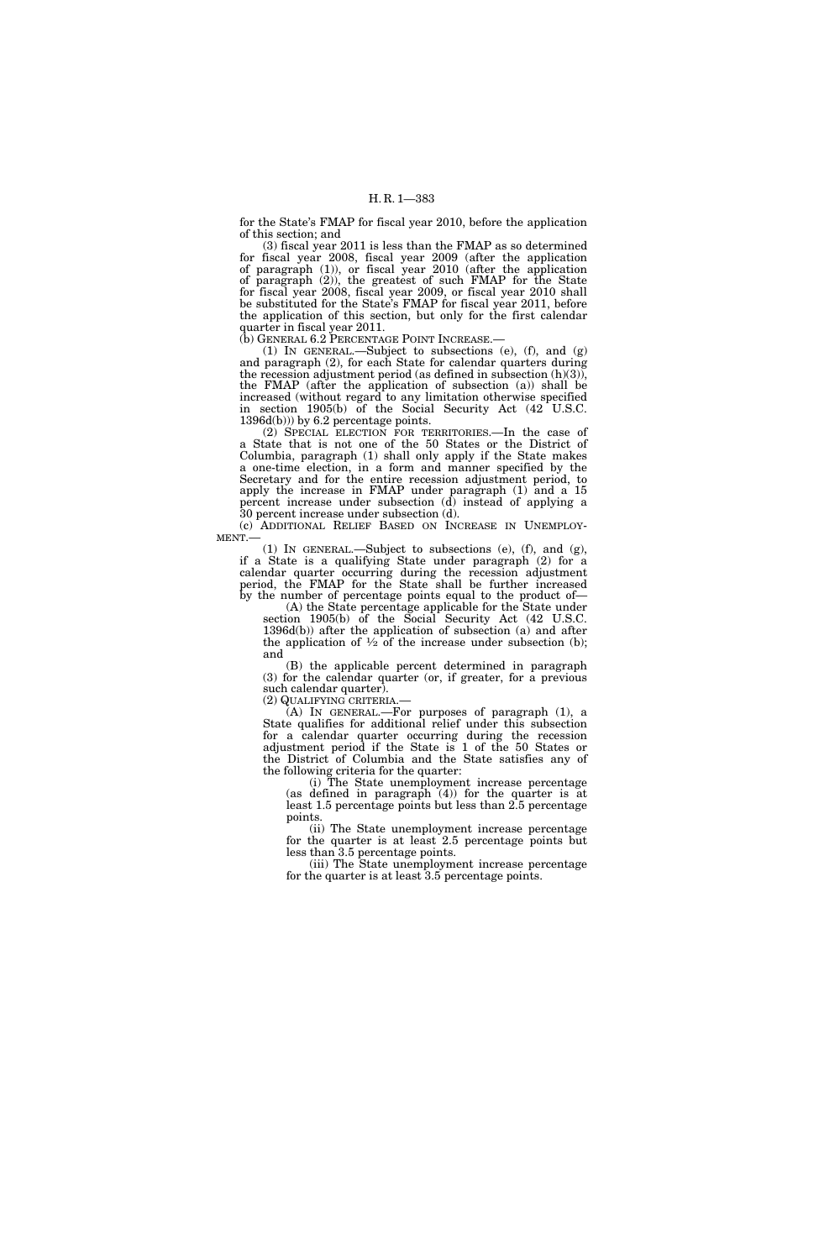for the State's FMAP for fiscal year 2010, before the application of this section; and

(3) fiscal year 2011 is less than the FMAP as so determined for fiscal year 2008, fiscal year 2009 (after the application of paragraph (1)), or fiscal year 2010 (after the application of paragraph (2)), the greatest of such FMAP for the State for fiscal year 2008, fiscal year 2009, or fiscal year 2010 shall be substituted for the State's FMAP for fiscal year 2011, before the application of this section, but only for the first calendar quarter in fiscal year 2011.<br>(b) GENERAL 6.2 PERCENTAGE POINT INCREASE.—

(1) IN GENERAL.—Subject to subsections (e), (f), and (g) and paragraph (2), for each State for calendar quarters during the recession adjustment period (as defined in subsection  $(h)(3)$ ), the FMAP (after the application of subsection (a)) shall be increased (without regard to any limitation otherwise specified in section 1905(b) of the Social Security Act (42 U.S.C. 1396d(b))) by 6.2 percentage points.

(2) SPECIAL ELECTION FOR TERRITORIES.—In the case of a State that is not one of the 50 States or the District of Columbia, paragraph (1) shall only apply if the State makes a one-time election, in a form and manner specified by the Secretary and for the entire recession adjustment period, to apply the increase in FMAP under paragraph (1) and a 15 percent increase under subsection (d) instead of applying a 30 percent increase under subsection (d).<br>(c) ADDITIONAL RELIEF BASED ON INCREASE IN UNEMPLOY-

MENT.—  $(1)$  IN GENERAL.—Subject to subsections (e), (f), and (g),

if a State is a qualifying State under paragraph (2) for a calendar quarter occurring during the recession adjustment period, the FMAP for the State shall be further increased by the number of percentage points equal to the product of—

(A) the State percentage applicable for the State under section 1905(b) of the Social Security Act (42 U.S.C. 1396d(b)) after the application of subsection (a) and after the application of  $\frac{1}{2}$  of the increase under subsection (b); and

(B) the applicable percent determined in paragraph (3) for the calendar quarter (or, if greater, for a previous such calendar quarter).

(2) QUALIFYING CRITERIA.—

(A) IN GENERAL.—For purposes of paragraph (1), a State qualifies for additional relief under this subsection for a calendar quarter occurring during the recession adjustment period if the State is 1 of the 50 States or the District of Columbia and the State satisfies any of the following criteria for the quarter:

(i) The State unemployment increase percentage (as defined in paragraph (4)) for the quarter is at least 1.5 percentage points but less than 2.5 percentage points.

(ii) The State unemployment increase percentage for the quarter is at least 2.5 percentage points but less than 3.5 percentage points.

(iii) The State unemployment increase percentage for the quarter is at least 3.5 percentage points.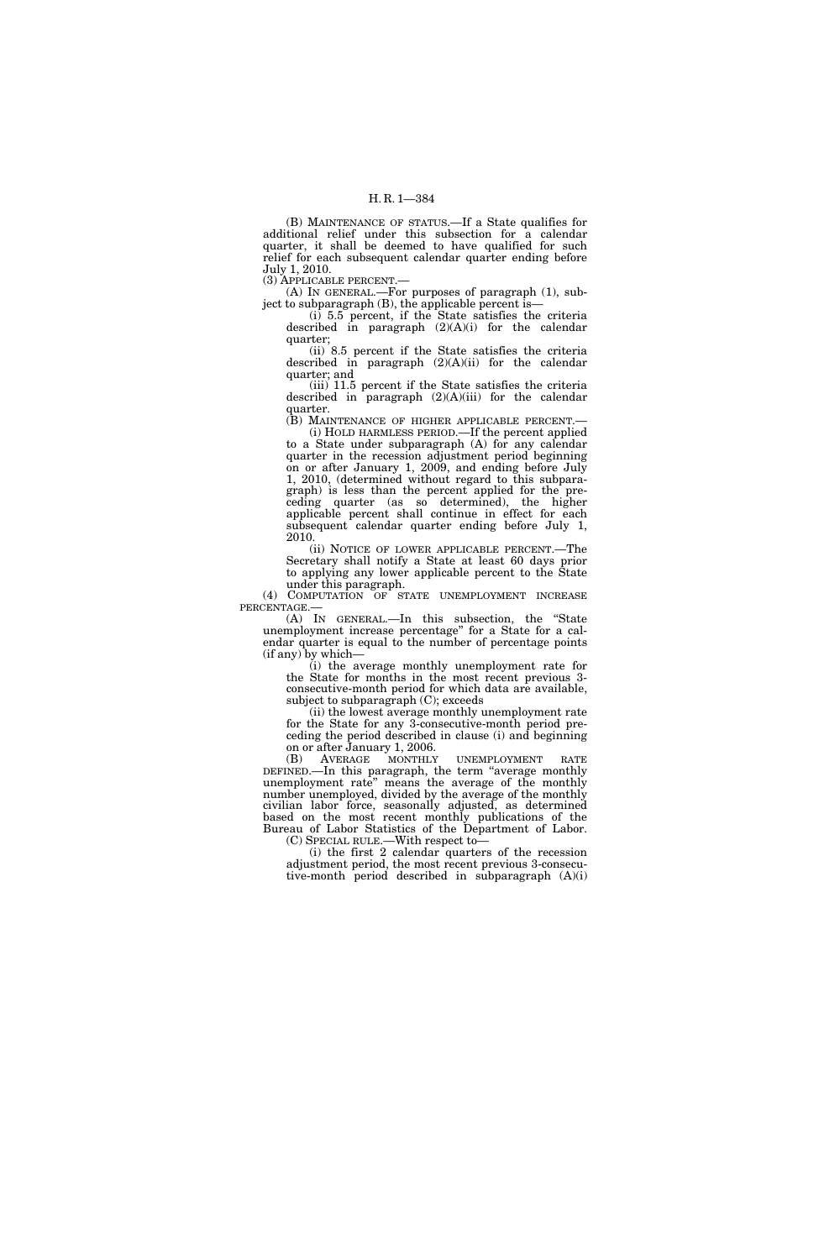(B) MAINTENANCE OF STATUS.—If a State qualifies for additional relief under this subsection for a calendar quarter, it shall be deemed to have qualified for such relief for each subsequent calendar quarter ending before July 1, 2010.

(3) APPLICABLE PERCENT.—

(A) IN GENERAL.—For purposes of paragraph (1), subject to subparagraph (B), the applicable percent is—

(i) 5.5 percent, if the State satisfies the criteria described in paragraph  $(2)(A)(i)$  for the calendar quarter;

(ii) 8.5 percent if the State satisfies the criteria described in paragraph (2)(A)(ii) for the calendar quarter; and

(iii) 11.5 percent if the State satisfies the criteria described in paragraph (2)(A)(iii) for the calendar quarter.

(B) MAINTENANCE OF HIGHER APPLICABLE PERCENT.— (i) HOLD HARMLESS PERIOD.—If the percent applied to a State under subparagraph (A) for any calendar quarter in the recession adjustment period beginning on or after January 1, 2009, and ending before July 1, 2010, (determined without regard to this subparagraph) is less than the percent applied for the preceding quarter (as so determined), the higher applicable percent shall continue in effect for each subsequent calendar quarter ending before July 1, 2010.

(ii) NOTICE OF LOWER APPLICABLE PERCENT.—The Secretary shall notify a State at least 60 days prior to applying any lower applicable percent to the State under this paragraph.

(4) COMPUTATION OF STATE UNEMPLOYMENT INCREASE

PERCENTAGE.—<br>(A) IN GENERAL.—In this subsection, the "State unemployment increase percentage'' for a State for a calendar quarter is equal to the number of percentage points (if any) by which—

(i) the average monthly unemployment rate for the State for months in the most recent previous 3 consecutive-month period for which data are available, subject to subparagraph (C); exceeds

(ii) the lowest average monthly unemployment rate for the State for any 3-consecutive-month period preceding the period described in clause (i) and beginning on or after January 1, 2006.

(B) AVERAGE MONTHLY UNEMPLOYMENT RATE DEFINED.—In this paragraph, the term ''average monthly unemployment rate'' means the average of the monthly number unemployed, divided by the average of the monthly civilian labor force, seasonally adjusted, as determined based on the most recent monthly publications of the Bureau of Labor Statistics of the Department of Labor. (C) SPECIAL RULE.—With respect to—

(i) the first 2 calendar quarters of the recession adjustment period, the most recent previous 3-consecutive-month period described in subparagraph (A)(i)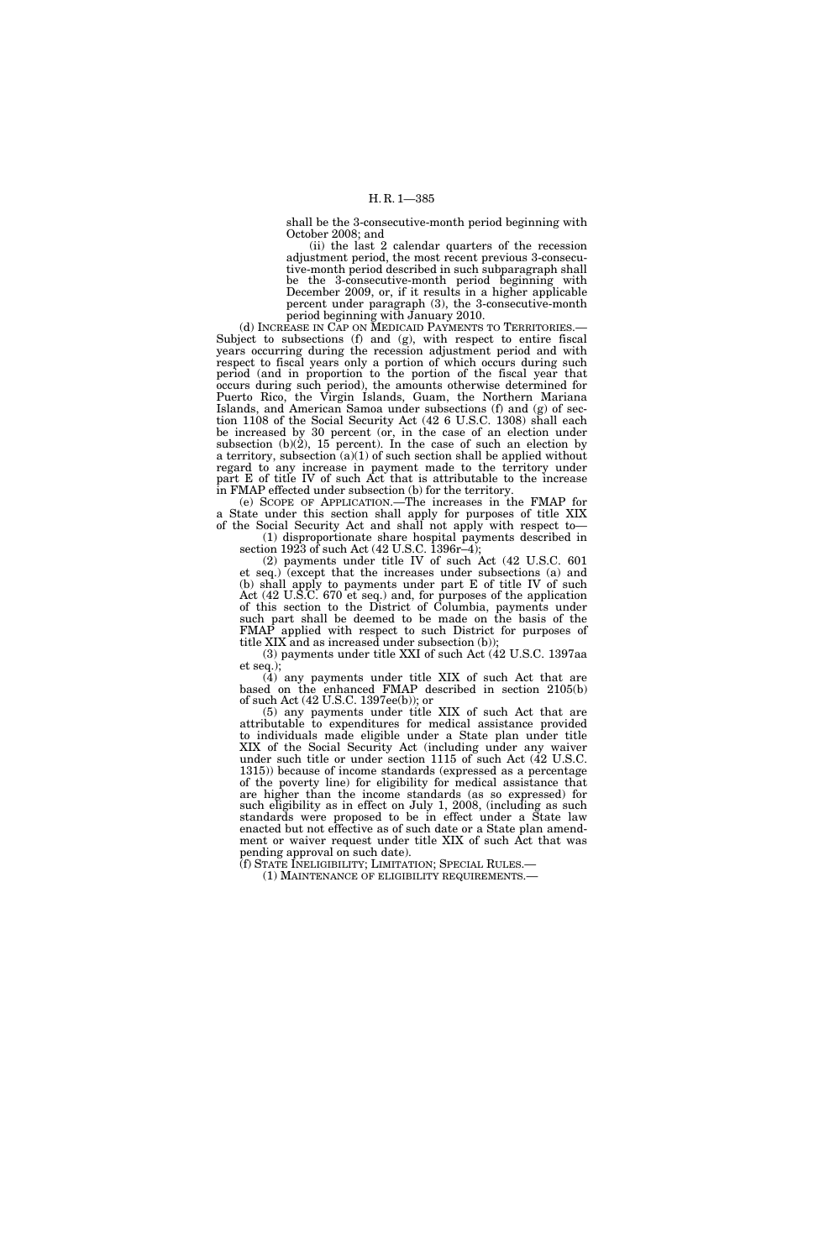shall be the 3-consecutive-month period beginning with October 2008; and

(ii) the last 2 calendar quarters of the recession adjustment period, the most recent previous 3-consecutive-month period described in such subparagraph shall be the 3-consecutive-month period beginning with December 2009, or, if it results in a higher applicable percent under paragraph (3), the 3-consecutive-month

period beginning with January 2010.<br>(d) INCREASE IN CAP ON MEDICAID PAYMENTS TO TERRITORIES. Subject to subsections (f) and (g), with respect to entire fiscal years occurring during the recession adjustment period and with respect to fiscal years only a portion of which occurs during such period (and in proportion to the portion of the fiscal year that occurs during such period), the amounts otherwise determined for Puerto Rico, the Virgin Islands, Guam, the Northern Mariana Islands, and American Samoa under subsections (f) and (g) of section 1108 of the Social Security Act (42 6 U.S.C. 1308) shall each be increased by 30 percent (or, in the case of an election under subsection (b) $(2)$ , 15 percent). In the case of such an election by a territory, subsection  $(a)(1)$  of such section shall be applied without regard to any increase in payment made to the territory under part E of title IV of such Act that is attributable to the increase in FMAP effected under subsection (b) for the territory.

(e) SCOPE OF APPLICATION.—The increases in the FMAP for a State under this section shall apply for purposes of title XIX of the Social Security Act and shall not apply with respect to— (1) disproportionate share hospital payments described in

section 1923 of such Act (42 U.S.C. 1396r–4);

(2) payments under title IV of such Act (42 U.S.C. 601 et seq.) (except that the increases under subsections (a) and (b) shall apply to payments under part E of title IV of such Act (42 U.S.C. 670 et seq.) and, for purposes of the application of this section to the District of Columbia, payments under such part shall be deemed to be made on the basis of the FMAP applied with respect to such District for purposes of title XIX and as increased under subsection (b));

(3) payments under title XXI of such Act (42 U.S.C. 1397aa et seq.);

(4) any payments under title XIX of such Act that are based on the enhanced FMAP described in section 2105(b) of such Act (42 U.S.C. 1397ee(b)); or

(5) any payments under title XIX of such Act that are attributable to expenditures for medical assistance provided to individuals made eligible under a State plan under title XIX of the Social Security Act (including under any waiver under such title or under section 1115 of such Act (42 U.S.C. 1315)) because of income standards (expressed as a percentage of the poverty line) for eligibility for medical assistance that are higher than the income standards (as so expressed) for such eligibility as in effect on July 1, 2008, (including as such standards were proposed to be in effect under a State law enacted but not effective as of such date or a State plan amendment or waiver request under title XIX of such Act that was pending approval on such date).

(f) STATE INELIGIBILITY; LIMITATION; SPECIAL RULES.— (1) MAINTENANCE OF ELIGIBILITY REQUIREMENTS.—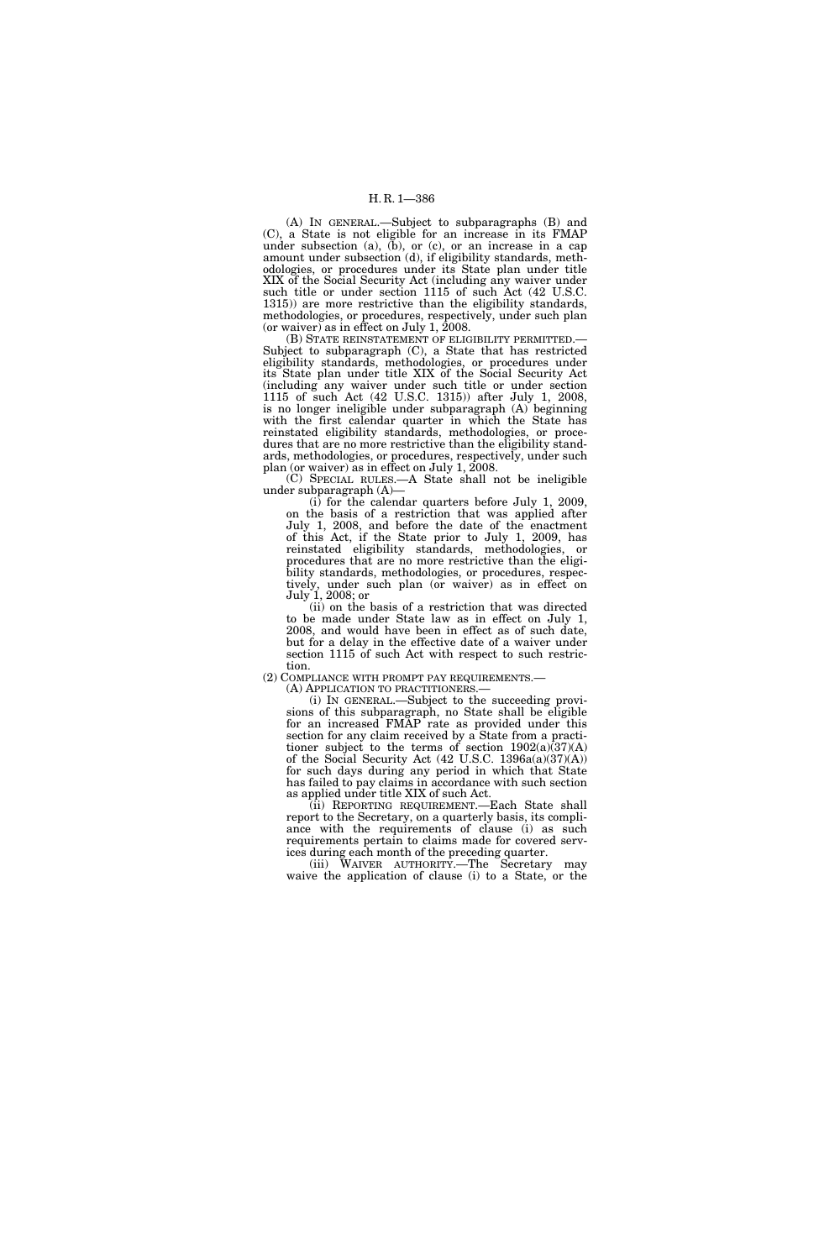(A) IN GENERAL.—Subject to subparagraphs (B) and (C), a State is not eligible for an increase in its FMAP under subsection  $(a)$ ,  $(b)$ , or  $(c)$ , or an increase in a cap amount under subsection (d), if eligibility standards, methodologies, or procedures under its State plan under title XIX of the Social Security Act (including any waiver under such title or under section 1115 of such Act (42 U.S.C. 1315)) are more restrictive than the eligibility standards, methodologies, or procedures, respectively, under such plan (or waiver) as in effect on July 1, 2008.

Subject to subparagraph (C), a State that has restricted eligibility standards, methodologies, or procedures under its State plan under title XIX of the Social Security Act (including any waiver under such title or under section 1115 of such Act (42 U.S.C. 1315)) after July 1, 2008, is no longer ineligible under subparagraph (A) beginning with the first calendar quarter in which the State has reinstated eligibility standards, methodologies, or procedures that are no more restrictive than the eligibility standards, methodologies, or procedures, respectively, under such plan (or waiver) as in effect on July 1, 2008.

(C) SPECIAL RULES.—A State shall not be ineligible under subparagraph (A)—

(i) for the calendar quarters before July 1, 2009, on the basis of a restriction that was applied after July 1, 2008, and before the date of the enactment of this Act, if the State prior to July 1, 2009, has reinstated eligibility standards, methodologies, or procedures that are no more restrictive than the eligibility standards, methodologies, or procedures, respectively, under such plan (or waiver) as in effect on July 1, 2008; or

(ii) on the basis of a restriction that was directed to be made under State law as in effect on July 1, 2008, and would have been in effect as of such date, but for a delay in the effective date of a waiver under section 1115 of such Act with respect to such restriction.

(2) COMPLIANCE WITH PROMPT PAY REQUIREMENTS.—

(A) APPLICATION TO PRACTITIONERS.—

(i) IN GENERAL.—Subject to the succeeding provisions of this subparagraph, no State shall be eligible for an increased FMAP rate as provided under this section for any claim received by a State from a practitioner subject to the terms of section 1902(a)(37)(A) of the Social Security Act (42 U.S.C. 1396a(a)(37)(A)) for such days during any period in which that State has failed to pay claims in accordance with such section as applied under title XIX of such Act.

(ii) REPORTING REQUIREMENT.—Each State shall report to the Secretary, on a quarterly basis, its compliance with the requirements of clause (i) as such requirements pertain to claims made for covered services during each month of the preceding quarter.

(iii) WAIVER AUTHORITY.—The Secretary may waive the application of clause (i) to a State, or the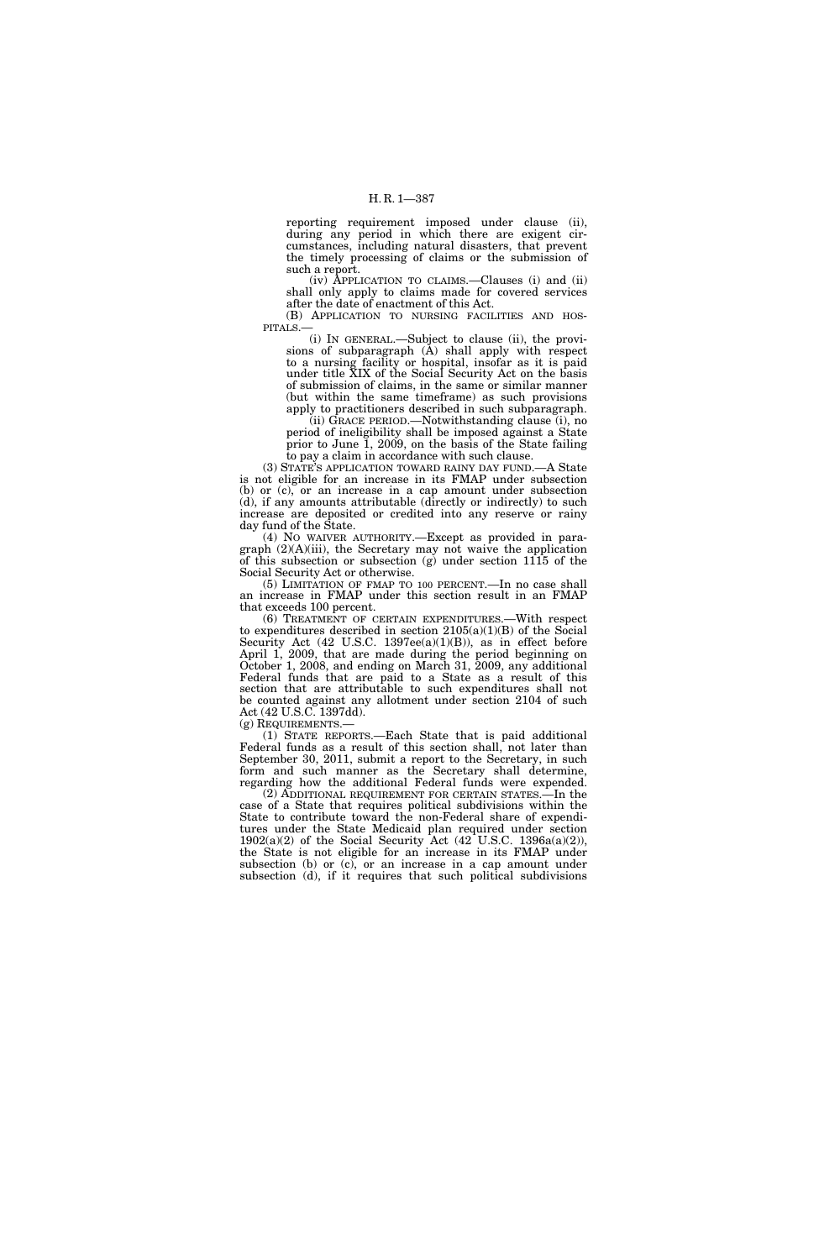reporting requirement imposed under clause (ii), during any period in which there are exigent circumstances, including natural disasters, that prevent the timely processing of claims or the submission of such a report.

(iv) APPLICATION TO CLAIMS.—Clauses (i) and (ii) shall only apply to claims made for covered services after the date of enactment of this Act.

(B) APPLICATION TO NURSING FACILITIES AND HOSPITALS.—

(i) IN GENERAL.—Subject to clause (ii), the provisions of subparagraph (A) shall apply with respect to a nursing facility or hospital, insofar as it is paid under title XIX of the Social Security Act on the basis of submission of claims, in the same or similar manner (but within the same timeframe) as such provisions apply to practitioners described in such subparagraph.

(ii) GRACE PERIOD.—Notwithstanding clause (i), no period of ineligibility shall be imposed against a State prior to June 1, 2009, on the basis of the State failing to pay a claim in accordance with such clause.

(3) STATE'S APPLICATION TOWARD RAINY DAY FUND.—A State is not eligible for an increase in its FMAP under subsection (b) or (c), or an increase in a cap amount under subsection (d), if any amounts attributable (directly or indirectly) to such increase are deposited or credited into any reserve or rainy day fund of the State.

(4) NO WAIVER AUTHORITY.—Except as provided in paragraph  $(2)(A)(iii)$ , the Secretary may not waive the application of this subsection or subsection  $(g)$  under section  $11\overline{15}$  of the Social Security Act or otherwise.

(5) LIMITATION OF FMAP TO 100 PERCENT.—In no case shall an increase in FMAP under this section result in an FMAP that exceeds 100 percent.

(6) TREATMENT OF CERTAIN EXPENDITURES.—With respect to expenditures described in section  $2105(a)(1)(B)$  of the Social Security Act  $(42 \text{ U.S.C. } 1397\text{ee}(a)(1)(B))$ , as in effect before April 1, 2009, that are made during the period beginning on October 1, 2008, and ending on March 31, 2009, any additional Federal funds that are paid to a State as a result of this section that are attributable to such expenditures shall not be counted against any allotment under section 2104 of such Act (42 U.S.C. 1397dd).

(g) REQUIREMENTS.—

(1) STATE REPORTS.—Each State that is paid additional Federal funds as a result of this section shall, not later than September 30, 2011, submit a report to the Secretary, in such form and such manner as the Secretary shall determine, regarding how the additional Federal funds were expended.

(2) ADDITIONAL REQUIREMENT FOR CERTAIN STATES.—In the case of a State that requires political subdivisions within the State to contribute toward the non-Federal share of expenditures under the State Medicaid plan required under section  $1902(a)(2)$  of the Social Security Act  $(42$  U.S.C.  $1396a(a)(2)$ ), the State is not eligible for an increase in its FMAP under subsection (b) or (c), or an increase in a cap amount under subsection (d), if it requires that such political subdivisions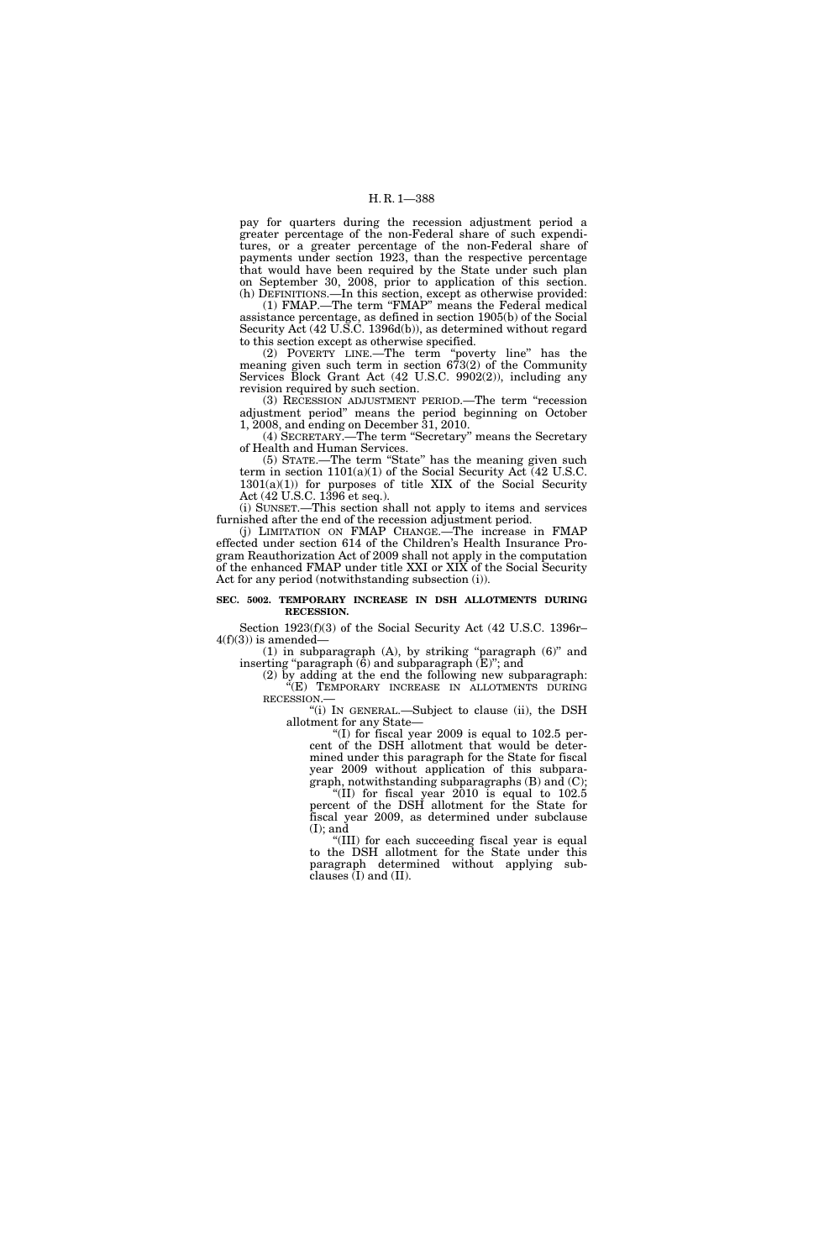H. R. 1—388

pay for quarters during the recession adjustment period a greater percentage of the non-Federal share of such expenditures, or a greater percentage of the non-Federal share of payments under section 1923, than the respective percentage that would have been required by the State under such plan on September 30, 2008, prior to application of this section. (h) DEFINITIONS.—In this section, except as otherwise provided:

(1) FMAP.—The term ''FMAP'' means the Federal medical assistance percentage, as defined in section 1905(b) of the Social Security Act (42 U.S.C. 1396d(b)), as determined without regard to this section except as otherwise specified.

(2) POVERTY LINE.—The term ''poverty line'' has the meaning given such term in section 673(2) of the Community Services Block Grant Act (42 U.S.C. 9902(2)), including any revision required by such section.

(3) RECESSION ADJUSTMENT PERIOD.—The term ''recession adjustment period'' means the period beginning on October 1, 2008, and ending on December 31, 2010.

(4) SECRETARY.—The term ''Secretary'' means the Secretary of Health and Human Services.

(5) STATE.—The term ''State'' has the meaning given such term in section  $1101(a)(1)$  of the Social Security Act (42 U.S.C.  $1301(a)(1)$  for purposes of title XIX of the Social Security Act (42 U.S.C. 1396 et seq.).

(i) SUNSET.—This section shall not apply to items and services furnished after the end of the recession adjustment period.

(j) LIMITATION ON FMAP CHANGE.—The increase in FMAP effected under section 614 of the Children's Health Insurance Program Reauthorization Act of 2009 shall not apply in the computation of the enhanced FMAP under title XXI or XIX of the Social Security Act for any period (notwithstanding subsection (i)).

#### **SEC. 5002. TEMPORARY INCREASE IN DSH ALLOTMENTS DURING RECESSION.**

Section 1923(f)(3) of the Social Security Act (42 U.S.C. 1396r–  $4(f)(3)$ ) is amended-

(1) in subparagraph (A), by striking ''paragraph (6)'' and inserting ''paragraph (6) and subparagraph (E)''; and

(2) by adding at the end the following new subparagraph: "(E) TEMPORARY INCREASE IN ALLOTMENTS DURING RECESSION.—

''(i) IN GENERAL.—Subject to clause (ii), the DSH allotment for any State—

"(I) for fiscal year 2009 is equal to  $102.5$  percent of the DSH allotment that would be determined under this paragraph for the State for fiscal year 2009 without application of this subparagraph, notwithstanding subparagraphs (B) and (C); ''(II) for fiscal year 2010 is equal to 102.5 percent of the DSH allotment for the State for fiscal year 2009, as determined under subclause  $(I)$ ; and

''(III) for each succeeding fiscal year is equal to the DSH allotment for the State under this paragraph determined without applying subclauses (I) and (II).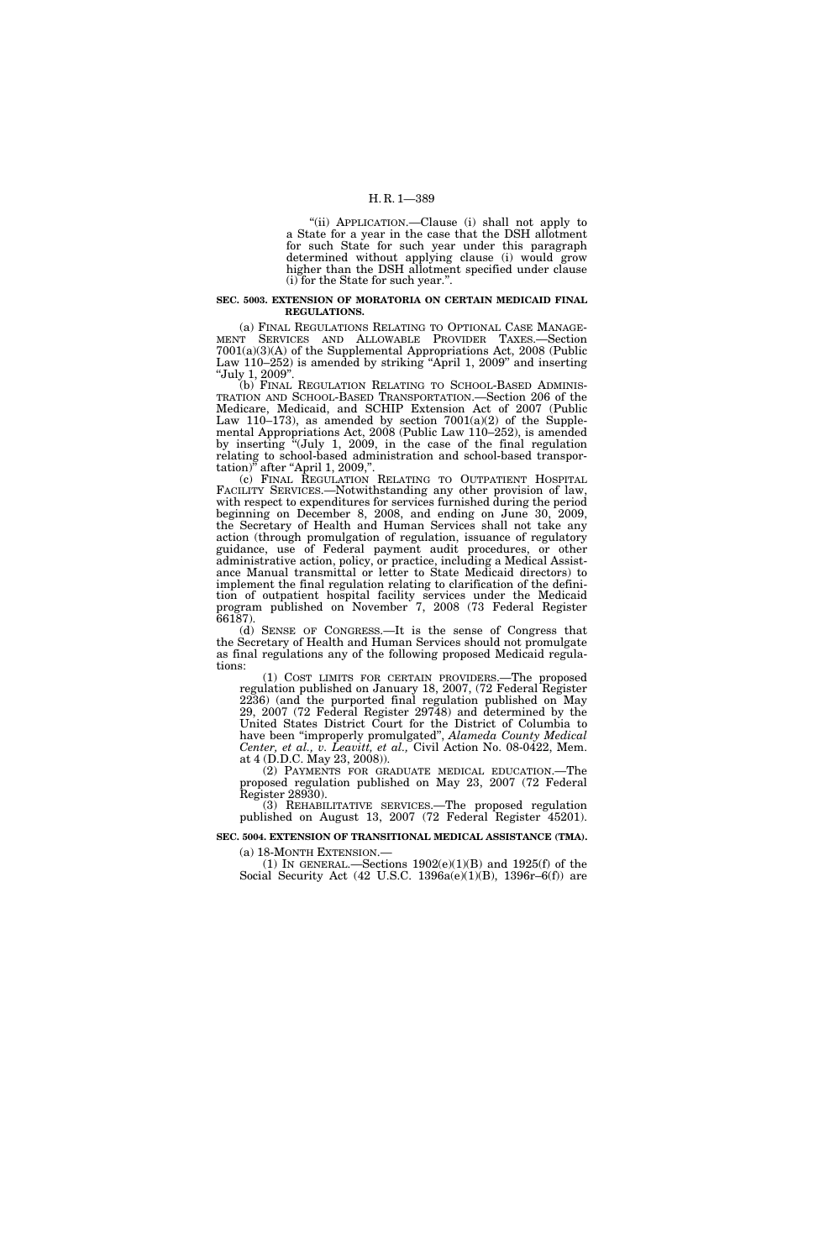''(ii) APPLICATION.—Clause (i) shall not apply to a State for a year in the case that the DSH allotment for such State for such year under this paragraph determined without applying clause (i) would grow higher than the DSH allotment specified under clause (i) for the State for such year.''.

#### **SEC. 5003. EXTENSION OF MORATORIA ON CERTAIN MEDICAID FINAL REGULATIONS.**

(a) FINAL REGULATIONS RELATING TO OPTIONAL CASE MANAGE-MENT SERVICES AND ALLOWABLE PROVIDER TAXES.—Section 7001(a)(3)(A) of the Supplemental Appropriations Act, 2008 (Public Law 110–252) is amended by striking "April 1, 2009" and inserting ''July 1, 2009''.

(b) FINAL REGULATION RELATING TO SCHOOL-BASED ADMINIS-TRATION AND SCHOOL-BASED TRANSPORTATION.—Section 206 of the Medicare, Medicaid, and SCHIP Extension Act of 2007 (Public Law 110–173), as amended by section  $7001(a)(2)$  of the Supplemental Appropriations Act, 2008 (Public Law 110–252), is amended by inserting ''(July 1, 2009, in the case of the final regulation relating to school-based administration and school-based transportation)" after "April 1, 2009,".

(c) FINAL REGULATION RELATING TO OUTPATIENT HOSPITAL FACILITY SERVICES.—Notwithstanding any other provision of law, with respect to expenditures for services furnished during the period beginning on December 8, 2008, and ending on June 30, 2009, the Secretary of Health and Human Services shall not take any action (through promulgation of regulation, issuance of regulatory guidance, use of Federal payment audit procedures, or other administrative action, policy, or practice, including a Medical Assistance Manual transmittal or letter to State Medicaid directors) to implement the final regulation relating to clarification of the definition of outpatient hospital facility services under the Medicaid program published on November 7, 2008 (73 Federal Register 66187).

(d) SENSE OF CONGRESS.—It is the sense of Congress that the Secretary of Health and Human Services should not promulgate as final regulations any of the following proposed Medicaid regulations:

(1) COST LIMITS FOR CERTAIN PROVIDERS.—The proposed regulation published on January 18, 2007, (72 Federal Register 2236) (and the purported final regulation published on May 29, 2007 (72 Federal Register 29748) and determined by the United States District Court for the District of Columbia to have been ''improperly promulgated'', *Alameda County Medical Center, et al., v. Leavitt, et al.,* Civil Action No. 08-0422, Mem. at 4 (D.D.C. May 23, 2008)).

(2) PAYMENTS FOR GRADUATE MEDICAL EDUCATION.—The proposed regulation published on May 23, 2007 (72 Federal Register 28930).

(3) REHABILITATIVE SERVICES.—The proposed regulation published on August 13, 2007 (72 Federal Register 45201).

**SEC. 5004. EXTENSION OF TRANSITIONAL MEDICAL ASSISTANCE (TMA).** 

(a) 18-MONTH EXTENSION.—<br>(1) IN GENERAL.—Sections  $1902(e)(1)(B)$  and  $1925(f)$  of the Social Security Act (42 U.S.C. 1396a(e)(1)(B), 1396r–6(f)) are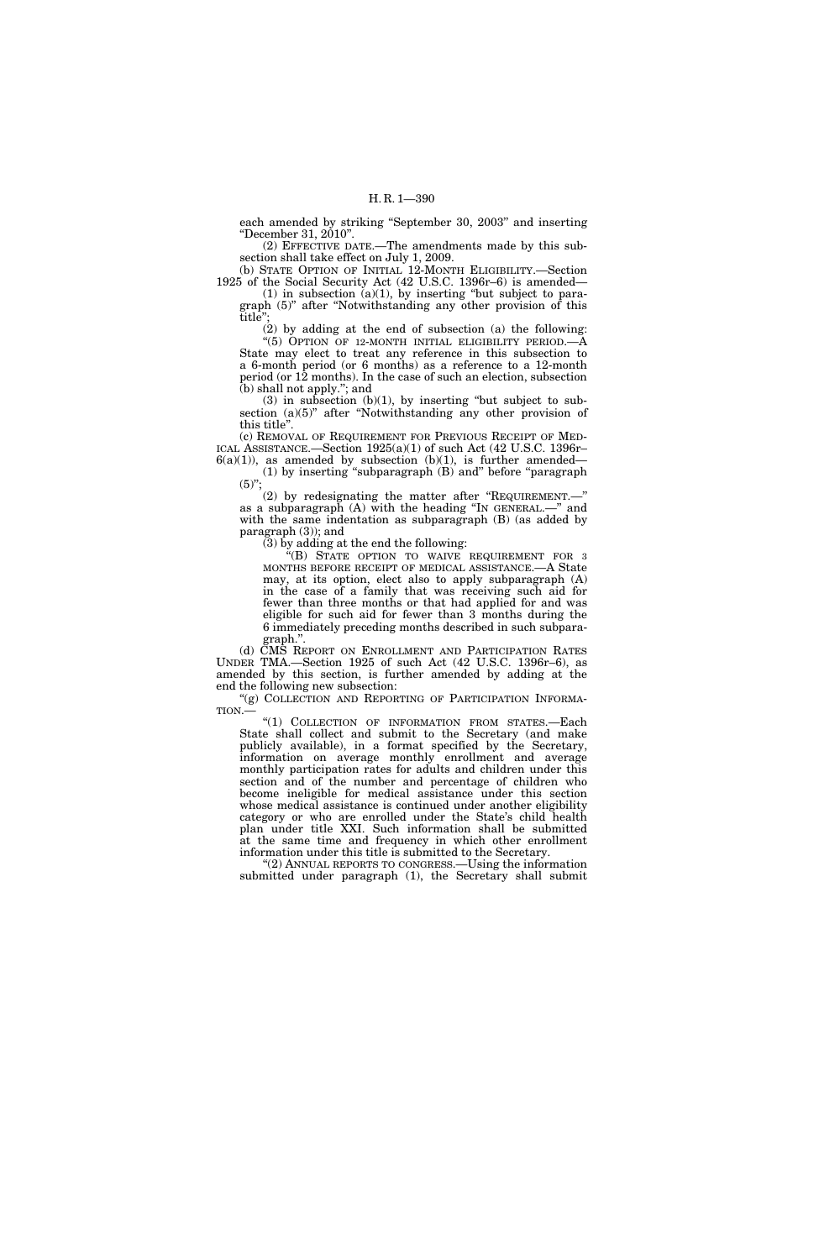each amended by striking ''September 30, 2003'' and inserting ''December 31, 2010''.

(2) EFFECTIVE DATE.—The amendments made by this subsection shall take effect on July 1, 2009.

(b) STATE OPTION OF INITIAL 12-MONTH ELIGIBILITY.—Section 1925 of the Social Security Act (42 U.S.C. 1396r–6) is amended—  $(1)$  in subsection  $(a)(1)$ , by inserting "but subject to para-

graph (5)'' after ''Notwithstanding any other provision of this title'';

(2) by adding at the end of subsection (a) the following: "(5) OPTION OF 12-MONTH INITIAL ELIGIBILITY PERIOD.—A State may elect to treat any reference in this subsection to a 6-month period (or 6 months) as a reference to a 12-month period (or 12 months). In the case of such an election, subsection (b) shall not apply.''; and

 $(3)$  in subsection  $(b)(1)$ , by inserting "but subject to subsection (a)(5)" after "Notwithstanding any other provision of this title''.

(c) REMOVAL OF REQUIREMENT FOR PREVIOUS RECEIPT OF MED-ICAL ASSISTANCE.—Section 1925(a)(1) of such Act (42 U.S.C. 1396r–  $6(a)(1)$ , as amended by subsection  $(b)(1)$ , is further amended—

(1) by inserting ''subparagraph (B) and'' before ''paragraph  $(5)$ ";

(2) by redesignating the matter after ''REQUIREMENT.—'' as a subparagraph (A) with the heading ''IN GENERAL.—'' and with the same indentation as subparagraph (B) (as added by paragraph (3)); and

(3) by adding at the end the following:

''(B) STATE OPTION TO WAIVE REQUIREMENT FOR 3 MONTHS BEFORE RECEIPT OF MEDICAL ASSISTANCE.—A State may, at its option, elect also to apply subparagraph (A) in the case of a family that was receiving such aid for fewer than three months or that had applied for and was eligible for such aid for fewer than 3 months during the 6 immediately preceding months described in such subparagraph.''.

(d) CMS REPORT ON ENROLLMENT AND PARTICIPATION RATES UNDER TMA.—Section 1925 of such Act (42 U.S.C. 1396r–6), as amended by this section, is further amended by adding at the end the following new subsection:

"(g) COLLECTION AND REPORTING OF PARTICIPATION INFORMA-TION.—

"(1) COLLECTION OF INFORMATION FROM STATES.-Each State shall collect and submit to the Secretary (and make publicly available), in a format specified by the Secretary, information on average monthly enrollment and average monthly participation rates for adults and children under this section and of the number and percentage of children who become ineligible for medical assistance under this section whose medical assistance is continued under another eligibility category or who are enrolled under the State's child health plan under title XXI. Such information shall be submitted at the same time and frequency in which other enrollment information under this title is submitted to the Secretary.

''(2) ANNUAL REPORTS TO CONGRESS.—Using the information submitted under paragraph (1), the Secretary shall submit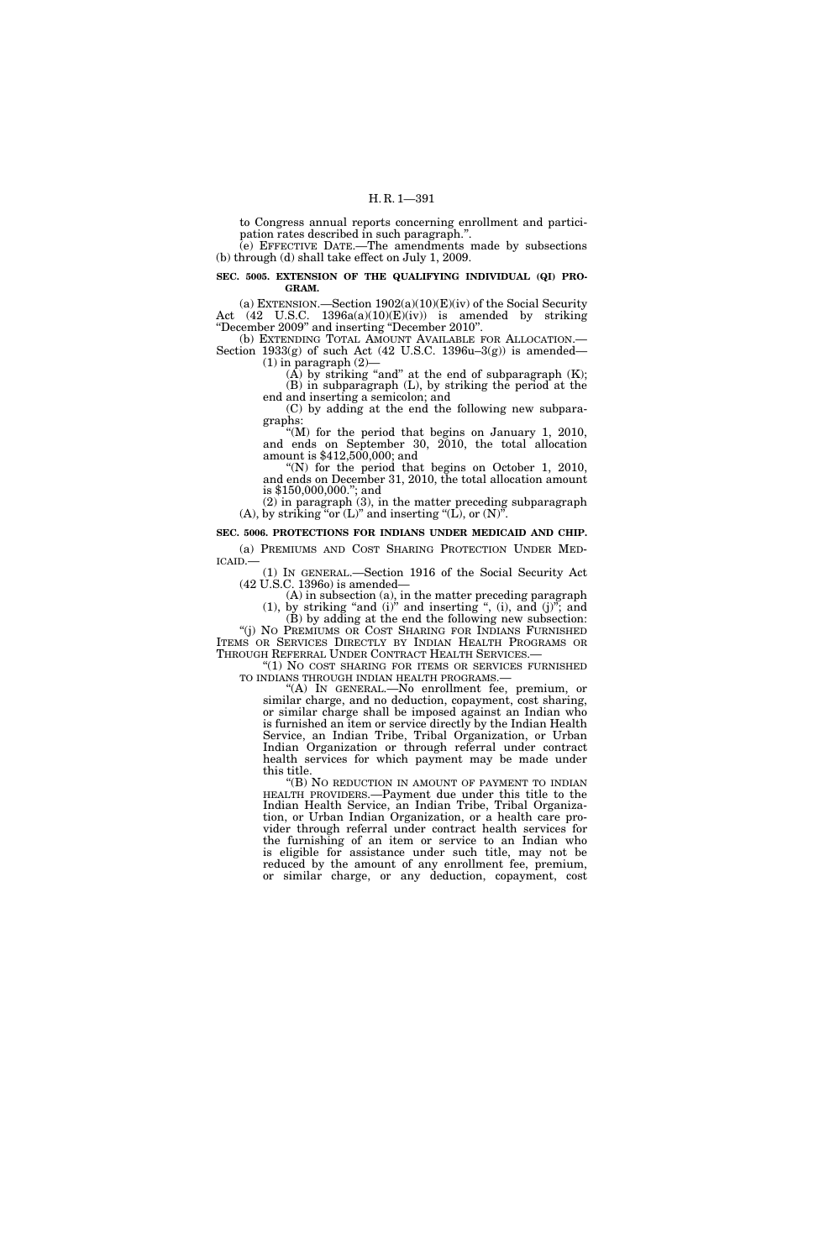to Congress annual reports concerning enrollment and participation rates described in such paragraph.''.

(e) EFFECTIVE DATE.—The amendments made by subsections (b) through (d) shall take effect on July 1, 2009.

#### **SEC. 5005. EXTENSION OF THE QUALIFYING INDIVIDUAL (QI) PRO-GRAM.**

(a) EXTENSION.—Section  $1902(a)(10)(E)(iv)$  of the Social Security Act (42 U.S.C. 1396a(a)(10)(E)(iv)) is amended by striking ''December 2009'' and inserting ''December 2010''.

(b) EXTENDING TOTAL AMOUNT AVAILABLE FOR ALLOCATION.— Section  $1933(g)$  of such Act (42 U.S.C. 1396u–3(g)) is amended—  $(1)$  in paragraph  $(2)$ —

(A) by striking "and" at the end of subparagraph  $(K)$ ; (B) in subparagraph (L), by striking the period at the

end and inserting a semicolon; and (C) by adding at the end the following new subparagraphs:

''(M) for the period that begins on January 1, 2010, and ends on September 30, 2010, the total allocation amount is \$412,500,000; and

 $(N)$  for the period that begins on October 1, 2010, and ends on December 31, 2010, the total allocation amount is \$150,000,000.''; and

(2) in paragraph (3), in the matter preceding subparagraph (A), by striking "or  $(L)$ " and inserting " $(L)$ , or  $(N)$ ".

**SEC. 5006. PROTECTIONS FOR INDIANS UNDER MEDICAID AND CHIP.** 

(a) PREMIUMS AND COST SHARING PROTECTION UNDER MEDICAID.—<br>
(1) IN GENERAL.—Section 1916 of the Social Security Act

(42 U.S.C. 1396o) is amended—

(A) in subsection (a), in the matter preceding paragraph  $(1)$ , by striking "and  $(i)$ " and inserting ",  $(i)$ , and  $(j)$ "; and

(B) by adding at the end the following new subsection: ''(j) NO PREMIUMS OR COST SHARING FOR INDIANS FURNISHED

ITEMS OR SERVICES DIRECTLY BY INDIAN HEALTH PROGRAMS OR THROUGH REFERRAL UNDER CONTRACT HEALTH SERVICES.— " $(1)$  No cost sharing for items or services furnished

TO INDIANS THROUGH INDIAN HEALTH PROGRAMS.—

''(A) IN GENERAL.—No enrollment fee, premium, or similar charge, and no deduction, copayment, cost sharing, or similar charge shall be imposed against an Indian who is furnished an item or service directly by the Indian Health Service, an Indian Tribe, Tribal Organization, or Urban Indian Organization or through referral under contract health services for which payment may be made under this title.

''(B) NO REDUCTION IN AMOUNT OF PAYMENT TO INDIAN HEALTH PROVIDERS.—Payment due under this title to the Indian Health Service, an Indian Tribe, Tribal Organization, or Urban Indian Organization, or a health care provider through referral under contract health services for the furnishing of an item or service to an Indian who is eligible for assistance under such title, may not be reduced by the amount of any enrollment fee, premium, or similar charge, or any deduction, copayment, cost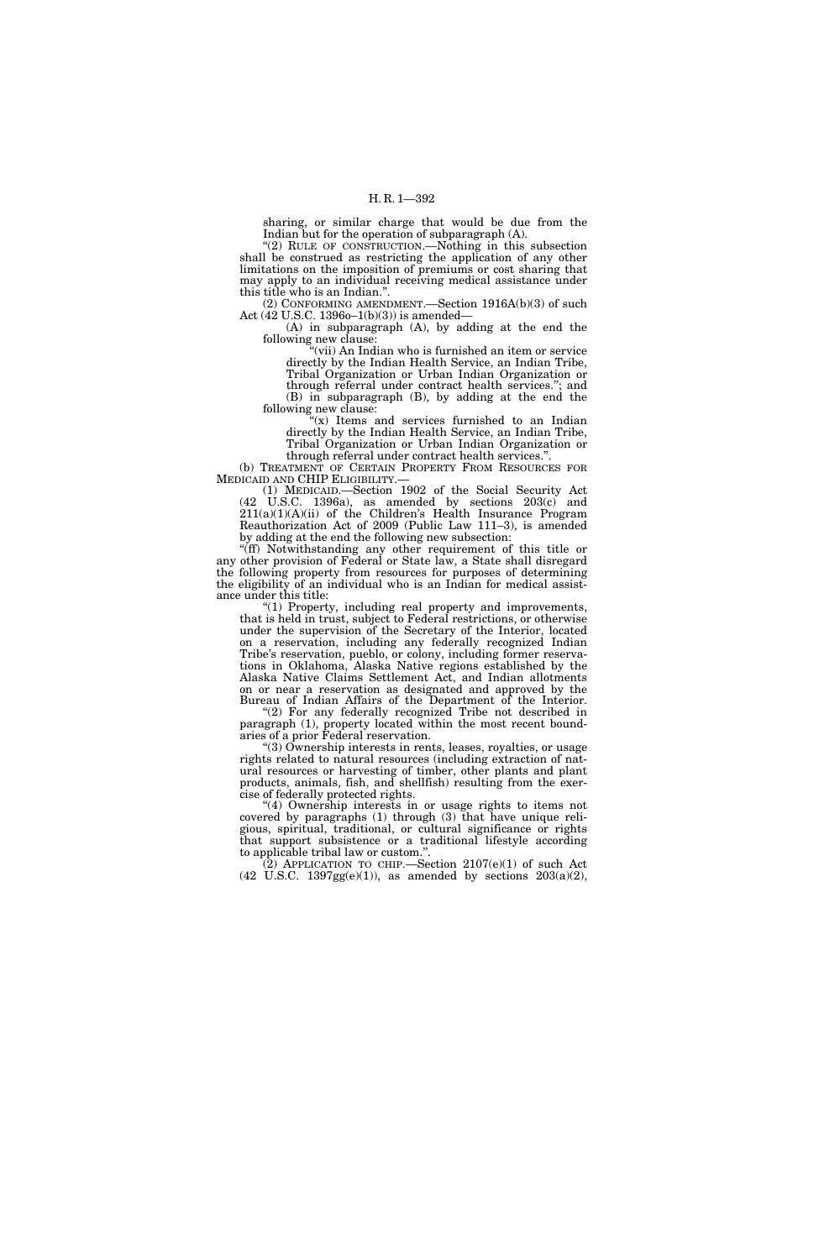sharing, or similar charge that would be due from the Indian but for the operation of subparagraph (A).

''(2) RULE OF CONSTRUCTION.—Nothing in this subsection shall be construed as restricting the application of any other limitations on the imposition of premiums or cost sharing that may apply to an individual receiving medical assistance under this title who is an Indian.''.

(2) CONFORMING AMENDMENT.—Section 1916A(b)(3) of such Act (42 U.S.C. 1396o–1(b)(3)) is amended—

(A) in subparagraph (A), by adding at the end the following new clause:

"(vii) An Indian who is furnished an item or service directly by the Indian Health Service, an Indian Tribe, Tribal Organization or Urban Indian Organization or through referral under contract health services.''; and (B) in subparagraph (B), by adding at the end the following new clause:

 $(x)$  Items and services furnished to an Indian directly by the Indian Health Service, an Indian Tribe, Tribal Organization or Urban Indian Organization or

through referral under contract health services.''. (b) TREATMENT OF CERTAIN PROPERTY FROM RESOURCES FOR MEDICAID AND CHIP ELIGIBILITY.—

(1) MEDICAID.—Section 1902 of the Social Security Act (42 U.S.C. 1396a), as amended by sections 203(c) and  $211(a)(1)(A)(ii)$  of the Children's Health Insurance Program Reauthorization Act of 2009 (Public Law 111–3), is amended by adding at the end the following new subsection:

''(ff) Notwithstanding any other requirement of this title or any other provision of Federal or State law, a State shall disregard the following property from resources for purposes of determining the eligibility of an individual who is an Indian for medical assistance under this title:

''(1) Property, including real property and improvements, that is held in trust, subject to Federal restrictions, or otherwise under the supervision of the Secretary of the Interior, located on a reservation, including any federally recognized Indian Tribe's reservation, pueblo, or colony, including former reservations in Oklahoma, Alaska Native regions established by the Alaska Native Claims Settlement Act, and Indian allotments on or near a reservation as designated and approved by the Bureau of Indian Affairs of the Department of the Interior.

"(2) For any federally recognized Tribe not described in paragraph (1), property located within the most recent boundaries of a prior Federal reservation.

''(3) Ownership interests in rents, leases, royalties, or usage rights related to natural resources (including extraction of natural resources or harvesting of timber, other plants and plant products, animals, fish, and shellfish) resulting from the exercise of federally protected rights.

'(4) Ownership interests in or usage rights to items not covered by paragraphs (1) through (3) that have unique religious, spiritual, traditional, or cultural significance or rights that support subsistence or a traditional lifestyle according to applicable tribal law or custom.''.

 $(2)$  APPLICATION TO CHIP.—Section  $2107(e)(1)$  of such Act  $(42 \text{ U.S.C. } 1397 \text{gg}(e)(1))$ , as amended by sections  $203(a)(2)$ ,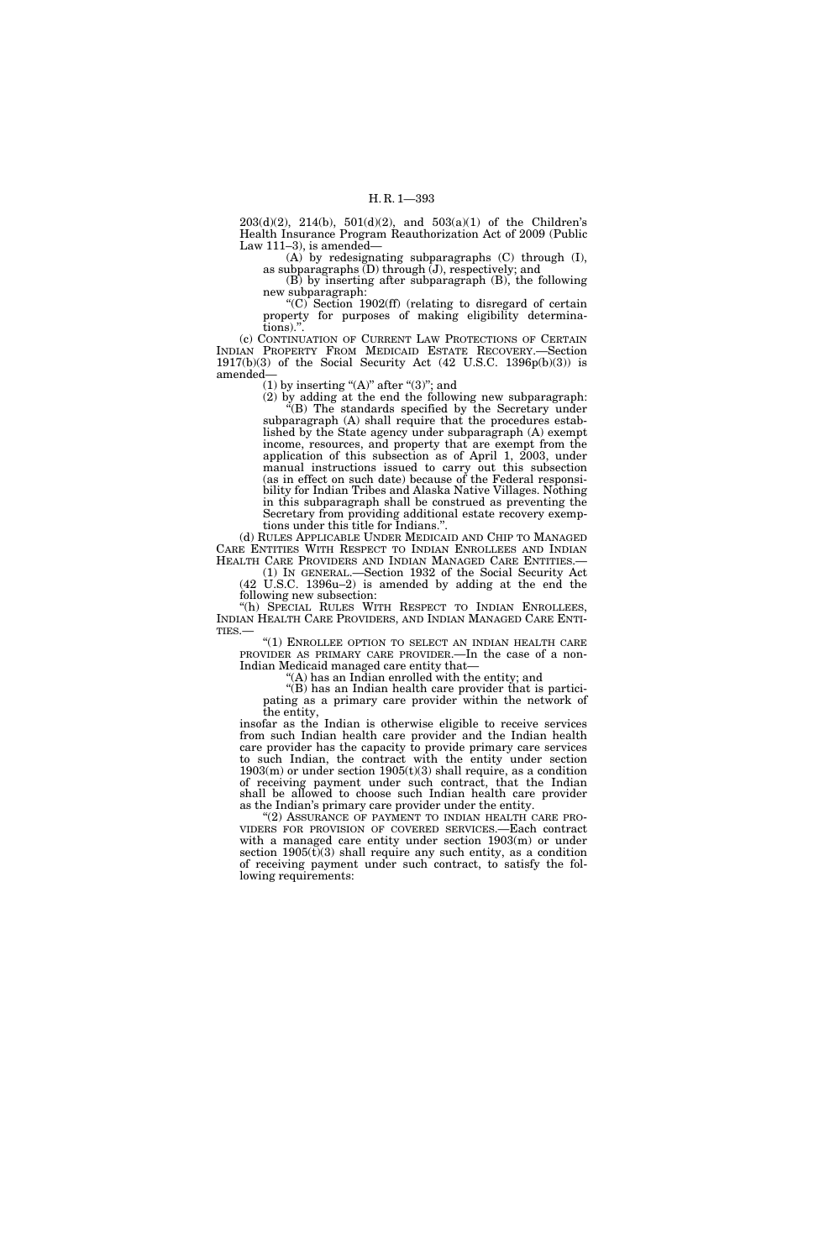$203(d)(2)$ ,  $214(b)$ ,  $501(d)(2)$ , and  $503(a)(1)$  of the Children's Health Insurance Program Reauthorization Act of 2009 (Public Law 111–3), is amended—

(A) by redesignating subparagraphs (C) through (I), as subparagraphs  $(D)$  through  $(J)$ , respectively; and

(B) by inserting after subparagraph (B), the following new subparagraph:

"(C) Section  $1902(f)$  (relating to disregard of certain property for purposes of making eligibility determinations).

(c) CONTINUATION OF CURRENT LAW PROTECTIONS OF CERTAIN INDIAN PROPERTY FROM MEDICAID ESTATE RECOVERY.—Section 1917(b)(3) of the Social Security Act (42 U.S.C. 1396 $p(b)(3)$ ) is amended—

(1) by inserting " $(A)$ " after " $(3)$ "; and

(2) by adding at the end the following new subparagraph: ''(B) The standards specified by the Secretary under subparagraph (A) shall require that the procedures established by the State agency under subparagraph (A) exempt income, resources, and property that are exempt from the application of this subsection as of April 1, 2003, under manual instructions issued to carry out this subsection (as in effect on such date) because of the Federal responsibility for Indian Tribes and Alaska Native Villages. Nothing in this subparagraph shall be construed as preventing the Secretary from providing additional estate recovery exemptions under this title for Indians.''.

(d) RULES APPLICABLE UNDER MEDICAID AND CHIP TO MANAGED CARE ENTITIES WITH RESPECT TO INDIAN ENROLLEES AND INDIAN HEALTH CARE PROVIDERS AND INDIAN MANAGED CARE ENTITIES.— (1) IN GENERAL.—Section 1932 of the Social Security Act

(42 U.S.C. 1396u–2) is amended by adding at the end the following new subsection:<br>"(h) SPECIAL RULES WITH RESPECT TO INDIAN ENROLLEES,

INDIAN HEALTH CARE PROVIDERS, AND INDIAN MANAGED CARE ENTITIES.—  $\frac{1}{100}$  ENROLLEE OPTION TO SELECT AN INDIAN HEALTH CARE

PROVIDER AS PRIMARY CARE PROVIDER.—In the case of a non-Indian Medicaid managed care entity that—

 $f(A)$  has an Indian enrolled with the entity; and

''(B) has an Indian health care provider that is participating as a primary care provider within the network of the entity,

insofar as the Indian is otherwise eligible to receive services from such Indian health care provider and the Indian health care provider has the capacity to provide primary care services to such Indian, the contract with the entity under section  $1903(m)$  or under section  $1905(t)(3)$  shall require, as a condition of receiving payment under such contract, that the Indian shall be allowed to choose such Indian health care provider as the Indian's primary care provider under the entity.

"(2) ASSURANCE OF PAYMENT TO INDIAN HEALTH CARE PRO-VIDERS FOR PROVISION OF COVERED SERVICES.—Each contract with a managed care entity under section 1903(m) or under section  $1905(t)(3)$  shall require any such entity, as a condition of receiving payment under such contract, to satisfy the following requirements: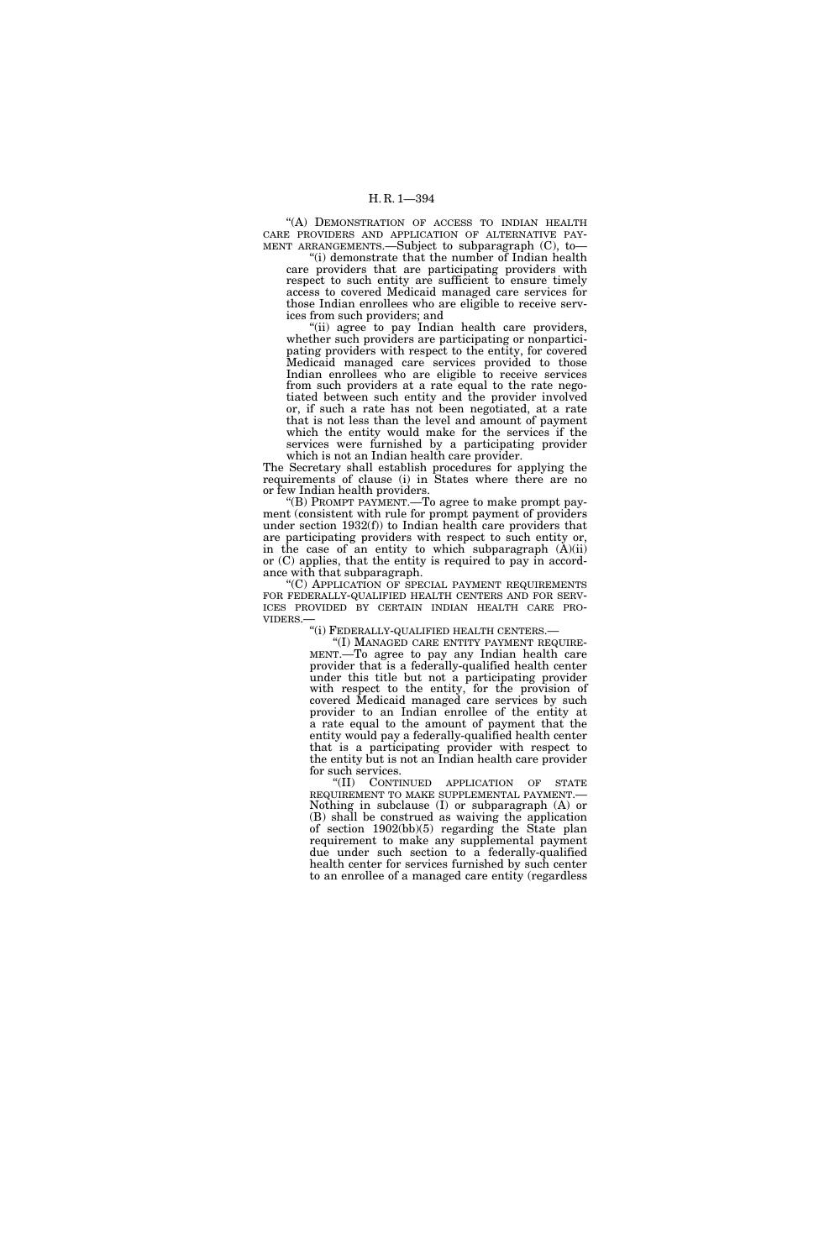''(A) DEMONSTRATION OF ACCESS TO INDIAN HEALTH CARE PROVIDERS AND APPLICATION OF ALTERNATIVE PAY-MENT ARRANGEMENTS.—Subject to subparagraph (C), to—

''(i) demonstrate that the number of Indian health care providers that are participating providers with respect to such entity are sufficient to ensure timely access to covered Medicaid managed care services for those Indian enrollees who are eligible to receive services from such providers; and

''(ii) agree to pay Indian health care providers, whether such providers are participating or nonparticipating providers with respect to the entity, for covered Medicaid managed care services provided to those Indian enrollees who are eligible to receive services from such providers at a rate equal to the rate negotiated between such entity and the provider involved or, if such a rate has not been negotiated, at a rate that is not less than the level and amount of payment which the entity would make for the services if the services were furnished by a participating provider which is not an Indian health care provider.

The Secretary shall establish procedures for applying the requirements of clause (i) in States where there are no or few Indian health providers.

''(B) PROMPT PAYMENT.—To agree to make prompt payment (consistent with rule for prompt payment of providers under section 1932(f)) to Indian health care providers that are participating providers with respect to such entity or, in the case of an entity to which subparagraph  $(A)(ii)$ or (C) applies, that the entity is required to pay in accordance with that subparagraph.

''(C) APPLICATION OF SPECIAL PAYMENT REQUIREMENTS FOR FEDERALLY-QUALIFIED HEALTH CENTERS AND FOR SERVICES PROVIDED BY CERTAIN INDIAN HEALTH CARE PROVIDERS.— "(i) FEDERALLY-QUALIFIED HEALTH CENTERS.—

"(I) MANAGED CARE ENTITY PAYMENT REQUIRE-<br>MENT.— To agree to pay any Indian health care provider that is a federally-qualified health center under this title but not a participating provider with respect to the entity, for the provision of covered Medicaid managed care services by such provider to an Indian enrollee of the entity at a rate equal to the amount of payment that the entity would pay a federally-qualified health center that is a participating provider with respect to the entity but is not an Indian health care provider for such services.

''(II) CONTINUED APPLICATION OF STATE REQUIREMENT TO MAKE SUPPLEMENTAL PAYMENT.— Nothing in subclause (I) or subparagraph (A) or (B) shall be construed as waiving the application of section 1902(bb)(5) regarding the State plan requirement to make any supplemental payment due under such section to a federally-qualified health center for services furnished by such center to an enrollee of a managed care entity (regardless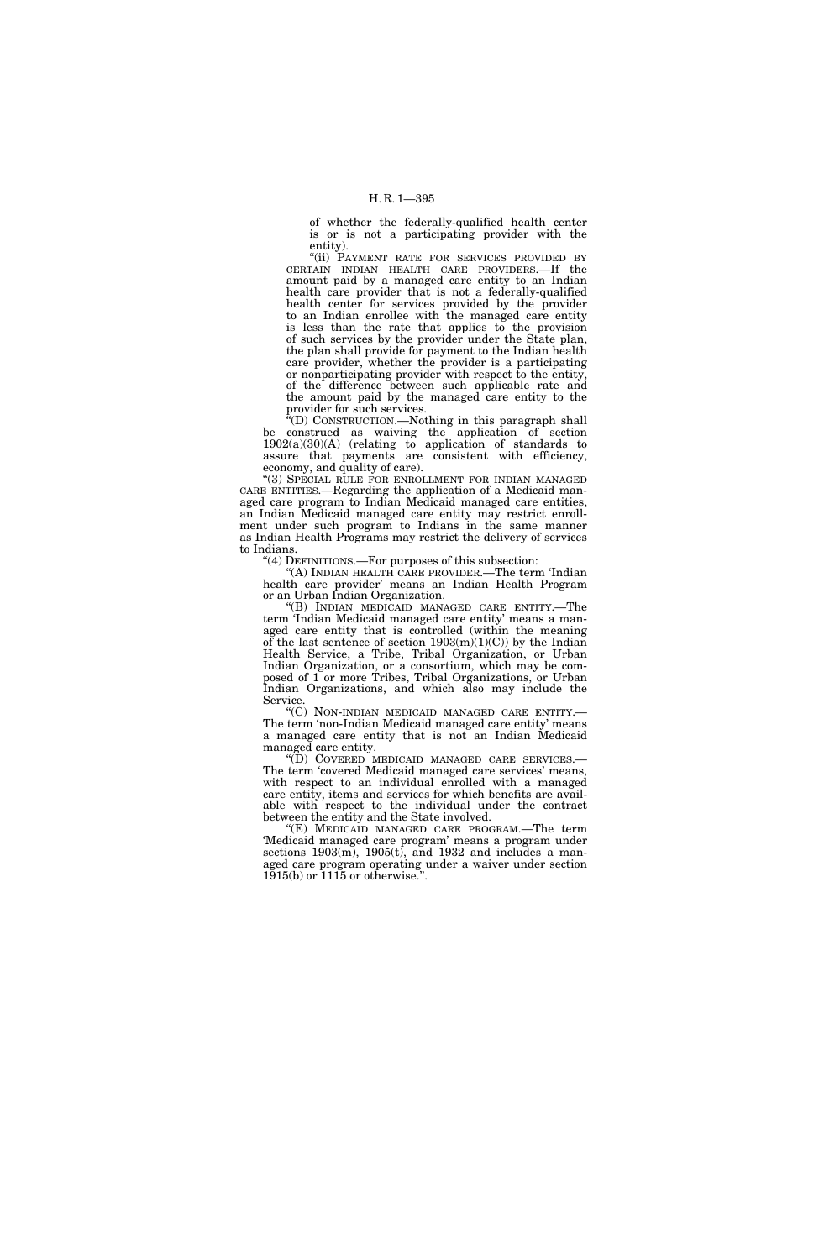of whether the federally-qualified health center is or is not a participating provider with the entity).

''(ii) PAYMENT RATE FOR SERVICES PROVIDED BY CERTAIN INDIAN HEALTH CARE PROVIDERS.—If the amount paid by a managed care entity to an Indian health care provider that is not a federally-qualified health center for services provided by the provider to an Indian enrollee with the managed care entity is less than the rate that applies to the provision of such services by the provider under the State plan, the plan shall provide for payment to the Indian health care provider, whether the provider is a participating or nonparticipating provider with respect to the entity, of the difference between such applicable rate and the amount paid by the managed care entity to the provider for such services.

''(D) CONSTRUCTION.—Nothing in this paragraph shall be construed as waiving the application of section  $1902(a)(30)(A)$  (relating to application of standards to assure that payments are consistent with efficiency, economy, and quality of care).

"(3) SPECIAL RULE FOR ENROLLMENT FOR INDIAN MANAGED CARE ENTITIES.—Regarding the application of a Medicaid managed care program to Indian Medicaid managed care entities, an Indian Medicaid managed care entity may restrict enrollment under such program to Indians in the same manner as Indian Health Programs may restrict the delivery of services to Indians.

''(4) DEFINITIONS.—For purposes of this subsection:

''(A) INDIAN HEALTH CARE PROVIDER.—The term 'Indian health care provider' means an Indian Health Program or an Urban Indian Organization.

''(B) INDIAN MEDICAID MANAGED CARE ENTITY.—The term 'Indian Medicaid managed care entity' means a managed care entity that is controlled (within the meaning of the last sentence of section  $1903(m)(1)(C)$  by the Indian Health Service, a Tribe, Tribal Organization, or Urban Indian Organization, or a consortium, which may be composed of 1 or more Tribes, Tribal Organizations, or Urban Indian Organizations, and which also may include the Service.

''(C) NON-INDIAN MEDICAID MANAGED CARE ENTITY.— The term 'non-Indian Medicaid managed care entity' means a managed care entity that is not an Indian Medicaid managed care entity.<br>
"(D) COVERED MEDICAID MANAGED CARE SERVICES.—

The term 'covered Medicaid managed care services' means, with respect to an individual enrolled with a managed care entity, items and services for which benefits are available with respect to the individual under the contract between the entity and the State involved.

''(E) MEDICAID MANAGED CARE PROGRAM.—The term 'Medicaid managed care program' means a program under sections 1903(m), 1905(t), and 1932 and includes a managed care program operating under a waiver under section  $1915(b)$  or  $1115$  or otherwise.".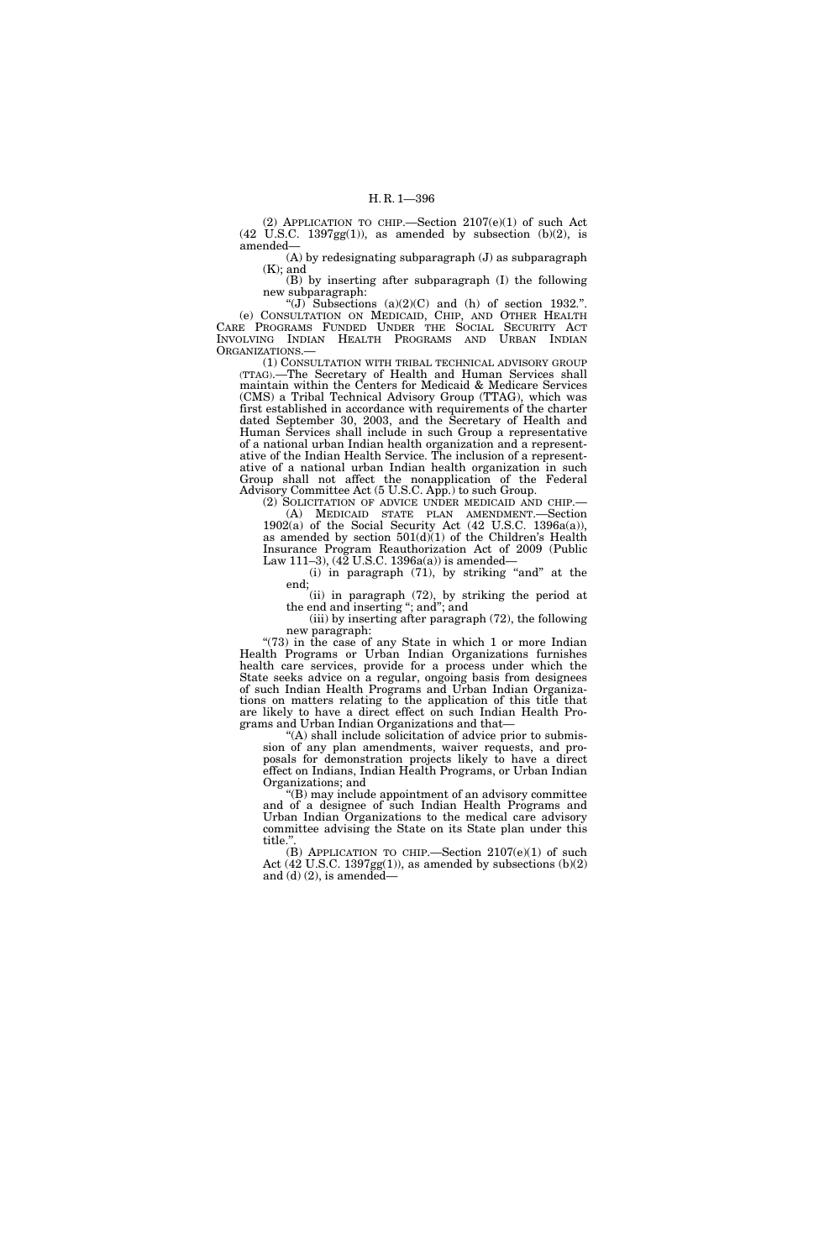(2) APPLICATION TO CHIP.—Section 2107(e)(1) of such Act  $(42 \text{ U.S.C. } 1397gg(1))$ , as amended by subsection  $(b)(2)$ , is amended—

(A) by redesignating subparagraph (J) as subparagraph (K); and

(B) by inserting after subparagraph (I) the following new subparagraph:

"(J) Subsections  $(a)(2)(C)$  and  $(h)$  of section 1932.". (e) CONSULTATION ON MEDICAID, CHIP, AND OTHER HEALTH CARE PROGRAMS FUNDED UNDER THE SOCIAL SECURITY ACT INVOLVING INDIAN HEALTH PROGRAMS AND URBAN INDIAN ORGANIZATIONS.—

(1) CONSULTATION WITH TRIBAL TECHNICAL ADVISORY GROUP (TTAG).—The Secretary of Health and Human Services shall maintain within the Centers for Medicaid & Medicare Services (CMS) a Tribal Technical Advisory Group (TTAG), which was first established in accordance with requirements of the charter dated September 30, 2003, and the Secretary of Health and Human Services shall include in such Group a representative of a national urban Indian health organization and a representative of the Indian Health Service. The inclusion of a representative of a national urban Indian health organization in such Group shall not affect the nonapplication of the Federal Advisory Committee Act (5 U.S.C. App.) to such Group.

(2) SOLICITATION OF ADVICE UNDER MEDICAID AND CHIP.— (A) MEDICAID STATE PLAN AMENDMENT.—Section 1902(a) of the Social Security Act (42 U.S.C. 1396a(a)), as amended by section  $501(d)(1)$  of the Children's Health Insurance Program Reauthorization Act of 2009 (Public Law 111–3),  $(42 \text{ U.S.C. } 1396a(a))$  is amended—

 $(i)$  in paragraph  $(71)$ , by striking "and" at the end;

(ii) in paragraph (72), by striking the period at the end and inserting ''; and''; and

(iii) by inserting after paragraph (72), the following new paragraph:

"(73) in the case of any State in which 1 or more Indian Health Programs or Urban Indian Organizations furnishes health care services, provide for a process under which the State seeks advice on a regular, ongoing basis from designees of such Indian Health Programs and Urban Indian Organizations on matters relating to the application of this title that are likely to have a direct effect on such Indian Health Programs and Urban Indian Organizations and that—

''(A) shall include solicitation of advice prior to submission of any plan amendments, waiver requests, and proposals for demonstration projects likely to have a direct effect on Indians, Indian Health Programs, or Urban Indian Organizations; and

''(B) may include appointment of an advisory committee and of a designee of such Indian Health Programs and Urban Indian Organizations to the medical care advisory committee advising the State on its State plan under this title.''.

(B) APPLICATION TO CHIP.—Section  $2107(e)(1)$  of such Act  $(42 \text{ U.S.C. } 1397 \text{gg}(1))$ , as amended by subsections  $(b)(2)$ and  $(d)$   $(2)$ , is amended—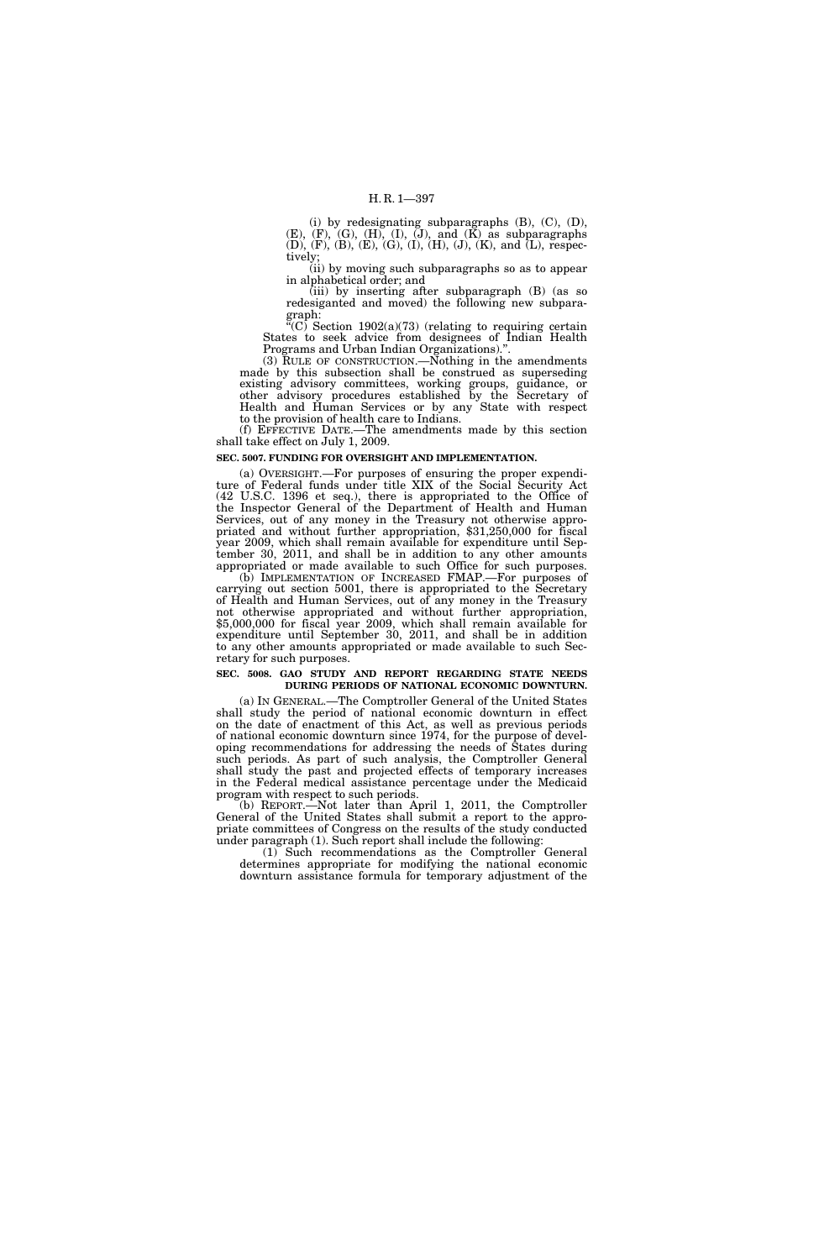(i) by redesignating subparagraphs  $(B)$ ,  $(C)$ ,  $(D)$ ,  $(E)$ ,  $(F)$ ,  $(G)$ ,  $(H)$ ,  $(I)$ ,  $(J)$ , and  $(K)$  as subparagraphs (D), (F), (B), (E), (G), (I), (H), (J), (K), and (L), respectively;

(ii) by moving such subparagraphs so as to appear in alphabetical order; and

(iii) by inserting after subparagraph (B) (as so redesiganted and moved) the following new subparagraph:

 $C^{\prime\prime}$ (C) Section 1902(a)(73) (relating to requiring certain States to seek advice from designees of Indian Health Programs and Urban Indian Organizations).<sup>3</sup>

(3) RULE OF CONSTRUCTION.—Nothing in the amendments made by this subsection shall be construed as superseding existing advisory committees, working groups, guidance, or other advisory procedures established by the Secretary of Health and Human Services or by any State with respect to the provision of health care to Indians.

(f) EFFECTIVE DATE.—The amendments made by this section shall take effect on July 1, 2009.

#### **SEC. 5007. FUNDING FOR OVERSIGHT AND IMPLEMENTATION.**

(a) OVERSIGHT.—For purposes of ensuring the proper expenditure of Federal funds under title XIX of the Social Security Act (42 U.S.C. 1396 et seq.), there is appropriated to the Office of the Inspector General of the Department of Health and Human Services, out of any money in the Treasury not otherwise appropriated and without further appropriation, \$31,250,000 for fiscal year 2009, which shall remain available for expenditure until September 30, 2011, and shall be in addition to any other amounts appropriated or made available to such Office for such purposes.

(b) IMPLEMENTATION OF INCREASED FMAP.—For purposes of carrying out section 5001, there is appropriated to the Secretary of Health and Human Services, out of any money in the Treasury not otherwise appropriated and without further appropriation, \$5,000,000 for fiscal year 2009, which shall remain available for expenditure until September 30, 2011, and shall be in addition to any other amounts appropriated or made available to such Secretary for such purposes.

#### **SEC. 5008. GAO STUDY AND REPORT REGARDING STATE NEEDS DURING PERIODS OF NATIONAL ECONOMIC DOWNTURN.**

(a) IN GENERAL.—The Comptroller General of the United States shall study the period of national economic downturn in effect on the date of enactment of this Act, as well as previous periods of national economic downturn since 1974, for the purpose of developing recommendations for addressing the needs of States during such periods. As part of such analysis, the Comptroller General shall study the past and projected effects of temporary increases in the Federal medical assistance percentage under the Medicaid program with respect to such periods.

(b) REPORT.—Not later than April 1, 2011, the Comptroller General of the United States shall submit a report to the appropriate committees of Congress on the results of the study conducted under paragraph (1). Such report shall include the following:

(1) Such recommendations as the Comptroller General determines appropriate for modifying the national economic downturn assistance formula for temporary adjustment of the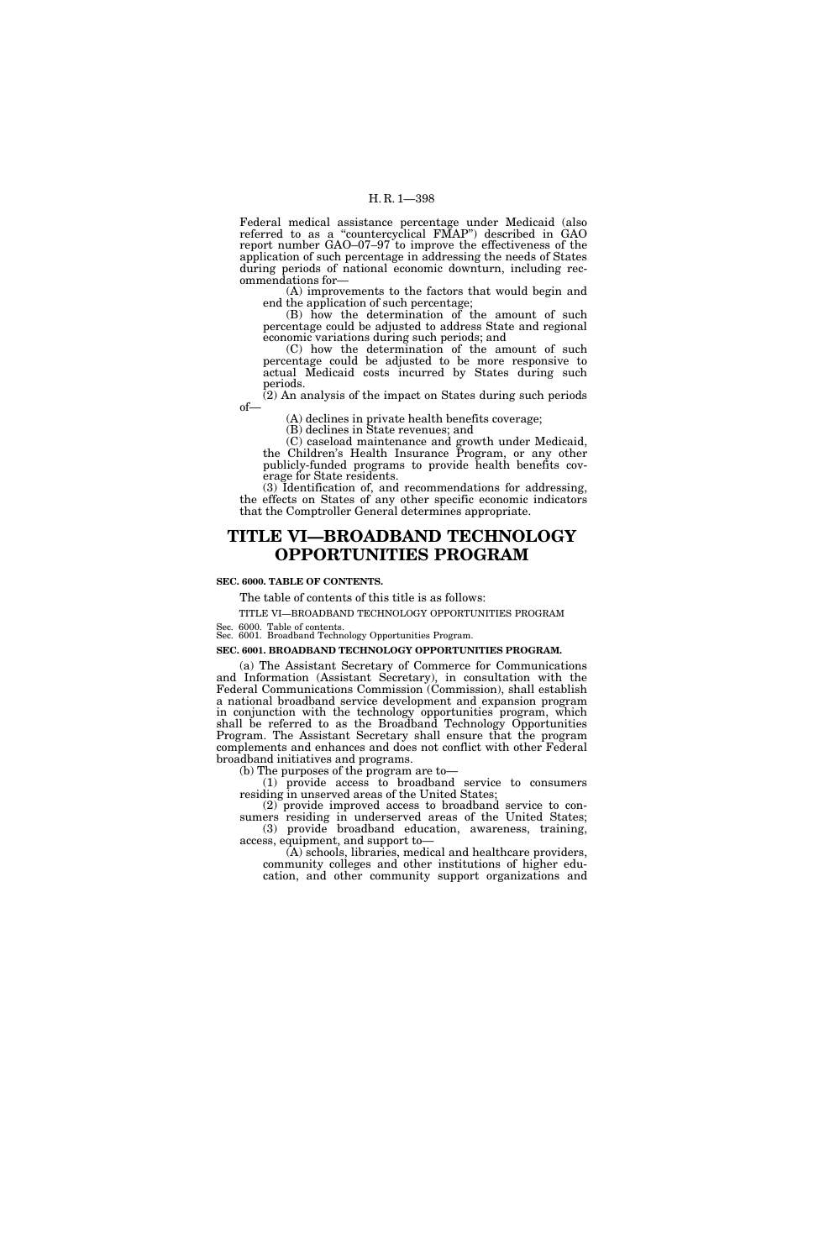Federal medical assistance percentage under Medicaid (also referred to as a ''countercyclical FMAP'') described in GAO report number GAO–07–97 to improve the effectiveness of the application of such percentage in addressing the needs of States during periods of national economic downturn, including recommendations for—

(A) improvements to the factors that would begin and end the application of such percentage;

(B) how the determination of the amount of such percentage could be adjusted to address State and regional economic variations during such periods; and

(C) how the determination of the amount of such percentage could be adjusted to be more responsive to actual Medicaid costs incurred by States during such periods.

(2) An analysis of the impact on States during such periods of—

(A) declines in private health benefits coverage;

(B) declines in State revenues; and

(C) caseload maintenance and growth under Medicaid, the Children's Health Insurance Program, or any other publicly-funded programs to provide health benefits coverage for State residents.

(3) Identification of, and recommendations for addressing, the effects on States of any other specific economic indicators that the Comptroller General determines appropriate.

## **TITLE VI—BROADBAND TECHNOLOGY OPPORTUNITIES PROGRAM**

#### **SEC. 6000. TABLE OF CONTENTS.**

The table of contents of this title is as follows:

TITLE VI—BROADBAND TECHNOLOGY OPPORTUNITIES PROGRAM

Sec. 6000. Table of contents. Sec. 6001. Broadband Technology Opportunities Program.

**SEC. 6001. BROADBAND TECHNOLOGY OPPORTUNITIES PROGRAM.** 

(a) The Assistant Secretary of Commerce for Communications and Information (Assistant Secretary), in consultation with the Federal Communications Commission (Commission), shall establish a national broadband service development and expansion program in conjunction with the technology opportunities program, which shall be referred to as the Broadband Technology Opportunities Program. The Assistant Secretary shall ensure that the program complements and enhances and does not conflict with other Federal broadband initiatives and programs.

(b) The purposes of the program are to—

(1) provide access to broadband service to consumers residing in unserved areas of the United States;

(2) provide improved access to broadband service to consumers residing in underserved areas of the United States; (3) provide broadband education, awareness, training, access, equipment, and support to—

(A) schools, libraries, medical and healthcare providers, community colleges and other institutions of higher education, and other community support organizations and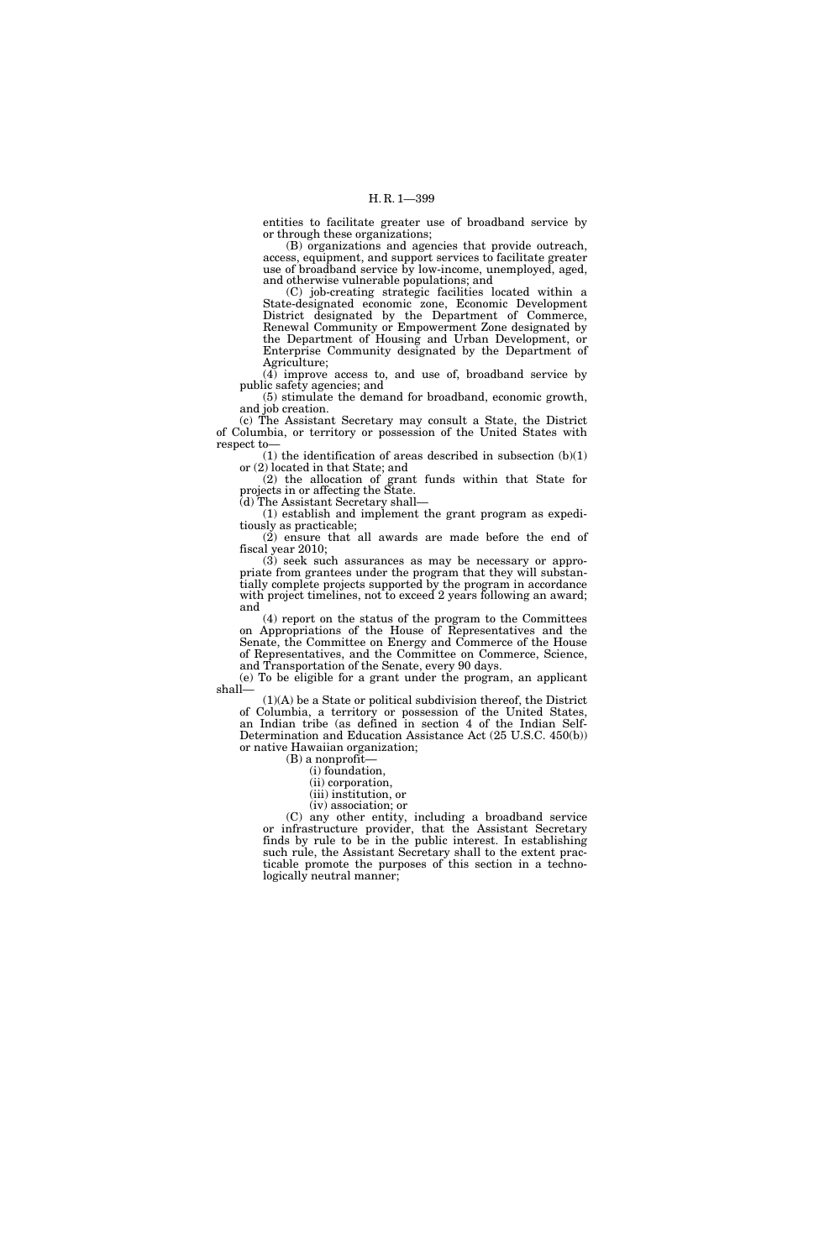entities to facilitate greater use of broadband service by or through these organizations;

(B) organizations and agencies that provide outreach, access, equipment, and support services to facilitate greater use of broadband service by low-income, unemployed, aged, and otherwise vulnerable populations; and

(C) job-creating strategic facilities located within a State-designated economic zone, Economic Development District designated by the Department of Commerce, Renewal Community or Empowerment Zone designated by the Department of Housing and Urban Development, or Enterprise Community designated by the Department of Agriculture;

(4) improve access to, and use of, broadband service by public safety agencies; and

(5) stimulate the demand for broadband, economic growth, and job creation.

(c) The Assistant Secretary may consult a State, the District of Columbia, or territory or possession of the United States with respect to—

 $(1)$  the identification of areas described in subsection  $(b)(1)$ or (2) located in that State; and

(2) the allocation of grant funds within that State for projects in or affecting the State.

(d) The Assistant Secretary shall—

(1) establish and implement the grant program as expeditiously as practicable;

(2) ensure that all awards are made before the end of fiscal year 2010;

(3) seek such assurances as may be necessary or appropriate from grantees under the program that they will substantially complete projects supported by the program in accordance with project timelines, not to exceed 2 years following an award; and

(4) report on the status of the program to the Committees on Appropriations of the House of Representatives and the Senate, the Committee on Energy and Commerce of the House of Representatives, and the Committee on Commerce, Science, and Transportation of the Senate, every 90 days.

(e) To be eligible for a grant under the program, an applicant shall—

(1)(A) be a State or political subdivision thereof, the District of Columbia, a territory or possession of the United States, an Indian tribe (as defined in section 4 of the Indian Self-Determination and Education Assistance Act (25 U.S.C. 450(b)) or native Hawaiian organization;

(B) a nonprofit—

(i) foundation,

(ii) corporation,

(iii) institution, or (iv) association; or

(C) any other entity, including a broadband service or infrastructure provider, that the Assistant Secretary finds by rule to be in the public interest. In establishing such rule, the Assistant Secretary shall to the extent practicable promote the purposes of this section in a technologically neutral manner;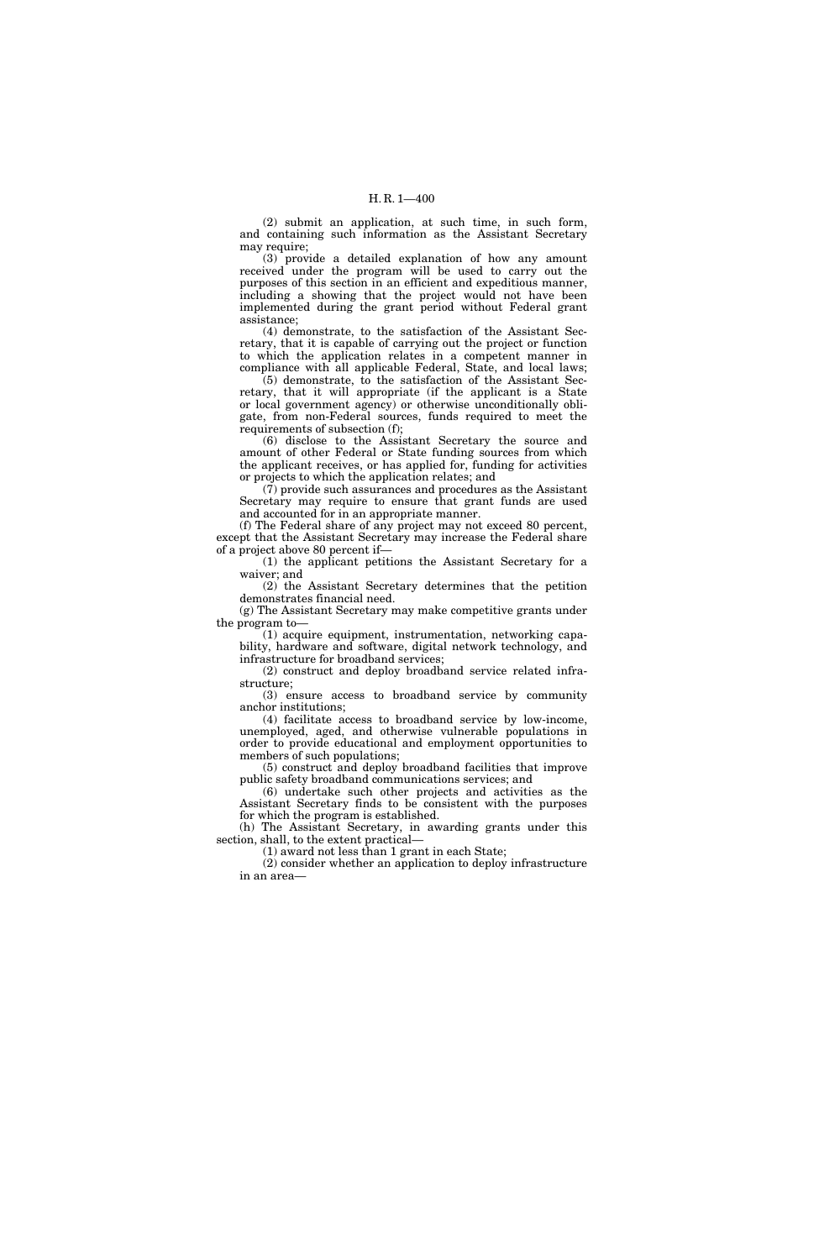(2) submit an application, at such time, in such form, and containing such information as the Assistant Secretary may require;

(3) provide a detailed explanation of how any amount received under the program will be used to carry out the purposes of this section in an efficient and expeditious manner, including a showing that the project would not have been implemented during the grant period without Federal grant assistance;

(4) demonstrate, to the satisfaction of the Assistant Secretary, that it is capable of carrying out the project or function to which the application relates in a competent manner in compliance with all applicable Federal, State, and local laws;

(5) demonstrate, to the satisfaction of the Assistant Secretary, that it will appropriate (if the applicant is a State or local government agency) or otherwise unconditionally obligate, from non-Federal sources, funds required to meet the requirements of subsection (f);

(6) disclose to the Assistant Secretary the source and amount of other Federal or State funding sources from which the applicant receives, or has applied for, funding for activities or projects to which the application relates; and

(7) provide such assurances and procedures as the Assistant Secretary may require to ensure that grant funds are used and accounted for in an appropriate manner.

(f) The Federal share of any project may not exceed 80 percent, except that the Assistant Secretary may increase the Federal share of a project above 80 percent if—

(1) the applicant petitions the Assistant Secretary for a waiver; and

(2) the Assistant Secretary determines that the petition demonstrates financial need.

(g) The Assistant Secretary may make competitive grants under the program to—

(1) acquire equipment, instrumentation, networking capability, hardware and software, digital network technology, and infrastructure for broadband services;

(2) construct and deploy broadband service related infrastructure;

(3) ensure access to broadband service by community anchor institutions;

(4) facilitate access to broadband service by low-income, unemployed, aged, and otherwise vulnerable populations in order to provide educational and employment opportunities to members of such populations;

(5) construct and deploy broadband facilities that improve public safety broadband communications services; and

(6) undertake such other projects and activities as the Assistant Secretary finds to be consistent with the purposes for which the program is established.

(h) The Assistant Secretary, in awarding grants under this section, shall, to the extent practical—

(1) award not less than 1 grant in each State;

(2) consider whether an application to deploy infrastructure in an area—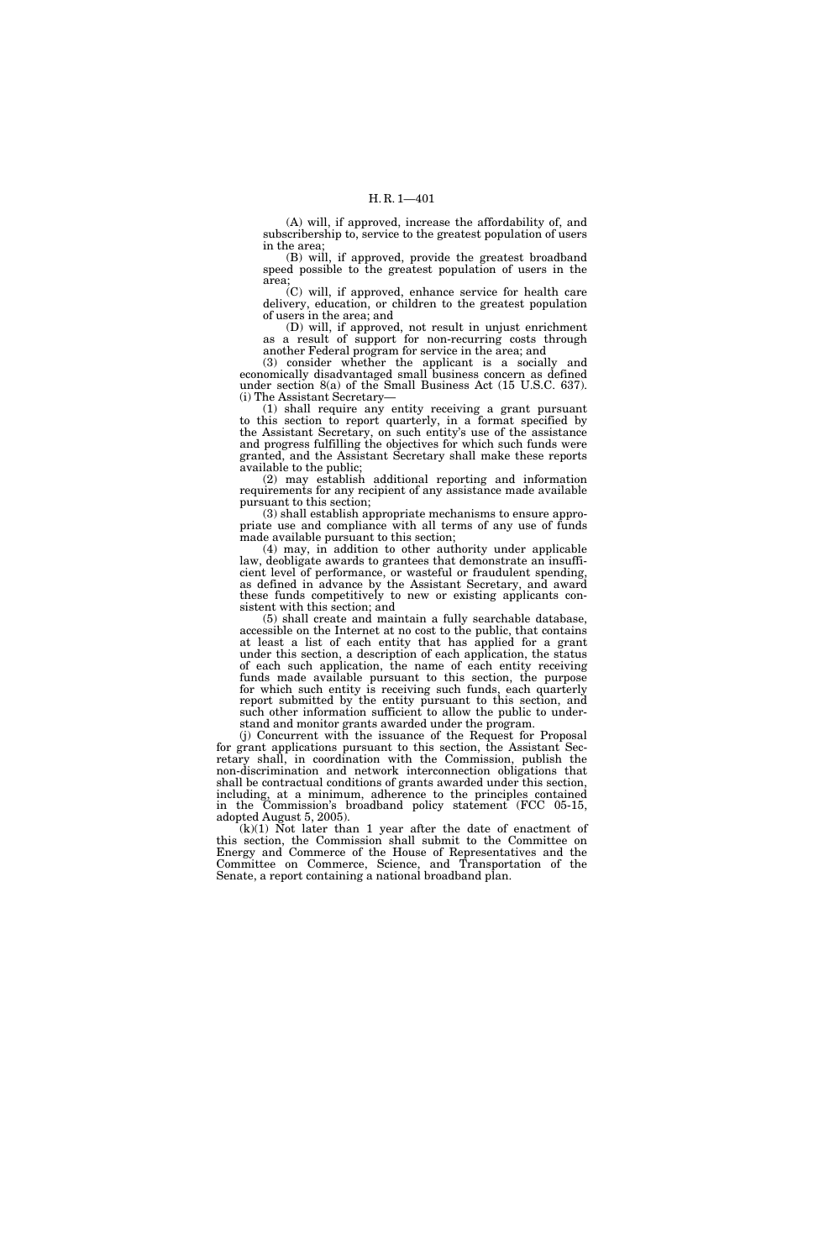(A) will, if approved, increase the affordability of, and subscribership to, service to the greatest population of users in the area;

(B) will, if approved, provide the greatest broadband speed possible to the greatest population of users in the area;

(C) will, if approved, enhance service for health care delivery, education, or children to the greatest population of users in the area; and

(D) will, if approved, not result in unjust enrichment as a result of support for non-recurring costs through another Federal program for service in the area; and

(3) consider whether the applicant is a socially and economically disadvantaged small business concern as defined under section 8(a) of the Small Business Act (15 U.S.C. 637). (i) The Assistant Secretary—

(1) shall require any entity receiving a grant pursuant to this section to report quarterly, in a format specified by the Assistant Secretary, on such entity's use of the assistance and progress fulfilling the objectives for which such funds were granted, and the Assistant Secretary shall make these reports available to the public;

(2) may establish additional reporting and information requirements for any recipient of any assistance made available pursuant to this section;

(3) shall establish appropriate mechanisms to ensure appropriate use and compliance with all terms of any use of funds made available pursuant to this section;

(4) may, in addition to other authority under applicable law, deobligate awards to grantees that demonstrate an insufficient level of performance, or wasteful or fraudulent spending, as defined in advance by the Assistant Secretary, and award these funds competitively to new or existing applicants consistent with this section; and

(5) shall create and maintain a fully searchable database, accessible on the Internet at no cost to the public, that contains at least a list of each entity that has applied for a grant under this section, a description of each application, the status of each such application, the name of each entity receiving funds made available pursuant to this section, the purpose for which such entity is receiving such funds, each quarterly report submitted by the entity pursuant to this section, and such other information sufficient to allow the public to understand and monitor grants awarded under the program.

(j) Concurrent with the issuance of the Request for Proposal for grant applications pursuant to this section, the Assistant Secretary shall, in coordination with the Commission, publish the non-discrimination and network interconnection obligations that shall be contractual conditions of grants awarded under this section, including, at a minimum, adherence to the principles contained in the Commission's broadband policy statement (FCC 05-15, adopted August 5, 2005).

 $(k)(1)$  Not later than 1 year after the date of enactment of this section, the Commission shall submit to the Committee on Energy and Commerce of the House of Representatives and the Committee on Commerce, Science, and Transportation of the Senate, a report containing a national broadband plan.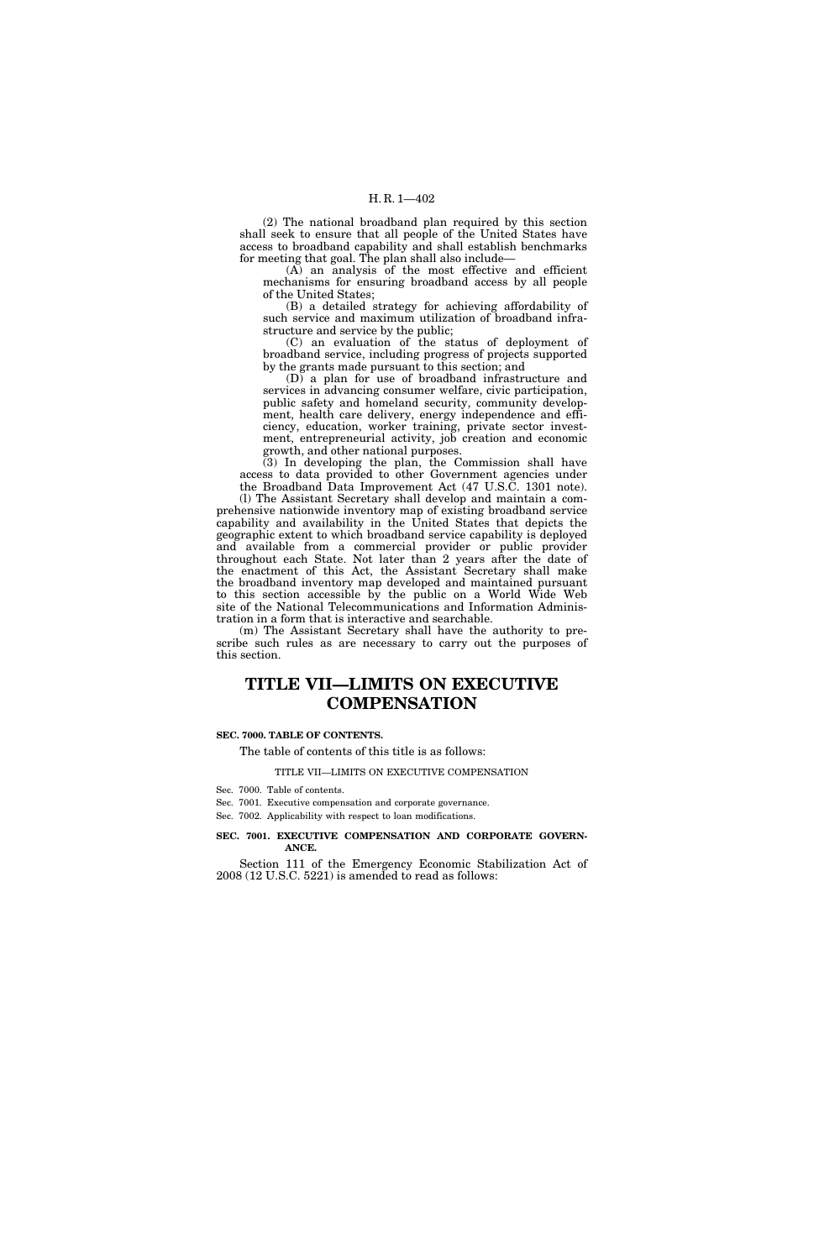(2) The national broadband plan required by this section shall seek to ensure that all people of the United States have access to broadband capability and shall establish benchmarks for meeting that goal. The plan shall also include—

(A) an analysis of the most effective and efficient mechanisms for ensuring broadband access by all people of the United States;

(B) a detailed strategy for achieving affordability of such service and maximum utilization of broadband infrastructure and service by the public;

(C) an evaluation of the status of deployment of broadband service, including progress of projects supported by the grants made pursuant to this section; and

(D) a plan for use of broadband infrastructure and services in advancing consumer welfare, civic participation, public safety and homeland security, community development, health care delivery, energy independence and efficiency, education, worker training, private sector investment, entrepreneurial activity, job creation and economic growth, and other national purposes.

(3) In developing the plan, the Commission shall have access to data provided to other Government agencies under the Broadband Data Improvement Act (47 U.S.C. 1301 note).

(l) The Assistant Secretary shall develop and maintain a comprehensive nationwide inventory map of existing broadband service capability and availability in the United States that depicts the geographic extent to which broadband service capability is deployed and available from a commercial provider or public provider throughout each State. Not later than 2 years after the date of the enactment of this Act, the Assistant Secretary shall make the broadband inventory map developed and maintained pursuant to this section accessible by the public on a World Wide Web site of the National Telecommunications and Information Administration in a form that is interactive and searchable.

(m) The Assistant Secretary shall have the authority to prescribe such rules as are necessary to carry out the purposes of this section.

# **TITLE VII—LIMITS ON EXECUTIVE COMPENSATION**

#### **SEC. 7000. TABLE OF CONTENTS.**

#### The table of contents of this title is as follows:

#### TITLE VII—LIMITS ON EXECUTIVE COMPENSATION

Sec. 7000. Table of contents.

Sec. 7001. Executive compensation and corporate governance.

Sec. 7002. Applicability with respect to loan modifications.

#### **SEC. 7001. EXECUTIVE COMPENSATION AND CORPORATE GOVERN-ANCE.**

Section 111 of the Emergency Economic Stabilization Act of 2008 (12 U.S.C. 5221) is amended to read as follows: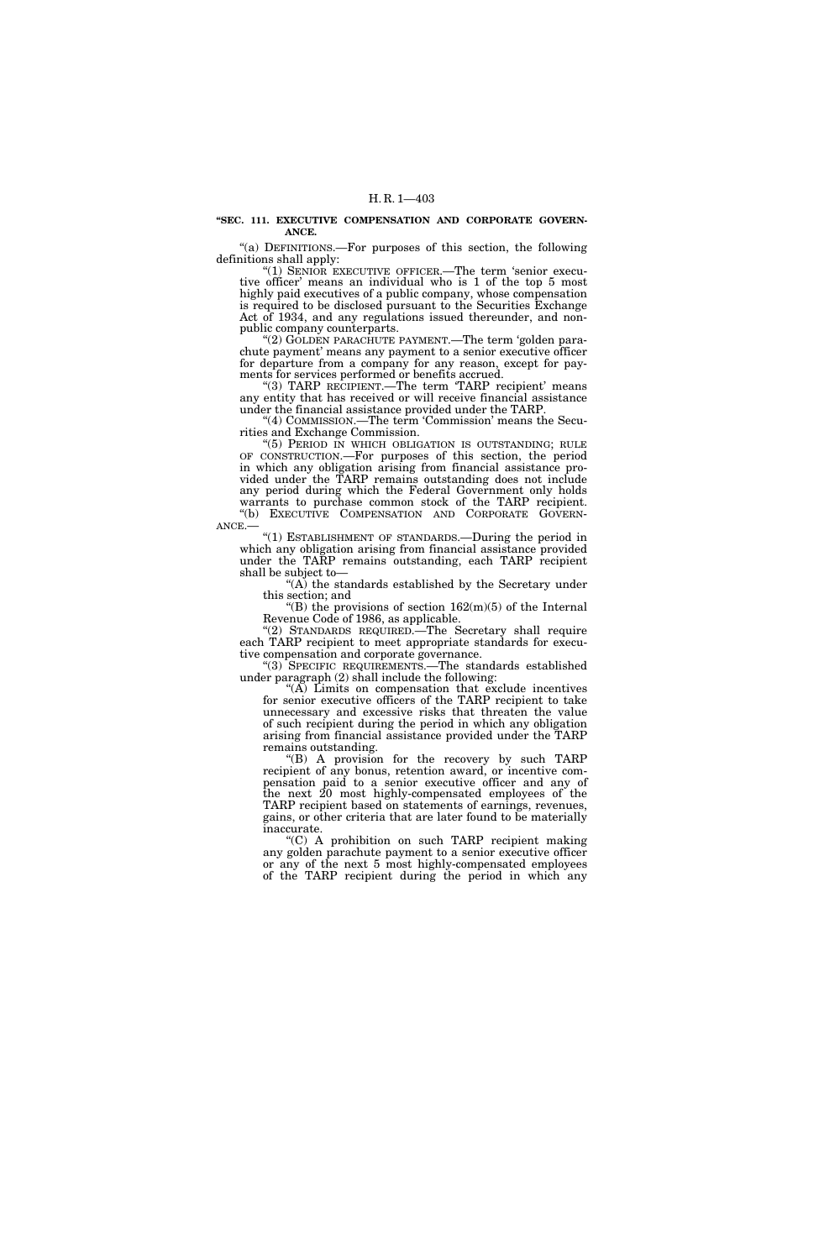**''SEC. 111. EXECUTIVE COMPENSATION AND CORPORATE GOVERN-ANCE.** 

"(a) DEFINITIONS.—For purposes of this section, the following definitions shall apply:

"(1) SENIOR EXECUTIVE OFFICER.—The term 'senior executive officer' means an individual who is 1 of the top 5 most highly paid executives of a public company, whose compensation is required to be disclosed pursuant to the Securities Exchange Act of 1934, and any regulations issued thereunder, and nonpublic company counterparts.

"(2) GOLDEN PARACHUTE PAYMENT.—The term 'golden parachute payment' means any payment to a senior executive officer for departure from a company for any reason, except for payments for services performed or benefits accrued.

"(3) TARP RECIPIENT.—The term 'TARP recipient' means any entity that has received or will receive financial assistance under the financial assistance provided under the TARP.

"(4) COMMISSION.—The term 'Commission' means the Securities and Exchange Commission.

''(5) PERIOD IN WHICH OBLIGATION IS OUTSTANDING; RULE OF CONSTRUCTION.—For purposes of this section, the period in which any obligation arising from financial assistance provided under the TARP remains outstanding does not include any period during which the Federal Government only holds warrants to purchase common stock of the TARP recipient.<br>
"(b) EXECUTIVE COMPENSATION AND CORPORATE GOVERN-

 $ANEE$ .— "(1) ESTABLISHMENT OF STANDARDS.—During the period in which any obligation arising from financial assistance provided under the TARP remains outstanding, each TARP recipient shall be subject to—

''(A) the standards established by the Secretary under this section; and

"(B) the provisions of section  $162(m)(5)$  of the Internal Revenue Code of 1986, as applicable.

(2) STANDARDS REQUIRED.—The Secretary shall require each TARP recipient to meet appropriate standards for executive compensation and corporate governance.

''(3) SPECIFIC REQUIREMENTS.—The standards established under paragraph (2) shall include the following:

"(A) Limits on compensation that exclude incentives for senior executive officers of the TARP recipient to take unnecessary and excessive risks that threaten the value of such recipient during the period in which any obligation arising from financial assistance provided under the TARP remains outstanding.

''(B) A provision for the recovery by such TARP recipient of any bonus, retention award, or incentive compensation paid to a senior executive officer and any of the next 20 most highly-compensated employees of the TARP recipient based on statements of earnings, revenues, gains, or other criteria that are later found to be materially inaccurate.

''(C) A prohibition on such TARP recipient making any golden parachute payment to a senior executive officer or any of the next 5 most highly-compensated employees of the TARP recipient during the period in which any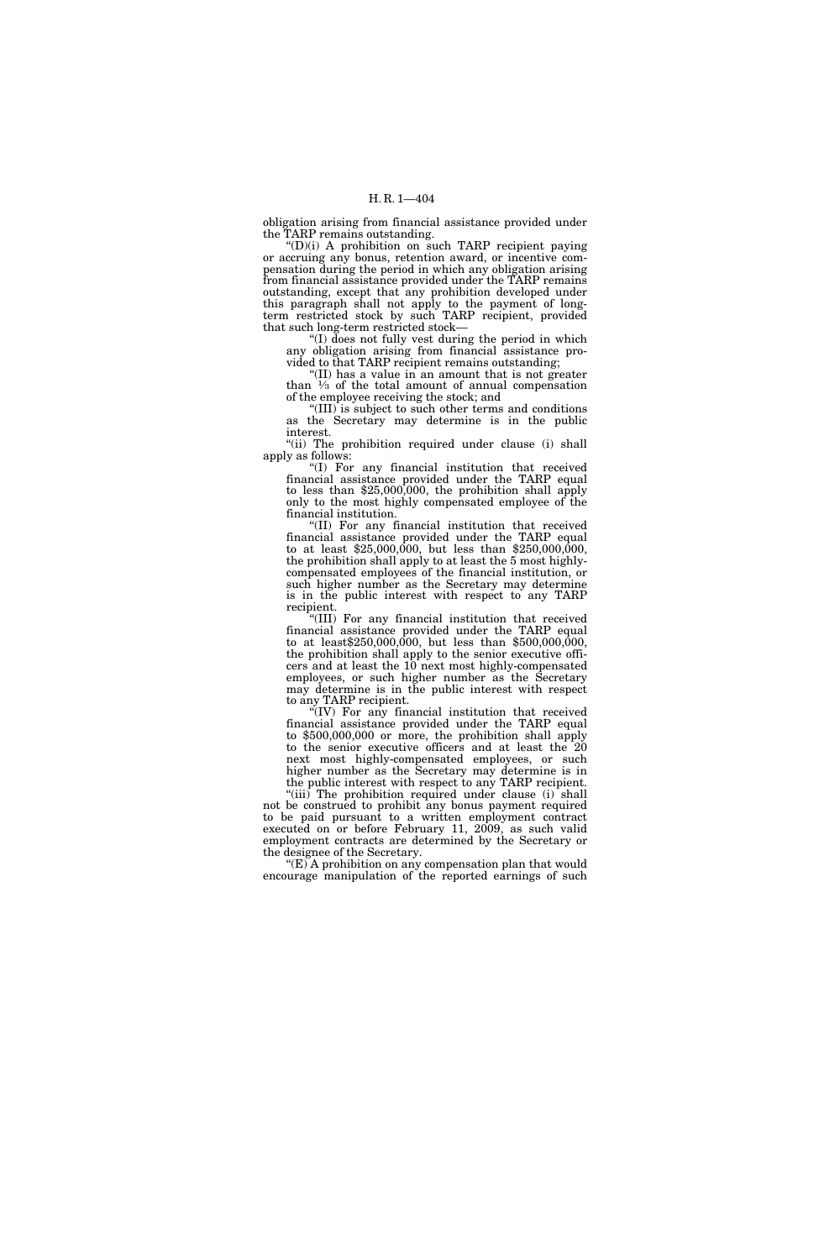obligation arising from financial assistance provided under the TARP remains outstanding.

''(D)(i) A prohibition on such TARP recipient paying or accruing any bonus, retention award, or incentive compensation during the period in which any obligation arising from financial assistance provided under the TARP remains outstanding, except that any prohibition developed under this paragraph shall not apply to the payment of longterm restricted stock by such TARP recipient, provided that such long-term restricted stock—

"(I) does not fully vest during the period in which any obligation arising from financial assistance provided to that TARP recipient remains outstanding;

''(II) has a value in an amount that is not greater than  $\frac{1}{3}$  of the total amount of annual compensation of the employee receiving the stock; and

''(III) is subject to such other terms and conditions as the Secretary may determine is in the public interest.

"(ii) The prohibition required under clause (i) shall apply as follows:

''(I) For any financial institution that received financial assistance provided under the TARP equal to less than  $$25,000,000$ , the prohibition shall apply only to the most highly compensated employee of the financial institution.

''(II) For any financial institution that received financial assistance provided under the TARP equal to at least \$25,000,000, but less than \$250,000,000, the prohibition shall apply to at least the 5 most highlycompensated employees of the financial institution, or such higher number as the Secretary may determine is in the public interest with respect to any TARP recipient.

''(III) For any financial institution that received financial assistance provided under the TARP equal to at least \$250,000,000, but less than \$500,000,000, the prohibition shall apply to the senior executive officers and at least the 10 next most highly-compensated employees, or such higher number as the Secretary may determine is in the public interest with respect to any TARP recipient.

"(IV) For any financial institution that received financial assistance provided under the TARP equal to \$500,000,000 or more, the prohibition shall apply to the senior executive officers and at least the 20 next most highly-compensated employees, or such higher number as the Secretary may determine is in the public interest with respect to any TARP recipient.

" $(iii)$  The prohibition required under clause  $(i)$  shall not be construed to prohibit any bonus payment required to be paid pursuant to a written employment contract executed on or before February 11, 2009, as such valid employment contracts are determined by the Secretary or the designee of the Secretary.

" $(E)$  A prohibition on any compensation plan that would encourage manipulation of the reported earnings of such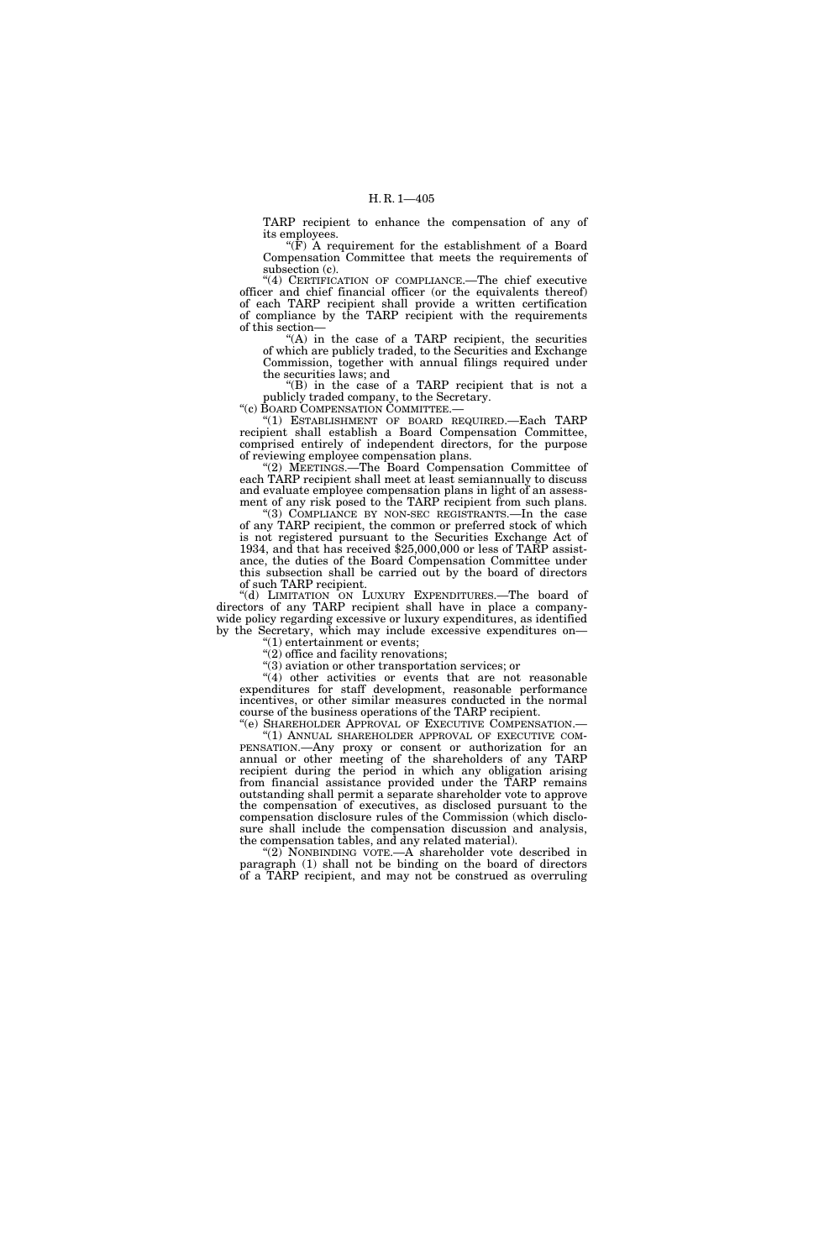TARP recipient to enhance the compensation of any of its employees.

" $(F)$  A requirement for the establishment of a Board Compensation Committee that meets the requirements of subsection (c).

"(4) CERTIFICATION OF COMPLIANCE.—The chief executive officer and chief financial officer (or the equivalents thereof) of each TARP recipient shall provide a written certification of compliance by the TARP recipient with the requirements of this section—

 $(A)$  in the case of a TARP recipient, the securities of which are publicly traded, to the Securities and Exchange Commission, together with annual filings required under the securities laws; and

''(B) in the case of a TARP recipient that is not a publicly traded company, to the Secretary.

''(c) BOARD COMPENSATION COMMITTEE.—

''(1) ESTABLISHMENT OF BOARD REQUIRED.—Each TARP recipient shall establish a Board Compensation Committee, comprised entirely of independent directors, for the purpose of reviewing employee compensation plans.

''(2) MEETINGS.—The Board Compensation Committee of each TARP recipient shall meet at least semiannually to discuss and evaluate employee compensation plans in light of an assessment of any risk posed to the TARP recipient from such plans.

''(3) COMPLIANCE BY NON-SEC REGISTRANTS.—In the case of any TARP recipient, the common or preferred stock of which is not registered pursuant to the Securities Exchange Act of 1934, and that has received \$25,000,000 or less of TARP assistance, the duties of the Board Compensation Committee under this subsection shall be carried out by the board of directors of such TARP recipient.

''(d) LIMITATION ON LUXURY EXPENDITURES.—The board of directors of any TARP recipient shall have in place a companywide policy regarding excessive or luxury expenditures, as identified by the Secretary, which may include excessive expenditures on—

''(1) entertainment or events;

 $(2)$  office and facility renovations; ''(3) aviation or other transportation services; or

 $(4)$  other activities or events that are not reasonable

expenditures for staff development, reasonable performance incentives, or other similar measures conducted in the normal course of the business operations of the TARP recipient.

''(e) SHAREHOLDER APPROVAL OF EXECUTIVE COMPENSATION.— ''(1) ANNUAL SHAREHOLDER APPROVAL OF EXECUTIVE COM-PENSATION.—Any proxy or consent or authorization for an annual or other meeting of the shareholders of any TARP recipient during the period in which any obligation arising from financial assistance provided under the TARP remains outstanding shall permit a separate shareholder vote to approve the compensation of executives, as disclosed pursuant to the compensation disclosure rules of the Commission (which disclosure shall include the compensation discussion and analysis, the compensation tables, and any related material).

"(2) NONBINDING VOTE.—A shareholder vote described in paragraph (1) shall not be binding on the board of directors of a TARP recipient, and may not be construed as overruling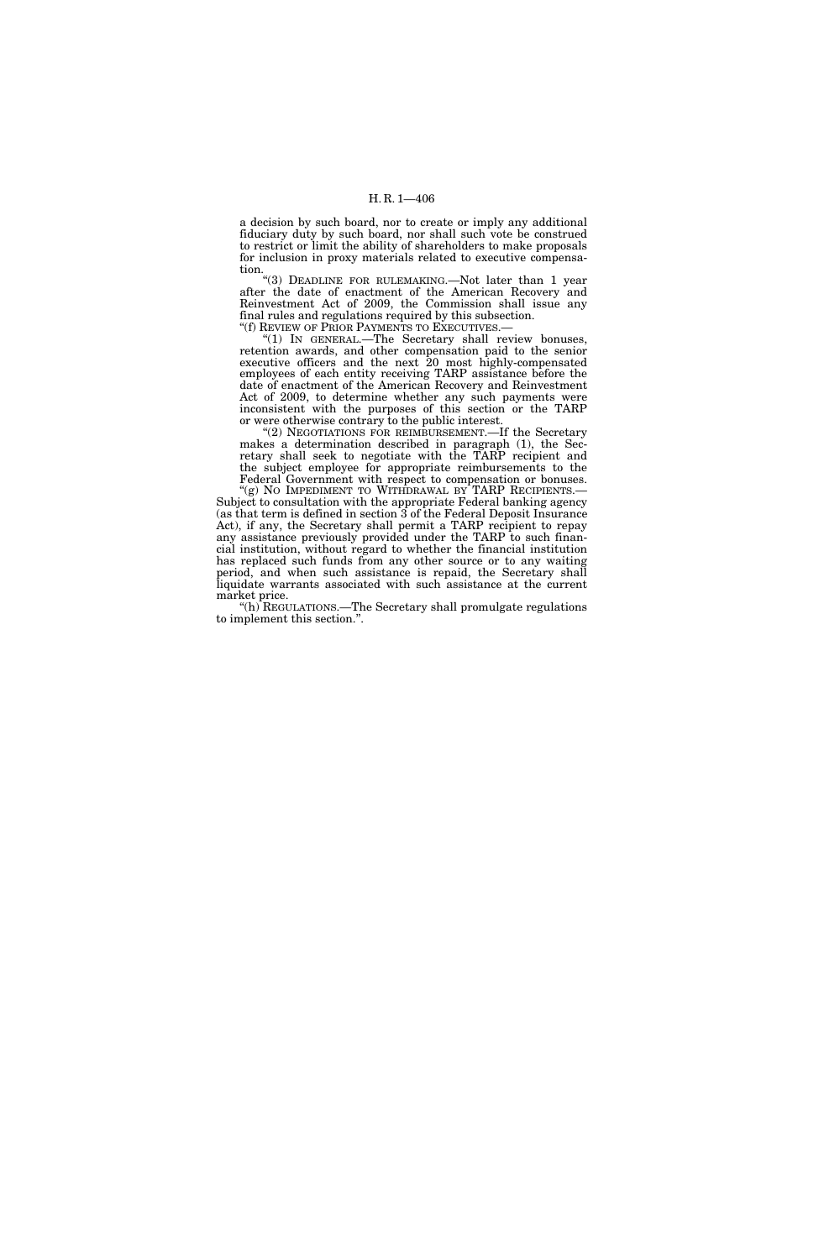a decision by such board, nor to create or imply any additional fiduciary duty by such board, nor shall such vote be construed to restrict or limit the ability of shareholders to make proposals for inclusion in proxy materials related to executive compensation.

''(3) DEADLINE FOR RULEMAKING.—Not later than 1 year after the date of enactment of the American Recovery and Reinvestment Act of 2009, the Commission shall issue any final rules and regulations required by this subsection. "(f) REVIEW OF PRIOR PAYMENTS TO EXECUTIVES.—

"(1) IN GENERAL.—The Secretary shall review bonuses, retention awards, and other compensation paid to the senior executive officers and the next 20 most highly-compensated employees of each entity receiving TARP assistance before the date of enactment of the American Recovery and Reinvestment Act of 2009, to determine whether any such payments were inconsistent with the purposes of this section or the TARP or were otherwise contrary to the public interest.

''(2) NEGOTIATIONS FOR REIMBURSEMENT.—If the Secretary makes a determination described in paragraph (1), the Secretary shall seek to negotiate with the TARP recipient and the subject employee for appropriate reimbursements to the Federal Government with respect to compensation or bonuses.

"(g) NO IMPEDIMENT TO WITHDRAWAL BY TARP RECIPIENTS.-Subject to consultation with the appropriate Federal banking agency (as that term is defined in section 3 of the Federal Deposit Insurance Act), if any, the Secretary shall permit a TARP recipient to repay any assistance previously provided under the TARP to such financial institution, without regard to whether the financial institution has replaced such funds from any other source or to any waiting period, and when such assistance is repaid, the Secretary shall liquidate warrants associated with such assistance at the current market price.

"(h)  ${\rm REGULATIONS.}-{\rm The \atop \rm Secretary \thinspace shall \thinspace promulgate \thinspace regularions}$ to implement this section.''.